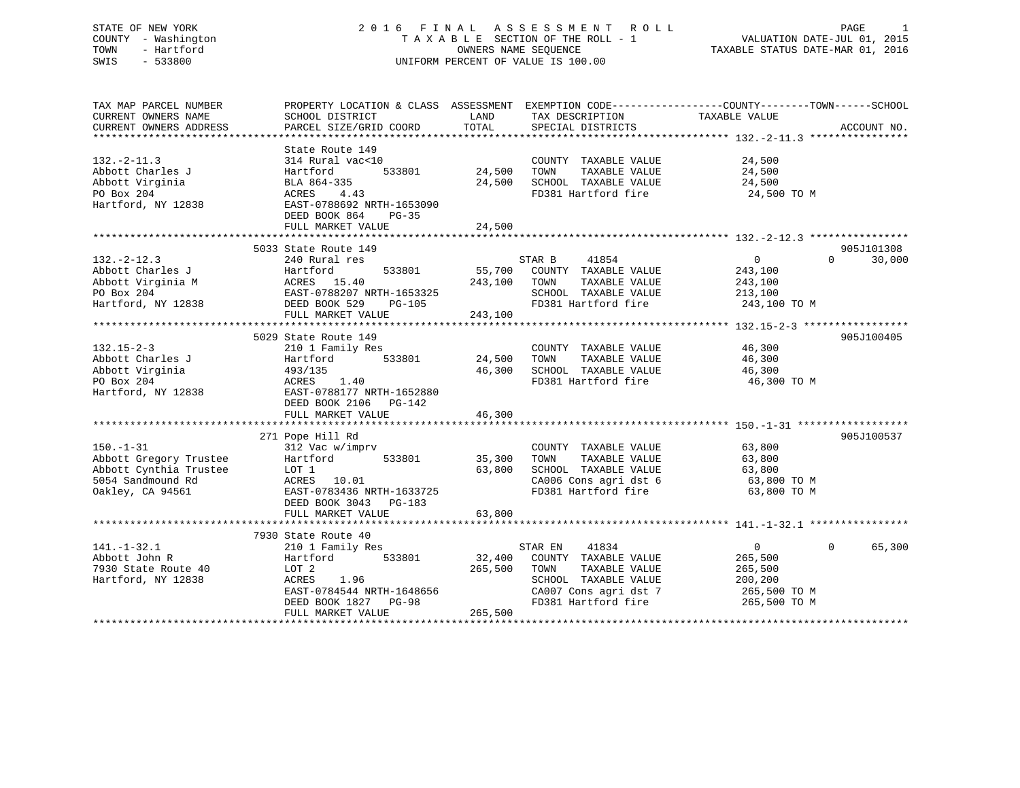### STATE OF NEW YORK 2 0 1 6 F I N A L A S S E S S M E N T R O L L PAGE 1 COUNTY - Washington T A X A B L E SECTION OF THE ROLL - 1 VALUATION DATE-JUL 01, 2015 TOWN - Hartford OWNERS NAME SEQUENCE TAXABLE STATUS DATE-MAR 01, 2016 SWIS - 533800 UNIFORM PERCENT OF VALUE IS 100.00

TAX MAP PARCEL NUMBER PROPERTY LOCATION & CLASS ASSESSMENT EXEMPTION CODE------------------COUNTY--------TOWN------SCHOOL CURRENT OWNERS NAME SCHOOL DISTRICT LAND TAX DESCRIPTION TAXABLE VALUE CURRENT OWNERS ADDRESS PARCEL SIZE/GRID COORD TOTAL SPECIAL DISTRICTS ACCOUNT NO. \*\*\*\*\*\*\*\*\*\*\*\*\*\*\*\*\*\*\*\*\*\*\*\*\*\*\*\*\*\*\*\*\*\*\*\*\*\*\*\*\*\*\*\*\*\*\*\*\*\*\*\*\*\*\*\*\*\*\*\*\*\*\*\*\*\*\*\*\*\*\*\*\*\*\*\*\*\*\*\*\*\*\*\*\*\*\*\*\*\*\*\*\*\*\*\*\*\*\*\*\*\*\* 132.-2-11.3 \*\*\*\*\*\*\*\*\*\*\*\*\*\*\*\* State Route 149 132.-2-11.3 314 Rural vac<10 COUNTY TAXABLE VALUE 24,500 Abbott Charles J Hartford 533801 24,500 TOWN TAXABLE VALUE 24,500 Abbott Virginia BLA 864-335 24,500 SCHOOL TAXABLE VALUE 24,500 PO Box 204 ACRES 4.43 FD381 Hartford fire 24,500 TO M Hartford, NY 12838 EAST-0788692 NRTH-1653090 DEED BOOK 864 PG-35FULL MARKET VALUE 24,500 \*\*\*\*\*\*\*\*\*\*\*\*\*\*\*\*\*\*\*\*\*\*\*\*\*\*\*\*\*\*\*\*\*\*\*\*\*\*\*\*\*\*\*\*\*\*\*\*\*\*\*\*\*\*\*\*\*\*\*\*\*\*\*\*\*\*\*\*\*\*\*\*\*\*\*\*\*\*\*\*\*\*\*\*\*\*\*\*\*\*\*\*\*\*\*\*\*\*\*\*\*\*\* 132.-2-12.3 \*\*\*\*\*\*\*\*\*\*\*\*\*\*\*\* 5033 State Route 149 905J101308132.-2-12.3 240 Rural res STAR B 41854 0 0 30,000 Abbott Charles J Hartford 533801 55,700 COUNTY TAXABLE VALUE 243,100 Abbott Virginia M ACRES 15.40 243,100 TOWN TAXABLE VALUE 243,100 PO Box 204 EAST-0788207 NRTH-1653325 SCHOOL TAXABLE VALUE 213,100 Hartford, NY 12838 DEED BOOK 529 PG-105 FD381 Hartford fire 243,100 TO M FULL MARKET VALUE 243,100 \*\*\*\*\*\*\*\*\*\*\*\*\*\*\*\*\*\*\*\*\*\*\*\*\*\*\*\*\*\*\*\*\*\*\*\*\*\*\*\*\*\*\*\*\*\*\*\*\*\*\*\*\*\*\*\*\*\*\*\*\*\*\*\*\*\*\*\*\*\*\*\*\*\*\*\*\*\*\*\*\*\*\*\*\*\*\*\*\*\*\*\*\*\*\*\*\*\*\*\*\*\*\* 132.15-2-3 \*\*\*\*\*\*\*\*\*\*\*\*\*\*\*\*\* 5029 State Route 149 905J100405132.15-2-3 210 1 Family Res COUNTY TAXABLE VALUE 46,300 Abbott Charles J Hartford 533801 24,500 TOWN TAXABLE VALUE 46,300 Abbott Virginia 493/135 46,300 SCHOOL TAXABLE VALUE 46,300 PO Box 204 ACRES 1.40 FD381 Hartford fire 46,300 TO M Hartford, NY 12838 EAST-0788177 NRTH-1652880 DEED BOOK 2106 PG-142<br>FULL MARKET VALUE 46,300 \*\*\*\*\*\*\*\*\*\*\*\*\*\*\*\*\*\*\*\*\*\*\*\*\*\*\*\*\*\*\*\*\*\*\*\*\*\*\*\*\*\*\*\*\*\*\*\*\*\*\*\*\*\*\*\*\*\*\*\*\*\*\*\*\*\*\*\*\*\*\*\*\*\*\*\*\*\*\*\*\*\*\*\*\*\*\*\*\*\*\*\*\*\*\*\*\*\*\*\*\*\*\* 150.-1-31 \*\*\*\*\*\*\*\*\*\*\*\*\*\*\*\*\*\* 271 Pope Hill Rd 905J100537 150.-1-31 312 Vac w/imprv COUNTY TAXABLE VALUE 63,800 Abbott Gregory Trustee Hartford 533801 35,300 TOWN TAXABLE VALUE 63,800 Abbott Cynthia Trustee LOT 1 63,800 SCHOOL TAXABLE VALUE 63,800 5054 Sandmound Rd ACRES 10.01 CA006 Cons agri dst 6 63,800 TO M Oakley, CA 94561 EAST-0783436 NRTH-1633725 FD381 Hartford fire 63,800 TO M DEED BOOK 3043 PG-183 FULL MARKET VALUE 63,800 \*\*\*\*\*\*\*\*\*\*\*\*\*\*\*\*\*\*\*\*\*\*\*\*\*\*\*\*\*\*\*\*\*\*\*\*\*\*\*\*\*\*\*\*\*\*\*\*\*\*\*\*\*\*\*\*\*\*\*\*\*\*\*\*\*\*\*\*\*\*\*\*\*\*\*\*\*\*\*\*\*\*\*\*\*\*\*\*\*\*\*\*\*\*\*\*\*\*\*\*\*\*\* 141.-1-32.1 \*\*\*\*\*\*\*\*\*\*\*\*\*\*\*\* 7930 State Route 40 141.-1-32.1 210 1 Family Res STAR EN 41834 0 0 65,300 Abbott John R Hartford 533801 32,400 COUNTY TAXABLE VALUE 265,500 7930 State Route 40 LOT 2 265,500 TOWN TAXABLE VALUE 265,500 Hartford, NY 12838 ACRES 1.96 SCHOOL TAXABLE VALUE 200,200 EAST-0784544 NRTH-1648656 CA007 Cons agri dst 7 265,500 TO M DEED BOOK 1827 PG-98 FD381 Hartford fire 265,500 TO M FULL MARKET VALUE 265,500 \*\*\*\*\*\*\*\*\*\*\*\*\*\*\*\*\*\*\*\*\*\*\*\*\*\*\*\*\*\*\*\*\*\*\*\*\*\*\*\*\*\*\*\*\*\*\*\*\*\*\*\*\*\*\*\*\*\*\*\*\*\*\*\*\*\*\*\*\*\*\*\*\*\*\*\*\*\*\*\*\*\*\*\*\*\*\*\*\*\*\*\*\*\*\*\*\*\*\*\*\*\*\*\*\*\*\*\*\*\*\*\*\*\*\*\*\*\*\*\*\*\*\*\*\*\*\*\*\*\*\*\*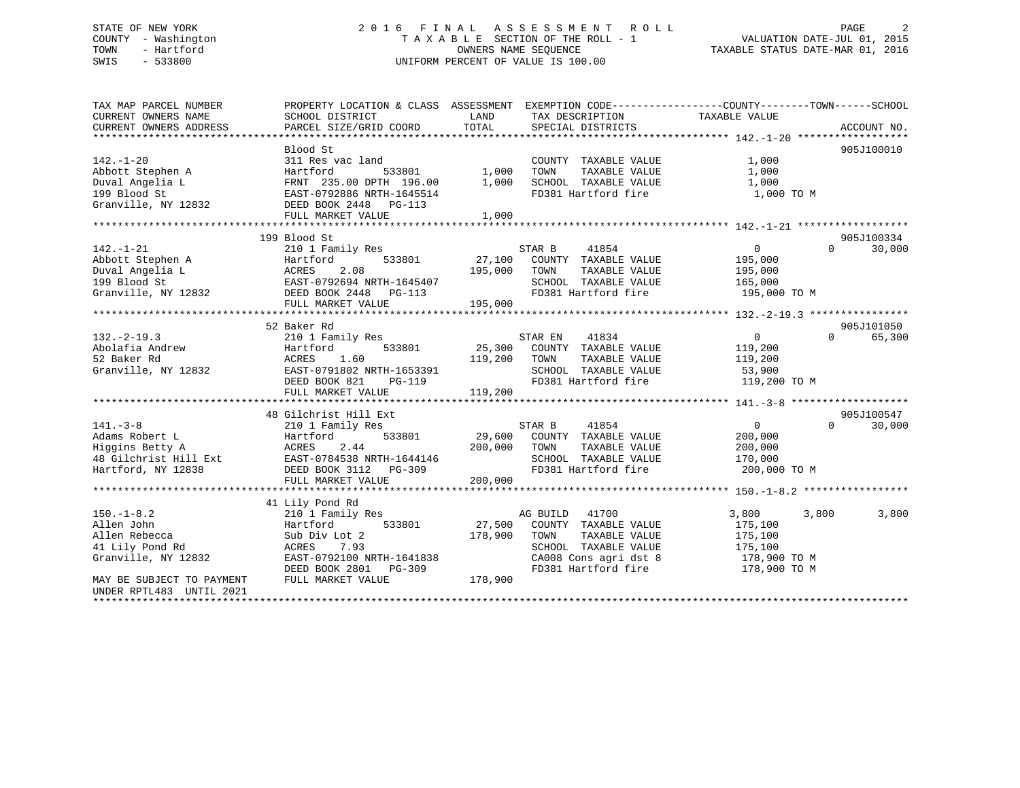### STATE OF NEW YORK 2 0 1 6 F I N A L A S S E S S M E N T R O L L PAGE 2 COUNTY - Washington T A X A B L E SECTION OF THE ROLL - 1 VALUATION DATE-JUL 01, 2015 TOWN - Hartford OWNERS NAME SEQUENCE TAXABLE STATUS DATE-MAR 01, 2016 SWIS - 533800 UNIFORM PERCENT OF VALUE IS 100.00UNIFORM PERCENT OF VALUE IS 100.00

| TAX MAP PARCEL NUMBER                                    |                                               | PROPERTY LOCATION & CLASS ASSESSMENT EXEMPTION CODE-----------------COUNTY-------TOWN------SCHOOL |                                         |
|----------------------------------------------------------|-----------------------------------------------|---------------------------------------------------------------------------------------------------|-----------------------------------------|
| CURRENT OWNERS NAME                                      | SCHOOL DISTRICT                               | LAND<br>TAX DESCRIPTION<br>TOTAL                                                                  | TAXABLE VALUE                           |
| CURRENT OWNERS ADDRESS<br>****************************** | PARCEL SIZE/GRID COORD                        | SPECIAL DISTRICTS                                                                                 | ACCOUNT NO.                             |
|                                                          | Blood St                                      |                                                                                                   | 905J100010                              |
| $142. - 1 - 20$                                          | 311 Res vac land                              | COUNTY TAXABLE VALUE                                                                              | 1,000                                   |
|                                                          |                                               | 1,000<br>TOWN                                                                                     | 1,000                                   |
| Abbott Stephen A                                         | Hartford<br>533801<br>FRNT 235.00 DPTH 196.00 | TAXABLE VALUE<br>1,000 SCHOOL TAXABLE VALUE                                                       | 1,000                                   |
| Duval Angelia L<br>199 Blood St                          |                                               | FD381 Hartford fire                                                                               | 1,000 TO M                              |
| Granville, NY 12832                                      | EAST-0792886 NRTH-1645514                     |                                                                                                   |                                         |
|                                                          | DEED BOOK 2448 PG-113<br>FULL MARKET VALUE    | 1,000                                                                                             |                                         |
|                                                          |                                               |                                                                                                   |                                         |
|                                                          | 199 Blood St                                  |                                                                                                   | 905J100334                              |
| $142. - 1 - 21$                                          | 210 1 Family Res                              | 41854<br>STAR B                                                                                   | 30,000<br>$\Omega$<br>$\Omega$          |
| Abbott Stephen A                                         | 533801<br>Hartford                            | 27,100<br>COUNTY TAXABLE VALUE                                                                    | 195,000                                 |
| Duval Angelia L                                          | ACRES<br>2.08                                 | TOWN<br>195,000<br>TAXABLE VALUE                                                                  | 195,000                                 |
| 199 Blood St                                             | EAST-0792694 NRTH-1645407                     | SCHOOL TAXABLE VALUE                                                                              |                                         |
|                                                          |                                               |                                                                                                   | 165,000                                 |
| Granville, NY 12832                                      | DEED BOOK 2448<br>PG-113                      | FD381 Hartford fire                                                                               | 195,000 TO M                            |
|                                                          | FULL MARKET VALUE                             | 195,000                                                                                           |                                         |
|                                                          | 52 Baker Rd                                   |                                                                                                   | 905J101050                              |
| $132. -2 - 19.3$                                         |                                               | STAR EN<br>41834                                                                                  | 65,300<br>$0 \qquad \qquad$<br>$\Omega$ |
| Abolafia Andrew                                          | 210 1 Family Res                              |                                                                                                   |                                         |
|                                                          | Hartford<br>533801                            | 25,300 COUNTY TAXABLE VALUE                                                                       | 119,200                                 |
| 52 Baker Rd                                              | ACRES<br>1.60                                 | 119,200<br>TOWN<br>TAXABLE VALUE                                                                  | 119,200                                 |
| Granville, NY 12832                                      | EAST-0791802 NRTH-1653391                     | SCHOOL TAXABLE VALUE                                                                              | 53,900                                  |
|                                                          | $PG-119$<br>DEED BOOK 821                     | FD381 Hartford fire                                                                               | 119,200 TO M                            |
|                                                          | FULL MARKET VALUE                             | 119,200                                                                                           |                                         |
|                                                          | 48 Gilchrist Hill Ext                         |                                                                                                   | 905J100547                              |
| $141. - 3 - 8$                                           |                                               | STAR B<br>41854                                                                                   | $\mathbf{0}$<br>$\Omega$                |
| Adams Robert L                                           | 210 1 Family Res<br>533801                    |                                                                                                   | 30,000                                  |
|                                                          | Hartford                                      | 29,600 COUNTY TAXABLE VALUE                                                                       | 200,000                                 |
| Higgins Betty A                                          | 2.44<br>ACRES                                 | 200,000 TOWN<br>TAXABLE VALUE                                                                     | 200,000                                 |
| 48 Gilchrist Hill Ext                                    | EAST-0784538 NRTH-1644146                     | SCHOOL TAXABLE VALUE                                                                              | 170,000                                 |
| Hartford, NY 12838                                       | DEED BOOK 3112 PG-309                         | FD381 Hartford fire                                                                               | 200,000 TO M                            |
|                                                          | FULL MARKET VALUE                             | 200,000                                                                                           |                                         |
|                                                          |                                               |                                                                                                   |                                         |
|                                                          | 41 Lily Pond Rd                               |                                                                                                   |                                         |
| $150. - 1 - 8.2$                                         | 210 1 Family Res                              | AG BUILD<br>41700                                                                                 | 3,800<br>3,800<br>3,800                 |
| Allen John                                               | 533801<br>Hartford                            | 27,500<br>COUNTY TAXABLE VALUE                                                                    | 175,100                                 |
| Allen Rebecca                                            | Sub Div Lot 2                                 | 178,900<br>TOWN<br>TAXABLE VALUE                                                                  | 175,100                                 |
| 41 Lily Pond Rd                                          | ACRES<br>7.93                                 | SCHOOL TAXABLE VALUE                                                                              | 175,100                                 |
| Granville, NY 12832                                      | EAST-0792100 NRTH-1641838                     | CA008 Cons agri dst 8                                                                             | 178,900 TO M                            |
|                                                          | DEED BOOK 2801<br>PG-309                      | FD381 Hartford fire                                                                               | 178,900 TO M                            |
| MAY BE SUBJECT TO PAYMENT                                | FULL MARKET VALUE                             | 178,900                                                                                           |                                         |
| UNDER RPTL483 UNTIL 2021                                 |                                               |                                                                                                   |                                         |
|                                                          |                                               |                                                                                                   |                                         |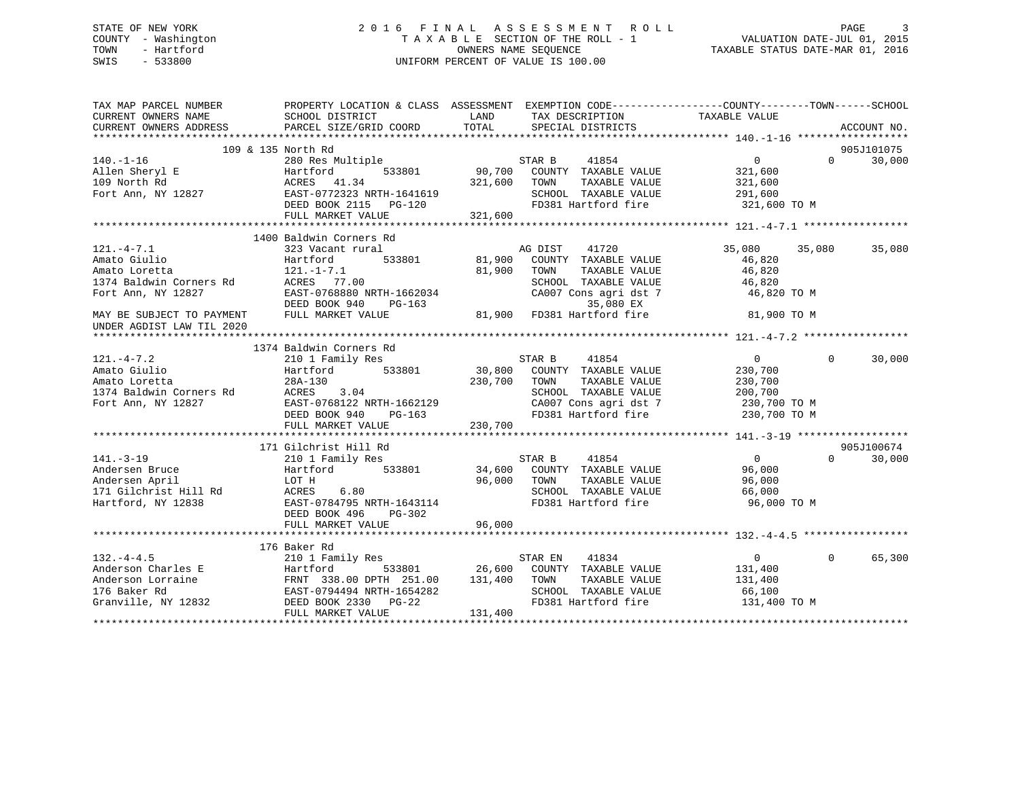### STATE OF NEW YORK 2 0 1 6 F I N A L A S S E S S M E N T R O L L PAGE 3 COUNTY - Washington T A X A B L E SECTION OF THE ROLL - 1 VALUATION DATE-JUL 01, 2015 TOWN - Hartford **TAXABLE STATUS DATE-MAR 01, 2016** OWNERS NAME SEQUENCE TAXABLE STATUS DATE-MAR 01, 2016 SWIS - 533800 UNIFORM PERCENT OF VALUE IS 100.00

| TAX MAP PARCEL NUMBER<br>CURRENT OWNERS NAME  |                                                                                                                                                                                                                                                            | PROPERTY LOCATION & CLASS ASSESSMENT EXEMPTION CODE----------------COUNTY-------TOWN------SCHOOL<br>SCHOOL DISTRICT                           LAND           TAX DESCRIPTION               TAXABLE VALUE                                                                                          |                                               |
|-----------------------------------------------|------------------------------------------------------------------------------------------------------------------------------------------------------------------------------------------------------------------------------------------------------------|---------------------------------------------------------------------------------------------------------------------------------------------------------------------------------------------------------------------------------------------------------------------------------------------------|-----------------------------------------------|
| CURRENT OWNERS ADDRESS PARCEL SIZE/GRID COORD |                                                                                                                                                                                                                                                            | LAND TAX DESCRIPTION TAXABLE VALUE<br>COOPD TOTAL SPECIAL DISTRICTS<br>TOTAL SPECIAL DISTRICTS                                                                                                                                                                                                    | ACCOUNT NO.                                   |
|                                               |                                                                                                                                                                                                                                                            |                                                                                                                                                                                                                                                                                                   |                                               |
|                                               | 109 & 135 North Rd                                                                                                                                                                                                                                         |                                                                                                                                                                                                                                                                                                   | 905J101075                                    |
|                                               |                                                                                                                                                                                                                                                            |                                                                                                                                                                                                                                                                                                   | 30,000<br>$\Omega$                            |
|                                               |                                                                                                                                                                                                                                                            |                                                                                                                                                                                                                                                                                                   |                                               |
|                                               |                                                                                                                                                                                                                                                            |                                                                                                                                                                                                                                                                                                   |                                               |
|                                               |                                                                                                                                                                                                                                                            |                                                                                                                                                                                                                                                                                                   |                                               |
|                                               |                                                                                                                                                                                                                                                            |                                                                                                                                                                                                                                                                                                   |                                               |
|                                               |                                                                                                                                                                                                                                                            |                                                                                                                                                                                                                                                                                                   |                                               |
|                                               |                                                                                                                                                                                                                                                            |                                                                                                                                                                                                                                                                                                   |                                               |
|                                               | 1400 Baldwin Corners Rd                                                                                                                                                                                                                                    |                                                                                                                                                                                                                                                                                                   |                                               |
| $121. -4 - 7.1$                               | 323 Vacant rural                                                                                                                                                                                                                                           | 41720<br>AG DIST                                                                                                                                                                                                                                                                                  | 35,080<br>35,080<br>35,080                    |
|                                               |                                                                                                                                                                                                                                                            | 533801 81,900 COUNTY TAXABLE VALUE                                                                                                                                                                                                                                                                |                                               |
|                                               |                                                                                                                                                                                                                                                            |                                                                                                                                                                                                                                                                                                   | 46,820<br>46,820                              |
|                                               |                                                                                                                                                                                                                                                            |                                                                                                                                                                                                                                                                                                   | 46,820                                        |
|                                               |                                                                                                                                                                                                                                                            |                                                                                                                                                                                                                                                                                                   | 46,820 TO M                                   |
|                                               |                                                                                                                                                                                                                                                            |                                                                                                                                                                                                                                                                                                   |                                               |
|                                               |                                                                                                                                                                                                                                                            |                                                                                                                                                                                                                                                                                                   | 81,900 TO M                                   |
| UNDER AGDIST LAW TIL 2020                     |                                                                                                                                                                                                                                                            | Amato Giulio<br>Amato Giulio Hartford 533801 81,900 COUNTY TAXABLE VALUE<br>Amato Loretta 121.-1-7.1 81,900 COUNTY TAXABLE VALUE<br>1374 Baldwin Corners Rd ACRES 77.00 SCHOOL TAXABLE VALUE<br>Fort Ann, NY 12827 EAST-0768880 NRTH-1                                                            |                                               |
|                                               |                                                                                                                                                                                                                                                            |                                                                                                                                                                                                                                                                                                   |                                               |
|                                               | 1374 Baldwin Corners Rd                                                                                                                                                                                                                                    |                                                                                                                                                                                                                                                                                                   |                                               |
|                                               |                                                                                                                                                                                                                                                            |                                                                                                                                                                                                                                                                                                   | $\Omega$<br>30,000                            |
|                                               |                                                                                                                                                                                                                                                            |                                                                                                                                                                                                                                                                                                   |                                               |
|                                               |                                                                                                                                                                                                                                                            |                                                                                                                                                                                                                                                                                                   |                                               |
|                                               |                                                                                                                                                                                                                                                            |                                                                                                                                                                                                                                                                                                   |                                               |
|                                               |                                                                                                                                                                                                                                                            |                                                                                                                                                                                                                                                                                                   |                                               |
|                                               |                                                                                                                                                                                                                                                            |                                                                                                                                                                                                                                                                                                   |                                               |
|                                               |                                                                                                                                                                                                                                                            | 1374 Baldwin Corners Rd<br>210 1 Family Res<br>210 1 Family Res<br>230,700<br>230,700<br>230,700<br>230,700<br>230,700<br>230,700<br>230,700<br>230,700<br>230,700<br>230,700<br>230,700<br>230,700<br>230,700<br>230,700<br>230,700<br>230,700<br>230,700<br>230,700<br>                         |                                               |
|                                               |                                                                                                                                                                                                                                                            |                                                                                                                                                                                                                                                                                                   |                                               |
|                                               | 171 Gilchrist Hill Rd                                                                                                                                                                                                                                      |                                                                                                                                                                                                                                                                                                   | 905J100674                                    |
| 141.-3-19<br>Andersen Bruce<br>Anril          |                                                                                                                                                                                                                                                            |                                                                                                                                                                                                                                                                                                   | $\overline{0}$<br>$0 \qquad \qquad$<br>30,000 |
|                                               |                                                                                                                                                                                                                                                            |                                                                                                                                                                                                                                                                                                   | 96,000                                        |
|                                               |                                                                                                                                                                                                                                                            |                                                                                                                                                                                                                                                                                                   |                                               |
|                                               |                                                                                                                                                                                                                                                            |                                                                                                                                                                                                                                                                                                   | TAXABLE VALUE 96,000                          |
|                                               |                                                                                                                                                                                                                                                            | 141.-3-19<br>2010 Family Res<br>2010 Family Res<br>2010 Family Res<br>34,600 COUNTY TAXABLE VALUE<br>2010 Family Res<br>34,600 COUNTY TAXABLE VALUE<br>34,600 COUNTY TAXABLE VALUE<br>2011 Family Res<br>34,600 COUNTY TAXABLE VALUE<br>26,000 TOW<br>SCHOOL TAXABLE VALUE<br>FD381 Hartford fire | 66,000                                        |
|                                               |                                                                                                                                                                                                                                                            |                                                                                                                                                                                                                                                                                                   | 96,000 TO M                                   |
|                                               | DEED BOOK 496<br>PG-302                                                                                                                                                                                                                                    |                                                                                                                                                                                                                                                                                                   |                                               |
|                                               |                                                                                                                                                                                                                                                            |                                                                                                                                                                                                                                                                                                   |                                               |
|                                               |                                                                                                                                                                                                                                                            |                                                                                                                                                                                                                                                                                                   |                                               |
|                                               | 176 Baker Rd                                                                                                                                                                                                                                               |                                                                                                                                                                                                                                                                                                   |                                               |
|                                               |                                                                                                                                                                                                                                                            |                                                                                                                                                                                                                                                                                                   | $0 \qquad \qquad$<br>$\Omega$<br>65,300       |
|                                               |                                                                                                                                                                                                                                                            |                                                                                                                                                                                                                                                                                                   | 131,400                                       |
|                                               |                                                                                                                                                                                                                                                            | TAXABLE VALUE                                                                                                                                                                                                                                                                                     | 131,400                                       |
|                                               |                                                                                                                                                                                                                                                            | SCHOOL TAXABLE VALUE<br>FD381 Hartford fire                                                                                                                                                                                                                                                       | 66,100<br>131,400 TO M                        |
|                                               | 132.-4-4.5<br>Anderson Charles E<br>Anderson Lorraine<br>16 Baker Rd<br>Granville, NY 12832<br>EXEL BOOK 2330 PG-22<br>26,600 COUNTY<br>131,400 TOWN<br>533801<br>26,600 COUNTY<br>26,600 COUNTY<br>26,600 COUNTY<br>26,600 COUNTY<br>26,7600 COUNTY<br>27 |                                                                                                                                                                                                                                                                                                   |                                               |
|                                               | FULL MARKET VALUE                                                                                                                                                                                                                                          | 131,400                                                                                                                                                                                                                                                                                           |                                               |
|                                               |                                                                                                                                                                                                                                                            |                                                                                                                                                                                                                                                                                                   |                                               |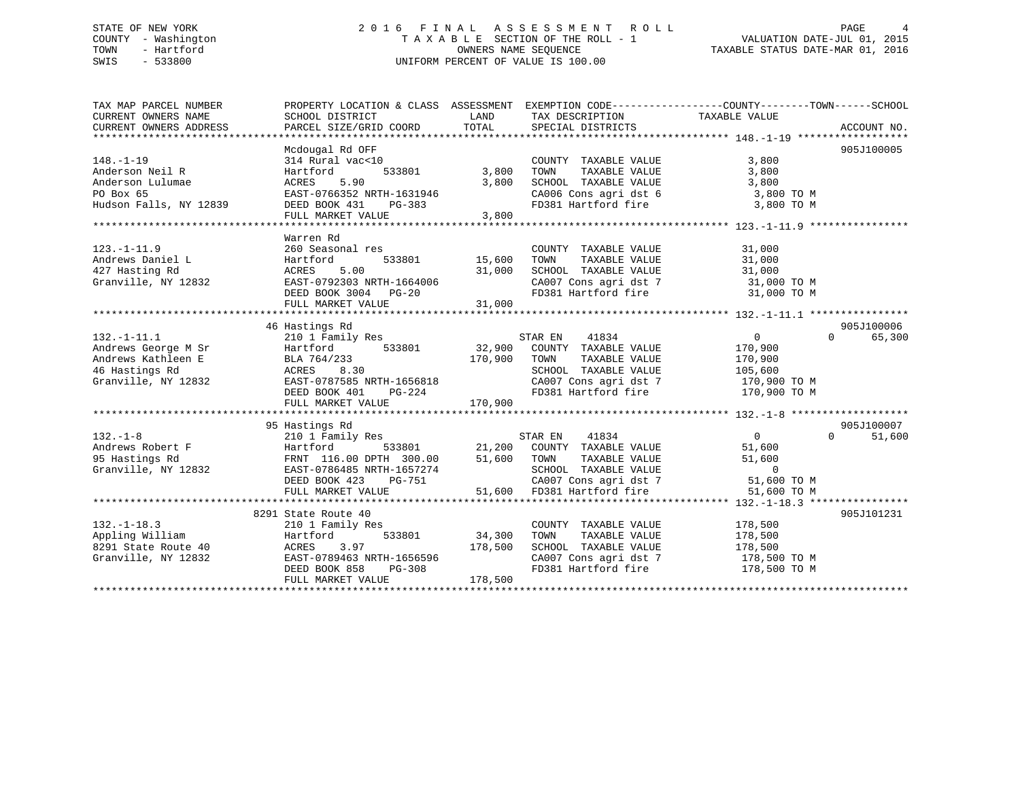#### STATE OF NEW YORK 2 0 1 6 F I N A L A S S E S S M E N T R O L L PAGE 4COUNTY - Washington  $\begin{array}{ccc}\n\text{T A X A B L E} & \text{SECTION OF THE ROLL - 1} \\
\text{T} & \text{M N N E S} & \text{M N N E S} & \text{M N N E S} & \text{M N N E S} & \text{M N N E S} & \text{M N E S} & \text{M N E S} & \text{M N E S} & \text{M N E S} & \text{M N E S} & \text{M N E S} & \text{M N E S} & \text{M N E S} & \text{M N E S} & \text{M N E S} & \text{M N E S} & \text{M N E S} & \text{M$ OWNERS NAME SEQUENCE TAXABLE STATUS DATE-MAR 01, 2016 SWIS - 533800 UNIFORM PERCENT OF VALUE IS 100.00

| TAX MAP PARCEL NUMBER  |                                                                                                         |                  |                                                     | PROPERTY LOCATION & CLASS ASSESSMENT EXEMPTION CODE----------------COUNTY-------TOWN------SCHOOL                                                                                                                         |
|------------------------|---------------------------------------------------------------------------------------------------------|------------------|-----------------------------------------------------|--------------------------------------------------------------------------------------------------------------------------------------------------------------------------------------------------------------------------|
| CURRENT OWNERS NAME    | SCHOOL DISTRICT                                                                                         | LAND             | TAX DESCRIPTION                                     | TAXABLE VALUE                                                                                                                                                                                                            |
| CURRENT OWNERS ADDRESS | PARCEL SIZE/GRID COORD                                                                                  | TOTAL            | SPECIAL DISTRICTS                                   | ACCOUNT NO.                                                                                                                                                                                                              |
|                        |                                                                                                         |                  |                                                     |                                                                                                                                                                                                                          |
|                        | Mcdougal Rd OFF                                                                                         |                  |                                                     | 905J100005                                                                                                                                                                                                               |
| $148. - 1 - 19$        | 314 Rural vac<10                                                                                        |                  | COUNTY TAXABLE VALUE                                | 3,800                                                                                                                                                                                                                    |
| Anderson Neil R        | 533801<br>Hartford                                                                                      | 3,800            | TAXABLE VALUE<br>TOWN                               | 3,800                                                                                                                                                                                                                    |
| Anderson Lulumae       | 5.90<br>ACRES                                                                                           | 3,800            | SCHOOL TAXABLE VALUE                                | 3,800                                                                                                                                                                                                                    |
| PO Box 65              | EAST-0766352 NRTH-1631946                                                                               |                  | CA006 Cons agri dst 6                               | 3,800 TO M                                                                                                                                                                                                               |
| Hudson Falls, NY 12839 | DEED BOOK 431 PG-383                                                                                    |                  | FD381 Hartford fire                                 | 3,800 TO M                                                                                                                                                                                                               |
|                        | FULL MARKET VALUE                                                                                       | 3,800            |                                                     |                                                                                                                                                                                                                          |
|                        |                                                                                                         |                  |                                                     |                                                                                                                                                                                                                          |
|                        | Warren Rd                                                                                               |                  |                                                     |                                                                                                                                                                                                                          |
| $123. - 1 - 11.9$      | 260 Seasonal res                                                                                        |                  | COUNTY TAXABLE VALUE 31,000                         | TAXABLE VALUE<br>TAXABLE VALUE 31,000<br>- ****** 31,000                                                                                                                                                                 |
| Andrews Daniel L       | Hartford<br>533801<br>5.00                                                                              | 15,600<br>31,000 | TOWN                                                |                                                                                                                                                                                                                          |
| 427 Hasting Rd         | ACRES                                                                                                   |                  | SCHOOL TAXABLE VALUE                                |                                                                                                                                                                                                                          |
|                        |                                                                                                         |                  |                                                     |                                                                                                                                                                                                                          |
|                        |                                                                                                         |                  |                                                     |                                                                                                                                                                                                                          |
|                        |                                                                                                         |                  |                                                     | Granville, NY 12832<br>EAST-0792303 NRTH-1664006<br>DEED BOOK 3004 PG-20 FD381 Hartford fire 31,000 TO M<br>FULL MARKET VALUE 31,000<br>FULL MARKET VALUE 31,000<br>FULL MARKET VALUE 31,000<br>TULL MARKET VALUE 31,000 |
|                        | 46 Hastings Rd                                                                                          |                  |                                                     | 905J100006                                                                                                                                                                                                               |
| $132.-1-11.1$          | 210 1 Family Res                                                                                        |                  | 41834<br>STAR EN                                    | $\Omega$<br>65,300<br>$\overline{0}$                                                                                                                                                                                     |
| Andrews George M Sr    | Hartford                                                                                                |                  | 533801 32,900 COUNTY TAXABLE VALUE                  | 170,900                                                                                                                                                                                                                  |
| Andrews Kathleen E     | BLA 764/233                                                                                             | 170,900          | TOWN<br>TAXABLE VALUE                               | 170,900                                                                                                                                                                                                                  |
| 46 Hastings Rd         | $\frac{1}{233}$<br>8.30<br>ACRES                                                                        |                  | SCHOOL TAXABLE VALUE                                | 105,600                                                                                                                                                                                                                  |
| Granville, NY 12832    | EAST-0787585 NRTH-1656818                                                                               |                  |                                                     | CA007 Cons agri dst 7 170,900 TO M                                                                                                                                                                                       |
|                        | DEED BOOK 401<br>PG-224                                                                                 |                  |                                                     | FD381 Hartford fire 170,900 TO M                                                                                                                                                                                         |
|                        | FULL MARKET VALUE                                                                                       | 170,900          |                                                     |                                                                                                                                                                                                                          |
|                        |                                                                                                         |                  |                                                     |                                                                                                                                                                                                                          |
|                        | 95 Hastings Rd                                                                                          |                  |                                                     | 905J100007                                                                                                                                                                                                               |
| $132. - 1 - 8$         | 210 1 Family Res                                                                                        |                  | STAR EN 41834                                       | $\overline{0}$<br>$\Omega$<br>51,600                                                                                                                                                                                     |
| Andrews Robert F       | Hartford                                                                                                |                  | 533801 21,200 COUNTY TAXABLE VALUE                  | 51,600                                                                                                                                                                                                                   |
| 95 Hastings Rd         |                                                                                                         |                  |                                                     |                                                                                                                                                                                                                          |
| Granville, NY 12832    |                                                                                                         |                  | TOWN TAXABLE VALUE 51,600<br>SCHOOL TAXABLE VALUE 6 |                                                                                                                                                                                                                          |
|                        | FRNT 116.00 DPTH 300.00 51,600 TOWN<br>EAST-0786485 NRTH-1657274 SCHOOL<br>DEED BOOK 423 PG-751 CA007 C |                  |                                                     | CA007 Cons agri dst 7 51,600 TO M                                                                                                                                                                                        |
|                        | FULL MARKET VALUE                                                                                       |                  | 51,600 FD381 Hartford fire                          | 51,600 TO M                                                                                                                                                                                                              |
|                        |                                                                                                         |                  |                                                     |                                                                                                                                                                                                                          |
|                        | 8291 State Route 40                                                                                     |                  |                                                     | 905J101231                                                                                                                                                                                                               |
| $132. - 1 - 18.3$      | 210 1 Family Res                                                                                        |                  | COUNTY TAXABLE VALUE                                | 178,500                                                                                                                                                                                                                  |
| Appling William        | 533801<br>Hartford                                                                                      | 34,300           | TOWN<br>TAXABLE VALUE                               | 178,500                                                                                                                                                                                                                  |
| 8291 State Route 40    | ACRES<br>3.97                                                                                           | 178,500          | SCHOOL TAXABLE VALUE                                | 178,500                                                                                                                                                                                                                  |
| Granville, NY 12832    | EAST-0789463 NRTH-1656596                                                                               |                  | CA007 Cons agri dst 7                               | 178,500 TO M                                                                                                                                                                                                             |
|                        | DEED BOOK 858<br>$PG-308$                                                                               |                  | FD381 Hartford fire                                 | 178,500 TO M                                                                                                                                                                                                             |
|                        | FULL MARKET VALUE                                                                                       | 178,500          |                                                     |                                                                                                                                                                                                                          |
|                        |                                                                                                         |                  |                                                     |                                                                                                                                                                                                                          |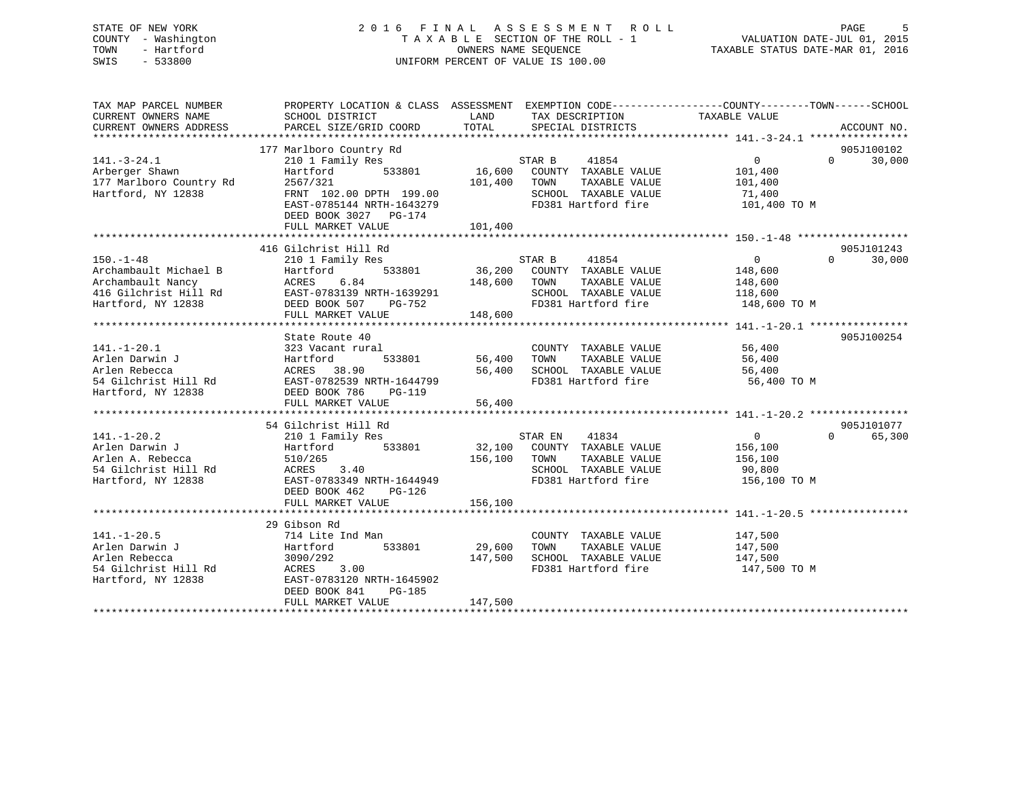### STATE OF NEW YORK 2 0 1 6 F I N A L A S S E S S M E N T R O L L PAGE 5 COUNTY - Washington T A X A B L E SECTION OF THE ROLL - 1 VALUATION DATE-JUL 01, 2015 TOWN - Hartford **TAXABLE STATUS DATE-MAR 01, 2016** OWNERS NAME SEQUENCE TAXABLE STATUS DATE-MAR 01, 2016 SWIS - 533800 UNIFORM PERCENT OF VALUE IS 100.00

| SCHOOL DISTRICT<br>PARCEL SIZE/GRID COORD                                                                                                       | LAND<br>TOTAL                                                                                        | TAX DESCRIPTION<br>SPECIAL DISTRICTS                                                                  | TAXABLE VALUE                                                                                                      |                                                                                                                                                                                                                                                                |
|-------------------------------------------------------------------------------------------------------------------------------------------------|------------------------------------------------------------------------------------------------------|-------------------------------------------------------------------------------------------------------|--------------------------------------------------------------------------------------------------------------------|----------------------------------------------------------------------------------------------------------------------------------------------------------------------------------------------------------------------------------------------------------------|
| 177 Marlboro Country Rd<br>210 1 Family Res<br>533801<br>Hartford<br>2567/321<br>DEED BOOK 3027 PG-174                                          | 101,400                                                                                              | 41854<br>COUNTY TAXABLE VALUE<br>TOWN<br>TAXABLE VALUE<br>SCHOOL TAXABLE VALUE<br>FD381 Hartford fire | $\overline{0}$<br>$\Omega$<br>101,400<br>101,400<br>71,400<br>101,400 TO M                                         |                                                                                                                                                                                                                                                                |
|                                                                                                                                                 |                                                                                                      |                                                                                                       |                                                                                                                    |                                                                                                                                                                                                                                                                |
|                                                                                                                                                 |                                                                                                      |                                                                                                       |                                                                                                                    |                                                                                                                                                                                                                                                                |
| 210 1 Family Res<br>533801<br>Hartford<br>6.84<br>ACRES<br>EAST-0783139 NRTH-1639291<br>DEED BOOK 507<br>PG-752<br>FULL MARKET VALUE            | 36,200<br>148,600<br>148,600                                                                         | 41854<br>COUNTY TAXABLE VALUE<br>TOWN<br>TAXABLE VALUE<br>SCHOOL TAXABLE VALUE                        | $\overline{0}$<br>$\Omega$<br>148,600<br>148,600<br>118,600<br>148,600 TO M                                        |                                                                                                                                                                                                                                                                |
|                                                                                                                                                 |                                                                                                      |                                                                                                       |                                                                                                                    |                                                                                                                                                                                                                                                                |
| 323 Vacant rural<br>Hartford<br>533801<br>ACRES 38.90<br>EAST-0782539 NRTH-1644799<br>DEED BOOK 786<br>PG-119<br>FULL MARKET VALUE              | 56,400<br>56,400<br>56,400                                                                           | COUNTY TAXABLE VALUE<br>TAXABLE VALUE<br>TOWN                                                         | 56,400<br>56,400<br>56,400<br>56,400 TO M                                                                          |                                                                                                                                                                                                                                                                |
|                                                                                                                                                 |                                                                                                      |                                                                                                       |                                                                                                                    |                                                                                                                                                                                                                                                                |
| 210 1 Family Res<br>Hartford<br>533801<br>510/265<br>3.40<br>ACRES<br>EAST-0783349 NRTH-1644949<br>DEED BOOK 462<br>PG-126<br>FULL MARKET VALUE | 156,100<br>156,100                                                                                   | TAXABLE VALUE<br>TOWN<br>SCHOOL TAXABLE VALUE                                                         | $\overline{0}$<br>$\Omega$<br>156,100<br>156,100<br>90,800<br>156,100 TO M                                         |                                                                                                                                                                                                                                                                |
|                                                                                                                                                 |                                                                                                      |                                                                                                       |                                                                                                                    |                                                                                                                                                                                                                                                                |
| 714 Lite Ind Man<br>Hartford<br>533801<br>3090/292<br>ACRES 3.00<br>EAST-0783120 NRTH-1645902<br>DEED BOOK 841<br>PG-185<br>FULL MARKET VALUE   | 29,600<br>147,500<br>147,500                                                                         | COUNTY TAXABLE VALUE<br>TOWN<br>TAXABLE VALUE<br>SCHOOL TAXABLE VALUE<br>FD381 Hartford fire          | 147,500<br>147,500<br>147,500<br>147,500 TO M                                                                      |                                                                                                                                                                                                                                                                |
|                                                                                                                                                 | FULL MARKET VALUE<br>416 Gilchrist Hill Rd<br>State Route 40<br>54 Gilchrist Hill Rd<br>29 Gibson Rd | FRNT 102.00 DPTH 199.00<br>EAST-0785144 NRTH-1643279<br>101,400                                       | PROPERTY LOCATION & CLASS ASSESSMENT<br>STAR B<br>16,600<br>STAR B<br>STAR EN 41834<br>32,100 COUNTY TAXABLE VALUE | EXEMPTION CODE-----------------COUNTY-------TOWN------SCHOOL<br>ACCOUNT NO.<br>905J100102<br>30,000<br>905J101243<br>30,000<br>FD381 Hartford fire<br>905J100254<br>SCHOOL TAXABLE VALUE<br>FD381 Hartford fire<br>905J101077<br>65,300<br>FD381 Hartford fire |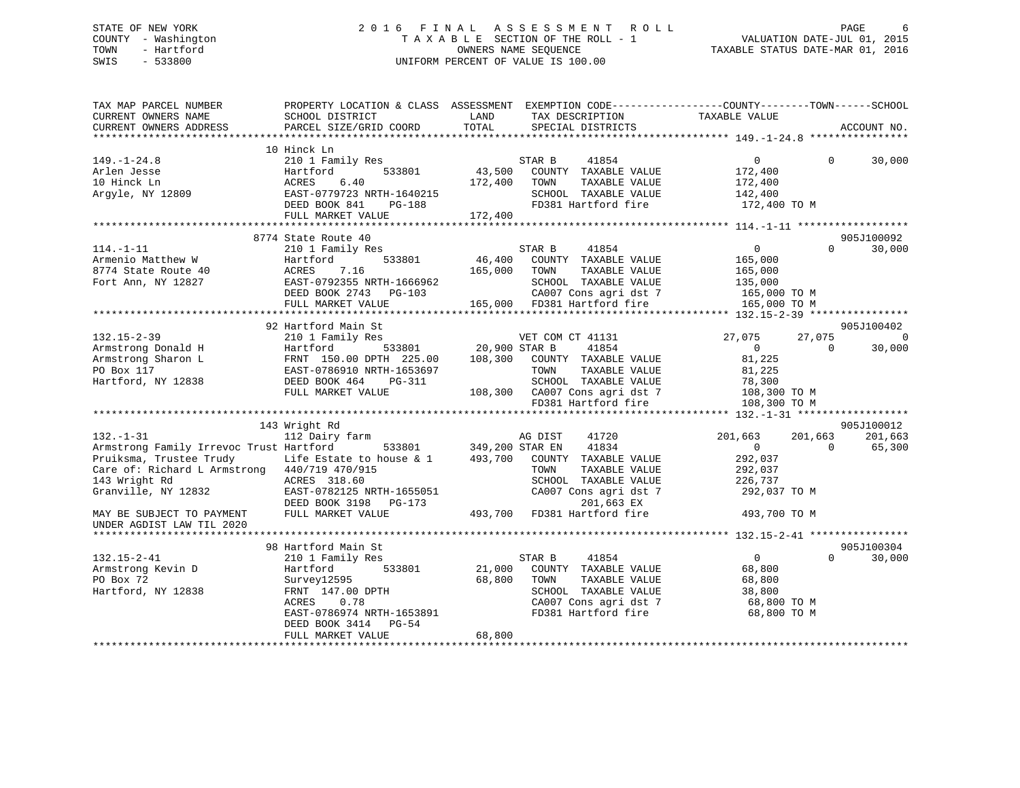### STATE OF NEW YORK 2 0 1 6 F I N A L A S S E S S M E N T R O L L PAGE 6 COUNTY - Washington T A X A B L E SECTION OF THE ROLL - 1 VALUATION DATE-JUL 01, 2015 TOWN - Hartford **TAXABLE STATUS DATE-MAR 01, 2016** OWNERS NAME SEQUENCE TAXABLE STATUS DATE-MAR 01, 2016 SWIS - 533800 UNIFORM PERCENT OF VALUE IS 100.00

| TAX MAP PARCEL NUMBER<br>CURRENT OWNERS NAME                                                                                                                                                                                                                                       | PROPERTY LOCATION & CLASS ASSESSMENT<br>SCHOOL DISTRICT                                                                                                                                                                                                                                                                                                                | LAND                          | EXEMPTION CODE-----------------COUNTY-------TOWN------SCHOOL<br>TAX DESCRIPTION                                                                                                                                                                                                                                                                                    | TAXABLE VALUE                                                                                                                                                                                               |                                           |                                                                        |
|------------------------------------------------------------------------------------------------------------------------------------------------------------------------------------------------------------------------------------------------------------------------------------|------------------------------------------------------------------------------------------------------------------------------------------------------------------------------------------------------------------------------------------------------------------------------------------------------------------------------------------------------------------------|-------------------------------|--------------------------------------------------------------------------------------------------------------------------------------------------------------------------------------------------------------------------------------------------------------------------------------------------------------------------------------------------------------------|-------------------------------------------------------------------------------------------------------------------------------------------------------------------------------------------------------------|-------------------------------------------|------------------------------------------------------------------------|
| CURRENT OWNERS ADDRESS                                                                                                                                                                                                                                                             | PARCEL SIZE/GRID COORD                                                                                                                                                                                                                                                                                                                                                 | TOTAL                         | SPECIAL DISTRICTS                                                                                                                                                                                                                                                                                                                                                  |                                                                                                                                                                                                             |                                           | ACCOUNT NO.                                                            |
| ***********************                                                                                                                                                                                                                                                            |                                                                                                                                                                                                                                                                                                                                                                        |                               |                                                                                                                                                                                                                                                                                                                                                                    |                                                                                                                                                                                                             |                                           |                                                                        |
| $149. - 1 - 24.8$<br>Arlen Jesse<br>10 Hinck Ln<br>Argyle, NY 12809                                                                                                                                                                                                                | 10 Hinck Ln<br>210 1 Family Res<br>533801<br>Hartford<br>ACRES<br>6.40<br>EAST-0779723 NRTH-1640215<br>DEED BOOK 841<br>$PG-188$                                                                                                                                                                                                                                       | 43,500<br>172,400             | 41854<br>STAR B<br>COUNTY TAXABLE VALUE<br>TOWN<br>TAXABLE VALUE<br>SCHOOL TAXABLE VALUE<br>FD381 Hartford fire                                                                                                                                                                                                                                                    | $\overline{0}$<br>172,400<br>172,400<br>142,400<br>172,400 TO M                                                                                                                                             | $\Omega$                                  | 30,000                                                                 |
|                                                                                                                                                                                                                                                                                    | FULL MARKET VALUE                                                                                                                                                                                                                                                                                                                                                      | 172,400                       |                                                                                                                                                                                                                                                                                                                                                                    |                                                                                                                                                                                                             |                                           |                                                                        |
|                                                                                                                                                                                                                                                                                    |                                                                                                                                                                                                                                                                                                                                                                        |                               |                                                                                                                                                                                                                                                                                                                                                                    |                                                                                                                                                                                                             |                                           |                                                                        |
| $114. - 1 - 11$<br>Armenio Matthew W<br>8774 State Route 40<br>Fort Ann, NY 12827                                                                                                                                                                                                  | 8774 State Route 40<br>210 1 Family Res<br>533801<br>Hartford<br>ACRES<br>7.16<br>EAST-0792355 NRTH-1666962<br>DEED BOOK 2743<br>PG-103<br>FULL MARKET VALUE                                                                                                                                                                                                           | 46,400<br>165,000<br>165,000  | STAR B<br>41854<br>COUNTY TAXABLE VALUE<br>TOWN<br>TAXABLE VALUE<br>SCHOOL TAXABLE VALUE<br>CA007 Cons agri dst 7<br>FD381 Hartford fire                                                                                                                                                                                                                           | $\overline{0}$<br>165,000<br>165,000<br>135,000<br>165,000 TO M<br>165,000 TO M                                                                                                                             | $\Omega$                                  | 905J100092<br>30,000                                                   |
|                                                                                                                                                                                                                                                                                    |                                                                                                                                                                                                                                                                                                                                                                        |                               |                                                                                                                                                                                                                                                                                                                                                                    |                                                                                                                                                                                                             |                                           |                                                                        |
| $132.15 - 2 - 39$<br>Armstrong Donald H<br>Armstrong Sharon L<br>PO Box 117<br>Hartford, NY 12838<br>$132. - 1 - 31$<br>Armstrong Family Irrevoc Trust Hartford<br>Pruiksma, Trustee Trudy<br>Care of: Richard L Armstrong 440/719 470/915<br>143 Wright Rd<br>Granville, NY 12832 | 92 Hartford Main St<br>210 1 Family Res<br>533801<br>Hartford<br>FRNT 150.00 DPTH 225.00<br>EAST-0786910 NRTH-1653697<br>DEED BOOK 464<br><b>PG-311</b><br>FULL MARKET VALUE<br>************************************<br>143 Wright Rd<br>112 Dairy farm<br>533801<br>Life Estate to house & 1<br>ACRES 318.60<br>EAST-0782125 NRTH-1655051<br>DEED BOOK 3198<br>PG-173 | 108,300<br>108,300<br>493,700 | VET COM CT 41131<br>20,900 STAR B<br>41854<br>COUNTY TAXABLE VALUE<br>TAXABLE VALUE<br>TOWN<br>SCHOOL TAXABLE VALUE<br>CA007 Cons agri dst 7<br>FD381 Hartford fire<br>***************************<br>AG DIST<br>41720<br>349,200 STAR EN<br>41834<br>COUNTY TAXABLE VALUE<br>TOWN<br>TAXABLE VALUE<br>SCHOOL TAXABLE VALUE<br>CA007 Cons agri dst 7<br>201,663 EX | 27,075<br>$\overline{0}$<br>81,225<br>81,225<br>78,300<br>108,300 TO M<br>108,300 TO M<br>******* 132. -1-31 ******************<br>201,663<br>$\mathbf{0}$<br>292,037<br>292,037<br>226,737<br>292,037 TO M | 27,075<br>$\Omega$<br>201,663<br>$\Omega$ | 905J100402<br>$\mathbf 0$<br>30,000<br>905J100012<br>201,663<br>65,300 |
| MAY BE SUBJECT TO PAYMENT<br>UNDER AGDIST LAW TIL 2020                                                                                                                                                                                                                             | FULL MARKET VALUE                                                                                                                                                                                                                                                                                                                                                      | 493,700                       | FD381 Hartford fire                                                                                                                                                                                                                                                                                                                                                | 493,700 TO M                                                                                                                                                                                                |                                           |                                                                        |
|                                                                                                                                                                                                                                                                                    |                                                                                                                                                                                                                                                                                                                                                                        |                               |                                                                                                                                                                                                                                                                                                                                                                    |                                                                                                                                                                                                             |                                           |                                                                        |
| $132.15 - 2 - 41$<br>Armstrong Kevin D<br>PO Box 72<br>Hartford, NY 12838                                                                                                                                                                                                          | 98 Hartford Main St<br>210 1 Family Res<br>Hartford<br>533801<br>Survey12595<br>FRNT 147.00 DPTH<br>0.78<br>ACRES<br>EAST-0786974 NRTH-1653891<br>DEED BOOK 3414<br>$PG-54$<br>FULL MARKET VALUE                                                                                                                                                                       | 21,000<br>68,800<br>68,800    | STAR B<br>41854<br>COUNTY TAXABLE VALUE<br>TOWN<br>TAXABLE VALUE<br>SCHOOL TAXABLE VALUE<br>CA007 Cons agri dst 7<br>FD381 Hartford fire                                                                                                                                                                                                                           | $\overline{0}$<br>68,800<br>68,800<br>38,800<br>68,800 TO M<br>68,800 TO M                                                                                                                                  | $\Omega$                                  | 905J100304<br>30,000                                                   |
|                                                                                                                                                                                                                                                                                    |                                                                                                                                                                                                                                                                                                                                                                        |                               |                                                                                                                                                                                                                                                                                                                                                                    |                                                                                                                                                                                                             |                                           |                                                                        |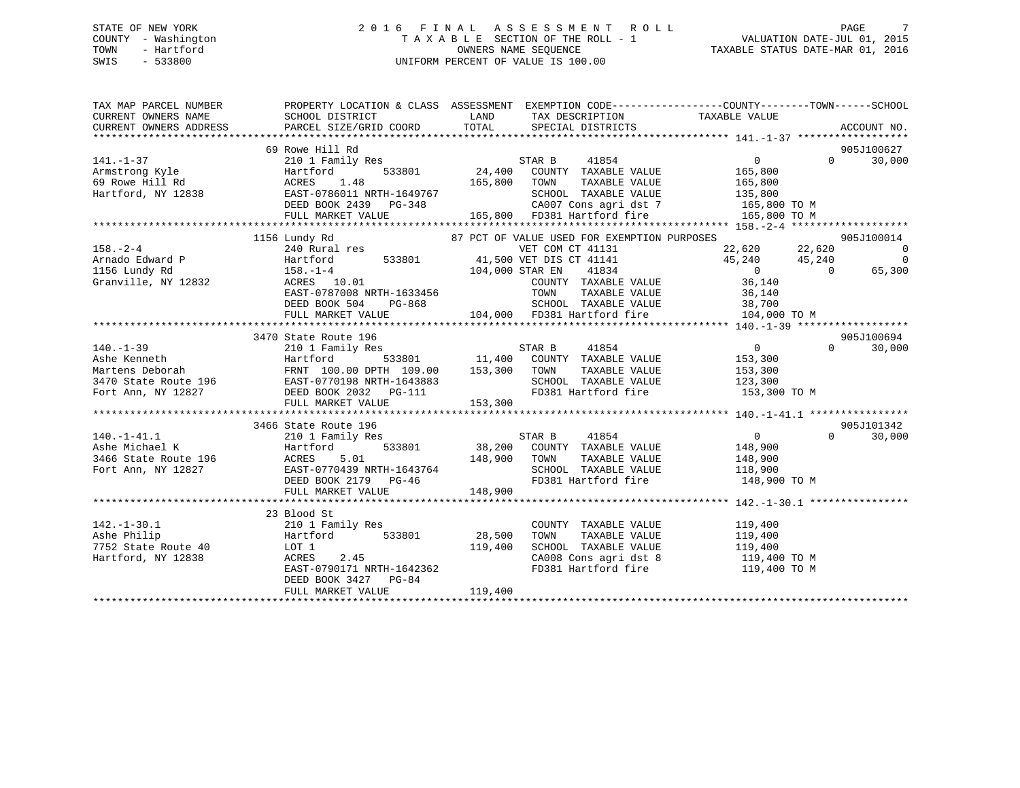### STATE OF NEW YORK 2 0 1 6 F I N A L A S S E S S M E N T R O L L PAGE 7 COUNTY - Washington T A X A B L E SECTION OF THE ROLL - 1 VALUATION DATE-JUL 01, 2015 TOWN - Hartford **TAXABLE STATUS DATE-MAR 01, 2016** OWNERS NAME SEQUENCE TAXABLE STATUS DATE-MAR 01, 2016 SWIS - 533800 UNIFORM PERCENT OF VALUE IS 100.00

| TAXABLE VALUE<br>LAND TAX DESCRIPTION                                                                                                                                                                                                                                                       |          | PROPERTY LOCATION & CLASS ASSESSMENT EXEMPTION CODE---------------COUNTY-------TOWN-----SCHOOL |
|---------------------------------------------------------------------------------------------------------------------------------------------------------------------------------------------------------------------------------------------------------------------------------------------|----------|------------------------------------------------------------------------------------------------|
| TOTAL SPECIAL DISTRICTS<br>PARCEL SIZE/GRID COORD                                                                                                                                                                                                                                           |          | ACCOUNT NO.                                                                                    |
|                                                                                                                                                                                                                                                                                             |          |                                                                                                |
| 69 Rowe Hill Rd                                                                                                                                                                                                                                                                             | $\Omega$ | 905J100627<br>30,000                                                                           |
|                                                                                                                                                                                                                                                                                             |          |                                                                                                |
|                                                                                                                                                                                                                                                                                             |          |                                                                                                |
|                                                                                                                                                                                                                                                                                             |          |                                                                                                |
| SCHOOL TAXABLE VALUE 135,800<br>CA007 Cons agri dst 7 165,800 TO M                                                                                                                                                                                                                          |          |                                                                                                |
| 165,800 TO M                                                                                                                                                                                                                                                                                |          |                                                                                                |
|                                                                                                                                                                                                                                                                                             |          |                                                                                                |
| 87 PCT OF VALUE USED FOR EXEMPTION PURPOSES<br>1156 Lundy Rd                                                                                                                                                                                                                                |          | 905J100014                                                                                     |
| 158.-2-4<br>240 Rural res<br>240 Rural res<br>240 Rural res<br>533801<br>533801<br>240 Rural res<br>533801<br>240 Rural res<br>533801<br>240 80 158.-1-4<br>26 104,000 STAR EN<br>200 STAR EN<br>200 STAR EN<br>200 200 1134<br>200 COUNTY TAXABLE VALUE<br>22,620 22,620<br>$158. - 2 - 4$ |          | $\overline{0}$                                                                                 |
| $45,240$ $45,240$ 0                                                                                                                                                                                                                                                                         |          | $\overline{0}$                                                                                 |
|                                                                                                                                                                                                                                                                                             |          | 65,300                                                                                         |
| Granville, NY 12832 $\overline{ACRES}$ 10.01<br>TAK EN TIOUR<br>COUNTY TAXABLE VALUE 36,140<br>TOWN TAXABLE VALUE 36,140                                                                                                                                                                    |          |                                                                                                |
| $\texttt{EAST-0787008}$ NRTH-1633456                                                                                                                                                                                                                                                        |          |                                                                                                |
| PG-868 5CHOOL TAXABLE VALUE 38,700<br>DUE 104,000 FD381 Hartford fire 104,000 TO M<br>DEED BOOK 504                                                                                                                                                                                         |          |                                                                                                |
| FULL MARKET VALUE                                                                                                                                                                                                                                                                           |          |                                                                                                |
|                                                                                                                                                                                                                                                                                             |          |                                                                                                |
| 3470 State Route 196                                                                                                                                                                                                                                                                        |          | 905J100694                                                                                     |
| UN ESSAY STAR B 41854 0<br>11,400 COUNTY TAXABLE VALUE 153,300<br>$140. -1 - 39$                                                                                                                                                                                                            |          | 30,000<br>$\Omega$                                                                             |
|                                                                                                                                                                                                                                                                                             |          |                                                                                                |
| TOWN TAXABLE VALUE 153,300<br>SCHOOL TAXABLE VALUE 123,300<br>FD381 Hartford fire 153,300 TO M                                                                                                                                                                                              |          |                                                                                                |
|                                                                                                                                                                                                                                                                                             |          |                                                                                                |
|                                                                                                                                                                                                                                                                                             |          |                                                                                                |
|                                                                                                                                                                                                                                                                                             |          |                                                                                                |
| 3466 State Route 196                                                                                                                                                                                                                                                                        |          | 905J101342                                                                                     |
|                                                                                                                                                                                                                                                                                             |          | $\Omega$<br>30,000                                                                             |
|                                                                                                                                                                                                                                                                                             |          |                                                                                                |
|                                                                                                                                                                                                                                                                                             |          |                                                                                                |
|                                                                                                                                                                                                                                                                                             |          |                                                                                                |
| TOWN TAXABLE VALUE $148,900$<br>SCHOOL TAXABLE VALUE 118,900<br>FD381 Hartford fire 148,900 TO M                                                                                                                                                                                            |          |                                                                                                |
| 148,900<br>FULL MARKET VALUE                                                                                                                                                                                                                                                                |          |                                                                                                |
|                                                                                                                                                                                                                                                                                             |          |                                                                                                |
| 23 Blood St                                                                                                                                                                                                                                                                                 |          |                                                                                                |
| COUNTY TAXABLE VALUE 119,400<br>TOWN TAXABLE VALUE 119,400                                                                                                                                                                                                                                  |          |                                                                                                |
| 142.-1-30.1<br>Ashe Philip (210 1 Family Res)<br>7752 State Route 40 (200 1 167 1 2013)<br>Hartford, NY 12838 (2.45 120017)<br>FROM 0700173 1999 120025<br>28,500                                                                                                                           |          |                                                                                                |
| SCHOOL TAXABLE VALUE 119,400<br>119,400<br>LOT 1 19,400<br>ACRES 2.45 119,400<br>EAST-0790171 NRTH-1642362                                                                                                                                                                                  |          |                                                                                                |
| CA008 Cons agri dst 8<br>FD381 Hartford fire<br>119,400 TO M<br>119,400 TO M                                                                                                                                                                                                                |          |                                                                                                |
|                                                                                                                                                                                                                                                                                             |          |                                                                                                |
| DEED BOOK 3427 PG-84                                                                                                                                                                                                                                                                        |          |                                                                                                |
| 119,400<br>FULL MARKET VALUE                                                                                                                                                                                                                                                                |          |                                                                                                |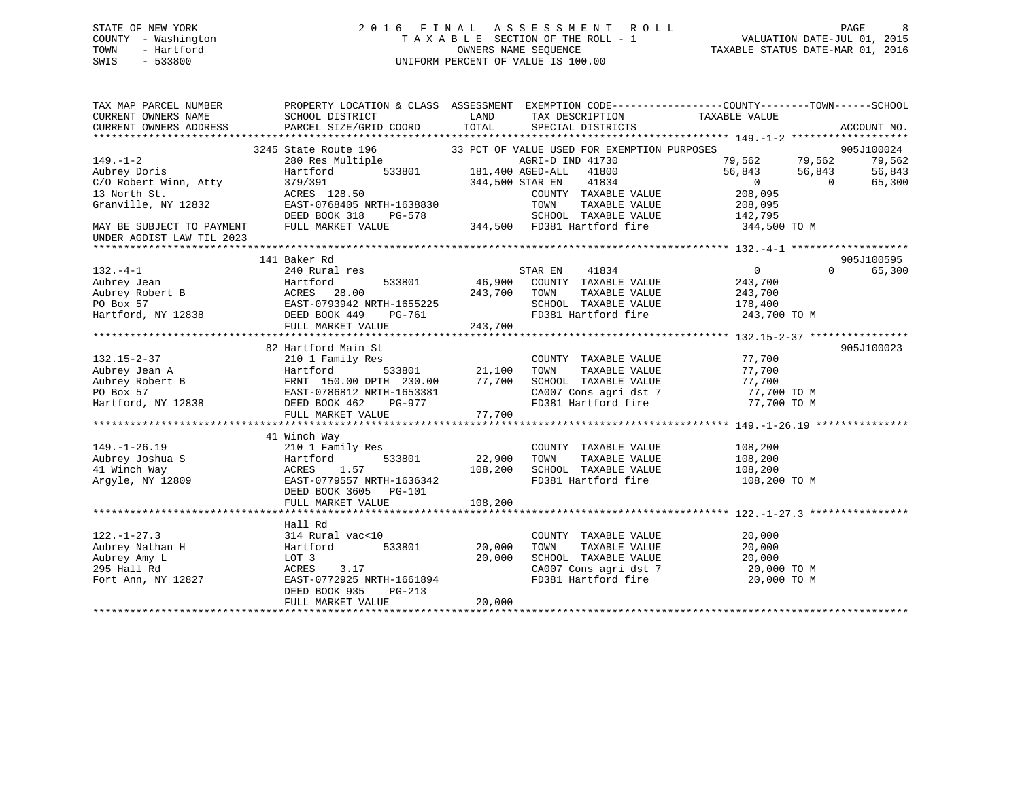### STATE OF NEW YORK 2 0 1 6 F I N A L A S S E S S M E N T R O L L PAGE 8 COUNTY - Washington T A X A B L E SECTION OF THE ROLL - 1 VALUATION DATE-JUL 01, 2015 TOWN - Hartford **TAXABLE STATUS DATE-MAR 01, 2016** OWNERS NAME SEQUENCE TAXABLE STATUS DATE-MAR 01, 2016 SWIS - 533800 UNIFORM PERCENT OF VALUE IS 100.00

| TAX MAP PARCEL NUMBER<br>CURRENT OWNERS NAME<br>CURRENT OWNERS ADDRESS | PROPERTY LOCATION & CLASS ASSESSMENT EXEMPTION CODE----------------COUNTY-------TOWN-----SCHOOL<br>SCHOOL DISTRICT<br>PARCEL SIZE/GRID COORD | LAND<br>TOTAL                           | TAX DESCRIPTION<br>SPECIAL DISTRICTS                | TAXABLE VALUE                  |          | ACCOUNT NO. |
|------------------------------------------------------------------------|----------------------------------------------------------------------------------------------------------------------------------------------|-----------------------------------------|-----------------------------------------------------|--------------------------------|----------|-------------|
|                                                                        |                                                                                                                                              |                                         |                                                     |                                |          |             |
|                                                                        | 3245 State Route 196 33 PCT OF VALUE USED FOR EXEMPTION PURPOSES                                                                             |                                         |                                                     |                                |          | 905J100024  |
| $149. - 1 - 2$                                                         | 280 Res Multiple                                                                                                                             |                                         | AGRI-D IND 41730                                    | 79,562 79,562<br>56,843 56.843 |          | 79,562      |
| Aubrey Doris                                                           | Hartford                                                                                                                                     | e AGRI-D INI<br>533801 181,400 AGED-ALL | 41800                                               |                                |          | 56,843      |
| C/O Robert Winn, Atty                                                  | 379/391                                                                                                                                      | 344,500 STAR EN                         | 41834                                               | $\overline{0}$                 | $\Omega$ | 65,300      |
| 13 North St.                                                           | ACRES 128.50                                                                                                                                 |                                         | COUNTY TAXABLE VALUE                                | 208,095                        |          |             |
| Granville, NY 12832                                                    | EAST-0768405 NRTH-1638830                                                                                                                    |                                         | TOWN<br>TAXABLE VALUE                               | 208,095                        |          |             |
|                                                                        | DEED BOOK 318<br>PG-578                                                                                                                      |                                         | SCHOOL TAXABLE VALUE                                | 142,795                        |          |             |
| MAY BE SUBJECT TO PAYMENT                                              | FULL MARKET VALUE                                                                                                                            |                                         | SCHOOD TAXABLE VALUE<br>344,500 FD381 Hartford fire | 344,500 TO M                   |          |             |
| UNDER AGDIST LAW TIL 2023                                              |                                                                                                                                              |                                         |                                                     |                                |          |             |
|                                                                        |                                                                                                                                              |                                         |                                                     |                                |          |             |
|                                                                        | 141 Baker Rd                                                                                                                                 |                                         |                                                     |                                |          | 905J100595  |
| $132 - 4 - 1$                                                          | 240 Rural res                                                                                                                                |                                         | STAR EN 41834                                       | $\overline{0}$                 | $\Omega$ | 65,300      |
| Aubrey Jean                                                            | 533801<br>Hartford                                                                                                                           |                                         | 46,900 COUNTY TAXABLE VALUE                         | 243,700                        |          |             |
| Aubrey Robert B<br>Aubrey Robert B                                     | ACRES 28.00                                                                                                                                  | 243,700 TOWN                            | TAXABLE VALUE                                       | 243,700                        |          |             |
|                                                                        |                                                                                                                                              |                                         | SCHOOL TAXABLE VALUE                                | 178,400                        |          |             |
| PO Box 57<br>Hartford, NY 12838                                        | EAST-0793942 NRTH-1655225<br>DEED BOOK 449 PG-761                                                                                            |                                         | FD381 Hartford fire 243,700 TO M                    |                                |          |             |
|                                                                        | FULL MARKET VALUE                                                                                                                            | 243,700                                 |                                                     |                                |          |             |
|                                                                        |                                                                                                                                              |                                         |                                                     |                                |          |             |
|                                                                        | 82 Hartford Main St                                                                                                                          |                                         |                                                     |                                |          | 905J100023  |
| $132.15 - 2 - 37$                                                      | 210 1 Family Res                                                                                                                             |                                         | COUNTY TAXABLE VALUE                                | 77,700                         |          |             |
| Aubrey Jean A                                                          | з<br>533801<br>Hartford                                                                                                                      | 21,100                                  | TOWN<br>TAXABLE VALUE                               | 77,700                         |          |             |
| Aubrey Robert B                                                        | FRNT 150.00 DPTH 230.00<br>FRNT 150.00 DPTH 230.00<br>EAST-0786812 NRTH-1653381                                                              | 77,700                                  | SCHOOL TAXABLE VALUE                                | 77,700                         |          |             |
| PO Box 57                                                              |                                                                                                                                              |                                         | CA007 Cons agri dst 7 77,700 TO M                   |                                |          |             |
| Hartford, NY 12838                                                     | DEED BOOK 462<br>PG-977                                                                                                                      |                                         | FD381 Hartford fire                                 | 77,700 TO M                    |          |             |
|                                                                        | FULL MARKET VALUE                                                                                                                            | 77,700                                  |                                                     |                                |          |             |
|                                                                        |                                                                                                                                              |                                         |                                                     |                                |          |             |
|                                                                        | 41 Winch Way                                                                                                                                 |                                         |                                                     |                                |          |             |
| $149. - 1 - 26.19$                                                     | 210 1 Family Res                                                                                                                             |                                         | COUNTY TAXABLE VALUE                                | 108, 200                       |          |             |
| Aubrey Joshua S                                                        | 533801<br>Hartford                                                                                                                           | 22,900                                  | TOWN<br>TAXABLE VALUE                               | 108,200                        |          |             |
| 41 Winch Way                                                           | 1.57<br>ACRES                                                                                                                                | 108,200                                 | SCHOOL TAXABLE VALUE                                | 108,200                        |          |             |
| Argyle, NY 12809                                                       | EAST-0779557 NRTH-1636342                                                                                                                    |                                         | FD381 Hartford fire                                 | 108,200 TO M                   |          |             |
|                                                                        | DEED BOOK 3605 PG-101                                                                                                                        |                                         |                                                     |                                |          |             |
|                                                                        | FULL MARKET VALUE                                                                                                                            | 108,200                                 |                                                     |                                |          |             |
|                                                                        |                                                                                                                                              |                                         |                                                     |                                |          |             |
| $122. - 1 - 27.3$                                                      | Hall Rd                                                                                                                                      |                                         |                                                     |                                |          |             |
| Aubrey Nathan H                                                        | 314 Rural vac<10<br>533801<br>Hartford                                                                                                       | 20,000                                  | COUNTY TAXABLE VALUE<br>TAXABLE VALUE<br>TOWN       | 20,000<br>20,000               |          |             |
|                                                                        | LOT 3                                                                                                                                        | 20,000                                  | SCHOOL TAXABLE VALUE                                |                                |          |             |
| Aubrey Amy L<br>295 Hall Rd                                            | ACRES<br>3.17                                                                                                                                |                                         |                                                     | 20,000<br>20,000 TO M          |          |             |
| Fort Ann, NY 12827                                                     | EAST-0772925 NRTH-1661894                                                                                                                    |                                         | CA007 Cons agri dst 7<br>FD381 Hartford fire        | 20,000 TO M                    |          |             |
|                                                                        | DEED BOOK 935<br>PG-213                                                                                                                      |                                         |                                                     |                                |          |             |
|                                                                        | FULL MARKET VALUE                                                                                                                            | 20,000                                  |                                                     |                                |          |             |
|                                                                        |                                                                                                                                              |                                         |                                                     |                                |          |             |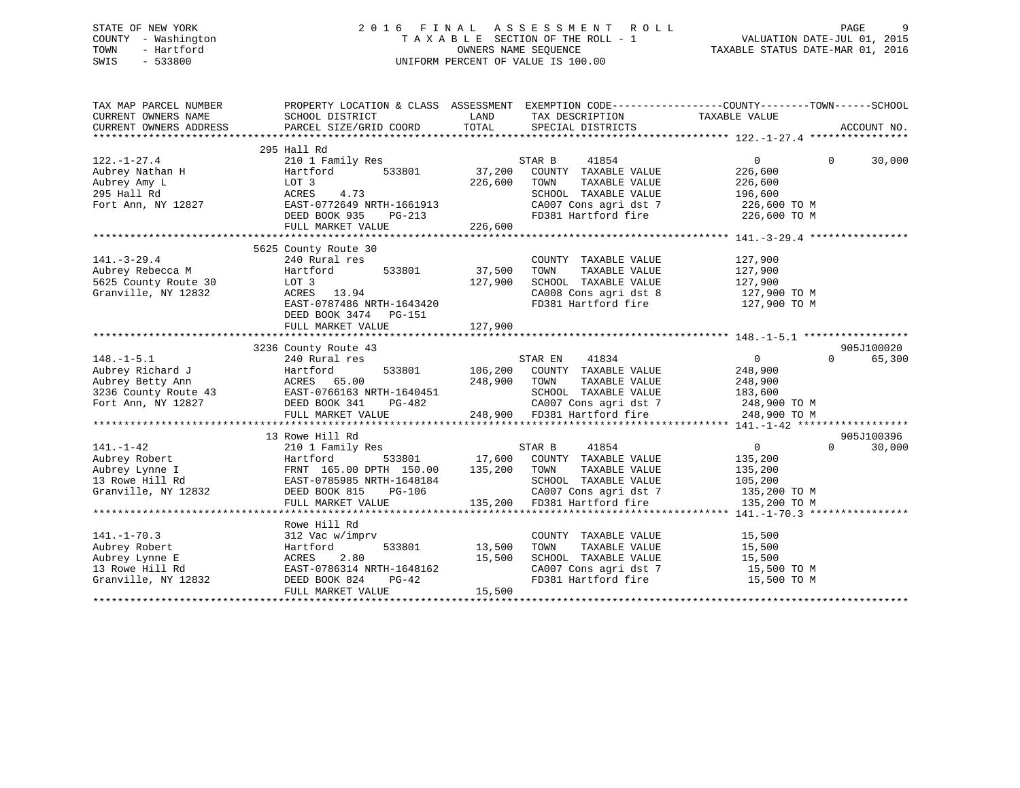### STATE OF NEW YORK 2 0 1 6 F I N A L A S S E S S M E N T R O L L PAGE 9 COUNTY - Washington T A X A B L E SECTION OF THE ROLL - 1 VALUATION DATE-JUL 01, 2015 TOWN - Hartford **TAXABLE STATUS DATE-MAR 01, 2016** OWNERS NAME SEQUENCE TAXABLE STATUS DATE-MAR 01, 2016 SWIS - 533800 UNIFORM PERCENT OF VALUE IS 100.00

| TAX MAP PARCEL NUMBER<br>CURRENT OWNERS NAME<br>CURRENT OWNERS ADDRESS | PROPERTY LOCATION & CLASS ASSESSMENT EXEMPTION CODE----------------COUNTY-------TOWN------SCHOOL<br>SCHOOL DISTRICT<br>PARCEL SIZE/GRID COORD | LAND<br>TOTAL | TAX DESCRIPTION TAXABLE VALUE<br>SPECIAL DISTRICTS |                            | ACCOUNT NO.        |
|------------------------------------------------------------------------|-----------------------------------------------------------------------------------------------------------------------------------------------|---------------|----------------------------------------------------|----------------------------|--------------------|
|                                                                        | 295 Hall Rd                                                                                                                                   |               |                                                    |                            |                    |
| $122. - 1 - 27.4$                                                      | 210 1 Family Res                                                                                                                              |               | STAR B<br>41854                                    | $\Omega$                   | $\Omega$<br>30,000 |
| Aubrey Nathan H                                                        | 533801<br>Hartford                                                                                                                            | 37,200        | COUNTY TAXABLE VALUE                               | 226,600                    |                    |
| Aubrey Amy L                                                           | LOT 3                                                                                                                                         | 226,600       | TOWN<br>TAXABLE VALUE                              | 226,600                    |                    |
| 295 Hall Rd                                                            | 4.73<br>ACRES                                                                                                                                 |               | SCHOOL TAXABLE VALUE                               | 196,600                    |                    |
| Fort Ann, NY 12827                                                     | EAST-0772649 NRTH-1661913                                                                                                                     |               | CA007 Cons agri dst 7                              | 226,600 TO M               |                    |
|                                                                        | DEED BOOK 935<br>PG-213                                                                                                                       |               | FD381 Hartford fire                                | 226,600 TO M               |                    |
|                                                                        | FULL MARKET VALUE                                                                                                                             | 226,600       |                                                    |                            |                    |
|                                                                        |                                                                                                                                               |               |                                                    |                            |                    |
|                                                                        | 5625 County Route 30                                                                                                                          |               |                                                    |                            |                    |
| $141. - 3 - 29.4$                                                      | 240 Rural res                                                                                                                                 |               | COUNTY TAXABLE VALUE                               | 127,900                    |                    |
| Aubrey Rebecca M                                                       | 533801<br>Hartford                                                                                                                            | 37,500        | TAXABLE VALUE<br>TOWN                              | 127,900                    |                    |
| 5625 County Route 30                                                   | LOT 3                                                                                                                                         | 127,900       | SCHOOL TAXABLE VALUE                               | 127,900                    |                    |
| Granville, NY 12832                                                    | ACRES 13.94                                                                                                                                   |               | CA008 Cons agri dst 8                              | 127,900 TO M               |                    |
|                                                                        | EAST-0787486 NRTH-1643420                                                                                                                     |               | FD381 Hartford fire                                | 127,900 TO M               |                    |
|                                                                        | DEED BOOK 3474 PG-151                                                                                                                         |               |                                                    |                            |                    |
|                                                                        | FULL MARKET VALUE                                                                                                                             | 127,900       |                                                    |                            |                    |
|                                                                        |                                                                                                                                               |               |                                                    |                            |                    |
|                                                                        | 3236 County Route 43                                                                                                                          |               |                                                    |                            | 905J100020         |
| $148. - 1 - 5.1$                                                       | 240 Rural res                                                                                                                                 |               | STAR EN 41834                                      | 0                          | $\Omega$<br>65,300 |
| Aubrey Richard J                                                       | Hartford                                                                                                                                      |               | 533801 106,200 COUNTY TAXABLE VALUE                | 248,900                    |                    |
| Aubrey Betty Ann                                                       | ACRES 65.00                                                                                                                                   | 248,900 TOWN  | TAXABLE VALUE                                      | 248,900                    |                    |
| 3236 County Route 43                                                   | EAST-0766163 NRTH-1640451                                                                                                                     |               | SCHOOL TAXABLE VALUE                               | 183,600                    |                    |
| Fort Ann, NY 12827                                                     | DEED BOOK 341<br>PG-482                                                                                                                       |               | CA007 Cons agri dst 7                              | 248,900 TO M               |                    |
|                                                                        | FULL MARKET VALUE                                                                                                                             |               | 248,900 FD381 Hartford fire                        | 248,900 TO M               |                    |
|                                                                        |                                                                                                                                               |               |                                                    |                            |                    |
|                                                                        | 13 Rowe Hill Rd                                                                                                                               |               |                                                    |                            | 905J100396         |
| $141. - 1 - 42$                                                        | 210 1 Family Res                                                                                                                              |               | STAR B<br>41854                                    | $\overline{0}$             | $\Omega$<br>30,000 |
| Aubrey Robert                                                          | Hartford                                                                                                                                      |               | 533801 17,600 COUNTY TAXABLE VALUE                 | 135,200                    |                    |
| Aubrey Lynne I                                                         | FRNT 165.00 DPTH 150.00                                                                                                                       | 135,200       | TAXABLE VALUE<br>TOWN                              | 135,200                    |                    |
| 13 Rowe Hill Rd                                                        | EAST-0785985 NRTH-1648184                                                                                                                     |               | SCHOOL TAXABLE VALUE                               | 105,200                    |                    |
| Granville, NY 12832                                                    | DEED BOOK 815<br>PG-106                                                                                                                       |               | CA007 Cons agri dst 7                              | 135,200 TO M               |                    |
|                                                                        | FULL MARKET VALUE                                                                                                                             | 135,200       | FD381 Hartford fire                                | 135,200 TO M               |                    |
|                                                                        |                                                                                                                                               |               |                                                    |                            |                    |
|                                                                        | Rowe Hill Rd                                                                                                                                  |               |                                                    |                            |                    |
| $141. - 1 - 70.3$                                                      | 312 Vac w/imprv                                                                                                                               |               | COUNTY TAXABLE VALUE                               | 15,500                     |                    |
| Aubrey Robert                                                          | 533801<br>Hartford                                                                                                                            | 13,500        | TOWN<br>TAXABLE VALUE                              | 15,500                     |                    |
| Aubrey Lynne E                                                         | 2.80<br>ACRES                                                                                                                                 | 15,500        | SCHOOL TAXABLE VALUE                               | 15,500                     |                    |
| 13 Rowe Hill Rd                                                        | EAST-0786314 NRTH-1648162<br>DEED BOOK 824<br>$PG-42$                                                                                         |               | CA007 Cons agri dst 7<br>FD381 Hartford fire       | 15,500 TO M<br>15,500 TO M |                    |
| Granville, NY 12832                                                    |                                                                                                                                               | 15,500        |                                                    |                            |                    |
|                                                                        | FULL MARKET VALUE                                                                                                                             |               |                                                    |                            |                    |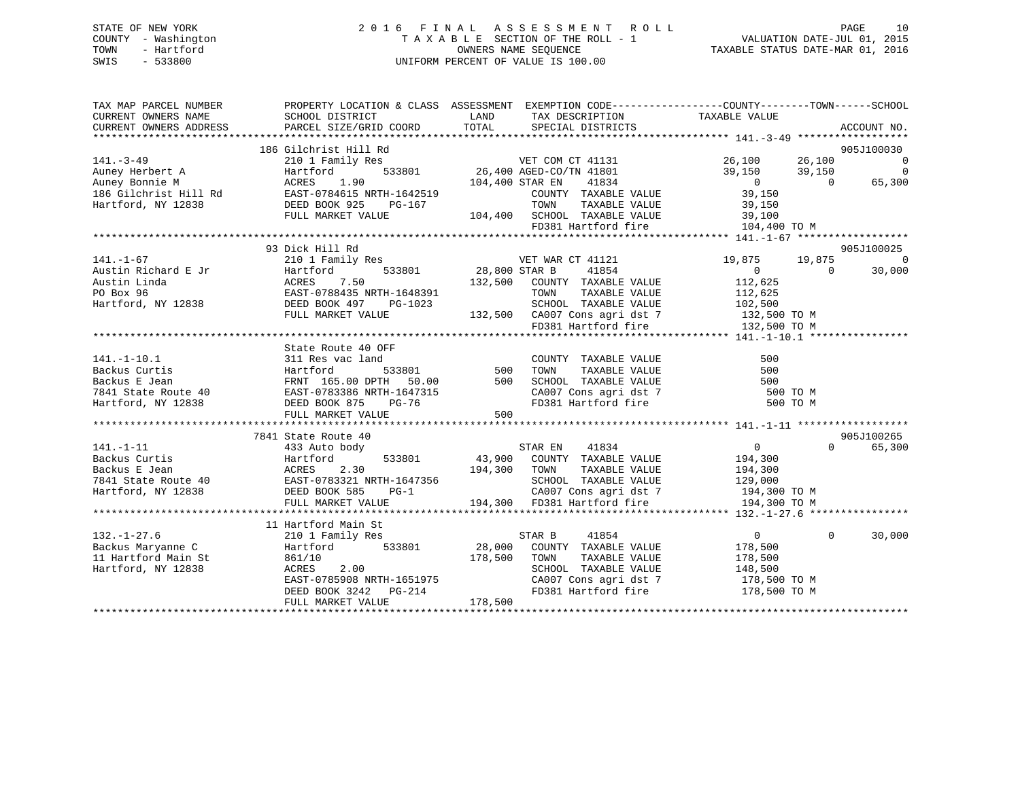### STATE OF NEW YORK 2 0 1 6 F I N A L A S S E S S M E N T R O L L PAGE 10 COUNTY - Washington T A X A B L E SECTION OF THE ROLL - 1 VALUATION DATE-JUL 01, 2015 TOWN - Hartford **TAXABLE STATUS DATE-MAR 01, 2016** OWNERS NAME SEQUENCE TAXABLE STATUS DATE-MAR 01, 2016 SWIS - 533800 UNIFORM PERCENT OF VALUE IS 100.00

| TAX MAP PARCEL NUMBER |                                                              | PROPERTY LOCATION & CLASS ASSESSMENT EXEMPTION CODE----------------COUNTY-------TOWN------SCHOOL                                                                                                                                                                                                                                                                                                                                            |                                         |                                                                                              |
|-----------------------|--------------------------------------------------------------|---------------------------------------------------------------------------------------------------------------------------------------------------------------------------------------------------------------------------------------------------------------------------------------------------------------------------------------------------------------------------------------------------------------------------------------------|-----------------------------------------|----------------------------------------------------------------------------------------------|
|                       | 93 Dick Hill Rd                                              | ${\small \begin{tabular}{lcccc} \texttt{141.-3-49} & \texttt{140--3-49} & \texttt{141--3-49} & \texttt{141--3-49} & \texttt{141--3-49} & \texttt{141--3-49} & \texttt{141--3-49} & \texttt{141--3-49} & \texttt{141--3-49} & \texttt{141--3-49} & \texttt{141--3-49} & \texttt{141--3-49} & \texttt{141--3-49} & \texttt{141--3-49} & \texttt{141--3-49}$<br>210 1 Family Res<br>28,800 STAR B 41854<br>Hartford 533801 28,800 STAR B 41854 | 19,875 19,875<br>$\overline{0}$         | 905J100030<br>$\sim$ 0<br>$\overline{0}$<br>65,300<br>905J100025<br>$\overline{\phantom{0}}$ |
|                       |                                                              |                                                                                                                                                                                                                                                                                                                                                                                                                                             |                                         | 30,000                                                                                       |
|                       | State Route 40 OFF<br>FULL MARKET VALUE                      | 141.-1-10.1<br>311 Res vac land<br>Backus Curtis Hartford 533801 500 TOWN TAXABLE VALUE 500<br>Backus E Jean FRNT 165.00 DPTH 50.00 500 SCHOOL TAXABLE VALUE 500<br>7841 State Route 40 EAST-0783386 NRTH-1647315 CA007 Cons agri dst<br>500                                                                                                                                                                                                |                                         |                                                                                              |
| $141. - 1 - 11$       | 7841 State Route 40<br>433 Auto body                         | $STAR EN$ $41834$<br>141.-1-11<br>Backus Curtis (194,300 MRTH 1647356 MARIFORD 194,300 MARIFORD 194,300 MARIFORD 194,300 MARIFORD 194,300 MARIFORD 194,300 MARIFORD 194,300 MARIFORD 194,300 MARIFORD 194,300 MARIFORD 194,300 MARIFORD 194,300 MARIF                                                                                                                                                                                       | $\overline{0}$<br>$\Omega$ and $\Omega$ | 905J100265<br>65,300                                                                         |
| $132. - 1 - 27.6$     | 11 Hartford Main St<br>210 1 Family Res<br>FULL MARKET VALUE | 41854<br>STAR B<br>SCHOOL TAXABLE VALUE 148,500<br>178,500                                                                                                                                                                                                                                                                                                                                                                                  | $\overline{0}$<br>$\Omega$              | 30,000                                                                                       |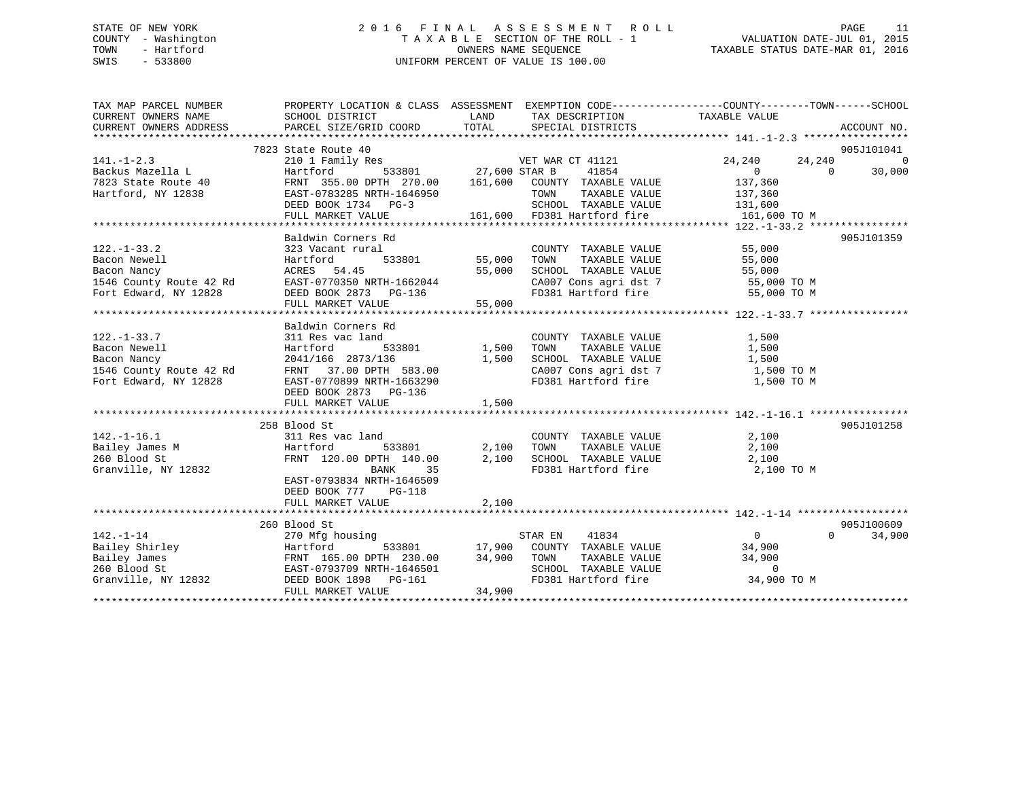### STATE OF NEW YORK 2 0 1 6 F I N A L A S S E S S M E N T R O L L PAGE 11 COUNTY - Washington T A X A B L E SECTION OF THE ROLL - 1 VALUATION DATE-JUL 01, 2015 TOWN - Hartford OWNERS NAME SEQUENCE TAXABLE STATUS DATE-MAR 01, 2016 SWIS - 533800 UNIFORM PERCENT OF VALUE IS 100.00

| TAX MAP PARCEL NUMBER<br>CURRENT OWNERS NAME                         | PROPERTY LOCATION & CLASS ASSESSMENT EXEMPTION CODE---------------COUNTY-------TOWN------SCHOOL<br>SCHOOL DISTRICT                                                                                                            | LAND   | TAX DESCRIPTION                                                 | TAXABLE VALUE                                             |                    |
|----------------------------------------------------------------------|-------------------------------------------------------------------------------------------------------------------------------------------------------------------------------------------------------------------------------|--------|-----------------------------------------------------------------|-----------------------------------------------------------|--------------------|
| CURRENT OWNERS ADDRESS                                               | PARCEL SIZE/GRID COORD TOTAL                                                                                                                                                                                                  |        | SPECIAL DISTRICTS                                               |                                                           | ACCOUNT NO.        |
|                                                                      |                                                                                                                                                                                                                               |        |                                                                 |                                                           |                    |
|                                                                      |                                                                                                                                                                                                                               |        |                                                                 |                                                           | 905J101041         |
|                                                                      |                                                                                                                                                                                                                               |        |                                                                 | 24,240<br>24,240                                          | $\Omega$           |
|                                                                      |                                                                                                                                                                                                                               |        |                                                                 | $24,240$<br>0<br>$\Omega$                                 | 30,000             |
|                                                                      |                                                                                                                                                                                                                               |        |                                                                 | 137,360                                                   |                    |
|                                                                      |                                                                                                                                                                                                                               |        | TOWN TAXABLE VALUE 137,360<br>SCHOOL TAXABLE VALUE 131,600      |                                                           |                    |
|                                                                      |                                                                                                                                                                                                                               |        |                                                                 |                                                           |                    |
|                                                                      | FULL MARKET VALUE                                                                                                                                                                                                             |        | 3<br>161,600 FD381 Hartford fire<br>161,600 FD381 Hartford fire | 161,600 TO M                                              |                    |
|                                                                      |                                                                                                                                                                                                                               |        |                                                                 |                                                           |                    |
|                                                                      | Baldwin Corners Rd                                                                                                                                                                                                            |        |                                                                 |                                                           | 905J101359         |
| $122. - 1 - 33.2$                                                    | 323 Vacant rural                                                                                                                                                                                                              |        | COUNTY TAXABLE VALUE 55,000                                     |                                                           |                    |
|                                                                      |                                                                                                                                                                                                                               |        |                                                                 |                                                           |                    |
|                                                                      |                                                                                                                                                                                                                               |        |                                                                 |                                                           |                    |
|                                                                      |                                                                                                                                                                                                                               |        | CA007 Cons agri dst 7 55,000 TO M                               |                                                           |                    |
|                                                                      |                                                                                                                                                                                                                               |        | FD381 Hartford fire                                             | 55,000 TO M                                               |                    |
|                                                                      |                                                                                                                                                                                                                               |        |                                                                 |                                                           |                    |
|                                                                      | $[22. -1 - 33.2$ Bacon Newell<br>Bacon Nancy<br>1546 County Route 42 Rd<br>Fort Edward, NY 12828<br>FULL MARKET VALUE<br>FULL MARKET VALUE<br>FULL MARKET VALUE<br>FULL MARKET VALUE<br>S5,000                                |        |                                                                 |                                                           |                    |
|                                                                      | Baldwin Corners Rd                                                                                                                                                                                                            |        |                                                                 |                                                           |                    |
| $122. - 1 - 33.7$                                                    | 311 Res vac land                                                                                                                                                                                                              |        | COUNTY TAXABLE VALUE<br>TAXABLE VALUE                           | 1,500                                                     |                    |
|                                                                      | 533801 1,500                                                                                                                                                                                                                  |        | TOWN<br>SCHOOL TAXABLE VALUE                                    | 1,500                                                     |                    |
|                                                                      |                                                                                                                                                                                                                               |        | CA007 Cons agri dst 7 1,500 TO M                                | 1,500                                                     |                    |
| Fort Edward, NY 12828                                                | EAST-0770899 NRTH-1663290                                                                                                                                                                                                     |        | FD381 Hartford fire                                             | 1,500 TO M                                                |                    |
|                                                                      | DEED BOOK 2873 PG-136                                                                                                                                                                                                         |        |                                                                 |                                                           |                    |
|                                                                      | FULL MARKET VALUE                                                                                                                                                                                                             | 1,500  |                                                                 |                                                           |                    |
|                                                                      |                                                                                                                                                                                                                               |        |                                                                 |                                                           |                    |
|                                                                      | ext:<br>211 Res vac land<br>211 Res vac land<br>22 Hartford<br>22 Hartford                                                                                                                                                    |        |                                                                 |                                                           | 905J101258         |
| $142. - 1 - 16.1$                                                    |                                                                                                                                                                                                                               |        | COUNTY TAXABLE VALUE 2,100                                      |                                                           |                    |
|                                                                      |                                                                                                                                                                                                                               | 2,100  |                                                                 |                                                           |                    |
|                                                                      | FRNT 120.00 DPTH 140.00 2,100                                                                                                                                                                                                 |        | TOWN TAXABLE VALUE 2,100<br>SCHOOL TAXABLE VALUE 2,100          |                                                           |                    |
| 142.-1-16.1<br>Bailey James M<br>260 Blood St<br>Granville, NY 12832 | BANK<br>35                                                                                                                                                                                                                    |        | FD381 Hartford fire 2,100 TO M                                  |                                                           |                    |
|                                                                      | EAST-0793834 NRTH-1646509                                                                                                                                                                                                     |        |                                                                 |                                                           |                    |
|                                                                      | DEED BOOK 777 PG-118                                                                                                                                                                                                          |        |                                                                 |                                                           |                    |
|                                                                      | FULL MARKET VALUE                                                                                                                                                                                                             | 2,100  |                                                                 |                                                           |                    |
|                                                                      |                                                                                                                                                                                                                               |        |                                                                 |                                                           |                    |
|                                                                      | 260 Blood St                                                                                                                                                                                                                  |        |                                                                 |                                                           | 905J100609         |
| $142. - 1 - 14$                                                      | 270 Mfg housing                                                                                                                                                                                                               |        | 41834<br>STAR EN                                                | $0 \qquad \qquad$                                         | $\Omega$<br>34,900 |
|                                                                      |                                                                                                                                                                                                                               |        | 533801 17,900 COUNTY TAXABLE VALUE 34,900                       |                                                           |                    |
|                                                                      |                                                                                                                                                                                                                               |        | TAXABLE VALUE<br>TAXABLE VALUE                                  | 34,900                                                    |                    |
|                                                                      |                                                                                                                                                                                                                               |        |                                                                 | SCHOOL TAXABLE VALUE 0<br>FD381 Hartford fire 34,900 TO M |                    |
|                                                                      | 142.-1-14<br>Bailey Shirley Hartford 533801 17,900 COUNTY<br>Bailey James FRNT 165.00 DPTH 230.00 34,900 TOWN<br>260 Blood St EAST-0793709 NRTH-1646501 SCHOOL<br>Granville, NY 12832 DEED BOOK 1898 PG-161 7234.900 FD381 Hz |        |                                                                 |                                                           |                    |
|                                                                      | FULL MARKET VALUE                                                                                                                                                                                                             | 34,900 |                                                                 |                                                           |                    |
|                                                                      |                                                                                                                                                                                                                               |        |                                                                 |                                                           |                    |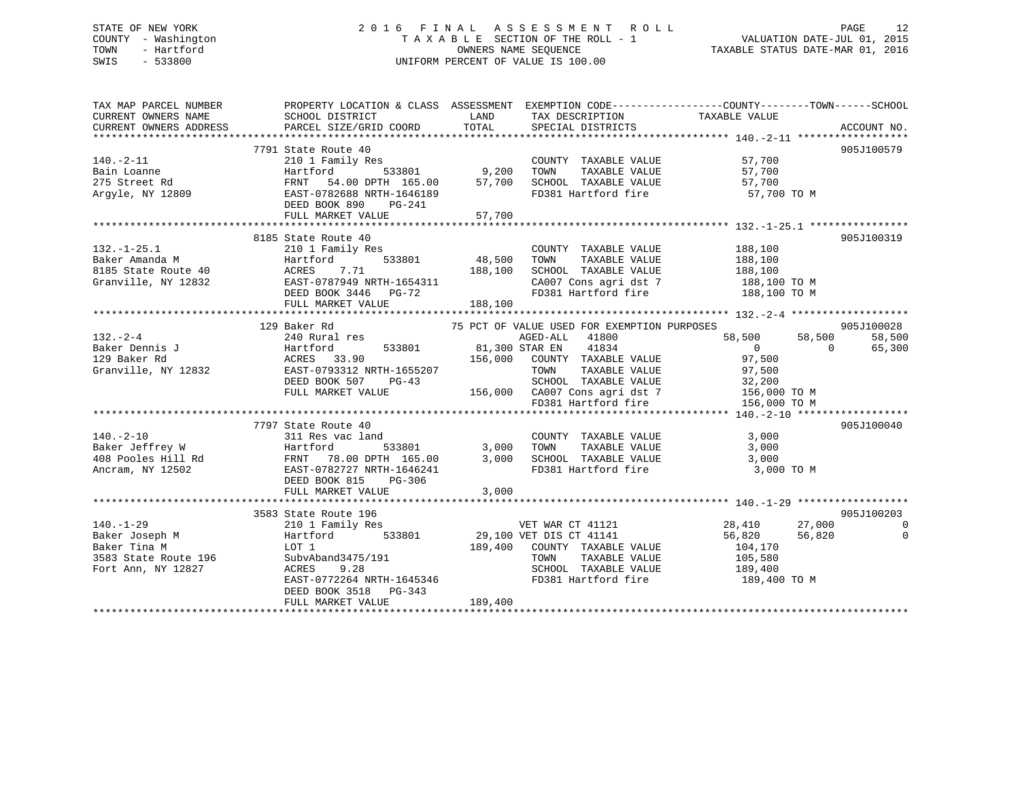### STATE OF NEW YORK 2 0 1 6 F I N A L A S S E S S M E N T R O L L PAGE 12 COUNTY - Washington T A X A B L E SECTION OF THE ROLL - 1 VALUATION DATE-JUL 01, 2015 TOWN - Hartford **TAXABLE STATUS DATE-MAR 01, 2016** OWNERS NAME SEQUENCE TAXABLE STATUS DATE-MAR 01, 2016 SWIS - 533800 UNIFORM PERCENT OF VALUE IS 100.00

| TAX MAP PARCEL NUMBER<br>CURRENT OWNERS NAME<br>CURRENT OWNERS ADDRESS                                          | SCHOOL DISTRICT<br>PARCEL SIZE/GRID COORD                                                                                                                                                       | LAND<br>TOTAL                                                    | TAX DESCRIPTION TAXABLE VALUE<br>SPECIAL DISTRICTS                                                                                                                 | PROPERTY LOCATION & CLASS ASSESSMENT EXEMPTION CODE---------------COUNTY-------TOWN-----SCHOOL                                                                           | ACCOUNT NO.                                    |
|-----------------------------------------------------------------------------------------------------------------|-------------------------------------------------------------------------------------------------------------------------------------------------------------------------------------------------|------------------------------------------------------------------|--------------------------------------------------------------------------------------------------------------------------------------------------------------------|--------------------------------------------------------------------------------------------------------------------------------------------------------------------------|------------------------------------------------|
| $140.-2-11$<br>Bain Loanne<br>275 Street Rd<br>Argyle, NY 12809                                                 | 7791 State Route 40<br>210 1 Family Res<br>Hartford<br>54.00 DPTH 165.00 57,700<br>FRNT<br>EAST-0782688 NRTH-1646189<br>DEED BOOK 890<br>PG-241<br>FULL MARKET VALUE                            | 57,700                                                           | COUNTY TAXABLE VALUE<br>TAXABLE VALUE<br>TOWN<br>SCHOOL TAXABLE VALUE<br>FD381 Hartford fire                                                                       | 57,700<br>57,700<br>57,700<br>57,700 TO M                                                                                                                                | 905J100579                                     |
|                                                                                                                 |                                                                                                                                                                                                 |                                                                  |                                                                                                                                                                    |                                                                                                                                                                          |                                                |
| $132. - 1 - 25.1$<br>Baker Amanda M<br>8185 State Route 40<br>Granville, NY 12832                               | 8185 State Route 40<br>210 1 Family Res<br>Hartford<br>ACRES<br>7.71<br>EAST-0787949 NRTH-1654311<br>DEED BOOK 3446 PG-72<br>FULL MARKET VALUE                                                  | з<br>533801                         48,500<br>188,100<br>188,100 | COUNTY TAXABLE VALUE                                                                                                                                               | 188,100<br>188,100<br>SCHOOL TAXABLE VALUE 188,100<br>CA007 Cons agri dst 7 188,100 TO M<br>FD381 Hartford fire 188,100 TO M                                             | 905J100319                                     |
|                                                                                                                 |                                                                                                                                                                                                 |                                                                  |                                                                                                                                                                    |                                                                                                                                                                          |                                                |
| $132 - 2 - 4$<br>Baker Dennis J<br>$140. - 2 - 10$                                                              | 129 Baker Rd<br>240 Rural res<br>533801 81,300 STAR EN<br>Hartford<br>DEED BOOK 507<br>$PG-43$<br>FULL MARKET VALUE<br>7797 State Route 40<br>311 Res vac land                                  |                                                                  | 75 PCT OF VALUE USED FOR EXEMPTION PURPOSES<br>AGED-ALL 41800<br>41834<br>156,000 COUNTY TAXABLE VALUE<br>TAXABLE VALUE<br>TOWN<br>FD381 Hartford fire             | 58,500<br>58,500<br>$\overline{0}$<br>$\Omega$<br>97,500<br>97,500<br>SCHOOL TAXABLE VALUE 32,200<br>156,000 CA007 Cons agri dst 7 156,000 TO M<br>156,000 TO M<br>3,000 | 905J100028<br>58,500<br>65,300<br>905J100040   |
| Baker Jeffrey W<br>408 Pooles Hill Rd<br>Ancram, NY 12502<br>EAST-0782727 NRTH-1646241<br>Ancram, NY 12502      | Hartford<br>EAST-0782727 NRTH-1646241<br>DEED BOOK 815<br>PG-306<br>FULL MARKET VALUE                                                                                                           | 533801 3,000 TOWN<br>3,000<br>3,000                              | COUNTY TAXABLE VALUE<br>TOWN TAXABLE VALUE<br>SCHOOL TAXABLE VALUE 3,000<br>FD381 Hartford fire                                                                    | 3,000<br>3,000 TO M                                                                                                                                                      |                                                |
|                                                                                                                 |                                                                                                                                                                                                 |                                                                  |                                                                                                                                                                    |                                                                                                                                                                          |                                                |
| $140. - 1 - 29$<br>Baker Joseph M<br>Baker Tina M<br>Baker Tina M<br>3583 State Route 196<br>Fort Ann, NY 12827 | 3583 State Route 196<br>210 1 Family Res<br>Hartford<br>LOT 1<br>SubvAband3475/191<br>ACRES 9.28<br>9.28<br>ACRES<br>EAST-0772264 NRTH-1645346<br>DEED BOOK 3518<br>PG-343<br>FULL MARKET VALUE | 189,400                                                          | VET WAR CT 41121<br>533801 29,100 VET DIS CT 41141<br>189,400 COUNTY TAXABLE VALUE<br>TOWN<br>TAXABLE VALUE<br>SCHOOL TAXABLE VALUE 189,400<br>FD381 Hartford fire | 28,410<br>27,000<br>56,820<br>56,820<br>104,170<br>105,580<br>189,400 TO M                                                                                               | 905J100203<br>$\overline{0}$<br>$\overline{0}$ |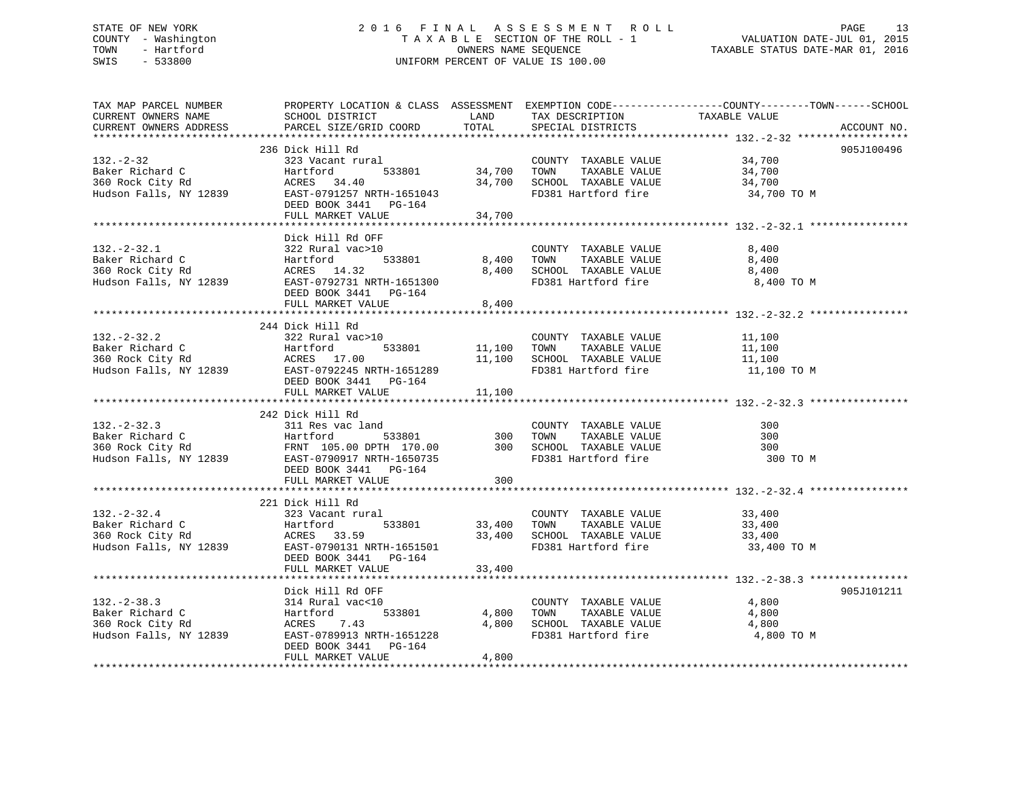### STATE OF NEW YORK 2 0 1 6 F I N A L A S S E S S M E N T R O L L PAGE 13 COUNTY - Washington T A X A B L E SECTION OF THE ROLL - 1 VALUATION DATE-JUL 01, 2015 TOWN - Hartford **TAXABLE STATUS DATE-MAR 01, 2016** OWNERS NAME SEQUENCE TAXABLE STATUS DATE-MAR 01, 2016 SWIS - 533800 UNIFORM PERCENT OF VALUE IS 100.00

| TAX MAP PARCEL NUMBER<br>CURRENT OWNERS NAME                                                                                                                                                                                                                                         | PROPERTY LOCATION & CLASS ASSESSMENT EXEMPTION CODE----------------COUNTY-------TOWN-----SCHOOL<br>SCHOOL DISTRICT |        | LAND TAX DESCRIPTION TAXABLE VALUE |                                                     |             |
|--------------------------------------------------------------------------------------------------------------------------------------------------------------------------------------------------------------------------------------------------------------------------------------|--------------------------------------------------------------------------------------------------------------------|--------|------------------------------------|-----------------------------------------------------|-------------|
| CURRENT OWNERS ADDRESS                                                                                                                                                                                                                                                               | PARCEL SIZE/GRID COORD                                                                                             |        | TOTAL SPECIAL DISTRICTS            |                                                     | ACCOUNT NO. |
|                                                                                                                                                                                                                                                                                      | 236 Dick Hill Rd                                                                                                   |        |                                    |                                                     | 905J100496  |
| 32.-2-32<br>Baker Richard C 34,700<br>360 Rock City Rd<br>360 Rock City Rd<br>34,700<br>24,700<br>24,700<br>24,700<br>24,700<br>2141<br>2000 2151<br>2000 2151<br>2000 2151<br>2000 2251<br>24,700<br>24,700<br>24,700<br>24,700<br>24,700<br>24,700<br>24,700<br>24,700             |                                                                                                                    |        |                                    |                                                     |             |
|                                                                                                                                                                                                                                                                                      | DEED BOOK 3441 PG-164                                                                                              |        |                                    |                                                     |             |
|                                                                                                                                                                                                                                                                                      | FULL MARKET VALUE                                                                                                  | 34,700 |                                    |                                                     |             |
|                                                                                                                                                                                                                                                                                      | Dick Hill Rd OFF                                                                                                   |        |                                    |                                                     |             |
|                                                                                                                                                                                                                                                                                      |                                                                                                                    |        | FD381 Hartford fire 3,400 TO M     |                                                     |             |
|                                                                                                                                                                                                                                                                                      |                                                                                                                    |        |                                    |                                                     |             |
|                                                                                                                                                                                                                                                                                      |                                                                                                                    |        |                                    | ********************************** 132.-2-32.2 **** |             |
| 132.-2-32.2<br>Baker Richard C<br>322 Rural vac>10<br>Hartford 533801 11,100 TOWN TAXABLE VALUE 11,100<br>360 Rock City Rd ACRES 17.00 11,100 SCHOOL TAXABLE VALUE 11,100<br>Hudson Falls, NY 12839 EAST-0792245 NRTH-1651289 FD381 Hart                                             | 244 Dick Hill Rd<br>FULL MARKET VALUE 11,100                                                                       |        |                                    |                                                     |             |
|                                                                                                                                                                                                                                                                                      |                                                                                                                    |        |                                    |                                                     |             |
|                                                                                                                                                                                                                                                                                      | 242 Dick Hill Rd                                                                                                   |        |                                    |                                                     |             |
|                                                                                                                                                                                                                                                                                      |                                                                                                                    |        |                                    | 300 TO M                                            |             |
|                                                                                                                                                                                                                                                                                      | FULL MARKET VALUE                                                                                                  | 300    |                                    |                                                     |             |
|                                                                                                                                                                                                                                                                                      |                                                                                                                    |        |                                    |                                                     |             |
| 132.-2-32.4<br>33,400<br>33,400<br>33,400<br>33,400<br>33,400<br>33,400<br>33,400<br>33,400<br>33,400<br>33,400<br>33,400<br>33,400<br>33,400<br>33,400<br>33,400<br>33,400<br>33,400<br>33,400<br>33,400<br>33,400<br>33,400<br>33,400<br>33,400<br>23,400<br>23,400<br>23,400<br>2 |                                                                                                                    |        |                                    |                                                     |             |
|                                                                                                                                                                                                                                                                                      | FULL MARKET VALUE                                                                                                  | 33,400 |                                    |                                                     |             |
|                                                                                                                                                                                                                                                                                      |                                                                                                                    |        |                                    |                                                     | 905J101211  |
| 132.-2-38.3<br>132.-2-38.3<br>232.-2-3<br>234.-2-3<br>2314 Rural vac<10<br>233801<br>233801<br>233801<br>233801<br>233801<br>233801<br>233801<br>233801<br>233801<br>233801<br>24,800<br>233801<br>24,800<br>24,800<br>24,800<br>24,800<br>24,800<br>24,800<br>24,800<br>24,80       | DEED BOOK 3441 PG-164                                                                                              |        | FD381 Hartford fire 4,800 TO M     |                                                     |             |
|                                                                                                                                                                                                                                                                                      | FULL MARKET VALUE                                                                                                  | 4,800  |                                    |                                                     |             |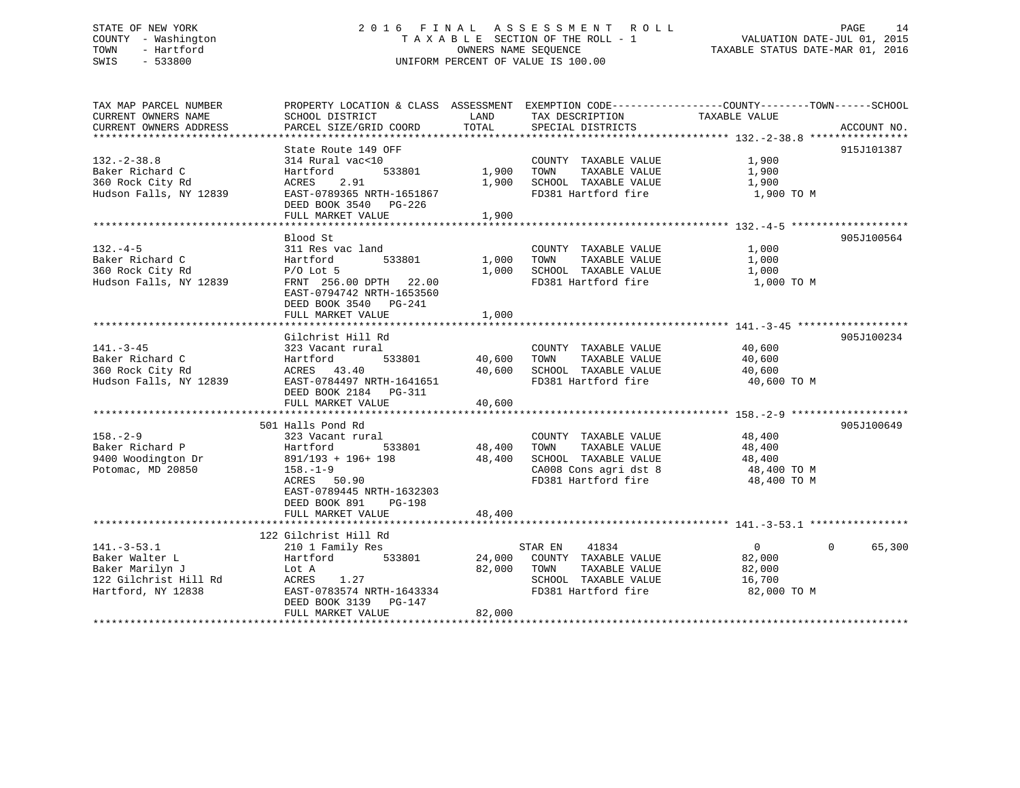# STATE OF NEW YORK 2 0 1 6 F I N A L A S S E S S M E N T R O L L PAGE 14 COUNTY - Washington T A X A B L E SECTION OF THE ROLL - 1 VALUATION DATE-JUL 01, 2015 TOWN - Hartford OWNERS NAME SEQUENCE TAXABLE STATUS DATE-MAR 01, 2016 SWIS - 533800 UNIFORM PERCENT OF VALUE IS 100.00

TAX MAP PARCEL NUMBER PROPERTY LOCATION & CLASS ASSESSMENT EXEMPTION CODE------------------COUNTY--------TOWN------SCHOOL CURRENT OWNERS NAME SCHOOL DISTRICT THE LAND TAX DESCRIPTION TAXABLE VALUE CURRENT OWNERS ADDRESS PARCEL SIZE/GRID COORD TOTAL SPECIAL DISTRICTS ACCOUNT NO. \*\*\*\*\*\*\*\*\*\*\*\*\*\*\*\*\*\*\*\*\*\*\*\*\*\*\*\*\*\*\*\*\*\*\*\*\*\*\*\*\*\*\*\*\*\*\*\*\*\*\*\*\*\*\*\*\*\*\*\*\*\*\*\*\*\*\*\*\*\*\*\*\*\*\*\*\*\*\*\*\*\*\*\*\*\*\*\*\*\*\*\*\*\*\*\*\*\*\*\*\*\*\* 132.-2-38.8 \*\*\*\*\*\*\*\*\*\*\*\*\*\*\*\* State Route 149 OFF 915J101387 132.-2-38.8 314 Rural vac<10 COUNTY TAXABLE VALUE 1,900 Baker Richard C Hartford 533801 1,900 TOWN TAXABLE VALUE 1,900 360 Rock City Rd ACRES 2.91 1,900 SCHOOL TAXABLE VALUE 1,900 Hudson Falls, NY 12839 EAST-0789365 NRTH-1651867 FD381 Hartford fire 1,900 TO M DEED BOOK 3540 PG-226 FULL MARKET VALUE 1,900 \*\*\*\*\*\*\*\*\*\*\*\*\*\*\*\*\*\*\*\*\*\*\*\*\*\*\*\*\*\*\*\*\*\*\*\*\*\*\*\*\*\*\*\*\*\*\*\*\*\*\*\*\*\*\*\*\*\*\*\*\*\*\*\*\*\*\*\*\*\*\*\*\*\*\*\*\*\*\*\*\*\*\*\*\*\*\*\*\*\*\*\*\*\*\*\*\*\*\*\*\*\*\* 132.-4-5 \*\*\*\*\*\*\*\*\*\*\*\*\*\*\*\*\*\*\* Blood St 905J100564132.-4-5 311 Res vac land COUNTY TAXABLE VALUE 1,000 Baker Richard C Hartford 533801 1,000 TOWN TAXABLE VALUE 1,000 360 Rock City Rd P/O Lot 5 1,000 SCHOOL TAXABLE VALUE 1,000 ال 1,000 ECHOOL ORGANISM PO LOT 25000 ECHOOL TAXABLE VALUE 1,000 ECHOOL TAXABLE VALUE 1,000 TO M<br>Hudson Falls, NY 12839 FRNT 256.00 DPTH 22.00 FD381 Hartford fire 1,000 TO M EAST-0794742 NRTH-1653560 DEED BOOK 3540 PG-241FULL MARKET VALUE 1,000 \*\*\*\*\*\*\*\*\*\*\*\*\*\*\*\*\*\*\*\*\*\*\*\*\*\*\*\*\*\*\*\*\*\*\*\*\*\*\*\*\*\*\*\*\*\*\*\*\*\*\*\*\*\*\*\*\*\*\*\*\*\*\*\*\*\*\*\*\*\*\*\*\*\*\*\*\*\*\*\*\*\*\*\*\*\*\*\*\*\*\*\*\*\*\*\*\*\*\*\*\*\*\* 141.-3-45 \*\*\*\*\*\*\*\*\*\*\*\*\*\*\*\*\*\*Gilchrist Hill Rd 905J100234 141.-3-45 323 Vacant rural COUNTY TAXABLE VALUE 40,600 Baker Richard C Hartford 533801 40,600 TOWN TAXABLE VALUE 40,600 360 Rock City Rd ACRES 43.40 40,600 SCHOOL TAXABLE VALUE 40,600 Hudson Falls, NY 12839 EAST-0784497 NRTH-1641651 FD381 Hartford fire 40,600 TO M DEED BOOK 2184 PG-311<br>FULL MARKET VALUE 40,600 \*\*\*\*\*\*\*\*\*\*\*\*\*\*\*\*\*\*\*\*\*\*\*\*\*\*\*\*\*\*\*\*\*\*\*\*\*\*\*\*\*\*\*\*\*\*\*\*\*\*\*\*\*\*\*\*\*\*\*\*\*\*\*\*\*\*\*\*\*\*\*\*\*\*\*\*\*\*\*\*\*\*\*\*\*\*\*\*\*\*\*\*\*\*\*\*\*\*\*\*\*\*\* 158.-2-9 \*\*\*\*\*\*\*\*\*\*\*\*\*\*\*\*\*\*\* 501 Halls Pond Rd 905J100649158.-2-9 323 Vacant rural COUNTY TAXABLE VALUE 48,400 Baker Richard P Hartford 533801 48,400 TOWN TAXABLE VALUE 48,400 9400 Woodington Dr 891/193 + 196+ 198 48,400 SCHOOL TAXABLE VALUE 48,400 Potomac, MD 20850 158.-1-9 158.-1-9 CA008 Cons agri dst 8 48,400 TO M ACRES 50.90 **FD381** Hartford fire 48,400 TO M EAST-0789445 NRTH-1632303 DEED BOOK 891 PG-198FULL MARKET VALUE 48,400 \*\*\*\*\*\*\*\*\*\*\*\*\*\*\*\*\*\*\*\*\*\*\*\*\*\*\*\*\*\*\*\*\*\*\*\*\*\*\*\*\*\*\*\*\*\*\*\*\*\*\*\*\*\*\*\*\*\*\*\*\*\*\*\*\*\*\*\*\*\*\*\*\*\*\*\*\*\*\*\*\*\*\*\*\*\*\*\*\*\*\*\*\*\*\*\*\*\*\*\*\*\*\* 141.-3-53.1 \*\*\*\*\*\*\*\*\*\*\*\*\*\*\*\* 122 Gilchrist Hill Rd 141.-3-53.1 210 1 Family Res STAR EN 41834 0 0 65,300 Baker Walter L Hartford 533801 24,000 COUNTY TAXABLE VALUE 82,000 Baker Marilyn J Lot A 82,000 TOWN TAXABLE VALUE 82,000 122 Gilchrist Hill Rd ACRES 1.27 SCHOOL TAXABLE VALUE 16,700 Hartford, NY 12838 EAST-0783574 NRTH-1643334 FD381 Hartford fire 82,000 TO M DEED BOOK 3139 PG-147FULL MARKET VALUE 82,000 \*\*\*\*\*\*\*\*\*\*\*\*\*\*\*\*\*\*\*\*\*\*\*\*\*\*\*\*\*\*\*\*\*\*\*\*\*\*\*\*\*\*\*\*\*\*\*\*\*\*\*\*\*\*\*\*\*\*\*\*\*\*\*\*\*\*\*\*\*\*\*\*\*\*\*\*\*\*\*\*\*\*\*\*\*\*\*\*\*\*\*\*\*\*\*\*\*\*\*\*\*\*\*\*\*\*\*\*\*\*\*\*\*\*\*\*\*\*\*\*\*\*\*\*\*\*\*\*\*\*\*\*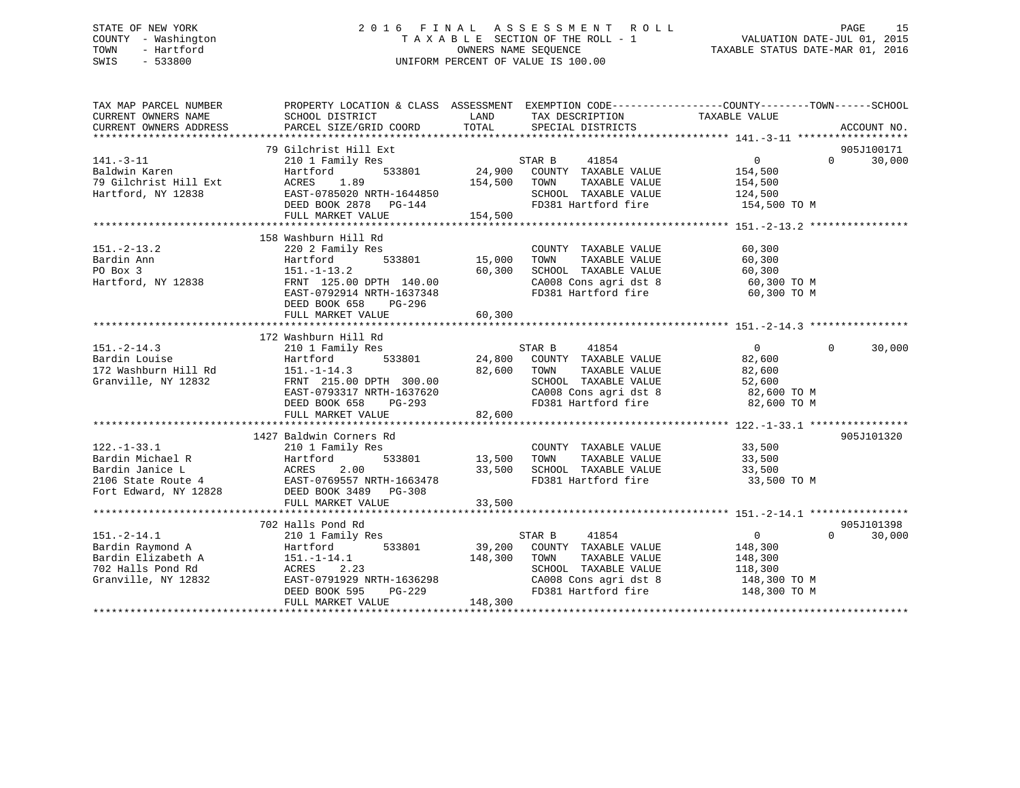### STATE OF NEW YORK 2 0 1 6 F I N A L A S S E S S M E N T R O L L PAGE 15 COUNTY - Washington T A X A B L E SECTION OF THE ROLL - 1 VALUATION DATE-JUL 01, 2015 TOWN - Hartford **TAXABLE STATUS DATE-MAR 01, 2016** OWNERS NAME SEQUENCE TAXABLE STATUS DATE-MAR 01, 2016 SWIS - 533800 UNIFORM PERCENT OF VALUE IS 100.00

| TAX MAP PARCEL NUMBER<br>CURRENT OWNERS NAME<br>CURRENT OWNERS ADDRESS                                                                      | SCHOOL DISTRICT<br>PARCEL SIZE/GRID COORD   | LAND<br>TOTAL | TAX DESCRIPTION<br>SPECIAL DISTRICTS                             | PROPERTY LOCATION & CLASS ASSESSMENT EXEMPTION CODE---------------COUNTY-------TOWN------SCHOOL<br>TAXABLE VALUE | ACCOUNT NO. |
|---------------------------------------------------------------------------------------------------------------------------------------------|---------------------------------------------|---------------|------------------------------------------------------------------|------------------------------------------------------------------------------------------------------------------|-------------|
|                                                                                                                                             |                                             |               |                                                                  |                                                                                                                  |             |
|                                                                                                                                             | 79 Gilchrist Hill Ext                       |               |                                                                  |                                                                                                                  | 905J100171  |
| $141. -3 - 11$                                                                                                                              | 210 1 Family Res                            |               | STAR B<br>41854                                                  | $\overline{0}$<br>$\Omega$                                                                                       | 30,000      |
| Baldwin Karen                                                                                                                               | 533801<br>Hartford                          |               | 24,900 COUNTY TAXABLE VALUE                                      | 154,500                                                                                                          |             |
| 79 Gilchrist Hill Ext                                                                                                                       | ACRES<br>1.89                               | 154,500       | TOWN<br>TAXABLE VALUE                                            | 154,500                                                                                                          |             |
| Hartford, NY 12838                                                                                                                          | EAST-0785020 NRTH-1644850                   |               | SCHOOL TAXABLE VALUE                                             | 124,500                                                                                                          |             |
|                                                                                                                                             | DEED BOOK 2878 PG-144                       |               | FD381 Hartford fire                                              | 154,500 TO M                                                                                                     |             |
|                                                                                                                                             | FULL MARKET VALUE                           | 154,500       |                                                                  |                                                                                                                  |             |
|                                                                                                                                             |                                             |               |                                                                  |                                                                                                                  |             |
|                                                                                                                                             | 158 Washburn Hill Rd                        |               |                                                                  |                                                                                                                  |             |
| $151. - 2 - 13.2$                                                                                                                           | 220 2 Family Res                            |               | COUNTY TAXABLE VALUE                                             | 60,300                                                                                                           |             |
| Bardin Ann                                                                                                                                  | 533801<br>Hartford                          | 15,000        | TOWN<br>TAXABLE VALUE                                            | 60,300                                                                                                           |             |
| PO Box 3                                                                                                                                    | $151. - 1 - 13.2$                           | 60,300        | SCHOOL TAXABLE VALUE                                             | 60,300                                                                                                           |             |
| Hartford, NY 12838                                                                                                                          | FRNT 125.00 DPTH 140.00                     |               | SCHOOL TAXABLE VALUE 60,300<br>CA008 Cons agri dst 8 60,300 TO M |                                                                                                                  |             |
|                                                                                                                                             | EAST-0792914 NRTH-1637348                   |               | FD381 Hartford fire                                              | 60,300 TO M                                                                                                      |             |
|                                                                                                                                             | DEED BOOK 658<br>PG-296                     |               |                                                                  |                                                                                                                  |             |
|                                                                                                                                             | FULL MARKET VALUE                           | 60,300        |                                                                  |                                                                                                                  |             |
|                                                                                                                                             |                                             |               |                                                                  |                                                                                                                  |             |
|                                                                                                                                             | 172 Washburn Hill Rd                        |               |                                                                  |                                                                                                                  |             |
| $151. - 2 - 14.3$                                                                                                                           | 210 1 Family Res                            |               | STAR B<br>41854                                                  | $\overline{0}$<br>$\Omega$                                                                                       | 30,000      |
| Bardin Louise                                                                                                                               | 533801<br>Hartford                          |               | 24,800 COUNTY TAXABLE VALUE                                      | 82,600                                                                                                           |             |
| 172 Washburn Hill Rd                                                                                                                        | $151. - 1 - 14.3$                           | 82,600        | TAXABLE VALUE<br>TOWN                                            | 82,600                                                                                                           |             |
| Granville, NY 12832                                                                                                                         | FRNT 215.00 DPTH 300.00                     |               | SCHOOL TAXABLE VALUE                                             | 52,600                                                                                                           |             |
|                                                                                                                                             | EAST-0793317 NRTH-1637620                   |               | CA008 Cons agri dst 8                                            | 82,600 TO M                                                                                                      |             |
|                                                                                                                                             | DEED BOOK 658<br>PG-293                     |               | FD381 Hartford fire                                              | 82,600 TO M                                                                                                      |             |
|                                                                                                                                             | FULL MARKET VALUE                           | 82,600        |                                                                  |                                                                                                                  |             |
|                                                                                                                                             |                                             |               |                                                                  |                                                                                                                  |             |
|                                                                                                                                             | 1427 Baldwin Corners Rd                     |               |                                                                  |                                                                                                                  | 905J101320  |
| $122. - 1 - 33.1$                                                                                                                           | 210 1 Family Res                            |               | COUNTY TAXABLE VALUE 33,500                                      |                                                                                                                  |             |
|                                                                                                                                             |                                             | 533801 13,500 | TOWN<br>TAXABLE VALUE                                            | 33,500                                                                                                           |             |
|                                                                                                                                             |                                             | 33,500        |                                                                  | 33,500                                                                                                           |             |
|                                                                                                                                             |                                             |               | SCHOOL TAXABLE VALUE<br>FD381 Hartford fire                      | 33,500 TO M                                                                                                      |             |
|                                                                                                                                             | Fort Edward, NY 12828 DEED BOOK 3489 PG-308 |               |                                                                  |                                                                                                                  |             |
|                                                                                                                                             |                                             |               |                                                                  |                                                                                                                  |             |
|                                                                                                                                             |                                             |               |                                                                  |                                                                                                                  |             |
|                                                                                                                                             | 702 Halls Pond Rd                           |               |                                                                  |                                                                                                                  | 905J101398  |
| $151. - 2 - 14.1$                                                                                                                           | 210 1 Family Res                            |               | STAR B<br>41854                                                  | $\overline{0}$<br>$\Omega$                                                                                       | 30,000      |
|                                                                                                                                             | 533801                                      |               | 39,200 COUNTY TAXABLE VALUE                                      | 148,300                                                                                                          |             |
| 151.-2-14.1<br>Bardin Raymond A<br>Bardin Elizabeth A<br>702 Halls Pond Rd<br>ACRES<br>2.2<br>111.0 NV 12832<br>EAST-079192?<br>PROT ROOK 5 |                                             | 148,300       | TOWN<br>TAXABLE VALUE                                            | 148,300                                                                                                          |             |
|                                                                                                                                             | 2.23                                        |               | SCHOOL TAXABLE VALUE                                             | 118,300                                                                                                          |             |
|                                                                                                                                             | EAST-0791929 NRTH-1636298                   |               |                                                                  | 148,300 TO M                                                                                                     |             |
|                                                                                                                                             | PG-229<br>DEED BOOK 595                     |               | CA008 Cons agri dst 8<br>FD381 Hartford fire                     | 148,300 TO M                                                                                                     |             |
|                                                                                                                                             | FULL MARKET VALUE                           | 148,300       |                                                                  |                                                                                                                  |             |
|                                                                                                                                             |                                             |               |                                                                  |                                                                                                                  |             |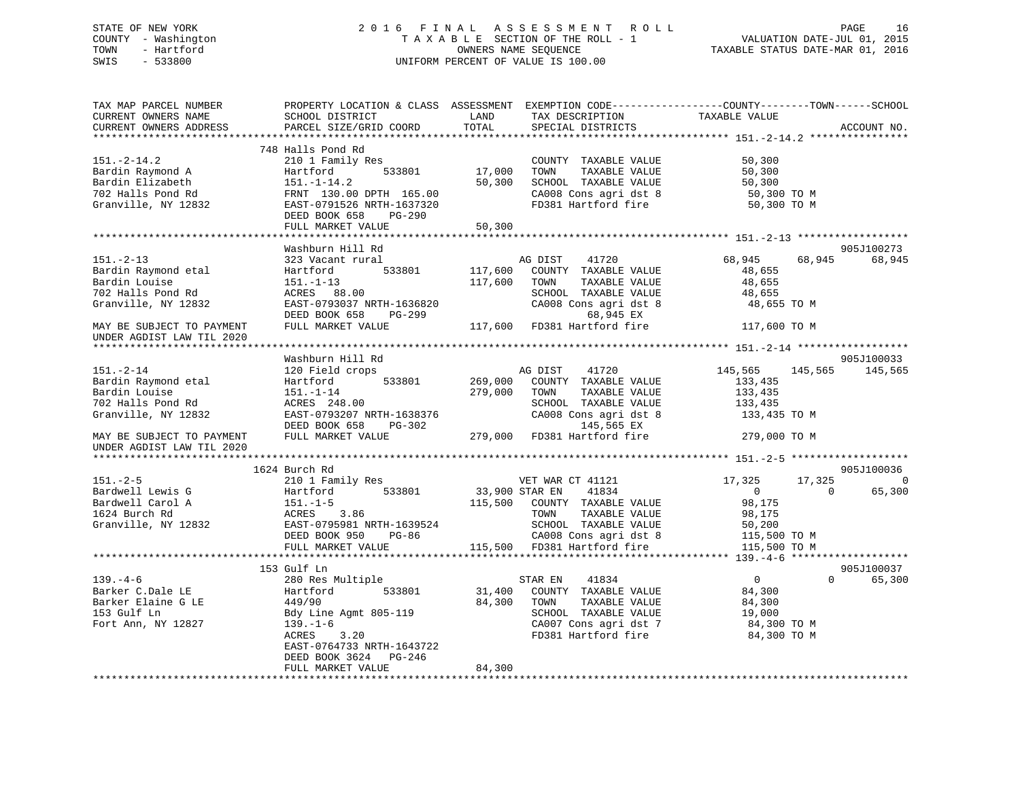### STATE OF NEW YORK 2 0 1 6 F I N A L A S S E S S M E N T R O L L PAGE 16 COUNTY - Washington T A X A B L E SECTION OF THE ROLL - 1 VALUATION DATE-JUL 01, 2015 TOWN - Hartford **TAXABLE STATUS DATE-MAR 01, 2016** OWNERS NAME SEQUENCE TAXABLE STATUS DATE-MAR 01, 2016 SWIS - 533800 UNIFORM PERCENT OF VALUE IS 100.00

| TAX MAP PARCEL NUMBER<br>CURRENT OWNERS NAME | PROPERTY LOCATION & CLASS ASSESSMENT EXEMPTION CODE----------------COUNTY-------TOWN------SCHOOL<br>SCHOOL DISTRICT | LAND           | TAX DESCRIPTION              | TAXABLE VALUE      |                    |
|----------------------------------------------|---------------------------------------------------------------------------------------------------------------------|----------------|------------------------------|--------------------|--------------------|
| CURRENT OWNERS ADDRESS                       | PARCEL SIZE/GRID COORD                                                                                              | TOTAL          | SPECIAL DISTRICTS            |                    | ACCOUNT NO.        |
|                                              |                                                                                                                     |                |                              |                    |                    |
|                                              | 748 Halls Pond Rd                                                                                                   |                |                              |                    |                    |
| $151.-2-14.2$                                | 210 1 Family Res                                                                                                    |                | COUNTY TAXABLE VALUE         | 50,300             |                    |
| Bardin Raymond A                             | Hartford<br>533801                                                                                                  | 17,000         | TOWN<br>TAXABLE VALUE        | 50,300             |                    |
| Bardin Elizabeth                             | $151. - 1 - 14.2$                                                                                                   | 50,300         | SCHOOL TAXABLE VALUE         | 50,300             |                    |
| 702 Halls Pond Rd                            | FRNT 130.00 DPTH 165.00                                                                                             |                | CA008 Cons agri dst 8        | 50,300 TO M        |                    |
| Granville, NY 12832                          | EAST-0791526 NRTH-1637320                                                                                           |                | FD381 Hartford fire          | 50,300 TO M        |                    |
|                                              | DEED BOOK 658<br>PG-290                                                                                             |                |                              |                    |                    |
|                                              | FULL MARKET VALUE                                                                                                   | 50,300         |                              |                    |                    |
|                                              |                                                                                                                     |                |                              |                    |                    |
|                                              | Washburn Hill Rd                                                                                                    |                |                              |                    | 905J100273         |
| $151. - 2 - 13$                              | 323 Vacant rural                                                                                                    |                | AG DIST<br>41720             | 68,945<br>68,945   | 68,945             |
| Bardin Raymond etal                          | Hartford<br>533801                                                                                                  | 117,600        | COUNTY TAXABLE VALUE         | 48,655             |                    |
| Bardin Louise                                | $151. - 1 - 13$                                                                                                     | 117,600        | TAXABLE VALUE<br>TOWN        | 48,655             |                    |
| 702 Halls Pond Rd                            | ACRES 88.00                                                                                                         |                | SCHOOL TAXABLE VALUE         | 48,655             |                    |
| Granville, NY 12832                          | EAST-0793037 NRTH-1636820                                                                                           |                | CA008 Cons agri dst 8        | 48,655 TO M        |                    |
|                                              | DEED BOOK 658<br>PG-299                                                                                             |                | 68,945 EX                    |                    |                    |
| MAY BE SUBJECT TO PAYMENT                    | FULL MARKET VALUE                                                                                                   |                | 117,600 FD381 Hartford fire  | 117,600 TO M       |                    |
| UNDER AGDIST LAW TIL 2020                    |                                                                                                                     |                |                              |                    |                    |
|                                              |                                                                                                                     |                |                              |                    |                    |
|                                              | Washburn Hill Rd                                                                                                    |                |                              |                    | 905J100033         |
| $151. - 2 - 14$                              | 120 Field crops                                                                                                     |                | AG DIST<br>41720             | 145,565<br>145,565 | 145,565            |
| Bardin Raymond etal                          | 533801<br>Hartford                                                                                                  | 269,000        | COUNTY TAXABLE VALUE         | 133,435            |                    |
| Bardin Louise                                | $151. - 1 - 14$                                                                                                     | 279,000        | TOWN<br>TAXABLE VALUE        | 133,435            |                    |
| 702 Halls Pond Rd                            | ACRES 248.00                                                                                                        |                | SCHOOL TAXABLE VALUE         | 133,435            |                    |
| Granville, NY 12832                          | EAST-0793207 NRTH-1638376                                                                                           |                | CA008 Cons agri dst 8        | 133,435 TO M       |                    |
|                                              | DEED BOOK 658<br>PG-302                                                                                             |                | 145,565 EX                   |                    |                    |
| MAY BE SUBJECT TO PAYMENT                    | FULL MARKET VALUE                                                                                                   |                | 279,000 FD381 Hartford fire  | 279,000 TO M       |                    |
| UNDER AGDIST LAW TIL 2020                    |                                                                                                                     |                |                              |                    |                    |
|                                              |                                                                                                                     |                |                              |                    |                    |
|                                              | 1624 Burch Rd                                                                                                       |                |                              |                    | 905J100036         |
| $151. - 2 - 5$                               | 210 1 Family Res                                                                                                    |                | VET WAR CT 41121             | 17,325<br>17,325   | $\Omega$           |
| Bardwell Lewis G                             | 533801<br>Hartford                                                                                                  | 33,900 STAR EN | 41834                        | $\overline{0}$     | 65,300<br>$\Omega$ |
| Bardwell Carol A                             | $151. - 1 - 5$                                                                                                      |                | 115,500 COUNTY TAXABLE VALUE | 98,175             |                    |
| 1624 Burch Rd                                | ACRES<br>3.86                                                                                                       |                | TOWN<br>TAXABLE VALUE        | 98,175             |                    |
| Granville, NY 12832                          | EAST-0795981 NRTH-1639524                                                                                           |                | SCHOOL TAXABLE VALUE         | 50,200             |                    |
|                                              | DEED BOOK 950<br>PG-86                                                                                              |                | CA008 Cons agri dst 8        | 115,500 TO M       |                    |
|                                              | FULL MARKET VALUE                                                                                                   |                | 115,500 FD381 Hartford fire  | 115,500 TO M       |                    |
|                                              |                                                                                                                     |                |                              |                    |                    |
|                                              | 153 Gulf Ln                                                                                                         |                |                              |                    | 905J100037         |
| $139. - 4 - 6$                               | 280 Res Multiple                                                                                                    |                | STAR EN<br>41834             | $\overline{0}$     | $\Omega$<br>65,300 |
| Barker C.Dale LE                             | Hartford<br>533801                                                                                                  | 31,400         | COUNTY TAXABLE VALUE         | 84,300             |                    |
| Barker Elaine G LE                           | 449/90                                                                                                              | 84,300         | TAXABLE VALUE<br>TOWN        | 84,300             |                    |
| 153 Gulf Ln                                  | Bdy Line Agmt 805-119                                                                                               |                | SCHOOL TAXABLE VALUE         | 19,000             |                    |
| Fort Ann, NY 12827                           | $139. - 1 - 6$                                                                                                      |                | CA007 Cons agri dst 7        | 84,300 TO M        |                    |
|                                              | 3.20<br>ACRES                                                                                                       |                | FD381 Hartford fire          | 84,300 TO M        |                    |
|                                              | EAST-0764733 NRTH-1643722                                                                                           |                |                              |                    |                    |
|                                              | DEED BOOK 3624 PG-246                                                                                               |                |                              |                    |                    |
|                                              | FULL MARKET VALUE                                                                                                   | 84,300         |                              |                    |                    |
|                                              |                                                                                                                     |                |                              |                    |                    |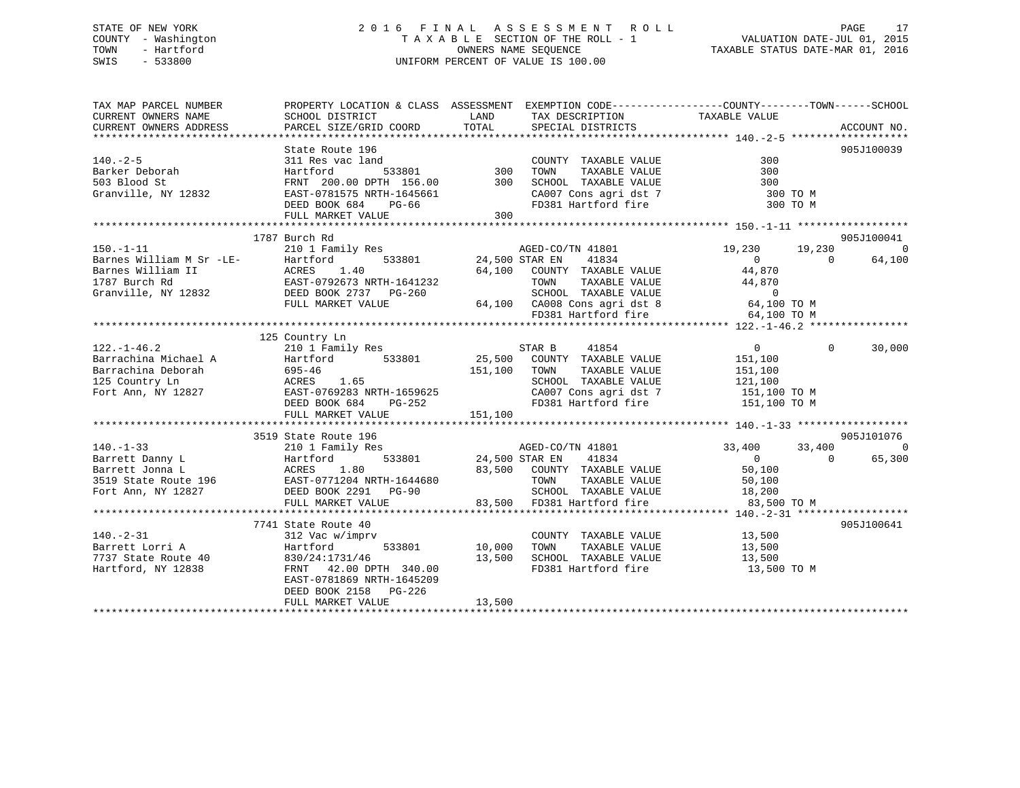### STATE OF NEW YORK 2 0 1 6 F I N A L A S S E S S M E N T R O L L PAGE 17 COUNTY - Washington T A X A B L E SECTION OF THE ROLL - 1 VALUATION DATE-JUL 01, 2015 TOWN - Hartford **TAXABLE STATUS DATE-MAR 01, 2016** OWNERS NAME SEQUENCE TAXABLE STATUS DATE-MAR 01, 2016 SWIS - 533800 UNIFORM PERCENT OF VALUE IS 100.00

| TAXABLE VALUE<br>LAND TAX DESCRIPTION<br>CURRENT OWNERS ADDRESS<br>TOTAL SPECIAL DISTRICTS<br>PARCEL SIZE/GRID COORD<br>ACCOUNT NO.<br>905J100039<br>1787 Burch Rd<br>905J100041<br>$150. -1 - 11$<br>210 1 Family Res<br>19,230 19,230<br>$\Omega$<br>Barnes William M Sr -LE-<br>Barnes William II ACRES 1.40<br>1787 Burch Rd EAST-0792673 NRTH-1641232<br>Granville, NY 12832 DEED BOOK 2737 PG-260<br>THE MADER TAILER<br>33801 24,500 STAR EN 41834<br>64,100 COUNTY TAXABLE VALUE 44,870<br>7-1641232 TOWN TAXABLE VALUE 44,870<br>7-260 SCHOOL TAXABLE VALUE 0<br>64,100 CA008 Cons agri dst 8 64,100 TO M<br>FD381 Hartford fire<br>$\overline{0}$<br>64,100<br>FULL MARKET VALUE<br>FD381 Hartford fire<br>64,100 TO M<br>125 Country Ln<br>$\overline{0}$<br>$\Omega$<br>30,000<br>SCHOOL TAXABLE VALUE 121,100<br>CA007 Cons agri dst 7 151,100 TO M<br>151,100<br>FD381 Hartford fire 151,100 TO M<br>FULL MARKET VALUE<br>905J101076<br>3519 State Route 196<br>210 1 Family Res<br>24,500 STAR EN 41801 33,400<br>Hartford 533801 24,500 STAR EN 41834<br>33,400<br>$\sim$ 000 $\sim$ 000 $\sim$ 000 $\sim$ 000 $\sim$ 000 $\sim$ 000 $\sim$ 000 $\sim$ 000 $\sim$ 000 $\sim$ 000 $\sim$ 000 $\sim$ 000 $\sim$ 000 $\sim$ 000 $\sim$ 000 $\sim$ 000 $\sim$ 000 $\sim$ 000 $\sim$ 000 $\sim$ 000 $\sim$ 000 $\sim$ 000 $\sim$ 000 $\sim$ 000 $\sim$<br>65,300<br>$\Omega$<br>83,500 TO M<br>905J100641<br>7741 State Route 40<br>$140. - 2 - 31$<br>$\begin{tabular}{lllllllllll} \multicolumn{2}{c}{\textbf{COUNTY}} & \textbf{TAXABLE VALUE} & & & 13\,,500 \\ \multicolumn{2}{c}{\textbf{TOWN}} & \textbf{TAXABLE VALUE} & & & 13\,,500 \\ \end{tabular}$<br>312 Vac w/imprv<br>$\frac{333801}{10,000}$ TOWN<br>Barrett Lorri A<br>Hartford<br>7737 State Route 40 $\begin{array}{cccc} 830/24:1731/46 & 13,500 \end{array}$ SCHOOL TAXABLE VALUE $\begin{array}{cccc} 13,500 \end{array}$ 13,500 SCHOOL TAXABLE VALUE 13,500 ERNT 42.00 DPTH 340.00 FD381 Hartford fire 13,500<br>13,500 TO M<br>EAST-0781869 NRTH-1645209<br>DEED BOOK 2158 PG-226<br>13,500<br>FULL MARKET VALUE | TAX MAP PARCEL NUMBER |                 | PROPERTY LOCATION & CLASS ASSESSMENT EXEMPTION CODE---------------COUNTY-------TOWN------SCHOOL |  |
|------------------------------------------------------------------------------------------------------------------------------------------------------------------------------------------------------------------------------------------------------------------------------------------------------------------------------------------------------------------------------------------------------------------------------------------------------------------------------------------------------------------------------------------------------------------------------------------------------------------------------------------------------------------------------------------------------------------------------------------------------------------------------------------------------------------------------------------------------------------------------------------------------------------------------------------------------------------------------------------------------------------------------------------------------------------------------------------------------------------------------------------------------------------------------------------------------------------------------------------------------------------------------------------------------------------------------------------------------------------------------------------------------------------------------------------------------------------------------------------------------------------------------------------------------------------------------------------------------------------------------------------------------------------------------------------------------------------------------------------------------------------------------------------------------------------------------------------------------------------------------------------------------------------------------------------------------------------------------------------------------------------------------------------------------------------------------------------------------|-----------------------|-----------------|-------------------------------------------------------------------------------------------------|--|
|                                                                                                                                                                                                                                                                                                                                                                                                                                                                                                                                                                                                                                                                                                                                                                                                                                                                                                                                                                                                                                                                                                                                                                                                                                                                                                                                                                                                                                                                                                                                                                                                                                                                                                                                                                                                                                                                                                                                                                                                                                                                                                      | CURRENT OWNERS NAME   | SCHOOL DISTRICT |                                                                                                 |  |
|                                                                                                                                                                                                                                                                                                                                                                                                                                                                                                                                                                                                                                                                                                                                                                                                                                                                                                                                                                                                                                                                                                                                                                                                                                                                                                                                                                                                                                                                                                                                                                                                                                                                                                                                                                                                                                                                                                                                                                                                                                                                                                      |                       |                 |                                                                                                 |  |
|                                                                                                                                                                                                                                                                                                                                                                                                                                                                                                                                                                                                                                                                                                                                                                                                                                                                                                                                                                                                                                                                                                                                                                                                                                                                                                                                                                                                                                                                                                                                                                                                                                                                                                                                                                                                                                                                                                                                                                                                                                                                                                      |                       |                 |                                                                                                 |  |
|                                                                                                                                                                                                                                                                                                                                                                                                                                                                                                                                                                                                                                                                                                                                                                                                                                                                                                                                                                                                                                                                                                                                                                                                                                                                                                                                                                                                                                                                                                                                                                                                                                                                                                                                                                                                                                                                                                                                                                                                                                                                                                      |                       |                 |                                                                                                 |  |
|                                                                                                                                                                                                                                                                                                                                                                                                                                                                                                                                                                                                                                                                                                                                                                                                                                                                                                                                                                                                                                                                                                                                                                                                                                                                                                                                                                                                                                                                                                                                                                                                                                                                                                                                                                                                                                                                                                                                                                                                                                                                                                      |                       |                 |                                                                                                 |  |
|                                                                                                                                                                                                                                                                                                                                                                                                                                                                                                                                                                                                                                                                                                                                                                                                                                                                                                                                                                                                                                                                                                                                                                                                                                                                                                                                                                                                                                                                                                                                                                                                                                                                                                                                                                                                                                                                                                                                                                                                                                                                                                      |                       |                 |                                                                                                 |  |
|                                                                                                                                                                                                                                                                                                                                                                                                                                                                                                                                                                                                                                                                                                                                                                                                                                                                                                                                                                                                                                                                                                                                                                                                                                                                                                                                                                                                                                                                                                                                                                                                                                                                                                                                                                                                                                                                                                                                                                                                                                                                                                      |                       |                 |                                                                                                 |  |
|                                                                                                                                                                                                                                                                                                                                                                                                                                                                                                                                                                                                                                                                                                                                                                                                                                                                                                                                                                                                                                                                                                                                                                                                                                                                                                                                                                                                                                                                                                                                                                                                                                                                                                                                                                                                                                                                                                                                                                                                                                                                                                      |                       |                 |                                                                                                 |  |
|                                                                                                                                                                                                                                                                                                                                                                                                                                                                                                                                                                                                                                                                                                                                                                                                                                                                                                                                                                                                                                                                                                                                                                                                                                                                                                                                                                                                                                                                                                                                                                                                                                                                                                                                                                                                                                                                                                                                                                                                                                                                                                      |                       |                 |                                                                                                 |  |
|                                                                                                                                                                                                                                                                                                                                                                                                                                                                                                                                                                                                                                                                                                                                                                                                                                                                                                                                                                                                                                                                                                                                                                                                                                                                                                                                                                                                                                                                                                                                                                                                                                                                                                                                                                                                                                                                                                                                                                                                                                                                                                      |                       |                 |                                                                                                 |  |
|                                                                                                                                                                                                                                                                                                                                                                                                                                                                                                                                                                                                                                                                                                                                                                                                                                                                                                                                                                                                                                                                                                                                                                                                                                                                                                                                                                                                                                                                                                                                                                                                                                                                                                                                                                                                                                                                                                                                                                                                                                                                                                      |                       |                 |                                                                                                 |  |
|                                                                                                                                                                                                                                                                                                                                                                                                                                                                                                                                                                                                                                                                                                                                                                                                                                                                                                                                                                                                                                                                                                                                                                                                                                                                                                                                                                                                                                                                                                                                                                                                                                                                                                                                                                                                                                                                                                                                                                                                                                                                                                      |                       |                 |                                                                                                 |  |
|                                                                                                                                                                                                                                                                                                                                                                                                                                                                                                                                                                                                                                                                                                                                                                                                                                                                                                                                                                                                                                                                                                                                                                                                                                                                                                                                                                                                                                                                                                                                                                                                                                                                                                                                                                                                                                                                                                                                                                                                                                                                                                      |                       |                 |                                                                                                 |  |
|                                                                                                                                                                                                                                                                                                                                                                                                                                                                                                                                                                                                                                                                                                                                                                                                                                                                                                                                                                                                                                                                                                                                                                                                                                                                                                                                                                                                                                                                                                                                                                                                                                                                                                                                                                                                                                                                                                                                                                                                                                                                                                      |                       |                 |                                                                                                 |  |
|                                                                                                                                                                                                                                                                                                                                                                                                                                                                                                                                                                                                                                                                                                                                                                                                                                                                                                                                                                                                                                                                                                                                                                                                                                                                                                                                                                                                                                                                                                                                                                                                                                                                                                                                                                                                                                                                                                                                                                                                                                                                                                      |                       |                 |                                                                                                 |  |
|                                                                                                                                                                                                                                                                                                                                                                                                                                                                                                                                                                                                                                                                                                                                                                                                                                                                                                                                                                                                                                                                                                                                                                                                                                                                                                                                                                                                                                                                                                                                                                                                                                                                                                                                                                                                                                                                                                                                                                                                                                                                                                      |                       |                 |                                                                                                 |  |
|                                                                                                                                                                                                                                                                                                                                                                                                                                                                                                                                                                                                                                                                                                                                                                                                                                                                                                                                                                                                                                                                                                                                                                                                                                                                                                                                                                                                                                                                                                                                                                                                                                                                                                                                                                                                                                                                                                                                                                                                                                                                                                      |                       |                 |                                                                                                 |  |
|                                                                                                                                                                                                                                                                                                                                                                                                                                                                                                                                                                                                                                                                                                                                                                                                                                                                                                                                                                                                                                                                                                                                                                                                                                                                                                                                                                                                                                                                                                                                                                                                                                                                                                                                                                                                                                                                                                                                                                                                                                                                                                      |                       |                 |                                                                                                 |  |
|                                                                                                                                                                                                                                                                                                                                                                                                                                                                                                                                                                                                                                                                                                                                                                                                                                                                                                                                                                                                                                                                                                                                                                                                                                                                                                                                                                                                                                                                                                                                                                                                                                                                                                                                                                                                                                                                                                                                                                                                                                                                                                      |                       |                 |                                                                                                 |  |
|                                                                                                                                                                                                                                                                                                                                                                                                                                                                                                                                                                                                                                                                                                                                                                                                                                                                                                                                                                                                                                                                                                                                                                                                                                                                                                                                                                                                                                                                                                                                                                                                                                                                                                                                                                                                                                                                                                                                                                                                                                                                                                      |                       |                 |                                                                                                 |  |
|                                                                                                                                                                                                                                                                                                                                                                                                                                                                                                                                                                                                                                                                                                                                                                                                                                                                                                                                                                                                                                                                                                                                                                                                                                                                                                                                                                                                                                                                                                                                                                                                                                                                                                                                                                                                                                                                                                                                                                                                                                                                                                      |                       |                 |                                                                                                 |  |
|                                                                                                                                                                                                                                                                                                                                                                                                                                                                                                                                                                                                                                                                                                                                                                                                                                                                                                                                                                                                                                                                                                                                                                                                                                                                                                                                                                                                                                                                                                                                                                                                                                                                                                                                                                                                                                                                                                                                                                                                                                                                                                      |                       |                 |                                                                                                 |  |
|                                                                                                                                                                                                                                                                                                                                                                                                                                                                                                                                                                                                                                                                                                                                                                                                                                                                                                                                                                                                                                                                                                                                                                                                                                                                                                                                                                                                                                                                                                                                                                                                                                                                                                                                                                                                                                                                                                                                                                                                                                                                                                      |                       |                 |                                                                                                 |  |
|                                                                                                                                                                                                                                                                                                                                                                                                                                                                                                                                                                                                                                                                                                                                                                                                                                                                                                                                                                                                                                                                                                                                                                                                                                                                                                                                                                                                                                                                                                                                                                                                                                                                                                                                                                                                                                                                                                                                                                                                                                                                                                      |                       |                 |                                                                                                 |  |
|                                                                                                                                                                                                                                                                                                                                                                                                                                                                                                                                                                                                                                                                                                                                                                                                                                                                                                                                                                                                                                                                                                                                                                                                                                                                                                                                                                                                                                                                                                                                                                                                                                                                                                                                                                                                                                                                                                                                                                                                                                                                                                      |                       |                 |                                                                                                 |  |
|                                                                                                                                                                                                                                                                                                                                                                                                                                                                                                                                                                                                                                                                                                                                                                                                                                                                                                                                                                                                                                                                                                                                                                                                                                                                                                                                                                                                                                                                                                                                                                                                                                                                                                                                                                                                                                                                                                                                                                                                                                                                                                      |                       |                 |                                                                                                 |  |
|                                                                                                                                                                                                                                                                                                                                                                                                                                                                                                                                                                                                                                                                                                                                                                                                                                                                                                                                                                                                                                                                                                                                                                                                                                                                                                                                                                                                                                                                                                                                                                                                                                                                                                                                                                                                                                                                                                                                                                                                                                                                                                      |                       |                 |                                                                                                 |  |
|                                                                                                                                                                                                                                                                                                                                                                                                                                                                                                                                                                                                                                                                                                                                                                                                                                                                                                                                                                                                                                                                                                                                                                                                                                                                                                                                                                                                                                                                                                                                                                                                                                                                                                                                                                                                                                                                                                                                                                                                                                                                                                      |                       |                 |                                                                                                 |  |
|                                                                                                                                                                                                                                                                                                                                                                                                                                                                                                                                                                                                                                                                                                                                                                                                                                                                                                                                                                                                                                                                                                                                                                                                                                                                                                                                                                                                                                                                                                                                                                                                                                                                                                                                                                                                                                                                                                                                                                                                                                                                                                      |                       |                 |                                                                                                 |  |
|                                                                                                                                                                                                                                                                                                                                                                                                                                                                                                                                                                                                                                                                                                                                                                                                                                                                                                                                                                                                                                                                                                                                                                                                                                                                                                                                                                                                                                                                                                                                                                                                                                                                                                                                                                                                                                                                                                                                                                                                                                                                                                      |                       |                 |                                                                                                 |  |
|                                                                                                                                                                                                                                                                                                                                                                                                                                                                                                                                                                                                                                                                                                                                                                                                                                                                                                                                                                                                                                                                                                                                                                                                                                                                                                                                                                                                                                                                                                                                                                                                                                                                                                                                                                                                                                                                                                                                                                                                                                                                                                      |                       |                 |                                                                                                 |  |
|                                                                                                                                                                                                                                                                                                                                                                                                                                                                                                                                                                                                                                                                                                                                                                                                                                                                                                                                                                                                                                                                                                                                                                                                                                                                                                                                                                                                                                                                                                                                                                                                                                                                                                                                                                                                                                                                                                                                                                                                                                                                                                      |                       |                 |                                                                                                 |  |
|                                                                                                                                                                                                                                                                                                                                                                                                                                                                                                                                                                                                                                                                                                                                                                                                                                                                                                                                                                                                                                                                                                                                                                                                                                                                                                                                                                                                                                                                                                                                                                                                                                                                                                                                                                                                                                                                                                                                                                                                                                                                                                      |                       |                 |                                                                                                 |  |
|                                                                                                                                                                                                                                                                                                                                                                                                                                                                                                                                                                                                                                                                                                                                                                                                                                                                                                                                                                                                                                                                                                                                                                                                                                                                                                                                                                                                                                                                                                                                                                                                                                                                                                                                                                                                                                                                                                                                                                                                                                                                                                      |                       |                 |                                                                                                 |  |
|                                                                                                                                                                                                                                                                                                                                                                                                                                                                                                                                                                                                                                                                                                                                                                                                                                                                                                                                                                                                                                                                                                                                                                                                                                                                                                                                                                                                                                                                                                                                                                                                                                                                                                                                                                                                                                                                                                                                                                                                                                                                                                      |                       |                 |                                                                                                 |  |
|                                                                                                                                                                                                                                                                                                                                                                                                                                                                                                                                                                                                                                                                                                                                                                                                                                                                                                                                                                                                                                                                                                                                                                                                                                                                                                                                                                                                                                                                                                                                                                                                                                                                                                                                                                                                                                                                                                                                                                                                                                                                                                      |                       |                 |                                                                                                 |  |
|                                                                                                                                                                                                                                                                                                                                                                                                                                                                                                                                                                                                                                                                                                                                                                                                                                                                                                                                                                                                                                                                                                                                                                                                                                                                                                                                                                                                                                                                                                                                                                                                                                                                                                                                                                                                                                                                                                                                                                                                                                                                                                      |                       |                 |                                                                                                 |  |
|                                                                                                                                                                                                                                                                                                                                                                                                                                                                                                                                                                                                                                                                                                                                                                                                                                                                                                                                                                                                                                                                                                                                                                                                                                                                                                                                                                                                                                                                                                                                                                                                                                                                                                                                                                                                                                                                                                                                                                                                                                                                                                      |                       |                 |                                                                                                 |  |
|                                                                                                                                                                                                                                                                                                                                                                                                                                                                                                                                                                                                                                                                                                                                                                                                                                                                                                                                                                                                                                                                                                                                                                                                                                                                                                                                                                                                                                                                                                                                                                                                                                                                                                                                                                                                                                                                                                                                                                                                                                                                                                      |                       |                 |                                                                                                 |  |
|                                                                                                                                                                                                                                                                                                                                                                                                                                                                                                                                                                                                                                                                                                                                                                                                                                                                                                                                                                                                                                                                                                                                                                                                                                                                                                                                                                                                                                                                                                                                                                                                                                                                                                                                                                                                                                                                                                                                                                                                                                                                                                      |                       |                 |                                                                                                 |  |
|                                                                                                                                                                                                                                                                                                                                                                                                                                                                                                                                                                                                                                                                                                                                                                                                                                                                                                                                                                                                                                                                                                                                                                                                                                                                                                                                                                                                                                                                                                                                                                                                                                                                                                                                                                                                                                                                                                                                                                                                                                                                                                      |                       |                 |                                                                                                 |  |
|                                                                                                                                                                                                                                                                                                                                                                                                                                                                                                                                                                                                                                                                                                                                                                                                                                                                                                                                                                                                                                                                                                                                                                                                                                                                                                                                                                                                                                                                                                                                                                                                                                                                                                                                                                                                                                                                                                                                                                                                                                                                                                      |                       |                 |                                                                                                 |  |
|                                                                                                                                                                                                                                                                                                                                                                                                                                                                                                                                                                                                                                                                                                                                                                                                                                                                                                                                                                                                                                                                                                                                                                                                                                                                                                                                                                                                                                                                                                                                                                                                                                                                                                                                                                                                                                                                                                                                                                                                                                                                                                      |                       |                 |                                                                                                 |  |
|                                                                                                                                                                                                                                                                                                                                                                                                                                                                                                                                                                                                                                                                                                                                                                                                                                                                                                                                                                                                                                                                                                                                                                                                                                                                                                                                                                                                                                                                                                                                                                                                                                                                                                                                                                                                                                                                                                                                                                                                                                                                                                      |                       |                 |                                                                                                 |  |
|                                                                                                                                                                                                                                                                                                                                                                                                                                                                                                                                                                                                                                                                                                                                                                                                                                                                                                                                                                                                                                                                                                                                                                                                                                                                                                                                                                                                                                                                                                                                                                                                                                                                                                                                                                                                                                                                                                                                                                                                                                                                                                      |                       |                 |                                                                                                 |  |
|                                                                                                                                                                                                                                                                                                                                                                                                                                                                                                                                                                                                                                                                                                                                                                                                                                                                                                                                                                                                                                                                                                                                                                                                                                                                                                                                                                                                                                                                                                                                                                                                                                                                                                                                                                                                                                                                                                                                                                                                                                                                                                      |                       |                 |                                                                                                 |  |
|                                                                                                                                                                                                                                                                                                                                                                                                                                                                                                                                                                                                                                                                                                                                                                                                                                                                                                                                                                                                                                                                                                                                                                                                                                                                                                                                                                                                                                                                                                                                                                                                                                                                                                                                                                                                                                                                                                                                                                                                                                                                                                      |                       |                 |                                                                                                 |  |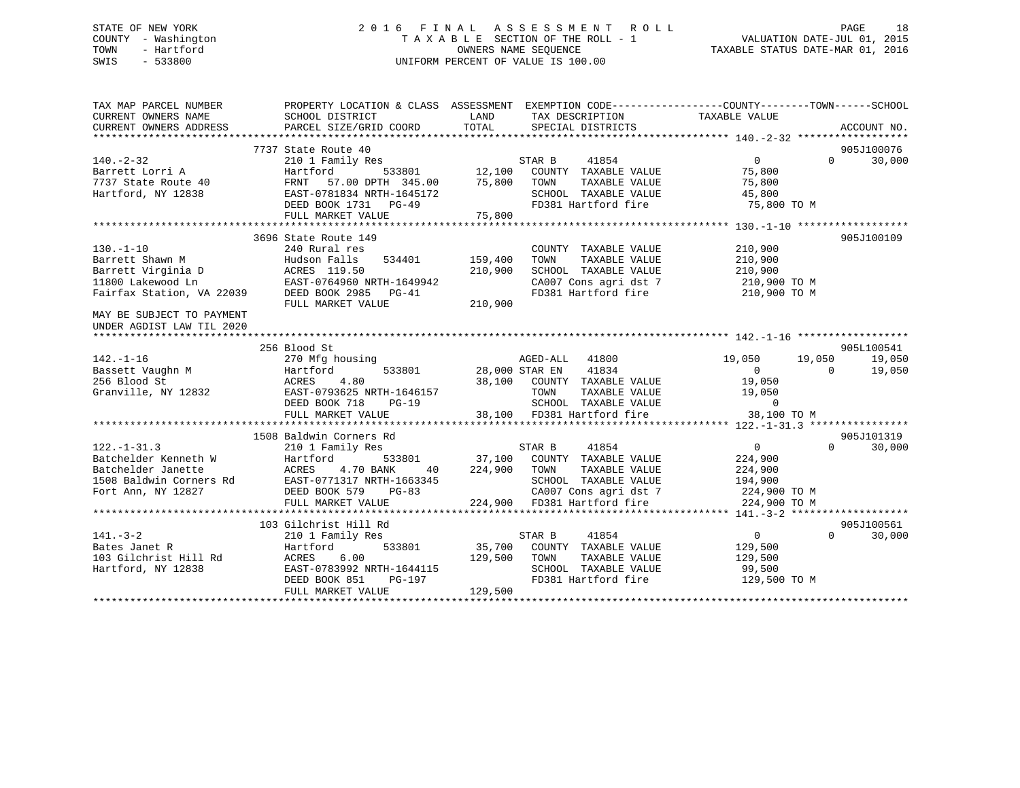### STATE OF NEW YORK 2 0 1 6 F I N A L A S S E S S M E N T R O L L PAGE 18 COUNTY - Washington T A X A B L E SECTION OF THE ROLL - 1 VALUATION DATE-JUL 01, 2015 TOWN - Hartford **TAXABLE STATUS DATE-MAR 01, 2016** OWNERS NAME SEQUENCE TAXABLE STATUS DATE-MAR 01, 2016 SWIS - 533800 UNIFORM PERCENT OF VALUE IS 100.00

| TAX MAP PARCEL NUMBER<br>CURRENT OWNERS NAME<br>CURRENT OWNERS ADDRESS | PROPERTY LOCATION & CLASS ASSESSMENT EXEMPTION CODE---------------COUNTY-------TOWN-----SCHOOL<br>SCHOOL DISTRICT<br>PARCEL SIZE/GRID COORD | LAND<br>TOTAL         | TAX DESCRIPTION TAXABLE VALUE<br>SPECIAL DISTRICTS                                       |                  | ACCOUNT NO.        |
|------------------------------------------------------------------------|---------------------------------------------------------------------------------------------------------------------------------------------|-----------------------|------------------------------------------------------------------------------------------|------------------|--------------------|
|                                                                        |                                                                                                                                             |                       |                                                                                          |                  |                    |
|                                                                        | 7737 State Route 40                                                                                                                         |                       |                                                                                          |                  | 905J100076         |
| $140. - 2 - 32$                                                        | 210 1 Family Res                                                                                                                            |                       | STAR B<br>41854                                                                          | $\overline{0}$   | 30,000<br>$\Omega$ |
| Barrett Lorri A                                                        | 533801 12,100<br>DPTH 345.00 75,800<br>Hartford                                                                                             |                       | COUNTY TAXABLE VALUE                                                                     | 75,800           |                    |
| 7737 State Route 40                                                    | FRNT<br>57.00 DPTH 345.00                                                                                                                   |                       | TAXABLE VALUE<br>TOWN                                                                    | 75,800           |                    |
| Hartford, NY 12838                                                     | EAST-0781834 NRTH-1645172                                                                                                                   |                       | SCHOOL TAXABLE VALUE                                                                     | 45,800           |                    |
|                                                                        | DEED BOOK 1731 PG-49                                                                                                                        |                       | FD381 Hartford fire                                                                      | 75,800 TO M      |                    |
|                                                                        | FULL MARKET VALUE                                                                                                                           | 75,800                |                                                                                          |                  |                    |
|                                                                        |                                                                                                                                             |                       |                                                                                          |                  |                    |
|                                                                        | 3696 State Route 149                                                                                                                        |                       |                                                                                          |                  | 905J100109         |
| $130. - 1 - 10$                                                        | 240 Rural res                                                                                                                               |                       | COUNTY TAXABLE VALUE                                                                     | 210,900          |                    |
| Barrett Shawn M                                                        | 534401<br>Hudson Falls                                                                                                                      | 159,400               | TAXABLE VALUE<br>TOWN                                                                    | 210,900          |                    |
| Barrett Virginia D                                                     | ACRES 119.50                                                                                                                                | 210,900               | SCHOOL TAXABLE VALUE                                                                     | 210,900          |                    |
| 11800 Lakewood Ln                                                      | EAST-0764960 NRTH-1649942                                                                                                                   |                       | CA007 Cons agri dst 7 210,900 TO M                                                       |                  |                    |
| Fairfax Station, VA 22039                                              | DEED BOOK 2985 PG-41                                                                                                                        |                       | FD381 Hartford fire                                                                      | 210,900 TO M     |                    |
|                                                                        | FULL MARKET VALUE                                                                                                                           | 210,900               |                                                                                          |                  |                    |
| MAY BE SUBJECT TO PAYMENT<br>UNDER AGDIST LAW TIL 2020                 |                                                                                                                                             |                       |                                                                                          |                  |                    |
|                                                                        |                                                                                                                                             |                       |                                                                                          |                  |                    |
|                                                                        | 256 Blood St                                                                                                                                |                       |                                                                                          |                  | 905L100541         |
| $142. - 1 - 16$                                                        | 270 Mfg housing                                                                                                                             |                       | AGED-ALL 41800                                                                           | 19,050<br>19,050 | 19,050             |
| Bassett Vaughn M                                                       | Hartford                                                                                                                                    | 533801 28,000 STAR EN | 41834                                                                                    | $\Omega$         | 19,050<br>$\Omega$ |
| 256 Blood St                                                           | 4.80<br>ACRES                                                                                                                               |                       | 38,100 COUNTY TAXABLE VALUE                                                              | 19,050           |                    |
| Granville, NY 12832                                                    | EAST-0793625 NRTH-1646157                                                                                                                   |                       |                                                                                          |                  |                    |
|                                                                        | DEED BOOK 718<br>$PG-19$                                                                                                                    |                       |                                                                                          |                  |                    |
|                                                                        | FULL MARKET VALUE                                                                                                                           |                       | TOWN TAXABLE VALUE 19,050<br>SCHOOL TAXABLE VALUE 0<br>38,100 FD381 Hartford fire 38,100 | 38,100 TO M      |                    |
|                                                                        |                                                                                                                                             |                       |                                                                                          |                  |                    |
|                                                                        | 1508 Baldwin Corners Rd                                                                                                                     |                       |                                                                                          |                  | 905J101319         |
| $122. - 1 - 31.3$                                                      | 210 1 Family Res                                                                                                                            |                       | STAR B<br>41854                                                                          | $\overline{0}$   | $\Omega$<br>30,000 |
| Batchelder Kenneth W                                                   |                                                                                                                                             |                       | 37,100 COUNTY TAXABLE VALUE                                                              | 224,900          |                    |
| Batchelder Janette                                                     | Hartford 533801<br>ACRES 4.70 BANK 40<br>RAST-0771317 NRTH-1663345                                                                          | 224,900               | TOWN<br>TAXABLE VALUE                                                                    | 224,900          |                    |
| 1508 Baldwin Corners Rd                                                |                                                                                                                                             |                       | SCHOOL TAXABLE VALUE                                                                     | 194,900          |                    |
| Fort Ann, NY 12827                                                     | DEED BOOK 579<br>PG-83                                                                                                                      |                       | CA007 Cons agri dst 7                                                                    | 224,900 TO M     |                    |
|                                                                        | FULL MARKET VALUE                                                                                                                           |                       | 224,900 FD381 Hartford fire                                                              | 224,900 TO M     |                    |
|                                                                        |                                                                                                                                             |                       |                                                                                          |                  |                    |
|                                                                        | 103 Gilchrist Hill Rd                                                                                                                       |                       |                                                                                          |                  | 905J100561         |
| $141. - 3 - 2$                                                         | 210 1 Family Res                                                                                                                            |                       | STAR B<br>41854                                                                          | $\overline{0}$   | $\Omega$<br>30,000 |
| Bates Janet R                                                          | Hartford                                                                                                                                    |                       | 533801 35,700 COUNTY TAXABLE VALUE                                                       | 129,500          |                    |
| 103 Gilchrist Hill Rd                                                  | 6.00<br>ACRES                                                                                                                               | 129,500 TOWN          | TAXABLE VALUE                                                                            | 129,500          |                    |
| Hartford, NY 12838                                                     | EAST-0783992 NRTH-1644115                                                                                                                   |                       | SCHOOL TAXABLE VALUE                                                                     | 99,500           |                    |
|                                                                        | DEED BOOK 851<br>PG-197                                                                                                                     |                       | FD381 Hartford fire                                                                      | 129,500 TO M     |                    |
|                                                                        | FULL MARKET VALUE                                                                                                                           | 129,500               |                                                                                          |                  |                    |
|                                                                        |                                                                                                                                             |                       |                                                                                          |                  |                    |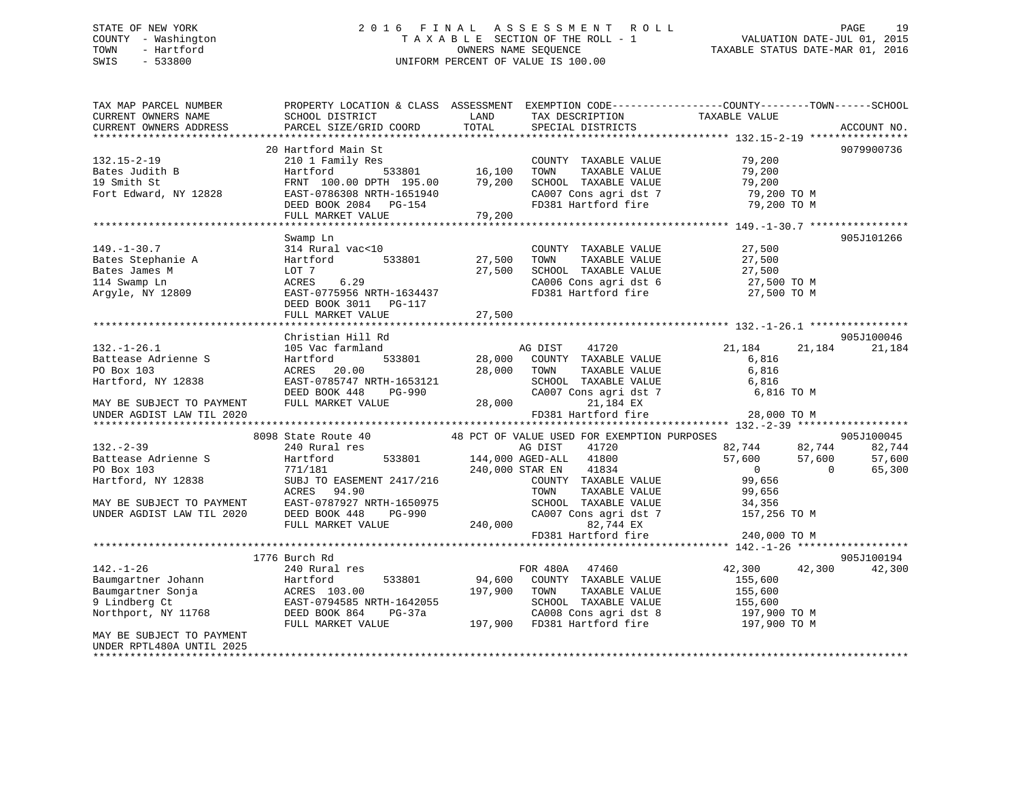### STATE OF NEW YORK 2 0 1 6 F I N A L A S S E S S M E N T R O L L PAGE 19 COUNTY - Washington T A X A B L E SECTION OF THE ROLL - 1 VALUATION DATE-JUL 01, 2015 TOWN - Hartford OWNERS NAME SEQUENCE TAXABLE STATUS DATE-MAR 01, 2016 SWIS - 533800 UNIFORM PERCENT OF VALUE IS 100.00

| TAX MAP PARCEL NUMBER<br>CURRENT OWNERS NAME<br>CURRENT OWNERS ADDRESS                                                                                                                                                                                                        | PROPERTY LOCATION & CLASS ASSESSMENT<br>SCHOOL DISTRICT<br>PARCEL SIZE/GRID COORD                                                                                                                                                                                                                                                                               | LAND<br>TOTAL                         | TAX DESCRIPTION<br>SPECIAL DISTRICTS                                                                                                                                                                                                                                                                                                                                                                                     | EXEMPTION CODE-----------------COUNTY-------TOWN------SCHOOL<br>TAXABLE VALUE                                                                                                          | ACCOUNT NO.                                                                            |
|-------------------------------------------------------------------------------------------------------------------------------------------------------------------------------------------------------------------------------------------------------------------------------|-----------------------------------------------------------------------------------------------------------------------------------------------------------------------------------------------------------------------------------------------------------------------------------------------------------------------------------------------------------------|---------------------------------------|--------------------------------------------------------------------------------------------------------------------------------------------------------------------------------------------------------------------------------------------------------------------------------------------------------------------------------------------------------------------------------------------------------------------------|----------------------------------------------------------------------------------------------------------------------------------------------------------------------------------------|----------------------------------------------------------------------------------------|
|                                                                                                                                                                                                                                                                               |                                                                                                                                                                                                                                                                                                                                                                 |                                       |                                                                                                                                                                                                                                                                                                                                                                                                                          |                                                                                                                                                                                        |                                                                                        |
| $132.15 - 2 - 19$<br>Bates Judith B<br>19 Smith St<br>Fort Edward, NY 12828                                                                                                                                                                                                   | 20 Hartford Main St<br>210 1 Family Res<br>Hartford<br>533801<br>FRNT 100.00 DPTH 195.00<br>EAST-0786308 NRTH-1651940<br>DEED BOOK 2084 PG-154                                                                                                                                                                                                                  | 16,100<br>79,200                      | COUNTY TAXABLE VALUE<br>TOWN<br>TAXABLE VALUE<br>SCHOOL TAXABLE VALUE<br>CA007 Cons agri dst 7<br>FD381 Hartford fire                                                                                                                                                                                                                                                                                                    | 79,200<br>79,200<br>79,200<br>79,200 TO M<br>79,200 TO M                                                                                                                               | 9079900736                                                                             |
|                                                                                                                                                                                                                                                                               | FULL MARKET VALUE                                                                                                                                                                                                                                                                                                                                               | 79,200                                |                                                                                                                                                                                                                                                                                                                                                                                                                          |                                                                                                                                                                                        |                                                                                        |
|                                                                                                                                                                                                                                                                               |                                                                                                                                                                                                                                                                                                                                                                 |                                       |                                                                                                                                                                                                                                                                                                                                                                                                                          |                                                                                                                                                                                        |                                                                                        |
| $149. - 1 - 30.7$<br>Bates Stephanie A<br>Bates James M<br>114 Swamp Ln<br>Argyle, NY 12809                                                                                                                                                                                   | Swamp Ln<br>314 Rural vac<10<br>533801<br>Hartford<br>LOT 7<br>6.29<br>ACRES<br>EAST-0775956 NRTH-1634437<br>DEED BOOK 3011 PG-117<br>FULL MARKET VALUE                                                                                                                                                                                                         | 27,500<br>27,500<br>27,500            | COUNTY TAXABLE VALUE<br>TAXABLE VALUE<br>TOWN<br>SCHOOL TAXABLE VALUE<br>CA006 Cons agri dst 6<br>FD381 Hartford fire                                                                                                                                                                                                                                                                                                    | 27,500<br>27,500<br>27,500<br>27,500 TO M<br>27,500 TO M                                                                                                                               | 905J101266                                                                             |
|                                                                                                                                                                                                                                                                               |                                                                                                                                                                                                                                                                                                                                                                 |                                       |                                                                                                                                                                                                                                                                                                                                                                                                                          |                                                                                                                                                                                        |                                                                                        |
| $132. - 1 - 26.1$<br>Battease Adrienne S<br>PO Box 103<br>Hartford, NY 12838<br>MAY BE SUBJECT TO PAYMENT<br>UNDER AGDIST LAW TIL 2020<br>$132 - 2 - 39$<br>Battease Adrienne S<br>PO Box 103<br>Hartford, NY 12838<br>MAY BE SUBJECT TO PAYMENT<br>UNDER AGDIST LAW TIL 2020 | Christian Hill Rd<br>105 Vac farmland<br>Hartford<br>533801<br>ACRES<br>20.00<br>EAST-0785747 NRTH-1653121<br>DEED BOOK 448<br>PG-990<br>FULL MARKET VALUE<br>8098 State Route 40<br>240 Rural res<br>533801<br>Hartford<br>771/181<br>SUBJ TO EASEMENT 2417/216<br>ACRES<br>94.90<br>EAST-0787927 NRTH-1650975<br>DEED BOOK 448<br>PG-990<br>FULL MARKET VALUE | 28,000<br>28,000<br>28,000<br>240,000 | 41720<br>AG DIST<br>COUNTY TAXABLE VALUE<br>TOWN<br>TAXABLE VALUE<br>SCHOOL TAXABLE VALUE<br>CA007 Cons agri dst 7<br>21,184 EX<br>FD381 Hartford fire<br>48 PCT OF VALUE USED FOR EXEMPTION PURPOSES<br>AG DIST<br>41720<br>144,000 AGED-ALL<br>41800<br>240,000 STAR EN<br>41834<br>COUNTY TAXABLE VALUE<br>TOWN<br>TAXABLE VALUE<br>SCHOOL TAXABLE VALUE<br>CA007 Cons agri dst 7<br>82,744 EX<br>FD381 Hartford fire | 21,184<br>21,184<br>6,816<br>6,816<br>6,816<br>6,816 TO M<br>28,000 TO M<br>82,744<br>57,600<br>57,600<br>$\overline{0}$<br>99,656<br>99,656<br>34,356<br>157,256 TO M<br>240,000 TO M | 905J100046<br>21,184<br>905J100045<br>82,744<br>82,744<br>57,600<br>65,300<br>$\Omega$ |
|                                                                                                                                                                                                                                                                               |                                                                                                                                                                                                                                                                                                                                                                 |                                       |                                                                                                                                                                                                                                                                                                                                                                                                                          |                                                                                                                                                                                        |                                                                                        |
| $142. - 1 - 26$<br>Baumgartner Johann<br>Baumgartner Sonja<br>9 Lindberg Ct<br>Northport, NY 11768<br>MAY BE SUBJECT TO PAYMENT<br>UNDER RPTL480A UNTIL 2025                                                                                                                  | 1776 Burch Rd<br>240 Rural res<br>533801<br>Hartford<br>ACRES 103.00<br>EAST-0794585 NRTH-1642055<br>$PG-37a$<br>DEED BOOK 864<br>FULL MARKET VALUE                                                                                                                                                                                                             | 94,600<br>197,900                     | FOR 480A 47460<br>COUNTY TAXABLE VALUE<br>TOWN<br>TAXABLE VALUE<br>SCHOOL TAXABLE VALUE<br>CA008 Cons agri dst 8<br>197,900 FD381 Hartford fire                                                                                                                                                                                                                                                                          | 42,300<br>42,300<br>155,600<br>155,600<br>155,600<br>197,900 TO M<br>197,900 TO M                                                                                                      | 905J100194<br>42,300                                                                   |
|                                                                                                                                                                                                                                                                               |                                                                                                                                                                                                                                                                                                                                                                 |                                       |                                                                                                                                                                                                                                                                                                                                                                                                                          |                                                                                                                                                                                        |                                                                                        |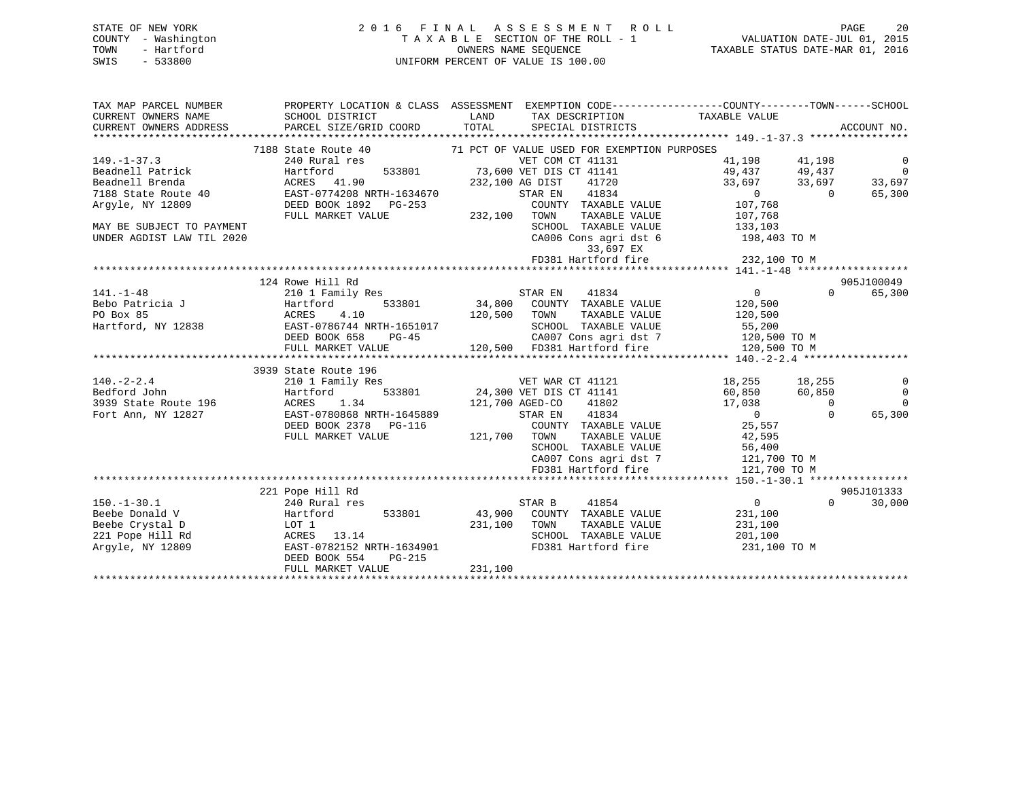### STATE OF NEW YORK 2 0 1 6 F I N A L A S S E S S M E N T R O L L PAGE 20 COUNTY - Washington T A X A B L E SECTION OF THE ROLL - 1 VALUATION DATE-JUL 01, 2015 TOWN - Hartford **TAXABLE STATUS DATE-MAR 01, 2016** OWNERS NAME SEQUENCE TAXABLE STATUS DATE-MAR 01, 2016 SWIS - 533800 UNIFORM PERCENT OF VALUE IS 100.00

| TAX MAP PARCEL NUMBER<br>CURRENT OWNERS NAME<br>CURRENT OWNERS ADDRESS | SCHOOL DISTRICT<br>PARCEL SIZE/GRID COORD    | PROPERTY LOCATION & CLASS ASSESSMENT EXEMPTION CODE---------------COUNTY-------TOWN------SCHOOL<br>LAND<br>TAX DESCRIPTION<br>TOTAL<br>SPECIAL DISTRICTS                      | TAXABLE VALUE          |                | ACCOUNT NO.    |
|------------------------------------------------------------------------|----------------------------------------------|-------------------------------------------------------------------------------------------------------------------------------------------------------------------------------|------------------------|----------------|----------------|
|                                                                        |                                              |                                                                                                                                                                               |                        |                |                |
|                                                                        | 7188 State Route 40                          | 71 PCT OF VALUE USED FOR EXEMPTION PURPOSES                                                                                                                                   |                        |                |                |
| $149. - 1 - 37.3$                                                      | 240 Rural res                                | VET COM CT 41131                                                                                                                                                              | 41,198                 | 41,198         | $\overline{0}$ |
| Beadnell Patrick                                                       | 533801<br>Hartford                           | 73,600 VET DIS CT 41141                                                                                                                                                       | 49,437                 | 49,437         | $\overline{0}$ |
| Beadnell Brenda                                                        | ACRES 41.90                                  | 41720<br>232,100 AG DIST                                                                                                                                                      | 33,697                 | 33,697         | 33,697         |
| $7188 \text{ State Route } 40$                                         | EAST-0774208 NRTH-1634670                    | 41834<br>STAR EN                                                                                                                                                              | $\sim$ 0 $\sim$        | $\overline{0}$ | 65,300         |
| Argyle, NY 12809                                                       | DEED BOOK 1892    PG-253                     | COUNTY TAXABLE VALUE                                                                                                                                                          | 107,768                |                |                |
|                                                                        | FULL MARKET VALUE                            | 232,100 TOWN<br>TAXABLE VALUE                                                                                                                                                 | 107,768<br>133,103     |                |                |
| MAY BE SUBJECT TO PAYMENT                                              |                                              | SCHOOL TAXABLE VALUE                                                                                                                                                          |                        |                |                |
| UNDER AGDIST LAW TIL 2020                                              |                                              | CA006 Cons agri dst 6 198,403 TO M<br>33,697 EX                                                                                                                               |                        |                |                |
|                                                                        |                                              | FD381 Hartford fire                                                                                                                                                           | 232,100 TO M           |                |                |
|                                                                        |                                              |                                                                                                                                                                               |                        |                |                |
|                                                                        | 124 Rowe Hill Rd                             |                                                                                                                                                                               |                        |                | 905J100049     |
| $141. - 1 - 48$                                                        | 210 1 Family Res                             | STAR EN<br>41834                                                                                                                                                              | 0                      | $\Omega$       | 65,300         |
| Bebo Patricia J                                                        | 533801<br>Hartford                           | 34,800 COUNTY TAXABLE VALUE                                                                                                                                                   | 120,500                |                |                |
| PO Box 85                                                              | 4.10                                         | 120,500 TOWN<br>TAXABLE VALUE                                                                                                                                                 | 120,500                |                |                |
| Hartford, NY 12838                                                     | ACRES<br>EAST-(<br>EAST-0786744 NRTH-1651017 |                                                                                                                                                                               |                        |                |                |
|                                                                        | DEED BOOK 658<br>PG-45                       | CA007 Cons agri dst 7<br>En 1911 The Same Land Canada Canada<br>En 1911 The Same Canada Canada Canada Canada Canada Canada Canada Canada Canada Canada Canada Canada Canada C | 55,200<br>120,500 TO M |                |                |
|                                                                        | FULL MARKET VALUE                            | 120,500 FD381 Hartford fire                                                                                                                                                   | 120,500 TO M           |                |                |
|                                                                        |                                              |                                                                                                                                                                               |                        |                |                |
|                                                                        | 3939 State Route 196                         |                                                                                                                                                                               |                        |                |                |
| $140. - 2 - 2.4$                                                       | 210 1 Family Res                             | VET WAR CT 41121                                                                                                                                                              | 18,255 18,255          |                | 0              |
| Bedford John                                                           | 533801<br>Hartford                           | 24,300 VET DIS CT 41141                                                                                                                                                       | 60,850                 | 60,850         | $\overline{0}$ |
| 3939 State Route 196                                                   | ACRES 1.34                                   | 121,700 AGED-CO<br>41802                                                                                                                                                      | 17,038                 | $\overline{0}$ | $\Omega$       |
| Fort Ann, NY 12827                                                     | EAST-0780868 NRTH-1645889                    | 41834<br>STAR EN                                                                                                                                                              | $\sim$ 0 $\sim$        | $\Omega$       | 65,300         |
|                                                                        | DEED BOOK 2378 PG-116                        | COUNTY TAXABLE VALUE                                                                                                                                                          | 25,557                 |                |                |
|                                                                        | FULL MARKET VALUE                            | 121,700 TOWN                                                                                                                                                                  |                        |                |                |
|                                                                        |                                              | TOWN TAXABLE VALUE 42,595<br>SCHOOL TAXABLE VALUE 56,400                                                                                                                      |                        |                |                |
|                                                                        |                                              | CA007 Cons agri dst 7                                                                                                                                                         | 121,700 TO M           |                |                |
|                                                                        |                                              | FD381 Hartford fire                                                                                                                                                           | 121,700 TO M           |                |                |
|                                                                        |                                              |                                                                                                                                                                               |                        |                |                |
|                                                                        | 221 Pope Hill Rd                             |                                                                                                                                                                               |                        |                | 905J101333     |
| $150. - 1 - 30.1$                                                      | 240 Rural res                                | 41854<br>STAR B                                                                                                                                                               | $\overline{0}$         | $\Omega$       | 30,000         |
| Beebe Donald V                                                         | Hartford 533801                              | 43,900 COUNTY TAXABLE VALUE                                                                                                                                                   | 231,100                |                |                |
| Beebe Crystal D                                                        | LOT 1                                        | 231,100<br>TAXABLE VALUE<br>TOWN                                                                                                                                              | 231,100                |                |                |
| 221 Pope Hill Rd                                                       | ACRES 13.14                                  | SCHOOL TAXABLE VALUE                                                                                                                                                          | 201,100                |                |                |
| Argyle, NY 12809                                                       | EAST-0782152 NRTH-1634901                    | FD381 Hartford fire                                                                                                                                                           | 231,100 TO M           |                |                |
|                                                                        | DEED BOOK 554<br>PG-215                      |                                                                                                                                                                               |                        |                |                |
|                                                                        | FULL MARKET VALUE                            | 231,100                                                                                                                                                                       |                        |                |                |
|                                                                        |                                              |                                                                                                                                                                               |                        |                |                |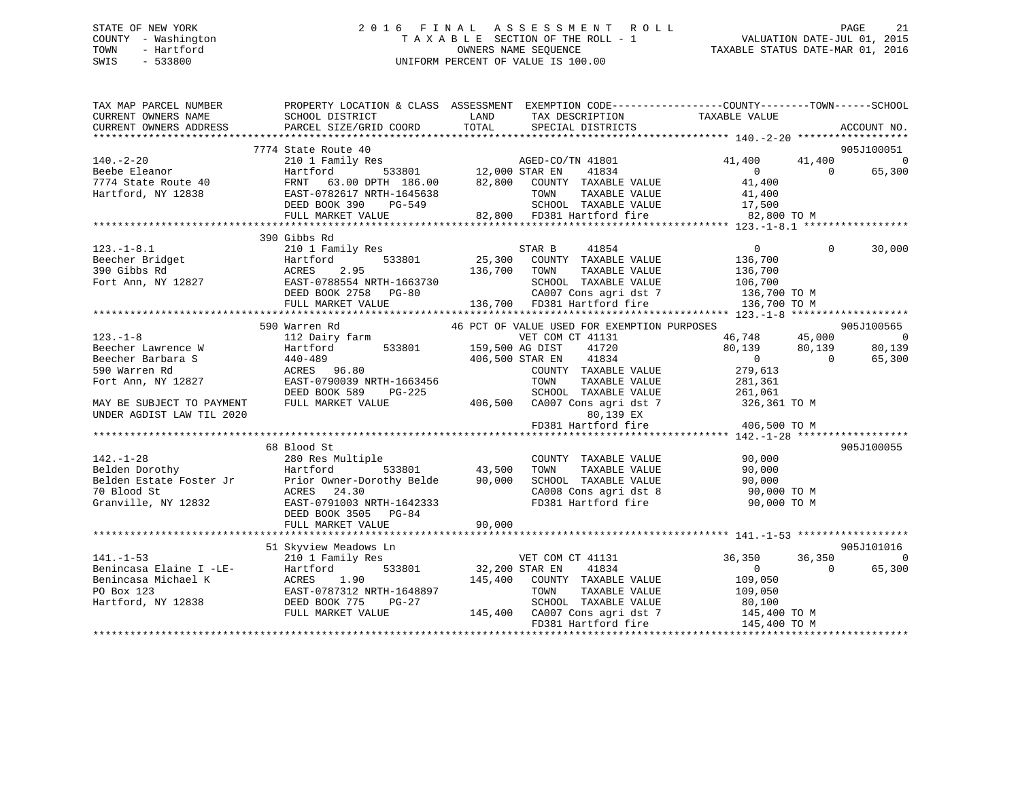#### STATE OF NEW YORK 2 0 1 6 F I N A L A S S E S S M E N T R O L L PAGE 21COUNTY - Washington  $\begin{array}{ccccc}\n\text{COUNTY} & - & \text{Washington} \\
\text{T A X A B L E} & \text{SECTION OF THE ROLL} - 1\n\end{array}$ OWNERS NAME SEQUENCE TAXABLE STATUS DATE-MAR 01, 2016 SWIS - 533800 UNIFORM PERCENT OF VALUE IS 100.00

| TAX MAP PARCEL NUMBER<br>CURRENT OWNERS NAME<br>CURRENT OWNERS ADDRESS | SCHOOL DISTRICT<br>PARCEL SIZE/GRID COORD                                                                                                                                                         | LAND<br>TAX DESCRIPTION<br>TOTAL<br>SPECIAL DISTRICTS                                                                                                                                                                                                                                                                                                                                                   | PROPERTY LOCATION & CLASS ASSESSMENT EXEMPTION CODE---------------COUNTY-------TOWN-----SCHOOL<br>TAXABLE VALUE<br>ACCOUNT NO. |
|------------------------------------------------------------------------|---------------------------------------------------------------------------------------------------------------------------------------------------------------------------------------------------|---------------------------------------------------------------------------------------------------------------------------------------------------------------------------------------------------------------------------------------------------------------------------------------------------------------------------------------------------------------------------------------------------------|--------------------------------------------------------------------------------------------------------------------------------|
|                                                                        |                                                                                                                                                                                                   |                                                                                                                                                                                                                                                                                                                                                                                                         |                                                                                                                                |
|                                                                        | 7774 State Route 40                                                                                                                                                                               |                                                                                                                                                                                                                                                                                                                                                                                                         | 905J100051                                                                                                                     |
| $140. -2 - 20$                                                         | 210 1 Family Res                                                                                                                                                                                  | 3<br>533801 12,000 STAR EN 41834<br>533801 12,000 STAR EN 41834                                                                                                                                                                                                                                                                                                                                         | 41,400<br>41,400<br>$\overline{\phantom{0}}$                                                                                   |
| Beebe Eleanor                                                          | Hartford                                                                                                                                                                                          |                                                                                                                                                                                                                                                                                                                                                                                                         | 65,300<br>$\overline{0}$<br>$\Omega$                                                                                           |
| 7774 State Route 40                                                    |                                                                                                                                                                                                   | FRNT 63.00 DPTH 186.00 82,800 COUNTY TAXABLE VALUE                                                                                                                                                                                                                                                                                                                                                      | 41,400                                                                                                                         |
| Hartford, NY 12838                                                     | EAST-0782617 NRTH-1645638                                                                                                                                                                         |                                                                                                                                                                                                                                                                                                                                                                                                         |                                                                                                                                |
|                                                                        | DEED BOOK 390 PG-549                                                                                                                                                                              | 645638 TOWN TAXABLE VALUE 41,400<br>-549 62,800 FD381 Hartford fire 17,500 82,800 FD381 Hartford fire 62,800 TO M                                                                                                                                                                                                                                                                                       |                                                                                                                                |
|                                                                        | FULL MARKET VALUE                                                                                                                                                                                 |                                                                                                                                                                                                                                                                                                                                                                                                         |                                                                                                                                |
|                                                                        | 390 Gibbs Rd                                                                                                                                                                                      |                                                                                                                                                                                                                                                                                                                                                                                                         |                                                                                                                                |
| $123. - 1 - 8.1$                                                       | 210 1 Family Res                                                                                                                                                                                  | STAR B 41854                                                                                                                                                                                                                                                                                                                                                                                            | $\overline{0}$<br>$\Omega$<br>30,000                                                                                           |
|                                                                        |                                                                                                                                                                                                   |                                                                                                                                                                                                                                                                                                                                                                                                         |                                                                                                                                |
|                                                                        |                                                                                                                                                                                                   |                                                                                                                                                                                                                                                                                                                                                                                                         |                                                                                                                                |
|                                                                        |                                                                                                                                                                                                   |                                                                                                                                                                                                                                                                                                                                                                                                         |                                                                                                                                |
|                                                                        |                                                                                                                                                                                                   |                                                                                                                                                                                                                                                                                                                                                                                                         |                                                                                                                                |
|                                                                        |                                                                                                                                                                                                   |                                                                                                                                                                                                                                                                                                                                                                                                         |                                                                                                                                |
|                                                                        |                                                                                                                                                                                                   |                                                                                                                                                                                                                                                                                                                                                                                                         |                                                                                                                                |
|                                                                        | 590 Warren Rd                                                                                                                                                                                     | $\begin{tabular}{lllllllllllllllllllll} \textbf{123.}-1-8.1 & \textbf{25.3801} & \textbf{25.300} & \textbf{25.300} & \textbf{25.300} & \textbf{25.300} & \textbf{25.300} & \textbf{25.301} & \textbf{25.301} & \textbf{25.301} & \textbf{25.300} & \textbf{25.301} & \textbf{25.301} & \textbf{25.302} & \textbf{25.303} & \textbf{25.304} & \textbf{25$<br>46 PCT OF VALUE USED FOR EXEMPTION PURPOSES | 905J100565                                                                                                                     |
| $123. - 1 - 8$                                                         | 112 Dairy farm                                                                                                                                                                                    | VET COM CT 41131                                                                                                                                                                                                                                                                                                                                                                                        | $\sim$ 0                                                                                                                       |
| Beecher Lawrence W                                                     | Hartford                                                                                                                                                                                          | 533801 159,500 AG DIST<br>41720                                                                                                                                                                                                                                                                                                                                                                         | 46,748 45,000<br>80,139 80,139<br>80,139                                                                                       |
| Beecher Barbara S                                                      | 440-489                                                                                                                                                                                           | 406,500 STAR EN 41834                                                                                                                                                                                                                                                                                                                                                                                   | $\overline{0}$ 0<br>65,300                                                                                                     |
| 590 Warren Rd                                                          | 440–489<br>ACRES 96.80                                                                                                                                                                            | COUNTY TAXABLE VALUE                                                                                                                                                                                                                                                                                                                                                                                    | 279,613                                                                                                                        |
| Fort Ann, NY 12827                                                     | EAST-0790039 NRTH-1663456                                                                                                                                                                         | TOWN<br>TAXABLE VALUE                                                                                                                                                                                                                                                                                                                                                                                   | 281,361                                                                                                                        |
|                                                                        | DEED BOOK 589<br>PG-225                                                                                                                                                                           | SCHOOL TAXABLE VALUE                                                                                                                                                                                                                                                                                                                                                                                    | 261,061                                                                                                                        |
| MAY BE SUBJECT TO PAYMENT                                              | FULL MARKET VALUE                                                                                                                                                                                 | 406,500 CA007 Cons agri dst 7 326,361 TO M                                                                                                                                                                                                                                                                                                                                                              |                                                                                                                                |
| UNDER AGDIST LAW TIL 2020                                              |                                                                                                                                                                                                   | 80,139 EX                                                                                                                                                                                                                                                                                                                                                                                               |                                                                                                                                |
|                                                                        |                                                                                                                                                                                                   | FD381 Hartford fire                                                                                                                                                                                                                                                                                                                                                                                     | 406,500 TO M                                                                                                                   |
|                                                                        |                                                                                                                                                                                                   |                                                                                                                                                                                                                                                                                                                                                                                                         |                                                                                                                                |
|                                                                        | 68 Blood St                                                                                                                                                                                       |                                                                                                                                                                                                                                                                                                                                                                                                         | 905J100055                                                                                                                     |
|                                                                        | 142.-1-28 280 Res Multiple<br>Belden Dorothy Hartford 533801 43,500<br>Belden Estate Foster Jr Prior Owner-Dorothy Belde 90,000<br>70 Rlood St ACRES 24.30<br>20,000                              | COUNTY TAXABLE VALUE                                                                                                                                                                                                                                                                                                                                                                                    | 90,000                                                                                                                         |
|                                                                        |                                                                                                                                                                                                   | e<br>533801                           43,500<br>TAXABLE VALUE<br>TOWN                                                                                                                                                                                                                                                                                                                                   | 90,000                                                                                                                         |
|                                                                        |                                                                                                                                                                                                   |                                                                                                                                                                                                                                                                                                                                                                                                         |                                                                                                                                |
|                                                                        |                                                                                                                                                                                                   |                                                                                                                                                                                                                                                                                                                                                                                                         | SCHOOL TAXABLE VALUE 90,000<br>CA008 Cons agri dst 8 90,000 TO M                                                               |
| Granville, NY 12832                                                    | EAST-0791003 NRTH-1642333                                                                                                                                                                         | FD381 Hartford fire                                                                                                                                                                                                                                                                                                                                                                                     | 90,000 TO M                                                                                                                    |
|                                                                        | DEED BOOK 3505 PG-84                                                                                                                                                                              |                                                                                                                                                                                                                                                                                                                                                                                                         |                                                                                                                                |
|                                                                        | FULL MARKET VALUE                                                                                                                                                                                 | 90,000                                                                                                                                                                                                                                                                                                                                                                                                  |                                                                                                                                |
|                                                                        |                                                                                                                                                                                                   |                                                                                                                                                                                                                                                                                                                                                                                                         |                                                                                                                                |
|                                                                        | 51 Skyview Meadows Ln                                                                                                                                                                             |                                                                                                                                                                                                                                                                                                                                                                                                         | 905J101016                                                                                                                     |
| $141. - 1 - 53$                                                        | 210 1 Family Res                                                                                                                                                                                  | VET COM CT 41131                                                                                                                                                                                                                                                                                                                                                                                        | 36,350<br>36,350<br>$\mathbf 0$                                                                                                |
|                                                                        |                                                                                                                                                                                                   | 533801 32,200 STAR EN<br>41834                                                                                                                                                                                                                                                                                                                                                                          | $\overline{0}$<br>65,300<br>$\Omega$                                                                                           |
|                                                                        |                                                                                                                                                                                                   | 145,400<br>COUNTY TAXABLE VALUE                                                                                                                                                                                                                                                                                                                                                                         | 109,050                                                                                                                        |
|                                                                        | Example 210 1 Family Res<br>Benincasa Elaine I -LE-<br>Benincasa Michael K<br>PO Box 123<br>Hartford, NY 12838<br>PO Box 123<br>ERST-0787312 NRTH-1648897<br>DEED BOOK 775<br>POTTLE MARKET VALUE | TOWN<br>TAXABLE VALUE                                                                                                                                                                                                                                                                                                                                                                                   | 109,050                                                                                                                        |
|                                                                        |                                                                                                                                                                                                   | SCHOOL TAXABLE VALUE                                                                                                                                                                                                                                                                                                                                                                                    |                                                                                                                                |
|                                                                        | FULL MARKET VALUE                                                                                                                                                                                 | 145,400 CA007 Cons agri dst 7                                                                                                                                                                                                                                                                                                                                                                           | 80,100<br>145,400 TO M                                                                                                         |
|                                                                        |                                                                                                                                                                                                   | FD381 Hartford fire                                                                                                                                                                                                                                                                                                                                                                                     | 145,400 TO M                                                                                                                   |
|                                                                        |                                                                                                                                                                                                   |                                                                                                                                                                                                                                                                                                                                                                                                         |                                                                                                                                |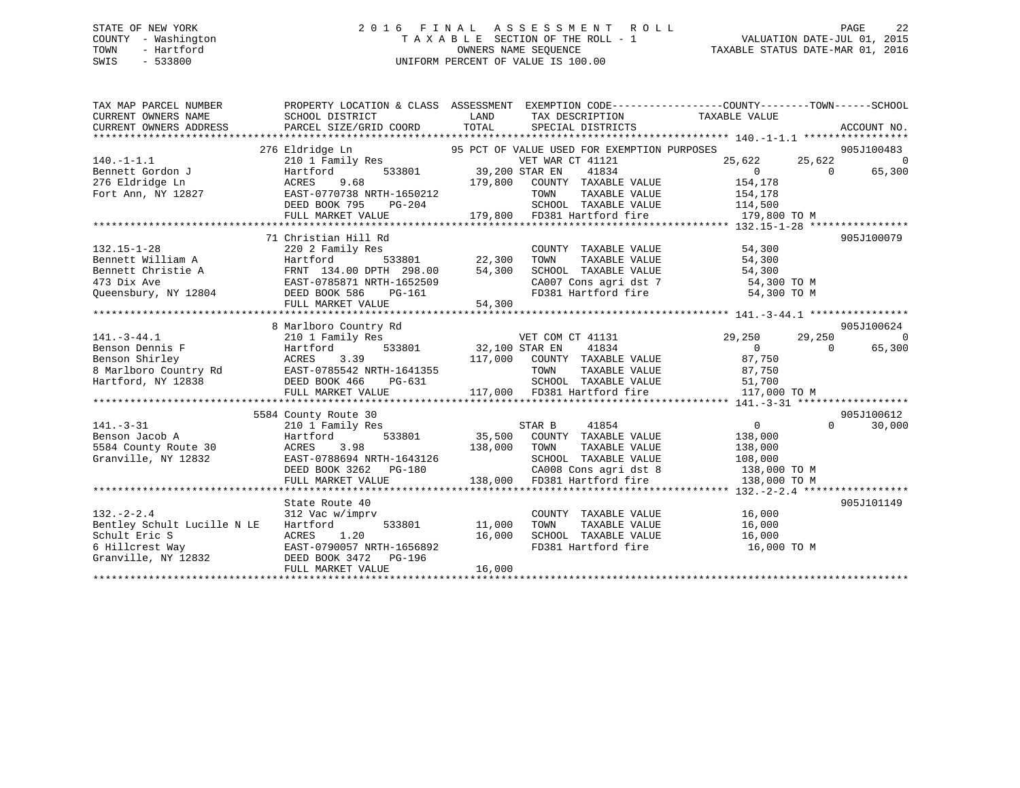### STATE OF NEW YORK 2 0 1 6 F I N A L A S S E S S M E N T R O L L PAGE 22 COUNTY - Washington T A X A B L E SECTION OF THE ROLL - 1 VALUATION DATE-JUL 01, 2015 TOWN - Hartford **TAXABLE STATUS DATE-MAR 01, 2016** OWNERS NAME SEQUENCE TAXABLE STATUS DATE-MAR 01, 2016 SWIS - 533800 UNIFORM PERCENT OF VALUE IS 100.00

| TAX MAP PARCEL NUMBER<br>CURRENT OWNERS NAME<br>CURRENT OWNERS ADDRESS                                                                                                                       | SCHOOL DISTRICT<br>PARCEL SIZE/GRID COORD                                                                                                                              | LAND<br>TAX DESCRIPTION<br>TOTAL<br>SPECIAL DISTRICTS                                                                                                                                                                        | PROPERTY LOCATION & CLASS ASSESSMENT EXEMPTION CODE---------------COUNTY-------TOWN-----SCHOOL<br>TAXABLE VALUE<br>ACCOUNT NO. |
|----------------------------------------------------------------------------------------------------------------------------------------------------------------------------------------------|------------------------------------------------------------------------------------------------------------------------------------------------------------------------|------------------------------------------------------------------------------------------------------------------------------------------------------------------------------------------------------------------------------|--------------------------------------------------------------------------------------------------------------------------------|
| $140. - 1 - 1.1$<br>Bennett Gordon J<br>276 Eldridge Ln<br>Fort Ann, NY 12827                                                                                                                | 276 Eldridge Ln<br>210 1 Family Res<br>Hartford<br>ACRES<br>9.68<br>EAST-0770738 NRTH-1650212<br>DEED BOOK 795<br>PG-204<br>FULL MARKET VALUE                          | 95 PCT OF VALUE USED FOR EXEMPTION PURPOSES<br>VET WAR CT 41121<br>533801 39,200 STAR EN<br>41834<br>179,800<br>COUNTY TAXABLE VALUE<br>TOWN<br>TAXABLE VALUE<br>SCHOOL TAXABLE VALUE 114,500<br>179,800 FD381 Hartford fire | 905J100483<br>25,622<br>25,622<br>$\overline{0}$<br>65,300<br>$\Omega$<br>$\Omega$<br>154,178<br>154,178<br>179,800 TO M       |
| $132.15 - 1 - 28$<br>Bennett William A<br>Bennett Christie A<br>473 Dix Ave<br>Queensbury, NY 12804                                                                                          | 71 Christian Hill Rd<br>220 2 Family Res<br>Hartford<br>533801<br>FRNT 134.00 DPTH 298.00<br>EAST-0785871 NRTH-1652509<br>DEED BOOK 586<br>PG-161<br>FULL MARKET VALUE | COUNTY TAXABLE VALUE<br>22,300<br>54.300<br>TAXABLE VALUE<br>TOWN<br>54,300<br>SCHOOL TAXABLE VALUE<br>CA007 Cons agri dst 7<br>FD381 Hartford fire<br>54,300                                                                | 905J100079<br>54,300<br>54,300<br>54,300<br>54,300 TO M<br>54,300 TO M                                                         |
|                                                                                                                                                                                              | 8 Marlboro Country Rd                                                                                                                                                  |                                                                                                                                                                                                                              | 905J100624                                                                                                                     |
| $141. - 3 - 44.1$<br>Benson Dennis F<br>Benson Dennis r<br>Benson Shirley<br>8 Marlboro Country Rd<br>The EAST-0785542 NRTH-1641355<br>The EAST-0785542 NRTH-1641355<br>DEED BOOK 466 PG-631 | 210 1 Family Res<br>Hartford<br>FULL MARKET VALUE                                                                                                                      | VET COM CT 41131<br>533801 32,100 STAR EN<br>41834<br>117,000 COUNTY TAXABLE VALUE<br>TOWN      TAXABLE VALUE<br>SCHOOL   TAXABLE VALUE<br>117,000 FD381 Hartford fire                                                       | 29,250<br>29,250<br>$\Omega$<br>$\overline{0}$<br>65,300<br>$\Omega$<br>87,750<br>87,750<br>51,700<br>117,000 TO M             |
|                                                                                                                                                                                              |                                                                                                                                                                        |                                                                                                                                                                                                                              |                                                                                                                                |
| $141. - 3 - 31$<br>Benson Jacob A<br>5584 County Route 30<br>Granville, NY 12832                                                                                                             | 5584 County Route 30<br>210 1 Family Res<br>533801<br>Hartford<br>ACRES<br>3.98<br>EAST-0788694 NRTH-1643126<br>DEED BOOK 3262 PG-180<br>FULL MARKET VALUE             | 41854<br>STAR B<br>35,500 COUNTY TAXABLE VALUE<br>TOWN 138,000 TOWN<br>TAXABLE VALUE<br>SCHOOL TAXABLE VALUE<br>CA008 Cons agri dst 8<br>138,000 FD381 Hartford fire                                                         | 905J100612<br>$\Omega$<br>$0 \qquad \qquad$<br>30,000<br>138,000<br>138,000<br>108,000<br>138,000 TO M<br>138,000 TO M         |
| $132 - 2 - 2.4$<br>Bentley Schult Lucille N LE<br>Schult Eric S<br>6 Hillcrest Way<br>Granville, NY 12832                                                                                    | State Route 40<br>312 Vac w/imprv<br>533801<br>Hartford<br>1.20<br>ACRES<br>EAST-0790057 NRTH-1656892<br>DEED BOOK 3472 PG-196<br>FULL MARKET VALUE                    | COUNTY TAXABLE VALUE<br>11,000<br>TAXABLE VALUE<br>TOWN<br>SCHOOL TAXABLE VALUE<br>16,000<br>FD381 Hartford fire<br>16,000                                                                                                   | 905J101149<br>16,000<br>16,000<br>16,000<br>16,000 TO M                                                                        |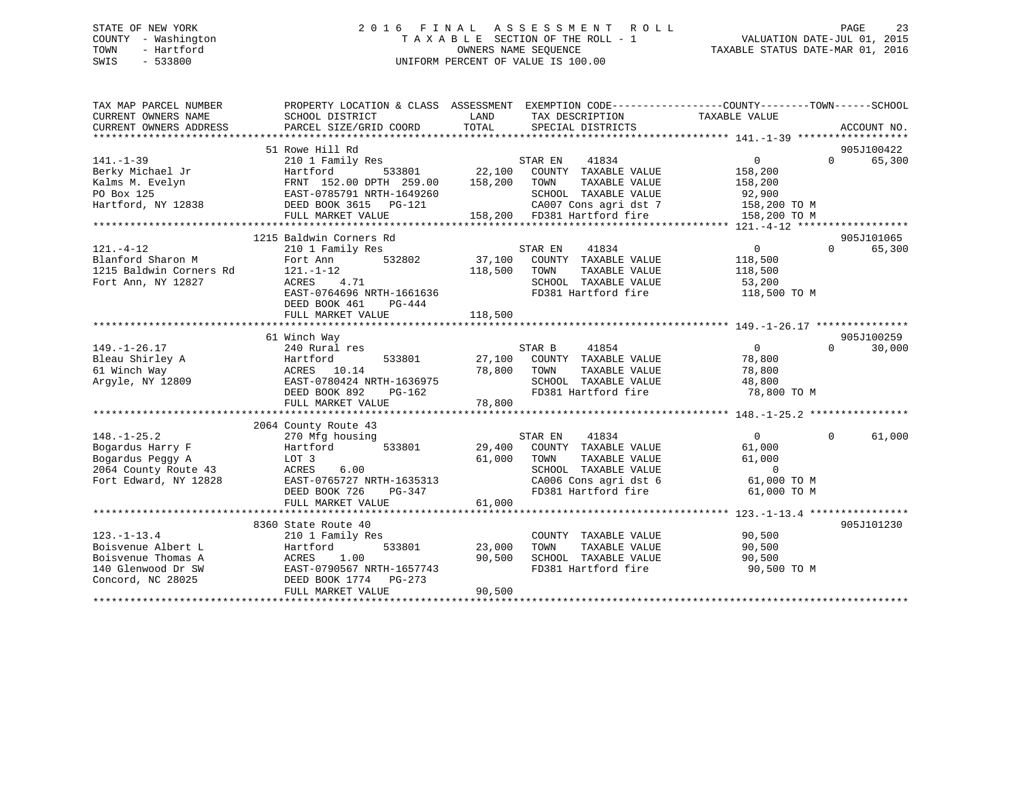### STATE OF NEW YORK 2 0 1 6 F I N A L A S S E S S M E N T R O L L PAGE 23 COUNTY - Washington T A X A B L E SECTION OF THE ROLL - 1 VALUATION DATE-JUL 01, 2015 TOWN - Hartford **TAXABLE STATUS DATE-MAR 01, 2016** OWNERS NAME SEQUENCE TAXABLE STATUS DATE-MAR 01, 2016 SWIS - 533800 UNIFORM PERCENT OF VALUE IS 100.00

| TAX MAP PARCEL NUMBER<br>CURRENT OWNERS NAME<br>CURRENT OWNERS ADDRESS | PROPERTY LOCATION & CLASS ASSESSMENT EXEMPTION CODE---------------COUNTY-------TOWN-----SCHOOL<br>SCHOOL DISTRICT<br>PARCEL SIZE/GRID COORD | LAND<br>TOTAL | TAX DESCRIPTION<br>SPECIAL DISTRICTS                 | TAXABLE VALUE              | ACCOUNT NO.        |
|------------------------------------------------------------------------|---------------------------------------------------------------------------------------------------------------------------------------------|---------------|------------------------------------------------------|----------------------------|--------------------|
|                                                                        |                                                                                                                                             |               |                                                      |                            |                    |
|                                                                        | 51 Rowe Hill Rd                                                                                                                             |               |                                                      |                            | 905J100422         |
| $141. - 1 - 39$                                                        | 210 1 Family Res                                                                                                                            |               | STAR EN<br>41834                                     | $\Omega$                   | 65,300<br>$\Omega$ |
| Berky Michael Jr                                                       | Hartford<br>533801                                                                                                                          | 22,100        | COUNTY TAXABLE VALUE                                 | 158,200                    |                    |
| Kalms M. Evelyn                                                        | FRNT 152.00 DPTH 259.00                                                                                                                     | 158,200       | TOWN<br>TAXABLE VALUE                                | 158,200                    |                    |
| PO Box 125                                                             | EAST-0785791 NRTH-1649260                                                                                                                   |               | SCHOOL TAXABLE VALUE                                 | 92,900                     |                    |
| Hartford, NY 12838                                                     | DEED BOOK 3615 PG-121                                                                                                                       |               | CA007 Cons agri dst 7<br>158,200 FD381 Hartford fire | 158,200 TO M               |                    |
|                                                                        | FULL MARKET VALUE                                                                                                                           |               |                                                      | 158,200 TO M               |                    |
|                                                                        |                                                                                                                                             |               |                                                      |                            |                    |
|                                                                        | 1215 Baldwin Corners Rd                                                                                                                     |               |                                                      |                            | 905J101065         |
| $121. - 4 - 12$                                                        | 210 1 Family Res                                                                                                                            |               | 41834<br>STAR EN                                     | $\overline{0}$<br>$\Omega$ | 65,300             |
| Blanford Sharon M                                                      | Fort Ann 532802                                                                                                                             |               | 37,100 COUNTY TAXABLE VALUE                          | 118,500                    |                    |
| 1215 Baldwin Corners Rd                                                | $121. - 1 - 12$                                                                                                                             | 118,500       | TAXABLE VALUE<br>TOWN                                | 118,500                    |                    |
| Fort Ann, NY 12827                                                     | 4.71<br>ACRES                                                                                                                               |               | SCHOOL TAXABLE VALUE                                 | 53,200                     |                    |
|                                                                        | EAST-0764696 NRTH-1661636                                                                                                                   |               | FD381 Hartford fire                                  | 118,500 TO M               |                    |
|                                                                        | DEED BOOK 461<br>PG-444                                                                                                                     |               |                                                      |                            |                    |
|                                                                        | FULL MARKET VALUE                                                                                                                           | 118,500       |                                                      |                            |                    |
|                                                                        |                                                                                                                                             |               |                                                      |                            |                    |
|                                                                        | 61 Winch Way                                                                                                                                |               |                                                      |                            | 905J100259         |
| $149. - 1 - 26.17$                                                     | 240 Rural res                                                                                                                               |               | STAR B<br>41854                                      | $\overline{0}$<br>$\Omega$ | 30,000             |
| Bleau Shirley A<br>61 Winch Way                                        | Hartford<br>533801<br>ACRES 10.14                                                                                                           | 78,800        | 27,100 COUNTY TAXABLE VALUE<br>TAXABLE VALUE<br>TOWN | 78,800<br>78,800           |                    |
| Arqyle, NY 12809                                                       | EAST-0780424 NRTH-1636975                                                                                                                   |               | SCHOOL TAXABLE VALUE                                 | 48,800                     |                    |
|                                                                        | DEED BOOK 892<br>PG-162                                                                                                                     |               | FD381 Hartford fire                                  | 78,800 TO M                |                    |
|                                                                        | FULL MARKET VALUE                                                                                                                           | 78,800        |                                                      |                            |                    |
|                                                                        |                                                                                                                                             |               |                                                      |                            |                    |
|                                                                        | 2064 County Route 43                                                                                                                        |               |                                                      |                            |                    |
| $148. - 1 - 25.2$                                                      | 270 Mfg housing                                                                                                                             |               | 41834<br>STAR EN                                     | $\overline{0}$<br>$\Omega$ | 61,000             |
| Bogardus Harry F                                                       | Hartford 533801                                                                                                                             |               | 29,400 COUNTY TAXABLE VALUE                          | 61,000                     |                    |
| Bogardus Peggy A                                                       | LOT 3                                                                                                                                       | 61,000        | TAXABLE VALUE<br>TOWN                                | 61,000                     |                    |
| 2064 County Route 43                                                   | ACRES<br>6.00                                                                                                                               |               | SCHOOL TAXABLE VALUE                                 | $\overline{0}$             |                    |
| Fort Edward, NY 12828                                                  | EAST-0765727 NRTH-1635313                                                                                                                   |               | CA006 Cons agri dst 6                                | 61,000 TO M                |                    |
|                                                                        | DEED BOOK 726<br>PG-347                                                                                                                     |               | FD381 Hartford fire                                  | 61,000 TO M                |                    |
|                                                                        | FULL MARKET VALUE                                                                                                                           | 61,000        |                                                      |                            |                    |
|                                                                        |                                                                                                                                             |               |                                                      |                            |                    |
|                                                                        | 8360 State Route 40                                                                                                                         |               |                                                      |                            | 905J101230         |
| $123. - 1 - 13.4$                                                      | 210 1 Family Res                                                                                                                            |               | COUNTY TAXABLE VALUE                                 | 90,500                     |                    |
| Boisvenue Albert L                                                     | 533801<br>Hartford                                                                                                                          | 23,000        | TAXABLE VALUE<br>TOWN                                | 90,500                     |                    |
| Boisvenue Thomas A                                                     | 1.00<br>ACRES                                                                                                                               | 90,500        | SCHOOL TAXABLE VALUE                                 | 90,500                     |                    |
| 140 Glenwood Dr SW                                                     | EAST-0790567 NRTH-1657743                                                                                                                   |               | FD381 Hartford fire                                  | 90,500 TO M                |                    |
| Concord, NC 28025                                                      | DEED BOOK 1774    PG-273                                                                                                                    |               |                                                      |                            |                    |
|                                                                        | FULL MARKET VALUE                                                                                                                           | 90,500        |                                                      |                            |                    |
|                                                                        |                                                                                                                                             |               |                                                      |                            |                    |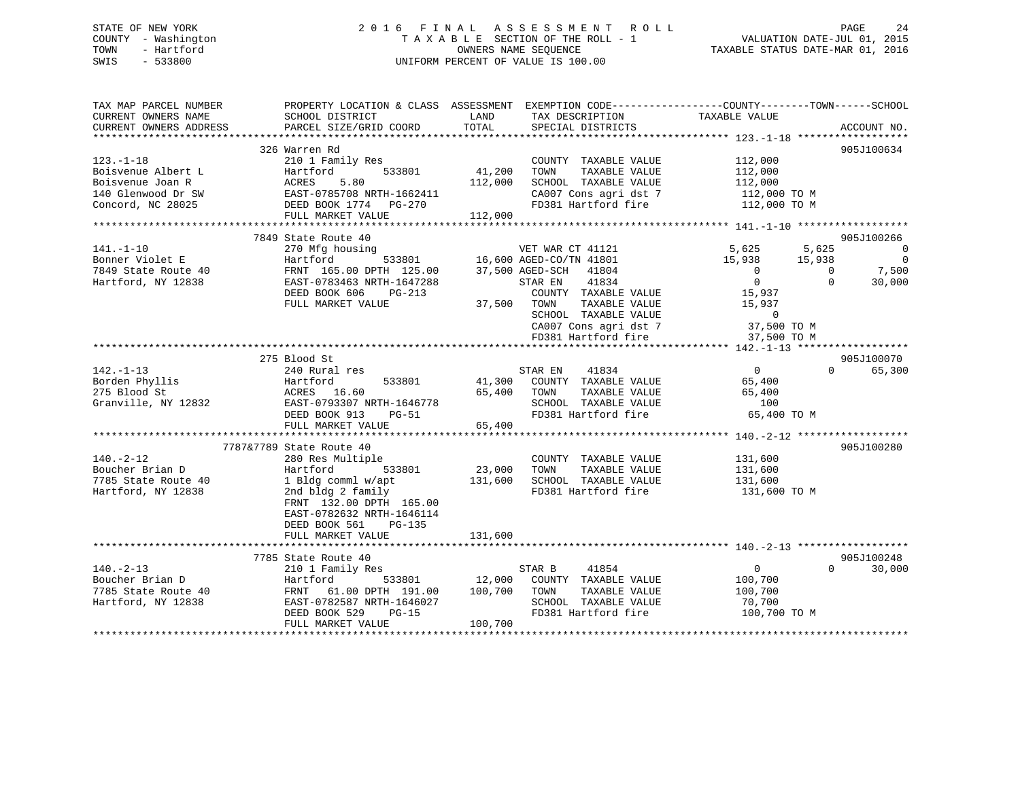### STATE OF NEW YORK 2 0 1 6 F I N A L A S S E S S M E N T R O L L PAGE 24 COUNTY - Washington T A X A B L E SECTION OF THE ROLL - 1 VALUATION DATE-JUL 01, 2015 TOWN - Hartford **TAXABLE STATUS DATE-MAR 01, 2016** OWNERS NAME SEQUENCE TAXABLE STATUS DATE-MAR 01, 2016 SWIS - 533800 UNIFORM PERCENT OF VALUE IS 100.00

| TAX MAP PARCEL NUMBER<br>CURRENT OWNERS NAME<br>CURRENT OWNERS ADDRESS                               | SCHOOL DISTRICT<br>PARCEL SIZE/GRID COORD                                                                                                                                                                                  | LAND<br>TAX DESCRIPTION<br>TOTAL<br>SPECIAL DISTRICTS                                                                                                                                                           | PROPERTY LOCATION & CLASS ASSESSMENT EXEMPTION CODE---------------COUNTY-------TOWN-----SCHOOL<br>TAXABLE VALUE<br>ACCOUNT NO.                                                                                                                                     |
|------------------------------------------------------------------------------------------------------|----------------------------------------------------------------------------------------------------------------------------------------------------------------------------------------------------------------------------|-----------------------------------------------------------------------------------------------------------------------------------------------------------------------------------------------------------------|--------------------------------------------------------------------------------------------------------------------------------------------------------------------------------------------------------------------------------------------------------------------|
| $123. - 1 - 18$<br>Boisvenue Albert L<br>Boisvenue Joan R<br>140 Glenwood Dr SW<br>Concord, NC 28025 | 326 Warren Rd<br>210 1 Family Res<br>Mailford 533801<br>ACRES 5.80<br>EAST-0785708 NRTH-1662411<br>DEED BOOK 1774<br>FULL MARKET VALUE                                                                                     | COUNTY TAXABLE VALUE<br>41,200<br>TOWN<br>TAXABLE VALUE<br>112,000<br>SCHOOL TAXABLE VALUE<br>112,000                                                                                                           | 905J100634<br>112,000<br>112,000<br>112,000<br>CA007 Cons agri dst 7 112,000 TO M<br>FD381 Hartford fire 112,000 TO M                                                                                                                                              |
| 141.-1-10<br>Bonner Violet E<br>7849 State Route 40<br>Hartford, NY 12838                            | 7849 State Route 40<br>270 Mfg housing<br>Hartford<br>FRNT 165.00 DPTH 125.00 37,500 AGED-SCH<br>EAST-0783463 NRTH-1647288<br>DEED BOOK 606<br>$PG-213$<br>FULL MARKET VALUE                                               | VET WAR CT 41121<br>533801 16,600 AGED-CO/TN 41801<br>41804<br>STAR EN<br>41834<br>COUNTY TAXABLE VALUE<br>TAXABLE VALUE<br>37,500 TOWN<br>SCHOOL TAXABLE VALUE<br>CA007 Cons agri dst 7<br>FD381 Hartford fire | 905J100266<br>5,625<br>5,625<br>$\overline{\phantom{0}}$<br>5,625    5,625<br>15,938   15,938<br>$\overline{0}$<br>7,500<br>$\overline{0}$<br>$\overline{0}$<br>$\overline{0}$<br>$\Omega$<br>30,000<br>15,937<br>15,937<br>$\sim$ 0<br>37,500 TO M<br>37,500 TO M |
| $142. - 1 - 13$<br>Borden Phyllis<br>275 Blood St<br>Granville, NY 12832                             | 275 Blood St<br>240 Rural res<br>Hartford<br>533801<br>ACRES 16.60<br>EAST-0793307 NRTH-1646778<br>DEED BOOK 913<br>PG-51<br>FULL MARKET VALUE                                                                             | STAR EN<br>41834<br>41,300 COUNTY TAXABLE VALUE<br>TAXABLE VALUE<br>65,400<br>TOWN<br>SCHOOL TAXABLE VALUE<br>FD381 Hartford fire<br>65,400                                                                     | 905J100070<br>$\Omega$<br>65,300<br>$\overline{0}$<br>65,400<br>65,400<br>100<br>65,400 TO M                                                                                                                                                                       |
| $140. -2 - 12$<br>Boucher Brian D<br>7785 State Route 40<br>Hartford, NY 12838                       | 7787&7789 State Route 40<br>280 Res Multiple<br>Hartford<br>533801<br>1 Bldg comml w/apt 131,600<br>2nd bldg 2 family<br>FRNT 132.00 DPTH 165.00<br>EAST-0782632 NRTH-1646114<br>DEED BOOK 561 PG-135<br>FULL MARKET VALUE | COUNTY TAXABLE VALUE<br>23,000<br>TOWN<br>TAXABLE VALUE<br>SCHOOL TAXABLE VALUE 131,600<br>FD381 Hartford fire<br>131,600                                                                                       | 905J100280<br>131,600<br>131,600<br>131,600 TO M                                                                                                                                                                                                                   |
| $140. -2 - 13$<br>Boucher Brian D<br>7785 State Route 40<br>Hartford, NY 12838                       | 7785 State Route 40<br>210 1 Family Res<br>Hartford<br>FRNT 61.00 DPTH 191.00<br>EAST-0782587 NRTH-1646027<br>DEED BOOK 529<br>$PG-15$<br>FULL MARKET VALUE                                                                | 41854<br>STAR B<br>533801 12,000<br>COUNTY TAXABLE VALUE<br>100,700<br>TOWN<br>TAXABLE VALUE<br>SCHOOL TAXABLE VALUE<br>FD381 Hartford fire<br>100,700                                                          | 905J100248<br>$\overline{0}$<br>$\Omega$<br>30,000<br>100,700<br>100,700<br>70,700<br>100,700 TO M                                                                                                                                                                 |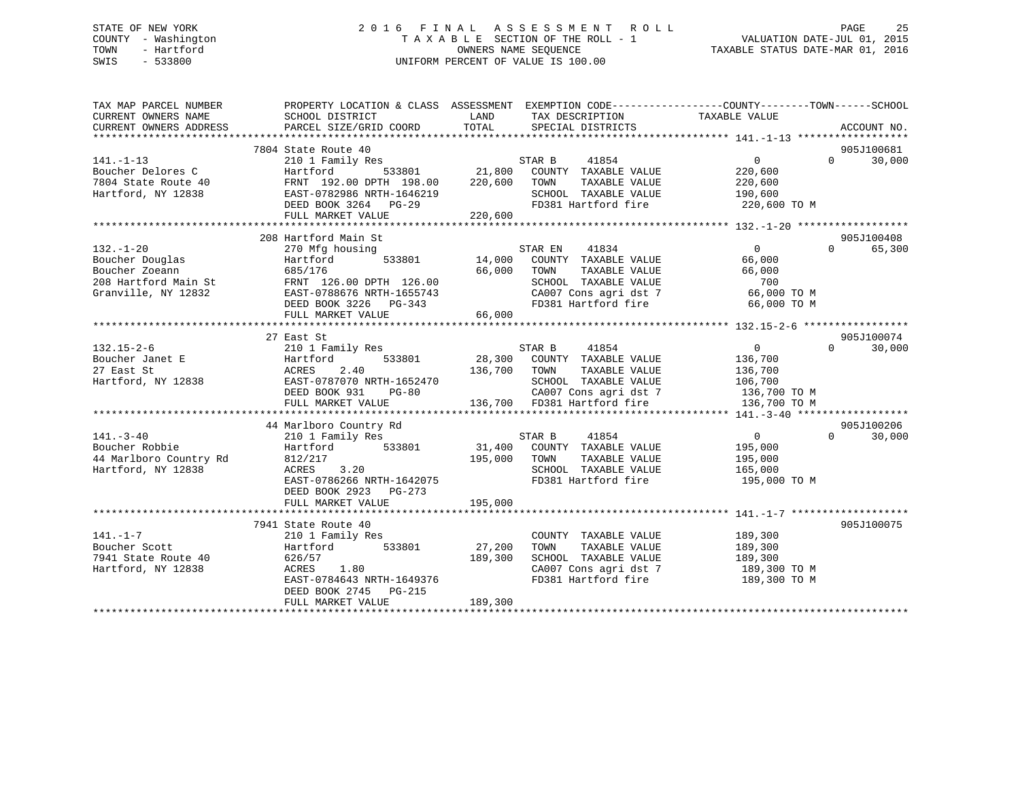### STATE OF NEW YORK 2 0 1 6 F I N A L A S S E S S M E N T R O L L PAGE 25 COUNTY - Washington T A X A B L E SECTION OF THE ROLL - 1 VALUATION DATE-JUL 01, 2015 TOWN - Hartford **TAXABLE STATUS DATE-MAR 01, 2016** OWNERS NAME SEQUENCE TAXABLE STATUS DATE-MAR 01, 2016 SWIS - 533800 UNIFORM PERCENT OF VALUE IS 100.00

| TAX MAP PARCEL NUMBER<br>CURRENT OWNERS NAME | SCHOOL DISTRICT                        | LAND TAX DESCRIPTION                        | PROPERTY LOCATION & CLASS ASSESSMENT EXEMPTION CODE---------------COUNTY-------TOWN-----SCHOOL<br>TAXABLE VALUE |                    |
|----------------------------------------------|----------------------------------------|---------------------------------------------|-----------------------------------------------------------------------------------------------------------------|--------------------|
| CURRENT OWNERS ADDRESS                       | PARCEL SIZE/GRID COORD                 | TOTAL<br>SPECIAL DISTRICTS                  |                                                                                                                 | ACCOUNT NO.        |
|                                              | 7804 State Route 40                    |                                             |                                                                                                                 | 905J100681         |
| $141. - 1 - 13$                              | 210 1 Family Res                       |                                             | $0 \qquad \qquad$                                                                                               | 30,000<br>$\Omega$ |
| Boucher Delores C                            | 533801<br>Hartford                     | STAR B 41854<br>21,800 COUNTY TAXABLE VALUE | 220,600                                                                                                         |                    |
| 7804 State Route 40                          | FRNT 192.00 DPTH 198.00 220,600        | TOWN<br>TAXABLE VALUE                       | 220,600                                                                                                         |                    |
| Hartford, NY 12838                           | EAST-0782986 NRTH-1646219              | SCHOOL TAXABLE VALUE                        | 190,600                                                                                                         |                    |
|                                              | DEED BOOK 3264 PG-29                   | 19<br>FD381 Hartford fire                   | 220,600 TO M                                                                                                    |                    |
|                                              | FULL MARKET VALUE                      | 220,600                                     |                                                                                                                 |                    |
|                                              |                                        |                                             |                                                                                                                 |                    |
|                                              | 208 Hartford Main St                   |                                             |                                                                                                                 | 905J100408         |
| $132. - 1 - 20$                              | 270 Mfg housing                        | STAR EN 41834                               | $\Omega$                                                                                                        | $\Omega$<br>65,300 |
| Boucher Douglas                              | 533801<br>Hartford                     | 14,000 COUNTY TAXABLE VALUE                 | 66,000                                                                                                          |                    |
| Boucher Zoeann                               | 685/176                                | 66,000<br>TAXABLE VALUE<br>TOWN             | 66,000                                                                                                          |                    |
| 208 Hartford Main St                         | FRNT 126.00 DPTH 126.00                | SCHOOL TAXABLE VALUE                        | 700                                                                                                             |                    |
| Granville, NY 12832                          | EAST-0788676 NRTH-1655743              | CA007 Cons agri dst 7                       | 66,000 TO M                                                                                                     |                    |
|                                              | DEED BOOK 3226 PG-343                  | FD381 Hartford fire                         | 66,000 TO M                                                                                                     |                    |
|                                              | FULL MARKET VALUE                      | 66,000                                      |                                                                                                                 |                    |
|                                              |                                        |                                             |                                                                                                                 |                    |
|                                              | 27 East St                             |                                             |                                                                                                                 | 905J100074         |
| $132.15 - 2 - 6$                             | 210 1 Family Res                       | STAR B<br>41854                             | $\overline{0}$                                                                                                  | $\Omega$<br>30,000 |
| Boucher Janet E                              | 533801<br>Hartford                     | 28,300 COUNTY TAXABLE VALUE                 | 136,700                                                                                                         |                    |
| 27 East St                                   | 2.40<br>ACRES                          | 136,700 TOWN<br>TAXABLE VALUE               | 136,700                                                                                                         |                    |
| Hartford, NY 12838                           | EAST-0787070 NRTH-1652470              |                                             | SCHOOL TAXABLE VALUE 106,700<br>CA007 Cons agri dst 7 136,700 TO M                                              |                    |
|                                              | DEED BOOK 931<br>$PG-80$               |                                             |                                                                                                                 |                    |
|                                              | FULL MARKET VALUE                      | 136,700 FD381 Hartford fire                 | 136,700 TO M                                                                                                    |                    |
|                                              |                                        |                                             |                                                                                                                 |                    |
|                                              | 44 Marlboro Country Rd                 |                                             |                                                                                                                 | 905J100206         |
| $141. - 3 - 40$                              | 210 1 Family Res                       | STAR B 41854                                | $\overline{0}$                                                                                                  | 30,000<br>$\Omega$ |
| Boucher Robbie                               | 533801<br>Hartford                     | 31,400 COUNTY TAXABLE VALUE                 | 195,000                                                                                                         |                    |
| 44 Marlboro Country Rd                       | 812/217                                | 195,000 TOWN<br>TAXABLE VALUE               | 195,000                                                                                                         |                    |
| Hartford, NY 12838                           | ACRES 3.20                             | SCHOOL TAXABLE VALUE                        | 165,000                                                                                                         |                    |
|                                              | EAST-0786266 NRTH-1642075              | FD381 Hartford fire                         | 195,000 TO M                                                                                                    |                    |
|                                              | DEED BOOK 2923 PG-273                  |                                             |                                                                                                                 |                    |
|                                              | FULL MARKET VALUE                      | 195,000                                     |                                                                                                                 |                    |
|                                              | 7941 State Route 40                    |                                             |                                                                                                                 | 905J100075         |
| $141. - 1 - 7$                               |                                        | COUNTY TAXABLE VALUE                        | 189,300                                                                                                         |                    |
| Boucher Scott                                | 210 1 Family Res<br>533801<br>Hartford | 27,200<br>TAXABLE VALUE<br>TOWN             | 189,300                                                                                                         |                    |
| 7941 State Route 40                          | 626/57                                 | 189,300<br>SCHOOL TAXABLE VALUE             | 189,300                                                                                                         |                    |
| Hartford, NY 12838                           | ACRES 1.80                             | CA007 Cons agri dst 7                       | 189,300 TO M                                                                                                    |                    |
|                                              | EAST-0784643 NRTH-1649376              | FD381 Hartford fire                         | 189,300 TO M                                                                                                    |                    |
|                                              | DEED BOOK 2745 PG-215                  |                                             |                                                                                                                 |                    |
|                                              | FULL MARKET VALUE                      | 189,300                                     |                                                                                                                 |                    |
|                                              |                                        |                                             |                                                                                                                 |                    |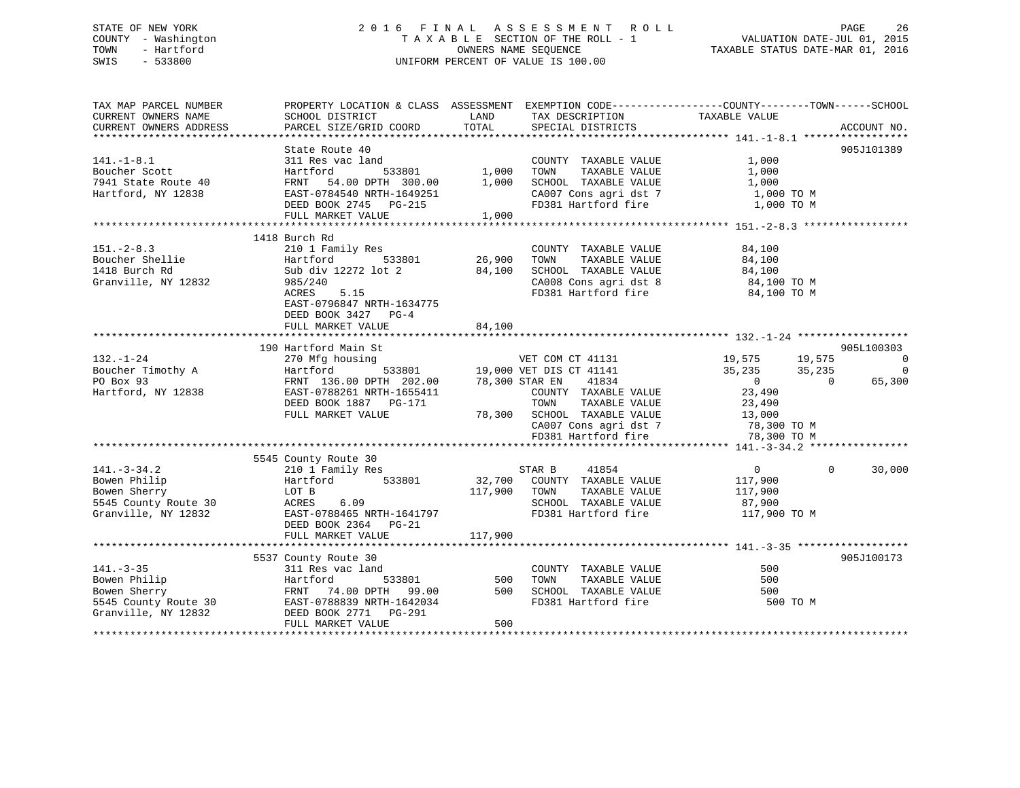### STATE OF NEW YORK 2 0 1 6 F I N A L A S S E S S M E N T R O L L PAGE 26 COUNTY - Washington T A X A B L E SECTION OF THE ROLL - 1 VALUATION DATE-JUL 01, 2015 TOWN - Hartford **TAXABLE STATUS DATE-MAR 01, 2016** OWNERS NAME SEQUENCE TAXABLE STATUS DATE-MAR 01, 2016 SWIS - 533800 UNIFORM PERCENT OF VALUE IS 100.00

| TAX MAP PARCEL NUMBER           |                                                                                                                                                                                                                                                     |                   | PROPERTY LOCATION & CLASS ASSESSMENT EXEMPTION CODE---------------COUNTY-------TOWN------SCHOOL |                                                       |                          |
|---------------------------------|-----------------------------------------------------------------------------------------------------------------------------------------------------------------------------------------------------------------------------------------------------|-------------------|-------------------------------------------------------------------------------------------------|-------------------------------------------------------|--------------------------|
| CURRENT OWNERS NAME             | SCHOOL DISTRICT                                                                                                                                                                                                                                     | LAND              | TAX DESCRIPTION                                                                                 | TAXABLE VALUE                                         |                          |
| CURRENT OWNERS ADDRESS          | PARCEL SIZE/GRID COORD                                                                                                                                                                                                                              | TOTAL             | SPECIAL DISTRICTS                                                                               |                                                       | ACCOUNT NO.              |
|                                 |                                                                                                                                                                                                                                                     |                   |                                                                                                 |                                                       |                          |
|                                 | State Route 40                                                                                                                                                                                                                                      |                   |                                                                                                 |                                                       | 905J101389               |
| $141. - 1 - 8.1$                | 311 Res vac land                                                                                                                                                                                                                                    |                   | COUNTY TAXABLE VALUE                                                                            | 1,000                                                 |                          |
| Boucher Scott                   | Hartford                                                                                                                                                                                                                                            | 533801 1,000 TOWN | TAXABLE VALUE                                                                                   | 1,000                                                 |                          |
| 7941 State Route 40             |                                                                                                                                                                                                                                                     |                   |                                                                                                 | 1,000                                                 |                          |
| Hartford, NY 12838              |                                                                                                                                                                                                                                                     |                   | CA007 Cons agri dst 7                                                                           | 1,000 TO M                                            |                          |
|                                 | DEED BOOK 2745 PG-215                                                                                                                                                                                                                               |                   | FD381 Hartford fire                                                                             | 1,000 TO M                                            |                          |
|                                 | FULL MARKET VALUE                                                                                                                                                                                                                                   | 1,000             |                                                                                                 |                                                       |                          |
|                                 |                                                                                                                                                                                                                                                     |                   |                                                                                                 |                                                       |                          |
|                                 | 1418 Burch Rd                                                                                                                                                                                                                                       |                   |                                                                                                 |                                                       |                          |
| $151 - 2 - 8.3$                 | 210 1 Family Res                                                                                                                                                                                                                                    |                   | COUNTY TAXABLE VALUE                                                                            | 84,100                                                |                          |
| Boucher Shellie<br>And Durch Pd | 533801 26,900<br>Hartford                                                                                                                                                                                                                           |                   | TOWN<br>TAXABLE VALUE                                                                           |                                                       |                          |
| 1418 Burch Rd                   | Sub div 12272 lot 2                                                                                                                                                                                                                                 | 84,100            | SCHOOL TAXABLE VALUE                                                                            | $84,100$<br>$84,100$                                  |                          |
| Granville, NY 12832             | 985/240                                                                                                                                                                                                                                             |                   | CA008 Cons agri dst 8 84,100 TO M                                                               |                                                       |                          |
|                                 | ACRES 5.15                                                                                                                                                                                                                                          |                   | FD381 Hartford fire                                                                             | 84,100 TO M                                           |                          |
|                                 | EAST-0796847 NRTH-1634775                                                                                                                                                                                                                           |                   |                                                                                                 |                                                       |                          |
|                                 | DEED BOOK 3427 PG-4                                                                                                                                                                                                                                 |                   |                                                                                                 |                                                       |                          |
|                                 | FULL MARKET VALUE                                                                                                                                                                                                                                   | 84,100            |                                                                                                 |                                                       |                          |
|                                 |                                                                                                                                                                                                                                                     |                   |                                                                                                 |                                                       |                          |
|                                 | 190 Hartford Main St                                                                                                                                                                                                                                |                   |                                                                                                 |                                                       | 905L100303               |
| $132. - 1 - 24$                 | 270 Mfg housing                                                                                                                                                                                                                                     |                   |                                                                                                 |                                                       | $\overline{0}$           |
| Boucher Timothy A               |                                                                                                                                                                                                                                                     |                   | VET COM CT 41131<br>533801 19,000 VET DIS CT 41141                                              | 19,575         19,575<br>35,235           35,235      | 0                        |
| PO Box 93                       | 270 First 136.00 DPTH 202.00 19,000 VEI DID CLEAR TRANSPORT 136.00 DPTH 202.00 78,300 STAR EN 41834<br>EAST-0788261 NRTH-1655411 COUNTY TAXABLE<br>EAST-0788261 NRTH-1655411 TOWN TAXABLE<br>DC-171 TOWN TAXABLE                                    |                   |                                                                                                 |                                                       | 65,300<br>$\overline{0}$ |
| Hartford, NY 12838              |                                                                                                                                                                                                                                                     |                   | COUNTY TAXABLE VALUE                                                                            | $\begin{smallmatrix}&&0\0&23\, ,490\end{smallmatrix}$ |                          |
|                                 |                                                                                                                                                                                                                                                     |                   |                                                                                                 |                                                       |                          |
|                                 | FULL MARKET VALUE                                                                                                                                                                                                                                   |                   | TAXABLE VALUE 23,490<br>TAXABLE VALUE 13,000<br>78,300 SCHOOL TAXABLE VALUE                     |                                                       |                          |
|                                 |                                                                                                                                                                                                                                                     |                   |                                                                                                 |                                                       |                          |
|                                 |                                                                                                                                                                                                                                                     |                   | CA007 cons agri dst 7 78,300 TO M<br>FD381 Hartford fire 78,300 TO M                            |                                                       |                          |
|                                 |                                                                                                                                                                                                                                                     |                   |                                                                                                 |                                                       |                          |
|                                 | 5545 County Route 30                                                                                                                                                                                                                                |                   |                                                                                                 |                                                       |                          |
| $141. - 3 - 34.2$               |                                                                                                                                                                                                                                                     |                   | STAR B<br>41854                                                                                 | $\overline{0}$                                        | 30,000<br>$\Omega$       |
| Bowen Philip                    | 210 1 Family Res<br>Hartford 533801                                                                                                                                                                                                                 |                   |                                                                                                 |                                                       |                          |
|                                 |                                                                                                                                                                                                                                                     |                   | 32,700 COUNTY TAXABLE VALUE                                                                     | 117,900                                               |                          |
| Bowen Sherry                    | LOT B                                                                                                                                                                                                                                               | 117,900 TOWN      | TAXABLE VALUE                                                                                   | 117,900                                               |                          |
|                                 |                                                                                                                                                                                                                                                     |                   | SCHOOL TAXABLE VALUE                                                                            | 87,900                                                |                          |
|                                 |                                                                                                                                                                                                                                                     |                   | FD381 Hartford fire                                                                             | 117,900 TO M                                          |                          |
|                                 | DEED BOOK 2364 PG-21                                                                                                                                                                                                                                |                   |                                                                                                 |                                                       |                          |
|                                 | FULL MARKET VALUE                                                                                                                                                                                                                                   | 117,900           |                                                                                                 |                                                       |                          |
|                                 |                                                                                                                                                                                                                                                     |                   |                                                                                                 |                                                       |                          |
|                                 | 5537 County Route 30                                                                                                                                                                                                                                |                   |                                                                                                 |                                                       | 905J100173               |
| $141. - 3 - 35$                 | 311 Res vac land                                                                                                                                                                                                                                    |                   | COUNTY TAXABLE VALUE                                                                            | 500                                                   |                          |
|                                 |                                                                                                                                                                                                                                                     | -<br>533801 500   |                                                                                                 | 500                                                   |                          |
|                                 |                                                                                                                                                                                                                                                     |                   |                                                                                                 | 500                                                   |                          |
|                                 |                                                                                                                                                                                                                                                     |                   |                                                                                                 | 500 TO M                                              |                          |
|                                 | Bowen Philip<br>Bowen Sherry<br>Bowen Sherry<br>Soluty Route 30<br>Sexer-0788839 NRTH-1642034<br>Stanville, NY 12832<br>DEED BOOK 2771 PG-291<br>PHILIP C-291<br>STAND CRED BOOK 2771 PG-291<br>FD381 Hartford fire<br>FD381 Hartford fire<br>FD381 |                   |                                                                                                 |                                                       |                          |
|                                 | FULL MARKET VALUE                                                                                                                                                                                                                                   | 500               |                                                                                                 |                                                       |                          |
|                                 |                                                                                                                                                                                                                                                     |                   |                                                                                                 |                                                       |                          |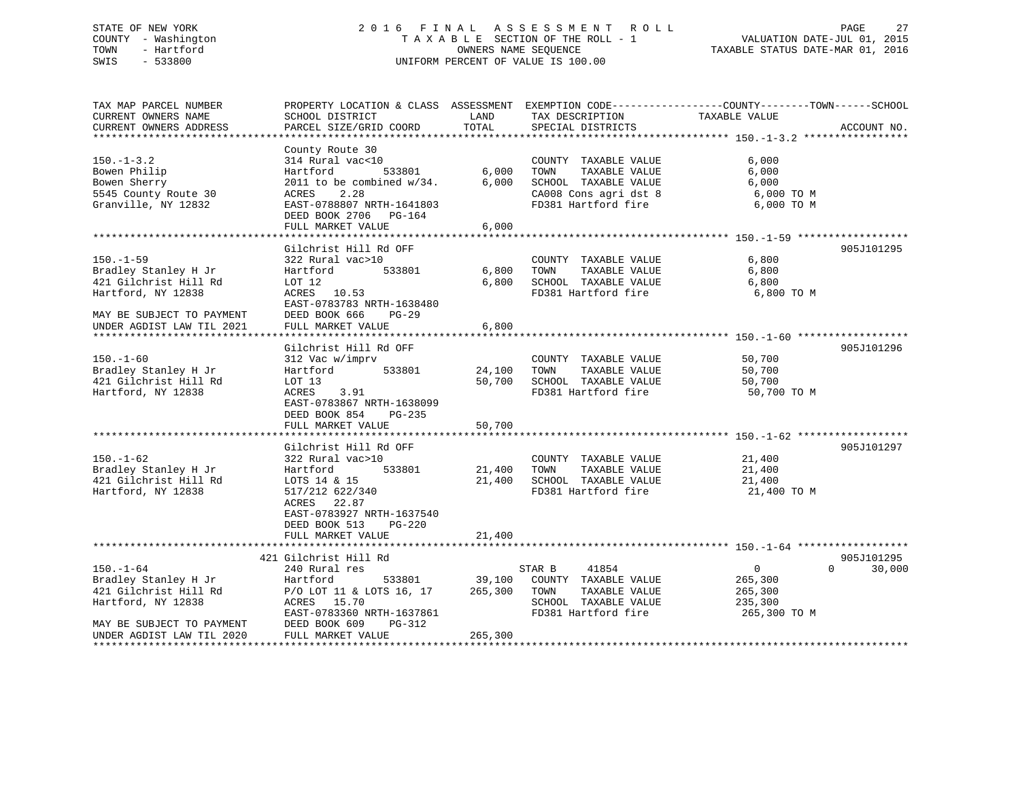### STATE OF NEW YORK 2 0 1 6 F I N A L A S S E S S M E N T R O L L PAGE 27 COUNTY - Washington T A X A B L E SECTION OF THE ROLL - 1 VALUATION DATE-JUL 01, 2015 TOWN - Hartford OWNERS NAME SEQUENCE TAXABLE STATUS DATE-MAR 01, 2016 SWIS - 533800 UNIFORM PERCENT OF VALUE IS 100.00

| TAX MAP PARCEL NUMBER<br>CURRENT OWNERS NAME<br>CURRENT OWNERS ADDRESS                                              | SCHOOL DISTRICT<br>PARCEL SIZE/GRID COORD                                                                                                                                                | LAND<br>TOTAL              | TAX DESCRIPTION<br>SPECIAL DISTRICTS                                                                                  | PROPERTY LOCATION & CLASS ASSESSMENT EXEMPTION CODE---------------COUNTY-------TOWN------SCHOOL<br>TAXABLE VALUE | ACCOUNT NO.          |
|---------------------------------------------------------------------------------------------------------------------|------------------------------------------------------------------------------------------------------------------------------------------------------------------------------------------|----------------------------|-----------------------------------------------------------------------------------------------------------------------|------------------------------------------------------------------------------------------------------------------|----------------------|
| $150. - 1 - 3.2$<br>Bowen Philip<br>Bowen Sherry<br>5545 County Route 30<br>Granville, NY 12832                     | County Route 30<br>314 Rural vac<10<br>533801<br>Hartford<br>2011 to be combined $w/34$ .<br>2.28<br>ACRES<br>EAST-0788807 NRTH-1641803<br>DEED BOOK 2706<br>PG-164<br>FULL MARKET VALUE | 6,000<br>6,000<br>6.000    | COUNTY TAXABLE VALUE<br>TAXABLE VALUE<br>TOWN<br>SCHOOL TAXABLE VALUE<br>CA008 Cons agri dst 8<br>FD381 Hartford fire | 6,000<br>6,000<br>6,000<br>6,000 TO M<br>6,000 TO M                                                              |                      |
|                                                                                                                     | Gilchrist Hill Rd OFF                                                                                                                                                                    |                            |                                                                                                                       |                                                                                                                  | 905J101295           |
| $150. - 1 - 59$<br>Bradley Stanley H Jr<br>421 Gilchrist Hill Rd<br>Hartford, NY 12838                              | 322 Rural vac>10<br>Hartford<br>533801<br>LOT 12<br>ACRES 10.53<br>EAST-0783783 NRTH-1638480                                                                                             | 6,800<br>6,800             | COUNTY TAXABLE VALUE<br>TOWN<br>TAXABLE VALUE<br>SCHOOL TAXABLE VALUE<br>FD381 Hartford fire                          | 6,800<br>6,800<br>6,800<br>6,800 TO M                                                                            |                      |
| MAY BE SUBJECT TO PAYMENT<br>UNDER AGDIST LAW TIL 2021                                                              | DEED BOOK 666<br>$PG-29$<br>FULL MARKET VALUE                                                                                                                                            | 6,800                      |                                                                                                                       |                                                                                                                  |                      |
|                                                                                                                     | Gilchrist Hill Rd OFF                                                                                                                                                                    |                            |                                                                                                                       |                                                                                                                  | 905J101296           |
| $150. - 1 - 60$<br>Bradley Stanley H Jr<br>421 Gilchrist Hill Rd<br>Hartford, NY 12838                              | 312 Vac w/imprv<br>533801<br>Hartford<br>LOT 13<br>ACRES<br>3.91<br>EAST-0783867 NRTH-1638099<br>DEED BOOK 854<br>PG-235<br>FULL MARKET VALUE                                            | 24,100<br>50,700<br>50,700 | COUNTY TAXABLE VALUE<br>TOWN<br>TAXABLE VALUE<br>SCHOOL TAXABLE VALUE<br>FD381 Hartford fire                          | 50,700<br>50,700<br>50,700<br>50,700 TO M                                                                        |                      |
|                                                                                                                     | Gilchrist Hill Rd OFF                                                                                                                                                                    |                            |                                                                                                                       |                                                                                                                  | 905J101297           |
| $150. - 1 - 62$<br>Bradley Stanley H Jr<br>421 Gilchrist Hill Rd<br>Hartford, NY 12838                              | 322 Rural vac>10<br>Hartford<br>533801<br>LOTS 14 & 15<br>517/212 622/340<br>ACRES 22.87<br>EAST-0783927 NRTH-1637540                                                                    | 21,400<br>21,400           | COUNTY TAXABLE VALUE<br>TOWN<br>TAXABLE VALUE<br>SCHOOL TAXABLE VALUE<br>FD381 Hartford fire                          | 21,400<br>21,400<br>21,400<br>21,400 TO M                                                                        |                      |
|                                                                                                                     | DEED BOOK 513<br>PG-220<br>FULL MARKET VALUE                                                                                                                                             | 21,400                     |                                                                                                                       |                                                                                                                  |                      |
|                                                                                                                     |                                                                                                                                                                                          |                            |                                                                                                                       |                                                                                                                  |                      |
| $150. - 1 - 64$<br>Bradley Stanley H Jr<br>421 Gilchrist Hill Rd<br>Hartford, NY 12838<br>MAY BE SUBJECT TO PAYMENT | 421 Gilchrist Hill Rd<br>240 Rural res<br>533801<br>Hartford<br>P/O LOT 11 & LOTS 16, 17<br>ACRES<br>15.70<br>EAST-0783360 NRTH-1637861<br>DEED BOOK 609<br>PG-312                       | 39,100<br>265,300          | 41854<br>STAR B<br>COUNTY TAXABLE VALUE<br>TOWN<br>TAXABLE VALUE<br>SCHOOL TAXABLE VALUE<br>FD381 Hartford fire       | $\overline{0}$<br>$\Omega$<br>265,300<br>265,300<br>235,300<br>265,300 TO M                                      | 905J101295<br>30,000 |
| UNDER AGDIST LAW TIL 2020<br>*******************                                                                    | FULL MARKET VALUE                                                                                                                                                                        | 265,300                    |                                                                                                                       |                                                                                                                  |                      |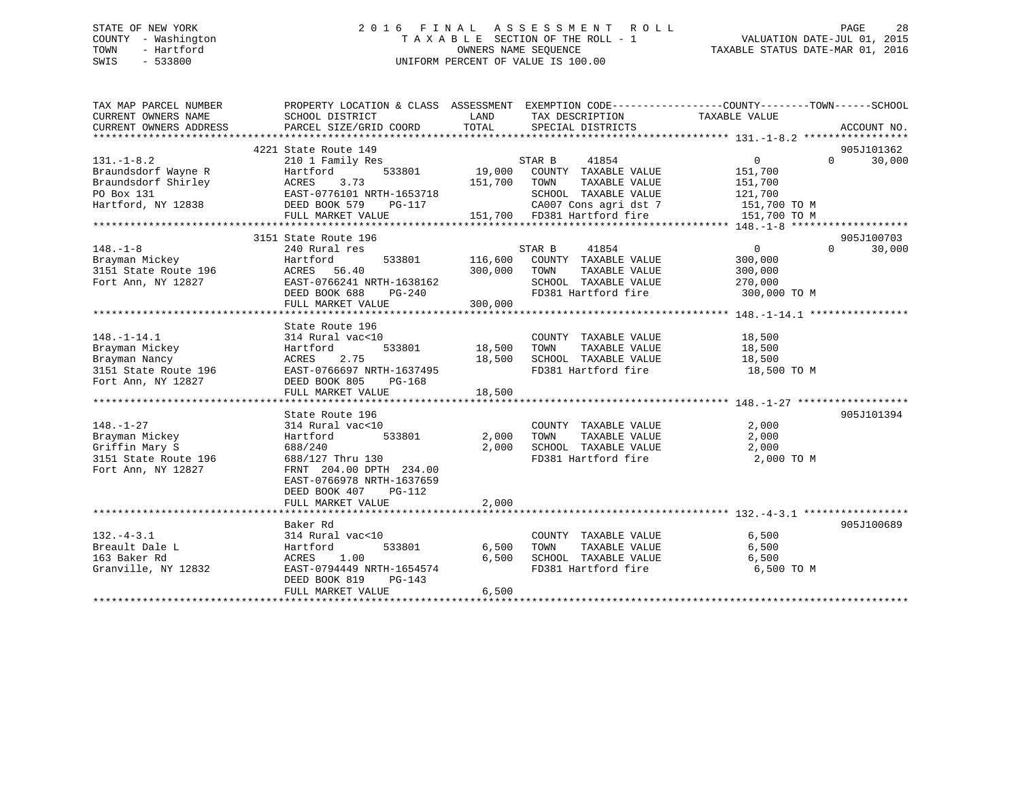### STATE OF NEW YORK 2 0 1 6 F I N A L A S S E S S M E N T R O L L PAGE 28 COUNTY - Washington T A X A B L E SECTION OF THE ROLL - 1 VALUATION DATE-JUL 01, 2015 TOWN - Hartford **TAXABLE STATUS DATE-MAR 01, 2016** OWNERS NAME SEQUENCE TAXABLE STATUS DATE-MAR 01, 2016 SWIS - 533800 UNIFORM PERCENT OF VALUE IS 100.00

| TAX MAP PARCEL NUMBER                  | PROPERTY LOCATION & CLASS ASSESSMENT EXEMPTION CODE----------------COUNTY-------TOWN-----SCHOOL            |               |                                                               |                |                    |
|----------------------------------------|------------------------------------------------------------------------------------------------------------|---------------|---------------------------------------------------------------|----------------|--------------------|
| CURRENT OWNERS NAME                    | SCHOOL DISTRICT                                                                                            | LAND          | TAX DESCRIPTION                                               | TAXABLE VALUE  |                    |
| CURRENT OWNERS ADDRESS                 | PARCEL SIZE/GRID COORD                                                                                     | TOTAL         | SPECIAL DISTRICTS                                             |                | ACCOUNT NO.        |
|                                        |                                                                                                            |               |                                                               |                |                    |
|                                        | 4221 State Route 149                                                                                       |               |                                                               |                | 905J101362         |
| $131. -1 - 8.2$                        | 210 1 Family Res                                                                                           |               | STAR B 41854<br>3801 19,000 COUNTY TAXABLE VALUE              | $\overline{0}$ | $\Omega$<br>30,000 |
| Braundsdorf Wayne R                    | 533801<br>Hartford                                                                                         |               |                                                               | 151,700        |                    |
| Braundsdorf Shirley                    |                                                                                                            | 151,700 TOWN  | TAXABLE VALUE                                                 | 151,700        |                    |
| PO Box 131                             |                                                                                                            |               | SCHOOL TAXABLE VALUE 121,700<br>CA007 Cons agri dst 7 151,700 |                |                    |
| Hartford, NY 12838                     |                                                                                                            |               |                                                               | 151,700 TO M   |                    |
|                                        | FULL MARKET VALUE                                                                                          |               | 151,700 FD381 Hartford fire                                   | 151,700 TO M   |                    |
|                                        |                                                                                                            |               |                                                               |                |                    |
|                                        | 3151 State Route 196                                                                                       |               |                                                               |                | 905J100703         |
| $148. - 1 - 8$                         | 240 Rural res                                                                                              |               | STAR B<br>41854                                               | $\overline{0}$ | $\Omega$<br>30,000 |
| Brayman Mickey<br>3151 State Route 196 | Hartford                                                                                                   |               | 533801 116,600 COUNTY TAXABLE VALUE                           | 300,000        |                    |
|                                        | ACRES 56.40                                                                                                | 300,000       | TAXABLE VALUE<br>TOWN                                         | 300,000        |                    |
| Fort Ann, NY 12827                     | EAST-0766241 NRTH-1638162                                                                                  |               | SCHOOL TAXABLE VALUE                                          | 270,000        |                    |
|                                        | DEED BOOK 688<br>PG-240                                                                                    |               | FD381 Hartford fire                                           | 300,000 TO M   |                    |
|                                        | FULL MARKET VALUE                                                                                          | 300,000       |                                                               |                |                    |
|                                        |                                                                                                            |               |                                                               |                |                    |
|                                        | State Route 196                                                                                            |               |                                                               |                |                    |
| $148. - 1 - 14.1$                      | 314 Rural vac<10                                                                                           |               | COUNTY TAXABLE VALUE                                          | 18,500         |                    |
| Brayman Mickey                         | Hartford                                                                                                   | 533801 18,500 | TAXABLE VALUE<br>TOWN                                         | 18,500         |                    |
| Brayman Nancy                          | ACRES<br>2.75                                                                                              | 18,500        | SCHOOL TAXABLE VALUE                                          | 18,500         |                    |
|                                        | Brayman wanty<br>3151 State Route 196 EAST-0766697 NRTH-1637495<br>Fort Ann, NY 12827 DEED BOOK 805 PG-168 |               | FD381 Hartford fire 18,500 TO M                               |                |                    |
|                                        |                                                                                                            |               |                                                               |                |                    |
|                                        | FULL MARKET VALUE                                                                                          | 18,500        |                                                               |                |                    |
|                                        |                                                                                                            |               |                                                               |                |                    |
|                                        | State Route 196                                                                                            |               |                                                               |                | 905J101394         |
| $148. - 1 - 27$                        | 314 Rural vac<10                                                                                           |               | COUNTY TAXABLE VALUE                                          | 2,000          |                    |
| Brayman Mickey                         | 533801<br>Hartford                                                                                         |               | 2,000 TOWN<br>TAXABLE VALUE                                   | 2,000          |                    |
| Griffin Mary S                         | 688/240                                                                                                    |               | 2,000 SCHOOL TAXABLE VALUE                                    | 2,000          |                    |
| 3151 State Route 196                   | 688/127 Thru 130                                                                                           |               | FD381 Hartford fire 2,000 TO M                                |                |                    |
| Fort Ann, NY 12827                     | FRNT 204.00 DPTH 234.00                                                                                    |               |                                                               |                |                    |
|                                        | EAST-0766978 NRTH-1637659                                                                                  |               |                                                               |                |                    |
|                                        | DEED BOOK 407<br>PG-112                                                                                    |               |                                                               |                |                    |
|                                        | FULL MARKET VALUE                                                                                          | 2,000         |                                                               |                |                    |
|                                        |                                                                                                            |               |                                                               |                |                    |
|                                        | Baker Rd                                                                                                   |               |                                                               |                | 905J100689         |
| $132 - 4 - 3.1$                        | 314 Rural vac<10                                                                                           |               | COUNTY TAXABLE VALUE                                          | 6,500          |                    |
| Breault Dale L                         | 533801<br>Hartford                                                                                         | 6,500         | TOWN<br>TAXABLE VALUE                                         | 6,500          |                    |
| 163 Baker Rd                           | ACRES 1.00                                                                                                 | 6,500         | SCHOOL TAXABLE VALUE                                          | 6,500          |                    |
| Granville, NY 12832                    | EAST-0794449 NRTH-1654574                                                                                  |               | FD381 Hartford fire                                           | 6,500 TO M     |                    |
|                                        | DEED BOOK 819<br>PG-143                                                                                    |               |                                                               |                |                    |
|                                        | FULL MARKET VALUE                                                                                          | 6,500         |                                                               |                |                    |
|                                        |                                                                                                            |               |                                                               |                |                    |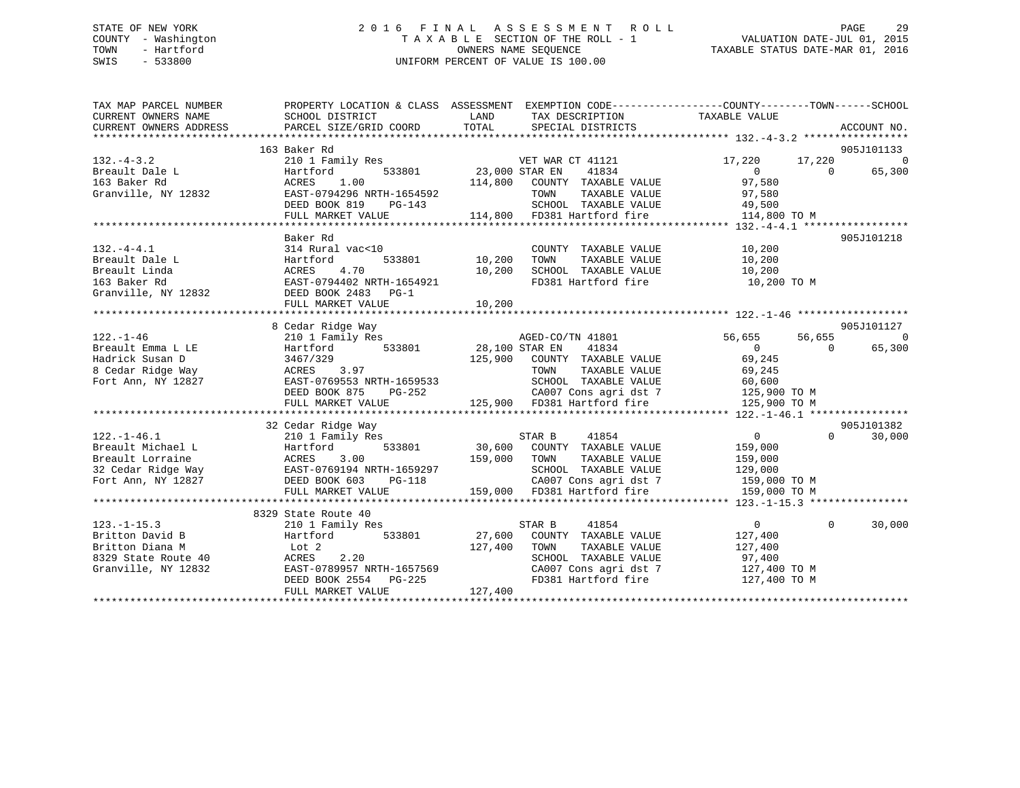### STATE OF NEW YORK 2 0 1 6 F I N A L A S S E S S M E N T R O L L PAGE 29 COUNTY - Washington T A X A B L E SECTION OF THE ROLL - 1 VALUATION DATE-JUL 01, 2015 TOWN - Hartford **TAXABLE STATUS DATE-MAR 01, 2016** OWNERS NAME SEQUENCE TAXABLE STATUS DATE-MAR 01, 2016 SWIS - 533800 UNIFORM PERCENT OF VALUE IS 100.00

| TAX MAP PARCEL NUMBER<br>CURRENT OWNERS NAME | SCHOOL DISTRICT                                                                                                                                                                                                         | PROPERTY LOCATION & CLASS ASSESSMENT EXEMPTION CODE---------------COUNTY-------TOWN-----SCHOOL<br>LAND<br>TAX DESCRIPTION TAXABLE VALUE<br>SPECIAL DISTRICTS<br>CURRENT OWNERS ADDRESS DE DURCEL SIZE/GRID COORD TOTAL SPECIAL DISTRICTS ACCOUNT NO.<br>EXAGEL SIZE/GRID COORD TOTAL SPECIAL DISTRICTS ACCOUNT NO. |                                                                                                                                                                                                                                                                                                                                                          |
|----------------------------------------------|-------------------------------------------------------------------------------------------------------------------------------------------------------------------------------------------------------------------------|--------------------------------------------------------------------------------------------------------------------------------------------------------------------------------------------------------------------------------------------------------------------------------------------------------------------|----------------------------------------------------------------------------------------------------------------------------------------------------------------------------------------------------------------------------------------------------------------------------------------------------------------------------------------------------------|
|                                              |                                                                                                                                                                                                                         |                                                                                                                                                                                                                                                                                                                    |                                                                                                                                                                                                                                                                                                                                                          |
|                                              | 163 Baker Rd                                                                                                                                                                                                            |                                                                                                                                                                                                                                                                                                                    | 905J101133                                                                                                                                                                                                                                                                                                                                               |
| $132. -4 - 3.2$                              | 210 1 Family Res                                                                                                                                                                                                        | VET WAR CT 41121                                                                                                                                                                                                                                                                                                   | $\Omega$<br>17,220 17,220                                                                                                                                                                                                                                                                                                                                |
| Breault Dale L Martfc<br>163 Baker Rd MCRES  | Hartford                                                                                                                                                                                                                | y Res<br>533801 23,000 STAR EN<br>000 COUNTY<br>41834                                                                                                                                                                                                                                                              | 0<br>97,580<br>$\overline{0}$<br>65,300                                                                                                                                                                                                                                                                                                                  |
|                                              | 1.00                                                                                                                                                                                                                    | 114,800 COUNTY TAXABLE VALUE                                                                                                                                                                                                                                                                                       |                                                                                                                                                                                                                                                                                                                                                          |
|                                              | Granville, NY 12832 EAST-0794296 NRTH-1654592                                                                                                                                                                           | TAXABLE VALUE 97,580<br>TOWN                                                                                                                                                                                                                                                                                       |                                                                                                                                                                                                                                                                                                                                                          |
|                                              | DEED BOOK 819 PG-143                                                                                                                                                                                                    | SCHOOL TAXABLE VALUE 49,500<br>114,800 FD381 Hartford fire 114,800 TO M                                                                                                                                                                                                                                            |                                                                                                                                                                                                                                                                                                                                                          |
|                                              | FULL MARKET VALUE                                                                                                                                                                                                       |                                                                                                                                                                                                                                                                                                                    |                                                                                                                                                                                                                                                                                                                                                          |
|                                              |                                                                                                                                                                                                                         |                                                                                                                                                                                                                                                                                                                    |                                                                                                                                                                                                                                                                                                                                                          |
|                                              | Baker Rd                                                                                                                                                                                                                |                                                                                                                                                                                                                                                                                                                    | 905J101218                                                                                                                                                                                                                                                                                                                                               |
| $132. -4 - 4.1$                              | 314 Rural vac<10                                                                                                                                                                                                        | COUNTY TAXABLE VALUE 10,200                                                                                                                                                                                                                                                                                        |                                                                                                                                                                                                                                                                                                                                                          |
|                                              |                                                                                                                                                                                                                         |                                                                                                                                                                                                                                                                                                                    |                                                                                                                                                                                                                                                                                                                                                          |
|                                              |                                                                                                                                                                                                                         |                                                                                                                                                                                                                                                                                                                    |                                                                                                                                                                                                                                                                                                                                                          |
|                                              |                                                                                                                                                                                                                         |                                                                                                                                                                                                                                                                                                                    |                                                                                                                                                                                                                                                                                                                                                          |
|                                              |                                                                                                                                                                                                                         |                                                                                                                                                                                                                                                                                                                    |                                                                                                                                                                                                                                                                                                                                                          |
|                                              |                                                                                                                                                                                                                         | Executibale L (1,200 FON TAXABLE VALUE)<br>Breault Linda (1,200 FON TAXABLE VALUE)<br>10,200 SCHOOL TAXABLE VALUE 10,200<br>163 Baker Rd (1,200 EAST-0794402 NRTH-1654921 FD381 Hartford fire 10,200 TO M<br>Granville, NY 12832 DEED BOOK                                                                         |                                                                                                                                                                                                                                                                                                                                                          |
|                                              |                                                                                                                                                                                                                         |                                                                                                                                                                                                                                                                                                                    |                                                                                                                                                                                                                                                                                                                                                          |
|                                              | 8 Cedar Ridge Way                                                                                                                                                                                                       |                                                                                                                                                                                                                                                                                                                    | 905J101127                                                                                                                                                                                                                                                                                                                                               |
| $122. - 1 - 46$                              | 210 1 Family Res                                                                                                                                                                                                        | AGED-CO/TN 41801                                                                                                                                                                                                                                                                                                   | $\overline{0}$<br>56,655<br>56,655                                                                                                                                                                                                                                                                                                                       |
|                                              | Breault Emma L LE<br>Hartford 533801 28,100 STAR EN<br>Hadrick Susan D 3467/329 125,900 COUNTY<br>8 Cedar Ridge Way ACRES 3.97 TOWN<br>Fort Ann, NY 12827 EAST-0769553 NRTH-1659533 SCHOOL<br>NET POCK 275 NRTH-1659533 | 41834                                                                                                                                                                                                                                                                                                              | $0$<br>69,245<br>65,300<br>$\overline{0}$                                                                                                                                                                                                                                                                                                                |
|                                              |                                                                                                                                                                                                                         | 125,900 COUNTY TAXABLE VALUE                                                                                                                                                                                                                                                                                       |                                                                                                                                                                                                                                                                                                                                                          |
|                                              |                                                                                                                                                                                                                         | TAXABLE VALUE 69,245                                                                                                                                                                                                                                                                                               |                                                                                                                                                                                                                                                                                                                                                          |
|                                              |                                                                                                                                                                                                                         |                                                                                                                                                                                                                                                                                                                    |                                                                                                                                                                                                                                                                                                                                                          |
|                                              | EAST-0769553 NRTH-1659533<br>DEED BOOK 875 PG-252                                                                                                                                                                       |                                                                                                                                                                                                                                                                                                                    |                                                                                                                                                                                                                                                                                                                                                          |
|                                              | FULL MARKET VALUE                                                                                                                                                                                                       | 659533 SCHOOL TAXABLE VALUE 60,600<br>3-252 CA007 Cons agri dst 7 125,900 TO M<br>125,900 FD381 Hartford fire 125,900 TO M                                                                                                                                                                                         |                                                                                                                                                                                                                                                                                                                                                          |
|                                              |                                                                                                                                                                                                                         |                                                                                                                                                                                                                                                                                                                    |                                                                                                                                                                                                                                                                                                                                                          |
|                                              | 32 Cedar Ridge Way                                                                                                                                                                                                      |                                                                                                                                                                                                                                                                                                                    | 905J101382                                                                                                                                                                                                                                                                                                                                               |
|                                              |                                                                                                                                                                                                                         |                                                                                                                                                                                                                                                                                                                    | $\overline{0}$ and $\overline{0}$ and $\overline{0}$ and $\overline{0}$ and $\overline{0}$ and $\overline{0}$ and $\overline{0}$ and $\overline{0}$ and $\overline{0}$ and $\overline{0}$ and $\overline{0}$ and $\overline{0}$ and $\overline{0}$ and $\overline{0}$ and $\overline{0}$ and $\overline{0}$ and $\overline{0}$ and<br>$\Omega$<br>30,000 |
|                                              |                                                                                                                                                                                                                         |                                                                                                                                                                                                                                                                                                                    | 159,000                                                                                                                                                                                                                                                                                                                                                  |
|                                              |                                                                                                                                                                                                                         | Example the star B and the STAR B 41854<br>Hartford 533801 30,600 COUNTY TAXABLE VALUE<br>ACRES 3.00 159,000 TOWN TAXABLE VALUE<br>TAXABLE VALUE 159,000                                                                                                                                                           |                                                                                                                                                                                                                                                                                                                                                          |
|                                              |                                                                                                                                                                                                                         | SCHOOL TAXABLE VALUE                                                                                                                                                                                                                                                                                               |                                                                                                                                                                                                                                                                                                                                                          |
|                                              |                                                                                                                                                                                                                         |                                                                                                                                                                                                                                                                                                                    |                                                                                                                                                                                                                                                                                                                                                          |
|                                              |                                                                                                                                                                                                                         | 659297<br>659297 SCHOOL TAXABLE VALUE 129,000<br>59.000 TO M 159,000 FD381 Hartford fire 159,000 TO M 159,000 TO M                                                                                                                                                                                                 |                                                                                                                                                                                                                                                                                                                                                          |
|                                              |                                                                                                                                                                                                                         |                                                                                                                                                                                                                                                                                                                    |                                                                                                                                                                                                                                                                                                                                                          |
|                                              | 8329 State Route 40                                                                                                                                                                                                     |                                                                                                                                                                                                                                                                                                                    |                                                                                                                                                                                                                                                                                                                                                          |
| $123. - 1 - 15.3$                            | 210 1 Family Res                                                                                                                                                                                                        | STAR B<br>41854                                                                                                                                                                                                                                                                                                    | $\Omega$<br>$\Omega$<br>30,000                                                                                                                                                                                                                                                                                                                           |
| Britton David B<br>Hartford<br>Lot 2         |                                                                                                                                                                                                                         | Hartford 533801 27,600 COUNTY TAXABLE VALUE<br>Lot 2 127,400 TOWN TAXABLE VALUE                                                                                                                                                                                                                                    | 127,400                                                                                                                                                                                                                                                                                                                                                  |
| Britton Diana M                              |                                                                                                                                                                                                                         | TAXABLE VALUE                                                                                                                                                                                                                                                                                                      | 127,400                                                                                                                                                                                                                                                                                                                                                  |
|                                              |                                                                                                                                                                                                                         | SCHOOL TAXABLE VALUE                                                                                                                                                                                                                                                                                               | 97,400<br>127,400 TO M                                                                                                                                                                                                                                                                                                                                   |
|                                              |                                                                                                                                                                                                                         | CA007 Cons agri dst 7 127,400 TO M<br>FD381 Hartford fire 127,400 TO M                                                                                                                                                                                                                                             |                                                                                                                                                                                                                                                                                                                                                          |
|                                              | 8329 State Route 40<br>8329 State Route 40<br>Granville, NY 12832<br>BEED BOOK 2554 PG-225                                                                                                                              |                                                                                                                                                                                                                                                                                                                    |                                                                                                                                                                                                                                                                                                                                                          |
|                                              | FULL MARKET VALUE                                                                                                                                                                                                       | 127,400                                                                                                                                                                                                                                                                                                            |                                                                                                                                                                                                                                                                                                                                                          |
|                                              |                                                                                                                                                                                                                         |                                                                                                                                                                                                                                                                                                                    |                                                                                                                                                                                                                                                                                                                                                          |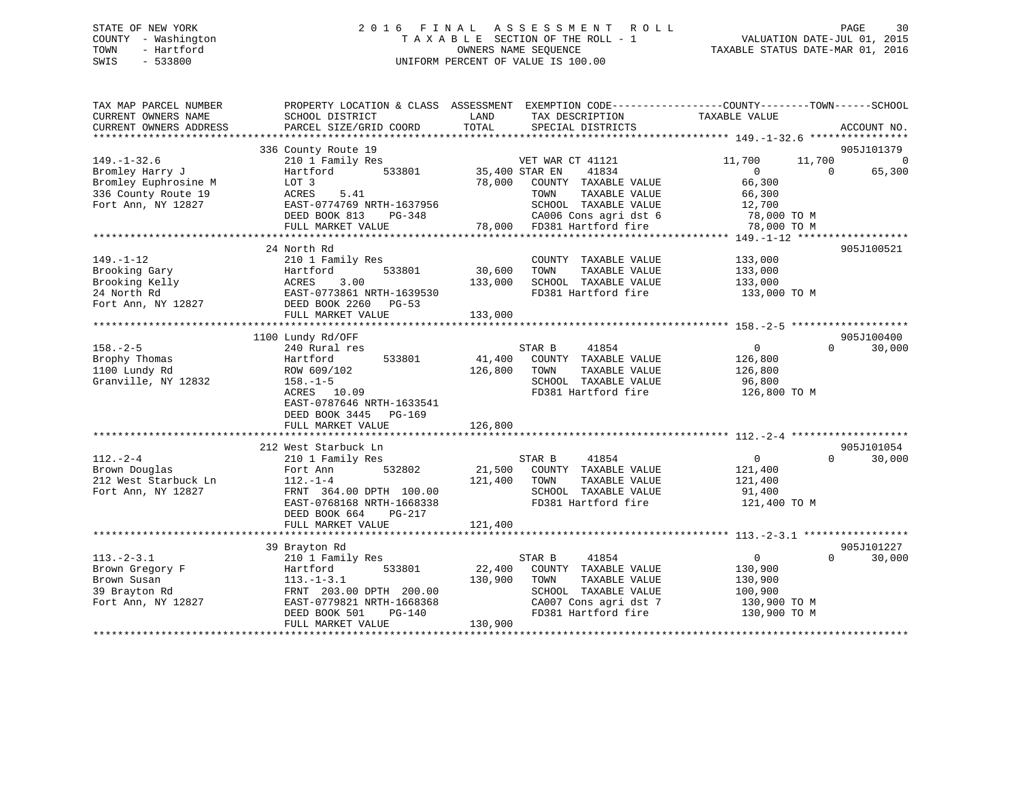### STATE OF NEW YORK 2 0 1 6 F I N A L A S S E S S M E N T R O L L PAGE 30 COUNTY - Washington T A X A B L E SECTION OF THE ROLL - 1 VALUATION DATE-JUL 01, 2015 TOWN - Hartford **TAXABLE STATUS DATE-MAR 01, 2016** OWNERS NAME SEQUENCE TAXABLE STATUS DATE-MAR 01, 2016 SWIS - 533800 UNIFORM PERCENT OF VALUE IS 100.00

| TAX MAP PARCEL NUMBER<br>CURRENT OWNERS NAME                                              | SCHOOL DISTRICT                                                                                                                                                     | LAND<br>TAX DESCRIPTION                                                                                                                                                  | PROPERTY LOCATION & CLASS ASSESSMENT EXEMPTION CODE----------------COUNTY-------TOWN-----SCHOOL<br>TAXABLE VALUE |
|-------------------------------------------------------------------------------------------|---------------------------------------------------------------------------------------------------------------------------------------------------------------------|--------------------------------------------------------------------------------------------------------------------------------------------------------------------------|------------------------------------------------------------------------------------------------------------------|
| CURRENT OWNERS ADDRESS                                                                    | PARCEL SIZE/GRID COORD                                                                                                                                              | TOTAL<br>SPECIAL DISTRICTS                                                                                                                                               | ACCOUNT NO.                                                                                                      |
|                                                                                           | 336 County Route 19                                                                                                                                                 |                                                                                                                                                                          | 905J101379                                                                                                       |
| $149. - 1 - 32.6$<br>Bromley Harry J                                                      | 210 1 Family Res<br>533801<br>Hartford                                                                                                                              | VET WAR CT 41121<br>35,400 STAR EN<br>41834                                                                                                                              | $\overline{0}$<br>11,700<br>11,700<br>65,300<br>$\Omega$<br>$\Omega$                                             |
| Bromley Euphrosine M<br>336 County Route 19<br>Fort Ann, NY 12827                         | LOT 3<br>5.41<br>ACRES<br>EAST-0774769 NRTH-1637956                                                                                                                 | 78,000<br>COUNTY TAXABLE VALUE<br>TAXABLE VALUE<br>TOWN<br>SCHOOL TAXABLE VALUE                                                                                          | 66,300<br>66,300<br>12,700                                                                                       |
|                                                                                           | DEED BOOK 813<br>$PG-348$<br>FULL MARKET VALUE                                                                                                                      | CA006 Cons agri dst 6<br>FD381 Hartford fire<br>78,000                                                                                                                   | 78,000 TO M<br>78,000 TO M                                                                                       |
|                                                                                           |                                                                                                                                                                     |                                                                                                                                                                          |                                                                                                                  |
| $149. - 1 - 12$<br>Brooking Gary<br>Brooking Kelly<br>24 North Rd<br>Fort Ann, NY 12827   | 24 North Rd<br>210 1 Family Res<br>Hartford<br>533801<br>ACRES<br>3.00<br>EAST-0773861 NRTH-1639530<br>DEED BOOK 2260<br>$PG-53$                                    | COUNTY TAXABLE VALUE<br>30,600<br>TAXABLE VALUE<br>TOWN<br>133,000<br>SCHOOL TAXABLE VALUE<br>FD381 Hartford fire                                                        | 905J100521<br>133,000<br>133,000<br>133,000<br>133,000 TO M                                                      |
|                                                                                           | FULL MARKET VALUE                                                                                                                                                   | 133,000                                                                                                                                                                  |                                                                                                                  |
|                                                                                           |                                                                                                                                                                     |                                                                                                                                                                          |                                                                                                                  |
|                                                                                           | 1100 Lundy Rd/OFF                                                                                                                                                   |                                                                                                                                                                          | 905J100400                                                                                                       |
| $158. - 2 - 5$<br>Brophy Thomas<br>1100 Lundy Rd<br>Granville, NY 12832                   | 240 Rural res<br>533801<br>Hartford<br>ROW 609/102<br>$158. - 1 - 5$<br>ACRES 10.09<br>EAST-0787646 NRTH-1633541<br>DEED BOOK 3445<br>PG-169                        | 41854<br>STAR B<br>41,400<br>COUNTY TAXABLE VALUE<br>126,800<br>TOWN<br>TAXABLE VALUE<br>SCHOOL TAXABLE VALUE<br>FD381 Hartford fire                                     | $\overline{0}$<br>30,000<br>$\Omega$<br>126,800<br>126,800<br>96,800<br>126,800 TO M                             |
|                                                                                           | FULL MARKET VALUE                                                                                                                                                   | 126,800                                                                                                                                                                  |                                                                                                                  |
|                                                                                           |                                                                                                                                                                     |                                                                                                                                                                          |                                                                                                                  |
| $112. - 2 - 4$<br>Brown Douglas<br>212 West Starbuck Ln<br>Fort Ann, NY 12827             | 212 West Starbuck Ln<br>210 1 Family Res<br>532802<br>Fort Ann<br>$112. - 1 - 4$<br>FRNT 364.00 DPTH 100.00<br>EAST-0768168 NRTH-1668338<br>DEED BOOK 664<br>PG-217 | 41854<br>STAR B<br>21,500<br>COUNTY TAXABLE VALUE<br>121,400<br>TAXABLE VALUE<br>TOWN<br>SCHOOL TAXABLE VALUE<br>FD381 Hartford fire                                     | 905J101054<br>$\overline{0}$<br>$\Omega$<br>30,000<br>121,400<br>121,400<br>91,400<br>121,400 TO M               |
|                                                                                           | FULL MARKET VALUE                                                                                                                                                   | 121,400                                                                                                                                                                  |                                                                                                                  |
|                                                                                           | 39 Brayton Rd                                                                                                                                                       |                                                                                                                                                                          | 905J101227                                                                                                       |
| $113. - 2 - 3.1$<br>Brown Gregory F<br>Brown Susan<br>39 Brayton Rd<br>Fort Ann, NY 12827 | 210 1 Family Res<br>533801<br>Hartford<br>$113. - 1 - 3.1$<br>FRNT 203.00 DPTH 200.00<br>EAST-0779821 NRTH-1668368<br>DEED BOOK 501<br>PG-140<br>FULL MARKET VALUE  | 41854<br>STAR B<br>22,400<br>COUNTY TAXABLE VALUE<br>130,900<br>TAXABLE VALUE<br>TOWN<br>SCHOOL TAXABLE VALUE<br>CA007 Cons agri dst 7<br>FD381 Hartford fire<br>130,900 | $\mathbf{0}$<br>$\Omega$<br>30,000<br>130,900<br>130,900<br>100,900<br>130,900 TO M<br>130,900 TO M              |
|                                                                                           |                                                                                                                                                                     |                                                                                                                                                                          |                                                                                                                  |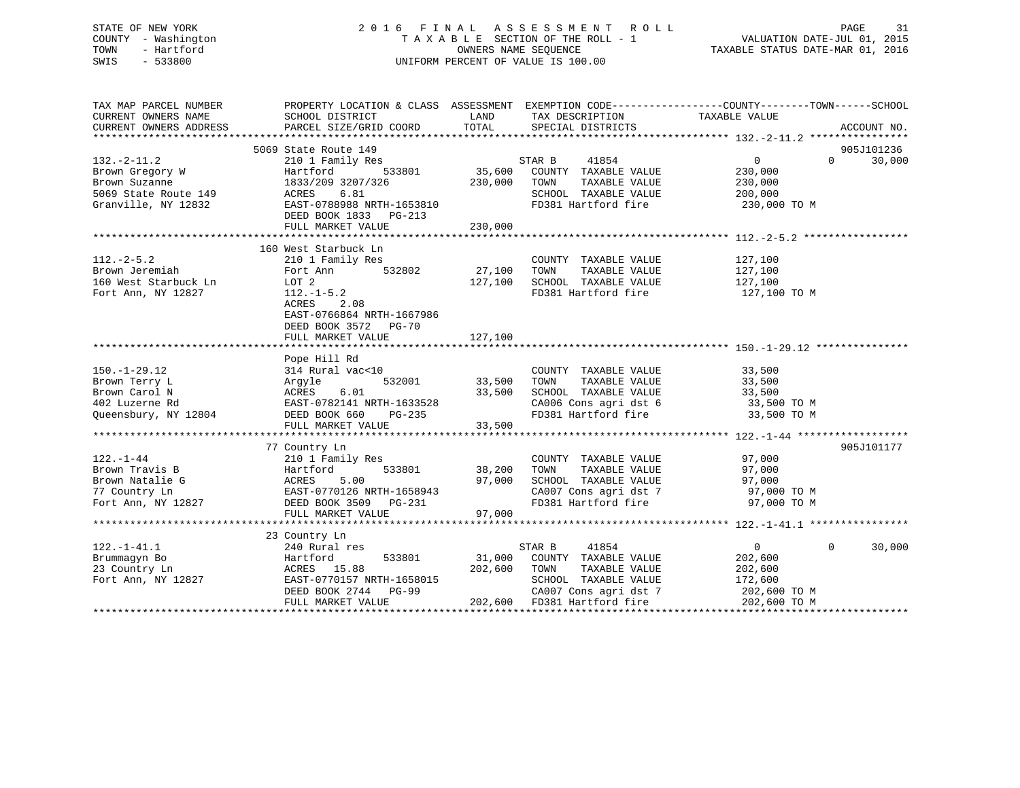### STATE OF NEW YORK 2 0 1 6 F I N A L A S S E S S M E N T R O L L PAGE 31 COUNTY - Washington T A X A B L E SECTION OF THE ROLL - 1 VALUATION DATE-JUL 01, 2015 TOWN - Hartford **TAXABLE STATUS DATE-MAR 01, 2016** OWNERS NAME SEQUENCE TAXABLE STATUS DATE-MAR 01, 2016 SWIS - 533800 UNIFORM PERCENT OF VALUE IS 100.00

| TAX MAP PARCEL NUMBER<br>CURRENT OWNERS NAME<br>CURRENT OWNERS ADDRESS | SCHOOL DISTRICT<br>PARCEL SIZE/GRID COORD                                                                                                                                                                                                | LAND<br>TOTAL | TAX DESCRIPTION TAXABLE VALUE SPECIAL DISTRICTS                                         | PROPERTY LOCATION & CLASS ASSESSMENT EXEMPTION CODE---------------COUNTY-------TOWN------SCHOOL | ACCOUNT NO. |
|------------------------------------------------------------------------|------------------------------------------------------------------------------------------------------------------------------------------------------------------------------------------------------------------------------------------|---------------|-----------------------------------------------------------------------------------------|-------------------------------------------------------------------------------------------------|-------------|
|                                                                        |                                                                                                                                                                                                                                          |               |                                                                                         |                                                                                                 |             |
|                                                                        | 5069 State Route 149                                                                                                                                                                                                                     |               |                                                                                         |                                                                                                 | 905J101236  |
| $132. - 2 - 11.2$                                                      | 210 1 Family Res                                                                                                                                                                                                                         | s<br>35,600   | STAR B<br>41854                                                                         | $\overline{0}$<br>$\Omega$                                                                      | 30,000      |
| 132.-2-11.2<br>Brown Gregory W                                         | Hartford<br>533801                                                                                                                                                                                                                       |               | COUNTY TAXABLE VALUE                                                                    | 230,000                                                                                         |             |
|                                                                        |                                                                                                                                                                                                                                          |               | TAXABLE VALUE<br>TOWN                                                                   | 230,000                                                                                         |             |
| 5069 State Route 149                                                   |                                                                                                                                                                                                                                          |               | SCHOOL TAXABLE VALUE                                                                    | 200,000                                                                                         |             |
| Granville, NY 12832                                                    |                                                                                                                                                                                                                                          |               | FD381 Hartford fire                                                                     | 230,000 TO M                                                                                    |             |
|                                                                        | 1833/209 3207/326<br>ACRES 6.81<br>EAST-0788988 NRTH-1653810<br>--- --- --- 1833 PG-213                                                                                                                                                  |               |                                                                                         |                                                                                                 |             |
|                                                                        | FULL MARKET VALUE                                                                                                                                                                                                                        | 230,000       |                                                                                         |                                                                                                 |             |
|                                                                        |                                                                                                                                                                                                                                          |               |                                                                                         |                                                                                                 |             |
|                                                                        | 160 West Starbuck Ln                                                                                                                                                                                                                     |               |                                                                                         |                                                                                                 |             |
| $112.-2-5.2$                                                           | 210 1 Family Res                                                                                                                                                                                                                         |               | COUNTY TAXABLE VALUE                                                                    | 127,100                                                                                         |             |
| Brown Jeremiah                                                         | 532802<br>Fort Ann                                                                                                                                                                                                                       | 27,100        | TAXABLE VALUE<br>TOWN                                                                   |                                                                                                 |             |
| 160 West Starbuck Ln                                                   | LOT 2                                                                                                                                                                                                                                    | 127,100       | SCHOOL TAXABLE VALUE                                                                    | 127,100<br>127,100                                                                              |             |
| Fort Ann, NY 12827                                                     | $112.-1-5.2$                                                                                                                                                                                                                             |               | FD381 Hartford fire 127,100 TO M                                                        |                                                                                                 |             |
|                                                                        | ACRES<br>2.08                                                                                                                                                                                                                            |               |                                                                                         |                                                                                                 |             |
|                                                                        | EAST-0766864 NRTH-1667986                                                                                                                                                                                                                |               |                                                                                         |                                                                                                 |             |
|                                                                        | DEED BOOK 3572 PG-70                                                                                                                                                                                                                     |               |                                                                                         |                                                                                                 |             |
|                                                                        | FULL MARKET VALUE                                                                                                                                                                                                                        | 127,100       |                                                                                         |                                                                                                 |             |
|                                                                        |                                                                                                                                                                                                                                          |               |                                                                                         |                                                                                                 |             |
|                                                                        | Pope Hill Rd                                                                                                                                                                                                                             |               |                                                                                         |                                                                                                 |             |
| $150. - 1 - 29.12$                                                     | 314 Rural vac<10                                                                                                                                                                                                                         |               | COUNTY TAXABLE VALUE                                                                    | 33,500                                                                                          |             |
| Brown Terry L                                                          | 532001<br>Argyle                                                                                                                                                                                                                         | 33,500        |                                                                                         |                                                                                                 |             |
| Brown Carol N                                                          | ACRES<br>6.01                                                                                                                                                                                                                            | 33,500        | TOWN        TAXABLE  VALUE<br>SCHOOL    TAXABLE  VALUE                                  | 33,500<br>33,500                                                                                |             |
| 402 Luzerne Rd                                                         |                                                                                                                                                                                                                                          |               |                                                                                         |                                                                                                 |             |
|                                                                        | EAST-0782141 NRTH-1633528<br>DEED BOOK 660 PG-235                                                                                                                                                                                        |               | CA006 Cons agri dst 6 33,500 TO M<br>FD381 Hartford fire                                |                                                                                                 |             |
| Queensbury, NY 12804                                                   | FULL MARKET VALUE                                                                                                                                                                                                                        | 33,500        |                                                                                         | 33,500 TO M                                                                                     |             |
|                                                                        |                                                                                                                                                                                                                                          |               |                                                                                         |                                                                                                 |             |
|                                                                        |                                                                                                                                                                                                                                          |               |                                                                                         |                                                                                                 |             |
|                                                                        | 77 Country Ln                                                                                                                                                                                                                            |               |                                                                                         |                                                                                                 | 905J101177  |
| $122. - 1 - 44$                                                        | 210 1 Family Res                                                                                                                                                                                                                         |               | COUNTY TAXABLE VALUE<br>TOWN TAXABLE VALUE                                              | 97,000<br>97 noo                                                                                |             |
|                                                                        |                                                                                                                                                                                                                                          |               |                                                                                         |                                                                                                 |             |
|                                                                        |                                                                                                                                                                                                                                          | 97,000        | SCHOOL TAXABLE VALUE<br>SCHOOL TAXABLE VALUE 97,000<br>2009 Cons agri dst 7 97,000 TO M |                                                                                                 |             |
|                                                                        |                                                                                                                                                                                                                                          |               | CA007 Cons agri dst 7<br>FD381 Hartford fire                                            |                                                                                                 |             |
|                                                                        |                                                                                                                                                                                                                                          |               |                                                                                         | 97,000 TO M                                                                                     |             |
|                                                                        | FULL MARKET VALUE                                                                                                                                                                                                                        | 97,000        |                                                                                         |                                                                                                 |             |
|                                                                        |                                                                                                                                                                                                                                          |               |                                                                                         |                                                                                                 |             |
|                                                                        | 23 Country Ln                                                                                                                                                                                                                            |               |                                                                                         |                                                                                                 |             |
| $122. - 1 - 41.1$                                                      |                                                                                                                                                                                                                                          |               |                                                                                         | $\overline{0}$<br>$\Omega$                                                                      | 30,000      |
| Brummaqyn Bo                                                           |                                                                                                                                                                                                                                          |               |                                                                                         | 202,600                                                                                         |             |
| 23 Country Ln                                                          |                                                                                                                                                                                                                                          |               | TOWN       TAXABLE  VALUE<br>SCHOOL    TAXABLE  VALUE                                   | 202,600                                                                                         |             |
| Fort Ann, NY 12827                                                     |                                                                                                                                                                                                                                          |               |                                                                                         | 172,600                                                                                         |             |
|                                                                        |                                                                                                                                                                                                                                          |               | CA007 Cons agri dst 7 202,600 TO M                                                      |                                                                                                 |             |
|                                                                        | Hartford<br>ACRES 15.88<br>EAST-0770157 NRTH-1658015<br>EAST-0770157 NRTH-1658015<br>PG-99<br>CA007 Cons agri dst (2007 Cons agri dst (2007 Cons agri dst (2007 Cons agri dst (2007 Cons agri dst (2007 Cons agri dst (2007 Cons agri ds |               |                                                                                         | 202,600 TO M                                                                                    |             |
|                                                                        |                                                                                                                                                                                                                                          |               |                                                                                         |                                                                                                 |             |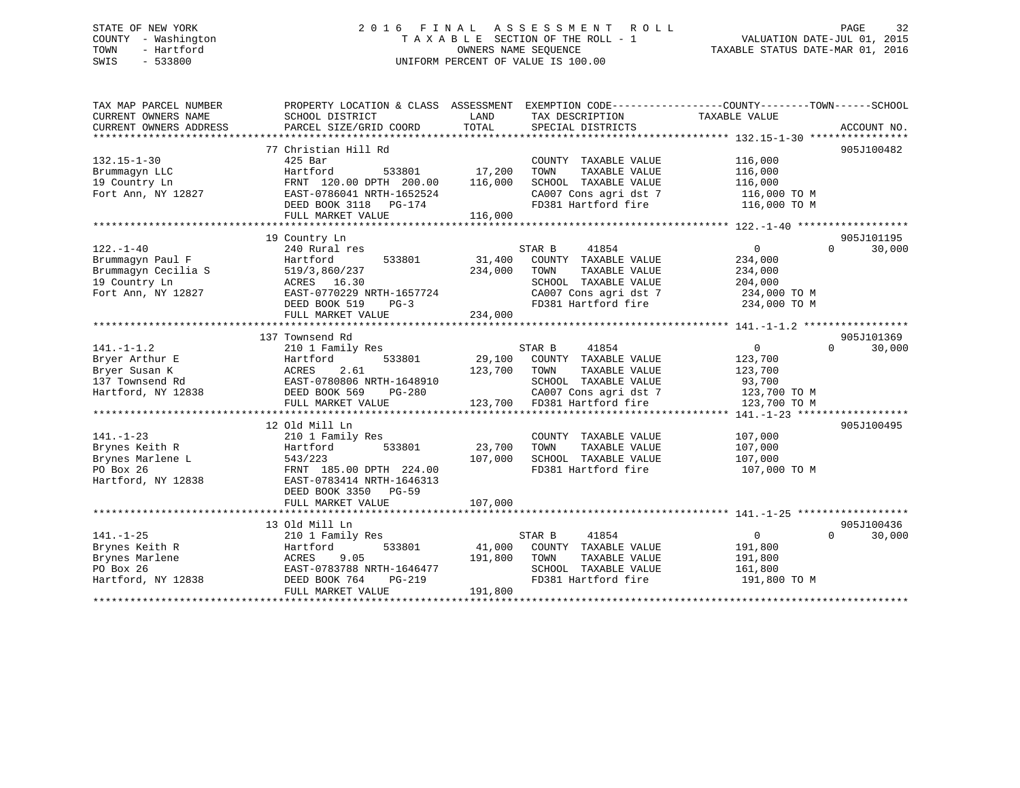### STATE OF NEW YORK 2 0 1 6 F I N A L A S S E S S M E N T R O L L PAGE 32 COUNTY - Washington T A X A B L E SECTION OF THE ROLL - 1 VALUATION DATE-JUL 01, 2015 TOWN - Hartford **TAXABLE STATUS DATE-MAR 01, 2016** OWNERS NAME SEQUENCE TAXABLE STATUS DATE-MAR 01, 2016 SWIS - 533800 UNIFORM PERCENT OF VALUE IS 100.00

| TAX MAP PARCEL NUMBER<br>CURRENT OWNERS NAME | PROPERTY LOCATION & CLASS ASSESSMENT<br>SCHOOL DISTRICT | LAND    | EXEMPTION CODE----------------COUNTY-------TOWN------SCHOOL<br>TAX DESCRIPTION | TAXABLE VALUE      |                    |
|----------------------------------------------|---------------------------------------------------------|---------|--------------------------------------------------------------------------------|--------------------|--------------------|
| CURRENT OWNERS ADDRESS                       | PARCEL SIZE/GRID COORD                                  | TOTAL   | SPECIAL DISTRICTS                                                              |                    | ACCOUNT NO.        |
|                                              |                                                         |         |                                                                                |                    |                    |
|                                              | 77 Christian Hill Rd                                    |         |                                                                                |                    | 905J100482         |
| $132.15 - 1 - 30$                            | $425$ Bar                                               |         | COUNTY TAXABLE VALUE                                                           | 116,000            |                    |
| Brummagyn LLC                                | Hartford<br>533801                                      | 17,200  | TAXABLE VALUE<br>TOWN                                                          | 116,000            |                    |
| 19 Country Ln                                | FRNT 120.00 DPTH 200.00                                 | 116,000 | SCHOOL TAXABLE VALUE                                                           | 116,000            |                    |
| Fort Ann, NY 12827                           | EAST-0786041 NRTH-1652524                               |         | CA007 Cons agri dst 7                                                          | 116,000 TO M       |                    |
|                                              | DEED BOOK 3118 PG-174                                   |         | FD381 Hartford fire                                                            | 116,000 TO M       |                    |
|                                              | FULL MARKET VALUE                                       | 116,000 |                                                                                |                    |                    |
|                                              |                                                         |         |                                                                                |                    |                    |
|                                              | 19 Country Ln                                           |         |                                                                                |                    | 905J101195         |
| $122. - 1 - 40$                              | 240 Rural res                                           |         | STAR B<br>41854                                                                | $\overline{0}$     | $\Omega$<br>30,000 |
| Brummaqyn Paul F                             | 533801<br>Hartford                                      | 31,400  | COUNTY TAXABLE VALUE                                                           | 234,000            |                    |
| Brummagyn Cecilia S                          | 519/3,860/237                                           | 234,000 | TAXABLE VALUE<br>TOWN                                                          | 234,000            |                    |
| 19 Country Ln                                | ACRES 16.30                                             |         | SCHOOL TAXABLE VALUE                                                           | 204,000            |                    |
| Fort Ann, NY 12827                           | EAST-0770229 NRTH-1657724                               |         | CA007 Cons agri dst 7                                                          | 234,000 TO M       |                    |
|                                              | DEED BOOK 519<br>$PG-3$                                 |         | FD381 Hartford fire                                                            | 234,000 TO M       |                    |
|                                              | FULL MARKET VALUE                                       | 234,000 |                                                                                |                    |                    |
|                                              |                                                         |         |                                                                                |                    |                    |
|                                              | 137 Townsend Rd                                         |         | 41854                                                                          | $\overline{0}$     | 905J101369         |
| $141. - 1 - 1.2$                             | 210 1 Family Res<br>533801                              | 29,100  | STAR B<br>COUNTY TAXABLE VALUE                                                 |                    | $\Omega$<br>30,000 |
| Bryer Arthur E<br>Bryer Susan K              | Hartford<br>2.61<br>ACRES                               | 123,700 | TOWN<br>TAXABLE VALUE                                                          | 123,700<br>123,700 |                    |
| 137 Townsend Rd                              | EAST-0780806 NRTH-1648910                               |         | SCHOOL TAXABLE VALUE                                                           | 93,700             |                    |
| Hartford, NY 12838                           | PG-280<br>DEED BOOK 569                                 |         | CA007 Cons agri dst 7                                                          | 123,700 TO M       |                    |
|                                              | FULL MARKET VALUE                                       |         | 123,700 FD381 Hartford fire                                                    | 123,700 TO M       |                    |
|                                              |                                                         |         |                                                                                |                    |                    |
|                                              | 12 Old Mill Ln                                          |         |                                                                                |                    | 905J100495         |
| $141. - 1 - 23$                              | 210 1 Family Res                                        |         | COUNTY TAXABLE VALUE                                                           | 107,000            |                    |
| Brynes Keith R                               | 533801<br>Hartford                                      | 23,700  | TOWN<br>TAXABLE VALUE                                                          | 107,000            |                    |
| Brynes Marlene L                             | 543/223                                                 | 107,000 | SCHOOL TAXABLE VALUE                                                           | 107,000            |                    |
| PO Box 26                                    | FRNT 185.00 DPTH 224.00                                 |         | FD381 Hartford fire                                                            | 107,000 TO M       |                    |
| Hartford, NY 12838                           | EAST-0783414 NRTH-1646313                               |         |                                                                                |                    |                    |
|                                              | DEED BOOK 3350 PG-59                                    |         |                                                                                |                    |                    |
|                                              | FULL MARKET VALUE                                       | 107,000 |                                                                                |                    |                    |
|                                              |                                                         |         |                                                                                |                    |                    |
|                                              | 13 Old Mill Ln                                          |         |                                                                                |                    | 905J100436         |
| $141. - 1 - 25$                              | 210 1 Family Res                                        |         | STAR B<br>41854                                                                | $\overline{0}$     | 30,000<br>$\Omega$ |
| Brynes Keith R                               | 533801<br>Hartford                                      | 41,000  | COUNTY TAXABLE VALUE                                                           | 191,800            |                    |
| Brynes Marlene                               | ACRES<br>9.05                                           | 191,800 | TOWN<br>TAXABLE VALUE                                                          | 191,800            |                    |
| PO Box 26                                    | EAST-0783788 NRTH-1646477                               |         | SCHOOL TAXABLE VALUE                                                           | 161,800            |                    |
| Hartford, NY 12838                           | DEED BOOK 764<br>$PG-219$                               |         | FD381 Hartford fire                                                            | 191,800 TO M       |                    |
|                                              | FULL MARKET VALUE                                       | 191,800 |                                                                                |                    |                    |
|                                              |                                                         |         |                                                                                |                    |                    |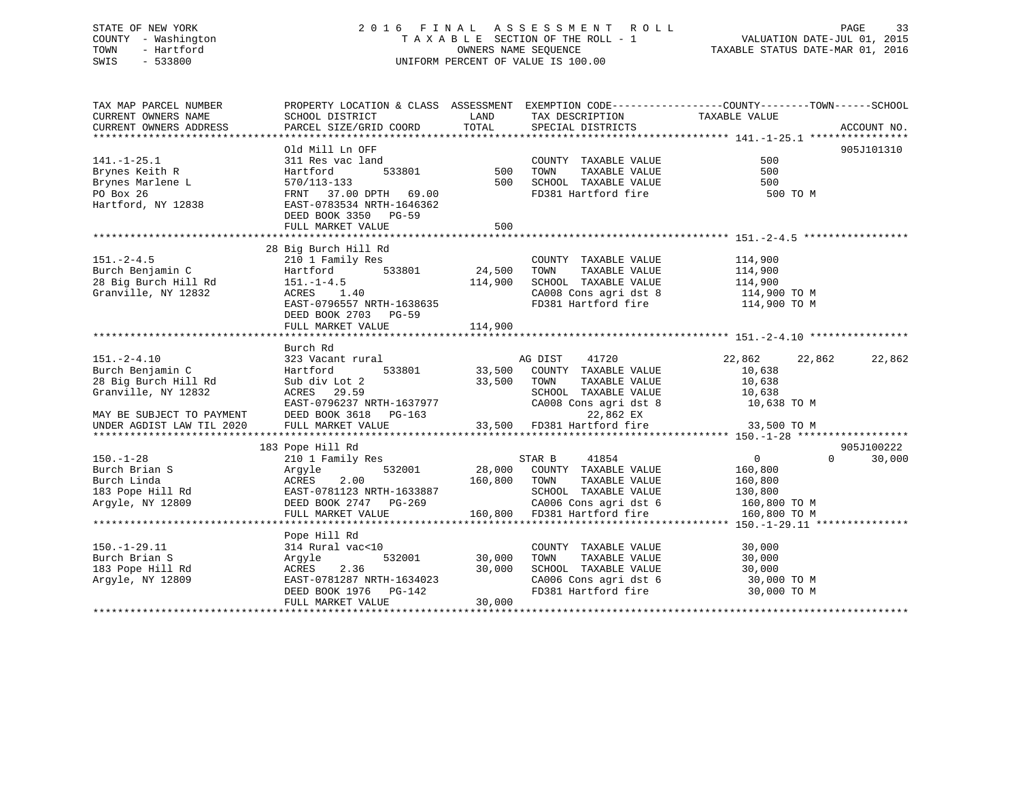### STATE OF NEW YORK 2 0 1 6 F I N A L A S S E S S M E N T R O L L PAGE 33 COUNTY - Washington T A X A B L E SECTION OF THE ROLL - 1 VALUATION DATE-JUL 01, 2015 TOWN - Hartford **TAXABLE STATUS DATE-MAR 01, 2016** OWNERS NAME SEQUENCE TAXABLE STATUS DATE-MAR 01, 2016 SWIS - 533800 UNIFORM PERCENT OF VALUE IS 100.00

| TAX MAP PARCEL NUMBER<br>CURRENT OWNERS NAME | PROPERTY LOCATION & CLASS ASSESSMENT EXEMPTION CODE---------------COUNTY-------TOWN-----SCHOOL<br>SCHOOL DISTRICT | LAND    | TAX DESCRIPTION                               | TAXABLE VALUE    |                    |
|----------------------------------------------|-------------------------------------------------------------------------------------------------------------------|---------|-----------------------------------------------|------------------|--------------------|
| CURRENT OWNERS ADDRESS                       | PARCEL SIZE/GRID COORD                                                                                            | TOTAL   | SPECIAL DISTRICTS                             |                  | ACCOUNT NO.        |
|                                              |                                                                                                                   |         |                                               |                  |                    |
|                                              | Old Mill Ln OFF                                                                                                   |         |                                               |                  | 905J101310         |
| $141. - 1 - 25.1$                            | 311 Res vac land                                                                                                  |         | COUNTY TAXABLE VALUE                          | 500              |                    |
| Brynes Keith R                               | 533801<br>Hartford                                                                                                | 500     | TAXABLE VALUE<br>TOWN                         | 500              |                    |
| Brynes Marlene L                             | 570/113-133                                                                                                       | 500     | SCHOOL TAXABLE VALUE                          | 500              |                    |
| PO Box 26                                    | FRNT 37.00 DPTH 69.00                                                                                             |         | FD381 Hartford fire                           | 500 TO M         |                    |
| Hartford, NY 12838                           | EAST-0783534 NRTH-1646362                                                                                         |         |                                               |                  |                    |
|                                              | DEED BOOK 3350 PG-59                                                                                              |         |                                               |                  |                    |
|                                              | FULL MARKET VALUE                                                                                                 | 500     |                                               |                  |                    |
|                                              |                                                                                                                   |         |                                               |                  |                    |
|                                              | 28 Big Burch Hill Rd                                                                                              |         |                                               |                  |                    |
| $151. - 2 - 4.5$                             | 210 1 Family Res                                                                                                  |         | COUNTY TAXABLE VALUE                          | 114,900          |                    |
| Burch Benjamin C                             | 533801<br>Hartford                                                                                                | 24,500  | TAXABLE VALUE<br>TOWN                         | 114,900          |                    |
| 28 Big Burch Hill Rd                         | $151. - 1 - 4.5$                                                                                                  | 114,900 | SCHOOL TAXABLE VALUE                          | 114,900          |                    |
| Granville, NY 12832                          | ACRES 1.40                                                                                                        |         | CA008 Cons agri dst 8                         | 114,900 TO M     |                    |
|                                              | EAST-0796557 NRTH-1638635                                                                                         |         | FD381 Hartford fire                           | 114,900 TO M     |                    |
|                                              | DEED BOOK 2703 PG-59                                                                                              |         |                                               |                  |                    |
|                                              | FULL MARKET VALUE                                                                                                 | 114,900 |                                               |                  |                    |
|                                              |                                                                                                                   |         |                                               |                  |                    |
|                                              | Burch Rd                                                                                                          |         |                                               |                  |                    |
| $151. - 2 - 4.10$                            | 323 Vacant rural                                                                                                  |         | AG DIST<br>41720                              | 22,862<br>22,862 | 22,862             |
| Burch Benjamin C                             | Hartford<br>533801                                                                                                | 33,500  | 33,500 COUNTY TAXABLE VALUE                   | 10,638           |                    |
| 28 Big Burch Hill Rd<br>Granville, NY 12832  | Sub div Lot 2<br>ACRES 29.59                                                                                      |         | TOWN<br>TAXABLE VALUE<br>SCHOOL TAXABLE VALUE | 10,638           |                    |
|                                              | EAST-0796237 NRTH-1637977                                                                                         |         | CA008 Cons agri dst 8                         | 10,638           |                    |
| MAY BE SUBJECT TO PAYMENT                    | DEED BOOK 3618 PG-163                                                                                             |         | 22,862 EX                                     | 10,638 TO M      |                    |
| UNDER AGDIST LAW TIL 2020                    | FULL MARKET VALUE                                                                                                 |         | 33,500 FD381 Hartford fire                    | 33,500 TO M      |                    |
|                                              |                                                                                                                   |         |                                               |                  |                    |
|                                              | 183 Pope Hill Rd                                                                                                  |         |                                               |                  | 905J100222         |
| $150. - 1 - 28$                              | 210 1 Family Res                                                                                                  |         | STAR B<br>41854                               | $\overline{0}$   | $\Omega$<br>30,000 |
| Burch Brian S                                | 532001<br>Argyle                                                                                                  |         | 28,000 COUNTY TAXABLE VALUE                   | 160,800          |                    |
| Burch Linda                                  | ACRES<br>2.00                                                                                                     | 160,800 | TAXABLE VALUE<br>TOWN                         | 160,800          |                    |
| 183 Pope Hill Rd                             | EAST-0781123 NRTH-1633887                                                                                         |         | SCHOOL TAXABLE VALUE                          | 130,800          |                    |
| Argyle, NY 12809                             | DEED BOOK 2747 PG-269                                                                                             |         | CA006 Cons agri dst 6                         | 160,800 TO M     |                    |
|                                              | FULL MARKET VALUE                                                                                                 |         | 160,800 FD381 Hartford fire                   | 160,800 TO M     |                    |
|                                              |                                                                                                                   |         |                                               |                  |                    |
|                                              | Pope Hill Rd                                                                                                      |         |                                               |                  |                    |
| $150. - 1 - 29.11$                           | 314 Rural vac<10                                                                                                  |         | COUNTY TAXABLE VALUE                          | 30,000           |                    |
| Burch Brian S                                | Argyle<br>532001                                                                                                  | 30,000  | TAXABLE VALUE<br>TOWN                         | 30,000           |                    |
| 183 Pope Hill Rd                             | 2.36<br>ACRES                                                                                                     | 30,000  | SCHOOL TAXABLE VALUE                          | 30,000           |                    |
| Argyle, NY 12809                             | EAST-0781287 NRTH-1634023                                                                                         |         | CA006 Cons agri dst 6<br>FD381 Hartford fire  | 30,000 TO M      |                    |
|                                              | DEED BOOK 1976 PG-142                                                                                             |         |                                               | 30,000 TO M      |                    |
|                                              | FULL MARKET VALUE                                                                                                 | 30,000  |                                               |                  |                    |
|                                              |                                                                                                                   |         |                                               |                  |                    |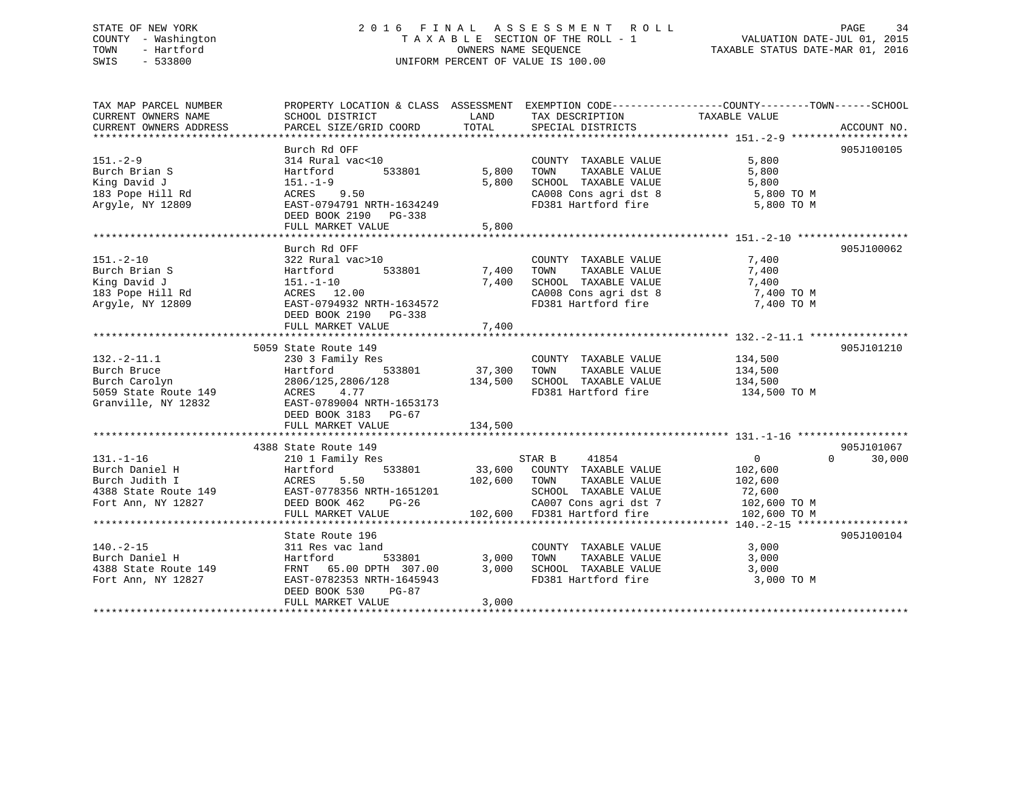## STATE OF NEW YORK 2 0 1 6 F I N A L A S S E S S M E N T R O L L PAGE 34 COUNTY - Washington T A X A B L E SECTION OF THE ROLL - 1 VALUATION DATE-JUL 01, 2015 TOWN - Hartford OWNERS NAME SEQUENCE TAXABLE STATUS DATE-MAR 01, 2016 SWIS - 533800 UNIFORM PERCENT OF VALUE IS 100.00

TAX MAP PARCEL NUMBER PROPERTY LOCATION & CLASS ASSESSMENT EXEMPTION CODE------------------COUNTY--------TOWN------SCHOOL CURRENT OWNERS NAME SCHOOL DISTRICT THE LAND TAX DESCRIPTION TAXABLE VALUE CURRENT OWNERS ADDRESS PARCEL SIZE/GRID COORD TOTAL SPECIAL DISTRICTS ACCOUNT NO. \*\*\*\*\*\*\*\*\*\*\*\*\*\*\*\*\*\*\*\*\*\*\*\*\*\*\*\*\*\*\*\*\*\*\*\*\*\*\*\*\*\*\*\*\*\*\*\*\*\*\*\*\*\*\*\*\*\*\*\*\*\*\*\*\*\*\*\*\*\*\*\*\*\*\*\*\*\*\*\*\*\*\*\*\*\*\*\*\*\*\*\*\*\*\*\*\*\*\*\*\*\*\* 151.-2-9 \*\*\*\*\*\*\*\*\*\*\*\*\*\*\*\*\*\*\* Burch Rd OFF 905J100105151.-2-9 314 Rural vac<10 COUNTY TAXABLE VALUE 5,800 Burch Brian S Hartford 533801 5,800 TOWN TAXABLE VALUE 5,800 King David J 151.-1-9 5,800 SCHOOL TAXABLE VALUE 5,800 183 Pope Hill Rd ACRES 9.50 CA008 Cons agri dst 8 5,800 TO M Argyle, NY 12809 EAST-0794791 NRTH-1634249 FD381 Hartford fire 5,800 TO M DEED BOOK 2190 PG-338 FULL MARKET VALUE 5,800 \*\*\*\*\*\*\*\*\*\*\*\*\*\*\*\*\*\*\*\*\*\*\*\*\*\*\*\*\*\*\*\*\*\*\*\*\*\*\*\*\*\*\*\*\*\*\*\*\*\*\*\*\*\*\*\*\*\*\*\*\*\*\*\*\*\*\*\*\*\*\*\*\*\*\*\*\*\*\*\*\*\*\*\*\*\*\*\*\*\*\*\*\*\*\*\*\*\*\*\*\*\*\* 151.-2-10 \*\*\*\*\*\*\*\*\*\*\*\*\*\*\*\*\*\* Burch Rd OFF 905J100062151.-2-10 322 Rural vac>10 COUNTY TAXABLE VALUE 7,400 Burch Brian S Hartford 533801 7,400 TOWN TAXABLE VALUE 7,400 King David J 151.-1-10 7,400 SCHOOL TAXABLE VALUE 7,400 183 Pope Hill Rd ACRES 12.00 CA008 Cons agri dst 8 7,400 TO M Argyle, NY 12809 EAST-0794932 NRTH-1634572 FD381 Hartford fire 7,400 TO M DEED BOOK 2190 PG-338 FULL MARKET VALUE 7,400 \*\*\*\*\*\*\*\*\*\*\*\*\*\*\*\*\*\*\*\*\*\*\*\*\*\*\*\*\*\*\*\*\*\*\*\*\*\*\*\*\*\*\*\*\*\*\*\*\*\*\*\*\*\*\*\*\*\*\*\*\*\*\*\*\*\*\*\*\*\*\*\*\*\*\*\*\*\*\*\*\*\*\*\*\*\*\*\*\*\*\*\*\*\*\*\*\*\*\*\*\*\*\* 132.-2-11.1 \*\*\*\*\*\*\*\*\*\*\*\*\*\*\*\* 5059 State Route 149 905J101210132.-2-11.1 230 3 Family Res COUNTY TAXABLE VALUE 134,500 Burch Bruce Hartford 533801 37,300 TOWN TAXABLE VALUE 134,500 Burch Carolyn 2806/125,2806/128 134,500 SCHOOL TAXABLE VALUE 134,500 5059 State Route 149 ACRES 4.77 FD381 Hartford fire 134,500 TO M Granville, NY 12832 EAST-0789004 NRTH-1653173 DEED BOOK 3183 PG-67 FULL MARKET VALUE 134,500 \*\*\*\*\*\*\*\*\*\*\*\*\*\*\*\*\*\*\*\*\*\*\*\*\*\*\*\*\*\*\*\*\*\*\*\*\*\*\*\*\*\*\*\*\*\*\*\*\*\*\*\*\*\*\*\*\*\*\*\*\*\*\*\*\*\*\*\*\*\*\*\*\*\*\*\*\*\*\*\*\*\*\*\*\*\*\*\*\*\*\*\*\*\*\*\*\*\*\*\*\*\*\* 131.-1-16 \*\*\*\*\*\*\*\*\*\*\*\*\*\*\*\*\*\*905J101067 4388 State Route 149 905J101067131.-1-16 210 1 Family Res STAR B 41854 0 0 30,000 Burch Daniel H Hartford 533801 33,600 COUNTY TAXABLE VALUE 102,600 Burch Judith I ACRES 5.50 102,600 TOWN TAXABLE VALUE 102,600 4388 State Route 149 EAST-0778356 NRTH-1651201 SCHOOL TAXABLE VALUE 72,600 Fort Ann, NY 12827 DEED BOOK 462 PG-26 CA007 Cons agri dst 7 102,600 TO M FULL MARKET VALUE 102,600 FD381 Hartford fire 102,600 TO M \*\*\*\*\*\*\*\*\*\*\*\*\*\*\*\*\*\*\*\*\*\*\*\*\*\*\*\*\*\*\*\*\*\*\*\*\*\*\*\*\*\*\*\*\*\*\*\*\*\*\*\*\*\*\*\*\*\*\*\*\*\*\*\*\*\*\*\*\*\*\*\*\*\*\*\*\*\*\*\*\*\*\*\*\*\*\*\*\*\*\*\*\*\*\*\*\*\*\*\*\*\*\* 140.-2-15 \*\*\*\*\*\*\*\*\*\*\*\*\*\*\*\*\*\* State Route 196 905J100104140.-2-15 311 Res vac land COUNTY TAXABLE VALUE 3,000 Burch Daniel H Hartford 533801 3,000 TOWN TAXABLE VALUE 3,000 4388 State Route 149 FRNT 65.00 DPTH 307.00 3,000 SCHOOL TAXABLE VALUE 3,000 Fort Ann, NY 12827 EAST-0782353 NRTH-1645943 FD381 Hartford fire 3,000 TO M DEED BOOK 530 PG-87FULL MARKET VALUE 3,000 \*\*\*\*\*\*\*\*\*\*\*\*\*\*\*\*\*\*\*\*\*\*\*\*\*\*\*\*\*\*\*\*\*\*\*\*\*\*\*\*\*\*\*\*\*\*\*\*\*\*\*\*\*\*\*\*\*\*\*\*\*\*\*\*\*\*\*\*\*\*\*\*\*\*\*\*\*\*\*\*\*\*\*\*\*\*\*\*\*\*\*\*\*\*\*\*\*\*\*\*\*\*\*\*\*\*\*\*\*\*\*\*\*\*\*\*\*\*\*\*\*\*\*\*\*\*\*\*\*\*\*\*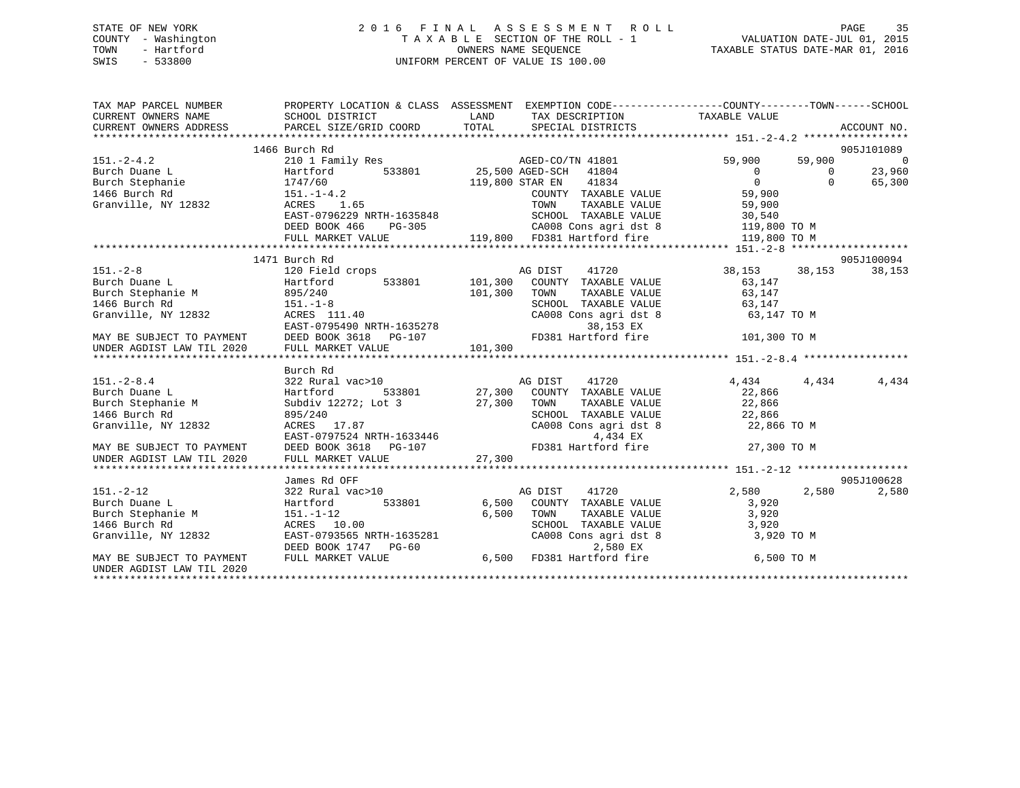### STATE OF NEW YORK 2 0 1 6 F I N A L A S S E S S M E N T R O L L PAGE 35 COUNTY - Washington T A X A B L E SECTION OF THE ROLL - 1 VALUATION DATE-JUL 01, 2015 TOWN - Hartford **TAXABLE STATUS DATE-MAR 01, 2016** OWNERS NAME SEQUENCE TAXABLE STATUS DATE-MAR 01, 2016 SWIS - 533800 UNIFORM PERCENT OF VALUE IS 100.00

| TAX MAP PARCEL NUMBER<br>CURRENT OWNERS NAME                                                              | SCHOOL DISTRICT                                                                | PROPERTY LOCATION & CLASS ASSESSMENT EXEMPTION CODE----------------COUNTY-------TOWN------SCHOOL<br>LAND<br>TAX DESCRIPTION                                                                                                             | TAXABLE VALUE                   |                |
|-----------------------------------------------------------------------------------------------------------|--------------------------------------------------------------------------------|-----------------------------------------------------------------------------------------------------------------------------------------------------------------------------------------------------------------------------------------|---------------------------------|----------------|
| CURRENT OWNERS ADDRESS PARCEL SIZE/GRID COORD                                                             |                                                                                |                                                                                                                                                                                                                                         |                                 |                |
|                                                                                                           |                                                                                | CURRENT OWNERS ADDRESS FORCEL SIZE/GRID COORD TOTAL SPECIAL DISTRICTS ACCOUNT NO.<br>TURRENT OWNERS ADDRESS PARCEL SIZE/GRID COORD TOTAL SPECIAL DISTRICTS ACCOUNT NO.                                                                  |                                 |                |
|                                                                                                           | 1466 Burch Rd                                                                  |                                                                                                                                                                                                                                         |                                 | 905J101089     |
| $151.-2-4.2$<br>Burch Duane L                                                                             | 210 1 Family Res                                                               | AGED-CO/TN 41801                                                                                                                                                                                                                        | 59,900<br>59,900                | $\overline{0}$ |
|                                                                                                           | Hartford                                                                       | 533801 25,500 AGED-SCH 41804                                                                                                                                                                                                            | $\bigcirc$<br>$\Omega$          | 23,960         |
|                                                                                                           |                                                                                | 119,800 STAR EN 41834                                                                                                                                                                                                                   | $\overline{0}$<br>$\Omega$      | 65,300         |
|                                                                                                           |                                                                                | COUNTY TAXABLE VALUE                                                                                                                                                                                                                    | 59,900                          |                |
|                                                                                                           | ACRES 1.65                                                                     | TAXABLE VALUE<br>TOWN                                                                                                                                                                                                                   | 59,900                          |                |
|                                                                                                           | EAST-0796229 NRTH-1635848                                                      |                                                                                                                                                                                                                                         |                                 |                |
|                                                                                                           | DEED BOOK 466                                                                  |                                                                                                                                                                                                                                         |                                 |                |
|                                                                                                           | FULL MARKET VALUE                                                              | RTH-1635848 SCHOOL TAXABLE VALUE 30,540<br>PG-305 CA008 Cons agri dst 8 119,800 TO M<br>LUE 119,800 FD381 Hartford fire 119,800 TO M                                                                                                    |                                 |                |
|                                                                                                           |                                                                                |                                                                                                                                                                                                                                         |                                 |                |
|                                                                                                           | 1471 Burch Rd                                                                  |                                                                                                                                                                                                                                         |                                 | 905J100094     |
| $151. - 2 - 8$                                                                                            | 120 Field crops                                                                | AG DIST<br>41720                                                                                                                                                                                                                        | 38,153 38,153                   | 38,153         |
| Burch Duane L                                                                                             | Hartford                                                                       | 533801 101,300 COUNTY TAXABLE VALUE                                                                                                                                                                                                     | 63,147                          |                |
| Burch Stephanie M                                                                                         |                                                                                | 101,300<br>TOWN<br>TAXABLE VALUE                                                                                                                                                                                                        | 63,147                          |                |
| 1466 Burch Rd                                                                                             |                                                                                | $\begin{tabular}{lllllllll} \texttt{SCHOOL} & \texttt{TAXABLE} & \texttt{VALUE} & \texttt{63,147} \\ \texttt{CA008} & \texttt{Cons}\ \texttt{agri}\ \texttt{dst}\ 8 & & \texttt{63,147} \ \texttt{TO}\ \texttt{M} \end{tabular}$        |                                 |                |
| Granville, NY 12832                                                                                       | 895/240<br>151.-1-8<br>ACRES 111.40                                            |                                                                                                                                                                                                                                         |                                 |                |
|                                                                                                           |                                                                                |                                                                                                                                                                                                                                         |                                 |                |
|                                                                                                           |                                                                                |                                                                                                                                                                                                                                         |                                 |                |
|                                                                                                           |                                                                                |                                                                                                                                                                                                                                         |                                 |                |
|                                                                                                           |                                                                                |                                                                                                                                                                                                                                         |                                 |                |
|                                                                                                           | Burch Rd                                                                       |                                                                                                                                                                                                                                         |                                 |                |
| $151. - 2 - 8.4$                                                                                          |                                                                                | $322 \text{ Rural vac}>10 \qquad \qquad \text{AG DIST} \qquad 41720 \qquad \qquad \text{Hartford} \qquad 533801 \qquad \qquad 27,300 \qquad \text{COUNTY} \qquad \text{TXABLE VALUE}$                                                   | 4,434<br>4,434                  | 4,434          |
| Burch Duane L                                                                                             |                                                                                |                                                                                                                                                                                                                                         | 22,866                          |                |
| Burch Stephanie M                                                                                         | Subdiv 12272; Lot 3                                                            | 27,300<br>TOWN<br>TAXABLE VALUE                                                                                                                                                                                                         | 22,866                          |                |
| 1466 Burch Rd<br>Granville, NY 12832                                                                      |                                                                                | SCHOOL TAXABLE VALUE                                                                                                                                                                                                                    | 22,866<br>22,866<br>22,866 TO M |                |
|                                                                                                           |                                                                                | CA008 Cons agri dst 8<br>4,434 EX                                                                                                                                                                                                       |                                 |                |
|                                                                                                           | 023/440<br>ACRES 17.87<br>EAST-0797524 NRTH-1633446<br>DEED BOOK 2610 - 11.111 | FD381 Hartford fire 27,300 TO M                                                                                                                                                                                                         |                                 |                |
| MAY BE SUBJECT TO PAYMENT THE DEED BOOK 3618 PG-107<br>UNDER AGDIST LAW TIL 2020 FULL MARKET VALUE 27,300 |                                                                                | 27,300                                                                                                                                                                                                                                  |                                 |                |
|                                                                                                           |                                                                                |                                                                                                                                                                                                                                         |                                 |                |
|                                                                                                           | James Rd OFF                                                                   |                                                                                                                                                                                                                                         |                                 | 905J100628     |
| $151. - 2 - 12$                                                                                           | 322 Rural vac>10                                                               | AG DIST 41720                                                                                                                                                                                                                           | 2,580<br>2,580                  | 2,580          |
| Burch Duane L                                                                                             | Hartford                                                                       | 533801 6,500 COUNTY TAXABLE VALUE                                                                                                                                                                                                       | 3,920                           |                |
| Burch Stephanie M                                                                                         |                                                                                |                                                                                                                                                                                                                                         |                                 |                |
| 1466 Burch Rd                                                                                             |                                                                                |                                                                                                                                                                                                                                         |                                 |                |
| Granville, NY 12832                                                                                       |                                                                                |                                                                                                                                                                                                                                         |                                 |                |
|                                                                                                           |                                                                                |                                                                                                                                                                                                                                         |                                 |                |
| MAY BE SUBJECT TO PAYMENT                                                                                 |                                                                                | 151.-1-12<br>ACRES 10.00<br>EAST-0793565 NRTH-1635281<br>DEED BOOK 1747 PG-60<br>FULL MARKET VALUE<br>PULL MARKET VALUE<br>2,580 EX<br>2,580 EX<br>2,580 EX<br>2,580 EX<br>PULL MARKET VALUE<br>6,500 FD381 Hartford fire<br>6,500 TO M |                                 |                |
| UNDER AGDIST LAW TIL 2020                                                                                 |                                                                                |                                                                                                                                                                                                                                         |                                 |                |
|                                                                                                           |                                                                                |                                                                                                                                                                                                                                         |                                 |                |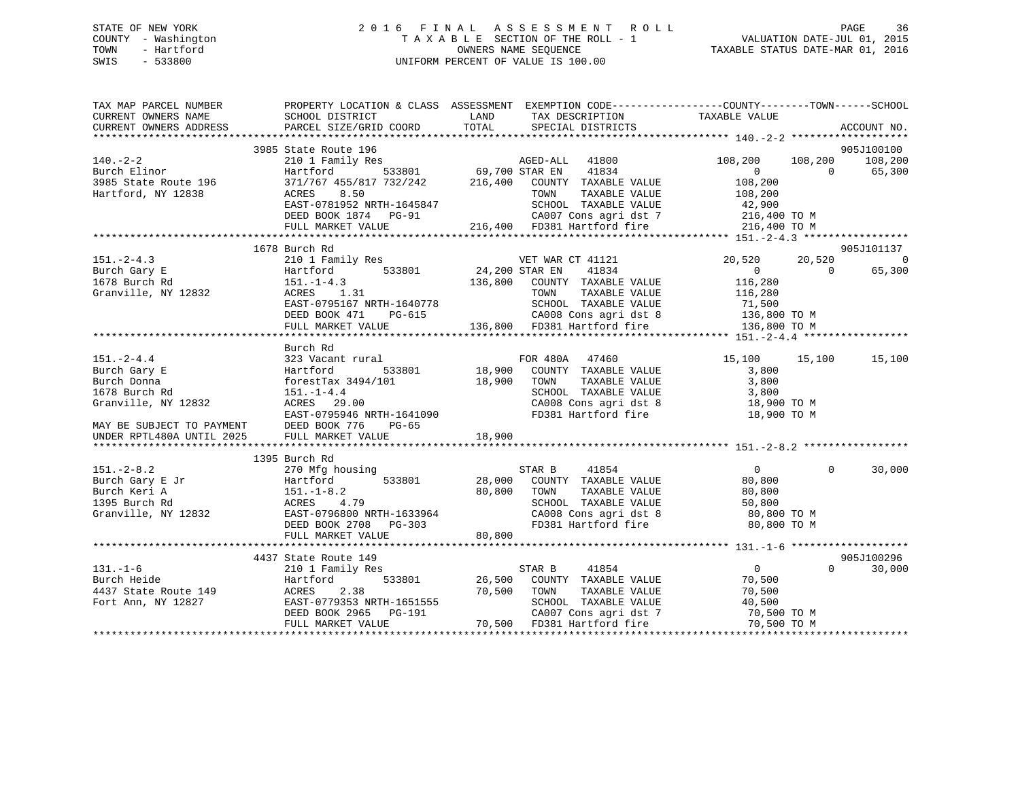#### STATE OF NEW YORK 2 0 1 6 F I N A L A S S E S S M E N T R O L L PAGE 36COUNTY - Washington T A X A B L E SECTION OF THE ROLL - 1<br>TOWN - Hartford TOWN - And COUNTRINAL SEQUENCE OWNERS NAME SEQUENCE TAXABLE STATUS DATE-MAR 01, 2016 SWIS - 533800 UNIFORM PERCENT OF VALUE IS 100.00

| TAX MAP PARCEL NUMBER                                                               | SCHOOL DISTRICT                                                                             | PROPERTY LOCATION & CLASS ASSESSMENT EXEMPTION CODE---------------COUNTY-------TOWN-----SCHOOL<br><b>EXAMPLE THE STATE OF STATE OF STATE</b>                        | TAXABLE VALUE                               |               |
|-------------------------------------------------------------------------------------|---------------------------------------------------------------------------------------------|---------------------------------------------------------------------------------------------------------------------------------------------------------------------|---------------------------------------------|---------------|
| CURRENT OWNERS NAME<br>CURRENT OWNERS ADDRESS                                       | PARCEL SIZE/GRID COORD                                                                      | TAX DESCRIPTION<br>TOTAL<br>SPECIAL DISTRICTS                                                                                                                       |                                             | ACCOUNT NO.   |
|                                                                                     |                                                                                             |                                                                                                                                                                     |                                             |               |
|                                                                                     | 3985 State Route 196                                                                        | State Route 196<br>210 1 Family Res<br>Hartford 533801 69,700 STAR EN 41834<br>371/767 455/817 732/242 216,400 COUNTY TAXABLE VALUE<br>216,400 COUNTY TAXABLE VALUE |                                             | 905J100100    |
| $140. -2 - 2$                                                                       |                                                                                             |                                                                                                                                                                     |                                             |               |
| 110: 2 2<br>Burch Elinor<br>3985 State Route 196                                    |                                                                                             |                                                                                                                                                                     | $\begin{array}{c} 0 \\ 108,200 \end{array}$ | $0 \t 65,300$ |
|                                                                                     |                                                                                             |                                                                                                                                                                     |                                             |               |
| Hartford, NY 12838                                                                  | ACRES<br>8.50                                                                               | TAXABLE VALUE<br>TOWN                                                                                                                                               | 108,200                                     |               |
|                                                                                     | EAST-0781952 NRTH-1645847<br>DEED BOOK 1874 PG-91                                           | SCHOOL TAXABLE VALUE                                                                                                                                                | 42,900                                      |               |
|                                                                                     |                                                                                             | CA007 Cons agri dst 7 216,400 TO M                                                                                                                                  |                                             |               |
|                                                                                     | FULL MARKET VALUE                                                                           | 216,400 FD381 Hartford fire                                                                                                                                         | 216,400 TO M                                |               |
|                                                                                     | 1678 Burch Rd                                                                               |                                                                                                                                                                     |                                             | 905J101137    |
| $151 - 2 - 4.3$                                                                     |                                                                                             | VET WAR CT 41121                                                                                                                                                    | 20,520<br>20,520                            | 0             |
| Burch Gary E                                                                        | 210 1 Family Res WET WAR<br>Hartford 533801 24,200 STAR EN<br>Hartford 533801               | 41834                                                                                                                                                               | $\overline{0}$<br>$\overline{0}$            | 65,300        |
| Hartford<br>151.-1-4.3                                                              |                                                                                             | 136,800 COUNTY TAXABLE VALUE                                                                                                                                        | 116,280                                     |               |
|                                                                                     | Granville, NY 12832<br>Granville, NY 12832<br>ACRES 1.31                                    |                                                                                                                                                                     |                                             |               |
|                                                                                     | EAST-0795167 NRTH-1640778                                                                   | TOWN       TAXABLE  VALUE<br>SCHOOL    TAXABLE  VALUE                                                                                                               | 116,280<br>71,500                           |               |
|                                                                                     |                                                                                             |                                                                                                                                                                     |                                             |               |
|                                                                                     | DEED BOOK 471                                                                               | PG-615 CA008 Cons agri dst 8 136,800 TO M<br>LLUE 136,800 FD381 Hartford fire 136,800 TO M                                                                          |                                             |               |
|                                                                                     | FULL MARKET VALUE                                                                           |                                                                                                                                                                     |                                             |               |
|                                                                                     | Burch Rd                                                                                    |                                                                                                                                                                     |                                             |               |
| $151. - 2 - 4.4$                                                                    |                                                                                             |                                                                                                                                                                     | 15,100 15,100                               | 15,100        |
| Burch Gary E                                                                        |                                                                                             |                                                                                                                                                                     | 3,800                                       |               |
| Burch Donna                                                                         | Hartford 533801 18,900 COUNT:<br>forestTax 3494/101 18,900 TOWN<br>151.-1-4.4 SCHOOI        | TAXABLE VALUE                                                                                                                                                       | 3,800                                       |               |
| 1678 Burch Rd                                                                       | $151. - 1 - 4.4$                                                                            | SCHOOL TAXABLE VALUE                                                                                                                                                | 3,800                                       |               |
| Granville, NY 12832                                                                 | ACRES 29.00                                                                                 | CA008 Cons agri dst 8 18,900 TO M                                                                                                                                   |                                             |               |
|                                                                                     | 151.-1-4.4<br>ACRES 29.00<br>EAST-0795946 NRTH-1641090                                      | FD381 Hartford fire                                                                                                                                                 | 18,900 TO M                                 |               |
|                                                                                     | PG-65                                                                                       |                                                                                                                                                                     |                                             |               |
| MAY BE SUBJECT TO PAYMENT DEED BOOK 776 INDER RPTL480A UNTIL 2025 FULL MARKET VALUE |                                                                                             | 18,900                                                                                                                                                              |                                             |               |
|                                                                                     |                                                                                             |                                                                                                                                                                     |                                             |               |
|                                                                                     |                                                                                             |                                                                                                                                                                     |                                             |               |
|                                                                                     |                                                                                             | STAR B<br>41854                                                                                                                                                     | $\Omega$<br>$\overline{0}$                  | 30,000        |
|                                                                                     |                                                                                             | 28,000 COUNTY TAXABLE VALUE                                                                                                                                         | 80,800                                      |               |
|                                                                                     |                                                                                             | TOWN<br>TAXABLE VALUE                                                                                                                                               | 80,800                                      |               |
|                                                                                     |                                                                                             | SCHOOL TAXABLE VALUE 50,800<br>CA008 Cons agri dst 8 80,800 TO M<br>FD381 Hartford fire 80,800 TO M                                                                 |                                             |               |
|                                                                                     |                                                                                             |                                                                                                                                                                     |                                             |               |
|                                                                                     |                                                                                             |                                                                                                                                                                     |                                             |               |
|                                                                                     |                                                                                             |                                                                                                                                                                     |                                             |               |
|                                                                                     |                                                                                             |                                                                                                                                                                     |                                             |               |
|                                                                                     | 4437 State Route 149                                                                        |                                                                                                                                                                     |                                             | 905J100296    |
| $131. - 1 - 6$                                                                      | 210 1 Family Res                                                                            | 41854<br>STAR B                                                                                                                                                     | $\overline{0}$<br>$0 \qquad \qquad$         | 30,000        |
| Burch Heide                                                                         |                                                                                             | Hartford 533801 26,500 COUNTY TAXABLE VALUE                                                                                                                         | 70,500                                      |               |
| 4437 State Route 149 ACRES                                                          |                                                                                             | TOWN<br>TAXABLE VALUE                                                                                                                                               | 70,500                                      |               |
| Fort Ann, NY 12827                                                                  |                                                                                             |                                                                                                                                                                     |                                             |               |
|                                                                                     | ACRES 2.38 2000<br>EAST-0779353 NRTH-1651555<br>DEED BOOK 2965 PG-191<br>FULL MARKET WALLER | SCHOOL TAXABLE VALUE 40,500<br>CA007 Cons agri dst 7 70,500 TO M                                                                                                    |                                             |               |
|                                                                                     | FULL MARKET VALUE                                                                           | 70,500 FD381 Hartford fire 70,500 TO M                                                                                                                              |                                             |               |
|                                                                                     |                                                                                             |                                                                                                                                                                     |                                             |               |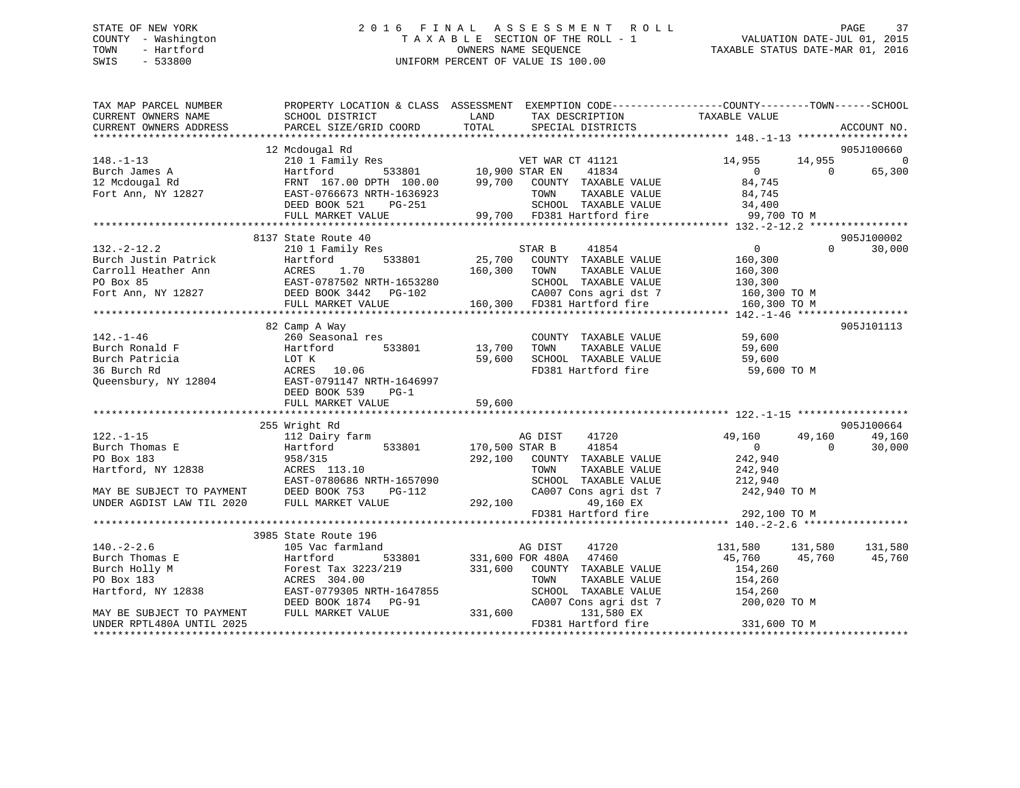# STATE OF NEW YORK 2 0 1 6 F I N A L A S S E S S M E N T R O L L PAGE 37COUNTY - Washington T A X A B L E SECTION OF THE ROLL - 1 VALUATION DATE-JUL 01, 2015 SWIS - 533800 UNIFORM PERCENT OF VALUE IS 100.00

| TAX MAP PARCEL NUMBER<br>CURRENT OWNERS NAME<br>CURRENT OWNERS ADDRESS | PROPERTY LOCATION & CLASS ASSESSMENT EXEMPTION CODE----------------COUNTY-------TOWN------SCHOOL<br>SCHOOL DISTRICT<br>PARCEL SIZE/GRID COORD | <b>EXAMPLE THE STATE OF STATE OF STATE</b><br>TOTAL | TAX DESCRIPTION<br>SPECIAL DISTRICTS                                                                                                 | TAXABLE VALUE             |                    | ACCOUNT NO.              |
|------------------------------------------------------------------------|-----------------------------------------------------------------------------------------------------------------------------------------------|-----------------------------------------------------|--------------------------------------------------------------------------------------------------------------------------------------|---------------------------|--------------------|--------------------------|
|                                                                        | 12 Mcdougal Rd                                                                                                                                |                                                     |                                                                                                                                      |                           |                    | 905J100660               |
| $148. - 1 - 13$<br>Burch James A                                       | Mcdougai Ku<br>210 1 Family Res<br>Hartford 533801 10,900 STAR EN                                                                             |                                                     | VET WAR CT 41121<br>41834                                                                                                            | 14,955<br>$\overline{0}$  | 14,955<br>$\Omega$ | $\overline{0}$<br>65,300 |
| 12 Mcdougal Rd<br>Fort Ann, NY 12827                                   | FRNT 167.00 DPTH 100.00 99,700 COUNTY TAXABLE VALUE<br>EAST-0766673 NRTH-1636923<br>DEED BOOK 521<br>PG-251                                   |                                                     | TAXABLE VALUE<br>TOWN<br>1636923 TOWN TAXABLE VALUE 84,745<br>G-251 SCHOOL TAXABLE VALUE 34,400<br>99,700 FD381 Hartford fire 99,700 | 84,745<br>84,745          |                    |                          |
|                                                                        | FULL MARKET VALUE                                                                                                                             |                                                     |                                                                                                                                      | 99,700 TO M               |                    |                          |
|                                                                        |                                                                                                                                               |                                                     |                                                                                                                                      |                           |                    |                          |
|                                                                        | 8137 State Route 40                                                                                                                           |                                                     |                                                                                                                                      |                           |                    | 905J100002               |
| $132 - 2 - 12.2$                                                       | 210 1 Family Res                                                                                                                              |                                                     | STAR B 41854<br>25,700 COUNTY TAXABLE VALUE                                                                                          | $\overline{0}$            | $\Omega$           | 30,000                   |
| Burch Justin Patrick                                                   | 533801<br>Hartford                                                                                                                            |                                                     |                                                                                                                                      | 160,300                   |                    |                          |
|                                                                        | Carroll Heather Ann ACRES 1.70<br>PO Box 85 EAST-0787502 NRTH-1653280<br>Fort Ann, NY 12827 DEED BOOK 3442 PG-102                             | 160, 300                                            | TOWN<br>TAXABLE VALUE                                                                                                                | 160,300                   |                    |                          |
|                                                                        |                                                                                                                                               |                                                     | SCHOOL TAXABLE VALUE                                                                                                                 | 130,300                   |                    |                          |
|                                                                        |                                                                                                                                               |                                                     | CA007 Cons agri dst 7 160,300 TO M                                                                                                   |                           |                    |                          |
|                                                                        |                                                                                                                                               |                                                     |                                                                                                                                      | 160,300 TO M              |                    |                          |
|                                                                        |                                                                                                                                               |                                                     |                                                                                                                                      |                           |                    |                          |
| $142. - 1 - 46$                                                        | 82 Camp A Way<br>260 Seasonal res                                                                                                             |                                                     | COUNTY TAXABLE VALUE                                                                                                                 | 59,600                    |                    | 905J101113               |
| Burch Ronald F                                                         | 533801<br>Hartford                                                                                                                            |                                                     | TOWN<br>TAXABLE VALUE                                                                                                                | 59,600                    |                    |                          |
| Burch Patricia                                                         | LOT K                                                                                                                                         | 13,700<br>59,600                                    | SCHOOL TAXABLE VALUE                                                                                                                 | 59,600                    |                    |                          |
| 36 Burch Rd                                                            | ACRES 10.06                                                                                                                                   |                                                     | FD381 Hartford fire                                                                                                                  | 59,600 TO M               |                    |                          |
| Queensbury, NY 12804                                                   | EAST-0791147 NRTH-1646997<br>DEED BOOK 539<br>$PG-1$                                                                                          |                                                     |                                                                                                                                      |                           |                    |                          |
|                                                                        | FULL MARKET VALUE                                                                                                                             | 59,600                                              |                                                                                                                                      |                           |                    |                          |
|                                                                        |                                                                                                                                               |                                                     |                                                                                                                                      |                           |                    |                          |
|                                                                        | 255 Wright Rd<br>rd Kd<br>112 Dairy farm<br>Hartford                                                                                          |                                                     |                                                                                                                                      |                           |                    | 905J100664               |
| $122. - 1 - 15$                                                        |                                                                                                                                               |                                                     | AG DIST<br>41720                                                                                                                     | 49,160                    | 49,160             | 49,160                   |
| Burch Thomas E<br>PO Box 183                                           | 533801<br>958/315                                                                                                                             | 170,500 STAR B                                      | 41854<br>292,100 COUNTY TAXABLE VALUE                                                                                                | $\overline{0}$<br>242,940 | $\Omega$           | 30,000                   |
| Hartford, NY 12838                                                     | ACRES 113.10                                                                                                                                  |                                                     | TOWN<br>TAXABLE VALUE                                                                                                                | 242,940                   |                    |                          |
|                                                                        | EAST-0780686 NRTH-1657090                                                                                                                     |                                                     | SCHOOL TAXABLE VALUE                                                                                                                 | 212,940                   |                    |                          |
| MAY BE SUBJECT TO PAYMENT                                              | DEED BOOK 753<br>$PG-112$                                                                                                                     |                                                     | CA007 Cons agri dst 7                                                                                                                | 242,940 TO M              |                    |                          |
| UNDER AGDIST LAW TIL 2020                                              | FULL MARKET VALUE                                                                                                                             | 292,100                                             | 49,160 EX                                                                                                                            |                           |                    |                          |
|                                                                        |                                                                                                                                               |                                                     | FD381 Hartford fire                                                                                                                  | 292,100 TO M              |                    |                          |
|                                                                        |                                                                                                                                               |                                                     |                                                                                                                                      |                           |                    |                          |
|                                                                        | 3985 State Route 196                                                                                                                          |                                                     |                                                                                                                                      |                           |                    |                          |
| $140. -2 - 2.6$                                                        | 105 Vac farmland                                                                                                                              |                                                     | AG DIST<br>41720                                                                                                                     | 131,580 131,580           |                    | 131,580                  |
| Burch Thomas E                                                         | 533801<br>Hartford                                                                                                                            |                                                     | 331,600 FOR 480A 47460<br>331,600 COUNTY TAXABLE VALUE                                                                               | 45,760 45,760             |                    | 45,760                   |
| Burch Holly M                                                          | Forest Tax 3223/219                                                                                                                           |                                                     |                                                                                                                                      | 154,260                   |                    |                          |
| PO Box 183                                                             | ACRES 304.00                                                                                                                                  |                                                     | TOWN<br>TAXABLE VALUE                                                                                                                | 154,260                   |                    |                          |
| Hartford, NY 12838                                                     | EAST-0779305 NRTH-1647855                                                                                                                     |                                                     | SCHOOL TAXABLE VALUE                                                                                                                 | 154,260                   |                    |                          |
|                                                                        | DEED BOOK 1874 PG-91                                                                                                                          |                                                     | CA007 Cons agri dst 7                                                                                                                | 200,020 TO M              |                    |                          |
| MAY BE SUBJECT TO PAYMENT                                              | FULL MARKET VALUE                                                                                                                             | 331,600                                             | 131,580 EX                                                                                                                           |                           |                    |                          |
| UNDER RPTL480A UNTIL 2025                                              |                                                                                                                                               |                                                     | FD381 Hartford fire                                                                                                                  | 331,600 TO M              |                    |                          |
|                                                                        |                                                                                                                                               |                                                     |                                                                                                                                      |                           |                    |                          |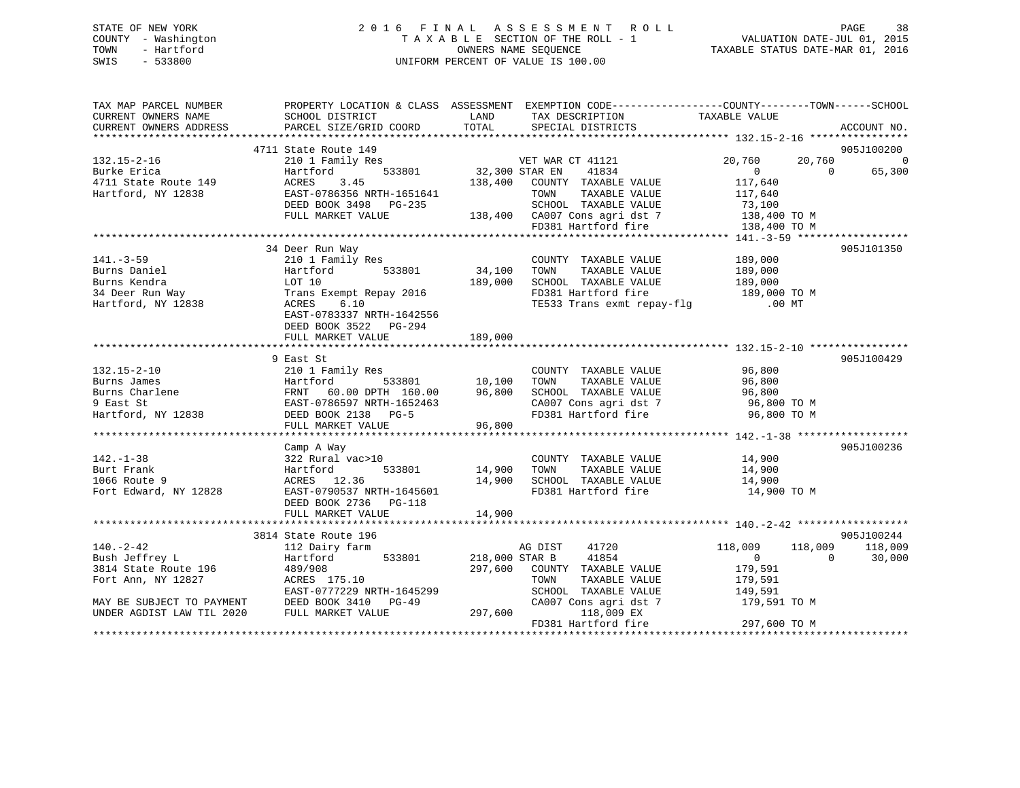### STATE OF NEW YORK 2 0 1 6 F I N A L A S S E S S M E N T R O L L PAGE 38 COUNTY - Washington T A X A B L E SECTION OF THE ROLL - 1 VALUATION DATE-JUL 01, 2015 TOWN - Hartford OWNERS NAME SEQUENCE TAXABLE STATUS DATE-MAR 01, 2016 SWIS - 533800 UNIFORM PERCENT OF VALUE IS 100.00

| TAX MAP PARCEL NUMBER<br>CURRENT OWNERS NAME                     | SCHOOL DISTRICT                                                                      | LAND           | TAX DESCRIPTION TAXABLE VALUE<br>SPECIAL DISTRICTS                                                            | PROPERTY LOCATION & CLASS ASSESSMENT EXEMPTION CODE---------------COUNTY-------TOWN-----SCHOOL |                |
|------------------------------------------------------------------|--------------------------------------------------------------------------------------|----------------|---------------------------------------------------------------------------------------------------------------|------------------------------------------------------------------------------------------------|----------------|
| CURRENT OWNERS ADDRESS                                           | PARCEL SIZE/GRID COORD                                                               | TOTAL          | SPECIAL DISTRICTS                                                                                             |                                                                                                | ACCOUNT NO.    |
|                                                                  |                                                                                      |                |                                                                                                               |                                                                                                |                |
|                                                                  | 4711 State Route 149                                                                 |                |                                                                                                               |                                                                                                | 905J100200     |
| 132.15-2-16                                                      | 210 1 Family Res<br>533801                                                           | 32,300 STAR EN | VET WAR CT 41121                                                                                              | 20,760<br>20,760<br>$\overline{0}$<br>$\Omega$                                                 | $\overline{0}$ |
| Burke Erica                                                      | Hartford<br>3.45<br>ACRES                                                            |                | 41834<br>138,400 COUNTY TAXABLE VALUE                                                                         | 117,640                                                                                        | 65,300         |
| 4711 State Route 149<br>Hartford, NY 12838<br>Hartford, NY 12838 | EAST-0786356 NRTH-1651641                                                            |                | TOWN<br>TAXABLE VALUE                                                                                         | 117,640                                                                                        |                |
|                                                                  | DEED BOOK 3498 PG-235                                                                |                | SCHOOL TAXABLE VALUE                                                                                          | 73,100                                                                                         |                |
|                                                                  | FULL MARKET VALUE                                                                    |                |                                                                                                               |                                                                                                |                |
|                                                                  |                                                                                      |                | SCHOOL TAXABLE VALUE 73,100<br>138,400 CA007 Cons agri dst 7 138,400 TO M<br>FD381 Hartford fire 138,400 TO M |                                                                                                |                |
|                                                                  |                                                                                      |                |                                                                                                               |                                                                                                |                |
|                                                                  | 34 Deer Run Way                                                                      |                |                                                                                                               |                                                                                                | 905J101350     |
| $141. - 3 - 59$                                                  | 210 1 Family Res                                                                     |                | COUNTY TAXABLE VALUE                                                                                          | 189,000                                                                                        |                |
| Burns Daniel                                                     | 533801<br>Hartford                                                                   | 34,100         | TAXABLE VALUE<br>TOWN                                                                                         |                                                                                                |                |
|                                                                  | LOT 10                                                                               | 189,000        | SCHOOL TAXABLE VALUE                                                                                          | 189,000<br>189,000                                                                             |                |
| Burns Kendra<br>34 Deer Run Way<br>Hartford, NY 12838            | Trans Exempt Repay 2016                                                              |                | $FD381$ Hartford fire 189,000 TO M                                                                            |                                                                                                |                |
| Hartford, NY 12838                                               | ACRES<br>6.10                                                                        |                | TE533 Trans exmt repay-flg                                                                                    | $.00$ MT                                                                                       |                |
|                                                                  | EAST-0783337 NRTH-1642556                                                            |                |                                                                                                               |                                                                                                |                |
|                                                                  | DEED BOOK 3522 PG-294                                                                |                |                                                                                                               |                                                                                                |                |
|                                                                  | FULL MARKET VALUE                                                                    | 189,000        |                                                                                                               |                                                                                                |                |
|                                                                  |                                                                                      |                |                                                                                                               |                                                                                                |                |
|                                                                  | 9 East St                                                                            |                |                                                                                                               |                                                                                                | 905J100429     |
| $132.15 - 2 - 10$                                                | 210 1 Family Res                                                                     |                | COUNTY TAXABLE VALUE                                                                                          | 96,800                                                                                         |                |
| Burns James<br>Burns Charlene<br>^ Test St                       | Hartford 533801 10,100<br>FRNT 60.00 DPTH 160.00 96,800<br>EAST-0786597 NRTH-1652463 |                | TAXABLE VALUE<br>TOWN                                                                                         | 96,800                                                                                         |                |
|                                                                  |                                                                                      |                | SCHOOL TAXABLE VALUE<br>CA007 Cons agri dst 7                                                                 | 96,800                                                                                         |                |
|                                                                  |                                                                                      |                |                                                                                                               | 96,800 TO M                                                                                    |                |
| Hartford, NY 12838                                               | DEED BOOK 2138 PG-5                                                                  |                | FD381 Hartford fire                                                                                           | 96,800 TO M                                                                                    |                |
|                                                                  | FULL MARKET VALUE                                                                    | 96,800         |                                                                                                               |                                                                                                |                |
|                                                                  | Camp A Way                                                                           |                |                                                                                                               |                                                                                                | 905J100236     |
| $142. - 1 - 38$                                                  | 322 Rural vac>10                                                                     |                | COUNTY TAXABLE VALUE                                                                                          | 14,900                                                                                         |                |
| Burt Frank                                                       |                                                                                      | 14,900         | TOWN<br>TAXABLE VALUE                                                                                         | 14,900                                                                                         |                |
| 1066 Route 9                                                     |                                                                                      | 14,900         | SCHOOL TAXABLE VALUE 14,900                                                                                   |                                                                                                |                |
| Fort Edward, NY 12828                                            | Hartford 533801<br>ACRES 12.36<br>EAST-0790537 NRTH-1645601                          |                | FD381 Hartford fire                                                                                           | 14,900 TO M                                                                                    |                |
|                                                                  | DEED BOOK 2736 PG-118                                                                |                |                                                                                                               |                                                                                                |                |
|                                                                  | FULL MARKET VALUE                                                                    | 14,900         |                                                                                                               |                                                                                                |                |
|                                                                  |                                                                                      |                |                                                                                                               |                                                                                                |                |
|                                                                  | 3814 State Route 196                                                                 |                |                                                                                                               |                                                                                                | 905J100244     |
| $140. - 2 - 42$                                                  | 112 Dairy farm                                                                       |                | 41720<br>AG DIST                                                                                              | 118,009<br>118,009                                                                             | 118,009        |
| Bush Jeffrey L                                                   | Hartford 533801                                                                      | 218,000 STAR B | 41854                                                                                                         | $\overline{0}$<br>$\overline{0}$                                                               | 30,000         |
| 3814 State Route 196 489/908                                     |                                                                                      | 297,600        | COUNTY TAXABLE VALUE                                                                                          | 179,591                                                                                        |                |
| $3014$ State And 12827                                           | ACRES 175.10                                                                         |                | TAXABLE VALUE<br>TOWN                                                                                         | 179,591                                                                                        |                |
|                                                                  | EAST-0777229 NRTH-1645299                                                            |                | SCHOOL TAXABLE VALUE                                                                                          | 149,591                                                                                        |                |
| MAY BE SUBJECT TO PAYMENT                                        | DEED BOOK 3410 PG-49                                                                 |                | CA007 Cons agri dst 7                                                                                         | 179,591 TO M                                                                                   |                |
| UNDER AGDIST LAW TIL 2020                                        | FULL MARKET VALUE                                                                    | 297,600        | 118,009 EX                                                                                                    |                                                                                                |                |
|                                                                  |                                                                                      |                | FD381 Hartford fire                                                                                           | 297,600 TO M                                                                                   |                |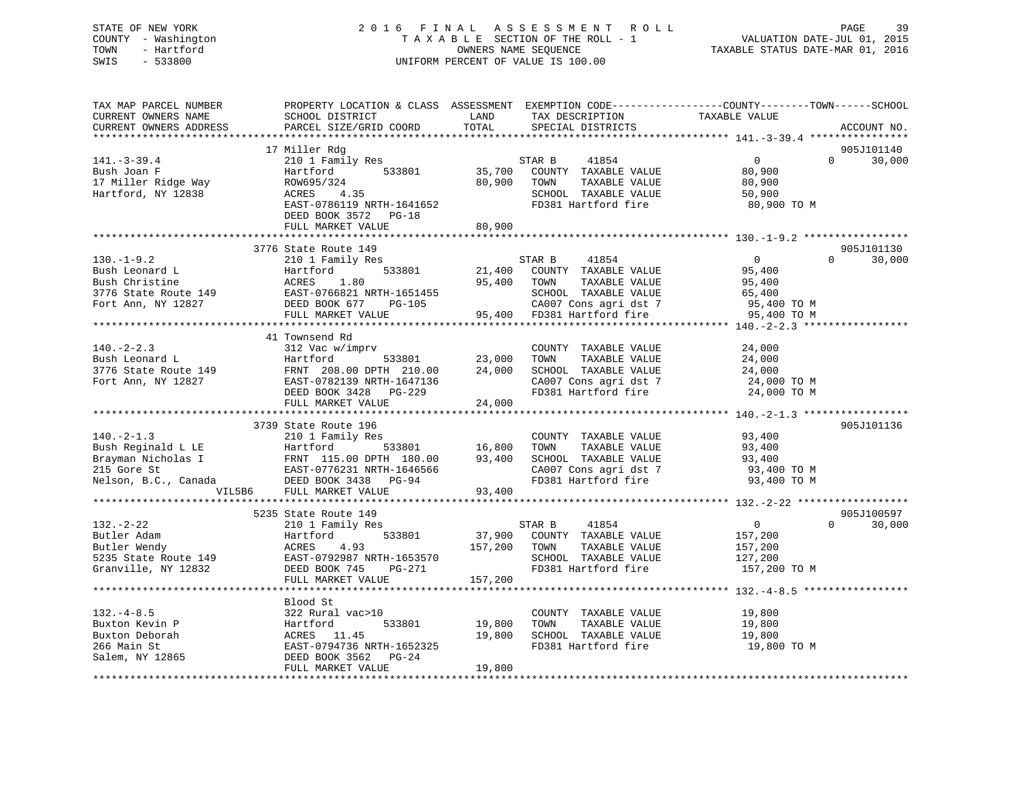### STATE OF NEW YORK 2 0 1 6 F I N A L A S S E S S M E N T R O L L PAGE 39 COUNTY - Washington T A X A B L E SECTION OF THE ROLL - 1 VALUATION DATE-JUL 01, 2015 TOWN - Hartford OWNERS NAME SEQUENCE TAXABLE STATUS DATE-MAR 01, 2016 SWIS - 533800 UNIFORM PERCENT OF VALUE IS 100.00UNIFORM PERCENT OF VALUE IS 100.00

| TAX MAP PARCEL NUMBER<br>CURRENT OWNERS NAME<br>CURRENT OWNERS ADDRESS                                       | PROPERTY LOCATION & CLASS ASSESSMENT EXEMPTION CODE---------------COUNTY-------TOWN------SCHOOL<br>SCHOOL DISTRICT<br>PARCEL SIZE/GRID COORD                        | LAND<br>TOTAL              | TAX DESCRIPTION<br>SPECIAL DISTRICTS                                                                                                     | TAXABLE VALUE                                                              | ACCOUNT NO.                      |
|--------------------------------------------------------------------------------------------------------------|---------------------------------------------------------------------------------------------------------------------------------------------------------------------|----------------------------|------------------------------------------------------------------------------------------------------------------------------------------|----------------------------------------------------------------------------|----------------------------------|
| $141. - 3 - 39.4$<br>Bush Joan F<br>17 Miller Ridge Way<br>Hartford, NY 12838                                | 17 Miller Rdg<br>210 1 Family Res<br>Hartford<br>533801<br>ROW695/324<br>ACRES<br>4.35<br>EAST-0786119 NRTH-1641652<br>DEED BOOK 3572 PG-18<br>FULL MARKET VALUE    | 35,700<br>80,900<br>80,900 | STAR B<br>41854<br>COUNTY TAXABLE VALUE<br>TAXABLE VALUE<br>TOWN<br>SCHOOL TAXABLE VALUE<br>FD381 Hartford fire                          | $\overline{0}$<br>80,900<br>80,900<br>50,900<br>80,900 TO M                | 905J101140<br>$\Omega$<br>30,000 |
|                                                                                                              |                                                                                                                                                                     |                            |                                                                                                                                          |                                                                            |                                  |
| $130. - 1 - 9.2$<br>Bush Leonard L<br>Bush Christine<br>3776 State Route 149<br>Fort Ann, NY 12827           | 3776 State Route 149<br>210 1 Family Res<br>533801<br>Hartford<br>ACRES<br>1.80<br>EAST-0766821 NRTH-1651455<br>DEED BOOK 677<br>PG-105<br>FULL MARKET VALUE        | 21,400<br>95,400<br>95,400 | STAR B<br>41854<br>COUNTY TAXABLE VALUE<br>TOWN<br>TAXABLE VALUE<br>SCHOOL TAXABLE VALUE<br>CA007 Cons agri dst 7<br>FD381 Hartford fire | $\overline{0}$<br>95,400<br>95,400<br>65,400<br>95,400 TO M<br>95,400 TO M | 905J101130<br>$\Omega$<br>30,000 |
|                                                                                                              | 41 Townsend Rd                                                                                                                                                      |                            |                                                                                                                                          |                                                                            |                                  |
| $140. - 2 - 2.3$<br>Bush Leonard L<br>3776 State Route 149<br>Fort Ann, NY 12827                             | 312 Vac w/imprv<br>Hartford<br>533801<br>FRNT 208.00 DPTH 210.00<br>EAST-0782139 NRTH-1647136<br>DEED BOOK 3428<br>PG-229                                           | 23,000<br>24,000           | COUNTY TAXABLE VALUE<br>TOWN<br>TAXABLE VALUE<br>SCHOOL TAXABLE VALUE<br>CA007 Cons agri dst 7<br>FD381 Hartford fire                    | 24,000<br>24,000<br>24,000<br>24,000 TO M<br>24,000 TO M                   |                                  |
|                                                                                                              | FULL MARKET VALUE                                                                                                                                                   | 24,000                     |                                                                                                                                          |                                                                            |                                  |
|                                                                                                              |                                                                                                                                                                     |                            |                                                                                                                                          |                                                                            |                                  |
| $140. -2 - 1.3$<br>Bush Reginald L LE<br>Brayman Nicholas I<br>215 Gore St<br>Nelson, B.C., Canada<br>VIL5B6 | 3739 State Route 196<br>210 1 Family Res<br>533801<br>Hartford<br>FRNT 115.00 DPTH 180.00<br>EAST-0776231 NRTH-1646566<br>DEED BOOK 3438 PG-94<br>FULL MARKET VALUE | 16,800<br>93,400<br>93,400 | COUNTY TAXABLE VALUE<br>TAXABLE VALUE<br>TOWN<br>SCHOOL TAXABLE VALUE<br>CA007 Cons agri dst 7<br>FD381 Hartford fire                    | 93,400<br>93,400<br>93,400<br>93,400 TO M<br>93,400 TO M                   | 905J101136                       |
|                                                                                                              |                                                                                                                                                                     |                            |                                                                                                                                          |                                                                            |                                  |
|                                                                                                              | 5235 State Route 149                                                                                                                                                |                            |                                                                                                                                          |                                                                            | 905J100597                       |
| $132 - 2 - 22$<br>Butler Adam<br>Butler Wendy<br>5235 State Route 149<br>Granville, NY 12832                 | 210 1 Family Res<br>533801<br>Hartford<br>ACRES<br>4.93<br>EAST-0792987 NRTH-1653570<br>DEED BOOK 745<br>$PG-271$                                                   | 37,900<br>157,200          | 41854<br>STAR B<br>COUNTY TAXABLE VALUE<br>TOWN<br>TAXABLE VALUE<br>SCHOOL TAXABLE VALUE<br>FD381 Hartford fire                          | $\overline{0}$<br>157,200<br>157,200<br>127,200<br>157,200 TO M            | $\Omega$<br>30,000               |
|                                                                                                              | FULL MARKET VALUE                                                                                                                                                   | 157,200                    |                                                                                                                                          |                                                                            |                                  |
|                                                                                                              | Blood St                                                                                                                                                            |                            |                                                                                                                                          |                                                                            |                                  |
| $132 - 4 - 8.5$<br>Buxton Kevin P<br>Buxton Deborah<br>266 Main St<br>Salem, NY 12865                        | 322 Rural vac>10<br>533801<br>Hartford<br>ACRES 11.45<br>EAST-0794736 NRTH-1652325<br>DEED BOOK 3562<br>$PG-24$<br>FULL MARKET VALUE                                | 19,800<br>19,800<br>19,800 | COUNTY TAXABLE VALUE<br>TOWN<br>TAXABLE VALUE<br>SCHOOL TAXABLE VALUE<br>FD381 Hartford fire                                             | 19,800<br>19,800<br>19,800<br>19,800 TO M                                  |                                  |
|                                                                                                              |                                                                                                                                                                     |                            |                                                                                                                                          |                                                                            |                                  |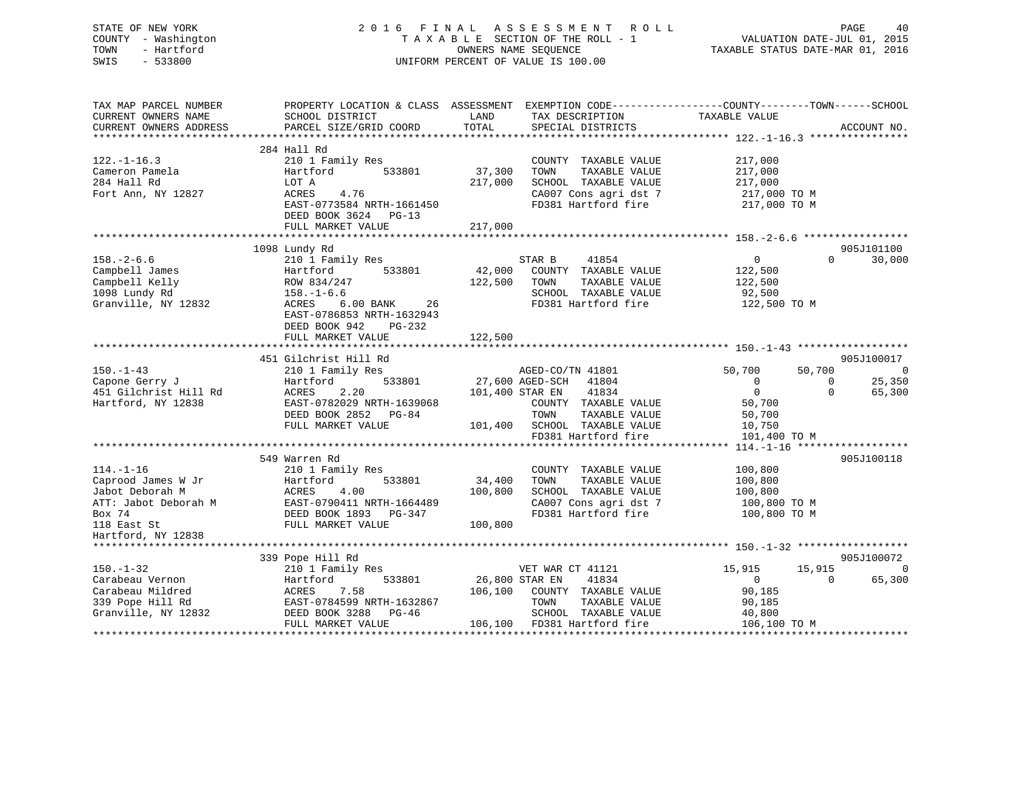### STATE OF NEW YORK 2 0 1 6 F I N A L A S S E S S M E N T R O L L PAGE 40 COUNTY - Washington T A X A B L E SECTION OF THE ROLL - 1 VALUATION DATE-JUL 01, 2015 TOWN - Hartford **TAXABLE STATUS DATE-MAR 01, 2016** OWNERS NAME SEQUENCE TAXABLE STATUS DATE-MAR 01, 2016 SWIS - 533800 UNIFORM PERCENT OF VALUE IS 100.00

| TAX MAP PARCEL NUMBER<br>CURRENT OWNERS NAME | SCHOOL DISTRICT           | PROPERTY LOCATION & CLASS ASSESSMENT EXEMPTION CODE----------------COUNTY-------TOWN------SCHOOL<br>LAND<br>TAX DESCRIPTION | TAXABLE VALUE                            |
|----------------------------------------------|---------------------------|-----------------------------------------------------------------------------------------------------------------------------|------------------------------------------|
| CURRENT OWNERS ADDRESS                       | PARCEL SIZE/GRID COORD    | TOTAL<br>SPECIAL DISTRICTS                                                                                                  | ACCOUNT NO.                              |
|                                              |                           |                                                                                                                             |                                          |
|                                              | 284 Hall Rd               |                                                                                                                             |                                          |
| $122. - 1 - 16.3$                            | 210 1 Family Res          | COUNTY TAXABLE VALUE                                                                                                        | 217,000                                  |
| Cameron Pamela                               | 533801<br>Hartford        | 37,300<br>TOWN<br>TAXABLE VALUE                                                                                             | 217,000                                  |
| 284 Hall Rd                                  | LOT A                     | SCHOOL TAXABLE VALUE<br>217,000                                                                                             | 217,000                                  |
| Fort Ann, NY 12827                           | ACRES<br>4.76             | CA007 Cons agri dst 7                                                                                                       | 217,000 TO M                             |
|                                              | EAST-0773584 NRTH-1661450 | FD381 Hartford fire                                                                                                         | 217,000 TO M                             |
|                                              | DEED BOOK 3624 PG-13      |                                                                                                                             |                                          |
|                                              | FULL MARKET VALUE         | 217,000                                                                                                                     |                                          |
|                                              |                           |                                                                                                                             |                                          |
|                                              | 1098 Lundy Rd             |                                                                                                                             | 905J101100                               |
| $158. - 2 - 6.6$                             | 210 1 Family Res          | STAR B<br>41854                                                                                                             | $\overline{0}$<br>$\Omega$<br>30,000     |
| Campbell James                               | 533801<br>Hartford        | 42,000 COUNTY TAXABLE VALUE                                                                                                 | 122,500                                  |
| Campbell Kelly                               | ROW 834/247               | 122,500 TOWN<br>TAXABLE VALUE                                                                                               | 122,500                                  |
| 1098 Lundy Rd                                | $158. - 1 - 6.6$          | SCHOOL TAXABLE VALUE                                                                                                        | 92,500                                   |
| Granville, NY 12832                          | ACRES<br>6.00 BANK 26     | FD381 Hartford fire                                                                                                         | 122,500 TO M                             |
|                                              | EAST-0786853 NRTH-1632943 |                                                                                                                             |                                          |
|                                              | DEED BOOK 942<br>PG-232   |                                                                                                                             |                                          |
|                                              | FULL MARKET VALUE         | 122,500                                                                                                                     |                                          |
|                                              |                           |                                                                                                                             |                                          |
|                                              | 451 Gilchrist Hill Rd     |                                                                                                                             | 905J100017                               |
| $150. - 1 - 43$                              | 210 1 Family Res          | AGED-CO/TN 41801                                                                                                            | 50,700<br>50,700<br>$\overline{0}$       |
| Capone Gerry J                               | 533801<br>Hartford        | 27,600 AGED-SCH<br>41804                                                                                                    | 25,350<br>$\overline{0}$<br>$\mathbf{0}$ |
| 451 Gilchrist Hill Rd                        | ACRES<br>2.20             | 41834<br>101,400 STAR EN                                                                                                    | $\overline{0}$<br>$\Omega$<br>65,300     |
| Hartford, NY 12838                           | EAST-0782029 NRTH-1639068 | COUNTY TAXABLE VALUE                                                                                                        | 50,700                                   |
|                                              | DEED BOOK 2852 PG-84      | TOWN<br>TAXABLE VALUE                                                                                                       | 50,700                                   |
|                                              | FULL MARKET VALUE         | 101,400 SCHOOL TAXABLE VALUE                                                                                                | 10,750                                   |
|                                              |                           | FD381 Hartford fire                                                                                                         | 101,400 TO M                             |
|                                              |                           |                                                                                                                             |                                          |
|                                              | 549 Warren Rd             |                                                                                                                             | 905J100118                               |
| $114. - 1 - 16$                              | 210 1 Family Res          | COUNTY TAXABLE VALUE                                                                                                        | 100,800                                  |
| Caprood James W Jr                           | Hartford<br>533801        | 34,400<br>TAXABLE VALUE<br>TOWN                                                                                             | 100,800                                  |
| Jabot Deborah M                              | ACRES<br>4.00             | 100,800<br>SCHOOL TAXABLE VALUE                                                                                             | 100,800                                  |
| ATT: Jabot Deborah M                         | EAST-0790411 NRTH-1664489 | CA007 Cons agri dst 7                                                                                                       | 100,800 TO M                             |
| Box 74                                       | DEED BOOK 1893 PG-347     | FD381 Hartford fire                                                                                                         | 100,800 TO M                             |
| 118 East St                                  | FULL MARKET VALUE         | 100,800                                                                                                                     |                                          |
| Hartford, NY 12838                           |                           |                                                                                                                             |                                          |
|                                              |                           |                                                                                                                             |                                          |
|                                              | 339 Pope Hill Rd          |                                                                                                                             | 905J100072                               |
| $150. - 1 - 32$                              | 210 1 Family Res          | VET WAR CT 41121                                                                                                            | 15,915<br>15,915<br>0                    |
| Carabeau Vernon                              | 533801<br>Hartford        | 26,800 STAR EN<br>41834                                                                                                     | $\overline{0}$<br>$\mathbf{0}$<br>65,300 |
| Carabeau Mildred                             | 7.58<br>ACRES             | 106,100<br>COUNTY TAXABLE VALUE                                                                                             | 90,185                                   |
| 339 Pope Hill Rd                             | EAST-0784599 NRTH-1632867 | TOWN<br>TAXABLE VALUE                                                                                                       | 90,185                                   |
| Granville, NY 12832                          | DEED BOOK 3288 PG-46      | SCHOOL TAXABLE VALUE                                                                                                        | 40,800                                   |
|                                              | FULL MARKET VALUE         | 106,100 FD381 Hartford fire                                                                                                 | 106,100 TO M                             |
|                                              |                           |                                                                                                                             |                                          |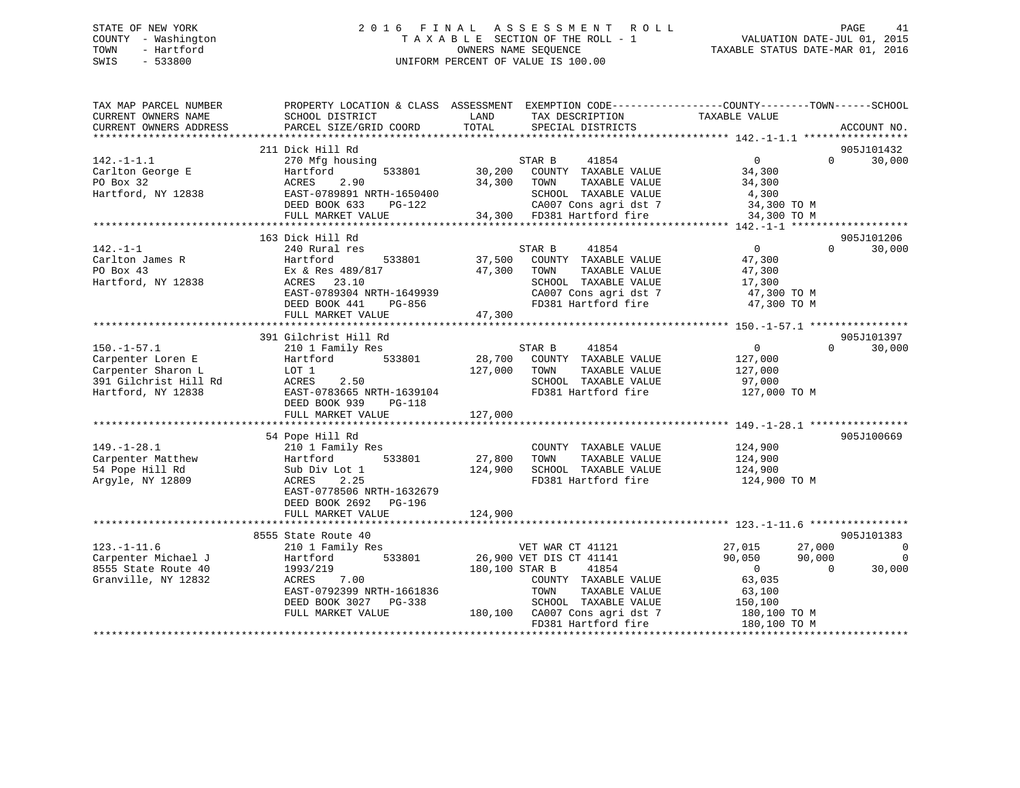### STATE OF NEW YORK 2 0 1 6 F I N A L A S S E S S M E N T R O L L PAGE 41 COUNTY - Washington T A X A B L E SECTION OF THE ROLL - 1 VALUATION DATE-JUL 01, 2015 TOWN - Hartford **TAXABLE STATUS DATE-MAR 01, 2016** OWNERS NAME SEQUENCE TAXABLE STATUS DATE-MAR 01, 2016 SWIS - 533800 UNIFORM PERCENT OF VALUE IS 100.00

| TAX MAP PARCEL NUMBER<br>CURRENT OWNERS NAME<br>CURRENT OWNERS ADDRESS | SCHOOL DISTRICT<br>PARCEL SIZE/GRID COORD | LAND<br>TOTAL  | TAX DESCRIPTION<br>SPECIAL DISTRICTS                | PROPERTY LOCATION & CLASS ASSESSMENT EXEMPTION CODE----------------COUNTY-------TOWN------SCHOOL<br>TAXABLE VALUE | ACCOUNT NO.    |
|------------------------------------------------------------------------|-------------------------------------------|----------------|-----------------------------------------------------|-------------------------------------------------------------------------------------------------------------------|----------------|
|                                                                        |                                           |                |                                                     |                                                                                                                   |                |
|                                                                        | 211 Dick Hill Rd                          |                |                                                     |                                                                                                                   | 905J101432     |
| $142. - 1 - 1.1$                                                       | 270 Mfg housing                           |                | 41854<br>STAR B                                     | $\overline{0}$<br>$\Omega$                                                                                        | 30,000         |
| Carlton George E                                                       | Hartford<br>533801                        |                | 30,200 COUNTY TAXABLE VALUE                         | 34,300                                                                                                            |                |
| PO Box 32                                                              | 2.90<br>ACRES                             | 34,300 TOWN    | TAXABLE VALUE                                       | 34,300                                                                                                            |                |
| Hartford, NY 12838                                                     | EAST-0789891 NRTH-1650400                 |                | SCHOOL TAXABLE VALUE                                | 4,300                                                                                                             |                |
|                                                                        | DEED BOOK 633<br>PG-122                   |                | CA007 Cons agri dst 7<br>34,300 FD381 Hartford fire | 34,300 TO M                                                                                                       |                |
|                                                                        | FULL MARKET VALUE                         |                |                                                     | 34,300 TO M                                                                                                       |                |
|                                                                        |                                           |                |                                                     |                                                                                                                   |                |
|                                                                        | 163 Dick Hill Rd                          |                |                                                     |                                                                                                                   | 905J101206     |
| $142. - 1 - 1$                                                         | 240 Rural res                             |                | STAR B<br>41854                                     | $\overline{0}$<br>$\Omega$                                                                                        | 30,000         |
| Carlton James R                                                        | Hartford<br>533801                        | 37,500         | COUNTY TAXABLE VALUE                                | 47,300                                                                                                            |                |
| PO Box 43                                                              | Ex & Res 489/817                          | 47,300         | TAXABLE VALUE<br>TOWN                               | 47,300                                                                                                            |                |
| Hartford, NY 12838                                                     | ACRES 23.10                               |                | SCHOOL TAXABLE VALUE                                | 17,300                                                                                                            |                |
|                                                                        | EAST-0789304 NRTH-1649939                 |                | CA007 Cons agri dst 7                               | 47,300 TO M                                                                                                       |                |
|                                                                        | DEED BOOK 441<br>PG-856                   |                | FD381 Hartford fire                                 | 47,300 TO M                                                                                                       |                |
|                                                                        | FULL MARKET VALUE                         | 47,300         |                                                     |                                                                                                                   |                |
|                                                                        |                                           |                |                                                     |                                                                                                                   |                |
|                                                                        | 391 Gilchrist Hill Rd                     |                |                                                     |                                                                                                                   | 905J101397     |
| $150. - 1 - 57.1$                                                      | 210 1 Family Res                          |                | STAR B<br>41854                                     | $\sim$ 0<br>$\Omega$                                                                                              | 30,000         |
| Carpenter Loren E                                                      | 533801<br>Hartford                        |                | 28,700 COUNTY TAXABLE VALUE                         | 127,000                                                                                                           |                |
| Carpenter Sharon L                                                     | LOT 1                                     | 127,000        | TAXABLE VALUE<br>TOWN                               | 127,000                                                                                                           |                |
| 391 Gilchrist Hill Rd                                                  | ACRES<br>2.50                             |                | SCHOOL TAXABLE VALUE                                | 97,000                                                                                                            |                |
| Hartford, NY 12838                                                     | EAST-0783665 NRTH-1639104                 |                | FD381 Hartford fire                                 | 127,000 TO M                                                                                                      |                |
|                                                                        | DEED BOOK 939<br>$PG-118$                 |                |                                                     |                                                                                                                   |                |
|                                                                        | FULL MARKET VALUE                         | 127,000        |                                                     |                                                                                                                   |                |
|                                                                        | 54 Pope Hill Rd                           |                |                                                     |                                                                                                                   | 905J100669     |
| $149. - 1 - 28.1$                                                      | 210 1 Family Res                          |                | COUNTY TAXABLE VALUE 124,900                        |                                                                                                                   |                |
| Carpenter Matthew                                                      | Hartford 533801                           | 27,800         | TOWN<br>TAXABLE VALUE                               | 124,900                                                                                                           |                |
| 54 Pope Hill Rd                                                        | Sub Div Lot 1                             | 124,900        | SCHOOL TAXABLE VALUE                                | 124,900                                                                                                           |                |
| Argyle, NY 12809                                                       | ACRES<br>2.25                             |                | FD381 Hartford fire                                 | 124,900 TO M                                                                                                      |                |
|                                                                        | EAST-0778506 NRTH-1632679                 |                |                                                     |                                                                                                                   |                |
|                                                                        | DEED BOOK 2692 PG-196                     |                |                                                     |                                                                                                                   |                |
|                                                                        | FULL MARKET VALUE                         | 124,900        |                                                     |                                                                                                                   |                |
|                                                                        |                                           |                |                                                     |                                                                                                                   |                |
|                                                                        | 8555 State Route 40                       |                |                                                     |                                                                                                                   | 905J101383     |
| $123. - 1 - 11.6$                                                      | 210 1 Family Res                          |                |                                                     | 27,015<br>27,000                                                                                                  | $\overline{0}$ |
| Carpenter Michael J                                                    | 533801<br>Hartford                        |                | VET WAR CT 41121<br>26,900 VET DIS CT 41141         | 90,050<br>90,000                                                                                                  | $\overline{0}$ |
| 8555 State Route 40                                                    | 1993/219                                  | 180,100 STAR B | 41854                                               | $\overline{0}$<br>$\Omega$                                                                                        | 30,000         |
| Granville, NY 12832                                                    | ACRES 7.00                                |                | COUNTY TAXABLE VALUE                                | 63,035                                                                                                            |                |
|                                                                        | EAST-0792399 NRTH-1661836                 |                | TOWN<br>TAXABLE VALUE                               | 63,100                                                                                                            |                |
|                                                                        | DEED BOOK 3027 PG-338                     |                | SCHOOL TAXABLE VALUE                                | 150,100                                                                                                           |                |
|                                                                        | FULL MARKET VALUE                         |                | 180,100 CA007 Cons agri dst 7                       | 180,100 TO M                                                                                                      |                |
|                                                                        |                                           |                | FD381 Hartford fire                                 | 180,100 TO M                                                                                                      |                |
|                                                                        |                                           |                |                                                     |                                                                                                                   |                |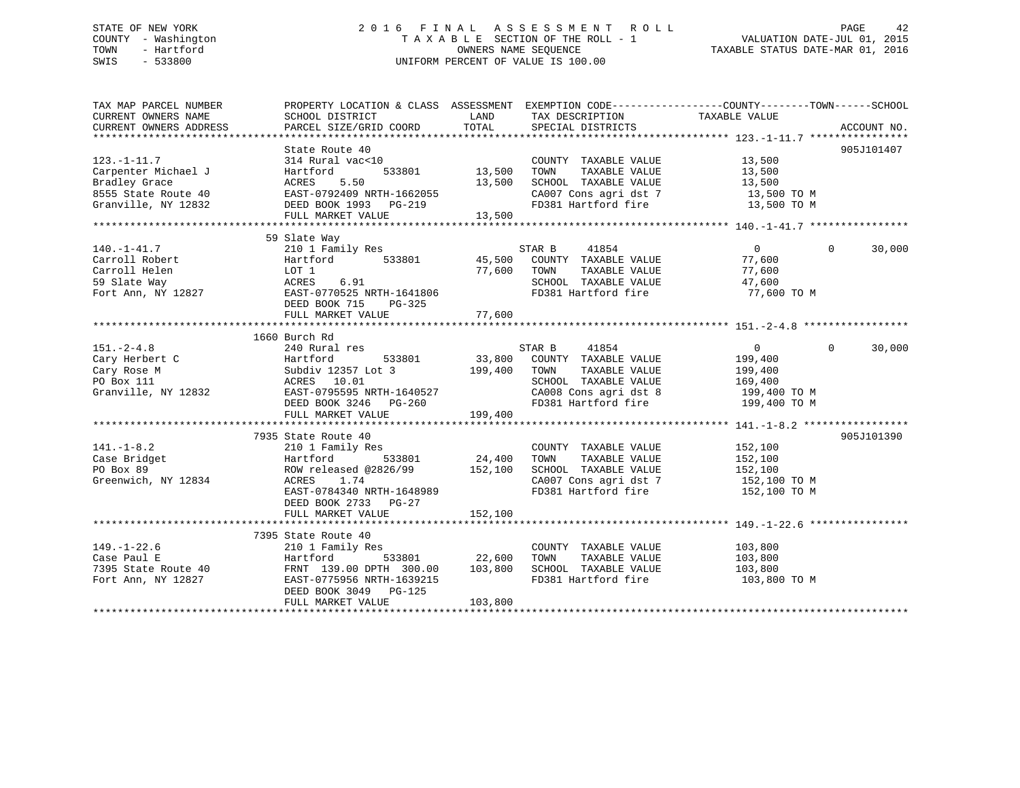### STATE OF NEW YORK 2 0 1 6 F I N A L A S S E S S M E N T R O L L PAGE 42 COUNTY - Washington T A X A B L E SECTION OF THE ROLL - 1 VALUATION DATE-JUL 01, 2015 TOWN - Hartford **TAXABLE STATUS DATE-MAR 01, 2016** OWNERS NAME SEQUENCE TAXABLE STATUS DATE-MAR 01, 2016 SWIS - 533800 UNIFORM PERCENT OF VALUE IS 100.00

| TAX MAP PARCEL NUMBER                       |                                        |                                                                                                                                                                                                                                   | PROPERTY LOCATION & CLASS ASSESSMENT EXEMPTION CODE---------------COUNTY-------TOWN------SCHOOL                                                                                                                                        |
|---------------------------------------------|----------------------------------------|-----------------------------------------------------------------------------------------------------------------------------------------------------------------------------------------------------------------------------------|----------------------------------------------------------------------------------------------------------------------------------------------------------------------------------------------------------------------------------------|
| CURRENT OWNERS NAME                         | SCHOOL DISTRICT                        | TAX DESCRIPTION<br>LAND                                                                                                                                                                                                           | TAXABLE VALUE                                                                                                                                                                                                                          |
| CURRENT OWNERS ADDRESS                      | PARCEL SIZE/GRID COORD                 | TOTAL<br>SPECIAL DISTRICTS                                                                                                                                                                                                        | ACCOUNT NO.                                                                                                                                                                                                                            |
|                                             |                                        |                                                                                                                                                                                                                                   |                                                                                                                                                                                                                                        |
|                                             | State Route 40<br>$314$ Rural $vac<10$ |                                                                                                                                                                                                                                   | 905J101407                                                                                                                                                                                                                             |
| $123. -1 - 11.7$                            |                                        | COUNTY TAXABLE VALUE 13,500                                                                                                                                                                                                       |                                                                                                                                                                                                                                        |
|                                             |                                        |                                                                                                                                                                                                                                   |                                                                                                                                                                                                                                        |
|                                             |                                        |                                                                                                                                                                                                                                   |                                                                                                                                                                                                                                        |
|                                             |                                        |                                                                                                                                                                                                                                   |                                                                                                                                                                                                                                        |
|                                             |                                        |                                                                                                                                                                                                                                   |                                                                                                                                                                                                                                        |
|                                             |                                        |                                                                                                                                                                                                                                   | Carpenter Michael J<br>Carpenter Michael J<br>Bartford 533801 13,500 TOMN TAXABLE VALUE 13,500<br>Bradley Grace ACRES 5.50 13,500 SCHOOL TAXABLE VALUE 13,500 TOM<br>8555 State Route 40 EAST-0792409 NRTH-1662055 CA007 Cons agri dst |
|                                             |                                        |                                                                                                                                                                                                                                   |                                                                                                                                                                                                                                        |
|                                             | 59 Slate Way                           |                                                                                                                                                                                                                                   |                                                                                                                                                                                                                                        |
| $140. - 1 - 41.7$                           | 210 1 Family Res                       | STAR B<br>41854                                                                                                                                                                                                                   | $\overline{0}$<br>30,000<br>$\Omega$                                                                                                                                                                                                   |
| Carroll Robert                              |                                        |                                                                                                                                                                                                                                   | 77,600                                                                                                                                                                                                                                 |
| Carroll Helen                               |                                        |                                                                                                                                                                                                                                   | 77,600                                                                                                                                                                                                                                 |
| 59 Slate Way                                |                                        | SCHOOL TAXABLE VALUE                                                                                                                                                                                                              | 47,600                                                                                                                                                                                                                                 |
| Fort Ann, NY 12827                          |                                        |                                                                                                                                                                                                                                   | 77,600 TO M                                                                                                                                                                                                                            |
|                                             | DEED BOOK 715 PG-325                   | Example 1 Amily 1005<br>Hartford 533801 45,500 COUNTY TAXABLE VALUE<br>LOT 1 77,600 TOWN TAXABLE VALUE<br>RCHOOL TAXABLE VALUE<br>EAST-0770525 NRTH-1641806 FD381 Hartford fire<br>DEED BOOK 715 PG-325                           |                                                                                                                                                                                                                                        |
|                                             |                                        |                                                                                                                                                                                                                                   |                                                                                                                                                                                                                                        |
|                                             |                                        |                                                                                                                                                                                                                                   |                                                                                                                                                                                                                                        |
|                                             | 1660 Burch Rd                          |                                                                                                                                                                                                                                   |                                                                                                                                                                                                                                        |
| $151. - 2 - 4.8$                            | 240 Rural res                          | STAR B<br>41854                                                                                                                                                                                                                   | $\overline{0}$<br>$\Omega$<br>30,000                                                                                                                                                                                                   |
| Tory Herbert C<br>Cary Rose M<br>PO Box 111 | Hartford                               | $533801$ 33,800 COUNTY TAXABLE VALUE 199,400                                                                                                                                                                                      |                                                                                                                                                                                                                                        |
|                                             | Subdiv 12357 Lot 3 199,400 TOWN        |                                                                                                                                                                                                                                   |                                                                                                                                                                                                                                        |
|                                             | ACRES 10.01                            | TOWN      TAXABLE  VALUE<br>SCHOOL   TAXABLE  VALUE                                                                                                                                                                               | 199,400<br>169,400                                                                                                                                                                                                                     |
| Granville, NY 12832                         |                                        |                                                                                                                                                                                                                                   |                                                                                                                                                                                                                                        |
|                                             |                                        | EAST-0795595 NRTH-1640527 (20008 Consequently state of the state of the state of the state of the state of the<br>DEED BOOK 3246 PG-260 (2008 Consequently FD381 Hartford fire the state of the state of the state of the state o |                                                                                                                                                                                                                                        |
|                                             | FULL MARKET VALUE                      | 199,400                                                                                                                                                                                                                           |                                                                                                                                                                                                                                        |
|                                             |                                        |                                                                                                                                                                                                                                   |                                                                                                                                                                                                                                        |
|                                             |                                        |                                                                                                                                                                                                                                   | 905J101390                                                                                                                                                                                                                             |
| $141. - 1 - 8.2$                            |                                        | COUNTY TAXABLE VALUE 152,100                                                                                                                                                                                                      |                                                                                                                                                                                                                                        |
| Case Bridget                                |                                        |                                                                                                                                                                                                                                   | 152,100                                                                                                                                                                                                                                |
| PO Box 89                                   |                                        | ROW released @2826/99 152,100 SCHOOL TAXABLE VALUE 152,100                                                                                                                                                                        |                                                                                                                                                                                                                                        |
| Greenwich, NY 12834                         | ACRES 1.74                             |                                                                                                                                                                                                                                   |                                                                                                                                                                                                                                        |
|                                             | EAST-0784340 NRTH-1648989              | CA007 Cons agri dst 7<br>FD381 Hartford fire                                                                                                                                                                                      | 152,100 TO M<br>152,100 TO M                                                                                                                                                                                                           |
|                                             |                                        |                                                                                                                                                                                                                                   |                                                                                                                                                                                                                                        |
|                                             | DEED BOOK 2733 PG-27                   | 152,100                                                                                                                                                                                                                           |                                                                                                                                                                                                                                        |
|                                             | FULL MARKET VALUE                      |                                                                                                                                                                                                                                   |                                                                                                                                                                                                                                        |
|                                             | 7395 State Route 40                    |                                                                                                                                                                                                                                   |                                                                                                                                                                                                                                        |
|                                             |                                        |                                                                                                                                                                                                                                   |                                                                                                                                                                                                                                        |
| $149. - 1 - 22.6$                           | 210 1 Family Res                       | COUNTY TAXABLE VALUE 103,800                                                                                                                                                                                                      |                                                                                                                                                                                                                                        |
|                                             |                                        |                                                                                                                                                                                                                                   |                                                                                                                                                                                                                                        |
|                                             |                                        |                                                                                                                                                                                                                                   |                                                                                                                                                                                                                                        |
| Fort Ann, NY 12827                          | EAST-0775956 NRTH-1639215              |                                                                                                                                                                                                                                   | FD381 Hartford fire 103,800 TO M                                                                                                                                                                                                       |
|                                             | DEED BOOK 3049 PG-125                  |                                                                                                                                                                                                                                   |                                                                                                                                                                                                                                        |
|                                             | FULL MARKET VALUE                      | 103,800                                                                                                                                                                                                                           |                                                                                                                                                                                                                                        |
|                                             |                                        |                                                                                                                                                                                                                                   |                                                                                                                                                                                                                                        |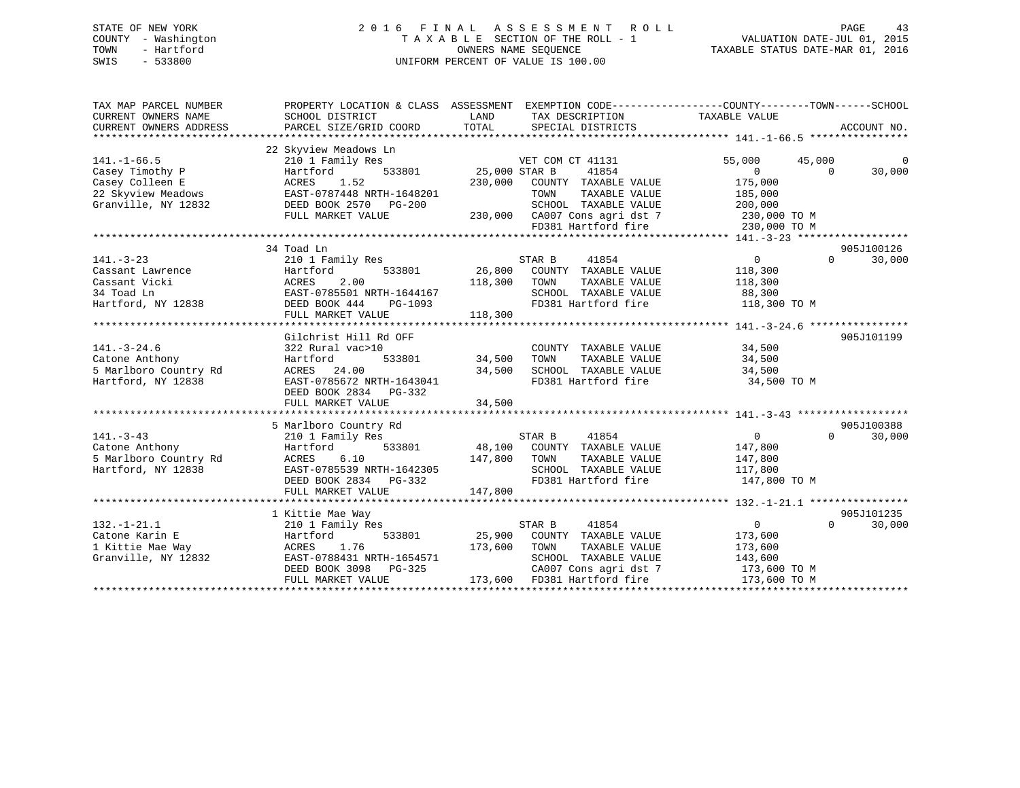### STATE OF NEW YORK 2 0 1 6 F I N A L A S S E S S M E N T R O L L PAGE 43 COUNTY - Washington T A X A B L E SECTION OF THE ROLL - 1 VALUATION DATE-JUL 01, 2015 TOWN - Hartford OWNERS NAME SEQUENCE TAXABLE STATUS DATE-MAR 01, 2016 SWIS - 533800 UNIFORM PERCENT OF VALUE IS 100.00

| TAX MAP PARCEL NUMBER<br>CURRENT OWNERS NAME<br>CURRENT OWNERS ADDRESS                               | SCHOOL DISTRICT<br>PARCEL SIZE/GRID COORD                                                                                                                   | LAND<br>TOTAL<br>SPECIAL DISTRICTS                                                                                                                                    | PROPERTY LOCATION & CLASS ASSESSMENT EXEMPTION CODE----------------COUNTY-------TOWN-----SCHOOL<br>TAX DESCRIPTION TAXABLE VALUE<br>ACCOUNT NO. |
|------------------------------------------------------------------------------------------------------|-------------------------------------------------------------------------------------------------------------------------------------------------------------|-----------------------------------------------------------------------------------------------------------------------------------------------------------------------|-------------------------------------------------------------------------------------------------------------------------------------------------|
| $141. - 1 - 66.5$<br>Casey Timothy P<br>Casey Colleen E<br>22 Skyview Meadows<br>Granville, NY 12832 | 22 Skyview Meadows Ln<br>210 1 Family Res<br>533801<br>Hartford<br>1.52<br>ACRES<br>EAST-0787448 NRTH-1648201<br>DEED BOOK 2570<br>PG-200                   | VET COM CT 41131<br>41854<br>25,000 STAR B<br>230,000<br>COUNTY TAXABLE VALUE<br>TOWN<br>TAXABLE VALUE<br>SCHOOL TAXABLE VALUE                                        | 55,000<br>45,000<br>$\Omega$<br>$\overline{0}$<br>$\Omega$<br>30,000<br>175,000<br>185,000<br>200,000                                           |
|                                                                                                      | FULL MARKET VALUE                                                                                                                                           | 230,000 CA007 Cons agri dst 7<br>FD381 Hartford fire                                                                                                                  | 230,000 TO M<br>230,000 TO M                                                                                                                    |
| $141. - 3 - 23$<br>Cassant Lawrence<br>Cassant Vicki<br>34 Toad Ln<br>Hartford, NY 12838             | 34 Toad Ln<br>210 1 Family Res<br>533801<br>Hartford<br>2.00<br>ACRES<br>EAST-0785501 NRTH-1644167<br>DEED BOOK 444<br>PG-1093<br>FULL MARKET VALUE         | STAR B<br>41854<br>26,800<br>COUNTY TAXABLE VALUE<br>118,300<br>TOWN<br>TAXABLE VALUE<br>SCHOOL TAXABLE VALUE<br>118,300                                              | 905J100126<br>$0 \qquad \qquad$<br>$\Omega$<br>30,000<br>118,300<br>118,300<br>88,300<br>FD381 Hartford fire<br>118,300 TO M                    |
| $141. - 3 - 24.6$<br>Catone Anthony<br>5 Marlboro Country Rd<br>Hartford, NY 12838                   | Gilchrist Hill Rd OFF<br>322 Rural vac>10<br>Hartford<br>533801<br>ACRES 24.00<br>EAST-0785672 NRTH-1643041<br>DEED BOOK 2834 PG-332<br>FULL MARKET VALUE   | COUNTY TAXABLE VALUE<br>34,500<br>TOWN<br>TAXABLE VALUE<br>34,500<br>SCHOOL TAXABLE VALUE<br>FD381 Hartford fire<br>34,500                                            | 905J101199<br>34,500<br>34,500<br>34,500<br>34,500 TO M                                                                                         |
| $141. - 3 - 43$<br>Catone Anthony<br>5 Marlboro Country Rd<br>Hartford, NY 12838                     | 5 Marlboro Country Rd<br>210 1 Family Res<br>533801<br>Hartford<br>6.10<br>ACRES<br>EAST-0785539 NRTH-1642305<br>DEED BOOK 2834 PG-332<br>FULL MARKET VALUE | STAR B<br>41854<br>48,100<br>COUNTY TAXABLE VALUE<br>147,800<br>TOWN<br>TAXABLE VALUE<br>SCHOOL TAXABLE VALUE<br>FD381 Hartford fire<br>147,800                       | 905J100388<br>$\overline{0}$<br>$\Omega$<br>30,000<br>147,800<br>147,800<br>117,800<br>147,800 TO M                                             |
| $132. - 1 - 21.1$<br>Catone Karin E<br>1 Kittie Mae Way<br>Granville, NY 12832                       | 1 Kittie Mae Way<br>210 1 Family Res<br>533801<br>Hartford<br>1.76<br>ACRES<br>EAST-0788431 NRTH-1654571<br>DEED BOOK 3098 PG-325<br>FULL MARKET VALUE      | 41854<br>STAR B<br>25,900<br>COUNTY TAXABLE VALUE<br>173,600<br>TOWN<br>TAXABLE VALUE<br>SCHOOL TAXABLE VALUE<br>CA007 Cons agri dst 7<br>173,600 FD381 Hartford fire | 905J101235<br>$\Omega$<br>$\overline{0}$<br>30,000<br>173,600<br>173,600<br>143,600<br>173,600 TO M<br>173,600 TO M                             |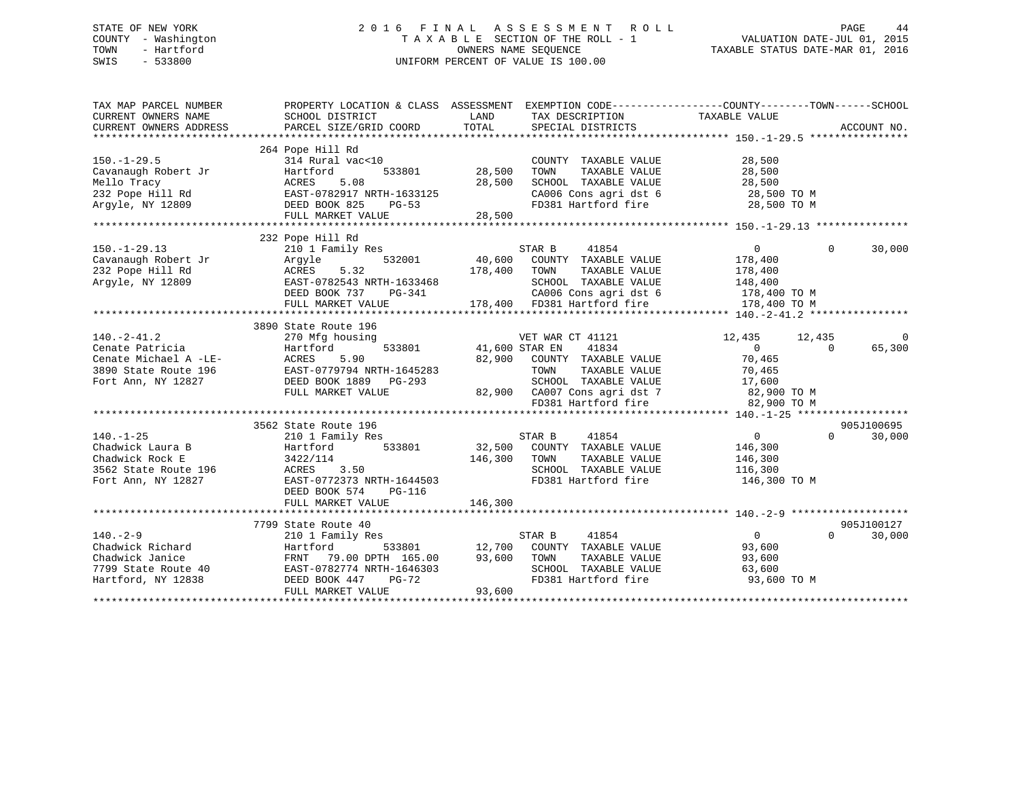### STATE OF NEW YORK 2 0 1 6 F I N A L A S S E S S M E N T R O L L PAGE 44 COUNTY - Washington T A X A B L E SECTION OF THE ROLL - 1 VALUATION DATE-JUL 01, 2015 TOWN - Hartford **TAXABLE STATUS DATE-MAR 01, 2016** OWNERS NAME SEQUENCE TAXABLE STATUS DATE-MAR 01, 2016 SWIS - 533800 UNIFORM PERCENT OF VALUE IS 100.00

| TAX MAP PARCEL NUMBER<br>CURRENT OWNERS NAME<br>CURRENT OWNERS ADDRESS                                     | PROPERTY LOCATION & CLASS ASSESSMENT EXEMPTION CODE---------------COUNTY-------TOWN------SCHOOL<br>SCHOOL DISTRICT<br>PARCEL SIZE/GRID COORD                            | LAND<br>TOTAL                   | TAX DESCRIPTION<br>SPECIAL DISTRICTS                                                                                                                      | TAXABLE VALUE                                                                                  | ACCOUNT NO.                      |
|------------------------------------------------------------------------------------------------------------|-------------------------------------------------------------------------------------------------------------------------------------------------------------------------|---------------------------------|-----------------------------------------------------------------------------------------------------------------------------------------------------------|------------------------------------------------------------------------------------------------|----------------------------------|
|                                                                                                            |                                                                                                                                                                         |                                 |                                                                                                                                                           |                                                                                                |                                  |
| $150. - 1 - 29.5$<br>Cavanaugh Robert Jr<br>Mello Tracy<br>232 Pope Hill Rd<br>Argyle, NY 12809            | 264 Pope Hill Rd<br>314 Rural vac<10<br>533801<br>Hartford<br>5.08<br>ACRES<br>EAST-0782917 NRTH-1633125<br>DEED BOOK 825<br>PG-53                                      | 28,500<br>28,500                | COUNTY TAXABLE VALUE<br>TOWN<br>TAXABLE VALUE<br>SCHOOL TAXABLE VALUE<br>CA006 Cons agri dst 6<br>FD381 Hartford fire                                     | 28,500<br>28,500<br>28,500<br>28,500 TO M<br>28,500 TO M                                       |                                  |
|                                                                                                            | FULL MARKET VALUE                                                                                                                                                       | 28,500                          |                                                                                                                                                           |                                                                                                |                                  |
| $150. - 1 - 29.13$<br>Cavanaugh Robert Jr<br>232 Pope Hill Rd                                              | 232 Pope Hill Rd<br>210 1 Family Res<br>532001<br>Argyle<br>5.32<br>ACRES                                                                                               | 40,600<br>178,400               | STAR B<br>41854<br>COUNTY TAXABLE VALUE<br>TAXABLE VALUE<br>TOWN                                                                                          | $\overline{0}$<br>178,400<br>178,400                                                           | $\Omega$<br>30,000               |
| Argyle, NY 12809                                                                                           | EAST-0782543 NRTH-1633468<br>DEED BOOK 737 PG-341<br>FULL MARKET VALUE                                                                                                  |                                 | SCHOOL TAXABLE VALUE<br>CA006 Cons agri dst 6<br>CAUUb Cons agri dst 6<br>178,400 FD381 Hartford fire                                                     | 148,400<br>178,400 TO M<br>178,400 TO M                                                        |                                  |
|                                                                                                            | 3890 State Route 196                                                                                                                                                    |                                 |                                                                                                                                                           |                                                                                                |                                  |
| $140. -2 - 41.2$<br>Cenate Patricia<br>Cenate Michael A -LE-<br>3890 State Route 196<br>Fort Ann, NY 12827 | 270 Mfg housing<br>Hartford<br>ACRES<br>5.90<br>EAST-0779794 NRTH-1645283<br>DEED BOOK 1889 PG-293<br>FULL MARKET VALUE                                                 | 533801 41,600 STAR EN<br>82,900 | VET WAR CT 41121<br>41834<br>COUNTY TAXABLE VALUE<br>TOWN<br>TAXABLE VALUE<br>SCHOOL TAXABLE VALUE<br>82,900 CA007 Cons agri dst 7<br>FD381 Hartford fire | 12,435<br>12,435<br>$\overline{0}$<br>70,465<br>70,465<br>17,600<br>82,900 TO M<br>82,900 TO M | 0<br>65,300<br>$\Omega$          |
|                                                                                                            |                                                                                                                                                                         |                                 |                                                                                                                                                           |                                                                                                |                                  |
| $140. - 1 - 25$<br>Chadwick Laura B<br>Chadwick Rock E<br>3562 State Route 196<br>Fort Ann, NY 12827       | 3562 State Route 196<br>210 1 Family Res<br>533801<br>Hartford<br>3422/114<br>ACRES 3.50<br>EAST-0772373 NRTH-1644503<br>DEED BOOK 574<br>$PG-116$<br>FULL MARKET VALUE | 146,300<br>146,300              | STAR B<br>41854<br>32,500 COUNTY TAXABLE VALUE<br>TOWN<br>TAXABLE VALUE<br>SCHOOL TAXABLE VALUE<br>FD381 Hartford fire                                    | $\overline{0}$<br>146,300<br>146,300<br>116,300<br>146,300 TO M                                | 905J100695<br>$\Omega$<br>30,000 |
|                                                                                                            |                                                                                                                                                                         |                                 |                                                                                                                                                           |                                                                                                |                                  |
| $140. - 2 - 9$<br>Chadwick Richard<br>Chadwick Janice<br>7799 State Route 40<br>Hartford, NY 12838         | 7799 State Route 40<br>210 1 Family Res<br>Hartford<br>79.00 DPTH 165.00<br>FRNT<br>EAST-0782774 NRTH-1646303<br>DEED BOOK 447<br>$PG-72$<br>FULL MARKET VALUE          | 93,600<br>93,600                | STAR B<br>41854<br>533801 12,700 COUNTY TAXABLE VALUE<br>TOWN<br>TAXABLE VALUE<br>SCHOOL TAXABLE VALUE<br>FD381 Hartford fire                             | $\overline{0}$<br>93,600<br>93,600<br>63,600<br>93,600 TO M                                    | 905J100127<br>$\Omega$<br>30,000 |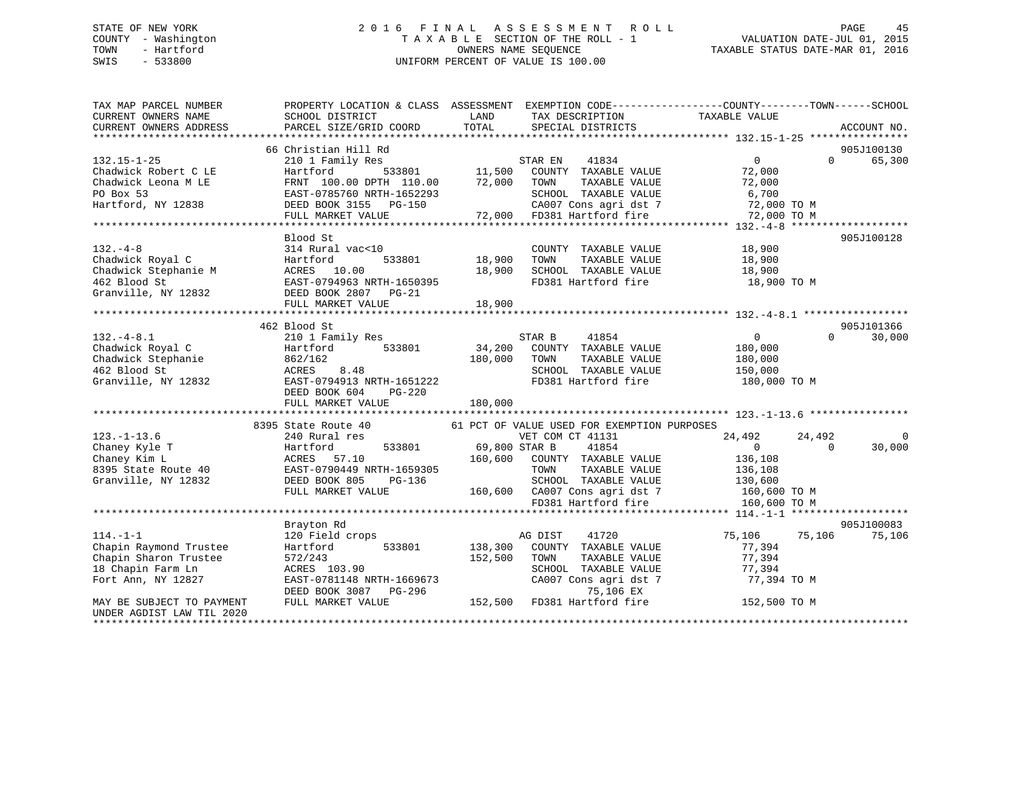# STATE OF NEW YORK 2 0 1 6 F I N A L A S S E S S M E N T R O L L PAGE 45COUNTY - Washington  $T A X A B L E$  SECTION OF THE ROLL - 1<br>TOWN - Hartford SWIS - 533800 UNIFORM PERCENT OF VALUE IS 100.00

TAXABLE STATUS DATE-MAR 01, 2016

| TAX MAP PARCEL NUMBER                                                                                                      | PROPERTY LOCATION & CLASS ASSESSMENT EXEMPTION CODE---------------COUNTY-------TOWN------SCHOOL                                                                                                                                                                                                                                                                                                                                             |              |                                                                                               |                |                    |
|----------------------------------------------------------------------------------------------------------------------------|---------------------------------------------------------------------------------------------------------------------------------------------------------------------------------------------------------------------------------------------------------------------------------------------------------------------------------------------------------------------------------------------------------------------------------------------|--------------|-----------------------------------------------------------------------------------------------|----------------|--------------------|
|                                                                                                                            |                                                                                                                                                                                                                                                                                                                                                                                                                                             |              |                                                                                               |                |                    |
|                                                                                                                            |                                                                                                                                                                                                                                                                                                                                                                                                                                             |              |                                                                                               |                |                    |
|                                                                                                                            |                                                                                                                                                                                                                                                                                                                                                                                                                                             |              |                                                                                               |                |                    |
|                                                                                                                            | 66 Christian Hill Rd                                                                                                                                                                                                                                                                                                                                                                                                                        |              |                                                                                               |                | 905J100130         |
|                                                                                                                            |                                                                                                                                                                                                                                                                                                                                                                                                                                             |              |                                                                                               |                | 65,300<br>$\Omega$ |
|                                                                                                                            |                                                                                                                                                                                                                                                                                                                                                                                                                                             |              |                                                                                               |                |                    |
|                                                                                                                            |                                                                                                                                                                                                                                                                                                                                                                                                                                             |              |                                                                                               |                |                    |
|                                                                                                                            |                                                                                                                                                                                                                                                                                                                                                                                                                                             |              |                                                                                               |                |                    |
|                                                                                                                            | $\begin{tabular}{lllllllllll} \textbf{132.15--1-25} & \textbf{66 Christian Hill Rd} & \textbf{STAR EN} & \textbf{41834} & \textbf{0} \\ \textbf{Chadwick Robert C LE} & \textbf{Hartford} & \textbf{533801} & \textbf{11,500} & \textbf{COUNTY} & \textbf{TAXABLE VALUE} & \textbf{72,000} \\ \textbf{Chadwick Leona M LE} & \textbf{FRNT 100.00 DPTH 110.00} & \textbf{72,000} & \textbf{TOWN} & \textbf{TAXABLE VALUE} & \textbf{72,00$   |              |                                                                                               |                |                    |
|                                                                                                                            |                                                                                                                                                                                                                                                                                                                                                                                                                                             |              |                                                                                               |                |                    |
|                                                                                                                            |                                                                                                                                                                                                                                                                                                                                                                                                                                             |              |                                                                                               |                |                    |
|                                                                                                                            | Blood St                                                                                                                                                                                                                                                                                                                                                                                                                                    |              |                                                                                               |                | 905J100128         |
|                                                                                                                            | 132.-4-8<br>Chadwick Royal C<br>Chadwick Royal C<br>Chadwick Stephanie M<br>462 Blood St<br>Granville, NY 12832<br>Chadwick Stephanie M<br>28.900<br>28.900<br>28.900<br>28.900<br>28.900<br>28.900<br>28.900<br>28.900<br>28.900<br>28.900<br>28.900<br>28.900<br>                                                                                                                                                                         |              |                                                                                               |                |                    |
|                                                                                                                            |                                                                                                                                                                                                                                                                                                                                                                                                                                             |              |                                                                                               |                |                    |
|                                                                                                                            |                                                                                                                                                                                                                                                                                                                                                                                                                                             |              |                                                                                               |                |                    |
|                                                                                                                            |                                                                                                                                                                                                                                                                                                                                                                                                                                             |              |                                                                                               | 18,900 TO M    |                    |
|                                                                                                                            |                                                                                                                                                                                                                                                                                                                                                                                                                                             |              |                                                                                               |                |                    |
|                                                                                                                            |                                                                                                                                                                                                                                                                                                                                                                                                                                             |              |                                                                                               |                |                    |
|                                                                                                                            |                                                                                                                                                                                                                                                                                                                                                                                                                                             |              |                                                                                               |                |                    |
|                                                                                                                            | 462 Blood St                                                                                                                                                                                                                                                                                                                                                                                                                                |              |                                                                                               |                | 905J101366         |
|                                                                                                                            | $\begin{array}{cccccc} \texttt{132.-4-8.1} & \texttt{462 Blood St} & \texttt{2100d St} & \texttt{211 Find } P \texttt{Res} & \texttt{STAR B} & \texttt{41854} & \texttt{0} \\ \texttt{Chadwick Royal C} & \texttt{Hantford} & \texttt{533801} & \texttt{34,200 COUNT TAXABLE VALUE} & \texttt{180,000} \\ \texttt{Chadwick Stephenie} & \texttt{862/162} & \texttt{8.48} & \texttt{SCHOOL TAXABLE VALUE} & \texttt{180,000} \\ \texttt{462$ |              |                                                                                               |                | 30,000<br>$\Omega$ |
|                                                                                                                            |                                                                                                                                                                                                                                                                                                                                                                                                                                             |              |                                                                                               |                |                    |
|                                                                                                                            |                                                                                                                                                                                                                                                                                                                                                                                                                                             |              |                                                                                               |                |                    |
|                                                                                                                            |                                                                                                                                                                                                                                                                                                                                                                                                                                             |              |                                                                                               |                |                    |
|                                                                                                                            |                                                                                                                                                                                                                                                                                                                                                                                                                                             |              | FD381 Hartford fire 180,000 TO M                                                              |                |                    |
|                                                                                                                            |                                                                                                                                                                                                                                                                                                                                                                                                                                             |              |                                                                                               |                |                    |
|                                                                                                                            |                                                                                                                                                                                                                                                                                                                                                                                                                                             |              |                                                                                               |                |                    |
|                                                                                                                            |                                                                                                                                                                                                                                                                                                                                                                                                                                             |              |                                                                                               |                |                    |
|                                                                                                                            | 8395 State Route 40 61 PCT OF VALUE USED FOR EXEMPTION PURPOSES                                                                                                                                                                                                                                                                                                                                                                             |              |                                                                                               |                |                    |
|                                                                                                                            |                                                                                                                                                                                                                                                                                                                                                                                                                                             |              |                                                                                               | 24,492 24,492  | $\mathbf 0$        |
|                                                                                                                            |                                                                                                                                                                                                                                                                                                                                                                                                                                             |              |                                                                                               | $\overline{0}$ | 30,000             |
|                                                                                                                            |                                                                                                                                                                                                                                                                                                                                                                                                                                             |              |                                                                                               |                |                    |
|                                                                                                                            |                                                                                                                                                                                                                                                                                                                                                                                                                                             |              |                                                                                               |                |                    |
|                                                                                                                            |                                                                                                                                                                                                                                                                                                                                                                                                                                             |              |                                                                                               |                |                    |
|                                                                                                                            |                                                                                                                                                                                                                                                                                                                                                                                                                                             |              |                                                                                               |                |                    |
|                                                                                                                            |                                                                                                                                                                                                                                                                                                                                                                                                                                             |              |                                                                                               |                |                    |
|                                                                                                                            |                                                                                                                                                                                                                                                                                                                                                                                                                                             |              |                                                                                               |                |                    |
|                                                                                                                            | Brayton Rd                                                                                                                                                                                                                                                                                                                                                                                                                                  |              |                                                                                               |                | 905J100083         |
|                                                                                                                            |                                                                                                                                                                                                                                                                                                                                                                                                                                             |              |                                                                                               | 75,106 75,106  | 75,106             |
|                                                                                                                            | 114.-1-1<br>120 Field crops<br>20 Field crops<br>Hartford 533801 138,300 COUNTY TAXABLE VALUE                                                                                                                                                                                                                                                                                                                                               |              |                                                                                               | 77,394         |                    |
|                                                                                                                            |                                                                                                                                                                                                                                                                                                                                                                                                                                             | 152,500 TOWN |                                                                                               |                |                    |
| Chapin Sharon Trustee 572/243<br>18 Chapin Farm Ln + 572/243<br>18 Chapin Farm Ln + ACRES<br>Fort Ann, NY 12827 + EAST-078 | 572/243<br>ACRES 103.90                                                                                                                                                                                                                                                                                                                                                                                                                     |              | TOWN TAXABLE VALUE 77,394<br>SCHOOL TAXABLE VALUE 77,394<br>CA007 Cons agri dst 7 77,394 TO M |                |                    |
|                                                                                                                            |                                                                                                                                                                                                                                                                                                                                                                                                                                             |              |                                                                                               |                |                    |
|                                                                                                                            |                                                                                                                                                                                                                                                                                                                                                                                                                                             |              |                                                                                               |                |                    |
|                                                                                                                            | EAST-0781148 NRTH-1669673<br>DEED BOOK 3087 PG-296<br>FULL MARKET VALUE 152,500 FD381 Hartford fire 152,500 TO M                                                                                                                                                                                                                                                                                                                            |              |                                                                                               |                |                    |
| MAY BE SUBJECT TO PAYMENT                                                                                                  |                                                                                                                                                                                                                                                                                                                                                                                                                                             |              |                                                                                               |                |                    |
| UNDER AGDIST LAW TIL 2020                                                                                                  |                                                                                                                                                                                                                                                                                                                                                                                                                                             |              |                                                                                               |                |                    |
|                                                                                                                            |                                                                                                                                                                                                                                                                                                                                                                                                                                             |              |                                                                                               |                |                    |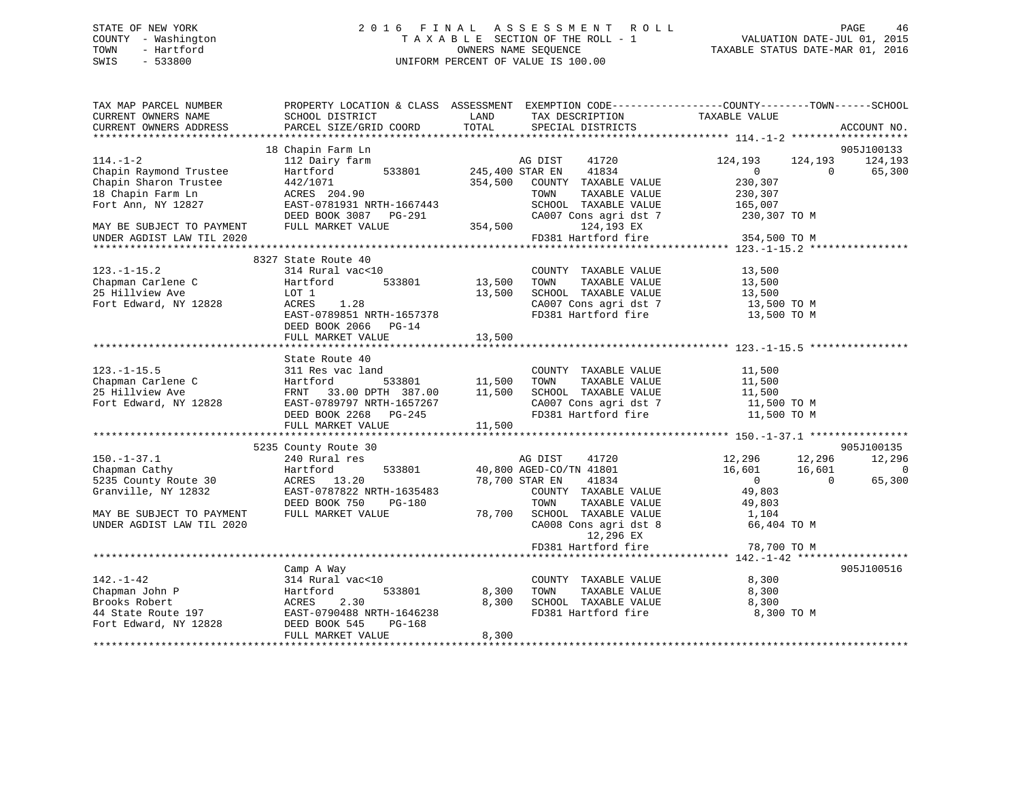### STATE OF NEW YORK 2 0 1 6 F I N A L A S S E S S M E N T R O L L PAGE 46 COUNTY - Washington T A X A B L E SECTION OF THE ROLL - 1 VALUATION DATE-JUL 01, 2015 TOWN - Hartford **TAXABLE STATUS DATE-MAR 01, 2016** OWNERS NAME SEQUENCE TAXABLE STATUS DATE-MAR 01, 2016 SWIS - 533800 UNIFORM PERCENT OF VALUE IS 100.00

| TAX MAP PARCEL NUMBER<br>CURRENT OWNERS NAME | PROPERTY LOCATION & CLASS ASSESSMENT<br>SCHOOL DISTRICT | LAND            | EXEMPTION CODE-----------------COUNTY-------TOWN------SCHOOL<br>TAX DESCRIPTION | TAXABLE VALUE                      |          |             |
|----------------------------------------------|---------------------------------------------------------|-----------------|---------------------------------------------------------------------------------|------------------------------------|----------|-------------|
| CURRENT OWNERS ADDRESS                       | PARCEL SIZE/GRID COORD                                  | TOTAL           | SPECIAL DISTRICTS                                                               |                                    |          | ACCOUNT NO. |
|                                              | 18 Chapin Farm Ln                                       |                 |                                                                                 |                                    |          | 905J100133  |
| $114. - 1 - 2$                               | 112 Dairy farm                                          |                 | 41720<br>AG DIST                                                                | 124,193                            | 124,193  | 124,193     |
| Chapin Raymond Trustee                       | Hartford<br>533801                                      | 245,400 STAR EN | 41834                                                                           | $\overline{0}$                     | $\Omega$ | 65,300      |
| Chapin Sharon Trustee                        | 442/1071                                                | 354,500         | COUNTY TAXABLE VALUE                                                            | 230,307                            |          |             |
| 18 Chapin Farm Ln                            | ACRES 204.90                                            |                 | TAXABLE VALUE<br>TOWN                                                           | 230,307                            |          |             |
| Fort Ann, NY 12827                           | EAST-0781931 NRTH-1667443                               |                 | SCHOOL TAXABLE VALUE                                                            | 165,007                            |          |             |
|                                              | DEED BOOK 3087 PG-291                                   |                 | CA007 Cons agri dst 7                                                           | 230,307 TO M                       |          |             |
| MAY BE SUBJECT TO PAYMENT                    | FULL MARKET VALUE                                       | 354,500         | 124,193 EX                                                                      |                                    |          |             |
| UNDER AGDIST LAW TIL 2020                    |                                                         |                 | FD381 Hartford fire                                                             | 354,500 TO M                       |          |             |
| ****************                             |                                                         |                 |                                                                                 | **************** 123.-1-15.2 ***** |          |             |
|                                              | 8327 State Route 40                                     |                 |                                                                                 |                                    |          |             |
| $123. - 1 - 15.2$                            | 314 Rural vac<10                                        |                 | COUNTY TAXABLE VALUE                                                            | 13,500                             |          |             |
| Chapman Carlene C                            | Hartford<br>533801                                      | 13,500          | TOWN<br>TAXABLE VALUE                                                           | 13,500                             |          |             |
| 25 Hillview Ave                              | LOT 1                                                   | 13,500          | SCHOOL TAXABLE VALUE                                                            | 13,500                             |          |             |
| Fort Edward, NY 12828                        | ACRES<br>1.28                                           |                 | CA007 Cons agri dst 7                                                           | 13,500 TO M                        |          |             |
|                                              | EAST-0789851 NRTH-1657378                               |                 | FD381 Hartford fire                                                             | 13,500 TO M                        |          |             |
|                                              | DEED BOOK 2066 PG-14                                    |                 |                                                                                 |                                    |          |             |
|                                              | FULL MARKET VALUE                                       | 13,500          |                                                                                 |                                    |          |             |
|                                              |                                                         |                 |                                                                                 |                                    |          |             |
|                                              | State Route 40                                          |                 |                                                                                 |                                    |          |             |
| $123. - 1 - 15.5$                            | 311 Res vac land                                        |                 | COUNTY TAXABLE VALUE                                                            | 11,500                             |          |             |
| Chapman Carlene C                            | Hartford<br>533801                                      | 11,500          | TOWN<br>TAXABLE VALUE                                                           | 11,500                             |          |             |
| 25 Hillview Ave                              | 33.00 DPTH 387.00<br>FRNT                               | 11,500          | SCHOOL TAXABLE VALUE                                                            | 11,500                             |          |             |
| Fort Edward, NY 12828                        | EAST-0789797 NRTH-1657267                               |                 | CA007 Cons agri dst 7                                                           | 11,500 TO M                        |          |             |
|                                              | DEED BOOK 2268 PG-245                                   |                 | FD381 Hartford fire                                                             | 11,500 TO M                        |          |             |
|                                              | FULL MARKET VALUE<br>**************************         | 11,500          |                                                                                 |                                    |          |             |
|                                              | 5235 County Route 30                                    |                 |                                                                                 |                                    |          | 905J100135  |
| $150. - 1 - 37.1$                            | 240 Rural res                                           |                 | AG DIST<br>41720                                                                | 12,296                             | 12,296   | 12,296      |
| Chapman Cathy                                | Hartford<br>533801                                      |                 | 40,800 AGED-CO/TN 41801                                                         | 16,601                             | 16,601   | $\mathbf 0$ |
| 5235 County Route 30                         | ACRES 13.20                                             |                 | 78,700 STAR EN<br>41834                                                         | $\overline{0}$                     | $\Omega$ | 65,300      |
| Granville, NY 12832                          | EAST-0787822 NRTH-1635483                               |                 | COUNTY TAXABLE VALUE                                                            | 49,803                             |          |             |
|                                              | DEED BOOK 750<br>PG-180                                 |                 | TOWN<br>TAXABLE VALUE                                                           | 49,803                             |          |             |
| MAY BE SUBJECT TO PAYMENT                    | FULL MARKET VALUE                                       | 78,700          | SCHOOL TAXABLE VALUE                                                            | 1,104                              |          |             |
| UNDER AGDIST LAW TIL 2020                    |                                                         |                 | CA008 Cons agri dst 8                                                           | 66,404 TO M                        |          |             |
|                                              |                                                         |                 | 12,296 EX                                                                       |                                    |          |             |
|                                              |                                                         |                 | FD381 Hartford fire                                                             | 78,700 TO M                        |          |             |
|                                              |                                                         |                 |                                                                                 |                                    |          |             |
|                                              | Camp A Way                                              |                 |                                                                                 |                                    |          | 905J100516  |
| $142. - 1 - 42$                              | 314 Rural vac<10                                        |                 | COUNTY TAXABLE VALUE                                                            | 8,300                              |          |             |
| Chapman John P                               | 533801<br>Hartford                                      | 8,300           | TOWN<br>TAXABLE VALUE                                                           | 8,300                              |          |             |
| Brooks Robert                                | 2.30<br>ACRES                                           | 8,300           | SCHOOL TAXABLE VALUE                                                            | 8,300                              |          |             |
| 44 State Route 197                           | EAST-0790488 NRTH-1646238                               |                 | FD381 Hartford fire                                                             | 8,300 TO M                         |          |             |
| Fort Edward, NY 12828                        | DEED BOOK 545<br>PG-168                                 |                 |                                                                                 |                                    |          |             |
|                                              | FULL MARKET VALUE                                       | 8,300           |                                                                                 |                                    |          |             |
|                                              |                                                         |                 |                                                                                 |                                    |          |             |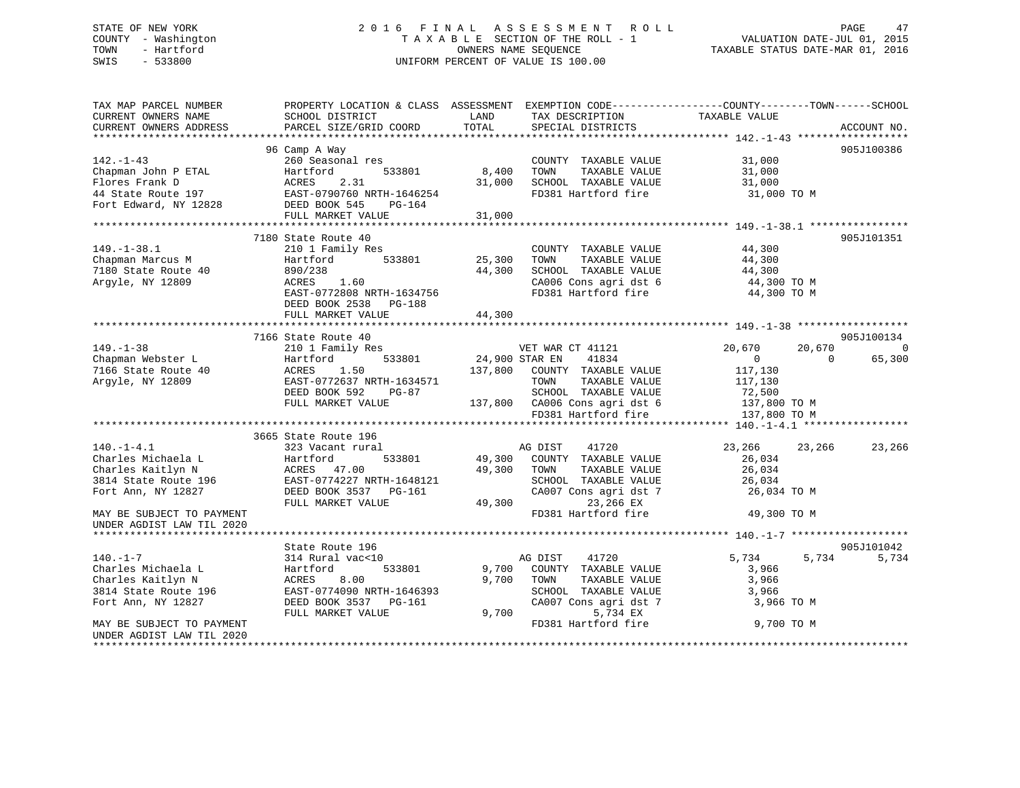### STATE OF NEW YORK 2 0 1 6 F I N A L A S S E S S M E N T R O L L PAGE 47 COUNTY - Washington T A X A B L E SECTION OF THE ROLL - 1 VALUATION DATE-JUL 01, 2015 TOWN - Hartford **TAXABLE STATUS DATE-MAR 01, 2016** OWNERS NAME SEQUENCE TAXABLE STATUS DATE-MAR 01, 2016 SWIS - 533800 UNIFORM PERCENT OF VALUE IS 100.00

| TAX MAP PARCEL NUMBER<br>CURRENT OWNERS NAME<br>CURRENT OWNERS ADDRESS | PROPERTY LOCATION & CLASS ASSESSMENT EXEMPTION CODE----------------COUNTY-------TOWN------SCHOOL<br>SCHOOL DISTRICT<br>PARCEL SIZE/GRID COORD | LAND<br>TOTAL  | TAX DESCRIPTION<br>SPECIAL DISTRICTS | TAXABLE VALUE              | ACCOUNT NO. |
|------------------------------------------------------------------------|-----------------------------------------------------------------------------------------------------------------------------------------------|----------------|--------------------------------------|----------------------------|-------------|
|                                                                        |                                                                                                                                               |                |                                      |                            |             |
|                                                                        | 96 Camp A Way                                                                                                                                 |                |                                      |                            | 905J100386  |
| $142. - 1 - 43$                                                        | 260 Seasonal res                                                                                                                              |                | COUNTY TAXABLE VALUE                 | 31,000                     |             |
| Chapman John P ETAL                                                    | 533801<br>Hartford                                                                                                                            | 8,400          | TOWN<br>TAXABLE VALUE                | 31,000                     |             |
| Flores Frank D                                                         | 2.31<br>ACRES                                                                                                                                 | 31,000         | SCHOOL TAXABLE VALUE                 | 31,000                     |             |
| 44 State Route 197                                                     | EAST-0790760 NRTH-1646254                                                                                                                     |                | FD381 Hartford fire                  | 31,000 TO M                |             |
| Fort Edward, NY 12828                                                  | DEED BOOK 545<br>PG-164                                                                                                                       |                |                                      |                            |             |
|                                                                        | FULL MARKET VALUE                                                                                                                             | 31,000         |                                      |                            |             |
|                                                                        | 7180 State Route 40                                                                                                                           |                |                                      |                            | 905J101351  |
| $149. - 1 - 38.1$                                                      | 210 1 Family Res                                                                                                                              |                | COUNTY TAXABLE VALUE                 | 44,300                     |             |
| Chapman Marcus M                                                       | 533801<br>Hartford                                                                                                                            | 25,300         | TOWN<br>TAXABLE VALUE                | 44,300                     |             |
| 7180 State Route 40                                                    | 890/238                                                                                                                                       | 44,300         | SCHOOL TAXABLE VALUE                 | 44,300                     |             |
| Argyle, NY 12809                                                       | ACRES<br>1.60                                                                                                                                 |                | CA006 Cons agri dst 6                | 44,300 TO M                |             |
|                                                                        | EAST-0772808 NRTH-1634756                                                                                                                     |                | FD381 Hartford fire                  | 44,300 TO M                |             |
|                                                                        | DEED BOOK 2538 PG-188                                                                                                                         |                |                                      |                            |             |
|                                                                        | FULL MARKET VALUE                                                                                                                             | 44,300         |                                      |                            |             |
|                                                                        |                                                                                                                                               |                |                                      |                            |             |
|                                                                        | 7166 State Route 40                                                                                                                           |                |                                      |                            | 905J100134  |
| $149. - 1 - 38$                                                        | 210 1 Family Res                                                                                                                              |                | VET WAR CT 41121                     | 20,670<br>20,670           | 0           |
| Chapman Webster L                                                      | Hartford<br>533801                                                                                                                            | 24,900 STAR EN | 41834                                | $\overline{0}$<br>$\Omega$ | 65,300      |
| 7166 State Route 40                                                    | ACRES<br>1.50                                                                                                                                 | 137,800        | COUNTY TAXABLE VALUE                 | 117,130                    |             |
| Argyle, NY 12809                                                       | EAST-0772637 NRTH-1634571                                                                                                                     |                | TAXABLE VALUE<br>TOWN                | 117,130                    |             |
|                                                                        | DEED BOOK 592<br>PG-87                                                                                                                        |                | SCHOOL TAXABLE VALUE                 | 72,500                     |             |
|                                                                        | FULL MARKET VALUE                                                                                                                             |                | 137,800 CA006 Cons agri dst 6        | 137,800 TO M               |             |
|                                                                        |                                                                                                                                               |                | FD381 Hartford fire                  | 137,800 TO M               |             |
|                                                                        | 3665 State Route 196                                                                                                                          |                |                                      |                            |             |
| $140. - 1 - 4.1$                                                       | 323 Vacant rural                                                                                                                              |                | 41720<br>AG DIST                     | 23,266<br>23,266           | 23,266      |
| Charles Michaela L                                                     | Hartford<br>533801                                                                                                                            | 49,300         | COUNTY TAXABLE VALUE                 | 26,034                     |             |
| Charles Kaitlyn N                                                      | ACRES 47.00                                                                                                                                   | 49,300         | TOWN<br>TAXABLE VALUE                | 26,034                     |             |
| 3814 State Route 196                                                   | EAST-0774227 NRTH-1648121                                                                                                                     |                | SCHOOL TAXABLE VALUE                 | 26,034                     |             |
| Fort Ann, NY 12827                                                     | DEED BOOK 3537 PG-161                                                                                                                         |                | CA007 Cons agri dst 7                | 26,034 TO M                |             |
|                                                                        | FULL MARKET VALUE                                                                                                                             | 49,300         | 23,266 EX                            |                            |             |
| MAY BE SUBJECT TO PAYMENT                                              |                                                                                                                                               |                | FD381 Hartford fire                  | 49,300 TO M                |             |
| UNDER AGDIST LAW TIL 2020                                              |                                                                                                                                               |                |                                      |                            |             |
|                                                                        |                                                                                                                                               |                |                                      |                            |             |
|                                                                        | State Route 196                                                                                                                               |                |                                      |                            | 905J101042  |
| $140. - 1 - 7$                                                         | 314 Rural vac<10                                                                                                                              |                | AG DIST<br>41720                     | 5,734<br>5,734             | 5,734       |
| Charles Michaela L                                                     | 533801<br>Hartford                                                                                                                            | 9,700          | COUNTY TAXABLE VALUE                 | 3,966                      |             |
| Charles Kaitlyn N                                                      | ACRES<br>8.00                                                                                                                                 | 9,700          | TOWN<br>TAXABLE VALUE                | 3,966                      |             |
| 3814 State Route 196                                                   | EAST-0774090 NRTH-1646393                                                                                                                     |                | SCHOOL TAXABLE VALUE                 | 3,966                      |             |
| Fort Ann, NY 12827                                                     | DEED BOOK 3537 PG-161                                                                                                                         |                | CA007 Cons agri dst 7                | 3,966 TO M                 |             |
|                                                                        | FULL MARKET VALUE                                                                                                                             | 9,700          | 5,734 EX                             |                            |             |
| MAY BE SUBJECT TO PAYMENT                                              |                                                                                                                                               |                | FD381 Hartford fire                  | 9,700 TO M                 |             |
| UNDER AGDIST LAW TIL 2020                                              |                                                                                                                                               |                |                                      |                            |             |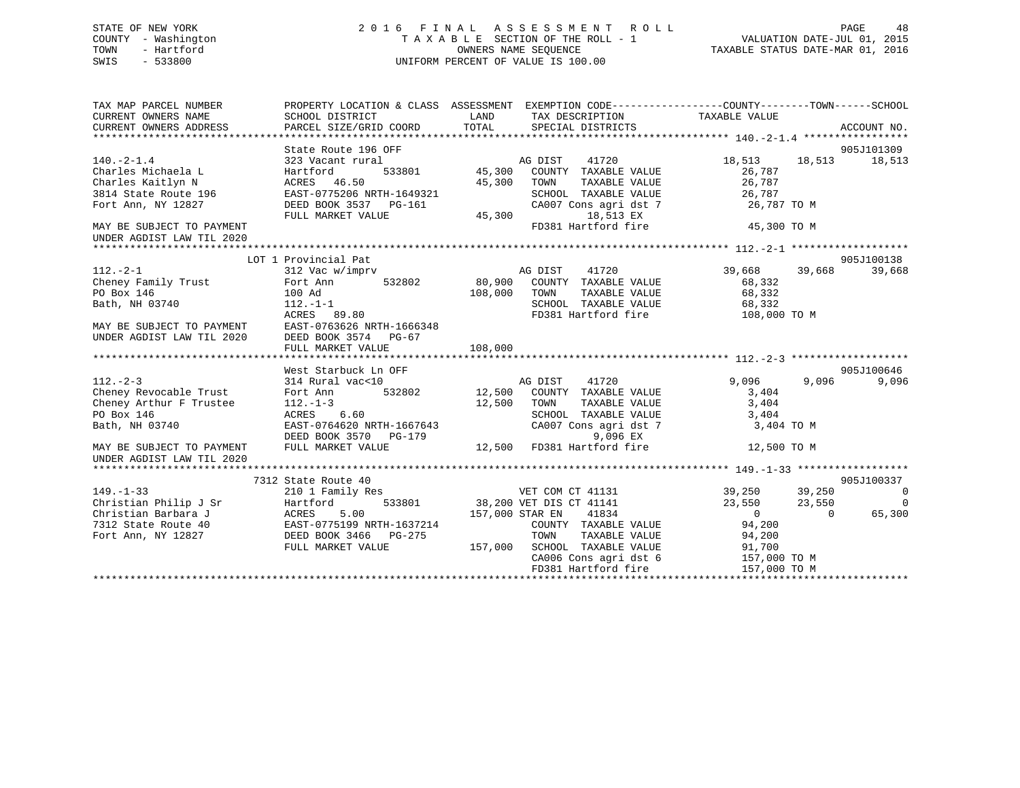### STATE OF NEW YORK 2 0 1 6 F I N A L A S S E S S M E N T R O L L PAGE 48 COUNTY - Washington T A X A B L E SECTION OF THE ROLL - 1 VALUATION DATE-JUL 01, 2015 TOWN - Hartford **TAXABLE STATUS DATE-MAR 01, 2016** OWNERS NAME SEQUENCE TAXABLE STATUS DATE-MAR 01, 2016 SWIS - 533800 UNIFORM PERCENT OF VALUE IS 100.00

| TAX MAP PARCEL NUMBER<br>CURRENT OWNERS NAME<br>CURRENT OWNERS ADDRESS | SCHOOL DISTRICT<br>PARCEL SIZE/GRID COORD                        | LAND<br>TAX DESCRIPTION<br>TOTAL<br>SPECIAL DISTRICTS                                                   | PROPERTY LOCATION & CLASS ASSESSMENT EXEMPTION CODE---------------COUNTY-------TOWN-----SCHOOL<br>TAXABLE VALUE<br>ACCOUNT NO. |
|------------------------------------------------------------------------|------------------------------------------------------------------|---------------------------------------------------------------------------------------------------------|--------------------------------------------------------------------------------------------------------------------------------|
|                                                                        |                                                                  |                                                                                                         |                                                                                                                                |
|                                                                        | State Route 196 OFF                                              |                                                                                                         | 905J101309                                                                                                                     |
| $140.-2-1.4$<br>Charles Michaela L                                     | 323 Vacant rural<br>Hartford                                     |                                                                                                         | 18,513 18,513<br>18,513<br>26,787                                                                                              |
|                                                                        | ACRES 46.50                                                      | 45,300<br>TOWN<br>TAXABLE VALUE                                                                         | 26,787                                                                                                                         |
| Charles Kaitlyn N<br>3814 State Route 196                              | EAST-0775206 NRTH-1649321                                        | SCHOOL TAXABLE VALUE<br>CA007 Cons agri dst 7                                                           | 26,787                                                                                                                         |
| Fort Ann, NY 12827                                                     | DEED BOOK 3537 PG-161<br>FULL MARKET VALUE                       | 18,513 EX<br>45,300                                                                                     | 26,787 TO M                                                                                                                    |
| MAY BE SUBJECT TO PAYMENT<br>UNDER AGDIST LAW TIL 2020                 |                                                                  | FD381 Hartford fire                                                                                     | 45,300 TO M                                                                                                                    |
|                                                                        |                                                                  |                                                                                                         |                                                                                                                                |
|                                                                        | LOT 1 Provincial Pat                                             |                                                                                                         | 905J100138                                                                                                                     |
| $112 - 2 - 1$                                                          | 312 Vac w/imprv                                                  | AG DIST 41720                                                                                           | 39,668<br>39,668 39,668                                                                                                        |
| Cheney Family Trust                                                    | Fort Ann                                                         | 532802 80,900 COUNTY TAXABLE VALUE                                                                      | 68,332                                                                                                                         |
| PO Box 146                                                             | 100 Ad                                                           | 108,000<br>TOWN                                                                                         | TAXABLE VALUE 68,332                                                                                                           |
| Bath, NH 03740                                                         | $112.-1-1$                                                       | SCHOOL TAXABLE VALUE 68,332<br>FD381 Hartford fire 108,000                                              |                                                                                                                                |
|                                                                        | ACRES 89.80                                                      |                                                                                                         | 108,000 TO M                                                                                                                   |
| MAY BE SUBJECT TO PAYMENT                                              | EAST-0763626 NRTH-1666348                                        |                                                                                                         |                                                                                                                                |
| UNDER AGDIST LAW TIL 2020                                              | DEED BOOK 3574 PG-67                                             |                                                                                                         |                                                                                                                                |
|                                                                        | FULL MARKET VALUE                                                | 108,000                                                                                                 |                                                                                                                                |
|                                                                        |                                                                  |                                                                                                         |                                                                                                                                |
|                                                                        | West Starbuck Ln OFF                                             |                                                                                                         | 905J100646                                                                                                                     |
|                                                                        |                                                                  |                                                                                                         | 9,096<br>9,096<br>9,096                                                                                                        |
|                                                                        |                                                                  |                                                                                                         | 3,404                                                                                                                          |
| Cheney Arthur F Trustee                                                | $112. - 1 - 3$                                                   | 12,500<br>TOWN                                                                                          | TAXABLE VALUE 3,404                                                                                                            |
| PO Box 146                                                             | ACRES 6.60                                                       | SCHOOL TAXABLE VALUE 3,404<br>CA007 Cons agri dst 7 3,404                                               |                                                                                                                                |
| Bath, NH 03740                                                         | EAST-0764620 NRTH-1667643<br>DEED BOOK 3570 PG-179               | 9,096 EX                                                                                                | 3,404 TO M                                                                                                                     |
| MAY BE SUBJECT TO PAYMENT<br>UNDER AGDIST LAW TIL 2020                 | FULL MARKET VALUE                                                | 12,500 FD381 Hartford fire                                                                              | 12,500 TO M                                                                                                                    |
|                                                                        |                                                                  |                                                                                                         |                                                                                                                                |
|                                                                        | 7312 State Route 40                                              |                                                                                                         | 905J100337                                                                                                                     |
| $149. - 1 - 33$                                                        | 210 1 Family Res                                                 |                                                                                                         | 39,250 39,250<br>23,550 23,550<br>$\overline{0}$                                                                               |
| Christian Philip J Sr                                                  | Hartford                                                         |                                                                                                         | $\overline{0}$                                                                                                                 |
| Christian Barbara J                                                    | ACRES 5.00<br>EAST-0775199 NRTH-1637214<br>DEED BOOK 3466 PG-275 | 157,000 STAR EN<br>41834                                                                                | $\overline{0}$<br>65,300<br>$\Omega$                                                                                           |
| 7312 State Route 40                                                    |                                                                  |                                                                                                         |                                                                                                                                |
| Fort Ann, NY 12827                                                     |                                                                  | 7214 COUNTY TAXABLE VALUE 94,200<br>75 TOWN TAXABLE VALUE 94,200<br>157,000 SCHOOL TAXABLE VALUE 91,700 |                                                                                                                                |
|                                                                        | FULL MARKET VALUE                                                |                                                                                                         |                                                                                                                                |
|                                                                        |                                                                  | CA006 Cons agri dst 6 157,000 TO M                                                                      |                                                                                                                                |
|                                                                        |                                                                  | FD381 Hartford fire                                                                                     | 157,000 TO M                                                                                                                   |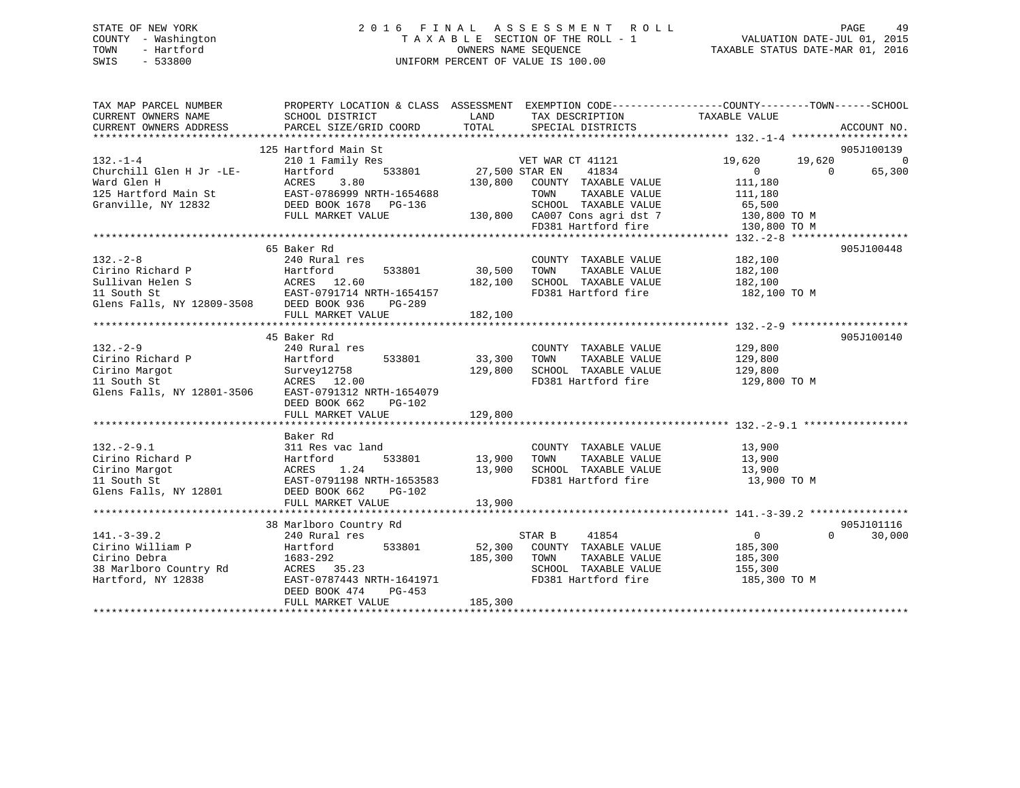### STATE OF NEW YORK 2 0 1 6 F I N A L A S S E S S M E N T R O L L PAGE 49 COUNTY - Washington T A X A B L E SECTION OF THE ROLL - 1 VALUATION DATE-JUL 01, 2015 TOWN - Hartford OWNERS NAME SEQUENCE TAXABLE STATUS DATE-MAR 01, 2016 SWIS - 533800 UNIFORM PERCENT OF VALUE IS 100.00

| TAX MAP PARCEL NUMBER    | PROPERTY LOCATION & CLASS ASSESSMENT EXEMPTION CODE---------------COUNTY-------TOWN------SCHOOL                                                          |                |                                                      |                  |                    |
|--------------------------|----------------------------------------------------------------------------------------------------------------------------------------------------------|----------------|------------------------------------------------------|------------------|--------------------|
| CURRENT OWNERS NAME      | SCHOOL DISTRICT                                                                                                                                          | LAND           | TAX DESCRIPTION                                      | TAXABLE VALUE    |                    |
| CURRENT OWNERS ADDRESS   | PARCEL SIZE/GRID COORD                                                                                                                                   | TOTAL          | SPECIAL DISTRICTS                                    |                  | ACCOUNT NO.        |
|                          |                                                                                                                                                          |                |                                                      |                  |                    |
|                          | 125 Hartford Main St                                                                                                                                     |                |                                                      |                  | 905J100139         |
| $132. -1 - 4$            | 210 1 Family Res                                                                                                                                         |                | VET WAR CT 41121                                     | 19,620<br>19,620 | $\overline{0}$     |
| Churchill Glen H Jr -LE- | 533801<br>Hartford                                                                                                                                       | 27,500 STAR EN | 41834                                                | $\Omega$         | 65,300<br>$\Omega$ |
| Ward Glen H              | 3.80<br>ACRES                                                                                                                                            |                | 130,800 COUNTY TAXABLE VALUE                         | 111,180          |                    |
|                          | EAST-0786999 NRTH-1654688                                                                                                                                |                | TOWN<br>TAXABLE VALUE                                | 111,180          |                    |
|                          |                                                                                                                                                          |                | SCHOOL TAXABLE VALUE 65,500                          |                  |                    |
|                          | FULL MARKET VALUE                                                                                                                                        |                | 130,800 CA007 Cons agri dst 7<br>FD381 Hartford fire | 130,800 TO M     |                    |
|                          |                                                                                                                                                          |                |                                                      | 130,800 TO M     |                    |
|                          |                                                                                                                                                          |                |                                                      |                  |                    |
|                          | 65 Baker Rd                                                                                                                                              |                |                                                      |                  | 905J100448         |
| $132 - 2 - 8$            | 240 Rural res                                                                                                                                            |                | COUNTY TAXABLE VALUE                                 | 182,100          |                    |
| Cirino Richard P         | Hartford<br>533801                                                                                                                                       | 30,500         | TAXABLE VALUE<br>TOWN                                | 182,100          |                    |
|                          |                                                                                                                                                          | 182,100        | SCHOOL TAXABLE VALUE                                 | 182,100          |                    |
|                          |                                                                                                                                                          |                | FD381 Hartford fire                                  | 182,100 TO M     |                    |
|                          | Cirino Kichard P<br>Sullivan Helen S<br>11 South St<br>11 South St<br>EAST-0791714 NRTH-1654157<br>Glens Falls, NY 12809-3508<br>DEED BOOK 936<br>PG-289 |                |                                                      |                  |                    |
|                          | FULL MARKET VALUE                                                                                                                                        | 182,100        |                                                      |                  |                    |
|                          |                                                                                                                                                          |                |                                                      |                  |                    |
|                          | 45 Baker Rd                                                                                                                                              |                |                                                      |                  | 905J100140         |
| $132 - 2 - 9$            | 240 Rural res                                                                                                                                            |                | COUNTY TAXABLE VALUE                                 | 129,800          |                    |
| Cirino Richard P         | 533801<br>Hartford                                                                                                                                       | 33,300         | TOWN<br>TAXABLE VALUE                                | 129,800          |                    |
| Cirino Margot            |                                                                                                                                                          | 129,800        | SCHOOL TAXABLE VALUE                                 | 129,800          |                    |
| 11 South St              | Survey12758<br>ACRES 12.00                                                                                                                               |                | FD381 Hartford fire                                  | 129,800 TO M     |                    |
|                          | Glens Falls, NY 12801-3506 EAST-0791312 NRTH-1654079                                                                                                     |                |                                                      |                  |                    |
|                          | DEED BOOK 662<br>PG-102                                                                                                                                  |                |                                                      |                  |                    |
|                          | FULL MARKET VALUE                                                                                                                                        | 129,800        |                                                      |                  |                    |
|                          |                                                                                                                                                          |                |                                                      |                  |                    |
|                          | Baker Rd                                                                                                                                                 |                |                                                      |                  |                    |
| $132 - 2 - 9.1$          | 311 Res vac land                                                                                                                                         |                | COUNTY TAXABLE VALUE                                 | 13,900           |                    |
| Cirino Richard P         |                                                                                                                                                          | 13,900         | TOWN<br>TAXABLE VALUE                                | 13,900           |                    |
| Cirino Margot            |                                                                                                                                                          | 13,900         | SCHOOL TAXABLE VALUE                                 | 13,900           |                    |
| 11 South St              | Hartford 533801<br>ACRES 1.24<br>EAST-0791198 NRTH-1653583<br>DEED BOOK 662 PG-102                                                                       |                | FD381 Hartford fire                                  | 13,900 TO M      |                    |
| Glens Falls, NY 12801    |                                                                                                                                                          |                |                                                      |                  |                    |
|                          | FULL MARKET VALUE                                                                                                                                        | 13,900         |                                                      |                  |                    |
|                          |                                                                                                                                                          |                |                                                      |                  |                    |
|                          | 38 Marlboro Country Rd                                                                                                                                   |                |                                                      |                  | 905J101116         |
| $141. - 3 - 39.2$        | 240 Rural res                                                                                                                                            |                | STAR B<br>41854                                      | $\overline{0}$   | $\Omega$<br>30,000 |
| Cirino William P         | 533801<br>Hartford                                                                                                                                       | 52,300         | COUNTY TAXABLE VALUE                                 | 185,300          |                    |
| Cirino Debra             | 1683-292                                                                                                                                                 | 185,300        | TOWN<br>TAXABLE VALUE                                | 185,300          |                    |
| 38 Marlboro Country Rd   | ACRES 35.23                                                                                                                                              |                | SCHOOL TAXABLE VALUE                                 | 155,300          |                    |
| Hartford, NY 12838       | EAST-0787443 NRTH-1641971                                                                                                                                |                | FD381 Hartford fire                                  | 185,300 TO M     |                    |
|                          | DEED BOOK 474<br>PG-453                                                                                                                                  |                |                                                      |                  |                    |
|                          | FULL MARKET VALUE                                                                                                                                        | 185,300        |                                                      |                  |                    |
|                          |                                                                                                                                                          |                |                                                      |                  |                    |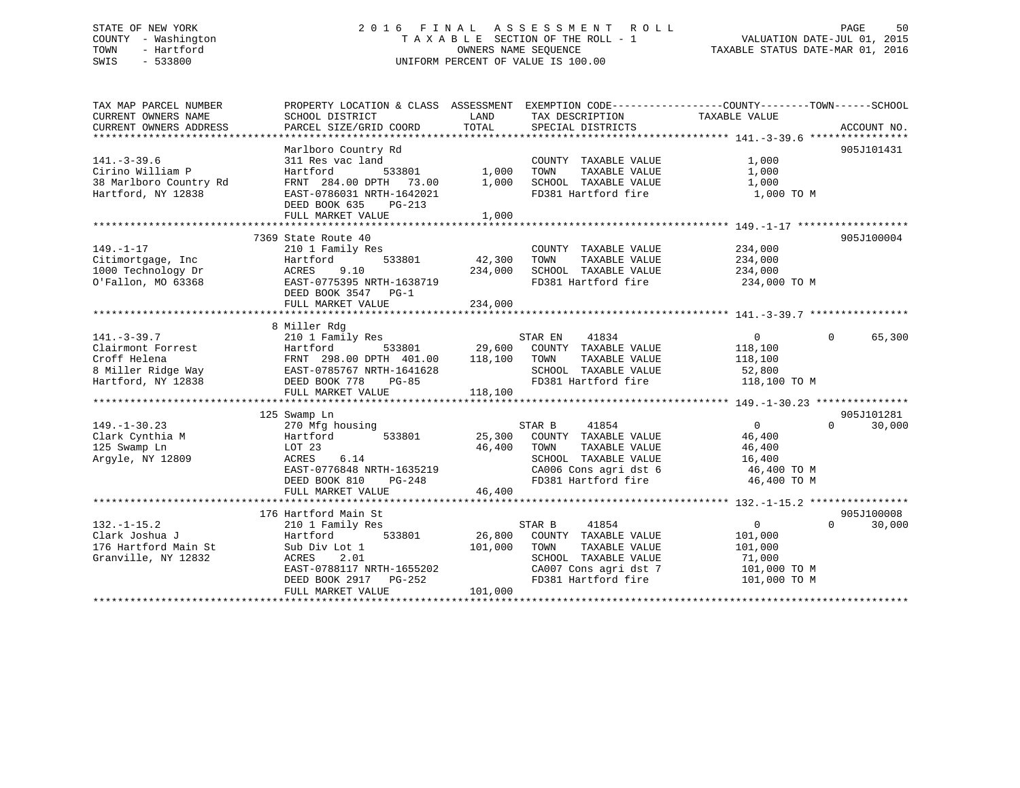### STATE OF NEW YORK 2 0 1 6 F I N A L A S S E S S M E N T R O L L PAGE 50 COUNTY - Washington T A X A B L E SECTION OF THE ROLL - 1 VALUATION DATE-JUL 01, 2015 TOWN - Hartford OWNERS NAME SEQUENCE TAXABLE STATUS DATE-MAR 01, 2016 SWIS - 533800 UNIFORM PERCENT OF VALUE IS 100.00

TAX MAP PARCEL NUMBER PROPERTY LOCATION & CLASS ASSESSMENT EXEMPTION CODE------------------COUNTY--------TOWN------SCHOOL CURRENT OWNERS NAME SCHOOL DISTRICT LAND TAX DESCRIPTION TAXABLE VALUE CURRENT OWNERS ADDRESS PARCEL SIZE/GRID COORD TOTAL SPECIAL DISTRICTS ACCOUNT NO. \*\*\*\*\*\*\*\*\*\*\*\*\*\*\*\*\*\*\*\*\*\*\*\*\*\*\*\*\*\*\*\*\*\*\*\*\*\*\*\*\*\*\*\*\*\*\*\*\*\*\*\*\*\*\*\*\*\*\*\*\*\*\*\*\*\*\*\*\*\*\*\*\*\*\*\*\*\*\*\*\*\*\*\*\*\*\*\*\*\*\*\*\*\*\*\*\*\*\*\*\*\*\* 141.-3-39.6 \*\*\*\*\*\*\*\*\*\*\*\*\*\*\*\* Marlboro Country Rd 905J101431 141.-3-39.6 311 Res vac land COUNTY TAXABLE VALUE 1,000 Cirino William P Hartford 533801 1,000 TOWN TAXABLE VALUE 1,000 38 Marlboro Country Rd FRNT 284.00 DPTH 73.00 1,000 SCHOOL TAXABLE VALUE 1,000 Hartford, NY 12838 EAST-0786031 NRTH-1642021 FD381 Hartford fire 1,000 TO M DEED BOOK 635 PG-213FULL MARKET VALUE 1,000 \*\*\*\*\*\*\*\*\*\*\*\*\*\*\*\*\*\*\*\*\*\*\*\*\*\*\*\*\*\*\*\*\*\*\*\*\*\*\*\*\*\*\*\*\*\*\*\*\*\*\*\*\*\*\*\*\*\*\*\*\*\*\*\*\*\*\*\*\*\*\*\*\*\*\*\*\*\*\*\*\*\*\*\*\*\*\*\*\*\*\*\*\*\*\*\*\*\*\*\*\*\*\* 149.-1-17 \*\*\*\*\*\*\*\*\*\*\*\*\*\*\*\*\*\* 7369 State Route 40 905J100004149.-1-17 210 1 Family Res COUNTY TAXABLE VALUE 234,000 Citimortgage, Inc Hartford 533801 42,300 TOWN TAXABLE VALUE 234,000 1000 Technology Dr ACRES 9.10 234,000 SCHOOL TAXABLE VALUE 234,000 O'Fallon, MO 63368 EAST-0775395 NRTH-1638719 FD381 Hartford fire 234,000 TO M DEED BOOK 3547 PG-1 FULL MARKET VALUE 234,000 \*\*\*\*\*\*\*\*\*\*\*\*\*\*\*\*\*\*\*\*\*\*\*\*\*\*\*\*\*\*\*\*\*\*\*\*\*\*\*\*\*\*\*\*\*\*\*\*\*\*\*\*\*\*\*\*\*\*\*\*\*\*\*\*\*\*\*\*\*\*\*\*\*\*\*\*\*\*\*\*\*\*\*\*\*\*\*\*\*\*\*\*\*\*\*\*\*\*\*\*\*\*\* 141.-3-39.7 \*\*\*\*\*\*\*\*\*\*\*\*\*\*\*\* 8 Miller Rdg 141.-3-39.7 210 1 Family Res STAR EN 41834 0 65,300 Clairmont Forrest Hartford 533801 29,600 COUNTY TAXABLE VALUE 118,100 Croff Helena FRNT 298.00 DPTH 401.00 118,100 TOWN TAXABLE VALUE 118,100 8 Miller Ridge Way EAST-0785767 NRTH-1641628 SCHOOL TAXABLE VALUE 52,800 Hartford, NY 12838 DEED BOOK 778 PG-85 FD381 Hartford fire 118,100 TO M FULL MARKET VALUE 118,100 \*\*\*\*\*\*\*\*\*\*\*\*\*\*\*\*\*\*\*\*\*\*\*\*\*\*\*\*\*\*\*\*\*\*\*\*\*\*\*\*\*\*\*\*\*\*\*\*\*\*\*\*\*\*\*\*\*\*\*\*\*\*\*\*\*\*\*\*\*\*\*\*\*\*\*\*\*\*\*\*\*\*\*\*\*\*\*\*\*\*\*\*\*\*\*\*\*\*\*\*\*\*\* 149.-1-30.23 \*\*\*\*\*\*\*\*\*\*\*\*\*\*\* 125 Swamp Ln 905J101281 149.-1-30.23 270 Mfg housing STAR B 41854 0 0 30,000 Clark Cynthia M Hartford 533801 25,300 COUNTY TAXABLE VALUE 46,400 125 Swamp Ln LOT 23 46,400 TOWN TAXABLE VALUE 46,400 Argyle, NY 12809 ACRES 6.14 SCHOOL TAXABLE VALUE 16,400 EAST-0776848 NRTH-1635219 CA006 Cons agri dst 6 46,400 TO M DEED BOOK 810 PG-248 FD381 Hartford fire 46,400 TO M FULL MARKET VALUE  $46,400$ \*\*\*\*\*\*\*\*\*\*\*\*\*\*\*\*\*\*\*\*\*\*\*\*\*\*\*\*\*\*\*\*\*\*\*\*\*\*\*\*\*\*\*\*\*\*\*\*\*\*\*\*\*\*\*\*\*\*\*\*\*\*\*\*\*\*\*\*\*\*\*\*\*\*\*\*\*\*\*\*\*\*\*\*\*\*\*\*\*\*\*\*\*\*\*\*\*\*\*\*\*\*\* 132.-1-15.2 \*\*\*\*\*\*\*\*\*\*\*\*\*\*\*\*905J100008 176 Hartford Main St 905J100008 $0 \t30.000$ 132.-1-15.2 210 1 Family Res STAR B 41854 0 0 30,000 Clark Joshua J Hartford 533801 26,800 COUNTY TAXABLE VALUE 101,000 176 Hartford Main St Sub Div Lot 1 101,000 TOWN TAXABLE VALUE 101,000 Granville, NY 12832 ACRES 2.01 SCHOOL TAXABLE VALUE 71,000 EAST-0788117 NRTH-1655202 CA007 Cons agri dst 7 101,000 TO M DEED BOOK 2917 PG-252 FD381 Hartford fire 101,000 TO M DEED BOOK 2917 PG-252 F<br>FULL MARKET VALUE 101,000 \*\*\*\*\*\*\*\*\*\*\*\*\*\*\*\*\*\*\*\*\*\*\*\*\*\*\*\*\*\*\*\*\*\*\*\*\*\*\*\*\*\*\*\*\*\*\*\*\*\*\*\*\*\*\*\*\*\*\*\*\*\*\*\*\*\*\*\*\*\*\*\*\*\*\*\*\*\*\*\*\*\*\*\*\*\*\*\*\*\*\*\*\*\*\*\*\*\*\*\*\*\*\*\*\*\*\*\*\*\*\*\*\*\*\*\*\*\*\*\*\*\*\*\*\*\*\*\*\*\*\*\*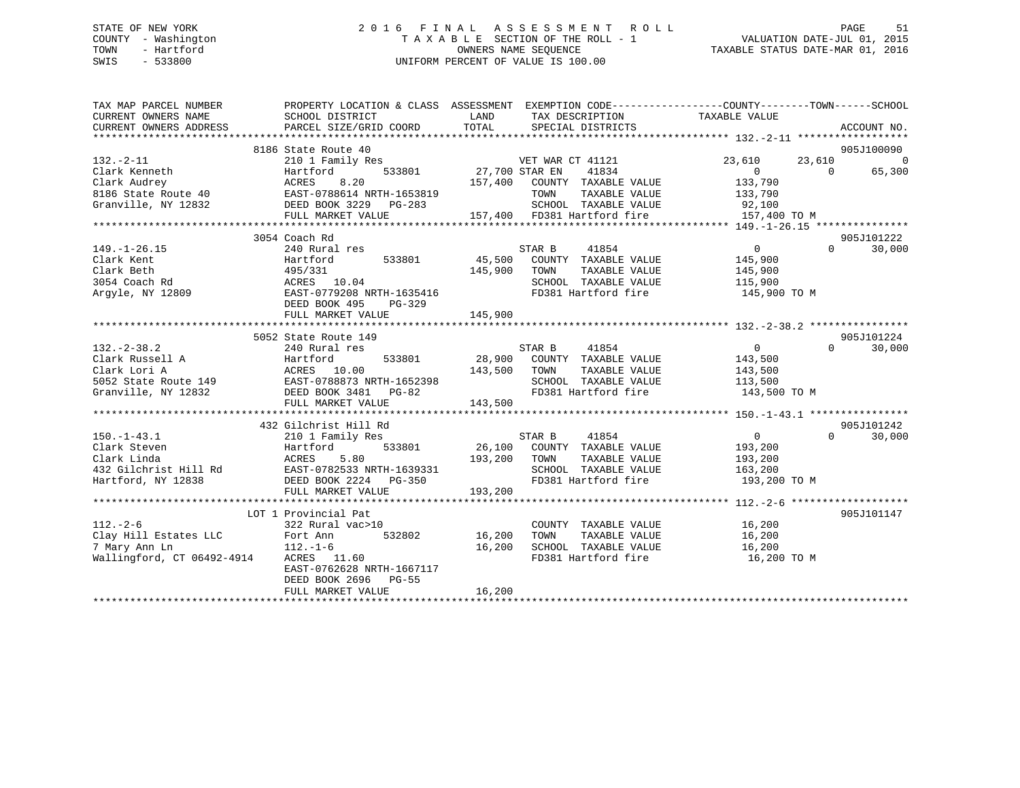### STATE OF NEW YORK 2 0 1 6 F I N A L A S S E S S M E N T R O L L PAGE 51 COUNTY - Washington T A X A B L E SECTION OF THE ROLL - 1 VALUATION DATE-JUL 01, 2015 TOWN - Hartford **TAXABLE STATUS DATE-MAR 01, 2016** OWNERS NAME SEQUENCE TAXABLE STATUS DATE-MAR 01, 2016 SWIS - 533800 UNIFORM PERCENT OF VALUE IS 100.00

| TAX MAP PARCEL NUMBER<br>CURRENT OWNERS NAME<br>CURRENT OWNERS ADDRESS                                                                                       | PROPERTY LOCATION & CLASS ASSESSMENT EXEMPTION CODE---------------COUNTY-------TOWN-----SCHOOL<br>SCHOOL DISTRICT<br>PARCEL SIZE/GRID COORD | LAND<br>TOTAL    | TAX DESCRIPTION<br>SPECIAL DISTRICTS  | TAXABLE VALUE         | ACCOUNT NO.        |
|--------------------------------------------------------------------------------------------------------------------------------------------------------------|---------------------------------------------------------------------------------------------------------------------------------------------|------------------|---------------------------------------|-----------------------|--------------------|
|                                                                                                                                                              |                                                                                                                                             |                  |                                       |                       |                    |
|                                                                                                                                                              | 8186 State Route 40                                                                                                                         |                  |                                       |                       | 905J100090         |
| $132. - 2 - 11$                                                                                                                                              | 210 1 Family Res                                                                                                                            |                  | VET WAR CT 41121                      | 23,610<br>23,610      | $\Omega$           |
| Clark Kenneth                                                                                                                                                | 533801<br>Hartford                                                                                                                          | 27,700 STAR EN   | 41834                                 | $\overline{0}$        | $\Omega$<br>65,300 |
| Clark Audrey                                                                                                                                                 | ACRES<br>8.20                                                                                                                               | 157,400          | COUNTY TAXABLE VALUE                  | 133,790               |                    |
| 8186 State Route 40                                                                                                                                          |                                                                                                                                             |                  | TAXABLE VALUE<br>TOWN                 | 133,790               |                    |
| Granville, NY 12832                                                                                                                                          | EAST-0788614 NRTH-1653819<br>DEED BOOK 3229 PG-283                                                                                          |                  | SCHOOL TAXABLE VALUE                  | 92,100                |                    |
|                                                                                                                                                              | FULL MARKET VALUE                                                                                                                           |                  | 157,400 FD381 Hartford fire           | 157,400 TO M          |                    |
|                                                                                                                                                              |                                                                                                                                             |                  |                                       |                       |                    |
|                                                                                                                                                              | 3054 Coach Rd                                                                                                                               |                  |                                       |                       | 905J101222         |
| $149. - 1 - 26.15$                                                                                                                                           | 240 Rural res                                                                                                                               |                  | 41854<br>STAR B                       | $\overline{0}$        | $\Omega$<br>30,000 |
| Clark Kent                                                                                                                                                   | 533801<br>Hartford                                                                                                                          | 45,500           | COUNTY TAXABLE VALUE                  | 145,900               |                    |
| Clark Beth                                                                                                                                                   | 495/331                                                                                                                                     | 145,900          | TOWN<br>TAXABLE VALUE                 | 145,900               |                    |
| 3054 Coach Rd                                                                                                                                                | ACRES 10.04                                                                                                                                 |                  | SCHOOL TAXABLE VALUE                  | 115,900               |                    |
| Arqyle, NY 12809                                                                                                                                             | EAST-0779208 NRTH-1635416                                                                                                                   |                  | FD381 Hartford fire                   | 145,900 TO M          |                    |
|                                                                                                                                                              | DEED BOOK 495<br>$PG-329$                                                                                                                   |                  |                                       |                       |                    |
|                                                                                                                                                              | FULL MARKET VALUE                                                                                                                           | 145,900          |                                       |                       |                    |
|                                                                                                                                                              |                                                                                                                                             |                  |                                       |                       |                    |
|                                                                                                                                                              | 5052 State Route 149                                                                                                                        |                  |                                       |                       | 905J101224         |
| $132 - 2 - 38.2$                                                                                                                                             | 240 Rural res                                                                                                                               |                  | 41854<br>STAR B                       | $\overline{0}$        | 30,000<br>$\Omega$ |
|                                                                                                                                                              |                                                                                                                                             |                  | 28,900 COUNTY TAXABLE VALUE           | 143,500               |                    |
|                                                                                                                                                              |                                                                                                                                             | 143,500          | TAXABLE VALUE<br>TOWN                 | 143,500               |                    |
|                                                                                                                                                              |                                                                                                                                             |                  | SCHOOL TAXABLE VALUE                  | 113,500               |                    |
| Clark Russell A<br>Clark Lori A<br>5052 State Route 149<br>Note in the BAST-0788873 NRTH-1652398<br>Note in the DEED BOOK 3481 PG-82<br>PEED BOOK 3481 PG-82 |                                                                                                                                             |                  | FD381 Hartford fire                   | 143,500 TO M          |                    |
|                                                                                                                                                              | FULL MARKET VALUE                                                                                                                           | 143,500          |                                       |                       |                    |
|                                                                                                                                                              |                                                                                                                                             |                  |                                       |                       |                    |
|                                                                                                                                                              | 432 Gilchrist Hill Rd                                                                                                                       |                  |                                       |                       | 905J101242         |
| $150. - 1 - 43.1$                                                                                                                                            | 210 1 Family Res                                                                                                                            |                  | STAR B<br>41854                       | $\overline{0}$        | $\Omega$<br>30,000 |
| Clark Steven                                                                                                                                                 | Hartford<br>533801                                                                                                                          |                  | 26,100 COUNTY TAXABLE VALUE           | 193,200               |                    |
| Clark Linda                                                                                                                                                  | ACRES<br>5.80                                                                                                                               | 193,200          | TOWN<br>TAXABLE VALUE                 | 193,200               |                    |
| 432 Gilchrist Hill Rd                                                                                                                                        | EAST-0782533 NRTH-1639331                                                                                                                   |                  | SCHOOL TAXABLE VALUE                  | 163,200               |                    |
| Hartford, NY 12838                                                                                                                                           | DEED BOOK 2224 PG-350                                                                                                                       |                  | FD381 Hartford fire                   | 193,200 TO M          |                    |
|                                                                                                                                                              | FULL MARKET VALUE                                                                                                                           | 193,200          |                                       |                       |                    |
|                                                                                                                                                              |                                                                                                                                             |                  |                                       |                       |                    |
|                                                                                                                                                              | LOT 1 Provincial Pat                                                                                                                        |                  |                                       |                       | 905J101147         |
| $112. - 2 - 6$                                                                                                                                               | 322 Rural vac>10<br>532802                                                                                                                  |                  | COUNTY TAXABLE VALUE<br>TAXABLE VALUE | 16,200                |                    |
| Clay Hill Estates LLC<br>7 Mary Ann Ln                                                                                                                       | Fort Ann<br>112 -1-6<br>$112. - 1 - 6$                                                                                                      | 16,200<br>16,200 | TOWN<br>SCHOOL TAXABLE VALUE          | 16,200                |                    |
| Wallingford, CT 06492-4914                                                                                                                                   | ACRES 11.60                                                                                                                                 |                  | FD381 Hartford fire                   | 16,200<br>16,200 TO M |                    |
|                                                                                                                                                              | EAST-0762628 NRTH-1667117                                                                                                                   |                  |                                       |                       |                    |
|                                                                                                                                                              | DEED BOOK 2696<br><b>PG-55</b>                                                                                                              |                  |                                       |                       |                    |
|                                                                                                                                                              | FULL MARKET VALUE                                                                                                                           | 16,200           |                                       |                       |                    |
|                                                                                                                                                              |                                                                                                                                             |                  |                                       |                       |                    |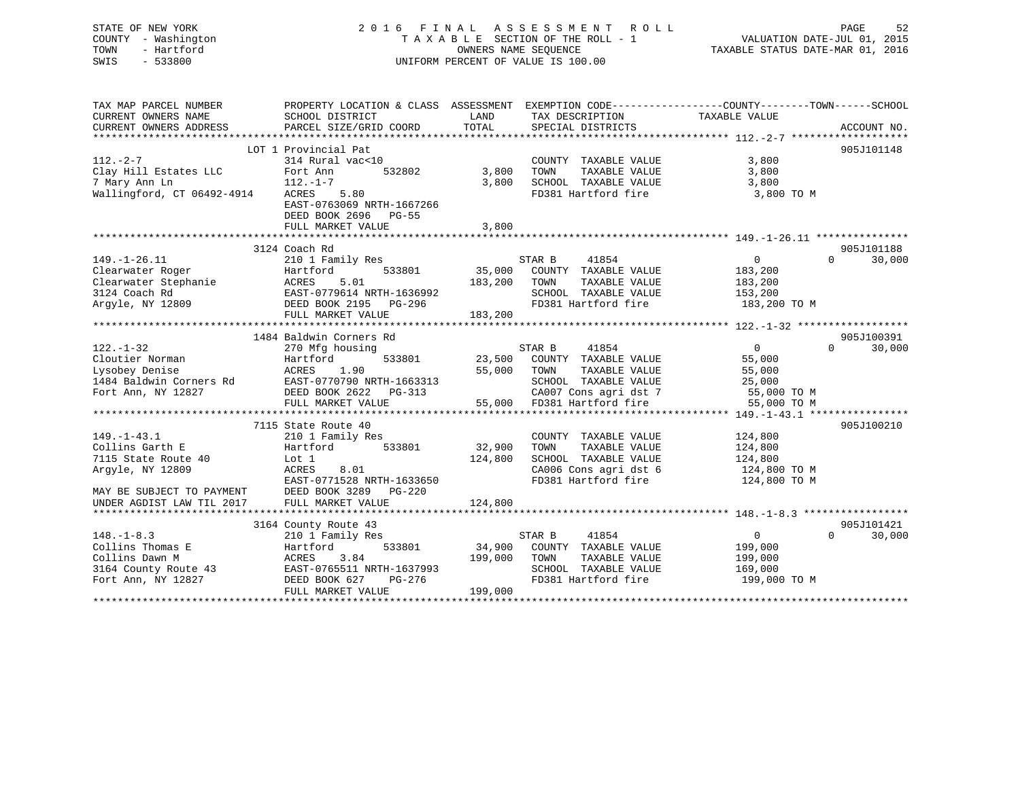| STATE OF NEW YORK<br>- Washington<br>COUNTY<br>- Hartford<br>TOWN<br>$-533800$<br>SWIS          | 2016 FINAL                                                                   |                    | ASSESSMENT ROLL<br>TAXABLE SECTION OF THE ROLL - 1<br>OWNERS NAME SEOUENCE<br>UNIFORM PERCENT OF VALUE IS 100.00 | 52<br>PAGE<br>VALUATION DATE-JUL 01, 2015<br>TAXABLE STATUS DATE-MAR 01, 2016                |
|-------------------------------------------------------------------------------------------------|------------------------------------------------------------------------------|--------------------|------------------------------------------------------------------------------------------------------------------|----------------------------------------------------------------------------------------------|
| TAX MAP PARCEL NUMBER<br>CURRENT OWNERS NAME<br>CURRENT OWNERS ADDRESS                          | PROPERTY LOCATION & CLASS<br>SCHOOL DISTRICT<br>PARCEL SIZE/GRID COORD TOTAL | ASSESSMENT<br>LAND | TAX DESCRIPTION<br>SPECIAL DISTRICTS                                                                             | EXEMPTION CODE-----------------COUNTY-------TOWN------SCHOOL<br>TAXABLE VALUE<br>ACCOUNT NO. |
| $112. - 2 - 7$<br>Clay Hill Estates LLC<br>7 Mary Ann Ln 112.-1-7<br>Wallingford, CT 06492-4914 | LOT 1 Provincial Pat<br>314 Rural vac<10<br>532802<br>Fort Ann<br>ACRES 5.80 | 3,800<br>3,800     | COUNTY<br>TAXABLE VALUE<br>TAXABLE VALUE<br>TOWN<br>SCHOOL<br>TAXABLE VALUE<br>FD381 Hartford fire               | 905J101148<br>3,800<br>3,800<br>3,800<br>3,800 TO M                                          |

EAST-0763069 NRTH-1667266

|                           | DEED BOOK 2696<br>PG-55<br>FULL MARKET VALUE | 3,800                             |                                       |
|---------------------------|----------------------------------------------|-----------------------------------|---------------------------------------|
|                           |                                              |                                   |                                       |
|                           | 3124 Coach Rd                                |                                   | 905J101188                            |
| $149. - 1 - 26.11$        | 210 1 Family Res                             | STAR B<br>41854                   | $\mathbf{0}$<br>$\mathbf 0$<br>30,000 |
| Clearwater Roger          | 533801<br>Hartford                           | 35,000<br>COUNTY<br>TAXABLE VALUE | 183,200                               |
| Clearwater Stephanie      | 5.01<br>ACRES                                | 183,200<br>TOWN<br>TAXABLE VALUE  | 183,200                               |
| 3124 Coach Rd             | EAST-0779614 NRTH-1636992                    | SCHOOL TAXABLE VALUE              | 153,200                               |
| Arqyle, NY 12809          | DEED BOOK 2195<br>PG-296                     | FD381 Hartford fire               | 183,200 TO M                          |
|                           | FULL MARKET VALUE                            | 183,200                           |                                       |
|                           |                                              |                                   |                                       |
|                           | 1484 Baldwin Corners Rd                      |                                   | 905J100391                            |
| $122. - 1 - 32$           | 270 Mfg housing                              | STAR B<br>41854                   | $\overline{0}$<br>$\Omega$<br>30,000  |
| Cloutier Norman           | 533801<br>Hartford                           | 23,500<br>COUNTY TAXABLE VALUE    | 55,000                                |
| Lysobey Denise            | 1.90<br>ACRES                                | 55,000<br>TOWN<br>TAXABLE VALUE   | 55,000                                |
| 1484 Baldwin Corners Rd   | EAST-0770790 NRTH-1663313                    | SCHOOL TAXABLE VALUE              | 25,000                                |
| Fort Ann, NY 12827        | DEED BOOK 2622<br>PG-313                     | CA007 Cons agri dst 7             | 55,000 TO M                           |
|                           | FULL MARKET VALUE                            | 55,000 FD381 Hartford fire        | 55,000 TO M                           |
|                           |                                              |                                   |                                       |
|                           | 7115 State Route 40                          |                                   | 905J100210                            |
| $149. - 1 - 43.1$         | 210 1 Family Res                             | COUNTY TAXABLE VALUE              | 124,800                               |
| Collins Garth E           | Hartford<br>533801                           | 32,900<br>TAXABLE VALUE<br>TOWN   | 124,800                               |
| 7115 State Route 40       | Lot 1                                        | 124,800<br>SCHOOL TAXABLE VALUE   | 124,800                               |
| Arqyle, NY 12809          | ACRES<br>8.01                                | CA006 Cons agri dst 6             | 124,800 TO M                          |
|                           | EAST-0771528 NRTH-1633650                    | FD381 Hartford fire               | 124,800 TO M                          |
| MAY BE SUBJECT TO PAYMENT | DEED BOOK 3289<br>PG-220                     |                                   |                                       |
| UNDER AGDIST LAW TIL 2017 | FULL MARKET VALUE                            | 124,800                           |                                       |
|                           |                                              |                                   |                                       |
|                           | 3164 County Route 43                         |                                   | 905J101421                            |
| $148. - 1 - 8.3$          | 210 1 Family Res                             | STAR B<br>41854                   | 30,000<br>$\Omega$<br>$\Omega$        |
| Collins Thomas E          | 533801<br>Hartford                           | 34,900<br>COUNTY TAXABLE VALUE    | 199,000                               |
| Collins Dawn M            | 3.84<br>ACRES                                | 199,000<br>TOWN<br>TAXABLE VALUE  | 199,000                               |
| 3164 County Route 43      | EAST-0765511 NRTH-1637993                    | TAXABLE VALUE<br>SCHOOL           | 169,000                               |
| Fort Ann, NY 12827        | DEED BOOK 627<br>PG-276                      | FD381 Hartford fire               | 199,000 TO M                          |
|                           | FULL MARKET VALUE                            | 199,000                           |                                       |
|                           |                                              |                                   |                                       |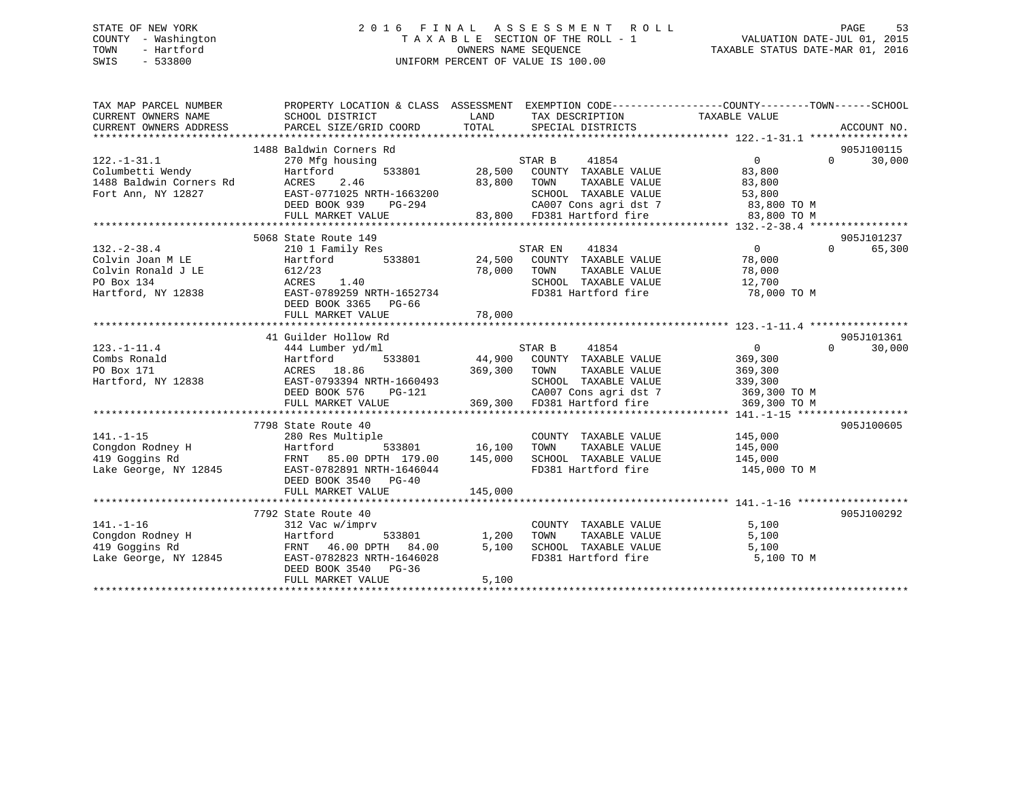### STATE OF NEW YORK 2 0 1 6 F I N A L A S S E S S M E N T R O L L PAGE 53 COUNTY - Washington T A X A B L E SECTION OF THE ROLL - 1 VALUATION DATE-JUL 01, 2015 TOWN - Hartford **TAXABLE STATUS DATE-MAR 01, 2016** OWNERS NAME SEQUENCE TAXABLE STATUS DATE-MAR 01, 2016 SWIS - 533800 UNIFORM PERCENT OF VALUE IS 100.00

| TAX MAP PARCEL NUMBER<br>CURRENT OWNERS NAME<br>CURRENT OWNERS ADDRESS                                                                                                                                                        | PROPERTY LOCATION & CLASS ASSESSMENT EXEMPTION CODE----------------COUNTY-------TOWN------SCHOOL<br>SCHOOL DISTRICT<br>PARCEL SIZE/GRID COORD                                                  | LAND<br>TOTAL                       | TAX DESCRIPTION TAXABLE VALUE<br>SPECIAL DISTRICTS                                                                                                                        |                                                                                 |          | ACCOUNT NO.          |
|-------------------------------------------------------------------------------------------------------------------------------------------------------------------------------------------------------------------------------|------------------------------------------------------------------------------------------------------------------------------------------------------------------------------------------------|-------------------------------------|---------------------------------------------------------------------------------------------------------------------------------------------------------------------------|---------------------------------------------------------------------------------|----------|----------------------|
| $122. - 1 - 31.1$<br>Columbetti Wendy<br>1488 Baldwin Corners Rd<br>Fort Ann, NY 12827                                                                                                                                        | 1488 Baldwin Corners Rd<br>270 Mfg housing<br>Hartford<br>ACRES<br>2.46<br>EAST-0771025 NRTH-1663200<br>DEED BOOK 939<br>PG-294<br>FULL MARKET VALUE                                           | 83,800                              | STAR B<br>41854<br>533801 28,500 COUNTY TAXABLE VALUE<br>TAXABLE VALUE<br>TOWN<br>SCHOOL TAXABLE VALUE<br>CA007 Cons agri dst 7 83,800 TO M<br>83,800 FD381 Hartford fire | $\Omega$<br>83,800<br>83,800<br>53,800<br>83,800 TO M                           | $\Omega$ | 905J100115<br>30,000 |
|                                                                                                                                                                                                                               |                                                                                                                                                                                                |                                     |                                                                                                                                                                           |                                                                                 |          |                      |
| $132 - 2 - 38.4$<br>Colvin Joan M LE<br>Colvin Ronald J LE<br>PO Box 134<br>Hartford, NY 12838                                                                                                                                | 5068 State Route 149<br>210 1 Family Res<br>533801<br>Hartford<br>612/23<br>ACRES<br>1.40<br>EAST-0789259 NRTH-1652734<br>DEED BOOK 3365 PG-66                                                 | 78,000 TOWN                         | STAR EN<br>41834<br>24,500 COUNTY TAXABLE VALUE<br>TAXABLE VALUE<br>SCHOOL TAXABLE VALUE<br>FD381 Hartford fire 78,000 TO M                                               | $\overline{0}$<br>78,000<br>78,000<br>12,700                                    | $\Omega$ | 905J101237<br>65,300 |
|                                                                                                                                                                                                                               |                                                                                                                                                                                                |                                     |                                                                                                                                                                           |                                                                                 |          |                      |
|                                                                                                                                                                                                                               |                                                                                                                                                                                                |                                     |                                                                                                                                                                           |                                                                                 |          |                      |
|                                                                                                                                                                                                                               | 41 Guilder Hollow Rd                                                                                                                                                                           |                                     |                                                                                                                                                                           |                                                                                 |          | 905J101361           |
| $123. - 1 - 11.4$<br>Combs Ronald<br>PO Box 171<br>Hartford, NY 12838                                                                                                                                                         | 444 Lumber yd/ml<br>Hartford<br>ACRES 18.86<br>EAST-0793394 NRTH-1660493<br>DEED BOOK 576<br>PG-121<br>FULL MARKET VALUE                                                                       | 369,300                             | STAR B<br>41854<br>533801 44,900 COUNTY TAXABLE VALUE<br>TOWN<br>TAXABLE VALUE<br>SCHOOL TAXABLE VALUE<br>CA007 Cons agri dst 7<br>369,300 FD381 Hartford fire            | $\overline{0}$<br>369,300<br>369,300<br>339,300<br>369,300 TO M<br>369,300 TO M | $\Omega$ | 30,000               |
|                                                                                                                                                                                                                               |                                                                                                                                                                                                |                                     |                                                                                                                                                                           |                                                                                 |          |                      |
| $141. - 1 - 15$<br>e e control de la partida.<br>Estados de la partida de la partida de la partida de la partida de la partida de la partida de la partida del<br>Congdon Rodney H<br>419 Goggins Rd<br>Lake George, NY 12845 | 7798 State Route 40<br>280 Res Multiple<br>Hartford<br>FRNT 85.00 DPTH 179.00<br>EAST-0782891 NRTH-1646044<br>DEED BOOK 3540 PG-40<br>FULL MARKET VALUE                                        | 533801 16,100<br>145,000<br>145,000 | COUNTY TAXABLE VALUE<br>TAXABLE VALUE<br>TOWN<br>SCHOOL TAXABLE VALUE<br>FD381 Hartford fire                                                                              | 145,000<br>145,000<br>145,000<br>145,000 TO M                                   |          | 905J100605           |
|                                                                                                                                                                                                                               |                                                                                                                                                                                                |                                     |                                                                                                                                                                           |                                                                                 |          |                      |
| $141. - 1 - 16$<br>Congdon Rodney H<br>419 Goggins Rd<br>Lake George, NY 12845                                                                                                                                                | 7792 State Route 40<br>312 Vac w/imprv<br>533801 1,200<br>FRNT 46.00 DPTH 84.00 5,100<br>EAST-0782823 NPTH 1616000 5<br>EAST-0782823 NRTH-1646028<br>DEED BOOK 3540 PG-36<br>FULL MARKET VALUE | 5,100                               | COUNTY TAXABLE VALUE<br>TOWN<br>TAXABLE VALUE<br>TOWN       TAXABLE  VALUE<br>SCHOOL    TAXABLE  VALUE<br>FD381 Hartford fire                                             | 5,100<br>5,100<br>5,100<br>5,100 TO M                                           |          | 905J100292           |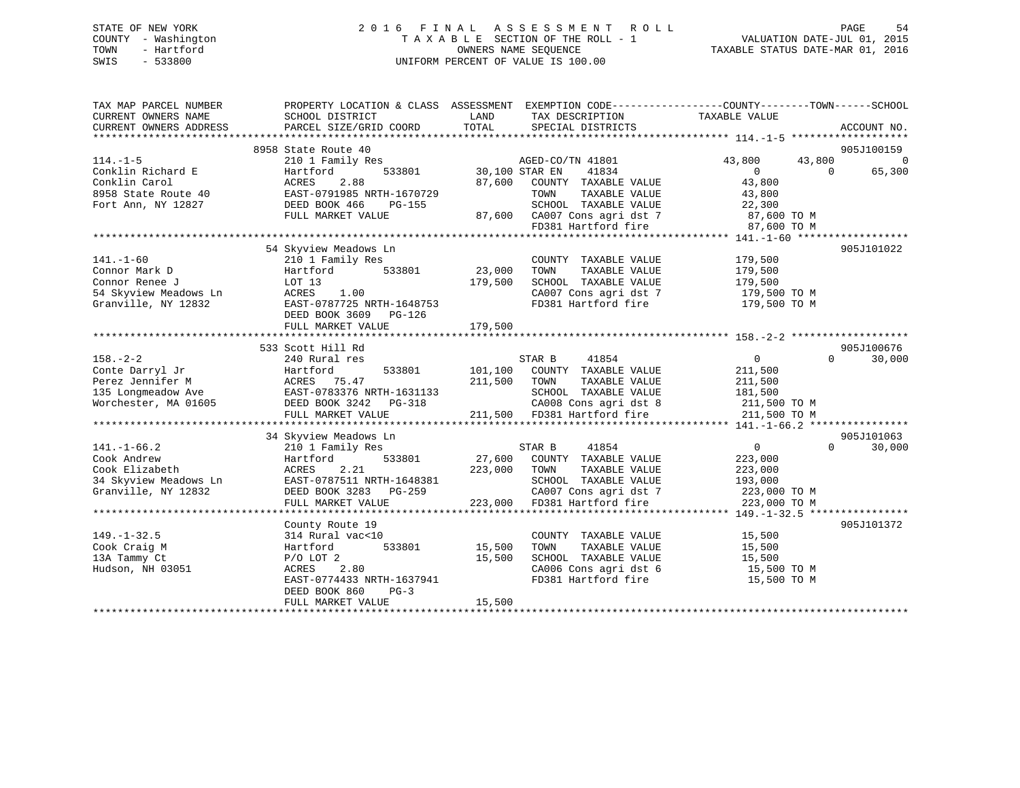### STATE OF NEW YORK 2 0 1 6 F I N A L A S S E S S M E N T R O L L PAGE 54 COUNTY - Washington T A X A B L E SECTION OF THE ROLL - 1 VALUATION DATE-JUL 01, 2015 TOWN - Hartford **TAXABLE STATUS DATE-MAR 01, 2016** OWNERS NAME SEQUENCE TAXABLE STATUS DATE-MAR 01, 2016 SWIS - 533800 UNIFORM PERCENT OF VALUE IS 100.00

| TOTAL<br>PARCEL SIZE/GRID COORD<br>SPECIAL DISTRICTS<br>ACCOUNT NO.<br>8958 State Route 40<br>905J100159<br>AGED-CO/TN 41801<br>43,800<br>210 1 Family Res<br>43,800<br>0<br>41834<br>$\overline{0}$<br>65,300<br>Conklin Richard E<br>Hartford<br>533801<br>30,100 STAR EN<br>$\Omega$<br>Conklin Carol<br>ACRES<br>2.88<br>87,600<br>COUNTY TAXABLE VALUE<br>43,800<br>EAST-0791985 NRTH-1670729<br>8958 State Route 40<br>TOWN<br>TAXABLE VALUE<br>43,800<br>DEED BOOK 466<br>SCHOOL TAXABLE VALUE<br>PG-155<br>22,300<br>FULL MARKET VALUE<br>87,600 CA007 Cons agri dst 7<br>87,600 TO M<br>FD381 Hartford fire<br>87,600 TO M<br>54 Skyview Meadows Ln<br>905J101022<br>210 1 Family Res<br>COUNTY TAXABLE VALUE<br>179,500<br>Connor Mark D<br>533801<br>23,000<br>TAXABLE VALUE<br>179,500<br>Hartford<br>TOWN<br>SCHOOL TAXABLE VALUE<br>Connor Renee J<br>LOT 13<br>179,500<br>179,500<br>1.00<br>CA007 Cons agri dst 7<br>54 Skyview Meadows Ln<br>ACRES<br>179,500 TO M<br>FD381 Hartford fire<br>Granville, NY 12832<br>EAST-0787725 NRTH-1648753<br>179,500 TO M<br>DEED BOOK 3609 PG-126<br>179,500<br>FULL MARKET VALUE<br>905J100676<br>533 Scott Hill Rd<br>$158. - 2 - 2$<br>$\overline{0}$<br>30,000<br>240 Rural res<br>STAR B<br>41854<br>$\Omega$<br>Conte Darryl Jr<br>533801<br>101,100<br>COUNTY TAXABLE VALUE<br>211,500<br>Hartford<br>Perez Jennifer M<br>ACRES 75.47<br>211,500<br>TOWN<br>TAXABLE VALUE<br>211,500<br>EAST-0783376 NRTH-1631133<br>135 Longmeadow Ave<br>SCHOOL TAXABLE VALUE<br>181,500<br>Worchester, MA 01605<br>DEED BOOK 3242 PG-318<br>CA008 Cons agri dst 8<br>211,500 TO M<br>211,500 FD381 Hartford fire<br>FULL MARKET VALUE<br>211,500 TO M<br>905J101063<br>34 Skyview Meadows Ln<br>41854<br>0<br>$\Omega$<br>$141. - 1 - 66.2$<br>210 1 Family Res<br>STAR B<br>30,000<br>533801<br>27,600 COUNTY TAXABLE VALUE<br>Cook Andrew<br>Hartford<br>223,000<br>2.21<br>223,000<br>Cook Elizabeth<br>ACRES<br>TOWN<br>TAXABLE VALUE<br>223,000<br>34 Skyview Meadows Ln<br>EAST-0787511 NRTH-1648381<br>SCHOOL TAXABLE VALUE<br>193,000<br>CA007 Cons agri dst 7<br>Granville, NY 12832<br>DEED BOOK 3283 PG-259<br>223,000 TO M<br>223,000<br>FD381 Hartford fire<br>FULL MARKET VALUE<br>223,000 TO M<br>905J101372<br>County Route 19<br>$149. - 1 - 32.5$<br>314 Rural vac<10<br>COUNTY TAXABLE VALUE<br>15,500<br>533801<br>15,500<br>TAXABLE VALUE<br>Cook Craig M<br>Hartford<br>TOWN<br>15,500<br>13A Tammy Ct<br>15,500<br>SCHOOL TAXABLE VALUE<br>15,500<br>$P/O$ LOT 2<br>ACRES<br>2.80<br>CA006 Cons agri dst 6<br>15,500 TO M<br>Hudson, NH 03051<br>FD381 Hartford fire<br>EAST-0774433 NRTH-1637941<br>15,500 TO M<br>DEED BOOK 860<br>$PG-3$<br>15,500<br>FULL MARKET VALUE | TAX MAP PARCEL NUMBER<br>CURRENT OWNERS NAME | PROPERTY LOCATION & CLASS ASSESSMENT EXEMPTION CODE---------------COUNTY-------TOWN------SCHOOL<br>SCHOOL DISTRICT | LAND | TAX DESCRIPTION | TAXABLE VALUE |  |
|---------------------------------------------------------------------------------------------------------------------------------------------------------------------------------------------------------------------------------------------------------------------------------------------------------------------------------------------------------------------------------------------------------------------------------------------------------------------------------------------------------------------------------------------------------------------------------------------------------------------------------------------------------------------------------------------------------------------------------------------------------------------------------------------------------------------------------------------------------------------------------------------------------------------------------------------------------------------------------------------------------------------------------------------------------------------------------------------------------------------------------------------------------------------------------------------------------------------------------------------------------------------------------------------------------------------------------------------------------------------------------------------------------------------------------------------------------------------------------------------------------------------------------------------------------------------------------------------------------------------------------------------------------------------------------------------------------------------------------------------------------------------------------------------------------------------------------------------------------------------------------------------------------------------------------------------------------------------------------------------------------------------------------------------------------------------------------------------------------------------------------------------------------------------------------------------------------------------------------------------------------------------------------------------------------------------------------------------------------------------------------------------------------------------------------------------------------------------------------------------------------------------------------------------------------------------------------------------------------------------------------------------------------------------------------------------------------------------------------------------------|----------------------------------------------|--------------------------------------------------------------------------------------------------------------------|------|-----------------|---------------|--|
|                                                                                                                                                                                                                                                                                                                                                                                                                                                                                                                                                                                                                                                                                                                                                                                                                                                                                                                                                                                                                                                                                                                                                                                                                                                                                                                                                                                                                                                                                                                                                                                                                                                                                                                                                                                                                                                                                                                                                                                                                                                                                                                                                                                                                                                                                                                                                                                                                                                                                                                                                                                                                                                                                                                                                   | CURRENT OWNERS ADDRESS                       |                                                                                                                    |      |                 |               |  |
|                                                                                                                                                                                                                                                                                                                                                                                                                                                                                                                                                                                                                                                                                                                                                                                                                                                                                                                                                                                                                                                                                                                                                                                                                                                                                                                                                                                                                                                                                                                                                                                                                                                                                                                                                                                                                                                                                                                                                                                                                                                                                                                                                                                                                                                                                                                                                                                                                                                                                                                                                                                                                                                                                                                                                   |                                              |                                                                                                                    |      |                 |               |  |
|                                                                                                                                                                                                                                                                                                                                                                                                                                                                                                                                                                                                                                                                                                                                                                                                                                                                                                                                                                                                                                                                                                                                                                                                                                                                                                                                                                                                                                                                                                                                                                                                                                                                                                                                                                                                                                                                                                                                                                                                                                                                                                                                                                                                                                                                                                                                                                                                                                                                                                                                                                                                                                                                                                                                                   |                                              |                                                                                                                    |      |                 |               |  |
|                                                                                                                                                                                                                                                                                                                                                                                                                                                                                                                                                                                                                                                                                                                                                                                                                                                                                                                                                                                                                                                                                                                                                                                                                                                                                                                                                                                                                                                                                                                                                                                                                                                                                                                                                                                                                                                                                                                                                                                                                                                                                                                                                                                                                                                                                                                                                                                                                                                                                                                                                                                                                                                                                                                                                   | $114. - 1 - 5$                               |                                                                                                                    |      |                 |               |  |
|                                                                                                                                                                                                                                                                                                                                                                                                                                                                                                                                                                                                                                                                                                                                                                                                                                                                                                                                                                                                                                                                                                                                                                                                                                                                                                                                                                                                                                                                                                                                                                                                                                                                                                                                                                                                                                                                                                                                                                                                                                                                                                                                                                                                                                                                                                                                                                                                                                                                                                                                                                                                                                                                                                                                                   |                                              |                                                                                                                    |      |                 |               |  |
|                                                                                                                                                                                                                                                                                                                                                                                                                                                                                                                                                                                                                                                                                                                                                                                                                                                                                                                                                                                                                                                                                                                                                                                                                                                                                                                                                                                                                                                                                                                                                                                                                                                                                                                                                                                                                                                                                                                                                                                                                                                                                                                                                                                                                                                                                                                                                                                                                                                                                                                                                                                                                                                                                                                                                   |                                              |                                                                                                                    |      |                 |               |  |
|                                                                                                                                                                                                                                                                                                                                                                                                                                                                                                                                                                                                                                                                                                                                                                                                                                                                                                                                                                                                                                                                                                                                                                                                                                                                                                                                                                                                                                                                                                                                                                                                                                                                                                                                                                                                                                                                                                                                                                                                                                                                                                                                                                                                                                                                                                                                                                                                                                                                                                                                                                                                                                                                                                                                                   |                                              |                                                                                                                    |      |                 |               |  |
|                                                                                                                                                                                                                                                                                                                                                                                                                                                                                                                                                                                                                                                                                                                                                                                                                                                                                                                                                                                                                                                                                                                                                                                                                                                                                                                                                                                                                                                                                                                                                                                                                                                                                                                                                                                                                                                                                                                                                                                                                                                                                                                                                                                                                                                                                                                                                                                                                                                                                                                                                                                                                                                                                                                                                   | Fort Ann, NY 12827                           |                                                                                                                    |      |                 |               |  |
|                                                                                                                                                                                                                                                                                                                                                                                                                                                                                                                                                                                                                                                                                                                                                                                                                                                                                                                                                                                                                                                                                                                                                                                                                                                                                                                                                                                                                                                                                                                                                                                                                                                                                                                                                                                                                                                                                                                                                                                                                                                                                                                                                                                                                                                                                                                                                                                                                                                                                                                                                                                                                                                                                                                                                   |                                              |                                                                                                                    |      |                 |               |  |
|                                                                                                                                                                                                                                                                                                                                                                                                                                                                                                                                                                                                                                                                                                                                                                                                                                                                                                                                                                                                                                                                                                                                                                                                                                                                                                                                                                                                                                                                                                                                                                                                                                                                                                                                                                                                                                                                                                                                                                                                                                                                                                                                                                                                                                                                                                                                                                                                                                                                                                                                                                                                                                                                                                                                                   |                                              |                                                                                                                    |      |                 |               |  |
|                                                                                                                                                                                                                                                                                                                                                                                                                                                                                                                                                                                                                                                                                                                                                                                                                                                                                                                                                                                                                                                                                                                                                                                                                                                                                                                                                                                                                                                                                                                                                                                                                                                                                                                                                                                                                                                                                                                                                                                                                                                                                                                                                                                                                                                                                                                                                                                                                                                                                                                                                                                                                                                                                                                                                   |                                              |                                                                                                                    |      |                 |               |  |
|                                                                                                                                                                                                                                                                                                                                                                                                                                                                                                                                                                                                                                                                                                                                                                                                                                                                                                                                                                                                                                                                                                                                                                                                                                                                                                                                                                                                                                                                                                                                                                                                                                                                                                                                                                                                                                                                                                                                                                                                                                                                                                                                                                                                                                                                                                                                                                                                                                                                                                                                                                                                                                                                                                                                                   |                                              |                                                                                                                    |      |                 |               |  |
|                                                                                                                                                                                                                                                                                                                                                                                                                                                                                                                                                                                                                                                                                                                                                                                                                                                                                                                                                                                                                                                                                                                                                                                                                                                                                                                                                                                                                                                                                                                                                                                                                                                                                                                                                                                                                                                                                                                                                                                                                                                                                                                                                                                                                                                                                                                                                                                                                                                                                                                                                                                                                                                                                                                                                   | $141. - 1 - 60$                              |                                                                                                                    |      |                 |               |  |
|                                                                                                                                                                                                                                                                                                                                                                                                                                                                                                                                                                                                                                                                                                                                                                                                                                                                                                                                                                                                                                                                                                                                                                                                                                                                                                                                                                                                                                                                                                                                                                                                                                                                                                                                                                                                                                                                                                                                                                                                                                                                                                                                                                                                                                                                                                                                                                                                                                                                                                                                                                                                                                                                                                                                                   |                                              |                                                                                                                    |      |                 |               |  |
|                                                                                                                                                                                                                                                                                                                                                                                                                                                                                                                                                                                                                                                                                                                                                                                                                                                                                                                                                                                                                                                                                                                                                                                                                                                                                                                                                                                                                                                                                                                                                                                                                                                                                                                                                                                                                                                                                                                                                                                                                                                                                                                                                                                                                                                                                                                                                                                                                                                                                                                                                                                                                                                                                                                                                   |                                              |                                                                                                                    |      |                 |               |  |
|                                                                                                                                                                                                                                                                                                                                                                                                                                                                                                                                                                                                                                                                                                                                                                                                                                                                                                                                                                                                                                                                                                                                                                                                                                                                                                                                                                                                                                                                                                                                                                                                                                                                                                                                                                                                                                                                                                                                                                                                                                                                                                                                                                                                                                                                                                                                                                                                                                                                                                                                                                                                                                                                                                                                                   |                                              |                                                                                                                    |      |                 |               |  |
|                                                                                                                                                                                                                                                                                                                                                                                                                                                                                                                                                                                                                                                                                                                                                                                                                                                                                                                                                                                                                                                                                                                                                                                                                                                                                                                                                                                                                                                                                                                                                                                                                                                                                                                                                                                                                                                                                                                                                                                                                                                                                                                                                                                                                                                                                                                                                                                                                                                                                                                                                                                                                                                                                                                                                   |                                              |                                                                                                                    |      |                 |               |  |
|                                                                                                                                                                                                                                                                                                                                                                                                                                                                                                                                                                                                                                                                                                                                                                                                                                                                                                                                                                                                                                                                                                                                                                                                                                                                                                                                                                                                                                                                                                                                                                                                                                                                                                                                                                                                                                                                                                                                                                                                                                                                                                                                                                                                                                                                                                                                                                                                                                                                                                                                                                                                                                                                                                                                                   |                                              |                                                                                                                    |      |                 |               |  |
|                                                                                                                                                                                                                                                                                                                                                                                                                                                                                                                                                                                                                                                                                                                                                                                                                                                                                                                                                                                                                                                                                                                                                                                                                                                                                                                                                                                                                                                                                                                                                                                                                                                                                                                                                                                                                                                                                                                                                                                                                                                                                                                                                                                                                                                                                                                                                                                                                                                                                                                                                                                                                                                                                                                                                   |                                              |                                                                                                                    |      |                 |               |  |
|                                                                                                                                                                                                                                                                                                                                                                                                                                                                                                                                                                                                                                                                                                                                                                                                                                                                                                                                                                                                                                                                                                                                                                                                                                                                                                                                                                                                                                                                                                                                                                                                                                                                                                                                                                                                                                                                                                                                                                                                                                                                                                                                                                                                                                                                                                                                                                                                                                                                                                                                                                                                                                                                                                                                                   |                                              |                                                                                                                    |      |                 |               |  |
|                                                                                                                                                                                                                                                                                                                                                                                                                                                                                                                                                                                                                                                                                                                                                                                                                                                                                                                                                                                                                                                                                                                                                                                                                                                                                                                                                                                                                                                                                                                                                                                                                                                                                                                                                                                                                                                                                                                                                                                                                                                                                                                                                                                                                                                                                                                                                                                                                                                                                                                                                                                                                                                                                                                                                   |                                              |                                                                                                                    |      |                 |               |  |
|                                                                                                                                                                                                                                                                                                                                                                                                                                                                                                                                                                                                                                                                                                                                                                                                                                                                                                                                                                                                                                                                                                                                                                                                                                                                                                                                                                                                                                                                                                                                                                                                                                                                                                                                                                                                                                                                                                                                                                                                                                                                                                                                                                                                                                                                                                                                                                                                                                                                                                                                                                                                                                                                                                                                                   |                                              |                                                                                                                    |      |                 |               |  |
|                                                                                                                                                                                                                                                                                                                                                                                                                                                                                                                                                                                                                                                                                                                                                                                                                                                                                                                                                                                                                                                                                                                                                                                                                                                                                                                                                                                                                                                                                                                                                                                                                                                                                                                                                                                                                                                                                                                                                                                                                                                                                                                                                                                                                                                                                                                                                                                                                                                                                                                                                                                                                                                                                                                                                   |                                              |                                                                                                                    |      |                 |               |  |
|                                                                                                                                                                                                                                                                                                                                                                                                                                                                                                                                                                                                                                                                                                                                                                                                                                                                                                                                                                                                                                                                                                                                                                                                                                                                                                                                                                                                                                                                                                                                                                                                                                                                                                                                                                                                                                                                                                                                                                                                                                                                                                                                                                                                                                                                                                                                                                                                                                                                                                                                                                                                                                                                                                                                                   |                                              |                                                                                                                    |      |                 |               |  |
|                                                                                                                                                                                                                                                                                                                                                                                                                                                                                                                                                                                                                                                                                                                                                                                                                                                                                                                                                                                                                                                                                                                                                                                                                                                                                                                                                                                                                                                                                                                                                                                                                                                                                                                                                                                                                                                                                                                                                                                                                                                                                                                                                                                                                                                                                                                                                                                                                                                                                                                                                                                                                                                                                                                                                   |                                              |                                                                                                                    |      |                 |               |  |
|                                                                                                                                                                                                                                                                                                                                                                                                                                                                                                                                                                                                                                                                                                                                                                                                                                                                                                                                                                                                                                                                                                                                                                                                                                                                                                                                                                                                                                                                                                                                                                                                                                                                                                                                                                                                                                                                                                                                                                                                                                                                                                                                                                                                                                                                                                                                                                                                                                                                                                                                                                                                                                                                                                                                                   |                                              |                                                                                                                    |      |                 |               |  |
|                                                                                                                                                                                                                                                                                                                                                                                                                                                                                                                                                                                                                                                                                                                                                                                                                                                                                                                                                                                                                                                                                                                                                                                                                                                                                                                                                                                                                                                                                                                                                                                                                                                                                                                                                                                                                                                                                                                                                                                                                                                                                                                                                                                                                                                                                                                                                                                                                                                                                                                                                                                                                                                                                                                                                   |                                              |                                                                                                                    |      |                 |               |  |
|                                                                                                                                                                                                                                                                                                                                                                                                                                                                                                                                                                                                                                                                                                                                                                                                                                                                                                                                                                                                                                                                                                                                                                                                                                                                                                                                                                                                                                                                                                                                                                                                                                                                                                                                                                                                                                                                                                                                                                                                                                                                                                                                                                                                                                                                                                                                                                                                                                                                                                                                                                                                                                                                                                                                                   |                                              |                                                                                                                    |      |                 |               |  |
|                                                                                                                                                                                                                                                                                                                                                                                                                                                                                                                                                                                                                                                                                                                                                                                                                                                                                                                                                                                                                                                                                                                                                                                                                                                                                                                                                                                                                                                                                                                                                                                                                                                                                                                                                                                                                                                                                                                                                                                                                                                                                                                                                                                                                                                                                                                                                                                                                                                                                                                                                                                                                                                                                                                                                   |                                              |                                                                                                                    |      |                 |               |  |
|                                                                                                                                                                                                                                                                                                                                                                                                                                                                                                                                                                                                                                                                                                                                                                                                                                                                                                                                                                                                                                                                                                                                                                                                                                                                                                                                                                                                                                                                                                                                                                                                                                                                                                                                                                                                                                                                                                                                                                                                                                                                                                                                                                                                                                                                                                                                                                                                                                                                                                                                                                                                                                                                                                                                                   |                                              |                                                                                                                    |      |                 |               |  |
|                                                                                                                                                                                                                                                                                                                                                                                                                                                                                                                                                                                                                                                                                                                                                                                                                                                                                                                                                                                                                                                                                                                                                                                                                                                                                                                                                                                                                                                                                                                                                                                                                                                                                                                                                                                                                                                                                                                                                                                                                                                                                                                                                                                                                                                                                                                                                                                                                                                                                                                                                                                                                                                                                                                                                   |                                              |                                                                                                                    |      |                 |               |  |
|                                                                                                                                                                                                                                                                                                                                                                                                                                                                                                                                                                                                                                                                                                                                                                                                                                                                                                                                                                                                                                                                                                                                                                                                                                                                                                                                                                                                                                                                                                                                                                                                                                                                                                                                                                                                                                                                                                                                                                                                                                                                                                                                                                                                                                                                                                                                                                                                                                                                                                                                                                                                                                                                                                                                                   |                                              |                                                                                                                    |      |                 |               |  |
|                                                                                                                                                                                                                                                                                                                                                                                                                                                                                                                                                                                                                                                                                                                                                                                                                                                                                                                                                                                                                                                                                                                                                                                                                                                                                                                                                                                                                                                                                                                                                                                                                                                                                                                                                                                                                                                                                                                                                                                                                                                                                                                                                                                                                                                                                                                                                                                                                                                                                                                                                                                                                                                                                                                                                   |                                              |                                                                                                                    |      |                 |               |  |
|                                                                                                                                                                                                                                                                                                                                                                                                                                                                                                                                                                                                                                                                                                                                                                                                                                                                                                                                                                                                                                                                                                                                                                                                                                                                                                                                                                                                                                                                                                                                                                                                                                                                                                                                                                                                                                                                                                                                                                                                                                                                                                                                                                                                                                                                                                                                                                                                                                                                                                                                                                                                                                                                                                                                                   |                                              |                                                                                                                    |      |                 |               |  |
|                                                                                                                                                                                                                                                                                                                                                                                                                                                                                                                                                                                                                                                                                                                                                                                                                                                                                                                                                                                                                                                                                                                                                                                                                                                                                                                                                                                                                                                                                                                                                                                                                                                                                                                                                                                                                                                                                                                                                                                                                                                                                                                                                                                                                                                                                                                                                                                                                                                                                                                                                                                                                                                                                                                                                   |                                              |                                                                                                                    |      |                 |               |  |
|                                                                                                                                                                                                                                                                                                                                                                                                                                                                                                                                                                                                                                                                                                                                                                                                                                                                                                                                                                                                                                                                                                                                                                                                                                                                                                                                                                                                                                                                                                                                                                                                                                                                                                                                                                                                                                                                                                                                                                                                                                                                                                                                                                                                                                                                                                                                                                                                                                                                                                                                                                                                                                                                                                                                                   |                                              |                                                                                                                    |      |                 |               |  |
|                                                                                                                                                                                                                                                                                                                                                                                                                                                                                                                                                                                                                                                                                                                                                                                                                                                                                                                                                                                                                                                                                                                                                                                                                                                                                                                                                                                                                                                                                                                                                                                                                                                                                                                                                                                                                                                                                                                                                                                                                                                                                                                                                                                                                                                                                                                                                                                                                                                                                                                                                                                                                                                                                                                                                   |                                              |                                                                                                                    |      |                 |               |  |
|                                                                                                                                                                                                                                                                                                                                                                                                                                                                                                                                                                                                                                                                                                                                                                                                                                                                                                                                                                                                                                                                                                                                                                                                                                                                                                                                                                                                                                                                                                                                                                                                                                                                                                                                                                                                                                                                                                                                                                                                                                                                                                                                                                                                                                                                                                                                                                                                                                                                                                                                                                                                                                                                                                                                                   |                                              |                                                                                                                    |      |                 |               |  |
|                                                                                                                                                                                                                                                                                                                                                                                                                                                                                                                                                                                                                                                                                                                                                                                                                                                                                                                                                                                                                                                                                                                                                                                                                                                                                                                                                                                                                                                                                                                                                                                                                                                                                                                                                                                                                                                                                                                                                                                                                                                                                                                                                                                                                                                                                                                                                                                                                                                                                                                                                                                                                                                                                                                                                   |                                              |                                                                                                                    |      |                 |               |  |
|                                                                                                                                                                                                                                                                                                                                                                                                                                                                                                                                                                                                                                                                                                                                                                                                                                                                                                                                                                                                                                                                                                                                                                                                                                                                                                                                                                                                                                                                                                                                                                                                                                                                                                                                                                                                                                                                                                                                                                                                                                                                                                                                                                                                                                                                                                                                                                                                                                                                                                                                                                                                                                                                                                                                                   |                                              |                                                                                                                    |      |                 |               |  |
|                                                                                                                                                                                                                                                                                                                                                                                                                                                                                                                                                                                                                                                                                                                                                                                                                                                                                                                                                                                                                                                                                                                                                                                                                                                                                                                                                                                                                                                                                                                                                                                                                                                                                                                                                                                                                                                                                                                                                                                                                                                                                                                                                                                                                                                                                                                                                                                                                                                                                                                                                                                                                                                                                                                                                   |                                              |                                                                                                                    |      |                 |               |  |
|                                                                                                                                                                                                                                                                                                                                                                                                                                                                                                                                                                                                                                                                                                                                                                                                                                                                                                                                                                                                                                                                                                                                                                                                                                                                                                                                                                                                                                                                                                                                                                                                                                                                                                                                                                                                                                                                                                                                                                                                                                                                                                                                                                                                                                                                                                                                                                                                                                                                                                                                                                                                                                                                                                                                                   |                                              |                                                                                                                    |      |                 |               |  |
|                                                                                                                                                                                                                                                                                                                                                                                                                                                                                                                                                                                                                                                                                                                                                                                                                                                                                                                                                                                                                                                                                                                                                                                                                                                                                                                                                                                                                                                                                                                                                                                                                                                                                                                                                                                                                                                                                                                                                                                                                                                                                                                                                                                                                                                                                                                                                                                                                                                                                                                                                                                                                                                                                                                                                   |                                              |                                                                                                                    |      |                 |               |  |
|                                                                                                                                                                                                                                                                                                                                                                                                                                                                                                                                                                                                                                                                                                                                                                                                                                                                                                                                                                                                                                                                                                                                                                                                                                                                                                                                                                                                                                                                                                                                                                                                                                                                                                                                                                                                                                                                                                                                                                                                                                                                                                                                                                                                                                                                                                                                                                                                                                                                                                                                                                                                                                                                                                                                                   |                                              |                                                                                                                    |      |                 |               |  |
|                                                                                                                                                                                                                                                                                                                                                                                                                                                                                                                                                                                                                                                                                                                                                                                                                                                                                                                                                                                                                                                                                                                                                                                                                                                                                                                                                                                                                                                                                                                                                                                                                                                                                                                                                                                                                                                                                                                                                                                                                                                                                                                                                                                                                                                                                                                                                                                                                                                                                                                                                                                                                                                                                                                                                   |                                              |                                                                                                                    |      |                 |               |  |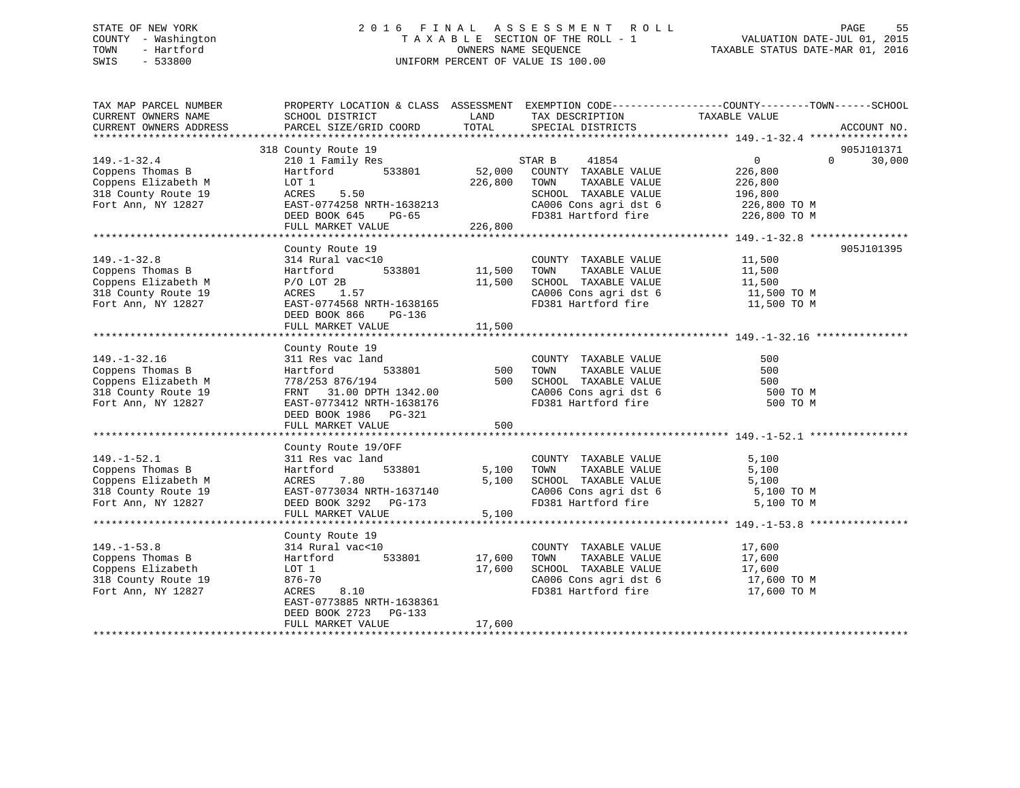### STATE OF NEW YORK 2 0 1 6 F I N A L A S S E S S M E N T R O L L PAGE 55 COUNTY - Washington T A X A B L E SECTION OF THE ROLL - 1 VALUATION DATE-JUL 01, 2015 TOWN - Hartford **TAXABLE STATUS DATE-MAR 01, 2016** OWNERS NAME SEQUENCE TAXABLE STATUS DATE-MAR 01, 2016 SWIS - 533800 UNIFORM PERCENT OF VALUE IS 100.00

| TAX MAP PARCEL NUMBER<br>CURRENT OWNERS NAME<br>CURRENT OWNERS ADDRESS                                     | SCHOOL DISTRICT<br>PARCEL SIZE/GRID COORD                                                                                                                                          | LAND<br>TOTAL                | TAX DESCRIPTION<br>SPECIAL DISTRICTS                                                                                                                    | PROPERTY LOCATION & CLASS ASSESSMENT EXEMPTION CODE----------------COUNTY-------TOWN------SCHOOL<br>TAXABLE VALUE<br>ACCOUNT NO. |
|------------------------------------------------------------------------------------------------------------|------------------------------------------------------------------------------------------------------------------------------------------------------------------------------------|------------------------------|---------------------------------------------------------------------------------------------------------------------------------------------------------|----------------------------------------------------------------------------------------------------------------------------------|
| $149. - 1 - 32.4$<br>Coppens Thomas B<br>Coppens Elizabeth M<br>318 County Route 19<br>Fort Ann, NY 12827  | 318 County Route 19<br>210 1 Family Res<br>533801<br>Hartford<br>LOT 1<br>5.50<br>ACRES<br>EAST-0774258 NRTH-1638213<br>DEED BOOK 645<br>PG-65<br>FULL MARKET VALUE                | 52,000<br>226,800<br>226,800 | STAR B<br>41854<br>COUNTY TAXABLE VALUE<br>TOWN<br>TAXABLE VALUE<br>SCHOOL TAXABLE VALUE<br>CA006 Cons agri dst 6<br>FD381 Hartford fire                | 905J101371<br>$\overline{0}$<br>30,000<br>$\Omega$<br>226,800<br>226,800<br>196,800<br>226,800 TO M<br>226,800 TO M              |
| $149. - 1 - 32.8$<br>Coppens Thomas B<br>Coppens Elizabeth M<br>318 County Route 19<br>Fort Ann, NY 12827  | County Route 19<br>314 Rural vac<10<br>533801<br>Hartford<br>$P/O$ LOT 2B<br>ACRES 1.57<br>EAST-0774568 NRTH-1638165<br>DEED BOOK 866<br>$PG-136$<br>FULL MARKET VALUE             | 11,500<br>11,500<br>11,500   | COUNTY TAXABLE VALUE<br>TOWN<br>TAXABLE VALUE<br>SCHOOL TAXABLE VALUE<br>CA006 Cons agri dst 6<br>FD381 Hartford fire                                   | 905J101395<br>11,500<br>11,500<br>11,500<br>11,500 TO M<br>11,500 TO M                                                           |
| $149. - 1 - 32.16$<br>Coppens Thomas B<br>Coppens Elizabeth M<br>318 County Route 19<br>Fort Ann, NY 12827 | County Route 19<br>311 Res vac land<br>533801<br>Hartford<br>778/253 876/194<br>FRNT 31.00 DPTH 1342.00<br>EAST-0773412 NRTH-1638176<br>DEED BOOK 1986 PG-321<br>FULL MARKET VALUE | 500<br>500<br>500            | COUNTY TAXABLE VALUE<br>TOWN<br>TAXABLE VALUE<br>SCHOOL TAXABLE VALUE<br>CA006 Cons agri dst 6<br>FD381 Hartford fire                                   | 500<br>500<br>500<br>500 TO M<br>500 TO M                                                                                        |
| $149. - 1 - 52.1$<br>Coppens Thomas B<br>Coppens Elizabeth M<br>318 County Route 19<br>Fort Ann, NY 12827  | County Route 19/OFF<br>311 Res vac land<br>Hartford<br>533801<br>7.80<br>ACRES<br>EAST-0773034 NRTH-1637140<br>DEED BOOK 3292 PG-173<br>FULL MARKET VALUE                          | 5,100<br>5,100<br>5,100      | COUNTY TAXABLE VALUE<br>TOWN<br>TAXABLE VALUE<br>SCHOOL TAXABLE VALUE<br>CA006 Cons agri dst 6<br>FD381 Hartford fire                                   | 5,100<br>5,100<br>5,100<br>5,100 TO M<br>5,100 TO M                                                                              |
| $149. - 1 - 53.8$<br>Coppens Thomas B<br>Coppens Elizabeth<br>318 County Route 19<br>Fort Ann, NY 12827    | County Route 19<br>314 Rural vac<10<br>533801<br>Hartford<br>LOT 1<br>876-70<br>ACRES<br>8.10<br>EAST-0773885 NRTH-1638361<br>DEED BOOK 2723<br>$PG-133$<br>FULL MARKET VALUE      | 17,600<br>17,600<br>17,600   | COUNTY TAXABLE VALUE<br>TOWN<br>TAXABLE VALUE<br>SCHOOL TAXABLE VALUE<br>CA006 Cons agri dst 6<br>FD381 Hartford fire<br>****************************** | 17,600<br>17,600<br>17,600<br>17,600 TO M<br>17,600 TO M                                                                         |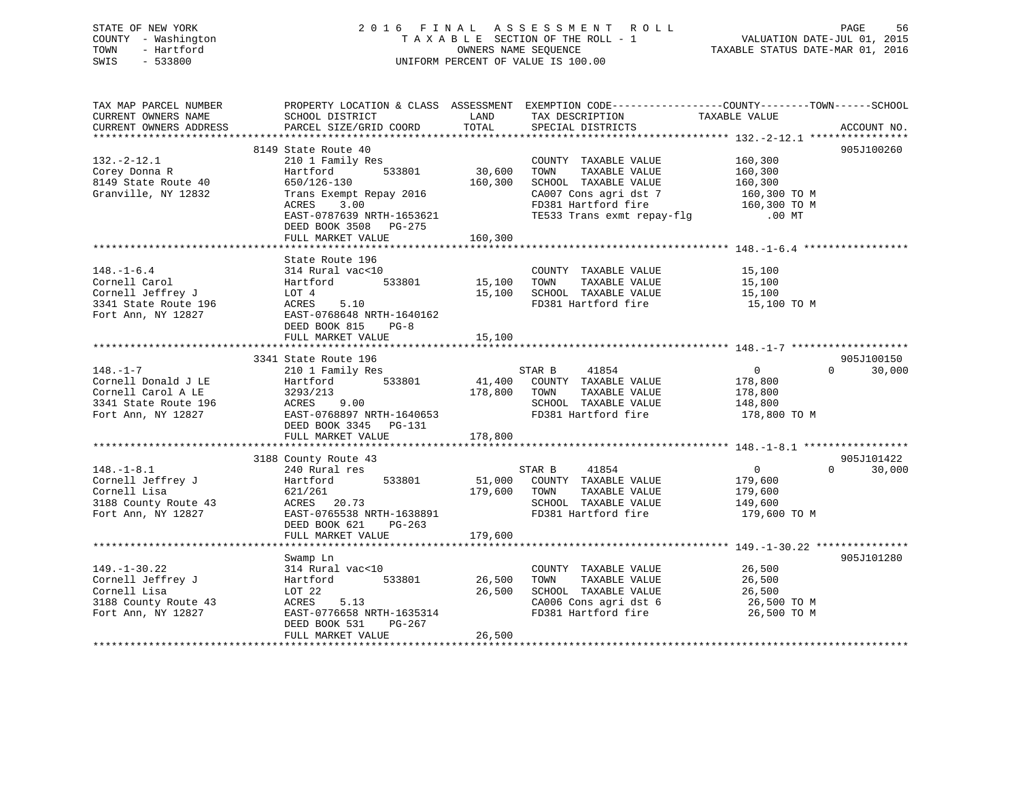### STATE OF NEW YORK 2 0 1 6 F I N A L A S S E S S M E N T R O L L PAGE 56 COUNTY - Washington T A X A B L E SECTION OF THE ROLL - 1 VALUATION DATE-JUL 01, 2015 TOWN - Hartford **TAXABLE STATUS DATE-MAR 01, 2016** OWNERS NAME SEQUENCE TAXABLE STATUS DATE-MAR 01, 2016 SWIS - 533800 UNIFORM PERCENT OF VALUE IS 100.00

| TAX MAP PARCEL NUMBER | PROPERTY LOCATION & CLASS ASSESSMENT EXEMPTION CODE----------------COUNTY-------TOWN-----SCHOOL                       |              |                                                                                                                |                         |                    |
|-----------------------|-----------------------------------------------------------------------------------------------------------------------|--------------|----------------------------------------------------------------------------------------------------------------|-------------------------|--------------------|
| CURRENT OWNERS NAME   | SCHOOL DISTRICT                                                                                                       | LAND         | TAX DESCRIPTION                                                                                                | TAXABLE VALUE           |                    |
|                       |                                                                                                                       |              |                                                                                                                |                         |                    |
|                       |                                                                                                                       |              |                                                                                                                |                         |                    |
|                       | 8149 State Route 40                                                                                                   |              |                                                                                                                |                         | 905J100260         |
| $132 - 2 - 12.1$      | 210 1 Family Res<br>ily Res<br>533801 30,600                                                                          |              | COUNTY TAXABLE VALUE                                                                                           | 160,300                 |                    |
| Corey Donna R         | Hartford                                                                                                              |              | TOWN<br>TAXABLE VALUE                                                                                          | 160,300                 |                    |
| 8149 State Route 40   | 650/126-130                                                                                                           | 160,300      | SCHOOL TAXABLE VALUE                                                                                           | 160,300<br>160,300 TO M |                    |
| Granville, NY 12832   | Trans Exempt Repay 2016                                                                                               |              | CA007 Cons agri dst 7                                                                                          |                         |                    |
|                       | ACRES<br>3.00                                                                                                         |              |                                                                                                                |                         |                    |
|                       | EAST-0787639 NRTH-1653621                                                                                             |              | CAUU/ CONS agri dst / tou, jou it in<br>FD381 Hartford fire 160, 300 TO M<br>TE533 Trans exmt repay-flg .00 MT |                         |                    |
|                       | DEED BOOK 3508 PG-275                                                                                                 |              |                                                                                                                |                         |                    |
|                       |                                                                                                                       |              |                                                                                                                |                         |                    |
|                       |                                                                                                                       |              |                                                                                                                |                         |                    |
|                       | State Route 196                                                                                                       |              |                                                                                                                |                         |                    |
| $148. - 1 - 6.4$      | 314 Rural vac<10                                                                                                      |              | COUNTY TAXABLE VALUE                                                                                           | 15,100                  |                    |
| Cornell Carol         | Hartford 533801 15,100 TOWN                                                                                           |              | TAXABLE VALUE                                                                                                  | 15,100                  |                    |
| Cornell Jeffrey J     | LOT 4<br>ACRES 5.10                                                                                                   |              | 15,100 SCHOOL TAXABLE VALUE 15,100                                                                             |                         |                    |
| 3341 State Route 196  |                                                                                                                       |              | FD381 Hartford fire                                                                                            | 15,100 TO M             |                    |
| Fort Ann, NY 12827    | EAST-0768648 NRTH-1640162                                                                                             |              |                                                                                                                |                         |                    |
|                       | DEED BOOK 815 PG-8                                                                                                    |              |                                                                                                                |                         |                    |
|                       | FULL MARKET VALUE                                                                                                     | 15,100       |                                                                                                                |                         |                    |
|                       |                                                                                                                       |              |                                                                                                                |                         |                    |
|                       | 3341 State Route 196<br>State Route 196<br>210 1 Family Res                                                           |              |                                                                                                                |                         | 905J100150         |
| $148. - 1 - 7$        |                                                                                                                       |              | STAR B 41854                                                                                                   | $\overline{0}$          | 30,000<br>$\Omega$ |
| Cornell Donald J LE   | Hartford 533801 41,400 COUNTY TAXABLE VALUE                                                                           |              |                                                                                                                | 178,800                 |                    |
|                       | Cornell Carol A LE 3293/213 178,80<br>3341 State Route 196 ACRES 9.00<br>Fort Ann, NY 12827 EAST-0768897 NRTH-1640653 | 178,800 TOWN | TAXABLE VALUE                                                                                                  | 178,800                 |                    |
|                       |                                                                                                                       |              | SCHOOL TAXABLE VALUE 148,800                                                                                   |                         |                    |
|                       |                                                                                                                       |              | FD381 Hartford fire                                                                                            | 178,800 TO M            |                    |
|                       | DEED BOOK 3345 PG-131                                                                                                 |              |                                                                                                                |                         |                    |
|                       | FULL MARKET VALUE                                                                                                     | 178,800      |                                                                                                                |                         |                    |
|                       |                                                                                                                       |              |                                                                                                                |                         |                    |
|                       | 3188 County Route 43                                                                                                  |              |                                                                                                                |                         | 905J101422         |
| $148. - 1 - 8.1$      | 240 Rural res                                                                                                         |              | STAR B 41854                                                                                                   | $\overline{0}$          | $\Omega$<br>30,000 |
| Cornell Jeffrey J     | Hartford 533801                                                                                                       |              | 51,000 COUNTY TAXABLE VALUE                                                                                    | 179,600                 |                    |
| Cornell Lisa          |                                                                                                                       | 179,600 TOWN | TAXABLE VALUE                                                                                                  | 179,600                 |                    |
| 3188 County Route 43  | $ACRES$ 20.73<br>FACT $20.73$                                                                                         |              | SCHOOL TAXABLE VALUE                                                                                           | 149,600                 |                    |
| Fort Ann, NY 12827    | EAST-0765538 NRTH-1638891                                                                                             |              | FD381 Hartford fire                                                                                            | 179,600 TO M            |                    |
|                       | DEED BOOK 621 PG-263                                                                                                  |              |                                                                                                                |                         |                    |
|                       | FULL MARKET VALUE                                                                                                     | 179,600      |                                                                                                                |                         |                    |
|                       |                                                                                                                       |              |                                                                                                                |                         |                    |
|                       | Swamp Ln                                                                                                              |              |                                                                                                                |                         | 905J101280         |
| $149. - 1 - 30.22$    | 314 Rural vac<10                                                                                                      |              | COUNTY TAXABLE VALUE                                                                                           | 26,500<br>26.500        |                    |
| Cornell Jeffrey J     | Hartford                                                                                                              |              | TAXABLE VALUE<br>TOWN                                                                                          | 26,500                  |                    |
| Cornell Lisa          | LOT 22                                                                                                                | 26,500       | SCHOOL TAXABLE VALUE 26,500<br>CA006 Cons agri dst 6 26,500 TO M                                               |                         |                    |
| 3188 County Route 43  | ACRES 5.13                                                                                                            |              |                                                                                                                |                         |                    |
| Fort Ann, NY 12827    | EAST-0776658 NRTH-1635314                                                                                             |              | FD381 Hartford fire 26,500 TO M                                                                                |                         |                    |
|                       | DEED BOOK 531<br>PG-267                                                                                               |              |                                                                                                                |                         |                    |
|                       | FULL MARKET VALUE                                                                                                     | 26,500       |                                                                                                                |                         |                    |
|                       |                                                                                                                       |              |                                                                                                                |                         |                    |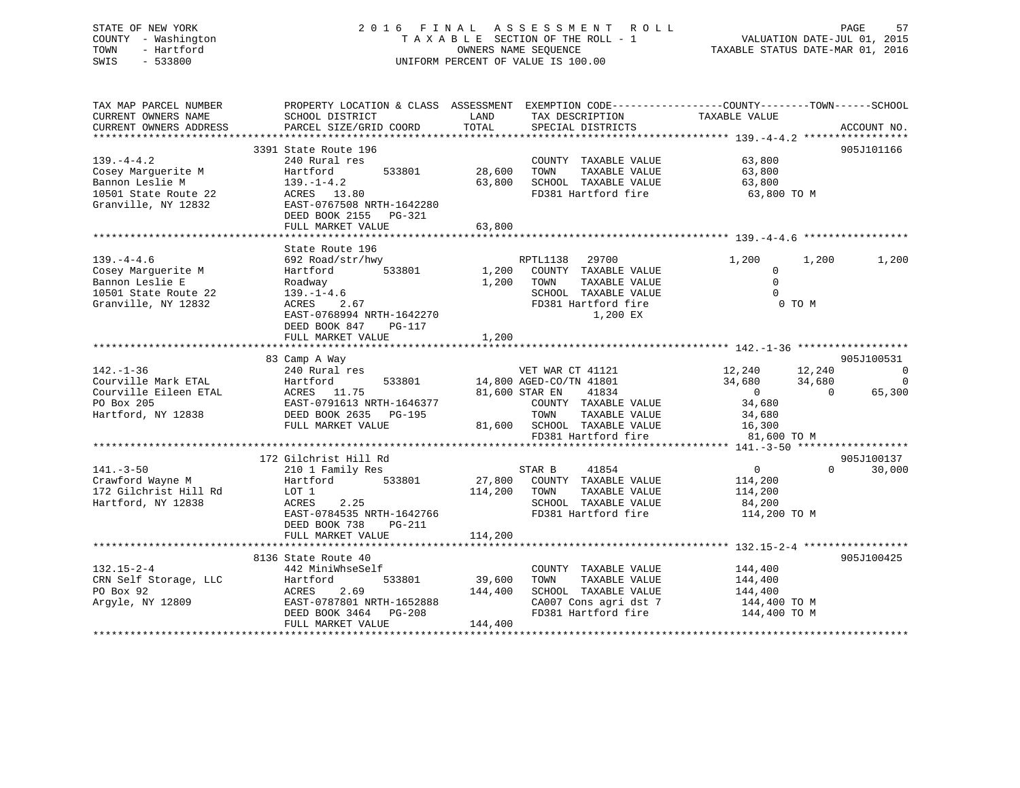### STATE OF NEW YORK 2 0 1 6 F I N A L A S S E S S M E N T R O L L PAGE 57 COUNTY - Washington T A X A B L E SECTION OF THE ROLL - 1 VALUATION DATE-JUL 01, 2015 TOWN - Hartford OWNERS NAME SEQUENCE TAXABLE STATUS DATE-MAR 01, 2016 SWIS - 533800 UNIFORM PERCENT OF VALUE IS 100.00

| TAX MAP PARCEL NUMBER<br>CURRENT OWNERS NAME | PROPERTY LOCATION & CLASS ASSESSMENT EXEMPTION CODE---------------COUNTY-------TOWN------SCHOOL<br>SCHOOL DISTRICT | LAND                    | TAX DESCRIPTION                    | TAXABLE VALUE                    |                    |
|----------------------------------------------|--------------------------------------------------------------------------------------------------------------------|-------------------------|------------------------------------|----------------------------------|--------------------|
| CURRENT OWNERS ADDRESS                       | PARCEL SIZE/GRID COORD                                                                                             | TOTAL                   | SPECIAL DISTRICTS                  |                                  | ACCOUNT NO.        |
|                                              |                                                                                                                    |                         |                                    |                                  |                    |
|                                              | 3391 State Route 196                                                                                               |                         |                                    |                                  | 905J101166         |
| $139. -4 - 4.2$                              | 240 Rural res                                                                                                      |                         | COUNTY TAXABLE VALUE               | 63,800                           |                    |
| Cosey Marquerite M                           | Hartford<br>533801                                                                                                 | 28,600                  | TOWN<br>TAXABLE VALUE              | 63,800                           |                    |
| Bannon Leslie M                              | $139. - 1 - 4.2$                                                                                                   | 63,800                  | SCHOOL TAXABLE VALUE               | 63,800                           |                    |
| 10501 State Route 22                         | ACRES 13.80                                                                                                        |                         | FD381 Hartford fire                | 63,800 TO M                      |                    |
| Granville, NY 12832                          | EAST-0767508 NRTH-1642280                                                                                          |                         |                                    |                                  |                    |
|                                              | DEED BOOK 2155 PG-321                                                                                              |                         |                                    |                                  |                    |
|                                              | FULL MARKET VALUE                                                                                                  | 63,800                  |                                    |                                  |                    |
|                                              |                                                                                                                    |                         |                                    |                                  |                    |
|                                              | State Route 196                                                                                                    |                         |                                    |                                  |                    |
| $139. -4 - 4.6$                              | 692 Road/str/hwy                                                                                                   |                         | RPTL1138<br>29700                  | 1,200<br>1,200                   | 1,200              |
| Cosey Marquerite M                           | Hartford<br>533801                                                                                                 |                         | 1,200 COUNTY TAXABLE VALUE         | $\mathbf{0}$                     |                    |
| Bannon Leslie E                              | Roadway                                                                                                            | 1,200 TOWN              | TAXABLE VALUE                      | $\Omega$                         |                    |
| 10501 State Route 22                         | $139. - 1 - 4.6$                                                                                                   |                         | SCHOOL TAXABLE VALUE               | $\Omega$                         |                    |
| Granville, NY 12832                          | ACRES<br>2.67                                                                                                      |                         | FD381 Hartford fire                | 0 TO M                           |                    |
|                                              | EAST-0768994 NRTH-1642270                                                                                          |                         | 1,200 EX                           |                                  |                    |
|                                              | DEED BOOK 847 PG-117                                                                                               |                         |                                    |                                  |                    |
|                                              | FULL MARKET VALUE                                                                                                  | 1,200                   |                                    |                                  |                    |
|                                              | 83 Camp A Way                                                                                                      |                         |                                    |                                  | 905J100531         |
| $142. - 1 - 36$                              | 240 Rural res                                                                                                      |                         | VET WAR CT 41121                   | 12,240 12,240                    | $\overline{0}$     |
| Courville Mark ETAL                          | Hartford<br>533801                                                                                                 | 14,800 AGED-CO/TN 41801 |                                    | 34,680<br>34,680                 | $\Omega$           |
| Courville Eileen ETAL                        | Hartford<br>ACRES 11.75                                                                                            | 81,600 STAR EN          | 41834                              | $\overline{0}$<br>$\overline{0}$ | 65,300             |
| PO Box 205                                   | EAST-0791613 NRTH-1646377                                                                                          |                         | COUNTY TAXABLE VALUE               | 34,680                           |                    |
| Hartford, NY 12838                           | DEED BOOK 2635 PG-195                                                                                              |                         | TOWN<br>TAXABLE VALUE              | 34,680                           |                    |
|                                              | FULL MARKET VALUE                                                                                                  |                         | 81,600 SCHOOL TAXABLE VALUE 16,300 |                                  |                    |
|                                              |                                                                                                                    |                         | FD381 Hartford fire                | 81,600 TO M                      |                    |
|                                              |                                                                                                                    |                         |                                    |                                  |                    |
|                                              | 172 Gilchrist Hill Rd                                                                                              |                         |                                    |                                  | 905J100137         |
| $141. - 3 - 50$                              | 210 1 Family Res                                                                                                   | STAR B                  | 41854                              | $\overline{0}$                   | $\Omega$<br>30,000 |
| Crawford Wayne M                             | Hartford 533801                                                                                                    |                         | 27,800 COUNTY TAXABLE VALUE        | 114,200                          |                    |
| 172 Gilchrist Hill Rd                        | LOT 1                                                                                                              | 114,200 TOWN            | TAXABLE VALUE                      | 114,200                          |                    |
| Hartford, NY 12838                           | 2.25<br>ACRES                                                                                                      |                         | SCHOOL TAXABLE VALUE               | 84,200                           |                    |
|                                              | EAST-0784535 NRTH-1642766                                                                                          |                         | FD381 Hartford fire                | 114,200 TO M                     |                    |
|                                              | DEED BOOK 738<br>PG-211                                                                                            |                         |                                    |                                  |                    |
|                                              | FULL MARKET VALUE                                                                                                  | 114,200                 |                                    |                                  |                    |
|                                              |                                                                                                                    |                         |                                    |                                  |                    |
|                                              | 8136 State Route 40                                                                                                |                         |                                    |                                  | 905J100425         |
| $132.15 - 2 - 4$                             | 442 MiniWhseSelf                                                                                                   |                         | COUNTY TAXABLE VALUE               | 144,400<br>144,400               |                    |
| CRN Self Storage, LLC                        | Hartford<br>533801                                                                                                 | 39,600                  | TAXABLE VALUE<br>TOWN              |                                  |                    |
| PO Box 92                                    | 2.69<br>ACRES                                                                                                      | 144,400                 | SCHOOL TAXABLE VALUE               | 144,400                          |                    |
| Arqyle, NY 12809                             | EAST-0787801 NRTH-1652888                                                                                          |                         | CA007 Cons agri dst 7              | 144,400 TO M                     |                    |
|                                              | DEED BOOK 3464 PG-208                                                                                              |                         | FD381 Hartford fire                | 144,400 TO M                     |                    |
|                                              | FULL MARKET VALUE                                                                                                  | 144,400                 |                                    |                                  |                    |
|                                              |                                                                                                                    |                         |                                    |                                  |                    |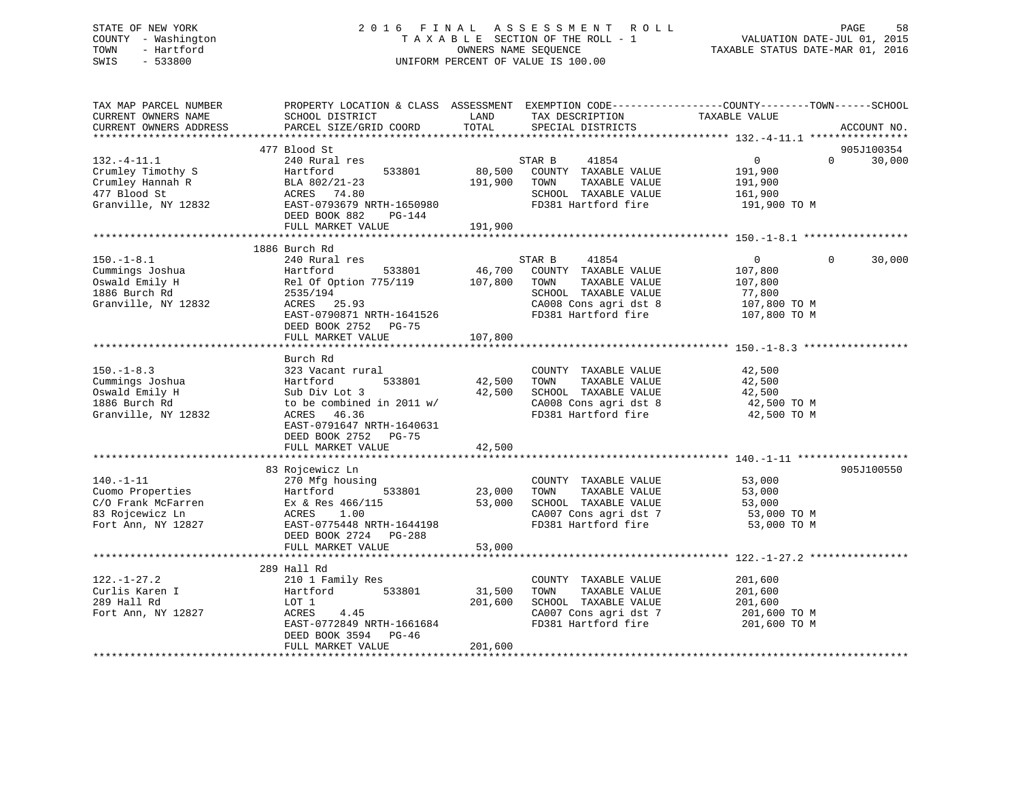### STATE OF NEW YORK 2 0 1 6 F I N A L A S S E S S M E N T R O L L PAGE 58 COUNTY - Washington T A X A B L E SECTION OF THE ROLL - 1 VALUATION DATE-JUL 01, 2015 TOWN - Hartford **TAXABLE STATUS DATE-MAR 01, 2016** OWNERS NAME SEQUENCE TAXABLE STATUS DATE-MAR 01, 2016 SWIS - 533800 UNIFORM PERCENT OF VALUE IS 100.00

| TAX MAP PARCEL NUMBER<br>CURRENT OWNERS NAME<br>CURRENT OWNERS ADDRESS                             | PROPERTY LOCATION & CLASS ASSESSMENT EXEMPTION CODE----------------COUNTY-------TOWN------SCHOOL<br>SCHOOL DISTRICT<br>PARCEL SIZE/GRID COORD                                      | LAND<br>TOTAL                | TAX DESCRIPTION<br>SPECIAL DISTRICTS                                                                                                     | TAXABLE VALUE                                                                  | ACCOUNT NO.                      |
|----------------------------------------------------------------------------------------------------|------------------------------------------------------------------------------------------------------------------------------------------------------------------------------------|------------------------------|------------------------------------------------------------------------------------------------------------------------------------------|--------------------------------------------------------------------------------|----------------------------------|
|                                                                                                    |                                                                                                                                                                                    |                              |                                                                                                                                          |                                                                                |                                  |
| $132. - 4 - 11.1$<br>Crumley Timothy S<br>Crumley Hannah R<br>477 Blood St<br>Granville, NY 12832  | 477 Blood St<br>240 Rural res<br>533801<br>Hartford<br>BLA 802/21-23<br>ACRES 74.80<br>EAST-0793679 NRTH-1650980<br>DEED BOOK 882<br>PG-144<br>FULL MARKET VALUE                   | 191,900<br>191,900           | STAR B<br>41854<br>80,500 COUNTY TAXABLE VALUE<br>TAXABLE VALUE<br>TOWN<br>SCHOOL TAXABLE VALUE<br>FD381 Hartford fire                   | $\overline{0}$<br>191,900<br>191,900<br>161,900<br>191,900 TO M                | 905J100354<br>$\Omega$<br>30,000 |
|                                                                                                    |                                                                                                                                                                                    |                              |                                                                                                                                          |                                                                                |                                  |
| $150. - 1 - 8.1$<br>Cummings Joshua<br>Oswald Emily H<br>1886 Burch Rd<br>Granville, NY 12832      | 1886 Burch Rd<br>240 Rural res<br>533801<br>Hartford<br>Rel Of Option 775/119<br>2535/194<br>ACRES 25.93<br>EAST-0790871 NRTH-1641526<br>DEED BOOK 2752 PG-75<br>FULL MARKET VALUE | 46,700<br>107,800<br>107,800 | STAR B<br>41854<br>COUNTY TAXABLE VALUE<br>TOWN<br>TAXABLE VALUE<br>SCHOOL TAXABLE VALUE<br>CA008 Cons agri dst 8<br>FD381 Hartford fire | $\overline{0}$<br>107,800<br>107,800<br>77,800<br>107,800 TO M<br>107,800 TO M | 30,000<br>$\Omega$               |
|                                                                                                    |                                                                                                                                                                                    |                              |                                                                                                                                          |                                                                                |                                  |
| $150. - 1 - 8.3$<br>Cummings Joshua<br>Oswald Emily H<br>1886 Burch Rd<br>Granville, NY 12832      | Burch Rd<br>323 Vacant rural<br>533801<br>Hartford<br>Sub Div Lot 3<br>to be combined in 2011 w/<br>ACRES 46.36<br>EAST-0791647 NRTH-1640631<br>DEED BOOK 2752 PG-75               | 42,500                       | COUNTY TAXABLE VALUE<br>TOWN<br>TAXABLE VALUE<br>42,500 SCHOOL TAXABLE VALUE<br>CA008 Cons agri dst 8<br>FD381 Hartford fire             | 42,500<br>42,500<br>42,500<br>42,500 TO M<br>42,500 TO M                       |                                  |
|                                                                                                    | FULL MARKET VALUE                                                                                                                                                                  | 42,500                       |                                                                                                                                          |                                                                                |                                  |
| $140. - 1 - 11$<br>Cuomo Properties<br>C/O Frank McFarren<br>83 Rojcewicz Ln<br>Fort Ann, NY 12827 | 83 Rojcewicz Ln<br>270 Mfg housing<br>Hartford<br>533801<br>Ex & Res $466/115$<br>ACRES<br>1.00<br>EAST-0775448 NRTH-1644198<br>DEED BOOK 2724 PG-288<br>FULL MARKET VALUE         | 23,000<br>53,000<br>53,000   | COUNTY TAXABLE VALUE<br>TAXABLE VALUE<br>TOWN<br>SCHOOL TAXABLE VALUE<br>CA007 Cons agri dst 7<br>FD381 Hartford fire                    | 53,000<br>53,000<br>53,000<br>53,000 TO M<br>53,000 TO M                       | 905J100550                       |
|                                                                                                    |                                                                                                                                                                                    |                              |                                                                                                                                          |                                                                                |                                  |
| $122. - 1 - 27.2$<br>Curlis Karen I<br>289 Hall Rd<br>Fort Ann, NY 12827                           | 289 Hall Rd<br>210 1 Family Res<br>533801<br>Hartford<br>LOT 1<br>4.45<br>ACRES<br>EAST-0772849 NRTH-1661684<br>DEED BOOK 3594 PG-46<br>FULL MARKET VALUE                          | 31,500<br>201,600<br>201,600 | COUNTY TAXABLE VALUE<br>TOWN<br>TAXABLE VALUE<br>SCHOOL TAXABLE VALUE<br>CA007 Cons agri dst 7<br>FD381 Hartford fire                    | 201,600<br>201,600<br>201,600<br>201,600 ТО М<br>201,600 TO M                  |                                  |
|                                                                                                    |                                                                                                                                                                                    |                              |                                                                                                                                          |                                                                                |                                  |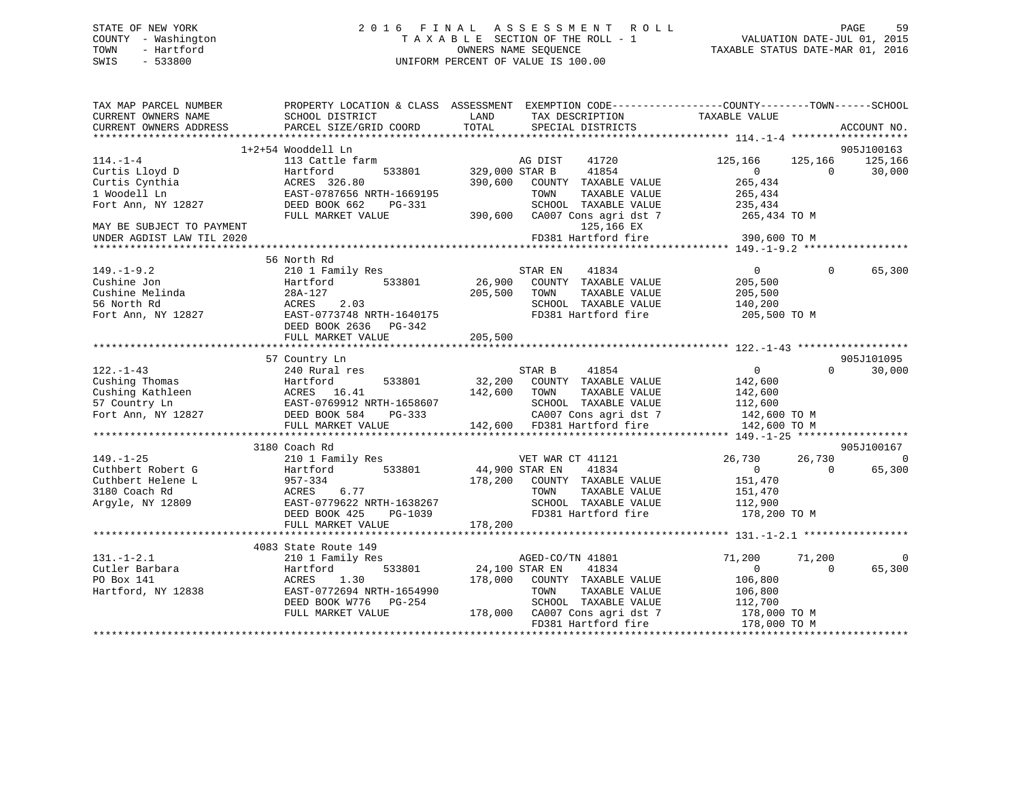### STATE OF NEW YORK 2 0 1 6 F I N A L A S S E S S M E N T R O L L PAGE 59 COUNTY - Washington T A X A B L E SECTION OF THE ROLL - 1 VALUATION DATE-JUL 01, 2015 TOWN - Hartford OWNERS NAME SEQUENCE TAXABLE STATUS DATE-MAR 01, 2016 SWIS - 533800 UNIFORM PERCENT OF VALUE IS 100.00

| TAX MAP PARCEL NUMBER<br>CURRENT OWNERS NAME | PROPERTY LOCATION & CLASS ASSESSMENT EXEMPTION CODE----------------COUNTY-------TOWN------SCHOOL<br>SCHOOL DISTRICT | LAND                      | TAX DESCRIPTION               | TAXABLE VALUE                    |          |                 |
|----------------------------------------------|---------------------------------------------------------------------------------------------------------------------|---------------------------|-------------------------------|----------------------------------|----------|-----------------|
| CURRENT OWNERS ADDRESS                       | PARCEL SIZE/GRID COORD                                                                                              | TOTAL                     | SPECIAL DISTRICTS             |                                  |          | ACCOUNT NO.     |
|                                              | 1+2+54 Wooddell Ln                                                                                                  |                           |                               |                                  |          | 905J100163      |
| $114. - 1 - 4$                               | 113 Cattle farm                                                                                                     |                           | AG DIST<br>41720              | 125,166                          |          | 125,166 125,166 |
| Curtis Lloyd D                               | 533801<br>Hartford                                                                                                  | 329,000 STAR B            | 41854                         | $0 \qquad \qquad$                | $\Omega$ | 30,000          |
| Curtis Cynthia                               | ACRES 326.80                                                                                                        | 390,600                   | COUNTY TAXABLE VALUE          | 265,434                          |          |                 |
| 1 Woodell Ln                                 | EAST-0787656 NRTH-1669195                                                                                           |                           | TOWN<br>TAXABLE VALUE         | 265,434                          |          |                 |
| Fort Ann, NY 12827                           | DEED BOOK 662<br>PG-331                                                                                             |                           | SCHOOL TAXABLE VALUE          | 235,434                          |          |                 |
|                                              | FULL MARKET VALUE                                                                                                   |                           | 390,600 CA007 Cons agri dst 7 | 265,434 TO M                     |          |                 |
| MAY BE SUBJECT TO PAYMENT                    |                                                                                                                     |                           | 125,166 EX                    |                                  |          |                 |
| UNDER AGDIST LAW TIL 2020                    |                                                                                                                     |                           | FD381 Hartford fire           | 390,600 TO M                     |          |                 |
|                                              |                                                                                                                     |                           |                               |                                  |          |                 |
|                                              | 56 North Rd                                                                                                         |                           |                               |                                  |          |                 |
| $149. - 1 - 9.2$                             | 210 1 Family Res                                                                                                    |                           | STAR EN<br>41834              | $\overline{0}$                   | $\Omega$ | 65,300          |
| Cushine Jon                                  | 533801<br>Hartford                                                                                                  | 26,900                    | COUNTY TAXABLE VALUE          | 205,500                          |          |                 |
| Cushine Melinda                              | 28A-127                                                                                                             | 205,500                   | TOWN<br>TAXABLE VALUE         | 205,500<br>140,200               |          |                 |
| 56 North Rd                                  | 2.03<br>ACRES                                                                                                       |                           | SCHOOL TAXABLE VALUE          |                                  |          |                 |
| Fort Ann, NY 12827                           | EAST-0773748 NRTH-1640175                                                                                           |                           | FD381 Hartford fire           | 205,500 TO M                     |          |                 |
|                                              | DEED BOOK 2636 PG-342                                                                                               |                           |                               |                                  |          |                 |
|                                              | FULL MARKET VALUE                                                                                                   | 205,500                   |                               |                                  |          |                 |
|                                              |                                                                                                                     |                           |                               |                                  |          |                 |
|                                              | 57 Country Ln                                                                                                       |                           |                               |                                  |          | 905J101095      |
| $122. - 1 - 43$                              | 240 Rural res                                                                                                       |                           | STAR B<br>41854               | $\overline{0}$                   | $\Omega$ | 30,000          |
|                                              |                                                                                                                     | 32,200                    | COUNTY TAXABLE VALUE          | 142,600                          |          |                 |
|                                              |                                                                                                                     | 142,600                   | TAXABLE VALUE<br>TOWN         | 142,600                          |          |                 |
|                                              |                                                                                                                     |                           | SCHOOL TAXABLE VALUE          | 112,600                          |          |                 |
| Fort Ann, NY 12827 DEED BOOK 584             | PG-333                                                                                                              |                           | CA007 Cons agri dst 7         | 142,600 TO M                     |          |                 |
|                                              | FULL MARKET VALUE                                                                                                   |                           | 142,600 FD381 Hartford fire   | 142,600 TO M                     |          |                 |
|                                              | 3180 Coach Rd                                                                                                       |                           |                               |                                  |          | 905J100167      |
| $149. - 1 - 25$                              | 210 1 Family Res                                                                                                    |                           | VET WAR CT 41121              | 26,730                           | 26,730   | $\overline{0}$  |
| Cuthbert Robert G                            | Hartford 533801                                                                                                     | VET WAR<br>44,900 STAR EN | 41834                         | $\overline{0}$                   | $\Omega$ | 65,300          |
| Cuthbert Helene L                            |                                                                                                                     |                           | 178,200 COUNTY TAXABLE VALUE  | 151,470                          |          |                 |
| 3180 Coach Rd                                | 957-334<br>ACRES 6.77                                                                                               |                           | TOWN<br>TAXABLE VALUE         | 151,470                          |          |                 |
| Argyle, NY 12809                             | EAST-0779622 NRTH-1638267                                                                                           |                           | SCHOOL TAXABLE VALUE          | 112,900                          |          |                 |
|                                              | DEED BOOK 425<br>PG-1039                                                                                            |                           | FD381 Hartford fire           | 178,200 TO M                     |          |                 |
|                                              | FULL MARKET VALUE                                                                                                   | 178,200                   |                               |                                  |          |                 |
|                                              |                                                                                                                     |                           |                               |                                  |          |                 |
|                                              | 4083 State Route 149                                                                                                |                           |                               |                                  |          |                 |
| $131. - 1 - 2.1$                             | 210 1 Family Res                                                                                                    |                           | AGED-CO/TN 41801              | 71,200                           | 71,200   | $\mathbf 0$     |
| Cutler Barbara                               | Hartford<br>533801                                                                                                  | 24,100 STAR EN            | 41834                         | $\overline{0}$                   | $\Omega$ | 65,300          |
| PO Box 141                                   | ACRES<br>1.30                                                                                                       | 178,000                   | COUNTY TAXABLE VALUE          | 106,800                          |          |                 |
| Hartford, NY 12838                           | EAST-0772694 NRTH-1654990                                                                                           |                           | TAXABLE VALUE<br>TOWN         | 106,800                          |          |                 |
|                                              | DEED BOOK W776 PG-254                                                                                               |                           | SCHOOL TAXABLE VALUE          | 112,700                          |          |                 |
|                                              | FULL MARKET VALUE                                                                                                   |                           | 178,000 CA007 Cons agri dst 7 | $178,000$ TO M<br>$178,000$ TO M |          |                 |
|                                              |                                                                                                                     |                           | FD381 Hartford fire           | 178,000 TO M                     |          |                 |
|                                              |                                                                                                                     |                           |                               |                                  |          |                 |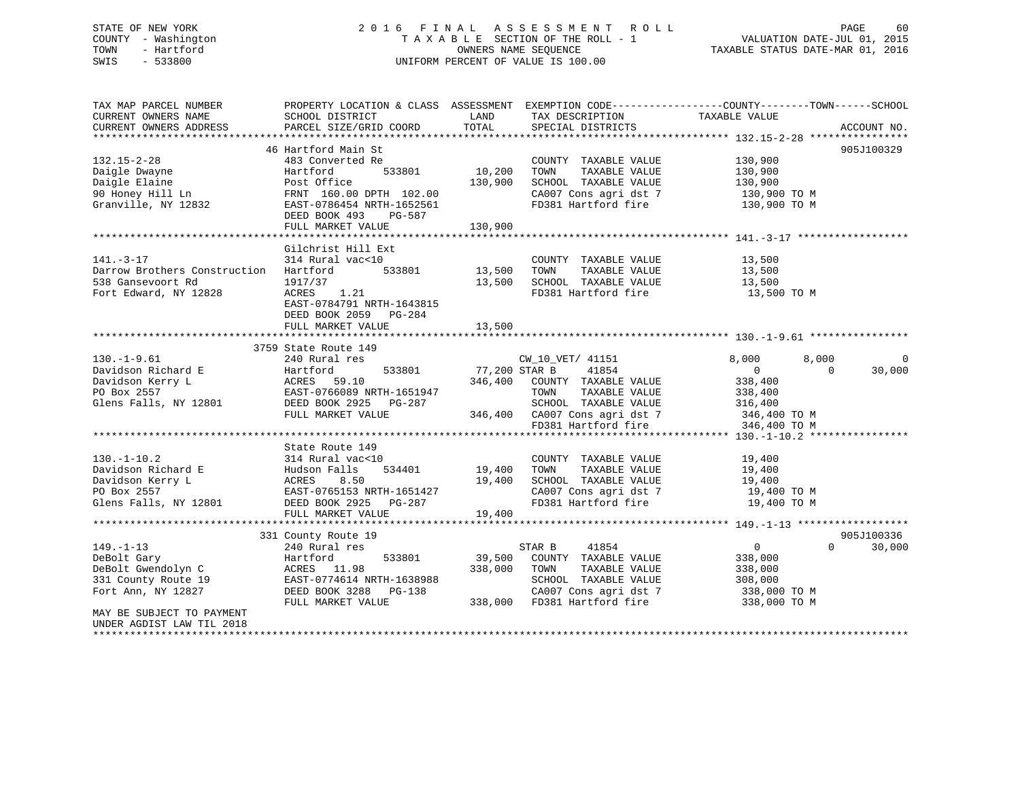### STATE OF NEW YORK 2 0 1 6 F I N A L A S S E S S M E N T R O L L PAGE 60 COUNTY - Washington T A X A B L E SECTION OF THE ROLL - 1 VALUATION DATE-JUL 01, 2015 TOWN - Hartford **TAXABLE STATUS DATE-MAR 01, 2016** OWNERS NAME SEQUENCE TAXABLE STATUS DATE-MAR 01, 2016 SWIS - 533800 UNIFORM PERCENT OF VALUE IS 100.00

| TAX MAP PARCEL NUMBER                                                                                                                                                                                                                                    |                           |         | PROPERTY LOCATION & CLASS ASSESSMENT EXEMPTION CODE----------------COUNTY-------TOWN------SCHOOL |                      |                    |
|----------------------------------------------------------------------------------------------------------------------------------------------------------------------------------------------------------------------------------------------------------|---------------------------|---------|--------------------------------------------------------------------------------------------------|----------------------|--------------------|
| CURRENT OWNERS NAME                                                                                                                                                                                                                                      | SCHOOL DISTRICT           | LAND    | TAX DESCRIPTION                                                                                  | TAXABLE VALUE        |                    |
| CURRENT OWNERS ADDRESS                                                                                                                                                                                                                                   | PARCEL SIZE/GRID COORD    | TOTAL   | SPECIAL DISTRICTS                                                                                |                      | ACCOUNT NO.        |
|                                                                                                                                                                                                                                                          |                           |         |                                                                                                  |                      |                    |
|                                                                                                                                                                                                                                                          | 46 Hartford Main St       |         |                                                                                                  |                      | 905J100329         |
| $132.15 - 2 - 28$                                                                                                                                                                                                                                        | 483 Converted Re          |         |                                                                                                  |                      |                    |
|                                                                                                                                                                                                                                                          |                           |         | COUNTY TAXABLE VALUE<br>TOWN     TAXABLE VALUE                                                   | 130,900<br>130,900   |                    |
| Daigle Dwayne                                                                                                                                                                                                                                            | Hartford                  |         |                                                                                                  |                      |                    |
|                                                                                                                                                                                                                                                          |                           | 130,900 | SCHOOL TAXABLE VALUE 130,900<br>CA007 Cons agri dst 7 130,900 TO M                               |                      |                    |
|                                                                                                                                                                                                                                                          |                           |         |                                                                                                  |                      |                    |
| Daigle Elaine<br>90 Honey Hill Ln<br>Granville, NY 12832<br>EAST-0786454 NRTH-1652561<br>EAST-0786454 NRTH-1652561                                                                                                                                       |                           |         | FD381 Hartford fire 130,900 TO M                                                                 |                      |                    |
|                                                                                                                                                                                                                                                          | DEED BOOK 493 PG-587      |         |                                                                                                  |                      |                    |
|                                                                                                                                                                                                                                                          | FULL MARKET VALUE         | 130,900 |                                                                                                  |                      |                    |
|                                                                                                                                                                                                                                                          |                           |         |                                                                                                  |                      |                    |
|                                                                                                                                                                                                                                                          | Gilchrist Hill Ext        |         |                                                                                                  |                      |                    |
| $141. - 3 - 17$                                                                                                                                                                                                                                          | 314 Rural vac<10          |         |                                                                                                  | 13,500               |                    |
| Darrow Brothers Construction Hartford                                                                                                                                                                                                                    |                           |         | COUNTY TAXABLE VALUE<br>TOWN     TAXABLE VALUE                                                   | 13,500               |                    |
| 538 Gansevoort Rd                                                                                                                                                                                                                                        | 1917/37                   |         | 13,500 SCHOOL TAXABLE VALUE 13,500<br>13,500 SCHOOL TAXABLE VALUE 13,500 TO M                    |                      |                    |
| Fort Edward, NY 12828                                                                                                                                                                                                                                    | ACRES 1.21                |         |                                                                                                  |                      |                    |
|                                                                                                                                                                                                                                                          | EAST-0784791 NRTH-1643815 |         |                                                                                                  |                      |                    |
|                                                                                                                                                                                                                                                          |                           |         |                                                                                                  |                      |                    |
|                                                                                                                                                                                                                                                          | DEED BOOK 2059 PG-284     |         |                                                                                                  |                      |                    |
|                                                                                                                                                                                                                                                          | FULL MARKET VALUE         | 13,500  |                                                                                                  |                      |                    |
|                                                                                                                                                                                                                                                          |                           |         |                                                                                                  |                      |                    |
|                                                                                                                                                                                                                                                          | 3759 State Route 149      |         |                                                                                                  |                      |                    |
| $130. - 1 - 9.61$                                                                                                                                                                                                                                        | 240 Rural res             |         | CW_10_VET/ 41151<br>533801 77,200 STAR B 41854<br>CW_10_VET/ 41151                               | 8,000                | 8,000<br>$\Omega$  |
| 130.-1-9.61 240 Rural res<br>Davidson Richard E Hartford 533801<br>Davidson Kerry L ACRES 59.10<br>PO Box 2557 EAST-0766089 NRTH-1651947<br>Glens Falls, NY 12801 DEED BOOK 2925 PG-287                                                                  |                           |         |                                                                                                  | $\overline{0}$       | $\Omega$<br>30,000 |
|                                                                                                                                                                                                                                                          |                           |         | 346,400 COUNTY TAXABLE VALUE                                                                     | 338,400<br>338,400   |                    |
|                                                                                                                                                                                                                                                          |                           |         | TOWN<br>TAXABLE VALUE                                                                            |                      |                    |
|                                                                                                                                                                                                                                                          |                           |         |                                                                                                  |                      |                    |
|                                                                                                                                                                                                                                                          | FULL MARKET VALUE         |         | SCHOOL TAXABLE VALUE 316,400<br>CA007 Cons agri dst 7 346,400 TO M                               |                      |                    |
|                                                                                                                                                                                                                                                          |                           |         |                                                                                                  | 346,400 TO M         |                    |
|                                                                                                                                                                                                                                                          |                           |         | SCROOM FOR ASSEMBLE 7<br>346,400 CA007 Cons agri dst 7<br>FD381 Hartford fire                    |                      |                    |
|                                                                                                                                                                                                                                                          | State Route 149           |         |                                                                                                  |                      |                    |
| $130. - 1 - 10.2$                                                                                                                                                                                                                                        | 314 Rural vac<10          |         | COUNTY TAXABLE VALUE                                                                             | 19,400               |                    |
|                                                                                                                                                                                                                                                          |                           |         |                                                                                                  | TAXABLE VALUE 19,400 |                    |
|                                                                                                                                                                                                                                                          |                           |         |                                                                                                  |                      |                    |
|                                                                                                                                                                                                                                                          |                           | 19,400  | SCHOOL TAXABLE VALUE 19,400<br>CA007 Cons agri dst 7 19,400 TO M                                 |                      |                    |
| 130.-1-10.2<br>Davidson Richard E<br>Davidson Kerry L<br>PO Box 2557<br>Glens Falls, NY 12801<br>Davidson Kerry L<br>BO Box 2557<br>EAST-0765153 NRTH-1651427<br>DEED BOOK 2925<br>PO BOR 251<br>PO BOR 257<br>PO BOR 2925<br>PO BOR 2925<br>PO BOR 2925 |                           |         |                                                                                                  |                      |                    |
|                                                                                                                                                                                                                                                          |                           |         | FD381 Hartford fire 19,400 TO M                                                                  |                      |                    |
|                                                                                                                                                                                                                                                          | FULL MARKET VALUE         | 19,400  |                                                                                                  |                      |                    |
|                                                                                                                                                                                                                                                          |                           |         |                                                                                                  |                      |                    |
|                                                                                                                                                                                                                                                          | 331 County Route 19       |         |                                                                                                  |                      | 905J100336         |
| $149. - 1 - 13$                                                                                                                                                                                                                                          | 240 Rural res             |         | 41854<br>STAR B                                                                                  | $\overline{0}$       | $\Omega$<br>30,000 |
| DeBolt Gary                                                                                                                                                                                                                                              | 533801<br>Hartford        |         | 39,500 COUNTY TAXABLE VALUE                                                                      | 338,000              |                    |
| DeBolt Gary<br>DeBolt Gwendolyn C                                                                                                                                                                                                                        | ACRES 11.98               |         | TAXABLE VALUE<br>338,000 TOWN                                                                    | 338,000              |                    |
| Beboil Sweet 19<br>331 County Route 19                                                                                                                                                                                                                   | EAST-0774614 NRTH-1638988 |         |                                                                                                  |                      |                    |
| Fort Ann, NY 12827                                                                                                                                                                                                                                       | DEED BOOK 3288 PG-138     |         | SCHOOL TAXABLE VALUE 308,000<br>CA007 Cons agri dst 7 338,000 TO M                               |                      |                    |
|                                                                                                                                                                                                                                                          | FULL MARKET VALUE         |         | 338,000 FD381 Hartford fire 338,000 TO M                                                         |                      |                    |
| MAY BE SUBJECT TO PAYMENT                                                                                                                                                                                                                                |                           |         |                                                                                                  |                      |                    |
|                                                                                                                                                                                                                                                          |                           |         |                                                                                                  |                      |                    |
| UNDER AGDIST LAW TIL 2018                                                                                                                                                                                                                                |                           |         |                                                                                                  |                      |                    |
|                                                                                                                                                                                                                                                          |                           |         |                                                                                                  |                      |                    |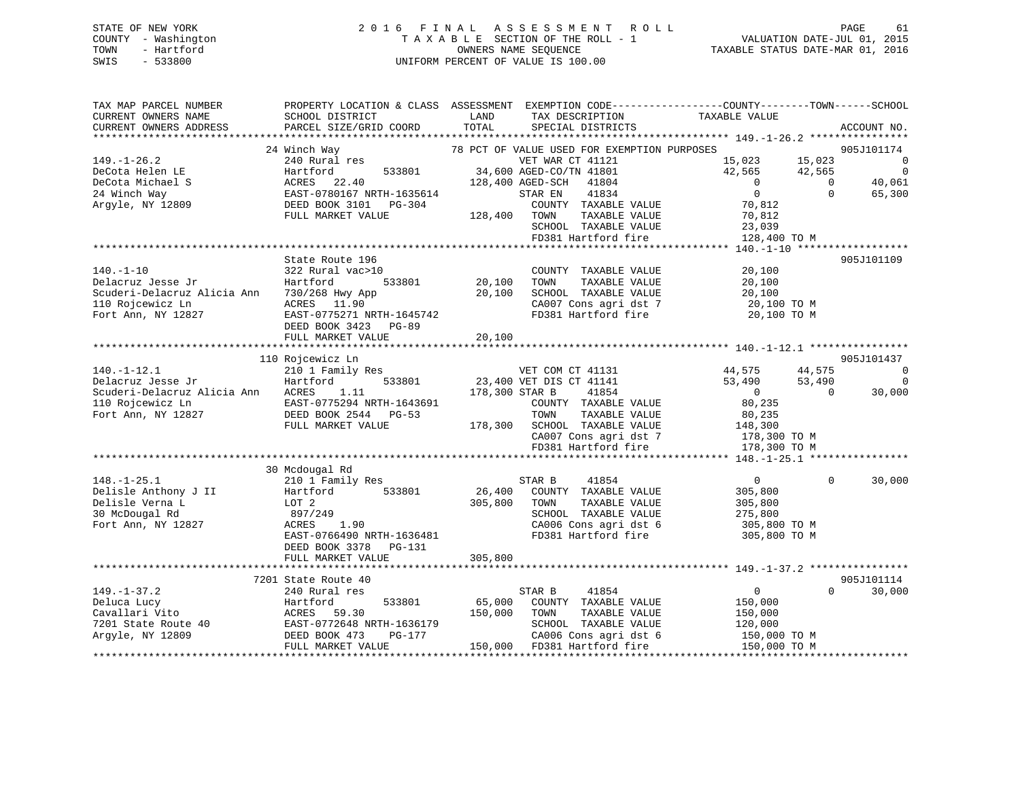### STATE OF NEW YORK 2 0 1 6 F I N A L A S S E S S M E N T R O L L PAGE 61 COUNTY - Washington T A X A B L E SECTION OF THE ROLL - 1 VALUATION DATE-JUL 01, 2015 TOWN - Hartford **TAXABLE STATUS DATE-MAR 01, 2016** OWNERS NAME SEQUENCE TAXABLE STATUS DATE-MAR 01, 2016 SWIS - 533800 UNIFORM PERCENT OF VALUE IS 100.00

| TAX MAP PARCEL NUMBER                       | PROPERTY LOCATION & CLASS ASSESSMENT EXEMPTION CODE----------------COUNTY-------TOWN-----SCHOOL |                |                                                                        |                |            |                                                       |
|---------------------------------------------|-------------------------------------------------------------------------------------------------|----------------|------------------------------------------------------------------------|----------------|------------|-------------------------------------------------------|
| CURRENT OWNERS NAME                         | SCHOOL DISTRICT                                                                                 | LAND           | TAX DESCRIPTION                                                        | TAXABLE VALUE  |            |                                                       |
| CURRENT OWNERS ADDRESS                      | PARCEL SIZE/GRID COORD TOTAL                                                                    |                | SPECIAL DISTRICTS                                                      |                |            | ACCOUNT NO.                                           |
|                                             |                                                                                                 |                |                                                                        |                |            |                                                       |
|                                             | 24 Winch Way                                                                                    |                | 78 PCT OF VALUE USED FOR EXEMPTION PURPOSES                            |                |            | 905J101174                                            |
| $149. - 1 - 26.2$                           | 240 Rural res                                                                                   |                | VET WAR CT 41121                                                       | 15,023 15,023  |            | $\overline{\phantom{0}}$                              |
| DeCota Helen LE                             | Hartford                                                                                        |                | 533801 34,600 AGED-CO/TN 41801                                         | 42,565 42,565  |            | $\begin{array}{c}\n0 \\ 0 \\ \hline\n40\n\end{array}$ |
| DeCota Michael S                            | ACRES 22.40                                                                                     |                | 128,400 AGED-SCH 41804                                                 | $\overline{0}$ | $\bigcirc$ |                                                       |
| 24 Winch Way                                | EAST-0780167 NRTH-1635614                                                                       |                | 41834<br>STAR EN                                                       | $\overline{0}$ | $\Omega$   | 65,300                                                |
| Argyle, NY 12809                            | DEED BOOK 3101    PG-304                                                                        |                | COUNTY TAXABLE VALUE                                                   | 70,812         |            |                                                       |
|                                             | FULL MARKET VALUE                                                                               | 128,400 TOWN   | TAXABLE VALUE                                                          | 70,812         |            |                                                       |
|                                             |                                                                                                 |                | SCHOOL TAXABLE VALUE                                                   | 23,039         |            |                                                       |
|                                             |                                                                                                 |                | FD381 Hartford fire                                                    | 128,400 TO M   |            |                                                       |
|                                             |                                                                                                 |                |                                                                        |                |            |                                                       |
|                                             | State Route 196                                                                                 |                |                                                                        |                |            | 905J101109                                            |
| $140. - 1 - 10$                             | 322 Rural vac>10                                                                                |                | COUNTY TAXABLE VALUE                                                   | 20,100         |            |                                                       |
| Delacruz Jesse Jr                           | Hartford                                                                                        | 533801 20,100  | TOWN<br>TAXABLE VALUE                                                  | 20,100         |            |                                                       |
| Scuderi-Delacruz Alicia Ann 730/268 Hwy App |                                                                                                 | 20,100         | SCHOOL TAXABLE VALUE                                                   | 20,100         |            |                                                       |
| 110 Rojcewicz Ln                            | ACRES 11.90                                                                                     |                | CA007 Cons agri dst 7 $20,100$ TO M                                    |                |            |                                                       |
| Fort Ann, NY 12827                          | EAST-0775271 NRTH-1645742                                                                       |                | FD381 Hartford fire                                                    | 20,100 TO M    |            |                                                       |
|                                             | DEED BOOK 3423 PG-89                                                                            |                |                                                                        |                |            |                                                       |
|                                             | FULL MARKET VALUE                                                                               | 20,100         |                                                                        |                |            |                                                       |
|                                             |                                                                                                 |                |                                                                        |                |            |                                                       |
|                                             | 110 Rojcewicz Ln                                                                                |                |                                                                        |                |            | 905J101437                                            |
| $140. - 1 - 12.1$                           | 210 1 Family Res<br>533801                                                                      |                | VET COM CT 41131<br>23,400 VET DIS CT 41141                            | 44,575         | 44,575     | $\Omega$                                              |
| Delacruz Jesse Jr                           | Hartford                                                                                        |                |                                                                        | 53,490         | 53,490     | $\overline{0}$                                        |
| Scuderi-Delacruz Alicia Ann ACRES 1.11      |                                                                                                 | 178,300 STAR B | 41854                                                                  | $\overline{0}$ | $\bigcirc$ | 30,000                                                |
| 110 Rojcewicz Ln                            | EAST-0775294 NRTH-1643691                                                                       |                | COUNTY TAXABLE VALUE                                                   | 80,235         |            |                                                       |
| Fort Ann, NY 12827                          | DEED BOOK 2544 PG-53                                                                            |                | TOWN<br>TAXABLE VALUE<br>178,300 SCHOOL TAXABLE VALUE 148,300          | 80,235         |            |                                                       |
|                                             | FULL MARKET VALUE                                                                               |                |                                                                        |                |            |                                                       |
|                                             |                                                                                                 |                | CA007 Cons agri dst 7 178,300 TO M<br>FD381 Hartford fire 178,300 TO M |                |            |                                                       |
|                                             |                                                                                                 |                |                                                                        |                |            |                                                       |
|                                             | 30 Mcdougal Rd                                                                                  |                |                                                                        |                |            |                                                       |
| $148. - 1 - 25.1$                           | 210 1 Family Res                                                                                |                | 41854<br>STAR B                                                        | $\overline{0}$ | $\Omega$   | 30,000                                                |
| Delisle Anthony J II                        | Hartford 533801                                                                                 |                | 26,400 COUNTY TAXABLE VALUE                                            | 305,800        |            |                                                       |
| Delisle Verna L                             | LOT 2                                                                                           | 305,800 TOWN   | TAXABLE VALUE                                                          | 305,800        |            |                                                       |
| 30 McDougal Rd                              | 897/249                                                                                         |                | SCHOOL TAXABLE VALUE 275,800                                           |                |            |                                                       |
| Fort Ann, NY 12827                          | 1.90<br>ACRES                                                                                   |                |                                                                        |                |            |                                                       |
|                                             | EAST-0766490 NRTH-1636481                                                                       |                | CA006 Cons agri dst 6 305,800 TO M<br>FD381 Hartford fire 305,800 TO M |                |            |                                                       |
|                                             | DEED BOOK 3378 PG-131                                                                           |                |                                                                        |                |            |                                                       |
|                                             | FULL MARKET VALUE                                                                               | 305,800        |                                                                        |                |            |                                                       |
|                                             |                                                                                                 |                |                                                                        |                |            |                                                       |
|                                             | 7201 State Route 40                                                                             |                |                                                                        |                |            | 905J101114                                            |
| $149. - 1 - 37.2$                           | 240 Rural res                                                                                   |                | STAR B<br>41854                                                        | $\overline{0}$ | $\Omega$   | 30,000                                                |
|                                             | 533801                                                                                          | 65,000         | COUNTY TAXABLE VALUE                                                   | 150,000        |            |                                                       |
|                                             |                                                                                                 | 150,000        | TAXABLE VALUE<br>TOWN                                                  | 150,000        |            |                                                       |
|                                             |                                                                                                 |                | SCHOOL TAXABLE VALUE                                                   | 120,000        |            |                                                       |
|                                             |                                                                                                 |                | CA006 Cons agri dst 6                                                  | 150,000 TO M   |            |                                                       |
|                                             | FULL MARKET VALUE                                                                               |                | 150,000 FD381 Hartford fire                                            | 150,000 TO M   |            |                                                       |
|                                             |                                                                                                 |                |                                                                        |                |            |                                                       |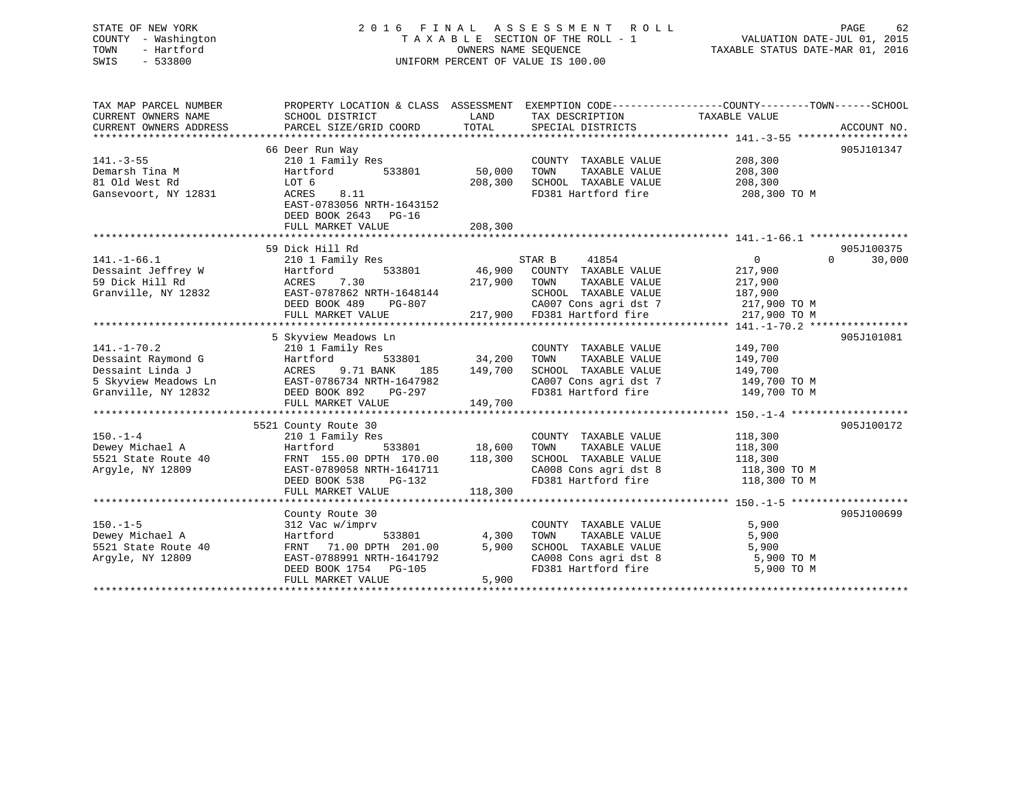### STATE OF NEW YORK 2 0 1 6 F I N A L A S S E S S M E N T R O L L PAGE 62 COUNTY - Washington T A X A B L E SECTION OF THE ROLL - 1 VALUATION DATE-JUL 01, 2015 TOWN - Hartford **TAXABLE STATUS DATE-MAR 01, 2016** OWNERS NAME SEQUENCE TAXABLE STATUS DATE-MAR 01, 2016 SWIS - 533800 UNIFORM PERCENT OF VALUE IS 100.00

| TAX MAP PARCEL NUMBER<br>CURRENT OWNERS NAME<br>CURRENT OWNERS ADDRESS                                     | PROPERTY LOCATION & CLASS ASSESSMENT<br>SCHOOL DISTRICT<br>PARCEL SIZE/GRID COORD                                                                                        | LAND<br>TOTAL                | TAX DESCRIPTION<br>SPECIAL DISTRICTS                                                                                                                    | EXEMPTION CODE-----------------COUNTY-------TOWN------SCHOOL<br>TAXABLE VALUE               | ACCOUNT NO.          |
|------------------------------------------------------------------------------------------------------------|--------------------------------------------------------------------------------------------------------------------------------------------------------------------------|------------------------------|---------------------------------------------------------------------------------------------------------------------------------------------------------|---------------------------------------------------------------------------------------------|----------------------|
| $141. - 3 - 55$<br>Demarsh Tina M<br>81 Old West Rd<br>Gansevoort, NY 12831                                | 66 Deer Run Way<br>210 1 Family Res<br>Hartford<br>533801<br>LOT 6<br>ACRES<br>8.11<br>EAST-0783056 NRTH-1643152<br>DEED BOOK 2643 PG-16<br>FULL MARKET VALUE            | 50,000<br>208,300<br>208,300 | COUNTY TAXABLE VALUE<br>TOWN<br>TAXABLE VALUE<br>SCHOOL TAXABLE VALUE<br>FD381 Hartford fire                                                            | 208,300<br>208,300<br>208,300<br>208,300 TO M                                               | 905J101347           |
| $141. - 1 - 66.1$<br>Dessaint Jeffrey W<br>59 Dick Hill Rd<br>Granville, NY 12832                          | 59 Dick Hill Rd<br>210 1 Family Res<br>533801<br>Hartford<br>7.30<br>ACRES<br>EAST-0787862 NRTH-1648144<br>DEED BOOK 489<br>PG-807<br>FULL MARKET VALUE                  | 217,900                      | 41854<br>STAR B<br>46,900 COUNTY TAXABLE VALUE<br>TOWN<br>TAXABLE VALUE<br>SCHOOL TAXABLE VALUE<br>CA007 Cons agri dst 7<br>217,900 FD381 Hartford fire | $\overline{0}$<br>$\Omega$<br>217,900<br>217,900<br>187,900<br>217,900 TO M<br>217,900 TO M | 905J100375<br>30,000 |
| $141. - 1 - 70.2$<br>Dessaint Raymond G<br>Dessaint Linda J<br>5 Skyview Meadows Ln<br>Granville, NY 12832 | 5 Skyview Meadows Ln<br>210 1 Family Res<br>Hartford<br>533801<br>ACRES<br>9.71 BANK<br>185<br>EAST-0786734 NRTH-1647982<br>DEED BOOK 892<br>PG-297<br>FULL MARKET VALUE | 34,200<br>149,700<br>149,700 | COUNTY TAXABLE VALUE<br>TAXABLE VALUE<br>TOWN<br>SCHOOL TAXABLE VALUE<br>CA007 Cons agri dst 7<br>FD381 Hartford fire                                   | 149,700<br>149,700<br>149,700<br>149,700 TO M<br>149,700 TO M                               | 905J101081           |
| $150. - 1 - 4$<br>Dewey Michael A<br>5521 State Route 40<br>Argyle, NY 12809                               | 5521 County Route 30<br>210 1 Family Res<br>Hartford<br>533801<br>FRNT 155.00 DPTH 170.00<br>EAST-0789058 NRTH-1641711<br>DEED BOOK 538<br>PG-132<br>FULL MARKET VALUE   | 18,600<br>118,300<br>118,300 | COUNTY TAXABLE VALUE<br>TAXABLE VALUE<br>TOWN<br>SCHOOL TAXABLE VALUE<br>CA008 Cons agri dst 8<br>FD381 Hartford fire                                   | 118,300<br>118,300<br>118,300<br>118,300 TO M<br>118,300 TO M                               | 905J100172           |
| $150. - 1 - 5$<br>Dewey Michael A<br>5521 State Route 40<br>Arqyle, NY 12809                               | County Route 30<br>312 Vac w/imprv<br>Hartford<br>533801<br>FRNT 71.00 DPTH 201.00<br>EAST-0788991 NRTH-1641792<br>DEED BOOK 1754 PG-105<br>FULL MARKET VALUE            | 4,300<br>5,900<br>5,900      | COUNTY TAXABLE VALUE<br>TOWN<br>TAXABLE VALUE<br>SCHOOL TAXABLE VALUE<br>CA008 Cons agri dst 8<br>FD381 Hartford fire                                   | 5,900<br>5,900<br>5,900<br>5,900 TO M<br>5,900 TO M                                         | 905J100699           |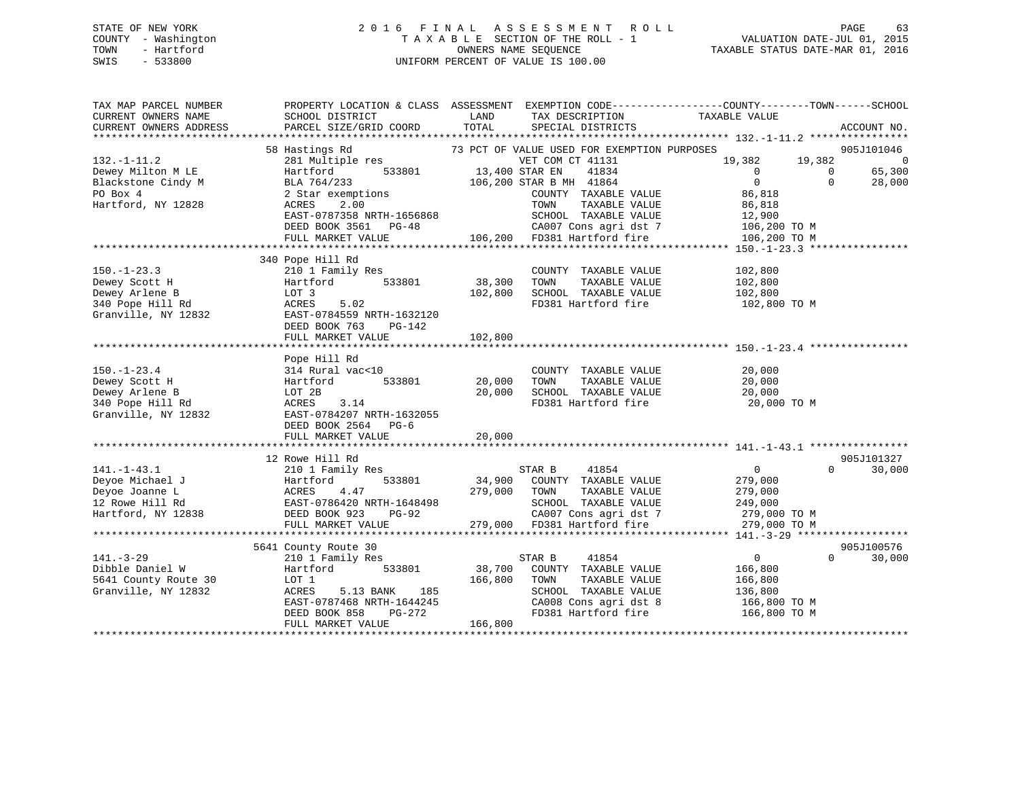### STATE OF NEW YORK 2 0 1 6 F I N A L A S S E S S M E N T R O L L PAGE 63 COUNTY - Washington T A X A B L E SECTION OF THE ROLL - 1 VALUATION DATE-JUL 01, 2015 TOWN - Hartford OWNERS NAME SEQUENCE TAXABLE STATUS DATE-MAR 01, 2016 SWIS - 533800 UNIFORM PERCENT OF VALUE IS 100.00

| TAX MAP PARCEL NUMBER  |                           |                |                                             | PROPERTY LOCATION & CLASS ASSESSMENT EXEMPTION CODE--------------COUNTY-------TOWN-----SCHOOL |             |
|------------------------|---------------------------|----------------|---------------------------------------------|-----------------------------------------------------------------------------------------------|-------------|
| CURRENT OWNERS NAME    | SCHOOL DISTRICT           | LAND           | TAX DESCRIPTION                             | TAXABLE VALUE                                                                                 |             |
| CURRENT OWNERS ADDRESS | PARCEL SIZE/GRID COORD    | TOTAL          | SPECIAL DISTRICTS                           |                                                                                               | ACCOUNT NO. |
|                        |                           |                |                                             |                                                                                               |             |
|                        | 58 Hastings Rd            |                | 73 PCT OF VALUE USED FOR EXEMPTION PURPOSES |                                                                                               | 905J101046  |
| $132. - 1 - 11.2$      | 281 Multiple res          |                | VET COM CT 41131                            | 19,382<br>19,382                                                                              | 0           |
| Dewey Milton M LE      | 533801<br>Hartford        | 13,400 STAR EN | 41834                                       | $\Omega$<br>0                                                                                 | 65,300      |
| Blackstone Cindy M     | BLA 764/233               |                | 106,200 STAR B MH 41864                     | $\overline{0}$<br>$\Omega$                                                                    | 28,000      |
| PO Box 4               | 2 Star exemptions         |                | COUNTY TAXABLE VALUE                        | 86,818                                                                                        |             |
| Hartford, NY 12828     | ACRES<br>2.00             |                | TOWN<br>TAXABLE VALUE                       | 86,818                                                                                        |             |
|                        | EAST-0787358 NRTH-1656868 |                | SCHOOL TAXABLE VALUE                        | 12,900                                                                                        |             |
|                        | DEED BOOK 3561 PG-48      |                | CA007 Cons agri dst 7                       | 106,200 TO M                                                                                  |             |
|                        |                           |                |                                             |                                                                                               |             |
|                        | FULL MARKET VALUE         |                | 106,200 FD381 Hartford fire                 | 106,200 TO M                                                                                  |             |
|                        |                           |                |                                             |                                                                                               |             |
|                        | 340 Pope Hill Rd          |                |                                             |                                                                                               |             |
| $150. - 1 - 23.3$      | 210 1 Family Res          |                | COUNTY TAXABLE VALUE                        | 102,800                                                                                       |             |
| Dewey Scott H          | Hartford<br>533801        | 38,300         | TOWN<br>TAXABLE VALUE                       | 102,800                                                                                       |             |
| Dewey Arlene B         | LOT 3                     | 102,800        | SCHOOL TAXABLE VALUE                        | 102,800                                                                                       |             |
| 340 Pope Hill Rd       | 5.02<br>ACRES             |                | FD381 Hartford fire                         | 102,800 TO M                                                                                  |             |
| Granville, NY 12832    | EAST-0784559 NRTH-1632120 |                |                                             |                                                                                               |             |
|                        | DEED BOOK 763<br>PG-142   |                |                                             |                                                                                               |             |
|                        | FULL MARKET VALUE         | 102,800        |                                             |                                                                                               |             |
|                        |                           |                |                                             |                                                                                               |             |
|                        | Pope Hill Rd              |                |                                             |                                                                                               |             |
| $150. - 1 - 23.4$      | 314 Rural vac<10          |                | COUNTY TAXABLE VALUE                        | 20,000                                                                                        |             |
| Dewey Scott H          | 533801<br>Hartford        | 20,000         | TAXABLE VALUE<br>TOWN                       | 20,000                                                                                        |             |
| Dewey Arlene B         | LOT 2B                    | 20,000         | SCHOOL TAXABLE VALUE                        | 20,000                                                                                        |             |
| 340 Pope Hill Rd       | 3.14<br>ACRES             |                | FD381 Hartford fire                         | 20,000 TO M                                                                                   |             |
| Granville, NY 12832    | EAST-0784207 NRTH-1632055 |                |                                             |                                                                                               |             |
|                        | DEED BOOK 2564 PG-6       |                |                                             |                                                                                               |             |
|                        |                           | 20,000         |                                             |                                                                                               |             |
|                        | FULL MARKET VALUE         |                |                                             |                                                                                               |             |
|                        |                           |                |                                             |                                                                                               |             |
|                        | 12 Rowe Hill Rd           |                |                                             |                                                                                               | 905J101327  |
| $141. - 1 - 43.1$      | 210 1 Family Res          |                | 41854<br>STAR B                             | $\overline{0}$<br>$\Omega$                                                                    | 30,000      |
| Deyoe Michael J        | Hartford<br>533801        | 34,900         | COUNTY TAXABLE VALUE                        | 279,000                                                                                       |             |
| Deyoe Joanne L         | 4.47<br>ACRES             | 279,000        | TOWN<br>TAXABLE VALUE                       | 279,000                                                                                       |             |
| 12 Rowe Hill Rd        | EAST-0786420 NRTH-1648498 |                | SCHOOL TAXABLE VALUE                        | 249,000                                                                                       |             |
| Hartford, NY 12838     | DEED BOOK 923<br>PG-92    |                | CA007 Cons agri dst 7                       | 279,000 ТО М                                                                                  |             |
|                        | FULL MARKET VALUE         |                | 279,000 FD381 Hartford fire                 | 279,000 TO M                                                                                  |             |
|                        |                           |                |                                             |                                                                                               |             |
|                        | 5641 County Route 30      |                |                                             |                                                                                               | 905J100576  |
| $141. - 3 - 29$        | 210 1 Family Res          |                | 41854<br>STAR B                             | $\overline{0}$<br>$\Omega$                                                                    | 30,000      |
| Dibble Daniel W        | 533801<br>Hartford        | 38,700         | COUNTY TAXABLE VALUE                        | 166,800                                                                                       |             |
| 5641 County Route 30   | LOT 1                     | 166,800        | TOWN<br>TAXABLE VALUE                       | 166,800                                                                                       |             |
| Granville, NY 12832    | ACRES<br>185<br>5.13 BANK |                | SCHOOL TAXABLE VALUE                        | 136,800                                                                                       |             |
|                        | EAST-0787468 NRTH-1644245 |                | CA008 Cons agri dst 8                       | 166,800 ТО М                                                                                  |             |
|                        | DEED BOOK 858<br>PG-272   |                |                                             | FD381 Hartford fire 166,800 TO M                                                              |             |
|                        | FULL MARKET VALUE         | 166,800        |                                             |                                                                                               |             |
|                        |                           |                |                                             |                                                                                               |             |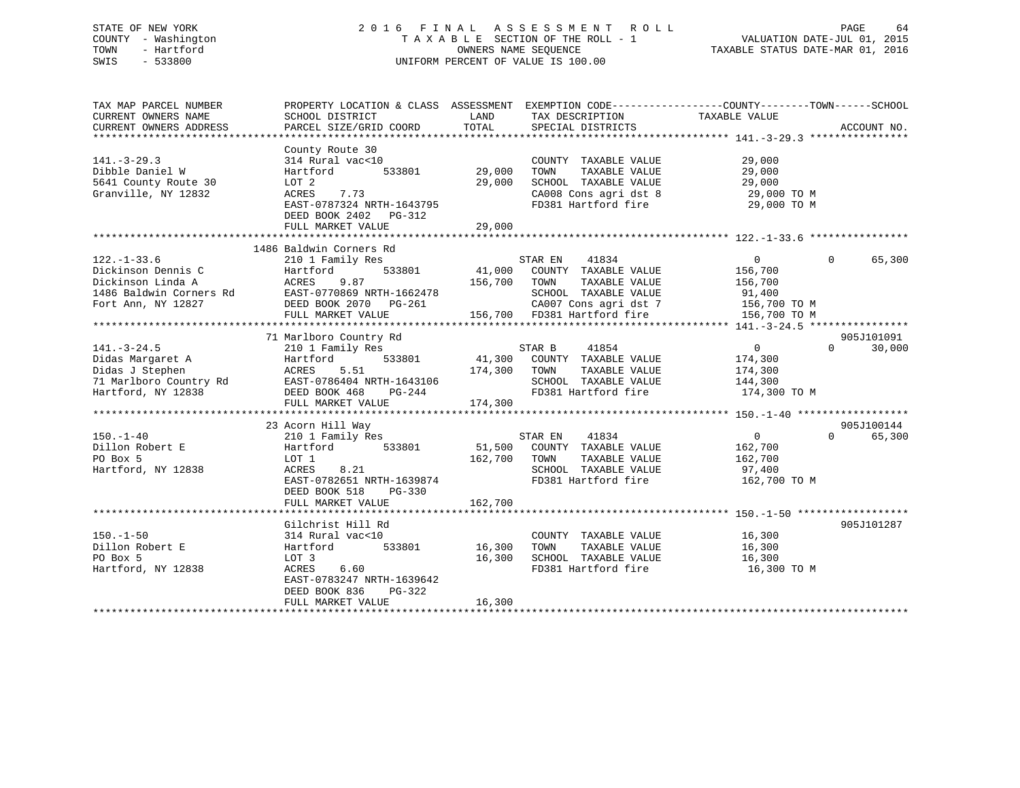### STATE OF NEW YORK 2 0 1 6 F I N A L A S S E S S M E N T R O L L PAGE 64 COUNTY - Washington T A X A B L E SECTION OF THE ROLL - 1 VALUATION DATE-JUL 01, 2015 TOWN - Hartford **TAXABLE STATUS DATE-MAR 01, 2016** OWNERS NAME SEQUENCE TAXABLE STATUS DATE-MAR 01, 2016 SWIS - 533800 UNIFORM PERCENT OF VALUE IS 100.00

| TAX MAP PARCEL NUMBER   | PROPERTY LOCATION & CLASS ASSESSMENT EXEMPTION CODE---------------COUNTY-------TOWN-----SCHOOL |         |                             |                |                    |
|-------------------------|------------------------------------------------------------------------------------------------|---------|-----------------------------|----------------|--------------------|
| CURRENT OWNERS NAME     | SCHOOL DISTRICT                                                                                | LAND    | TAX DESCRIPTION             | TAXABLE VALUE  |                    |
| CURRENT OWNERS ADDRESS  | PARCEL SIZE/GRID COORD                                                                         | TOTAL   | SPECIAL DISTRICTS           |                | ACCOUNT NO.        |
|                         |                                                                                                |         |                             |                |                    |
|                         | County Route 30                                                                                |         |                             |                |                    |
| $141. - 3 - 29.3$       | 314 Rural vac<10                                                                               |         | COUNTY TAXABLE VALUE        | 29,000         |                    |
| Dibble Daniel W         | 533801<br>Hartford                                                                             | 29,000  | TOWN<br>TAXABLE VALUE       | 29,000         |                    |
| 5641 County Route 30    | LOT 2                                                                                          | 29,000  | SCHOOL TAXABLE VALUE        | 29,000         |                    |
| Granville, NY 12832     | 7.73<br>ACRES                                                                                  |         | CA008 Cons agri dst 8       | 29,000 TO M    |                    |
|                         | EAST-0787324 NRTH-1643795                                                                      |         | FD381 Hartford fire         | 29,000 TO M    |                    |
|                         | DEED BOOK 2402 PG-312                                                                          |         |                             |                |                    |
|                         | FULL MARKET VALUE                                                                              | 29,000  |                             |                |                    |
|                         |                                                                                                |         |                             |                |                    |
|                         | 1486 Baldwin Corners Rd                                                                        |         |                             |                |                    |
| $122. - 1 - 33.6$       | 210 1 Family Res                                                                               |         | STAR EN<br>41834            | $\overline{0}$ | $\Omega$<br>65,300 |
| Dickinson Dennis C      | 533801<br>Hartford                                                                             |         | 41,000 COUNTY TAXABLE VALUE | 156,700        |                    |
|                         |                                                                                                |         |                             |                |                    |
| Dickinson Linda A       | 9.87<br>ACRES                                                                                  | 156,700 | TOWN<br>TAXABLE VALUE       | 156,700        |                    |
| 1486 Baldwin Corners Rd | EAST-0770869 NRTH-1662478                                                                      |         | SCHOOL TAXABLE VALUE        | 91,400         |                    |
| Fort Ann, NY 12827      | DEED BOOK 2070    PG-261                                                                       |         | CA007 Cons agri dst 7       | 156,700 TO M   |                    |
|                         | FULL MARKET VALUE                                                                              |         | 156,700 FD381 Hartford fire | 156,700 TO M   |                    |
|                         |                                                                                                |         |                             |                |                    |
|                         | 71 Marlboro Country Rd                                                                         |         |                             |                | 905J101091         |
| $141. - 3 - 24.5$       | 210 1 Family Res                                                                               |         | 41854<br>STAR B             | $\overline{0}$ | $\Omega$<br>30,000 |
| Didas Margaret A        | Hartford<br>533801                                                                             |         | 41,300 COUNTY TAXABLE VALUE | 174,300        |                    |
| Didas J Stephen         | 5.51<br>ACRES                                                                                  | 174,300 | TAXABLE VALUE<br>TOWN       | 174,300        |                    |
| 71 Marlboro Country Rd  | EAST-0786404 NRTH-1643106                                                                      |         | SCHOOL TAXABLE VALUE        | 144,300        |                    |
| Hartford, NY 12838      | DEED BOOK 468<br>PG-244                                                                        |         | FD381 Hartford fire         | 174,300 TO M   |                    |
|                         | FULL MARKET VALUE                                                                              | 174,300 |                             |                |                    |
|                         |                                                                                                |         |                             |                |                    |
|                         | 23 Acorn Hill Way                                                                              |         |                             |                | 905J100144         |
| $150. - 1 - 40$         |                                                                                                |         | 41834<br>STAR EN            | $\overline{0}$ | 65,300<br>$\Omega$ |
|                         | 210 1 Family Res                                                                               |         |                             |                |                    |
| Dillon Robert E         | 533801<br>Hartford                                                                             |         | 51,500 COUNTY TAXABLE VALUE | 162,700        |                    |
| PO Box 5                | LOT 1                                                                                          | 162,700 | TAXABLE VALUE<br>TOWN       | 162,700        |                    |
| Hartford, NY 12838      | 8.21<br>ACRES                                                                                  |         | SCHOOL TAXABLE VALUE        | 97,400         |                    |
|                         | EAST-0782651 NRTH-1639874                                                                      |         | FD381 Hartford fire         | 162,700 TO M   |                    |
|                         | DEED BOOK 518<br>$PG-330$                                                                      |         |                             |                |                    |
|                         | FULL MARKET VALUE                                                                              | 162,700 |                             |                |                    |
|                         |                                                                                                |         |                             |                |                    |
|                         | Gilchrist Hill Rd                                                                              |         |                             |                | 905J101287         |
| $150. - 1 - 50$         | 314 Rural vac<10                                                                               |         | COUNTY TAXABLE VALUE        | 16,300         |                    |
| Dillon Robert E         | Hartford<br>533801                                                                             | 16,300  | TOWN<br>TAXABLE VALUE       | 16,300         |                    |
| PO Box 5                | LOT 3                                                                                          | 16,300  | SCHOOL TAXABLE VALUE        | 16,300         |                    |
| Hartford, NY 12838      | ACRES<br>6.60                                                                                  |         | FD381 Hartford fire         | 16,300 TO M    |                    |
|                         | EAST-0783247 NRTH-1639642                                                                      |         |                             |                |                    |
|                         | DEED BOOK 836                                                                                  |         |                             |                |                    |
|                         | PG-322                                                                                         |         |                             |                |                    |
|                         | FULL MARKET VALUE                                                                              | 16,300  |                             |                |                    |
|                         |                                                                                                |         |                             |                |                    |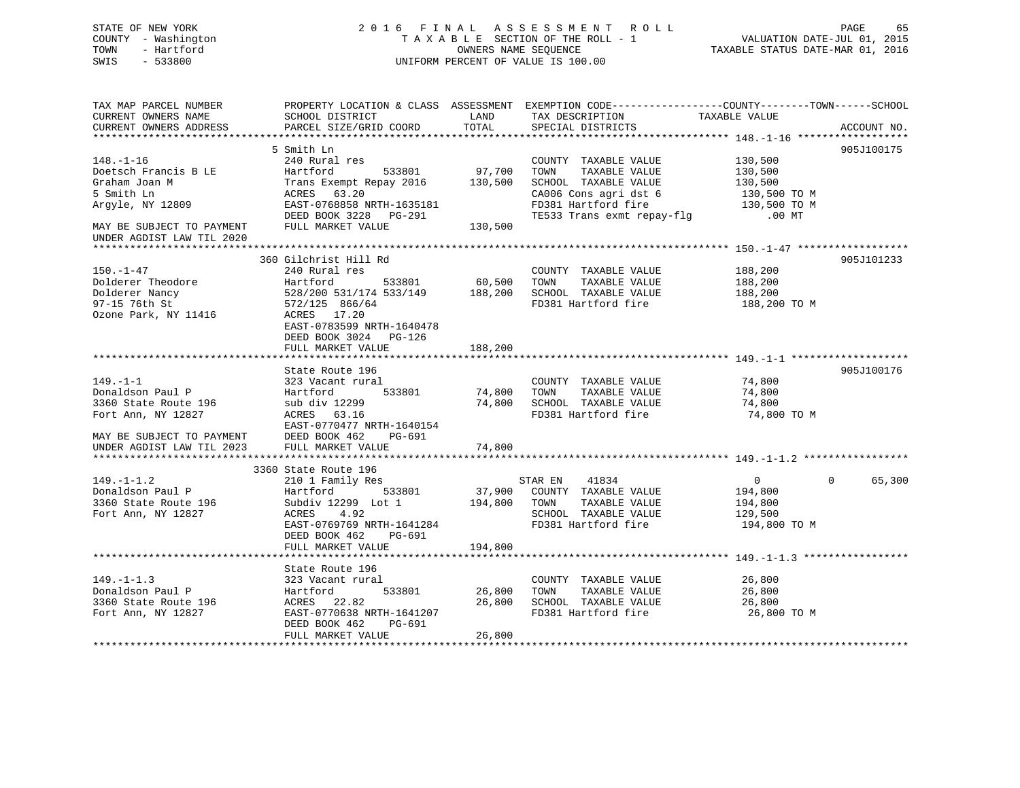### STATE OF NEW YORK 2 0 1 6 F I N A L A S S E S S M E N T R O L L PAGE 65 COUNTY - Washington T A X A B L E SECTION OF THE ROLL - 1 VALUATION DATE-JUL 01, 2015 TOWN - Hartford OWNERS NAME SEQUENCE TAXABLE STATUS DATE-MAR 01, 2016 SWIS - 533800 UNIFORM PERCENT OF VALUE IS 100.00

| TAX MAP PARCEL NUMBER     | PROPERTY LOCATION & CLASS ASSESSMENT EXEMPTION CODE----------------COUNTY-------TOWN------SCHOOL |         |                            |                |                        |
|---------------------------|--------------------------------------------------------------------------------------------------|---------|----------------------------|----------------|------------------------|
| CURRENT OWNERS NAME       | SCHOOL DISTRICT                                                                                  | LAND    | TAX DESCRIPTION            | TAXABLE VALUE  |                        |
| CURRENT OWNERS ADDRESS    | PARCEL SIZE/GRID COORD                                                                           | TOTAL   | SPECIAL DISTRICTS          |                | ACCOUNT NO.            |
|                           |                                                                                                  |         |                            |                |                        |
|                           | 5 Smith Ln                                                                                       |         |                            |                | 905J100175             |
| $148. - 1 - 16$           | 240 Rural res                                                                                    |         | COUNTY TAXABLE VALUE       | 130,500        |                        |
| Doetsch Francis B LE      | Hartford<br>533801                                                                               | 97,700  | TOWN<br>TAXABLE VALUE      | 130,500        |                        |
| Graham Joan M             | Trans Exempt Repay 2016                                                                          | 130,500 | SCHOOL TAXABLE VALUE       | 130,500        |                        |
| 5 Smith Ln                | ACRES 63.20                                                                                      |         | CA006 Cons agri dst 6      | 130,500 TO M   |                        |
| Argyle, NY 12809          | EAST-0768858 NRTH-1635181                                                                        |         | FD381 Hartford fire        | 130,500 TO M   |                        |
|                           | DEED BOOK 3228 PG-291                                                                            |         | TE533 Trans exmt repay-flg | $.00$ MT       |                        |
| MAY BE SUBJECT TO PAYMENT | FULL MARKET VALUE                                                                                | 130,500 |                            |                |                        |
| UNDER AGDIST LAW TIL 2020 |                                                                                                  |         |                            |                |                        |
|                           |                                                                                                  |         |                            |                |                        |
| $150. - 1 - 47$           | 360 Gilchrist Hill Rd                                                                            |         |                            |                | 905J101233             |
|                           | 240 Rural res                                                                                    |         | COUNTY TAXABLE VALUE       | 188,200        |                        |
| Dolderer Theodore         | Hartford<br>533801                                                                               | 60,500  | TAXABLE VALUE<br>TOWN      | 188,200        |                        |
| Dolderer Nancy            | 528/200 531/174 533/149                                                                          | 188,200 | SCHOOL TAXABLE VALUE       | 188,200        |                        |
| 97-15 76th St             | 572/125 866/64                                                                                   |         | FD381 Hartford fire        | 188,200 TO M   |                        |
| Ozone Park, NY 11416      | ACRES 17.20                                                                                      |         |                            |                |                        |
|                           | EAST-0783599 NRTH-1640478                                                                        |         |                            |                |                        |
|                           | DEED BOOK 3024 PG-126                                                                            |         |                            |                |                        |
|                           | FULL MARKET VALUE                                                                                | 188,200 |                            |                |                        |
|                           |                                                                                                  |         |                            |                |                        |
|                           | State Route 196                                                                                  |         |                            |                | 905J100176             |
| $149. - 1 - 1$            | 323 Vacant rural                                                                                 |         | COUNTY TAXABLE VALUE       | 74,800         |                        |
| Donaldson Paul P          | 533801<br>Hartford                                                                               | 74,800  | TOWN TAXABLE VALUE         | 74,800         |                        |
| 3360 State Route 196      | sub div 12299                                                                                    | 74,800  | SCHOOL TAXABLE VALUE       | 74,800         |                        |
| Fort Ann, NY 12827        | ACRES 63.16                                                                                      |         | FD381 Hartford fire        | 74,800 TO M    |                        |
|                           | EAST-0770477 NRTH-1640154                                                                        |         |                            |                |                        |
| MAY BE SUBJECT TO PAYMENT | DEED BOOK 462<br>PG-691                                                                          |         |                            |                |                        |
| UNDER AGDIST LAW TIL 2023 | FULL MARKET VALUE                                                                                | 74,800  |                            |                |                        |
|                           |                                                                                                  |         |                            |                |                        |
|                           | 3360 State Route 196                                                                             |         |                            |                |                        |
| $149. - 1 - 1.2$          | 210 1 Family Res                                                                                 |         | STAR EN<br>41834           | $\overline{0}$ | 65,300<br>$\mathbf{0}$ |
| Donaldson Paul P          | 533801<br>Hartford                                                                               | 37,900  | COUNTY TAXABLE VALUE       | 194,800        |                        |
| 3360 State Route 196      | Subdiv 12299 Lot 1                                                                               | 194,800 | TOWN<br>TAXABLE VALUE      | 194,800        |                        |
| Fort Ann, NY 12827        | ACRES<br>4.92                                                                                    |         | SCHOOL TAXABLE VALUE       | 129,500        |                        |
|                           | EAST-0769769 NRTH-1641284                                                                        |         | FD381 Hartford fire        | 194,800 TO M   |                        |
|                           | DEED BOOK 462<br>PG-691                                                                          |         |                            |                |                        |
|                           | FULL MARKET VALUE                                                                                | 194,800 |                            |                |                        |
|                           |                                                                                                  |         |                            |                |                        |
|                           | State Route 196                                                                                  |         |                            |                |                        |
| $149. - 1 - 1.3$          | 323 Vacant rural                                                                                 |         | COUNTY TAXABLE VALUE       | 26,800         |                        |
| Donaldson Paul P          | 533801<br>Hartford                                                                               | 26,800  | TAXABLE VALUE<br>TOWN      | 26,800         |                        |
| 3360 State Route 196      | ACRES 22.82                                                                                      | 26,800  | SCHOOL TAXABLE VALUE       | 26,800         |                        |
| Fort Ann, NY 12827        | EAST-0770638 NRTH-1641207                                                                        |         | FD381 Hartford fire        | 26,800 TO M    |                        |
|                           | DEED BOOK 462<br>PG-691                                                                          |         |                            |                |                        |
|                           | FULL MARKET VALUE                                                                                | 26,800  |                            |                |                        |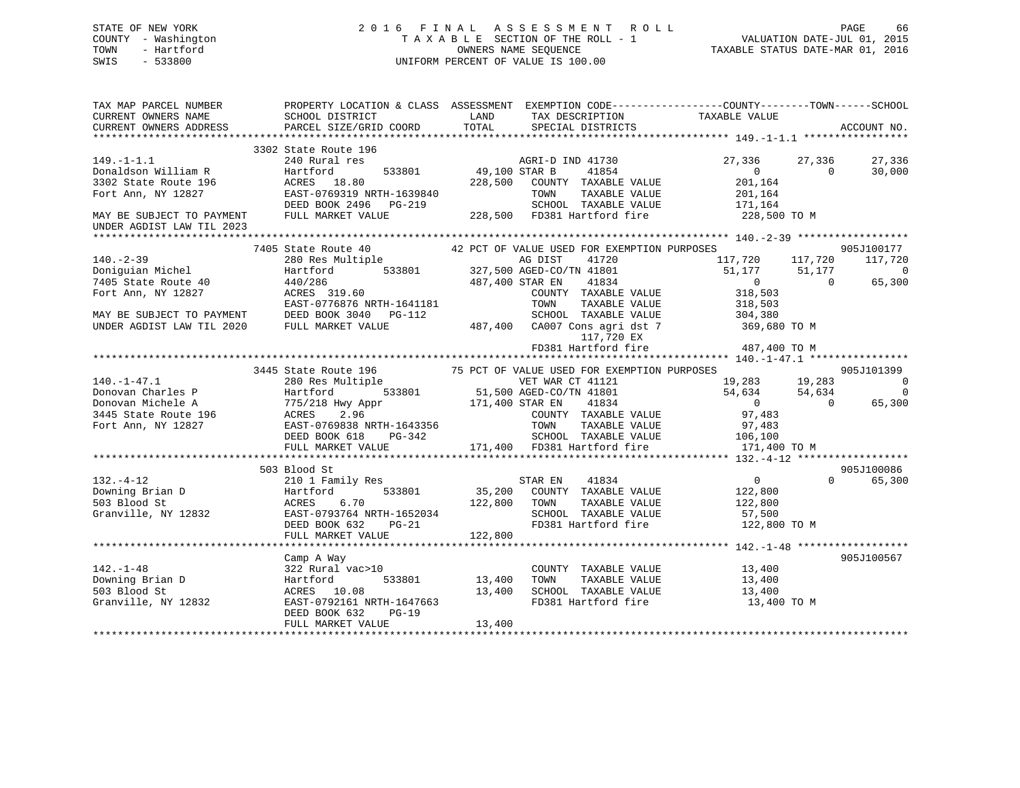### STATE OF NEW YORK 2 0 1 6 F I N A L A S S E S S M E N T R O L L PAGE 66 COUNTY - Washington T A X A B L E SECTION OF THE ROLL - 1 VALUATION DATE-JUL 01, 2015 TOWN - Hartford **TAXABLE STATUS DATE-MAR 01, 2016** OWNERS NAME SEQUENCE TAXABLE STATUS DATE-MAR 01, 2016 SWIS - 533800 UNIFORM PERCENT OF VALUE IS 100.00

| TAX MAP PARCEL NUMBER<br>CURRENT OWNERS NAME<br>CURRENT OWNERS ADDRESS                                                                                                                                                                             | PROPERTY LOCATION & CLASS ASSESSMENT EXEMPTION CODE----------------COUNTY-------TOWN------SCHOOL<br>SCHOOL DISTRICT<br>PARCEL SIZE/GRID COORD                                                                                          |        | LAND TAX DESCRIPTION TAXABLE VALUE COORD TOTAL SPECIAL DISTRICTS                       |                                              |          | ACCOUNT NO.                     |
|----------------------------------------------------------------------------------------------------------------------------------------------------------------------------------------------------------------------------------------------------|----------------------------------------------------------------------------------------------------------------------------------------------------------------------------------------------------------------------------------------|--------|----------------------------------------------------------------------------------------|----------------------------------------------|----------|---------------------------------|
|                                                                                                                                                                                                                                                    | 3302 State Route 196                                                                                                                                                                                                                   |        |                                                                                        |                                              |          |                                 |
| $149. - 1 - 1.1$<br>149.-1-1.1<br>Donaldson William R<br>3302 State Route 196<br>Fort Ann, NY 12827                                                                                                                                                | 240 Rural res                                                                                                                                                                                                                          |        | 196 MGRI-D IND 41730<br>199,100 STAR B 49,100 STAR B 49,100 STAR B 49,100 STAR B 41854 | 27,336 27,336                                | $\Omega$ | 27,336<br>30,000                |
|                                                                                                                                                                                                                                                    |                                                                                                                                                                                                                                        |        |                                                                                        |                                              |          |                                 |
|                                                                                                                                                                                                                                                    |                                                                                                                                                                                                                                        |        |                                                                                        |                                              |          |                                 |
|                                                                                                                                                                                                                                                    |                                                                                                                                                                                                                                        |        |                                                                                        |                                              |          |                                 |
| MAY BE SUBJECT TO PAYMENT<br>UNDER AGDIST LAW TIL 2023                                                                                                                                                                                             | 240 Rural res<br>Hartford 18.80 533801 49,100 STAR B 41854 4027,336 27,336 27,3<br>ACRES 18.80 228,500 COUNTY TAXABLE VALUE 201,164<br>RAST-0769319 NRTH-1639840 70WN TAXABLE VALUE 201,164<br>DEED BOOK 2496 PG-219 SCHOOL TAXABLE VA |        |                                                                                        |                                              |          |                                 |
|                                                                                                                                                                                                                                                    |                                                                                                                                                                                                                                        |        |                                                                                        |                                              |          |                                 |
|                                                                                                                                                                                                                                                    | 7405 State Route 40 42 PCT OF VALUE USED FOR EXEMPTION PURPOSES 905J100177<br>280 Res Multiple ag DIST 41720 117,720 117,720 117,720 117,720<br>Hartford 533801 327,500 AGED-CO/TN 41801 51,177 51,177 0<br>440/286 487,400 STAR EN    |        |                                                                                        |                                              |          |                                 |
| $140. -2 - 39$                                                                                                                                                                                                                                     |                                                                                                                                                                                                                                        |        |                                                                                        |                                              |          |                                 |
| Doniguian Michel<br>7405 State Route 40                                                                                                                                                                                                            |                                                                                                                                                                                                                                        |        |                                                                                        |                                              |          | 0<br>65,300                     |
|                                                                                                                                                                                                                                                    | $\begin{array}{ccccc} 440/286 & & & 487,400 & \text{STAR} & \text{EN} \\ \text{ACRES} & 319.60 & & & & & \text{COUNTY} & \text{T} \end{array}$                                                                                         |        |                                                                                        |                                              |          |                                 |
|                                                                                                                                                                                                                                                    |                                                                                                                                                                                                                                        |        |                                                                                        |                                              |          |                                 |
|                                                                                                                                                                                                                                                    |                                                                                                                                                                                                                                        |        |                                                                                        |                                              |          |                                 |
|                                                                                                                                                                                                                                                    |                                                                                                                                                                                                                                        |        |                                                                                        |                                              |          |                                 |
| 7405 State Route 40<br>Fort Ann, NY 12827<br>RAST-0776876 NRTH-1641181<br>MAY BE SUBJECT TO PAYMENT<br>DEED BOOK 3040 PG-112<br>UNDER AGDIST LAW TIL 2020<br>FULL MARKET VALUE<br>TOWN TAXABLE VALUE<br>2010 SCHOOL TAXABLE VALUE<br>487,400 CA    |                                                                                                                                                                                                                                        |        |                                                                                        |                                              |          |                                 |
|                                                                                                                                                                                                                                                    |                                                                                                                                                                                                                                        |        |                                                                                        |                                              |          |                                 |
|                                                                                                                                                                                                                                                    |                                                                                                                                                                                                                                        |        |                                                                                        |                                              |          |                                 |
| 140.-1-47.1<br>3445 State Route 196 Multiple 75 PCT OF NEW URE WAR CT 41121<br>280 Res Multiple 75 PCT OF NEW CT 41121<br>280 Res Multiple 533801 51,500 AGED-CO/TN 41801<br>280 Res Multiple 533801 51,500 AGED-CO/TN 41801<br>280 Mart           |                                                                                                                                                                                                                                        |        |                                                                                        |                                              |          |                                 |
|                                                                                                                                                                                                                                                    |                                                                                                                                                                                                                                        |        |                                                                                        |                                              |          |                                 |
|                                                                                                                                                                                                                                                    |                                                                                                                                                                                                                                        |        |                                                                                        |                                              |          |                                 |
|                                                                                                                                                                                                                                                    |                                                                                                                                                                                                                                        |        |                                                                                        |                                              |          |                                 |
|                                                                                                                                                                                                                                                    |                                                                                                                                                                                                                                        |        |                                                                                        |                                              |          |                                 |
|                                                                                                                                                                                                                                                    |                                                                                                                                                                                                                                        |        |                                                                                        |                                              |          |                                 |
|                                                                                                                                                                                                                                                    |                                                                                                                                                                                                                                        |        |                                                                                        |                                              |          |                                 |
|                                                                                                                                                                                                                                                    |                                                                                                                                                                                                                                        |        |                                                                                        |                                              |          |                                 |
|                                                                                                                                                                                                                                                    |                                                                                                                                                                                                                                        |        |                                                                                        |                                              |          |                                 |
|                                                                                                                                                                                                                                                    | 503 Blood St                                                                                                                                                                                                                           |        |                                                                                        |                                              |          | 905J100086                      |
|                                                                                                                                                                                                                                                    |                                                                                                                                                                                                                                        |        |                                                                                        |                                              |          | $\Omega$ and $\Omega$<br>65,300 |
| 313.-4-12<br>Downing Brian D<br>Downing Brian D<br>EXERE SUN Hartford<br>SUSBIOOD STATE STAR EN 41834<br>Hartford 533801<br>SUSBIOOD STAR STAR STAR STAR THANABLE VALUE<br>SUSBIOOD STARTS 533801<br>ACRES 6.70<br>SUSBIOOD TOWN TAXABLE VALUE<br> |                                                                                                                                                                                                                                        |        |                                                                                        | $\begin{array}{c} 0 \\ 122,800 \end{array}$  |          |                                 |
|                                                                                                                                                                                                                                                    |                                                                                                                                                                                                                                        |        |                                                                                        | TAXABLE VALUE 122,800                        |          |                                 |
|                                                                                                                                                                                                                                                    |                                                                                                                                                                                                                                        |        |                                                                                        |                                              |          |                                 |
|                                                                                                                                                                                                                                                    |                                                                                                                                                                                                                                        |        |                                                                                        |                                              |          |                                 |
|                                                                                                                                                                                                                                                    |                                                                                                                                                                                                                                        |        |                                                                                        |                                              |          |                                 |
|                                                                                                                                                                                                                                                    |                                                                                                                                                                                                                                        |        |                                                                                        |                                              |          |                                 |
|                                                                                                                                                                                                                                                    | Camp A Way                                                                                                                                                                                                                             |        |                                                                                        |                                              |          | 905J100567                      |
| $142. - 1 - 48$                                                                                                                                                                                                                                    | 322 Rural vac>10                                                                                                                                                                                                                       |        | COUNTY TAXABLE VALUE 13,400                                                            |                                              |          |                                 |
| 142.-1-48<br>Downing Brian D<br>503 Blood St                                                                                                                                                                                                       | 533801 13,400<br>Hartford                                                                                                                                                                                                              |        | TOWN                                                                                   | TAXABLE VALUE 13,400<br>TAXABLE VALUE 13,400 |          |                                 |
| 503 Blood St                                                                                                                                                                                                                                       | ACRES 10.08 13,400 SCHOOL TAXABLE VALUE<br>EAST-0792161 NRTH-1647663 FD381 Hartford fire                                                                                                                                               |        |                                                                                        |                                              |          |                                 |
| Granville, NY 12832                                                                                                                                                                                                                                | DEED BOOK 632<br>$PG-19$                                                                                                                                                                                                               |        | FD381 Hartford fire 13,400 TO M                                                        |                                              |          |                                 |
|                                                                                                                                                                                                                                                    | FULL MARKET VALUE                                                                                                                                                                                                                      | 13,400 |                                                                                        |                                              |          |                                 |
|                                                                                                                                                                                                                                                    |                                                                                                                                                                                                                                        |        |                                                                                        |                                              |          |                                 |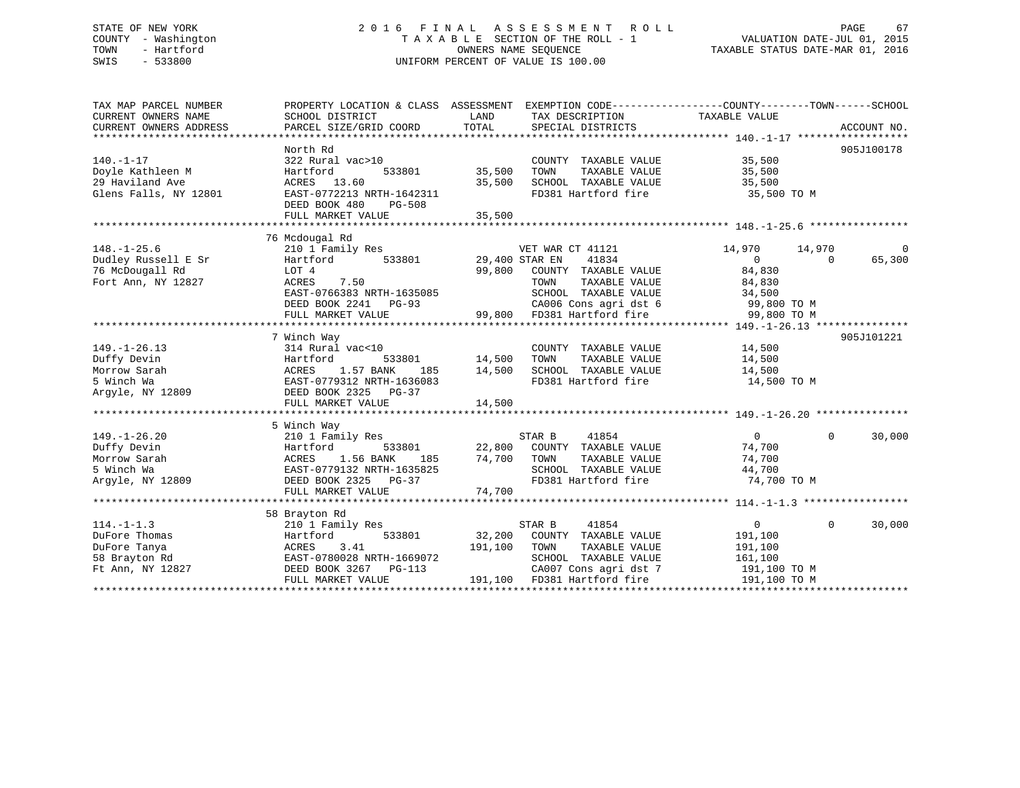# STATE OF NEW YORK 2 0 1 6 F I N A L A S S E S S M E N T R O L L PAGE 67 COUNTY - Washington T A X A B L E SECTION OF THE ROLL - 1 VALUATION DATE-JUL 01, 2015 TOWN - Hartford OWNERS NAME SEQUENCE TAXABLE STATUS DATE-MAR 01, 2016 SWIS - 533800 UNIFORM PERCENT OF VALUE IS 100.00

TAX MAP PARCEL NUMBER PROPERTY LOCATION & CLASS ASSESSMENT EXEMPTION CODE------------------COUNTY--------TOWN------SCHOOL CURRENT OWNERS NAME SCHOOL DISTRICT LAND TAX DESCRIPTION TAXABLE VALUE CURRENT OWNERS ADDRESS PARCEL SIZE/GRID COORD TOTAL SPECIAL DISTRICTS ACCOUNT NO. \*\*\*\*\*\*\*\*\*\*\*\*\*\*\*\*\*\*\*\*\*\*\*\*\*\*\*\*\*\*\*\*\*\*\*\*\*\*\*\*\*\*\*\*\*\*\*\*\*\*\*\*\*\*\*\*\*\*\*\*\*\*\*\*\*\*\*\*\*\*\*\*\*\*\*\*\*\*\*\*\*\*\*\*\*\*\*\*\*\*\*\*\*\*\*\*\*\*\*\*\*\*\* 140.-1-17 \*\*\*\*\*\*\*\*\*\*\*\*\*\*\*\*\*\* North Rd 905J100178140.-1-17 322 Rural vac>10 COUNTY TAXABLE VALUE 35,500 Doyle Kathleen M Hartford 533801 35,500 TOWN TAXABLE VALUE 35,500 29 Haviland Ave ACRES 13.60 35,500 SCHOOL TAXABLE VALUE 35,500 Glens Falls, NY 12801 EAST-0772213 NRTH-1642311 FD381 Hartford fire 35,500 TO M DEED BOOK 480 PG-508 FULL MARKET VALUE 35,500 \*\*\*\*\*\*\*\*\*\*\*\*\*\*\*\*\*\*\*\*\*\*\*\*\*\*\*\*\*\*\*\*\*\*\*\*\*\*\*\*\*\*\*\*\*\*\*\*\*\*\*\*\*\*\*\*\*\*\*\*\*\*\*\*\*\*\*\*\*\*\*\*\*\*\*\*\*\*\*\*\*\*\*\*\*\*\*\*\*\*\*\*\*\*\*\*\*\*\*\*\*\*\* 148.-1-25.6 \*\*\*\*\*\*\*\*\*\*\*\*\*\*\*\* 76 Mcdougal Rd 148.-1-25.6 210 1 Family Res VET WAR CT 41121 14,970 14,970 0 Dudley Russell E Sr Hartford 533801 29,400 STAR EN 41834 0 0 65,300 76 McDougall Rd LOT 4 99,800 COUNTY TAXABLE VALUE 84,830 Fort Ann, NY 12827 ACRES 7.50 TOWN TAXABLE VALUE 84,830 EAST-0766383 NRTH-1635085 SCHOOL TAXABLE VALUE 34,500 DEED BOOK 2241 PG-93 CA006 Cons agri dst 6 99,800 TO M FULL MARKET VALUE 99,800 FD381 Hartford fire 99,800 TO M \*\*\*\*\*\*\*\*\*\*\*\*\*\*\*\*\*\*\*\*\*\*\*\*\*\*\*\*\*\*\*\*\*\*\*\*\*\*\*\*\*\*\*\*\*\*\*\*\*\*\*\*\*\*\*\*\*\*\*\*\*\*\*\*\*\*\*\*\*\*\*\*\*\*\*\*\*\*\*\*\*\*\*\*\*\*\*\*\*\*\*\*\*\*\*\*\*\*\*\*\*\*\* 149.-1-26.13 \*\*\*\*\*\*\*\*\*\*\*\*\*\*\* 7 Winch Way 905J101221 149.-1-26.13 314 Rural vac<10 COUNTY TAXABLE VALUE 14,500 Duffy Devin Hartford 533801 14,500 TOWN TAXABLE VALUE 14,500 Morrow Sarah ACRES 1.57 BANK 185 14,500 SCHOOL TAXABLE VALUE 14,500 5 Winch Wa EAST-0779312 NRTH-1636083 FD381 Hartford fire 14,500 TO M Argyle, NY 12809 DEED BOOK 2325 PG-37 DEED BOOK 2323 PG-37<br>FULL MARKET VALUE 14,500 \*\*\*\*\*\*\*\*\*\*\*\*\*\*\*\*\*\*\*\*\*\*\*\*\*\*\*\*\*\*\*\*\*\*\*\*\*\*\*\*\*\*\*\*\*\*\*\*\*\*\*\*\*\*\*\*\*\*\*\*\*\*\*\*\*\*\*\*\*\*\*\*\*\*\*\*\*\*\*\*\*\*\*\*\*\*\*\*\*\*\*\*\*\*\*\*\*\*\*\*\*\*\* 149.-1-26.20 \*\*\*\*\*\*\*\*\*\*\*\*\*\*\* 5 Winch Way 149.-1-26.20 210 1 Family Res STAR B 41854 0 0 30,000 Duffy Devin Hartford 533801 22,800 COUNTY TAXABLE VALUE 74,700 Morrow Sarah ACRES 1.56 BANK 185 74,700 TOWN TAXABLE VALUE 74,700 5 Winch Wa EAST-0779132 NRTH-1635825 SCHOOL TAXABLE VALUE 44,700 Argyle, NY 12809 DEED BOOK 2325 PG-37 FD381 Hartford fire 74,700 TO M FULL MARKET VALUE 74,700 \*\*\*\*\*\*\*\*\*\*\*\*\*\*\*\*\*\*\*\*\*\*\*\*\*\*\*\*\*\*\*\*\*\*\*\*\*\*\*\*\*\*\*\*\*\*\*\*\*\*\*\*\*\*\*\*\*\*\*\*\*\*\*\*\*\*\*\*\*\*\*\*\*\*\*\*\*\*\*\*\*\*\*\*\*\*\*\*\*\*\*\*\*\*\*\*\*\*\*\*\*\*\* 114.-1-1.3 \*\*\*\*\*\*\*\*\*\*\*\*\*\*\*\*\* 58 Brayton Rd 114.-1-1.3 210 1 Family Res STAR B 41854 0 0 30,000 DuFore Thomas Hartford 533801 32,200 COUNTY TAXABLE VALUE 191,100 DuFore Tanya ACRES 3.41 191,100 TOWN TAXABLE VALUE 191,100 58 Brayton Rd EAST-0780028 NRTH-1669072 SCHOOL TAXABLE VALUE 161,100 Ft Ann, NY 12827 DEED BOOK 3267 PG-113 CA007 Cons agri dst 7 191,100 TO M FULL MARKET VALUE 191,100 FD381 Hartford fire 191,100 TO M \*\*\*\*\*\*\*\*\*\*\*\*\*\*\*\*\*\*\*\*\*\*\*\*\*\*\*\*\*\*\*\*\*\*\*\*\*\*\*\*\*\*\*\*\*\*\*\*\*\*\*\*\*\*\*\*\*\*\*\*\*\*\*\*\*\*\*\*\*\*\*\*\*\*\*\*\*\*\*\*\*\*\*\*\*\*\*\*\*\*\*\*\*\*\*\*\*\*\*\*\*\*\*\*\*\*\*\*\*\*\*\*\*\*\*\*\*\*\*\*\*\*\*\*\*\*\*\*\*\*\*\*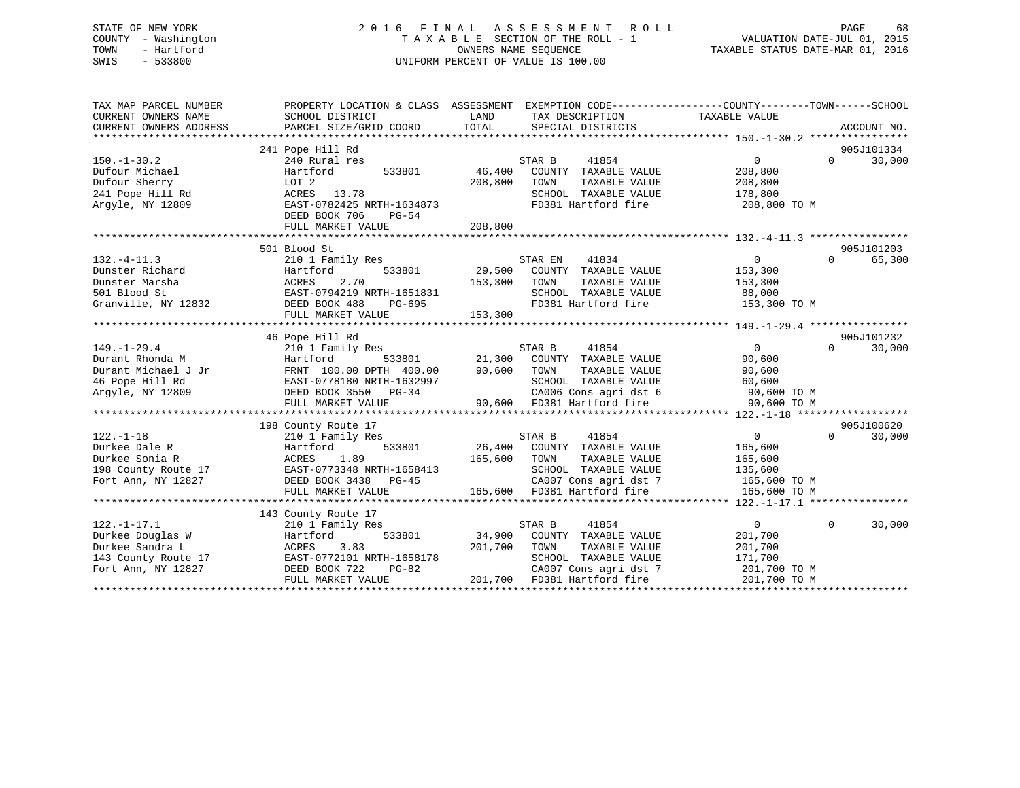### STATE OF NEW YORK 2 0 1 6 F I N A L A S S E S S M E N T R O L L PAGE 68 COUNTY - Washington T A X A B L E SECTION OF THE ROLL - 1 VALUATION DATE-JUL 01, 2015 TOWN - Hartford **TAXABLE STATUS DATE-MAR 01, 2016** OWNERS NAME SEQUENCE TAXABLE STATUS DATE-MAR 01, 2016 SWIS - 533800 UNIFORM PERCENT OF VALUE IS 100.00

| TAX MAP PARCEL NUMBER<br>CURRENT OWNERS NAME<br>CURRENT OWNERS ADDRESS                                                                                                                                                                                                                                                                                                                 | PROPERTY LOCATION & CLASS ASSESSMENT EXEMPTION CODE----------------COUNTY-------TOWN-----SCHOOL<br>SCHOOL DISTRICT<br>PARCEL SIZE/GRID COORD | LAND<br>TOTAL | TAX DESCRIPTION TAXABLE VALUE<br>SPECIAL DISTRICTS            |                |          | ACCOUNT NO. |
|----------------------------------------------------------------------------------------------------------------------------------------------------------------------------------------------------------------------------------------------------------------------------------------------------------------------------------------------------------------------------------------|----------------------------------------------------------------------------------------------------------------------------------------------|---------------|---------------------------------------------------------------|----------------|----------|-------------|
|                                                                                                                                                                                                                                                                                                                                                                                        | 241 Pope Hill Rd                                                                                                                             |               |                                                               |                |          | 905J101334  |
| $150. - 1 - 30.2$                                                                                                                                                                                                                                                                                                                                                                      | 240 Rural res                                                                                                                                |               | 41854<br>STAR B                                               | $\overline{0}$ | $\Omega$ | 30,000      |
| Dufour Michael                                                                                                                                                                                                                                                                                                                                                                         | Hartford                                                                                                                                     | 533801 46,400 | COUNTY TAXABLE VALUE                                          | 208,800        |          |             |
| Dufour Sherry                                                                                                                                                                                                                                                                                                                                                                          | LOT 2                                                                                                                                        | 208,800       | TOWN<br>TAXABLE VALUE                                         | 208,800        |          |             |
| 241 Pope Hill Rd                                                                                                                                                                                                                                                                                                                                                                       | ACRES 13.78                                                                                                                                  |               | SCHOOL TAXABLE VALUE                                          | 178,800        |          |             |
| Arqyle, NY 12809                                                                                                                                                                                                                                                                                                                                                                       | EAST-0782425 NRTH-1634873<br>DEED BOOK 706<br>PG-54<br>FULL MARKET VALUE                                                                     | 208,800       | FD381 Hartford fire                                           | 208,800 TO M   |          |             |
|                                                                                                                                                                                                                                                                                                                                                                                        |                                                                                                                                              |               |                                                               |                |          |             |
|                                                                                                                                                                                                                                                                                                                                                                                        | 501 Blood St                                                                                                                                 |               |                                                               |                |          | 905J101203  |
| $132. -4 - 11.3$                                                                                                                                                                                                                                                                                                                                                                       | 210 1 Family Res                                                                                                                             |               | 41834<br>STAR EN                                              | $\overline{0}$ | $\Omega$ | 65,300      |
| Dunster Richard                                                                                                                                                                                                                                                                                                                                                                        | 533801<br>Hartford                                                                                                                           |               | 29,500 COUNTY TAXABLE VALUE                                   | 153,300        |          |             |
| Dunster Marsha                                                                                                                                                                                                                                                                                                                                                                         | 2.70<br>ACRES                                                                                                                                | 153,300 TOWN  | TAXABLE VALUE                                                 | 153,300        |          |             |
| 501 Blood St                                                                                                                                                                                                                                                                                                                                                                           |                                                                                                                                              |               | SCHOOL TAXABLE VALUE                                          |                |          |             |
| Granville, NY 12832                                                                                                                                                                                                                                                                                                                                                                    |                                                                                                                                              |               |                                                               |                |          |             |
|                                                                                                                                                                                                                                                                                                                                                                                        |                                                                                                                                              |               |                                                               |                |          |             |
|                                                                                                                                                                                                                                                                                                                                                                                        |                                                                                                                                              |               |                                                               |                |          |             |
|                                                                                                                                                                                                                                                                                                                                                                                        | 46 Pope Hill Rd                                                                                                                              |               |                                                               |                |          | 905J101232  |
| $149. - 1 - 29.4$                                                                                                                                                                                                                                                                                                                                                                      | 210 1 Family Res                                                                                                                             |               | 3 533801 531AR B 41854<br>1933801 21,300 COUNTY TAXABLE VALUE | $\overline{0}$ | $\Omega$ | 30,000      |
| Durant Rhonda M                                                                                                                                                                                                                                                                                                                                                                        | Hartford                                                                                                                                     |               |                                                               | 90,600         |          |             |
| Durant Michael J Jr                                                                                                                                                                                                                                                                                                                                                                    | FRNT 100.00 DPTH 400.00                                                                                                                      | 90,600 TOWN   | TAXABLE VALUE                                                 | 90,600         |          |             |
| 46 Pope Hill Rd                                                                                                                                                                                                                                                                                                                                                                        | EAST-0778180 NRTH-1632997                                                                                                                    |               | SCHOOL TAXABLE VALUE                                          | 60,600         |          |             |
| Argyle, NY 12809                                                                                                                                                                                                                                                                                                                                                                       | DEED BOOK 3550 PG-34                                                                                                                         |               | CA006 Cons agri dst 6 90,600 TO M                             |                |          |             |
|                                                                                                                                                                                                                                                                                                                                                                                        | FULL MARKET VALUE                                                                                                                            |               | 90,600 FD381 Hartford fire                                    | 90,600 TO M    |          |             |
|                                                                                                                                                                                                                                                                                                                                                                                        |                                                                                                                                              |               |                                                               |                |          |             |
|                                                                                                                                                                                                                                                                                                                                                                                        | 198 County Route 17                                                                                                                          |               |                                                               |                |          | 905J100620  |
| $122. - 1 - 18$                                                                                                                                                                                                                                                                                                                                                                        | 210 1 Family Res                                                                                                                             |               | 41854<br>STAR B                                               | $\overline{0}$ | $\Omega$ | 30,000      |
| Durkee Dale R                                                                                                                                                                                                                                                                                                                                                                          | 533801<br>Hartford                                                                                                                           |               | 26,400 COUNTY TAXABLE VALUE                                   | 165,600        |          |             |
| Durkee Sonia R                                                                                                                                                                                                                                                                                                                                                                         | ACRES<br>1.89                                                                                                                                | 165,600       | TAXABLE VALUE<br>TOWN                                         | 165,600        |          |             |
|                                                                                                                                                                                                                                                                                                                                                                                        |                                                                                                                                              |               | SCHOOL TAXABLE VALUE                                          | 135,600        |          |             |
| $\begin{array}{lll} \text{198} & \text{198} & \text{198} \\ \text{198} & \text{198} & \text{199} \\ \text{199} & \text{199} & \text{199} \\ \text{190} & \text{190} & \text{190} \\ \text{190} & \text{190} & \text{190} \\ \text{191} & \text{190} & \text{190} \\ \text{191} & \text{190} & \text{190} \\ \text{192} & \text{190} & \text{190} \\ \text{193} & \text{190} & \text{1$ |                                                                                                                                              |               | CA007 Cons agri dst 7<br>165,600 FD381 Hartford fire          | 165,600 TO M   |          |             |
|                                                                                                                                                                                                                                                                                                                                                                                        | FULL MARKET VALUE                                                                                                                            |               |                                                               | 165,600 TO M   |          |             |
|                                                                                                                                                                                                                                                                                                                                                                                        |                                                                                                                                              |               |                                                               |                |          |             |
|                                                                                                                                                                                                                                                                                                                                                                                        | 143 County Route 17                                                                                                                          |               |                                                               |                |          |             |
| $122. - 1 - 17.1$                                                                                                                                                                                                                                                                                                                                                                      | 210 1 Family Res                                                                                                                             |               | STAR B<br>41854                                               | $\overline{0}$ | $\Omega$ | 30,000      |
| Durkee Douglas W                                                                                                                                                                                                                                                                                                                                                                       | 533801<br>Hartford                                                                                                                           |               | 34,900 COUNTY TAXABLE VALUE                                   | 201,700        |          |             |
| Durkee Sandra L                                                                                                                                                                                                                                                                                                                                                                        | ACRES<br>3.83                                                                                                                                | 201,700       | TAXABLE VALUE<br>TOWN                                         | 201,700        |          |             |
| 143 County Route 17 EAST-0772101 NRTH-1658178                                                                                                                                                                                                                                                                                                                                          |                                                                                                                                              |               | SCHOOL TAXABLE VALUE                                          | 171,700        |          |             |
| Fort Ann, NY 12827                                                                                                                                                                                                                                                                                                                                                                     | DEED BOOK 722<br>PG-82                                                                                                                       |               | CA007 Cons agri dst 7                                         | 201,700 TO M   |          |             |
|                                                                                                                                                                                                                                                                                                                                                                                        | FULL MARKET VALUE                                                                                                                            |               | 201,700 FD381 Hartford fire                                   | 201,700 TO M   |          |             |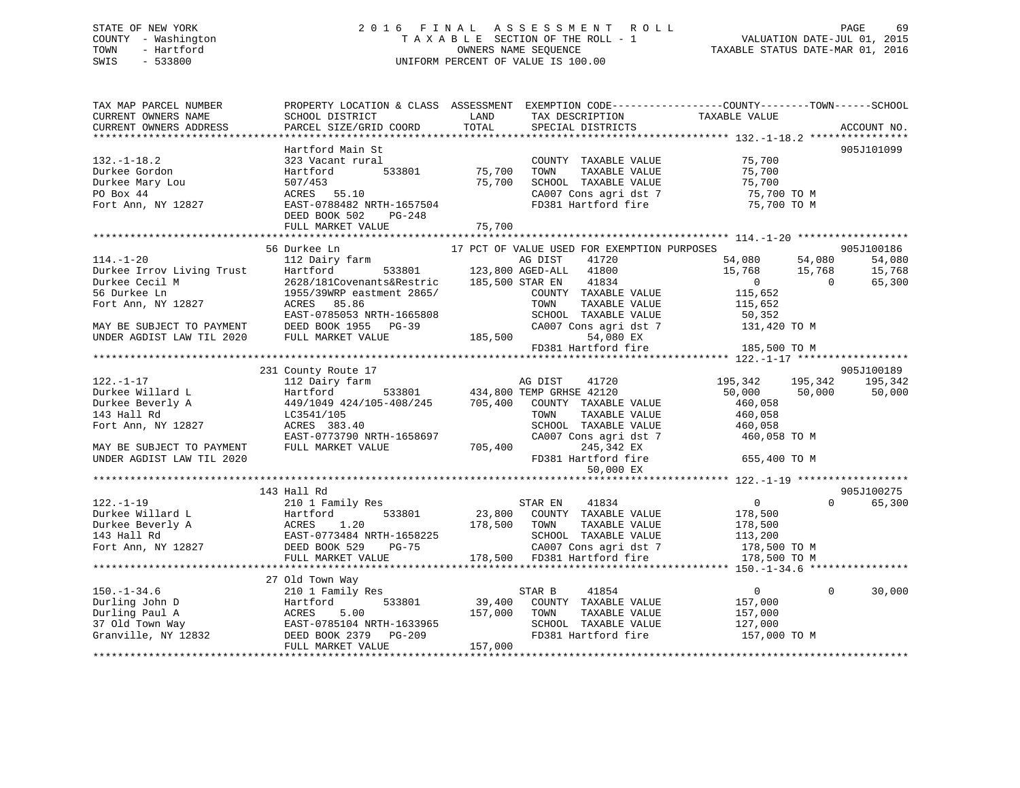### STATE OF NEW YORK 2 0 1 6 F I N A L A S S E S S M E N T R O L L PAGE 69 COUNTY - Washington T A X A B L E SECTION OF THE ROLL - 1 VALUATION DATE-JUL 01, 2015 TOWN - Hartford **TAXABLE STATUS DATE-MAR 01, 2016** OWNERS NAME SEQUENCE TAXABLE STATUS DATE-MAR 01, 2016 SWIS - 533800 UNIFORM PERCENT OF VALUE IS 100.00

| TAX MAP PARCEL NUMBER<br>CURRENT OWNERS NAME<br>CURRENT OWNERS ADDRESS                       | SCHOOL DISTRICT<br>PARCEL SIZE/GRID COORD                                                                                                                                                                                                 | LAND<br>TOTAL | TAX DESCRIPTION<br>SPECIAL DISTRICTS                                 | PROPERTY LOCATION & CLASS ASSESSMENT EXEMPTION CODE---------------COUNTY-------TOWN-----SCHOOL<br>TAXABLE VALUE | ACCOUNT NO.                |
|----------------------------------------------------------------------------------------------|-------------------------------------------------------------------------------------------------------------------------------------------------------------------------------------------------------------------------------------------|---------------|----------------------------------------------------------------------|-----------------------------------------------------------------------------------------------------------------|----------------------------|
|                                                                                              |                                                                                                                                                                                                                                           |               |                                                                      |                                                                                                                 |                            |
| $132. - 1 - 18.2$<br>Durkee Gordon                                                           | Hartford Main St<br>323 Vacant rural<br>533801<br>Hartford                                                                                                                                                                                | 75,700        | COUNTY TAXABLE VALUE<br>TOWN<br>TAXABLE VALUE                        | 75,700<br>75,700                                                                                                | 905J101099                 |
| Durkee Mary Lou<br>PO Box 44<br>Fort Ann, NY 12827                                           | 507/453<br>ACRES 55.10<br>EAST-0788482 NRTH-1657504<br>DEED BOOK 502 PG-248                                                                                                                                                               | 75,700        | SCHOOL TAXABLE VALUE<br>CA007 Cons agri dst 7<br>FD381 Hartford fire | 75,700 TO M<br>75,700 TO M<br>מפרי ה<br>75,700 TO M                                                             |                            |
|                                                                                              | FULL MARKET VALUE                                                                                                                                                                                                                         | 75,700        |                                                                      |                                                                                                                 |                            |
|                                                                                              |                                                                                                                                                                                                                                           |               |                                                                      |                                                                                                                 |                            |
|                                                                                              | 56 Durkee Ln                                                                                                                                                                                                                              |               | 17 PCT OF VALUE USED FOR EXEMPTION PURPOSES                          |                                                                                                                 | 905J100186                 |
| $114. - 1 - 20$                                                                              | 112 Dairy farm                                                                                                                                                                                                                            |               | 41720<br>AG DIST<br>41834                                            | 54,080<br>54,080<br>15,768 15,768<br>$\sim$ 0<br>$\overline{0}$                                                 | 54,080<br>15,768<br>65,300 |
|                                                                                              | Purkee Irrov Living Trust<br>Durkee Cecil M<br>Durkee Cecil M<br>2628/181Covenants&Restric 185,500 AGED-ALL 41800<br>2628/181Covenants&Restric 185,500 STAR EN 41834<br>56 Durkee Ln 1955/39WRP eastment 2865/<br>Fort Ann, NY 12827 ACRE |               | COUNTY TAXABLE VALUE<br>TAXABLE VALUE                                | 115,652<br>115,652                                                                                              |                            |
|                                                                                              | EAST-0785053 NRTH-1665808<br>MAY BE SUBJECT TO PAYMENT DEED BOOK 1955 PG-39                                                                                                                                                               |               | SCHOOL TAXABLE VALUE<br>CA007 Cons agri dst 7                        | 50,352<br>50,352<br>131,420 TO M                                                                                |                            |
| UNDER AGDIST LAW TIL 2020                                                                    | FULL MARKET VALUE                                                                                                                                                                                                                         | 185,500       | 54,080 EX<br>FD381 Hartford fire                                     | 185,500 TO M                                                                                                    |                            |
|                                                                                              | 231 County Route 17                                                                                                                                                                                                                       |               |                                                                      |                                                                                                                 | 905J100189                 |
| $122. - 1 - 17$                                                                              | 112 Dairy farm                                                                                                                                                                                                                            |               | AG DIST<br>41720                                                     | 195,342<br>195,342                                                                                              | 195,342                    |
| Durkee Willard L                                                                             | Hartford                                                                                                                                                                                                                                  |               | 533801 434,800 TEMP GRHSE 42120                                      | 50,000 50,000                                                                                                   | 50,000                     |
| Durkee Beverly A                                                                             | 449/1049 424/105-408/245 705,400 COUNTY TAXABLE VALUE                                                                                                                                                                                     |               |                                                                      | 460,058                                                                                                         |                            |
| 143 Hall Rd                                                                                  | LC3541/105                                                                                                                                                                                                                                |               | TOWN<br>TAXABLE VALUE                                                | 460,058                                                                                                         |                            |
| Fort Ann, NY 12827                                                                           | ACRES 383.40<br>EAST-0773790 NRTH-1658697                                                                                                                                                                                                 |               |                                                                      | TOWN TAAADDE<br>SCHOOL TAXABLE VALUE 400,000 TO M<br>And Consequent dst 7 460,058 TO M                          |                            |
| MAY BE SUBJECT TO PAYMENT<br>UNDER AGDIST LAW TIL 2020                                       | FULL MARKET VALUE                                                                                                                                                                                                                         | 705,400       | FD381 Hartford fire<br>50,000 EX                                     | 655,400 TO M                                                                                                    |                            |
|                                                                                              |                                                                                                                                                                                                                                           |               |                                                                      |                                                                                                                 |                            |
|                                                                                              | 143 Hall Rd                                                                                                                                                                                                                               |               |                                                                      |                                                                                                                 | 905J100275                 |
| $122. - 1 - 19$                                                                              | 210 1 Family Res                                                                                                                                                                                                                          |               | STAR EN<br>41834                                                     | $\overline{0}$                                                                                                  | $\Omega$<br>65,300         |
|                                                                                              |                                                                                                                                                                                                                                           |               | 23,800 COUNTY TAXABLE VALUE                                          | 178,500                                                                                                         |                            |
|                                                                                              |                                                                                                                                                                                                                                           | 178,500 TOWN  | TAXABLE VALUE                                                        | 178,500                                                                                                         |                            |
|                                                                                              |                                                                                                                                                                                                                                           |               | SCHOOL TAXABLE VALUE                                                 | 113,200                                                                                                         |                            |
|                                                                                              | Durkee Willard L<br>Durkee Beverly A<br>143 Hall Rd<br>The Beverly A<br>143 Hall Rd<br>EAST-0773484 NRTH-1658225<br>Fort Ann, NY 12827<br>DEED BOOK 529<br>PG-75<br>FULL MAPKET VALUE<br>FULL MARKET VALUE                                |               | CA007 Cons agri dst 7<br>178,500 FD381 Hartford fire                 | 178,500 TO M<br>178,500 TO M                                                                                    |                            |
|                                                                                              |                                                                                                                                                                                                                                           |               |                                                                      |                                                                                                                 |                            |
|                                                                                              | 27 Old Town Way                                                                                                                                                                                                                           |               |                                                                      |                                                                                                                 |                            |
| $150. - 1 - 34.6$                                                                            | 210 1 Family Res                                                                                                                                                                                                                          |               | 41854<br>STAR B                                                      | $\overline{0}$                                                                                                  | 30,000<br>$\Omega$         |
| Durling John D                                                                               | 533801<br>Hartford                                                                                                                                                                                                                        |               | 39,400 COUNTY TAXABLE VALUE                                          | 157,000                                                                                                         |                            |
|                                                                                              | 5.00                                                                                                                                                                                                                                      | 157,000       | TOWN<br>TAXABLE VALUE                                                | 157,000                                                                                                         |                            |
|                                                                                              | EAST-0785104 NRTH-1633965<br>DEED BOOK 2379 PG-209                                                                                                                                                                                        |               | SCHOOL TAXABLE VALUE                                                 | 127,000                                                                                                         |                            |
| Durling Paul A<br>37 Old Town Way<br>Granville, NY 12832<br>DEED BOOK 2379<br>DEED BOOK 2379 | PG-209<br>FULL MARKET VALUE                                                                                                                                                                                                               | 157,000       | FD381 Hartford fire                                                  | 157,000 TO M                                                                                                    |                            |
|                                                                                              |                                                                                                                                                                                                                                           |               |                                                                      |                                                                                                                 |                            |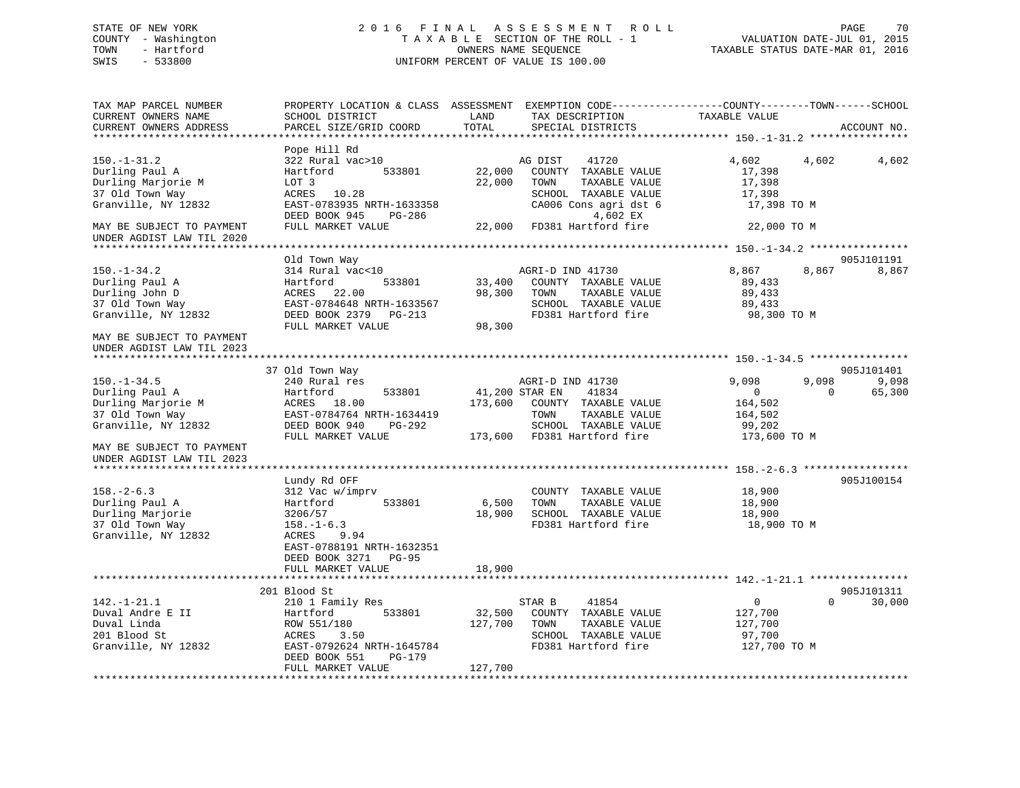### STATE OF NEW YORK 2 0 1 6 F I N A L A S S E S S M E N T R O L L PAGE 70 COUNTY - Washington T A X A B L E SECTION OF THE ROLL - 1 VALUATION DATE-JUL 01, 2015 TOWN - Hartford **TAXABLE STATUS DATE-MAR 01, 2016** OWNERS NAME SEQUENCE TAXABLE STATUS DATE-MAR 01, 2016 SWIS - 533800 UNIFORM PERCENT OF VALUE IS 100.00

| TAX MAP PARCEL NUMBER<br>CURRENT OWNERS NAME<br>CURRENT OWNERS ADDRESS                                                       | SCHOOL DISTRICT<br>PARCEL SIZE/GRID COORD                                                                                                                                       | LAND<br>TAX DESCRIPTION<br>TOTAL<br>SPECIAL DISTRICTS                                                                                                          | PROPERTY LOCATION & CLASS ASSESSMENT EXEMPTION CODE----------------COUNTY-------TOWN------SCHOOL<br>TAXABLE VALUE<br>ACCOUNT NO. |
|------------------------------------------------------------------------------------------------------------------------------|---------------------------------------------------------------------------------------------------------------------------------------------------------------------------------|----------------------------------------------------------------------------------------------------------------------------------------------------------------|----------------------------------------------------------------------------------------------------------------------------------|
|                                                                                                                              |                                                                                                                                                                                 |                                                                                                                                                                |                                                                                                                                  |
| $150. - 1 - 31.2$<br>Durling Paul A<br>Durling Marjorie M<br>37 Old Town Way<br>Granville, NY 12832                          | Pope Hill Rd<br>322 Rural vac>10<br>Hartford<br>533801<br>LOT 3<br>ACRES 10.28<br>EAST-0783935 NRTH-1633358<br>DEED BOOK 945<br>PG-286                                          | AG DIST<br>41720<br>22,000<br>COUNTY TAXABLE VALUE<br>22,000<br>TOWN<br>TAXABLE VALUE<br>SCHOOL TAXABLE VALUE<br>CA006 Cons agri dst 6<br>4,602 EX             | 4,602<br>4,602<br>4,602<br>17,398<br>17,398<br>17,398<br>17,398 TO M                                                             |
| MAY BE SUBJECT TO PAYMENT<br>UNDER AGDIST LAW TIL 2020<br>***********************                                            | FULL MARKET VALUE                                                                                                                                                               | 22,000 FD381 Hartford fire                                                                                                                                     | 22,000 TO M                                                                                                                      |
|                                                                                                                              | Old Town Way                                                                                                                                                                    |                                                                                                                                                                | 905J101191                                                                                                                       |
| $150. - 1 - 34.2$<br>Durling Paul A<br>Durling John D<br>37 Old Town Way<br>Granville, NY 12832<br>MAY BE SUBJECT TO PAYMENT | 314 Rural vac<10<br>533801<br>Hartford<br>ACRES<br>22.00<br>EAST-0784648 NRTH-1633567<br>DEED BOOK 2379 PG-213<br>FULL MARKET VALUE                                             | AGRI-D IND 41730<br>33,400<br>COUNTY TAXABLE VALUE<br>TAXABLE VALUE<br>98,300<br>TOWN<br>SCHOOL TAXABLE VALUE<br>FD381 Hartford fire<br>98,300                 | 8,867<br>8,867<br>8,867<br>89,433<br>89,433<br>89,433<br>98,300 TO M                                                             |
| UNDER AGDIST LAW TIL 2023                                                                                                    |                                                                                                                                                                                 |                                                                                                                                                                |                                                                                                                                  |
|                                                                                                                              | 37 Old Town Way                                                                                                                                                                 |                                                                                                                                                                | 905J101401                                                                                                                       |
| $150. - 1 - 34.5$<br>Durling Paul A<br>Durling Marjorie M<br>37 Old Town Way<br>Granville, NY 12832                          | 240 Rural res<br>533801<br>Hartford<br>ACRES 18.00<br>EAST-0784764 NRTH-1634419<br>DEED BOOK 940<br>PG-292<br>FULL MARKET VALUE                                                 | AGRI-D IND 41730<br>41,200 STAR EN<br>41834<br>173,600<br>COUNTY TAXABLE VALUE<br>TAXABLE VALUE<br>TOWN<br>SCHOOL TAXABLE VALUE<br>173,600 FD381 Hartford fire | 9,098<br>9,098<br>9,098<br>65,300<br>$\Omega$<br>$\overline{0}$<br>164,502<br>164,502<br>99,202<br>173,600 TO M                  |
| MAY BE SUBJECT TO PAYMENT<br>UNDER AGDIST LAW TIL 2023                                                                       |                                                                                                                                                                                 |                                                                                                                                                                |                                                                                                                                  |
| $158. - 2 - 6.3$<br>Durling Paul A<br>Durling Marjorie<br>37 Old Town Way<br>Granville, NY 12832                             | Lundy Rd OFF<br>312 Vac w/imprv<br>533801<br>Hartford<br>3206/57<br>$158. - 1 - 6.3$<br>9.94<br>ACRES<br>EAST-0788191 NRTH-1632351<br>DEED BOOK 3271 PG-95<br>FULL MARKET VALUE | COUNTY TAXABLE VALUE<br>6,500<br>TOWN<br>TAXABLE VALUE<br>18,900<br>SCHOOL TAXABLE VALUE<br>FD381 Hartford fire<br>18,900                                      | 905J100154<br>18,900<br>18,900<br>18,900<br>18,900 TO M                                                                          |
|                                                                                                                              |                                                                                                                                                                                 |                                                                                                                                                                |                                                                                                                                  |
| $142. - 1 - 21.1$<br>Duval Andre E II<br>Duval Linda<br>201 Blood St<br>Granville, NY 12832                                  | 201 Blood St<br>210 1 Family Res<br>533801<br>Hartford<br>ROW 551/180<br>ACRES<br>3.50<br>EAST-0792624 NRTH-1645784<br>DEED BOOK 551<br>PG-179<br>FULL MARKET VALUE             | STAR B<br>41854<br>32,500<br>COUNTY TAXABLE VALUE<br>127,700<br>TOWN<br>TAXABLE VALUE<br>SCHOOL TAXABLE VALUE<br>FD381 Hartford fire<br>127,700                | 905J101311<br>$\mathbf{0}$<br>$\Omega$<br>30,000<br>127,700<br>127,700<br>97,700<br>127,700 TO M                                 |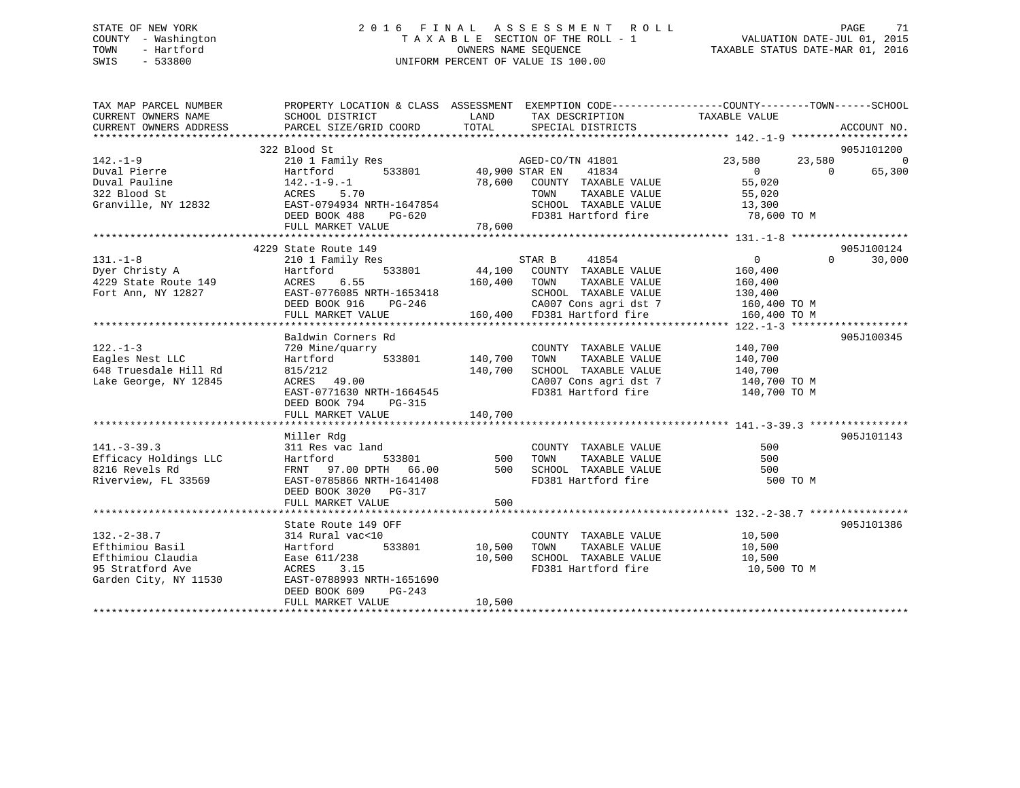### STATE OF NEW YORK 2 0 1 6 F I N A L A S S E S S M E N T R O L L PAGE 71 COUNTY - Washington T A X A B L E SECTION OF THE ROLL - 1 VALUATION DATE-JUL 01, 2015 TOWN - Hartford **TAXABLE STATUS DATE-MAR 01, 2016** OWNERS NAME SEQUENCE TAXABLE STATUS DATE-MAR 01, 2016 SWIS - 533800 UNIFORM PERCENT OF VALUE IS 100.00

| TAX MAP PARCEL NUMBER<br>CURRENT OWNERS NAME<br>CURRENT OWNERS ADDRESS | PROPERTY LOCATION & CLASS ASSESSMENT EXEMPTION CODE---------------COUNTY-------TOWN------SCHOOL<br>SCHOOL DISTRICT<br>PARCEL SIZE/GRID COORD | LAND<br>TOTAL  | TAX DESCRIPTION TAXABLE VALUE<br>SPECIAL DISTRICTS |                |          | ACCOUNT NO. |
|------------------------------------------------------------------------|----------------------------------------------------------------------------------------------------------------------------------------------|----------------|----------------------------------------------------|----------------|----------|-------------|
|                                                                        | 322 Blood St                                                                                                                                 |                |                                                    |                |          | 905J101200  |
| $142. - 1 - 9$                                                         | 210 1 Family Res                                                                                                                             |                | AGED-CO/TN 41801                                   | 23,580         | 23,580   | $\mathbf 0$ |
|                                                                        | 533801                                                                                                                                       | 40,900 STAR EN | 41834                                              | $\overline{0}$ | $\Omega$ | 65,300      |
|                                                                        |                                                                                                                                              | 78,600         | COUNTY TAXABLE VALUE                               | 55,020         |          |             |
| 322 Blood St                                                           | ACRES 5.70<br>EAST-0794934 NRTH-1647854                                                                                                      |                | TAXABLE VALUE<br>TOWN                              | 55,020         |          |             |
| Granville, NY 12832                                                    |                                                                                                                                              |                | SCHOOL TAXABLE VALUE                               | 13,300         |          |             |
|                                                                        | DEED BOOK 488<br>PG-620                                                                                                                      |                | FD381 Hartford fire 78,600 TO M                    |                |          |             |
|                                                                        |                                                                                                                                              |                |                                                    |                |          |             |
|                                                                        | 4229 State Route 149                                                                                                                         |                |                                                    |                |          | 905J100124  |
| $131. - 1 - 8$                                                         | 210 1 Family Res                                                                                                                             |                | 41854<br>STAR B                                    | $\overline{0}$ | $\Omega$ | 30,000      |
| 131.-1-8<br>Dyer Christy A                                             | Hartford                                                                                                                                     |                | 533801 44,100 COUNTY TAXABLE VALUE                 | 160,400        |          |             |
| 4229 State Route 149                                                   | ACRES<br>6.55                                                                                                                                | 160,400        | TAXABLE VALUE<br>TOWN                              | 160,400        |          |             |
| Fort Ann, NY 12827                                                     | EAST-0776085 NRTH-1653418                                                                                                                    |                | SCHOOL TAXABLE VALUE                               | 130,400        |          |             |
|                                                                        | DEED BOOK 916<br>PG-246                                                                                                                      |                | CA007 Cons agri dst 7                              | 160,400 TO M   |          |             |
|                                                                        | FULL MARKET VALUE                                                                                                                            |                | 160,400 FD381 Hartford fire                        | 160,400 TO M   |          |             |
|                                                                        |                                                                                                                                              |                |                                                    |                |          |             |
|                                                                        | Baldwin Corners Rd                                                                                                                           |                |                                                    |                |          | 905J100345  |
| $122. - 1 - 3$                                                         | 720 Mine/quarry                                                                                                                              |                | COUNTY TAXABLE VALUE                               | 140,700        |          |             |
| Eagles Nest LLC                                                        | Hartford 533801                                                                                                                              | 140,700        | TAXABLE VALUE<br>TOWN                              | 140,700        |          |             |
| 648 Truesdale Hill Rd                                                  | 815/212                                                                                                                                      | 140,700        | SCHOOL TAXABLE VALUE                               | 140,700        |          |             |
| Lake George, NY 12845                                                  | ACRES 49.00                                                                                                                                  |                | CA007 Cons agri dst 7 140,700 TO M                 |                |          |             |
|                                                                        | EAST-0771630 NRTH-1664545                                                                                                                    |                | FD381 Hartford fire                                | 140,700 TO M   |          |             |
|                                                                        | DEED BOOK 794<br>PG-315                                                                                                                      |                |                                                    |                |          |             |
|                                                                        | FULL MARKET VALUE                                                                                                                            | 140,700        |                                                    |                |          |             |
|                                                                        |                                                                                                                                              |                |                                                    |                |          |             |
|                                                                        | Miller Rdg                                                                                                                                   |                |                                                    |                |          | 905J101143  |
| $141. - 3 - 39.3$                                                      | 311 Res vac land                                                                                                                             |                | COUNTY TAXABLE VALUE                               | 500            |          |             |
| Efficacy Holdings LLC                                                  | Hartford                                                                                                                                     | 533801 500     | TAXABLE VALUE<br>TOWN                              | 500            |          |             |
| 8216 Revels Rd                                                         | FRNT 97.00 DPTH 66.00                                                                                                                        | 500            |                                                    | 500            |          |             |
| Riverview, FL 33569                                                    | EAST-0785866 NRTH-1641408                                                                                                                    |                | SCHOOL TAXABLE VALUE<br>FD381 Hartford fire        | 500 TO M       |          |             |
|                                                                        | DEED BOOK 3020 PG-317                                                                                                                        |                |                                                    |                |          |             |
|                                                                        | FULL MARKET VALUE                                                                                                                            | 500            |                                                    |                |          |             |
|                                                                        |                                                                                                                                              |                |                                                    |                |          |             |
|                                                                        | State Route 149 OFF                                                                                                                          |                |                                                    |                |          | 905J101386  |
| $132. - 2 - 38.7$                                                      | 314 Rural vac<10                                                                                                                             |                | COUNTY TAXABLE VALUE                               | 10,500         |          |             |
| Efthimiou Basil                                                        | 533801<br>Hartford                                                                                                                           | 10,500         | TAXABLE VALUE<br>TOWN                              | 10,500         |          |             |
| Efthimiou Claudia                                                      | Ease 611/238                                                                                                                                 | 10,500         | SCHOOL TAXABLE VALUE                               | 10,500         |          |             |
| 95 Stratford Ave                                                       | ACRES<br>3.15                                                                                                                                |                | FD381 Hartford fire                                | 10,500 TO M    |          |             |
| Garden City, NY 11530                                                  | EAST-0788993 NRTH-1651690                                                                                                                    |                |                                                    |                |          |             |
|                                                                        | DEED BOOK 609<br>$PG-243$                                                                                                                    |                |                                                    |                |          |             |
|                                                                        | FULL MARKET VALUE                                                                                                                            | 10,500         |                                                    |                |          |             |
|                                                                        |                                                                                                                                              |                |                                                    |                |          |             |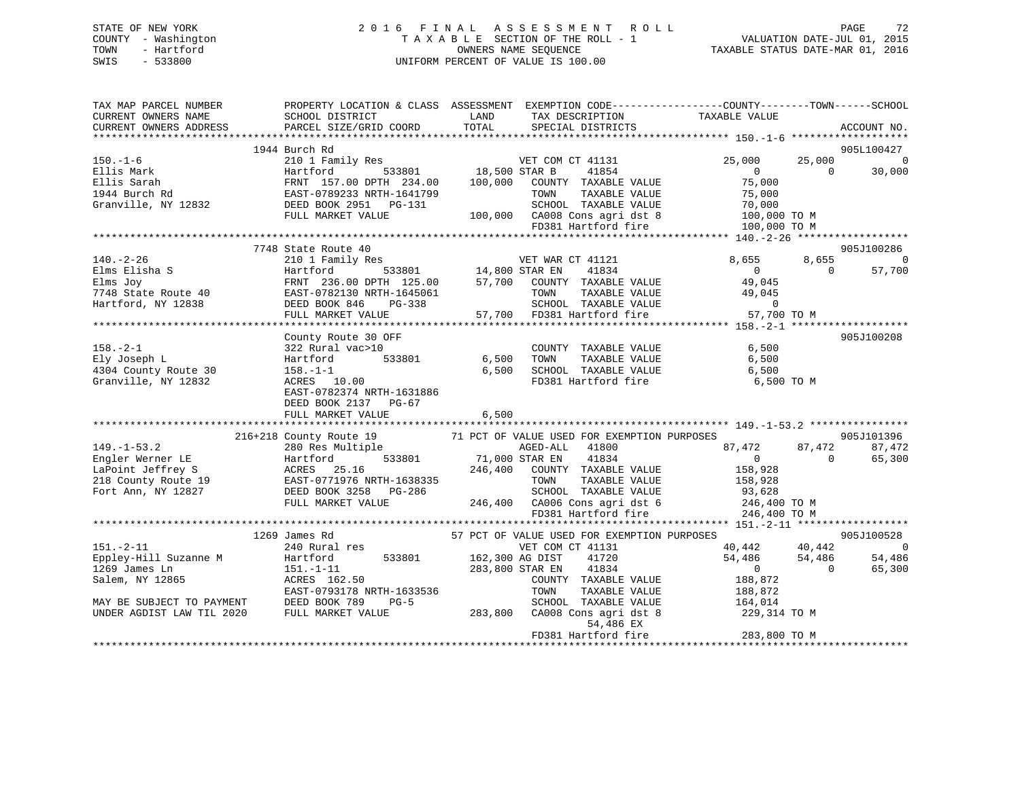| 2016 FINAL ASSESSMENT ROLL         | -72<br>PAGE                      |
|------------------------------------|----------------------------------|
|                                    | VALUATION DATE-JUL 01, 2015      |
| OWNERS NAME SEOUENCE               | TAXABLE STATUS DATE-MAR 01, 2016 |
| UNIFORM PERCENT OF VALUE IS 100.00 |                                  |
|                                    |                                  |
|                                    |                                  |
|                                    | TAXABLE SECTION OF THE ROLL - 1  |

| TAX MAP PARCEL NUMBER                                                                                                                                                                                                                                          | PROPERTY LOCATION & CLASS ASSESSMENT EXEMPTION CODE----------------COUNTY-------TOWN------SCHOOL |                                                                                                                        |                                             |                                                                                                                                                          |             |
|----------------------------------------------------------------------------------------------------------------------------------------------------------------------------------------------------------------------------------------------------------------|--------------------------------------------------------------------------------------------------|------------------------------------------------------------------------------------------------------------------------|---------------------------------------------|----------------------------------------------------------------------------------------------------------------------------------------------------------|-------------|
| CURRENT OWNERS NAME                                                                                                                                                                                                                                            | SCHOOL DISTRICT                                                                                  | <b>EXAMPLE SERVICE SERVICE SERVICE SERVICE SERVICE SERVICE SERVICE SERVICE SERVICE SERVICE SERVICE SERVICE SERVICE</b> | TAX DESCRIPTION                             | TAXABLE VALUE                                                                                                                                            |             |
| CURRENT OWNERS ADDRESS                                                                                                                                                                                                                                         | PARCEL SIZE/GRID COORD                                                                           | TOTAL                                                                                                                  | SPECIAL DISTRICTS                           |                                                                                                                                                          | ACCOUNT NO. |
|                                                                                                                                                                                                                                                                |                                                                                                  |                                                                                                                        |                                             |                                                                                                                                                          |             |
|                                                                                                                                                                                                                                                                | 1944 Burch Rd                                                                                    |                                                                                                                        |                                             |                                                                                                                                                          | 905L100427  |
|                                                                                                                                                                                                                                                                |                                                                                                  |                                                                                                                        |                                             |                                                                                                                                                          |             |
|                                                                                                                                                                                                                                                                |                                                                                                  |                                                                                                                        |                                             |                                                                                                                                                          |             |
|                                                                                                                                                                                                                                                                |                                                                                                  |                                                                                                                        |                                             |                                                                                                                                                          |             |
|                                                                                                                                                                                                                                                                |                                                                                                  |                                                                                                                        |                                             |                                                                                                                                                          |             |
|                                                                                                                                                                                                                                                                |                                                                                                  |                                                                                                                        |                                             |                                                                                                                                                          |             |
|                                                                                                                                                                                                                                                                |                                                                                                  |                                                                                                                        |                                             |                                                                                                                                                          |             |
|                                                                                                                                                                                                                                                                |                                                                                                  |                                                                                                                        |                                             |                                                                                                                                                          |             |
|                                                                                                                                                                                                                                                                | 7748 State Route 40                                                                              |                                                                                                                        |                                             |                                                                                                                                                          | 905J100286  |
| $140. -2 - 26$                                                                                                                                                                                                                                                 |                                                                                                  |                                                                                                                        |                                             |                                                                                                                                                          |             |
|                                                                                                                                                                                                                                                                |                                                                                                  |                                                                                                                        |                                             |                                                                                                                                                          |             |
|                                                                                                                                                                                                                                                                |                                                                                                  |                                                                                                                        |                                             |                                                                                                                                                          |             |
|                                                                                                                                                                                                                                                                |                                                                                                  |                                                                                                                        |                                             |                                                                                                                                                          |             |
|                                                                                                                                                                                                                                                                |                                                                                                  |                                                                                                                        |                                             |                                                                                                                                                          |             |
|                                                                                                                                                                                                                                                                |                                                                                                  |                                                                                                                        |                                             |                                                                                                                                                          |             |
|                                                                                                                                                                                                                                                                |                                                                                                  |                                                                                                                        |                                             |                                                                                                                                                          |             |
|                                                                                                                                                                                                                                                                | County Route 30 OFF                                                                              |                                                                                                                        |                                             |                                                                                                                                                          | 905J100208  |
| $158. - 2 - 1$                                                                                                                                                                                                                                                 |                                                                                                  |                                                                                                                        | COUNTY TAXABLE VALUE 6,500                  |                                                                                                                                                          |             |
| Ely Joseph L                                                                                                                                                                                                                                                   | 322 Rural vac>10<br>Hartford 533801 6,500<br>158 -1-1                                            |                                                                                                                        | TOWN                                        | TAXABLE VALUE 6,500                                                                                                                                      |             |
| 4304 County Route 30                                                                                                                                                                                                                                           | 322 Rural v<br>Hartford<br>158.–1–1                                                              |                                                                                                                        | 6,500 SCHOOL TAXABLE VALUE                  | 6,500                                                                                                                                                    |             |
| Granville, NY 12832                                                                                                                                                                                                                                            | 158.-1-1<br>ACRES 10.00                                                                          |                                                                                                                        | FD381 Hartford fire 6,500 TO M              |                                                                                                                                                          |             |
|                                                                                                                                                                                                                                                                | EAST-0782374 NRTH-1631886                                                                        |                                                                                                                        |                                             |                                                                                                                                                          |             |
|                                                                                                                                                                                                                                                                | DEED BOOK 2137 PG-67                                                                             |                                                                                                                        |                                             |                                                                                                                                                          |             |
|                                                                                                                                                                                                                                                                |                                                                                                  |                                                                                                                        |                                             |                                                                                                                                                          |             |
|                                                                                                                                                                                                                                                                |                                                                                                  |                                                                                                                        |                                             |                                                                                                                                                          |             |
|                                                                                                                                                                                                                                                                |                                                                                                  |                                                                                                                        |                                             |                                                                                                                                                          |             |
|                                                                                                                                                                                                                                                                |                                                                                                  |                                                                                                                        |                                             |                                                                                                                                                          |             |
|                                                                                                                                                                                                                                                                |                                                                                                  |                                                                                                                        |                                             |                                                                                                                                                          |             |
|                                                                                                                                                                                                                                                                |                                                                                                  |                                                                                                                        |                                             |                                                                                                                                                          |             |
|                                                                                                                                                                                                                                                                |                                                                                                  |                                                                                                                        |                                             |                                                                                                                                                          |             |
|                                                                                                                                                                                                                                                                |                                                                                                  |                                                                                                                        |                                             |                                                                                                                                                          |             |
|                                                                                                                                                                                                                                                                |                                                                                                  |                                                                                                                        |                                             |                                                                                                                                                          |             |
| XALE TRISP 19 216+218 COUNTY ROUGH SARKET VALUE USED POLARATIC PRESSUPED ACCOLL TAXABLE VALUE TO TAXABLE VALUE TO THE ORDER THAN THE POLACE STRAINS THE PROCESS SURFACE SARKET VALUE TO THE POLACE THE PROCESSUPPOSES ACRES 25                                 |                                                                                                  |                                                                                                                        |                                             |                                                                                                                                                          |             |
|                                                                                                                                                                                                                                                                |                                                                                                  |                                                                                                                        |                                             |                                                                                                                                                          |             |
|                                                                                                                                                                                                                                                                | 1269 James Rd<br>edmon nu<br>240 Rural res<br>Hartford                                           |                                                                                                                        | 57 PCT OF VALUE USED FOR EXEMPTION PURPOSES | $\begin{array}{cccc} \text{ES} & & & 905 \text{J} 100528 \\ 40,442 & & 40,442 & & 0 \\ 54,486 & & 54,486 & & 54,486 \\ 0 & & & 0 & & 65,300 \end{array}$ |             |
| $151. - 2 - 11$                                                                                                                                                                                                                                                |                                                                                                  |                                                                                                                        | VET COM CT 41131                            |                                                                                                                                                          |             |
|                                                                                                                                                                                                                                                                |                                                                                                  |                                                                                                                        |                                             |                                                                                                                                                          |             |
|                                                                                                                                                                                                                                                                |                                                                                                  |                                                                                                                        |                                             |                                                                                                                                                          |             |
|                                                                                                                                                                                                                                                                |                                                                                                  |                                                                                                                        |                                             |                                                                                                                                                          |             |
|                                                                                                                                                                                                                                                                |                                                                                                  |                                                                                                                        |                                             |                                                                                                                                                          |             |
|                                                                                                                                                                                                                                                                |                                                                                                  |                                                                                                                        |                                             |                                                                                                                                                          |             |
|                                                                                                                                                                                                                                                                |                                                                                                  |                                                                                                                        |                                             |                                                                                                                                                          |             |
| Eppley-Hill Suzanne M<br>151.-1-11<br>151.-1-11<br>283,800 STAR EN<br>283,800 STAR EN<br>283,800 STAR EN<br>283,800 STAR EN<br>283,800 STAR EN<br>283,800 TAXABLE VALUE<br>288,872<br>288,872<br>288,872<br>288,872<br>288,872<br>288,872<br>288,872<br>288,87 |                                                                                                  |                                                                                                                        |                                             |                                                                                                                                                          |             |
|                                                                                                                                                                                                                                                                |                                                                                                  |                                                                                                                        |                                             |                                                                                                                                                          |             |
|                                                                                                                                                                                                                                                                |                                                                                                  |                                                                                                                        |                                             |                                                                                                                                                          |             |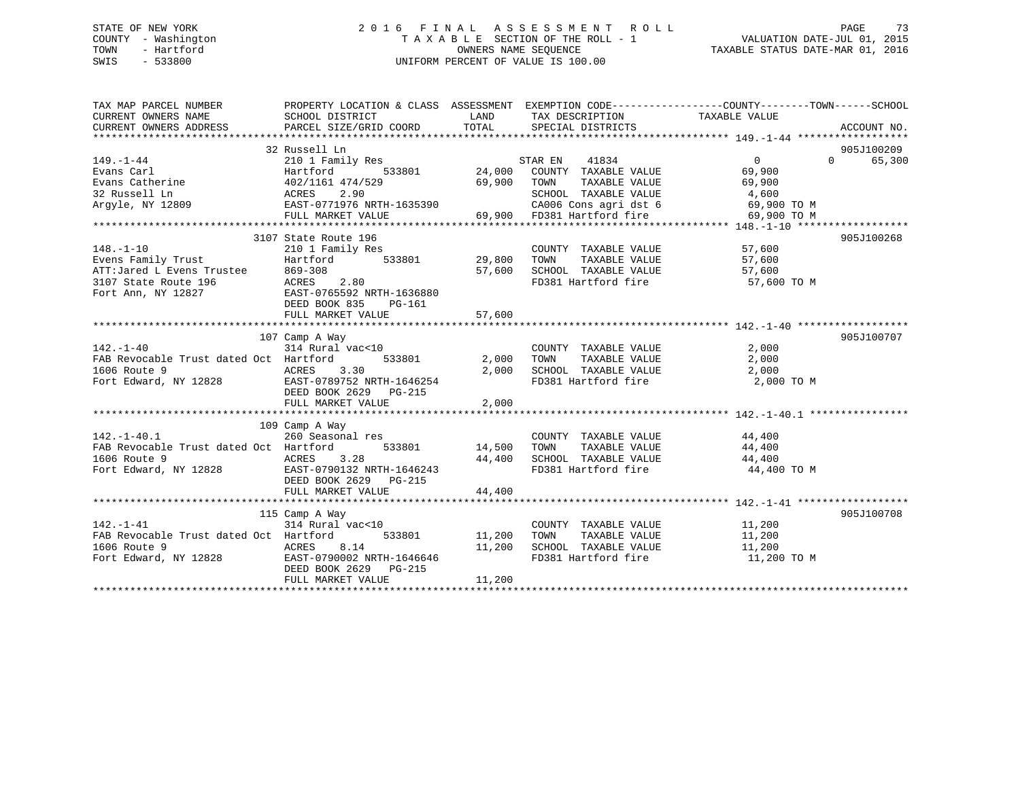## STATE OF NEW YORK 2 0 1 6 F I N A L A S S E S S M E N T R O L L PAGE 73 COUNTY - Washington T A X A B L E SECTION OF THE ROLL - 1 VALUATION DATE-JUL 01, 2015 TOWN - Hartford **TAXABLE STATUS DATE-MAR 01, 2016** OWNERS NAME SEQUENCE TAXABLE STATUS DATE-MAR 01, 2016 SWIS - 533800 UNIFORM PERCENT OF VALUE IS 100.00

| TAX MAP PARCEL NUMBER<br>CURRENT OWNERS NAME                                                                                                                                        | PROPERTY LOCATION & CLASS ASSESSMENT EXEMPTION CODE---------------COUNTY-------TOWN-----SCHOOL<br>SCHOOL DISTRICT                                                            | LAND           | TAX DESCRIPTION TAXABLE VALUE                                                                                                                                                                                                                    |                                     |                                           |
|-------------------------------------------------------------------------------------------------------------------------------------------------------------------------------------|------------------------------------------------------------------------------------------------------------------------------------------------------------------------------|----------------|--------------------------------------------------------------------------------------------------------------------------------------------------------------------------------------------------------------------------------------------------|-------------------------------------|-------------------------------------------|
| $149. - 1 - 44$                                                                                                                                                                     | 32 Russell Ln<br>210 1 Family Res                                                                                                                                            |                | STAR EN<br>41834<br>1y Res 533801 24,000 COUNTY TAXABLE VALUE<br>533801 24,000 COUNTY TAXABLE VALUE<br>69,900 TOWN<br>TAXABLE VALUE<br>SCHOOL TAXABLE VALUE 4,600<br>CA006 Cons agri dst 6 69,900 TO M<br>69,900 FD381 Hartford fire 69,900 TO M | $\overline{0}$<br>69,900<br>69,900  | 905J100209<br>$0 \qquad \qquad$<br>65,300 |
| $148. - 1 - 10$<br>Evens Family Trust<br>Evens Family Trust<br>ATT:Jared L Evens Trustee 869-308<br>3107 State Route 196 ACRES 2.80<br>Fort Ann, NY 12827 EAST-0765592 NRTH-1636880 | 3107 State Route 196<br>DEED BOOK 835<br>PG-161                                                                                                                              | 57,600         | COUNTY TAXABLE VALUE 57,600<br>TOWN                                                                                                                                                                                                              | TAXABLE VALUE 57,600                | 905J100268                                |
| $142. - 1 - 40$<br>FAB Revocable Trust dated Oct Hartford<br>1606 Route 9<br>Fort Edward, NY 12828 EAST-0789752 NRTH-1646254                                                        | 107 Camp A Way<br>$314$ Rural vac< $10$<br>533801 2,000<br>ACRES 3.30<br>DEED BOOK 2629 PG-215<br>FULL MARKET VALUE                                                          | 2,000<br>2,000 | COUNTY TAXABLE VALUE<br>TAXABLE VALUE<br>TOWN<br>SCHOOL TAXABLE VALUE<br>FD381 Hartford fire 2,000 TO M                                                                                                                                          | 2,000<br>2,000                      | 905J100707                                |
| $142. - 1 - 40.1$<br>FAB Revocable Trust dated Oct Hartford                                                                                                                         | 109 Camp A Way<br>$260$ Seasonal res<br>533801 14,500 TOWN<br>DEED BOOK 2629 PG-215<br>FULL MARKET VALUE                                                                     | 44,400         | COUNTY TAXABLE VALUE 44,400                                                                                                                                                                                                                      | TAXABLE VALUE 44,400<br>44,400 TO M |                                           |
| $142. - 1 - 41$<br>FAB Revocable Trust dated Oct Hartford<br>1606 Route 9<br>Fort Edward, NY 12828<br>Fort Edward, NY 12828<br>Fort Poetr 2629<br>Price Books 215                   | 115 Camp A Way<br>$314 \overline{\text{Rural vac} \times 10} \quad \text{COUNTY} \\ \text{Hartford} \quad 533801 \quad 11,200 \quad \text{TOWN} \\$<br>DEED BOOK 2629 PG-215 | 11,200         | COUNTY TAXABLE VALUE 11,200<br>TOWN TAXABLE VALUE 11,200<br>SCHOOL TAXABLE VALUE 11,200<br>FD381 Hartford fire                                                                                                                                   | 11,200 TO M                         | 905J100708                                |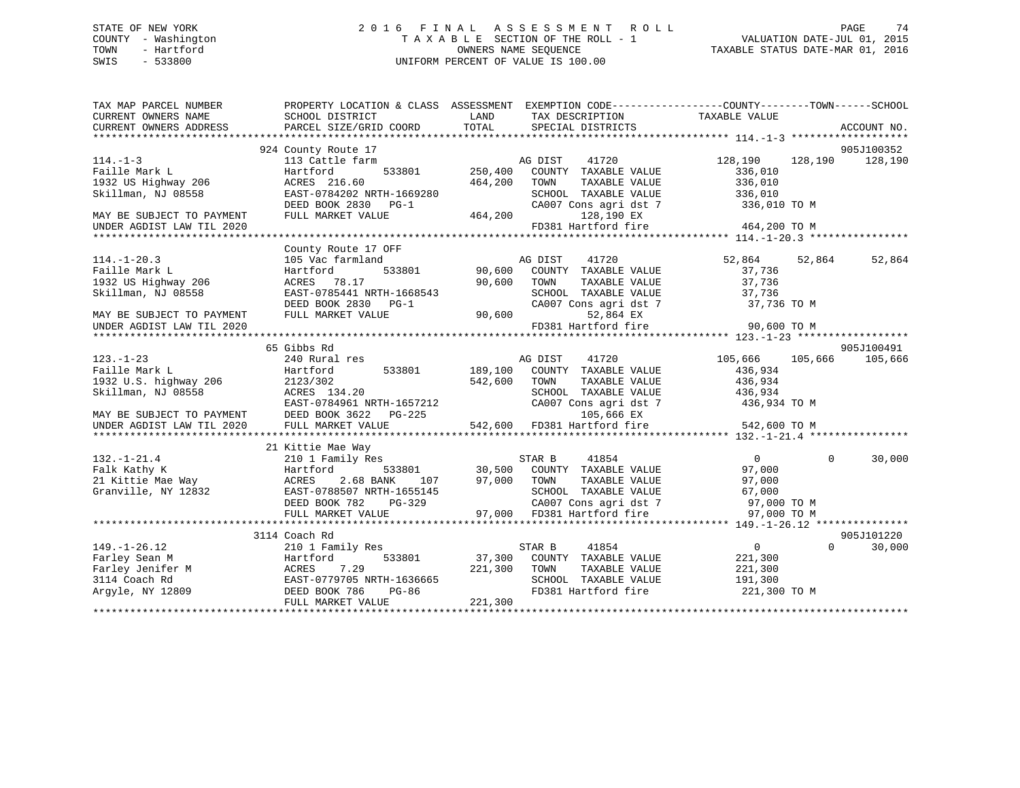#### STATE OF NEW YORK 2 0 1 6 F I N A L A S S E S S M E N T R O L L PAGE 74COUNTY - Washington  $\begin{array}{ccc}\n\text{T A X A B L E} & \text{SECTION OF THE ROLL - 1} \\
\text{T} & \text{M NERS NAME SEQUENCE}\n\end{array}$ OWNERS NAME SEQUENCE TAXABLE STATUS DATE-MAR 01, 2016 SWIS - 533800 UNIFORM PERCENT OF VALUE IS 100.00

VALUATION DATE-JUL 01, 2015

| LAND<br>TAXABLE VALUE<br>CURRENT OWNERS NAME<br>SCHOOL DISTRICT<br>TAX DESCRIPTION<br>TOTAL<br>SPECIAL DISTRICTS<br>CURRENT OWNERS ADDRESS<br>PARCEL SIZE/GRID COORD<br>ACCOUNT NO.<br>905J100352<br>924 County Route 17<br>$114. - 1 - 3$<br>41720<br>128,190<br>113 Cattle farm<br>AG DIST<br>128,190<br>128,190<br>533801<br>250,400<br>Faille Mark L<br>COUNTY TAXABLE VALUE<br>336,010<br>Hartford<br>1932 US Highway 206<br>ACRES 216.60<br>464,200<br>TAXABLE VALUE<br>336,010<br>TOWN<br>EAST-0784202 NRTH-1669280<br>SCHOOL TAXABLE VALUE<br>Skillman, NJ 08558<br>336,010<br>CA007 Cons agri dst 7 336,010 TO M<br>DEED BOOK 2830 PG-1<br>464,200<br>128,190 EX<br>FULL MARKET VALUE<br>MAY BE SUBJECT TO PAYMENT<br>FD381 Hartford fire<br>464,200 TO M<br>UNDER AGDIST LAW TIL 2020<br>County Route 17 OFF<br>41720<br>52,864<br>$114. - 1 - 20.3$<br>105 Vac farmland<br>AG DIST<br>52,864<br>52,864<br>533801<br>Faille Mark L<br>90,600<br>COUNTY TAXABLE VALUE<br>37,736<br>Hartford<br>90,600<br>1932 US Highway 206<br>ACRES 78.17<br>TOWN<br>TAXABLE VALUE<br>37,736<br>EAST-0785441 NRTH-1668543<br>37,736<br>Skillman, NJ 08558<br>SCHOOL TAXABLE VALUE<br>DEED BOOK 2830 PG-1<br>CA007 Cons agri dst 7<br>37,736 TO M<br>90,600<br>FULL MARKET VALUE<br>52,864 EX<br>MAY BE SUBJECT TO PAYMENT<br>FD381 Hartford fire<br>90,600 TO M<br>UNDER AGDIST LAW TIL 2020<br>905J100491<br>65 Gibbs Rd<br>$123. - 1 - 23$<br>240 Rural res<br>105,666<br>105,666<br>105,666<br>AG DIST<br>41720<br>533801<br>Faille Mark L<br>Hartford<br>189,100<br>COUNTY TAXABLE VALUE<br>436,934<br>1932 U.S. highway 206<br>542,600<br>436,934<br>2123/302<br>TOWN<br>TAXABLE VALUE<br>436,934<br>Skillman, NJ 08558<br>ACRES 134.20<br>SCHOOL TAXABLE VALUE<br>EAST-0784961 NRTH-1657212<br>CA007 Cons agri dst 7<br>436,934 TO M<br>MAY BE SUBJECT TO PAYMENT<br>DEED BOOK 3622 PG-225<br>105,666 EX<br>21 Kittie Mae Way<br>$132. - 1 - 21.4$<br>STAR B<br>41854<br>30,000<br>210 1 Family Res<br>$\overline{0}$<br>$\mathbf 0$<br>STAR B $41854$<br>30,500 COUNTY TAXABLE VALUE<br>533801<br>97,000<br>Falk Kathy K<br>Hartford<br>21 Kittie Mae Way<br>2.68 BANK<br>97,000<br>TOWN<br>TAXABLE VALUE<br>ACRES<br>107<br>97,000<br>Granville, NY 12832<br>EAST-0788507 NRTH-1655145<br>SCHOOL TAXABLE VALUE<br>67,000<br>CA007 Cons agri dst 7<br>97,000 TO M<br>DEED BOOK 782<br>PG-329<br>97,000 FD381 Hartford fire<br>97,000 TO M<br>FULL MARKET VALUE<br>905J101220<br>3114 Coach Rd<br>$149. - 1 - 26.12$<br>41854<br>$0 \qquad \qquad$<br>$\Omega$<br>30,000<br>210 1 Family Res<br>STAR B<br>Farley Sean M<br>37,300<br>221,300<br>Hartford<br>533801<br>COUNTY TAXABLE VALUE<br>Farley Jenifer M<br>221,300<br>ACRES<br>7.29<br>TOWN<br>TAXABLE VALUE<br>221,300<br>EAST-0779705 NRTH-1636665<br>3114 Coach Rd<br>SCHOOL TAXABLE VALUE<br>191,300<br>Argyle, NY 12809<br>DEED BOOK 786<br>PG-86<br>FD381 Hartford fire<br>221,300 TO M<br>221,300<br>FULL MARKET VALUE | TAX MAP PARCEL NUMBER | PROPERTY LOCATION & CLASS ASSESSMENT EXEMPTION CODE----------------COUNTY-------TOWN-----SCHOOL |  |  |  |
|---------------------------------------------------------------------------------------------------------------------------------------------------------------------------------------------------------------------------------------------------------------------------------------------------------------------------------------------------------------------------------------------------------------------------------------------------------------------------------------------------------------------------------------------------------------------------------------------------------------------------------------------------------------------------------------------------------------------------------------------------------------------------------------------------------------------------------------------------------------------------------------------------------------------------------------------------------------------------------------------------------------------------------------------------------------------------------------------------------------------------------------------------------------------------------------------------------------------------------------------------------------------------------------------------------------------------------------------------------------------------------------------------------------------------------------------------------------------------------------------------------------------------------------------------------------------------------------------------------------------------------------------------------------------------------------------------------------------------------------------------------------------------------------------------------------------------------------------------------------------------------------------------------------------------------------------------------------------------------------------------------------------------------------------------------------------------------------------------------------------------------------------------------------------------------------------------------------------------------------------------------------------------------------------------------------------------------------------------------------------------------------------------------------------------------------------------------------------------------------------------------------------------------------------------------------------------------------------------------------------------------------------------------------------------------------------------------------------------------------------------------------------------------------------------------------------------------------------------------------------------------------------------------------------------------------------------------------------------------------|-----------------------|-------------------------------------------------------------------------------------------------|--|--|--|
|                                                                                                                                                                                                                                                                                                                                                                                                                                                                                                                                                                                                                                                                                                                                                                                                                                                                                                                                                                                                                                                                                                                                                                                                                                                                                                                                                                                                                                                                                                                                                                                                                                                                                                                                                                                                                                                                                                                                                                                                                                                                                                                                                                                                                                                                                                                                                                                                                                                                                                                                                                                                                                                                                                                                                                                                                                                                                                                                                                                       |                       |                                                                                                 |  |  |  |
|                                                                                                                                                                                                                                                                                                                                                                                                                                                                                                                                                                                                                                                                                                                                                                                                                                                                                                                                                                                                                                                                                                                                                                                                                                                                                                                                                                                                                                                                                                                                                                                                                                                                                                                                                                                                                                                                                                                                                                                                                                                                                                                                                                                                                                                                                                                                                                                                                                                                                                                                                                                                                                                                                                                                                                                                                                                                                                                                                                                       |                       |                                                                                                 |  |  |  |
|                                                                                                                                                                                                                                                                                                                                                                                                                                                                                                                                                                                                                                                                                                                                                                                                                                                                                                                                                                                                                                                                                                                                                                                                                                                                                                                                                                                                                                                                                                                                                                                                                                                                                                                                                                                                                                                                                                                                                                                                                                                                                                                                                                                                                                                                                                                                                                                                                                                                                                                                                                                                                                                                                                                                                                                                                                                                                                                                                                                       |                       |                                                                                                 |  |  |  |
|                                                                                                                                                                                                                                                                                                                                                                                                                                                                                                                                                                                                                                                                                                                                                                                                                                                                                                                                                                                                                                                                                                                                                                                                                                                                                                                                                                                                                                                                                                                                                                                                                                                                                                                                                                                                                                                                                                                                                                                                                                                                                                                                                                                                                                                                                                                                                                                                                                                                                                                                                                                                                                                                                                                                                                                                                                                                                                                                                                                       |                       |                                                                                                 |  |  |  |
|                                                                                                                                                                                                                                                                                                                                                                                                                                                                                                                                                                                                                                                                                                                                                                                                                                                                                                                                                                                                                                                                                                                                                                                                                                                                                                                                                                                                                                                                                                                                                                                                                                                                                                                                                                                                                                                                                                                                                                                                                                                                                                                                                                                                                                                                                                                                                                                                                                                                                                                                                                                                                                                                                                                                                                                                                                                                                                                                                                                       |                       |                                                                                                 |  |  |  |
|                                                                                                                                                                                                                                                                                                                                                                                                                                                                                                                                                                                                                                                                                                                                                                                                                                                                                                                                                                                                                                                                                                                                                                                                                                                                                                                                                                                                                                                                                                                                                                                                                                                                                                                                                                                                                                                                                                                                                                                                                                                                                                                                                                                                                                                                                                                                                                                                                                                                                                                                                                                                                                                                                                                                                                                                                                                                                                                                                                                       |                       |                                                                                                 |  |  |  |
|                                                                                                                                                                                                                                                                                                                                                                                                                                                                                                                                                                                                                                                                                                                                                                                                                                                                                                                                                                                                                                                                                                                                                                                                                                                                                                                                                                                                                                                                                                                                                                                                                                                                                                                                                                                                                                                                                                                                                                                                                                                                                                                                                                                                                                                                                                                                                                                                                                                                                                                                                                                                                                                                                                                                                                                                                                                                                                                                                                                       |                       |                                                                                                 |  |  |  |
|                                                                                                                                                                                                                                                                                                                                                                                                                                                                                                                                                                                                                                                                                                                                                                                                                                                                                                                                                                                                                                                                                                                                                                                                                                                                                                                                                                                                                                                                                                                                                                                                                                                                                                                                                                                                                                                                                                                                                                                                                                                                                                                                                                                                                                                                                                                                                                                                                                                                                                                                                                                                                                                                                                                                                                                                                                                                                                                                                                                       |                       |                                                                                                 |  |  |  |
|                                                                                                                                                                                                                                                                                                                                                                                                                                                                                                                                                                                                                                                                                                                                                                                                                                                                                                                                                                                                                                                                                                                                                                                                                                                                                                                                                                                                                                                                                                                                                                                                                                                                                                                                                                                                                                                                                                                                                                                                                                                                                                                                                                                                                                                                                                                                                                                                                                                                                                                                                                                                                                                                                                                                                                                                                                                                                                                                                                                       |                       |                                                                                                 |  |  |  |
|                                                                                                                                                                                                                                                                                                                                                                                                                                                                                                                                                                                                                                                                                                                                                                                                                                                                                                                                                                                                                                                                                                                                                                                                                                                                                                                                                                                                                                                                                                                                                                                                                                                                                                                                                                                                                                                                                                                                                                                                                                                                                                                                                                                                                                                                                                                                                                                                                                                                                                                                                                                                                                                                                                                                                                                                                                                                                                                                                                                       |                       |                                                                                                 |  |  |  |
|                                                                                                                                                                                                                                                                                                                                                                                                                                                                                                                                                                                                                                                                                                                                                                                                                                                                                                                                                                                                                                                                                                                                                                                                                                                                                                                                                                                                                                                                                                                                                                                                                                                                                                                                                                                                                                                                                                                                                                                                                                                                                                                                                                                                                                                                                                                                                                                                                                                                                                                                                                                                                                                                                                                                                                                                                                                                                                                                                                                       |                       |                                                                                                 |  |  |  |
|                                                                                                                                                                                                                                                                                                                                                                                                                                                                                                                                                                                                                                                                                                                                                                                                                                                                                                                                                                                                                                                                                                                                                                                                                                                                                                                                                                                                                                                                                                                                                                                                                                                                                                                                                                                                                                                                                                                                                                                                                                                                                                                                                                                                                                                                                                                                                                                                                                                                                                                                                                                                                                                                                                                                                                                                                                                                                                                                                                                       |                       |                                                                                                 |  |  |  |
|                                                                                                                                                                                                                                                                                                                                                                                                                                                                                                                                                                                                                                                                                                                                                                                                                                                                                                                                                                                                                                                                                                                                                                                                                                                                                                                                                                                                                                                                                                                                                                                                                                                                                                                                                                                                                                                                                                                                                                                                                                                                                                                                                                                                                                                                                                                                                                                                                                                                                                                                                                                                                                                                                                                                                                                                                                                                                                                                                                                       |                       |                                                                                                 |  |  |  |
|                                                                                                                                                                                                                                                                                                                                                                                                                                                                                                                                                                                                                                                                                                                                                                                                                                                                                                                                                                                                                                                                                                                                                                                                                                                                                                                                                                                                                                                                                                                                                                                                                                                                                                                                                                                                                                                                                                                                                                                                                                                                                                                                                                                                                                                                                                                                                                                                                                                                                                                                                                                                                                                                                                                                                                                                                                                                                                                                                                                       |                       |                                                                                                 |  |  |  |
|                                                                                                                                                                                                                                                                                                                                                                                                                                                                                                                                                                                                                                                                                                                                                                                                                                                                                                                                                                                                                                                                                                                                                                                                                                                                                                                                                                                                                                                                                                                                                                                                                                                                                                                                                                                                                                                                                                                                                                                                                                                                                                                                                                                                                                                                                                                                                                                                                                                                                                                                                                                                                                                                                                                                                                                                                                                                                                                                                                                       |                       |                                                                                                 |  |  |  |
|                                                                                                                                                                                                                                                                                                                                                                                                                                                                                                                                                                                                                                                                                                                                                                                                                                                                                                                                                                                                                                                                                                                                                                                                                                                                                                                                                                                                                                                                                                                                                                                                                                                                                                                                                                                                                                                                                                                                                                                                                                                                                                                                                                                                                                                                                                                                                                                                                                                                                                                                                                                                                                                                                                                                                                                                                                                                                                                                                                                       |                       |                                                                                                 |  |  |  |
|                                                                                                                                                                                                                                                                                                                                                                                                                                                                                                                                                                                                                                                                                                                                                                                                                                                                                                                                                                                                                                                                                                                                                                                                                                                                                                                                                                                                                                                                                                                                                                                                                                                                                                                                                                                                                                                                                                                                                                                                                                                                                                                                                                                                                                                                                                                                                                                                                                                                                                                                                                                                                                                                                                                                                                                                                                                                                                                                                                                       |                       |                                                                                                 |  |  |  |
|                                                                                                                                                                                                                                                                                                                                                                                                                                                                                                                                                                                                                                                                                                                                                                                                                                                                                                                                                                                                                                                                                                                                                                                                                                                                                                                                                                                                                                                                                                                                                                                                                                                                                                                                                                                                                                                                                                                                                                                                                                                                                                                                                                                                                                                                                                                                                                                                                                                                                                                                                                                                                                                                                                                                                                                                                                                                                                                                                                                       |                       |                                                                                                 |  |  |  |
|                                                                                                                                                                                                                                                                                                                                                                                                                                                                                                                                                                                                                                                                                                                                                                                                                                                                                                                                                                                                                                                                                                                                                                                                                                                                                                                                                                                                                                                                                                                                                                                                                                                                                                                                                                                                                                                                                                                                                                                                                                                                                                                                                                                                                                                                                                                                                                                                                                                                                                                                                                                                                                                                                                                                                                                                                                                                                                                                                                                       |                       |                                                                                                 |  |  |  |
|                                                                                                                                                                                                                                                                                                                                                                                                                                                                                                                                                                                                                                                                                                                                                                                                                                                                                                                                                                                                                                                                                                                                                                                                                                                                                                                                                                                                                                                                                                                                                                                                                                                                                                                                                                                                                                                                                                                                                                                                                                                                                                                                                                                                                                                                                                                                                                                                                                                                                                                                                                                                                                                                                                                                                                                                                                                                                                                                                                                       |                       |                                                                                                 |  |  |  |
|                                                                                                                                                                                                                                                                                                                                                                                                                                                                                                                                                                                                                                                                                                                                                                                                                                                                                                                                                                                                                                                                                                                                                                                                                                                                                                                                                                                                                                                                                                                                                                                                                                                                                                                                                                                                                                                                                                                                                                                                                                                                                                                                                                                                                                                                                                                                                                                                                                                                                                                                                                                                                                                                                                                                                                                                                                                                                                                                                                                       |                       |                                                                                                 |  |  |  |
|                                                                                                                                                                                                                                                                                                                                                                                                                                                                                                                                                                                                                                                                                                                                                                                                                                                                                                                                                                                                                                                                                                                                                                                                                                                                                                                                                                                                                                                                                                                                                                                                                                                                                                                                                                                                                                                                                                                                                                                                                                                                                                                                                                                                                                                                                                                                                                                                                                                                                                                                                                                                                                                                                                                                                                                                                                                                                                                                                                                       |                       |                                                                                                 |  |  |  |
|                                                                                                                                                                                                                                                                                                                                                                                                                                                                                                                                                                                                                                                                                                                                                                                                                                                                                                                                                                                                                                                                                                                                                                                                                                                                                                                                                                                                                                                                                                                                                                                                                                                                                                                                                                                                                                                                                                                                                                                                                                                                                                                                                                                                                                                                                                                                                                                                                                                                                                                                                                                                                                                                                                                                                                                                                                                                                                                                                                                       |                       |                                                                                                 |  |  |  |
|                                                                                                                                                                                                                                                                                                                                                                                                                                                                                                                                                                                                                                                                                                                                                                                                                                                                                                                                                                                                                                                                                                                                                                                                                                                                                                                                                                                                                                                                                                                                                                                                                                                                                                                                                                                                                                                                                                                                                                                                                                                                                                                                                                                                                                                                                                                                                                                                                                                                                                                                                                                                                                                                                                                                                                                                                                                                                                                                                                                       |                       |                                                                                                 |  |  |  |
|                                                                                                                                                                                                                                                                                                                                                                                                                                                                                                                                                                                                                                                                                                                                                                                                                                                                                                                                                                                                                                                                                                                                                                                                                                                                                                                                                                                                                                                                                                                                                                                                                                                                                                                                                                                                                                                                                                                                                                                                                                                                                                                                                                                                                                                                                                                                                                                                                                                                                                                                                                                                                                                                                                                                                                                                                                                                                                                                                                                       |                       |                                                                                                 |  |  |  |
|                                                                                                                                                                                                                                                                                                                                                                                                                                                                                                                                                                                                                                                                                                                                                                                                                                                                                                                                                                                                                                                                                                                                                                                                                                                                                                                                                                                                                                                                                                                                                                                                                                                                                                                                                                                                                                                                                                                                                                                                                                                                                                                                                                                                                                                                                                                                                                                                                                                                                                                                                                                                                                                                                                                                                                                                                                                                                                                                                                                       |                       |                                                                                                 |  |  |  |
|                                                                                                                                                                                                                                                                                                                                                                                                                                                                                                                                                                                                                                                                                                                                                                                                                                                                                                                                                                                                                                                                                                                                                                                                                                                                                                                                                                                                                                                                                                                                                                                                                                                                                                                                                                                                                                                                                                                                                                                                                                                                                                                                                                                                                                                                                                                                                                                                                                                                                                                                                                                                                                                                                                                                                                                                                                                                                                                                                                                       |                       |                                                                                                 |  |  |  |
|                                                                                                                                                                                                                                                                                                                                                                                                                                                                                                                                                                                                                                                                                                                                                                                                                                                                                                                                                                                                                                                                                                                                                                                                                                                                                                                                                                                                                                                                                                                                                                                                                                                                                                                                                                                                                                                                                                                                                                                                                                                                                                                                                                                                                                                                                                                                                                                                                                                                                                                                                                                                                                                                                                                                                                                                                                                                                                                                                                                       |                       |                                                                                                 |  |  |  |
|                                                                                                                                                                                                                                                                                                                                                                                                                                                                                                                                                                                                                                                                                                                                                                                                                                                                                                                                                                                                                                                                                                                                                                                                                                                                                                                                                                                                                                                                                                                                                                                                                                                                                                                                                                                                                                                                                                                                                                                                                                                                                                                                                                                                                                                                                                                                                                                                                                                                                                                                                                                                                                                                                                                                                                                                                                                                                                                                                                                       |                       |                                                                                                 |  |  |  |
|                                                                                                                                                                                                                                                                                                                                                                                                                                                                                                                                                                                                                                                                                                                                                                                                                                                                                                                                                                                                                                                                                                                                                                                                                                                                                                                                                                                                                                                                                                                                                                                                                                                                                                                                                                                                                                                                                                                                                                                                                                                                                                                                                                                                                                                                                                                                                                                                                                                                                                                                                                                                                                                                                                                                                                                                                                                                                                                                                                                       |                       |                                                                                                 |  |  |  |
|                                                                                                                                                                                                                                                                                                                                                                                                                                                                                                                                                                                                                                                                                                                                                                                                                                                                                                                                                                                                                                                                                                                                                                                                                                                                                                                                                                                                                                                                                                                                                                                                                                                                                                                                                                                                                                                                                                                                                                                                                                                                                                                                                                                                                                                                                                                                                                                                                                                                                                                                                                                                                                                                                                                                                                                                                                                                                                                                                                                       |                       |                                                                                                 |  |  |  |
|                                                                                                                                                                                                                                                                                                                                                                                                                                                                                                                                                                                                                                                                                                                                                                                                                                                                                                                                                                                                                                                                                                                                                                                                                                                                                                                                                                                                                                                                                                                                                                                                                                                                                                                                                                                                                                                                                                                                                                                                                                                                                                                                                                                                                                                                                                                                                                                                                                                                                                                                                                                                                                                                                                                                                                                                                                                                                                                                                                                       |                       |                                                                                                 |  |  |  |
|                                                                                                                                                                                                                                                                                                                                                                                                                                                                                                                                                                                                                                                                                                                                                                                                                                                                                                                                                                                                                                                                                                                                                                                                                                                                                                                                                                                                                                                                                                                                                                                                                                                                                                                                                                                                                                                                                                                                                                                                                                                                                                                                                                                                                                                                                                                                                                                                                                                                                                                                                                                                                                                                                                                                                                                                                                                                                                                                                                                       |                       |                                                                                                 |  |  |  |
|                                                                                                                                                                                                                                                                                                                                                                                                                                                                                                                                                                                                                                                                                                                                                                                                                                                                                                                                                                                                                                                                                                                                                                                                                                                                                                                                                                                                                                                                                                                                                                                                                                                                                                                                                                                                                                                                                                                                                                                                                                                                                                                                                                                                                                                                                                                                                                                                                                                                                                                                                                                                                                                                                                                                                                                                                                                                                                                                                                                       |                       |                                                                                                 |  |  |  |
|                                                                                                                                                                                                                                                                                                                                                                                                                                                                                                                                                                                                                                                                                                                                                                                                                                                                                                                                                                                                                                                                                                                                                                                                                                                                                                                                                                                                                                                                                                                                                                                                                                                                                                                                                                                                                                                                                                                                                                                                                                                                                                                                                                                                                                                                                                                                                                                                                                                                                                                                                                                                                                                                                                                                                                                                                                                                                                                                                                                       |                       |                                                                                                 |  |  |  |
|                                                                                                                                                                                                                                                                                                                                                                                                                                                                                                                                                                                                                                                                                                                                                                                                                                                                                                                                                                                                                                                                                                                                                                                                                                                                                                                                                                                                                                                                                                                                                                                                                                                                                                                                                                                                                                                                                                                                                                                                                                                                                                                                                                                                                                                                                                                                                                                                                                                                                                                                                                                                                                                                                                                                                                                                                                                                                                                                                                                       |                       |                                                                                                 |  |  |  |
|                                                                                                                                                                                                                                                                                                                                                                                                                                                                                                                                                                                                                                                                                                                                                                                                                                                                                                                                                                                                                                                                                                                                                                                                                                                                                                                                                                                                                                                                                                                                                                                                                                                                                                                                                                                                                                                                                                                                                                                                                                                                                                                                                                                                                                                                                                                                                                                                                                                                                                                                                                                                                                                                                                                                                                                                                                                                                                                                                                                       |                       |                                                                                                 |  |  |  |
|                                                                                                                                                                                                                                                                                                                                                                                                                                                                                                                                                                                                                                                                                                                                                                                                                                                                                                                                                                                                                                                                                                                                                                                                                                                                                                                                                                                                                                                                                                                                                                                                                                                                                                                                                                                                                                                                                                                                                                                                                                                                                                                                                                                                                                                                                                                                                                                                                                                                                                                                                                                                                                                                                                                                                                                                                                                                                                                                                                                       |                       |                                                                                                 |  |  |  |
|                                                                                                                                                                                                                                                                                                                                                                                                                                                                                                                                                                                                                                                                                                                                                                                                                                                                                                                                                                                                                                                                                                                                                                                                                                                                                                                                                                                                                                                                                                                                                                                                                                                                                                                                                                                                                                                                                                                                                                                                                                                                                                                                                                                                                                                                                                                                                                                                                                                                                                                                                                                                                                                                                                                                                                                                                                                                                                                                                                                       |                       |                                                                                                 |  |  |  |
|                                                                                                                                                                                                                                                                                                                                                                                                                                                                                                                                                                                                                                                                                                                                                                                                                                                                                                                                                                                                                                                                                                                                                                                                                                                                                                                                                                                                                                                                                                                                                                                                                                                                                                                                                                                                                                                                                                                                                                                                                                                                                                                                                                                                                                                                                                                                                                                                                                                                                                                                                                                                                                                                                                                                                                                                                                                                                                                                                                                       |                       |                                                                                                 |  |  |  |
|                                                                                                                                                                                                                                                                                                                                                                                                                                                                                                                                                                                                                                                                                                                                                                                                                                                                                                                                                                                                                                                                                                                                                                                                                                                                                                                                                                                                                                                                                                                                                                                                                                                                                                                                                                                                                                                                                                                                                                                                                                                                                                                                                                                                                                                                                                                                                                                                                                                                                                                                                                                                                                                                                                                                                                                                                                                                                                                                                                                       |                       |                                                                                                 |  |  |  |
|                                                                                                                                                                                                                                                                                                                                                                                                                                                                                                                                                                                                                                                                                                                                                                                                                                                                                                                                                                                                                                                                                                                                                                                                                                                                                                                                                                                                                                                                                                                                                                                                                                                                                                                                                                                                                                                                                                                                                                                                                                                                                                                                                                                                                                                                                                                                                                                                                                                                                                                                                                                                                                                                                                                                                                                                                                                                                                                                                                                       |                       |                                                                                                 |  |  |  |
|                                                                                                                                                                                                                                                                                                                                                                                                                                                                                                                                                                                                                                                                                                                                                                                                                                                                                                                                                                                                                                                                                                                                                                                                                                                                                                                                                                                                                                                                                                                                                                                                                                                                                                                                                                                                                                                                                                                                                                                                                                                                                                                                                                                                                                                                                                                                                                                                                                                                                                                                                                                                                                                                                                                                                                                                                                                                                                                                                                                       |                       |                                                                                                 |  |  |  |
|                                                                                                                                                                                                                                                                                                                                                                                                                                                                                                                                                                                                                                                                                                                                                                                                                                                                                                                                                                                                                                                                                                                                                                                                                                                                                                                                                                                                                                                                                                                                                                                                                                                                                                                                                                                                                                                                                                                                                                                                                                                                                                                                                                                                                                                                                                                                                                                                                                                                                                                                                                                                                                                                                                                                                                                                                                                                                                                                                                                       |                       |                                                                                                 |  |  |  |
|                                                                                                                                                                                                                                                                                                                                                                                                                                                                                                                                                                                                                                                                                                                                                                                                                                                                                                                                                                                                                                                                                                                                                                                                                                                                                                                                                                                                                                                                                                                                                                                                                                                                                                                                                                                                                                                                                                                                                                                                                                                                                                                                                                                                                                                                                                                                                                                                                                                                                                                                                                                                                                                                                                                                                                                                                                                                                                                                                                                       |                       |                                                                                                 |  |  |  |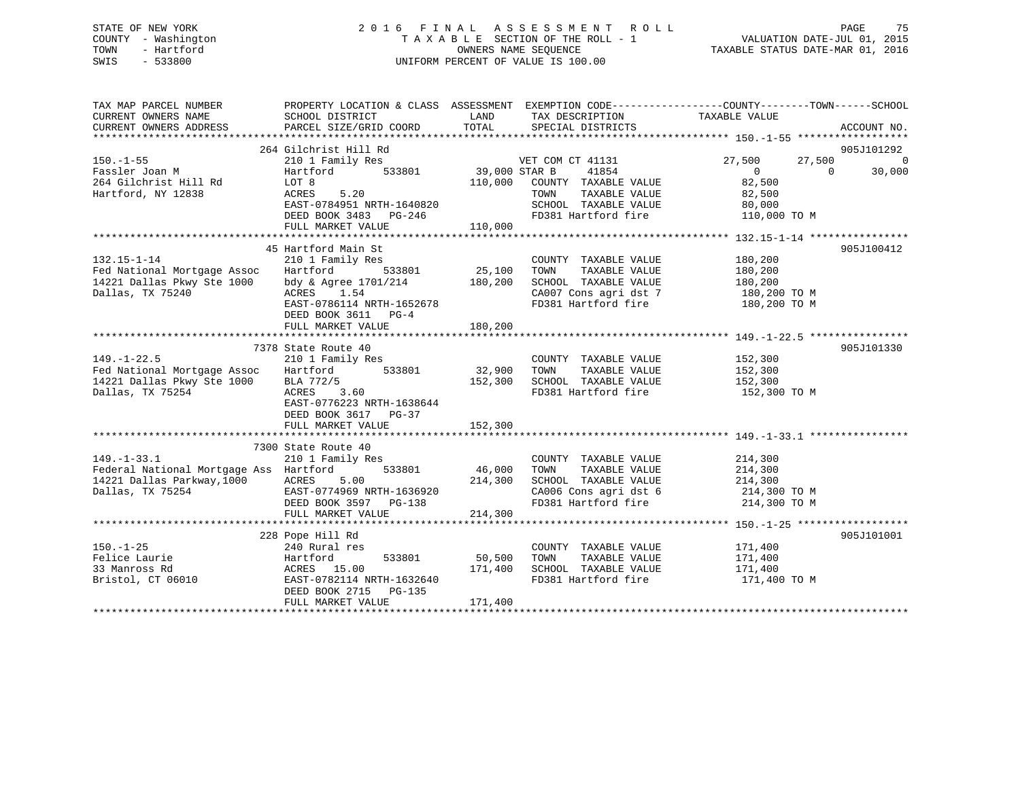## STATE OF NEW YORK 2 0 1 6 F I N A L A S S E S S M E N T R O L L PAGE 75 COUNTY - Washington T A X A B L E SECTION OF THE ROLL - 1 VALUATION DATE-JUL 01, 2015 TOWN - Hartford **TAXABLE STATUS DATE-MAR 01, 2016** OWNERS NAME SEQUENCE TAXABLE STATUS DATE-MAR 01, 2016 SWIS - 533800 UNIFORM PERCENT OF VALUE IS 100.00

| TAX MAP PARCEL NUMBER<br>CURRENT OWNERS NAME<br>CURRENT OWNERS ADDRESS                                        | PROPERTY LOCATION & CLASS ASSESSMENT EXEMPTION CODE---------------COUNTY-------TOWN-----SCHOOL<br>SCHOOL DISTRICT<br>PARCEL SIZE/GRID COORD          | LAND<br>TOTAL                | TAX DESCRIPTION TAXABLE VALUE<br>SPECIAL DISTRICTS                                                                                 |                                                                          | ACCOUNT NO.                  |
|---------------------------------------------------------------------------------------------------------------|------------------------------------------------------------------------------------------------------------------------------------------------------|------------------------------|------------------------------------------------------------------------------------------------------------------------------------|--------------------------------------------------------------------------|------------------------------|
| $150. - 1 - 55$                                                                                               | 264 Gilchrist Hill Rd<br>210 1 Family Res                                                                                                            |                              | VET COM CT 41131                                                                                                                   | 27,500<br>27,500                                                         | 905J101292<br>$\overline{0}$ |
| Fassler Joan M<br>264 Gilchrist Hill Rd<br>Hartford, NY 12838                                                 | 533801<br>Hartford<br>LOT 8<br>ACRES<br>5.20<br>EAST-0784951 NRTH-1640820<br>DEED BOOK 3483 PG-246                                                   | 39,000 STAR B<br>110,000     | 41854<br>COUNTY TAXABLE VALUE<br>TOWN      TAXABLE  VALUE<br>SCHOOL   TAXABLE  VALUE<br>FD381 Hartford fire                        | $\overline{0}$<br>$\Omega$<br>82,500<br>82,500<br>80,000<br>110,000 TO M | 30,000                       |
|                                                                                                               | FULL MARKET VALUE                                                                                                                                    | 110,000                      |                                                                                                                                    |                                                                          |                              |
|                                                                                                               | 45 Hartford Main St                                                                                                                                  |                              |                                                                                                                                    |                                                                          | 905J100412                   |
| $132.15 - 1 - 14$<br>Fed National Mortgage Assoc<br>14221 Dallas Pkwy Ste 1000<br>Dallas, TX 75240            | 210 1 Family Res<br>533801<br>Hartford<br>bdy & Agree 1701/214<br>ACRES 1.54<br>ACRES 1.54<br>EAST-0786114 NRTH-1652678<br>DEED BOOK 3611 PG-4       | 25,100<br>180,200            | COUNTY TAXABLE VALUE<br>TOWN<br>TAXABLE VALUE<br>SCHOOL TAXABLE VALUE<br>CA007 Cons agri dst 7 180,200 TO M<br>FD381 Hartford fire | 180,200<br>180,200<br>180,200<br>180,200 TO M                            |                              |
|                                                                                                               |                                                                                                                                                      |                              |                                                                                                                                    |                                                                          |                              |
|                                                                                                               | 7378 State Route 40                                                                                                                                  |                              |                                                                                                                                    |                                                                          | 905J101330                   |
| $149. - 1 - 22.5$<br>Fed National Mortgage Assoc<br>14221 Dallas Pkwy Ste 1000<br>Dallas, TX 75254            | 210 1 Family Res<br>$Hartford$ 533801 32,900<br>BLA 772/5<br>3.60<br>ACRES<br>EAST-0776223 NRTH-1638644<br>DEED BOOK 3617 PG-37<br>FULL MARKET VALUE | 152,300<br>152,300           | COUNTY TAXABLE VALUE<br>TOWN<br>TAXABLE VALUE<br>SCHOOL TAXABLE VALUE<br>WALUE سومینیند<br>FD381 Hartford fire                     | 152,300<br>152,300<br>152,300<br>152,300 TO M                            |                              |
|                                                                                                               |                                                                                                                                                      |                              |                                                                                                                                    |                                                                          |                              |
| $149. - 1 - 33.1$<br>Federal National Mortgage Ass Hartford<br>14221 Dallas Parkway, 1000<br>Dallas, TX 75254 | 7300 State Route 40<br>210 1 Family Res<br>533801<br>ACRES<br>5.00<br>EAST-0774969 NRTH-1636920<br>DEED BOOK 3597 PG-138<br>FULL MARKET VALUE        | 46,000<br>214,300<br>214,300 | COUNTY TAXABLE VALUE<br>TOWN<br>TAXABLE VALUE<br>SCHOOL TAXABLE VALUE 214,300<br>CA006 Cons agri dst 6<br>FD381 Hartford fire      | 214,300<br>214,300<br>214,300 TO M<br>214,300 TO M                       |                              |
|                                                                                                               |                                                                                                                                                      |                              |                                                                                                                                    |                                                                          |                              |
| $150. - 1 - 25$<br>Felice Laurie<br>33 Manross Rd<br>Bristol, CT 06010                                        | 228 Pope Hill Rd<br>240 Rural res<br>Hartford<br>533801<br>ACRES 15.00<br>EAST-0782114 NRTH-1632640<br>DEED BOOK 2715 PG-135<br>FULL MARKET VALUE    | 50,500<br>171,400<br>171,400 | COUNTY TAXABLE VALUE 171,400<br>TOWN<br>TAXABLE VALUE<br>SCHOOL TAXABLE VALUE<br>FD381 Hartford fire                               | 171,400<br>171,400<br>171,400 TO M                                       | 905J101001                   |
|                                                                                                               |                                                                                                                                                      |                              |                                                                                                                                    |                                                                          |                              |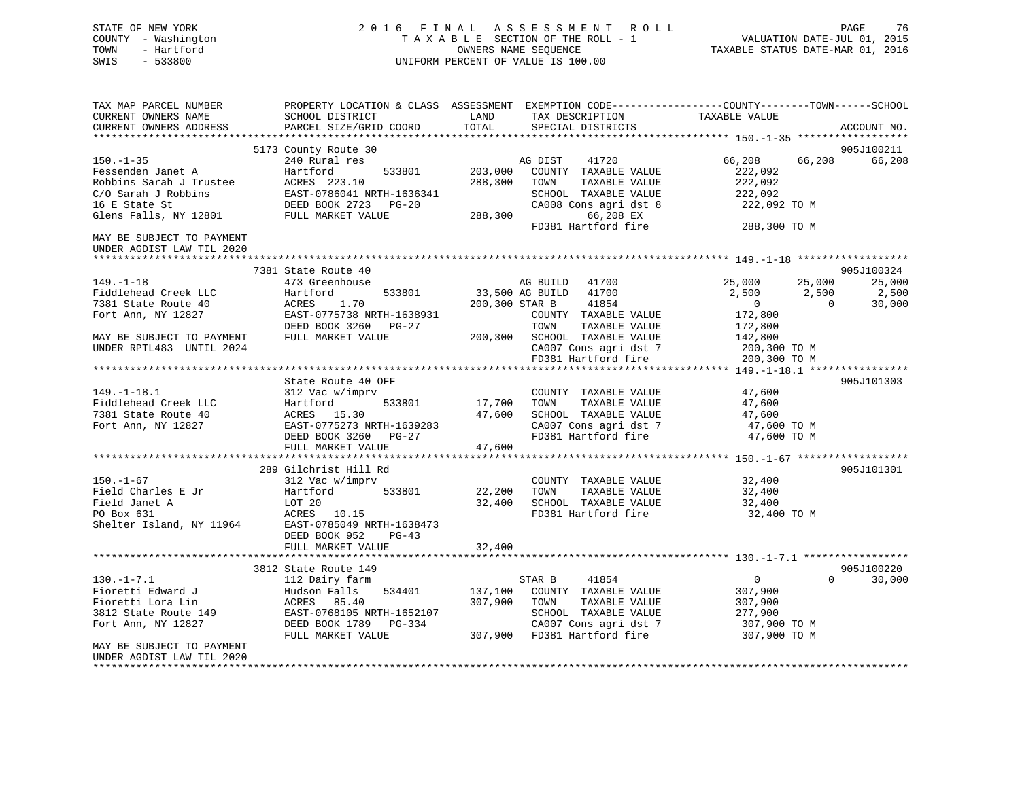## STATE OF NEW YORK 2 0 1 6 F I N A L A S S E S S M E N T R O L L PAGE 76 COUNTY - Washington T A X A B L E SECTION OF THE ROLL - 1 VALUATION DATE-JUL 01, 2015 TOWN - Hartford **TAXABLE STATUS DATE-MAR 01, 2016** OWNERS NAME SEQUENCE TAXABLE STATUS DATE-MAR 01, 2016 SWIS - 533800 UNIFORM PERCENT OF VALUE IS 100.00

| TAX MAP PARCEL NUMBER<br>CURRENT OWNERS NAME<br>CURRENT OWNERS ADDRESS                                  | PROPERTY LOCATION & CLASS ASSESSMENT EXEMPTION CODE----------------COUNTY-------TOWN------SCHOOL<br>SCHOOL DISTRICT<br>PARCEL SIZE/GRID COORD | LAND<br>TOTAL      | TAX DESCRIPTION<br>SPECIAL DISTRICTS                                                                                                             | TAXABLE VALUE                                                                             | ACCOUNT NO.     |
|---------------------------------------------------------------------------------------------------------|-----------------------------------------------------------------------------------------------------------------------------------------------|--------------------|--------------------------------------------------------------------------------------------------------------------------------------------------|-------------------------------------------------------------------------------------------|-----------------|
|                                                                                                         |                                                                                                                                               |                    |                                                                                                                                                  |                                                                                           |                 |
|                                                                                                         | 5173 County Route 30                                                                                                                          |                    |                                                                                                                                                  |                                                                                           | 905J100211      |
| $150. - 1 - 35$<br>Fessenden Janet A<br>Robbins Sarah J Trustee<br>C/O Sarah J Robbins<br>16 E State St | 240 Rural res<br>533801<br>Hartford<br>ACRES 223.10<br>EAST-0786041 NRTH-1636341<br>DEED BOOK 2723 PG-20                                      | 203,000<br>288,300 | 41720<br>AG DIST<br>COUNTY TAXABLE VALUE<br>TAXABLE VALUE<br>TOWN<br>SCHOOL TAXABLE VALUE<br>CA008 Cons agri dst 8                               | 66,208<br>66,208<br>222,092<br>222,092<br>222,092<br>222,092 TO M                         | 66,208          |
| Glens Falls, NY 12801                                                                                   | FULL MARKET VALUE                                                                                                                             | 288,300            | 66,208 EX                                                                                                                                        |                                                                                           |                 |
|                                                                                                         |                                                                                                                                               |                    | FD381 Hartford fire                                                                                                                              | 288,300 TO M                                                                              |                 |
| MAY BE SUBJECT TO PAYMENT<br>UNDER AGDIST LAW TIL 2020                                                  |                                                                                                                                               |                    |                                                                                                                                                  |                                                                                           |                 |
|                                                                                                         | 7381 State Route 40                                                                                                                           |                    |                                                                                                                                                  |                                                                                           | 905J100324      |
| $149. - 1 - 18$<br>Fiddlehead Creek LLC                                                                 | 473 Greenhouse<br>533801<br>Hartford                                                                                                          | 33,500 AG BUILD    | AG BUILD<br>41700<br>41700                                                                                                                       | 25,000<br>25,000<br>2,500<br>2,500                                                        | 25,000<br>2,500 |
| 7381 State Route 40<br>Fort Ann, NY 12827                                                               | ACRES<br>1.70<br>EAST-0775738 NRTH-1638931<br>DEED BOOK 3260 PG-27                                                                            |                    | 200,300 STAR B<br>41854<br>COUNTY TAXABLE VALUE<br>TOWN<br>TAXABLE VALUE                                                                         | $\overline{0}$<br>$\overline{0}$<br>172,800<br>172,800                                    | 30,000          |
| MAY BE SUBJECT TO PAYMENT<br>UNDER RPTL483 UNTIL 2024                                                   | FULL MARKET VALUE                                                                                                                             |                    | 200,300 SCHOOL TAXABLE VALUE<br>CA007 Cons agri dst 7<br>FD381 Hartford fire                                                                     | 142,800<br>200,300 TO M<br>200,300 TO M                                                   |                 |
|                                                                                                         |                                                                                                                                               |                    |                                                                                                                                                  |                                                                                           |                 |
| $149. - 1 - 18.1$                                                                                       | State Route 40 OFF<br>312 Vac w/imprv                                                                                                         |                    | COUNTY TAXABLE VALUE                                                                                                                             | 47,600                                                                                    | 905J101303      |
| Fiddlehead Creek LLC<br>7381 State Route 40<br>Fort Ann, NY 12827                                       | Hartford<br>533801<br>ACRES 15.30<br>EAST-0775273 NRTH-1639283                                                                                | 17,700<br>47,600   | TOWN<br>TAXABLE VALUE<br>SCHOOL TAXABLE VALUE<br>CA007 Cons agri dst 7                                                                           | 47,600<br>47,600<br>47,600 TO M                                                           |                 |
|                                                                                                         | DEED BOOK 3260 PG-27<br>FULL MARKET VALUE                                                                                                     | 47,600             | FD381 Hartford fire                                                                                                                              | 47,600 TO M                                                                               |                 |
|                                                                                                         | 289 Gilchrist Hill Rd                                                                                                                         |                    |                                                                                                                                                  |                                                                                           | 905J101301      |
| $150. - 1 - 67$<br>Field Charles E Jr<br>Field Janet A<br>PO Box 631<br>Shelter Island, NY 11964        | 312 Vac w/imprv<br>Hartford<br>533801<br>LOT 20<br>ACRES 10.15<br>EAST-0785049 NRTH-1638473<br>DEED BOOK 952<br>$PG-43$                       | 22,200<br>32,400   | COUNTY TAXABLE VALUE<br>TAXABLE VALUE<br>TOWN<br>SCHOOL TAXABLE VALUE<br>FD381 Hartford fire                                                     | 32,400<br>32,400<br>32,400<br>32,400 TO M                                                 |                 |
|                                                                                                         | FULL MARKET VALUE                                                                                                                             | 32,400             |                                                                                                                                                  |                                                                                           |                 |
|                                                                                                         |                                                                                                                                               |                    |                                                                                                                                                  |                                                                                           |                 |
|                                                                                                         | 3812 State Route 149                                                                                                                          |                    |                                                                                                                                                  |                                                                                           | 905J100220      |
| $130.-1-7.1$<br>Fioretti Edward J<br>Fioretti Lora Lin<br>3812 State Route 149<br>Fort Ann, NY 12827    | 112 Dairy farm<br>534401<br>Hudson Falls<br>ACRES 85.40<br>EAST-0768105 NRTH-1652107<br>DEED BOOK 1789 PG-334<br>FULL MARKET VALUE            | 137,100<br>307,900 | STAR B<br>41854<br>COUNTY TAXABLE VALUE<br>TAXABLE VALUE<br>TOWN<br>SCHOOL TAXABLE VALUE<br>CA007 Cons agri dst 7<br>307,900 FD381 Hartford fire | $\mathbf{0}$<br>$\Omega$<br>307,900<br>307,900<br>277,900<br>307,900 TO M<br>307,900 TO M | 30,000          |
| MAY BE SUBJECT TO PAYMENT<br>UNDER AGDIST LAW TIL 2020                                                  |                                                                                                                                               |                    |                                                                                                                                                  |                                                                                           |                 |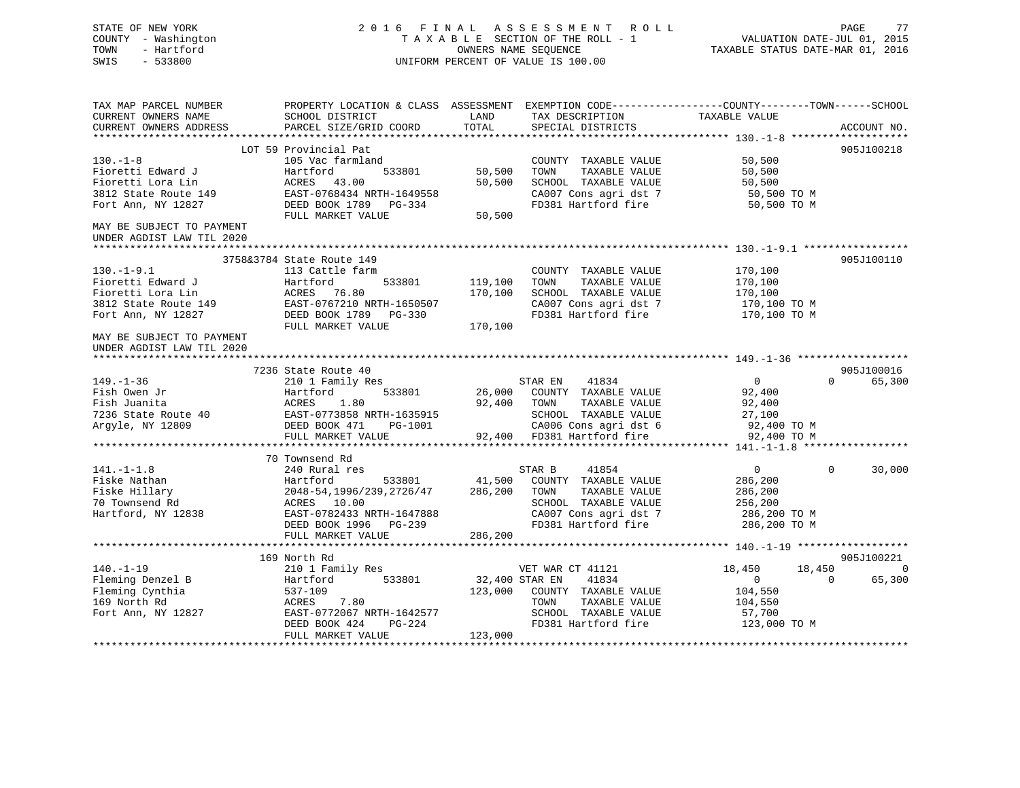| STATE OF NEW YORK<br>COUNTY - Washington<br>TOWN<br>- Hartford<br>SWIS<br>$-533800$ |                                                                                                                    | OWNERS NAME SEQUENCE | 2016 FINAL ASSESSMENT ROLL<br>TAXABLE SECTION OF THE ROLL - 1<br>UNIFORM PERCENT OF VALUE IS 100.00 | VALUATION DATE-JUL 01, 2015<br>TAXABLE STATUS DATE-MAR 01, 2016 | PAGE         | 77             |
|-------------------------------------------------------------------------------------|--------------------------------------------------------------------------------------------------------------------|----------------------|-----------------------------------------------------------------------------------------------------|-----------------------------------------------------------------|--------------|----------------|
| TAX MAP PARCEL NUMBER<br>CURRENT OWNERS NAME                                        | PROPERTY LOCATION & CLASS ASSESSMENT EXEMPTION CODE----------------COUNTY-------TOWN-----SCHOOL<br>SCHOOL DISTRICT | LAND                 | TAX DESCRIPTION                                                                                     | TAXABLE VALUE                                                   |              |                |
| CURRENT OWNERS ADDRESS                                                              | PARCEL SIZE/GRID COORD                                                                                             | TOTAL                | SPECIAL DISTRICTS                                                                                   |                                                                 | ACCOUNT NO.  |                |
|                                                                                     |                                                                                                                    |                      |                                                                                                     |                                                                 |              |                |
|                                                                                     | LOT 59 Provincial Pat                                                                                              |                      |                                                                                                     |                                                                 | 905J100218   |                |
| $130. - 1 - 8$<br>Fioretti Edward J                                                 | 105 Vac farmland<br>Hartford<br>533801                                                                             | 50,500               | COUNTY TAXABLE VALUE<br>TOWN<br>TAXABLE VALUE                                                       | 50,500<br>50,500                                                |              |                |
| Fioretti Lora Lin                                                                   | ACRES 43.00                                                                                                        | 50,500               | SCHOOL TAXABLE VALUE                                                                                | 50,500                                                          |              |                |
| 3812 State Route 149                                                                | EAST-0768434 NRTH-1649558                                                                                          |                      | CA007 Cons agri dst 7                                                                               | 50,500 TO M                                                     |              |                |
| Fort Ann, NY 12827                                                                  | DEED BOOK 1789 PG-334                                                                                              |                      | FD381 Hartford fire                                                                                 | 50,500 TO M                                                     |              |                |
|                                                                                     | FULL MARKET VALUE                                                                                                  | 50,500               |                                                                                                     |                                                                 |              |                |
| MAY BE SUBJECT TO PAYMENT<br>UNDER AGDIST LAW TIL 2020                              |                                                                                                                    |                      |                                                                                                     |                                                                 |              |                |
|                                                                                     | 3758&3784 State Route 149                                                                                          |                      |                                                                                                     |                                                                 | 905J100110   |                |
| $130. - 1 - 9.1$                                                                    | 113 Cattle farm                                                                                                    |                      | COUNTY TAXABLE VALUE                                                                                | 170,100                                                         |              |                |
| Fioretti Edward J                                                                   | Hartford<br>533801                                                                                                 | 119,100              | TAXABLE VALUE<br>TOWN                                                                               | 170,100                                                         |              |                |
| Fioretti Lora Lin                                                                   |                                                                                                                    | 170,100              | SCHOOL TAXABLE VALUE                                                                                | 170,100                                                         |              |                |
| 3812 State Route 149                                                                | ACRES 76.80<br>EAST-0767210 NRTH-1650507                                                                           |                      | CA007 Cons agri dst 7                                                                               | 170,100 TO M                                                    |              |                |
| Fort Ann, NY 12827                                                                  | DEED BOOK 1789 PG-330                                                                                              |                      | FD381 Hartford fire                                                                                 | 170,100 TO M                                                    |              |                |
|                                                                                     | FULL MARKET VALUE                                                                                                  | 170,100              |                                                                                                     |                                                                 |              |                |
| MAY BE SUBJECT TO PAYMENT<br>UNDER AGDIST LAW TIL 2020                              |                                                                                                                    |                      |                                                                                                     |                                                                 |              |                |
|                                                                                     |                                                                                                                    |                      |                                                                                                     |                                                                 |              |                |
|                                                                                     | 7236 State Route 40                                                                                                |                      |                                                                                                     |                                                                 | 905J100016   |                |
| $149. - 1 - 36$                                                                     | 210 1 Family Res                                                                                                   |                      | 41834<br>STAR EN                                                                                    | $\overline{0}$                                                  | $\Omega$     | 65,300         |
| Fish Owen Jr                                                                        | 533801<br>Hartford                                                                                                 |                      | 26,000 COUNTY TAXABLE VALUE                                                                         | 92,400                                                          |              |                |
| Fish Juanita                                                                        | ACRES<br>1.80                                                                                                      | 92,400 TOWN          | TAXABLE VALUE                                                                                       | 92,400                                                          |              |                |
| 7236 State Route 40                                                                 | EAST-0773858 NRTH-1635915                                                                                          |                      | SCHOOL TAXABLE VALUE                                                                                | 27,100                                                          |              |                |
| Argyle, NY 12809                                                                    | DEED BOOK 471 PG-1001                                                                                              |                      | CA006 Cons agri dst 6                                                                               | 92,400 TO M                                                     |              |                |
|                                                                                     | FULL MARKET VALUE                                                                                                  |                      | 92,400 FD381 Hartford fire                                                                          | 92,400 TO M                                                     |              |                |
|                                                                                     |                                                                                                                    |                      |                                                                                                     |                                                                 |              |                |
|                                                                                     | 70 Townsend Rd                                                                                                     |                      |                                                                                                     |                                                                 |              |                |
| $141. - 1 - 1.8$                                                                    | 240 Rural res                                                                                                      | 41,500               | 41854<br>STAR B                                                                                     | $\mathbf{0}$                                                    | $\Omega$     | 30,000         |
| Fiske Nathan<br>Fiske Hillary                                                       | Hartford<br>533801<br>2048-54, 1996/239, 2726/47                                                                   | 286,200              | COUNTY TAXABLE VALUE<br>TOWN<br>TAXABLE VALUE                                                       | 286,200<br>286,200                                              |              |                |
| 70 Townsend Rd                                                                      | ACRES 10.00                                                                                                        |                      | SCHOOL TAXABLE VALUE                                                                                | 256,200                                                         |              |                |
| Hartford, NY 12838                                                                  | EAST-0782433 NRTH-1647888                                                                                          |                      | CA007 Cons agri dst 7                                                                               | 286,200 TO M                                                    |              |                |
|                                                                                     | DEED BOOK 1996 PG-239                                                                                              |                      | FD381 Hartford fire                                                                                 | 286,200 TO M                                                    |              |                |
|                                                                                     | FULL MARKET VALUE                                                                                                  | 286,200              |                                                                                                     |                                                                 |              |                |
|                                                                                     |                                                                                                                    |                      |                                                                                                     |                                                                 |              |                |
|                                                                                     | 169 North Rd                                                                                                       |                      |                                                                                                     |                                                                 | 905J100221   |                |
| $140. - 1 - 19$                                                                     | 210 1 Family Res                                                                                                   |                      | VET WAR CT 41121                                                                                    | 18,450                                                          | 18,450       | $\overline{0}$ |
| Fleming Denzel B                                                                    | 533801<br>Hartford                                                                                                 | 32,400 STAR EN       | 41834                                                                                               | $\overline{0}$                                                  | $\mathbf{0}$ | 65,300         |
| Fleming Cynthia                                                                     | 537-109                                                                                                            | 123,000              | COUNTY TAXABLE VALUE                                                                                | 104,550                                                         |              |                |
| 169 North Rd                                                                        | ACRES<br>7.80                                                                                                      |                      | TOWN<br>TAXABLE VALUE                                                                               | 104,550                                                         |              |                |
| Fort Ann, NY 12827                                                                  | EAST-0772067 NRTH-1642577                                                                                          |                      | SCHOOL TAXABLE VALUE                                                                                | 57,700                                                          |              |                |
|                                                                                     | DEED BOOK 424<br>PG-224                                                                                            |                      | FD381 Hartford fire                                                                                 | 123,000 TO M                                                    |              |                |
|                                                                                     | FULL MARKET VALUE                                                                                                  | 123,000              |                                                                                                     |                                                                 |              |                |
|                                                                                     |                                                                                                                    |                      |                                                                                                     |                                                                 |              |                |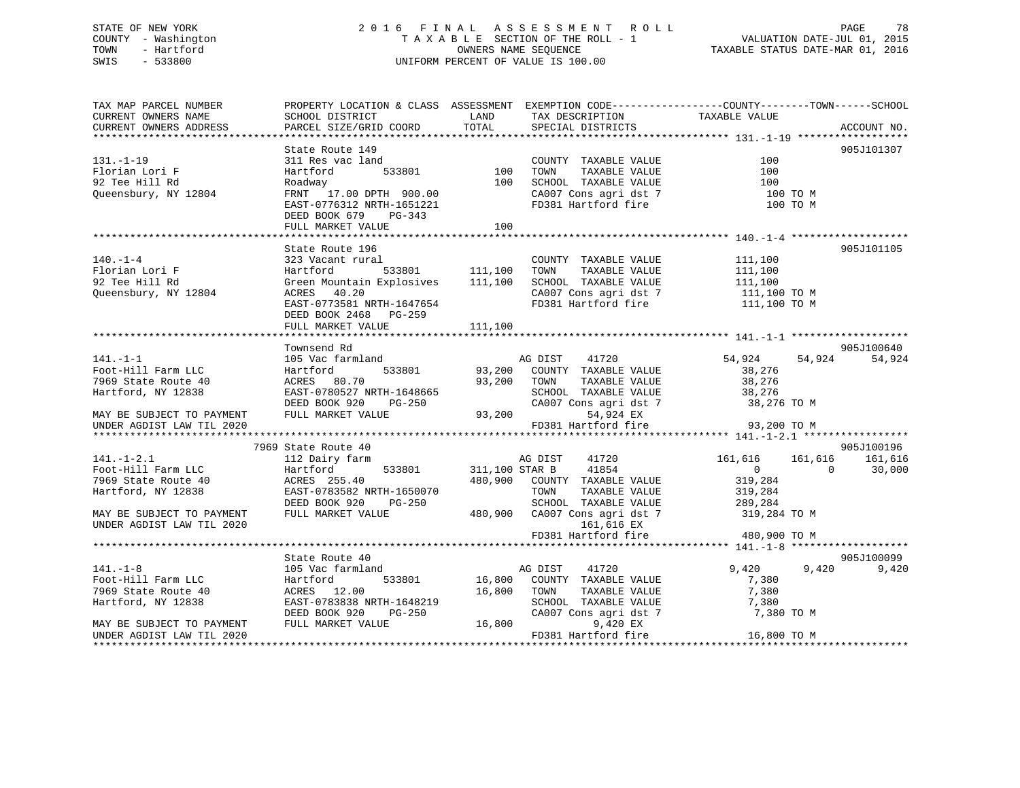## STATE OF NEW YORK 2 0 1 6 F I N A L A S S E S S M E N T R O L L PAGE 78 COUNTY - Washington T A X A B L E SECTION OF THE ROLL - 1 VALUATION DATE-JUL 01, 2015 TOWN - Hartford **TAXABLE STATUS DATE-MAR 01, 2016** OWNERS NAME SEQUENCE TAXABLE STATUS DATE-MAR 01, 2016 SWIS - 533800 UNIFORM PERCENT OF VALUE IS 100.00

| TAX MAP PARCEL NUMBER            | PROPERTY LOCATION & CLASS ASSESSMENT EXEMPTION CODE---------------COUNTY-------TOWN-----SCHOOL                                                                                                                                         |      |                                                                        |                                                |             |
|----------------------------------|----------------------------------------------------------------------------------------------------------------------------------------------------------------------------------------------------------------------------------------|------|------------------------------------------------------------------------|------------------------------------------------|-------------|
| CURRENT OWNERS NAME              | SCHOOL DISTRICT                                                                                                                                                                                                                        | LAND | TAX DESCRIPTION                                                        | TAXABLE VALUE                                  |             |
| CURRENT OWNERS ADDRESS           | PARCEL SIZE/GRID COORD TOTAL                                                                                                                                                                                                           |      | SPECIAL DISTRICTS                                                      |                                                | ACCOUNT NO. |
|                                  |                                                                                                                                                                                                                                        |      |                                                                        |                                                |             |
|                                  | State Route 149                                                                                                                                                                                                                        |      |                                                                        |                                                | 905J101307  |
| $131. - 1 - 19$                  | ac land COUNT<br>311 Res vac land                                                                                                                                                                                                      |      | COUNTY TAXABLE VALUE<br>TOWN TAXABLE VALUE                             | 100                                            |             |
| Florian Lori F                   |                                                                                                                                                                                                                                        |      |                                                                        | 100                                            |             |
| 92 Tee Hill Rd                   |                                                                                                                                                                                                                                        |      |                                                                        |                                                |             |
| Queensbury, NY 12804             |                                                                                                                                                                                                                                        |      | SCHOOL TAXABLE VALUE 100<br>CA007 Cons agri dst 7 100 TO M             |                                                |             |
|                                  |                                                                                                                                                                                                                                        |      | FD381 Hartford fire 100 TO M                                           |                                                |             |
|                                  | FRIT 17.00 DPTH 900.00<br>FRIT 17.00 DPTH 900.00<br>EAST-0776312 NRTH-1651221<br>DEED BOOK 679 PG-343<br>PET BOOK 679 PG-343                                                                                                           |      |                                                                        |                                                |             |
|                                  | FULL MARKET VALUE                                                                                                                                                                                                                      | 100  |                                                                        |                                                |             |
|                                  |                                                                                                                                                                                                                                        |      |                                                                        |                                                |             |
|                                  | State Route 196                                                                                                                                                                                                                        |      |                                                                        |                                                | 905J101105  |
| $140. - 1 - 4$                   |                                                                                                                                                                                                                                        |      | COUNTY TAXABLE VALUE 111,100                                           |                                                |             |
| Florian Lori F<br>92 Tee Hill Rd |                                                                                                                                                                                                                                        |      |                                                                        | TAXABLE VALUE 111,100<br>TAXABLE VALUE 111,100 |             |
| 92 Tee Hill Rd                   | 323 Vacant rural COUNTY TAXABLE VALUE<br>Hartford 533801 111,100 TOWN TAXABLE VALUE<br>Green Mountain Explosives 111,100 SCHOOL TAXABLE VALUE<br>ACRES 40.20 CA007 Cons agri dst 7<br>EAST-0773581 NRTH-1647654 FD381 Hartford fire    |      |                                                                        |                                                |             |
| Queensbury, NY 12804             |                                                                                                                                                                                                                                        |      | CA007 Cons agri dst 7 111,100 TO M<br>FD381 Hartford fire 111,100 TO M |                                                |             |
|                                  |                                                                                                                                                                                                                                        |      |                                                                        |                                                |             |
|                                  | DEED BOOK 2468 PG-259                                                                                                                                                                                                                  |      |                                                                        |                                                |             |
|                                  |                                                                                                                                                                                                                                        |      |                                                                        |                                                |             |
|                                  |                                                                                                                                                                                                                                        |      |                                                                        |                                                |             |
|                                  | Townsend Rd                                                                                                                                                                                                                            |      |                                                                        |                                                | 905J100640  |
| $141. - 1 - 1$                   |                                                                                                                                                                                                                                        |      |                                                                        | 54,924                                         | 54,924      |
| Foot-Hill Farm LLC               | IO5 Vac I<br>Hartford                                                                                                                                                                                                                  |      |                                                                        |                                                |             |
| 7969 State Route 40              |                                                                                                                                                                                                                                        |      |                                                                        |                                                |             |
| Hartford, NY 12838               |                                                                                                                                                                                                                                        |      |                                                                        |                                                |             |
|                                  |                                                                                                                                                                                                                                        |      |                                                                        |                                                |             |
| MAY BE SUBJECT TO PAYMENT        |                                                                                                                                                                                                                                        |      |                                                                        |                                                |             |
| UNDER AGDIST LAW TIL 2020        | 10Wilson Ku and MG DIST 41720 54,924 54,9<br>Hartford 533801 93,200 COUNTY TAXABLE VALUE 38,276<br>HARTES 80.70 93,200 TOWN TAXABLE VALUE 38,276<br>EAST-0780527 NRTH-1648665 SCHOOL TAXABLE VALUE 38,276<br>DEED BOOK 920 PG-250 CA00 |      |                                                                        |                                                |             |
|                                  |                                                                                                                                                                                                                                        |      |                                                                        |                                                |             |
|                                  | 7969 State Route 40<br>state Route 40<br>112 Dairy farm                                                                                                                                                                                |      |                                                                        |                                                | 905J100196  |
| $141. - 1 - 2.1$                 |                                                                                                                                                                                                                                        |      | AG DIST<br>41720                                                       | 161,616 161,616 161,616                        |             |
|                                  |                                                                                                                                                                                                                                        |      |                                                                        | $0$ 0 30,000<br>319,284                        |             |
|                                  |                                                                                                                                                                                                                                        |      |                                                                        |                                                |             |
|                                  |                                                                                                                                                                                                                                        |      |                                                                        |                                                |             |
|                                  |                                                                                                                                                                                                                                        |      |                                                                        |                                                |             |
|                                  | 141.-1-2.1<br>Foot-Hill Farm LLC Hartford 533801 311,100 STAR B 41854 0<br>7969 State Route 40 ACRES 255.40 480,900 COUNTY TAXABLE VALUE 319,284<br>Hartford, NY 12838 EAST-0783582 NRTH-1650070 TOWN TAXABLE VALUE 319,284<br>MAY BE  |      |                                                                        |                                                |             |
| UNDER AGDIST LAW TIL 2020        |                                                                                                                                                                                                                                        |      | 161,616 EX                                                             |                                                |             |
|                                  |                                                                                                                                                                                                                                        |      | FD381 Hartford fire 480,900 TO M                                       |                                                |             |
|                                  |                                                                                                                                                                                                                                        |      |                                                                        |                                                |             |
|                                  | State Route 40                                                                                                                                                                                                                         |      |                                                                        |                                                | 905J100099  |
| $141. - 1 - 8$                   | 105 Vac farmland                                                                                                                                                                                                                       |      |                                                                        | 9,420                                          | 9,420 9,420 |
| Foot-Hill Farm LLC               | Hartford                                                                                                                                                                                                                               |      |                                                                        | 7,380                                          |             |
| 7969 State Route 40              |                                                                                                                                                                                                                                        |      | TOWN TAXABLE VALUE 7,380<br>SCHOOL TAXABLE VALUE 7,380                 |                                                |             |
| Hartford, NY 12838               |                                                                                                                                                                                                                                        |      |                                                                        |                                                |             |
|                                  |                                                                                                                                                                                                                                        |      |                                                                        | 7,380 TO M                                     |             |
| MAY BE SUBJECT TO PAYMENT        | ACRES 12.00<br>EAST-0783838 NRTH-1648219<br>DEED BOOK 920 PG-250<br>FULL MARKET VALUE<br>FULL MARKET VALUE<br>26,800<br>CA007 Cons agri dst 7<br>29,420 EX                                                                             |      |                                                                        |                                                |             |
| UNDER AGDIST LAW TIL 2020        |                                                                                                                                                                                                                                        |      | FD381 Hartford fire 16,800 TO M                                        |                                                |             |
| ********************             |                                                                                                                                                                                                                                        |      |                                                                        |                                                |             |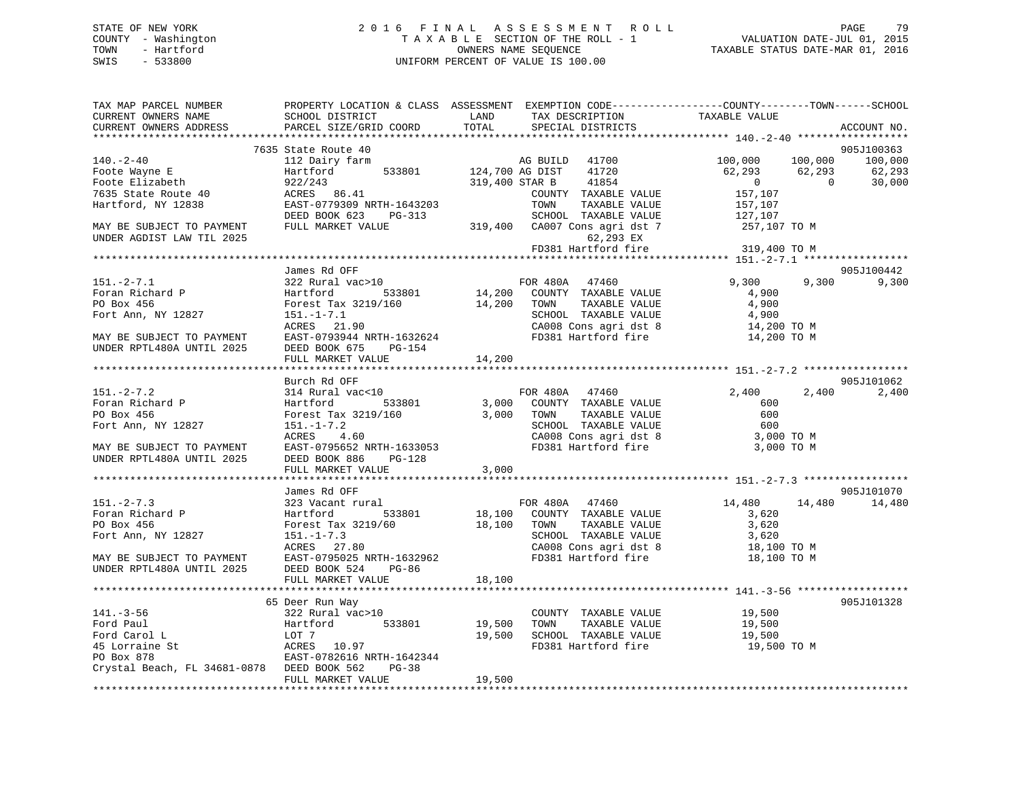## STATE OF NEW YORK 2 0 1 6 F I N A L A S S E S S M E N T R O L L PAGE 79 COUNTY - Washington T A X A B L E SECTION OF THE ROLL - 1 VALUATION DATE-JUL 01, 2015 TOWN - Hartford **TAXABLE STATUS DATE-MAR 01, 2016** OWNERS NAME SEQUENCE TAXABLE STATUS DATE-MAR 01, 2016 SWIS - 533800 UNIFORM PERCENT OF VALUE IS 100.00

| TAX MAP PARCEL NUMBER<br>CURRENT OWNERS NAME           | PROPERTY LOCATION & CLASS ASSESSMENT EXEMPTION CODE----------------COUNTY-------TOWN------SCHOOL<br>SCHOOL DISTRICT | LAND                      | TAX DESCRIPTION      |                                                          | TAXABLE VALUE                                                |                    |             |
|--------------------------------------------------------|---------------------------------------------------------------------------------------------------------------------|---------------------------|----------------------|----------------------------------------------------------|--------------------------------------------------------------|--------------------|-------------|
| CURRENT OWNERS ADDRESS                                 | PARCEL SIZE/GRID COORD                                                                                              | TOTAL                     |                      | SPECIAL DISTRICTS                                        |                                                              |                    | ACCOUNT NO. |
|                                                        | **************************                                                                                          | ************************* |                      |                                                          | ********************* 140.-2-40 *******************          |                    |             |
|                                                        | 7635 State Route 40                                                                                                 |                           |                      | AG BUILD $41700$                                         |                                                              |                    | 905J100363  |
| $140. - 2 - 40$                                        | 112 Dairy farm                                                                                                      |                           |                      |                                                          | 100,000                                                      | 100,000            | 100,000     |
| Foote Wayne E                                          | 533801<br>Hartford                                                                                                  | 124,700 AG DIST           |                      |                                                          | 62,293                                                       | 62,293<br>$\sim$ 0 | 62,293      |
| Foote Elizabeth                                        | $222/243$<br>ACRES 86.41                                                                                            |                           | 319,400 STAR B 41854 |                                                          | $\overline{0}$                                               |                    | 30,000      |
| 7635 State Route 40                                    |                                                                                                                     |                           |                      | COUNTY TAXABLE VALUE                                     | 157,107                                                      |                    |             |
| Hartford, NY 12838                                     | EAST-0779309 NRTH-1643203<br>DEED BOOK 623 PG-313                                                                   |                           | TOWN                 | TAXABLE VALUE<br>SCHOOL TAXABLE VALUE                    | 157,107                                                      |                    |             |
|                                                        | FULL MARKET VALUE                                                                                                   |                           |                      |                                                          | 127,107<br>319,400 CA007 Cons agri dst 7 257,107 TO M        |                    |             |
| MAY BE SUBJECT TO PAYMENT<br>UNDER AGDIST LAW TIL 2025 |                                                                                                                     |                           |                      | 62,293 EX                                                |                                                              |                    |             |
|                                                        |                                                                                                                     |                           |                      | FD381 Hartford fire                                      | 319,400 TO M                                                 |                    |             |
|                                                        | James Rd OFF                                                                                                        |                           |                      |                                                          | ******************** 151.-2-7.1 ******************           |                    | 905J100442  |
| $151 - 2 - 7.1$                                        | 322 Rural vac>10                                                                                                    |                           | FOR 480A 47460       |                                                          | 9,300                                                        | 9,300              | 9,300       |
| Foran Richard P                                        | 533801<br>Hartford                                                                                                  |                           |                      | 14,200 COUNTY TAXABLE VALUE                              | 4,900                                                        |                    |             |
| PO Box 456                                             |                                                                                                                     |                           |                      |                                                          |                                                              |                    |             |
|                                                        | Forest Tax 3219/160                                                                                                 | 14,200 TOWN               |                      | TAXABLE VALUE                                            | 4,900<br>4,900                                               |                    |             |
| Fort Ann, NY 12827                                     | $151. - 1 - 7.1$<br>ACRES 21.90                                                                                     |                           |                      | SCHOOL TAXABLE VALUE<br>CA008 Cons agri dst 8            |                                                              |                    |             |
| MAY BE SUBJECT TO PAYMENT                              | EAST-0793944 NRTH-1632624                                                                                           |                           |                      | FD381 Hartford fire                                      | 14,200 TO M                                                  |                    |             |
| UNDER RPTL480A UNTIL 2025                              | DEED BOOK 675<br>PG-154                                                                                             |                           |                      |                                                          | 14,200 TO M                                                  |                    |             |
|                                                        | FULL MARKET VALUE                                                                                                   |                           |                      |                                                          |                                                              |                    |             |
| ****************                                       |                                                                                                                     | 14,200                    |                      |                                                          |                                                              |                    |             |
|                                                        | Burch Rd OFF                                                                                                        |                           |                      |                                                          |                                                              |                    | 905J101062  |
| $151 - 2 - 7.2$                                        | 314 Rural vac<10                                                                                                    |                           | FOR 480A 47460       |                                                          | 2,400                                                        | 2,400              | 2,400       |
| Foran Richard P                                        | Hartford 533801                                                                                                     |                           |                      | 3,000 COUNTY TAXABLE VALUE                               | 600                                                          |                    |             |
| PO Box 456                                             | Forest Tax 3219/160                                                                                                 |                           | 3,000 TOWN           | TAXABLE VALUE                                            | 600                                                          |                    |             |
| Fort Ann, NY 12827                                     |                                                                                                                     |                           |                      |                                                          |                                                              |                    |             |
|                                                        | 151.-1-7.2<br>ACRES 4.60                                                                                            |                           |                      |                                                          | SCHOOL TAXABLE VALUE 600<br>CA008 Cons agri dst 8 3,000 TO M |                    |             |
| MAY BE SUBJECT TO PAYMENT                              | EAST-0795652 NRTH-1633053                                                                                           |                           |                      | FD381 Hartford fire                                      | 3,000 TO M                                                   |                    |             |
| UNDER RPTL480A UNTIL 2025                              | DEED BOOK 886<br>PG-128                                                                                             |                           |                      |                                                          |                                                              |                    |             |
|                                                        | FULL MARKET VALUE                                                                                                   | 3,000                     |                      |                                                          |                                                              |                    |             |
|                                                        |                                                                                                                     |                           |                      |                                                          |                                                              |                    |             |
|                                                        | James Rd OFF                                                                                                        |                           |                      |                                                          |                                                              |                    | 905J101070  |
| $151 - 2 - 7.3$                                        | 323 Vacant rural                                                                                                    |                           | FOR 480A 47460       |                                                          | 14,480                                                       | 14,480             | 14,480      |
| Foran Richard P                                        | Hartford 533801                                                                                                     |                           |                      | 18,100 COUNTY TAXABLE VALUE<br>18,100 TOWN TAXABLE VALUE | 3,620                                                        |                    |             |
| PO Box 456                                             | Forest Tax 3219/60                                                                                                  |                           |                      |                                                          | 3,620                                                        |                    |             |
| Fort Ann, NY 12827                                     | 151.-1-7.3<br>ACRES 27.80                                                                                           |                           |                      | SCHOOL TAXABLE VALUE                                     | 3,620                                                        |                    |             |
|                                                        |                                                                                                                     |                           |                      | CA008 Cons agri dst 8                                    | 18,100 TO M                                                  |                    |             |
| MAY BE SUBJECT TO PAYMENT                              | EAST-0795025 NRTH-1632962                                                                                           |                           |                      | FD381 Hartford fire                                      | 18,100 TO M                                                  |                    |             |
| UNDER RPTL480A UNTIL 2025                              | DEED BOOK 524 PG-86                                                                                                 |                           |                      |                                                          |                                                              |                    |             |
|                                                        | FULL MARKET VALUE                                                                                                   | 18,100                    |                      |                                                          |                                                              |                    |             |
|                                                        |                                                                                                                     |                           |                      |                                                          |                                                              |                    |             |
|                                                        | 65 Deer Run Way                                                                                                     |                           |                      |                                                          |                                                              |                    | 905J101328  |
| $141. - 3 - 56$                                        | 322 Rural vac>10                                                                                                    |                           |                      | COUNTY TAXABLE VALUE                                     | 19,500                                                       |                    |             |
| Ford Paul                                              | 533801<br>Hartford                                                                                                  |                           |                      | 19,500 TOWN TAXABLE VALUE<br>19,500 SCHOOL TAXABLE VALUE | 19,500                                                       |                    |             |
| Ford Carol L                                           | LOT 7                                                                                                               |                           |                      |                                                          | 19,500                                                       |                    |             |
| 45 Lorraine St                                         | ACRES 10.97                                                                                                         |                           |                      | FD381 Hartford fire                                      | 19,500 TO M                                                  |                    |             |
| PO Box 878                                             | EAST-0782616 NRTH-1642344                                                                                           |                           |                      |                                                          |                                                              |                    |             |
| Crystal Beach, FL 34681-0878 DEED BOOK 562             | $PG-38$                                                                                                             |                           |                      |                                                          |                                                              |                    |             |
|                                                        | FULL MARKET VALUE                                                                                                   | 19,500                    |                      |                                                          |                                                              |                    |             |
|                                                        |                                                                                                                     |                           |                      |                                                          |                                                              |                    |             |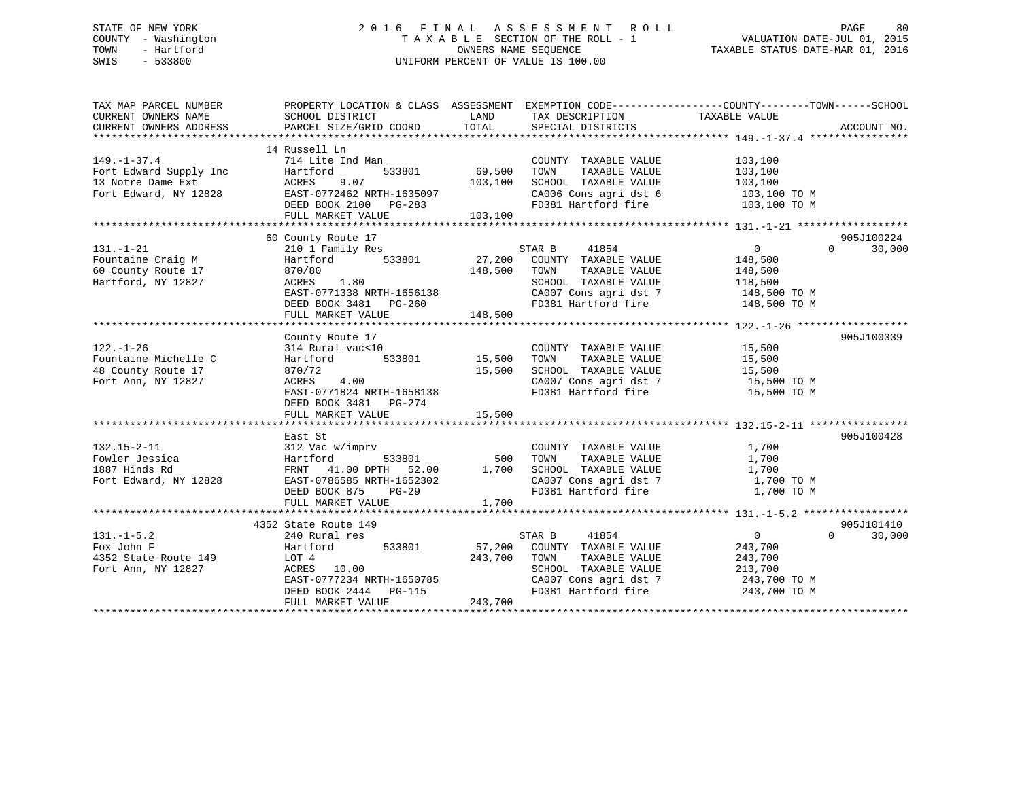## STATE OF NEW YORK 2 0 1 6 F I N A L A S S E S S M E N T R O L L PAGE 80 COUNTY - Washington T A X A B L E SECTION OF THE ROLL - 1 VALUATION DATE-JUL 01, 2015 TOWN - Hartford **TAXABLE STATUS DATE-MAR 01, 2016** OWNERS NAME SEQUENCE TAXABLE STATUS DATE-MAR 01, 2016 SWIS - 533800 UNIFORM PERCENT OF VALUE IS 100.00

| TAX MAP PARCEL NUMBER  | PROPERTY LOCATION & CLASS ASSESSMENT EXEMPTION CODE---------------COUNTY-------TOWN------SCHOOL                                                                                    |              |                                                                                                        |                    |                    |
|------------------------|------------------------------------------------------------------------------------------------------------------------------------------------------------------------------------|--------------|--------------------------------------------------------------------------------------------------------|--------------------|--------------------|
| CURRENT OWNERS NAME    | SCHOOL DISTRICT                                                                                                                                                                    |              | LAND TAX DESCRIPTION                                                                                   | TAXABLE VALUE      |                    |
| CURRENT OWNERS ADDRESS | PARCEL SIZE/GRID COORD                                                                                                                                                             | TOTAL        | SPECIAL DISTRICTS                                                                                      |                    | ACCOUNT NO.        |
|                        |                                                                                                                                                                                    |              |                                                                                                        |                    |                    |
| $149. - 1 - 37.4$      | 14 Russell Ln                                                                                                                                                                      |              |                                                                                                        |                    |                    |
|                        | 714 Lite Ind Man<br>Hartford 533801 69,500                                                                                                                                         |              | COUNTY TAXABLE VALUE                                                                                   | 103,100<br>103,100 |                    |
|                        |                                                                                                                                                                                    |              | TOWN<br>TAXABLE VALUE                                                                                  |                    |                    |
|                        |                                                                                                                                                                                    |              |                                                                                                        |                    |                    |
|                        |                                                                                                                                                                                    |              | SCHOOL TAXABLE VALUE 103,100<br>CA006 Cons agri dst 6 103,100 TO M<br>FD381 Hartford fire 103,100 TO M |                    |                    |
|                        |                                                                                                                                                                                    |              |                                                                                                        |                    |                    |
|                        | Fort Edward Supply Inc<br>13 Notre Dame Ext<br>Fort Edward, NY 12828<br>EAST-0772462 NRTH-1635097<br>DEED BOOK 2100 PG-283<br>CLEARED BOOK 2100 PG-283<br>CLEARED BOOK 2100 PG-283 |              |                                                                                                        |                    |                    |
|                        |                                                                                                                                                                                    |              |                                                                                                        |                    |                    |
|                        | 60 County Route 17                                                                                                                                                                 |              |                                                                                                        |                    | 905J100224         |
| $131. - 1 - 21$        | 210 1 Family Res                                                                                                                                                                   |              | STAR B<br>41854                                                                                        | $\overline{0}$     | $\Omega$<br>30,000 |
| Fountaine Craig M      | Hartford 533801 27,200 COUNTY TAXABLE VALUE 148,500                                                                                                                                |              |                                                                                                        |                    |                    |
| 60 County Route 17     | 870/80                                                                                                                                                                             | 148,500 TOWN | TAXABLE VALUE                                                                                          | 148,500            |                    |
| Hartford, NY 12827     | ACRES 1.80                                                                                                                                                                         |              | SCHOOL TAXABLE VALUE 118,500                                                                           |                    |                    |
|                        |                                                                                                                                                                                    |              | CA007 Cons agri dst 7 $148,500$ TO M                                                                   |                    |                    |
|                        | EAST-0771338 NRTH-1656138<br>DEED BOOK 3481 PG-260                                                                                                                                 |              | FD381 Hartford fire                                                                                    | 148,500 TO M       |                    |
|                        | FULL MARKET VALUE                                                                                                                                                                  | 148,500      |                                                                                                        |                    |                    |
|                        |                                                                                                                                                                                    |              |                                                                                                        |                    |                    |
|                        | County Route 17                                                                                                                                                                    |              |                                                                                                        |                    | 905J100339         |
| $122. - 1 - 26$        |                                                                                                                                                                                    |              |                                                                                                        |                    |                    |
| Fountaine Michelle C   | $314 \text{ Rural vac} < 10$ $314 \text{Rural vac} < 10$ $533801$ $15,500$ TOWN                                                                                                    |              | COUNTY TAXABLE VALUE 15,500<br>TOWN TAXABLE VALUE 15,500                                               |                    |                    |
| 48 County Route 17     | 870/72                                                                                                                                                                             |              | 15,500 TOWN IAAADLE VALUE 15,500<br>15,500 SCHOOL TAXABLE VALUE 15,500 TO M                            |                    |                    |
| Fort Ann, NY 12827     | ACRES 4.00                                                                                                                                                                         |              |                                                                                                        |                    |                    |
|                        | EAST-0771824 NRTH-1658138                                                                                                                                                          |              | CA007 Cons agri dst 7<br>FD381 Hartford fire                                                           |                    |                    |
|                        |                                                                                                                                                                                    |              |                                                                                                        | 15,500 TO M        |                    |
|                        | DEED BOOK 3481 PG-274                                                                                                                                                              |              |                                                                                                        |                    |                    |
|                        | FULL MARKET VALUE                                                                                                                                                                  | 15,500       |                                                                                                        |                    |                    |
|                        |                                                                                                                                                                                    |              |                                                                                                        |                    |                    |
|                        | East St                                                                                                                                                                            |              |                                                                                                        |                    | 905J100428         |
| $132.15 - 2 - 11$      | 312 Vac w/imprv                                                                                                                                                                    |              | COUNTY TAXABLE VALUE                                                                                   | 1,700              |                    |
| Fowler Jessica         |                                                                                                                                                                                    |              |                                                                                                        | 1,700              |                    |
| 1887 Hinds Rd          | $Hartford$ 533801 500 TOWN TAXABLE VALUE<br>FRNT 41.00 DPTH 52.00 1,700 SCHOOL TAXABLE VALUE                                                                                       |              |                                                                                                        | 1,700              |                    |
| Fort Edward, NY 12828  | FRNT 41.00 DPIR 32.00<br>EAST-0786585 NRTH-1652302                                                                                                                                 |              | CA007 Cons agri dst 7 1,700 TO M                                                                       |                    |                    |
|                        | DEED BOOK 875 PG-29                                                                                                                                                                |              | FD381 Hartford fire                                                                                    | 1,700 TO M         |                    |
|                        | FULL MARKET VALUE                                                                                                                                                                  | 1,700        |                                                                                                        |                    |                    |
|                        |                                                                                                                                                                                    |              |                                                                                                        |                    |                    |
|                        | 4352 State Route 149                                                                                                                                                               |              |                                                                                                        |                    | 905J101410         |
| $131. -1 - 5.2$        | 240 Rural res                                                                                                                                                                      |              | STAR B<br>41854                                                                                        | $\overline{0}$     | $\Omega$<br>30,000 |
| Fox John F             | Hartford 533801                                                                                                                                                                    |              | 57,200 COUNTY TAXABLE VALUE                                                                            | 243,700            |                    |
| 4352 State Route 149   | LOT 4                                                                                                                                                                              | 243,700 TOWN | TAXABLE VALUE                                                                                          | 243,700            |                    |
| Fort Ann, NY 12827     | ACRES 10.00                                                                                                                                                                        |              |                                                                                                        |                    |                    |
|                        | EAST-0777234 NRTH-1650785                                                                                                                                                          |              | SCHOOL TAXABLE VALUE 213,700<br>CA007 Cons agri dst 7 243,700 TO M                                     |                    |                    |
|                        | DEED BOOK $2444$ PG-115                                                                                                                                                            |              | FD381 Hartford fire 243,700 TO M                                                                       |                    |                    |
|                        | FULL MARKET VALUE                                                                                                                                                                  | 243,700      |                                                                                                        |                    |                    |
|                        |                                                                                                                                                                                    |              |                                                                                                        |                    |                    |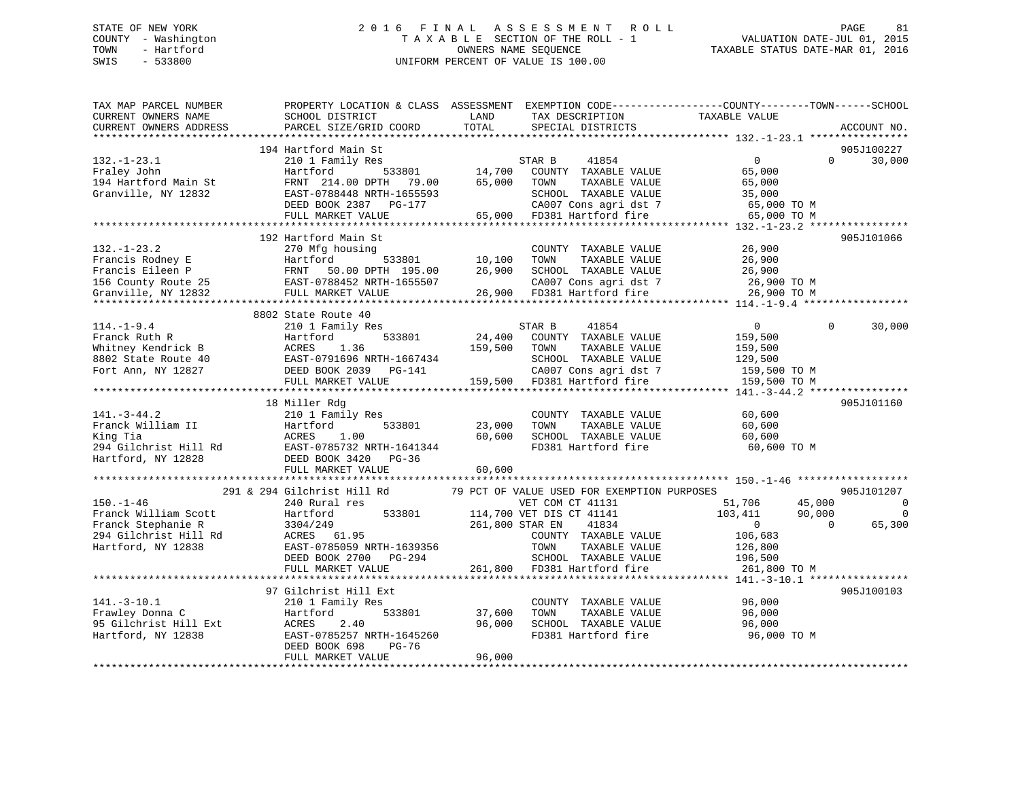## STATE OF NEW YORK 2 0 1 6 F I N A L A S S E S S M E N T R O L L PAGE 81 COUNTY - Washington T A X A B L E SECTION OF THE ROLL - 1 VALUATION DATE-JUL 01, 2015 TOWN - Hartford OWNERS NAME SEQUENCE TAXABLE STATUS DATE-MAR 01, 2016 SWIS - 533800 UNIFORM PERCENT OF VALUE IS 100.00

| TAX MAP PARCEL NUMBER<br>CURRENT OWNERS NAME<br>CURRENT OWNERS ADDRESS                                       | SCHOOL DISTRICT<br>PARCEL SIZE/GRID COORD                                                                                                              | LAND<br>TOTAL              | TAX DESCRIPTION<br>SPECIAL DISTRICTS                                                                                                                                                             | PROPERTY LOCATION & CLASS ASSESSMENT EXEMPTION CODE----------------COUNTY-------TOWN------SCHOOL<br>TAXABLE VALUE | ACCOUNT NO.                                  |
|--------------------------------------------------------------------------------------------------------------|--------------------------------------------------------------------------------------------------------------------------------------------------------|----------------------------|--------------------------------------------------------------------------------------------------------------------------------------------------------------------------------------------------|-------------------------------------------------------------------------------------------------------------------|----------------------------------------------|
| *********************                                                                                        | **************************                                                                                                                             |                            |                                                                                                                                                                                                  |                                                                                                                   |                                              |
| $132. - 1 - 23.1$<br>Fraley John<br>194 Hartford Main St<br>Granville, NY 12832                              | 194 Hartford Main St<br>210 1 Family Res<br>533801<br>Hartford<br>FRNT 214.00 DPTH<br>79.00<br>EAST-0788448 NRTH-1655593<br>DEED BOOK 2387<br>PG-177   | 14,700<br>65,000           | STAR B<br>41854<br>COUNTY TAXABLE VALUE<br>TOWN<br>TAXABLE VALUE<br>SCHOOL TAXABLE VALUE<br>CA007 Cons agri dst 7                                                                                | $\overline{0}$<br>$\Omega$<br>65,000<br>65,000<br>35,000<br>65,000 TO M                                           | 905J100227<br>30,000                         |
|                                                                                                              | FULL MARKET VALUE                                                                                                                                      | 65,000                     | FD381 Hartford fire                                                                                                                                                                              | 65,000 TO M                                                                                                       |                                              |
|                                                                                                              |                                                                                                                                                        |                            |                                                                                                                                                                                                  |                                                                                                                   |                                              |
| $132. - 1 - 23.2$<br>Francis Rodney E<br>Francis Eileen P<br>156 County Route 25<br>Granville, NY 12832      | 192 Hartford Main St<br>270 Mfg housing<br>Hartford<br>533801<br>50.00 DPTH 195.00<br>FRNT<br>EAST-0788452 NRTH-1655507<br>FULL MARKET VALUE           | 10,100<br>26,900           | COUNTY TAXABLE VALUE<br>TOWN<br>TAXABLE VALUE<br>SCHOOL TAXABLE VALUE<br>CA007 Cons agri dst 7<br>26,900 FD381 Hartford fire                                                                     | 26,900<br>26,900<br>26,900<br>26,900 TO M<br>26,900 TO M                                                          | 905J101066                                   |
|                                                                                                              |                                                                                                                                                        |                            |                                                                                                                                                                                                  |                                                                                                                   |                                              |
| $114. - 1 - 9.4$<br>Franck Ruth R<br>Whitney Kendrick B<br>8802 State Route 40                               | 8802 State Route 40<br>210 1 Family Res<br>533801<br>Hartford<br>ACRES<br>1.36<br>EAST-0791696 NRTH-1667434                                            | 24,400<br>159,500          | STAR B<br>41854<br>COUNTY TAXABLE VALUE<br>TOWN<br>TAXABLE VALUE<br>SCHOOL TAXABLE VALUE                                                                                                         | $\mathbf{0}$<br>$\Omega$<br>159,500<br>159,500<br>129,500                                                         | 30,000                                       |
| Fort Ann, NY 12827                                                                                           | DEED BOOK 2039 PG-141<br>FULL MARKET VALUE<br>*********************                                                                                    |                            | CA007 Cons agri dst 7<br>159,500 FD381 Hartford fire                                                                                                                                             | 159,500 TO M<br>159,500 TO M                                                                                      |                                              |
|                                                                                                              | 18 Miller Rdg                                                                                                                                          |                            |                                                                                                                                                                                                  | ********* $141. -3 -44.2$ ****                                                                                    | 905J101160                                   |
| $141. - 3 - 44.2$<br>Franck William II<br>King Tia<br>294 Gilchrist Hill Rd<br>Hartford, NY 12828            | 210 1 Family Res<br>533801<br>Hartford<br>ACRES<br>1.00<br>EAST-0785732 NRTH-1641344<br>DEED BOOK 3420<br>PG-36                                        | 23,000<br>60,600           | COUNTY TAXABLE VALUE<br>TAXABLE VALUE<br>TOWN<br>SCHOOL TAXABLE VALUE<br>FD381 Hartford fire                                                                                                     | 60,600<br>60,600<br>60,600<br>60,600 TO M                                                                         |                                              |
|                                                                                                              | FULL MARKET VALUE                                                                                                                                      | 60,600                     |                                                                                                                                                                                                  |                                                                                                                   |                                              |
|                                                                                                              |                                                                                                                                                        |                            |                                                                                                                                                                                                  |                                                                                                                   |                                              |
| $150. - 1 - 46$<br>Franck William Scott<br>Franck Stephanie R<br>294 Gilchrist Hill Rd<br>Hartford, NY 12838 | 291 & 294 Gilchrist Hill Rd<br>240 Rural res<br>533801<br>Hartford<br>3304/249<br>ACRES 61.95<br>EAST-0785059 NRTH-1639356<br>DEED BOOK 2700<br>PG-294 |                            | 79 PCT OF VALUE USED FOR EXEMPTION PURPOSES<br>VET COM CT 41131<br>114,700 VET DIS CT 41141<br>261,800 STAR EN<br>41834<br>COUNTY TAXABLE VALUE<br>TOWN<br>TAXABLE VALUE<br>SCHOOL TAXABLE VALUE | 45,000<br>51,706<br>103,411<br>90,000<br>$\mathbf{0}$<br>$\Omega$<br>106,683<br>126,800<br>196,500                | 905J101207<br>$\Omega$<br>$\Omega$<br>65,300 |
|                                                                                                              | FULL MARKET VALUE                                                                                                                                      | 261,800                    | FD381 Hartford fire                                                                                                                                                                              | 261,800 TO M                                                                                                      |                                              |
|                                                                                                              | 97 Gilchrist Hill Ext                                                                                                                                  |                            |                                                                                                                                                                                                  |                                                                                                                   | 905J100103                                   |
| $141.-3-10.1$<br>Frawley Donna C<br>95 Gilchrist Hill Ext<br>Hartford, NY 12838                              | 210 1 Family Res<br>533801<br>Hartford<br>2.40<br>ACRES<br>EAST-0785257 NRTH-1645260<br>DEED BOOK 698<br>PG-76<br>FULL MARKET VALUE                    | 37,600<br>96,000<br>96,000 | COUNTY TAXABLE VALUE<br>TOWN<br>TAXABLE VALUE<br>SCHOOL TAXABLE VALUE<br>FD381 Hartford fire                                                                                                     | 96,000<br>96,000<br>96,000<br>96,000 TO M                                                                         |                                              |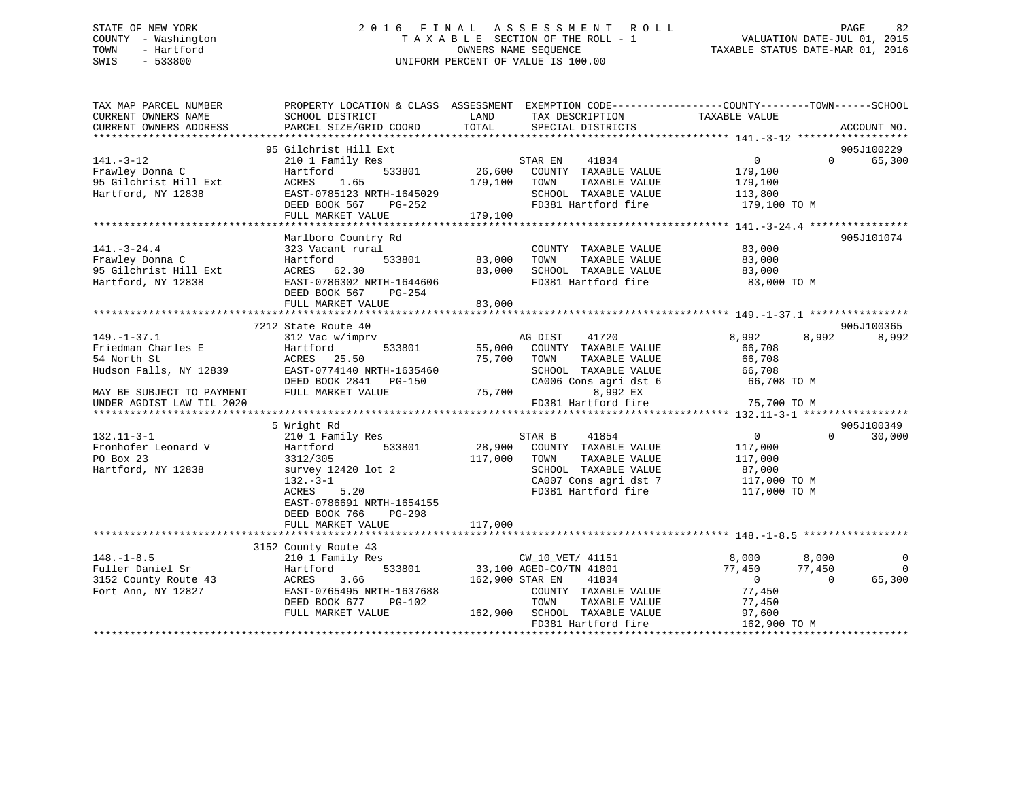## STATE OF NEW YORK 2 0 1 6 F I N A L A S S E S S M E N T R O L L PAGE 82 COUNTY - Washington T A X A B L E SECTION OF THE ROLL - 1 VALUATION DATE-JUL 01, 2015 TOWN - Hartford **TAXABLE STATUS DATE-MAR 01, 2016** OWNERS NAME SEQUENCE TAXABLE STATUS DATE-MAR 01, 2016 SWIS - 533800 UNIFORM PERCENT OF VALUE IS 100.00

| TAX MAP PARCEL NUMBER<br>PROPERTY LOCATION & CLASS ASSESSMENT EXEMPTION CODE----------------COUNTY-------TOWN------SCHOOL<br>TAXABLE VALUE<br>CURRENT OWNERS NAME<br>SCHOOL DISTRICT<br>LAND<br>TAX DESCRIPTION<br>CURRENT OWNERS ADDRESS<br>PARCEL SIZE/GRID COORD<br>TOTAL |                    |
|------------------------------------------------------------------------------------------------------------------------------------------------------------------------------------------------------------------------------------------------------------------------------|--------------------|
| SPECIAL DISTRICTS                                                                                                                                                                                                                                                            | ACCOUNT NO.        |
| 95 Gilchrist Hill Ext                                                                                                                                                                                                                                                        | 905J100229         |
| $141. - 3 - 12$<br>210 1 Family Res<br>STAR EN<br>41834<br>$\overline{0}$                                                                                                                                                                                                    | $\Omega$<br>65,300 |
| 533801<br>26,600 COUNTY TAXABLE VALUE<br>179,100<br>Frawley Donna C<br>Hartford                                                                                                                                                                                              |                    |
| 95 Gilchrist Hill Ext<br>ACRES 1.65<br>179,100 TOWN<br>TAXABLE VALUE<br>179,100                                                                                                                                                                                              |                    |
| Hartford, NY 12838<br>EAST-0785123 NRTH-1645029<br>SCHOOL TAXABLE VALUE<br>113,800                                                                                                                                                                                           |                    |
| FD381 Hartford fire<br>DEED BOOK 567 PG-252<br>179,100 TO M                                                                                                                                                                                                                  |                    |
| 179,100<br>FULL MARKET VALUE                                                                                                                                                                                                                                                 |                    |
|                                                                                                                                                                                                                                                                              |                    |
| Marlboro Country Rd<br>$141. - 3 - 24.4$<br>83,000                                                                                                                                                                                                                           | 905J101074         |
| 323 Vacant rural<br>COUNTY TAXABLE VALUE<br>533801<br>Frawley Donna C<br>83,000<br>TAXABLE VALUE<br>83,000<br>Hartford<br>TOWN                                                                                                                                               |                    |
| 95 Gilchrist Hill Ext<br>ACRES 62.30<br>83,000<br>SCHOOL TAXABLE VALUE<br>83,000                                                                                                                                                                                             |                    |
| FD381 Hartford fire<br>Hartford, NY 12838<br>EAST-0786302 NRTH-1644606<br>83,000 TO M                                                                                                                                                                                        |                    |
| DEED BOOK 567<br>PG-254                                                                                                                                                                                                                                                      |                    |
| FULL MARKET VALUE<br>83,000                                                                                                                                                                                                                                                  |                    |
|                                                                                                                                                                                                                                                                              |                    |
| 7212 State Route 40                                                                                                                                                                                                                                                          | 905J100365         |
| $149. - 1 - 37.1$<br>AG DIST<br>41720<br>8,992<br>312 Vac w/imprv                                                                                                                                                                                                            | 8,992<br>8,992     |
| Friedman Charles E<br>533801<br>66,708<br>Hartford<br>55,000 COUNTY TAXABLE VALUE                                                                                                                                                                                            |                    |
| 54 North St<br>ACRES 25.50<br>75,700<br>66,708<br>TOWN<br>TAXABLE VALUE                                                                                                                                                                                                      |                    |
| Hudson Falls, NY 12839<br>EAST-0774140 NRTH-1635460<br>SCHOOL TAXABLE VALUE<br>66,708                                                                                                                                                                                        |                    |
| CA006 Cons agri dst 6<br>DEED BOOK 2841 PG-150<br>66,708 TO M                                                                                                                                                                                                                |                    |
| 8,992 EX<br>FULL MARKET VALUE<br>$75,700$ FD3<br>MAY BE SUBJECT TO PAYMENT                                                                                                                                                                                                   |                    |
| FD381 Hartford fire<br>UNDER AGDIST LAW TIL 2020<br>75,700 TO M                                                                                                                                                                                                              |                    |
|                                                                                                                                                                                                                                                                              |                    |
| 5 Wright Rd                                                                                                                                                                                                                                                                  | 905J100349         |
| $132.11 - 3 - 1$<br>210 1 Family Res<br>STAR B<br>41854<br>0                                                                                                                                                                                                                 | $\Omega$<br>30,000 |
| Fronhofer Leonard V<br>533801<br>28,900 COUNTY TAXABLE VALUE<br>Hartford<br>117,000<br>PO Box 23<br>117,000 TOWN<br>3312/305<br>TAXABLE VALUE                                                                                                                                |                    |
| 117,000<br>Hartford, NY 12838<br>survey 12420 lot 2<br>SCHOOL TAXABLE VALUE<br>87,000                                                                                                                                                                                        |                    |
| CA007 Cons agri dst 7<br>$132 - 3 - 1$<br>117,000 TO M                                                                                                                                                                                                                       |                    |
| ACRES 5.20<br>FD381 Hartford fire<br>117,000 TO M                                                                                                                                                                                                                            |                    |
| EAST-0786691 NRTH-1654155                                                                                                                                                                                                                                                    |                    |
| DEED BOOK 766<br>PG-298                                                                                                                                                                                                                                                      |                    |
| FULL MARKET VALUE<br>117,000                                                                                                                                                                                                                                                 |                    |
|                                                                                                                                                                                                                                                                              |                    |
| 3152 County Route 43                                                                                                                                                                                                                                                         |                    |
| $148. - 1 - 8.5$<br>8,000<br>210 1 Family Res<br>CW_10_VET/ 41151<br>--- 20/TN 41801                                                                                                                                                                                         | 8,000<br>0         |
| 33,100 AGED-CO/TN 41801<br>Fuller Daniel Sr<br>533801<br>77,450<br>77,450<br>Hartford                                                                                                                                                                                        | $\Omega$           |
| 3152 County Route 43<br>ACRES<br>3.66<br>162,900 STAR EN<br>41834<br>$\overline{0}$                                                                                                                                                                                          | 65,300<br>$\Omega$ |
| Fort Ann, NY 12827<br>EAST-0765495 NRTH-1637688<br>COUNTY TAXABLE VALUE<br>77,450                                                                                                                                                                                            |                    |
| DEED BOOK 677<br>PG-102<br>TOWN<br>TAXABLE VALUE<br>77,450                                                                                                                                                                                                                   |                    |
| 162,900 SCHOOL TAXABLE VALUE<br>FULL MARKET VALUE<br>97,600                                                                                                                                                                                                                  |                    |
| FD381 Hartford fire<br>162,900 TO M                                                                                                                                                                                                                                          |                    |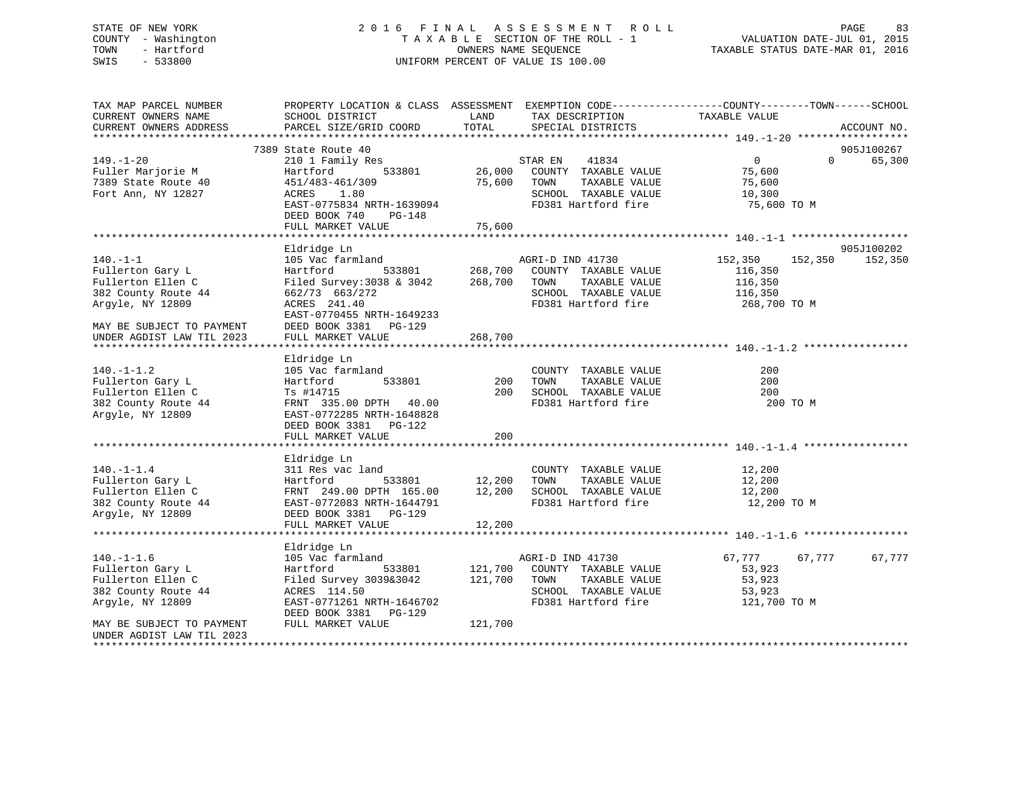## STATE OF NEW YORK 2 0 1 6 F I N A L A S S E S S M E N T R O L L PAGE 83 COUNTY - Washington T A X A B L E SECTION OF THE ROLL - 1 VALUATION DATE-JUL 01, 2015 TOWN - Hartford OWNERS NAME SEQUENCE TAXABLE STATUS DATE-MAR 01, 2016 SWIS - 533800 UNIFORM PERCENT OF VALUE IS 100.00

| TAX MAP PARCEL NUMBER     |                               |         | PROPERTY LOCATION & CLASS ASSESSMENT EXEMPTION CODE----------------COUNTY-------TOWN------SCHOOL |                    |                    |
|---------------------------|-------------------------------|---------|--------------------------------------------------------------------------------------------------|--------------------|--------------------|
| CURRENT OWNERS NAME       | SCHOOL DISTRICT               | LAND    | TAX DESCRIPTION                                                                                  | TAXABLE VALUE      |                    |
| CURRENT OWNERS ADDRESS    | PARCEL SIZE/GRID COORD        | TOTAL   | SPECIAL DISTRICTS                                                                                |                    | ACCOUNT NO.        |
|                           | 7389 State Route 40           |         |                                                                                                  |                    | 905J100267         |
| $149. - 1 - 20$           | 210 1 Family Res              |         | 41834<br>STAR EN                                                                                 | 0                  | $\Omega$<br>65,300 |
| Fuller Marjorie M         | 533801<br>Hartford            |         | 26,000 COUNTY TAXABLE VALUE                                                                      | 75,600             |                    |
| 7389 State Route 40       | 451/483-461/309               | 75,600  | TOWN<br>TAXABLE VALUE                                                                            | 75,600             |                    |
| Fort Ann, NY 12827        | 1.80<br>ACRES                 |         | SCHOOL TAXABLE VALUE                                                                             | 10,300             |                    |
|                           | EAST-0775834 NRTH-1639094     |         | FD381 Hartford fire                                                                              | 75,600 TO M        |                    |
|                           | DEED BOOK 740<br>PG-148       |         |                                                                                                  |                    |                    |
|                           | FULL MARKET VALUE             | 75,600  |                                                                                                  |                    |                    |
|                           |                               |         |                                                                                                  |                    |                    |
|                           | Eldridge Ln                   |         |                                                                                                  |                    | 905J100202         |
| $140. - 1 - 1$            | 105 Vac farmland              |         | AGRI-D IND 41730                                                                                 | 152,350<br>152,350 | 152,350            |
| Fullerton Gary L          | 533801<br>Hartford            | 268,700 | COUNTY TAXABLE VALUE                                                                             | 116,350            |                    |
| Fullerton Ellen C         | Filed Survey: $3038$ & $3042$ | 268,700 | TOWN<br>TAXABLE VALUE                                                                            | 116,350            |                    |
| 382 County Route 44       | 662/73 663/272                |         | SCHOOL TAXABLE VALUE                                                                             | 116,350            |                    |
| Argyle, NY 12809          | ACRES 241.40                  |         | FD381 Hartford fire                                                                              | 268,700 TO M       |                    |
|                           | EAST-0770455 NRTH-1649233     |         |                                                                                                  |                    |                    |
| MAY BE SUBJECT TO PAYMENT | DEED BOOK 3381 PG-129         | 268,700 |                                                                                                  |                    |                    |
| UNDER AGDIST LAW TIL 2023 | FULL MARKET VALUE             |         |                                                                                                  |                    |                    |
|                           | Eldridge Ln                   |         |                                                                                                  |                    |                    |
| $140. - 1 - 1.2$          | 105 Vac farmland              |         | COUNTY TAXABLE VALUE                                                                             | 200                |                    |
| Fullerton Gary L          | 533801<br>Hartford            | 200     | TAXABLE VALUE<br>TOWN                                                                            | 200                |                    |
| Fullerton Ellen C         | Ts #14715                     | 200     | SCHOOL TAXABLE VALUE                                                                             | 200                |                    |
| 382 County Route 44       | FRNT 335.00 DPTH 40.00        |         | FD381 Hartford fire                                                                              | 200 TO M           |                    |
| Argyle, NY 12809          | EAST-0772285 NRTH-1648828     |         |                                                                                                  |                    |                    |
|                           | DEED BOOK 3381 PG-122         |         |                                                                                                  |                    |                    |
|                           | FULL MARKET VALUE             | 200     |                                                                                                  |                    |                    |
|                           |                               |         |                                                                                                  |                    |                    |
|                           | Eldridge Ln                   |         |                                                                                                  |                    |                    |
| $140. - 1 - 1.4$          | 311 Res vac land              |         | COUNTY TAXABLE VALUE                                                                             | 12,200             |                    |
| Fullerton Gary L          | Hartford<br>533801            | 12,200  | TAXABLE VALUE<br>TOWN                                                                            | 12,200             |                    |
| Fullerton Ellen C         | FRNT 249.00 DPTH 165.00       | 12,200  | SCHOOL TAXABLE VALUE                                                                             | 12,200             |                    |
| 382 County Route 44       | EAST-0772083 NRTH-1644791     |         | FD381 Hartford fire                                                                              | 12,200 TO M        |                    |
| Argyle, NY 12809          | DEED BOOK 3381 PG-129         |         |                                                                                                  |                    |                    |
|                           | FULL MARKET VALUE             | 12,200  |                                                                                                  |                    |                    |
|                           | Eldridge Ln                   |         |                                                                                                  |                    |                    |
| $140. - 1 - 1.6$          | 105 Vac farmland              |         | AGRI-D IND 41730                                                                                 | 67,777<br>67,777   | 67,777             |
| Fullerton Gary L          | 533801<br>Hartford            | 121,700 | COUNTY TAXABLE VALUE                                                                             | 53,923             |                    |
| Fullerton Ellen C         | Filed Survey 3039&3042        | 121,700 | TOWN<br>TAXABLE VALUE                                                                            | 53,923             |                    |
| 382 County Route 44       | ACRES 114.50                  |         | SCHOOL TAXABLE VALUE                                                                             | 53,923             |                    |
| Argyle, NY 12809          | EAST-0771261 NRTH-1646702     |         | FD381 Hartford fire                                                                              | 121,700 TO M       |                    |
|                           | DEED BOOK 3381<br>PG-129      |         |                                                                                                  |                    |                    |
| MAY BE SUBJECT TO PAYMENT | FULL MARKET VALUE             | 121,700 |                                                                                                  |                    |                    |
| UNDER AGDIST LAW TIL 2023 |                               |         |                                                                                                  |                    |                    |
|                           |                               |         |                                                                                                  |                    |                    |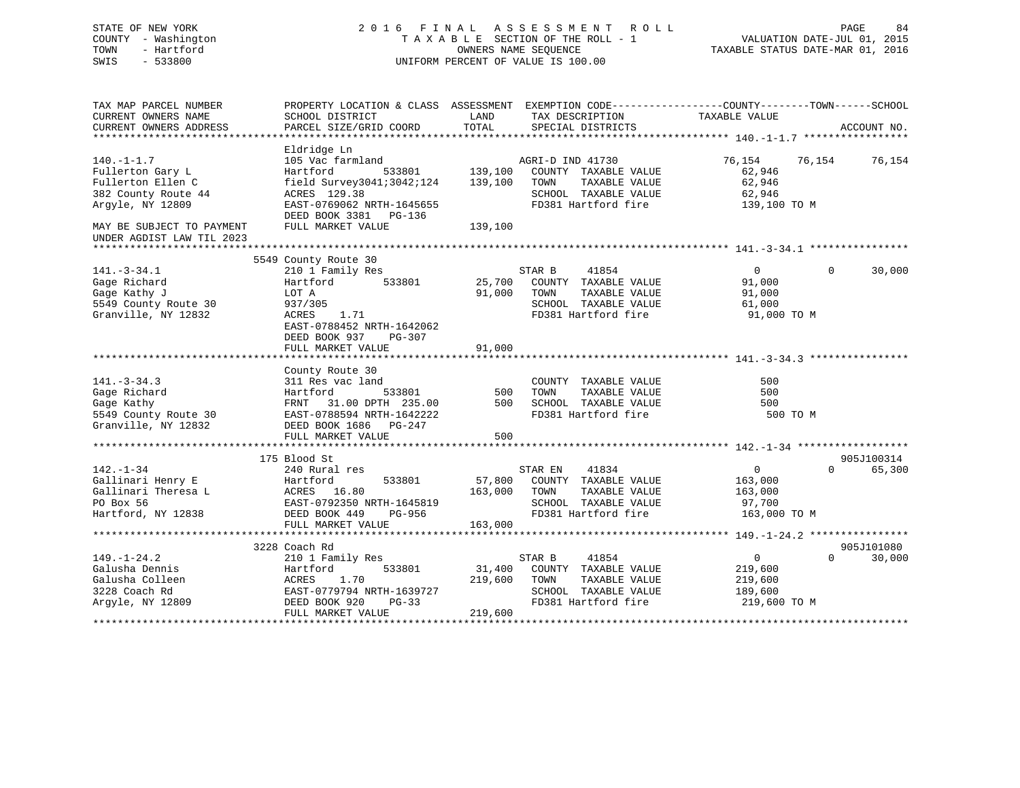| STATE OF NEW YORK<br>COUNTY - Washington<br>TOWN<br>- Hartford<br>SWIS<br>$-533800$ | 2016 FINAL ASSESSMENT ROLL<br>TAXABLE SECTION OF THE ROLL - 1<br>OWNERS NAME SEOUENCE<br>UNIFORM PERCENT OF VALUE IS 100.00 |         |                  |                                      | VALUATION DATE-JUL 01, 2015<br>TAXABLE STATUS DATE-MAR 01, 2016 | PAGE     | 84          |
|-------------------------------------------------------------------------------------|-----------------------------------------------------------------------------------------------------------------------------|---------|------------------|--------------------------------------|-----------------------------------------------------------------|----------|-------------|
| TAX MAP PARCEL NUMBER<br>CURRENT OWNERS NAME                                        | PROPERTY LOCATION & CLASS ASSESSMENT EXEMPTION CODE----------------COUNTY-------TOWN------SCHOOL                            | LAND    |                  |                                      | TAXABLE VALUE                                                   |          |             |
| CURRENT OWNERS ADDRESS                                                              | SCHOOL DISTRICT<br>PARCEL SIZE/GRID COORD                                                                                   | TOTAL   |                  | TAX DESCRIPTION<br>SPECIAL DISTRICTS |                                                                 |          | ACCOUNT NO. |
|                                                                                     |                                                                                                                             |         |                  |                                      |                                                                 |          |             |
|                                                                                     | Eldridge Ln                                                                                                                 |         |                  |                                      |                                                                 |          |             |
| $140. - 1 - 1.7$                                                                    | 105 Vac farmland                                                                                                            |         | AGRI-D IND 41730 |                                      | 76,154                                                          | 76,154   | 76,154      |
| Fullerton Gary L                                                                    | Hartford<br>533801                                                                                                          | 139,100 |                  | COUNTY TAXABLE VALUE                 | 62,946                                                          |          |             |
| Fullerton Ellen C                                                                   | field Survey3041;3042;124                                                                                                   | 139,100 | TOWN             | TAXABLE VALUE                        | 62,946                                                          |          |             |
| 382 County Route 44                                                                 | ACRES 129.38                                                                                                                |         |                  | SCHOOL TAXABLE VALUE                 | 62,946                                                          |          |             |
| Argyle, NY 12809                                                                    | EAST-0769062 NRTH-1645655<br>DEED BOOK 3381 PG-136                                                                          |         |                  | FD381 Hartford fire                  | 139,100 TO M                                                    |          |             |
| MAY BE SUBJECT TO PAYMENT                                                           | FULL MARKET VALUE                                                                                                           | 139,100 |                  |                                      |                                                                 |          |             |
| UNDER AGDIST LAW TIL 2023                                                           |                                                                                                                             |         |                  |                                      |                                                                 |          |             |
|                                                                                     | 5549 County Route 30                                                                                                        |         |                  |                                      |                                                                 |          |             |
| $141. - 3 - 34.1$                                                                   | 210 1 Family Res                                                                                                            |         | STAR B           | 41854                                | $\mathbf{0}$                                                    | $\Omega$ | 30,000      |
| Gage Richard                                                                        | 533801<br>Hartford                                                                                                          | 25,700  |                  | COUNTY TAXABLE VALUE                 | 91,000                                                          |          |             |
| Gage Kathy J                                                                        | LOT A                                                                                                                       | 91,000  | TOWN             | TAXABLE VALUE                        | 91,000                                                          |          |             |
| 5549 County Route 30                                                                | 937/305                                                                                                                     |         |                  | SCHOOL TAXABLE VALUE                 | 61,000                                                          |          |             |
| Granville, NY 12832                                                                 | ACRES<br>1.71                                                                                                               |         |                  | FD381 Hartford fire                  | 91,000 TO M                                                     |          |             |
|                                                                                     | EAST-0788452 NRTH-1642062                                                                                                   |         |                  |                                      |                                                                 |          |             |
|                                                                                     | DEED BOOK 937<br>PG-307                                                                                                     | 91,000  |                  |                                      |                                                                 |          |             |
|                                                                                     | FULL MARKET VALUE                                                                                                           |         |                  |                                      |                                                                 |          |             |
|                                                                                     | County Route 30                                                                                                             |         |                  |                                      |                                                                 |          |             |
| $141. - 3 - 34.3$                                                                   | 311 Res vac land                                                                                                            |         |                  | COUNTY TAXABLE VALUE                 | 500                                                             |          |             |
| Gage Richard                                                                        | 533801<br>Hartford                                                                                                          | 500     | TOWN             | TAXABLE VALUE                        | 500                                                             |          |             |
| Gage Kathy                                                                          | FRNT 31.00 DPTH 235.00                                                                                                      | 500     |                  | SCHOOL TAXABLE VALUE                 | 500                                                             |          |             |
| 5549 County Route 30                                                                | EAST-0788594 NRTH-1642222                                                                                                   |         |                  | FD381 Hartford fire                  | 500 TO M                                                        |          |             |
| Granville, NY 12832                                                                 | DEED BOOK 1686 PG-247                                                                                                       |         |                  |                                      |                                                                 |          |             |
|                                                                                     | FULL MARKET VALUE                                                                                                           | 500     |                  |                                      |                                                                 |          |             |
|                                                                                     | 175 Blood St                                                                                                                |         |                  |                                      |                                                                 |          | 905J100314  |
| $142. - 1 - 34$                                                                     | 240 Rural res                                                                                                               |         | STAR EN          | 41834                                | $\mathbf 0$                                                     | $\Omega$ | 65,300      |
| Gallinari Henry E                                                                   | Hartford<br>533801                                                                                                          | 57,800  |                  | COUNTY TAXABLE VALUE                 | 163,000                                                         |          |             |
| Gallinari Theresa L                                                                 | ACRES 16.80                                                                                                                 | 163,000 | TOWN             | TAXABLE VALUE                        | 163,000                                                         |          |             |
| PO Box 56                                                                           | EAST-0792350 NRTH-1645819                                                                                                   |         |                  | SCHOOL TAXABLE VALUE                 | 97,700                                                          |          |             |
| Hartford, NY 12838                                                                  | DEED BOOK 449<br>PG-956                                                                                                     |         |                  | FD381 Hartford fire                  | 163,000 TO M                                                    |          |             |
|                                                                                     | FULL MARKET VALUE                                                                                                           | 163,000 |                  |                                      |                                                                 |          |             |
|                                                                                     |                                                                                                                             |         |                  |                                      |                                                                 |          |             |
|                                                                                     | 3228 Coach Rd                                                                                                               |         |                  |                                      |                                                                 |          | 905J101080  |
| $149. - 1 - 24.2$<br>Galusha Dennis                                                 | 210 1 Family Res<br>533801<br>Hartford                                                                                      | 31,400  | STAR B           | 41854<br>COUNTY TAXABLE VALUE        | $\overline{0}$<br>219,600                                       | $\Omega$ | 30,000      |
| Galusha Colleen                                                                     | ACRES<br>1.70                                                                                                               | 219,600 | TOWN             | TAXABLE VALUE                        | 219,600                                                         |          |             |
| 3228 Coach Rd                                                                       | EAST-0779794 NRTH-1639727                                                                                                   |         |                  | SCHOOL TAXABLE VALUE                 | 189,600                                                         |          |             |
| Argyle, NY 12809                                                                    | DEED BOOK 920<br>$PG-33$                                                                                                    |         |                  | FD381 Hartford fire                  | 219,600 TO M                                                    |          |             |
|                                                                                     | FULL MARKET VALUE                                                                                                           | 219,600 |                  |                                      |                                                                 |          |             |
|                                                                                     |                                                                                                                             |         |                  |                                      |                                                                 |          |             |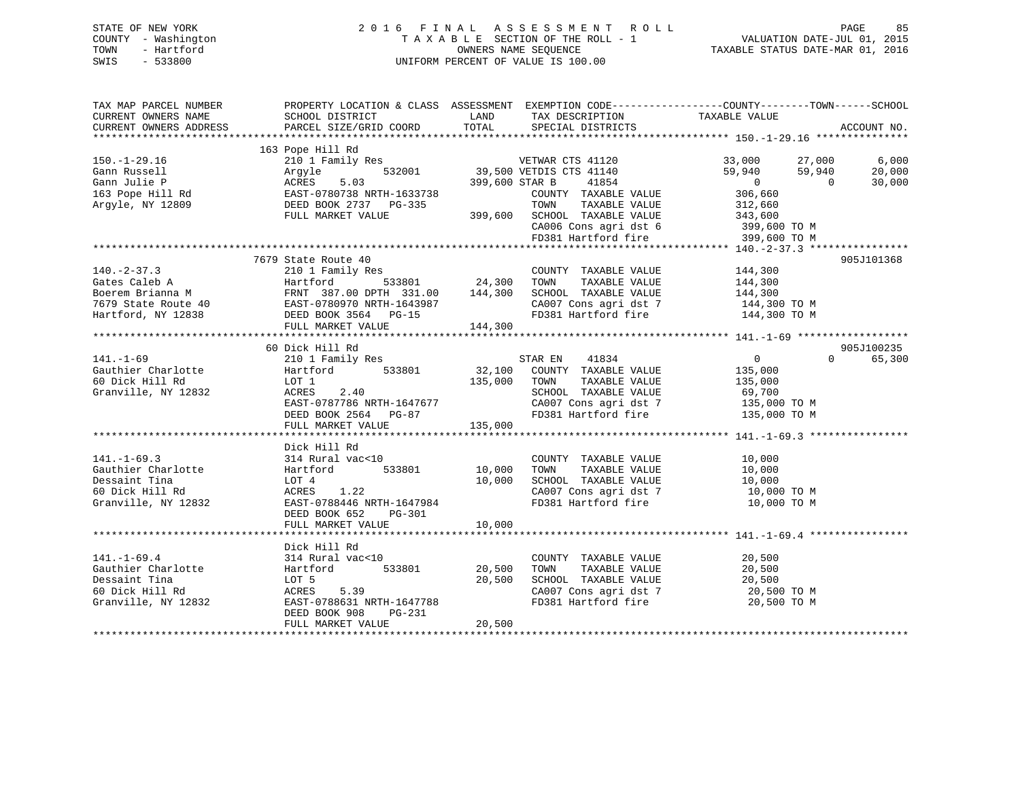|      | STATE OF NEW YORK   | 2016 FINAL ASSESSMENT ROLL           | PAGE                             | 85 |
|------|---------------------|--------------------------------------|----------------------------------|----|
|      | COUNTY - Washington | TAXABLE SECTION OF THE ROLL - 1      | VALUATION DATE-JUL 01, 2015      |    |
| TOWN | - Hartford          | OWNERS NAME SEOUENCE                 | TAXABLE STATUS DATE-MAR 01, 2016 |    |
| CUTC | EDDOOO              | LINIEODM DEDOEME OF 1731IE IC 100 00 |                                  |    |

# COUNTY - Washington T A X A B L E SECTION OF THE ROLL - 1 VALUATION DATE-JUL 01, 2015 SWIS - 533800 UNIFORM PERCENT OF VALUE IS 100.00

| TAX MAP PARCEL NUMBER  | PROPERTY LOCATION & CLASS ASSESSMENT EXEMPTION CODE----------------COUNTY-------TOWN------SCHOOL                                                                                                |         |                                |                                    |                    |
|------------------------|-------------------------------------------------------------------------------------------------------------------------------------------------------------------------------------------------|---------|--------------------------------|------------------------------------|--------------------|
| CURRENT OWNERS NAME    | SCHOOL DISTRICT                                                                                                                                                                                 | LAND    | TAX DESCRIPTION TAXABLE VALUE  |                                    |                    |
| CURRENT OWNERS ADDRESS | PARCEL SIZE/GRID COORD                                                                                                                                                                          | TOTAL   | SPECIAL DISTRICTS              |                                    | ACCOUNT NO.        |
|                        |                                                                                                                                                                                                 |         |                                |                                    |                    |
|                        | 163 Pope Hill Rd                                                                                                                                                                                |         |                                |                                    |                    |
| $150.-1-29.16$         | 210 1 Family Res                                                                                                                                                                                |         |                                |                                    |                    |
| Gann Russell           | 532001<br>Argyle                                                                                                                                                                                |         |                                | $59,940$ $59,940$ 0                | 20,000             |
|                        |                                                                                                                                                                                                 |         | 41854<br>399,600 STAR B        |                                    | 30,000             |
|                        |                                                                                                                                                                                                 |         | COUNTY TAXABLE VALUE           | 306,660<br>312,660                 |                    |
|                        |                                                                                                                                                                                                 |         | TOWN<br>TAXABLE VALUE          |                                    |                    |
|                        | FULL MARKET VALUE                                                                                                                                                                               |         | $399,600$ SCHOOL TAXABLE VALUE | 343,600<br>399,600 TO M            |                    |
|                        |                                                                                                                                                                                                 |         | CA006 Cons agri dst 6          |                                    |                    |
|                        |                                                                                                                                                                                                 |         | FD381 Hartford fire            | 399,600 TO M                       |                    |
|                        |                                                                                                                                                                                                 |         |                                |                                    |                    |
|                        | 7679 State Route 40                                                                                                                                                                             |         |                                |                                    | 905J101368         |
| $140. -2 - 37.3$       | 210 1 Family Res                                                                                                                                                                                |         | COUNTY TAXABLE VALUE           | 144,300                            |                    |
|                        | 140.1821.19<br>Gates Caleb A (Battle Franch 1987.00 DPTH 331.00 144,300<br>Boerem Brianna M (BAST-0780970 NRTH-1643987<br>Tartford, NY 12838 (DEED BOOK 3564 PG-15<br>FULL MARKET VALUE 144,300 |         | TAXABLE VALUE<br>TOWN          | 144,300                            |                    |
|                        |                                                                                                                                                                                                 |         | SCHOOL TAXABLE VALUE           | 144,300                            |                    |
|                        |                                                                                                                                                                                                 |         |                                | CA007 Cons agri dst 7 144,300 TO M |                    |
|                        |                                                                                                                                                                                                 |         | FD381 Hartford fire            | 144,300 TO M                       |                    |
|                        | FULL MARKET VALUE                                                                                                                                                                               | 144,300 |                                |                                    |                    |
|                        |                                                                                                                                                                                                 |         |                                |                                    |                    |
|                        | 60 Dick Hill Rd                                                                                                                                                                                 |         |                                |                                    | 905J100235         |
| $141. - 1 - 69$        | 210 1 Family Res                                                                                                                                                                                |         | STAR EN 41834                  | $\overline{0}$                     | $\Omega$<br>65,300 |
| Gauthier Charlotte     | $Hartford$ 533801                                                                                                                                                                               | 32,100  | COUNTY TAXABLE VALUE           | 135,000                            |                    |
| 60 Dick Hill Rd        | LOT 1                                                                                                                                                                                           | 135,000 | TOWN<br>TAXABLE VALUE          | 135,000                            |                    |
| Granville, NY 12832    | ACRES 2.40                                                                                                                                                                                      |         | SCHOOL TAXABLE VALUE           | 69,700                             |                    |
|                        | EAST-0787786 NRTH-1647677                                                                                                                                                                       |         |                                | CA007 Cons agri dst 7 135,000 TO M |                    |
|                        | DEED BOOK 2564 PG-87                                                                                                                                                                            |         | FD381 Hartford fire            | 135,000 TO M                       |                    |
|                        | FULL MARKET VALUE                                                                                                                                                                               | 135,000 |                                |                                    |                    |
|                        |                                                                                                                                                                                                 |         |                                |                                    |                    |
|                        | Dick Hill Rd                                                                                                                                                                                    |         |                                |                                    |                    |
| $141. - 1 - 69.3$      | 314 Rural vac<10                                                                                                                                                                                |         | COUNTY TAXABLE VALUE           | 10,000                             |                    |
| Gauthier Charlotte     | 533801<br>Hartford                                                                                                                                                                              | 10,000  | TAXABLE VALUE<br>TOWN          | 10,000                             |                    |
| Dessaint Tina          | LOT 4                                                                                                                                                                                           | 10,000  | SCHOOL TAXABLE VALUE           | 10,000                             |                    |
| 60 Dick Hill Rd        | ACRES 1.22                                                                                                                                                                                      |         | CA007 Cons agri dst 7          | 10,000 TO M                        |                    |
| Granville, NY 12832    | EAST-0788446 NRTH-1647984                                                                                                                                                                       |         | FD381 Hartford fire            | 10,000 TO M                        |                    |
|                        | PG-301<br>DEED BOOK 652                                                                                                                                                                         |         |                                |                                    |                    |
|                        | FULL MARKET VALUE                                                                                                                                                                               | 10,000  |                                |                                    |                    |
|                        |                                                                                                                                                                                                 |         |                                |                                    |                    |
|                        | Dick Hill Rd                                                                                                                                                                                    |         |                                |                                    |                    |
| $141. - 1 - 69.4$      | 314 Rural vac<10                                                                                                                                                                                |         | COUNTY TAXABLE VALUE           | 20,500                             |                    |
| Gauthier Charlotte     | 533801<br>Hartford                                                                                                                                                                              | 20,500  | TAXABLE VALUE<br>TOWN          | 20,500                             |                    |
| Dessaint Tina          | LOT 5                                                                                                                                                                                           | 20,500  | SCHOOL TAXABLE VALUE           | 20,500                             |                    |
| 60 Dick Hill Rd        | ACRES<br>5.39                                                                                                                                                                                   |         | CA007 Cons agri dst 7          | 20,500 TO M                        |                    |
| Granville, NY 12832    | EAST-0788631 NRTH-1647788                                                                                                                                                                       |         | FD381 Hartford fire            | 20,500 TO M                        |                    |
|                        | DEED BOOK 908<br>PG-231                                                                                                                                                                         |         |                                |                                    |                    |
|                        | FULL MARKET VALUE                                                                                                                                                                               | 20,500  |                                |                                    |                    |
|                        |                                                                                                                                                                                                 |         |                                |                                    |                    |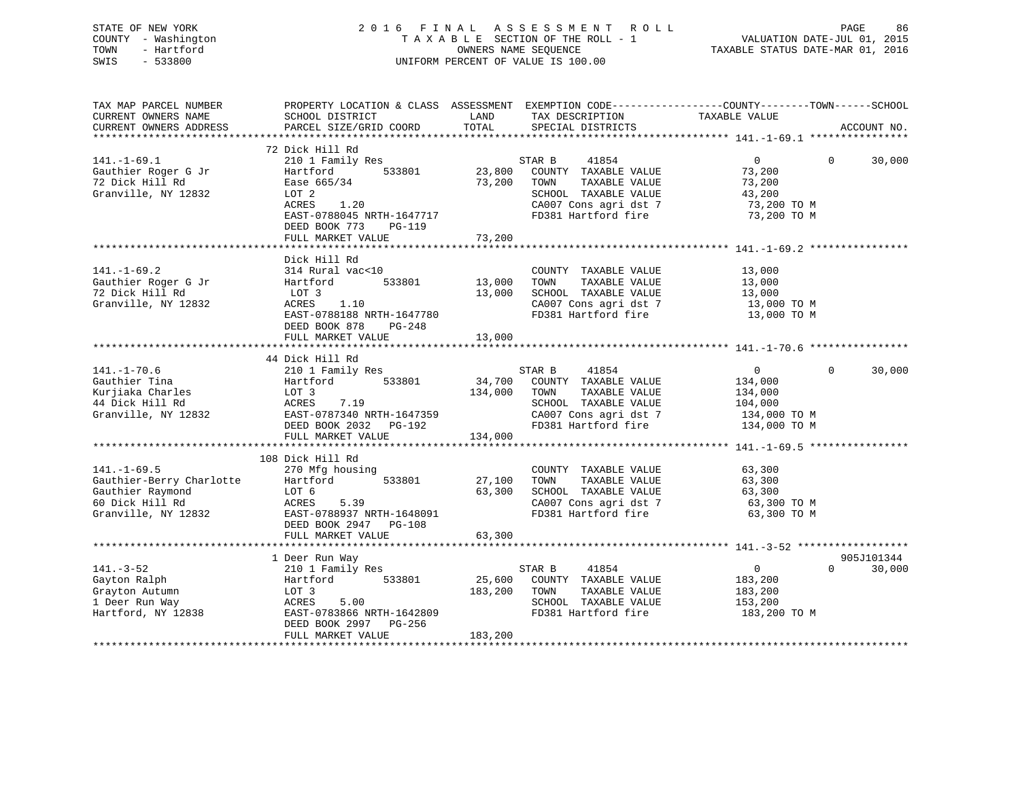|      | STATE OF NEW YORK   | 2016 FINAL ASSESSMENT ROLL                                     | PAGE | - 86 |
|------|---------------------|----------------------------------------------------------------|------|------|
|      | COUNTY - Washington | VALUATION DATE-JUL 01, 2015<br>TAXABLE SECTION OF THE ROLL - 1 |      |      |
| TOWN | - Hartford          | TAXABLE STATUS DATE-MAR 01, 2016<br>OWNERS NAME SEOUENCE       |      |      |
| SWIS | $-533800$           | UNIFORM PERCENT OF VALUE IS 100.00                             |      |      |
|      |                     |                                                                |      |      |
|      |                     |                                                                |      |      |

TAX MAP PARCEL NUMBER PROPERTY LOCATION & CLASS ASSESSMENT EXEMPTION CODE------------------COUNTY--------TOWN------SCHOOL

| CURRENT OWNERS NAME      | SCHOOL DISTRICT           | LAND    | TAX DESCRIPTION              | TAXABLE VALUE                  |                    |
|--------------------------|---------------------------|---------|------------------------------|--------------------------------|--------------------|
| CURRENT OWNERS ADDRESS   | PARCEL SIZE/GRID COORD    | TOTAL   | SPECIAL DISTRICTS            |                                | ACCOUNT NO.        |
|                          |                           |         |                              |                                |                    |
|                          | 72 Dick Hill Rd           |         |                              |                                |                    |
| $141. - 1 - 69.1$        | 210 1 Family Res          |         | STAR B<br>41854              | $\overline{0}$                 | $\Omega$<br>30,000 |
| Gauthier Roger G Jr      | 533801<br>Hartford        |         | 23,800 COUNTY TAXABLE VALUE  | 73,200                         |                    |
| 72 Dick Hill Rd          | Ease 665/34               |         | 73,200 TOWN<br>TAXABLE VALUE | 73,200                         |                    |
| Granville, NY 12832      | LOT 2                     |         | SCHOOL TAXABLE VALUE         | 43,200                         |                    |
|                          | ACRES<br>1.20             |         | CA007 Cons agri dst 7        | 73,200 TO M                    |                    |
|                          | EAST-0788045 NRTH-1647717 |         | FD381 Hartford fire          | 73,200 TO M                    |                    |
|                          | DEED BOOK 773<br>PG-119   |         |                              |                                |                    |
|                          | FULL MARKET VALUE         | 73,200  |                              |                                |                    |
|                          |                           |         |                              |                                |                    |
|                          | Dick Hill Rd              |         |                              |                                |                    |
| $141. - 1 - 69.2$        | 314 Rural vac<10          |         | COUNTY TAXABLE VALUE         | 13,000                         |                    |
| Gauthier Roger G Jr      | 533801<br>Hartford        | 13,000  | TOWN<br>TAXABLE VALUE        | 13,000                         |                    |
| 72 Dick Hill Rd          | LOT 3                     | 13,000  | SCHOOL TAXABLE VALUE         | 13,000                         |                    |
| Granville, NY 12832      | ACRES<br>1.10             |         | CA007 Cons agri dst 7        | $13,000$ TO M<br>$13,000$ TO M |                    |
|                          | EAST-0788188 NRTH-1647780 |         | FD381 Hartford fire          | 13,000 TO M                    |                    |
|                          | DEED BOOK 878<br>PG-248   |         |                              |                                |                    |
|                          | FULL MARKET VALUE         | 13,000  |                              |                                |                    |
|                          |                           |         |                              |                                |                    |
|                          | 44 Dick Hill Rd           |         |                              |                                |                    |
| $141. - 1 - 70.6$        | 210 1 Family Res          |         | 41854<br>STAR B              | $\overline{0}$                 | $\Omega$<br>30,000 |
| Gauthier Tina            | Hartford<br>533801        | 34,700  | COUNTY TAXABLE VALUE         | 134,000                        |                    |
| Kurjiaka Charles         | LOT 3                     | 134,000 | TOWN<br>TAXABLE VALUE        | 134,000                        |                    |
| 44 Dick Hill Rd          | ACRES<br>7.19             |         | SCHOOL TAXABLE VALUE         | 104,000                        |                    |
| Granville, NY 12832      | EAST-0787340 NRTH-1647359 |         | CA007 Cons agri dst 7        |                                |                    |
|                          |                           |         |                              | 134,000 TO M                   |                    |
|                          | DEED BOOK 2032 PG-192     |         | FD381 Hartford fire          | 134,000 TO M                   |                    |
|                          | FULL MARKET VALUE         | 134,000 |                              |                                |                    |
|                          |                           |         |                              |                                |                    |
|                          | 108 Dick Hill Rd          |         |                              |                                |                    |
| $141. - 1 - 69.5$        | 270 Mfg housing           |         | COUNTY TAXABLE VALUE         | 63,300                         |                    |
| Gauthier-Berry Charlotte | Hartford 533801           | 27,100  | TAXABLE VALUE<br>TOWN        | 63,300                         |                    |
| Gauthier Raymond         | LOT 6                     | 63,300  | SCHOOL TAXABLE VALUE         | 63,300                         |                    |
| 60 Dick Hill Rd          | ACRES<br>5.39             |         | CA007 Cons agri dst 7        | 63,300 TO M                    |                    |
| Granville, NY 12832      | EAST-0788937 NRTH-1648091 |         | FD381 Hartford fire          | 63,300 TO M                    |                    |
|                          | DEED BOOK 2947 PG-108     |         |                              |                                |                    |
|                          | FULL MARKET VALUE         | 63,300  |                              |                                |                    |
|                          |                           |         |                              |                                |                    |
|                          | 1 Deer Run Way            |         |                              |                                | 905J101344         |
| $141. - 3 - 52$          | 210 1 Family Res          |         | 41854<br>STAR B              | $\overline{0}$                 | 30,000<br>$\Omega$ |
| Gayton Ralph             | 533801<br>Hartford        | 25,600  | COUNTY TAXABLE VALUE         | 183,200                        |                    |
| Grayton Autumn           | LOT 3                     | 183,200 | TOWN<br>TAXABLE VALUE        | 183,200                        |                    |
| 1 Deer Run Way           | ACRES<br>5.00             |         | SCHOOL TAXABLE VALUE         | 153,200                        |                    |
| Hartford, NY 12838       | EAST-0783866 NRTH-1642809 |         | FD381 Hartford fire          | 183,200 TO M                   |                    |
|                          | DEED BOOK 2997 PG-256     |         |                              |                                |                    |
|                          | FULL MARKET VALUE         | 183,200 |                              |                                |                    |
|                          |                           |         |                              |                                |                    |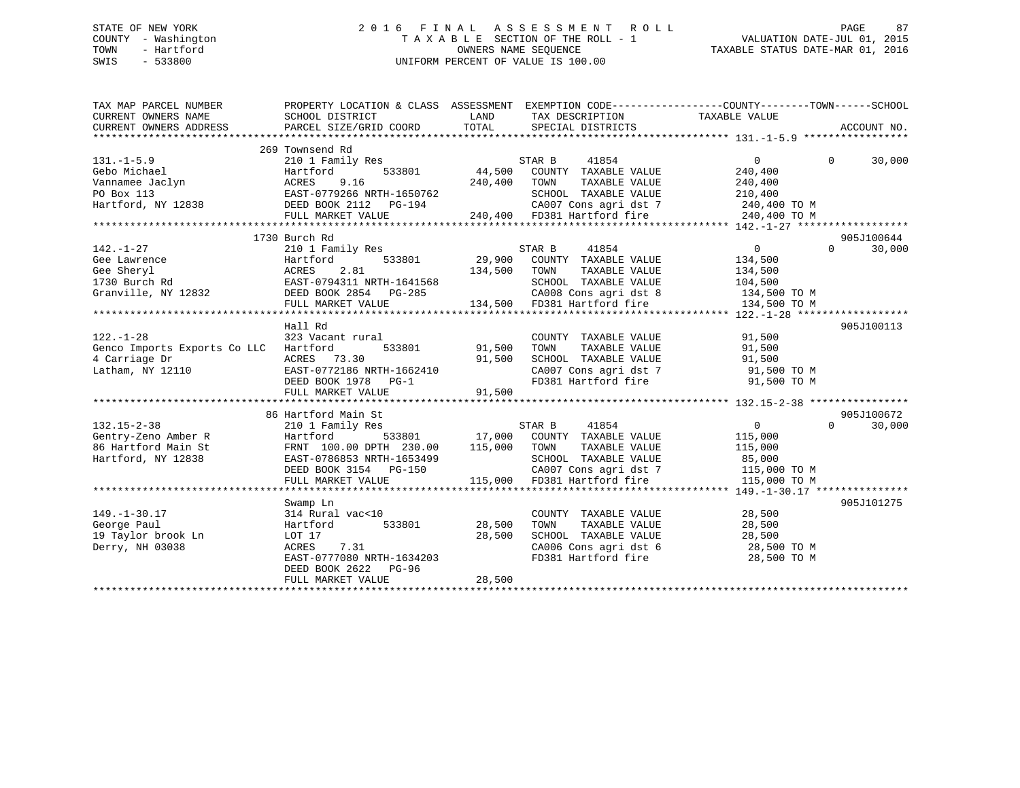## STATE OF NEW YORK 2 0 1 6 F I N A L A S S E S S M E N T R O L L PAGE 87 COUNTY - Washington T A X A B L E SECTION OF THE ROLL - 1 VALUATION DATE-JUL 01, 2015 TOWN - Hartford **TAXABLE STATUS DATE-MAR 01, 2016** OWNERS NAME SEQUENCE TAXABLE STATUS DATE-MAR 01, 2016 SWIS - 533800 UNIFORM PERCENT OF VALUE IS 100.00

| TAX MAP PARCEL NUMBER<br>CURRENT OWNERS NAME<br>CURRENT OWNERS ADDRESS                                                                                                                                        | PROPERTY LOCATION & CLASS ASSESSMENT EXEMPTION CODE----------------COUNTY-------TOWN------SCHOOL<br>SCHOOL DISTRICT<br>PARCEL SIZE/GRID COORD TOTAL | LAND                 | TAX DESCRIPTION TAXABLE VALUE<br>SPECIAL DISTRICTS  |                | ACCOUNT NO.        |
|---------------------------------------------------------------------------------------------------------------------------------------------------------------------------------------------------------------|-----------------------------------------------------------------------------------------------------------------------------------------------------|----------------------|-----------------------------------------------------|----------------|--------------------|
|                                                                                                                                                                                                               |                                                                                                                                                     |                      |                                                     |                |                    |
|                                                                                                                                                                                                               | 269 Townsend Rd                                                                                                                                     |                      |                                                     |                |                    |
| $131. - 1 - 5.9$                                                                                                                                                                                              | 210 1 Family Res                                                                                                                                    |                      | STAR B<br>41854                                     | $\Omega$       | $\Omega$<br>30,000 |
| Gebo Michael                                                                                                                                                                                                  |                                                                                                                                                     |                      | 533801 44,500 COUNTY TAXABLE VALUE                  | 240,400        |                    |
| Vannamee Jaclyn<br>PO Box 113<br>Hartford, NY 12838                                                                                                                                                           | Hartford 533801<br>ACRES 9.16<br>EAST-0779266 NRTH-1650762                                                                                          | 240,400              | TOWN<br>TAXABLE VALUE                               | 240,400        |                    |
|                                                                                                                                                                                                               |                                                                                                                                                     |                      | SCHOOL TAXABLE VALUE                                | 210,400        |                    |
|                                                                                                                                                                                                               | ----- 0//2400 NKIH-1650762<br>DEED BOOK 2112 PG-194<br>FIILL MARKET WALLER                                                                          |                      | CA007 Cons agri dst 7 240,400 TO M                  |                |                    |
|                                                                                                                                                                                                               | FULL MARKET VALUE                                                                                                                                   |                      | 240,400 FD381 Hartford fire                         | 240,400 TO M   |                    |
|                                                                                                                                                                                                               |                                                                                                                                                     |                      |                                                     |                |                    |
|                                                                                                                                                                                                               | 1730 Burch Rd                                                                                                                                       |                      |                                                     |                | 905J100644         |
| $142. - 1 - 27$                                                                                                                                                                                               | 210 1 Family Res                                                                                                                                    |                      | STAR B 41854                                        | $\overline{0}$ | 30,000<br>$\Omega$ |
|                                                                                                                                                                                                               |                                                                                                                                                     |                      | $533801$ 29,900 COUNTY TAXABLE VALUE                | 134,500        |                    |
|                                                                                                                                                                                                               |                                                                                                                                                     | 134,500 TOWN         | TAXABLE VALUE                                       | 134,500        |                    |
|                                                                                                                                                                                                               |                                                                                                                                                     |                      | SCHOOL TAXABLE VALUE                                | 104,500        |                    |
| 142.-1-2/<br>Ge Lawrence Hartford 533801 29,900<br>Ge Lawrence Hartford 533801 29,900<br>Ge Sheryl ACRES 2.81 134,500<br>1730 Burch Rd EAST-0794311 NRTH-1641568<br>Granville, NY 12832 DEED BOOK 2854 PG-285 |                                                                                                                                                     |                      | CA008 Cons agri dst 8 134,500 TO M                  |                |                    |
|                                                                                                                                                                                                               | FULL MARKET VALUE                                                                                                                                   |                      | 134,500 FD381 Hartford fire                         | 134,500 TO M   |                    |
|                                                                                                                                                                                                               |                                                                                                                                                     |                      |                                                     |                |                    |
|                                                                                                                                                                                                               | Hall Rd                                                                                                                                             |                      |                                                     |                | 905J100113         |
| $122. - 1 - 28$                                                                                                                                                                                               | 323 Vacant rural                                                                                                                                    |                      | COUNTY TAXABLE VALUE                                | 91,500         |                    |
| Genco Imports Exports Co LLC Hartford                                                                                                                                                                         | 533801                                                                                                                                              | 91,500               |                                                     | 91,500         |                    |
| 4 Carriage Dr                                                                                                                                                                                                 | ACRES 73.30                                                                                                                                         | 91,500               | TOWN      TAXABLE  VALUE<br>SCHOOL   TAXABLE  VALUE | 91,500         |                    |
| Latham, NY 12110                                                                                                                                                                                              | EAST-0772186 NRTH-1662410                                                                                                                           |                      | CA007 Cons agri dst 7 91,500 TO M                   |                |                    |
|                                                                                                                                                                                                               | DEED BOOK 1978 PG-1                                                                                                                                 |                      | FD381 Hartford fire                                 | 91,500 TO M    |                    |
|                                                                                                                                                                                                               | FULL MARKET VALUE                                                                                                                                   | $91,500$<br>$91,500$ |                                                     |                |                    |
|                                                                                                                                                                                                               |                                                                                                                                                     |                      |                                                     |                |                    |
|                                                                                                                                                                                                               | 86 Hartford Main St                                                                                                                                 |                      |                                                     |                | 905J100672         |
| $132.15 - 2 - 38$                                                                                                                                                                                             | 210 1 Family Res                                                                                                                                    |                      | STAR B<br>41854                                     | $\overline{0}$ | $\Omega$<br>30,000 |
| Gentry-Zeno Amber R                                                                                                                                                                                           | Hartford                                                                                                                                            |                      | 533801 17,000 COUNTY TAXABLE VALUE                  | 115,000        |                    |
| 86 Hartford Main St                                                                                                                                                                                           | FRNT 100.00 DPTH 230.00                                                                                                                             | 115,000              | TAXABLE VALUE<br>TOWN                               | 115,000        |                    |
| Hartford, NY 12838                                                                                                                                                                                            | EAST-0786853 NRTH-1653499                                                                                                                           |                      | SCHOOL TAXABLE VALUE                                | 85,000         |                    |
|                                                                                                                                                                                                               | DEED BOOK 3154 PG-150                                                                                                                               |                      | CA007 Cons agri dst 7                               | 115,000 TO M   |                    |
|                                                                                                                                                                                                               | FULL MARKET VALUE                                                                                                                                   |                      | 115,000 FD381 Hartford fire                         | 115,000 TO M   |                    |
|                                                                                                                                                                                                               |                                                                                                                                                     |                      |                                                     |                |                    |
|                                                                                                                                                                                                               | Swamp Ln                                                                                                                                            |                      |                                                     |                | 905J101275         |
| $149. - 1 - 30.17$                                                                                                                                                                                            | 314 Rural vac<10                                                                                                                                    |                      | COUNTY TAXABLE VALUE                                | 28,500         |                    |
| George Paul                                                                                                                                                                                                   | 533801<br>Hartford                                                                                                                                  | 28,500               | TAXABLE VALUE<br>TOWN                               | 28,500         |                    |
| 19 Taylor brook Ln                                                                                                                                                                                            | LOT 17                                                                                                                                              | 28,500               | SCHOOL TAXABLE VALUE                                | 28,500         |                    |
| Derry, NH 03038                                                                                                                                                                                               | ACRES 7.31                                                                                                                                          |                      | CA006 Cons agri dst 6<br>----- "----fard fire       | 28,500 TO M    |                    |
|                                                                                                                                                                                                               | EAST-0777080 NRTH-1634203                                                                                                                           |                      | FD381 Hartford fire                                 | 28,500 TO M    |                    |
|                                                                                                                                                                                                               | DEED BOOK 2622<br>$PG-96$                                                                                                                           |                      |                                                     |                |                    |
|                                                                                                                                                                                                               | FULL MARKET VALUE                                                                                                                                   | 28,500               |                                                     |                |                    |
|                                                                                                                                                                                                               |                                                                                                                                                     |                      |                                                     |                |                    |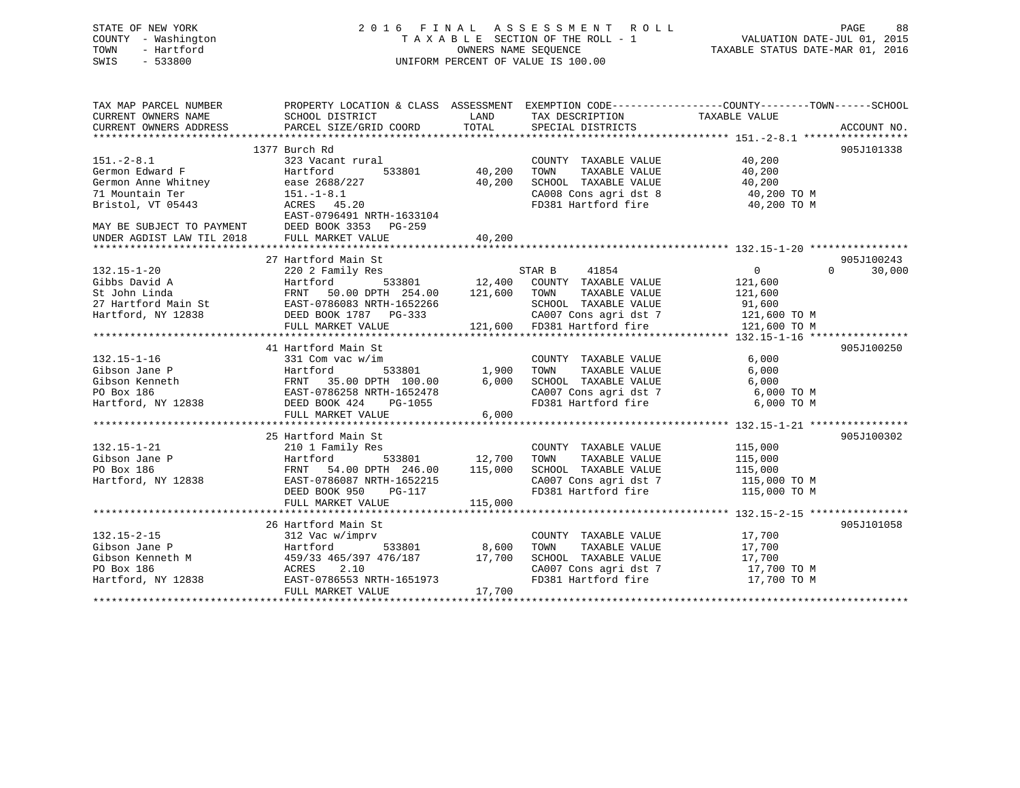| 2016 FINAL ASSESSMENT ROLL         | 88<br>PAGE                       |
|------------------------------------|----------------------------------|
| TAXABLE SECTION OF THE ROLL - 1    | VALUATION DATE-JUL 01, 2015      |
| OWNERS NAME SEOUENCE               | TAXABLE STATUS DATE-MAR 01, 2016 |
| UNIFORM PERCENT OF VALUE IS 100.00 |                                  |
|                                    |                                  |
|                                    |                                  |
|                                    |                                  |

| TAX MAP PARCEL NUMBER<br>CURRENT OWNERS NAME<br>CURRENT OWNERS ADDRESS | PROPERTY LOCATION & CLASS ASSESSMENT EXEMPTION CODE----------------COUNTY-------TOWN-----SCHOOL<br>SCHOOL DISTRICT<br>PARCEL SIZE/GRID COORD | LAND<br>TOTAL                                                              | TAX DESCRIPTION<br>SPECIAL DISTRICTS                                           | TAXABLE VALUE                                                           | ACCOUNT NO.        |
|------------------------------------------------------------------------|----------------------------------------------------------------------------------------------------------------------------------------------|----------------------------------------------------------------------------|--------------------------------------------------------------------------------|-------------------------------------------------------------------------|--------------------|
|                                                                        |                                                                                                                                              |                                                                            |                                                                                |                                                                         |                    |
|                                                                        | 1377 Burch Rd                                                                                                                                |                                                                            |                                                                                |                                                                         | 905J101338         |
| $151. - 2 - 8.1$                                                       | 323 Vacant rural                                                                                                                             |                                                                            | COUNTY TAXABLE VALUE                                                           | 40,200                                                                  |                    |
| Germon Edward F                                                        | Hartford<br>533801                                                                                                                           | 40,200                                                                     | TOWN<br>TAXABLE VALUE                                                          | 40,200                                                                  |                    |
| Germon Anne Whitney                                                    | ease 2688/227                                                                                                                                | 40,200                                                                     | SCHOOL TAXABLE VALUE                                                           | 40,200                                                                  |                    |
| 71 Mountain Ter                                                        | $151.-1-8.1$                                                                                                                                 |                                                                            |                                                                                | CA008 Cons agri dst 8 $\frac{40,200 \text{ T0 M}}{10,000 \text{ T0 M}}$ |                    |
| Bristol, VT 05443                                                      | ACRES 45.20                                                                                                                                  |                                                                            | FD381 Hartford fire                                                            | 40,200 TO M                                                             |                    |
|                                                                        | EAST-0796491 NRTH-1633104                                                                                                                    |                                                                            |                                                                                |                                                                         |                    |
|                                                                        | DEED BOOK 3353 PG-259                                                                                                                        |                                                                            |                                                                                |                                                                         |                    |
| MAY BE SUBJECT TO PAYMENT<br>UNDER AGDIST LAW TIL 2018                 | FULL MARKET VALUE                                                                                                                            | 40,200                                                                     |                                                                                |                                                                         |                    |
|                                                                        |                                                                                                                                              |                                                                            |                                                                                |                                                                         |                    |
|                                                                        | 27 Hartford Main St                                                                                                                          |                                                                            |                                                                                |                                                                         | 905J100243         |
| $132.15 - 1 - 20$                                                      | 220 2 Family Res                                                                                                                             |                                                                            | STAR B<br>41854                                                                | $\overline{0}$                                                          | $\Omega$<br>30,000 |
| Gibbs David A                                                          | Hartford                                                                                                                                     |                                                                            | COUNTY TAXABLE VALUE                                                           | 121,600                                                                 |                    |
| St John Linda                                                          | $533801$ $12,400$<br>FRNT 50.00 DPTH 254.00                                                                                                  | 121,600                                                                    | TAXABLE VALUE<br>TOWN                                                          | 121,600                                                                 |                    |
| 27 Hartford Main St                                                    | EAST-0786083 NRTH-1652266                                                                                                                    |                                                                            | SCHOOL TAXABLE VALUE                                                           | 91,600                                                                  |                    |
|                                                                        |                                                                                                                                              |                                                                            |                                                                                |                                                                         |                    |
| Hartford, NY 12838                                                     | DEED BOOK 1787    PG-333                                                                                                                     |                                                                            | CA007 Cons agri dst 7 121,600 TO M<br>121,600 FD381 Hartford fire 121,600 TO M |                                                                         |                    |
|                                                                        | FULL MARKET VALUE                                                                                                                            |                                                                            |                                                                                |                                                                         |                    |
|                                                                        |                                                                                                                                              |                                                                            |                                                                                |                                                                         |                    |
|                                                                        | 41 Hartford Main St                                                                                                                          |                                                                            |                                                                                |                                                                         | 905J100250         |
| $132.15 - 1 - 16$                                                      | 331 Com vac w/im                                                                                                                             |                                                                            | COUNTY TAXABLE VALUE                                                           | 6,000                                                                   |                    |
| Gibson Jane P                                                          | Hartford 533801<br>FRNT 35.00 DPTH 100.00<br>EAST-0786258 NRTH-1652478                                                                       | 533801                1,900<br>TH    100.00            6,000<br>TH-1652478 | TOWN<br>TAXABLE VALUE                                                          | 6,000                                                                   |                    |
| Gibson Kenneth                                                         |                                                                                                                                              |                                                                            | SCHOOL TAXABLE VALUE                                                           | 6,000                                                                   |                    |
| PO Box 186                                                             |                                                                                                                                              |                                                                            |                                                                                | CA007 Cons agri dst 7 6,000 TO M                                        |                    |
| Hartford, NY 12838                                                     | DEED BOOK 424 PG-1055                                                                                                                        |                                                                            | FD381 Hartford fire                                                            | 6,000 TO M                                                              |                    |
|                                                                        | FULL MARKET VALUE                                                                                                                            | 6,000                                                                      |                                                                                |                                                                         |                    |
|                                                                        |                                                                                                                                              |                                                                            |                                                                                |                                                                         |                    |
|                                                                        | 25 Hartford Main St                                                                                                                          |                                                                            |                                                                                |                                                                         | 905J100302         |
| $132.15 - 1 - 21$                                                      | 210 1 Family Res                                                                                                                             |                                                                            | COUNTY TAXABLE VALUE                                                           | 115,000                                                                 |                    |
| Gibson Jane P                                                          | 533801 12,700<br>Hartford                                                                                                                    |                                                                            | TAXABLE VALUE<br>TOWN                                                          | 115,000                                                                 |                    |
| PO Box 186                                                             | FRNT 54.00 DPTH 246.00                                                                                                                       | 115,000                                                                    | SCHOOL TAXABLE VALUE                                                           | 115,000                                                                 |                    |
| Hartford, NY 12838 EAST-0786087 NRTH-1652215                           |                                                                                                                                              |                                                                            |                                                                                | CA007 Cons agri dst 7 115,000 TO M                                      |                    |
|                                                                        | DEED BOOK 950<br>PG-117                                                                                                                      |                                                                            | FD381 Hartford fire                                                            | 115,000 TO M                                                            |                    |
|                                                                        | FULL MARKET VALUE                                                                                                                            | 115,000                                                                    |                                                                                |                                                                         |                    |
|                                                                        |                                                                                                                                              |                                                                            |                                                                                |                                                                         |                    |
|                                                                        | 26 Hartford Main St                                                                                                                          |                                                                            |                                                                                |                                                                         | 905J101058         |
| $132.15 - 2 - 15$                                                      | 312 Vac w/imprv                                                                                                                              |                                                                            | COUNTY TAXABLE VALUE                                                           | 17,700                                                                  |                    |
|                                                                        | 533801                                                                                                                                       |                                                                            | TOWN                                                                           |                                                                         |                    |
| Cibson Jane P<br>Gibson Kenneth M<br>PO Box 186                        | Hartford                                                                                                                                     | 8,600                                                                      | TAXABLE VALUE                                                                  | 17,700<br>17,700                                                        |                    |
|                                                                        | 459/33 465/397 476/187                                                                                                                       | 17,700                                                                     | SCHOOL TAXABLE VALUE                                                           | CA007 Cons agri dst 7 17,700 TO M                                       |                    |
|                                                                        | 2.10<br>ACRES                                                                                                                                |                                                                            |                                                                                |                                                                         |                    |
| Hartford, NY 12838                                                     | EAST-0786553 NRTH-1651973                                                                                                                    |                                                                            |                                                                                | FD381 Hartford fire 17,700 TO M                                         |                    |
|                                                                        | FULL MARKET VALUE                                                                                                                            | 17,700                                                                     |                                                                                | **************************************                                  |                    |
|                                                                        |                                                                                                                                              |                                                                            |                                                                                |                                                                         |                    |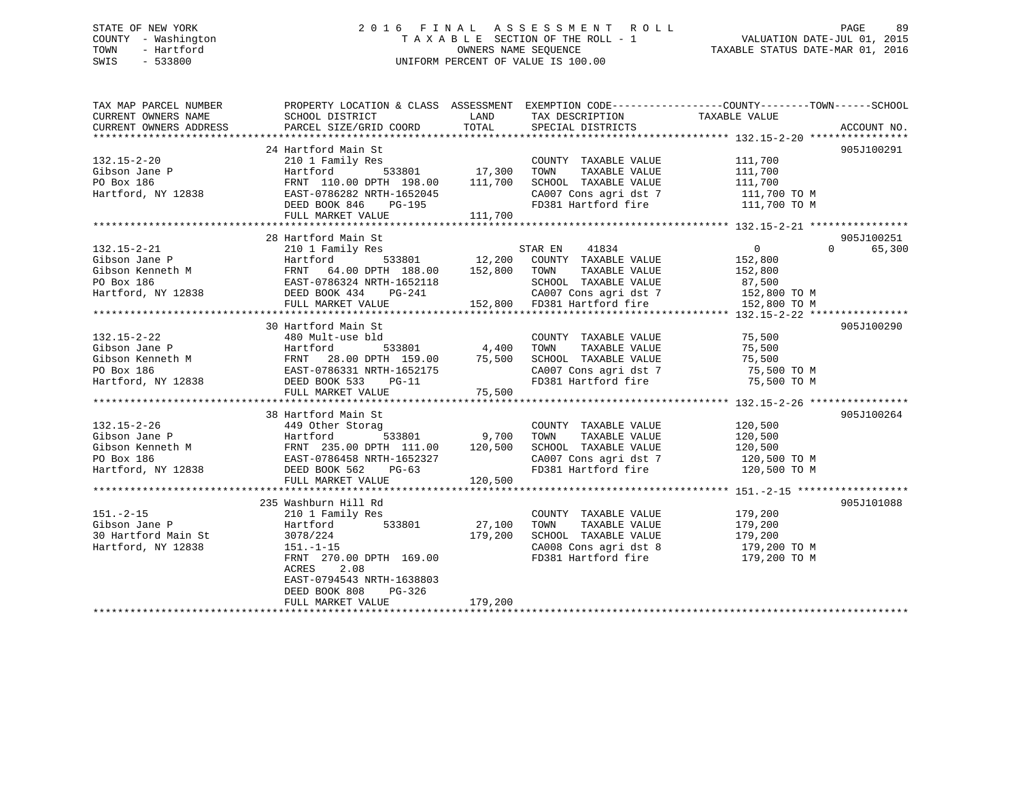## STATE OF NEW YORK 2 0 1 6 F I N A L A S S E S S M E N T R O L L PAGE 89 COUNTY - Washington T A X A B L E SECTION OF THE ROLL - 1 VALUATION DATE-JUL 01, 2015 TOWN - Hartford **TAXABLE STATUS DATE-MAR 01, 2016** OWNERS NAME SEQUENCE TAXABLE STATUS DATE-MAR 01, 2016 SWIS - 533800 UNIFORM PERCENT OF VALUE IS 100.00

| TAX MAP PARCEL NUMBER                                                                                                                                                                                                                                          | PROPERTY LOCATION & CLASS ASSESSMENT EXEMPTION CODE---------------COUNTY-------TOWN-----SCHOOL | LAND    |                                            |                                                                                |                    |
|----------------------------------------------------------------------------------------------------------------------------------------------------------------------------------------------------------------------------------------------------------------|------------------------------------------------------------------------------------------------|---------|--------------------------------------------|--------------------------------------------------------------------------------|--------------------|
| CURRENT OWNERS NAME<br>CURRENT OWNERS ADDRESS                                                                                                                                                                                                                  | SCHOOL DISTRICT<br>PARCEL SIZE/GRID COORD                                                      | TOTAL   | TAX DESCRIPTION<br>SPECIAL DISTRICTS       | TAXABLE VALUE                                                                  | ACCOUNT NO.        |
|                                                                                                                                                                                                                                                                |                                                                                                |         |                                            |                                                                                |                    |
|                                                                                                                                                                                                                                                                | 24 Hartford Main St                                                                            |         |                                            |                                                                                | 905J100291         |
| $132.15 - 2 - 20$                                                                                                                                                                                                                                              | 210 1 Family Res                                                                               |         | COUNTY TAXABLE VALUE                       |                                                                                |                    |
| Gibson Jane P                                                                                                                                                                                                                                                  | 533801 17,300<br>Hartford                                                                      |         | TOWN<br>TAXABLE VALUE                      | 111,700<br>111,700                                                             |                    |
| PO Box 186                                                                                                                                                                                                                                                     |                                                                                                |         | SCHOOL TAXABLE VALUE                       | 111,700                                                                        |                    |
| Hartford, NY 12838                                                                                                                                                                                                                                             | FRNT 110.00 DPTH 198.00 111,700<br>EAST-0786282 NRTH-1652045                                   |         |                                            |                                                                                |                    |
|                                                                                                                                                                                                                                                                | EAST-0786282 NRTH-1652045<br>DEED BOOK 846 PG-195                                              |         |                                            | CA007 Cons agri dst 7 111,700 TO M<br>FD381 Hartford fire 111,700 TO M         |                    |
|                                                                                                                                                                                                                                                                | FULL MARKET VALUE                                                                              | 111,700 |                                            |                                                                                |                    |
|                                                                                                                                                                                                                                                                |                                                                                                |         |                                            |                                                                                |                    |
|                                                                                                                                                                                                                                                                | 28 Hartford Main St                                                                            |         |                                            |                                                                                | 905J100251         |
| $132.15 - 2 - 21$                                                                                                                                                                                                                                              | 210 1 Family Res                                                                               |         | STAR EN 41834                              | $\overline{0}$                                                                 | $\Omega$<br>65,300 |
|                                                                                                                                                                                                                                                                |                                                                                                |         | 533801 12,200 COUNTY TAXABLE VALUE 152,800 |                                                                                |                    |
| CONSTRUCTED BOOK 186<br>CONSTRUCTED BATTLE 188.00 12,200 COUNT<br>Gibson Kenneth M FRNT 64.00 DPTH 188.00 152,800 TOWN<br>PO Box 186 EAST-0786324 NRTH-1652118 SCHOO<br>Hartford, NY 12838 DEED BOOK 434 PG-241 CA007                                          |                                                                                                |         |                                            |                                                                                |                    |
|                                                                                                                                                                                                                                                                |                                                                                                |         | TAXABLE VALUE                              | 152,800<br>87,500                                                              |                    |
|                                                                                                                                                                                                                                                                |                                                                                                |         | SCHOOL TAXABLE VALUE                       |                                                                                |                    |
|                                                                                                                                                                                                                                                                |                                                                                                |         |                                            | CA007 Cons agri dst 7 152,800 TO M<br>152,800 FD381 Hartford fire 152,800 TO M |                    |
|                                                                                                                                                                                                                                                                | FULL MARKET VALUE                                                                              |         |                                            |                                                                                |                    |
|                                                                                                                                                                                                                                                                |                                                                                                |         |                                            |                                                                                |                    |
|                                                                                                                                                                                                                                                                | 30 Hartford Main St                                                                            |         |                                            |                                                                                | 905J100290         |
| $132.15 - 2 - 22$                                                                                                                                                                                                                                              | 480 Mult-use bld                                                                               |         | COUNTY TAXABLE VALUE 75,500                |                                                                                |                    |
|                                                                                                                                                                                                                                                                |                                                                                                |         | TOWN<br>TAXABLE VALUE                      | טטפ, 15<br>75, 500                                                             |                    |
|                                                                                                                                                                                                                                                                |                                                                                                |         | SCHOOL TAXABLE VALUE                       |                                                                                |                    |
|                                                                                                                                                                                                                                                                |                                                                                                |         |                                            | CA007 Cons agri dst 7 75,500 TO M                                              |                    |
| Gibson Jane P<br>Hartford 533801 4,400<br>Gibson Kenneth M<br>PO Box 186<br>Hartford, NY 12838<br>EAST-0786331 NRTH-1652175<br>Hartford, NY 12838<br>DEED BOOK 533<br>DEED BOOK 533<br>DEED SON TH-1652175<br>FILIT. MARKET VALUE                              |                                                                                                |         | FD381 Hartford fire                        | 75,500 TO M                                                                    |                    |
|                                                                                                                                                                                                                                                                | FULL MARKET VALUE                                                                              | 75,500  |                                            |                                                                                |                    |
|                                                                                                                                                                                                                                                                |                                                                                                |         |                                            |                                                                                |                    |
|                                                                                                                                                                                                                                                                | 38 Hartford Main St                                                                            |         |                                            |                                                                                | 905J100264         |
|                                                                                                                                                                                                                                                                |                                                                                                |         | COUNTY TAXABLE VALUE                       | 120,500                                                                        |                    |
|                                                                                                                                                                                                                                                                | 533801 9,700                                                                                   |         | TAXABLE VALUE<br>TOWN                      | 120,500                                                                        |                    |
|                                                                                                                                                                                                                                                                |                                                                                                |         | SCHOOL TAXABLE VALUE                       | 120,500                                                                        |                    |
|                                                                                                                                                                                                                                                                |                                                                                                |         |                                            |                                                                                |                    |
| 132.15-2-26<br>Gibson Jane P<br>Gibson Kenneth M<br>PO Box 186<br>Hartford, NY 12838<br>Hartford, NY 12838<br>PO BOX 186<br>PO BOX 186<br>PO BOX 186<br>PO BOX 186<br>PO BOX 186<br>PO BOX 186<br>PO BOX 186<br>PO BOX 186<br>PO BOX 186<br>PO BOX 186<br>PO B |                                                                                                |         |                                            | CA007 Cons agri dst 7 120,500 TO M<br>FD381 Hartford fire 120,500 TO M         |                    |
|                                                                                                                                                                                                                                                                | FULL MARKET VALUE                                                                              | 120,500 |                                            |                                                                                |                    |
|                                                                                                                                                                                                                                                                |                                                                                                |         |                                            |                                                                                |                    |
|                                                                                                                                                                                                                                                                | 235 Washburn Hill Rd                                                                           |         |                                            |                                                                                | 905J101088         |
| $151. - 2 - 15$                                                                                                                                                                                                                                                | 210 1 Family Res                                                                               |         | COUNTY TAXABLE VALUE 179,200               |                                                                                |                    |
| Gibson Jane P                                                                                                                                                                                                                                                  | 533801<br>Hartford                                                                             | 27,100  | TAXABLE VALUE<br>TOWN                      | 179,200                                                                        |                    |
| 30 Hartford Main St                                                                                                                                                                                                                                            | 3078/224                                                                                       | 179,200 | SCHOOL TAXABLE VALUE                       |                                                                                |                    |
| Hartford, NY 12838                                                                                                                                                                                                                                             | $151.-1-15$                                                                                    |         |                                            | SCHOOL TAXABLE VALUE 179,200<br>CA008 Cons agri dst 8 179,200 TO M             |                    |
|                                                                                                                                                                                                                                                                | FRNT 270.00 DPTH 169.00                                                                        |         |                                            | FD381 Hartford fire 179,200 TO M                                               |                    |
|                                                                                                                                                                                                                                                                | ACRES 2.08                                                                                     |         |                                            |                                                                                |                    |
|                                                                                                                                                                                                                                                                | EAST-0794543 NRTH-1638803                                                                      |         |                                            |                                                                                |                    |
|                                                                                                                                                                                                                                                                | DEED BOOK 808<br>PG-326                                                                        |         |                                            |                                                                                |                    |
|                                                                                                                                                                                                                                                                | FULL MARKET VALUE                                                                              | 179,200 |                                            |                                                                                |                    |
|                                                                                                                                                                                                                                                                |                                                                                                |         |                                            |                                                                                |                    |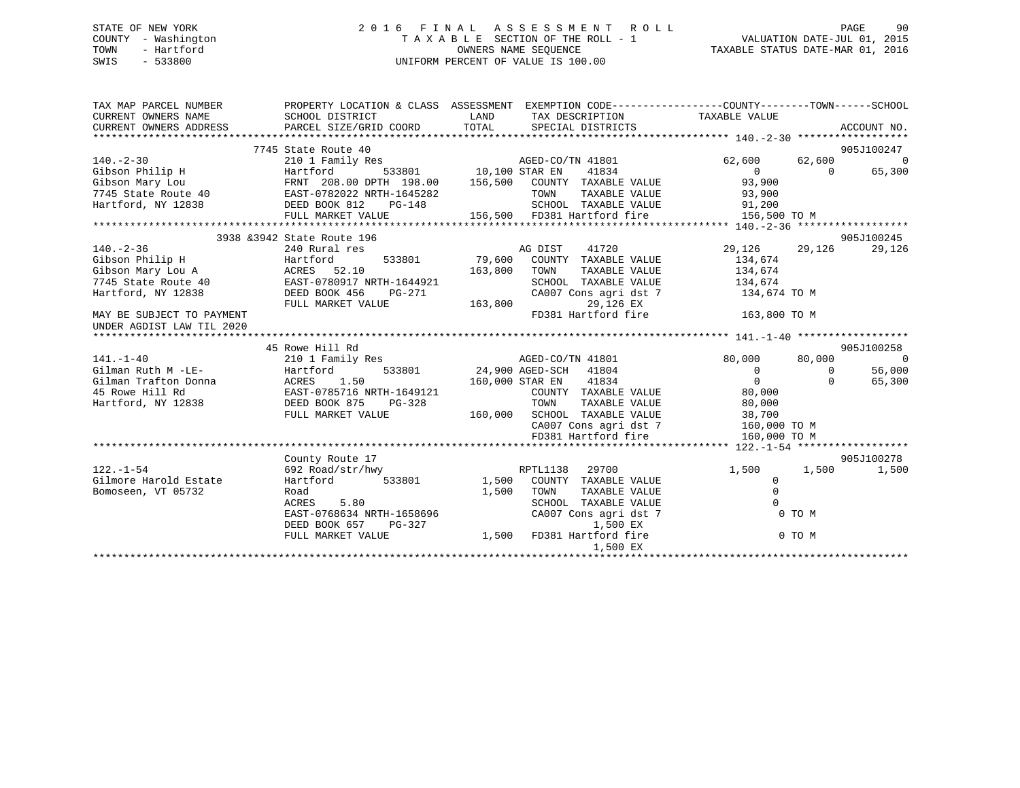## STATE OF NEW YORK 2 0 1 6 F I N A L A S S E S S M E N T R O L L PAGE 90 COUNTY - Washington T A X A B L E SECTION OF THE ROLL - 1 VALUATION DATE-JUL 01, 2015 TOWN - Hartford **TAXABLE STATUS DATE-MAR 01, 2016** OWNERS NAME SEQUENCE TAXABLE STATUS DATE-MAR 01, 2016 SWIS - 533800 UNIFORM PERCENT OF VALUE IS 100.00

| TAX MAP PARCEL NUMBER                                                                                                                                                                                                                                                                                                                                                                                                            |                                                                                                                                           | PROPERTY LOCATION & CLASS ASSESSMENT EXEMPTION CODE---------------COUNTY-------TOWN------SCHOOL                                                        |                                    |                |            |
|----------------------------------------------------------------------------------------------------------------------------------------------------------------------------------------------------------------------------------------------------------------------------------------------------------------------------------------------------------------------------------------------------------------------------------|-------------------------------------------------------------------------------------------------------------------------------------------|--------------------------------------------------------------------------------------------------------------------------------------------------------|------------------------------------|----------------|------------|
| CURRENT OWNERS NAME                                                                                                                                                                                                                                                                                                                                                                                                              | SCHOOL DISTRICT<br><b>EXAMPLE SERVICE SERVICE SERVICE SERVICE SERVICE SERVICE SERVICE SERVICE SERVICE SERVICE SERVICE SERVICE SERVICE</b> |                                                                                                                                                        | TAX DESCRIPTION TAXABLE VALUE      |                |            |
|                                                                                                                                                                                                                                                                                                                                                                                                                                  |                                                                                                                                           |                                                                                                                                                        |                                    |                |            |
|                                                                                                                                                                                                                                                                                                                                                                                                                                  |                                                                                                                                           |                                                                                                                                                        |                                    |                |            |
|                                                                                                                                                                                                                                                                                                                                                                                                                                  | 7745 State Route 40                                                                                                                       |                                                                                                                                                        |                                    |                | 905J100247 |
| $140. -2 - 30$                                                                                                                                                                                                                                                                                                                                                                                                                   |                                                                                                                                           | AGED-CO/TN 41801                                                                                                                                       | 62,600 62,600                      |                | $\sim$ 0   |
|                                                                                                                                                                                                                                                                                                                                                                                                                                  |                                                                                                                                           |                                                                                                                                                        |                                    | $\overline{0}$ | 65,300     |
|                                                                                                                                                                                                                                                                                                                                                                                                                                  |                                                                                                                                           |                                                                                                                                                        |                                    |                |            |
|                                                                                                                                                                                                                                                                                                                                                                                                                                  |                                                                                                                                           |                                                                                                                                                        |                                    |                |            |
|                                                                                                                                                                                                                                                                                                                                                                                                                                  |                                                                                                                                           |                                                                                                                                                        |                                    |                |            |
|                                                                                                                                                                                                                                                                                                                                                                                                                                  |                                                                                                                                           |                                                                                                                                                        |                                    |                |            |
| $\begin{tabular}{lllllllll} \hline 7745 \text{ State} & \text{Route 40} & \text{EAST-0782022 NRTH-1645282} & \text{TOWN} & \text{TXABLE VALUE} & 93,900 \\ \text{Hartford, NY 12838} & \text{DEED BOOK 812} & \text{PG-148} & \text{SCHOOL} & \text{TXABLE VALUE} & 91,200 \\ & & & & & & \\ \text{FULL MARKET VALUE} & 156,500 & \text{FD381 Hartford fire} & 156,500 & \text{TO M} \\ & & & & & & \\ \text{\bf \texttt{****}}$ |                                                                                                                                           |                                                                                                                                                        |                                    |                |            |
|                                                                                                                                                                                                                                                                                                                                                                                                                                  | 3938 & 3942 State Route 196                                                                                                               |                                                                                                                                                        |                                    |                | 905J100245 |
| 140.-2-36<br>Gibson Philip H (1998)<br>Gibson Mary Lou A (1998) ACRES 52.10<br>7745 State Route 40 (1998) EAST-0780917 NRTH-1644921<br>RAST-0780917 NRTH-1644921                                                                                                                                                                                                                                                                 |                                                                                                                                           | e 196<br>res<br>533801 79,600 COUNTY TAXABLE VALUE<br>134,674<br>147.800 TOWN TAXABLE VALUE<br>134,674<br>1.34,674                                     | 29,126 29,126                      |                | 29,126     |
|                                                                                                                                                                                                                                                                                                                                                                                                                                  |                                                                                                                                           |                                                                                                                                                        |                                    |                |            |
|                                                                                                                                                                                                                                                                                                                                                                                                                                  |                                                                                                                                           |                                                                                                                                                        |                                    |                |            |
|                                                                                                                                                                                                                                                                                                                                                                                                                                  |                                                                                                                                           |                                                                                                                                                        | SCHOOL TAXABLE VALUE 134,674       |                |            |
| Hartford, NY 12838                                                                                                                                                                                                                                                                                                                                                                                                               | DEED BOOK 456 PG-271 CAOC<br>FULL MARKET VALUE 163,800<br>DEED BOOK 456                                                                   |                                                                                                                                                        | CA007 Cons agri dst 7 134,674 TO M |                |            |
|                                                                                                                                                                                                                                                                                                                                                                                                                                  |                                                                                                                                           | 29,126 EX                                                                                                                                              |                                    |                |            |
| MAY BE SUBJECT TO PAYMENT                                                                                                                                                                                                                                                                                                                                                                                                        |                                                                                                                                           |                                                                                                                                                        | $FD381$ Hartford fire 163,800 TO M |                |            |
| UNDER AGDIST LAW TIL 2020                                                                                                                                                                                                                                                                                                                                                                                                        |                                                                                                                                           |                                                                                                                                                        |                                    |                |            |
|                                                                                                                                                                                                                                                                                                                                                                                                                                  |                                                                                                                                           |                                                                                                                                                        |                                    |                |            |
|                                                                                                                                                                                                                                                                                                                                                                                                                                  | 45 Rowe Hill Rd                                                                                                                           |                                                                                                                                                        |                                    |                | 905J100258 |
| 141.-1-40<br>210 1 Family Res<br>Gilman Ruth M-LE-<br>Hartford 533801 24,900 AGED-SCH 41804                                                                                                                                                                                                                                                                                                                                      |                                                                                                                                           |                                                                                                                                                        | 80,000                             | 80,000         | $\sim$ 0   |
|                                                                                                                                                                                                                                                                                                                                                                                                                                  |                                                                                                                                           |                                                                                                                                                        | $\overline{0}$                     | $\Omega$       | 56,000     |
|                                                                                                                                                                                                                                                                                                                                                                                                                                  |                                                                                                                                           | 41834<br>160,000 STAR EN                                                                                                                               | $\overline{0}$                     | $\overline{0}$ | 65,300     |
|                                                                                                                                                                                                                                                                                                                                                                                                                                  |                                                                                                                                           | 1649121 100,000 STAR EN TAXABLE VALUE<br>PG-328 TOWN TAXABLE VALUE 80,000<br>160,000 SCHOOL TAXABLE VALUE 38,700<br>CA007 Cons agri dst 7 160,000 TO M |                                    |                |            |
|                                                                                                                                                                                                                                                                                                                                                                                                                                  | PG-328                                                                                                                                    |                                                                                                                                                        |                                    |                |            |
|                                                                                                                                                                                                                                                                                                                                                                                                                                  | FULL MARKET VALUE                                                                                                                         |                                                                                                                                                        |                                    |                |            |
|                                                                                                                                                                                                                                                                                                                                                                                                                                  |                                                                                                                                           |                                                                                                                                                        |                                    |                |            |
|                                                                                                                                                                                                                                                                                                                                                                                                                                  |                                                                                                                                           |                                                                                                                                                        |                                    |                |            |
|                                                                                                                                                                                                                                                                                                                                                                                                                                  |                                                                                                                                           |                                                                                                                                                        |                                    |                |            |
|                                                                                                                                                                                                                                                                                                                                                                                                                                  | County Route 17                                                                                                                           |                                                                                                                                                        |                                    |                | 905J100278 |
| $122. - 1 - 54$                                                                                                                                                                                                                                                                                                                                                                                                                  | 692 Road/str/hwy                                                                                                                          | 29700<br>RPTL1138                                                                                                                                      | 1,500 1,500                        |                | 1,500      |
| Gilmore Harold Estate                                                                                                                                                                                                                                                                                                                                                                                                            |                                                                                                                                           | Hartford 533801 1,500 COUNTY TAXABLE VALUE                                                                                                             | $\Omega$                           |                |            |
| Bomoseen, VT 05732                                                                                                                                                                                                                                                                                                                                                                                                               | Road                                                                                                                                      | 1,500<br>TOWN<br>TAXABLE VALUE                                                                                                                         | $\overline{0}$                     |                |            |
|                                                                                                                                                                                                                                                                                                                                                                                                                                  | ACRES 5.80                                                                                                                                | SCHOOL TAXABLE VALUE                                                                                                                                   | $\Omega$                           |                |            |
|                                                                                                                                                                                                                                                                                                                                                                                                                                  | EAST-0768634 NRTH-1658696<br>DEED BOOK 657 PG-327                                                                                         | CA007 Cons agri dst 7                                                                                                                                  |                                    | 0 TO M         |            |
|                                                                                                                                                                                                                                                                                                                                                                                                                                  |                                                                                                                                           | 1,500 EX                                                                                                                                               |                                    |                |            |
|                                                                                                                                                                                                                                                                                                                                                                                                                                  | FULL MARKET VALUE                                                                                                                         | 1,500 FD381 Hartford fire                                                                                                                              |                                    | $0$ TO M       |            |
|                                                                                                                                                                                                                                                                                                                                                                                                                                  |                                                                                                                                           | 1,500 EX                                                                                                                                               |                                    |                |            |
|                                                                                                                                                                                                                                                                                                                                                                                                                                  |                                                                                                                                           |                                                                                                                                                        |                                    |                |            |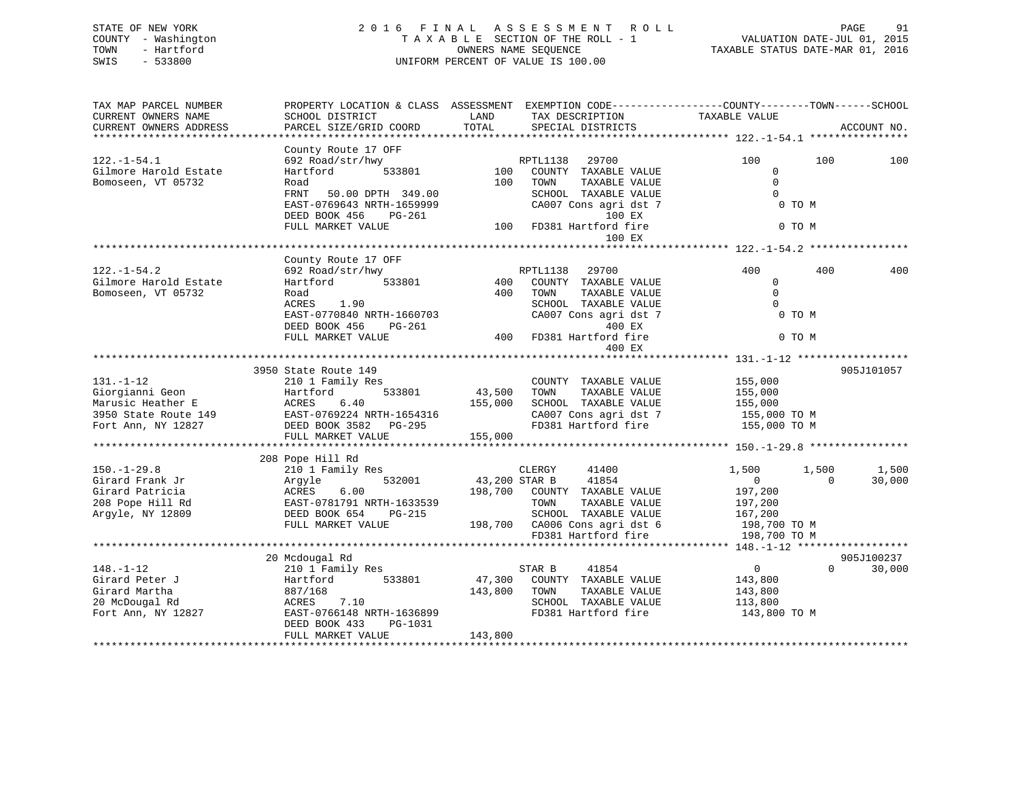## STATE OF NEW YORK 2 0 1 6 F I N A L A S S E S S M E N T R O L L PAGE 91 COUNTY - Washington T A X A B L E SECTION OF THE ROLL - 1 VALUATION DATE-JUL 01, 2015 TOWN - Hartford **TAXABLE STATUS DATE-MAR 01, 2016** OWNERS NAME SEQUENCE TAXABLE STATUS DATE-MAR 01, 2016 SWIS - 533800 UNIFORM PERCENT OF VALUE IS 100.00

| TAX MAP PARCEL NUMBER  | PROPERTY LOCATION & CLASS ASSESSMENT EXEMPTION CODE----------------COUNTY-------TOWN------SCHOOL |               |                               |                |                    |
|------------------------|--------------------------------------------------------------------------------------------------|---------------|-------------------------------|----------------|--------------------|
| CURRENT OWNERS NAME    | SCHOOL DISTRICT                                                                                  | LAND          | TAX DESCRIPTION               | TAXABLE VALUE  |                    |
| CURRENT OWNERS ADDRESS | PARCEL SIZE/GRID COORD                                                                           | TOTAL         | SPECIAL DISTRICTS             |                | ACCOUNT NO.        |
| ******************     |                                                                                                  |               |                               |                |                    |
|                        | County Route 17 OFF                                                                              |               |                               |                |                    |
| $122. - 1 - 54.1$      | 692 Road/str/hwy                                                                                 |               | 29700<br>RPTL1138             | 100            | 100<br>100         |
| Gilmore Harold Estate  | 533801<br>Hartford                                                                               | 100           | COUNTY TAXABLE VALUE          | $\Omega$       |                    |
| Bomoseen, VT 05732     | Road                                                                                             | 100           | TOWN<br>TAXABLE VALUE         | $\Omega$       |                    |
|                        | FRNT 50.00 DPTH 349.00                                                                           |               | SCHOOL TAXABLE VALUE          | $\Omega$       |                    |
|                        | EAST-0769643 NRTH-1659999                                                                        |               | CA007 Cons agri dst 7         | 0 TO M         |                    |
|                        | DEED BOOK 456<br>PG-261                                                                          |               | 100 EX                        |                |                    |
|                        | FULL MARKET VALUE                                                                                |               | 100 FD381 Hartford fire       | 0 TO M         |                    |
|                        |                                                                                                  |               | 100 EX                        |                |                    |
|                        |                                                                                                  |               |                               |                |                    |
|                        | County Route 17 OFF                                                                              |               |                               |                |                    |
| $122. - 1 - 54.2$      | 692 Road/str/hwy                                                                                 |               | RPTL1138<br>29700             | 400            | 400<br>400         |
| Gilmore Harold Estate  | 533801<br>Hartford                                                                               | 400           | COUNTY TAXABLE VALUE          | $\mathbf 0$    |                    |
| Bomoseen, VT 05732     | Road                                                                                             | 400           | TOWN<br>TAXABLE VALUE         | $\Omega$       |                    |
|                        | ACRES<br>1.90                                                                                    |               | SCHOOL TAXABLE VALUE          | $\Omega$       |                    |
|                        | EAST-0770840 NRTH-1660703                                                                        |               | CA007 Cons agri dst 7         | 0 TO M         |                    |
|                        | DEED BOOK 456<br>PG-261                                                                          |               | 400 EX                        |                |                    |
|                        | FULL MARKET VALUE                                                                                |               | 400 FD381 Hartford fire       | 0 TO M         |                    |
|                        |                                                                                                  |               | 400 EX                        |                |                    |
|                        |                                                                                                  |               |                               |                |                    |
|                        | 3950 State Route 149                                                                             |               |                               |                | 905J101057         |
| $131. - 1 - 12$        | 210 1 Family Res                                                                                 |               | COUNTY TAXABLE VALUE          | 155,000        |                    |
| Giorgianni Geon        | 533801<br>Hartford                                                                               | 43,500        | TOWN<br>TAXABLE VALUE         | 155,000        |                    |
| Marusic Heather E      | 6.40<br>ACRES                                                                                    | 155,000       | SCHOOL TAXABLE VALUE          | 155,000        |                    |
| 3950 State Route 149   | EAST-0769224 NRTH-1654316                                                                        |               | CA007 Cons agri dst 7         | 155,000 TO M   |                    |
| Fort Ann, NY 12827     | DEED BOOK 3582 PG-295                                                                            |               | FD381 Hartford fire           | 155,000 TO M   |                    |
|                        | FULL MARKET VALUE                                                                                | 155,000       |                               |                |                    |
|                        |                                                                                                  |               |                               |                |                    |
|                        | 208 Pope Hill Rd                                                                                 |               |                               |                |                    |
| $150. - 1 - 29.8$      | 210 1 Family Res                                                                                 |               | CLERGY<br>41400               | 1,500<br>1,500 | 1,500              |
| Girard Frank Jr        | 532001<br>Arqyle                                                                                 | 43,200 STAR B | 41854                         | $\overline{0}$ | $\Omega$<br>30,000 |
| Girard Patricia        | 6.00<br>ACRES                                                                                    |               | 198,700 COUNTY TAXABLE VALUE  | 197,200        |                    |
| 208 Pope Hill Rd       | EAST-0781791 NRTH-1633539                                                                        |               | TOWN<br>TAXABLE VALUE         | 197,200        |                    |
| Argyle, NY 12809       | DEED BOOK 654<br>PG-215                                                                          |               | SCHOOL TAXABLE VALUE          | 167,200        |                    |
|                        | FULL MARKET VALUE                                                                                |               | 198,700 CA006 Cons agri dst 6 | 198,700 TO M   |                    |
|                        |                                                                                                  |               | FD381 Hartford fire           | 198,700 TO M   |                    |
|                        |                                                                                                  |               |                               |                |                    |
|                        | 20 Mcdougal Rd                                                                                   |               |                               |                | 905J100237         |
| $148. - 1 - 12$        | 210 1 Family Res                                                                                 |               | 41854<br>STAR B               | $\overline{0}$ | $\Omega$<br>30,000 |
| Girard Peter J         | 533801<br>Hartford                                                                               | 47,300        | COUNTY TAXABLE VALUE          | 143,800        |                    |
| Girard Martha          | 887/168                                                                                          | 143,800       | TAXABLE VALUE<br>TOWN         | 143,800        |                    |
| 20 McDougal Rd         | ACRES<br>7.10                                                                                    |               | SCHOOL TAXABLE VALUE          | 113,800        |                    |
| Fort Ann, NY 12827     | EAST-0766148 NRTH-1636899                                                                        |               | FD381 Hartford fire           | 143,800 TO M   |                    |
|                        | DEED BOOK 433<br>PG-1031                                                                         |               |                               |                |                    |
|                        | FULL MARKET VALUE                                                                                | 143,800       |                               |                |                    |
|                        |                                                                                                  |               |                               |                |                    |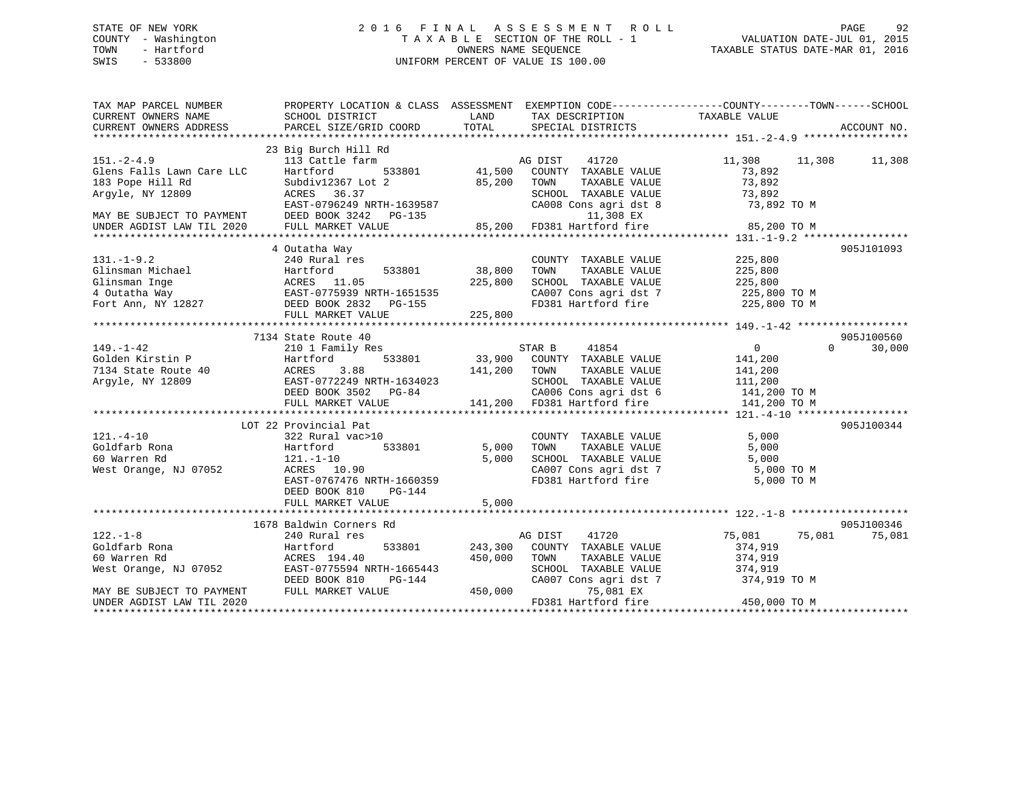## STATE OF NEW YORK 2 0 1 6 F I N A L A S S E S S M E N T R O L L PAGE 92 COUNTY - Washington T A X A B L E SECTION OF THE ROLL - 1 VALUATION DATE-JUL 01, 2015 TOWN - Hartford **TAXABLE STATUS DATE-MAR 01, 2016** OWNERS NAME SEQUENCE TAXABLE STATUS DATE-MAR 01, 2016 SWIS - 533800 UNIFORM PERCENT OF VALUE IS 100.00

| TAX MAP PARCEL NUMBER<br>CURRENT OWNERS NAME<br>CURRENT OWNERS ADDRESS | SCHOOL DISTRICT<br>PARCEL SIZE/GRID COORD                     | LAND<br>TOTAL  | TAX DESCRIPTION TAXABLE VALUE SPECIAL DISTRICTS | PROPERTY LOCATION & CLASS ASSESSMENT EXEMPTION CODE---------------COUNTY-------TOWN------SCHOOL                                | ACCOUNT NO. |
|------------------------------------------------------------------------|---------------------------------------------------------------|----------------|-------------------------------------------------|--------------------------------------------------------------------------------------------------------------------------------|-------------|
|                                                                        |                                                               |                |                                                 |                                                                                                                                |             |
| $151. - 2 - 4.9$<br>Glens Falls Lawn Care LLC                          | 23 Big Burch Hill Rd<br>113 Cattle farm<br>Hartford<br>533801 | AC<br>$41,500$ | AG DIST<br>41720<br>COUNTY TAXABLE VALUE        | 11,308 11,308<br>73,892                                                                                                        | 11,308      |
| 183 Pope Hill Rd                                                       | Subdiv12367 Lot 2                                             | 85,200         | TOWN<br>TAXABLE VALUE                           | 73,892                                                                                                                         |             |
| Arqyle, NY 12809                                                       | ACRES 36.37<br>EAST-0796249 NRTH-1639587                      |                | SCHOOL TAXABLE VALUE                            | 73,892                                                                                                                         |             |
|                                                                        | DEED BOOK 3242 PG-135                                         |                | 11,308 EX                                       |                                                                                                                                |             |
|                                                                        |                                                               |                |                                                 |                                                                                                                                |             |
|                                                                        | 4 Outatha Way                                                 |                |                                                 |                                                                                                                                | 905J101093  |
| $131. - 1 - 9.2$                                                       | 240 Rural res                                                 |                | COUNTY TAXABLE VALUE                            | 225,800                                                                                                                        |             |
|                                                                        |                                                               | 533801 38,800  | TAXABLE VALUE<br>TOWN                           | 225,800                                                                                                                        |             |
|                                                                        |                                                               | 225,800        | SCHOOL TAXABLE VALUE                            | 225,800                                                                                                                        |             |
|                                                                        |                                                               |                |                                                 | CA007 Cons agri dst 7 225,800 TO M                                                                                             |             |
|                                                                        |                                                               |                | FD381 Hartford fire                             | 225,800 TO M                                                                                                                   |             |
|                                                                        |                                                               | 225,800        |                                                 |                                                                                                                                |             |
|                                                                        |                                                               |                |                                                 |                                                                                                                                |             |
|                                                                        | 7134 State Route 40                                           |                |                                                 |                                                                                                                                | 905J100560  |
| $149. - 1 - 42$                                                        | 210 1 Family Res                                              |                | 41854<br>STAR B                                 | $\overline{0}$<br>$\Omega$                                                                                                     | 30,000      |
|                                                                        | 533801<br>Hartford                                            |                | 33,900 COUNTY TAXABLE VALUE                     | 141,200                                                                                                                        |             |
| Golden Kirstin P<br>7134 State Route 40                                | ACRES<br>3.88                                                 | 141,200 TOWN   | TAXABLE VALUE                                   | 141,200                                                                                                                        |             |
| Argyle, NY 12809                                                       | EAST-0772249 NRTH-1634023                                     |                |                                                 |                                                                                                                                |             |
|                                                                        | EAST-0772249 NRTH-1634023<br>DEED BOOK 3502 PG-84             |                |                                                 |                                                                                                                                |             |
|                                                                        | FULL MARKET VALUE                                             |                |                                                 | SCHOOL TAXABLE VALUE 111,200<br>CA006 Cons agri dst 6 141,200 TO M<br>141,200 FD381 Hartford fire 141,200 TO M<br>141,200 TO M |             |
|                                                                        |                                                               |                |                                                 |                                                                                                                                |             |
|                                                                        | LOT 22 Provincial Pat                                         |                |                                                 |                                                                                                                                | 905J100344  |
| $121. - 4 - 10$                                                        | 322 Rural vac>10                                              |                | COUNTY TAXABLE VALUE                            | 5,000                                                                                                                          |             |
| Goldfarb Rona                                                          | Hartford<br>533801                                            | 5,000          | TAXABLE VALUE<br>TOWN                           | 5,000                                                                                                                          |             |
| 60 Warren Rd                                                           | $121. - 1 - 10$<br>ACRES                                      | 5,000          | SCHOOL TAXABLE VALUE                            | 5,000                                                                                                                          |             |
| West Orange, NJ 07052                                                  | ACRES 10.90                                                   |                |                                                 |                                                                                                                                |             |
|                                                                        | EAST-0767476 NRTH-1660359                                     |                |                                                 | CA007 Cons agri dst 7 5,000 TO M<br>FD381 Hartford fire 5,000 TO M                                                             |             |
|                                                                        | DEED BOOK 810<br>PG-144                                       |                |                                                 |                                                                                                                                |             |
|                                                                        | FULL MARKET VALUE                                             | 5,000          |                                                 |                                                                                                                                |             |
|                                                                        |                                                               |                |                                                 |                                                                                                                                |             |
|                                                                        | 1678 Baldwin Corners Rd                                       |                |                                                 |                                                                                                                                | 905J100346  |
| $122. - 1 - 8$                                                         | 240 Rural res                                                 |                | 41720<br>AG DIST                                | 75,081<br>75,081                                                                                                               | 75,081      |
| Goldfarb Rona                                                          | Hartford                                                      | 533801 243,300 | COUNTY TAXABLE VALUE                            | 374,919                                                                                                                        |             |
| 60 Warren Rd                                                           | ACRES 194.40                                                  | 450,000        | TAXABLE VALUE<br>TOWN                           | 374,919                                                                                                                        |             |
| West Orange, NJ 07052 EAST-0775594 NRTH-1665443                        |                                                               |                | SCHOOL TAXABLE VALUE                            | 374,919                                                                                                                        |             |
|                                                                        | DEED BOOK 810<br>PG-144                                       |                | CA007 Cons agri dst 7                           | 374,919 TO M                                                                                                                   |             |
| MAY BE SUBJECT TO PAYMENT                                              | FULL MARKET VALUE                                             | 450,000        | 75,081 EX                                       |                                                                                                                                |             |
| UNDER AGDIST LAW TIL 2020                                              |                                                               |                | FD381 Hartford fire                             | 450,000 TO M                                                                                                                   |             |
|                                                                        |                                                               |                |                                                 |                                                                                                                                |             |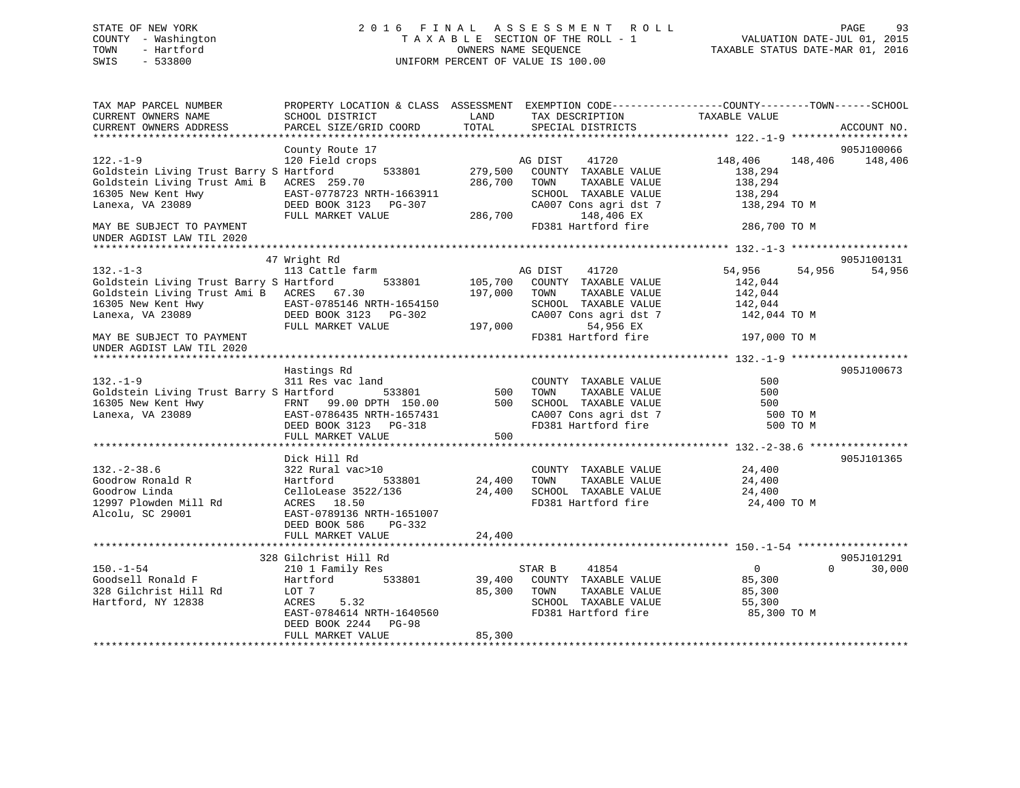## STATE OF NEW YORK 2 0 1 6 F I N A L A S S E S S M E N T R O L L PAGE 93 COUNTY - Washington T A X A B L E SECTION OF THE ROLL - 1 VALUATION DATE-JUL 01, 2015 TOWN - Hartford **TAXABLE STATUS DATE-MAR 01, 2016** OWNERS NAME SEQUENCE TAXABLE STATUS DATE-MAR 01, 2016 SWIS - 533800 UNIFORM PERCENT OF VALUE IS 100.00

| TAX MAP PARCEL NUMBER<br>CURRENT OWNERS NAME                                                                                                     | PROPERTY LOCATION & CLASS ASSESSMENT EXEMPTION CODE----------------COUNTY-------TOWN-----SCHOOL<br>SCHOOL DISTRICT                                                          | LAND                          | TAX DESCRIPTION                                                                                                                 | TAXABLE VALUE                                               |                                  |
|--------------------------------------------------------------------------------------------------------------------------------------------------|-----------------------------------------------------------------------------------------------------------------------------------------------------------------------------|-------------------------------|---------------------------------------------------------------------------------------------------------------------------------|-------------------------------------------------------------|----------------------------------|
| CURRENT OWNERS ADDRESS                                                                                                                           | PARCEL SIZE/GRID COORD                                                                                                                                                      | TOTAL                         | SPECIAL DISTRICTS                                                                                                               |                                                             | ACCOUNT NO.                      |
|                                                                                                                                                  | County Route 17                                                                                                                                                             |                               |                                                                                                                                 |                                                             | 905J100066                       |
| $122. - 1 - 9$<br>Goldstein Living Trust Barry S Hartford<br>Goldstein Living Trust Ami B ACRES 259.70<br>16305 New Kent Hwy<br>Lanexa, VA 23089 | 120 Field crops<br>533801<br>EAST-0778723 NRTH-1663911<br>DEED BOOK 3123 PG-307                                                                                             | 279,500<br>286,700            | 41720<br>AG DIST<br>COUNTY TAXABLE VALUE<br>TOWN<br>TAXABLE VALUE<br>SCHOOL TAXABLE VALUE<br>CA007 Cons agri dst 7              | 148,406<br>138,294<br>138,294<br>138,294<br>138,294 TO M    | 148,406<br>148,406               |
| MAY BE SUBJECT TO PAYMENT<br>UNDER AGDIST LAW TIL 2020                                                                                           | FULL MARKET VALUE                                                                                                                                                           | 286,700                       | 148,406 EX<br>FD381 Hartford fire                                                                                               | 286,700 TO M                                                |                                  |
|                                                                                                                                                  | 47 Wright Rd                                                                                                                                                                |                               |                                                                                                                                 |                                                             | 905J100131                       |
| $132. - 1 - 3$<br>Goldstein Living Trust Barry S Hartford<br>Goldstein Living Trust Ami B ACRES 67.30<br>16305 New Kent Hwy<br>Lanexa, VA 23089  | 113 Cattle farm<br>533801<br>EAST-0785146 NRTH-1654150<br>DEED BOOK 3123 PG-302<br>FULL MARKET VALUE                                                                        | 105,700<br>197,000<br>197,000 | AG DIST<br>41720<br>COUNTY TAXABLE VALUE<br>TOWN<br>TAXABLE VALUE<br>SCHOOL TAXABLE VALUE<br>CA007 Cons agri dst 7<br>54,956 EX | 54,956<br>142,044<br>142,044<br>142,044<br>142,044 TO M     | 54,956<br>54,956                 |
| MAY BE SUBJECT TO PAYMENT<br>UNDER AGDIST LAW TIL 2020                                                                                           |                                                                                                                                                                             |                               | FD381 Hartford fire                                                                                                             | 197,000 TO M                                                |                                  |
| $132. - 1 - 9$<br>Goldstein Living Trust Barry S Hartford<br>16305 New Kent Hwy<br>Lanexa, VA 23089                                              | Hastings Rd<br>311 Res vac land<br>533801<br>FRNT 99.00 DPTH 150.00<br>EAST-0786435 NRTH-1657431<br>DEED BOOK 3123 PG-318<br>FULL MARKET VALUE                              | 500<br>500<br>500             | COUNTY TAXABLE VALUE<br>TOWN<br>TAXABLE VALUE<br>SCHOOL TAXABLE VALUE<br>CA007 Cons agri dst 7<br>FD381 Hartford fire           | 500<br>500<br>500<br>500 TO M<br>500 TO M                   | 905J100673                       |
|                                                                                                                                                  |                                                                                                                                                                             |                               |                                                                                                                                 |                                                             |                                  |
| $132. - 2 - 38.6$<br>Goodrow Ronald R<br>Goodrow Linda<br>12997 Plowden Mill Rd<br>Alcolu, SC 29001                                              | Dick Hill Rd<br>322 Rural vac>10<br>Hartford<br>533801<br>CelloLease 3522/136<br>ACRES 18.50<br>EAST-0789136 NRTH-1651007<br>DEED BOOK 586<br>$PG-332$<br>FULL MARKET VALUE | 24,400<br>24,400<br>24,400    | COUNTY TAXABLE VALUE<br>TOWN<br>TAXABLE VALUE<br>SCHOOL TAXABLE VALUE<br>FD381 Hartford fire                                    | 24,400<br>24,400<br>24,400<br>24,400 TO M                   | 905J101365                       |
|                                                                                                                                                  |                                                                                                                                                                             |                               |                                                                                                                                 |                                                             |                                  |
| $150. - 1 - 54$<br>Goodsell Ronald F<br>328 Gilchrist Hill Rd<br>Hartford, NY 12838                                                              | 328 Gilchrist Hill Rd<br>210 1 Family Res<br>533801<br>Hartford<br>LOT 7<br>ACRES<br>5.32<br>EAST-0784614 NRTH-1640560<br>DEED BOOK 2244 PG-98                              | 39,400<br>85,300              | STAR B<br>41854<br>COUNTY TAXABLE VALUE<br>TOWN<br>TAXABLE VALUE<br>SCHOOL TAXABLE VALUE<br>FD381 Hartford fire                 | $\overline{0}$<br>85,300<br>85,300<br>55,300<br>85,300 TO M | 905J101291<br>$\Omega$<br>30,000 |
|                                                                                                                                                  | FULL MARKET VALUE                                                                                                                                                           | 85,300                        |                                                                                                                                 |                                                             |                                  |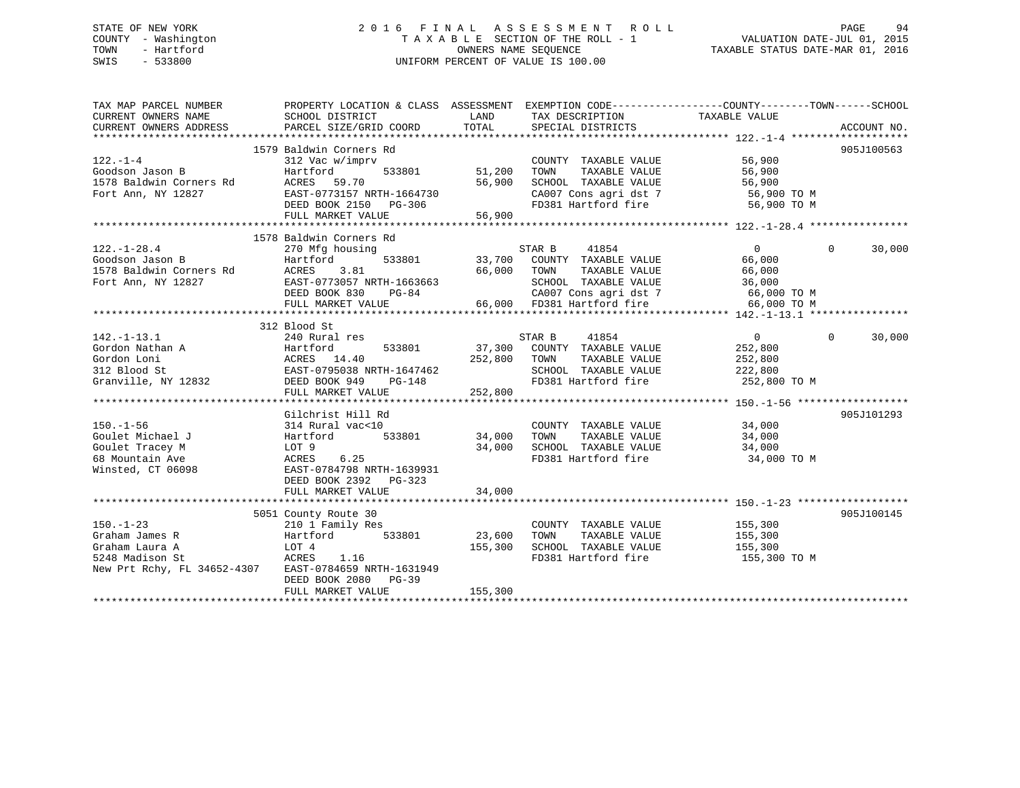## STATE OF NEW YORK 2 0 1 6 F I N A L A S S E S S M E N T R O L L PAGE 94 COUNTY - Washington T A X A B L E SECTION OF THE ROLL - 1 VALUATION DATE-JUL 01, 2015 TOWN - Hartford **TAXABLE STATUS DATE-MAR 01, 2016** OWNERS NAME SEQUENCE TAXABLE STATUS DATE-MAR 01, 2016 SWIS - 533800 UNIFORM PERCENT OF VALUE IS 100.00

| TAX MAP PARCEL NUMBER<br>CURRENT OWNERS NAME<br>CURRENT OWNERS ADDRESS                                         | PROPERTY LOCATION & CLASS ASSESSMENT EXEMPTION CODE---------------COUNTY-------TOWN------SCHOOL<br>SCHOOL DISTRICT | LAND<br>TOTAL | TAX DESCRIPTION                                                                                  | TAXABLE VALUE  |                          |
|----------------------------------------------------------------------------------------------------------------|--------------------------------------------------------------------------------------------------------------------|---------------|--------------------------------------------------------------------------------------------------|----------------|--------------------------|
|                                                                                                                | PARCEL SIZE/GRID COORD                                                                                             |               | SPECIAL DISTRICTS                                                                                |                | ACCOUNT NO.              |
|                                                                                                                | 1579 Baldwin Corners Rd                                                                                            |               |                                                                                                  |                | 905J100563               |
| $122. - 1 - 4$                                                                                                 | 312 Vac w/imprv                                                                                                    |               | COUNTY TAXABLE VALUE 56,900<br>TOWN TAXABLE VALUE 56,900<br>SCHOOL TAXABLE VALUE 56,900          |                |                          |
| Goodson Jason B                                                                                                | Hartford<br>533801                                                                                                 | 51,200        |                                                                                                  |                |                          |
| 1578 Baldwin Corners Rd                                                                                        | ACRES 59.70                                                                                                        | 56,900        |                                                                                                  |                |                          |
| Fort Ann, NY 12827                                                                                             | EAST-0773157 NRTH-1664730                                                                                          |               |                                                                                                  |                |                          |
|                                                                                                                | DEED BOOK 2150 PG-306                                                                                              |               | CA007 Cons agri dst 7 56,900 TO M<br>FD381 Hartford fire 56,900 TO M                             |                |                          |
|                                                                                                                | FULL MARKET VALUE                                                                                                  | 56,900        |                                                                                                  |                |                          |
|                                                                                                                |                                                                                                                    |               |                                                                                                  |                |                          |
|                                                                                                                | 1578 Baldwin Corners Rd                                                                                            |               |                                                                                                  |                |                          |
| $122. - 1 - 28.4$                                                                                              | 270 Mfg housing                                                                                                    |               | STAR B 41854 (0)<br>33,700 COUNTY TAXABLE VALUE (66,000 )<br>66,000 TOWN TAXABLE VALUE (66,000 ) |                | $\Omega$<br>30,000       |
| 122.-1-28.4 270 Mfg h<br>Goodson Jason B                 Hartford<br>1578 Baldwin Corners Rd             ACRES | 533801                                                                                                             |               |                                                                                                  |                |                          |
|                                                                                                                | 3.81                                                                                                               |               |                                                                                                  |                |                          |
| Fort Ann, NY 12827                                                                                             | EAST-0773057 NRTH-1663663                                                                                          |               |                                                                                                  |                |                          |
|                                                                                                                | DEED BOOK 830<br>PG-84                                                                                             |               |                                                                                                  |                |                          |
|                                                                                                                | FULL MARKET VALUE                                                                                                  |               | 563663 5CHOOL TAXABLE VALUE 36,000<br>-84 66,000 66,000 FD381 Hartford fire 66,000 TO M          |                |                          |
|                                                                                                                |                                                                                                                    |               |                                                                                                  |                |                          |
|                                                                                                                | 312 Blood St                                                                                                       |               |                                                                                                  |                |                          |
| $142. - 1 - 13.1$                                                                                              | 240 Rural res                                                                                                      |               | STAR B<br>41854                                                                                  | $\overline{0}$ | $\overline{0}$<br>30,000 |
|                                                                                                                |                                                                                                                    |               | 533801 37,300 COUNTY TAXABLE VALUE                                                               | 252,800        |                          |
|                                                                                                                |                                                                                                                    | 252,800 TOWN  | TAXABLE VALUE                                                                                    | 252,800        |                          |
|                                                                                                                | VRTH-1647462<br>PG-148                                                                                             |               | SCHOOL TAXABLE VALUE 222,800                                                                     |                |                          |
|                                                                                                                |                                                                                                                    |               | FD381 Hartford fire                                                                              | 252,800 TO M   |                          |
|                                                                                                                | FULL MARKET VALUE                                                                                                  | 252,800       |                                                                                                  |                |                          |
|                                                                                                                |                                                                                                                    |               |                                                                                                  |                |                          |
|                                                                                                                | Gilchrist Hill Rd                                                                                                  |               |                                                                                                  |                | 905J101293               |
| $150. - 1 - 56$                                                                                                | 314 Rural vac<10                                                                                                   |               | COUNTY TAXABLE VALUE 34,000                                                                      |                |                          |
| Goulet Michael J                                                                                               |                                                                                                                    | 34,000 TOWN   |                                                                                                  |                |                          |
| Goulet Tracey M                                                                                                |                                                                                                                    |               | 34,000 TOWN TAXABLE VALUE 34,000<br>34,000 SCHOOL TAXABLE VALUE 34,000                           |                |                          |
| 68 Mountain Ave                                                                                                | Hartford 533801<br>LOT 9<br>ACRES 6.25<br>EAST-0784798 NRTH-1639931                                                |               | FD381 Hartford fire 34,000 TO M                                                                  |                |                          |
| Winsted, CT 06098                                                                                              |                                                                                                                    |               |                                                                                                  |                |                          |
|                                                                                                                | DEED BOOK 2392 PG-323                                                                                              |               |                                                                                                  |                |                          |
|                                                                                                                | FULL MARKET VALUE                                                                                                  | 34,000        |                                                                                                  |                |                          |
|                                                                                                                |                                                                                                                    |               |                                                                                                  |                |                          |
|                                                                                                                | 5051 County Route 30                                                                                               |               |                                                                                                  |                | 905J100145               |
| $150. - 1 - 23$                                                                                                | 210 1 Family Res                                                                                                   |               | COUNTY TAXABLE VALUE 155,300<br>TOWN TAXABLE VALUE 155,300                                       |                |                          |
| Graham James R                                                                                                 | 533801<br>Hartford                                                                                                 | 23,600        | TOWN                                                                                             |                |                          |
| Graham Laura A                                                                                                 | LOT 4<br>ACRES 1.16                                                                                                | 155,300       | SCHOOL TAXABLE VALUE 155,300                                                                     |                |                          |
| 5248 Madison St                                                                                                |                                                                                                                    |               | FD381 Hartford fire                                                                              | 155,300 TO M   |                          |
| New Prt Rchy, FL 34652-4307 EAST-0784659 NRTH-1631949                                                          |                                                                                                                    |               |                                                                                                  |                |                          |
|                                                                                                                | DEED BOOK 2080 PG-39                                                                                               |               |                                                                                                  |                |                          |
|                                                                                                                | FULL MARKET VALUE                                                                                                  | 155,300       |                                                                                                  |                |                          |
|                                                                                                                |                                                                                                                    |               |                                                                                                  |                |                          |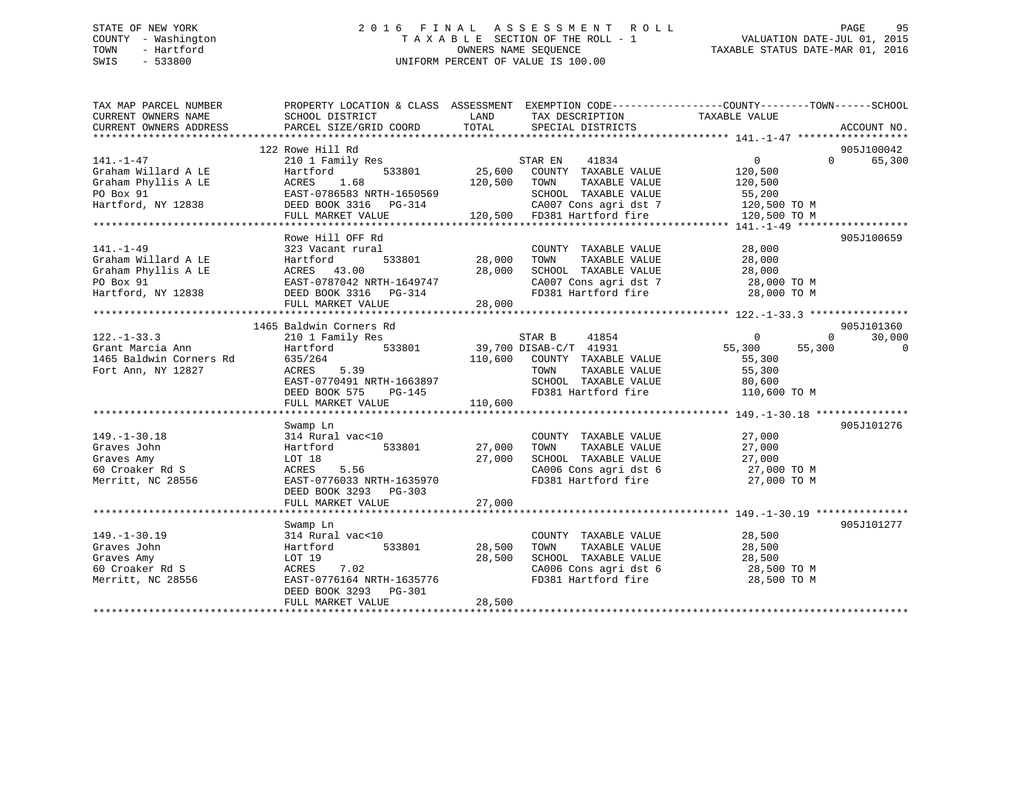## STATE OF NEW YORK 2 0 1 6 F I N A L A S S E S S M E N T R O L L PAGE 95 COUNTY - Washington T A X A B L E SECTION OF THE ROLL - 1 VALUATION DATE-JUL 01, 2015 TOWN - Hartford **TAXABLE STATUS DATE-MAR 01, 2016** OWNERS NAME SEQUENCE TAXABLE STATUS DATE-MAR 01, 2016 SWIS - 533800 UNIFORM PERCENT OF VALUE IS 100.00

| TAX MAP PARCEL NUMBER<br>CURRENT OWNERS NAME | PROPERTY LOCATION & CLASS ASSESSMENT EXEMPTION CODE---------------COUNTY-------TOWN------SCHOOL<br>SCHOOL DISTRICT | LAND             | TAX DESCRIPTION                                        | TAXABLE VALUE                                                    |                                  |
|----------------------------------------------|--------------------------------------------------------------------------------------------------------------------|------------------|--------------------------------------------------------|------------------------------------------------------------------|----------------------------------|
| CURRENT OWNERS ADDRESS                       | PARCEL SIZE/GRID COORD                                                                                             | TOTAL            | SPECIAL DISTRICTS                                      |                                                                  | ACCOUNT NO.                      |
|                                              |                                                                                                                    |                  |                                                        |                                                                  |                                  |
| $141. - 1 - 47$                              | 122 Rowe Hill Rd<br>210 1 Family Res                                                                               |                  | 41834<br>STAR EN                                       | 0                                                                | 905J100042<br>65,300<br>$\Omega$ |
| Graham Willard A LE                          | 533801<br>Hartford                                                                                                 | $^{S}$<br>25,600 | COUNTY TAXABLE VALUE                                   | 120,500                                                          |                                  |
| Graham Phyllis A LE                          | 1.68<br>ACRES                                                                                                      | 120,500          | TAXABLE VALUE<br>TOWN                                  | 120,500                                                          |                                  |
| PO Box 91                                    | EAST-0786583 NRTH-1650569                                                                                          |                  | SCHOOL TAXABLE VALUE                                   | 55,200                                                           |                                  |
| Hartford, NY 12838                           | DEED BOOK 3316 PG-314                                                                                              |                  |                                                        | CA007 Cons agri dst 7 120,500 TO M                               |                                  |
|                                              | FULL MARKET VALUE                                                                                                  |                  | 120,500 FD381 Hartford fire                            | 120,500 TO M                                                     |                                  |
|                                              |                                                                                                                    |                  |                                                        |                                                                  |                                  |
|                                              | Rowe Hill OFF Rd                                                                                                   |                  |                                                        |                                                                  | 905J100659                       |
| $141. - 1 - 49$                              | 323 Vacant rural                                                                                                   |                  | COUNTY TAXABLE VALUE                                   | 28,000                                                           |                                  |
| Graham Willard A LE                          | Hartford                                                                                                           | 533801 28,000    | TAXABLE VALUE<br>TOWN                                  | 28,000                                                           |                                  |
| Graham Phyllis A LE                          | ACRES 43.00                                                                                                        | 28,000           | SCHOOL TAXABLE VALUE                                   | 28,000                                                           |                                  |
| PO Box 91                                    | EAST-0787042 NRTH-1649747                                                                                          |                  |                                                        | SCHOOL TAXABLE VALUE 28,000<br>CA007 Cons agri dst 7 28,000 TO M |                                  |
| Hartford, NY 12838                           | DEED BOOK 3316 PG-314                                                                                              |                  | FD381 Hartford fire                                    | 28,000 TO M                                                      |                                  |
|                                              | FULL MARKET VALUE                                                                                                  | 28,000           |                                                        |                                                                  |                                  |
|                                              |                                                                                                                    |                  |                                                        |                                                                  |                                  |
|                                              | 1465 Baldwin Corners Rd                                                                                            |                  |                                                        |                                                                  | 905J101360                       |
| $122. - 1 - 33.3$                            | 210 1 Family Res                                                                                                   |                  | STAR B<br>41854                                        | $\overline{0}$                                                   | 30,000<br>$\overline{0}$         |
| Grant Marcia Ann<br>1465 Baldwin Corners Rd  | 533801<br>Hartford<br>635/264                                                                                      |                  | 39,700 DISAB-C/T 41931<br>110,600 COUNTY TAXABLE VALUE | 55,300<br>55,300                                                 | $\overline{0}$                   |
| Fort Ann, NY 12827                           | 5.39<br>ACRES                                                                                                      |                  | TOWN<br>TAXABLE VALUE                                  | 55,300<br>55,300                                                 |                                  |
|                                              | EAST-0770491 NRTH-1663897                                                                                          |                  | SCHOOL TAXABLE VALUE                                   | 80,600                                                           |                                  |
|                                              | DEED BOOK 575<br>$PG-145$                                                                                          |                  | FD381 Hartford fire                                    | 110,600 TO M                                                     |                                  |
|                                              | FULL MARKET VALUE                                                                                                  | 110,600          |                                                        |                                                                  |                                  |
|                                              |                                                                                                                    |                  |                                                        |                                                                  |                                  |
|                                              | Swamp Ln                                                                                                           |                  |                                                        |                                                                  | 905J101276                       |
| $149. - 1 - 30.18$                           | 314 Rural vac<10                                                                                                   |                  | COUNTY TAXABLE VALUE                                   | 27,000                                                           |                                  |
| Graves John                                  | 533801<br>Hartford                                                                                                 | 27,000           | TAXABLE VALUE<br>TOWN                                  | 27,000                                                           |                                  |
| Graves Amy                                   | LOT 18                                                                                                             | 27,000           | SCHOOL TAXABLE VALUE                                   | 27,000                                                           |                                  |
| 60 Croaker Rd S                              | 5.56<br>ACRES                                                                                                      |                  | CA006 Cons agri dst 6                                  | 27,000 TO M                                                      |                                  |
| Merritt, NC 28556                            | EAST-0776033 NRTH-1635970                                                                                          |                  | FD381 Hartford fire                                    | 27,000 TO M                                                      |                                  |
|                                              | DEED BOOK 3293 PG-303                                                                                              |                  |                                                        |                                                                  |                                  |
|                                              | FULL MARKET VALUE                                                                                                  | 27,000           |                                                        |                                                                  |                                  |
|                                              |                                                                                                                    |                  |                                                        |                                                                  |                                  |
|                                              | Swamp Ln                                                                                                           |                  |                                                        |                                                                  | 905J101277                       |
| $149. - 1 - 30.19$                           | 314 Rural vac<10                                                                                                   |                  | COUNTY TAXABLE VALUE                                   | 28,500                                                           |                                  |
| Graves John                                  | 533801<br>Hartford                                                                                                 | 28,500           | TAXABLE VALUE<br>TOWN                                  | 28,500                                                           |                                  |
| Graves Amy                                   | LOT 19                                                                                                             | 28,500           | SCHOOL TAXABLE VALUE                                   | 28,500                                                           |                                  |
| 60 Croaker Rd S                              | ACRES<br>7.02<br>EAST-0776164 NRTH-1635776                                                                         |                  | CA006 Cons agri dst 6<br>FD381 Hartford fire           | 28,500 TO M                                                      |                                  |
| Merritt, NC 28556                            | DEED BOOK 3293 PG-301                                                                                              |                  |                                                        | 28,500 TO M                                                      |                                  |
|                                              | FULL MARKET VALUE                                                                                                  | 28,500           |                                                        |                                                                  |                                  |
|                                              |                                                                                                                    |                  |                                                        |                                                                  |                                  |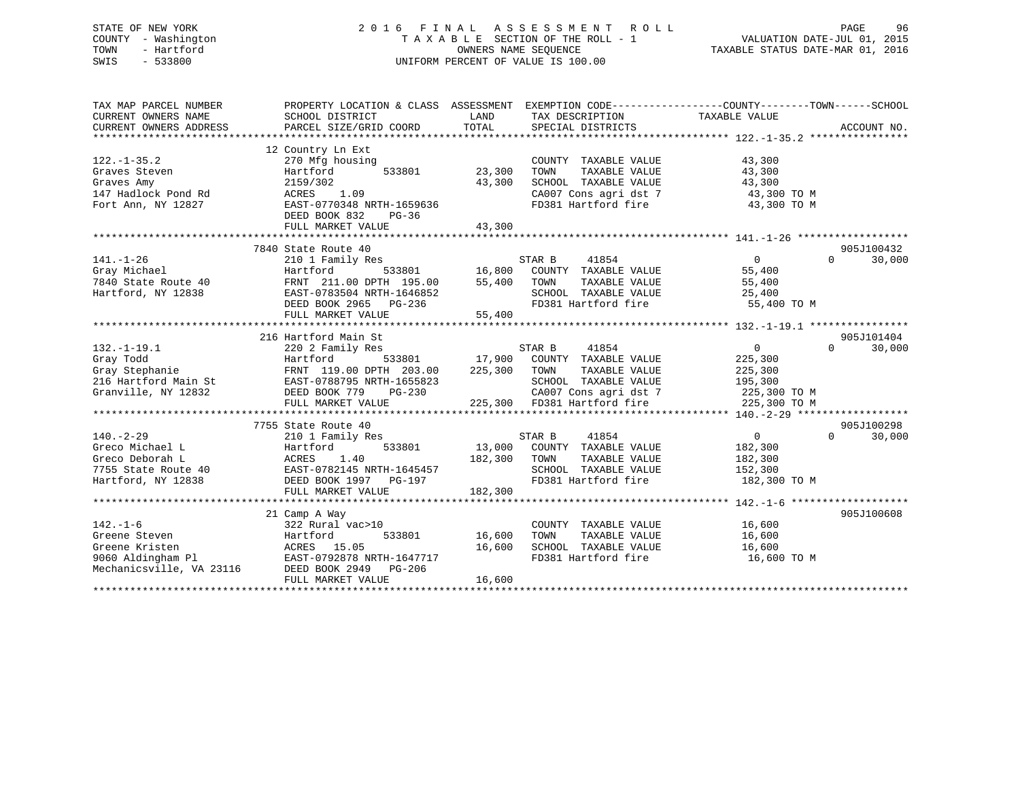## STATE OF NEW YORK 2 0 1 6 F I N A L A S S E S S M E N T R O L L PAGE 96 COUNTY - Washington T A X A B L E SECTION OF THE ROLL - 1 VALUATION DATE-JUL 01, 2015 TOWN - Hartford **TAXABLE STATUS DATE-MAR 01, 2016** OWNERS NAME SEQUENCE TAXABLE STATUS DATE-MAR 01, 2016 SWIS - 533800 UNIFORM PERCENT OF VALUE IS 100.00

| TAX MAP PARCEL NUMBER<br>CURRENT OWNERS NAME<br>CURRENT OWNERS ADDRESS                                                                                                                                                                      | PROPERTY LOCATION & CLASS ASSESSMENT EXEMPTION CODE---------------COUNTY-------TOWN------SCHOOL<br>SCHOOL DISTRICT<br>PARCEL SIZE/GRID COORD | LAND<br>TOTAL | TAX DESCRIPTION<br>SPECIAL DISTRICTS |                                   | ACCOUNT NO.        |
|---------------------------------------------------------------------------------------------------------------------------------------------------------------------------------------------------------------------------------------------|----------------------------------------------------------------------------------------------------------------------------------------------|---------------|--------------------------------------|-----------------------------------|--------------------|
|                                                                                                                                                                                                                                             |                                                                                                                                              |               |                                      |                                   |                    |
| $122. - 1 - 35.2$                                                                                                                                                                                                                           | 12 Country Ln Ext<br>270 Mfg housing                                                                                                         |               | COUNTY TAXABLE VALUE                 | 43,300                            |                    |
| Graves Steven                                                                                                                                                                                                                               | Hartford<br>533801                                                                                                                           | 23,300        | TAXABLE VALUE<br>TOWN                | 43,300                            |                    |
| Graves Amy                                                                                                                                                                                                                                  | 2159/302                                                                                                                                     | 43,300        | SCHOOL TAXABLE VALUE                 | 43,300                            |                    |
| 147 Hadlock Pond Rd                                                                                                                                                                                                                         | ACRES<br>1.09                                                                                                                                |               |                                      | CA007 Cons agri dst 7 43,300 TO M |                    |
| Fort Ann, NY 12827                                                                                                                                                                                                                          | EAST-0770348 NRTH-1659636<br>DEED BOOK 832<br>PG-36                                                                                          |               | FD381 Hartford fire                  | 43,300 TO M                       |                    |
|                                                                                                                                                                                                                                             | FULL MARKET VALUE                                                                                                                            | 43,300        |                                      |                                   |                    |
|                                                                                                                                                                                                                                             |                                                                                                                                              |               |                                      |                                   |                    |
|                                                                                                                                                                                                                                             | 7840 State Route 40                                                                                                                          |               |                                      |                                   | 905J100432         |
| $141. - 1 - 26$                                                                                                                                                                                                                             | 210 1 Family Res                                                                                                                             |               | 41854<br>STAR B                      | $\overline{0}$                    | $\Omega$<br>30,000 |
| Gray Michael<br>7840 State Route 40                                                                                                                                                                                                         | Hartford 533801 16,800 COUNTY TAXABLE VALUE<br>FRNT 211.00 DPTH 195.00 55,400 TOWN TAXABLE VALUE                                             |               |                                      | 55,400                            |                    |
|                                                                                                                                                                                                                                             |                                                                                                                                              |               |                                      | 55,400                            |                    |
| Hartford, NY 12838                                                                                                                                                                                                                          |                                                                                                                                              |               |                                      |                                   |                    |
|                                                                                                                                                                                                                                             |                                                                                                                                              |               |                                      |                                   |                    |
| Hartford, NY 12838<br>Hartford, NY 12838<br>EXST-0783504 NRTH-1646852<br>DEED BOOK 2965 PG-236<br>FULL MARKET VALUE 55,400<br>FULL MARKET VALUE 55,400<br>FULL MARKET VALUE 55,400<br>FULL MARKET VALUE 55,400<br>FULL MARKET STANDE 55,400 |                                                                                                                                              |               |                                      |                                   |                    |
|                                                                                                                                                                                                                                             |                                                                                                                                              |               |                                      |                                   |                    |
|                                                                                                                                                                                                                                             | 216 Hartford Main St                                                                                                                         |               |                                      |                                   | 905J101404         |
| $132. - 1 - 19.1$                                                                                                                                                                                                                           | 220 2 Family Res                                                                                                                             |               | 41854<br>STAR B                      | $\overline{0}$                    | $\Omega$<br>30,000 |
|                                                                                                                                                                                                                                             |                                                                                                                                              | 533801 17,900 | COUNTY TAXABLE VALUE                 | 225,300                           |                    |
|                                                                                                                                                                                                                                             | FRNT 119.00 DPTH 203.00                                                                                                                      | 225,300       | TOWN<br>TAXABLE VALUE                | 225,300                           |                    |
|                                                                                                                                                                                                                                             |                                                                                                                                              |               | SCHOOL TAXABLE VALUE                 | 195,300                           |                    |
| Granville, NY 12832                                                                                                                                                                                                                         | DEED BOOK 779<br>PG-230                                                                                                                      |               | CA007 Cons agri dst 7                | 225,300 TO M                      |                    |
|                                                                                                                                                                                                                                             | FULL MARKET VALUE                                                                                                                            |               | 225,300 FD381 Hartford fire          | 225,300 TO M                      |                    |
|                                                                                                                                                                                                                                             |                                                                                                                                              |               |                                      |                                   |                    |
|                                                                                                                                                                                                                                             | 7755 State Route 40                                                                                                                          |               |                                      |                                   | 905J100298         |
| $140. - 2 - 29$                                                                                                                                                                                                                             | 210 1 Family Res                                                                                                                             |               | 41854<br>STAR B                      | $0 \qquad \qquad$                 | $\Omega$<br>30,000 |
| Greco Michael L                                                                                                                                                                                                                             | Hartford<br>533801                                                                                                                           |               | 13,000 COUNTY TAXABLE VALUE          | 182,300                           |                    |
|                                                                                                                                                                                                                                             |                                                                                                                                              | 182,300       | TOWN<br>TAXABLE VALUE                | 182,300                           |                    |
|                                                                                                                                                                                                                                             |                                                                                                                                              |               | SCHOOL TAXABLE VALUE                 | 152,300                           |                    |
| Greco michaci 2<br>Greco Deborah L<br>7755 State Route 40<br>Hartford, NY 12838<br>The CEED BOOK 1997 PG-197<br>The CHEED BOOK 1997 PG-197<br>The CHEED BOOK 1997 PG-197                                                                    |                                                                                                                                              |               | FD381 Hartford fire                  | 182,300 TO M                      |                    |
|                                                                                                                                                                                                                                             | FULL MARKET VALUE                                                                                                                            | 182,300       |                                      |                                   |                    |
|                                                                                                                                                                                                                                             |                                                                                                                                              |               |                                      |                                   |                    |
|                                                                                                                                                                                                                                             | 21 Camp A Way                                                                                                                                |               |                                      |                                   | 905J100608         |
| $142. - 1 - 6$                                                                                                                                                                                                                              | 322 Rural vac>10                                                                                                                             |               | COUNTY TAXABLE VALUE                 | 16,600                            |                    |
|                                                                                                                                                                                                                                             |                                                                                                                                              | 16,600        | TOWN<br>TAXABLE VALUE                | 16,600                            |                    |
| Greene Steven<br>Greene Kristen<br>9060 Aldingham Pl<br>Mechanicsville, VA 23116<br>2006 BOOK 2949<br>2016<br>2006 BOOK 2949<br>2016<br>2016<br>2016 DEED BOOK 2949<br>2019<br>2016 PG-206                                                  |                                                                                                                                              | 16,600        | SCHOOL TAXABLE VALUE 16,600          |                                   |                    |
|                                                                                                                                                                                                                                             |                                                                                                                                              |               | FD381 Hartford fire                  | 16,600 TO M                       |                    |
|                                                                                                                                                                                                                                             |                                                                                                                                              |               |                                      |                                   |                    |
|                                                                                                                                                                                                                                             | FULL MARKET VALUE                                                                                                                            | 16,600        |                                      |                                   |                    |
|                                                                                                                                                                                                                                             |                                                                                                                                              |               |                                      |                                   |                    |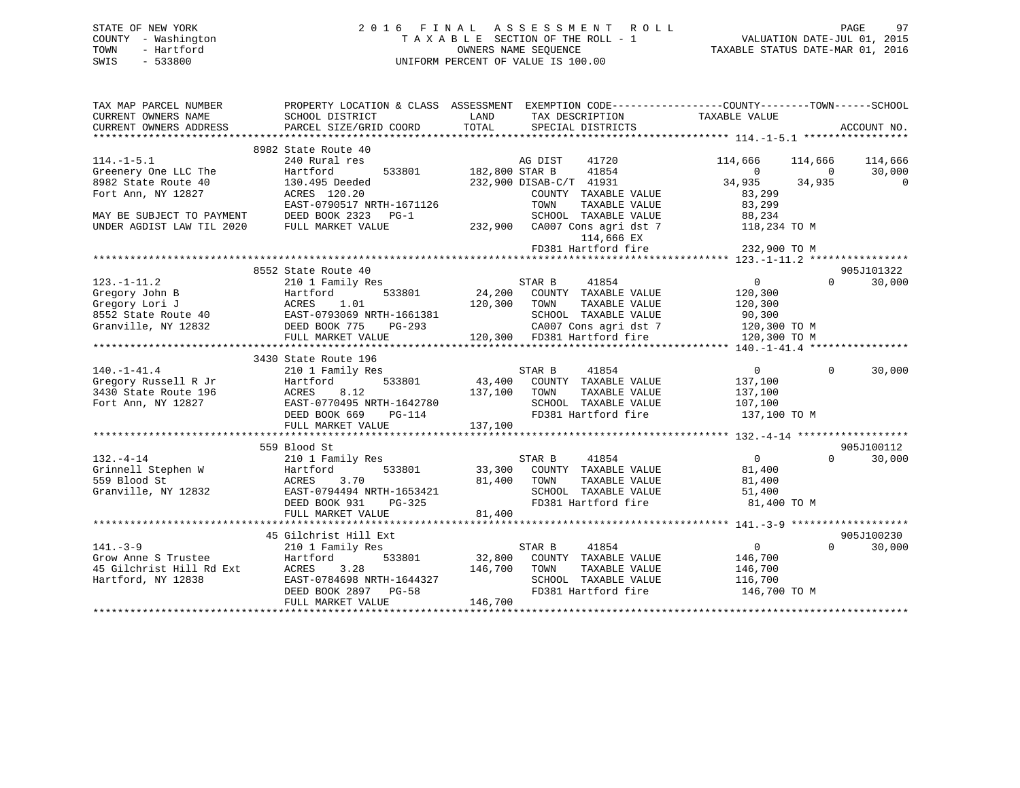| STATE OF NEW YORK   | 2016 FINAL ASSESSMENT ROLL         | 97<br>PAGE                       |
|---------------------|------------------------------------|----------------------------------|
| COUNTY - Washington | TAXABLE SECTION OF THE ROLL - 1    | VALUATION DATE-JUL 01, 2015      |
| - Hartford<br>TOWN  | OWNERS NAME SEOUENCE               | TAXABLE STATUS DATE-MAR 01, 2016 |
| SWIS<br>- 533800    | UNIFORM PERCENT OF VALUE IS 100.00 |                                  |

| TAX MAP PARCEL NUMBER                                                                                                                |                                                                                                                                                                                     | PROPERTY LOCATION & CLASS ASSESSMENT EXEMPTION CODE---------------COUNTY-------TOWN-----SCHOOL                                                                                                                                                   |                                                             |
|--------------------------------------------------------------------------------------------------------------------------------------|-------------------------------------------------------------------------------------------------------------------------------------------------------------------------------------|--------------------------------------------------------------------------------------------------------------------------------------------------------------------------------------------------------------------------------------------------|-------------------------------------------------------------|
| CURRENT OWNERS NAME                                                                                                                  | SCHOOL DISTRICT                                                                                                                                                                     | LAND<br>TAX DESCRIPTION                                                                                                                                                                                                                          | TAXABLE VALUE                                               |
| CURRENT OWNERS ADDRESS                                                                                                               | PARCEL SIZE/GRID COORD                                                                                                                                                              | TOTAL SPECIAL DISTRICTS                                                                                                                                                                                                                          | ACCOUNT NO.                                                 |
|                                                                                                                                      |                                                                                                                                                                                     |                                                                                                                                                                                                                                                  |                                                             |
|                                                                                                                                      | 8982 State Route 40                                                                                                                                                                 |                                                                                                                                                                                                                                                  |                                                             |
| $114. -1 - 5.1$                                                                                                                      |                                                                                                                                                                                     | 41720                                                                                                                                                                                                                                            | 114,666 114,666 114,666                                     |
| Greenery One LLC The                                                                                                                 |                                                                                                                                                                                     | 41854                                                                                                                                                                                                                                            | $\begin{array}{ccc} & & 0 & & \hline \end{array}$<br>30,000 |
| 8982 State Route 40                                                                                                                  | 130.495 Deeded                                                                                                                                                                      | 232,900 DISAB-C/T 41931                                                                                                                                                                                                                          | 34,935 34,935<br>$\overline{0}$                             |
| Fort Ann, NY 12827                                                                                                                   | ACRES 120.20                                                                                                                                                                        | COUNTY TAXABLE VALUE                                                                                                                                                                                                                             | 83,299                                                      |
|                                                                                                                                      | EAST-0790517 NRTH-1671126                                                                                                                                                           | TOWN                                                                                                                                                                                                                                             | TAXABLE VALUE 83,299                                        |
| MAY BE SUBJECT TO PAYMENT                                                                                                            | DEED BOOK 2323 PG-1                                                                                                                                                                 |                                                                                                                                                                                                                                                  | 88,234                                                      |
| UNDER AGDIST LAW TIL 2020                                                                                                            | FULL MARKET VALUE                                                                                                                                                                   | SCHOOL TAXABLE VALUE<br>232,900 CA007 Cons agri dst 7                                                                                                                                                                                            | 118,234 TO M                                                |
|                                                                                                                                      |                                                                                                                                                                                     | 114,666 EX                                                                                                                                                                                                                                       |                                                             |
|                                                                                                                                      |                                                                                                                                                                                     | FD381 Hartford fire                                                                                                                                                                                                                              | 232,900 TO M                                                |
|                                                                                                                                      |                                                                                                                                                                                     |                                                                                                                                                                                                                                                  |                                                             |
|                                                                                                                                      | 8552 State Route 40                                                                                                                                                                 |                                                                                                                                                                                                                                                  | 905J101322                                                  |
| $123. -1 - 11.2$                                                                                                                     | 210 1 Family Res                                                                                                                                                                    | STAR B<br>41854                                                                                                                                                                                                                                  | $\overline{0}$<br>$\Omega$<br>30,000                        |
|                                                                                                                                      |                                                                                                                                                                                     |                                                                                                                                                                                                                                                  |                                                             |
|                                                                                                                                      |                                                                                                                                                                                     |                                                                                                                                                                                                                                                  |                                                             |
|                                                                                                                                      |                                                                                                                                                                                     |                                                                                                                                                                                                                                                  |                                                             |
|                                                                                                                                      |                                                                                                                                                                                     | Chegory John B<br>Chegory John B<br>Chegory Lori J<br>Chegory Lori J<br>24,200 COUNTY TAXABLE VALUE<br>24,200 COUNTY TAXABLE VALUE<br>24,200 COUNTY TAXABLE VALUE<br>20,300 TOWN TAXABLE VALUE<br>20,300 TOWN TAXABLE VALUE<br>20,300 TOWN TAXAB |                                                             |
|                                                                                                                                      |                                                                                                                                                                                     |                                                                                                                                                                                                                                                  |                                                             |
|                                                                                                                                      |                                                                                                                                                                                     |                                                                                                                                                                                                                                                  |                                                             |
|                                                                                                                                      | 3430 State Route 196                                                                                                                                                                |                                                                                                                                                                                                                                                  |                                                             |
| $140.-1-41.4$                                                                                                                        | 210 1 Family Res                                                                                                                                                                    |                                                                                                                                                                                                                                                  | $\overline{0}$<br>$\Omega$<br>30,000                        |
| Gregory Russell R Jr and Hartford<br>3430 State Route 196 ACRES                                                                      |                                                                                                                                                                                     |                                                                                                                                                                                                                                                  | 137,100                                                     |
|                                                                                                                                      |                                                                                                                                                                                     |                                                                                                                                                                                                                                                  | TAXABLE VALUE 137,100                                       |
| Fort Ann, NY 12827                                                                                                                   |                                                                                                                                                                                     |                                                                                                                                                                                                                                                  |                                                             |
|                                                                                                                                      | ACRES 8.12<br>EAST-0770495 NRTH-1642780<br>DEED BOOK 669 PG-114<br>PETER DOOK 669 PG-114<br>PETER DEEP DOOK 669 PG-114<br>PETER DEEP DOOK 669 PG-114<br>PETER DEEP DEEP DEEP PERENT | SCHOOL TAXABLE VALUE 107,100<br>FD381 Hartford fire                                                                                                                                                                                              | 137,100 TO M                                                |
|                                                                                                                                      | FULL MARKET VALUE                                                                                                                                                                   | 137,100                                                                                                                                                                                                                                          |                                                             |
|                                                                                                                                      |                                                                                                                                                                                     |                                                                                                                                                                                                                                                  |                                                             |
|                                                                                                                                      | 559 Blood St                                                                                                                                                                        |                                                                                                                                                                                                                                                  | 905J100112                                                  |
|                                                                                                                                      | 210 1 Family Res                                                                                                                                                                    |                                                                                                                                                                                                                                                  | $\overline{0}$<br>$\Omega$<br>30,000                        |
|                                                                                                                                      |                                                                                                                                                                                     |                                                                                                                                                                                                                                                  |                                                             |
| COMPANY 1989<br>Grinnell Stephen W<br>S59 Blood St<br>Granville, NY 12832<br>EAST-07944                                              | 3.70                                                                                                                                                                                | 81,400 TOWN                                                                                                                                                                                                                                      |                                                             |
|                                                                                                                                      | EAST-0794494 NRTH-1653421                                                                                                                                                           | 81,400 TOWN TAXABLE VALUE<br>SCHOOL TAXABLE VALUE<br>FD381 Hartford fire                                                                                                                                                                         | TAXABLE VALUE 81,400<br>51,400                              |
|                                                                                                                                      | DEED BOOK 931<br>PG-325                                                                                                                                                             | FD381 Hartford fire                                                                                                                                                                                                                              | 81,400 TO M                                                 |
|                                                                                                                                      | FULL MARKET VALUE                                                                                                                                                                   | 81,400                                                                                                                                                                                                                                           |                                                             |
|                                                                                                                                      |                                                                                                                                                                                     |                                                                                                                                                                                                                                                  |                                                             |
|                                                                                                                                      | 45 Gilchrist Hill Ext                                                                                                                                                               |                                                                                                                                                                                                                                                  | 905J100230                                                  |
| $141. -3 - 9$                                                                                                                        | 210 1 Family Res                                                                                                                                                                    | STAR B 41854                                                                                                                                                                                                                                     | $\overline{0}$<br>$\Omega$<br>30,000                        |
|                                                                                                                                      |                                                                                                                                                                                     | 533801 32,800 COUNTY TAXABLE VALUE 146,700                                                                                                                                                                                                       |                                                             |
| First South Martford<br>The Same Strustee Hartford<br>15 Gilchrist Hill Rd Ext<br>17 ACRES 3.28<br>Hartford, NY 12838 EAST-0784698 N |                                                                                                                                                                                     |                                                                                                                                                                                                                                                  |                                                             |
| Hartford, NY 12838                                                                                                                   |                                                                                                                                                                                     |                                                                                                                                                                                                                                                  |                                                             |
|                                                                                                                                      |                                                                                                                                                                                     |                                                                                                                                                                                                                                                  |                                                             |
|                                                                                                                                      |                                                                                                                                                                                     | ACRES 3.28 146,700 TOWN TAXABLE VALUE 116,700<br>EAST-0784698 NRTH-1644327 SCHOOL TAXABLE VALUE 116,700<br>DEED BOOK 2897 PG-58 FD381 Hartford fire 146,700<br>FULL MARKET VALUE 146,700<br>FD381 Hartford fire 146,700 TO M                     |                                                             |
|                                                                                                                                      |                                                                                                                                                                                     |                                                                                                                                                                                                                                                  |                                                             |
|                                                                                                                                      |                                                                                                                                                                                     |                                                                                                                                                                                                                                                  |                                                             |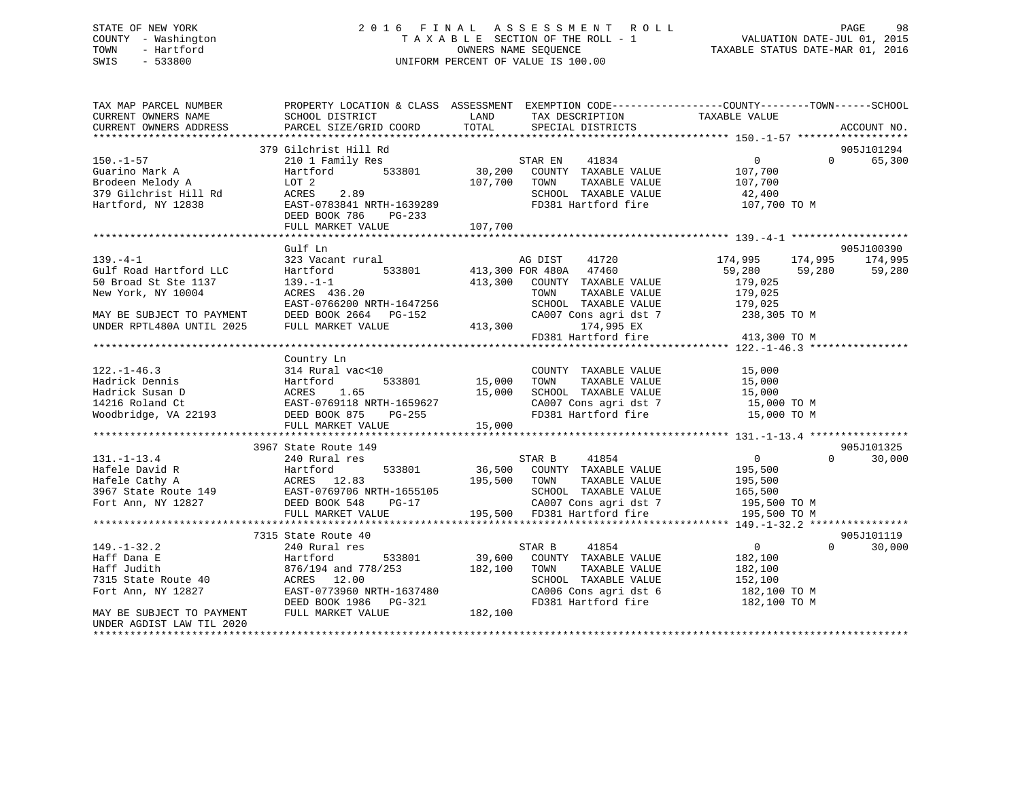## STATE OF NEW YORK 2 0 1 6 F I N A L A S S E S S M E N T R O L L PAGE 98 COUNTY - Washington T A X A B L E SECTION OF THE ROLL - 1 VALUATION DATE-JUL 01, 2015 TOWN - Hartford OWNERS NAME SEQUENCE TAXABLE STATUS DATE-MAR 01, 2016 SWIS - 533800 UNIFORM PERCENT OF VALUE IS 100.00UNIFORM PERCENT OF VALUE IS 100.00

| TAX MAP PARCEL NUMBER<br>CURRENT OWNERS NAME<br>CURRENT OWNERS ADDRESS                               | PROPERTY LOCATION & CLASS ASSESSMENT EXEMPTION CODE----------------COUNTY-------TOWN------SCHOOL<br>SCHOOL DISTRICT<br>PARCEL SIZE/GRID COORD | LAND<br>TOTAL     | TAX DESCRIPTION<br>SPECIAL DISTRICTS                                                                                        | TAXABLE VALUE                                                           | ACCOUNT NO.                      |
|------------------------------------------------------------------------------------------------------|-----------------------------------------------------------------------------------------------------------------------------------------------|-------------------|-----------------------------------------------------------------------------------------------------------------------------|-------------------------------------------------------------------------|----------------------------------|
|                                                                                                      | 379 Gilchrist Hill Rd                                                                                                                         |                   |                                                                                                                             |                                                                         | 905J101294                       |
| $150. - 1 - 57$<br>Guarino Mark A<br>Brodeen Melody A<br>379 Gilchrist Hill Rd<br>Hartford, NY 12838 | 210 1 Family Res<br>Hartford<br>533801<br>LOT 2<br>ACRES<br>2.89<br>EAST-0783841 NRTH-1639289<br>DEED BOOK 786<br>$PG-233$                    | 30,200<br>107,700 | 41834<br>STAR EN<br>COUNTY TAXABLE VALUE<br>TOWN<br>TAXABLE VALUE<br>SCHOOL TAXABLE VALUE<br>FD381 Hartford fire            | $\overline{0}$<br>107,700<br>107,700<br>42,400<br>107,700 TO M          | 65,300<br>$\Omega$               |
|                                                                                                      | FULL MARKET VALUE                                                                                                                             | 107,700           |                                                                                                                             |                                                                         |                                  |
|                                                                                                      | Gulf Ln                                                                                                                                       |                   |                                                                                                                             |                                                                         | 905J100390                       |
| $139. -4 - 1$<br>Gulf Road Hartford LLC<br>50 Broad St Ste 1137<br>New York, NY 10004                | 323 Vacant rural<br>533801<br>Hartford<br>$139. - 1 - 1$<br>ACRES 436.20<br>EAST-0766200 NRTH-1647256                                         |                   | AG DIST<br>41720<br>413,300 FOR 480A 47460<br>413,300 COUNTY TAXABLE VALUE<br>TOWN<br>TAXABLE VALUE<br>SCHOOL TAXABLE VALUE | 174,995<br>174,995<br>59,280<br>59,280<br>179,025<br>179,025<br>179,025 | 174,995<br>59,280                |
| MAY BE SUBJECT TO PAYMENT<br>UNDER RPTL480A UNTIL 2025                                               | DEED BOOK 2664 PG-152<br>FULL MARKET VALUE                                                                                                    | 413,300           | CA007 Cons agri dst 7<br>174,995 EX                                                                                         | 238,305 TO M                                                            |                                  |
|                                                                                                      |                                                                                                                                               |                   | FD381 Hartford fire                                                                                                         | 413,300 TO M                                                            |                                  |
|                                                                                                      | Country Ln                                                                                                                                    |                   |                                                                                                                             |                                                                         |                                  |
| $122. - 1 - 46.3$<br>Hadrick Dennis<br>Hadrick Susan D<br>14216 Roland Ct                            | 314 Rural vac<10<br>Hartford<br>533801<br>1.65<br>ACRES<br>EAST-0769118 NRTH-1659627                                                          | 15,000<br>15,000  | COUNTY TAXABLE VALUE<br>TAXABLE VALUE<br>TOWN<br>SCHOOL TAXABLE VALUE<br>CA007 Cons agri dst 7                              | 15,000<br>15,000<br>15,000<br>15,000 TO M                               |                                  |
| Woodbridge, VA 22193                                                                                 | DEED BOOK 875<br>PG-255<br>FULL MARKET VALUE                                                                                                  | 15,000            | FD381 Hartford fire                                                                                                         | 15,000 TO M                                                             |                                  |
|                                                                                                      |                                                                                                                                               |                   |                                                                                                                             |                                                                         |                                  |
| $131. - 1 - 13.4$<br>Hafele David R<br>Hafele Cathy A<br>3967 State Route 149                        | 3967 State Route 149<br>240 Rural res<br>Hartford<br>533801<br>ACRES 12.83<br>EAST-0769706 NRTH-1655105                                       | 195,500           | STAR B<br>41854<br>36,500 COUNTY TAXABLE VALUE<br>TAXABLE VALUE<br>TOWN<br>SCHOOL TAXABLE VALUE                             | $\overline{0}$<br>195,500<br>195,500<br>165,500                         | 905J101325<br>$\Omega$<br>30,000 |
| Fort Ann, NY 12827                                                                                   | DEED BOOK 548<br>$PG-17$<br>FULL MARKET VALUE                                                                                                 |                   | CA007 Cons agri dst 7<br>195,500 FD381 Hartford fire                                                                        | 195,500 TO M<br>195,500 TO M                                            |                                  |
|                                                                                                      |                                                                                                                                               |                   |                                                                                                                             |                                                                         |                                  |
| $149. - 1 - 32.2$                                                                                    | 7315 State Route 40<br>240 Rural res                                                                                                          |                   | 41854<br>STAR B                                                                                                             | $\overline{0}$                                                          | 905J101119<br>$\Omega$<br>30,000 |
| Haff Dana E<br>Haff Judith<br>7315 State Route 40<br>Fort Ann, NY 12827                              | Hartford<br>533801<br>876/194 and 778/253<br>ACRES 12.00<br>EAST-0773960 NRTH-1637480<br>DEED BOOK 1986 PG-321                                | 39,600<br>182,100 | COUNTY TAXABLE VALUE<br>TOWN<br>TAXABLE VALUE<br>SCHOOL TAXABLE VALUE<br>CA006 Cons agri dst 6<br>FD381 Hartford fire       | 182,100<br>182,100<br>152,100<br>182,100 TO M<br>182,100 TO M           |                                  |
| MAY BE SUBJECT TO PAYMENT<br>UNDER AGDIST LAW TIL 2020                                               | FULL MARKET VALUE                                                                                                                             | 182,100           |                                                                                                                             |                                                                         |                                  |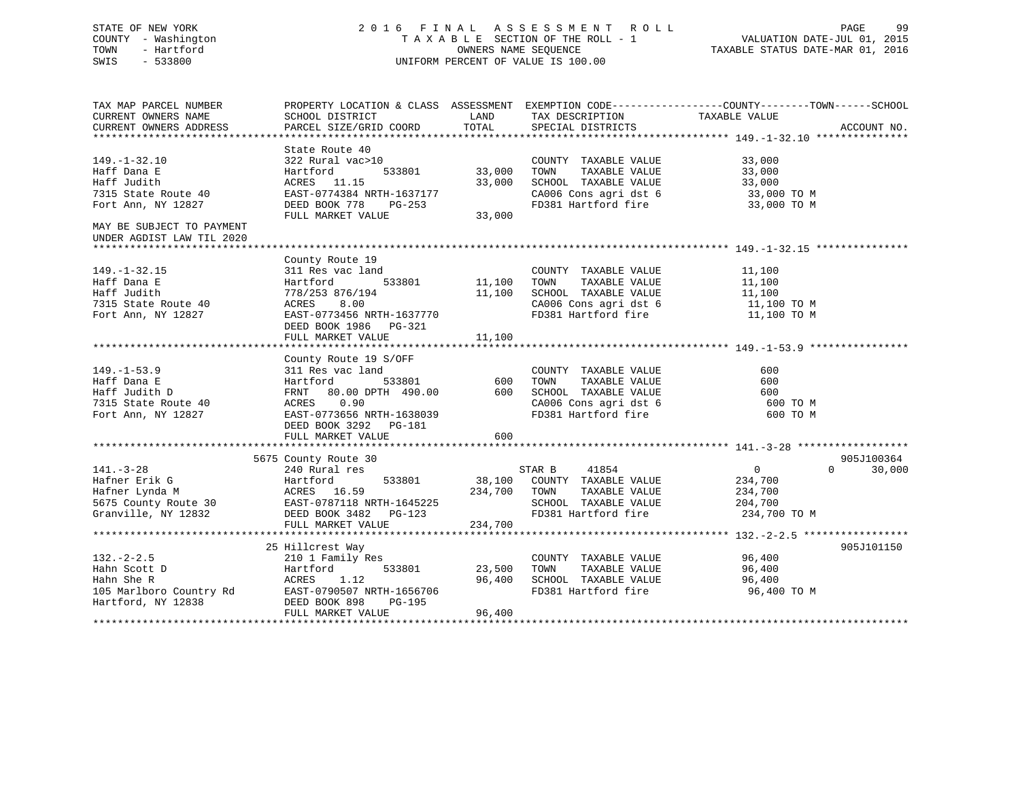## STATE OF NEW YORK 2 0 1 6 F I N A L A S S E S S M E N T R O L L PAGE 99 COUNTY - Washington T A X A B L E SECTION OF THE ROLL - 1 VALUATION DATE-JUL 01, 2015 TOWN - Hartford **TAXABLE STATUS DATE-MAR 01, 2016** OWNERS NAME SEQUENCE TAXABLE STATUS DATE-MAR 01, 2016 SWIS - 533800 UNIFORM PERCENT OF VALUE IS 100.00

| TAX MAP PARCEL NUMBER<br>CURRENT OWNERS NAME                                                                                                                                                                                                                                                                                                                                                                                                                                   | PROPERTY LOCATION & CLASS ASSESSMENT EXEMPTION CODE---------------COUNTY-------TOWN------SCHOOL                                                     |        |                                  |                |                    |
|--------------------------------------------------------------------------------------------------------------------------------------------------------------------------------------------------------------------------------------------------------------------------------------------------------------------------------------------------------------------------------------------------------------------------------------------------------------------------------|-----------------------------------------------------------------------------------------------------------------------------------------------------|--------|----------------------------------|----------------|--------------------|
| CURRENT OWNERS ADDRESS                                                                                                                                                                                                                                                                                                                                                                                                                                                         | SCHOOL DISTRICT                       LAND         TAX DESCRIPTION                  TAXABLE VALUE<br>PARCEL SIZE/GRID COORD TOTAL SPECIAL DISTRICTS |        |                                  |                | ACCOUNT NO.        |
|                                                                                                                                                                                                                                                                                                                                                                                                                                                                                |                                                                                                                                                     |        |                                  |                |                    |
|                                                                                                                                                                                                                                                                                                                                                                                                                                                                                |                                                                                                                                                     |        |                                  |                |                    |
| 33,000 TOWN TAXABLE VALUE 33,000<br>ACRES 11.15<br>7315 State Route 40<br>Fort Ann, NY 12827 DEED BOOK 778 PG-253<br>MAY BE SUBJECT TO PAYMENT<br>TULL MARKET VALUE 33,000<br>FULL MARKET VALUE 33,000<br>FULL MARKET VALUE 33,000<br>2006 Con                                                                                                                                                                                                                                 |                                                                                                                                                     |        | COUNTY TAXABLE VALUE 33,000      |                |                    |
|                                                                                                                                                                                                                                                                                                                                                                                                                                                                                |                                                                                                                                                     |        |                                  |                |                    |
|                                                                                                                                                                                                                                                                                                                                                                                                                                                                                |                                                                                                                                                     |        |                                  |                |                    |
|                                                                                                                                                                                                                                                                                                                                                                                                                                                                                |                                                                                                                                                     |        |                                  |                |                    |
|                                                                                                                                                                                                                                                                                                                                                                                                                                                                                |                                                                                                                                                     |        |                                  |                |                    |
|                                                                                                                                                                                                                                                                                                                                                                                                                                                                                |                                                                                                                                                     |        |                                  |                |                    |
|                                                                                                                                                                                                                                                                                                                                                                                                                                                                                |                                                                                                                                                     |        |                                  |                |                    |
| UNDER AGDIST LAW TIL 2020                                                                                                                                                                                                                                                                                                                                                                                                                                                      |                                                                                                                                                     |        |                                  |                |                    |
|                                                                                                                                                                                                                                                                                                                                                                                                                                                                                |                                                                                                                                                     |        |                                  |                |                    |
|                                                                                                                                                                                                                                                                                                                                                                                                                                                                                | County Route 19                                                                                                                                     |        |                                  |                |                    |
|                                                                                                                                                                                                                                                                                                                                                                                                                                                                                |                                                                                                                                                     |        |                                  |                |                    |
|                                                                                                                                                                                                                                                                                                                                                                                                                                                                                |                                                                                                                                                     |        |                                  |                |                    |
|                                                                                                                                                                                                                                                                                                                                                                                                                                                                                |                                                                                                                                                     |        |                                  |                |                    |
| 149.-1-32.15<br>Haff Dana E<br>Haff Judith Hartford 533801 11,100 TOWN TAXABLE VALUE<br>Haff Judith 778/253 876/194 11,100 SCHOOL TAXABLE VALUE<br>TOWN TAXABLE VALUE<br>TOWN TAXABLE VALUE<br>TOWN TAXABLE VALUE<br>TOWN TAXABLE VALUE<br>11,                                                                                                                                                                                                                                 |                                                                                                                                                     |        |                                  |                |                    |
|                                                                                                                                                                                                                                                                                                                                                                                                                                                                                |                                                                                                                                                     |        |                                  |                |                    |
|                                                                                                                                                                                                                                                                                                                                                                                                                                                                                | DEED BOOK 1986 PG-321                                                                                                                               |        |                                  |                |                    |
|                                                                                                                                                                                                                                                                                                                                                                                                                                                                                | FULL MARKET VALUE                                                                                                                                   | 11,100 |                                  |                |                    |
| $\begin{tabular}{lllllllllllllllllll} \multicolumn{3}{c }{149.-1-53.9} & \multicolumn{3}{c }{\texttt{Country Route 19 S/OFF}} & \multicolumn{3}{c }{\texttt{Country Route 19 S/OFF}} & \multicolumn{3}{c }{\texttt{COUNTY RQUE}} & \multicolumn{3}{c }{\texttt{COUNTY TAXABLE VALUE}} & \multicolumn{3}{c }{\texttt{GOUNTY Route 19 S/OFF}} & \multicolumn{3}{c }{\texttt{GOUNTY RALE VALUE}} & \multicolumn{3}{c }{\texttt{GOD}} & \multicolumn{3}{c }{\texttt{GOD}} & \mult$ |                                                                                                                                                     |        |                                  |                |                    |
|                                                                                                                                                                                                                                                                                                                                                                                                                                                                                |                                                                                                                                                     |        |                                  |                |                    |
|                                                                                                                                                                                                                                                                                                                                                                                                                                                                                |                                                                                                                                                     |        |                                  |                |                    |
|                                                                                                                                                                                                                                                                                                                                                                                                                                                                                |                                                                                                                                                     |        |                                  |                |                    |
|                                                                                                                                                                                                                                                                                                                                                                                                                                                                                |                                                                                                                                                     |        |                                  | 600 TO M       |                    |
|                                                                                                                                                                                                                                                                                                                                                                                                                                                                                |                                                                                                                                                     |        |                                  | 600 TO M       |                    |
|                                                                                                                                                                                                                                                                                                                                                                                                                                                                                |                                                                                                                                                     |        |                                  |                |                    |
|                                                                                                                                                                                                                                                                                                                                                                                                                                                                                | FULL MARKET VALUE                                                                                                                                   | 600    |                                  |                |                    |
|                                                                                                                                                                                                                                                                                                                                                                                                                                                                                |                                                                                                                                                     |        |                                  |                |                    |
|                                                                                                                                                                                                                                                                                                                                                                                                                                                                                | 5675 County Route 30<br>240 Rural res                                                                                                               |        |                                  |                | 905J100364         |
| $141. - 3 - 28$                                                                                                                                                                                                                                                                                                                                                                                                                                                                |                                                                                                                                                     |        | STAR B 41854                     | $\overline{0}$ | $\Omega$<br>30,000 |
|                                                                                                                                                                                                                                                                                                                                                                                                                                                                                |                                                                                                                                                     |        |                                  |                |                    |
|                                                                                                                                                                                                                                                                                                                                                                                                                                                                                |                                                                                                                                                     |        |                                  |                |                    |
|                                                                                                                                                                                                                                                                                                                                                                                                                                                                                |                                                                                                                                                     |        |                                  |                |                    |
| Hafner Erik G<br>Hafner Lynda M<br>Hafner Lynda M<br>Hafner Lynda M<br>234,700<br>EARES 16.59<br>EARES 16.59<br>EARES 16.59<br>EARES 16.59<br>EARES 16.59<br>EARES 204,700<br>EARES 16.59<br>EARES 234,700<br>EARES 2081,700<br>EARES 2081,700<br>EARES 2081                                                                                                                                                                                                                   |                                                                                                                                                     |        | FD381 Hartford fire 234,700 TO M |                |                    |
|                                                                                                                                                                                                                                                                                                                                                                                                                                                                                | FULL MARKET VALUE 234,700                                                                                                                           |        |                                  |                |                    |
|                                                                                                                                                                                                                                                                                                                                                                                                                                                                                |                                                                                                                                                     |        |                                  |                |                    |
|                                                                                                                                                                                                                                                                                                                                                                                                                                                                                |                                                                                                                                                     |        |                                  |                | 905J101150         |
|                                                                                                                                                                                                                                                                                                                                                                                                                                                                                |                                                                                                                                                     |        |                                  |                |                    |
|                                                                                                                                                                                                                                                                                                                                                                                                                                                                                |                                                                                                                                                     |        |                                  |                |                    |
|                                                                                                                                                                                                                                                                                                                                                                                                                                                                                |                                                                                                                                                     |        |                                  |                |                    |
|                                                                                                                                                                                                                                                                                                                                                                                                                                                                                |                                                                                                                                                     |        |                                  | 96,400 TO M    |                    |
|                                                                                                                                                                                                                                                                                                                                                                                                                                                                                |                                                                                                                                                     |        |                                  |                |                    |
| $\begin{tabular}{ccccc} 132.-2-2.5 & 24,70\\ 132.-2-2.5 & 2101 Find 1y Res \\ \text{Hahn Scott D} & Hartford & 533801 & 23,500 TOWN & TAXABLE VALUE \\ \text{Hahn Scott D} & ACO & ACO \\ \text{Hartford} & SCHOOL & TAXABLE VALUE \\ \text{Ham She R} & ACH & RAT 96,400 \\ \text{Hartford, NY 12838} & DEED BOK 898 & PG-195 \\ \text{Hartford, NY 12838} & DEED BOK 898 & PG-195 \\ \text{Hartford, NIX 12839} & FUL$                                                       |                                                                                                                                                     |        |                                  |                |                    |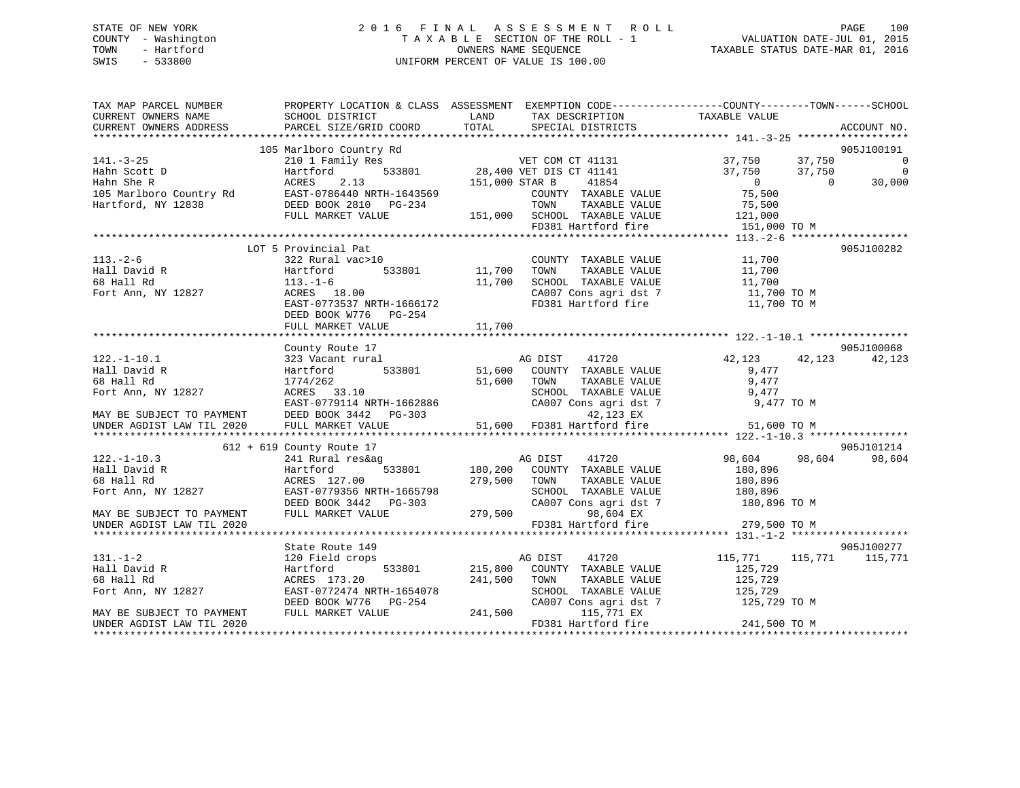## STATE OF NEW YORK 2 0 1 6 F I N A L A S S E S S M E N T R O L L PAGE 100 COUNTY - Washington T A X A B L E SECTION OF THE ROLL - 1 VALUATION DATE-JUL 01, 2015 TOWN - Hartford **TAXABLE STATUS DATE-MAR 01, 2016** OWNERS NAME SEQUENCE TAXABLE STATUS DATE-MAR 01, 2016 SWIS - 533800 UNIFORM PERCENT OF VALUE IS 100.00

| TAX MAP PARCEL NUMBER<br>CURRENT OWNERS NAME<br>CURRENT OWNERS ADDRESS                                                                                                                                                                                                                                                                                                                                                               | PROPERTY LOCATION & CLASS ASSESSMENT EXEMPTION CODE---------------COUNTY-------TOWN------SCHOOL<br>SCHOOL DISTRICT<br><b>EXAMPLE SERVICE SERVICE SERVICE SERVICE SERVICE SERVICE SERVICE SERVICE SERVICE SERVICE SERVICE SERVICE SERVICE</b><br>PARCEL SIZE/GRID COORD |               |                                                                                                                                                     |                                    | ACCOUNT NO.                                 |
|--------------------------------------------------------------------------------------------------------------------------------------------------------------------------------------------------------------------------------------------------------------------------------------------------------------------------------------------------------------------------------------------------------------------------------------|------------------------------------------------------------------------------------------------------------------------------------------------------------------------------------------------------------------------------------------------------------------------|---------------|-----------------------------------------------------------------------------------------------------------------------------------------------------|------------------------------------|---------------------------------------------|
|                                                                                                                                                                                                                                                                                                                                                                                                                                      |                                                                                                                                                                                                                                                                        |               |                                                                                                                                                     |                                    |                                             |
| $141. - 3 - 25$                                                                                                                                                                                                                                                                                                                                                                                                                      | 105 Marlboro Country Rd<br>210 1 Family Res<br>Hartford 533801 28,400 VET DIS CT 41141<br>1141                                                                                                                                                                         |               |                                                                                                                                                     | 37,750 37,750<br>37,750<br>37,750  | 905J100191<br>$\overline{0}$<br>$\mathbf 0$ |
| $\begin{tabular}{lllllllllllllllllll} \hline \text{A}} & \text{A} & \text{B} & \text{B} & \text{B} & \text{C} & \text{A} & \text{A} & \text{B} \\ \text{B} & \text{A} & \text{B} & \text{B} & \text{B} & \text{B} & \text{B} \\ \text{A} & \text{B} & \text{B} & \text{B} & \text{B} & \text{B} & \text{B} \\ \text{B} & \text{B} & \text{B} & \text{B} & \text{B} & \text{B} & \text{B} \\ \text{B} & \text{B} & \text{B} & \text{$ |                                                                                                                                                                                                                                                                        |               | 41854<br>COUNTY TAXABLE VALUE<br>TAXABLE VALUE                                                                                                      | $\overline{0}$<br>75,500<br>75,500 | 30,000<br>$\Omega$                          |
|                                                                                                                                                                                                                                                                                                                                                                                                                                      |                                                                                                                                                                                                                                                                        |               | 151,000 SCHOOL TAXABLE VALUE<br>FD381 Hartford fire                                                                                                 | 121,000<br>151,000 TO M            |                                             |
|                                                                                                                                                                                                                                                                                                                                                                                                                                      | LOT 5 Provincial Pat                                                                                                                                                                                                                                                   |               |                                                                                                                                                     |                                    | 905J100282                                  |
| $113. - 2 - 6$<br>Hall David R<br>68 Hall Rd<br>Fort Ann, NY 12827                                                                                                                                                                                                                                                                                                                                                                   | 113.-1-6<br>ACRES 18.00<br>EAST-0773537 NRTH-1666172<br>DEED BOOK W776 PG-254                                                                                                                                                                                          | 11,700        | COUNTY TAXABLE VALUE 11,700<br>TOWN TAXABLE VALUE 11,700<br>SCHOOL TAXABLE VALUE 11,700<br>CA007 Cons agri dst 7 11,700 TO M<br>FD381 Hartford fire | 11,700 TO M                        |                                             |
|                                                                                                                                                                                                                                                                                                                                                                                                                                      | FULL MARKET VALUE                                                                                                                                                                                                                                                      | 11,700        |                                                                                                                                                     |                                    |                                             |
|                                                                                                                                                                                                                                                                                                                                                                                                                                      |                                                                                                                                                                                                                                                                        |               |                                                                                                                                                     |                                    |                                             |
| $122. - 1 - 10.1$                                                                                                                                                                                                                                                                                                                                                                                                                    | County Route 17                                                                                                                                                                                                                                                        |               | 41720                                                                                                                                               |                                    | 905J100068                                  |
| Hall David R                                                                                                                                                                                                                                                                                                                                                                                                                         |                                                                                                                                                                                                                                                                        |               |                                                                                                                                                     | 42,123 42,123<br>9,477             | 42,123                                      |
| 68 Hall Rd                                                                                                                                                                                                                                                                                                                                                                                                                           |                                                                                                                                                                                                                                                                        | $51,600$ TOWN | TAXABLE VALUE                                                                                                                                       | 9,477                              |                                             |
| Fort Ann, NY 12827                                                                                                                                                                                                                                                                                                                                                                                                                   | $ACRES$ 33.10                                                                                                                                                                                                                                                          |               |                                                                                                                                                     | 9,477                              |                                             |
|                                                                                                                                                                                                                                                                                                                                                                                                                                      |                                                                                                                                                                                                                                                                        |               | SCHOOL TAXABLE VALUE<br>CA007 Cons agri dst 7                                                                                                       |                                    |                                             |
|                                                                                                                                                                                                                                                                                                                                                                                                                                      |                                                                                                                                                                                                                                                                        |               |                                                                                                                                                     |                                    |                                             |
| EXEST-0779114 NRTH-1662886<br>MAY BE SUBJECT TO PAYMENT EXEST-0779114 NRTH-1662886 CA007 Cons agri dst 7 9,477 TO M<br>EXEST-0779114 NRTH-1662886 42,123 EX<br>UNDER AGDIST LAW TIL 2020 FULL MARKET VALUE 51,600 FD381 Hartford fir                                                                                                                                                                                                 |                                                                                                                                                                                                                                                                        |               |                                                                                                                                                     |                                    |                                             |
|                                                                                                                                                                                                                                                                                                                                                                                                                                      |                                                                                                                                                                                                                                                                        |               |                                                                                                                                                     |                                    |                                             |
| $122. - 1 - 10.3$                                                                                                                                                                                                                                                                                                                                                                                                                    | $612 + 619$ County Route 17                                                                                                                                                                                                                                            |               |                                                                                                                                                     | 98,604 98,604                      | 905J101214<br>98,604                        |
| Hall David R                                                                                                                                                                                                                                                                                                                                                                                                                         |                                                                                                                                                                                                                                                                        |               |                                                                                                                                                     | 180,896                            |                                             |
| 68 Hall Rd                                                                                                                                                                                                                                                                                                                                                                                                                           | ACRES 127.00                                                                                                                                                                                                                                                           | 279,500 TOWN  | TAXABLE VALUE                                                                                                                                       | 180,896                            |                                             |
| Fort Ann, NY 12827                                                                                                                                                                                                                                                                                                                                                                                                                   | EAST-0779356 NRTH-1665798                                                                                                                                                                                                                                              |               | SCHOOL TAXABLE VALUE                                                                                                                                | 180,896                            |                                             |
|                                                                                                                                                                                                                                                                                                                                                                                                                                      | EAST-0779356 NRTH-1665798 SCHOOL 1<br>DEED BOOK 3442 PG-303 CA007 Cor<br>FULL MARKET VALUE 279,500                                                                                                                                                                     |               | CA007 Cons agri dst 7 180,896 TO M                                                                                                                  |                                    |                                             |
| MAY BE SUBJECT TO PAYMENT                                                                                                                                                                                                                                                                                                                                                                                                            |                                                                                                                                                                                                                                                                        |               | 98,604 EX                                                                                                                                           |                                    |                                             |
| UNDER AGDIST LAW TIL 2020                                                                                                                                                                                                                                                                                                                                                                                                            |                                                                                                                                                                                                                                                                        |               | FD381 Hartford fire                                                                                                                                 | 279,500 TO M                       |                                             |
|                                                                                                                                                                                                                                                                                                                                                                                                                                      | State Route 149                                                                                                                                                                                                                                                        |               |                                                                                                                                                     |                                    | 905J100277                                  |
| $131. -1 - 2$                                                                                                                                                                                                                                                                                                                                                                                                                        | 120 Field crops                                                                                                                                                                                                                                                        |               | 41720<br>AG DIST                                                                                                                                    | 115,771                            | 115,771 115,771                             |
| Hall David R                                                                                                                                                                                                                                                                                                                                                                                                                         | Hartford                                                                                                                                                                                                                                                               |               | 533801 215,800 COUNTY TAXABLE VALUE                                                                                                                 | 125,729                            |                                             |
| 68 Hall Rd                                                                                                                                                                                                                                                                                                                                                                                                                           | ACRES 173.20                                                                                                                                                                                                                                                           | 241,500       | TOWN<br>TAXABLE VALUE                                                                                                                               | 125,729                            |                                             |
| Fort Ann, NY 12827                                                                                                                                                                                                                                                                                                                                                                                                                   | EAST-0772474 NRTH-1654078                                                                                                                                                                                                                                              |               | SCHOOL TAXABLE VALUE                                                                                                                                | 125,729                            |                                             |
|                                                                                                                                                                                                                                                                                                                                                                                                                                      | DEED BOOK W776 PG-254                                                                                                                                                                                                                                                  |               | CA007 Cons agri dst 7 125,729 TO M                                                                                                                  |                                    |                                             |
| MAY BE SUBJECT TO PAYMENT                                                                                                                                                                                                                                                                                                                                                                                                            | FULL MARKET VALUE                                                                                                                                                                                                                                                      |               | 115,771 EX                                                                                                                                          | 241,500 TO M                       |                                             |
| UNDER AGDIST LAW TIL 2020                                                                                                                                                                                                                                                                                                                                                                                                            |                                                                                                                                                                                                                                                                        |               | FD381 Hartford fire                                                                                                                                 |                                    |                                             |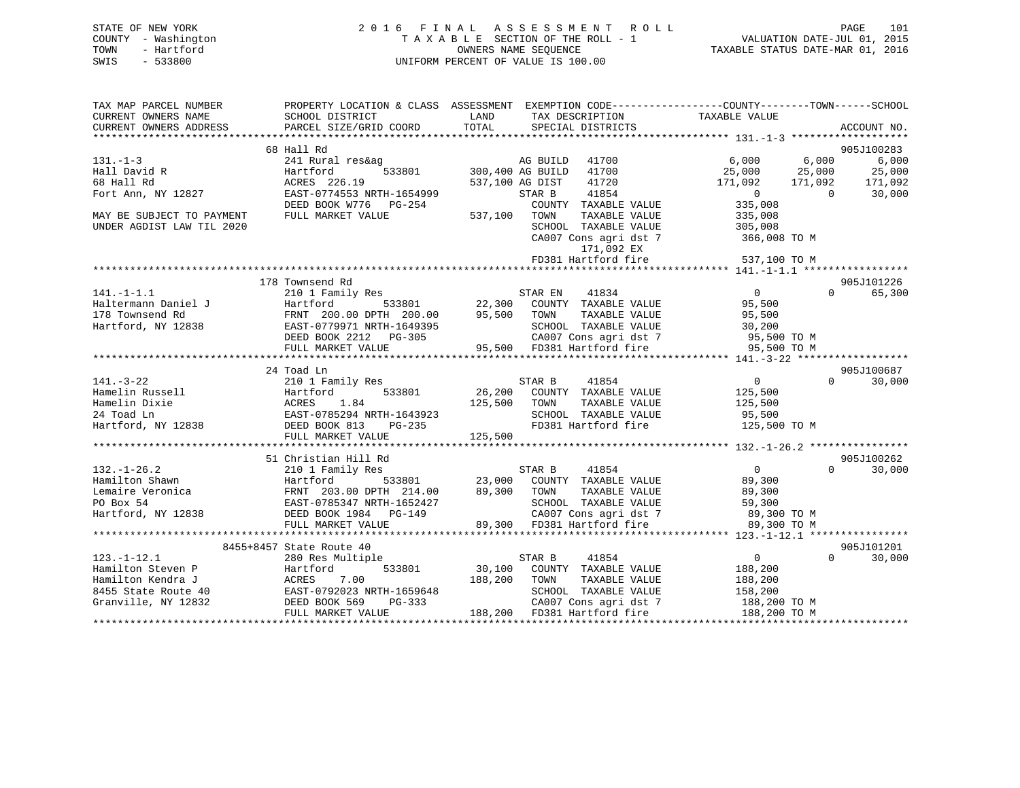| STATE OF NEW YORK   | 2016 FINAL ASSESSMENT ROLL         | 101<br>PAGE                      |
|---------------------|------------------------------------|----------------------------------|
| COUNTY - Washington | TAXABLE SECTION OF THE ROLL - 1    | VALUATION DATE-JUL 01, 2015      |
| TOWN<br>- Hartford  | OWNERS NAME SEOUENCE               | TAXABLE STATUS DATE-MAR 01, 2016 |
| $-533800$<br>SWIS   | UNIFORM PERCENT OF VALUE IS 100.00 |                                  |

| TAX MAP PARCEL NUMBER     |                                                                         | PROPERTY LOCATION & CLASS ASSESSMENT EXEMPTION CODE-----------------COUNTY--------TOWN------SCHOOL                         |                                               |
|---------------------------|-------------------------------------------------------------------------|----------------------------------------------------------------------------------------------------------------------------|-----------------------------------------------|
| CURRENT OWNERS NAME       | SCHOOL DISTRICT                                                         | LAND<br>TAX DESCRIPTION                                                                                                    | TAXABLE VALUE                                 |
| CURRENT OWNERS ADDRESS    | PARCEL SIZE/GRID COORD                                                  | TOTAL<br>SPECIAL DISTRICTS                                                                                                 | ACCOUNT NO.                                   |
|                           | 68 Hall Rd                                                              |                                                                                                                            | 905J100283                                    |
| $131. - 1 - 3$            | 241 Rural res&ag                                                        | AG BUILD<br>41700                                                                                                          | 6,000<br>6,000<br>6,000                       |
| Hall David R              | 533801<br>Hartford                                                      | 300,400 AG BUILD<br>41700                                                                                                  | 25,000<br>25,000<br>25,000                    |
| 68 Hall Rd                | ACRES 226.19                                                            | 41720<br>537,100 AG DIST                                                                                                   | 171,092<br>171,092<br>171,092                 |
| Fort Ann, NY 12827        | EAST-0774553 NRTH-1654999                                               | 41854<br>STAR B                                                                                                            | $\sim$ 0<br>$\Omega$<br>30,000                |
|                           | DEED BOOK W776 PG-254                                                   | COUNTY TAXABLE VALUE                                                                                                       | 335,008                                       |
| MAY BE SUBJECT TO PAYMENT | FULL MARKET VALUE                                                       | 537,100 TOWN<br>TAXABLE VALUE                                                                                              | 335,008                                       |
| UNDER AGDIST LAW TIL 2020 |                                                                         | SCHOOL TAXABLE VALUE                                                                                                       | 305,008                                       |
|                           |                                                                         | CA007 Cons agri dst 7                                                                                                      | 366,008 TO M                                  |
|                           |                                                                         | 171,092 EX                                                                                                                 |                                               |
|                           |                                                                         | FD381 Hartford fire                                                                                                        | 537,100 TO M                                  |
|                           |                                                                         |                                                                                                                            |                                               |
|                           | 178 Townsend Rd                                                         |                                                                                                                            | 905J101226                                    |
| $141. - 1 - 1.1$          | 210 1 Family Res                                                        | 41834<br>STAR EN                                                                                                           | $\overline{0}$<br>$0 \qquad \qquad$<br>65,300 |
| Haltermann Daniel J       | Hartford                                                                | ${\tt 533801} \hspace{20pt} {\tt 22,300} \hspace{20pt} {\tt COUNTY} \hspace{20pt} {\tt TAXABLE} \hspace{20pt} {\tt VALUE}$ | 95,500                                        |
| 178 Townsend Rd           | FRNT 200.00 DPTH 200.00                                                 | 95,500 TOWN<br>TAXABLE VALUE                                                                                               | 95,500                                        |
|                           | Hartford, NY 12838 EAST-0779971 NRTH-1649395                            | SCHOOL TAXABLE VALUE                                                                                                       | 30,200                                        |
|                           | DEED BOOK 2212 PG-305                                                   |                                                                                                                            | 95,500 TO M                                   |
|                           | FULL MARKET VALUE                                                       | SCHOOL Innoces<br>CA007 Cons agri dst 7<br>Fard fire                                                                       | 95,500 TO M                                   |
|                           |                                                                         |                                                                                                                            |                                               |
|                           | 24 Toad Ln                                                              |                                                                                                                            | 905J100687                                    |
| $141. - 3 - 22$           | 210 1 Family Res                                                        | STAR B<br>41854                                                                                                            | $\Omega$<br>$\overline{0}$<br>30,000          |
| Hamelin Russell           | 533801<br>Hartford                                                      |                                                                                                                            | 125,500                                       |
| Hamelin Dixie             | ACRES<br>1.84                                                           | 125,500 TOWN<br>TAXABLE VALUE                                                                                              | 125,500                                       |
| 24 Toad Ln                | EAST-0785294 NRTH-1643923                                               | SCHOOL TAXABLE VALUE                                                                                                       | 95,500                                        |
| Hartford, NY 12838        | DEED BOOK 813<br>$PG-235$                                               | FD381 Hartford fire                                                                                                        | 125,500 TO M                                  |
|                           | FULL MARKET VALUE                                                       | 125,500                                                                                                                    |                                               |
|                           |                                                                         |                                                                                                                            |                                               |
|                           | 51 Christian Hill Rd                                                    |                                                                                                                            | 905J100262                                    |
| $132. - 1 - 26.2$         | 210 1 Family Res                                                        | STAR B<br>41854                                                                                                            | $\overline{0}$<br>$\Omega$<br>30,000          |
| Hamilton Shawn            | Hartford 533801<br>FRNT 203.00 DPTH 214.00<br>EAST-0785347 NRTH-1652427 | 23,000 COUNTY TAXABLE VALUE                                                                                                | 89,300                                        |
| Lemaire Veronica          |                                                                         | $89,300$ TOWN<br>TAXABLE VALUE                                                                                             | 89,300                                        |
| PO Box 54                 | EAST-0785347 NRTH-1652427                                               | SCHOOL TAXABLE VALUE                                                                                                       | 59,300                                        |
| Hartford, NY 12838        | DEED BOOK 1984 PG-149                                                   | CA007 Cons agri dst 7                                                                                                      | 89,300 TO M<br>89.300 TO M                    |
|                           | FULL MARKET VALUE                                                       | 89,300 FD381 Hartford fire                                                                                                 | 89,300 TO M                                   |
|                           |                                                                         |                                                                                                                            |                                               |
|                           | 8455+8457 State Route 40                                                |                                                                                                                            | 905J101201                                    |
| $123. - 1 - 12.1$         | 280 Res Multiple                                                        | 41854<br>STAR B                                                                                                            | $\overline{0}$<br>$\Omega$<br>30,000          |
| Hamilton Steven P         | 533801<br>Hartford                                                      | 30,100 COUNTY TAXABLE VALUE                                                                                                | 188,200                                       |
| Hamilton Kendra J         | ACRES<br>7.00                                                           | 188,200<br>TAXABLE VALUE<br>TOWN                                                                                           | 188,200                                       |
| 8455 State Route 40       | n EAST-0792023<br>DEED BOOK 569<br>EAST-0792023 NRTH-1659648            | SCHOOL TAXABLE VALUE                                                                                                       | 158,200                                       |
| Granville, NY 12832       | PG-333                                                                  | CA007 Cons agri dst 7                                                                                                      | 188,200 TO M                                  |
|                           | FULL MARKET VALUE                                                       | 188,200 FD381 Hartford fire                                                                                                | 188,200 TO M                                  |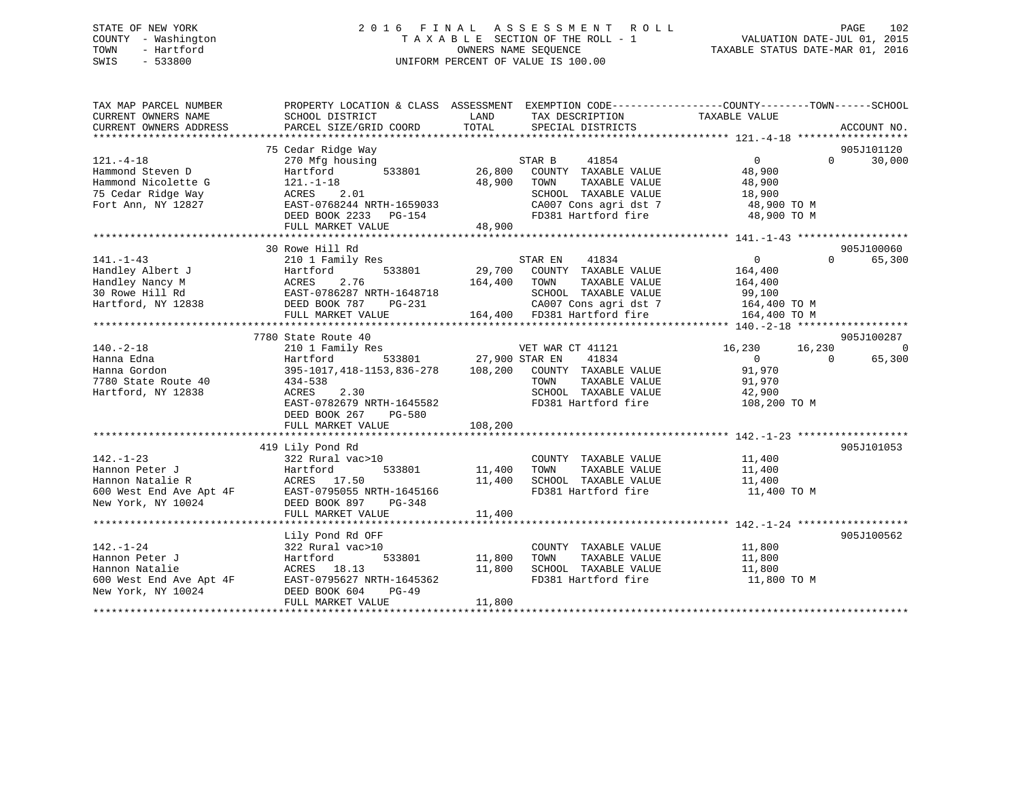## STATE OF NEW YORK 2 0 1 6 F I N A L A S S E S S M E N T R O L L PAGE 102 COUNTY - Washington T A X A B L E SECTION OF THE ROLL - 1 VALUATION DATE-JUL 01, 2015 TOWN - Hartford **TAXABLE STATUS DATE-MAR 01, 2016** OWNERS NAME SEQUENCE TAXABLE STATUS DATE-MAR 01, 2016 SWIS - 533800 UNIFORM PERCENT OF VALUE IS 100.00

| TAX MAP PARCEL NUMBER<br>CURRENT OWNERS NAME<br>CURRENT OWNERS ADDRESS                                                                                                                                                                                                                                                                                                                                                                             | PROPERTY LOCATION & CLASS ASSESSMENT EXEMPTION CODE---------------COUNTY-------TOWN------SCHOOL<br>SCHOOL DISTRICT<br>PARCEL SIZE/GRID COORD | <b>EXAMPLE TO A LAND THE SECOND SERVICE SERVICE SERVICE SERVICE SERVICE SERVICE SERVICE SERVICE SERVICE SERVICE</b><br>TOTAL | TAX DESCRIPTION TAXABLE VALUE SPECIAL DISTRICTS                                       |                                | ACCOUNT NO.                      |
|----------------------------------------------------------------------------------------------------------------------------------------------------------------------------------------------------------------------------------------------------------------------------------------------------------------------------------------------------------------------------------------------------------------------------------------------------|----------------------------------------------------------------------------------------------------------------------------------------------|------------------------------------------------------------------------------------------------------------------------------|---------------------------------------------------------------------------------------|--------------------------------|----------------------------------|
|                                                                                                                                                                                                                                                                                                                                                                                                                                                    |                                                                                                                                              |                                                                                                                              |                                                                                       |                                |                                  |
| $121. - 4 - 18$                                                                                                                                                                                                                                                                                                                                                                                                                                    | 75 Cedar Ridge Way                                                                                                                           |                                                                                                                              | STAR B<br>41854                                                                       | $\overline{0}$                 | 905J101120<br>$\Omega$<br>30,000 |
| Hammond Steven D                                                                                                                                                                                                                                                                                                                                                                                                                                   | 2001 - 1230 Mfg housing<br>Hartford 533801 26,800                                                                                            |                                                                                                                              | COUNTY TAXABLE VALUE                                                                  | 48,900                         |                                  |
| Hammond Nicolette G                                                                                                                                                                                                                                                                                                                                                                                                                                |                                                                                                                                              |                                                                                                                              | TOWN<br>TAXABLE VALUE                                                                 | 48,900                         |                                  |
| 75 Cedar Ridge Way                                                                                                                                                                                                                                                                                                                                                                                                                                 |                                                                                                                                              |                                                                                                                              | SCHOOL TAXABLE VALUE 18,900<br>CA007 Cons agri dst 7 18,900 TO M                      |                                |                                  |
| Fort Ann, NY 12827                                                                                                                                                                                                                                                                                                                                                                                                                                 | 121.-1-18<br>121.-1-18<br>ACRES 2.01<br>EAST-0768244 NRTH-1659033                                                                            |                                                                                                                              |                                                                                       |                                |                                  |
|                                                                                                                                                                                                                                                                                                                                                                                                                                                    |                                                                                                                                              |                                                                                                                              |                                                                                       |                                |                                  |
|                                                                                                                                                                                                                                                                                                                                                                                                                                                    |                                                                                                                                              |                                                                                                                              |                                                                                       |                                |                                  |
|                                                                                                                                                                                                                                                                                                                                                                                                                                                    | 30 Rowe Hill Rd                                                                                                                              |                                                                                                                              |                                                                                       |                                | 905J100060                       |
| $141. - 1 - 43$                                                                                                                                                                                                                                                                                                                                                                                                                                    | 210 1 Family Res                                                                                                                             |                                                                                                                              | STAR EN<br>41834                                                                      | $\overline{0}$                 | $\Omega$<br>65,300               |
|                                                                                                                                                                                                                                                                                                                                                                                                                                                    |                                                                                                                                              |                                                                                                                              | <sup>1</sup><br>533801 29,700 COUNTY TAXABLE VALUE                                    | 164,400                        |                                  |
|                                                                                                                                                                                                                                                                                                                                                                                                                                                    |                                                                                                                                              | 164,400 TOWN                                                                                                                 | TAXABLE VALUE                                                                         | 164,400                        |                                  |
|                                                                                                                                                                                                                                                                                                                                                                                                                                                    |                                                                                                                                              |                                                                                                                              | SCHOOL TAXABLE VALUE 99,100                                                           |                                |                                  |
| Fandley Albert J<br>Handley Nancy M<br>30 Rowe Hill Rd<br>Hartford, NY 12838<br>Hartford, NY 12838<br>PEED BOOK 787<br>PEED BOOK 787<br>PEED BOOK 787<br>PEED BOOK 787<br>PEED BOOK 787<br>PEED BOOK 787<br>PEED BOOK 787<br>PEED BOOK 787<br>PEED BOOK                                                                                                                                                                                            |                                                                                                                                              |                                                                                                                              | PG-231 CA007 Cons agri dst 7 164,400 TO M<br>164,400 FD381 Hartford fire 164,400 TO M |                                |                                  |
|                                                                                                                                                                                                                                                                                                                                                                                                                                                    | FULL MARKET VALUE                                                                                                                            |                                                                                                                              |                                                                                       |                                |                                  |
|                                                                                                                                                                                                                                                                                                                                                                                                                                                    |                                                                                                                                              |                                                                                                                              |                                                                                       |                                |                                  |
|                                                                                                                                                                                                                                                                                                                                                                                                                                                    | 7780 State Route 40                                                                                                                          |                                                                                                                              |                                                                                       |                                | 905J100287                       |
| $140. - 2 - 18$                                                                                                                                                                                                                                                                                                                                                                                                                                    | 210 1 Family Res<br>Hartford 533801 27,900 STAR EN 41834<br>395-1017,418-1153,836-278 108,200 COUNTY TAXABLE VALUE                           |                                                                                                                              |                                                                                       | VET WAR CT 41121 16,230 16,230 | $\Omega$                         |
| Hanna Edna                                                                                                                                                                                                                                                                                                                                                                                                                                         |                                                                                                                                              |                                                                                                                              |                                                                                       | $\overline{0}$<br>$\Omega$     | 65,300                           |
| Hanna Gordon                                                                                                                                                                                                                                                                                                                                                                                                                                       |                                                                                                                                              |                                                                                                                              |                                                                                       | 91,970                         |                                  |
| 7780 State Route 40<br>Hartford, NY 12838                                                                                                                                                                                                                                                                                                                                                                                                          | 434-538                                                                                                                                      |                                                                                                                              | TOWN       TAXABLE  VALUE<br>SCHOOL    TAXABLE  VALUE                                 | 91,970<br>42,900               |                                  |
| Hartford, NY 12838                                                                                                                                                                                                                                                                                                                                                                                                                                 | ACRES 2.30                                                                                                                                   |                                                                                                                              |                                                                                       |                                |                                  |
|                                                                                                                                                                                                                                                                                                                                                                                                                                                    | EAST-0782679 NRTH-1645582                                                                                                                    |                                                                                                                              | FD381 Hartford fire 108,200 TO M                                                      |                                |                                  |
|                                                                                                                                                                                                                                                                                                                                                                                                                                                    | DEED BOOK 267 PG-580                                                                                                                         |                                                                                                                              |                                                                                       |                                |                                  |
|                                                                                                                                                                                                                                                                                                                                                                                                                                                    | FULL MARKET VALUE                                                                                                                            | 108,200                                                                                                                      |                                                                                       |                                |                                  |
|                                                                                                                                                                                                                                                                                                                                                                                                                                                    |                                                                                                                                              |                                                                                                                              |                                                                                       |                                |                                  |
|                                                                                                                                                                                                                                                                                                                                                                                                                                                    | 419 Lily Pond Rd                                                                                                                             |                                                                                                                              |                                                                                       |                                | 905J101053                       |
|                                                                                                                                                                                                                                                                                                                                                                                                                                                    | 322 Rural vac>10                                                                                                                             |                                                                                                                              | COUNTY TAXABLE VALUE 11,400                                                           |                                |                                  |
|                                                                                                                                                                                                                                                                                                                                                                                                                                                    |                                                                                                                                              | 11,400 TOWN                                                                                                                  | TAXABLE VALUE<br>SCHOOL TAXABLE VALUE 11,400                                          | 11,400                         |                                  |
| 142.-1-23<br>Hannon Peter J<br>Hannon Natalie R<br>600 West End Ave Apt 4F<br>New York, NY 10024<br>Hannon Natalie R<br>EAST-0795055 NRTH-1645166<br>New York, NY 10024<br>FULL MARKET VALUE                                                                                                                                                                                                                                                       |                                                                                                                                              | 11,400                                                                                                                       |                                                                                       | 11,400 TO M                    |                                  |
|                                                                                                                                                                                                                                                                                                                                                                                                                                                    |                                                                                                                                              |                                                                                                                              | FD381 Hartford fire                                                                   |                                |                                  |
|                                                                                                                                                                                                                                                                                                                                                                                                                                                    |                                                                                                                                              |                                                                                                                              |                                                                                       |                                |                                  |
|                                                                                                                                                                                                                                                                                                                                                                                                                                                    |                                                                                                                                              | 11,400                                                                                                                       |                                                                                       |                                |                                  |
|                                                                                                                                                                                                                                                                                                                                                                                                                                                    | Lily Pond Rd OFF                                                                                                                             |                                                                                                                              |                                                                                       |                                | 905J100562                       |
| $142. - 1 - 24$                                                                                                                                                                                                                                                                                                                                                                                                                                    |                                                                                                                                              |                                                                                                                              |                                                                                       |                                |                                  |
|                                                                                                                                                                                                                                                                                                                                                                                                                                                    |                                                                                                                                              | 533801 11,800                                                                                                                | COUNTY TAXABLE VALUE 11,800<br>TOWN TAXABLE VALUE 11,800                              |                                |                                  |
|                                                                                                                                                                                                                                                                                                                                                                                                                                                    |                                                                                                                                              |                                                                                                                              | SCHOOL TAXABLE VALUE 11,800                                                           |                                |                                  |
| $\begin{tabular}{lllllllllllllllllll} \multicolumn{1}{c}{142.-1-24} & 322 Rural vac>10\\ \multicolumn{1}{c}{\text{Hannon Peter J}} & \multicolumn{1}{c}{\text{Hartford}} & 533801\\ \multicolumn{1}{c}{\text{Hannon Natalie}} & \multicolumn{1}{c}{\text{ACRES}} & 18.13\\ \multicolumn{1}{c}{600 West End Ave Apt 4F} & \multicolumn{1}{c}{\text{EAST-0795627 NRTH-1645362}}\\ \multicolumn{1}{c}{\text{New York, NY 10024}} & \multicolumn{1}{c$ | $11,800$<br>RTH-1645362                                                                                                                      |                                                                                                                              | FD381 Hartford fire                                                                   | 11,800 TO M                    |                                  |
|                                                                                                                                                                                                                                                                                                                                                                                                                                                    |                                                                                                                                              |                                                                                                                              |                                                                                       |                                |                                  |
|                                                                                                                                                                                                                                                                                                                                                                                                                                                    | FULL MARKET VALUE                                                                                                                            | 11,800                                                                                                                       |                                                                                       |                                |                                  |
|                                                                                                                                                                                                                                                                                                                                                                                                                                                    |                                                                                                                                              |                                                                                                                              |                                                                                       |                                |                                  |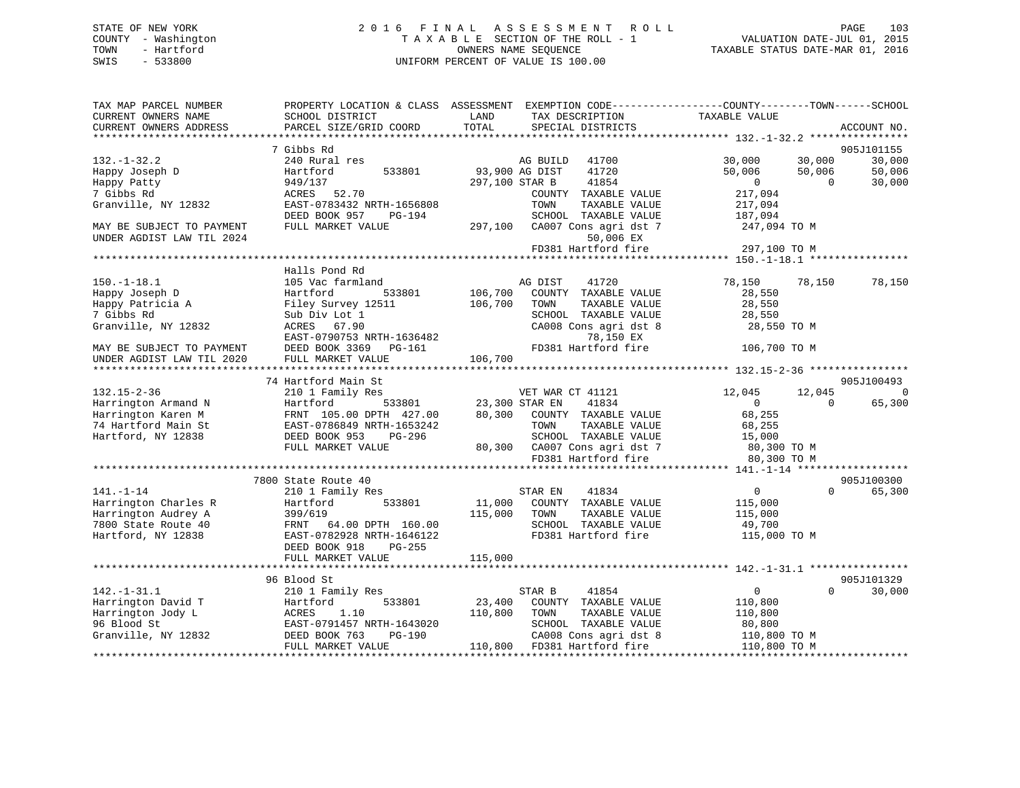## STATE OF NEW YORK 2 0 1 6 F I N A L A S S E S S M E N T R O L L PAGE 103 COUNTY - Washington T A X A B L E SECTION OF THE ROLL - 1 VALUATION DATE-JUL 01, 2015 TOWN - Hartford **TAXABLE STATUS DATE-MAR 01, 2016** OWNERS NAME SEQUENCE TAXABLE STATUS DATE-MAR 01, 2016 SWIS - 533800 UNIFORM PERCENT OF VALUE IS 100.00

| TAX MAP PARCEL NUMBER<br>CURRENT OWNERS NAME<br>CURRENT OWNERS ADDRESS | PROPERTY LOCATION & CLASS ASSESSMENT<br>SCHOOL DISTRICT<br>PARCEL SIZE/GRID COORD | LAND<br>TOTAL  | TAX DESCRIPTION<br>SPECIAL DISTRICTS          | EXEMPTION CODE-----------------COUNTY-------TOWN------SCHOOL<br>TAXABLE VALUE | ACCOUNT NO. |
|------------------------------------------------------------------------|-----------------------------------------------------------------------------------|----------------|-----------------------------------------------|-------------------------------------------------------------------------------|-------------|
| **************************                                             |                                                                                   |                |                                               |                                                                               |             |
|                                                                        | 7 Gibbs Rd                                                                        |                |                                               |                                                                               | 905J101155  |
| $132. - 1 - 32.2$                                                      | 240 Rural res                                                                     |                | AG BUILD 41700                                | 30,000<br>30,000                                                              | 30,000      |
| Happy Joseph D                                                         | 533801<br>Hartford                                                                | 93,900 AG DIST | 41720<br>41854                                | 50,006<br>50,006<br>$\Omega$                                                  | 50,006      |
| Happy Patty<br>7 Gibbs Rd                                              | 949/137                                                                           | 297,100 STAR B |                                               | $\overline{0}$<br>217,094                                                     | 30,000      |
| Granville, NY 12832                                                    | ACRES 52.70<br>EAST-0783432 NRTH-1656808                                          |                | COUNTY TAXABLE VALUE<br>TOWN<br>TAXABLE VALUE | 217,094                                                                       |             |
|                                                                        | DEED BOOK 957<br>PG-194                                                           |                | SCHOOL TAXABLE VALUE                          |                                                                               |             |
| MAY BE SUBJECT TO PAYMENT                                              | FULL MARKET VALUE                                                                 | 297,100        | CA007 Cons agri dst 7                         | 187,094<br>247,094 TO M                                                       |             |
| UNDER AGDIST LAW TIL 2024                                              |                                                                                   |                | 50,006 EX                                     |                                                                               |             |
|                                                                        |                                                                                   |                | FD381 Hartford fire                           | 297,100 TO M                                                                  |             |
|                                                                        |                                                                                   |                |                                               |                                                                               |             |
|                                                                        | Halls Pond Rd                                                                     |                |                                               |                                                                               |             |
| $150. - 1 - 18.1$                                                      | 105 Vac farmland                                                                  |                | 41720<br>AG DIST                              | 78,150<br>78,150                                                              | 78,150      |
| Happy Joseph D                                                         | 533801<br>Hartford                                                                | 106,700        | COUNTY TAXABLE VALUE                          | 28,550                                                                        |             |
| Happy Patricia A                                                       | Filey Survey 12511                                                                | 106,700        | TOWN<br>TAXABLE VALUE                         | 28,550                                                                        |             |
| 7 Gibbs Rd                                                             | Sub Div Lot 1                                                                     |                | SCHOOL TAXABLE VALUE                          | 28,550                                                                        |             |
| Granville, NY 12832                                                    | ACRES 67.90                                                                       |                | CA008 Cons agri dst 8                         | 28,550 TO M                                                                   |             |
|                                                                        | EAST-0790753 NRTH-1636482                                                         |                | 78,150 EX                                     |                                                                               |             |
| MAY BE SUBJECT TO PAYMENT                                              | DEED BOOK 3369 PG-161                                                             |                | FD381 Hartford fire                           | 106,700 TO M                                                                  |             |
| UNDER AGDIST LAW TIL 2020                                              | FULL MARKET VALUE                                                                 | 106,700        |                                               |                                                                               |             |
|                                                                        |                                                                                   |                |                                               |                                                                               |             |
|                                                                        | 74 Hartford Main St                                                               |                |                                               |                                                                               | 905J100493  |
| $132.15 - 2 - 36$                                                      | 210 1 Family Res                                                                  |                | VET WAR CT 41121                              | 12,045<br>12,045                                                              | $\Omega$    |
| Harrington Armand N                                                    | Hartford<br>533801                                                                | 23,300 STAR EN | 41834                                         | $\mathbf{0}$<br>$\Omega$                                                      | 65,300      |
| Harrington Karen M                                                     | FRNT 105.00 DPTH 427.00                                                           | 80,300         | COUNTY TAXABLE VALUE                          | 68,255                                                                        |             |
| 74 Hartford Main St                                                    | EAST-0786849 NRTH-1653242                                                         |                | TOWN<br>TAXABLE VALUE                         | 68,255                                                                        |             |
| Hartford, NY 12838                                                     | DEED BOOK 953<br>PG-296                                                           |                | SCHOOL TAXABLE VALUE                          | 15,000                                                                        |             |
|                                                                        | FULL MARKET VALUE                                                                 |                | 80,300 CA007 Cons agri dst 7                  | 80,300 TO M                                                                   |             |
|                                                                        |                                                                                   |                | FD381 Hartford fire                           | 80,300 TO M                                                                   |             |
|                                                                        |                                                                                   |                |                                               |                                                                               |             |
|                                                                        | 7800 State Route 40                                                               |                |                                               |                                                                               | 905J100300  |
| $141. - 1 - 14$                                                        | 210 1 Family Res                                                                  |                | 41834<br>STAR EN                              | $\Omega$<br>$\overline{0}$                                                    | 65,300      |
| Harrington Charles R                                                   | Hartford<br>533801                                                                | 11,000         | COUNTY TAXABLE VALUE                          | 115,000                                                                       |             |
| Harrington Audrey A                                                    | 399/619                                                                           | 115,000        | TOWN<br>TAXABLE VALUE                         | 115,000                                                                       |             |
| 7800 State Route 40                                                    | FRNT<br>64.00 DPTH 160.00                                                         |                | SCHOOL TAXABLE VALUE                          | 49,700                                                                        |             |
| Hartford, NY 12838                                                     | EAST-0782928 NRTH-1646122<br>PG-255                                               |                | FD381 Hartford fire                           | 115,000 TO M                                                                  |             |
|                                                                        | DEED BOOK 918<br>FULL MARKET VALUE                                                | 115,000        |                                               |                                                                               |             |
|                                                                        |                                                                                   |                |                                               |                                                                               |             |
|                                                                        | 96 Blood St                                                                       |                |                                               |                                                                               | 905J101329  |
| $142. - 1 - 31.1$                                                      | 210 1 Family Res                                                                  |                | STAR B<br>41854                               | $\overline{0}$<br>$\Omega$                                                    | 30,000      |
| Harrington David T                                                     | 533801<br>Hartford                                                                | 23,400         | COUNTY TAXABLE VALUE                          | 110,800                                                                       |             |
| Harrington Jody L                                                      | ACRES<br>1.10                                                                     | 110,800        | TOWN<br>TAXABLE VALUE                         | 110,800                                                                       |             |
| 96 Blood St                                                            | EAST-0791457 NRTH-1643020                                                         |                | SCHOOL TAXABLE VALUE                          | 80,800                                                                        |             |
| Granville, NY 12832                                                    | DEED BOOK 763<br>PG-190                                                           |                | CA008 Cons agri dst 8                         | 110,800 TO M                                                                  |             |
|                                                                        | FULL MARKET VALUE                                                                 | 110,800        | FD381 Hartford fire                           | 110,800 TO M                                                                  |             |
|                                                                        |                                                                                   |                |                                               |                                                                               |             |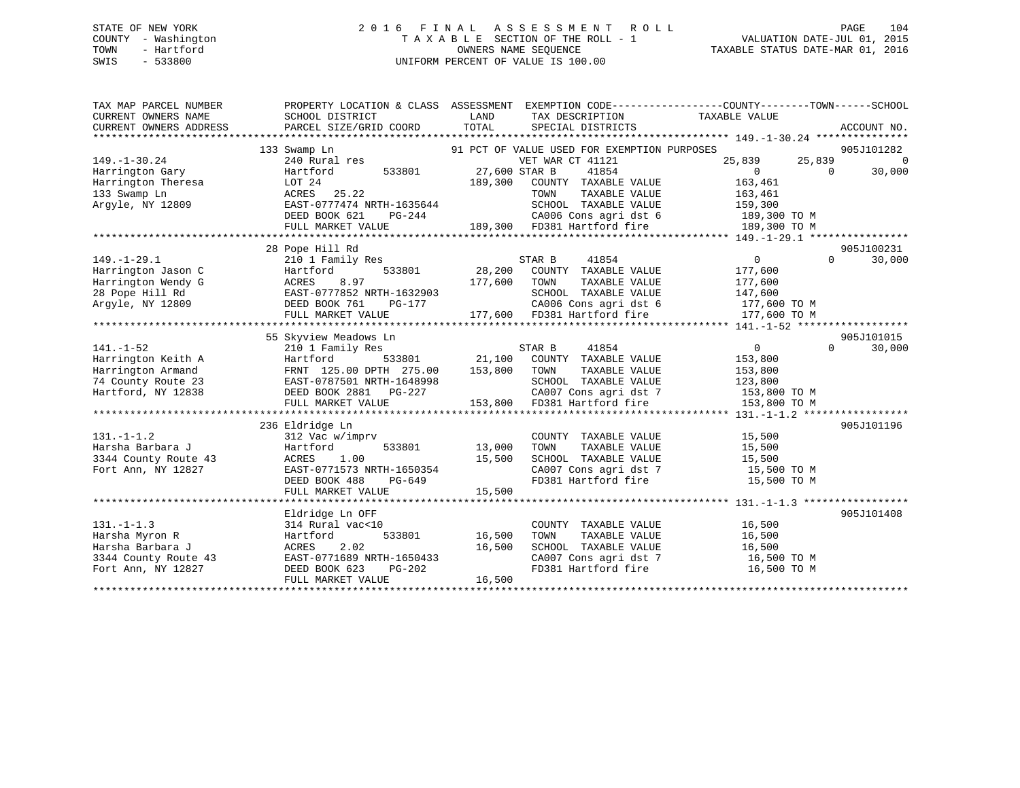## STATE OF NEW YORK 2 0 1 6 F I N A L A S S E S S M E N T R O L L PAGE 104 COUNTY - Washington T A X A B L E SECTION OF THE ROLL - 1 VALUATION DATE-JUL 01, 2015 TOWN - Hartford **TAXABLE STATUS DATE-MAR 01, 2016** OWNERS NAME SEQUENCE TAXABLE STATUS DATE-MAR 01, 2016 SWIS - 533800 UNIFORM PERCENT OF VALUE IS 100.00

| TAX MAP PARCEL NUMBER<br>CURRENT OWNERS NAME<br>CURRENT OWNERS ADDRESS                                 | PROPERTY LOCATION & CLASS ASSESSMENT EXEMPTION CODE---------------COUNTY-------TOWN-----SCHOOL<br>SCHOOL DISTRICT<br>PARCEL SIZE/GRID COORD                           | LAND<br>TOTAL              | TAX DESCRIPTION<br>SPECIAL DISTRICTS                                                                                                             | TAXABLE VALUE                                                                   | ACCOUNT NO.                      |
|--------------------------------------------------------------------------------------------------------|-----------------------------------------------------------------------------------------------------------------------------------------------------------------------|----------------------------|--------------------------------------------------------------------------------------------------------------------------------------------------|---------------------------------------------------------------------------------|----------------------------------|
| $149. - 1 - 30.24$                                                                                     | 133 Swamp Ln<br>240 Rural res                                                                                                                                         |                            | 91 PCT OF VALUE USED FOR EXEMPTION PURPOSES<br>VET WAR CT 41121                                                                                  | 25,839<br>25,839                                                                | 905J101282<br>$\overline{0}$     |
| Harrington Gary<br>Harrington Theresa<br>133 Swamp Ln<br>Arqyle, NY 12809                              | 533801<br>Hartford<br>LOT 24<br>ACRES 25.22<br>EAST-0777474 NRTH-1635644                                                                                              | 27,600 STAR B<br>189,300   | 41854<br>COUNTY TAXABLE VALUE<br>TAXABLE VALUE<br>TOWN<br>SCHOOL TAXABLE VALUE                                                                   | $\overline{0}$<br>163,461<br>163,461<br>159,300                                 | 30,000<br>$\Omega$               |
|                                                                                                        | DEED BOOK 621<br>PG-244<br>FULL MARKET VALUE                                                                                                                          |                            | CA006 Cons agri dst 6<br>189,300 FD381 Hartford fire                                                                                             | 189,300 TO M<br>189,300 TO M                                                    |                                  |
|                                                                                                        | 28 Pope Hill Rd                                                                                                                                                       |                            |                                                                                                                                                  |                                                                                 | 905J100231                       |
| $149. - 1 - 29.1$<br>Harrington Jason C<br>Harrington Wendy G<br>28 Pope Hill Rd<br>Argyle, NY 12809   | 210 1 Family Res<br>533801<br>Hartford<br>ACRES<br>8.97<br>EAST-0777852 NRTH-1632903<br>DEED BOOK 761<br>PG-177<br>FULL MARKET VALUE                                  | 28,200<br>177,600          | 41854<br>STAR B<br>COUNTY TAXABLE VALUE<br>TOWN<br>TAXABLE VALUE<br>SCHOOL TAXABLE VALUE<br>CA006 Cons agri dst 6<br>177,600 FD381 Hartford fire | $\overline{0}$<br>177,600<br>177,600<br>147,600<br>177,600 TO M<br>177,600 TO M | $\Omega$<br>30,000               |
|                                                                                                        |                                                                                                                                                                       |                            |                                                                                                                                                  |                                                                                 |                                  |
| $141. - 1 - 52$<br>Harrington Keith A<br>Harrington Armand<br>74 County Route 23<br>Hartford, NY 12838 | 55 Skyview Meadows Ln<br>210 1 Family Res<br>533801<br>Hartford<br>FRNT 125.00 DPTH 275.00<br>EAST-0787501 NRTH-1648998<br>DEED BOOK 2881 PG-227<br>FULL MARKET VALUE | 21,100<br>153,800          | STAR B<br>41854<br>COUNTY TAXABLE VALUE<br>TOWN<br>TAXABLE VALUE<br>SCHOOL TAXABLE VALUE<br>CA007 Cons agri dst 7<br>153,800 FD381 Hartford fire | $\overline{0}$<br>153,800<br>153,800<br>123,800<br>153,800 TO M<br>153,800 TO M | 905J101015<br>30,000<br>$\Omega$ |
|                                                                                                        | 236 Eldridge Ln                                                                                                                                                       |                            |                                                                                                                                                  |                                                                                 | 905J101196                       |
| $131. - 1 - 1.2$<br>Harsha Barbara J<br>3344 County Route 43<br>Fort Ann, NY 12827                     | 312 Vac w/imprv<br>Hartford<br>533801<br>1.00<br>ACRES<br>EAST-0771573 NRTH-1650354<br>DEED BOOK 488<br>PG-649                                                        | 13,000<br>15,500           | COUNTY TAXABLE VALUE<br>TOWN<br>TAXABLE VALUE<br>SCHOOL TAXABLE VALUE<br>CA007 Cons agri dst 7<br>FD381 Hartford fire                            | 15,500<br>15,500<br>15,500<br>15,500 TO M<br>15,500 TO M                        |                                  |
|                                                                                                        | FULL MARKET VALUE                                                                                                                                                     | 15,500                     |                                                                                                                                                  |                                                                                 |                                  |
| $131. -1 - 1.3$<br>Harsha Myron R<br>Harsha Barbara J<br>3344 County Route 43<br>Fort Ann, NY 12827    | Eldridge Ln OFF<br>314 Rural vac<10<br>533801<br>Hartford<br>2.02<br>ACRES<br>EAST-0771689 NRTH-1650433<br>DEED BOOK 623<br>PG-202<br>FULL MARKET VALUE               | 16,500<br>16,500<br>16,500 | COUNTY TAXABLE VALUE<br>TOWN<br>TAXABLE VALUE<br>SCHOOL TAXABLE VALUE<br>FD381 Hartford fire                                                     | 16,500<br>16,500<br>16,500<br>CA007 Cons agri dst 7 16,500 TO M<br>16,500 TO M  | 905J101408                       |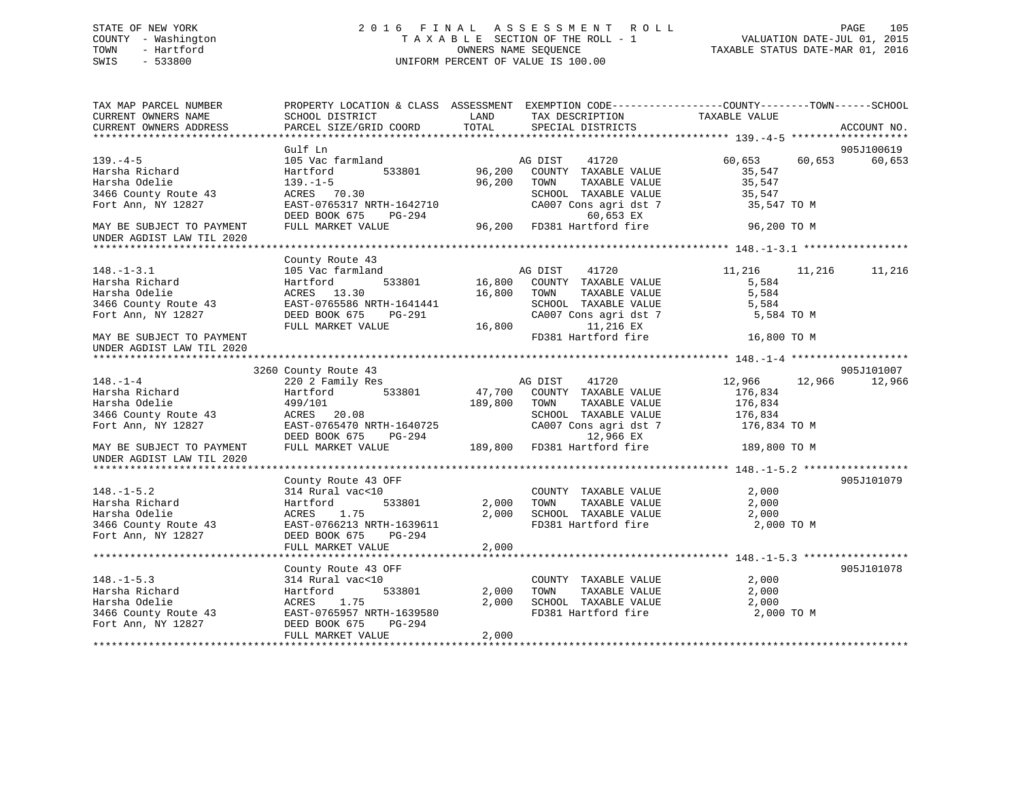## STATE OF NEW YORK 2 0 1 6 F I N A L A S S E S S M E N T R O L L PAGE 105 COUNTY - Washington T A X A B L E SECTION OF THE ROLL - 1 VALUATION DATE-JUL 01, 2015 TOWN - Hartford **TAXABLE STATUS DATE-MAR 01, 2016** OWNERS NAME SEQUENCE TAXABLE STATUS DATE-MAR 01, 2016 SWIS - 533800 UNIFORM PERCENT OF VALUE IS 100.00

| TAX MAP PARCEL NUMBER<br>CURRENT OWNERS NAME<br>CURRENT OWNERS ADDRESS | PROPERTY LOCATION & CLASS ASSESSMENT EXEMPTION CODE----------------COUNTY-------TOWN------SCHOOL<br>SCHOOL DISTRICT<br>PARCEL SIZE/GRID COORD | LAND<br>TOTAL | TAX DESCRIPTION TAXABLE VALUE<br>SPECIAL DISTRICTS |                  | ACCOUNT NO.          |
|------------------------------------------------------------------------|-----------------------------------------------------------------------------------------------------------------------------------------------|---------------|----------------------------------------------------|------------------|----------------------|
|                                                                        |                                                                                                                                               |               |                                                    |                  |                      |
| $139. -4 - 5$                                                          | Gulf Ln<br>105 Vac farmland                                                                                                                   |               | AG DIST<br>41720                                   | 60,653 60,653    | 905J100619<br>60,653 |
| Harsha Richard                                                         | Hartford                                                                                                                                      | 533801 96,200 | COUNTY TAXABLE VALUE                               | 35,547           |                      |
| Harsha Odelie                                                          | $139. - 1 - 5$                                                                                                                                | 96,200        | TOWN<br>TAXABLE VALUE                              | 35,547           |                      |
| 3466 County Route 43                                                   | ACRES 70.30                                                                                                                                   |               | SCHOOL TAXABLE VALUE                               | 35,547           |                      |
| Fort Ann, NY 12827                                                     | EAST-0765317 NRTH-1642710                                                                                                                     |               | CA007 Cons agri dst 7                              | 35,547 TO M      |                      |
|                                                                        | DEED BOOK 675<br>PG-294                                                                                                                       |               | 60,653 EX                                          |                  |                      |
| MAY BE SUBJECT TO PAYMENT                                              | FULL MARKET VALUE                                                                                                                             |               | 96,200 FD381 Hartford fire                         | 96,200 TO M      |                      |
| UNDER AGDIST LAW TIL 2020                                              |                                                                                                                                               |               |                                                    |                  |                      |
|                                                                        |                                                                                                                                               |               |                                                    |                  |                      |
|                                                                        | County Route 43                                                                                                                               |               |                                                    |                  |                      |
| $148. - 1 - 3.1$                                                       | 105 Vac farmland                                                                                                                              |               | AG DIST<br>41720                                   | 11,216<br>11,216 | 11,216               |
| Harsha Richard                                                         | Hartford                                                                                                                                      | 533801 16,800 | COUNTY TAXABLE VALUE                               | 5,584            |                      |
| Harsha Odelie                                                          | ACRES 13.30                                                                                                                                   | 16,800        | TOWN<br>TAXABLE VALUE                              | 5,584            |                      |
| 3466 County Route 43                                                   | EAST-0765586 NRTH-1641441                                                                                                                     |               | SCHOOL TAXABLE VALUE                               | 5,584            |                      |
| Fort Ann, NY 12827                                                     | DEED BOOK 675<br>PG-291                                                                                                                       |               | CA007 Cons agri dst 7                              | 5,584 TO M       |                      |
|                                                                        | FULL MARKET VALUE                                                                                                                             | 16,800        | 11,216 EX                                          |                  |                      |
| MAY BE SUBJECT TO PAYMENT                                              |                                                                                                                                               |               | FD381 Hartford fire                                | 16,800 TO M      |                      |
| UNDER AGDIST LAW TIL 2020                                              |                                                                                                                                               |               |                                                    |                  |                      |
|                                                                        |                                                                                                                                               |               |                                                    |                  |                      |
|                                                                        | 3260 County Route 43                                                                                                                          |               |                                                    |                  | 905J101007           |
| $148. - 1 - 4$                                                         | 220 2 Family Res                                                                                                                              |               | 41720<br>AG DIST                                   | 12,966<br>12,966 | 12,966               |
| Harsha Richard                                                         | 533801<br>Hartford                                                                                                                            | 47,700        | COUNTY TAXABLE VALUE                               | 176,834          |                      |
| Harsha Odelie                                                          | 499/101                                                                                                                                       | 189,800       | TOWN<br>TAXABLE VALUE                              | 176,834          |                      |
| 3466 County Route 43                                                   | ACRES 20.08                                                                                                                                   |               | SCHOOL TAXABLE VALUE                               | 176,834          |                      |
| Fort Ann, NY 12827                                                     | EAST-0765470 NRTH-1640725                                                                                                                     |               | CA007 Cons agri dst 7                              | 176,834 ТО М     |                      |
|                                                                        | DEED BOOK 675                                                                                                                                 |               |                                                    |                  |                      |
| MAY BE SUBJECT TO PAYMENT<br>UNDER AGDIST LAW TIL 2020                 | FULL MARKET VALUE                                                                                                                             |               | PG-294<br>E 189,800 FD381 Hartford fire            | 189,800 TO M     |                      |
|                                                                        |                                                                                                                                               |               |                                                    |                  |                      |
|                                                                        | County Route 43 OFF                                                                                                                           |               |                                                    |                  | 905J101079           |
| $148. - 1 - 5.2$                                                       | 314 Rural vac<10                                                                                                                              |               | COUNTY TAXABLE VALUE                               | 2,000            |                      |
| Harsha Richard                                                         | 533801<br>Hartford                                                                                                                            | 2,000         | TAXABLE VALUE<br>TOWN                              | 2,000            |                      |
| Harsha Odelie                                                          | 1.75<br>ACRES                                                                                                                                 | 2,000         | SCHOOL TAXABLE VALUE                               | 2,000            |                      |
| 3466 County Route 43                                                   | EAST-0766213 NRTH-1639611                                                                                                                     |               | FD381 Hartford fire                                | 2,000 TO M       |                      |
| Fort Ann, NY 12827                                                     | DEED BOOK 675<br>PG-294                                                                                                                       |               |                                                    |                  |                      |
|                                                                        | FULL MARKET VALUE                                                                                                                             | 2,000         |                                                    |                  |                      |
|                                                                        |                                                                                                                                               |               |                                                    |                  |                      |
|                                                                        | County Route 43 OFF                                                                                                                           |               |                                                    |                  | 905J101078           |
| $148. - 1 - 5.3$                                                       | 314 Rural vac<10                                                                                                                              |               | COUNTY TAXABLE VALUE                               | 2,000            |                      |
| Harsha Richard                                                         | 533801<br>Hartford                                                                                                                            | 2,000         | TOWN<br>TAXABLE VALUE                              | 2,000            |                      |
| Harsha Odelie                                                          | 1.75<br>ACRES                                                                                                                                 | 2,000         | SCHOOL TAXABLE VALUE                               | 2,000            |                      |
| 3466 County Route 43                                                   | EAST-0765957 NRTH-1639580                                                                                                                     |               | FD381 Hartford fire                                | 2,000 TO M       |                      |
| Fort Ann, NY 12827                                                     | DEED BOOK 675<br>PG-294                                                                                                                       |               |                                                    |                  |                      |
|                                                                        | FULL MARKET VALUE                                                                                                                             | 2,000         |                                                    |                  |                      |
|                                                                        |                                                                                                                                               |               |                                                    |                  |                      |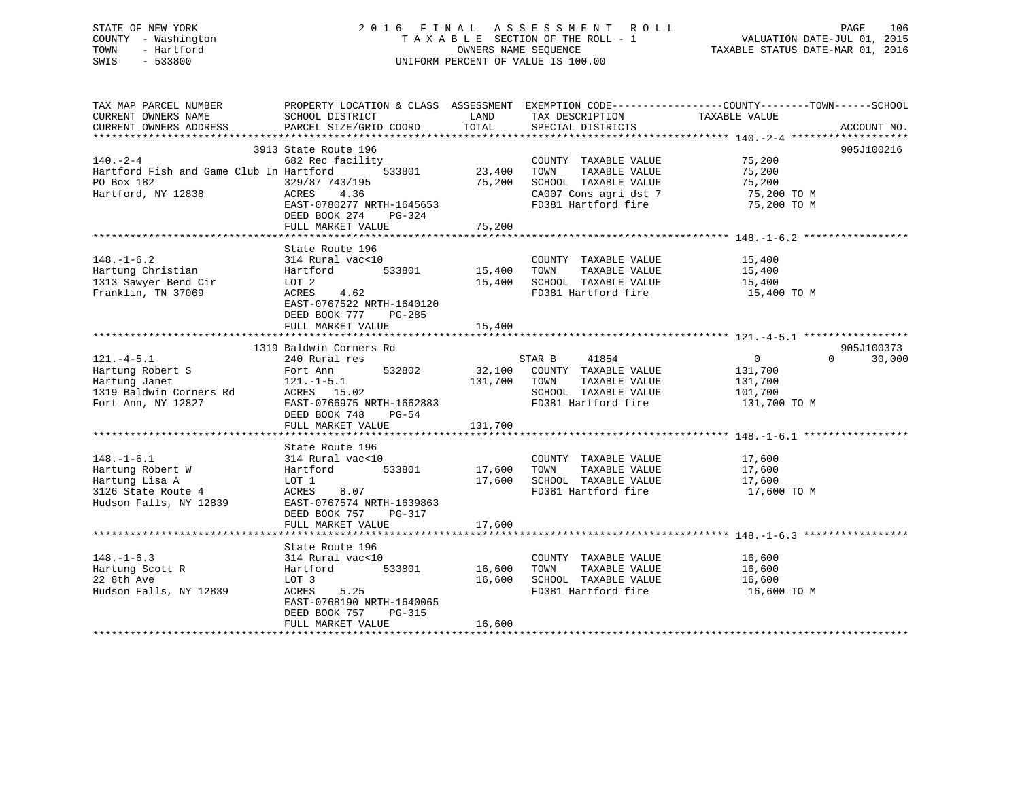STATE OF NEW YORK 2 0 1 6 F I N A L A S S E S S M E N T R O L L PAGE 106 COUNTY - Washington T A X A B L E SECTION OF THE ROLL - 1 VALUATION DATE-JUL 01, 2015 TOWN - Hartford **TAXABLE STATUS DATE-MAR 01, 2016** OWNERS NAME SEQUENCE TAXABLE STATUS DATE-MAR 01, 2016 SWIS - 533800 UNIFORM PERCENT OF VALUE IS 100.00

| TAX MAP PARCEL NUMBER                                                                                                                                                                                                                                | PROPERTY LOCATION & CLASS ASSESSMENT EXEMPTION CODE----------------COUNTY-------TOWN------SCHOOL |             |                                                                         |                       |                    |
|------------------------------------------------------------------------------------------------------------------------------------------------------------------------------------------------------------------------------------------------------|--------------------------------------------------------------------------------------------------|-------------|-------------------------------------------------------------------------|-----------------------|--------------------|
| CURRENT OWNERS NAME                                                                                                                                                                                                                                  | SCHOOL DISTRICT                                                                                  | LAND        | TAX DESCRIPTION                                                         | TAXABLE VALUE         |                    |
| CURRENT OWNERS ADDRESS                                                                                                                                                                                                                               | PARCEL SIZE/GRID COORD                                                                           | TOTAL       | SPECIAL DISTRICTS                                                       |                       | ACCOUNT NO.        |
|                                                                                                                                                                                                                                                      |                                                                                                  |             |                                                                         |                       |                    |
|                                                                                                                                                                                                                                                      | 3913 State Route 196                                                                             |             |                                                                         |                       | 905J100216         |
| 140.-2-4             682 Rec facility                COUNTY TAXABLE VALUE<br>Hartford Fish and Game Club In Hartford     533801      23,400  TOWN   TAXABLE VALUE                                                                                    |                                                                                                  |             | COUNTY TAXABLE VALUE 75,200                                             |                       |                    |
|                                                                                                                                                                                                                                                      |                                                                                                  |             |                                                                         | 75,200                |                    |
| PO Box 182                                                                                                                                                                                                                                           | 329/87 743/195                                                                                   |             |                                                                         |                       |                    |
| Hartford, NY 12838                                                                                                                                                                                                                                   | ACRES 4.36                                                                                       |             | 75,200 SCHOOL TAXABLE VALUE 75,200<br>CA007 Cons agri dst 7 75,200 TO M |                       |                    |
|                                                                                                                                                                                                                                                      | EAST-0780277 NRTH-1645653                                                                        |             | FD381 Hartford fire 75,200 TO M                                         |                       |                    |
|                                                                                                                                                                                                                                                      | DEED BOOK 274<br>PG-324                                                                          |             |                                                                         |                       |                    |
|                                                                                                                                                                                                                                                      | FULL MARKET VALUE                                                                                | 75,200      |                                                                         |                       |                    |
|                                                                                                                                                                                                                                                      |                                                                                                  |             |                                                                         |                       |                    |
|                                                                                                                                                                                                                                                      | State Route 196                                                                                  |             |                                                                         |                       |                    |
|                                                                                                                                                                                                                                                      |                                                                                                  |             |                                                                         | 15,400                |                    |
| 148.-1-6.2            314 Rural vac<10               COUNTY TAXABLE VALUE<br>Hartung Christian        Hartford     533801      15,400  TOWN   TAXABLE VALUE                                                                                          |                                                                                                  |             |                                                                         | 15,400                |                    |
|                                                                                                                                                                                                                                                      |                                                                                                  |             |                                                                         |                       |                    |
| Franklin, TN 37069                                                                                                                                                                                                                                   | LOT 2<br>ACRES 4.62                                                                              |             | 15,400 SCHOOL TAXABLE VALUE<br>FD381 Hartford fire                      | 15,400<br>15,400 TO M |                    |
|                                                                                                                                                                                                                                                      | EAST-0767522 NRTH-1640120                                                                        |             |                                                                         |                       |                    |
|                                                                                                                                                                                                                                                      | DEED BOOK 777 PG-285                                                                             |             |                                                                         |                       |                    |
|                                                                                                                                                                                                                                                      | FULL MARKET VALUE                                                                                | 15,400      |                                                                         |                       |                    |
|                                                                                                                                                                                                                                                      |                                                                                                  |             |                                                                         |                       |                    |
|                                                                                                                                                                                                                                                      | 1319 Baldwin Corners Rd                                                                          |             |                                                                         |                       | 905J100373         |
| $121. -4 - 5.1$                                                                                                                                                                                                                                      | 240 Rural res                                                                                    |             | STAR B<br>41854                                                         | $\overline{0}$        | $\Omega$<br>30,000 |
|                                                                                                                                                                                                                                                      |                                                                                                  |             |                                                                         |                       |                    |
|                                                                                                                                                                                                                                                      |                                                                                                  |             |                                                                         |                       |                    |
|                                                                                                                                                                                                                                                      |                                                                                                  |             | SCHOOL TAXABLE VALUE 101,700                                            |                       |                    |
| Hartung Janet<br>1319 Baldwin Corners Rd<br>Fort Ann, NY 12827<br>Fort Ann, NY 12827<br>Fort Ann, NY 12827<br>Fort Ann, NY 12827<br>Fort Ann, NY 12827<br>Fort Ann, NY 12827<br>Fort Ann, NY 12827<br>Fort Ann, NY 12827<br>Fort Ann, NY 12827<br>Fo | EAST-0766975 NRTH-1662883                                                                        |             | FD381 Hartford fire                                                     | 131,700 TO M          |                    |
|                                                                                                                                                                                                                                                      |                                                                                                  |             |                                                                         |                       |                    |
|                                                                                                                                                                                                                                                      | FULL MARKET VALUE                                                                                | 131,700     |                                                                         |                       |                    |
|                                                                                                                                                                                                                                                      |                                                                                                  |             |                                                                         |                       |                    |
|                                                                                                                                                                                                                                                      | State Route 196                                                                                  |             |                                                                         |                       |                    |
|                                                                                                                                                                                                                                                      |                                                                                                  |             | COUNTY TAXABLE VALUE 17,600                                             |                       |                    |
|                                                                                                                                                                                                                                                      |                                                                                                  |             | TAXABLE VALUE                                                           | 17,600                |                    |
|                                                                                                                                                                                                                                                      |                                                                                                  |             | 17,600 SCHOOL TAXABLE VALUE                                             | 17,600                |                    |
|                                                                                                                                                                                                                                                      |                                                                                                  |             | FD381 Hartford fire                                                     | 17,600 TO M           |                    |
| 148.-1-6.1 2010<br>Hartung Robert W 314 Rural vac<10 2000NT<br>Hartung Lisa A LOT 1 3126 State Route 4 2007 1<br>Hudson Falls, NY 12839 EAST-0767574 NRTH-1639863                                                                                    |                                                                                                  |             |                                                                         |                       |                    |
|                                                                                                                                                                                                                                                      | DEED BOOK 757 PG-317                                                                             |             |                                                                         |                       |                    |
|                                                                                                                                                                                                                                                      | FULL MARKET VALUE                                                                                | 17,600      |                                                                         |                       |                    |
|                                                                                                                                                                                                                                                      |                                                                                                  |             |                                                                         |                       |                    |
|                                                                                                                                                                                                                                                      | State Route 196                                                                                  |             |                                                                         |                       |                    |
| $148. - 1 - 6.3$                                                                                                                                                                                                                                     |                                                                                                  |             | COUNTY TAXABLE VALUE 16,600                                             |                       |                    |
|                                                                                                                                                                                                                                                      | 533801                                                                                           | 16,600 TOWN | TAXABLE VALUE                                                           | 16,600                |                    |
| Hartung Scott R<br>22 8th Ave                                                                                                                                                                                                                        | LOT 3                                                                                            |             | 16,600 SCHOOL TAXABLE VALUE 16,600                                      |                       |                    |
| Hudson Falls, NY 12839                                                                                                                                                                                                                               | ACRES 5.25                                                                                       |             | FD381 Hartford fire                                                     | 16,600 TO M           |                    |
|                                                                                                                                                                                                                                                      | EAST-0768190 NRTH-1640065                                                                        |             |                                                                         |                       |                    |
|                                                                                                                                                                                                                                                      | DEED BOOK 757<br>PG-315                                                                          |             |                                                                         |                       |                    |
|                                                                                                                                                                                                                                                      |                                                                                                  |             |                                                                         |                       |                    |
|                                                                                                                                                                                                                                                      |                                                                                                  |             |                                                                         |                       |                    |
|                                                                                                                                                                                                                                                      |                                                                                                  |             |                                                                         |                       |                    |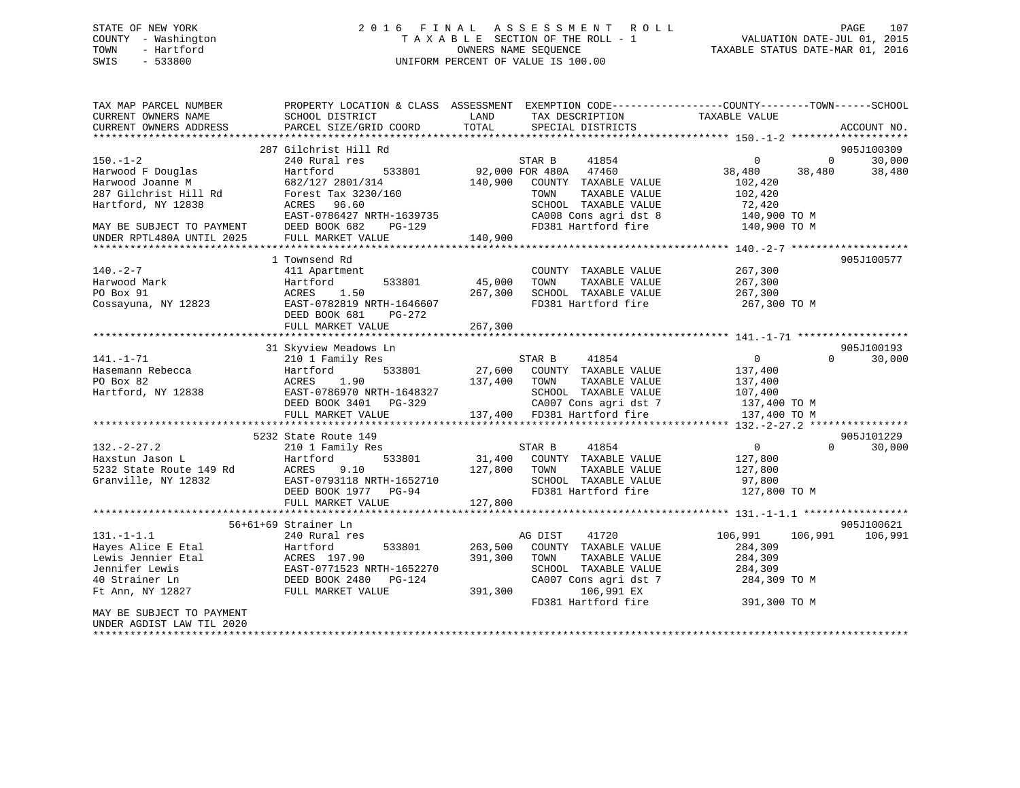## STATE OF NEW YORK 2 0 1 6 F I N A L A S S E S S M E N T R O L L PAGE 107 COUNTY - Washington T A X A B L E SECTION OF THE ROLL - 1 VALUATION DATE-JUL 01, 2015 TOWN - Hartford **TAXABLE STATUS DATE-MAR 01, 2016** OWNERS NAME SEQUENCE TAXABLE STATUS DATE-MAR 01, 2016 SWIS - 533800 UNIFORM PERCENT OF VALUE IS 100.00

| TOTAL<br>CURRENT OWNERS ADDRESS<br>PARCEL SIZE/GRID COORD<br>SPECIAL DISTRICTS<br>ACCOUNT NO.<br>287 Gilchrist Hill Rd<br>905J100309<br>$150. - 1 - 2$<br>240 Rural res<br>STAR B<br>41854<br>$\Omega$<br>30,000<br>$\Omega$<br>533801<br>92,000 FOR 480A<br>47460<br>Harwood F Douglas<br>Hartford<br>38,480<br>38,480<br>38,480<br>682/127 2801/314<br>140,900<br>COUNTY TAXABLE VALUE<br>Harwood Joanne M<br>102,420<br>287 Gilchrist Hill Rd<br>TAXABLE VALUE<br>Forest Tax 3230/160<br>TOWN<br>102,420<br>Hartford, NY 12838<br>ACRES 96.60<br>SCHOOL TAXABLE VALUE<br>72,420<br>EAST-0786427 NRTH-1639735<br>CA008 Cons agri dst 8<br>140,900 TO M<br>FD381 Hartford fire<br>DEED BOOK 682<br>140,900 TO M<br>MAY BE SUBJECT TO PAYMENT<br>PG-129<br>FULL MARKET VALUE<br>140,900<br>905J100577<br>1 Townsend Rd<br>267,300<br>411 Apartment<br>COUNTY TAXABLE VALUE<br>Hartford<br>533801<br>45,000<br>TAXABLE VALUE<br>267,300<br>TOWN<br>1.50<br>SCHOOL TAXABLE VALUE<br>ACRES<br>267,300<br>267,300<br>EAST-0782819 NRTH-1646607<br>FD381 Hartford fire<br>267,300 TO M<br>DEED BOOK 681<br>PG-272<br>FULL MARKET VALUE<br>267,300<br>905J100193<br>31 Skyview Meadows Ln<br>$141. - 1 - 71$<br>210 1 Family Res<br>STAR B<br>41854<br>$\overline{0}$<br>$\Omega$<br>30,000<br>533801<br>27,600 COUNTY TAXABLE VALUE<br>Hasemann Rebecca<br>Hartford<br>137,400<br>PO Box 82<br>ACRES<br>1.90<br>137,400<br>TAXABLE VALUE<br>137,400<br>TOWN<br>Hartford, NY 12838<br>SCHOOL TAXABLE VALUE<br>EAST-0786970 NRTH-1648327<br>107,400<br>DEED BOOK 3401 PG-329<br>CA007 Cons agri dst 7<br>137,400 TO M<br>137,400 FD381 Hartford fire<br>FULL MARKET VALUE<br>137,400 TO M<br>5232 State Route 149<br>905J101229<br>$132 - 2 - 27.2$<br>210 1 Family Res<br>STAR B<br>41854<br>$\overline{0}$<br>$\Omega$<br>30,000<br>31,400<br>Haxstun Jason L<br>533801<br>COUNTY TAXABLE VALUE<br>127,800<br>Hartford<br>5232 State Route 149 Rd<br>ACRES<br>9.10<br>127,800<br>TAXABLE VALUE<br>TOWN<br>127,800<br>SCHOOL TAXABLE VALUE<br>Granville, NY 12832<br>EAST-0793118 NRTH-1652710<br>97,800<br>FD381 Hartford fire<br>127,800 TO M<br>DEED BOOK 1977 PG-94<br>127,800<br>FULL MARKET VALUE<br>905J100621<br>56+61+69 Strainer Ln<br>41720<br>106,991<br>106,991<br>106,991<br>240 Rural res<br>AG DIST<br>Hartford<br>533801<br>263,500<br>COUNTY TAXABLE VALUE<br>284,309<br>ACRES 197.90<br>391,300<br>TOWN<br>TAXABLE VALUE<br>284,309<br>EAST-0771523 NRTH-1652270<br>SCHOOL TAXABLE VALUE<br>284,309<br>DEED BOOK 2480<br>CA007 Cons agri dst 7<br>PG-124<br>284,309 TO M<br>106,991 EX<br>FULL MARKET VALUE<br>391,300<br>FD381 Hartford fire<br>391,300 TO M<br>UNDER AGDIST LAW TIL 2020 | TAX MAP PARCEL NUMBER<br>CURRENT OWNERS NAME | PROPERTY LOCATION & CLASS ASSESSMENT<br>SCHOOL DISTRICT | LAND | EXEMPTION CODE-----------------COUNTY-------TOWN------SCHOOL<br>TAX DESCRIPTION | TAXABLE VALUE |  |
|---------------------------------------------------------------------------------------------------------------------------------------------------------------------------------------------------------------------------------------------------------------------------------------------------------------------------------------------------------------------------------------------------------------------------------------------------------------------------------------------------------------------------------------------------------------------------------------------------------------------------------------------------------------------------------------------------------------------------------------------------------------------------------------------------------------------------------------------------------------------------------------------------------------------------------------------------------------------------------------------------------------------------------------------------------------------------------------------------------------------------------------------------------------------------------------------------------------------------------------------------------------------------------------------------------------------------------------------------------------------------------------------------------------------------------------------------------------------------------------------------------------------------------------------------------------------------------------------------------------------------------------------------------------------------------------------------------------------------------------------------------------------------------------------------------------------------------------------------------------------------------------------------------------------------------------------------------------------------------------------------------------------------------------------------------------------------------------------------------------------------------------------------------------------------------------------------------------------------------------------------------------------------------------------------------------------------------------------------------------------------------------------------------------------------------------------------------------------------------------------------------------------------------------------------------------------------------------------------------------------------------------------------------------------------------------------------------|----------------------------------------------|---------------------------------------------------------|------|---------------------------------------------------------------------------------|---------------|--|
|                                                                                                                                                                                                                                                                                                                                                                                                                                                                                                                                                                                                                                                                                                                                                                                                                                                                                                                                                                                                                                                                                                                                                                                                                                                                                                                                                                                                                                                                                                                                                                                                                                                                                                                                                                                                                                                                                                                                                                                                                                                                                                                                                                                                                                                                                                                                                                                                                                                                                                                                                                                                                                                                                                         |                                              |                                                         |      |                                                                                 |               |  |
|                                                                                                                                                                                                                                                                                                                                                                                                                                                                                                                                                                                                                                                                                                                                                                                                                                                                                                                                                                                                                                                                                                                                                                                                                                                                                                                                                                                                                                                                                                                                                                                                                                                                                                                                                                                                                                                                                                                                                                                                                                                                                                                                                                                                                                                                                                                                                                                                                                                                                                                                                                                                                                                                                                         |                                              |                                                         |      |                                                                                 |               |  |
|                                                                                                                                                                                                                                                                                                                                                                                                                                                                                                                                                                                                                                                                                                                                                                                                                                                                                                                                                                                                                                                                                                                                                                                                                                                                                                                                                                                                                                                                                                                                                                                                                                                                                                                                                                                                                                                                                                                                                                                                                                                                                                                                                                                                                                                                                                                                                                                                                                                                                                                                                                                                                                                                                                         |                                              |                                                         |      |                                                                                 |               |  |
|                                                                                                                                                                                                                                                                                                                                                                                                                                                                                                                                                                                                                                                                                                                                                                                                                                                                                                                                                                                                                                                                                                                                                                                                                                                                                                                                                                                                                                                                                                                                                                                                                                                                                                                                                                                                                                                                                                                                                                                                                                                                                                                                                                                                                                                                                                                                                                                                                                                                                                                                                                                                                                                                                                         |                                              |                                                         |      |                                                                                 |               |  |
|                                                                                                                                                                                                                                                                                                                                                                                                                                                                                                                                                                                                                                                                                                                                                                                                                                                                                                                                                                                                                                                                                                                                                                                                                                                                                                                                                                                                                                                                                                                                                                                                                                                                                                                                                                                                                                                                                                                                                                                                                                                                                                                                                                                                                                                                                                                                                                                                                                                                                                                                                                                                                                                                                                         |                                              |                                                         |      |                                                                                 |               |  |
|                                                                                                                                                                                                                                                                                                                                                                                                                                                                                                                                                                                                                                                                                                                                                                                                                                                                                                                                                                                                                                                                                                                                                                                                                                                                                                                                                                                                                                                                                                                                                                                                                                                                                                                                                                                                                                                                                                                                                                                                                                                                                                                                                                                                                                                                                                                                                                                                                                                                                                                                                                                                                                                                                                         |                                              |                                                         |      |                                                                                 |               |  |
|                                                                                                                                                                                                                                                                                                                                                                                                                                                                                                                                                                                                                                                                                                                                                                                                                                                                                                                                                                                                                                                                                                                                                                                                                                                                                                                                                                                                                                                                                                                                                                                                                                                                                                                                                                                                                                                                                                                                                                                                                                                                                                                                                                                                                                                                                                                                                                                                                                                                                                                                                                                                                                                                                                         |                                              |                                                         |      |                                                                                 |               |  |
|                                                                                                                                                                                                                                                                                                                                                                                                                                                                                                                                                                                                                                                                                                                                                                                                                                                                                                                                                                                                                                                                                                                                                                                                                                                                                                                                                                                                                                                                                                                                                                                                                                                                                                                                                                                                                                                                                                                                                                                                                                                                                                                                                                                                                                                                                                                                                                                                                                                                                                                                                                                                                                                                                                         |                                              |                                                         |      |                                                                                 |               |  |
|                                                                                                                                                                                                                                                                                                                                                                                                                                                                                                                                                                                                                                                                                                                                                                                                                                                                                                                                                                                                                                                                                                                                                                                                                                                                                                                                                                                                                                                                                                                                                                                                                                                                                                                                                                                                                                                                                                                                                                                                                                                                                                                                                                                                                                                                                                                                                                                                                                                                                                                                                                                                                                                                                                         |                                              |                                                         |      |                                                                                 |               |  |
|                                                                                                                                                                                                                                                                                                                                                                                                                                                                                                                                                                                                                                                                                                                                                                                                                                                                                                                                                                                                                                                                                                                                                                                                                                                                                                                                                                                                                                                                                                                                                                                                                                                                                                                                                                                                                                                                                                                                                                                                                                                                                                                                                                                                                                                                                                                                                                                                                                                                                                                                                                                                                                                                                                         | UNDER RPTL480A UNTIL 2025                    |                                                         |      |                                                                                 |               |  |
|                                                                                                                                                                                                                                                                                                                                                                                                                                                                                                                                                                                                                                                                                                                                                                                                                                                                                                                                                                                                                                                                                                                                                                                                                                                                                                                                                                                                                                                                                                                                                                                                                                                                                                                                                                                                                                                                                                                                                                                                                                                                                                                                                                                                                                                                                                                                                                                                                                                                                                                                                                                                                                                                                                         |                                              |                                                         |      |                                                                                 |               |  |
|                                                                                                                                                                                                                                                                                                                                                                                                                                                                                                                                                                                                                                                                                                                                                                                                                                                                                                                                                                                                                                                                                                                                                                                                                                                                                                                                                                                                                                                                                                                                                                                                                                                                                                                                                                                                                                                                                                                                                                                                                                                                                                                                                                                                                                                                                                                                                                                                                                                                                                                                                                                                                                                                                                         |                                              |                                                         |      |                                                                                 |               |  |
|                                                                                                                                                                                                                                                                                                                                                                                                                                                                                                                                                                                                                                                                                                                                                                                                                                                                                                                                                                                                                                                                                                                                                                                                                                                                                                                                                                                                                                                                                                                                                                                                                                                                                                                                                                                                                                                                                                                                                                                                                                                                                                                                                                                                                                                                                                                                                                                                                                                                                                                                                                                                                                                                                                         | $140. -2 - 7$                                |                                                         |      |                                                                                 |               |  |
|                                                                                                                                                                                                                                                                                                                                                                                                                                                                                                                                                                                                                                                                                                                                                                                                                                                                                                                                                                                                                                                                                                                                                                                                                                                                                                                                                                                                                                                                                                                                                                                                                                                                                                                                                                                                                                                                                                                                                                                                                                                                                                                                                                                                                                                                                                                                                                                                                                                                                                                                                                                                                                                                                                         | Harwood Mark                                 |                                                         |      |                                                                                 |               |  |
|                                                                                                                                                                                                                                                                                                                                                                                                                                                                                                                                                                                                                                                                                                                                                                                                                                                                                                                                                                                                                                                                                                                                                                                                                                                                                                                                                                                                                                                                                                                                                                                                                                                                                                                                                                                                                                                                                                                                                                                                                                                                                                                                                                                                                                                                                                                                                                                                                                                                                                                                                                                                                                                                                                         | PO Box 91                                    |                                                         |      |                                                                                 |               |  |
|                                                                                                                                                                                                                                                                                                                                                                                                                                                                                                                                                                                                                                                                                                                                                                                                                                                                                                                                                                                                                                                                                                                                                                                                                                                                                                                                                                                                                                                                                                                                                                                                                                                                                                                                                                                                                                                                                                                                                                                                                                                                                                                                                                                                                                                                                                                                                                                                                                                                                                                                                                                                                                                                                                         | Cossayuna, NY 12823                          |                                                         |      |                                                                                 |               |  |
|                                                                                                                                                                                                                                                                                                                                                                                                                                                                                                                                                                                                                                                                                                                                                                                                                                                                                                                                                                                                                                                                                                                                                                                                                                                                                                                                                                                                                                                                                                                                                                                                                                                                                                                                                                                                                                                                                                                                                                                                                                                                                                                                                                                                                                                                                                                                                                                                                                                                                                                                                                                                                                                                                                         |                                              |                                                         |      |                                                                                 |               |  |
|                                                                                                                                                                                                                                                                                                                                                                                                                                                                                                                                                                                                                                                                                                                                                                                                                                                                                                                                                                                                                                                                                                                                                                                                                                                                                                                                                                                                                                                                                                                                                                                                                                                                                                                                                                                                                                                                                                                                                                                                                                                                                                                                                                                                                                                                                                                                                                                                                                                                                                                                                                                                                                                                                                         |                                              |                                                         |      |                                                                                 |               |  |
|                                                                                                                                                                                                                                                                                                                                                                                                                                                                                                                                                                                                                                                                                                                                                                                                                                                                                                                                                                                                                                                                                                                                                                                                                                                                                                                                                                                                                                                                                                                                                                                                                                                                                                                                                                                                                                                                                                                                                                                                                                                                                                                                                                                                                                                                                                                                                                                                                                                                                                                                                                                                                                                                                                         |                                              |                                                         |      |                                                                                 |               |  |
|                                                                                                                                                                                                                                                                                                                                                                                                                                                                                                                                                                                                                                                                                                                                                                                                                                                                                                                                                                                                                                                                                                                                                                                                                                                                                                                                                                                                                                                                                                                                                                                                                                                                                                                                                                                                                                                                                                                                                                                                                                                                                                                                                                                                                                                                                                                                                                                                                                                                                                                                                                                                                                                                                                         |                                              |                                                         |      |                                                                                 |               |  |
|                                                                                                                                                                                                                                                                                                                                                                                                                                                                                                                                                                                                                                                                                                                                                                                                                                                                                                                                                                                                                                                                                                                                                                                                                                                                                                                                                                                                                                                                                                                                                                                                                                                                                                                                                                                                                                                                                                                                                                                                                                                                                                                                                                                                                                                                                                                                                                                                                                                                                                                                                                                                                                                                                                         |                                              |                                                         |      |                                                                                 |               |  |
|                                                                                                                                                                                                                                                                                                                                                                                                                                                                                                                                                                                                                                                                                                                                                                                                                                                                                                                                                                                                                                                                                                                                                                                                                                                                                                                                                                                                                                                                                                                                                                                                                                                                                                                                                                                                                                                                                                                                                                                                                                                                                                                                                                                                                                                                                                                                                                                                                                                                                                                                                                                                                                                                                                         |                                              |                                                         |      |                                                                                 |               |  |
|                                                                                                                                                                                                                                                                                                                                                                                                                                                                                                                                                                                                                                                                                                                                                                                                                                                                                                                                                                                                                                                                                                                                                                                                                                                                                                                                                                                                                                                                                                                                                                                                                                                                                                                                                                                                                                                                                                                                                                                                                                                                                                                                                                                                                                                                                                                                                                                                                                                                                                                                                                                                                                                                                                         |                                              |                                                         |      |                                                                                 |               |  |
|                                                                                                                                                                                                                                                                                                                                                                                                                                                                                                                                                                                                                                                                                                                                                                                                                                                                                                                                                                                                                                                                                                                                                                                                                                                                                                                                                                                                                                                                                                                                                                                                                                                                                                                                                                                                                                                                                                                                                                                                                                                                                                                                                                                                                                                                                                                                                                                                                                                                                                                                                                                                                                                                                                         |                                              |                                                         |      |                                                                                 |               |  |
|                                                                                                                                                                                                                                                                                                                                                                                                                                                                                                                                                                                                                                                                                                                                                                                                                                                                                                                                                                                                                                                                                                                                                                                                                                                                                                                                                                                                                                                                                                                                                                                                                                                                                                                                                                                                                                                                                                                                                                                                                                                                                                                                                                                                                                                                                                                                                                                                                                                                                                                                                                                                                                                                                                         |                                              |                                                         |      |                                                                                 |               |  |
|                                                                                                                                                                                                                                                                                                                                                                                                                                                                                                                                                                                                                                                                                                                                                                                                                                                                                                                                                                                                                                                                                                                                                                                                                                                                                                                                                                                                                                                                                                                                                                                                                                                                                                                                                                                                                                                                                                                                                                                                                                                                                                                                                                                                                                                                                                                                                                                                                                                                                                                                                                                                                                                                                                         |                                              |                                                         |      |                                                                                 |               |  |
|                                                                                                                                                                                                                                                                                                                                                                                                                                                                                                                                                                                                                                                                                                                                                                                                                                                                                                                                                                                                                                                                                                                                                                                                                                                                                                                                                                                                                                                                                                                                                                                                                                                                                                                                                                                                                                                                                                                                                                                                                                                                                                                                                                                                                                                                                                                                                                                                                                                                                                                                                                                                                                                                                                         |                                              |                                                         |      |                                                                                 |               |  |
|                                                                                                                                                                                                                                                                                                                                                                                                                                                                                                                                                                                                                                                                                                                                                                                                                                                                                                                                                                                                                                                                                                                                                                                                                                                                                                                                                                                                                                                                                                                                                                                                                                                                                                                                                                                                                                                                                                                                                                                                                                                                                                                                                                                                                                                                                                                                                                                                                                                                                                                                                                                                                                                                                                         |                                              |                                                         |      |                                                                                 |               |  |
|                                                                                                                                                                                                                                                                                                                                                                                                                                                                                                                                                                                                                                                                                                                                                                                                                                                                                                                                                                                                                                                                                                                                                                                                                                                                                                                                                                                                                                                                                                                                                                                                                                                                                                                                                                                                                                                                                                                                                                                                                                                                                                                                                                                                                                                                                                                                                                                                                                                                                                                                                                                                                                                                                                         |                                              |                                                         |      |                                                                                 |               |  |
|                                                                                                                                                                                                                                                                                                                                                                                                                                                                                                                                                                                                                                                                                                                                                                                                                                                                                                                                                                                                                                                                                                                                                                                                                                                                                                                                                                                                                                                                                                                                                                                                                                                                                                                                                                                                                                                                                                                                                                                                                                                                                                                                                                                                                                                                                                                                                                                                                                                                                                                                                                                                                                                                                                         |                                              |                                                         |      |                                                                                 |               |  |
|                                                                                                                                                                                                                                                                                                                                                                                                                                                                                                                                                                                                                                                                                                                                                                                                                                                                                                                                                                                                                                                                                                                                                                                                                                                                                                                                                                                                                                                                                                                                                                                                                                                                                                                                                                                                                                                                                                                                                                                                                                                                                                                                                                                                                                                                                                                                                                                                                                                                                                                                                                                                                                                                                                         |                                              |                                                         |      |                                                                                 |               |  |
|                                                                                                                                                                                                                                                                                                                                                                                                                                                                                                                                                                                                                                                                                                                                                                                                                                                                                                                                                                                                                                                                                                                                                                                                                                                                                                                                                                                                                                                                                                                                                                                                                                                                                                                                                                                                                                                                                                                                                                                                                                                                                                                                                                                                                                                                                                                                                                                                                                                                                                                                                                                                                                                                                                         |                                              |                                                         |      |                                                                                 |               |  |
|                                                                                                                                                                                                                                                                                                                                                                                                                                                                                                                                                                                                                                                                                                                                                                                                                                                                                                                                                                                                                                                                                                                                                                                                                                                                                                                                                                                                                                                                                                                                                                                                                                                                                                                                                                                                                                                                                                                                                                                                                                                                                                                                                                                                                                                                                                                                                                                                                                                                                                                                                                                                                                                                                                         |                                              |                                                         |      |                                                                                 |               |  |
|                                                                                                                                                                                                                                                                                                                                                                                                                                                                                                                                                                                                                                                                                                                                                                                                                                                                                                                                                                                                                                                                                                                                                                                                                                                                                                                                                                                                                                                                                                                                                                                                                                                                                                                                                                                                                                                                                                                                                                                                                                                                                                                                                                                                                                                                                                                                                                                                                                                                                                                                                                                                                                                                                                         |                                              |                                                         |      |                                                                                 |               |  |
|                                                                                                                                                                                                                                                                                                                                                                                                                                                                                                                                                                                                                                                                                                                                                                                                                                                                                                                                                                                                                                                                                                                                                                                                                                                                                                                                                                                                                                                                                                                                                                                                                                                                                                                                                                                                                                                                                                                                                                                                                                                                                                                                                                                                                                                                                                                                                                                                                                                                                                                                                                                                                                                                                                         |                                              |                                                         |      |                                                                                 |               |  |
|                                                                                                                                                                                                                                                                                                                                                                                                                                                                                                                                                                                                                                                                                                                                                                                                                                                                                                                                                                                                                                                                                                                                                                                                                                                                                                                                                                                                                                                                                                                                                                                                                                                                                                                                                                                                                                                                                                                                                                                                                                                                                                                                                                                                                                                                                                                                                                                                                                                                                                                                                                                                                                                                                                         | $131. - 1 - 1.1$                             |                                                         |      |                                                                                 |               |  |
|                                                                                                                                                                                                                                                                                                                                                                                                                                                                                                                                                                                                                                                                                                                                                                                                                                                                                                                                                                                                                                                                                                                                                                                                                                                                                                                                                                                                                                                                                                                                                                                                                                                                                                                                                                                                                                                                                                                                                                                                                                                                                                                                                                                                                                                                                                                                                                                                                                                                                                                                                                                                                                                                                                         | Hayes Alice E Etal                           |                                                         |      |                                                                                 |               |  |
|                                                                                                                                                                                                                                                                                                                                                                                                                                                                                                                                                                                                                                                                                                                                                                                                                                                                                                                                                                                                                                                                                                                                                                                                                                                                                                                                                                                                                                                                                                                                                                                                                                                                                                                                                                                                                                                                                                                                                                                                                                                                                                                                                                                                                                                                                                                                                                                                                                                                                                                                                                                                                                                                                                         | Lewis Jennier Etal                           |                                                         |      |                                                                                 |               |  |
|                                                                                                                                                                                                                                                                                                                                                                                                                                                                                                                                                                                                                                                                                                                                                                                                                                                                                                                                                                                                                                                                                                                                                                                                                                                                                                                                                                                                                                                                                                                                                                                                                                                                                                                                                                                                                                                                                                                                                                                                                                                                                                                                                                                                                                                                                                                                                                                                                                                                                                                                                                                                                                                                                                         | Jennifer Lewis                               |                                                         |      |                                                                                 |               |  |
|                                                                                                                                                                                                                                                                                                                                                                                                                                                                                                                                                                                                                                                                                                                                                                                                                                                                                                                                                                                                                                                                                                                                                                                                                                                                                                                                                                                                                                                                                                                                                                                                                                                                                                                                                                                                                                                                                                                                                                                                                                                                                                                                                                                                                                                                                                                                                                                                                                                                                                                                                                                                                                                                                                         | 40 Strainer Ln                               |                                                         |      |                                                                                 |               |  |
|                                                                                                                                                                                                                                                                                                                                                                                                                                                                                                                                                                                                                                                                                                                                                                                                                                                                                                                                                                                                                                                                                                                                                                                                                                                                                                                                                                                                                                                                                                                                                                                                                                                                                                                                                                                                                                                                                                                                                                                                                                                                                                                                                                                                                                                                                                                                                                                                                                                                                                                                                                                                                                                                                                         | Ft Ann, NY 12827                             |                                                         |      |                                                                                 |               |  |
|                                                                                                                                                                                                                                                                                                                                                                                                                                                                                                                                                                                                                                                                                                                                                                                                                                                                                                                                                                                                                                                                                                                                                                                                                                                                                                                                                                                                                                                                                                                                                                                                                                                                                                                                                                                                                                                                                                                                                                                                                                                                                                                                                                                                                                                                                                                                                                                                                                                                                                                                                                                                                                                                                                         |                                              |                                                         |      |                                                                                 |               |  |
|                                                                                                                                                                                                                                                                                                                                                                                                                                                                                                                                                                                                                                                                                                                                                                                                                                                                                                                                                                                                                                                                                                                                                                                                                                                                                                                                                                                                                                                                                                                                                                                                                                                                                                                                                                                                                                                                                                                                                                                                                                                                                                                                                                                                                                                                                                                                                                                                                                                                                                                                                                                                                                                                                                         | MAY BE SUBJECT TO PAYMENT                    |                                                         |      |                                                                                 |               |  |
|                                                                                                                                                                                                                                                                                                                                                                                                                                                                                                                                                                                                                                                                                                                                                                                                                                                                                                                                                                                                                                                                                                                                                                                                                                                                                                                                                                                                                                                                                                                                                                                                                                                                                                                                                                                                                                                                                                                                                                                                                                                                                                                                                                                                                                                                                                                                                                                                                                                                                                                                                                                                                                                                                                         |                                              |                                                         |      |                                                                                 |               |  |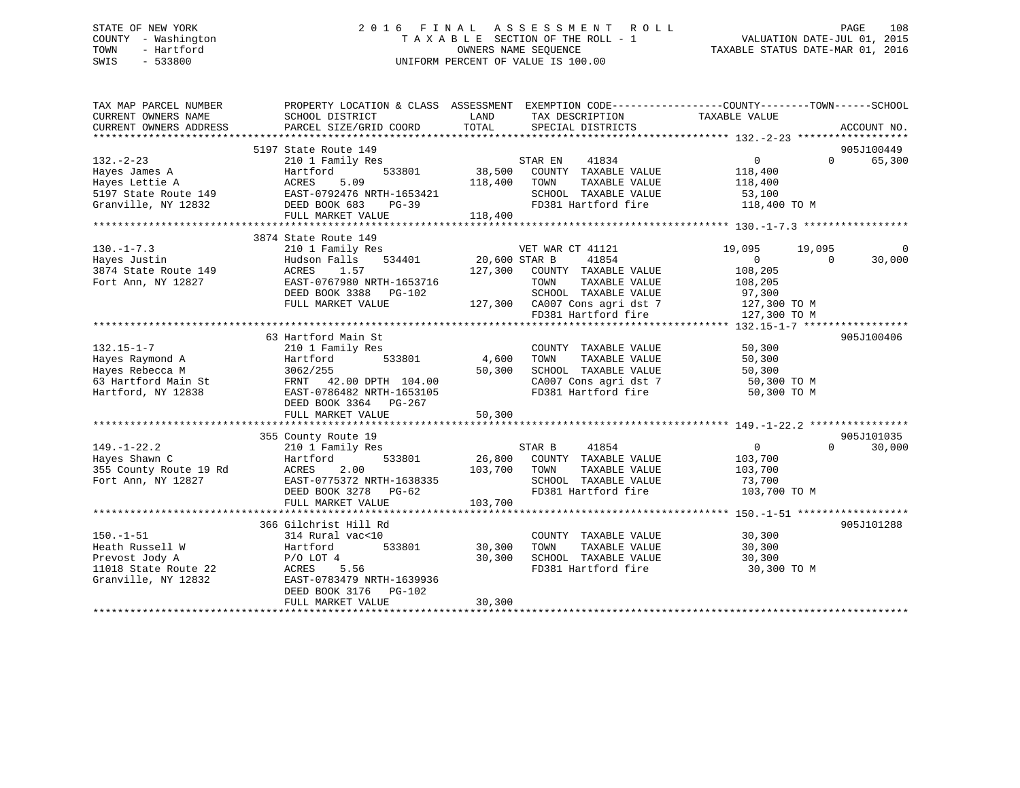## STATE OF NEW YORK 2 0 1 6 F I N A L A S S E S S M E N T R O L L PAGE 108 COUNTY - Washington T A X A B L E SECTION OF THE ROLL - 1 VALUATION DATE-JUL 01, 2015 TOWN - Hartford **TAXABLE STATUS DATE-MAR 01, 2016** OWNERS NAME SEQUENCE TAXABLE STATUS DATE-MAR 01, 2016 SWIS - 533800 UNIFORM PERCENT OF VALUE IS 100.00

| TAX MAP PARCEL NUMBER<br>CURRENT OWNERS NAME | PROPERTY LOCATION & CLASS ASSESSMENT EXEMPTION CODE---------------COUNTY-------TOWN-----SCHOOL<br>SCHOOL DISTRICT | LAND<br>TOTAL        | TAX DESCRIPTION                                     | TAXABLE VALUE              |                      |
|----------------------------------------------|-------------------------------------------------------------------------------------------------------------------|----------------------|-----------------------------------------------------|----------------------------|----------------------|
| CURRENT OWNERS ADDRESS                       | PARCEL SIZE/GRID COORD                                                                                            |                      | SPECIAL DISTRICTS                                   |                            | ACCOUNT NO.          |
|                                              | 5197 State Route 149                                                                                              |                      |                                                     |                            | 905J100449           |
| $132 - 2 - 23$                               | 210 1 Family Res                                                                                                  |                      | STAR EN 41834<br>38.901 38,500 COUNTY TAXABLE VALUE | $\overline{0}$             | 65,300<br>$\Omega$   |
| Hayes James A                                | 533801<br>Hartford                                                                                                |                      |                                                     | 118,400                    |                      |
| Hayes Lettie A                               | ACRES<br>5.09                                                                                                     | 118,400              | TOWN<br>TAXABLE VALUE                               | 118,400                    |                      |
| 5197 State Route 149                         | EAST-0792476 NRTH-1653421                                                                                         |                      | SCHOOL TAXABLE VALUE                                | 53,100                     |                      |
| Granville, NY 12832                          | DEED BOOK 683<br>PG-39                                                                                            |                      | FD381 Hartford fire 118,400 TO M                    |                            |                      |
|                                              | FULL MARKET VALUE                                                                                                 | 118,400              |                                                     |                            |                      |
|                                              |                                                                                                                   |                      |                                                     |                            |                      |
|                                              | 3874 State Route 149                                                                                              |                      |                                                     |                            |                      |
| $130. - 1 - 7.3$                             | 210 1 Family Res                                                                                                  |                      | VET WAR CT 41121                                    | 19,095<br>19,095           | $\mathbf 0$          |
| Hayes Justin                                 | Hudson Falls                                                                                                      | 534401 20,600 STAR B | 41854                                               | $\Omega$<br>$\Omega$       | 30,000               |
| 3874 State Route 149                         | ACRES<br>1.57                                                                                                     |                      | 127,300 COUNTY TAXABLE VALUE                        | 108,205                    |                      |
| Fort Ann, NY 12827                           | EAST-0767980 NRTH-1653716                                                                                         |                      | TOWN<br>TAXABLE VALUE                               | 108,205                    |                      |
|                                              | DEED BOOK 3388 PG-102                                                                                             |                      | SCHOOL TAXABLE VALUE                                | 97,300                     |                      |
|                                              | FULL MARKET VALUE                                                                                                 |                      | 127,300 CA007 Cons agri dst 7                       | 127,300 TO M               |                      |
|                                              |                                                                                                                   |                      | FD381 Hartford fire                                 | 127,300 TO M               |                      |
|                                              |                                                                                                                   |                      |                                                     |                            |                      |
|                                              | 63 Hartford Main St                                                                                               |                      |                                                     |                            | 905J100406           |
| $132.15 - 1 - 7$                             | 210 1 Family Res                                                                                                  |                      | COUNTY TAXABLE VALUE                                | 50,300                     |                      |
| Hayes Raymond A                              | Hartford<br>533801                                                                                                |                      | TAXABLE VALUE                                       | 50,300                     |                      |
| Hayes Rebecca M                              | 3062/255                                                                                                          | 50,300               | SCHOOL TAXABLE VALUE                                | 50,300                     |                      |
| 63 Hartford Main St                          | FRNT 42.00 DPTH 104.00                                                                                            |                      | CA007 Cons agri dst 7<br>FD381 Hartford fire        | 50,300 TO M                |                      |
| Hartford, NY 12838                           | EAST-0786482 NRTH-1653105                                                                                         |                      |                                                     | 50,300 TO M                |                      |
|                                              | DEED BOOK 3364 PG-267                                                                                             |                      |                                                     |                            |                      |
|                                              | FULL MARKET VALUE                                                                                                 | 50,300               |                                                     |                            |                      |
|                                              |                                                                                                                   |                      |                                                     |                            |                      |
| $149. - 1 - 22.2$                            | 355 County Route 19                                                                                               |                      | STAR B<br>41854                                     | $\overline{0}$<br>$\Omega$ | 905J101035<br>30,000 |
| Hayes Shawn C                                | 210 1 Family Res<br>533801<br>Hartford                                                                            |                      | 26,800 COUNTY TAXABLE VALUE                         | 103,700                    |                      |
| 355 County Route 19 Rd                       | ACRES<br>2.00                                                                                                     | 103,700 TOWN         | TAXABLE VALUE                                       | 103,700                    |                      |
| Fort Ann, NY 12827                           | EAST-0775372 NRTH-1638335                                                                                         |                      | SCHOOL TAXABLE VALUE                                | 73,700                     |                      |
|                                              | DEED BOOK 3278 PG-62                                                                                              |                      | FD381 Hartford fire                                 | 103,700 TO M               |                      |
|                                              | FULL MARKET VALUE                                                                                                 | 103,700              |                                                     |                            |                      |
|                                              |                                                                                                                   |                      |                                                     |                            |                      |
|                                              | 366 Gilchrist Hill Rd                                                                                             |                      |                                                     |                            | 905J101288           |
| $150. - 1 - 51$                              | 314 Rural vac<10                                                                                                  |                      | COUNTY TAXABLE VALUE                                | 30,300                     |                      |
| Heath Russell W                              | 533801<br>Hartford                                                                                                | 30,300               | TAXABLE VALUE<br>TOWN                               | 30,300                     |                      |
| Prevost Jody A                               | $P/O$ LOT $4$                                                                                                     | 30,300               | SCHOOL TAXABLE VALUE                                | 30,300                     |                      |
| 11018 State Route 22                         | ACRES 5.56                                                                                                        |                      | FD381 Hartford fire                                 | 30,300 TO M                |                      |
| Granville, NY 12832                          | EAST-0783479 NRTH-1639936                                                                                         |                      |                                                     |                            |                      |
|                                              | DEED BOOK 3176 PG-102                                                                                             |                      |                                                     |                            |                      |
|                                              | FULL MARKET VALUE                                                                                                 | 30,300               |                                                     |                            |                      |
|                                              |                                                                                                                   |                      |                                                     |                            |                      |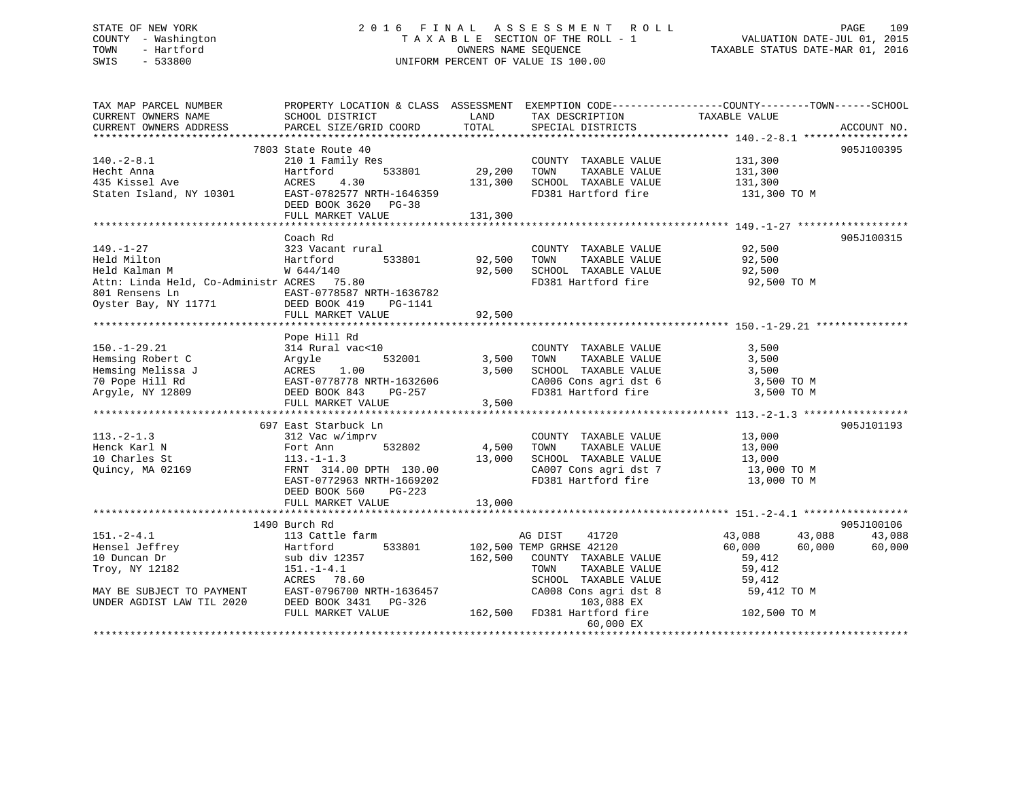## STATE OF NEW YORK 2 0 1 6 F I N A L A S S E S S M E N T R O L L PAGE 109 COUNTY - Washington T A X A B L E SECTION OF THE ROLL - 1 VALUATION DATE-JUL 01, 2015 TOWN - Hartford OWNERS NAME SEQUENCE TAXABLE STATUS DATE-MAR 01, 2016 SWIS - 533800 UNIFORM PERCENT OF VALUE IS 100.00

TAX MAP PARCEL NUMBER PROPERTY LOCATION & CLASS ASSESSMENT EXEMPTION CODE------------------COUNTY--------TOWN------SCHOOL CURRENT OWNERS NAME SCHOOL DISTRICT LAND TAX DESCRIPTION TAXABLE VALUE CURRENT OWNERS ADDRESS PARCEL SIZE/GRID COORD TOTAL SPECIAL DISTRICTS ACCOUNT NO. \*\*\*\*\*\*\*\*\*\*\*\*\*\*\*\*\*\*\*\*\*\*\*\*\*\*\*\*\*\*\*\*\*\*\*\*\*\*\*\*\*\*\*\*\*\*\*\*\*\*\*\*\*\*\*\*\*\*\*\*\*\*\*\*\*\*\*\*\*\*\*\*\*\*\*\*\*\*\*\*\*\*\*\*\*\*\*\*\*\*\*\*\*\*\*\*\*\*\*\*\*\*\* 140.-2-8.1 \*\*\*\*\*\*\*\*\*\*\*\*\*\*\*\*\* 7803 State Route 40 905J100395140.-2-8.1 210 1 Family Res COUNTY TAXABLE VALUE 131,300 Hecht Anna Hartford 533801 29,200 TOWN TAXABLE VALUE 131,300 435 Kissel Ave ACRES 4.30 131,300 SCHOOL TAXABLE VALUE 131,300 Staten Island, NY 10301 EAST-0782577 NRTH-1646359 FD381 Hartford fire 131,300 TO M DEED BOOK 3620 PG-38 FULL MARKET VALUE 131,300 \*\*\*\*\*\*\*\*\*\*\*\*\*\*\*\*\*\*\*\*\*\*\*\*\*\*\*\*\*\*\*\*\*\*\*\*\*\*\*\*\*\*\*\*\*\*\*\*\*\*\*\*\*\*\*\*\*\*\*\*\*\*\*\*\*\*\*\*\*\*\*\*\*\*\*\*\*\*\*\*\*\*\*\*\*\*\*\*\*\*\*\*\*\*\*\*\*\*\*\*\*\*\* 149.-1-27 \*\*\*\*\*\*\*\*\*\*\*\*\*\*\*\*\*\* Coach Rd 905J100315149.-1-27 323 Vacant rural COUNTY TAXABLE VALUE 92,500 Held Milton Hartford 533801 92,500 TOWN TAXABLE VALUE 92,500 Held Kalman M W 644/140 92,500 SCHOOL TAXABLE VALUE 92,500 Attn: Linda Held, Co-Administr ACRES 75.80 FD381 Hartford fire 92,500 TO M 801 Rensens Ln EAST-0778587 NRTH-1636782Oyster Bay, NY 11771 DEED BOOK 419 PG-1141 FULL MARKET VALUE 92,500 \*\*\*\*\*\*\*\*\*\*\*\*\*\*\*\*\*\*\*\*\*\*\*\*\*\*\*\*\*\*\*\*\*\*\*\*\*\*\*\*\*\*\*\*\*\*\*\*\*\*\*\*\*\*\*\*\*\*\*\*\*\*\*\*\*\*\*\*\*\*\*\*\*\*\*\*\*\*\*\*\*\*\*\*\*\*\*\*\*\*\*\*\*\*\*\*\*\*\*\*\*\*\* 150.-1-29.21 \*\*\*\*\*\*\*\*\*\*\*\*\*\*\* Pope Hill Rd 150.-1-29.21 314 Rural vac<10 COUNTY TAXABLE VALUE 3,500 Hemsing Robert C Argyle 532001 3,500 TOWN TAXABLE VALUE 3,500 Hemsing Melissa J ACRES 1.00 3,500 SCHOOL TAXABLE VALUE 3,500 70 Pope Hill Rd EAST-0778778 NRTH-1632606 CA006 Cons agri dst 6 3,500 TO M Argyle, NY 12809 DEED BOOK 843 PG-257 FD381 Hartford fire 3,500 TO M FULL MARKET VALUE 3,500 \*\*\*\*\*\*\*\*\*\*\*\*\*\*\*\*\*\*\*\*\*\*\*\*\*\*\*\*\*\*\*\*\*\*\*\*\*\*\*\*\*\*\*\*\*\*\*\*\*\*\*\*\*\*\*\*\*\*\*\*\*\*\*\*\*\*\*\*\*\*\*\*\*\*\*\*\*\*\*\*\*\*\*\*\*\*\*\*\*\*\*\*\*\*\*\*\*\*\*\*\*\*\* 113.-2-1.3 \*\*\*\*\*\*\*\*\*\*\*\*\*\*\*\*\* 697 East Starbuck Ln 905J101193113.-2-1.3 312 Vac w/imprv COUNTY TAXABLE VALUE 13,000 Henck Karl N Fort Ann 532802 4,500 TOWN TAXABLE VALUE 13,000 10 Charles St 113.-1-1.3 13,000 SCHOOL TAXABLE VALUE 13,000 Quincy, MA 02169 FRNT 314.00 DPTH 130.00 CA007 Cons agri dst 7 13,000 TO M EAST-0772963 NRTH-1669202 FD381 Hartford fire 13,000 TO M DEED BOOK 560 PG-223 FULL MARKET VALUE 13,000 \*\*\*\*\*\*\*\*\*\*\*\*\*\*\*\*\*\*\*\*\*\*\*\*\*\*\*\*\*\*\*\*\*\*\*\*\*\*\*\*\*\*\*\*\*\*\*\*\*\*\*\*\*\*\*\*\*\*\*\*\*\*\*\*\*\*\*\*\*\*\*\*\*\*\*\*\*\*\*\*\*\*\*\*\*\*\*\*\*\*\*\*\*\*\*\*\*\*\*\*\*\*\* 151.-2-4.1 \*\*\*\*\*\*\*\*\*\*\*\*\*\*\*\*\*1490 Burch Rd و1490 Burch Rd<br>151.-2-4.1 113 Cattle farm AG DIST 41720 43,088 43,088 43,088 43,088 Hensel Jeffrey Hartford 533801 102,500 TEMP GRHSE 42120 60,000 60,000 60,000 10 Duncan Dr sub div 12357 162,500 COUNTY TAXABLE VALUE 59,412 Troy, NY 12182 151.-1-4.1 TOWN TAXABLE VALUE 59,412 ACRES 78.60 SCHOOL TAXABLE VALUE 59,412 MAY BE SUBJECT TO PAYMENT EAST-0796700 NRTH-1636457 CA008 Cons agri dst 8 59,412 TO M UNDER AGDIST LAW TIL 2020 DEED BOOK 3431 PG-326 103,088 EX UNDER AGDIST LAW TIL 2020 DEED BOOK 3431 PG-326 103,088 EX<br>FULL MARKET VALUE 162,500 FD381 Hartford fire 102,500 TO M 60,000 EX \*\*\*\*\*\*\*\*\*\*\*\*\*\*\*\*\*\*\*\*\*\*\*\*\*\*\*\*\*\*\*\*\*\*\*\*\*\*\*\*\*\*\*\*\*\*\*\*\*\*\*\*\*\*\*\*\*\*\*\*\*\*\*\*\*\*\*\*\*\*\*\*\*\*\*\*\*\*\*\*\*\*\*\*\*\*\*\*\*\*\*\*\*\*\*\*\*\*\*\*\*\*\*\*\*\*\*\*\*\*\*\*\*\*\*\*\*\*\*\*\*\*\*\*\*\*\*\*\*\*\*\*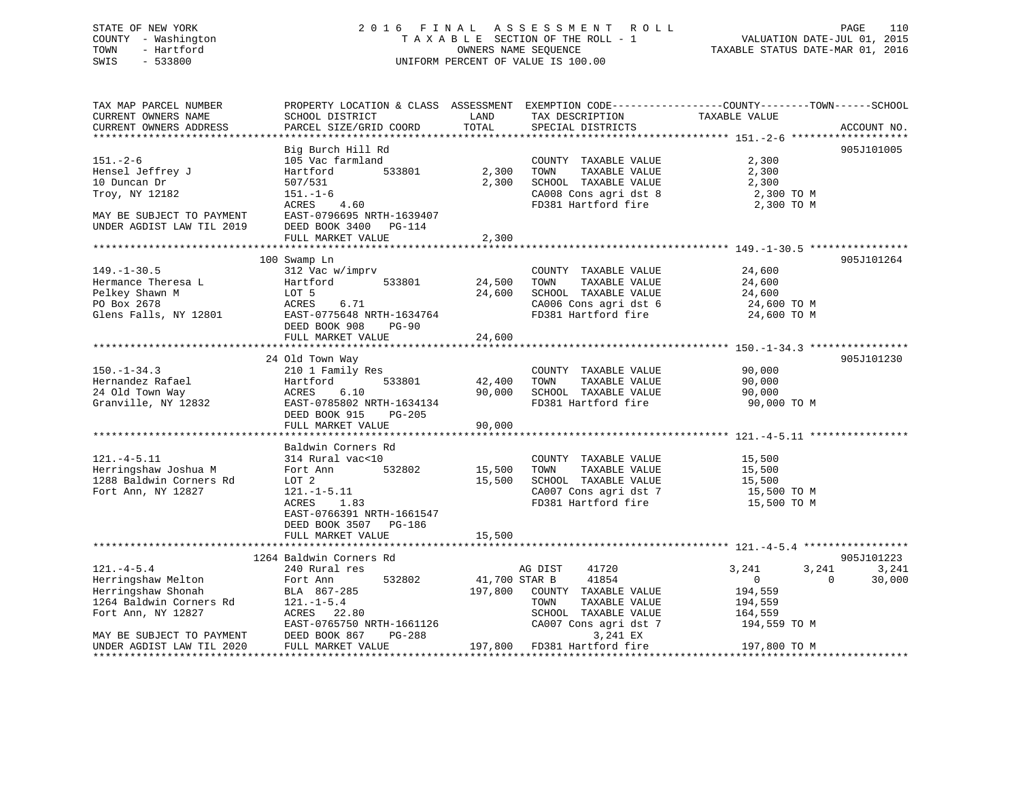#### STATE OF NEW YORK 2016 FINAL ASSESSMENT ROLL PAGE 110 COUNTY - Washington T A X A B L E SECTION OF THE ROLL - 1 VALUATION DATE-JUL 01, 2015 OWNERS NAME SEQUENCE TAXABLE STATUS DATE-MAR 01, 2016 SWIS - 533800 UNIFORM PERCENT OF VALUE IS 100.00

PAGE 110<br>VALUATION DATE-JUL 01, 2015

| TAX MAP PARCEL NUMBER<br>CURRENT OWNERS NAME<br>CURRENT OWNERS ADDRESS                            | SCHOOL DISTRICT<br>PARCEL SIZE/GRID COORD                                                                                                | LAND<br>TOTAL    | TAX DESCRIPTION<br>SPECIAL DISTRICTS                                                                                  | PROPERTY LOCATION & CLASS ASSESSMENT EXEMPTION CODE----------------COUNTY-------TOWN------SCHOOL<br>TAXABLE VALUE | ACCOUNT NO. |
|---------------------------------------------------------------------------------------------------|------------------------------------------------------------------------------------------------------------------------------------------|------------------|-----------------------------------------------------------------------------------------------------------------------|-------------------------------------------------------------------------------------------------------------------|-------------|
|                                                                                                   | Big Burch Hill Rd                                                                                                                        |                  |                                                                                                                       |                                                                                                                   | 905J101005  |
| $151. - 2 - 6$<br>Hensel Jeffrey J<br>10 Duncan Dr                                                | 105 Vac farmland<br>Hartford<br>533801<br>507/531                                                                                        | 2,300<br>2,300   | COUNTY TAXABLE VALUE<br>TOWN<br>TAXABLE VALUE<br>SCHOOL TAXABLE VALUE                                                 | 2,300<br>2,300<br>2,300                                                                                           |             |
| Troy, NY 12182                                                                                    | $151. - 1 - 6$<br>ACRES<br>4.60                                                                                                          |                  | CA008 Cons agri dst 8<br>FD381 Hartford fire                                                                          | 2,300 TO M<br>2,300 TO M                                                                                          |             |
| MAY BE SUBJECT TO PAYMENT<br>UNDER AGDIST LAW TIL 2019                                            | EAST-0796695 NRTH-1639407<br>DEED BOOK 3400<br>PG-114<br>FULL MARKET VALUE                                                               | 2,300            |                                                                                                                       |                                                                                                                   |             |
|                                                                                                   |                                                                                                                                          |                  |                                                                                                                       |                                                                                                                   |             |
| $149. - 1 - 30.5$<br>Hermance Theresa L<br>Pelkey Shawn M<br>PO Box 2678<br>Glens Falls, NY 12801 | 100 Swamp Ln<br>312 Vac w/imprv<br>Hartford<br>533801<br>LOT 5<br>6.71<br>ACRES<br>EAST-0775648 NRTH-1634764<br>DEED BOOK 908<br>$PG-90$ | 24,500<br>24,600 | COUNTY TAXABLE VALUE<br>TOWN<br>TAXABLE VALUE<br>SCHOOL TAXABLE VALUE<br>CA006 Cons agri dst 6<br>FD381 Hartford fire | 24,600<br>24,600<br>24,600<br>24,600 TO M<br>24,600 TO M                                                          | 905J101264  |
|                                                                                                   | FULL MARKET VALUE                                                                                                                        | 24,600           |                                                                                                                       |                                                                                                                   |             |
|                                                                                                   |                                                                                                                                          |                  |                                                                                                                       |                                                                                                                   |             |
|                                                                                                   | 24 Old Town Way                                                                                                                          |                  |                                                                                                                       |                                                                                                                   | 905J101230  |
| $150. - 1 - 34.3$                                                                                 | 210 1 Family Res                                                                                                                         |                  | COUNTY TAXABLE VALUE                                                                                                  | 90,000                                                                                                            |             |
| Hernandez Rafael                                                                                  | 533801<br>Hartford                                                                                                                       | 42,400           | TOWN<br>TAXABLE VALUE                                                                                                 | 90,000                                                                                                            |             |
| 24 Old Town Way<br>Granville, NY 12832                                                            | ACRES<br>6.10<br>EAST-0785802 NRTH-1634134<br>DEED BOOK 915<br>PG-205                                                                    | 90,000           | SCHOOL TAXABLE VALUE<br>FD381 Hartford fire                                                                           | 90,000<br>90,000 TO M                                                                                             |             |
|                                                                                                   | FULL MARKET VALUE                                                                                                                        | 90,000           |                                                                                                                       |                                                                                                                   |             |
|                                                                                                   |                                                                                                                                          |                  |                                                                                                                       |                                                                                                                   |             |
| $121. -4 - 5.11$<br>Herringshaw Joshua M<br>1288 Baldwin Corners Rd                               | Baldwin Corners Rd<br>314 Rural vac<10<br>532802<br>Fort Ann<br>LOT 2                                                                    | 15,500<br>15,500 | COUNTY TAXABLE VALUE<br>TOWN<br>TAXABLE VALUE<br>SCHOOL TAXABLE VALUE                                                 | 15,500<br>15,500<br>15,500                                                                                        |             |
| Fort Ann, NY 12827                                                                                | $121. - 1 - 5.11$<br>ACRES<br>1.83<br>EAST-0766391 NRTH-1661547<br>DEED BOOK 3507<br>PG-186                                              |                  | CA007 Cons agri dst 7<br>FD381 Hartford fire                                                                          | 15,500 TO M<br>15,500 TO M                                                                                        |             |
|                                                                                                   | FULL MARKET VALUE                                                                                                                        | 15,500           |                                                                                                                       |                                                                                                                   |             |
|                                                                                                   |                                                                                                                                          |                  |                                                                                                                       |                                                                                                                   |             |
|                                                                                                   | 1264 Baldwin Corners Rd                                                                                                                  |                  |                                                                                                                       |                                                                                                                   | 905J101223  |
| $121. -4 - 5.4$                                                                                   | 240 Rural res                                                                                                                            |                  | 41720<br>AG DIST                                                                                                      | 3,241<br>3,241                                                                                                    | 3,241       |
| Herringshaw Melton<br>Herringshaw Shonah                                                          | 532802<br>Fort Ann                                                                                                                       | 41,700 STAR B    | 41854                                                                                                                 | $\mathbf 0$<br>$\Omega$                                                                                           | 30,000      |
| 1264 Baldwin Corners Rd                                                                           | BLA 867-285<br>$121. - 1 - 5.4$                                                                                                          | 197,800          | COUNTY TAXABLE VALUE<br>TOWN<br>TAXABLE VALUE                                                                         | 194,559<br>194,559                                                                                                |             |
| Fort Ann, NY 12827                                                                                | ACRES 22.80                                                                                                                              |                  | SCHOOL TAXABLE VALUE                                                                                                  | 164,559                                                                                                           |             |
|                                                                                                   | EAST-0765750 NRTH-1661126                                                                                                                |                  | CA007 Cons agri dst 7                                                                                                 | 194,559 TO M                                                                                                      |             |
| MAY BE SUBJECT TO PAYMENT                                                                         | DEED BOOK 867<br>PG-288                                                                                                                  |                  | 3,241 EX                                                                                                              |                                                                                                                   |             |
| UNDER AGDIST LAW TIL 2020                                                                         | FULL MARKET VALUE                                                                                                                        | 197,800          | FD381 Hartford fire                                                                                                   | 197,800 TO M                                                                                                      |             |
|                                                                                                   |                                                                                                                                          |                  |                                                                                                                       |                                                                                                                   |             |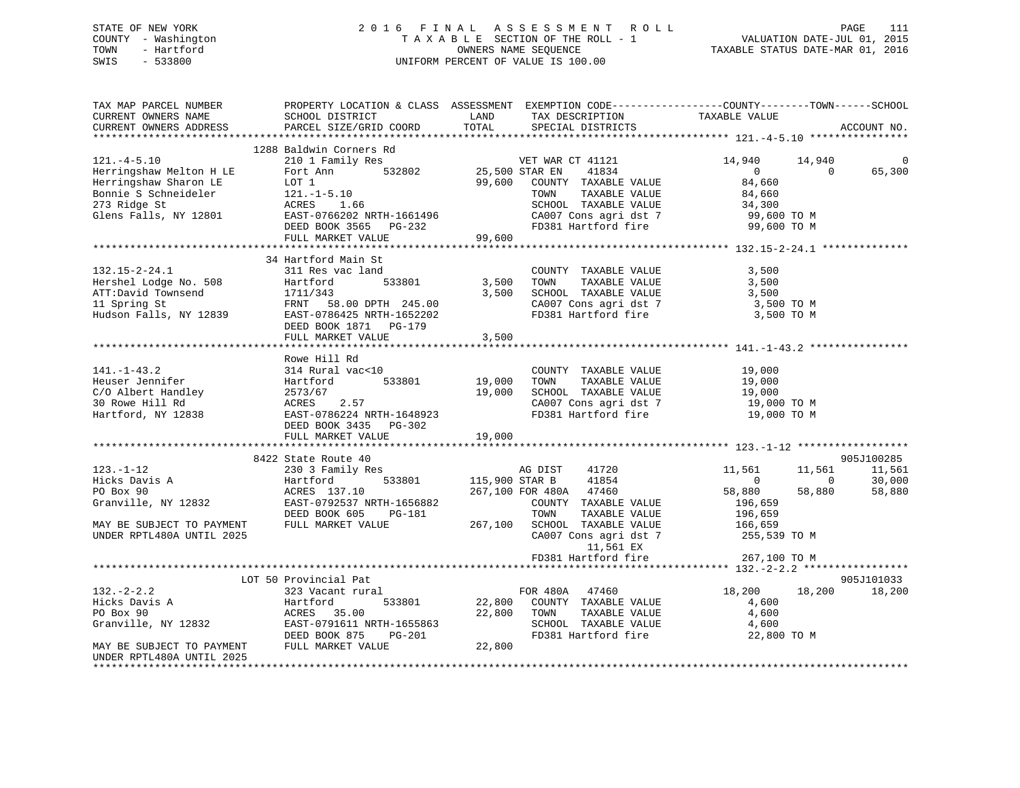## STATE OF NEW YORK 2 0 1 6 F I N A L A S S E S S M E N T R O L L PAGE 111 COUNTY - Washington T A X A B L E SECTION OF THE ROLL - 1 VALUATION DATE-JUL 01, 2015 TOWN - Hartford **TAXABLE STATUS DATE-MAR 01, 2016** OWNERS NAME SEQUENCE TAXABLE STATUS DATE-MAR 01, 2016 SWIS - 533800 UNIFORM PERCENT OF VALUE IS 100.00

| TAX MAP PARCEL NUMBER     | PROPERTY LOCATION & CLASS ASSESSMENT EXEMPTION CODE----------------COUNTY-------TOWN------SCHOOL |                |                        |                |              |             |
|---------------------------|--------------------------------------------------------------------------------------------------|----------------|------------------------|----------------|--------------|-------------|
| CURRENT OWNERS NAME       | SCHOOL DISTRICT                                                                                  | LAND           | TAX DESCRIPTION        | TAXABLE VALUE  |              |             |
| CURRENT OWNERS ADDRESS    | PARCEL SIZE/GRID COORD                                                                           | TOTAL          | SPECIAL DISTRICTS      |                |              | ACCOUNT NO. |
|                           |                                                                                                  |                |                        |                |              |             |
|                           | 1288 Baldwin Corners Rd                                                                          |                |                        |                |              |             |
| $121. -4 - 5.10$          | 210 1 Family Res                                                                                 |                | VET WAR CT 41121       | 14,940         | 14,940       | 0           |
| Herringshaw Melton H LE   | 532802<br>Fort Ann                                                                               | 25,500 STAR EN | 41834                  | $\overline{0}$ | $\Omega$     | 65,300      |
| Herringshaw Sharon LE     | LOT 1                                                                                            | 99,600         | COUNTY TAXABLE VALUE   | 84,660         |              |             |
| Bonnie S Schneideler      | $121.-1-5.10$                                                                                    |                | TAXABLE VALUE<br>TOWN  | 84,660         |              |             |
| 273 Ridge St              | ACRES<br>1.66                                                                                    |                | SCHOOL TAXABLE VALUE   | 34,300         |              |             |
| Glens Falls, NY 12801     | EAST-0766202 NRTH-1661496                                                                        |                | CA007 Cons agri dst 7  | 99,600 TO M    |              |             |
|                           | DEED BOOK 3565<br>PG-232                                                                         |                | FD381 Hartford fire    | 99,600 TO M    |              |             |
|                           | FULL MARKET VALUE                                                                                | 99,600         |                        |                |              |             |
|                           |                                                                                                  |                |                        |                |              |             |
|                           | 34 Hartford Main St                                                                              |                |                        |                |              |             |
| $132.15 - 2 - 24.1$       | 311 Res vac land                                                                                 |                | COUNTY TAXABLE VALUE   | 3,500          |              |             |
| Hershel Lodge No. 508     | Hartford<br>533801                                                                               | 3,500          | TOWN<br>TAXABLE VALUE  | 3,500          |              |             |
| ATT:David Townsend        | 1711/343                                                                                         | 3,500          | SCHOOL TAXABLE VALUE   | 3,500          |              |             |
| 11 Spring St              | FRNT 58.00 DPTH 245.00                                                                           |                | CA007 Cons agri dst 7  | 3,500 TO M     |              |             |
| Hudson Falls, NY 12839    | EAST-0786425 NRTH-1652202                                                                        |                | FD381 Hartford fire    | 3,500 TO M     |              |             |
|                           | DEED BOOK 1871 PG-179                                                                            |                |                        |                |              |             |
|                           | FULL MARKET VALUE                                                                                | 3,500          |                        |                |              |             |
|                           |                                                                                                  |                |                        |                |              |             |
|                           | Rowe Hill Rd                                                                                     |                |                        |                |              |             |
| $141. - 1 - 43.2$         | 314 Rural vac<10                                                                                 |                | COUNTY TAXABLE VALUE   | 19,000         |              |             |
| Heuser Jennifer           | 533801<br>Hartford                                                                               | 19,000         | TOWN<br>TAXABLE VALUE  | 19,000         |              |             |
| C/O Albert Handley        | 2573/67                                                                                          | 19,000         | SCHOOL TAXABLE VALUE   | 19,000         |              |             |
| 30 Rowe Hill Rd           | ACRES<br>2.57                                                                                    |                | CA007 Cons agri dst 7  | 19,000 TO M    |              |             |
| Hartford, NY 12838        | EAST-0786224 NRTH-1648923                                                                        |                | FD381 Hartford fire    | 19,000 TO M    |              |             |
|                           | DEED BOOK 3435 PG-302                                                                            |                |                        |                |              |             |
|                           | FULL MARKET VALUE                                                                                | 19,000         |                        |                |              |             |
|                           |                                                                                                  |                |                        |                |              |             |
|                           | 8422 State Route 40                                                                              |                |                        |                |              | 905J100285  |
| $123. - 1 - 12$           | 230 3 Family Res                                                                                 |                | AG DIST<br>41720       | 11,561         | 11,561       | 11,561      |
| Hicks Davis A             | 533801<br>Hartford                                                                               | 115,900 STAR B | 41854                  | $\overline{0}$ | $\mathbf{0}$ | 30,000      |
| PO Box 90                 | ACRES 137.10                                                                                     |                | 267,100 FOR 480A 47460 | 58,880         | 58,880       | 58,880      |
| Granville, NY 12832       | EAST-0792537 NRTH-1656882                                                                        |                | COUNTY TAXABLE VALUE   | 196,659        |              |             |
|                           | DEED BOOK 605<br>PG-181                                                                          |                | TOWN<br>TAXABLE VALUE  | 196,659        |              |             |
| MAY BE SUBJECT TO PAYMENT | FULL MARKET VALUE                                                                                | 267,100        | SCHOOL TAXABLE VALUE   | 166,659        |              |             |
| UNDER RPTL480A UNTIL 2025 |                                                                                                  |                | CA007 Cons agri dst 7  | 255,539 TO M   |              |             |
|                           |                                                                                                  |                | 11,561 EX              |                |              |             |
|                           |                                                                                                  |                | FD381 Hartford fire    | 267,100 TO M   |              |             |
|                           |                                                                                                  |                |                        |                |              |             |
|                           | LOT 50 Provincial Pat                                                                            |                |                        |                |              | 905J101033  |
| $132 - 2 - 2.2$           | 323 Vacant rural                                                                                 |                | FOR 480A<br>47460      | 18,200         | 18,200       | 18,200      |
| Hicks Davis A             | Hartford<br>533801                                                                               | 22,800         | COUNTY TAXABLE VALUE   | 4,600          |              |             |
| PO Box 90                 | ACRES 35.00                                                                                      | 22,800         | TAXABLE VALUE<br>TOWN  | 4,600          |              |             |
| Granville, NY 12832       | EAST-0791611 NRTH-1655863                                                                        |                | SCHOOL TAXABLE VALUE   | 4,600          |              |             |
|                           | PG-201<br>DEED BOOK 875                                                                          |                | FD381 Hartford fire    | 22,800 TO M    |              |             |
| MAY BE SUBJECT TO PAYMENT | FULL MARKET VALUE                                                                                | 22,800         |                        |                |              |             |
| UNDER RPTL480A UNTIL 2025 |                                                                                                  |                |                        |                |              |             |
| ********************      |                                                                                                  |                |                        |                |              |             |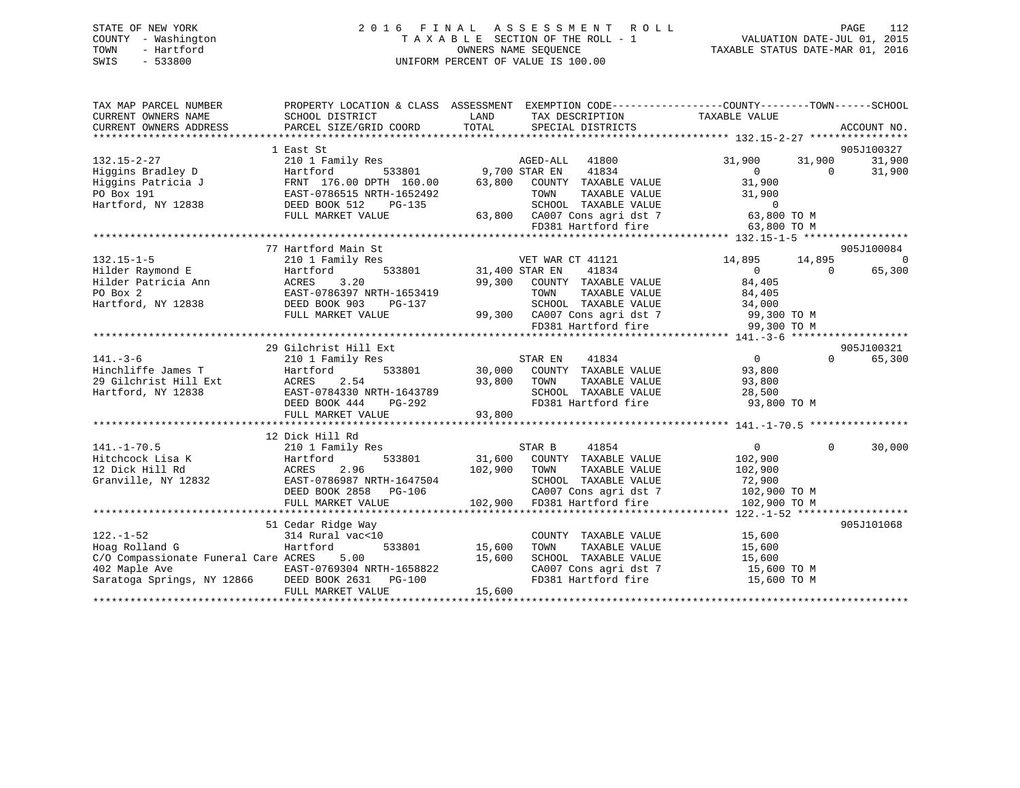#### STATE OF NEW YORK 2 0 1 6 F I N A L A S S E S S M E N T R O L L PAGE 112COUNTY - Washington T A X A B L E SECTION OF THE ROLL - 1 VALUATION DATE-JUL 01, 2015 OWNERS NAME SEQUENCE TAXABLE STATUS DATE-MAR 01, 2016 SWIS - 533800 UNIFORM PERCENT OF VALUE IS 100.00

112

| TAX MAP PARCEL NUMBER                                                                                                                                                                                                                  | PROPERTY LOCATION & CLASS ASSESSMENT EXEMPTION CODE----------------COUNTY-------TOWN-----SCHOOL                                                                                                                                            |        |                                                                  |                                                                                                                                         |          |                |
|----------------------------------------------------------------------------------------------------------------------------------------------------------------------------------------------------------------------------------------|--------------------------------------------------------------------------------------------------------------------------------------------------------------------------------------------------------------------------------------------|--------|------------------------------------------------------------------|-----------------------------------------------------------------------------------------------------------------------------------------|----------|----------------|
| CURRENT OWNERS NAME                                                                                                                                                                                                                    | SCHOOL DISTRICT                                                                                                                                                                                                                            | LAND   | TAX DESCRIPTION                                                  | TAXABLE VALUE                                                                                                                           |          |                |
|                                                                                                                                                                                                                                        |                                                                                                                                                                                                                                            |        |                                                                  |                                                                                                                                         |          |                |
|                                                                                                                                                                                                                                        |                                                                                                                                                                                                                                            |        |                                                                  |                                                                                                                                         |          |                |
|                                                                                                                                                                                                                                        | 1 East St                                                                                                                                                                                                                                  |        |                                                                  |                                                                                                                                         |          | 905J100327     |
| 132.15-2-27                                                                                                                                                                                                                            | 210 1 Family Res<br>Hartford 533801 9,700 STAR EN 41834                                                                                                                                                                                    |        |                                                                  |                                                                                                                                         |          | 31,900         |
|                                                                                                                                                                                                                                        |                                                                                                                                                                                                                                            |        |                                                                  | $31,900$ $31,900$ 0                                                                                                                     |          | 31,900         |
|                                                                                                                                                                                                                                        |                                                                                                                                                                                                                                            |        |                                                                  |                                                                                                                                         |          |                |
|                                                                                                                                                                                                                                        |                                                                                                                                                                                                                                            |        |                                                                  |                                                                                                                                         |          |                |
|                                                                                                                                                                                                                                        |                                                                                                                                                                                                                                            |        |                                                                  |                                                                                                                                         |          |                |
|                                                                                                                                                                                                                                        |                                                                                                                                                                                                                                            |        |                                                                  |                                                                                                                                         |          |                |
|                                                                                                                                                                                                                                        |                                                                                                                                                                                                                                            |        |                                                                  |                                                                                                                                         |          |                |
| Higgins Patricia J<br>PO Box 191 EAST-0786515 NRTH-1652492 TOWN TAXABLE VALUE<br>Hartford, NY 12838 DEED BOOK 512 PG-135 SCHOOL TAXABLE VALUE<br>FULL MARKET VALUE 53,800 CA007 Cons agri dst 7 63,800 TO M<br>FULL MARKET VALUE 53,80 |                                                                                                                                                                                                                                            |        |                                                                  |                                                                                                                                         |          |                |
|                                                                                                                                                                                                                                        | 77 Hartford Main St                                                                                                                                                                                                                        |        |                                                                  |                                                                                                                                         |          | 905J100084     |
| $132.15 - 1 - 5$                                                                                                                                                                                                                       | 210 1 Family Res                                                                                                                                                                                                                           |        | VET WAR CT 41121                                                 | 14,895 14,895                                                                                                                           |          | $\overline{0}$ |
| Hilder Raymond E                                                                                                                                                                                                                       | $\begin{tabular}{ll} Res & \quad VET WAR \\ 533801 & 31,400 STR EN \\ \end{tabular}$<br>Hartford                                                                                                                                           |        | 41834                                                            | $\begin{matrix}0&0\end{matrix}$                                                                                                         |          | 65,300         |
|                                                                                                                                                                                                                                        |                                                                                                                                                                                                                                            |        | 99,300 COUNTY TAXABLE VALUE                                      |                                                                                                                                         |          |                |
| Hilder Patricia Ann MCRES 3.20<br>PO Box 2 EAST-0786397 NRTH-1653419<br>Hartford, NY 12838 DEED BOOK 903 PG-137                                                                                                                        |                                                                                                                                                                                                                                            |        |                                                                  | $\begin{tabular}{lllllll} & 41834 & & & & & & \\ \text{TXABLE VALUE} & & & 84,405 \\ \text{TXABLE VALUE} & & & 84,405 \\ \end{tabular}$ |          |                |
|                                                                                                                                                                                                                                        |                                                                                                                                                                                                                                            |        |                                                                  |                                                                                                                                         |          |                |
|                                                                                                                                                                                                                                        |                                                                                                                                                                                                                                            |        |                                                                  |                                                                                                                                         |          |                |
|                                                                                                                                                                                                                                        |                                                                                                                                                                                                                                            |        |                                                                  |                                                                                                                                         |          |                |
|                                                                                                                                                                                                                                        | ACRES 3.20<br>EAST-0786397 NRTH-1653419<br>DEED BOOK 903 PG-137 SCHOOL TAXABLE VALUE 34,000<br>FULL MARKET VALUE 99,300 CA007 Cons agri dst 7 99,300 TO M<br>FD381 Hartford fire 99,300 TO M<br>FD381 Hartford fire 99,300 TO M<br>FD381 H |        |                                                                  |                                                                                                                                         |          |                |
|                                                                                                                                                                                                                                        | 29 Gilchrist Hill Ext                                                                                                                                                                                                                      |        |                                                                  |                                                                                                                                         |          | 905J100321     |
| $141. - 3 - 6$                                                                                                                                                                                                                         | 210 1 Family Res                                                                                                                                                                                                                           |        |                                                                  | $\overline{0}$                                                                                                                          | $\Omega$ | 65,300         |
|                                                                                                                                                                                                                                        |                                                                                                                                                                                                                                            |        |                                                                  |                                                                                                                                         |          |                |
|                                                                                                                                                                                                                                        |                                                                                                                                                                                                                                            |        |                                                                  |                                                                                                                                         |          |                |
|                                                                                                                                                                                                                                        |                                                                                                                                                                                                                                            |        |                                                                  |                                                                                                                                         |          |                |
|                                                                                                                                                                                                                                        |                                                                                                                                                                                                                                            |        |                                                                  |                                                                                                                                         |          |                |
| 141.-5-0<br>Hinchliffe James T<br>29 Gilchrist Hill Ext ACRES 2.54 93,800 TOWN TAXABLE VALUE<br>Hartford, NY 12838 EAST-0784330 NRTH-1643789 SCHOOL TAXABLE VALUE 28,500<br>Hartford, NY 12838 EAST-0784330 NRTH-1643789 SCHOOL TAXABL |                                                                                                                                                                                                                                            |        |                                                                  |                                                                                                                                         |          |                |
|                                                                                                                                                                                                                                        |                                                                                                                                                                                                                                            |        |                                                                  |                                                                                                                                         |          |                |
|                                                                                                                                                                                                                                        | 12 Dick Hill Rd                                                                                                                                                                                                                            |        |                                                                  |                                                                                                                                         |          |                |
|                                                                                                                                                                                                                                        |                                                                                                                                                                                                                                            |        |                                                                  |                                                                                                                                         | $\Omega$ | 30,000         |
|                                                                                                                                                                                                                                        |                                                                                                                                                                                                                                            |        |                                                                  |                                                                                                                                         |          |                |
|                                                                                                                                                                                                                                        |                                                                                                                                                                                                                                            |        |                                                                  |                                                                                                                                         |          |                |
|                                                                                                                                                                                                                                        |                                                                                                                                                                                                                                            |        |                                                                  |                                                                                                                                         |          |                |
|                                                                                                                                                                                                                                        |                                                                                                                                                                                                                                            |        |                                                                  |                                                                                                                                         |          |                |
|                                                                                                                                                                                                                                        |                                                                                                                                                                                                                                            |        |                                                                  |                                                                                                                                         |          |                |
|                                                                                                                                                                                                                                        |                                                                                                                                                                                                                                            |        |                                                                  |                                                                                                                                         |          |                |
|                                                                                                                                                                                                                                        |                                                                                                                                                                                                                                            |        |                                                                  |                                                                                                                                         |          | 905J101068     |
| $122. - 1 - 52$                                                                                                                                                                                                                        | cedar Rıdge Way<br>314 Rural vac<10                                                                                                                                                                                                        |        | COUNTY TAXABLE VALUE 15,600                                      |                                                                                                                                         |          |                |
| Hoag Rolland G                                                                                                                                                                                                                         | Hartford 533801 15,600                                                                                                                                                                                                                     |        | TAXABLE VALUE<br>TOWN                                            | 15,600                                                                                                                                  |          |                |
|                                                                                                                                                                                                                                        |                                                                                                                                                                                                                                            |        |                                                                  |                                                                                                                                         |          |                |
|                                                                                                                                                                                                                                        |                                                                                                                                                                                                                                            |        | SCHOOL TAXABLE VALUE 15,600<br>CA007 Cons agri dst 7 15,600 TO M |                                                                                                                                         |          |                |
| $C/O$ Compassionate Funeral Care ACRES 5.00 15,600<br>402 Maple Ave EAST-0769304 NRTH-1658822<br>Saratoga Springs, NY 12866 DEED BOOK 2631 PG-100                                                                                      |                                                                                                                                                                                                                                            |        | FD381 Hartford fire 15,600 TO M                                  |                                                                                                                                         |          |                |
|                                                                                                                                                                                                                                        | FULL MARKET VALUE                                                                                                                                                                                                                          | 15,600 |                                                                  |                                                                                                                                         |          |                |
|                                                                                                                                                                                                                                        |                                                                                                                                                                                                                                            |        |                                                                  |                                                                                                                                         |          |                |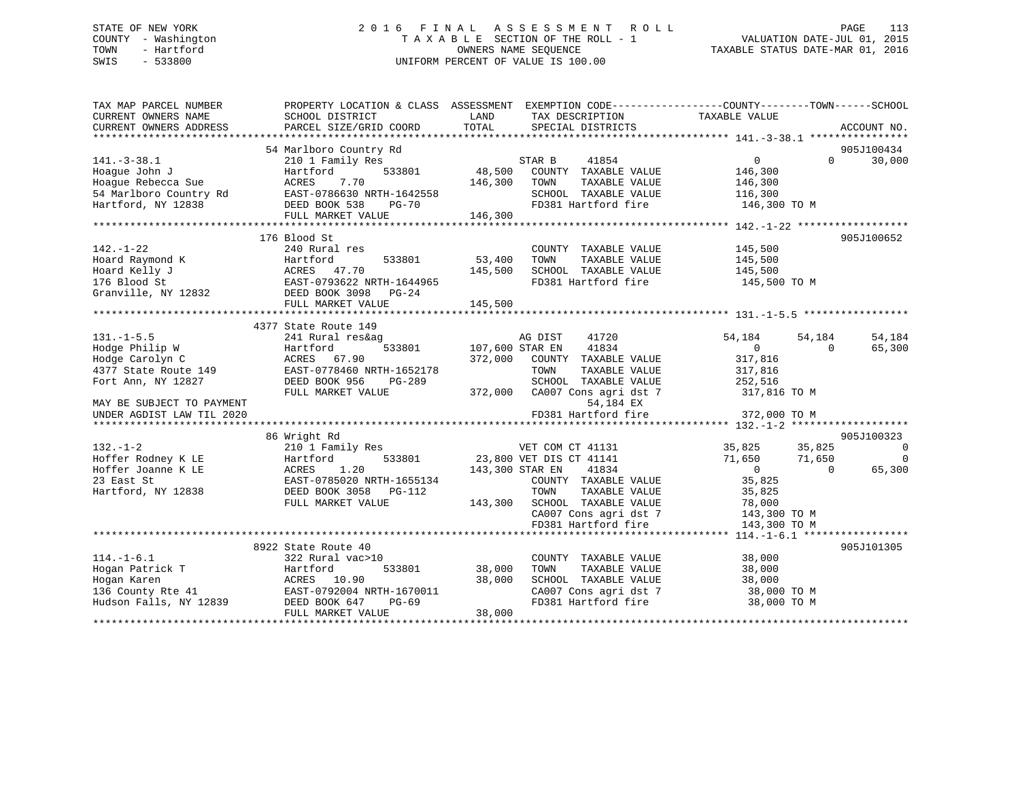## STATE OF NEW YORK 2 0 1 6 F I N A L A S S E S S M E N T R O L L PAGE 113 COUNTY - Washington T A X A B L E SECTION OF THE ROLL - 1 VALUATION DATE-JUL 01, 2015 TOWN - Hartford **TAXABLE STATUS DATE-MAR 01, 2016** OWNERS NAME SEQUENCE TAXABLE STATUS DATE-MAR 01, 2016 SWIS - 533800 UNIFORM PERCENT OF VALUE IS 100.00

| TAX MAP PARCEL NUMBER                                                                                                                    | PROPERTY LOCATION & CLASS ASSESSMENT EXEMPTION CODE----------------COUNTY-------TOWN------SCHOOL                                                        |                        |                                                                                                                                                                                                      |                                  |                                 |
|------------------------------------------------------------------------------------------------------------------------------------------|---------------------------------------------------------------------------------------------------------------------------------------------------------|------------------------|------------------------------------------------------------------------------------------------------------------------------------------------------------------------------------------------------|----------------------------------|---------------------------------|
| CURRENT OWNERS NAME                                                                                                                      | SCHOOL DISTRICT                                                                                                                                         | LAND                   | TAX DESCRIPTION                                                                                                                                                                                      | TAXABLE VALUE                    |                                 |
| CURRENT OWNERS ADDRESS                                                                                                                   | PARCEL SIZE/GRID COORD                                                                                                                                  | TOTAL                  | SPECIAL DISTRICTS                                                                                                                                                                                    |                                  | ACCOUNT NO.                     |
|                                                                                                                                          | 54 Marlboro Country Rd                                                                                                                                  |                        |                                                                                                                                                                                                      |                                  | 905J100434                      |
| $141.-3-38.1$                                                                                                                            | 210 1 Family Res                                                                                                                                        |                        | STAR B<br>41854                                                                                                                                                                                      | $\overline{0}$                   | $\Omega$ and $\Omega$<br>30,000 |
| Hoaque John J                                                                                                                            | Hartford                                                                                                                                                | 533801 48,500          | COUNTY TAXABLE VALUE                                                                                                                                                                                 | 146,300                          |                                 |
| Hoague Rebecca Sue                                                                                                                       | ACRES 7.70                                                                                                                                              | 146,300                | TOWN<br>TAXABLE VALUE                                                                                                                                                                                | 146,300                          |                                 |
|                                                                                                                                          |                                                                                                                                                         |                        | SCHOOL TAXABLE VALUE                                                                                                                                                                                 | 116,300                          |                                 |
|                                                                                                                                          |                                                                                                                                                         |                        | FD381 Hartford fire 146,300 TO M                                                                                                                                                                     |                                  |                                 |
|                                                                                                                                          |                                                                                                                                                         |                        |                                                                                                                                                                                                      |                                  |                                 |
|                                                                                                                                          |                                                                                                                                                         |                        |                                                                                                                                                                                                      |                                  |                                 |
|                                                                                                                                          | 176 Blood St                                                                                                                                            |                        |                                                                                                                                                                                                      |                                  | 905J100652                      |
| $142. - 1 - 22$                                                                                                                          | 240 Rural res                                                                                                                                           |                        | COUNTY TAXABLE VALUE                                                                                                                                                                                 | 145,500                          |                                 |
| Hoard Raymond K                                                                                                                          |                                                                                                                                                         | 53,400                 | TAXABLE VALUE<br>TOWN                                                                                                                                                                                | 145,500                          |                                 |
|                                                                                                                                          |                                                                                                                                                         | 145,500                | SCHOOL TAXABLE VALUE                                                                                                                                                                                 | 145,500                          |                                 |
|                                                                                                                                          |                                                                                                                                                         |                        | FD381 Hartford fire                                                                                                                                                                                  | 145,500 TO M                     |                                 |
|                                                                                                                                          |                                                                                                                                                         |                        |                                                                                                                                                                                                      |                                  |                                 |
|                                                                                                                                          |                                                                                                                                                         |                        |                                                                                                                                                                                                      |                                  |                                 |
|                                                                                                                                          |                                                                                                                                                         |                        |                                                                                                                                                                                                      |                                  |                                 |
|                                                                                                                                          | 4377 State Route 149                                                                                                                                    |                        |                                                                                                                                                                                                      |                                  |                                 |
| $131. -1 - 5.5$                                                                                                                          | 241 Rural res&ag                                                                                                                                        |                        | AG DIST 41720                                                                                                                                                                                        | 54,184<br>54,184                 | 54,184                          |
|                                                                                                                                          | Folge Philip W<br>Hodge Carolyn C<br>4377 State Route 149<br>4377 State Route 149<br>2007 EAST-0778460 NRTH-1652178                                     | 533801 107,600 STAR EN | 41834                                                                                                                                                                                                | $\overline{0}$<br>$\Omega$       | 65,300                          |
|                                                                                                                                          |                                                                                                                                                         |                        | 372,000 COUNTY TAXABLE VALUE                                                                                                                                                                         | 317,816<br>317,816               |                                 |
|                                                                                                                                          |                                                                                                                                                         |                        | TOWN<br>TAXABLE VALUE                                                                                                                                                                                |                                  |                                 |
| Fort Ann, NY 12827                                                                                                                       | DEED BOOK 956<br>PG-289                                                                                                                                 |                        | SCHOOL TAXABLE VALUE                                                                                                                                                                                 | 252,516                          |                                 |
|                                                                                                                                          | FULL MARKET VALUE                                                                                                                                       |                        |                                                                                                                                                                                                      | 317,816 TO M                     |                                 |
| MAY BE SUBJECT TO PAYMENT                                                                                                                |                                                                                                                                                         |                        | 54,184 EX                                                                                                                                                                                            |                                  |                                 |
|                                                                                                                                          |                                                                                                                                                         |                        |                                                                                                                                                                                                      |                                  |                                 |
|                                                                                                                                          |                                                                                                                                                         |                        |                                                                                                                                                                                                      |                                  |                                 |
| $132. - 1 - 2$                                                                                                                           | 86 Wright Rd                                                                                                                                            |                        | VET COM CT 41131 35,825                                                                                                                                                                              | 35,825                           | 905J100323<br>$\sim$ 0          |
|                                                                                                                                          | 210 1 Family Res                                                                                                                                        |                        |                                                                                                                                                                                                      | 71,650<br>71,650                 | $\overline{0}$                  |
|                                                                                                                                          | Hoffer Rodney K LE Hartford 533801<br>Hoffer Joanne K LE ACRES 1.20<br>23 East St EAST-0785020 NRTH-1655134<br>Hartford, NY 12838 DEED BOOK 3058 PG-112 |                        | 533801 23,800 VET DIS CT 41141<br>143,300 STAR EN<br>41834                                                                                                                                           | $\overline{0}$<br>$\overline{0}$ | 65,300                          |
|                                                                                                                                          |                                                                                                                                                         |                        |                                                                                                                                                                                                      |                                  |                                 |
|                                                                                                                                          |                                                                                                                                                         |                        |                                                                                                                                                                                                      |                                  |                                 |
|                                                                                                                                          | FULL MARKET VALUE                                                                                                                                       |                        |                                                                                                                                                                                                      |                                  |                                 |
|                                                                                                                                          |                                                                                                                                                         |                        |                                                                                                                                                                                                      |                                  |                                 |
|                                                                                                                                          |                                                                                                                                                         |                        | 7655134 COUNTY TAAADLE VALUE<br>35,825 TOWN TAXABLE VALUE 35,825<br>143,300 SCHOOL TAXABLE VALUE 78,000<br>78,000 CA007 Cons agri dst 7 143,300 TO M<br>CA007 Cons agri dst 7<br>FD381 Hartford fire | 143,300 TO M                     |                                 |
|                                                                                                                                          |                                                                                                                                                         |                        |                                                                                                                                                                                                      |                                  |                                 |
|                                                                                                                                          | 8922 State Route 40                                                                                                                                     |                        |                                                                                                                                                                                                      |                                  | 905J101305                      |
| $114. - 1 - 6.1$                                                                                                                         | 322 Rural vac>10                                                                                                                                        |                        | COUNTY TAXABLE VALUE                                                                                                                                                                                 | 38,000                           |                                 |
| Hogan Patrick T                                                                                                                          | Hartford<br>533801                                                                                                                                      | 38,000                 | TAXABLE VALUE<br>TOWN                                                                                                                                                                                | 38,000                           |                                 |
|                                                                                                                                          |                                                                                                                                                         | 38,000                 | SCHOOL TAXABLE VALUE                                                                                                                                                                                 | 38,000                           |                                 |
|                                                                                                                                          | EAST-0792004 NRTH-1670011                                                                                                                               |                        |                                                                                                                                                                                                      | 38,000 TO M                      |                                 |
| Expansion of the contract of the contract of the MCRES 10.90<br>136 County Rte 41 EAST-0792004 b<br>Hudson Falls, NY 12839 DEED BOOK 647 | PG-69                                                                                                                                                   |                        | CA007 Cons agri dst 7<br>CA007 Cons agri dst 7                                                                                                                                                       | 38,000 TO M                      |                                 |
|                                                                                                                                          | FULL MARKET VALUE                                                                                                                                       | 38,000                 |                                                                                                                                                                                                      |                                  |                                 |
|                                                                                                                                          |                                                                                                                                                         |                        |                                                                                                                                                                                                      |                                  |                                 |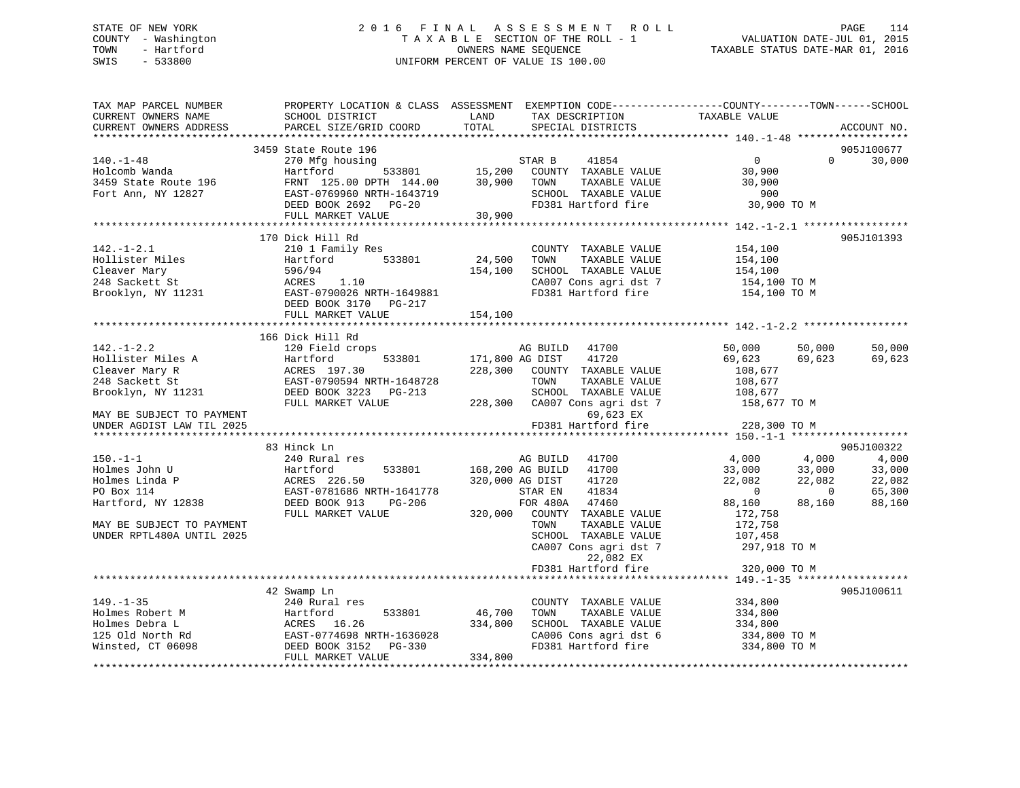## STATE OF NEW YORK 2 0 1 6 F I N A L A S S E S S M E N T R O L L PAGE 114 COUNTY - Washington T A X A B L E SECTION OF THE ROLL - 1 VALUATION DATE-JUL 01, 2015 TOWN - Hartford **TAXABLE STATUS DATE-MAR 01, 2016** OWNERS NAME SEQUENCE TAXABLE STATUS DATE-MAR 01, 2016 SWIS - 533800 UNIFORM PERCENT OF VALUE IS 100.00

| TAX MAP PARCEL NUMBER     | PROPERTY LOCATION & CLASS ASSESSMENT EXEMPTION CODE-----------------COUNTY--------TOWN------SCHOOL |                 |                          |                          |                |                           |
|---------------------------|----------------------------------------------------------------------------------------------------|-----------------|--------------------------|--------------------------|----------------|---------------------------|
| CURRENT OWNERS NAME       | SCHOOL DISTRICT                                                                                    | LAND            | TAX DESCRIPTION          | TAXABLE VALUE            |                |                           |
| CURRENT OWNERS ADDRESS    | PARCEL SIZE/GRID COORD                                                                             | TOTAL           | SPECIAL DISTRICTS        |                          |                | ACCOUNT NO.               |
|                           |                                                                                                    |                 |                          |                          |                |                           |
|                           | 3459 State Route 196                                                                               |                 |                          |                          |                | 905J100677                |
| $140. - 1 - 48$           | 270 Mfg housing                                                                                    |                 | 41854<br>STAR B          | $\overline{0}$           | $\Omega$       | 30,000                    |
| Holcomb Wanda             | 533801<br>Hartford                                                                                 | 15,200          | COUNTY TAXABLE VALUE     | 30,900                   |                |                           |
| 3459 State Route 196      | FRNT 125.00 DPTH 144.00                                                                            | 30,900          | TAXABLE VALUE<br>TOWN    | 30,900                   |                |                           |
| Fort Ann, NY 12827        | EAST-0769960 NRTH-1643719                                                                          |                 | SCHOOL TAXABLE VALUE     | 900                      |                |                           |
|                           | DEED BOOK 2692 PG-20                                                                               |                 | FD381 Hartford fire      | 30,900 TO M              |                |                           |
|                           | FULL MARKET VALUE                                                                                  | 30,900          |                          |                          |                |                           |
|                           |                                                                                                    |                 |                          |                          |                |                           |
|                           | 170 Dick Hill Rd                                                                                   |                 |                          |                          |                | 905J101393                |
| $142. - 1 - 2.1$          | 210 1 Family Res                                                                                   |                 | COUNTY TAXABLE VALUE     | 154,100                  |                |                           |
| Hollister Miles           | Hartford<br>533801                                                                                 | 24,500          | TAXABLE VALUE<br>TOWN    | 154,100                  |                |                           |
| Cleaver Mary              | 596/94                                                                                             | 154,100         | SCHOOL TAXABLE VALUE     | 154,100                  |                |                           |
| 248 Sackett St            | ACRES<br>1.10                                                                                      |                 | CA007 Cons agri dst 7    | 154,100 TO M             |                |                           |
| Brooklyn, NY 11231        | EAST-0790026 NRTH-1649881                                                                          |                 | FD381 Hartford fire      | 154,100 TO M             |                |                           |
|                           | DEED BOOK 3170 PG-217                                                                              |                 |                          |                          |                |                           |
|                           | FULL MARKET VALUE                                                                                  | 154,100         |                          |                          |                |                           |
|                           |                                                                                                    |                 |                          |                          |                |                           |
|                           | 166 Dick Hill Rd                                                                                   |                 |                          |                          |                |                           |
| $142. - 1 - 2.2$          | 120 Field crops                                                                                    |                 | AG BUILD<br>41700        | 50,000                   | 50,000         | 50,000                    |
| Hollister Miles A         | 533801<br>Hartford                                                                                 | 171,800 AG DIST | 41720                    | 69,623                   | 69,623         | 69,623                    |
| Cleaver Mary R            | ACRES 197.30                                                                                       | 228,300         | COUNTY TAXABLE VALUE     | 108,677                  |                |                           |
| 248 Sackett St            | EAST-0790594 NRTH-1648728                                                                          |                 | TAXABLE VALUE<br>TOWN    | 108,677                  |                |                           |
| Brooklyn, NY 11231        | DEED BOOK 3223 PG-213                                                                              |                 | SCHOOL TAXABLE VALUE     | 108,677                  |                |                           |
|                           | FULL MARKET VALUE                                                                                  | 228,300         | CA007 Cons agri dst 7    | 158,677 TO M             |                |                           |
| MAY BE SUBJECT TO PAYMENT |                                                                                                    |                 | 69,623 EX                |                          |                |                           |
| UNDER AGDIST LAW TIL 2025 |                                                                                                    |                 | FD381 Hartford fire      | 228,300 TO M             |                |                           |
|                           |                                                                                                    |                 |                          |                          |                |                           |
|                           | 83 Hinck Ln                                                                                        |                 |                          |                          |                | 905J100322                |
| $150. - 1 - 1$            | 240 Rural res                                                                                      |                 | AG BUILD 41700           | 4,000                    | 4,000          | 4,000                     |
| Holmes John U             | 533801<br>Hartford                                                                                 |                 | 168,200 AG BUILD 41700   | 33,000                   | 33,000         | 33,000                    |
| Holmes Linda P            | ACRES 226.50                                                                                       |                 | 320,000 AG DIST<br>41720 | 22,082                   | 22,082         | 22,082                    |
| PO Box 114                | EAST-0781686 NRTH-1641778                                                                          |                 | 41834<br>STAR EN         | $\overline{\phantom{0}}$ | $\overline{0}$ | 65,300                    |
| Hartford, NY 12838        | DEED BOOK 913<br>PG-206                                                                            |                 | FOR 480A 47460           | 88,160                   | 88,160         | 88,160                    |
|                           | FULL MARKET VALUE                                                                                  | 320,000         | COUNTY TAXABLE VALUE     | 172,758                  |                |                           |
| MAY BE SUBJECT TO PAYMENT |                                                                                                    |                 | TAXABLE VALUE<br>TOWN    | 172,758                  |                |                           |
| UNDER RPTL480A UNTIL 2025 |                                                                                                    |                 | SCHOOL TAXABLE VALUE     | 107,458                  |                |                           |
|                           |                                                                                                    |                 | CA007 Cons agri dst 7    | 297,918 TO M             |                |                           |
|                           |                                                                                                    |                 | 22,082 EX                |                          |                |                           |
|                           |                                                                                                    |                 | FD381 Hartford fire      | 320,000 TO M             |                |                           |
|                           |                                                                                                    |                 |                          |                          |                | * * * * * * * * * * * * * |
|                           | 42 Swamp Ln                                                                                        |                 |                          |                          |                | 905J100611                |
| $149. - 1 - 35$           | 240 Rural res                                                                                      |                 | COUNTY TAXABLE VALUE     | 334,800                  |                |                           |
| Holmes Robert M           | 533801<br>Hartford                                                                                 | 46,700          | TAXABLE VALUE<br>TOWN    | 334,800                  |                |                           |
| Holmes Debra L            |                                                                                                    | 334,800         | SCHOOL TAXABLE VALUE     | 334,800                  |                |                           |
| 125 Old North Rd          | EAST-0774698 NRTH-1636028                                                                          |                 | CA006 Cons agri dst 6    | 334,800 TO M             |                |                           |
| Winsted, CT 06098         | ACRES 16.26<br>EAST-0774698 NRTH-163602<br>DEED BOOK 3152 PG-330                                   |                 | FD381 Hartford fire      | 334,800 TO M             |                |                           |
|                           | FULL MARKET VALUE                                                                                  | 334,800         |                          |                          |                |                           |
|                           |                                                                                                    |                 |                          |                          |                |                           |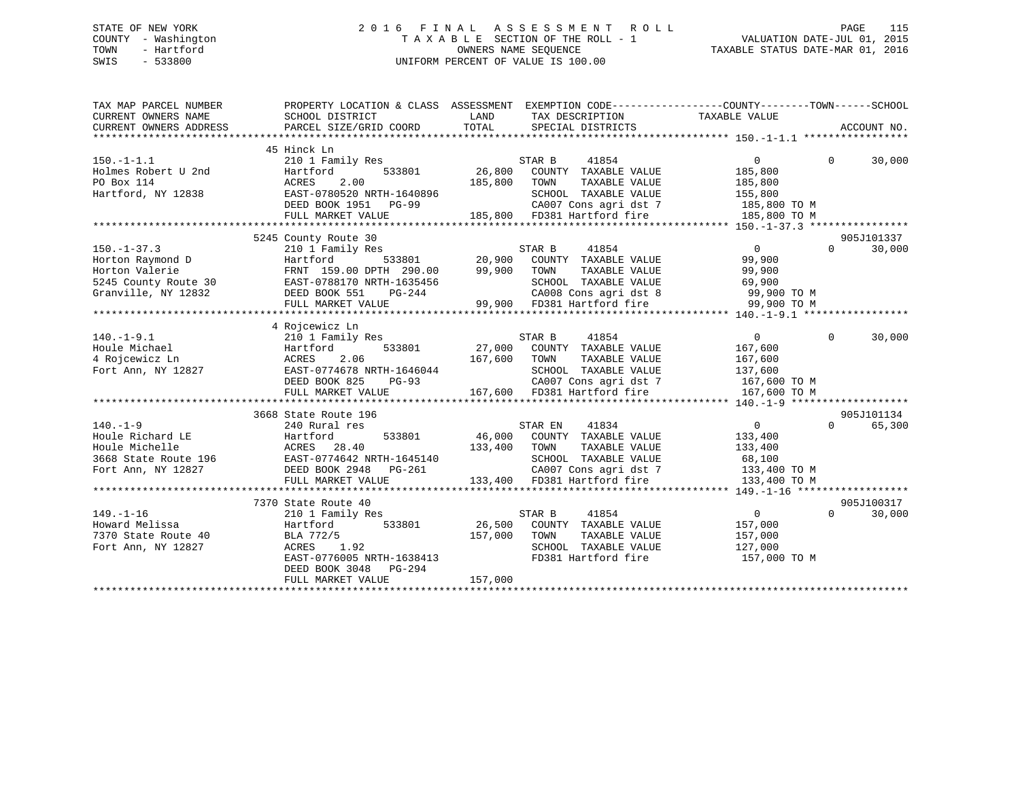## STATE OF NEW YORK 2 0 1 6 F I N A L A S S E S S M E N T R O L L PAGE 115 COUNTY - Washington T A X A B L E SECTION OF THE ROLL - 1 VALUATION DATE-JUL 01, 2015 TOWN - Hartford **TAXABLE STATUS DATE-MAR 01, 2016** OWNERS NAME SEQUENCE TAXABLE STATUS DATE-MAR 01, 2016 SWIS - 533800 UNIFORM PERCENT OF VALUE IS 100.00

| TAX MAP PARCEL NUMBER<br>CURRENT OWNERS NAME<br>CURRENT OWNERS ADDRESS | PROPERTY LOCATION & CLASS ASSESSMENT EXEMPTION CODE----------------COUNTY-------TOWN------SCHOOL<br>SCHOOL DISTRICT<br>PARCEL SIZE/GRID COORD                                                                | LAND<br>TOTAL | TAX DESCRIPTION<br>SPECIAL DISTRICTS                                           | TAXABLE VALUE                                | ACCOUNT NO.        |
|------------------------------------------------------------------------|--------------------------------------------------------------------------------------------------------------------------------------------------------------------------------------------------------------|---------------|--------------------------------------------------------------------------------|----------------------------------------------|--------------------|
|                                                                        |                                                                                                                                                                                                              |               |                                                                                |                                              |                    |
| 150.-1-1.1<br>Holmes Robert U 2nd Hartfo<br>ACRES                      | 45 Hinck Ln<br>210 1 Family Res                                                                                                                                                                              |               | STAR B<br>41854                                                                | $\overline{0}$                               | $\Omega$<br>30,000 |
|                                                                        | 533801<br>Hartford                                                                                                                                                                                           |               | 26,800 COUNTY TAXABLE VALUE                                                    | 185,800                                      |                    |
|                                                                        | 2.00                                                                                                                                                                                                         | 185,800       | TAXABLE VALUE<br>TOWN                                                          | 185,800                                      |                    |
|                                                                        | Hartford, NY 12838 EAST-0780520 NRTH-1640896                                                                                                                                                                 |               | SCHOOL TAXABLE VALUE                                                           | 155,800                                      |                    |
|                                                                        | DEED BOOK 1951    PG-99                                                                                                                                                                                      |               |                                                                                | CA007 Cons agri dst 7 185,800 TO M           |                    |
|                                                                        | FULL MARKET VALUE                                                                                                                                                                                            |               | 185,800 FD381 Hartford fire                                                    | 185,800 TO M                                 |                    |
|                                                                        |                                                                                                                                                                                                              |               |                                                                                |                                              |                    |
|                                                                        | 5245 County Route 30                                                                                                                                                                                         |               |                                                                                |                                              | 905J101337         |
| $150. - 1 - 37.3$                                                      | 210 1 Family Res                                                                                                                                                                                             |               | STAR B<br>41854                                                                | $\overline{0}$                               | 30,000<br>$\Omega$ |
| Horton Raymond D                                                       | Hartford                                                                                                                                                                                                     |               | 533801 20,900 COUNTY TAXABLE VALUE                                             | 99,900                                       |                    |
|                                                                        | Horton Raymond 2<br>Horton Valerie<br>5245 County Route 30<br>Granville, NY 12832<br>CHERED BOOK 551 PG-244<br>PEED BOOK 551 PG-244<br>PEED BOOK 551 PG-244<br>PG-244<br>FRNT 159.00 DPTH 290.00 99,900 TOWN |               |                                                                                | TAXABLE VALUE 99,900<br>TAXABLE VALUE 69,900 |                    |
|                                                                        |                                                                                                                                                                                                              |               | SCHOOL TAXABLE VALUE                                                           |                                              |                    |
|                                                                        |                                                                                                                                                                                                              |               |                                                                                | CA008 Cons agri dst 8 99,900 TO M            |                    |
|                                                                        | FULL MARKET VALUE                                                                                                                                                                                            |               | 99,900 FD381 Hartford fire                                                     | 99,900 TO M                                  |                    |
|                                                                        |                                                                                                                                                                                                              |               |                                                                                |                                              |                    |
|                                                                        | 4 Rojcewicz Ln                                                                                                                                                                                               |               |                                                                                |                                              |                    |
| $140.-1-9.1$                                                           | 210 1 Family Res                                                                                                                                                                                             |               | 41854                                                                          | $\overline{0}$                               | $\Omega$<br>30,000 |
| Houle Michael                                                          | Hartford<br>ACRES<br>533801                                                                                                                                                                                  |               |                                                                                | 167,600                                      |                    |
| 4 Rojcewicz Ln                                                         | 2.06                                                                                                                                                                                                         | 167,600       | TOWN                                                                           | TAXABLE VALUE 167,600                        |                    |
| Fort Ann, NY 12827                                                     | EAST-0774678 NRTH-1646044                                                                                                                                                                                    |               | SCHOOL TAXABLE VALUE                                                           | 137,600<br>167,600 TO M                      |                    |
|                                                                        | DEED BOOK 825<br>$PG-93$                                                                                                                                                                                     |               | CA007 Cons agri dst 7                                                          |                                              |                    |
|                                                                        | FULL MARKET VALUE                                                                                                                                                                                            |               | 167,600 FD381 Hartford fire 167,600 TO M                                       |                                              |                    |
|                                                                        |                                                                                                                                                                                                              |               |                                                                                |                                              |                    |
|                                                                        | 3668 State Route 196                                                                                                                                                                                         |               |                                                                                |                                              | 905J101134         |
| $140. - 1 - 9$                                                         | 240 Rural res                                                                                                                                                                                                |               | 41834<br>STAR EN                                                               | $\overline{0}$                               | $\Omega$<br>65,300 |
| Houle Richard LE                                                       |                                                                                                                                                                                                              |               | 533801 46,000 COUNTY TAXABLE VALUE                                             | 133,400                                      |                    |
| Houle Michelle                                                         | Hartford<br>ACRES 28.40                                                                                                                                                                                      | 133,400       | TAXABLE VALUE<br>TOWN                                                          | 133,400                                      |                    |
|                                                                        | 3668 State Route 196 EAST-0774642 NRTH-1645140                                                                                                                                                               |               | SCHOOL TAXABLE VALUE 68,100                                                    |                                              |                    |
|                                                                        | Fort Ann, NY 12827 DEED BOOK 2948 PG-261                                                                                                                                                                     |               | CA007 Cons agri dst 7 133,400 TO M<br>133,400 FD381 Hartford fire 133,400 TO M |                                              |                    |
|                                                                        | FULL MARKET VALUE                                                                                                                                                                                            |               |                                                                                |                                              |                    |
|                                                                        |                                                                                                                                                                                                              |               |                                                                                |                                              |                    |
|                                                                        | 7370 State Route 40                                                                                                                                                                                          |               |                                                                                |                                              | 905J100317         |
| $149. - 1 - 16$                                                        | 210 1 Family Res                                                                                                                                                                                             |               | 41854<br>STAR B                                                                | $\overline{0}$                               | $\Omega$<br>30,000 |
| Howard Melissa                                                         | Hartford                                                                                                                                                                                                     |               | 533801 26,500 COUNTY TAXABLE VALUE                                             | 157,000                                      |                    |
| 7370 State Route 40                                                    | BLA 772/5                                                                                                                                                                                                    | 157,000       | TOWN                                                                           | TAXABLE VALUE 157,000                        |                    |
| Fort Ann, NY 12827                                                     | ACRES 1.92                                                                                                                                                                                                   |               | SCHOOL TAXABLE VALUE                                                           | 127,000                                      |                    |
|                                                                        | EAST-0776005 NRTH-1638413                                                                                                                                                                                    |               | FD381 Hartford fire                                                            | 157,000 TO M                                 |                    |
|                                                                        | DEED BOOK 3048<br>PG-294                                                                                                                                                                                     |               |                                                                                |                                              |                    |
|                                                                        | FULL MARKET VALUE                                                                                                                                                                                            | 157,000       |                                                                                |                                              |                    |
|                                                                        |                                                                                                                                                                                                              |               |                                                                                |                                              |                    |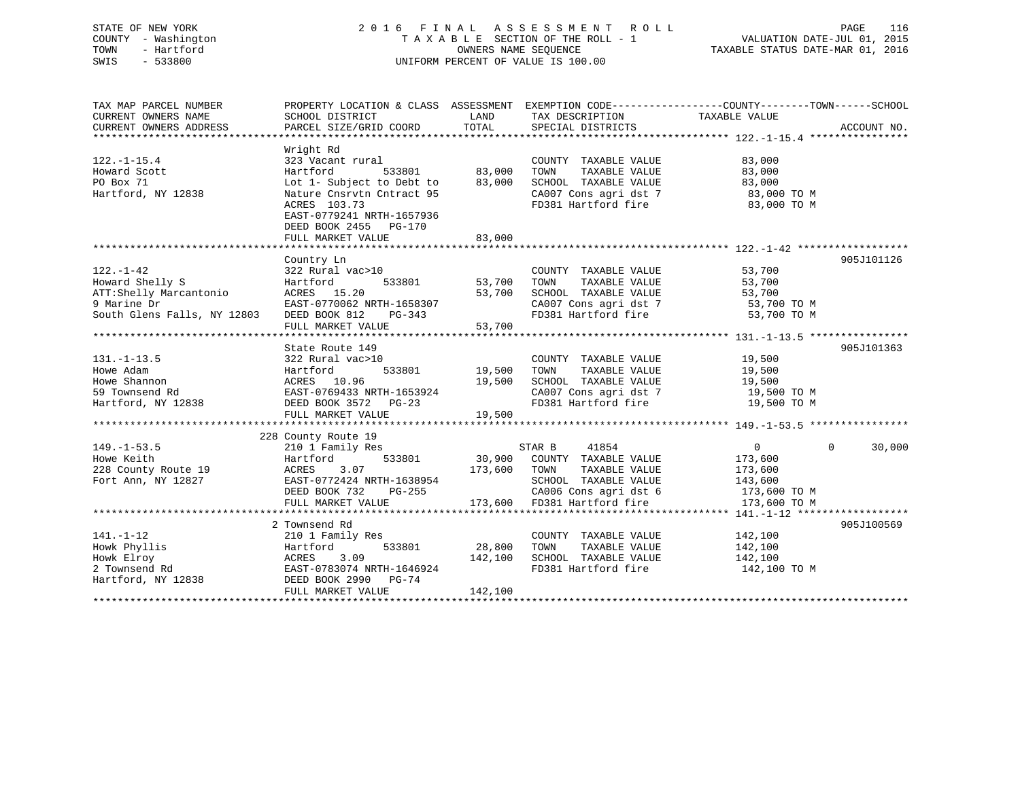## STATE OF NEW YORK 2 0 1 6 F I N A L A S S E S S M E N T R O L L PAGE 116 COUNTY - Washington T A X A B L E SECTION OF THE ROLL - 1 VALUATION DATE-JUL 01, 2015 TOWN - Hartford **TAXABLE STATUS DATE-MAR 01, 2016** OWNERS NAME SEQUENCE TAXABLE STATUS DATE-MAR 01, 2016 SWIS - 533800 UNIFORM PERCENT OF VALUE IS 100.00

| TAX MAP PARCEL NUMBER       | PROPERTY LOCATION & CLASS ASSESSMENT EXEMPTION CODE---------------COUNTY-------TOWN-----SCHOOL |         |                                   |                         |                    |
|-----------------------------|------------------------------------------------------------------------------------------------|---------|-----------------------------------|-------------------------|--------------------|
| CURRENT OWNERS NAME         | SCHOOL DISTRICT                                                                                | LAND    | TAX DESCRIPTION                   | TAXABLE VALUE           |                    |
| CURRENT OWNERS ADDRESS      | PARCEL SIZE/GRID COORD                                                                         | TOTAL   | SPECIAL DISTRICTS                 |                         | ACCOUNT NO.        |
|                             |                                                                                                |         |                                   |                         |                    |
|                             | Wright Rd                                                                                      |         |                                   |                         |                    |
| $122. - 1 - 15.4$           | 323 Vacant rural                                                                               |         | COUNTY TAXABLE VALUE              | 83,000                  |                    |
| Howard Scott                | Hartford<br>533801                                                                             | 83,000  | TOWN<br>TAXABLE VALUE             | 83,000                  |                    |
| PO Box 71                   | Lot 1- Subject to Debt to                                                                      | 83,000  | SCHOOL TAXABLE VALUE              | 83,000                  |                    |
| Hartford, NY 12838          | Nature Cnsrvtn Cntract 95                                                                      |         | CA007 Cons agri dst 7             | 83,000 TO M             |                    |
|                             | ACRES 103.73                                                                                   |         | FD381 Hartford fire               | 83,000 TO M             |                    |
|                             | EAST-0779241 NRTH-1657936                                                                      |         |                                   |                         |                    |
|                             | DEED BOOK 2455 PG-170                                                                          |         |                                   |                         |                    |
|                             | FULL MARKET VALUE                                                                              | 83,000  |                                   |                         |                    |
|                             |                                                                                                |         |                                   |                         |                    |
|                             | Country Ln                                                                                     |         |                                   |                         | 905J101126         |
| $122. - 1 - 42$             | 322 Rural vac>10                                                                               |         | COUNTY TAXABLE VALUE              | 53,700                  |                    |
| Howard Shelly S             | 533801<br>Hartford                                                                             | 53,700  | TOWN<br>TAXABLE VALUE             | 53,700                  |                    |
| ATT:Shelly Marcantonio      | ACRES 15.20                                                                                    | 53,700  | SCHOOL TAXABLE VALUE              | 53,700                  |                    |
| 9 Marine Dr                 | EAST-0770062 NRTH-1658307                                                                      |         | CA007 Cons agri dst 7             | 53,700 TO M             |                    |
| South Glens Falls, NY 12803 | DEED BOOK 812<br>PG-343                                                                        |         | FD381 Hartford fire               | 53,700 TO M             |                    |
|                             | FULL MARKET VALUE                                                                              | 53,700  |                                   |                         |                    |
|                             |                                                                                                |         |                                   |                         | 905J101363         |
| $131. - 1 - 13.5$           | State Route 149                                                                                |         | COUNTY TAXABLE VALUE 19,500       |                         |                    |
| Howe Adam                   | 322 Rural vac>10<br>533801<br>Hartford                                                         | 19,500  | TOWN<br>TAXABLE VALUE             | 19,500                  |                    |
| Howe Shannon                | ACRES 10.96                                                                                    | 19,500  | SCHOOL TAXABLE VALUE              | 19,500                  |                    |
| 59 Townsend Rd              | EAST-0769433 NRTH-1653924                                                                      |         | CA007 Cons agri dst 7 19,500 TO M |                         |                    |
| Hartford, NY 12838          | DEED BOOK 3572 PG-23                                                                           |         | FD381 Hartford fire               | 19,500 TO M             |                    |
|                             | FULL MARKET VALUE                                                                              | 19,500  |                                   |                         |                    |
|                             |                                                                                                |         |                                   |                         |                    |
|                             | 228 County Route 19                                                                            |         |                                   |                         |                    |
| $149. - 1 - 53.5$           | 210 1 Family Res                                                                               |         | STAR B<br>41854                   | $\overline{\mathbf{0}}$ | $\Omega$<br>30,000 |
| Howe Keith                  | Hartford<br>533801                                                                             | 30,900  | COUNTY TAXABLE VALUE              | 173,600                 |                    |
| 228 County Route 19         | 3.07<br>ACRES                                                                                  | 173,600 | TAXABLE VALUE<br>TOWN             | 173,600                 |                    |
| Fort Ann, NY 12827          | EAST-0772424 NRTH-1638954                                                                      |         | SCHOOL TAXABLE VALUE              | 143,600                 |                    |
|                             | DEED BOOK 732<br>PG-255                                                                        |         | CA006 Cons agri dst 6             | 173,600 TO M            |                    |
|                             | FULL MARKET VALUE                                                                              | 173,600 | FD381 Hartford fire               | 173,600 TO M            |                    |
|                             |                                                                                                |         |                                   |                         |                    |
|                             | 2 Townsend Rd                                                                                  |         |                                   |                         | 905J100569         |
| $141. - 1 - 12$             | 210 1 Family Res                                                                               |         | COUNTY TAXABLE VALUE              | 142,100                 |                    |
| Howk Phyllis                | 533801<br>Hartford                                                                             | 28,800  | TOWN<br>TAXABLE VALUE             | 142,100                 |                    |
| Howk Elroy                  | 3.09<br>ACRES                                                                                  | 142,100 | SCHOOL TAXABLE VALUE              | 142,100                 |                    |
| 2 Townsend Rd               | EAST-0783074 NRTH-1646924                                                                      |         | FD381 Hartford fire               | 142,100 TO M            |                    |
| Hartford, NY 12838          | DEED BOOK 2990 PG-74                                                                           |         |                                   |                         |                    |
|                             | FULL MARKET VALUE                                                                              | 142,100 |                                   |                         |                    |
|                             |                                                                                                |         |                                   |                         |                    |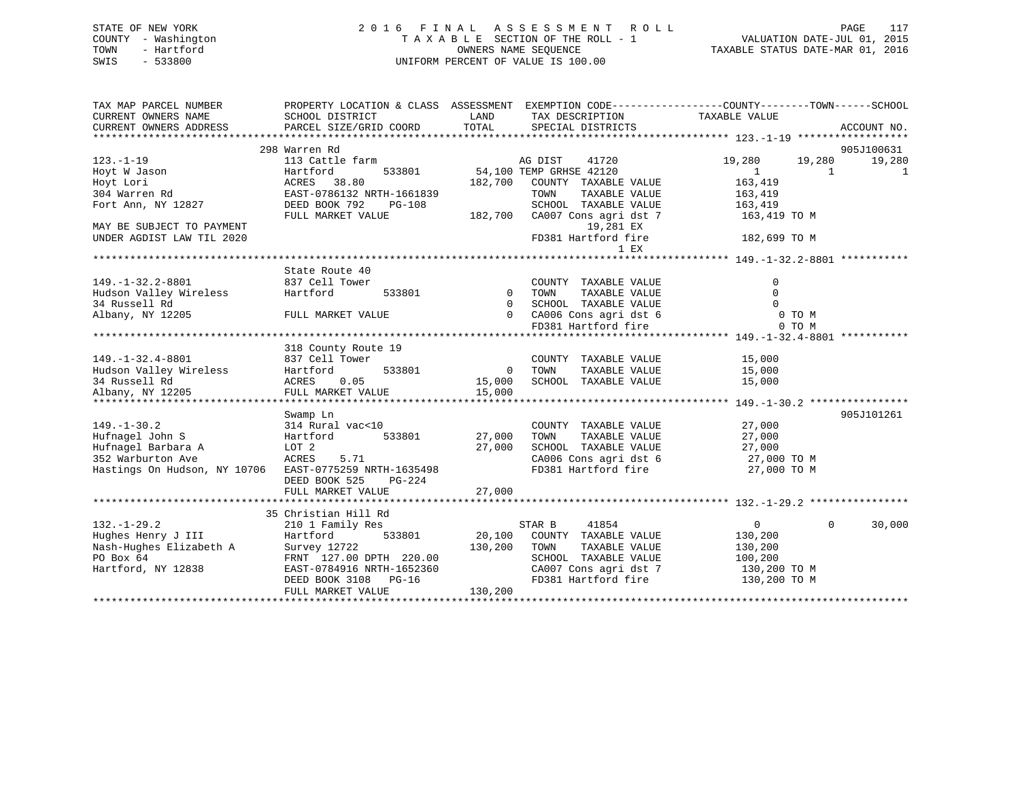## STATE OF NEW YORK 2 0 1 6 F I N A L A S S E S S M E N T R O L L PAGE 117 COUNTY - Washington T A X A B L E SECTION OF THE ROLL - 1 VALUATION DATE-JUL 01, 2015 TOWN - Hartford **TAXABLE STATUS DATE-MAR 01, 2016** OWNERS NAME SEQUENCE TAXABLE STATUS DATE-MAR 01, 2016 SWIS - 533800 UNIFORM PERCENT OF VALUE IS 100.00

| TAX MAP PARCEL NUMBER                                  |                           |                | PROPERTY LOCATION & CLASS ASSESSMENT EXEMPTION CODE----------------COUNTY-------TOWN------SCHOOL |                  |                    |
|--------------------------------------------------------|---------------------------|----------------|--------------------------------------------------------------------------------------------------|------------------|--------------------|
| CURRENT OWNERS NAME                                    | SCHOOL DISTRICT           | LAND           | TAX DESCRIPTION                                                                                  | TAXABLE VALUE    |                    |
| CURRENT OWNERS ADDRESS                                 | PARCEL SIZE/GRID COORD    | TOTAL          | SPECIAL DISTRICTS                                                                                |                  | ACCOUNT NO.        |
|                                                        |                           |                |                                                                                                  |                  |                    |
|                                                        | 298 Warren Rd             |                |                                                                                                  |                  | 905J100631         |
| $123. - 1 - 19$                                        | 113 Cattle farm           |                | AG DIST<br>41720                                                                                 | 19,280<br>19,280 | 19,280             |
| Hoyt W Jason                                           | Hartford<br>533801        |                | 54,100 TEMP GRHSE 42120                                                                          | $\mathbf{1}$     | $\mathbf{1}$<br>1  |
| Hoyt Lori                                              | ACRES 38.80               | 182,700        | COUNTY TAXABLE VALUE                                                                             | 163,419          |                    |
| 304 Warren Rd                                          | EAST-0786132 NRTH-1661839 |                | TOWN<br>TAXABLE VALUE                                                                            | 163,419          |                    |
| Fort Ann, NY 12827                                     | DEED BOOK 792<br>PG-108   |                | SCHOOL TAXABLE VALUE                                                                             | 163,419          |                    |
|                                                        | FULL MARKET VALUE         | 182,700        | CA007 Cons agri dst 7                                                                            | 163,419 TO M     |                    |
| MAY BE SUBJECT TO PAYMENT                              |                           |                | 19,281 EX                                                                                        |                  |                    |
| UNDER AGDIST LAW TIL 2020                              |                           |                | FD381 Hartford fire                                                                              | 182,699 TO M     |                    |
|                                                        |                           |                | $1$ EX                                                                                           |                  |                    |
|                                                        |                           |                |                                                                                                  |                  |                    |
|                                                        | State Route 40            |                |                                                                                                  |                  |                    |
| $149. -1 - 32.2 - 8801$                                | 837 Cell Tower            |                | COUNTY TAXABLE VALUE                                                                             | 0                |                    |
| Hudson Valley Wireless                                 | Hartford<br>533801        | $\overline{0}$ | TAXABLE VALUE<br>TOWN                                                                            | $\Omega$         |                    |
| 34 Russell Rd                                          |                           | $\overline{0}$ | SCHOOL TAXABLE VALUE                                                                             |                  |                    |
| Albany, NY 12205                                       | FULL MARKET VALUE         |                | 0 CA006 Cons agri dst 6                                                                          | 0 TO M           |                    |
|                                                        |                           |                | FD381 Hartford fire                                                                              | 0 TO M           |                    |
|                                                        |                           |                |                                                                                                  |                  |                    |
|                                                        | 318 County Route 19       |                |                                                                                                  |                  |                    |
| $149. - 1 - 32.4 - 8801$                               | 837 Cell Tower            |                | COUNTY TAXABLE VALUE                                                                             | 15,000           |                    |
| Hudson Valley Wireless                                 | 533801<br>Hartford        | $\overline{0}$ | TOWN<br>TAXABLE VALUE                                                                            | 15,000           |                    |
| 34 Russell Rd                                          | ACRES 0.05                | 15,000         | SCHOOL TAXABLE VALUE                                                                             | 15,000           |                    |
| Albany, NY 12205                                       | FULL MARKET VALUE         | 15,000         |                                                                                                  |                  |                    |
|                                                        |                           |                |                                                                                                  |                  |                    |
|                                                        | Swamp Ln                  |                |                                                                                                  |                  | 905J101261         |
| $149. - 1 - 30.2$                                      | 314 Rural vac<10          |                | COUNTY TAXABLE VALUE                                                                             | 27,000           |                    |
| Hufnagel John S                                        | 533801<br>Hartford        | 27,000         | TOWN<br>TAXABLE VALUE                                                                            | 27,000           |                    |
| Hufnagel Barbara A                                     | LOT 2                     | 27,000         | SCHOOL TAXABLE VALUE                                                                             | 27,000           |                    |
| 352 Warburton Ave                                      | ACRES<br>5.71             |                | CA006 Cons agri dst 6                                                                            | 27,000 TO M      |                    |
| Hastings On Hudson, NY 10706 EAST-0775259 NRTH-1635498 |                           |                | FD381 Hartford fire                                                                              | 27,000 TO M      |                    |
|                                                        | DEED BOOK 525<br>PG-224   |                |                                                                                                  |                  |                    |
|                                                        | FULL MARKET VALUE         | 27,000         |                                                                                                  |                  |                    |
|                                                        |                           |                |                                                                                                  |                  |                    |
|                                                        | 35 Christian Hill Rd      |                |                                                                                                  |                  |                    |
| $132. - 1 - 29.2$                                      | 210 1 Family Res          |                | STAR B<br>41854                                                                                  | $\Omega$         | 30,000<br>$\Omega$ |
| Hughes Henry J III                                     | Hartford<br>533801        | 20,100         | COUNTY TAXABLE VALUE                                                                             | 130,200          |                    |
| Nash-Hughes Elizabeth A                                | Survey 12722              | 130,200        | TOWN<br>TAXABLE VALUE                                                                            | 130,200          |                    |
| PO Box 64                                              | FRNT 127.00 DPTH 220.00   |                | SCHOOL TAXABLE VALUE                                                                             | 100,200          |                    |
| Hartford, NY 12838                                     | EAST-0784916 NRTH-1652360 |                | CA007 Cons agri dst 7                                                                            | 130,200 TO M     |                    |
|                                                        | DEED BOOK 3108<br>$PG-16$ |                | FD381 Hartford fire                                                                              | 130,200 TO M     |                    |
|                                                        | FULL MARKET VALUE         | 130,200        |                                                                                                  |                  |                    |
|                                                        |                           |                |                                                                                                  |                  |                    |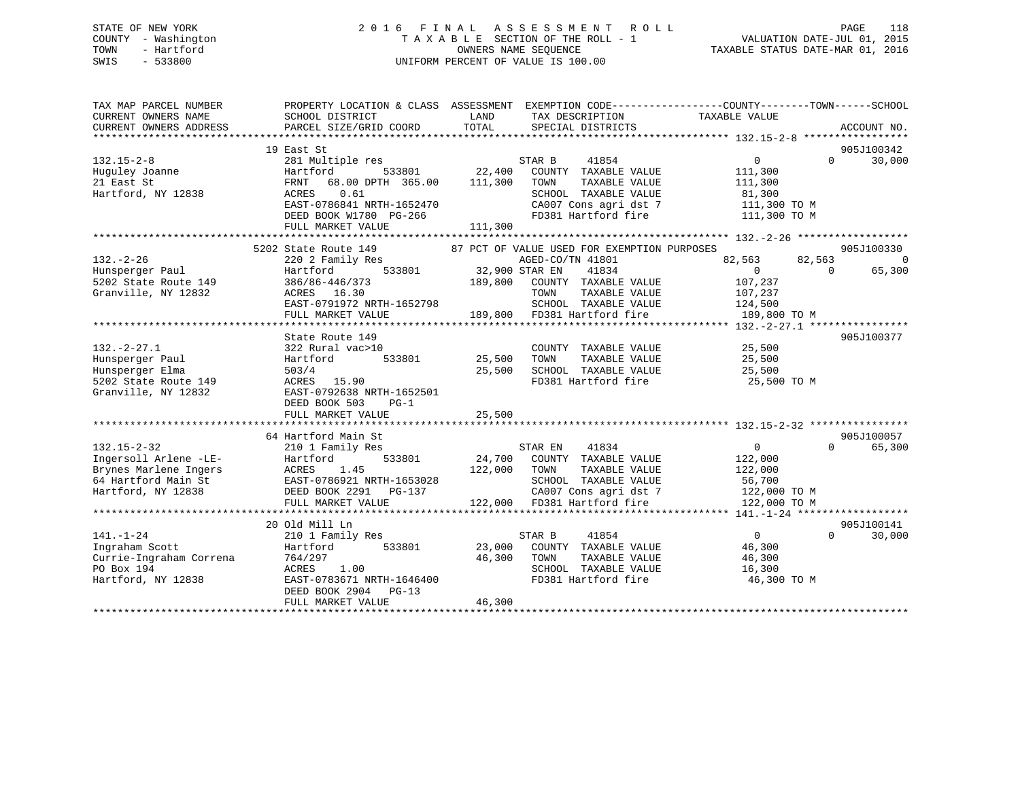## STATE OF NEW YORK 2 0 1 6 F I N A L A S S E S S M E N T R O L L PAGE 118 COUNTY - Washington T A X A B L E SECTION OF THE ROLL - 1 VALUATION DATE-JUL 01, 2015 TOWN - Hartford **TAXABLE STATUS DATE-MAR 01, 2016** OWNERS NAME SEQUENCE TAXABLE STATUS DATE-MAR 01, 2016 SWIS - 533800 UNIFORM PERCENT OF VALUE IS 100.00

| TAX MAP PARCEL NUMBER<br>CURRENT OWNERS NAME<br>CURRENT OWNERS ADDRESS | SCHOOL DISTRICT<br>PARCEL SIZE/GRID COORD                                                                                                                                                               | LAND<br>TOTAL                                            | TAX DESCRIPTION<br>SPECIAL DISTRICTS                             | PROPERTY LOCATION & CLASS ASSESSMENT EXEMPTION CODE----------------COUNTY-------TOWN------SCHOOL<br>TAXABLE VALUE | ACCOUNT NO.                  |
|------------------------------------------------------------------------|---------------------------------------------------------------------------------------------------------------------------------------------------------------------------------------------------------|----------------------------------------------------------|------------------------------------------------------------------|-------------------------------------------------------------------------------------------------------------------|------------------------------|
|                                                                        |                                                                                                                                                                                                         |                                                          |                                                                  |                                                                                                                   |                              |
|                                                                        | 19 East St                                                                                                                                                                                              |                                                          |                                                                  |                                                                                                                   | 905J100342                   |
| $132.15 - 2 - 8$<br>Huguley Joanne<br>21 East St                       | 281 Multiple res<br>Hartford<br>533801<br>FRNT 68.00 DPTH 365.00                                                                                                                                        | $\begin{array}{cc} 3801 & 22,400 \end{array}$<br>111,300 | STAR B<br>41854<br>COUNTY TAXABLE VALUE<br>TAXABLE VALUE<br>TOWN | $\overline{0}$<br>111,300<br>111,300                                                                              | $\Omega$<br>30,000           |
| Hartford, NY 12838                                                     | ACRES 0.61<br>EAST-0786841 NRTH-1652470<br>DEED BOOK W1780 PG-266                                                                                                                                       |                                                          | SCHOOL TAXABLE VALUE                                             | 81,300<br>CA007 Cons agri dst 7 111,300 TO M<br>FD381 Hartford fire 111,300 TO M                                  |                              |
|                                                                        | FULL MARKET VALUE                                                                                                                                                                                       | 111,300                                                  |                                                                  |                                                                                                                   |                              |
|                                                                        |                                                                                                                                                                                                         |                                                          |                                                                  |                                                                                                                   |                              |
| $132. - 2 - 26$                                                        | 5202 State Route 149                                                                                                                                                                                    |                                                          | 87 PCT OF VALUE USED FOR EXEMPTION PURPOSES<br>AGED-CO/TN 41801  |                                                                                                                   | 905J100330<br>$\overline{0}$ |
| Hunsperger Paul                                                        | 220 2 Family Res<br>1y Res<br>533801 32,900 STAR EN<br>190.900 COUNTY<br>Hartford                                                                                                                       |                                                          | 41834                                                            | 82,563<br>82,563<br>$\Omega$<br>$\bigcirc$                                                                        | 65,300                       |
| 5202 State Route 149                                                   | 386/86-446/373                                                                                                                                                                                          | 189,800                                                  | COUNTY TAXABLE VALUE                                             | 107,237                                                                                                           |                              |
| Granville, NY 12832                                                    | ACRES 16.30                                                                                                                                                                                             |                                                          | TOWN<br>TAXABLE VALUE                                            | 107,237                                                                                                           |                              |
|                                                                        | EAST-0791972 NRTH-1652798                                                                                                                                                                               |                                                          | SCHOOL TAXABLE VALUE                                             | 124,500                                                                                                           |                              |
|                                                                        | FULL MARKET VALUE                                                                                                                                                                                       |                                                          | 189,800 FD381 Hartford fire                                      | 189,800 TO M                                                                                                      |                              |
|                                                                        |                                                                                                                                                                                                         |                                                          |                                                                  |                                                                                                                   |                              |
|                                                                        | State Route 149                                                                                                                                                                                         |                                                          |                                                                  |                                                                                                                   | 905J100377                   |
| $132. - 2 - 27.1$                                                      | 322 Rural vac>10                                                                                                                                                                                        |                                                          | COUNTY TAXABLE VALUE 25,500                                      |                                                                                                                   |                              |
| Hunsperger Paul                                                        | 533801<br>Hartford                                                                                                                                                                                      | 25,500                                                   | TAXABLE VALUE<br>TOWN                                            | 25,500                                                                                                            |                              |
| Hunsperger Elma                                                        | 503/4                                                                                                                                                                                                   | 25,500                                                   | SCHOOL TAXABLE VALUE 25,500                                      |                                                                                                                   |                              |
| $5202$ State Route 149                                                 | ACRES 15.90                                                                                                                                                                                             |                                                          | FD381 Hartford fire                                              | 25,500 TO M                                                                                                       |                              |
| Granville, NY 12832                                                    | EAST-0792638 NRTH-1652501<br>DEED BOOK 503<br>$PG-1$                                                                                                                                                    |                                                          |                                                                  |                                                                                                                   |                              |
|                                                                        | FULL MARKET VALUE                                                                                                                                                                                       | 25,500                                                   |                                                                  |                                                                                                                   |                              |
|                                                                        |                                                                                                                                                                                                         |                                                          |                                                                  |                                                                                                                   |                              |
|                                                                        | 64 Hartford Main St                                                                                                                                                                                     |                                                          |                                                                  |                                                                                                                   | 905J100057                   |
| $132.15 - 2 - 32$                                                      | 210 1 Family Res                                                                                                                                                                                        |                                                          | STAR EN 41834                                                    | $\overline{0}$<br>$\Omega$                                                                                        | 65,300                       |
| Ingersoll Arlene -LE-                                                  | 533801                                                                                                                                                                                                  |                                                          | 24,700 COUNTY TAXABLE VALUE                                      | 122,000                                                                                                           |                              |
|                                                                        |                                                                                                                                                                                                         | 122,000 TOWN                                             | TAXABLE VALUE                                                    | 122,000                                                                                                           |                              |
|                                                                        | Ingersoll Arlene -LE-<br>Brynes Marlene Ingers<br>64 Hartford Main St<br>Bast-0786921 NRTH-1653028<br>Hartford, NY 12838<br>DEED BOOK 2291 PG-137<br>EAST-0786921 NRTH-1653028<br>DEED BOOK 2291 PG-137 |                                                          | SCHOOL TAXABLE VALUE                                             | 56,700                                                                                                            |                              |
|                                                                        |                                                                                                                                                                                                         |                                                          | 37 CA007 Cons agri dst 7<br>122,000 FD381 Hartford fire          | 122,000 TO M                                                                                                      |                              |
|                                                                        | FULL MARKET VALUE                                                                                                                                                                                       |                                                          |                                                                  | 122,000 TO M                                                                                                      |                              |
|                                                                        |                                                                                                                                                                                                         |                                                          |                                                                  |                                                                                                                   |                              |
|                                                                        | 20 Old Mill Ln                                                                                                                                                                                          |                                                          |                                                                  |                                                                                                                   | 905J100141                   |
| $141. - 1 - 24$                                                        | 210 1 Family Res                                                                                                                                                                                        |                                                          | 41854<br>STAR B                                                  | $\overline{0}$<br>$\Omega$                                                                                        | 30,000                       |
| Ingraham Scott                                                         | Hartford<br>533801                                                                                                                                                                                      | 23,000                                                   | COUNTY TAXABLE VALUE                                             | 46,300                                                                                                            |                              |
| Currie-Ingraham Correna                                                | 764/297                                                                                                                                                                                                 | 46,300                                                   | TOWN<br>TAXABLE VALUE                                            | 46,300                                                                                                            |                              |
| PO Box 194<br>Hartford, NY 12838                                       | ACRES<br>1.00                                                                                                                                                                                           |                                                          | SCHOOL TAXABLE VALUE<br>FD381 Hartford fire                      | 16,300                                                                                                            |                              |
|                                                                        | EAST-0783671 NRTH-1646400<br>DEED BOOK 2904 PG-13<br>FULL MARKET VALUE                                                                                                                                  | 46,300                                                   |                                                                  | 46,300 TO M                                                                                                       |                              |
|                                                                        |                                                                                                                                                                                                         |                                                          |                                                                  |                                                                                                                   |                              |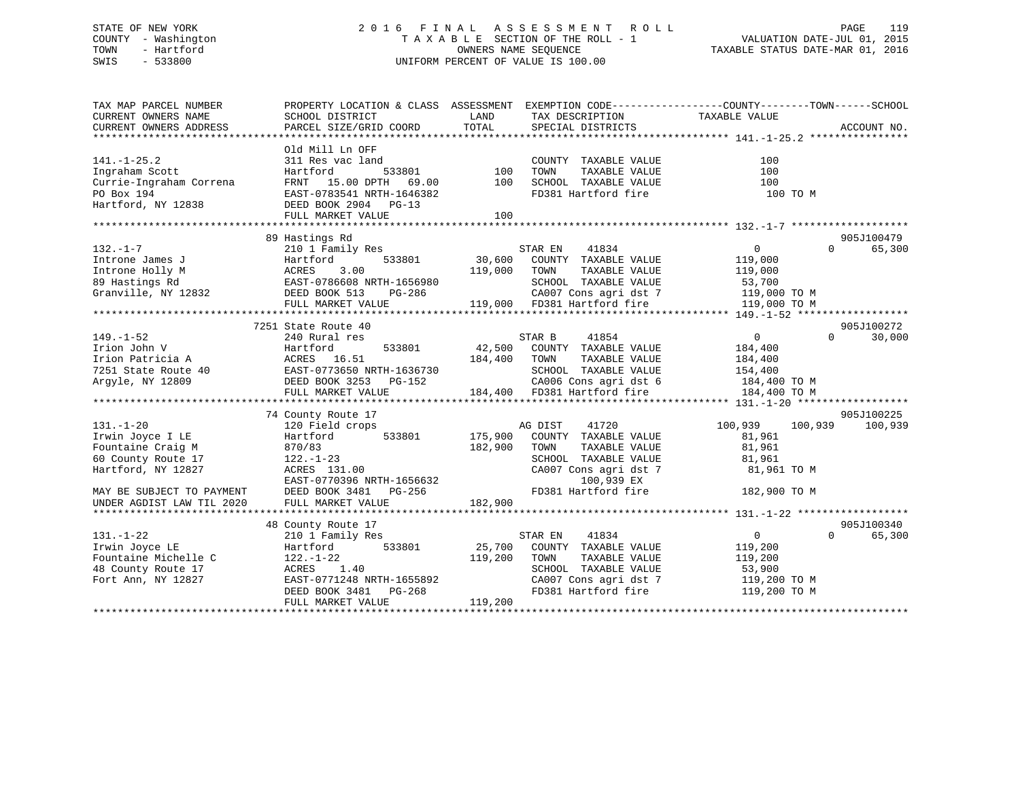## STATE OF NEW YORK 2 0 1 6 F I N A L A S S E S S M E N T R O L L PAGE 119 COUNTY - Washington T A X A B L E SECTION OF THE ROLL - 1 VALUATION DATE-JUL 01, 2015 TOWN - Hartford **TAXABLE STATUS DATE-MAR 01, 2016** OWNERS NAME SEQUENCE TAXABLE STATUS DATE-MAR 01, 2016 SWIS - 533800 UNIFORM PERCENT OF VALUE IS 100.00

| TAX MAP PARCEL NUMBER<br>CURRENT OWNERS NAME<br>CURRENT OWNERS ADDRESS                                                                      | SCHOOL DISTRICT<br>PARCEL SIZE/GRID COORD                                                                                                                                      | LAND<br>TOTAL                 | TAX DESCRIPTION<br>SPECIAL DISTRICTS                                                                                                                                 | PROPERTY LOCATION & CLASS ASSESSMENT EXEMPTION CODE---------------COUNTY-------TOWN-----SCHOOL<br>TAXABLE VALUE   | ACCOUNT NO.                     |
|---------------------------------------------------------------------------------------------------------------------------------------------|--------------------------------------------------------------------------------------------------------------------------------------------------------------------------------|-------------------------------|----------------------------------------------------------------------------------------------------------------------------------------------------------------------|-------------------------------------------------------------------------------------------------------------------|---------------------------------|
| $141. - 1 - 25.2$<br>Ingraham Scott<br>Currie-Ingraham Correna<br>PO Box 194<br>Hartford, NY 12838                                          | Old Mill Ln OFF<br>311 Res vac land<br>Hartford<br>533801<br>FRNT<br>15.00 DPTH<br>69.00<br>EAST-0783541 NRTH-1646382<br>DEED BOOK 2904 PG-13<br>FULL MARKET VALUE             | 100<br>100<br>100             | COUNTY TAXABLE VALUE<br>TAXABLE VALUE<br>TOWN<br>SCHOOL TAXABLE VALUE<br>FD381 Hartford fire                                                                         | 100<br>100<br>100<br>100 TO M                                                                                     |                                 |
|                                                                                                                                             |                                                                                                                                                                                |                               |                                                                                                                                                                      |                                                                                                                   |                                 |
| $132. - 1 - 7$<br>Introne James J<br>Introne Holly M<br>89 Hastings Rd<br>Granville, NY 12832                                               | 89 Hastings Rd<br>210 1 Family Res<br>Hartford<br>533801<br>ACRES<br>3.00<br>EAST-0786608 NRTH-1656980<br>DEED BOOK 513<br>PG-286<br>FULL MARKET VALUE                         | 30,600<br>119,000             | STAR EN<br>41834<br>COUNTY TAXABLE VALUE<br>TOWN<br>TAXABLE VALUE<br>SCHOOL TAXABLE VALUE<br>CA007 Cons agri dst 7<br>119,000 FD381 Hartford fire                    | 0<br>$\Omega$<br>119,000<br>119,000<br>53,700<br>119,000 TO M<br>119,000 TO M                                     | 905J100479<br>65,300            |
|                                                                                                                                             | 7251 State Route 40                                                                                                                                                            |                               |                                                                                                                                                                      |                                                                                                                   | 905J100272                      |
| $149. - 1 - 52$<br>Irion John V<br>Irion Patricia A<br>7251 State Route 40<br>Argyle, NY 12809<br>$131. - 1 - 20$                           | 240 Rural res<br>Hartford<br>533801<br>ACRES 16.51<br>EAST-0773650 NRTH-1636730<br>DEED BOOK 3253 PG-152<br>FULL MARKET VALUE<br>74 County Route 17<br>120 Field crops         | 42,500<br>184,400             | STAR B<br>41854<br>COUNTY TAXABLE VALUE<br>TOWN<br>TAXABLE VALUE<br>SCHOOL TAXABLE VALUE<br>CA006 Cons agri dst 6<br>184,400 FD381 Hartford fire<br>AG DIST<br>41720 | $\overline{0}$<br>$\Omega$<br>184,400<br>184,400<br>154,400<br>184,400 TO M<br>184,400 TO M<br>100,939<br>100,939 | 30,000<br>905J100225<br>100,939 |
| Irwin Joyce I LE<br>Fountaine Craig M<br>60 County Route 17<br>Hartford, NY 12827<br>MAY BE SUBJECT TO PAYMENT<br>UNDER AGDIST LAW TIL 2020 | 533801<br>Hartford<br>870/83<br>$122. - 1 - 23$<br>ACRES 131.00<br>EAST-0770396 NRTH-1656632<br>DEED BOOK 3481 PG-256<br>FULL MARKET VALUE                                     | 175,900<br>182,900<br>182,900 | COUNTY TAXABLE VALUE<br>TOWN<br>TAXABLE VALUE<br>SCHOOL TAXABLE VALUE<br>CA007 Cons agri dst 7<br>100,939 EX<br>FD381 Hartford fire                                  | 81,961<br>81,961<br>81,961<br>81,961 TO M<br>182,900 TO M                                                         |                                 |
| $131. - 1 - 22$<br>Irwin Joyce LE<br>Fountaine Michelle C<br>48 County Route 17<br>Fort Ann, NY 12827                                       | 48 County Route 17<br>210 1 Family Res<br>533801<br>Hartford<br>$122. - 1 - 22$<br>ACRES<br>1.40<br>EAST-0771248 NRTH-1655892<br>DEED BOOK 3481<br>PG-268<br>FULL MARKET VALUE | 25,700<br>119,200<br>119,200  | 41834<br>STAR EN<br>COUNTY TAXABLE VALUE<br>TOWN<br>TAXABLE VALUE<br>SCHOOL TAXABLE VALUE<br>CA007 Cons agri dst 7<br>FD381 Hartford fire                            | $\overline{0}$<br>$\Omega$<br>119,200<br>119,200<br>53,900<br>119,200 TO M<br>119,200 TO M                        | 905J100340<br>65,300            |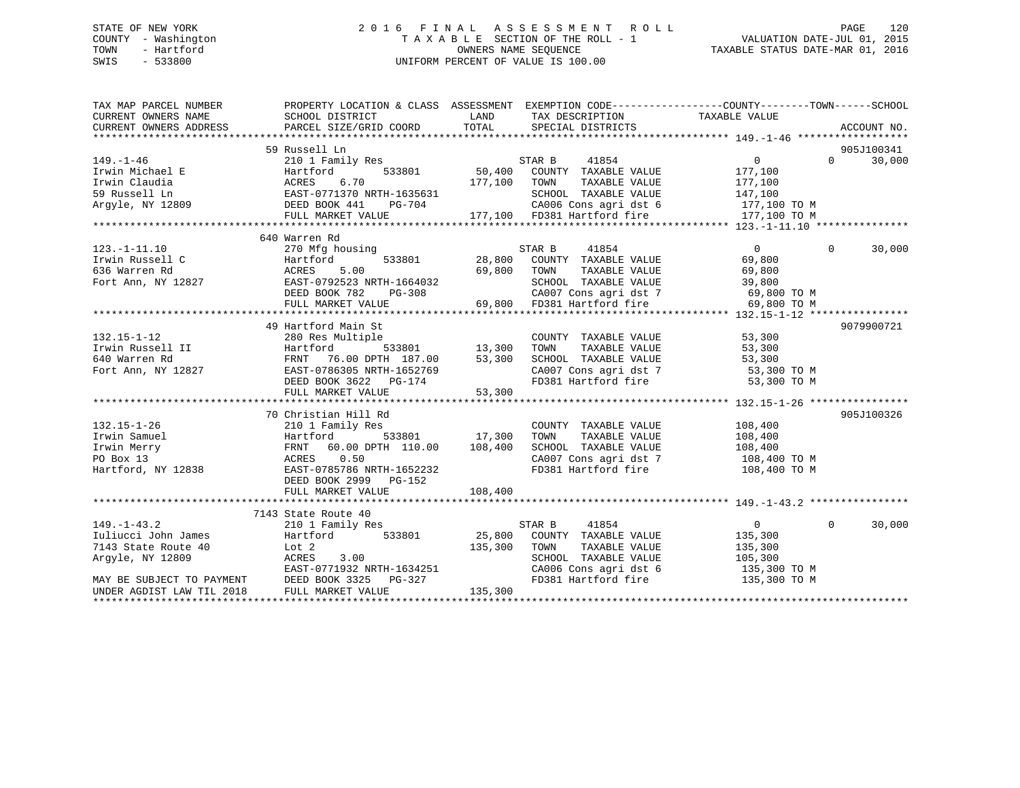## STATE OF NEW YORK 2 0 1 6 F I N A L A S S E S S M E N T R O L L PAGE 120 COUNTY - Washington T A X A B L E SECTION OF THE ROLL - 1 VALUATION DATE-JUL 01, 2015 TOWN - Hartford **TAXABLE STATUS DATE-MAR 01, 2016** OWNERS NAME SEQUENCE TAXABLE STATUS DATE-MAR 01, 2016 SWIS - 533800 UNIFORM PERCENT OF VALUE IS 100.00

| TAX MAP PARCEL NUMBER                                                                                                                  | PROPERTY LOCATION & CLASS ASSESSMENT EXEMPTION CODE---------------COUNTY-------TOWN------SCHOOL                                                                                                             |                                        |                                                                                    |                         |                                 |
|----------------------------------------------------------------------------------------------------------------------------------------|-------------------------------------------------------------------------------------------------------------------------------------------------------------------------------------------------------------|----------------------------------------|------------------------------------------------------------------------------------|-------------------------|---------------------------------|
|                                                                                                                                        |                                                                                                                                                                                                             |                                        |                                                                                    |                         |                                 |
|                                                                                                                                        | 59 Russell Ln                                                                                                                                                                                               |                                        |                                                                                    |                         | 905J100341                      |
| $149. - 1 - 46$                                                                                                                        | 210 1 Family Res                                                                                                                                                                                            |                                        | STAR B<br>41854                                                                    | $\overline{0}$          | $\Omega$ and $\Omega$<br>30,000 |
| Trwin Michael E<br>Irwin Michael E<br>Irwin Claudia<br>59 Russell Ln<br>Argyle, NY 12809<br>PEED BOOK 441 PG-704<br>FIILL MARKET VALUE |                                                                                                                                                                                                             |                                        | 533801 50,400 COUNTY TAXABLE VALUE                                                 | 177,100                 |                                 |
|                                                                                                                                        |                                                                                                                                                                                                             | 177,100                                | TAXABLE VALUE<br>TOWN                                                              | 177,100                 |                                 |
|                                                                                                                                        |                                                                                                                                                                                                             |                                        | SCHOOL TAXABLE VALUE                                                               | 147,100                 |                                 |
|                                                                                                                                        | PG-704                                                                                                                                                                                                      |                                        |                                                                                    |                         |                                 |
|                                                                                                                                        | FULL MARKET VALUE                                                                                                                                                                                           |                                        | 704 CA006 Cons agri dst 6 177,100 TO M<br>177,100 FD381 Hartford fire 177,100 TO M |                         |                                 |
|                                                                                                                                        |                                                                                                                                                                                                             |                                        |                                                                                    |                         |                                 |
|                                                                                                                                        | 640 Warren Rd                                                                                                                                                                                               |                                        |                                                                                    |                         |                                 |
| $123. - 1 - 11.10$                                                                                                                     | 270 Mfg housing                                                                                                                                                                                             |                                        | STAR B<br>41854                                                                    | $\overline{0}$          | 30,000<br>$\Omega$              |
| Irwin Russell C                                                                                                                        | 533801<br>Hartford                                                                                                                                                                                          |                                        | 28,800 COUNTY TAXABLE VALUE                                                        | 69,800                  |                                 |
| 636 Warren Rd                                                                                                                          | 5.00<br>ACRES                                                                                                                                                                                               | 69,800 TOWN                            | TAXABLE VALUE                                                                      | 69,800                  |                                 |
| Fort Ann, NY 12827                                                                                                                     |                                                                                                                                                                                                             |                                        |                                                                                    |                         |                                 |
|                                                                                                                                        |                                                                                                                                                                                                             |                                        |                                                                                    |                         |                                 |
|                                                                                                                                        |                                                                                                                                                                                                             |                                        |                                                                                    |                         |                                 |
|                                                                                                                                        | EAST-0792523 NRTH-1664032<br>DEED BOOK 782 PG-308 CA007 Cons agri dst 7 69,800 TO M<br>FULL MARKET VALUE 69,800 FD381 Hartford fire 69,800 TO M<br>FULL MARKET VALUE 69,800 FD381 Hartford fire 69,800 TO M |                                        |                                                                                    |                         |                                 |
|                                                                                                                                        | 49 Hartford Main St                                                                                                                                                                                         |                                        |                                                                                    |                         | 9079900721                      |
| $132.15 - 1 - 12$                                                                                                                      | 280 Res Multiple                                                                                                                                                                                            |                                        | COUNTY TAXABLE VALUE                                                               | 53,300                  |                                 |
|                                                                                                                                        |                                                                                                                                                                                                             | e<br>533801 13,300<br>"H 187.00 13,300 | TAXABLE VALUE<br>TOWN                                                              | 53,300                  |                                 |
|                                                                                                                                        |                                                                                                                                                                                                             |                                        | SCHOOL TAXABLE VALUE 53,300<br>CA007 Cons agri dst 7 53,300 TO M                   |                         |                                 |
|                                                                                                                                        |                                                                                                                                                                                                             |                                        |                                                                                    |                         |                                 |
|                                                                                                                                        |                                                                                                                                                                                                             |                                        | FD381 Hartford fire 53,300 TO M                                                    |                         |                                 |
|                                                                                                                                        |                                                                                                                                                                                                             |                                        |                                                                                    |                         |                                 |
|                                                                                                                                        |                                                                                                                                                                                                             |                                        |                                                                                    |                         |                                 |
|                                                                                                                                        | 70 Christian Hill Rd                                                                                                                                                                                        |                                        |                                                                                    |                         | 905J100326                      |
| $132.15 - 1 - 26$                                                                                                                      | 210 1 Family Res                                                                                                                                                                                            |                                        | COUNTY TAXABLE VALUE 108,400                                                       |                         |                                 |
|                                                                                                                                        |                                                                                                                                                                                                             | 533801 17,300                          | TOWN<br>TAXABLE VALUE                                                              | 108,400                 |                                 |
|                                                                                                                                        | FRNT 60.00 DPTH 110.00 108,400                                                                                                                                                                              |                                        | SCHOOL TAXABLE VALUE 108,400<br>CA007 Cons agri dst 7 108,400 TO M                 |                         |                                 |
| First Samuel<br>Irwin Samuel<br>Irwin Merry FRNT 60.00 D<br>PO Box 13 ACRES 0.50<br>Hartford, NY 12838 EAST-0785786 N                  |                                                                                                                                                                                                             |                                        |                                                                                    |                         |                                 |
|                                                                                                                                        | EAST-0785786 NRTH-1652232                                                                                                                                                                                   |                                        | FD381 Hartford fire                                                                | 108,400 TO M            |                                 |
|                                                                                                                                        | DEED BOOK 2999 PG-152                                                                                                                                                                                       |                                        |                                                                                    |                         |                                 |
|                                                                                                                                        |                                                                                                                                                                                                             |                                        |                                                                                    |                         |                                 |
|                                                                                                                                        |                                                                                                                                                                                                             |                                        |                                                                                    |                         |                                 |
|                                                                                                                                        | 7143 State Route 40                                                                                                                                                                                         |                                        |                                                                                    |                         |                                 |
| $149. - 1 - 43.2$                                                                                                                      | 210 1 Family Res                                                                                                                                                                                            |                                        | STAR B<br>41854<br>$25,800$ COUNTY TAXABLE VALUE                                   | $\overline{0}$          | 30,000<br>$\Omega$              |
| Iuliucci John James                                                                                                                    | 533801<br>Hartford                                                                                                                                                                                          |                                        |                                                                                    | 135,300                 |                                 |
| 7143 State Route 40<br>Argyle, NY 12809                                                                                                | Lot 2<br>ACRES<br>3.00                                                                                                                                                                                      | 135,300                                | TOWN<br>TAXABLE VALUE<br>SCHOOL TAXABLE VALUE                                      | 135,300                 |                                 |
|                                                                                                                                        |                                                                                                                                                                                                             |                                        |                                                                                    | 105,300<br>135,300 TO M |                                 |
| MAY BE SUBJECT TO PAYMENT DEED BOOK 3325                                                                                               | EAST-0771932 NRTH-1634251<br>DEED BOOK 3325 PG-327                                                                                                                                                          |                                        | CA006 Cons agri dst 6<br>FD381 Hartford fire                                       | 135,300 TO M            |                                 |
| UNDER AGDIST LAW TIL 2018                                                                                                              | FULL MARKET VALUE                                                                                                                                                                                           | 135,300                                |                                                                                    |                         |                                 |
|                                                                                                                                        |                                                                                                                                                                                                             |                                        |                                                                                    |                         |                                 |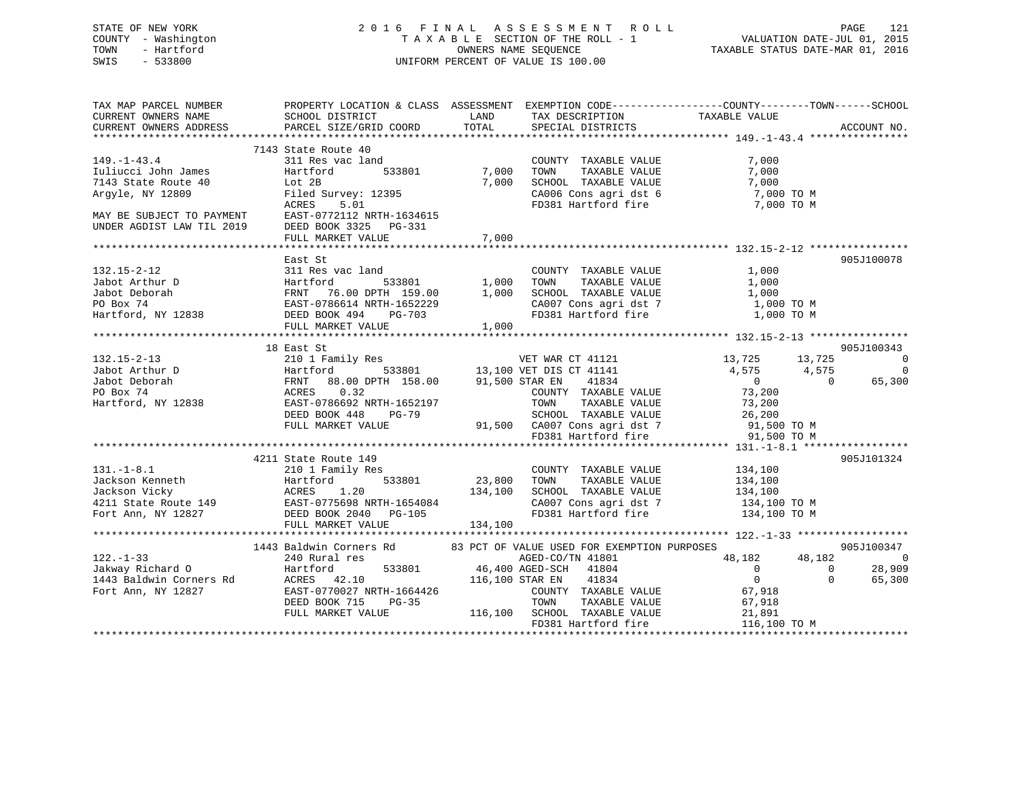## STATE OF NEW YORK 2 0 1 6 F I N A L A S S E S S M E N T R O L L PAGE 121 COUNTY - Washington T A X A B L E SECTION OF THE ROLL - 1 VALUATION DATE-JUL 01, 2015 TOWN - Hartford **TAXABLE STATUS DATE-MAR 01, 2016** OWNERS NAME SEQUENCE TAXABLE STATUS DATE-MAR 01, 2016 SWIS - 533800 UNIFORM PERCENT OF VALUE IS 100.00

| TAX MAP PARCEL NUMBER<br>CURRENT OWNERS NAME                                                                                                            | PROPERTY LOCATION & CLASS ASSESSMENT EXEMPTION CODE---------------COUNTY-------TOWN------SCHOOL<br>SCHOOL DISTRICT | LAND         | TAX DESCRIPTION                                                             | TAXABLE VALUE                                                          |                        |
|---------------------------------------------------------------------------------------------------------------------------------------------------------|--------------------------------------------------------------------------------------------------------------------|--------------|-----------------------------------------------------------------------------|------------------------------------------------------------------------|------------------------|
| CURRENT OWNERS ADDRESS                                                                                                                                  | PARCEL SIZE/GRID COORD                                                                                             | TOTAL        | SPECIAL DISTRICTS                                                           |                                                                        | ACCOUNT NO.            |
|                                                                                                                                                         |                                                                                                                    |              |                                                                             |                                                                        |                        |
|                                                                                                                                                         | 7143 State Route 40                                                                                                |              |                                                                             |                                                                        |                        |
| $149. - 1 - 43.4$                                                                                                                                       | 311 Res vac land                                                                                                   |              | COUNTY TAXABLE VALUE                                                        | 7,000                                                                  |                        |
| Iuliucci John James                                                                                                                                     | Hartford<br>533801                                                                                                 | 7,000        | TOWN<br>TAXABLE VALUE                                                       | 7,000                                                                  |                        |
| 7143 State Route 40                                                                                                                                     | Lot 2B                                                                                                             | 7,000        | SCHOOL TAXABLE VALUE                                                        | 7,000                                                                  |                        |
| Argyle, NY 12809                                                                                                                                        | Filed Survey: 12395                                                                                                |              | CA006 Cons agri dst 6                                                       | 7,000 TO M                                                             |                        |
|                                                                                                                                                         | ACRES<br>5.01                                                                                                      |              | FD381 Hartford fire                                                         | 7,000 TO M                                                             |                        |
|                                                                                                                                                         |                                                                                                                    |              |                                                                             |                                                                        |                        |
| MAY BE SUBJECT TO PAYMENT EAST-0772112 NRTH-1634615<br>UNDER AGDIST LAW TIL 2019 DEED BOOK 3325 PG-331                                                  |                                                                                                                    |              |                                                                             |                                                                        |                        |
|                                                                                                                                                         | FULL MARKET VALUE                                                                                                  | 7,000        |                                                                             |                                                                        |                        |
|                                                                                                                                                         |                                                                                                                    |              |                                                                             |                                                                        |                        |
|                                                                                                                                                         | East St                                                                                                            |              |                                                                             |                                                                        | 905J100078             |
| $132.15 - 2 - 12$                                                                                                                                       | 311 Res vac land                                                                                                   |              | COUNTY TAXABLE VALUE                                                        | 1,000                                                                  |                        |
|                                                                                                                                                         |                                                                                                                    | 533801 1,000 | TAXABLE VALUE<br>TOWN                                                       | 1,000                                                                  |                        |
|                                                                                                                                                         |                                                                                                                    | 1,000        | SCHOOL TAXABLE VALUE                                                        | 1,000                                                                  |                        |
|                                                                                                                                                         |                                                                                                                    |              |                                                                             | CA007 Cons agri dst 7 1,000 TO M                                       |                        |
| Jabot Arthur D<br>Jabot Deborah Martford 533801<br>PO Box 74 EAST-0786614 NRTH-1652229<br>Hartford, NY 12838 DEED BOOK 494 PG-703<br>PUILL MARKET VALUE |                                                                                                                    |              | FD381 Hartford fire                                                         | 1,000 TO M                                                             |                        |
|                                                                                                                                                         | FULL MARKET VALUE                                                                                                  | 1,000        |                                                                             |                                                                        |                        |
|                                                                                                                                                         |                                                                                                                    |              |                                                                             |                                                                        |                        |
|                                                                                                                                                         | 18 East St                                                                                                         |              |                                                                             |                                                                        | 905J100343             |
| $132.15 - 2 - 13$                                                                                                                                       |                                                                                                                    |              |                                                                             | 13,725<br>13,725                                                       | $\overline{0}$         |
| Jabot Arthur D                                                                                                                                          | 210 1 Family Res WET WAR CT 41121<br>Hartford 533801 13,100 VET DIS CT 41141                                       |              |                                                                             | 4,575<br>4,575                                                         | $\overline{0}$         |
| 210 1 1<br>Hartfo:<br>Hartfo:<br>RENT ACRES<br>Jabot Deborah                                                                                            | FRNT 88.00 DPTH 158.00 91,500 STAR EN                                                                              |              | 41834                                                                       | $\overline{0}$                                                         | $\bigcirc$<br>65,300   |
| PO Box 74                                                                                                                                               | 0.32                                                                                                               |              | COUNTY TAXABLE VALUE                                                        | 73,200                                                                 |                        |
| Hartford, NY 12838                                                                                                                                      | EAST-0786692 NRTH-1652197                                                                                          |              | TOWN<br>TAXABLE VALUE                                                       |                                                                        |                        |
|                                                                                                                                                         | DEED BOOK 448<br>PG-79                                                                                             |              | SCHOOL TAXABLE VALUE                                                        | 73,200<br>26,200                                                       |                        |
|                                                                                                                                                         | FULL MARKET VALUE                                                                                                  |              |                                                                             |                                                                        |                        |
|                                                                                                                                                         |                                                                                                                    |              | 91,500 CA007 Cons agri dst 7 91,500 TO M<br>FD381 Hartford fire 91,500 TO M |                                                                        |                        |
|                                                                                                                                                         |                                                                                                                    |              |                                                                             |                                                                        |                        |
|                                                                                                                                                         | 4211 State Route 149                                                                                               |              |                                                                             |                                                                        | 905J101324             |
| $131. - 1 - 8.1$                                                                                                                                        | 210 1 Family Res                                                                                                   |              | COUNTY TAXABLE VALUE                                                        | 134,100                                                                |                        |
|                                                                                                                                                         |                                                                                                                    | 23,800 TOWN  | TAXABLE VALUE                                                               | 134,100                                                                |                        |
|                                                                                                                                                         |                                                                                                                    |              | SCHOOL TAXABLE VALUE                                                        | 134,100                                                                |                        |
|                                                                                                                                                         |                                                                                                                    |              |                                                                             |                                                                        |                        |
|                                                                                                                                                         |                                                                                                                    |              |                                                                             | CA007 Cons agri dst 7 134,100 TO M<br>FD381 Hartford fire 134,100 TO M |                        |
|                                                                                                                                                         | FULL MARKET VALUE                                                                                                  | 134, 100     |                                                                             |                                                                        |                        |
|                                                                                                                                                         |                                                                                                                    |              |                                                                             |                                                                        |                        |
|                                                                                                                                                         | 1443 Baldwin Corners Rd 83 PCT OF VALUE USED FOR EXEMPTION PURPOSES                                                |              |                                                                             |                                                                        | 905J100347             |
| $122. - 1 - 33$                                                                                                                                         | 240 Rural res                                                                                                      |              | AGED-CO/TN 41801                                                            | 48,182<br>48,182                                                       | $\overline{0}$         |
| Jakway Richard O                                                                                                                                        | Hartford<br>Rd ACRES 42.10                                                                                         |              | 533801 46,400 AGED-SCH 41804                                                | $\overline{0}$                                                         | 28,909<br>$\mathbf{0}$ |
| 1443 Baldwin Corners Rd                                                                                                                                 |                                                                                                                    |              | 116,100 STAR EN 41834                                                       | $\overline{0}$                                                         | $\Omega$<br>65,300     |
| Fort Ann, NY 12827                                                                                                                                      | EAST-0770027 NRTH-1664426                                                                                          |              | COUNTY TAXABLE VALUE                                                        | 67,918                                                                 |                        |
|                                                                                                                                                         | DEED BOOK 715<br>PG-35                                                                                             |              | TOWN<br>TAXABLE VALUE                                                       | 67,918                                                                 |                        |
|                                                                                                                                                         | FULL MARKET VALUE                                                                                                  |              | 116,100 SCHOOL TAXABLE VALUE                                                | 21,891                                                                 |                        |
|                                                                                                                                                         |                                                                                                                    |              | FD381 Hartford fire                                                         | 116,100 TO M                                                           |                        |
|                                                                                                                                                         |                                                                                                                    |              |                                                                             |                                                                        |                        |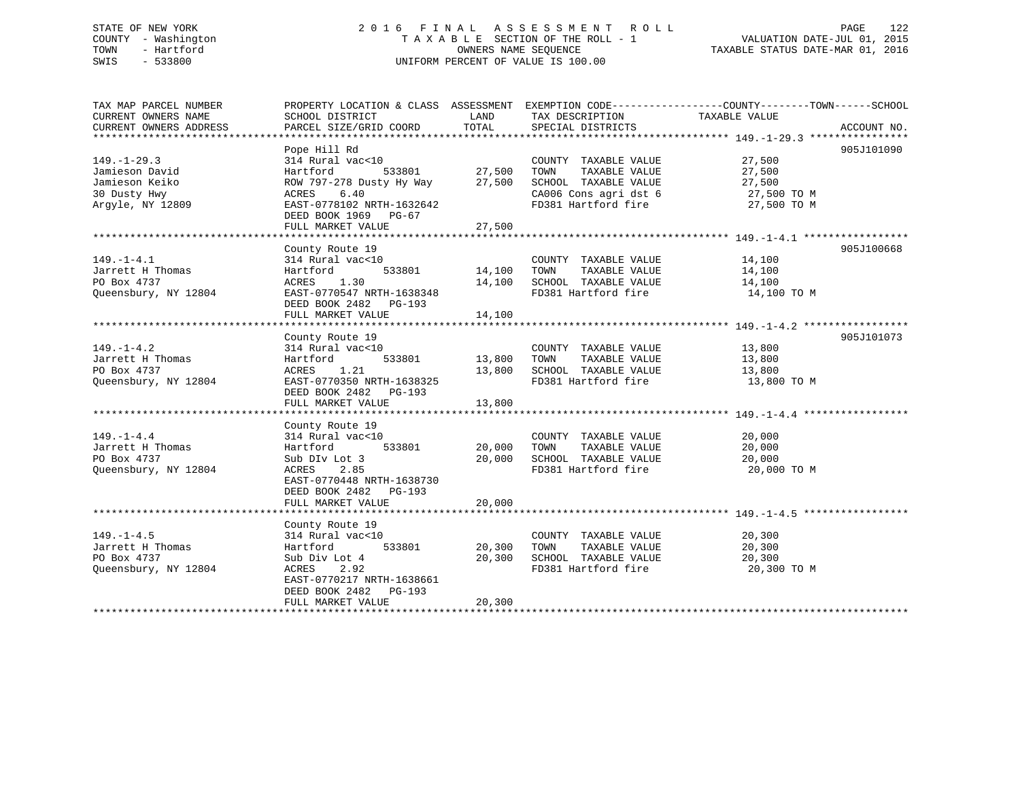## STATE OF NEW YORK 2 0 1 6 F I N A L A S S E S S M E N T R O L L PAGE 122 COUNTY - Washington T A X A B L E SECTION OF THE ROLL - 1 VALUATION DATE-JUL 01, 2015 TOWN - Hartford **TAXABLE STATUS DATE-MAR 01, 2016** OWNERS NAME SEQUENCE TAXABLE STATUS DATE-MAR 01, 2016 SWIS - 533800 UNIFORM PERCENT OF VALUE IS 100.00

| TAX MAP PARCEL NUMBER  | PROPERTY LOCATION & CLASS ASSESSMENT EXEMPTION CODE----------------COUNTY-------TOWN------SCHOOL |        |                                               |                              |             |
|------------------------|--------------------------------------------------------------------------------------------------|--------|-----------------------------------------------|------------------------------|-------------|
| CURRENT OWNERS NAME    | SCHOOL DISTRICT                                                                                  | LAND   | TAX DESCRIPTION                               | TAXABLE VALUE                |             |
| CURRENT OWNERS ADDRESS | PARCEL SIZE/GRID COORD                                                                           | TOTAL  | SPECIAL DISTRICTS                             |                              | ACCOUNT NO. |
|                        |                                                                                                  |        |                                               |                              |             |
|                        | Pope Hill Rd                                                                                     |        |                                               |                              | 905J101090  |
| $149. - 1 - 29.3$      | 314 Rural vac<10                                                                                 |        | COUNTY TAXABLE VALUE                          | 27,500                       |             |
| Jamieson David         | 533801<br>Hartford                                                                               | 27,500 | TOWN<br>TAXABLE VALUE                         | 27,500                       |             |
| Jamieson Keiko         | ROW 797-278 Dusty Hy Way 27,500                                                                  |        | SCHOOL TAXABLE VALUE                          |                              |             |
| 30 Dusty Hwy           | 6.40<br>ACRES                                                                                    |        | SCHOOL TAXABLE VALUE<br>CA006 Cons agri dst 6 | $27,500$ TO M<br>27,500 TO M |             |
| Arqyle, NY 12809       | EAST-0778102 NRTH-1632642                                                                        |        | FD381 Hartford fire 27,500 TO M               |                              |             |
|                        | DEED BOOK 1969 PG-67                                                                             |        |                                               |                              |             |
|                        | FULL MARKET VALUE                                                                                | 27,500 |                                               |                              |             |
|                        |                                                                                                  |        |                                               |                              |             |
|                        | County Route 19                                                                                  |        |                                               |                              | 905J100668  |
| $149. - 1 - 4.1$       | 314 Rural vac<10                                                                                 |        | COUNTY TAXABLE VALUE                          | 14,100                       |             |
| Jarrett H Thomas       | 533801<br>Hartford                                                                               | 14,100 | TAXABLE VALUE<br>TOWN                         | 14,100                       |             |
| PO Box 4737            | 1.30<br>ACRES                                                                                    | 14,100 | SCHOOL TAXABLE VALUE                          | 14,100                       |             |
| Queensbury, NY 12804   | EAST-0770547 NRTH-1638348                                                                        |        | FD381 Hartford fire                           | 14,100 TO M                  |             |
|                        | DEED BOOK 2482 PG-193                                                                            |        |                                               |                              |             |
|                        | FULL MARKET VALUE                                                                                | 14,100 |                                               |                              |             |
|                        |                                                                                                  |        |                                               |                              |             |
|                        | County Route 19                                                                                  |        |                                               |                              | 905J101073  |
| $149. - 1 - 4.2$       | 314 Rural vac<10                                                                                 |        | COUNTY TAXABLE VALUE                          | 13,800                       |             |
| Jarrett H Thomas       | 533801<br>Hartford                                                                               | 13,800 | TAXABLE VALUE<br>TOWN                         | 13,800                       |             |
| PO Box 4737            | ACRES<br>1.21                                                                                    | 13,800 | SCHOOL TAXABLE VALUE                          | 13,800                       |             |
| Queensbury, NY 12804   | EAST-0770350 NRTH-1638325                                                                        |        | FD381 Hartford fire                           | $13,800$ TO M                |             |
|                        | DEED BOOK 2482<br>PG-193                                                                         |        |                                               |                              |             |
|                        | FULL MARKET VALUE                                                                                | 13,800 |                                               |                              |             |
|                        |                                                                                                  |        |                                               |                              |             |
|                        | County Route 19                                                                                  |        |                                               |                              |             |
| $149. - 1 - 4.4$       |                                                                                                  |        |                                               |                              |             |
| Jarrett H Thomas       | 314 Rural vac<10<br>533801<br>Hartford                                                           | 20,000 | COUNTY TAXABLE VALUE<br>TOWN<br>TAXABLE VALUE | 20,000<br>20,000             |             |
| PO Box 4737            |                                                                                                  | 20,000 | SCHOOL TAXABLE VALUE                          | 20,000                       |             |
|                        | Sub DIv Lot 3                                                                                    |        | FD381 Hartford fire                           |                              |             |
| Queensbury, NY 12804   | 2.85<br>ACRES<br>EAST-0770448 NRTH-1638730                                                       |        |                                               | 20,000 TO M                  |             |
|                        |                                                                                                  |        |                                               |                              |             |
|                        | DEED BOOK 2482 PG-193                                                                            |        |                                               |                              |             |
|                        | FULL MARKET VALUE                                                                                | 20,000 |                                               |                              |             |
|                        |                                                                                                  |        |                                               |                              |             |
|                        | County Route 19                                                                                  |        |                                               |                              |             |
| $149. - 1 - 4.5$       | 314 Rural vac<10                                                                                 |        | COUNTY TAXABLE VALUE                          | 20,300                       |             |
| Jarrett H Thomas       | 533801<br>Hartford                                                                               | 20,300 | TAXABLE VALUE<br>TOWN                         | 20,300                       |             |
| PO Box 4737            | Sub Div Lot 4                                                                                    | 20,300 | SCHOOL TAXABLE VALUE                          | 20,300                       |             |
| Queensbury, NY 12804   | 2.92<br>ACRES                                                                                    |        | FD381 Hartford fire                           | 20,300 TO M                  |             |
|                        | EAST-0770217 NRTH-1638661                                                                        |        |                                               |                              |             |
|                        | DEED BOOK 2482 PG-193                                                                            |        |                                               |                              |             |
|                        | FULL MARKET VALUE                                                                                | 20,300 |                                               |                              |             |
|                        |                                                                                                  |        |                                               |                              |             |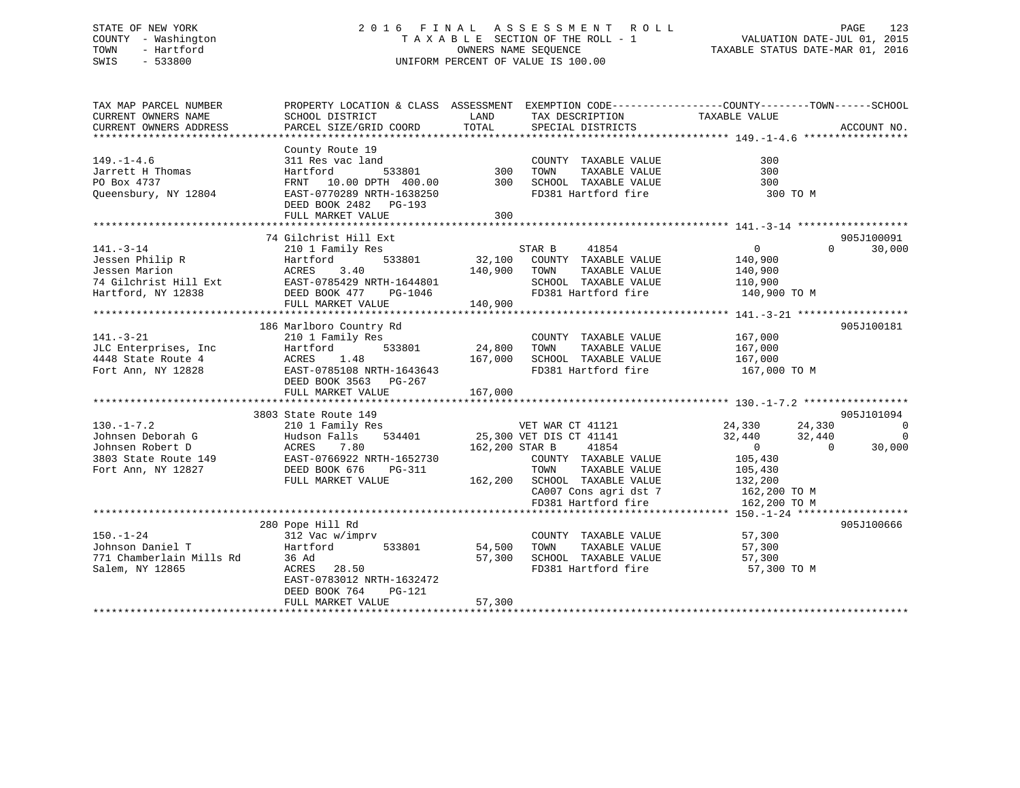## STATE OF NEW YORK 2 0 1 6 F I N A L A S S E S S M E N T R O L L PAGE 123 COUNTY - Washington T A X A B L E SECTION OF THE ROLL - 1 VALUATION DATE-JUL 01, 2015 TOWN - Hartford **TAXABLE STATUS DATE-MAR 01, 2016** OWNERS NAME SEQUENCE TAXABLE STATUS DATE-MAR 01, 2016 SWIS - 533800 UNIFORM PERCENT OF VALUE IS 100.00

| TAX MAP PARCEL NUMBER<br>CURRENT OWNERS NAME<br>CURRENT OWNERS ADDRESS                                  | SCHOOL DISTRICT<br>PARCEL SIZE/GRID COORD                                                                                                                      | LAND<br>TOTAL                | TAX DESCRIPTION<br>SPECIAL DISTRICTS                                                                                                                                    | PROPERTY LOCATION & CLASS ASSESSMENT EXEMPTION CODE----------------COUNTY-------TOWN------SCHOOL<br>TAXABLE VALUE   | ACCOUNT NO.                                    |
|---------------------------------------------------------------------------------------------------------|----------------------------------------------------------------------------------------------------------------------------------------------------------------|------------------------------|-------------------------------------------------------------------------------------------------------------------------------------------------------------------------|---------------------------------------------------------------------------------------------------------------------|------------------------------------------------|
|                                                                                                         |                                                                                                                                                                |                              |                                                                                                                                                                         |                                                                                                                     |                                                |
| $149. - 1 - 4.6$<br>Jarrett H Thomas<br>PO Box 4737<br>Queensbury, NY 12804                             | County Route 19<br>311 Res vac land<br>533801<br>Hartford<br>FRNT 10.00 DPTH 400.00<br>EAST-0770289 NRTH-1638250<br>DEED BOOK 2482 PG-193                      | $\frac{1}{300}$<br>300       | COUNTY TAXABLE VALUE<br>TAXABLE VALUE<br>TOWN<br>SCHOOL TAXABLE VALUE<br>FD381 Hartford fire                                                                            | 300<br>300<br>300<br>300 TO M                                                                                       |                                                |
|                                                                                                         | FULL MARKET VALUE                                                                                                                                              | 300                          |                                                                                                                                                                         |                                                                                                                     |                                                |
|                                                                                                         |                                                                                                                                                                |                              |                                                                                                                                                                         |                                                                                                                     |                                                |
| $141. - 3 - 14$<br>Jessen Philip R<br>Jessen Marion<br>74 Gilchrist Hill Ext<br>Hartford, NY 12838      | 74 Gilchrist Hill Ext<br>210 1 Family Res<br>533801<br>Hartford<br>ACRES<br>3.40<br>EAST-0785429 NRTH-1644801<br>DEED BOOK 477<br>PG-1046<br>FULL MARKET VALUE | 32,100<br>140,900<br>140,900 | STAR B<br>41854<br>COUNTY TAXABLE VALUE<br>TOWN<br>TAXABLE VALUE<br>SCHOOL TAXABLE VALUE<br>FD381 Hartford fire 140,900 TO M                                            | $\overline{0}$<br>$\Omega$<br>140,900<br>140,900<br>110,900                                                         | 905J100091<br>30,000                           |
|                                                                                                         |                                                                                                                                                                |                              |                                                                                                                                                                         |                                                                                                                     |                                                |
| $141. - 3 - 21$<br>JLC Enterprises, Inc<br>4448 State Route 4<br>Fort Ann, NY 12828                     | 186 Marlboro Country Rd<br>210 1 Family Res<br>533801<br>Hartford<br>1.48<br>ACRES<br>EAST-0785108 NRTH-1643643                                                | 24,800<br>167,000            | COUNTY TAXABLE VALUE<br>TOWN<br>TAXABLE VALUE<br>SCHOOL TAXABLE VALUE<br>FD381 Hartford fire                                                                            | 167,000<br>167,000<br>167,000<br>167,000 TO M                                                                       | 905J100181                                     |
|                                                                                                         | DEED BOOK 3563 PG-267<br>FULL MARKET VALUE                                                                                                                     | 167,000                      |                                                                                                                                                                         |                                                                                                                     |                                                |
|                                                                                                         | 3803 State Route 149                                                                                                                                           |                              |                                                                                                                                                                         |                                                                                                                     | 905J101094                                     |
| $130. - 1 - 7.2$<br>Johnsen Deborah G<br>Johnsen Robert D<br>3803 State Route 149<br>Fort Ann, NY 12827 | 210 1 Family Res<br>Hudson Falls<br>7.80<br>ACRES<br>EAST-0766922 NRTH-1652730<br>DEED BOOK 676<br>PG-311<br>FULL MARKET VALUE                                 | 162,200 STAR B               | ver war cr 41121<br>534401 - 25,300 ver DIS CT 41141<br>41854<br>COUNTY TAXABLE VALUE<br>TAXABLE VALUE<br>TOWN<br>162,200 SCHOOL TAXABLE VALUE<br>CA007 Cons agri dst 7 | 24,330<br>24,330<br>32,440<br>32,440<br>$\overline{0}$<br>$\Omega$<br>105,430<br>105,430<br>132,200<br>162,200 TO M | $\overline{\phantom{0}}$<br>$\Omega$<br>30,000 |
|                                                                                                         |                                                                                                                                                                |                              | FD381 Hartford fire                                                                                                                                                     | 162,200 TO M                                                                                                        |                                                |
| $150. - 1 - 24$<br>Johnson Daniel T<br>771 Chamberlain Mills Rd<br>Salem, NY 12865                      | 280 Pope Hill Rd<br>312 Vac w/imprv<br>533801<br>Hartford<br>36 Ad<br>ACRES 28.50<br>EAST-0783012 NRTH-1632472<br>DEED BOOK 764<br>PG-121<br>FULL MARKET VALUE | 54,500<br>57,300<br>57,300   | COUNTY TAXABLE VALUE<br>TAXABLE VALUE<br>TOWN<br>SCHOOL TAXABLE VALUE<br>FD381 Hartford fire                                                                            | 57,300<br>57,300<br>57,300<br>57,300 TO M                                                                           | 905J100666                                     |
|                                                                                                         |                                                                                                                                                                |                              |                                                                                                                                                                         |                                                                                                                     |                                                |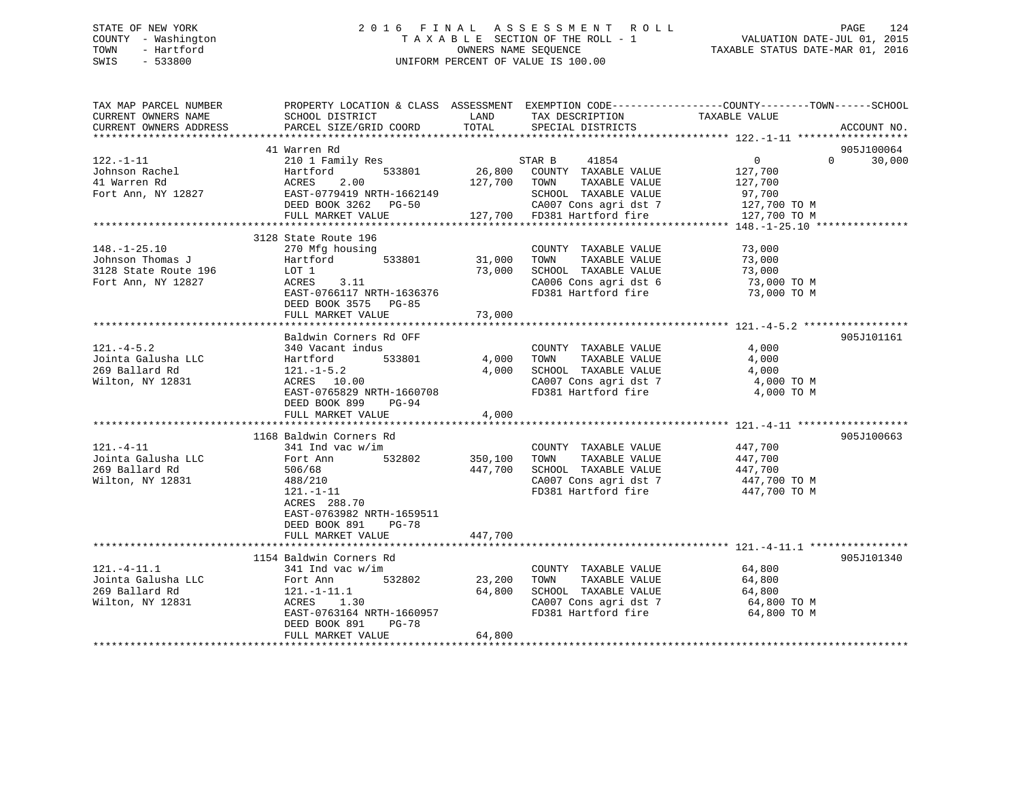## STATE OF NEW YORK 2 0 1 6 F I N A L A S S E S S M E N T R O L L PAGE 124 COUNTY - Washington T A X A B L E SECTION OF THE ROLL - 1 VALUATION DATE-JUL 01, 2015 TOWN - Hartford **TAXABLE STATUS DATE-MAR 01, 2016** OWNERS NAME SEQUENCE TAXABLE STATUS DATE-MAR 01, 2016 SWIS - 533800 UNIFORM PERCENT OF VALUE IS 100.00

| TAX MAP PARCEL NUMBER<br>CURRENT OWNERS NAME<br>CURRENT OWNERS ADDRESS               | PROPERTY LOCATION & CLASS ASSESSMENT EXEMPTION CODE---------------COUNTY-------TOWN------SCHOOL<br>SCHOOL DISTRICT<br>PARCEL SIZE/GRID COORD              | LAND<br>TOTAL           | TAX DESCRIPTION<br>SPECIAL DISTRICTS                                                                                  | TAXABLE VALUE                                                 | ACCOUNT NO.                      |
|--------------------------------------------------------------------------------------|-----------------------------------------------------------------------------------------------------------------------------------------------------------|-------------------------|-----------------------------------------------------------------------------------------------------------------------|---------------------------------------------------------------|----------------------------------|
|                                                                                      |                                                                                                                                                           |                         |                                                                                                                       |                                                               |                                  |
| $122. - 1 - 11$                                                                      | 41 Warren Rd<br>210 1 Family Res                                                                                                                          |                         | STAR B<br>41854                                                                                                       | $\overline{0}$                                                | 905J100064<br>$\Omega$<br>30,000 |
| Johnson Rachel<br>41 Warren Rd                                                       | 533801<br>Hartford<br>2.00<br>ACRES                                                                                                                       | 26,800<br>127,700       | COUNTY TAXABLE VALUE<br>TOWN<br>TAXABLE VALUE                                                                         | 127,700<br>127,700                                            |                                  |
| Fort Ann, NY 12827                                                                   | EAST-0779419 NRTH-1662149<br>DEED BOOK 3262 PG-50                                                                                                         |                         | SCHOOL TAXABLE VALUE<br>CA007 Cons agri dst 7                                                                         | 97,700<br>127,700 TO M                                        |                                  |
|                                                                                      | FULL MARKET VALUE                                                                                                                                         |                         | 127,700 FD381 Hartford fire                                                                                           | 127,700 TO M                                                  |                                  |
|                                                                                      | 3128 State Route 196                                                                                                                                      |                         |                                                                                                                       |                                                               |                                  |
| $148. - 1 - 25.10$<br>Johnson Thomas J<br>3128 State Route 196<br>Fort Ann, NY 12827 | 270 Mfg housing<br>533801<br>Hartford<br>LOT 1<br>3.11<br>ACRES<br>EAST-0766117 NRTH-1636376                                                              | 31,000<br>73,000        | COUNTY TAXABLE VALUE<br>TOWN<br>TAXABLE VALUE<br>SCHOOL TAXABLE VALUE<br>CA006 Cons agri dst 6<br>FD381 Hartford fire | 73,000<br>73,000<br>73,000<br>73,000 TO M<br>73,000 TO M      |                                  |
|                                                                                      | DEED BOOK 3575 PG-85<br>FULL MARKET VALUE                                                                                                                 | 73,000                  |                                                                                                                       |                                                               |                                  |
|                                                                                      |                                                                                                                                                           |                         |                                                                                                                       |                                                               |                                  |
|                                                                                      | Baldwin Corners Rd OFF                                                                                                                                    |                         |                                                                                                                       |                                                               | 905J101161                       |
| $121. -4 - 5.2$<br>Jointa Galusha LLC<br>269 Ballard Rd<br>Wilton, NY 12831          | 340 Vacant indus<br>533801<br>Hartford<br>$121. - 1 - 5.2$<br>ACRES 10.00<br>EAST-0765829 NRTH-1660708<br>DEED BOOK 899<br>PG-94                          | 4,000<br>4,000          | COUNTY TAXABLE VALUE<br>TOWN<br>TAXABLE VALUE<br>SCHOOL TAXABLE VALUE<br>CA007 Cons agri dst 7<br>FD381 Hartford fire | 4,000<br>4,000<br>4,000<br>4,000 TO M<br>4,000 TO M           |                                  |
|                                                                                      | FULL MARKET VALUE                                                                                                                                         | 4,000                   |                                                                                                                       |                                                               |                                  |
|                                                                                      | 1168 Baldwin Corners Rd                                                                                                                                   |                         |                                                                                                                       |                                                               | 905J100663                       |
| $121. - 4 - 11$<br>Jointa Galusha LLC<br>269 Ballard Rd<br>Wilton, NY 12831          | $341$ Ind vac w/im<br>532802<br>Fort Ann<br>506/68<br>488/210<br>$121. - 1 - 11$<br>ACRES 288.70<br>EAST-0763982 NRTH-1659511<br>DEED BOOK 891<br>$PG-78$ | 350,100<br>447,700      | COUNTY TAXABLE VALUE<br>TOWN<br>TAXABLE VALUE<br>SCHOOL TAXABLE VALUE<br>CA007 Cons agri dst 7<br>FD381 Hartford fire | 447,700<br>447,700<br>447,700<br>447,700 TO M<br>447,700 TO M |                                  |
|                                                                                      | FULL MARKET VALUE<br>***************************                                                                                                          | 447,700<br>************ |                                                                                                                       |                                                               |                                  |
|                                                                                      | 1154 Baldwin Corners Rd                                                                                                                                   |                         |                                                                                                                       |                                                               | 905J101340                       |
| $121. - 4 - 11.1$<br>Jointa Galusha LLC<br>269 Ballard Rd<br>Wilton, NY 12831        | $341$ Ind vac w/im<br>532802<br>Fort Ann<br>$121. - 1 - 11.1$<br>ACRES<br>1.30<br>EAST-0763164 NRTH-1660957                                               | 23,200<br>64,800        | COUNTY TAXABLE VALUE<br>TAXABLE VALUE<br>TOWN<br>SCHOOL TAXABLE VALUE<br>CA007 Cons agri dst 7<br>FD381 Hartford fire | 64,800<br>64,800<br>64,800<br>64,800 TO M<br>64,800 TO M      |                                  |
|                                                                                      | DEED BOOK 891<br><b>PG-78</b><br>FULL MARKET VALUE                                                                                                        | 64,800                  |                                                                                                                       |                                                               |                                  |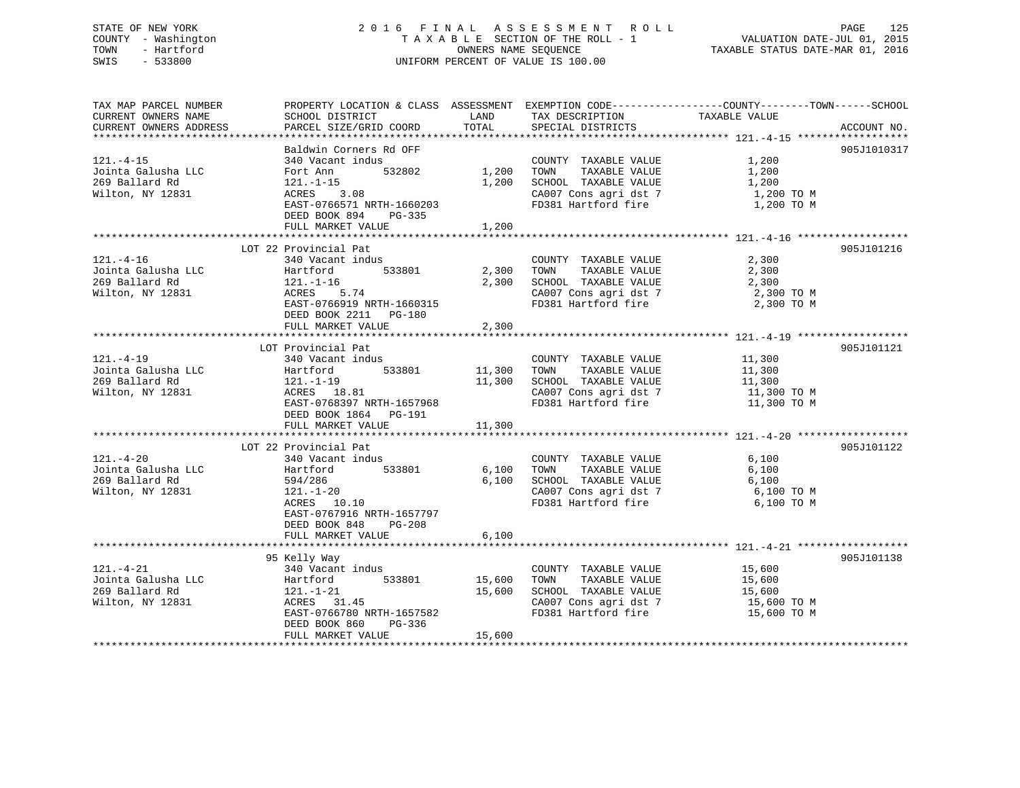## STATE OF NEW YORK 2 0 1 6 F I N A L A S S E S S M E N T R O L L PAGE 125 COUNTY - Washington T A X A B L E SECTION OF THE ROLL - 1 VALUATION DATE-JUL 01, 2015 TOWN - Hartford OWNERS NAME SEQUENCE TAXABLE STATUS DATE-MAR 01, 2016 SWIS - 533800 UNIFORM PERCENT OF VALUE IS 100.00

| TAX MAP PARCEL NUMBER<br>CURRENT OWNERS NAME<br>CURRENT OWNERS ADDRESS      | PROPERTY LOCATION & CLASS ASSESSMENT<br>SCHOOL DISTRICT<br>PARCEL SIZE/GRID COORD                                                                                                           | LAND<br>TOTAL              | EXEMPTION CODE-----------------COUNTY-------TOWN------SCHOOL<br>TAX DESCRIPTION<br>SPECIAL DISTRICTS                  | TAXABLE VALUE                                            | ACCOUNT NO. |
|-----------------------------------------------------------------------------|---------------------------------------------------------------------------------------------------------------------------------------------------------------------------------------------|----------------------------|-----------------------------------------------------------------------------------------------------------------------|----------------------------------------------------------|-------------|
| $121. - 4 - 15$<br>Jointa Galusha LLC<br>269 Ballard Rd<br>Wilton, NY 12831 | Baldwin Corners Rd OFF<br>340 Vacant indus<br>532802<br>Fort Ann<br>121.-1-15<br>ACRES 3.08<br>EAST-0766571 NRTH-1660203<br>DEED BOOK 894<br>PG-335<br>FULL MARKET VALUE                    | 1,200<br>1,200<br>1,200    | COUNTY TAXABLE VALUE<br>TOWN<br>TAXABLE VALUE<br>SCHOOL TAXABLE VALUE<br>CA007 Cons agri dst 7<br>FD381 Hartford fire | 1,200<br>1,200<br>1,200<br>1,200 TO M<br>1,200 TO M      | 905J1010317 |
| $121. - 4 - 16$<br>Jointa Galusha LLC<br>269 Ballard Rd<br>Wilton, NY 12831 | LOT 22 Provincial Pat<br>340 Vacant indus<br>533801<br>Hartford<br>$121. - 1 - 16$<br>ACRES 5.74<br>EAST-0766919 NRTH-1660315<br>DEED BOOK 2211 PG-180<br>FULL MARKET VALUE                 | 2,300<br>2,300<br>2,300    | COUNTY TAXABLE VALUE<br>TOWN<br>TAXABLE VALUE<br>SCHOOL TAXABLE VALUE<br>CA007 Cons agri dst 7<br>FD381 Hartford fire | 2,300<br>2,300<br>2,300<br>2,300 TO M<br>2,300 TO M      | 905J101216  |
| $121. - 4 - 19$<br>Jointa Galusha LLC<br>269 Ballard Rd<br>Wilton, NY 12831 | LOT Provincial Pat<br>340 Vacant indus<br>533801<br>Hartford<br>121.-1-19<br>ACRES 18.81<br>EAST-0768397 NRTH-1657968<br>DEED BOOK 1864 PG-191<br>FULL MARKET VALUE                         | 11,300<br>11,300<br>11,300 | COUNTY TAXABLE VALUE<br>TAXABLE VALUE<br>TOWN<br>SCHOOL TAXABLE VALUE<br>CA007 Cons agri dst 7<br>FD381 Hartford fire | 11,300<br>11,300<br>11,300<br>11,300 TO M<br>11,300 TO M | 905J101121  |
| $121. - 4 - 20$<br>Jointa Galusha LLC<br>269 Ballard Rd<br>Wilton, NY 12831 | LOT 22 Provincial Pat<br>340 Vacant indus<br>Hartford<br>533801<br>594/286<br>$121. - 1 - 20$<br>ACRES 10.10<br>EAST-0767916 NRTH-1657797<br>DEED BOOK 848<br>$PG-208$<br>FULL MARKET VALUE | 6,100<br>6,100<br>6,100    | COUNTY TAXABLE VALUE<br>TAXABLE VALUE<br>TOWN<br>SCHOOL TAXABLE VALUE<br>CA007 Cons agri dst 7<br>FD381 Hartford fire | 6,100<br>6,100<br>6,100<br>6,100 TO M<br>6,100 TO M      | 905J101122  |
| $121. - 4 - 21$<br>Jointa Galusha LLC<br>269 Ballard Rd<br>Wilton, NY 12831 | 95 Kelly Way<br>340 Vacant indus<br>533801<br>Hartford<br>$121. - 1 - 21$<br>ACRES 31.45<br>EAST-0766780 NRTH-1657582<br>DEED BOOK 860<br>PG-336<br>FULL MARKET VALUE                       | 15,600<br>15,600<br>15,600 | COUNTY TAXABLE VALUE<br>TAXABLE VALUE<br>TOWN<br>SCHOOL TAXABLE VALUE<br>CA007 Cons agri dst 7<br>FD381 Hartford fire | 15,600<br>15,600<br>15,600<br>15,600 TO M<br>15,600 TO M | 905J101138  |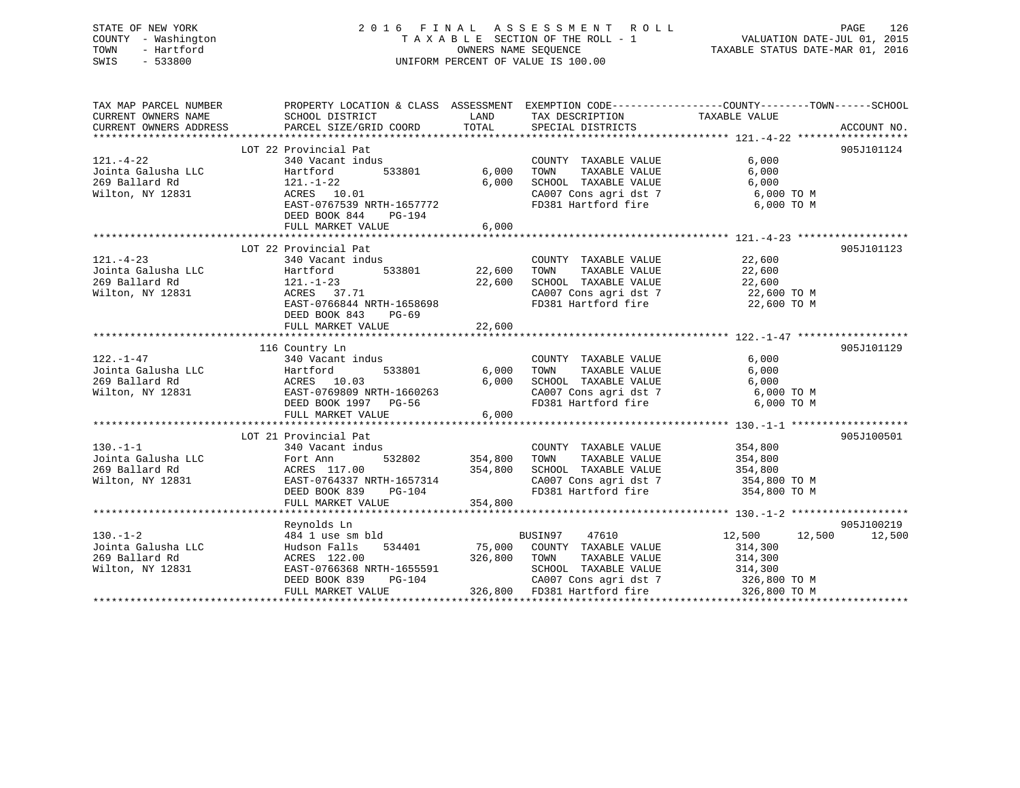# STATE OF NEW YORK 2016 FINAL ASSESSMENT ROLL PAGE 126 COUNTY - Washington  $T A X A B L E$  SECTION OF THE ROLL - 1<br>TOWN - Hartford SWIS - 533800 UNIFORM PERCENT OF VALUE IS 100.00

TAXABLE STATUS DATE-MAR 01, 2016

| TAX MAP PARCEL NUMBER                                                                   | PROPERTY LOCATION & CLASS ASSESSMENT EXEMPTION CODE---------------COUNTY-------TOWN-----SCHOOL                                                                                                                                                           |                                                                                                                      |                                                                                                                                                                                                      |                   |            |
|-----------------------------------------------------------------------------------------|----------------------------------------------------------------------------------------------------------------------------------------------------------------------------------------------------------------------------------------------------------|----------------------------------------------------------------------------------------------------------------------|------------------------------------------------------------------------------------------------------------------------------------------------------------------------------------------------------|-------------------|------------|
| CURRENT OWNERS NAME                                                                     | SCHOOL DISTRICT                                                                                                                                                                                                                                          | <b>EXAMPLE EXAMPLE THE EXAMPLE EXAMPLE EXAMPLE EXAMPLE EXAMPLE EXAMPLE EXAMPLE EXAMPLE EXAMPLE EXAMPLE EXAMPLE E</b> | TAX DESCRIPTION                                                                                                                                                                                      | TAXABLE VALUE     |            |
| CURRENT OWNERS ADDRESS                                                                  |                                                                                                                                                                                                                                                          |                                                                                                                      |                                                                                                                                                                                                      |                   |            |
|                                                                                         |                                                                                                                                                                                                                                                          |                                                                                                                      |                                                                                                                                                                                                      |                   |            |
|                                                                                         | LOT 22 Provincial Pat                                                                                                                                                                                                                                    |                                                                                                                      |                                                                                                                                                                                                      |                   | 905J101124 |
| 121.-4-22<br>Jointa Galusha LLC<br>269 Ballard Rd<br>121.-1-22<br>ACRES 10<br>RAST-0767 | 340 Vacant indus                                                                                                                                                                                                                                         |                                                                                                                      | COUNTY TAXABLE VALUE                                                                                                                                                                                 | 6,000             |            |
|                                                                                         | Hartford 533801 6,000                                                                                                                                                                                                                                    |                                                                                                                      | TAXABLE VALUE<br>TOWN                                                                                                                                                                                | 6,000             |            |
|                                                                                         |                                                                                                                                                                                                                                                          | 6,000                                                                                                                | SCHOOL TAXABLE VALUE                                                                                                                                                                                 | 6,000             |            |
|                                                                                         | 121.-1-22<br>ACRES 10.01                                                                                                                                                                                                                                 |                                                                                                                      | CA007 Cons agri dst 7 6,000 TO M<br>FD381 Hartford fire 6.000 TO M                                                                                                                                   |                   |            |
|                                                                                         | EAST-0767539 NRTH-1657772                                                                                                                                                                                                                                |                                                                                                                      | FD381 Hartford fire                                                                                                                                                                                  | 6,000 TO M        |            |
|                                                                                         | DEED BOOK 844<br>PG-194                                                                                                                                                                                                                                  |                                                                                                                      |                                                                                                                                                                                                      |                   |            |
|                                                                                         | FULL MARKET VALUE                                                                                                                                                                                                                                        | 6,000                                                                                                                |                                                                                                                                                                                                      |                   |            |
|                                                                                         |                                                                                                                                                                                                                                                          |                                                                                                                      |                                                                                                                                                                                                      |                   |            |
|                                                                                         | LOT 22 Provincial Pat                                                                                                                                                                                                                                    |                                                                                                                      |                                                                                                                                                                                                      |                   | 905J101123 |
| $121. - 4 - 23$                                                                         | 340 Vacant indus                                                                                                                                                                                                                                         |                                                                                                                      | $\begin{tabular}{lllllllll} \multicolumn{2}{c}{\textbf{COUNTY}} & \textbf{TAXABLE VALUE} & & & & 22,600 \\ \multicolumn{2}{c}{\textbf{TOWN}} & \textbf{TAXABLE VALUE} & & & 22,600 \\ \end{tabular}$ | 22,600            |            |
|                                                                                         |                                                                                                                                                                                                                                                          |                                                                                                                      |                                                                                                                                                                                                      |                   |            |
|                                                                                         |                                                                                                                                                                                                                                                          |                                                                                                                      |                                                                                                                                                                                                      |                   |            |
|                                                                                         |                                                                                                                                                                                                                                                          |                                                                                                                      | SCHOOL TAXABLE VALUE 22,600<br>CA007 Cons agri dst 7 22,600 TO M                                                                                                                                     |                   |            |
|                                                                                         | EAST-0766844 NRTH-1658698                                                                                                                                                                                                                                |                                                                                                                      | FD381 Hartford fire 22,600 TO M                                                                                                                                                                      |                   |            |
|                                                                                         | DEED BOOK 843 PG-69                                                                                                                                                                                                                                      |                                                                                                                      |                                                                                                                                                                                                      |                   |            |
|                                                                                         | FULL MARKET VALUE                                                                                                                                                                                                                                        | 22,600                                                                                                               |                                                                                                                                                                                                      |                   |            |
|                                                                                         |                                                                                                                                                                                                                                                          |                                                                                                                      |                                                                                                                                                                                                      |                   |            |
|                                                                                         | 116 Country Ln<br>122.-1-47 116 Country Ln<br>340 Vacant indus<br>340 Vacant indus<br>340 Vacant indus<br>533801 6,000<br>269 Ballard Rd<br>269 Ballard Rd<br>269 Ballard Rd<br>269 Ballard Rd<br>269 Ballard Rd<br>269 Ballard Rd<br>269 Ballard Rd<br> |                                                                                                                      |                                                                                                                                                                                                      |                   | 905J101129 |
|                                                                                         |                                                                                                                                                                                                                                                          |                                                                                                                      | COUNTY TAXABLE VALUE 6,000                                                                                                                                                                           |                   |            |
|                                                                                         |                                                                                                                                                                                                                                                          |                                                                                                                      |                                                                                                                                                                                                      |                   |            |
|                                                                                         |                                                                                                                                                                                                                                                          |                                                                                                                      |                                                                                                                                                                                                      |                   |            |
|                                                                                         |                                                                                                                                                                                                                                                          |                                                                                                                      | CA007 Cons agri dst 7 6,000 TO M                                                                                                                                                                     |                   |            |
|                                                                                         |                                                                                                                                                                                                                                                          |                                                                                                                      |                                                                                                                                                                                                      |                   |            |
|                                                                                         |                                                                                                                                                                                                                                                          |                                                                                                                      | FD381 Hartford fire 6,000 TO M                                                                                                                                                                       |                   |            |
|                                                                                         |                                                                                                                                                                                                                                                          |                                                                                                                      |                                                                                                                                                                                                      |                   |            |
|                                                                                         | LOT 21 Provincial Pat                                                                                                                                                                                                                                    |                                                                                                                      |                                                                                                                                                                                                      |                   | 905J100501 |
|                                                                                         |                                                                                                                                                                                                                                                          |                                                                                                                      | COUNTY TAXABLE VALUE 354,800                                                                                                                                                                         |                   |            |
| $130 - 1 - 1$                                                                           | 340 Vacant indus                                                                                                                                                                                                                                         |                                                                                                                      |                                                                                                                                                                                                      |                   |            |
|                                                                                         |                                                                                                                                                                                                                                                          |                                                                                                                      |                                                                                                                                                                                                      |                   |            |
|                                                                                         |                                                                                                                                                                                                                                                          |                                                                                                                      |                                                                                                                                                                                                      |                   |            |
|                                                                                         | 130.-1-1<br>Jointa Galusha LLC Fort Ann 532802 354,800<br>269 Ballard Rd ACRES 117.00 354,800<br>Wilton, NY 12831 BAST-0764337 NRTH-1657314<br>DEED BOOK 839 PG-104<br>The CHERE BOOK 839 PG-104<br>The CHERE SOCK RD 254.800                            |                                                                                                                      | CA007 Cons agri dst 7 354,800 TO M                                                                                                                                                                   |                   |            |
|                                                                                         |                                                                                                                                                                                                                                                          |                                                                                                                      | FD381 Hartford fire                                                                                                                                                                                  | 354,800 TO M      |            |
|                                                                                         | FULL MARKET VALUE                                                                                                                                                                                                                                        | 354,800                                                                                                              |                                                                                                                                                                                                      |                   |            |
|                                                                                         |                                                                                                                                                                                                                                                          |                                                                                                                      |                                                                                                                                                                                                      |                   |            |
|                                                                                         | Reynolds Ln                                                                                                                                                                                                                                              |                                                                                                                      |                                                                                                                                                                                                      |                   | 905J100219 |
| $130. - 1 - 2$                                                                          | 484 1 use sm bld                                                                                                                                                                                                                                         |                                                                                                                      | BUSIN97 47610                                                                                                                                                                                        | $12,500$ $12,500$ | 12,500     |
|                                                                                         |                                                                                                                                                                                                                                                          |                                                                                                                      |                                                                                                                                                                                                      |                   |            |
|                                                                                         |                                                                                                                                                                                                                                                          |                                                                                                                      |                                                                                                                                                                                                      |                   |            |
| Wilton, NY 12831                                                                        | $\begin{array}{cccc} & & & & & 326,800 & \text{TOMN} \ \text{RTH-1655591} & & & & & \text{SCHOOL} \ \text{PG-104} & & & & & \text{CAO07} \end{array}$<br>EAST-0766368 NRTH-1655591                                                                       |                                                                                                                      | SCHOOL TAXABLE VALUE 314,300                                                                                                                                                                         |                   |            |
|                                                                                         | DEED BOOK 839                                                                                                                                                                                                                                            |                                                                                                                      |                                                                                                                                                                                                      |                   |            |
|                                                                                         | FULL MARKET VALUE                                                                                                                                                                                                                                        |                                                                                                                      | 04 CA007 Cons agri dst 7 326,800 TO M<br>326,800 FD381 Hartford fire 326,800 TO M                                                                                                                    |                   |            |
|                                                                                         |                                                                                                                                                                                                                                                          |                                                                                                                      |                                                                                                                                                                                                      |                   |            |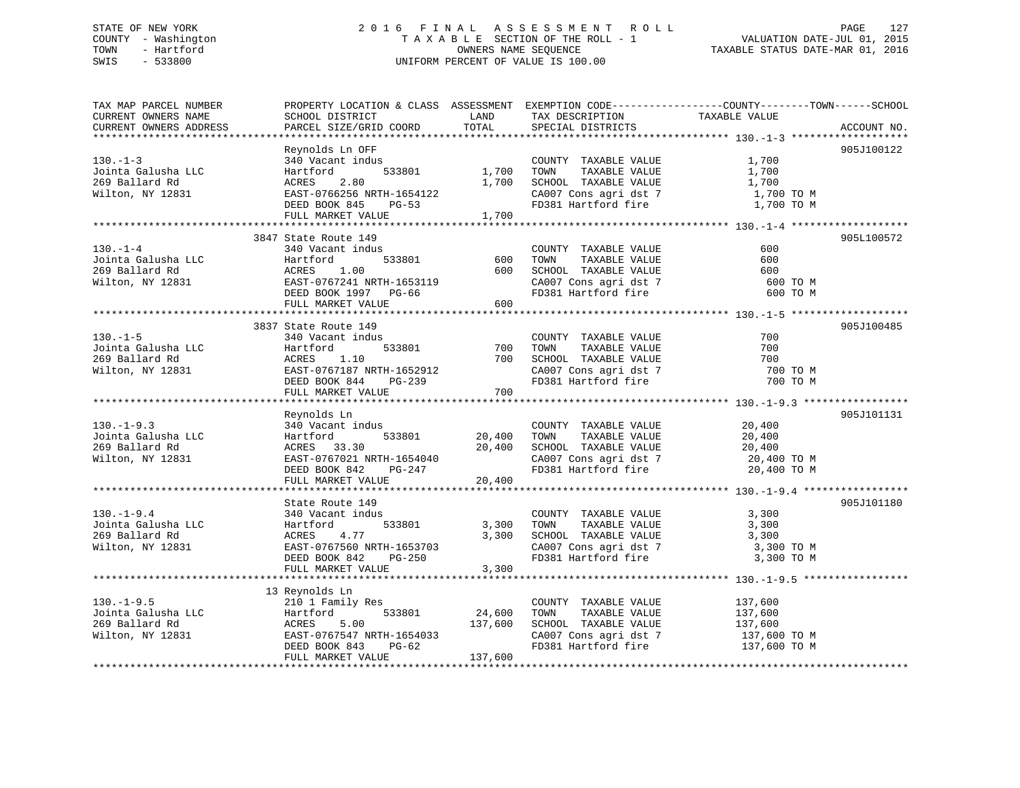## STATE OF NEW YORK 2 0 1 6 F I N A L A S S E S S M E N T R O L L PAGE 127 COUNTY - Washington T A X A B L E SECTION OF THE ROLL - 1 VALUATION DATE-JUL 01, 2015 TOWN - Hartford **TAXABLE STATUS DATE-MAR 01, 2016** OWNERS NAME SEQUENCE TAXABLE STATUS DATE-MAR 01, 2016 SWIS - 533800 UNIFORM PERCENT OF VALUE IS 100.00

| TAX MAP PARCEL NUMBER                                                                                                                                                                 |                                                         |                   |                                                                                                                                                              | PROPERTY LOCATION & CLASS ASSESSMENT EXEMPTION CODE----------------COUNTY-------TOWN------SCHOOL                          |
|---------------------------------------------------------------------------------------------------------------------------------------------------------------------------------------|---------------------------------------------------------|-------------------|--------------------------------------------------------------------------------------------------------------------------------------------------------------|---------------------------------------------------------------------------------------------------------------------------|
| CURRENT OWNERS NAME                                                                                                                                                                   |                                                         |                   |                                                                                                                                                              |                                                                                                                           |
| CURRENT OWNERS ADDRESS                                                                                                                                                                |                                                         |                   |                                                                                                                                                              | ACCOUNT NO.                                                                                                               |
|                                                                                                                                                                                       |                                                         |                   |                                                                                                                                                              |                                                                                                                           |
| $130 - 1 - 3$                                                                                                                                                                         | Reynolds Ln OFF<br>340 Vacant indus                     |                   |                                                                                                                                                              | 905J100122<br>1,700                                                                                                       |
| Jointa Galusha LLC                                                                                                                                                                    | Hartford                                                | 533801 1,700 TOWN | COUNTY TAXABLE VALUE<br>TOWN      TAXABLE VALUE                                                                                                              | 1,700                                                                                                                     |
|                                                                                                                                                                                       |                                                         | 1,700             | SCHOOL TAXABLE VALUE                                                                                                                                         | 1,700                                                                                                                     |
|                                                                                                                                                                                       |                                                         |                   | CA007 Cons agri dst 7 1,700 TO M                                                                                                                             |                                                                                                                           |
|                                                                                                                                                                                       |                                                         |                   | FD381 Hartford fire                                                                                                                                          | 1,700 TO M                                                                                                                |
|                                                                                                                                                                                       | DEED BOOK 845 PG-53<br>FULL MARKET VALUE 1,700          |                   |                                                                                                                                                              |                                                                                                                           |
|                                                                                                                                                                                       |                                                         |                   |                                                                                                                                                              |                                                                                                                           |
|                                                                                                                                                                                       | 3847 State Route 149                                    |                   |                                                                                                                                                              | 905L100572                                                                                                                |
| $130. - 1 - 4$                                                                                                                                                                        | 340 Vacant indus                                        |                   | COUNTY TAXABLE VALUE                                                                                                                                         | 600                                                                                                                       |
|                                                                                                                                                                                       | 533801<br>Hartford                                      | 600               | TOWN      TAXABLE  VALUE<br>SCHOOL    TAXABLE  VALUE                                                                                                         | 600                                                                                                                       |
|                                                                                                                                                                                       | 1.00                                                    | 600               |                                                                                                                                                              | 600                                                                                                                       |
|                                                                                                                                                                                       |                                                         |                   | CA007 Cons agri dst 7<br>FD381 Hartford fire                                                                                                                 | 600 TO M                                                                                                                  |
|                                                                                                                                                                                       | --<br>EAST-0767241 NRTH-1653119<br>DEED BOOK 1997 PG-66 |                   |                                                                                                                                                              | 600 TO M                                                                                                                  |
|                                                                                                                                                                                       | FULL MARKET VALUE                                       | 600               |                                                                                                                                                              |                                                                                                                           |
|                                                                                                                                                                                       |                                                         |                   |                                                                                                                                                              |                                                                                                                           |
|                                                                                                                                                                                       | 3837 State Route 149                                    |                   |                                                                                                                                                              | 905J100485                                                                                                                |
| $130. - 1 - 5$                                                                                                                                                                        | 340 Vacant indus                                        |                   | COUNTY TAXABLE VALUE                                                                                                                                         | 700                                                                                                                       |
| 130.-1-3<br>Jointa Galusha LLC 1116 1233801<br>269 Ballard Rd 110<br>Wilton, NY 12831 12831 12831 12831 12831 12831 12831 12831 12831 12832 12832 12832 12832 12832 12832 12832 12832 |                                                         | 700               | TOWN<br>TAXABLE VALUE                                                                                                                                        | 700                                                                                                                       |
|                                                                                                                                                                                       |                                                         | 700               | SCHOOL TAXABLE VALUE<br>CA007 Cons agri dst 7<br>FD381 Hartford of                                                                                           | 700                                                                                                                       |
|                                                                                                                                                                                       |                                                         |                   |                                                                                                                                                              | 700 TO M                                                                                                                  |
|                                                                                                                                                                                       | DEED BOOK 844 PG-239                                    |                   | FD381 Hartford fire                                                                                                                                          | 700 TO M                                                                                                                  |
|                                                                                                                                                                                       | FULL MARKET VALUE                                       | 700               |                                                                                                                                                              |                                                                                                                           |
|                                                                                                                                                                                       | Reynolds Ln                                             |                   |                                                                                                                                                              | 905J101131                                                                                                                |
| $130. - 1 - 9.3$                                                                                                                                                                      | 340 Vacant indus                                        |                   | COUNTY TAXABLE VALUE 20,400                                                                                                                                  |                                                                                                                           |
|                                                                                                                                                                                       | Hartford                                                | 533801 20,400     |                                                                                                                                                              |                                                                                                                           |
| Jointa Galusha LLC<br>269 Ballard Rd                                                                                                                                                  | ACRES 33.30                                             | 20,400            |                                                                                                                                                              |                                                                                                                           |
| Wilton, NY 12831                                                                                                                                                                      | EAST-0767021 NRTH-1654040                               |                   |                                                                                                                                                              |                                                                                                                           |
|                                                                                                                                                                                       | LASI-0707021 NRTH-1654040<br>DEED BOOK 842 PG-247       |                   |                                                                                                                                                              | TOWN TAXABLE VALUE<br>SCHOOL TAXABLE VALUE 20,400<br>CA007 Cons agri dst 7 20,400 TO M<br>FD381 Hartford fire 20,400 TO M |
|                                                                                                                                                                                       | FULL MARKET VALUE                                       | 20,400            |                                                                                                                                                              |                                                                                                                           |
|                                                                                                                                                                                       |                                                         |                   |                                                                                                                                                              |                                                                                                                           |
|                                                                                                                                                                                       | State Route 149                                         |                   |                                                                                                                                                              | 905J101180                                                                                                                |
| $130. - 1 - 9.4$                                                                                                                                                                      | 340 Vacant indus                                        |                   | COUNTY TAXABLE VALUE 3,300                                                                                                                                   |                                                                                                                           |
| Jointa Galusha LLC                                                                                                                                                                    | 533801                                                  | 3,300             | TOWN TAXABLE VALUE                                                                                                                                           | 3,300                                                                                                                     |
| 269 Ballard Rd                                                                                                                                                                        |                                                         |                   | $3,300 \quad \begin{array}{lll} \text{SCHOOL} & \text{TAXABLE VALUE} & \text{S},300 \\ \text{CA007 Cons agri dst 7} & \text{S},300 \text{ TO M} \end{array}$ |                                                                                                                           |
| Wilton, $\overline{NY}$ 12831                                                                                                                                                         |                                                         |                   |                                                                                                                                                              |                                                                                                                           |
|                                                                                                                                                                                       | DEED BOOK 842 PG-250                                    |                   | FD381 Hartford fire                                                                                                                                          | 3,300 TO M                                                                                                                |
|                                                                                                                                                                                       | FULL MARKET VALUE                                       | 3,300             |                                                                                                                                                              |                                                                                                                           |
|                                                                                                                                                                                       |                                                         |                   |                                                                                                                                                              |                                                                                                                           |
|                                                                                                                                                                                       |                                                         |                   |                                                                                                                                                              |                                                                                                                           |
|                                                                                                                                                                                       |                                                         |                   | COUNTY TAXABLE VALUE 137,600                                                                                                                                 |                                                                                                                           |
|                                                                                                                                                                                       |                                                         | 533801 24,600     | TOWN<br>TAXABLE VALUE<br>SCHOOL TAXABLE VALUE                                                                                                                | 137,600<br>137,600                                                                                                        |
|                                                                                                                                                                                       |                                                         |                   |                                                                                                                                                              |                                                                                                                           |
|                                                                                                                                                                                       |                                                         |                   |                                                                                                                                                              | CA007 Cons agri dst 7<br>FD381 Hartford fire 137,600 TO M<br>FD381 Hartford fire 137,600 TO M                             |
|                                                                                                                                                                                       | FULL MARKET VALUE                                       | 137,600           |                                                                                                                                                              |                                                                                                                           |
|                                                                                                                                                                                       |                                                         |                   |                                                                                                                                                              |                                                                                                                           |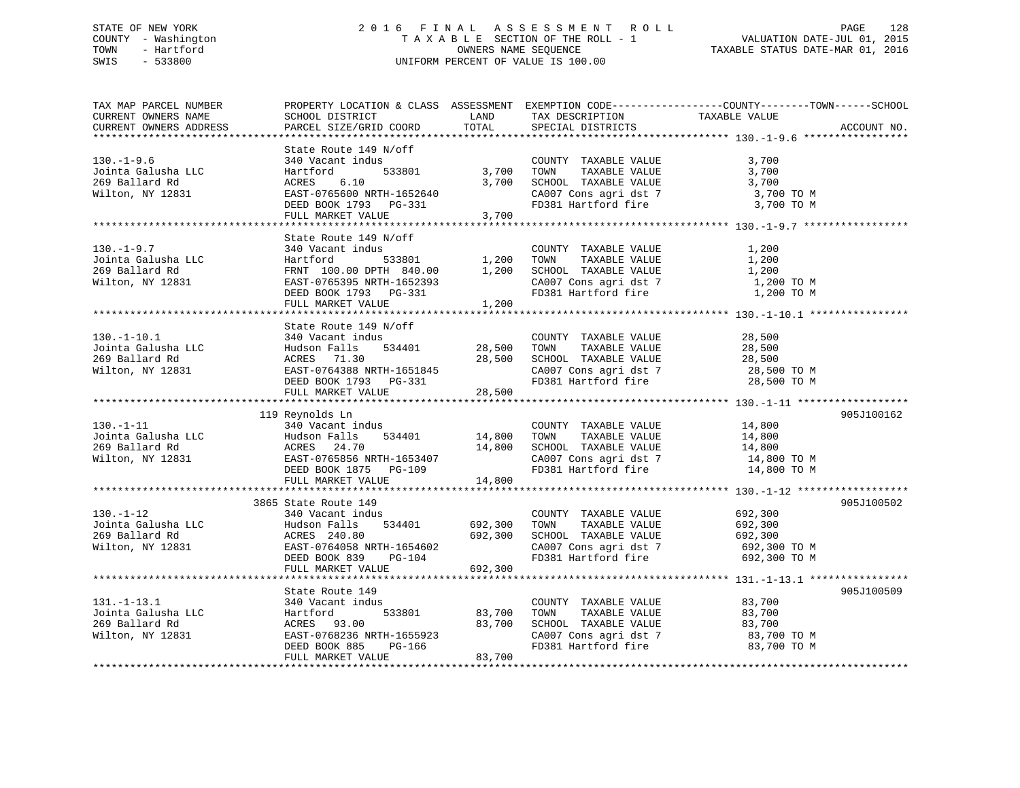## STATE OF NEW YORK 2 0 1 6 F I N A L A S S E S S M E N T R O L L PAGE 128 COUNTY - Washington T A X A B L E SECTION OF THE ROLL - 1 VALUATION DATE-JUL 01, 2015 TOWN - Hartford **TAXABLE STATUS DATE-MAR 01, 2016** OWNERS NAME SEQUENCE TAXABLE STATUS DATE-MAR 01, 2016 SWIS - 533800 UNIFORM PERCENT OF VALUE IS 100.00

| TAX MAP PARCEL NUMBER<br>CURRENT OWNERS NAME<br>CURRENT OWNERS ADDRESS        | SCHOOL DISTRICT<br>PARCEL SIZE/GRID COORD                                                                                                                        | LAND<br>TOTAL                 | TAX DESCRIPTION<br>SPECIAL DISTRICTS                                                                                                         | PROPERTY LOCATION & CLASS ASSESSMENT EXEMPTION CODE----------------COUNTY-------TOWN------SCHOOL<br>TAXABLE VALUE | ACCOUNT NO. |
|-------------------------------------------------------------------------------|------------------------------------------------------------------------------------------------------------------------------------------------------------------|-------------------------------|----------------------------------------------------------------------------------------------------------------------------------------------|-------------------------------------------------------------------------------------------------------------------|-------------|
|                                                                               |                                                                                                                                                                  |                               |                                                                                                                                              |                                                                                                                   |             |
| $130. - 1 - 9.6$<br>Jointa Galusha LLC<br>269 Ballard Rd<br>Wilton, NY 12831  | State Route 149 N/off<br>340 Vacant indus<br>,<br>533801<br>Hartford<br>ACRES<br>6.10<br>EAST-0765600 NRTH-1652640<br>DEED BOOK 1793 PG-331<br>FULL MARKET VALUE | 3,700<br>3,700<br>3,700       | COUNTY TAXABLE VALUE<br>TOWN<br>TAXABLE VALUE<br>SCHOOL TAXABLE VALUE<br>CA007 Cons agri dst 7<br>FD381 Hartford fire                        | 3,700<br>3,700<br>3,700<br>3,700 TO M<br>3,700 TO M                                                               |             |
|                                                                               | State Route 149 N/off                                                                                                                                            |                               |                                                                                                                                              |                                                                                                                   |             |
| $130. - 1 - 9.7$<br>Jointa Galusha LLC<br>269 Ballard Rd<br>Wilton, NY 12831  | 340 Vacant indus<br>Hartford<br>533801<br>FRNT 100.00 DPTH 840.00<br>EAST-0765395 NRTH-1652393<br>DEED BOOK 1793 PG-331<br>FULL MARKET VALUE                     | 1,200<br>1,200<br>1,200       | COUNTY TAXABLE VALUE<br>TAXABLE VALUE<br>TOWN<br>SCHOOL TAXABLE VALUE<br>CA007 Cons agri dst 7<br>ED201 Hartford fire<br>FD381 Hartford fire | 1,200<br>1,200<br>1,200<br>1,200 TO M<br>1,200 TO M                                                               |             |
|                                                                               | State Route 149 N/off                                                                                                                                            |                               |                                                                                                                                              |                                                                                                                   |             |
| $130. - 1 - 10.1$<br>Jointa Galusha LLC<br>269 Ballard Rd<br>Wilton, NY 12831 | 340 Vacant indus<br>Hudson Falls<br>534401<br>ACRES 71.30<br>EAST-0764388 NRTH-1651845<br>DEED BOOK 1793 PG-331                                                  | 28,500<br>28,500              | COUNTY TAXABLE VALUE<br>TOWN<br>TAXABLE VALUE<br>SCHOOL TAXABLE VALUE<br>CA007 Cons agri dst 7<br>FD381 Hartford fire                        | 28,500<br>28,500<br>28,500<br>28,500 TO M<br>28,500 TO M                                                          |             |
|                                                                               | FULL MARKET VALUE                                                                                                                                                | 28,500                        |                                                                                                                                              |                                                                                                                   |             |
| $130. - 1 - 11$<br>Jointa Galusha LLC<br>269 Ballard Rd<br>Wilton, NY 12831   | 119 Reynolds Ln<br>340 Vacant indus<br>Hudson Falls<br>534401<br>ACRES 24.70<br>EAST-0765856 NRTH-1653407<br>DEED BOOK 1875 PG-109<br>FULL MARKET VALUE          | 14,800<br>14,800<br>14,800    | COUNTY TAXABLE VALUE<br>TOWN<br>TAXABLE VALUE<br>SCHOOL TAXABLE VALUE<br>CA007 Cons agri dst 7<br>FD381 Hartford fire                        | 14,800<br>14,800<br>14,800<br>14,800 TO M<br>14,800 TO M                                                          | 905J100162  |
|                                                                               |                                                                                                                                                                  |                               |                                                                                                                                              |                                                                                                                   |             |
| $130. - 1 - 12$<br>Jointa Galusha LLC<br>269 Ballard Rd<br>Wilton, NY 12831   | 3865 State Route 149<br>340 Vacant indus<br>Hudson Falls<br>534401<br>ACRES 240.80<br>EAST-0764058 NRTH-1654602<br>DEED BOOK 839<br>PG-104<br>FULL MARKET VALUE  | 692,300<br>692,300<br>692,300 | COUNTY TAXABLE VALUE<br>TOWN<br>TAXABLE VALUE<br>SCHOOL TAXABLE VALUE<br>CA007 Cons agri dst 7<br>FD381 Hartford fire                        | 692,300<br>692,300<br>692,300<br>692,300 ТО М<br>692,300 TO M                                                     | 905J100502  |
|                                                                               |                                                                                                                                                                  |                               |                                                                                                                                              |                                                                                                                   |             |
| $131. - 1 - 13.1$<br>Jointa Galusha LLC<br>269 Ballard Rd<br>Wilton, NY 12831 | State Route 149<br>340 Vacant indus<br>533801<br>Hartford<br>ACRES 93.00<br>EAST-0768236 NRTH-1655923<br>PG-166<br>DEED BOOK 885                                 | 83,700<br>83,700              | COUNTY TAXABLE VALUE<br>TOWN<br>TAXABLE VALUE<br>SCHOOL TAXABLE VALUE<br>CA007 Cons agri dst 7<br>FD381 Hartford fire                        | 83,700<br>83,700<br>83,700<br>83,700 TO M<br>83,700 TO M                                                          | 905J100509  |
|                                                                               | FULL MARKET VALUE                                                                                                                                                | 83,700                        |                                                                                                                                              |                                                                                                                   |             |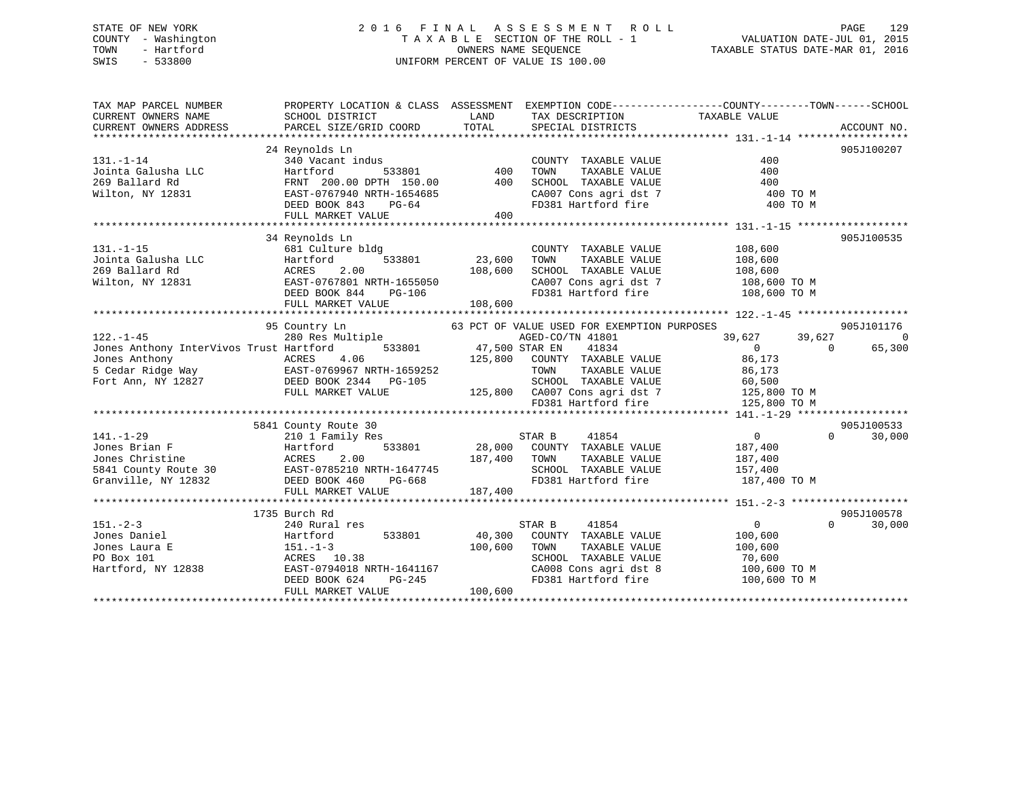## STATE OF NEW YORK 2 0 1 6 F I N A L A S S E S S M E N T R O L L PAGE 129 COUNTY - Washington T A X A B L E SECTION OF THE ROLL - 1 VALUATION DATE-JUL 01, 2015 TOWN - Hartford **TAXABLE STATUS DATE-MAR 01, 2016** OWNERS NAME SEQUENCE TAXABLE STATUS DATE-MAR 01, 2016 SWIS - 533800 UNIFORM PERCENT OF VALUE IS 100.00

| TAX MAP PARCEL NUMBER                                                                                                                                                                                                                                                                                                            | PROPERTY LOCATION & CLASS ASSESSMENT EXEMPTION CODE---------------COUNTY-------TOWN------SCHOOL                                       |              |                                                   |                                                                                 |                    |
|----------------------------------------------------------------------------------------------------------------------------------------------------------------------------------------------------------------------------------------------------------------------------------------------------------------------------------|---------------------------------------------------------------------------------------------------------------------------------------|--------------|---------------------------------------------------|---------------------------------------------------------------------------------|--------------------|
| CURRENT OWNERS NAME                                                                                                                                                                                                                                                                                                              | SCHOOL DISTRICT                                                                                                                       |              | LAND TAX DESCRIPTION                              | TAXABLE VALUE                                                                   |                    |
|                                                                                                                                                                                                                                                                                                                                  |                                                                                                                                       |              |                                                   |                                                                                 |                    |
|                                                                                                                                                                                                                                                                                                                                  |                                                                                                                                       |              |                                                   |                                                                                 |                    |
|                                                                                                                                                                                                                                                                                                                                  | 24 Reynolds Ln                                                                                                                        |              |                                                   |                                                                                 | 905J100207         |
| $131. - 1 - 14$                                                                                                                                                                                                                                                                                                                  |                                                                                                                                       |              | COUNTY TAXABLE VALUE                              | 400                                                                             |                    |
| Jointa Galusha LLC<br>269 Ballard Rd                                                                                                                                                                                                                                                                                             |                                                                                                                                       |              | TAXABLE VALUE<br>TOWN                             | 400                                                                             |                    |
|                                                                                                                                                                                                                                                                                                                                  |                                                                                                                                       |              | SCHOOL TAXABLE VALUE                              | 400                                                                             |                    |
| Wilton, NY 12831                                                                                                                                                                                                                                                                                                                 | EAST-0767940 NRTH-1654685<br>DEED BOOK 843 PG-64                                                                                      |              | CA007 Cons agri dst 7                             | 400 TO M                                                                        |                    |
|                                                                                                                                                                                                                                                                                                                                  |                                                                                                                                       |              | FD381 Hartford fire                               | 400 TO M                                                                        |                    |
|                                                                                                                                                                                                                                                                                                                                  | FULL MARKET VALUE                                                                                                                     | 400          |                                                   |                                                                                 |                    |
|                                                                                                                                                                                                                                                                                                                                  |                                                                                                                                       |              |                                                   |                                                                                 |                    |
|                                                                                                                                                                                                                                                                                                                                  | 34 Reynolds Ln                                                                                                                        |              |                                                   |                                                                                 | 905J100535         |
| $131. -1 - 15$                                                                                                                                                                                                                                                                                                                   | 681 Culture bldg                                                                                                                      |              | COUNTY TAXABLE VALUE 108,600                      |                                                                                 |                    |
|                                                                                                                                                                                                                                                                                                                                  | $533801$ $23,600$                                                                                                                     |              |                                                   |                                                                                 |                    |
|                                                                                                                                                                                                                                                                                                                                  | 2.00                                                                                                                                  | 108,600      |                                                   |                                                                                 |                    |
| Wilton, NY 12831 EAST-0767801 NRTH-1655050                                                                                                                                                                                                                                                                                       |                                                                                                                                       |              |                                                   | CA007 Cons agri dst 7 108,600 TO M                                              |                    |
|                                                                                                                                                                                                                                                                                                                                  | EAST-0767801 NRTH-1655050<br>DEED BOOK 844 PG-106                                                                                     |              | FD381 Hartford fire                               | 108,600 TO M                                                                    |                    |
|                                                                                                                                                                                                                                                                                                                                  | FULL MARKET VALUE                                                                                                                     | 108,600      |                                                   |                                                                                 |                    |
|                                                                                                                                                                                                                                                                                                                                  |                                                                                                                                       |              |                                                   |                                                                                 |                    |
|                                                                                                                                                                                                                                                                                                                                  | 95 Country Ln<br>280 Res Multiple<br>280 Res Multiple<br>280 Res Multiple<br>39,627<br>47,500 STAR EN 11834<br>39,627<br>2013<br>2013 |              |                                                   |                                                                                 | 905J101176         |
| $122. - 1 - 45$                                                                                                                                                                                                                                                                                                                  |                                                                                                                                       |              |                                                   | 39,627<br>39,627                                                                | $\overline{0}$     |
| Jones Anthony InterVivos Trust Hartford                                                                                                                                                                                                                                                                                          |                                                                                                                                       |              |                                                   | $\overline{0}$<br>$\bigcap$                                                     | 65,300             |
| Jones Anthony                                                                                                                                                                                                                                                                                                                    | ACRES<br>4.06                                                                                                                         | 125,800      | COUNTY TAXABLE VALUE                              | 86,173                                                                          |                    |
| 5 Cedar Ridge Way 6 EAST-0769967 NRTH-1659252                                                                                                                                                                                                                                                                                    |                                                                                                                                       |              | TAXABLE VALUE<br>TOWN                             | 86,173                                                                          |                    |
| Fort Ann, NY 12827 DEED BOOK 2344 PG-105                                                                                                                                                                                                                                                                                         |                                                                                                                                       |              |                                                   | 9-105 SCHOOL TAXABLE VALUE 60,500<br>125,800 CA007 Cons agri dst 7 125,800 TO M |                    |
|                                                                                                                                                                                                                                                                                                                                  | FULL MARKET VALUE                                                                                                                     |              |                                                   |                                                                                 |                    |
|                                                                                                                                                                                                                                                                                                                                  |                                                                                                                                       |              | FD381 Hartford fire                               | 125,800 TO M                                                                    |                    |
|                                                                                                                                                                                                                                                                                                                                  |                                                                                                                                       |              |                                                   |                                                                                 |                    |
|                                                                                                                                                                                                                                                                                                                                  | 5841 County Route 30                                                                                                                  |              |                                                   |                                                                                 | 905J100533         |
| $141. - 1 - 29$                                                                                                                                                                                                                                                                                                                  | 210 1 Family Res                                                                                                                      |              | STAR B 41854<br>33801 28,000 COUNTY TAXABLE VALUE | $\overline{0}$                                                                  | $\Omega$<br>30,000 |
|                                                                                                                                                                                                                                                                                                                                  |                                                                                                                                       |              |                                                   | 187,400                                                                         |                    |
|                                                                                                                                                                                                                                                                                                                                  |                                                                                                                                       | 187,400 TOWN |                                                   | TAXABLE VALUE 187,400                                                           |                    |
|                                                                                                                                                                                                                                                                                                                                  |                                                                                                                                       |              | SCHOOL TAXABLE VALUE 157,400                      |                                                                                 |                    |
| $\begin{tabular}{lllllllllllllllllllll} \rule{0pt}{0pt} 141.-1-29 & 2101 Family Res \\ \rule{0pt}{0pt} \text{Jones Brian F} & Hartford & 533801 & 28,000 \\ \rule{0pt}{0pt} \text{Jones Christine} & Christine & ACRES & 2.00 & 187,400 \\ \rule{0pt}{0pt} \text{Granville, NY 12832} & DEED BOOK 460 & PG-668 \\ \end{tabular}$ |                                                                                                                                       |              | FD381 Hartford fire                               | 187,400 TO M                                                                    |                    |
|                                                                                                                                                                                                                                                                                                                                  | FULL MARKET VALUE                                                                                                                     | 187,400      |                                                   |                                                                                 |                    |
|                                                                                                                                                                                                                                                                                                                                  |                                                                                                                                       |              |                                                   |                                                                                 |                    |
|                                                                                                                                                                                                                                                                                                                                  | 1735 Burch Rd                                                                                                                         |              |                                                   |                                                                                 | 905J100578         |
| $151. - 2 - 3$                                                                                                                                                                                                                                                                                                                   | 240 Rural res                                                                                                                         |              | STAR B<br>41854                                   | $\Omega$                                                                        | $\Omega$<br>30,000 |
| Jones Daniel                                                                                                                                                                                                                                                                                                                     | Hartford<br>533801                                                                                                                    | 40,300       | COUNTY TAXABLE VALUE                              | 100,600                                                                         |                    |
| Jones Laura E                                                                                                                                                                                                                                                                                                                    | $151.-1-3$                                                                                                                            | 100,600      | TAXABLE VALUE<br>TOWN                             | 100,600                                                                         |                    |
|                                                                                                                                                                                                                                                                                                                                  | ACRES 10.38                                                                                                                           |              | SCHOOL TAXABLE VALUE                              | 70,600                                                                          |                    |
| PO Box 101<br>Hartford, NY 12838                                                                                                                                                                                                                                                                                                 |                                                                                                                                       |              | CA008 Cons agri dst 8<br>FD381 Hartford fire      | 100,600 TO M                                                                    |                    |
|                                                                                                                                                                                                                                                                                                                                  | EAST-0794018 NRTH-1641167<br>DEED BOOK 624 PG-245                                                                                     |              |                                                   | 100,600 TO M                                                                    |                    |
|                                                                                                                                                                                                                                                                                                                                  | FULL MARKET VALUE                                                                                                                     | 100,600      |                                                   |                                                                                 |                    |
|                                                                                                                                                                                                                                                                                                                                  |                                                                                                                                       |              |                                                   |                                                                                 |                    |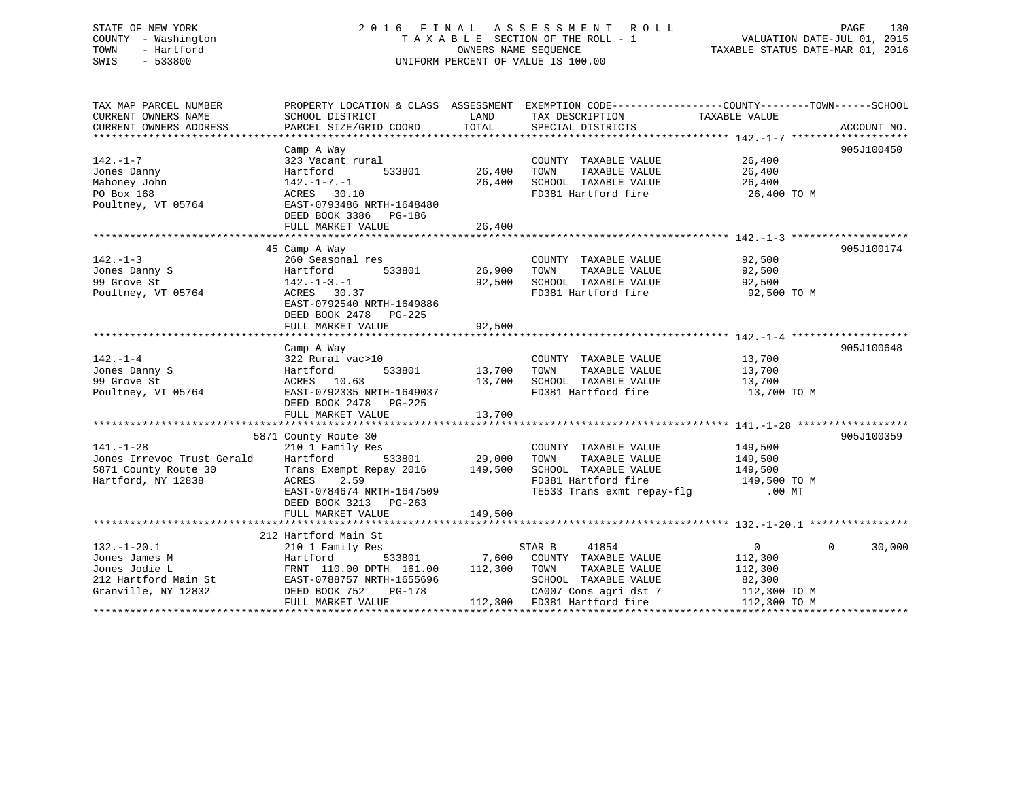# STATE OF NEW YORK 2016 FINAL ASSESSMENT ROLL PAGE 130 COUNTY - Washington  $T A X A B L E$  SECTION OF THE ROLL - 1<br>TOWN - Hartford SWIS - 533800 UNIFORM PERCENT OF VALUE IS 100.00

TAXABLE STATUS DATE-MAR 01, 2016

| TAX MAP PARCEL NUMBER<br>CURRENT OWNERS NAME | SCHOOL DISTRICT                                                         | LAND          | PROPERTY LOCATION & CLASS ASSESSMENT EXEMPTION CODE---------------COUNTY-------TOWN-----SCHOOL<br>TAX DESCRIPTION | TAXABLE VALUE         |                    |
|----------------------------------------------|-------------------------------------------------------------------------|---------------|-------------------------------------------------------------------------------------------------------------------|-----------------------|--------------------|
| CURRENT OWNERS ADDRESS                       | PARCEL SIZE/GRID COORD                                                  | TOTAL         | SPECIAL DISTRICTS                                                                                                 |                       | ACCOUNT NO.        |
|                                              |                                                                         |               |                                                                                                                   |                       |                    |
|                                              | Camp A Way                                                              |               |                                                                                                                   |                       | 905J100450         |
| $142. - 1 - 7$                               | 323 Vacant rural                                                        |               | COUNTY TAXABLE VALUE                                                                                              | 26,400                |                    |
| Jones Danny                                  | Hartford<br>533801                                                      | 26,400        | TOWN<br>TAXABLE VALUE                                                                                             | 26,400                |                    |
| Mahoney John<br>PO Box 168                   | $142. - 1 - 7. - 1$<br>ACRES 30.10                                      | 26,400        | SCHOOL TAXABLE VALUE<br>FD381 Hartford fire                                                                       | 26,400<br>26,400 TO M |                    |
| Poultney, VT 05764                           | EAST-0793486 NRTH-1648480<br>DEED BOOK 3386 PG-186<br>FULL MARKET VALUE | 26,400        |                                                                                                                   |                       |                    |
|                                              |                                                                         |               |                                                                                                                   |                       |                    |
|                                              | 45 Camp A Way                                                           |               |                                                                                                                   |                       | 905J100174         |
| $142. - 1 - 3$                               | 260 Seasonal res                                                        |               | COUNTY TAXABLE VALUE                                                                                              | 92,500                |                    |
| Jones Danny S                                | 533801<br>Hartford                                                      | 26,900        | TAXABLE VALUE<br>TOWN                                                                                             | 92,500                |                    |
| 99 Grove St                                  | $142. - 1 - 3. - 1$                                                     | 92,500        | SCHOOL TAXABLE VALUE                                                                                              | 92,500                |                    |
| Poultney, VT 05764                           | ACRES 30.37<br>EAST-0792540 NRTH-1649886<br>DEED BOOK 2478 PG-225       |               | FD381 Hartford fire                                                                                               | 92,500 TO M           |                    |
|                                              | FULL MARKET VALUE                                                       | 92,500        |                                                                                                                   |                       |                    |
|                                              |                                                                         |               |                                                                                                                   |                       |                    |
|                                              | Camp A Way                                                              |               |                                                                                                                   |                       | 905J100648         |
| $142. - 1 - 4$                               | 322 Rural vac>10                                                        |               | COUNTY TAXABLE VALUE                                                                                              | 13,700                |                    |
| Jones Danny S                                | Hartford<br>533801                                                      | 13,700        | TOWN<br>TAXABLE VALUE                                                                                             | 13,700                |                    |
| 99 Grove St                                  | ACRES 10.63                                                             | 13,700        | SCHOOL TAXABLE VALUE                                                                                              | 13,700                |                    |
| Poultney, VT 05764                           | EAST-0792335 NRTH-1649037<br>DEED BOOK 2478 PG-225                      |               | FD381 Hartford fire                                                                                               | 13,700 TO M           |                    |
|                                              | FULL MARKET VALUE                                                       | 13,700        |                                                                                                                   |                       |                    |
|                                              |                                                                         |               |                                                                                                                   |                       |                    |
|                                              | 5871 County Route 30                                                    |               |                                                                                                                   |                       | 905J100359         |
| $141. - 1 - 28$                              | 210 1 Family Res                                                        |               | COUNTY TAXABLE VALUE                                                                                              | 149,500               |                    |
| Jones Irrevoc Trust Gerald                   | Hartford                                                                | 533801 29,000 | TAXABLE VALUE<br>TOWN                                                                                             | 149,500               |                    |
| 5871 County Route 30                         | Trans Exempt Repay 2016 149,500                                         |               | SCHOOL TAXABLE VALUE                                                                                              | 149,500               |                    |
| Hartford, NY 12838                           | ACRES<br>2.59                                                           |               | FD381 Hartford fire                                                                                               | 149,500 TO M          |                    |
|                                              | EAST-0784674 NRTH-1647509                                               |               | TE533 Trans exmt repay-flg                                                                                        | $.00$ MT              |                    |
|                                              | DEED BOOK 3213 PG-263                                                   |               |                                                                                                                   |                       |                    |
|                                              | FULL MARKET VALUE                                                       | 149,500       |                                                                                                                   |                       |                    |
|                                              | 212 Hartford Main St                                                    |               |                                                                                                                   |                       |                    |
| $132. - 1 - 20.1$                            | 210 1 Family Res                                                        |               | STAR B<br>41854                                                                                                   | $\overline{0}$        | 30,000<br>$\Omega$ |
| Jones James M                                | Hartford<br>533801                                                      | 7,600         | COUNTY TAXABLE VALUE                                                                                              | 112,300               |                    |
| Jones Jodie L                                | FRNT 110.00 DPTH 161.00                                                 | 112,300       | TAXABLE VALUE<br>TOWN                                                                                             | 112,300               |                    |
| 212 Hartford Main St                         | EAST-0788757 NRTH-1655696                                               |               | SCHOOL TAXABLE VALUE                                                                                              | 82,300                |                    |
| Granville, NY 12832                          | DEED BOOK 752<br>PG-178                                                 |               | CA007 Cons agri dst 7                                                                                             | 112,300 TO M          |                    |
|                                              | FULL MARKET VALUE                                                       |               | 112,300 FD381 Hartford fire                                                                                       | 112,300 TO M          |                    |
|                                              |                                                                         |               |                                                                                                                   |                       |                    |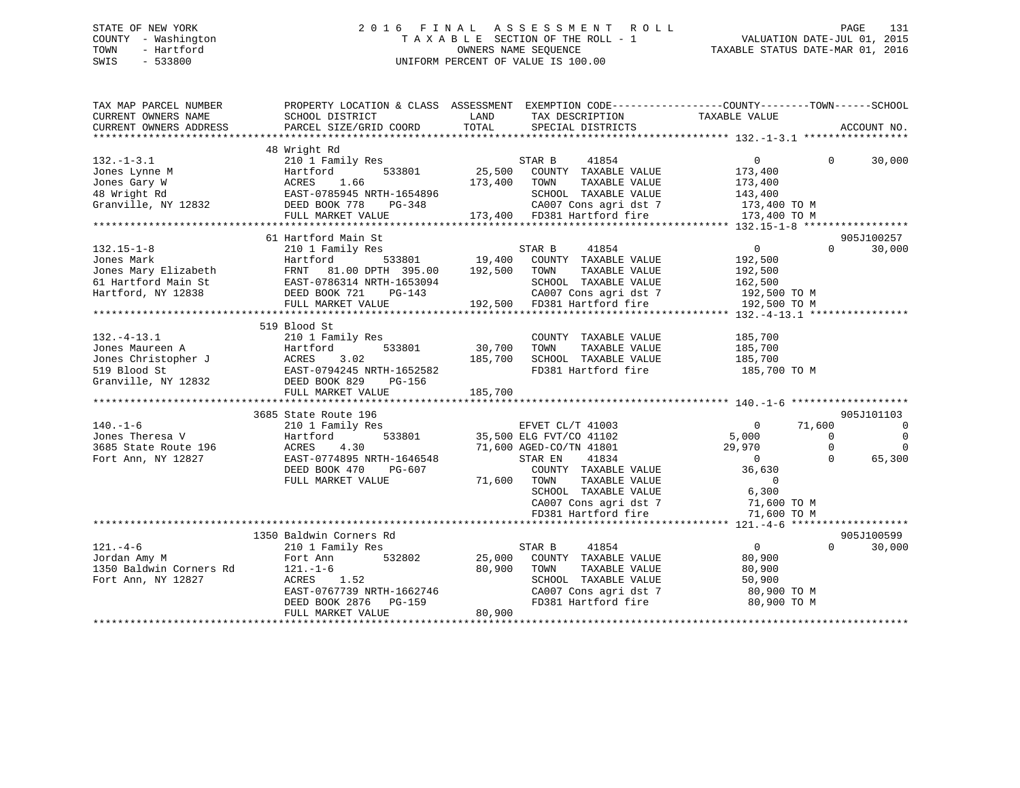## STATE OF NEW YORK 2 0 1 6 F I N A L A S S E S S M E N T R O L L PAGE 131 COUNTY - Washington T A X A B L E SECTION OF THE ROLL - 1 VALUATION DATE-JUL 01, 2015 TOWN - Hartford **TAXABLE STATUS DATE-MAR 01, 2016** OWNERS NAME SEQUENCE TAXABLE STATUS DATE-MAR 01, 2016 SWIS - 533800 UNIFORM PERCENT OF VALUE IS 100.00

| TAX MAP PARCEL NUMBER<br>CURRENT OWNERS NAME<br>CURRENT OWNERS ADDRESS   | SCHOOL DISTRICT<br>PARCEL SIZE/GRID COORD                                                                                                                                                                       | TAX DESCRIPTION TAXABLE VALUE SPECIAL DISTRICTS<br>LAND<br>TOTAL | PROPERTY LOCATION & CLASS ASSESSMENT EXEMPTION CODE----------------COUNTY-------TOWN------SCHOOL<br>ACCOUNT NO. |
|--------------------------------------------------------------------------|-----------------------------------------------------------------------------------------------------------------------------------------------------------------------------------------------------------------|------------------------------------------------------------------|-----------------------------------------------------------------------------------------------------------------|
|                                                                          |                                                                                                                                                                                                                 |                                                                  |                                                                                                                 |
|                                                                          | 48 Wright Rd                                                                                                                                                                                                    |                                                                  |                                                                                                                 |
| $132. - 1 - 3.1$                                                         | 210 1 Family Res                                                                                                                                                                                                |                                                                  | $\overline{0}$<br>$\Omega$<br>30,000                                                                            |
|                                                                          | 132.-1-3.1<br>Jones Lynne M<br>Jones Gary W<br>Hartford 533801<br>Hartford 533801<br>ACRES 1.66<br>48 Wright Rd EAST-0785945 NRTH-1654896<br>Granville, NY 12832<br>DEED BOOK 778 PG-348                        | STAR B 41854<br>25,500 COUNTY TAXABLE VALUE                      | 173,400                                                                                                         |
|                                                                          |                                                                                                                                                                                                                 | 173,400<br>TOWN<br>TAXABLE VALUE                                 | 173,400                                                                                                         |
|                                                                          |                                                                                                                                                                                                                 | SCHOOL TAXABLE VALUE                                             | 143,400                                                                                                         |
|                                                                          | $PG-348$                                                                                                                                                                                                        |                                                                  | CA007 Cons agri dst 7 173,400 TO M                                                                              |
|                                                                          |                                                                                                                                                                                                                 | FULL MARKET VALUE 173,400 FD381 Hartford fire                    | 173,400 TO M                                                                                                    |
|                                                                          |                                                                                                                                                                                                                 |                                                                  |                                                                                                                 |
|                                                                          | 61 Hartford Main St                                                                                                                                                                                             |                                                                  | 905J100257                                                                                                      |
| $132.15 - 1 - 8$                                                         | 210 1 Family Res                                                                                                                                                                                                | STAR B<br>41854                                                  | $\overline{0}$<br>$\Omega$<br>30,000                                                                            |
|                                                                          |                                                                                                                                                                                                                 |                                                                  | 192,500                                                                                                         |
|                                                                          |                                                                                                                                                                                                                 | 192,500<br>TOWN<br>TAXABLE VALUE                                 | 192,500                                                                                                         |
|                                                                          |                                                                                                                                                                                                                 | SCHOOL TAXABLE VALUE                                             | 162,500                                                                                                         |
|                                                                          | PG-143                                                                                                                                                                                                          |                                                                  | 192,500 TO M                                                                                                    |
|                                                                          | Jones Mark Hartford 533801<br>Jones Mary Elizabeth FRNT 81.00 DPTH 395.00<br>61 Hartford Main St EAST-0786314 NRTH-1653094<br>Hartford, NY 12838 DEED BOOK 721 PG-143<br>FILL MARKET VALUE<br>FULL MARKET VALUE | 43 CA007 Cons agri dst 7<br>192,500 FD381 Hartford fire          | 192,500 TO M                                                                                                    |
|                                                                          |                                                                                                                                                                                                                 |                                                                  |                                                                                                                 |
|                                                                          | 519 Blood St                                                                                                                                                                                                    |                                                                  |                                                                                                                 |
| $132. - 4 - 13.1$                                                        | 210 1 Family Res                                                                                                                                                                                                | COUNTY TAXABLE VALUE                                             | 185,700                                                                                                         |
|                                                                          |                                                                                                                                                                                                                 | 30,700<br>TOWN<br>TAXABLE VALUE                                  | 185,700                                                                                                         |
|                                                                          |                                                                                                                                                                                                                 | 185,700<br>SCHOOL TAXABLE VALUE 185,700                          |                                                                                                                 |
|                                                                          |                                                                                                                                                                                                                 | FD381 Hartford fire                                              | 185,700 TO M                                                                                                    |
|                                                                          | 132.-4-13.1 210 1 Family Res<br>Jones Maureen A Hartford 533801<br>Jones Christopher J ACRES 3.02<br>519 Blood St EAST-0794245 NRTH-1652582<br>Granville, NY 12832 DEED BOOK 829 PG-156                         |                                                                  |                                                                                                                 |
|                                                                          | FULL MARKET VALUE                                                                                                                                                                                               | 185,700                                                          |                                                                                                                 |
|                                                                          |                                                                                                                                                                                                                 |                                                                  |                                                                                                                 |
|                                                                          | 3685 State Route 196                                                                                                                                                                                            |                                                                  | 905J101103                                                                                                      |
| $140. - 1 - 6$                                                           | 210 1 Family Res                                                                                                                                                                                                | EFVET CL/T 41003                                                 | 71,600<br>$\overline{0}$                                                                                        |
| 140.-1-0<br>Jones Theresa V<br>3685 State Route 196<br>Tort Ann NY 12827 | Hartford                                                                                                                                                                                                        | 533801 35,500 ELG FVT/CO 41102                                   | 5,000<br>$\overline{0}$<br>$\Omega$                                                                             |
|                                                                          | ACRES 4.30                                                                                                                                                                                                      | 71,600 AGED-CO/TN 41801                                          | 29,970<br>$\Omega$<br>$\Omega$                                                                                  |
|                                                                          | EAST-0774895 NRTH-1646548                                                                                                                                                                                       | 41834<br>STAR EN                                                 | $\cap$<br>$\overline{0}$<br>65,300                                                                              |
|                                                                          | DEED BOOK 470<br>PG-607                                                                                                                                                                                         | COUNTY TAXABLE VALUE                                             | 36,630                                                                                                          |
|                                                                          | FULL MARKET VALUE                                                                                                                                                                                               | TAXABLE VALUE<br>71,600 TOWN                                     | $\Omega$                                                                                                        |
|                                                                          |                                                                                                                                                                                                                 |                                                                  | 6,300                                                                                                           |
|                                                                          |                                                                                                                                                                                                                 | SCHOOL TAXABLE VALUE<br>CA007 Cons agri dst 7                    | 71,600 TO M                                                                                                     |
|                                                                          |                                                                                                                                                                                                                 | FD381 Hartford fire                                              |                                                                                                                 |
|                                                                          |                                                                                                                                                                                                                 |                                                                  | 71,600 TO M                                                                                                     |
|                                                                          | 1350 Baldwin Corners Rd                                                                                                                                                                                         |                                                                  | 905J100599                                                                                                      |
| $121. -4 - 6$                                                            | 210 1 Family Res                                                                                                                                                                                                | STAR B<br>41854                                                  | $\overline{0}$<br>$\Omega$<br>30,000                                                                            |
|                                                                          | Fort Ann<br>532802                                                                                                                                                                                              | 25,000<br>COUNTY TAXABLE VALUE                                   |                                                                                                                 |
| Jordan Amy M<br>1350 Baldwin Corners Rd                                  |                                                                                                                                                                                                                 | 80,900<br>TAXABLE VALUE                                          | 80,900                                                                                                          |
|                                                                          | $121. - 1 - 6$                                                                                                                                                                                                  | TOWN<br>SCHOOL TAXABLE VALUE                                     | 80,900                                                                                                          |
| Fort Ann, NY 12827                                                       | ACRES 1.52                                                                                                                                                                                                      |                                                                  | 50,900                                                                                                          |
|                                                                          | EAST-0767739 NRTH-1662746<br>DEED BOOK 2876 PG-159                                                                                                                                                              | CA007 Cons agri dst 7<br>FD381 Hartford fire                     | 80,900 TO M                                                                                                     |
|                                                                          | DEED BOOK 2876                                                                                                                                                                                                  |                                                                  | 80,900 TO M                                                                                                     |
|                                                                          | FULL MARKET VALUE                                                                                                                                                                                               | 80,900                                                           |                                                                                                                 |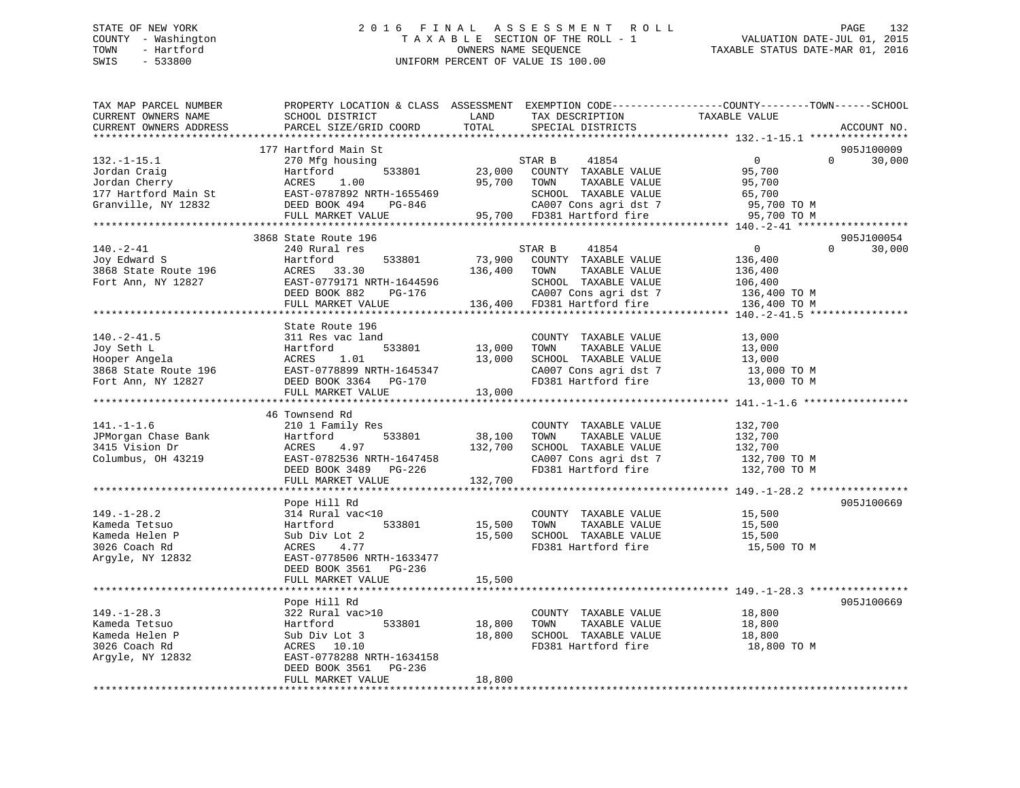## STATE OF NEW YORK 2 0 1 6 F I N A L A S S E S S M E N T R O L L PAGE 132 COUNTY - Washington T A X A B L E SECTION OF THE ROLL - 1 VALUATION DATE-JUL 01, 2015 TOWN - Hartford OWNERS NAME SEQUENCE TAXABLE STATUS DATE-MAR 01, 2016 SWIS - 533800 UNIFORM PERCENT OF VALUE IS 100.00

| TAX MAP PARCEL NUMBER<br>CURRENT OWNERS NAME<br>CURRENT OWNERS ADDRESS                        | PROPERTY LOCATION & CLASS ASSESSMENT EXEMPTION CODE---------------COUNTY-------TOWN-----SCHOOL<br>SCHOOL DISTRICT<br>PARCEL SIZE/GRID COORD                            | LAND<br>TOTAL              | TAX DESCRIPTION<br>SPECIAL DISTRICTS                                                                                      | TAXABLE VALUE                                                           | ACCOUNT NO.                      |
|-----------------------------------------------------------------------------------------------|------------------------------------------------------------------------------------------------------------------------------------------------------------------------|----------------------------|---------------------------------------------------------------------------------------------------------------------------|-------------------------------------------------------------------------|----------------------------------|
|                                                                                               | *********************                                                                                                                                                  |                            |                                                                                                                           |                                                                         |                                  |
| $132.-1-15.1$<br>Jordan Craig<br>Jordan Cherry<br>177 Hartford Main St<br>Granville, NY 12832 | 177 Hartford Main St<br>270 Mfg housing<br>Hartford<br>533801<br>ACRES<br>1.00<br>EAST-0787892 NRTH-1655469<br>DEED BOOK 494<br>PG-846                                 | 23,000<br>95,700           | 41854<br>STAR B<br>COUNTY TAXABLE VALUE<br>TAXABLE VALUE<br>TOWN<br>SCHOOL TAXABLE VALUE<br>CA007 Cons agri dst 7         | $\overline{0}$<br>$\Omega$<br>95,700<br>95,700<br>65,700<br>95,700 TO M | 905J100009<br>30,000             |
|                                                                                               | FULL MARKET VALUE                                                                                                                                                      |                            | 95,700 FD381 Hartford fire                                                                                                | 95,700 TO M                                                             |                                  |
|                                                                                               |                                                                                                                                                                        |                            |                                                                                                                           |                                                                         |                                  |
| $140. - 2 - 41$<br>Joy Edward S<br>3868 State Route 196<br>Fort Ann, NY 12827                 | 3868 State Route 196<br>240 Rural res<br>533801<br>Hartford<br>ACRES 33.30<br>EAST-0779171 NRTH-1644596<br>DEED BOOK 882<br>PG-176                                     | 73,900                     | STAR B<br>41854<br>COUNTY TAXABLE VALUE<br>136,400 TOWN<br>TAXABLE VALUE<br>SCHOOL TAXABLE VALUE<br>CA007 Cons agri dst 7 | $0 \qquad \qquad$<br>136,400<br>136,400<br>106,400<br>136,400 TO M      | 905J100054<br>30,000<br>$\Omega$ |
|                                                                                               | FULL MARKET VALUE                                                                                                                                                      |                            | 136,400 FD381 Hartford fire                                                                                               | 136,400 TO M                                                            |                                  |
|                                                                                               |                                                                                                                                                                        |                            |                                                                                                                           |                                                                         |                                  |
| $140.-2-41.5$<br>Joy Seth L<br>Hooper Angela<br>3868 State Route 196<br>Fort Ann, NY 12827    | State Route 196<br>311 Res vac land<br>Hartford<br>533801<br>ACRES<br>1.01<br>EAST-0778899 NRTH-1645347<br>DEED BOOK 3364 PG-170<br>FULL MARKET VALUE                  | 13,000<br>13,000<br>13,000 | COUNTY TAXABLE VALUE<br>TAXABLE VALUE<br>TOWN<br>SCHOOL TAXABLE VALUE<br>CA007 Cons agri dst 7<br>FD381 Hartford fire     | 13,000<br>13,000<br>13,000<br>13,000 TO M<br>13,000 TO M                |                                  |
|                                                                                               |                                                                                                                                                                        |                            |                                                                                                                           |                                                                         |                                  |
| $141. - 1 - 1.6$<br>JPMorgan Chase Bank<br>3415 Vision Dr<br>Columbus, OH 43219               | 46 Townsend Rd<br>210 1 Family Res<br>533801<br>Hartford<br>ACRES<br>4.97<br>EAST-0782536 NRTH-1647458<br>DEED BOOK 3489 PG-226                                        | 38,100<br>132,700          | COUNTY TAXABLE VALUE<br>TAXABLE VALUE<br>TOWN<br>SCHOOL TAXABLE VALUE<br>CA007 Cons agri dst 7<br>FD381 Hartford fire     | 132,700<br>132,700<br>132,700<br>132,700 TO M<br>132,700 TO M           |                                  |
|                                                                                               | FULL MARKET VALUE                                                                                                                                                      | 132,700                    |                                                                                                                           |                                                                         |                                  |
| $149. - 1 - 28.2$<br>Kameda Tetsuo<br>Kameda Helen P<br>3026 Coach Rd                         | Pope Hill Rd<br>314 Rural vac<10<br>533801<br>Hartford<br>Sub Div Lot 2<br>ACRES 4.77                                                                                  | 15,500<br>15,500           | COUNTY TAXABLE VALUE<br>TOWN<br>TAXABLE VALUE<br>SCHOOL TAXABLE VALUE<br>FD381 Hartford fire                              | 15,500<br>15,500<br>15,500<br>15,500 TO M                               | 905J100669                       |
| Argyle, NY 12832                                                                              | EAST-0778506 NRTH-1633477<br>DEED BOOK 3561 PG-236<br>FULL MARKET VALUE                                                                                                | 15,500                     |                                                                                                                           |                                                                         |                                  |
|                                                                                               | ************************                                                                                                                                               |                            |                                                                                                                           |                                                                         |                                  |
| $149. - 1 - 28.3$<br>Kameda Tetsuo<br>Kameda Helen P<br>3026 Coach Rd<br>Argyle, NY 12832     | Pope Hill Rd<br>322 Rural vac>10<br>Hartford<br>533801<br>Sub Div Lot 3<br>ACRES 10.10<br>EAST-0778288 NRTH-1634158<br>$PG-236$<br>DEED BOOK 3561<br>FULL MARKET VALUE | 18,800<br>18,800<br>18,800 | COUNTY TAXABLE VALUE<br>TOWN<br>TAXABLE VALUE<br>SCHOOL TAXABLE VALUE<br>FD381 Hartford fire                              | 18,800<br>18,800<br>18,800<br>18,800 TO M                               | 905J100669                       |
|                                                                                               |                                                                                                                                                                        |                            |                                                                                                                           |                                                                         |                                  |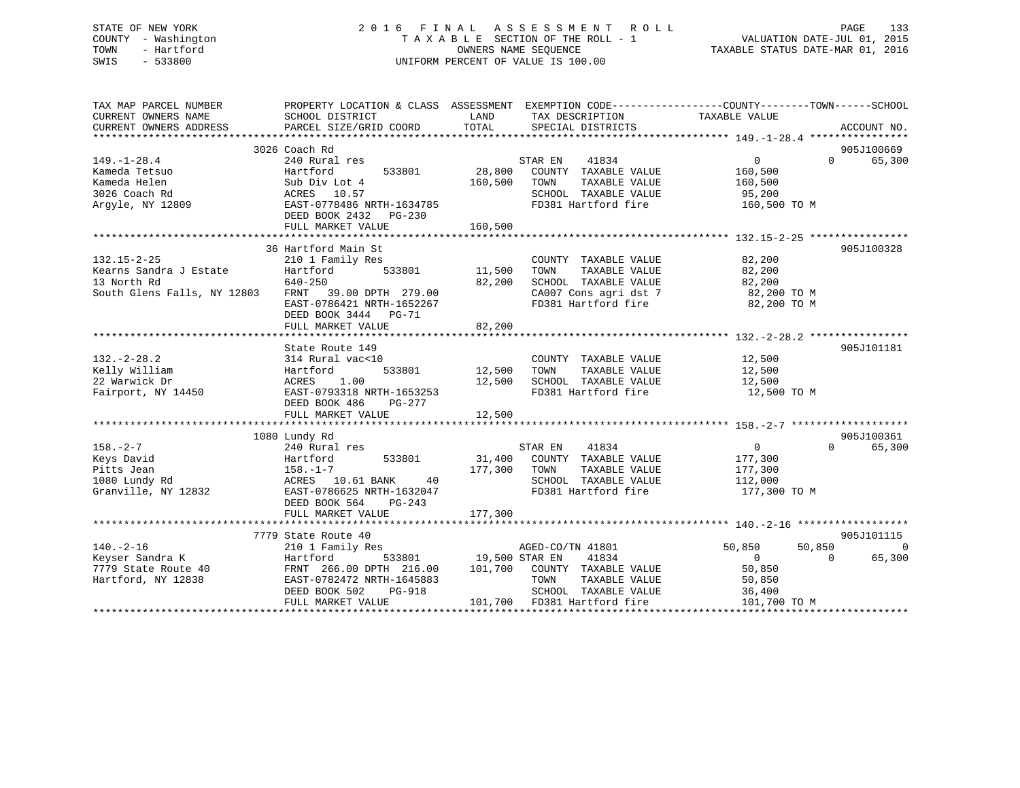## STATE OF NEW YORK 2 0 1 6 F I N A L A S S E S S M E N T R O L L PAGE 133 COUNTY - Washington T A X A B L E SECTION OF THE ROLL - 1 VALUATION DATE-JUL 01, 2015 TOWN - Hartford **TAXABLE STATUS DATE-MAR 01, 2016** OWNERS NAME SEQUENCE TAXABLE STATUS DATE-MAR 01, 2016 SWIS - 533800 UNIFORM PERCENT OF VALUE IS 100.00

| TAX MAP PARCEL NUMBER<br>CURRENT OWNERS NAME<br>CURRENT OWNERS ADDRESS | PROPERTY LOCATION & CLASS ASSESSMENT EXEMPTION CODE---------------COUNTY-------TOWN-----SCHOOL<br>SCHOOL DISTRICT<br>PARCEL SIZE/GRID COORD | LAND<br>TOTAL                      | TAX DESCRIPTION<br>SPECIAL DISTRICTS          | TAXABLE VALUE              | ACCOUNT NO. |
|------------------------------------------------------------------------|---------------------------------------------------------------------------------------------------------------------------------------------|------------------------------------|-----------------------------------------------|----------------------------|-------------|
|                                                                        |                                                                                                                                             |                                    |                                               |                            |             |
|                                                                        | 3026 Coach Rd                                                                                                                               |                                    |                                               | $\Omega$                   | 905J100669  |
| $149. - 1 - 28.4$                                                      | 240 Rural res                                                                                                                               | 28,800                             | STAR EN<br>41834                              | $\overline{0}$             | 65,300      |
| Kameda Tetsuo<br>Kameda Helen                                          | 533801<br>Hartford                                                                                                                          | 160,500                            | COUNTY TAXABLE VALUE<br>TAXABLE VALUE<br>TOWN | 160,500                    |             |
|                                                                        | Sub Div Lot 4                                                                                                                               |                                    |                                               | 160,500                    |             |
| 3026 Coach Rd                                                          |                                                                                                                                             |                                    | SCHOOL TAXABLE VALUE<br>FD381 Hartford fire   | 95,200                     |             |
| Argyle, NY 12809                                                       | ACRES 10.57<br>EAST-0778486 NRTH-1634785<br>DEED BOOK 2432 PG-230                                                                           |                                    |                                               | 160,500 TO M               |             |
|                                                                        |                                                                                                                                             |                                    |                                               |                            |             |
|                                                                        | 36 Hartford Main St                                                                                                                         |                                    |                                               |                            | 905J100328  |
| $132.15 - 2 - 25$                                                      | 210 1 Family Res                                                                                                                            |                                    | COUNTY TAXABLE VALUE                          | 82,200                     |             |
| Kearns Sandra J Estate                                                 | 533801 11,500<br>Hartford                                                                                                                   |                                    | TAXABLE VALUE<br>TOWN                         | 82,200                     |             |
| 13 North Rd                                                            | 640-250                                                                                                                                     | 82,200                             | SCHOOL TAXABLE VALUE                          | 82,200                     |             |
| South Glens Falls, NY 12803 FRNT 39.00 DPTH 279.00                     |                                                                                                                                             |                                    | CA007 Cons agri dst 7 82,200 TO M             |                            |             |
|                                                                        | EAST-0786421 NRTH-1652267                                                                                                                   |                                    | FD381 Hartford fire                           | 82,200 TO M                |             |
|                                                                        | DEED BOOK 3444 PG-71                                                                                                                        |                                    |                                               |                            |             |
|                                                                        | FULL MARKET VALUE                                                                                                                           | 82,200                             |                                               |                            |             |
|                                                                        |                                                                                                                                             |                                    |                                               |                            |             |
|                                                                        | State Route 149                                                                                                                             |                                    |                                               |                            | 905J101181  |
| $132. - 2 - 28.2$                                                      | 314 Rural vac<10                                                                                                                            |                                    | COUNTY TAXABLE VALUE                          | 12,500                     |             |
| Kelly William                                                          | Hartford                                                                                                                                    |                                    | TAXABLE VALUE                                 | 12,500                     |             |
| 22 Warwick Dr                                                          | 1.00<br>ACRES                                                                                                                               | 12,500                             | SCHOOL TAXABLE VALUE                          | 12,500                     |             |
| Fairport, NY 14450                                                     | EAST-0793318 NRTH-1653253                                                                                                                   |                                    | FD381 Hartford fire                           | 12,500 TO M                |             |
|                                                                        | DEED BOOK 486<br>PG-277                                                                                                                     |                                    |                                               |                            |             |
|                                                                        | FULL MARKET VALUE                                                                                                                           | 12,500                             |                                               |                            |             |
|                                                                        |                                                                                                                                             |                                    |                                               |                            |             |
|                                                                        | 1080 Lundy Rd                                                                                                                               |                                    |                                               |                            | 905J100361  |
| $158. - 2 - 7$                                                         | 240 Rural res                                                                                                                               |                                    | STAR EN 41834                                 | $\overline{0}$<br>$\Omega$ | 65,300      |
| Keys David                                                             | 533801<br>Hartford                                                                                                                          |                                    | 31,400 COUNTY TAXABLE VALUE                   | 177,300                    |             |
| Pitts Jean                                                             | $158. - 1 - 7$                                                                                                                              | 177,300 TOWN                       | TAXABLE VALUE                                 | 177,300                    |             |
| 1080 Lundy Rd                                                          | ACRES 10.61 BANK<br>40                                                                                                                      |                                    | SCHOOL TAXABLE VALUE                          | 112,000                    |             |
| Granville, NY 12832                                                    | EAST-0786625 NRTH-1632047                                                                                                                   |                                    | FD381 Hartford fire                           | 177,300 TO M               |             |
|                                                                        | DEED BOOK 564<br>PG-243                                                                                                                     |                                    |                                               |                            |             |
|                                                                        | FULL MARKET VALUE                                                                                                                           | 177,300                            |                                               |                            |             |
|                                                                        |                                                                                                                                             |                                    |                                               |                            |             |
|                                                                        | 7779 State Route 40                                                                                                                         |                                    |                                               |                            | 905J101115  |
| $140. -2 - 16$                                                         | 210 1 Family Res                                                                                                                            |                                    | AGED-CO/TN 41801                              | 50,850<br>50,850           | $\Omega$    |
| Keyser Sandra K                                                        | Hartford                                                                                                                                    | $\frac{19}{533801}$ 19,500 STAR EN | 41834                                         | $\overline{0}$<br>$\Omega$ | 65,300      |
| 7779 State Route 40                                                    | FRNT 266.00 DPTH 216.00                                                                                                                     |                                    | 101,700 COUNTY TAXABLE VALUE                  | 50,850                     |             |
| Hartford, NY 12838                                                     | EAST-0782472 NRTH-1645883                                                                                                                   |                                    | TOWN<br>TAXABLE VALUE                         | 50,850                     |             |
|                                                                        | DEED BOOK 502<br>PG-918                                                                                                                     |                                    | SCHOOL TAXABLE VALUE                          | 36,400                     |             |
|                                                                        | FULL MARKET VALUE                                                                                                                           |                                    | 101,700 FD381 Hartford fire                   | 101,700 TO M               |             |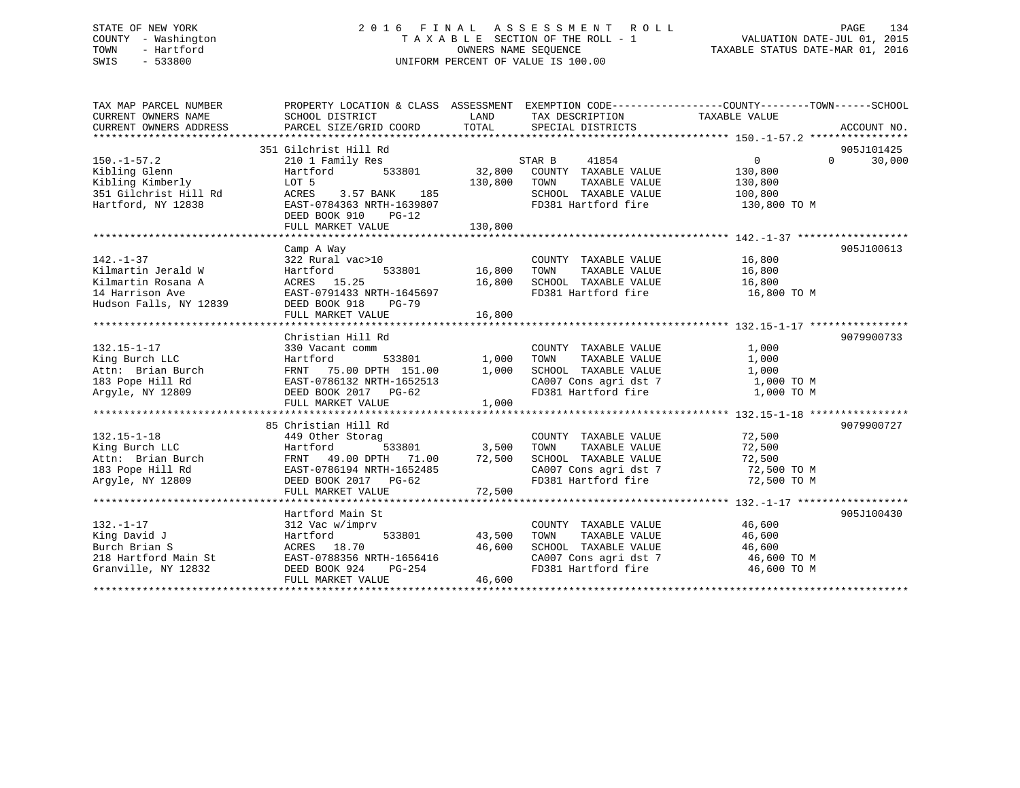## STATE OF NEW YORK 2 0 1 6 F I N A L A S S E S S M E N T R O L L PAGE 134 COUNTY - Washington T A X A B L E SECTION OF THE ROLL - 1 VALUATION DATE-JUL 01, 2015 TOWN - Hartford **TAXABLE STATUS DATE-MAR 01, 2016** OWNERS NAME SEQUENCE TAXABLE STATUS DATE-MAR 01, 2016 SWIS - 533800 UNIFORM PERCENT OF VALUE IS 100.00

| TAX MAP PARCEL NUMBER                                     | PROPERTY LOCATION & CLASS ASSESSMENT EXEMPTION CODE----------------COUNTY-------TOWN------SCHOOL |                            |                                                                        |                         |          |             |
|-----------------------------------------------------------|--------------------------------------------------------------------------------------------------|----------------------------|------------------------------------------------------------------------|-------------------------|----------|-------------|
| CURRENT OWNERS NAME                                       | SCHOOL DISTRICT                                                                                  | LAND                       | TAX DESCRIPTION                                                        | TAXABLE VALUE           |          |             |
| CURRENT OWNERS ADDRESS                                    | PARCEL SIZE/GRID COORD                                                                           | TOTAL                      | SPECIAL DISTRICTS                                                      |                         |          | ACCOUNT NO. |
|                                                           |                                                                                                  |                            |                                                                        |                         |          |             |
|                                                           | 351 Gilchrist Hill Rd                                                                            |                            |                                                                        |                         |          | 905J101425  |
| $150.-1-57.2$                                             | 210 1 Family Res                                                                                 |                            | STAR B<br>41854                                                        | $\overline{0}$          | $\Omega$ | 30,000      |
| Kibling Glenn                                             | 533801<br>Hartford                                                                               |                            | 32,800 COUNTY TAXABLE VALUE                                            | 130,800                 |          |             |
| Kibling Kimberly<br>351 Gilchrist Hill Rd                 | LOT 5<br>3.57 BANK 185<br>ACRES                                                                  | 130,800                    | TAXABLE VALUE<br>TOWN<br>SCHOOL TAXABLE VALUE                          | 130,800                 |          |             |
| Hartford, NY 12838                                        | EAST-0784363 NRTH-1639807                                                                        |                            | FD381 Hartford fire                                                    | 100,800<br>130,800 TO M |          |             |
|                                                           | DEED BOOK 910 PG-12                                                                              |                            |                                                                        |                         |          |             |
|                                                           | FULL MARKET VALUE                                                                                | 130,800                    |                                                                        |                         |          |             |
|                                                           |                                                                                                  |                            |                                                                        |                         |          |             |
|                                                           | Camp A Way                                                                                       |                            |                                                                        |                         |          | 905J100613  |
| $142. - 1 - 37$                                           | 322 Rural vac>10                                                                                 |                            | COUNTY TAXABLE VALUE 16,800                                            |                         |          |             |
| Kilmartin Jerald W                                        | 533801<br>Hartford                                                                               | COUNTY<br>16,800      TOWN |                                                                        |                         |          |             |
| Kilmartin Rosana A                                        | ACRES 15.25                                                                                      |                            | 16,800 TOWN TAXABLE VALUE 16,800<br>16,800 SCHOOL TAXABLE VALUE 16,800 |                         |          |             |
| 14 Harrison Ave                                           | EAST-0791433 NRTH-1645697                                                                        |                            | FD381 Hartford fire 16,800 TO M                                        |                         |          |             |
| Hudson Falls, NY 12839                                    | DEED BOOK 918<br>PG-79                                                                           |                            |                                                                        |                         |          |             |
|                                                           |                                                                                                  |                            |                                                                        |                         |          |             |
|                                                           |                                                                                                  |                            |                                                                        |                         |          |             |
|                                                           | Christian Hill Rd                                                                                |                            |                                                                        |                         |          | 9079900733  |
| $132.15 - 1 - 17$                                         | 330 Vacant comm                                                                                  |                            | COUNTY TAXABLE VALUE                                                   | 1,000                   |          |             |
| King Burch LLC<br>Attn: Brian Burch                       | Hartford                                                                                         | 533801 1,000<br>1,000      | TAXABLE VALUE<br>TOWN<br>SCHOOL TAXABLE VALUE                          | 1,000<br>1,000          |          |             |
| 183 Pope Hill Rd                                          | FRNT 75.00 DPTH 151.00<br>FRNT 75.00 DPTH 151.00<br>EAST-0786132 NRTH-1652513                    |                            | CA007 Cons agri dst 7 1,000 TO M                                       |                         |          |             |
| Arqyle, NY 12809                                          | DEED BOOK 2017 PG-62                                                                             |                            | FD381 Hartford fire                                                    | 1,000 TO M              |          |             |
|                                                           | FULL MARKET VALUE                                                                                | 1,000                      |                                                                        |                         |          |             |
|                                                           |                                                                                                  |                            |                                                                        |                         |          |             |
|                                                           | 85 Christian Hill Rd                                                                             |                            |                                                                        |                         |          | 9079900727  |
| $132.15 - 1 - 18$                                         | 449 Other Storag                                                                                 |                            | COUNTY TAXABLE VALUE                                                   | 72,500                  |          |             |
| King Burch LLC                                            | Hartford                                                                                         | 533801 3,500 TOWN          | TAXABLE VALUE                                                          | 72,500                  |          |             |
|                                                           | FRNT 49.00 DPTH 71.00 72,500                                                                     |                            | SCHOOL TAXABLE VALUE                                                   | 72,500                  |          |             |
| Attn: Brian Burch<br>183 Pope Hill Rd<br>Argyle, NY 12809 | EAST-0786194 NRTH-1652485                                                                        |                            | CA007 Cons agri dst 7<br>FD381 Hartford fire                           | 72,500 TO M             |          |             |
|                                                           | DEED BOOK 2017 PG-62                                                                             |                            |                                                                        | 72,500 TO M             |          |             |
|                                                           | FULL MARKET VALUE                                                                                | 72,500                     |                                                                        |                         |          |             |
|                                                           |                                                                                                  |                            |                                                                        |                         |          |             |
|                                                           | Hartford Main St                                                                                 |                            |                                                                        |                         |          | 905J100430  |
| $132. - 1 - 17$                                           | 312 Vac w/imprv                                                                                  |                            | COUNTY TAXABLE VALUE                                                   | 46,600                  |          |             |
| King David J                                              | 533801<br>Hartford                                                                               | 43,500                     | TOWN<br>TOWN       TAXABLE  VALUE<br>SCHOOL    TAXABLE  VALUE          | 46,600                  |          |             |
| Burch Brian S                                             | ACRES 18.70<br>EAST-0788356 NRTH-1656416                                                         | 46,600                     |                                                                        | 46,600                  |          |             |
| 218 Hartford Main St<br>Granville, NY 12832               | DEED BOOK 924<br>PG-254                                                                          |                            | CA007 Cons agri dst 7 46,600 TO M<br>FD381 Hartford fire               | 46,600 TO M             |          |             |
|                                                           | FULL MARKET VALUE                                                                                | 46,600                     |                                                                        |                         |          |             |
|                                                           |                                                                                                  |                            |                                                                        |                         |          |             |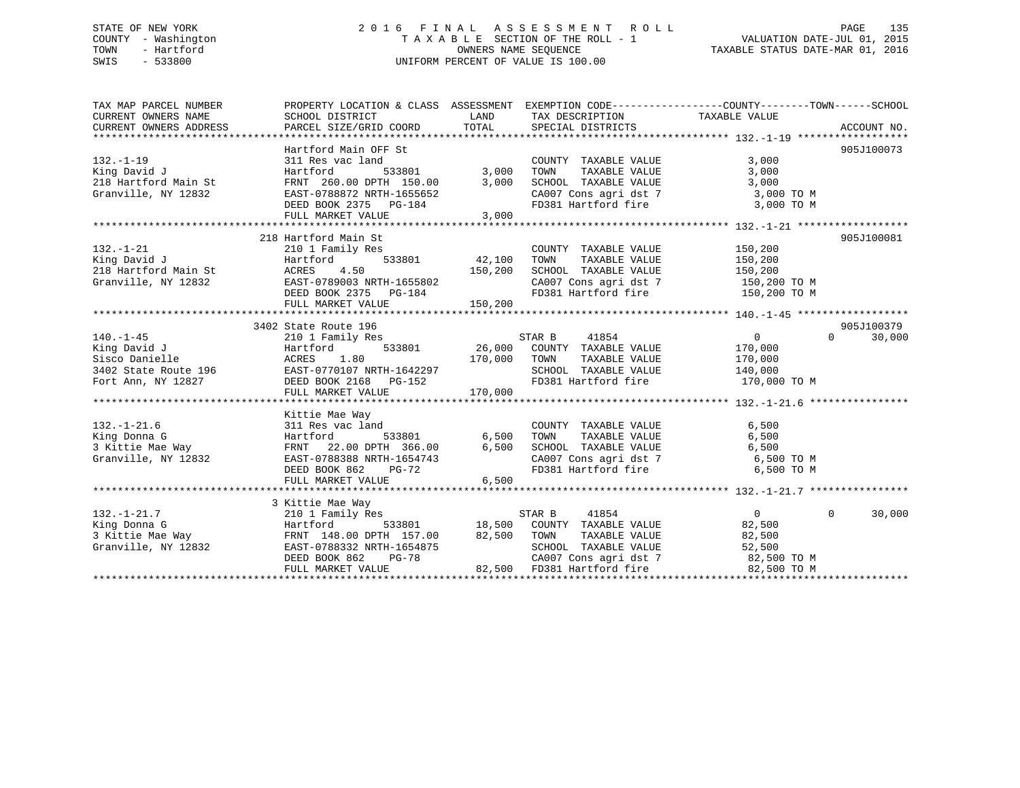## STATE OF NEW YORK 2 0 1 6 F I N A L A S S E S S M E N T R O L L PAGE 135 COUNTY - Washington T A X A B L E SECTION OF THE ROLL - 1 VALUATION DATE-JUL 01, 2015 TOWN - Hartford **TAXABLE STATUS DATE-MAR 01, 2016** OWNERS NAME SEQUENCE TAXABLE STATUS DATE-MAR 01, 2016 SWIS - 533800 UNIFORM PERCENT OF VALUE IS 100.00

| TAX MAP PARCEL NUMBER  | PROPERTY LOCATION & CLASS ASSESSMENT EXEMPTION CODE---------------COUNTY-------TOWN-----SCHOOL            |                  |                                                                  |                                                |                    |
|------------------------|-----------------------------------------------------------------------------------------------------------|------------------|------------------------------------------------------------------|------------------------------------------------|--------------------|
| CURRENT OWNERS NAME    | SCHOOL DISTRICT                                                                                           | LAND             | TAX DESCRIPTION                                                  | TAXABLE VALUE                                  |                    |
| CURRENT OWNERS ADDRESS | PARCEL SIZE/GRID COORD                                                                                    | TOTAL            | SPECIAL DISTRICTS                                                |                                                | ACCOUNT NO.        |
|                        |                                                                                                           |                  |                                                                  |                                                |                    |
|                        | Hartford Main OFF St                                                                                      |                  |                                                                  |                                                | 905J100073         |
| $132. - 1 - 19$        | 311 Res vac land                                                                                          |                  | COUNTY TAXABLE VALUE                                             | 3,000                                          |                    |
| King David J           | Hartford                                                                                                  | $533801$ $3,000$ | TAXABLE VALUE<br>TOWN                                            | 3,000                                          |                    |
| 218 Hartford Main St   | FRNT 260.00 DPTH 150.00                                                                                   | 3,000            | SCHOOL TAXABLE VALUE                                             | 3,000                                          |                    |
| Granville, NY 12832    | EAST-0788872 NRTH-1655652                                                                                 |                  | CA007 Cons agri dst 7 3,000 TO M                                 |                                                |                    |
|                        | DEED BOOK 2375 PG-184                                                                                     |                  | FD381 Hartford fire 3,000 TO M                                   |                                                |                    |
|                        | FULL MARKET VALUE                                                                                         | 3,000            |                                                                  |                                                |                    |
|                        |                                                                                                           |                  |                                                                  |                                                |                    |
|                        | 218 Hartford Main St                                                                                      |                  |                                                                  |                                                | 905J100081         |
| $132. - 1 - 21$        | 210 1 Family Res<br>533801                                                                                |                  | COUNTY TAXABLE VALUE                                             | 150,200                                        |                    |
| King David J           | Hartford                                                                                                  | 42,100           | TAXABLE VALUE<br>TOWN                                            | 150,200                                        |                    |
| 218 Hartford Main St   | ACRES<br>4.50                                                                                             | 150,200          | SCHOOL TAXABLE VALUE 150,200                                     |                                                |                    |
| Granville, NY 12832    | EAST-0789003 NRTH-1655802                                                                                 |                  | CA007 Cons agri dst 7 150,200 TO M                               |                                                |                    |
|                        | DEED BOOK 2375 PG-184                                                                                     |                  | FD381 Hartford fire                                              | 150,200 TO M                                   |                    |
|                        | FULL MARKET VALUE                                                                                         | 150,200          |                                                                  |                                                |                    |
|                        |                                                                                                           |                  |                                                                  |                                                |                    |
|                        | 3402 State Route 196                                                                                      |                  |                                                                  |                                                | 905J100379         |
| $140. - 1 - 45$        | 210 1 Family Res                                                                                          |                  | STAR B 41854                                                     | $\overline{0}$                                 | $\Omega$<br>30,000 |
| King David J           | Hartford                                                                                                  |                  | 533801 26,000 COUNTY TAXABLE VALUE                               | 170,000                                        |                    |
|                        |                                                                                                           |                  |                                                                  | TAXABLE VALUE 170,000<br>TAXABLE VALUE 140,000 |                    |
|                        | EAST-0770107 NRTH-1642297<br>DEED BOOK 2168 PG-152                                                        |                  | SCHOOL TAXABLE VALUE 140,000<br>FD381 Hartford fire 170,000 TO M |                                                |                    |
|                        |                                                                                                           |                  |                                                                  |                                                |                    |
|                        | FULL MARKET VALUE                                                                                         | 170,000          |                                                                  |                                                |                    |
|                        |                                                                                                           |                  |                                                                  |                                                |                    |
|                        | Kittie Mae Way                                                                                            |                  |                                                                  |                                                |                    |
| $132. - 1 - 21.6$      | 311 Res vac land                                                                                          |                  | COUNTY TAXABLE VALUE                                             | 6,500                                          |                    |
| King Donna G           | Hartford 533801 6,500<br>FRNT 22.00 DPTH 366.00 6,500<br>EAST-0788388 NRTH-1654743<br>DEED BOOK 862 PG-72 |                  | TOWN      TAXABLE  VALUE<br>SCHOOL    TAXABLE  VALUE             | 6,500                                          |                    |
| 3 Kittie Mae Way       |                                                                                                           |                  |                                                                  | 6,500                                          |                    |
| Granville, NY 12832    |                                                                                                           |                  | CA007 Cons agri dst 7 6,500 TO M                                 |                                                |                    |
|                        |                                                                                                           |                  | FD381 Hartford fire 6,500 TO M                                   |                                                |                    |
|                        | FULL MARKET VALUE                                                                                         | 6,500            |                                                                  |                                                |                    |
|                        |                                                                                                           |                  |                                                                  |                                                |                    |
|                        | 3 Kittie Mae Way                                                                                          |                  |                                                                  |                                                |                    |
| $132. - 1 - 21.7$      | 210 1 Family Res                                                                                          |                  |                                                                  | $\overline{0}$                                 | $\Omega$<br>30,000 |
| King Donna G           | Hartford                                                                                                  |                  |                                                                  | 82,500                                         |                    |
|                        | 3 Kittie Mae Way<br>Granville, NY 12832<br>EAST-0788332 NRTH-1654875                                      | 82,500 TOWN      | TAXABLE VALUE                                                    | 82,500                                         |                    |
|                        |                                                                                                           |                  | SCHOOL TAXABLE VALUE                                             | 52,500                                         |                    |
|                        | DEED BOOK 862<br>PG-78                                                                                    |                  |                                                                  |                                                |                    |
|                        | FULL MARKET VALUE                                                                                         |                  | 82,500 FD381 Hartford fire                                       | 82,500 TO M                                    |                    |
|                        |                                                                                                           |                  |                                                                  |                                                |                    |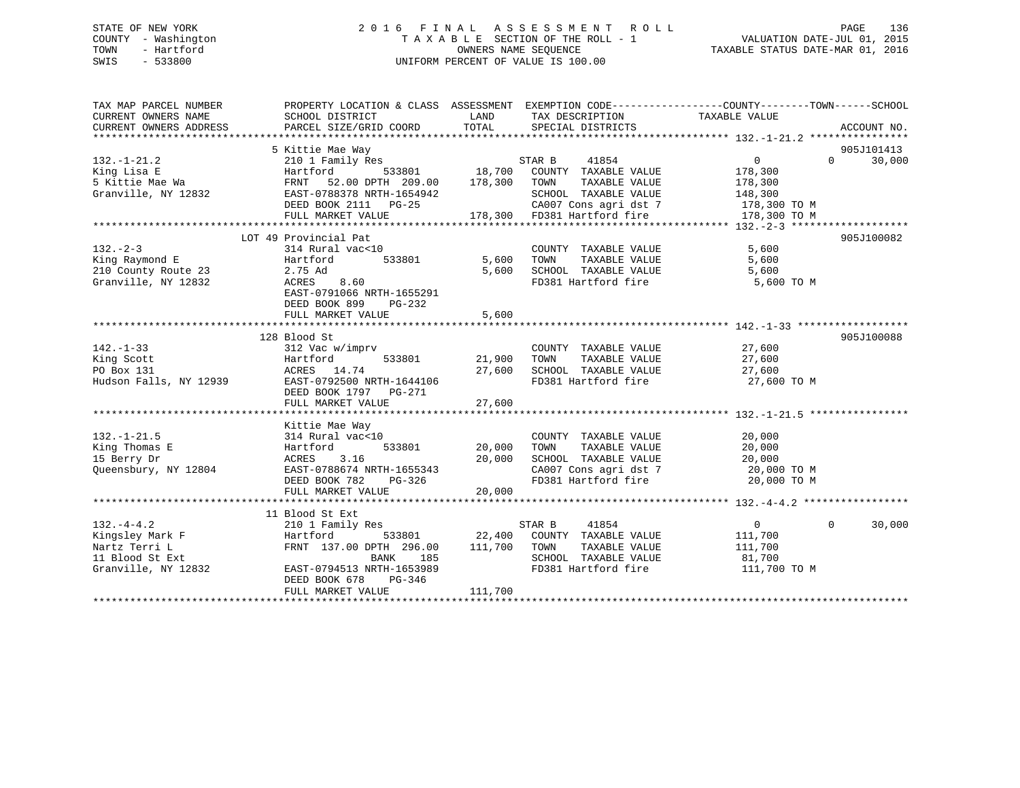## STATE OF NEW YORK 2 0 1 6 F I N A L A S S E S S M E N T R O L L PAGE 136 COUNTY - Washington T A X A B L E SECTION OF THE ROLL - 1 VALUATION DATE-JUL 01, 2015 TOWN - Hartford **TAXABLE STATUS DATE-MAR 01, 2016** OWNERS NAME SEQUENCE TAXABLE STATUS DATE-MAR 01, 2016 SWIS - 533800 UNIFORM PERCENT OF VALUE IS 100.00

| TAX MAP PARCEL NUMBER<br>CURRENT OWNERS NAME | PROPERTY LOCATION & CLASS ASSESSMENT EXEMPTION CODE----------------COUNTY-------TOWN------SCHOOL<br>SCHOOL DISTRICT | LAND    | TAX DESCRIPTION                                | TAXABLE VALUE  |                    |
|----------------------------------------------|---------------------------------------------------------------------------------------------------------------------|---------|------------------------------------------------|----------------|--------------------|
| CURRENT OWNERS ADDRESS                       | PARCEL SIZE/GRID COORD                                                                                              | TOTAL   | SPECIAL DISTRICTS                              |                | ACCOUNT NO.        |
|                                              |                                                                                                                     |         |                                                |                |                    |
|                                              | 5 Kittie Mae Way                                                                                                    |         |                                                |                | 905J101413         |
| $132. - 1 - 21.2$                            | 210 1 Family Res                                                                                                    |         | STAR B<br>41854                                | $\overline{0}$ | $\Omega$<br>30,000 |
| King Lisa E                                  | 533801<br>Hartford                                                                                                  | 18,700  | COUNTY TAXABLE VALUE                           | 178,300        |                    |
| 5 Kittie Mae Wa                              | 52.00 DPTH 209.00<br>FRNT                                                                                           | 178,300 | TOWN<br>TAXABLE VALUE                          | 178,300        |                    |
| Granville, NY 12832                          | EAST-0788378 NRTH-1654942                                                                                           |         | SCHOOL TAXABLE VALUE                           | 148,300        |                    |
|                                              | DEED BOOK 2111 PG-25                                                                                                |         | CA007 Cons agri dst 7                          | 178,300 TO M   |                    |
|                                              | FULL MARKET VALUE                                                                                                   |         | 178,300 FD381 Hartford fire                    | 178,300 TO M   |                    |
|                                              |                                                                                                                     |         |                                                |                |                    |
|                                              | LOT 49 Provincial Pat                                                                                               |         |                                                |                | 905J100082         |
| $132 - 2 - 3$                                | 314 Rural vac<10                                                                                                    |         | COUNTY TAXABLE VALUE                           | 5,600          |                    |
| King Raymond E                               | Hartford<br>533801                                                                                                  | 5,600   | TOWN<br>TAXABLE VALUE                          | 5,600          |                    |
| 210 County Route 23                          | 2.75 Ad                                                                                                             | 5,600   | SCHOOL TAXABLE VALUE                           | 5,600          |                    |
| Granville, NY 12832                          | ACRES<br>8.60                                                                                                       |         | FD381 Hartford fire                            | 5,600 TO M     |                    |
|                                              | EAST-0791066 NRTH-1655291                                                                                           |         |                                                |                |                    |
|                                              | DEED BOOK 899<br>PG-232                                                                                             |         |                                                |                |                    |
|                                              | FULL MARKET VALUE                                                                                                   | 5,600   |                                                |                |                    |
|                                              |                                                                                                                     |         |                                                |                |                    |
|                                              | 128 Blood St                                                                                                        |         |                                                |                | 905J100088         |
| $142. - 1 - 33$                              | 312 Vac w/imprv                                                                                                     |         | COUNTY TAXABLE VALUE                           | 27,600         |                    |
| King Scott                                   | 533801<br>Hartford                                                                                                  | 21,900  | TAXABLE VALUE<br>TOWN                          | 27,600         |                    |
| PO Box 131                                   | ACRES 14.74                                                                                                         | 27,600  | SCHOOL TAXABLE VALUE                           | 27,600         |                    |
| Hudson Falls, NY 12939                       | EAST-0792500 NRTH-1644106                                                                                           |         | FD381 Hartford fire                            | 27,600 TO M    |                    |
|                                              | DEED BOOK 1797 PG-271                                                                                               |         |                                                |                |                    |
|                                              | FULL MARKET VALUE                                                                                                   | 27,600  |                                                |                |                    |
|                                              |                                                                                                                     |         |                                                |                |                    |
|                                              | Kittie Mae Way                                                                                                      |         |                                                |                |                    |
| $132. - 1 - 21.5$                            | 314 Rural vac<10                                                                                                    |         | COUNTY TAXABLE VALUE                           | 20,000         |                    |
| King Thomas E                                | 533801<br>Hartford                                                                                                  | 20,000  | TAXABLE VALUE<br>TOWN                          | 20,000         |                    |
| 15 Berry Dr                                  | 3.16<br>ACRES                                                                                                       | 20,000  | SCHOOL TAXABLE VALUE                           | 20,000         |                    |
| Queensbury, NY 12804                         | EAST-0788674 NRTH-1655343                                                                                           |         | CA007 Cons agri dst 7<br>CA007 Cons agri dst 7 | 20,000 TO M    |                    |
|                                              | DEED BOOK 782<br>PG-326                                                                                             |         |                                                | 20,000 TO M    |                    |
|                                              | FULL MARKET VALUE                                                                                                   | 20,000  |                                                |                |                    |
|                                              |                                                                                                                     |         |                                                |                |                    |
|                                              | 11 Blood St Ext                                                                                                     |         |                                                |                |                    |
| $132. -4 - 4.2$                              | 210 1 Family Res                                                                                                    |         | 41854<br>STAR B                                | $\overline{0}$ | 30,000<br>$\Omega$ |
| Kingsley Mark F                              | Hartford<br>533801                                                                                                  | 22,400  | COUNTY TAXABLE VALUE                           | 111,700        |                    |
| Nartz Terri L                                | FRNT 137.00 DPTH 296.00                                                                                             | 111,700 | TOWN<br>TAXABLE VALUE<br>SCHOOL TAXABLE VALUE  | 111,700        |                    |
| 11 Blood St Ext                              | BANK<br>185                                                                                                         |         |                                                | 81,700         |                    |
| Granville, NY 12832                          | EAST-0794513 NRTH-1653989<br>DEED BOOK 678<br>PG-346                                                                |         | FD381 Hartford fire                            | 111,700 TO M   |                    |
|                                              | FULL MARKET VALUE                                                                                                   | 111,700 |                                                |                |                    |
|                                              |                                                                                                                     |         |                                                |                |                    |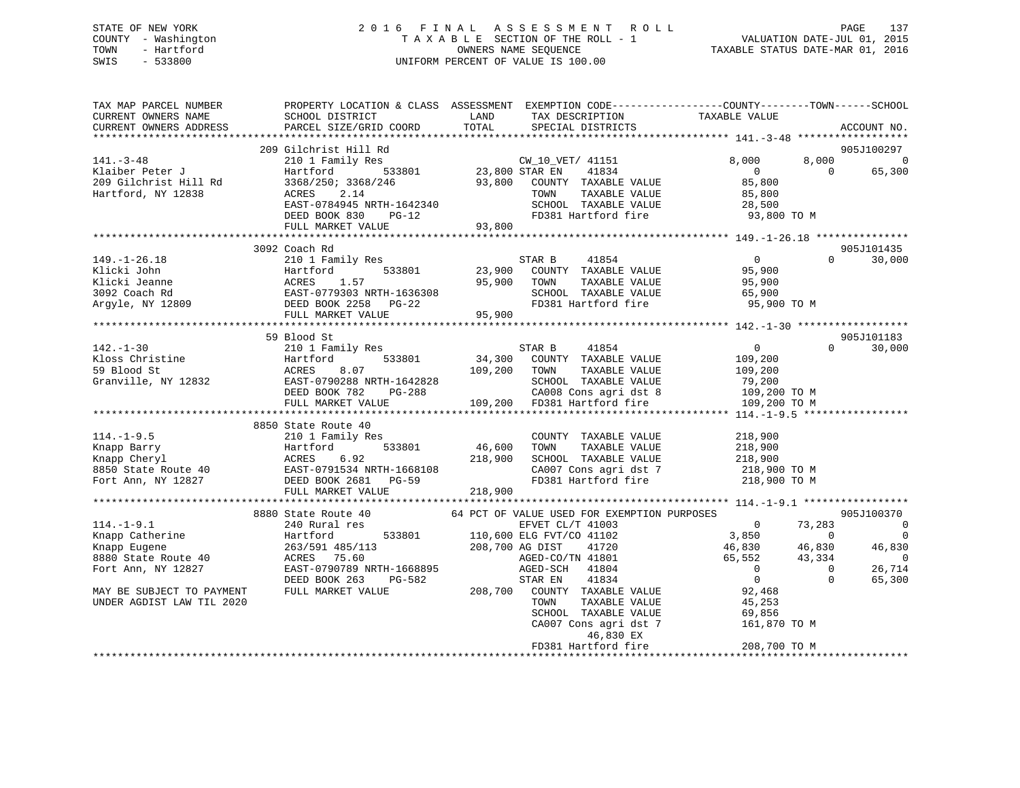## STATE OF NEW YORK 2 0 1 6 F I N A L A S S E S S M E N T R O L L PAGE 137 COUNTY - Washington T A X A B L E SECTION OF THE ROLL - 1 VALUATION DATE-JUL 01, 2015 TOWN - Hartford **TAXABLE STATUS DATE-MAR 01, 2016** OWNERS NAME SEQUENCE TAXABLE STATUS DATE-MAR 01, 2016 SWIS - 533800 UNIFORM PERCENT OF VALUE IS 100.00

| TAX MAP PARCEL NUMBER | PROPERTY LOCATION & CLASS ASSESSMENT EXEMPTION CODE----------------COUNTY-------TOWN------SCHOOL                                                                                                                                                                                                                                                                                                          |                                  |                |                                 |
|-----------------------|-----------------------------------------------------------------------------------------------------------------------------------------------------------------------------------------------------------------------------------------------------------------------------------------------------------------------------------------------------------------------------------------------------------|----------------------------------|----------------|---------------------------------|
|                       |                                                                                                                                                                                                                                                                                                                                                                                                           | TOTAL SPECIAL DISTRICTS          |                | ACCOUNT NO.                     |
|                       |                                                                                                                                                                                                                                                                                                                                                                                                           |                                  |                | 905J100297                      |
|                       | 209 Gilchrist Hill Rd<br>$\begin{array}{cccccccc} 141.-3-48 & 209 & \text{Gilchrift Hill Rd} & & & & & & & & 8,000 & 8,0 \\ \text{Klaiber Peter J} & 210 & 1 & \text{Family Res} & & & & & & & 8,000 & 8,0 \\ \text{Klaiber Peter J} & 3368/250: 3368/246 & 533801 & 23,800 & \text{STAR EN} & 41834 & 0 & 0 \\ \text{Bartford, NY 12838} & & & & & & & & 3368/250: 3368/246 & 93,800 & \text{COUNTY TAX$ |                                  |                |                                 |
|                       |                                                                                                                                                                                                                                                                                                                                                                                                           |                                  |                | $8,000$ 0<br>0 65,300<br>65,300 |
|                       |                                                                                                                                                                                                                                                                                                                                                                                                           |                                  |                |                                 |
|                       |                                                                                                                                                                                                                                                                                                                                                                                                           |                                  |                |                                 |
|                       |                                                                                                                                                                                                                                                                                                                                                                                                           |                                  |                |                                 |
|                       |                                                                                                                                                                                                                                                                                                                                                                                                           |                                  |                |                                 |
|                       |                                                                                                                                                                                                                                                                                                                                                                                                           |                                  |                |                                 |
|                       |                                                                                                                                                                                                                                                                                                                                                                                                           |                                  |                |                                 |
|                       | 3092 Coach Rd                                                                                                                                                                                                                                                                                                                                                                                             |                                  |                | 905J101435                      |
|                       |                                                                                                                                                                                                                                                                                                                                                                                                           |                                  |                |                                 |
|                       |                                                                                                                                                                                                                                                                                                                                                                                                           |                                  |                |                                 |
|                       |                                                                                                                                                                                                                                                                                                                                                                                                           |                                  |                |                                 |
|                       |                                                                                                                                                                                                                                                                                                                                                                                                           |                                  |                |                                 |
|                       |                                                                                                                                                                                                                                                                                                                                                                                                           |                                  |                |                                 |
|                       |                                                                                                                                                                                                                                                                                                                                                                                                           |                                  |                |                                 |
|                       |                                                                                                                                                                                                                                                                                                                                                                                                           |                                  |                |                                 |
|                       | 59 Blood St                                                                                                                                                                                                                                                                                                                                                                                               |                                  |                | 905J101183                      |
|                       |                                                                                                                                                                                                                                                                                                                                                                                                           |                                  | $\overline{0}$ | 30,000                          |
|                       |                                                                                                                                                                                                                                                                                                                                                                                                           |                                  |                |                                 |
|                       |                                                                                                                                                                                                                                                                                                                                                                                                           |                                  |                |                                 |
|                       |                                                                                                                                                                                                                                                                                                                                                                                                           |                                  |                |                                 |
|                       | 39 Blood St<br>210 1 Family Res<br>210 1 Family Res<br>210 1 Family Res<br>210 1 Family Res<br>210 1 Family Res<br>210 1 Family Res<br>210 533801<br>233801<br>233801<br>24,300 COUNTY TAXABLE VALUE<br>2109,200<br>200 200 200 200<br>200 200 200 200 2                                                                                                                                                  |                                  |                |                                 |
|                       |                                                                                                                                                                                                                                                                                                                                                                                                           |                                  |                |                                 |
|                       |                                                                                                                                                                                                                                                                                                                                                                                                           |                                  |                |                                 |
|                       |                                                                                                                                                                                                                                                                                                                                                                                                           |                                  |                |                                 |
|                       |                                                                                                                                                                                                                                                                                                                                                                                                           |                                  |                |                                 |
|                       |                                                                                                                                                                                                                                                                                                                                                                                                           |                                  |                |                                 |
|                       |                                                                                                                                                                                                                                                                                                                                                                                                           |                                  |                |                                 |
|                       |                                                                                                                                                                                                                                                                                                                                                                                                           |                                  |                |                                 |
|                       | 8850 State Route 40<br>EXAMPLE VALUE<br>EXAMP Barry Hartford 533801 46,600 TOWN TAXABLE VALUE<br>EXAMP Cheryl ACRES 6.92 218,900 SCHOOL TAXABLE VALUE 218,900<br>Fort Ann, NY 12827 DEED BOOK 2681 PG-59 218,900 FD381 Hartford fire 2                                                                                                                                                                    |                                  |                |                                 |
|                       |                                                                                                                                                                                                                                                                                                                                                                                                           |                                  |                |                                 |
|                       |                                                                                                                                                                                                                                                                                                                                                                                                           |                                  |                |                                 |
|                       |                                                                                                                                                                                                                                                                                                                                                                                                           |                                  |                |                                 |
|                       |                                                                                                                                                                                                                                                                                                                                                                                                           |                                  |                |                                 |
|                       |                                                                                                                                                                                                                                                                                                                                                                                                           |                                  |                |                                 |
|                       |                                                                                                                                                                                                                                                                                                                                                                                                           |                                  |                |                                 |
|                       |                                                                                                                                                                                                                                                                                                                                                                                                           |                                  |                |                                 |
|                       |                                                                                                                                                                                                                                                                                                                                                                                                           |                                  |                |                                 |
|                       |                                                                                                                                                                                                                                                                                                                                                                                                           |                                  |                |                                 |
|                       |                                                                                                                                                                                                                                                                                                                                                                                                           |                                  |                |                                 |
|                       |                                                                                                                                                                                                                                                                                                                                                                                                           |                                  |                |                                 |
|                       |                                                                                                                                                                                                                                                                                                                                                                                                           |                                  |                |                                 |
|                       | 114.-1-9.1<br>114.-1-9.1<br>114.-1-9.1<br>8880 State Route 40<br>Mapp Eugene (1/7 41003 COMPITON PURPOSES POR EXEMPTION PURPOSES (1/1003 0 73,283<br>110,600 ELGENET CL/T 41003 0 73,283<br>110,600 ELGENET (71102 146,830 164,830 46,                                                                                                                                                                    |                                  |                |                                 |
|                       |                                                                                                                                                                                                                                                                                                                                                                                                           | FD381 Hartford fire 208,700 TO M |                |                                 |
|                       |                                                                                                                                                                                                                                                                                                                                                                                                           |                                  |                |                                 |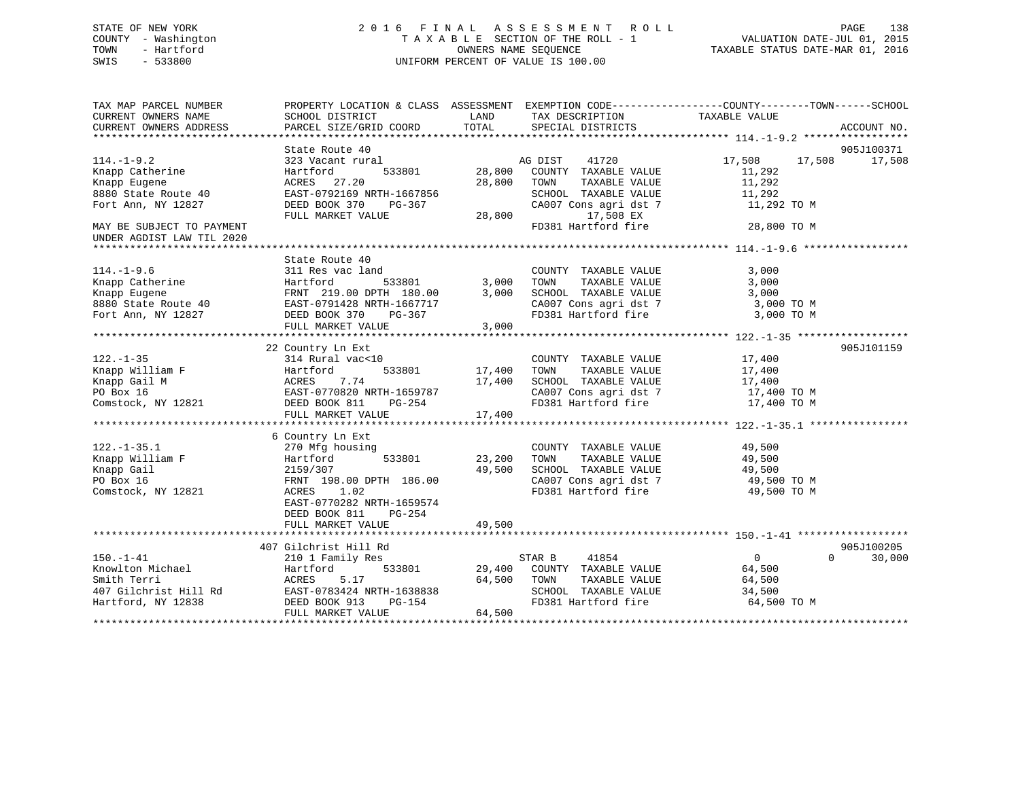## STATE OF NEW YORK 2 0 1 6 F I N A L A S S E S S M E N T R O L L PAGE 138 COUNTY - Washington T A X A B L E SECTION OF THE ROLL - 1 VALUATION DATE-JUL 01, 2015 TOWN - Hartford **TAXABLE STATUS DATE-MAR 01, 2016** OWNERS NAME SEQUENCE TAXABLE STATUS DATE-MAR 01, 2016 SWIS - 533800 UNIFORM PERCENT OF VALUE IS 100.00

| TAX MAP PARCEL NUMBER<br>CURRENT OWNERS NAME           | SCHOOL DISTRICT                                                                                                                                                                                                                               | LAND<br>TAX DESCRIPTION                                     | PROPERTY LOCATION & CLASS ASSESSMENT EXEMPTION CODE----------------COUNTY-------TOWN------SCHOOL<br>TAXABLE VALUE                                                                                                                             |
|--------------------------------------------------------|-----------------------------------------------------------------------------------------------------------------------------------------------------------------------------------------------------------------------------------------------|-------------------------------------------------------------|-----------------------------------------------------------------------------------------------------------------------------------------------------------------------------------------------------------------------------------------------|
| CURRENT OWNERS ADDRESS                                 | PARCEL SIZE/GRID COORD                                                                                                                                                                                                                        | TOTAL<br>SPECIAL DISTRICTS                                  | ACCOUNT NO.                                                                                                                                                                                                                                   |
|                                                        |                                                                                                                                                                                                                                               |                                                             |                                                                                                                                                                                                                                               |
|                                                        | State Route 40                                                                                                                                                                                                                                |                                                             | 905J100371                                                                                                                                                                                                                                    |
| $114.-1-9.2$                                           | 323 Vacant rural                                                                                                                                                                                                                              | AG DIST<br>41720                                            | 17,508<br>17,508 17,508                                                                                                                                                                                                                       |
| Knapp Catherine                                        | 533801<br>Hartford                                                                                                                                                                                                                            | 28,800<br>COUNTY TAXABLE VALUE                              | 11,292                                                                                                                                                                                                                                        |
| Knapp Eugene                                           | ACRES 27.20                                                                                                                                                                                                                                   | 28,800<br>TOWN<br>TAXABLE VALUE                             | 11,292                                                                                                                                                                                                                                        |
| 8880 State Route 40                                    | EAST-0792169 NRTH-1667856                                                                                                                                                                                                                     |                                                             | 11,292                                                                                                                                                                                                                                        |
| Fort Ann, NY 12827                                     | DEED BOOK 370<br>PG-367                                                                                                                                                                                                                       |                                                             | $\begin{tabular}{lllllllllll} \texttt{SCHOOL} & \texttt{TAXABLE} & \texttt{VALUE} & & \texttt{11,292} \\ \texttt{CA007} & \texttt{Cons}\ \texttt{agri}\ \texttt{dst}\ \texttt{7} & & \texttt{11,292} \ \texttt{TO}\ \texttt{M} \end{tabular}$ |
|                                                        | FULL MARKET VALUE                                                                                                                                                                                                                             | $6 \t\t\t\t 5CHOOL \t\t\t\t 28,800$<br>17,508 EX            |                                                                                                                                                                                                                                               |
| MAY BE SUBJECT TO PAYMENT<br>UNDER AGDIST LAW TIL 2020 |                                                                                                                                                                                                                                               | FD381 Hartford fire                                         | 28,800 TO M                                                                                                                                                                                                                                   |
|                                                        |                                                                                                                                                                                                                                               |                                                             |                                                                                                                                                                                                                                               |
|                                                        | State Route 40                                                                                                                                                                                                                                |                                                             |                                                                                                                                                                                                                                               |
| $114.-1-9.6$                                           | 311 Res vac land                                                                                                                                                                                                                              | COUNTY TAXABLE VALUE                                        | 3,000                                                                                                                                                                                                                                         |
|                                                        |                                                                                                                                                                                                                                               | TOWN<br>TAXABLE VALUE                                       | 3,000                                                                                                                                                                                                                                         |
|                                                        | Example Catherine Fartford 533801 3,000<br>Example Eugene FRNT 219.00 DPTH 180.00 3,000<br>8880 State Route 40 EAST-0791428 NRTH-1667717<br>Fort Ann, NY 12827 DEED BOOK 370 PG-367<br>FULL MARKET VALUE 3.000                                | SCHOOL TAXABLE VALUE                                        | 3,000                                                                                                                                                                                                                                         |
|                                                        |                                                                                                                                                                                                                                               |                                                             | CA007 Cons agri dst 7 3,000 TO M                                                                                                                                                                                                              |
|                                                        |                                                                                                                                                                                                                                               | FD381 Hartford fire                                         | 3,000 TO M                                                                                                                                                                                                                                    |
|                                                        | FULL MARKET VALUE                                                                                                                                                                                                                             | 3,000                                                       |                                                                                                                                                                                                                                               |
|                                                        |                                                                                                                                                                                                                                               |                                                             |                                                                                                                                                                                                                                               |
|                                                        | 22 Country Ln Ext                                                                                                                                                                                                                             |                                                             | 905J101159                                                                                                                                                                                                                                    |
|                                                        | 314 Rural vac<10                                                                                                                                                                                                                              | COUNTY TAXABLE VALUE                                        | TAXABLE VALUE 17,400<br>TAXABLE VALUE 17,400                                                                                                                                                                                                  |
|                                                        | 122.-1-35<br>Exerces 14 Rural vac<10<br>Exerces 14 Rural vac<10<br>Exerces 17,400<br>Exerces 7.74<br>PO Box 16<br>Comstock, NY 12821<br>Comstock, NY 12821<br>PO Box 16<br>EAST-0770820 NRTH-1659787<br>DEED BOOK 811<br>PO-254<br>THE PO-254 | 17,400<br>TOWN                                              |                                                                                                                                                                                                                                               |
|                                                        |                                                                                                                                                                                                                                               | SCHOOL TAXABLE VALUE                                        | 17,400<br>17,400 TO M                                                                                                                                                                                                                         |
|                                                        |                                                                                                                                                                                                                                               |                                                             |                                                                                                                                                                                                                                               |
|                                                        |                                                                                                                                                                                                                                               |                                                             |                                                                                                                                                                                                                                               |
|                                                        | FULL MARKET VALUE                                                                                                                                                                                                                             | 17,400                                                      |                                                                                                                                                                                                                                               |
|                                                        |                                                                                                                                                                                                                                               |                                                             |                                                                                                                                                                                                                                               |
|                                                        | 6 Country Ln Ext                                                                                                                                                                                                                              |                                                             |                                                                                                                                                                                                                                               |
| $122. - 1 - 35.1$                                      | 270 Mfg housing                                                                                                                                                                                                                               |                                                             | 49,500                                                                                                                                                                                                                                        |
|                                                        |                                                                                                                                                                                                                                               | COUNTY TAXABLE VALUE<br>TOWN TAXABLE VALUE<br>533801 23,200 | 49,500                                                                                                                                                                                                                                        |
|                                                        |                                                                                                                                                                                                                                               | 49,500<br>SCHOOL TAXABLE VALUE                              | 49,500                                                                                                                                                                                                                                        |
|                                                        | Example William F<br>Example 2159/307<br>Po Box 16<br>Comstock, NY 12821<br>Comstock, NY 12821<br>Po Box 16<br>Comstock, NY 12821<br>ACRES 1.02                                                                                               |                                                             | CA007 Cons agri dst 7 49,500 TO M                                                                                                                                                                                                             |
| Comstock, NY 12821                                     | ACRES 1.02                                                                                                                                                                                                                                    | FD381 Hartford fire                                         | 49,500 TO M                                                                                                                                                                                                                                   |
|                                                        | EAST-0770282 NRTH-1659574                                                                                                                                                                                                                     |                                                             |                                                                                                                                                                                                                                               |
|                                                        | DEED BOOK 811<br>PG-254                                                                                                                                                                                                                       |                                                             |                                                                                                                                                                                                                                               |
|                                                        | FULL MARKET VALUE                                                                                                                                                                                                                             | 49,500                                                      |                                                                                                                                                                                                                                               |
|                                                        |                                                                                                                                                                                                                                               |                                                             |                                                                                                                                                                                                                                               |
| $150. - 1 - 41$                                        | 407 Gilchrist Hill Rd                                                                                                                                                                                                                         |                                                             | 905J100205<br>$\overline{0}$<br>$\Omega$                                                                                                                                                                                                      |
|                                                        | 210 1 Family Res                                                                                                                                                                                                                              | STAR B<br>41854<br>COUNTY TAXABLE VALUE                     | 30,000                                                                                                                                                                                                                                        |
| Knowlton Michael<br>Cmith Torri                        | Hartford<br>5.17                                                                                                                                                                                                                              | 533801 29,400                                               | 64,500                                                                                                                                                                                                                                        |
| Smith Terri                                            | ACRES                                                                                                                                                                                                                                         | 64,500<br>TOWN<br>TAXABLE VALUE                             | 64,500                                                                                                                                                                                                                                        |
|                                                        |                                                                                                                                                                                                                                               | SCHOOL TAXABLE VALUE<br>FD381 Hartford fire                 | 34,500                                                                                                                                                                                                                                        |
|                                                        |                                                                                                                                                                                                                                               | 64,500                                                      | 64,500 TO M                                                                                                                                                                                                                                   |
|                                                        | FULL MARKET VALUE                                                                                                                                                                                                                             |                                                             |                                                                                                                                                                                                                                               |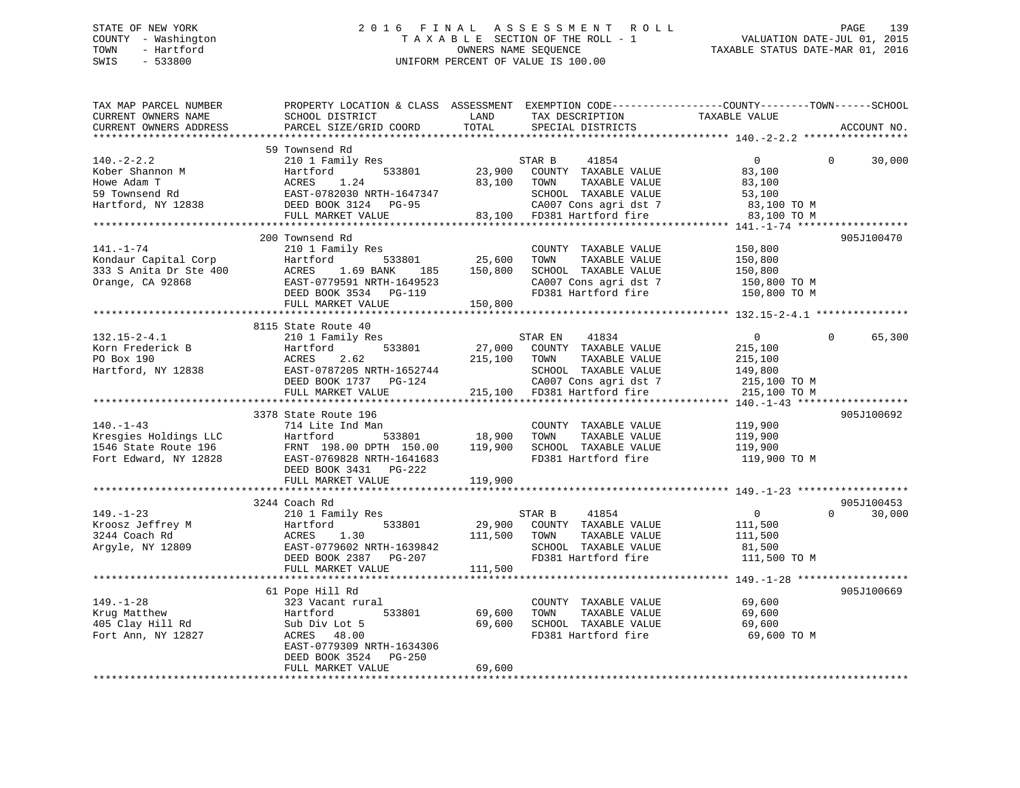# STATE OF NEW YORK 2016 FINAL ASSESSMENT ROLL PAGE 139 COUNTY - Washington  $T A X A B L E$  SECTION OF THE ROLL - 1<br>TOWN - Hartford SWIS - 533800 UNIFORM PERCENT OF VALUE IS 100.00

| TAX MAP PARCEL NUMBER  | PROPERTY LOCATION & CLASS ASSESSMENT                                                   |         |                                       | EXEMPTION CODE-----------------COUNTY--------TOWN-----SCHOOL |                    |
|------------------------|----------------------------------------------------------------------------------------|---------|---------------------------------------|--------------------------------------------------------------|--------------------|
| CURRENT OWNERS NAME    | SCHOOL DISTRICT                                                                        | LAND    | TAX DESCRIPTION                       | TAXABLE VALUE                                                |                    |
| CURRENT OWNERS ADDRESS | PARCEL SIZE/GRID COORD                                                                 | TOTAL   | SPECIAL DISTRICTS                     |                                                              | ACCOUNT NO.        |
|                        |                                                                                        |         |                                       |                                                              |                    |
|                        | 59 Townsend Rd                                                                         |         |                                       |                                                              |                    |
| $140. - 2 - 2.2$       | 210 1 Family Res                                                                       |         | STAR B<br>41854                       | $\mathbf{0}$                                                 | $\Omega$<br>30,000 |
| Kober Shannon M        | 533801<br>Hartford                                                                     | 23,900  | COUNTY TAXABLE VALUE                  | 83,100                                                       |                    |
| Howe Adam T            | ACRES<br>1.24                                                                          | 83,100  | TOWN<br>TAXABLE VALUE                 | 83,100                                                       |                    |
| 59 Townsend Rd         | EAST-0782030 NRTH-1647347                                                              |         | SCHOOL TAXABLE VALUE                  | 53,100                                                       |                    |
| Hartford, NY 12838     | DEED BOOK 3124 PG-95                                                                   |         | CA007 Cons agri dst 7                 | 83,100 TO M                                                  |                    |
|                        | FULL MARKET VALUE                                                                      |         | 83,100 FD381 Hartford fire            | 83,100 TO M                                                  |                    |
|                        |                                                                                        |         |                                       |                                                              |                    |
|                        | 200 Townsend Rd                                                                        |         |                                       |                                                              | 905J100470         |
| 141.-1-74              | 210 1 Family Res                                                                       |         | COUNTY TAXABLE VALUE                  | 150,800                                                      |                    |
|                        |                                                                                        | 25,600  |                                       |                                                              |                    |
| Kondaur Capital Corp   | 533801<br>Hartford                                                                     |         | TAXABLE VALUE<br>TOWN                 | 150,800                                                      |                    |
| 333 S Anita Dr Ste 400 | ACRES 1.69 BANK<br>185                                                                 | 150,800 | SCHOOL TAXABLE VALUE                  | 150,800                                                      |                    |
| Orange, CA 92868       | EAST-0779591 NRTH-1649523                                                              |         | CA007 Cons agri dst 7                 | 150,800 TO M                                                 |                    |
|                        | DEED BOOK 3534 PG-119                                                                  |         | FD381 Hartford fire                   | 150,800 TO M                                                 |                    |
|                        | FULL MARKET VALUE                                                                      | 150,800 |                                       |                                                              |                    |
|                        |                                                                                        |         |                                       |                                                              |                    |
|                        | 8115 State Route 40                                                                    |         |                                       |                                                              |                    |
| $132.15 - 2 - 4.1$     | 210 1 Family Res                                                                       |         | 41834<br>STAR EN                      | $\overline{0}$                                               | 65,300<br>$\Omega$ |
| Korn Frederick B       | Hartford<br>533801                                                                     | 27,000  | COUNTY TAXABLE VALUE                  | 215,100                                                      |                    |
| PO Box 190             | ACRES<br>2.62                                                                          | 215,100 | TOWN<br>TAXABLE VALUE                 | 215,100                                                      |                    |
| Hartford, NY 12838     | EAST-0787205 NRTH-1652744                                                              |         | SCHOOL TAXABLE VALUE                  | 149,800                                                      |                    |
|                        | DEED BOOK 1737 PG-124                                                                  |         | CA007 Cons agri dst 7                 | 215,100 TO M                                                 |                    |
|                        | FULL MARKET VALUE                                                                      |         | 215,100 FD381 Hartford fire           | 215,100 TO M                                                 |                    |
|                        |                                                                                        |         |                                       |                                                              |                    |
|                        | 3378 State Route 196                                                                   |         |                                       |                                                              | 905J100692         |
| $140. - 1 - 43$        | 714 Lite Ind Man                                                                       |         | COUNTY TAXABLE VALUE                  | 119,900                                                      |                    |
| Kresgies Holdings LLC  | 533801<br>Hartford                                                                     | 18,900  | TOWN<br>TAXABLE VALUE                 | 119,900                                                      |                    |
| 1546 State Route 196   |                                                                                        | 119,900 | SCHOOL TAXABLE VALUE                  | 119,900                                                      |                    |
| Fort Edward, NY 12828  | Hartford<br>FRNT 198.00 DPTH 150.00<br>COSSO NDTH-1641683<br>EAST-0769828 NRTH-1641683 |         | FD381 Hartford fire                   | 119,900 TO M                                                 |                    |
|                        | DEED BOOK 3431 PG-222                                                                  |         |                                       |                                                              |                    |
|                        | FULL MARKET VALUE                                                                      | 119,900 |                                       |                                                              |                    |
|                        |                                                                                        |         |                                       |                                                              |                    |
|                        | 3244 Coach Rd                                                                          |         |                                       |                                                              | 905J100453         |
| $149. - 1 - 23$        | 210 1 Family Res                                                                       |         | STAR B<br>41854                       | $\overline{0}$                                               | $\Omega$<br>30,000 |
| Kroosz Jeffrey M       | 533801<br>Hartford                                                                     | 29,900  | COUNTY TAXABLE VALUE                  | 111,500                                                      |                    |
| 3244 Coach Rd          | 1.30                                                                                   |         | TOWN                                  |                                                              |                    |
|                        | ACRES<br>EAST-0779602 NRTH-1639842                                                     | 111,500 | TAXABLE VALUE<br>SCHOOL TAXABLE VALUE | 111,500                                                      |                    |
| Argyle, NY 12809       |                                                                                        |         | FD381 Hartford fire                   | 81,500                                                       |                    |
|                        | DEED BOOK 2387<br>PG-207                                                               |         |                                       | 111,500 TO M                                                 |                    |
|                        | FULL MARKET VALUE                                                                      | 111,500 |                                       |                                                              |                    |
|                        |                                                                                        |         |                                       |                                                              |                    |
|                        | 61 Pope Hill Rd                                                                        |         |                                       |                                                              | 905J100669         |
| $149. - 1 - 28$        | 323 Vacant rural                                                                       |         | COUNTY TAXABLE VALUE                  | 69,600                                                       |                    |
| Krug Matthew           | 533801<br>Hartford                                                                     | 69,600  | TOWN<br>TAXABLE VALUE                 | 69,600                                                       |                    |
| 405 Clay Hill Rd       | Sub Div Lot 5                                                                          | 69,600  | SCHOOL TAXABLE VALUE                  | 69,600                                                       |                    |
| Fort Ann, NY 12827     | ACRES 48.00                                                                            |         | FD381 Hartford fire                   | 69,600 TO M                                                  |                    |
|                        | EAST-0779309 NRTH-1634306                                                              |         |                                       |                                                              |                    |
|                        | DEED BOOK 3524<br>PG-250                                                               |         |                                       |                                                              |                    |
|                        | FULL MARKET VALUE                                                                      | 69,600  |                                       |                                                              |                    |
|                        |                                                                                        |         |                                       |                                                              |                    |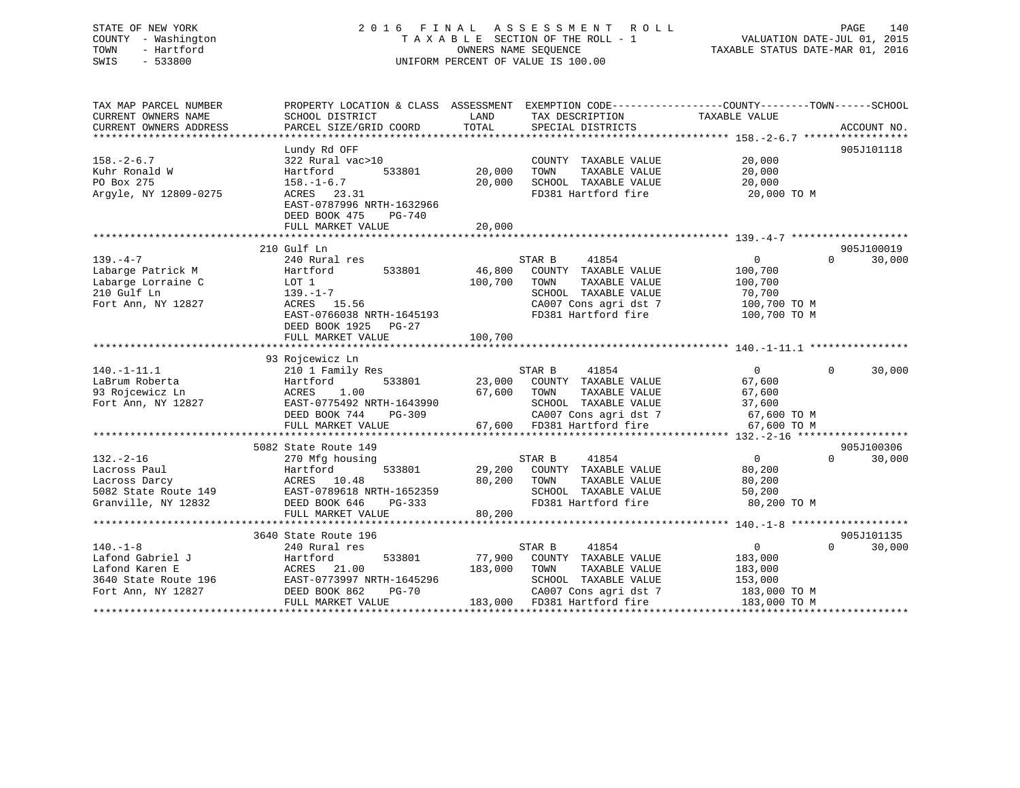## STATE OF NEW YORK 2 0 1 6 F I N A L A S S E S S M E N T R O L L PAGE 140 COUNTY - Washington T A X A B L E SECTION OF THE ROLL - 1 VALUATION DATE-JUL 01, 2015 TOWN - Hartford **TAXABLE STATUS DATE-MAR 01, 2016** OWNERS NAME SEQUENCE TAXABLE STATUS DATE-MAR 01, 2016 SWIS - 533800 UNIFORM PERCENT OF VALUE IS 100.00

| TOTAL<br>CURRENT OWNERS ADDRESS<br>PARCEL SIZE/GRID COORD<br>SPECIAL DISTRICTS<br>Lundy Rd OFF<br>$158. - 2 - 6.7$<br>322 Rural vac>10<br>COUNTY TAXABLE VALUE<br>20,000<br>Kuhr Ronald W<br>533801<br>20,000<br>TAXABLE VALUE<br>20,000<br>Hartford<br>TOWN<br>PO Box 275<br>20,000<br>SCHOOL TAXABLE VALUE<br>20,000<br>$158. - 1 - 6.7$<br>Argyle, NY 12809-0275<br>FD381 Hartford fire<br>ACRES<br>23.31<br>20,000 TO M<br>EAST-0787996 NRTH-1632966<br>DEED BOOK 475<br>PG-740<br>20,000<br>FULL MARKET VALUE<br>210 Gulf Ln<br>$139. -4 - 7$<br>240 Rural res<br>STAR B<br>41854<br>$\overline{0}$<br>$\Omega$<br>Labarge Patrick M<br>46,800<br>Hartford<br>533801<br>COUNTY TAXABLE VALUE<br>100,700 | ACCOUNT NO.<br>905J101118<br>905J100019<br>30,000 |
|--------------------------------------------------------------------------------------------------------------------------------------------------------------------------------------------------------------------------------------------------------------------------------------------------------------------------------------------------------------------------------------------------------------------------------------------------------------------------------------------------------------------------------------------------------------------------------------------------------------------------------------------------------------------------------------------------------------|---------------------------------------------------|
|                                                                                                                                                                                                                                                                                                                                                                                                                                                                                                                                                                                                                                                                                                              |                                                   |
|                                                                                                                                                                                                                                                                                                                                                                                                                                                                                                                                                                                                                                                                                                              |                                                   |
|                                                                                                                                                                                                                                                                                                                                                                                                                                                                                                                                                                                                                                                                                                              |                                                   |
|                                                                                                                                                                                                                                                                                                                                                                                                                                                                                                                                                                                                                                                                                                              |                                                   |
|                                                                                                                                                                                                                                                                                                                                                                                                                                                                                                                                                                                                                                                                                                              |                                                   |
|                                                                                                                                                                                                                                                                                                                                                                                                                                                                                                                                                                                                                                                                                                              |                                                   |
|                                                                                                                                                                                                                                                                                                                                                                                                                                                                                                                                                                                                                                                                                                              |                                                   |
|                                                                                                                                                                                                                                                                                                                                                                                                                                                                                                                                                                                                                                                                                                              |                                                   |
|                                                                                                                                                                                                                                                                                                                                                                                                                                                                                                                                                                                                                                                                                                              |                                                   |
|                                                                                                                                                                                                                                                                                                                                                                                                                                                                                                                                                                                                                                                                                                              |                                                   |
|                                                                                                                                                                                                                                                                                                                                                                                                                                                                                                                                                                                                                                                                                                              |                                                   |
|                                                                                                                                                                                                                                                                                                                                                                                                                                                                                                                                                                                                                                                                                                              |                                                   |
|                                                                                                                                                                                                                                                                                                                                                                                                                                                                                                                                                                                                                                                                                                              |                                                   |
| 100,700<br>TAXABLE VALUE<br>Labarge Lorraine C<br>LOT 1<br>TOWN<br>100,700                                                                                                                                                                                                                                                                                                                                                                                                                                                                                                                                                                                                                                   |                                                   |
| 210 Gulf Ln<br>SCHOOL TAXABLE VALUE<br>139.–1–7<br>70,700                                                                                                                                                                                                                                                                                                                                                                                                                                                                                                                                                                                                                                                    |                                                   |
| CA007 Cons agri dst 7<br>Fort Ann, NY 12827<br>ACRES 15.56<br>100,700 TO M                                                                                                                                                                                                                                                                                                                                                                                                                                                                                                                                                                                                                                   |                                                   |
| EAST-0766038 NRTH-1645193<br>FD381 Hartford fire<br>100,700 TO M                                                                                                                                                                                                                                                                                                                                                                                                                                                                                                                                                                                                                                             |                                                   |
| DEED BOOK 1925 PG-27                                                                                                                                                                                                                                                                                                                                                                                                                                                                                                                                                                                                                                                                                         |                                                   |
| 100,700<br>FULL MARKET VALUE                                                                                                                                                                                                                                                                                                                                                                                                                                                                                                                                                                                                                                                                                 |                                                   |
|                                                                                                                                                                                                                                                                                                                                                                                                                                                                                                                                                                                                                                                                                                              |                                                   |
| 93 Rojcewicz Ln                                                                                                                                                                                                                                                                                                                                                                                                                                                                                                                                                                                                                                                                                              |                                                   |
| $140. - 1 - 11.1$<br>STAR B<br>41854<br>$\overline{0}$<br>$\Omega$<br>210 1 Family Res                                                                                                                                                                                                                                                                                                                                                                                                                                                                                                                                                                                                                       | 30,000                                            |
| LaBrum Roberta<br>533801<br>Hartford<br>23,000<br>COUNTY TAXABLE VALUE<br>67,600                                                                                                                                                                                                                                                                                                                                                                                                                                                                                                                                                                                                                             |                                                   |
| 1.00<br>93 Rojcewicz Ln<br>ACRES<br>67,600<br>TOWN<br>TAXABLE VALUE<br>67,600                                                                                                                                                                                                                                                                                                                                                                                                                                                                                                                                                                                                                                |                                                   |
| Fort Ann, NY 12827<br>EAST-0775492 NRTH-1643990<br>SCHOOL TAXABLE VALUE<br>37,600                                                                                                                                                                                                                                                                                                                                                                                                                                                                                                                                                                                                                            |                                                   |
| DEED BOOK 744<br>CA007 Cons agri dst 7<br>67,600 TO M<br>PG-309                                                                                                                                                                                                                                                                                                                                                                                                                                                                                                                                                                                                                                              |                                                   |
| FULL MARKET VALUE<br>67,600 FD381 Hartford fire<br>67,600 TO M                                                                                                                                                                                                                                                                                                                                                                                                                                                                                                                                                                                                                                               |                                                   |
|                                                                                                                                                                                                                                                                                                                                                                                                                                                                                                                                                                                                                                                                                                              |                                                   |
| 5082 State Route 149                                                                                                                                                                                                                                                                                                                                                                                                                                                                                                                                                                                                                                                                                         | 905J100306                                        |
| $132. - 2 - 16$<br>STAR B<br>41854<br>$\overline{0}$<br>$\Omega$<br>270 Mfg housing                                                                                                                                                                                                                                                                                                                                                                                                                                                                                                                                                                                                                          | 30,000                                            |
| Lacross Paul<br>Hartford<br>533801<br>29,200<br>COUNTY TAXABLE VALUE<br>80,200                                                                                                                                                                                                                                                                                                                                                                                                                                                                                                                                                                                                                               |                                                   |
| ACRES 10.48<br>80,200<br>TAXABLE VALUE<br>Lacross Darcy<br>TOWN<br>80,200                                                                                                                                                                                                                                                                                                                                                                                                                                                                                                                                                                                                                                    |                                                   |
| 5082 State Route 149<br>EAST-0789618 NRTH-1652359<br>SCHOOL TAXABLE VALUE<br>50,200                                                                                                                                                                                                                                                                                                                                                                                                                                                                                                                                                                                                                          |                                                   |
| FD381 Hartford fire<br>80,200 TO M<br>Granville, NY 12832<br>DEED BOOK 646<br>PG-333                                                                                                                                                                                                                                                                                                                                                                                                                                                                                                                                                                                                                         |                                                   |
| 80,200<br>FULL MARKET VALUE                                                                                                                                                                                                                                                                                                                                                                                                                                                                                                                                                                                                                                                                                  |                                                   |
|                                                                                                                                                                                                                                                                                                                                                                                                                                                                                                                                                                                                                                                                                                              |                                                   |
| 3640 State Route 196                                                                                                                                                                                                                                                                                                                                                                                                                                                                                                                                                                                                                                                                                         | 905J101135                                        |
| $140. - 1 - 8$<br>41854<br>0<br>$\Omega$<br>240 Rural res<br>STAR B                                                                                                                                                                                                                                                                                                                                                                                                                                                                                                                                                                                                                                          | 30,000                                            |
| Lafond Gabriel J<br>533801<br>77,900<br>COUNTY TAXABLE VALUE<br>Hartford<br>183,000                                                                                                                                                                                                                                                                                                                                                                                                                                                                                                                                                                                                                          |                                                   |
| Lafond Karen E<br>ACRES 21.00<br>183,000<br>TAXABLE VALUE<br>TOWN<br>183,000                                                                                                                                                                                                                                                                                                                                                                                                                                                                                                                                                                                                                                 |                                                   |
| 3640 State Route 196<br>EAST-0773997 NRTH-1645296<br>SCHOOL TAXABLE VALUE<br>153,000                                                                                                                                                                                                                                                                                                                                                                                                                                                                                                                                                                                                                         |                                                   |
| Fort Ann, NY 12827<br>DEED BOOK 862<br><b>PG-70</b><br>CA007 Cons agri dst 7<br>183,000 TO M                                                                                                                                                                                                                                                                                                                                                                                                                                                                                                                                                                                                                 |                                                   |
| 183,000 FD381 Hartford fire<br>183,000 TO M<br>FULL MARKET VALUE                                                                                                                                                                                                                                                                                                                                                                                                                                                                                                                                                                                                                                             |                                                   |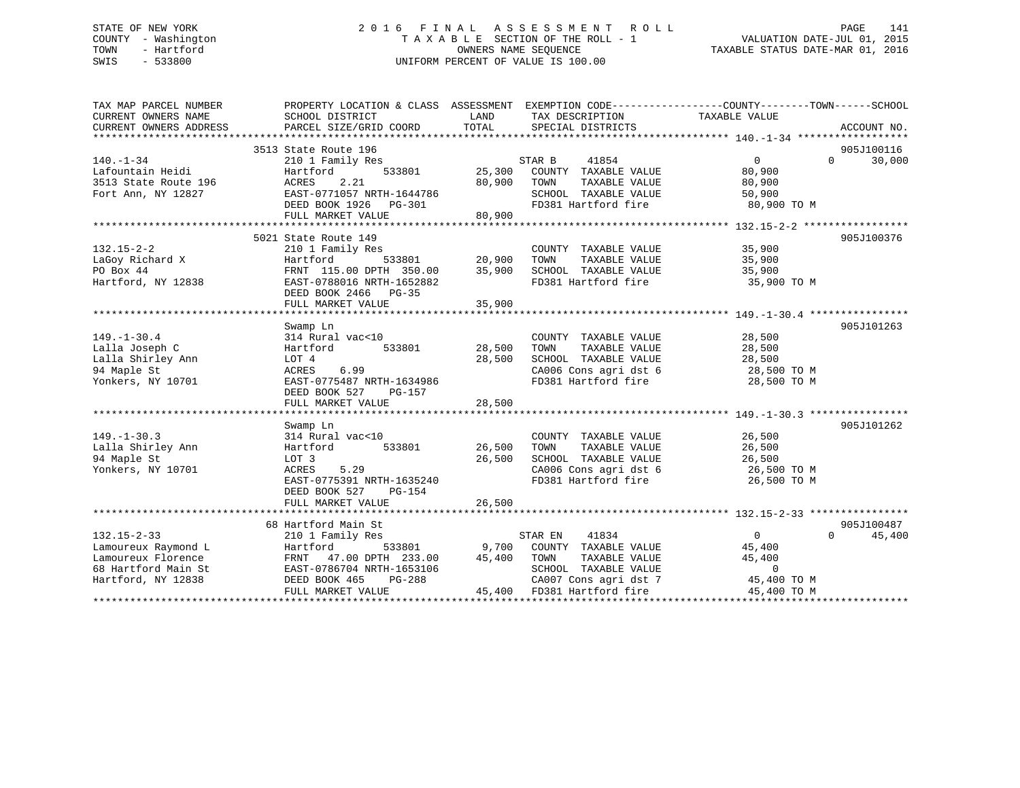## STATE OF NEW YORK 2 0 1 6 F I N A L A S S E S S M E N T R O L L PAGE 141 COUNTY - Washington T A X A B L E SECTION OF THE ROLL - 1 VALUATION DATE-JUL 01, 2015 TOWN - Hartford **TAXABLE STATUS DATE-MAR 01, 2016** OWNERS NAME SEQUENCE TAXABLE STATUS DATE-MAR 01, 2016 SWIS - 533800 UNIFORM PERCENT OF VALUE IS 100.00

| TAX MAP PARCEL NUMBER<br>CURRENT OWNERS NAME<br>CURRENT OWNERS ADDRESS | PROPERTY LOCATION & CLASS ASSESSMENT EXEMPTION CODE---------------COUNTY-------TOWN-----SCHOOL<br>SCHOOL DISTRICT<br>PARCEL SIZE/GRID COORD | LAND<br>TOTAL                                    | TAX DESCRIPTION<br>SPECIAL DISTRICTS          | TAXABLE VALUE    | ACCOUNT NO.        |
|------------------------------------------------------------------------|---------------------------------------------------------------------------------------------------------------------------------------------|--------------------------------------------------|-----------------------------------------------|------------------|--------------------|
|                                                                        |                                                                                                                                             |                                                  |                                               |                  |                    |
|                                                                        | 3513 State Route 196                                                                                                                        |                                                  |                                               |                  | 905J100116         |
| $140. - 1 - 34$                                                        | 210 1 Family Res                                                                                                                            |                                                  | STAR B<br>41854                               | $\overline{0}$   | $\Omega$<br>30,000 |
| Lafountain Heidi                                                       | 533801<br>Hartford                                                                                                                          | 25,300                                           | COUNTY TAXABLE VALUE                          | 80,900           |                    |
| 3513 State Route 196                                                   | ACRES<br>2.21                                                                                                                               | 80,900                                           | TAXABLE VALUE<br>TOWN                         | 80,900           |                    |
| Fort Ann, NY 12827                                                     | EAST-0771057 NRTH-1644786                                                                                                                   |                                                  | SCHOOL TAXABLE VALUE                          | 50,900           |                    |
|                                                                        | DEED BOOK 1926    PG-301                                                                                                                    |                                                  | FD381 Hartford fire                           | 80,900 TO M      |                    |
|                                                                        | FULL MARKET VALUE                                                                                                                           | 80,900                                           |                                               |                  |                    |
|                                                                        |                                                                                                                                             |                                                  |                                               |                  |                    |
|                                                                        | 5021 State Route 149                                                                                                                        |                                                  |                                               |                  | 905J100376         |
| $132.15 - 2 - 2$                                                       | 210 1 Family Res                                                                                                                            |                                                  | COUNTY TAXABLE VALUE                          | 35,900           |                    |
| LaGoy Richard X<br>PO Box 44                                           | 533801<br>Hartford<br>FRNT 115.00 DPTH 350.00                                                                                               | $\begin{array}{cc} 20,900 \\ 35,900 \end{array}$ | TOWN<br>TAXABLE VALUE<br>SCHOOL TAXABLE VALUE | 35,900<br>35,900 |                    |
| Hartford, NY 12838                                                     | EAST-0788016 NRTH-1652882                                                                                                                   |                                                  | FD381 Hartford fire                           | 35,900 TO M      |                    |
|                                                                        | DEED BOOK 2466 PG-35                                                                                                                        |                                                  |                                               |                  |                    |
|                                                                        | FULL MARKET VALUE                                                                                                                           | 35,900                                           |                                               |                  |                    |
|                                                                        |                                                                                                                                             |                                                  |                                               |                  |                    |
|                                                                        | Swamp Ln                                                                                                                                    |                                                  |                                               |                  | 905J101263         |
| $149. - 1 - 30.4$                                                      | 314 Rural vac<10                                                                                                                            |                                                  | COUNTY TAXABLE VALUE                          | 28,500           |                    |
| Lalla Joseph C                                                         | 533801<br>Hartford                                                                                                                          | 28,500                                           | TOWN<br>TAXABLE VALUE                         | 28,500           |                    |
| Lalla Shirley Ann                                                      | LOT 4                                                                                                                                       | 28,500                                           | SCHOOL TAXABLE VALUE                          | 28,500           |                    |
| 94 Maple St                                                            | ACRES<br>6.99                                                                                                                               |                                                  | CA006 Cons agri dst 6                         | 28,500 TO M      |                    |
| Yonkers, NY 10701                                                      | EAST-0775487 NRTH-1634986                                                                                                                   |                                                  | FD381 Hartford fire                           | 28,500 TO M      |                    |
|                                                                        | DEED BOOK 527<br>PG-157                                                                                                                     |                                                  |                                               |                  |                    |
|                                                                        | FULL MARKET VALUE                                                                                                                           | 28,500                                           |                                               |                  |                    |
|                                                                        |                                                                                                                                             |                                                  |                                               |                  |                    |
|                                                                        | Swamp Ln                                                                                                                                    |                                                  |                                               |                  | 905J101262         |
| $149. - 1 - 30.3$                                                      | 314 Rural vac<10                                                                                                                            |                                                  | COUNTY TAXABLE VALUE                          | 26,500           |                    |
| Lalla Shirley Ann                                                      | 533801<br>Hartford                                                                                                                          | 26,500                                           | TOWN<br>TAXABLE VALUE                         | 26,500           |                    |
| 94 Maple St                                                            | LOT 3                                                                                                                                       | 26,500                                           | SCHOOL TAXABLE VALUE                          | 26,500           |                    |
| Yonkers, NY 10701                                                      | ACRES<br>5.29                                                                                                                               |                                                  | CA006 Cons agri dst 6                         | 26,500 TO M      |                    |
|                                                                        | EAST-0775391 NRTH-1635240                                                                                                                   |                                                  | FD381 Hartford fire                           | 26,500 TO M      |                    |
|                                                                        | DEED BOOK 527<br>$PG-154$                                                                                                                   |                                                  |                                               |                  |                    |
|                                                                        | FULL MARKET VALUE                                                                                                                           | 26,500                                           |                                               |                  |                    |
|                                                                        | 68 Hartford Main St                                                                                                                         |                                                  |                                               |                  | 905J100487         |
| $132.15 - 2 - 33$                                                      |                                                                                                                                             |                                                  | STAR EN<br>41834                              | $\Omega$         | 45,400<br>$\Omega$ |
| Lamoureux Raymond L                                                    | 210 1 Family Res<br>Hartford                                                                                                                |                                                  | 533801 9,700 COUNTY TAXABLE VALUE             | 45,400           |                    |
| Lamoureux Florence                                                     | FRNT 47.00 DPTH 233.00                                                                                                                      | 45,400                                           | TOWN<br>TAXABLE VALUE                         | 45,400           |                    |
| 68 Hartford Main St                                                    | EAST-0786704 NRTH-1653106                                                                                                                   |                                                  | SCHOOL TAXABLE VALUE                          | $\overline{0}$   |                    |
| Hartford, NY 12838                                                     | DEED BOOK 465<br>PG-288                                                                                                                     |                                                  | CA007 Cons agri dst 7                         | 45,400 TO M      |                    |
|                                                                        | FULL MARKET VALUE                                                                                                                           |                                                  | 45,400 FD381 Hartford fire                    | 45,400 TO M      |                    |
|                                                                        |                                                                                                                                             |                                                  |                                               |                  |                    |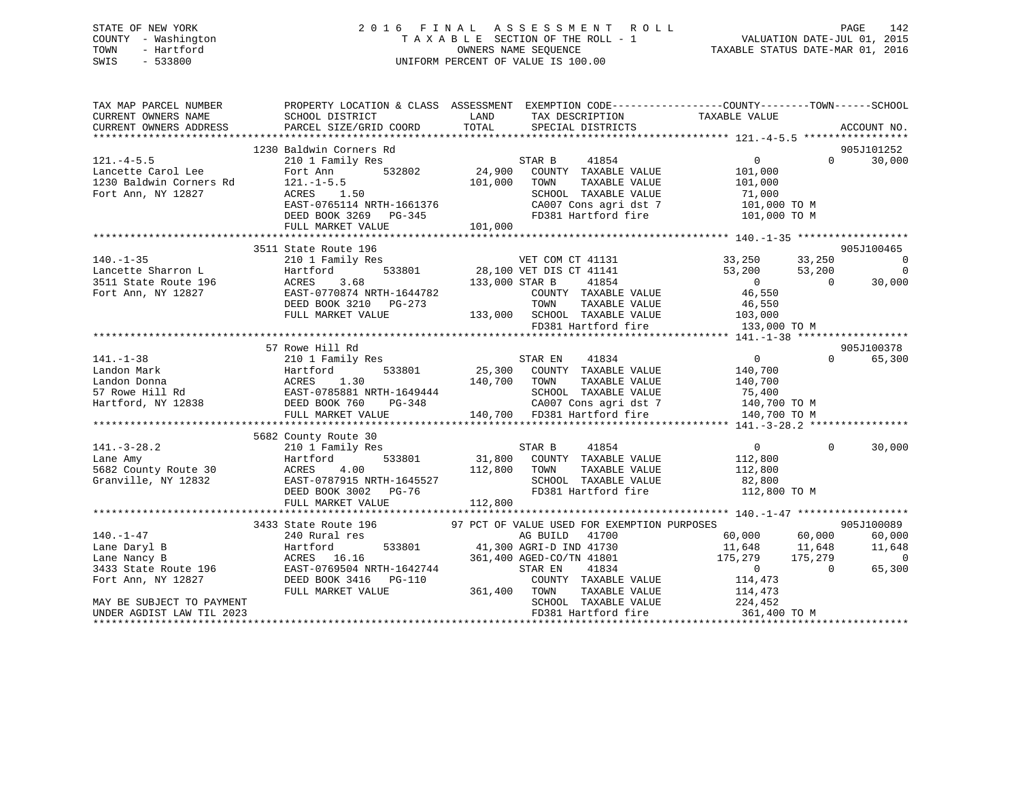## STATE OF NEW YORK 2 0 1 6 F I N A L A S S E S S M E N T R O L L PAGE 142 COUNTY - Washington T A X A B L E SECTION OF THE ROLL - 1 VALUATION DATE-JUL 01, 2015 TOWN - Hartford **TAXABLE STATUS DATE-MAR 01, 2016** OWNERS NAME SEQUENCE TAXABLE STATUS DATE-MAR 01, 2016 SWIS - 533800 UNIFORM PERCENT OF VALUE IS 100.00

| TAX MAP PARCEL NUMBER<br>CURRENT OWNERS ADDRESS |                      | CURRENT OWNERS NAME SCHOOL DISTRICT LAND TAX DESCRIPTION<br>PARCEL SIZE/GRID COORD TOTAL SPECIAL DISTRICTS                                                                                                                                                                                                                                                                                                                                                                                                                           | PROPERTY LOCATION & CLASS ASSESSMENT EXEMPTION CODE---------------COUNTY-------TOWN-----SCHOOL<br>TAXABLE VALUE<br>ACCOUNT NO.                                                                                                      |
|-------------------------------------------------|----------------------|--------------------------------------------------------------------------------------------------------------------------------------------------------------------------------------------------------------------------------------------------------------------------------------------------------------------------------------------------------------------------------------------------------------------------------------------------------------------------------------------------------------------------------------|-------------------------------------------------------------------------------------------------------------------------------------------------------------------------------------------------------------------------------------|
|                                                 |                      |                                                                                                                                                                                                                                                                                                                                                                                                                                                                                                                                      |                                                                                                                                                                                                                                     |
|                                                 |                      |                                                                                                                                                                                                                                                                                                                                                                                                                                                                                                                                      | 905J101252<br>$0 \t 0 \t 30,000$                                                                                                                                                                                                    |
|                                                 |                      | 121.-4-5.5<br>1230 Baldwin Corners Rd<br>121.-4-5.5<br>121.-4-5.5<br>101,000<br>1230 Baldwin Corners Rd<br>121.-1-5.5<br>121.-1-5.5<br>101,000<br>101,000<br>101,000<br>101,000<br>101,000<br>24,900<br>24,900<br>24,900<br>24,900<br>24,900<br>24,900<br>24,900<br>24<br>101,000<br>ACRES 1.50<br>ACRES 1.50<br>EAST-0765114 NRTH-1661376<br>DEED BOOK 3269 PG-345<br>FULL MARKET VALUE 101,000<br>FULL MARKET VALUE 101,000<br>FULL MARKET VALUE 101,000<br>201,000<br>201,000<br>201,000<br>201,000<br>201,000<br>201,000<br>201, |                                                                                                                                                                                                                                     |
|                                                 |                      |                                                                                                                                                                                                                                                                                                                                                                                                                                                                                                                                      |                                                                                                                                                                                                                                     |
|                                                 |                      |                                                                                                                                                                                                                                                                                                                                                                                                                                                                                                                                      |                                                                                                                                                                                                                                     |
|                                                 |                      |                                                                                                                                                                                                                                                                                                                                                                                                                                                                                                                                      |                                                                                                                                                                                                                                     |
|                                                 |                      |                                                                                                                                                                                                                                                                                                                                                                                                                                                                                                                                      |                                                                                                                                                                                                                                     |
|                                                 | 57 Rowe Hill Rd      |                                                                                                                                                                                                                                                                                                                                                                                                                                                                                                                                      | 905J100378                                                                                                                                                                                                                          |
|                                                 |                      |                                                                                                                                                                                                                                                                                                                                                                                                                                                                                                                                      | 0 65,300                                                                                                                                                                                                                            |
|                                                 | 5682 County Route 30 |                                                                                                                                                                                                                                                                                                                                                                                                                                                                                                                                      |                                                                                                                                                                                                                                     |
|                                                 |                      |                                                                                                                                                                                                                                                                                                                                                                                                                                                                                                                                      | 31,800 COUNTY TAXABLE VALUE 112,800 0 30,000<br>30,000 Martford 533801 31,800 COUNTY TAXABLE VALUE 112,800<br>5682 County Route 30 ACRES 4.00 112,800 TOWN TAXABLE VALUE 112,800<br>Granville, NY 12832 EAST-0787915.02 PG-76 FD381 |
|                                                 |                      |                                                                                                                                                                                                                                                                                                                                                                                                                                                                                                                                      |                                                                                                                                                                                                                                     |
|                                                 |                      |                                                                                                                                                                                                                                                                                                                                                                                                                                                                                                                                      | 60,000<br>11,648<br>$\overline{0}$<br>65,300                                                                                                                                                                                        |
|                                                 |                      |                                                                                                                                                                                                                                                                                                                                                                                                                                                                                                                                      |                                                                                                                                                                                                                                     |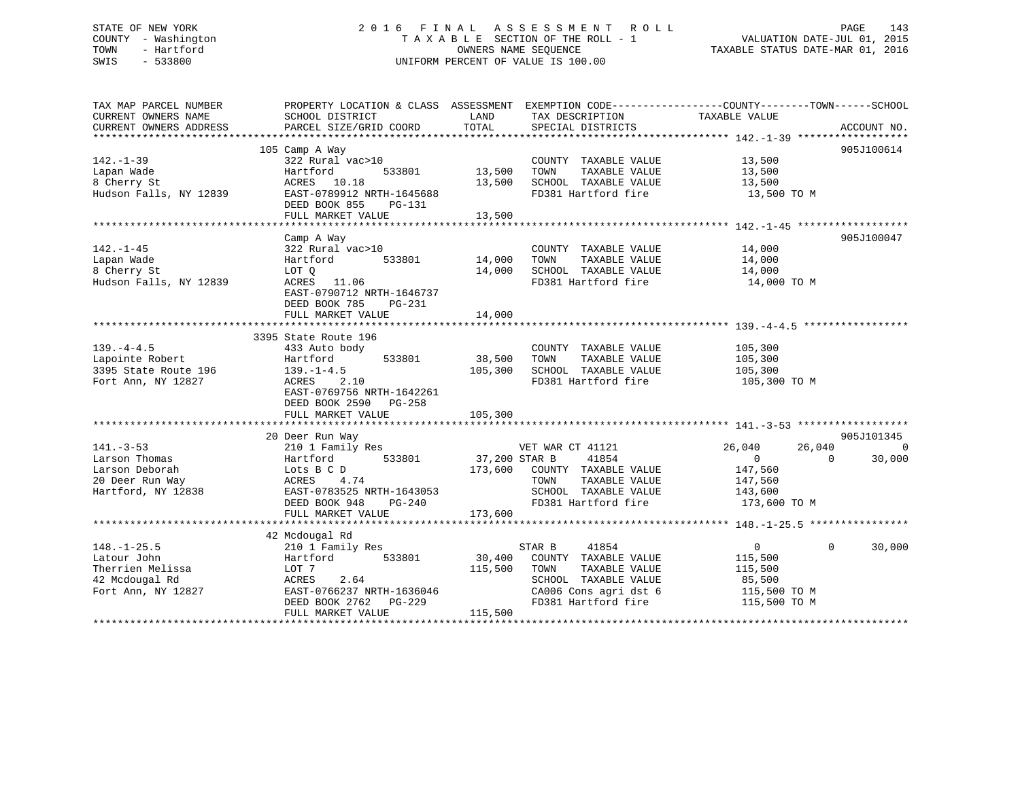## STATE OF NEW YORK 2 0 1 6 F I N A L A S S E S S M E N T R O L L PAGE 143 COUNTY - Washington T A X A B L E SECTION OF THE ROLL - 1 VALUATION DATE-JUL 01, 2015 TOWN - Hartford **TAXABLE STATUS DATE-MAR 01, 2016** OWNERS NAME SEQUENCE TAXABLE STATUS DATE-MAR 01, 2016 SWIS - 533800 UNIFORM PERCENT OF VALUE IS 100.00

| TAX MAP PARCEL NUMBER<br>CURRENT OWNERS NAME<br>CURRENT OWNERS ADDRESS                       | PROPERTY LOCATION & CLASS ASSESSMENT EXEMPTION CODE----------------COUNTY-------TOWN------SCHOOL<br>SCHOOL DISTRICT<br>PARCEL SIZE/GRID COORD                               | LAND<br>TOTAL                                  | TAX DESCRIPTION<br>SPECIAL DISTRICTS                                                                                   | TAXABLE VALUE                                                                       | ACCOUNT NO.                                        |
|----------------------------------------------------------------------------------------------|-----------------------------------------------------------------------------------------------------------------------------------------------------------------------------|------------------------------------------------|------------------------------------------------------------------------------------------------------------------------|-------------------------------------------------------------------------------------|----------------------------------------------------|
| $142. - 1 - 39$<br>Lapan Wade<br>8 Cherry St<br>Hudson Falls, NY 12839                       | 105 Camp A Way<br>322 Rural vac>10<br>Hartford<br>533801<br>ACRES 10.18<br>EAST-0789912 NRTH-1645688<br>DEED BOOK 855<br>PG-131<br>FULL MARKET VALUE                        | 13,500<br>TOWN<br>13,500<br>13,500             | COUNTY TAXABLE VALUE<br>TAXABLE VALUE<br>SCHOOL TAXABLE VALUE<br>FD381 Hartford fire                                   | 13,500<br>13,500<br>13,500<br>13,500 TO M                                           | 905J100614                                         |
| $142. - 1 - 45$<br>Lapan Wade<br>8 Cherry St<br>Hudson Falls, NY 12839                       | Camp A Way<br>322 Rural vac>10<br>Hartford<br>533801<br>LOT Q<br>ACRES 11.06<br>EAST-0790712 NRTH-1646737<br>DEED BOOK 785<br>PG-231<br>FULL MARKET VALUE                   | 14,000<br>TOWN<br>14,000<br>14,000             | COUNTY TAXABLE VALUE<br>TAXABLE VALUE<br>SCHOOL TAXABLE VALUE<br>FD381 Hartford fire                                   | 14,000<br>14,000<br>14,000<br>14,000 TO M                                           | 905J100047                                         |
| $139. -4 - 4.5$<br>Lapointe Robert<br>3395 State Route 196<br>Fort Ann, NY 12827             | 3395 State Route 196<br>433 Auto body<br>Hartford<br>533801<br>$139. - 1 - 4.5$<br>ACRES<br>2.10<br>EAST-0769756 NRTH-1642261<br>DEED BOOK 2590 PG-258<br>FULL MARKET VALUE | 38,500<br>TOWN<br>105,300<br>105,300           | COUNTY TAXABLE VALUE<br>TAXABLE VALUE<br>SCHOOL TAXABLE VALUE<br>FD381 Hartford fire                                   | 105,300<br>105,300<br>105,300<br>105,300 TO M                                       |                                                    |
| $141. - 3 - 53$<br>Larson Thomas<br>Larson Deborah<br>20 Deer Run Way<br>Hartford, NY 12838  | 20 Deer Run Way<br>210 1 Family Res<br>533801<br>Hartford<br>Lots B C D<br>ACRES<br>4.74<br>EAST-0783525 NRTH-1643053<br>DEED BOOK 948<br>$PG-240$<br>FULL MARKET VALUE     | 37,200 STAR B<br>173,600<br>TOWN<br>173,600    | VET WAR CT 41121<br>41854<br>COUNTY TAXABLE VALUE<br>TAXABLE VALUE<br>SCHOOL TAXABLE VALUE<br>FD381 Hartford fire      | 26,040<br>26,040<br>$\overline{0}$<br>147,560<br>147,560<br>143,600<br>173,600 TO M | 905J101345<br>$\overline{0}$<br>30,000<br>$\Omega$ |
| $148. - 1 - 25.5$<br>Latour John<br>Therrien Melissa<br>42 Mcdougal Rd<br>Fort Ann, NY 12827 | 42 Mcdougal Rd<br>210 1 Family Res<br>533801<br>Hartford<br>LOT 7<br>ACRES<br>2.64<br>EAST-0766237 NRTH-1636046<br>DEED BOOK 2762<br>PG-229<br>FULL MARKET VALUE            | STAR B<br>30,400<br>115,500<br>TOWN<br>115,500 | 41854<br>COUNTY TAXABLE VALUE<br>TAXABLE VALUE<br>SCHOOL TAXABLE VALUE<br>CA006 Cons agri dst 6<br>FD381 Hartford fire | $\overline{0}$<br>115,500<br>115,500<br>85,500<br>115,500 TO M<br>115,500 TO M      | $\mathbf{0}$<br>30,000                             |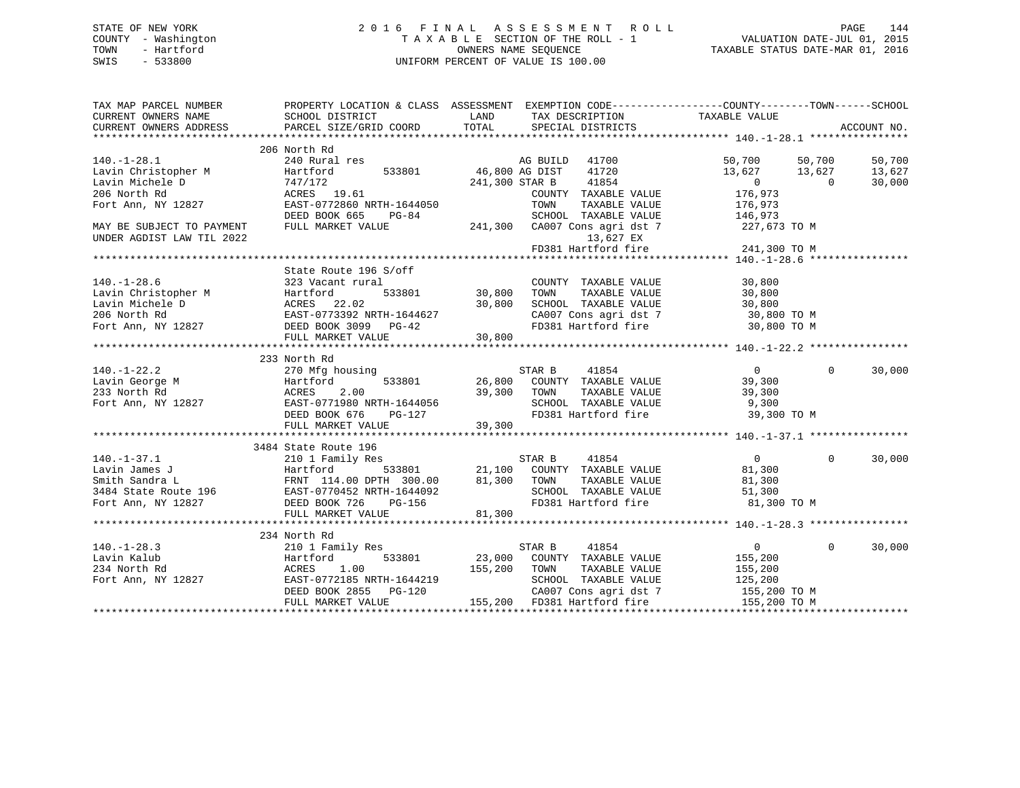## STATE OF NEW YORK 2 0 1 6 F I N A L A S S E S S M E N T R O L L PAGE 144 COUNTY - Washington T A X A B L E SECTION OF THE ROLL - 1 VALUATION DATE-JUL 01, 2015 TOWN - Hartford **TAXABLE STATUS DATE-MAR 01, 2016** OWNERS NAME SEQUENCE TAXABLE STATUS DATE-MAR 01, 2016 SWIS - 533800 UNIFORM PERCENT OF VALUE IS 100.00

| TAX MAP PARCEL NUMBER                                                                                                                                                                                                                                | PROPERTY LOCATION & CLASS ASSESSMENT EXEMPTION CODE---------------COUNTY-------TOWN------SCHOOL     |                                   |                                                                                                                                                                                                                                                                                                                                                                                                       |                            |        |
|------------------------------------------------------------------------------------------------------------------------------------------------------------------------------------------------------------------------------------------------------|-----------------------------------------------------------------------------------------------------|-----------------------------------|-------------------------------------------------------------------------------------------------------------------------------------------------------------------------------------------------------------------------------------------------------------------------------------------------------------------------------------------------------------------------------------------------------|----------------------------|--------|
|                                                                                                                                                                                                                                                      |                                                                                                     |                                   |                                                                                                                                                                                                                                                                                                                                                                                                       |                            |        |
|                                                                                                                                                                                                                                                      | 206 North Rd                                                                                        |                                   |                                                                                                                                                                                                                                                                                                                                                                                                       |                            |        |
| $140. - 1 - 28.1$                                                                                                                                                                                                                                    | 240 Rural res                                                                                       |                                   | AG BUILD 41700                                                                                                                                                                                                                                                                                                                                                                                        | 50,700 50,700              | 50,700 |
| 1201 Christopher M Hartford<br>Lavin Michele D 747/172<br>206 North Rd ACRES 1<br>Fort Ann, NY 12827 EAST-077.                                                                                                                                       | Hartford                                                                                            | AG BUILD<br>533801 46,800 AG DIST | 46,800 AG DIST 41720<br>241,300 STAR B 41854                                                                                                                                                                                                                                                                                                                                                          | 13,627 13,627              | 13,627 |
|                                                                                                                                                                                                                                                      | 747/172<br>ACRES 19.61                                                                              |                                   |                                                                                                                                                                                                                                                                                                                                                                                                       | $\sim$ 0<br>$\sim$ 0       | 30,000 |
|                                                                                                                                                                                                                                                      | EAST-0772860 NRTH-1644050                                                                           |                                   | COUNTY TAXABLE VALUE                                                                                                                                                                                                                                                                                                                                                                                  | 176,973                    |        |
|                                                                                                                                                                                                                                                      |                                                                                                     |                                   | TOWN<br>TAXABLE VALUE                                                                                                                                                                                                                                                                                                                                                                                 | 176,973                    |        |
|                                                                                                                                                                                                                                                      | DEED BOOK 665<br>$PG-84$                                                                            |                                   | SCHOOL TAXABLE VALUE 146,973                                                                                                                                                                                                                                                                                                                                                                          |                            |        |
| MAY BE SUBJECT TO PAYMENT                                                                                                                                                                                                                            | FULL MARKET VALUE                                                                                   |                                   | 241,300 CA007 Cons agri dst 7 227,673 TO M                                                                                                                                                                                                                                                                                                                                                            |                            |        |
| UNDER AGDIST LAW TIL 2022                                                                                                                                                                                                                            |                                                                                                     |                                   | 13,627 EX                                                                                                                                                                                                                                                                                                                                                                                             |                            |        |
|                                                                                                                                                                                                                                                      |                                                                                                     |                                   | FD381 Hartford fire                                                                                                                                                                                                                                                                                                                                                                                   | 241,300 TO M               |        |
|                                                                                                                                                                                                                                                      |                                                                                                     |                                   |                                                                                                                                                                                                                                                                                                                                                                                                       |                            |        |
|                                                                                                                                                                                                                                                      | State Route 196 S/off                                                                               |                                   |                                                                                                                                                                                                                                                                                                                                                                                                       |                            |        |
| $140. - 1 - 28.6$                                                                                                                                                                                                                                    | 323 Vacant rural                                                                                    |                                   | COUNTY TAXABLE VALUE                                                                                                                                                                                                                                                                                                                                                                                  | 30,800                     |        |
| 140.-1-28.6<br>Lavin Christopher M Hartford 533801 30,800<br>Lavin Michele D ACRES 22.02 30,800<br>206 North Rd EAST-0773392 NRTH-1644627<br>Fort Ann, NY 12827 DEED BOOK 3099 PG-42                                                                 |                                                                                                     |                                   | TAXABLE VALUE                                                                                                                                                                                                                                                                                                                                                                                         | 30,800                     |        |
|                                                                                                                                                                                                                                                      |                                                                                                     |                                   |                                                                                                                                                                                                                                                                                                                                                                                                       |                            |        |
|                                                                                                                                                                                                                                                      |                                                                                                     |                                   |                                                                                                                                                                                                                                                                                                                                                                                                       |                            |        |
|                                                                                                                                                                                                                                                      |                                                                                                     |                                   | SCHOOL TAXABLE VALUE $30,800$<br>CA007 Cons agri dst 7 30,800 TO M<br>FD381 Hartford fire 30,800 TO M                                                                                                                                                                                                                                                                                                 |                            |        |
|                                                                                                                                                                                                                                                      |                                                                                                     |                                   |                                                                                                                                                                                                                                                                                                                                                                                                       |                            |        |
|                                                                                                                                                                                                                                                      |                                                                                                     |                                   |                                                                                                                                                                                                                                                                                                                                                                                                       |                            |        |
|                                                                                                                                                                                                                                                      |                                                                                                     |                                   |                                                                                                                                                                                                                                                                                                                                                                                                       |                            |        |
|                                                                                                                                                                                                                                                      |                                                                                                     |                                   |                                                                                                                                                                                                                                                                                                                                                                                                       |                            |        |
|                                                                                                                                                                                                                                                      |                                                                                                     |                                   | $\begin{array}{ccccccccc} \texttt{sing} & & & & \texttt{STAR B} & & & 41854 & & & & 0 \\ & & & & \texttt{533801} & & & 26,800 & & \texttt{COUNTY} & & \texttt{TAXABLE VALUE} & & & & 39,300 \\ \end{array}$                                                                                                                                                                                           | $\Omega$                   | 30,000 |
|                                                                                                                                                                                                                                                      |                                                                                                     |                                   |                                                                                                                                                                                                                                                                                                                                                                                                       |                            |        |
|                                                                                                                                                                                                                                                      |                                                                                                     |                                   | TAXABLE VALUE                                                                                                                                                                                                                                                                                                                                                                                         | 39,300                     |        |
|                                                                                                                                                                                                                                                      |                                                                                                     |                                   | SCHOOL TAXABLE VALUE 9,300                                                                                                                                                                                                                                                                                                                                                                            |                            |        |
|                                                                                                                                                                                                                                                      |                                                                                                     |                                   | FD381 Hartford fire 39,300 TO M                                                                                                                                                                                                                                                                                                                                                                       |                            |        |
|                                                                                                                                                                                                                                                      |                                                                                                     |                                   |                                                                                                                                                                                                                                                                                                                                                                                                       |                            |        |
| 140.-1-22.2<br>Lavin George M Hartford 533801<br>26,800 COUNI<br>233 North Rd ACRES 2.00<br>26,800 COUNI<br>26,800 COUNI<br>26,800 COUNI<br>26,800 COUNI<br>26,800 COUNI<br>26,800 COUNI<br>26,800 COUNI<br>26,800 COUNI<br>26,800 COUNI<br>29,300 T |                                                                                                     |                                   |                                                                                                                                                                                                                                                                                                                                                                                                       |                            |        |
|                                                                                                                                                                                                                                                      |                                                                                                     |                                   |                                                                                                                                                                                                                                                                                                                                                                                                       |                            |        |
|                                                                                                                                                                                                                                                      |                                                                                                     |                                   |                                                                                                                                                                                                                                                                                                                                                                                                       | $\overline{0}$<br>$\Omega$ | 30,000 |
|                                                                                                                                                                                                                                                      |                                                                                                     |                                   |                                                                                                                                                                                                                                                                                                                                                                                                       | 81,300                     |        |
| 140.-1-37.1 210 1 Family Res<br>Lavin James J<br>Smith Sandra L<br>3484 State Route 196 EAST-0770452 NRTH-1644092<br>FOT ANA NY 12827 DEED BOOK 726 PG-156 PG-156 FD381 Hartford fire<br>1981 Hartford fire<br>1981 Hartford fire                    |                                                                                                     |                                   |                                                                                                                                                                                                                                                                                                                                                                                                       | 81,300                     |        |
|                                                                                                                                                                                                                                                      |                                                                                                     |                                   |                                                                                                                                                                                                                                                                                                                                                                                                       |                            |        |
|                                                                                                                                                                                                                                                      |                                                                                                     |                                   | SCHOOL TAXABLE VALUE 51,300<br>FD381 Hartford fire 61,300 TO M                                                                                                                                                                                                                                                                                                                                        |                            |        |
|                                                                                                                                                                                                                                                      |                                                                                                     |                                   |                                                                                                                                                                                                                                                                                                                                                                                                       |                            |        |
|                                                                                                                                                                                                                                                      |                                                                                                     |                                   |                                                                                                                                                                                                                                                                                                                                                                                                       |                            |        |
|                                                                                                                                                                                                                                                      |                                                                                                     |                                   |                                                                                                                                                                                                                                                                                                                                                                                                       |                            |        |
|                                                                                                                                                                                                                                                      | 234 North Rd                                                                                        |                                   |                                                                                                                                                                                                                                                                                                                                                                                                       | $\Omega$                   |        |
|                                                                                                                                                                                                                                                      | 210 1 Family Res                                                                                    |                                   |                                                                                                                                                                                                                                                                                                                                                                                                       | $\overline{0}$             | 30,000 |
|                                                                                                                                                                                                                                                      |                                                                                                     |                                   |                                                                                                                                                                                                                                                                                                                                                                                                       | 155,200                    |        |
|                                                                                                                                                                                                                                                      | 1.00                                                                                                |                                   | $\begin{tabular}{lcccccc} \bf 1y Res & & & & & & & & & & & \\ \bf 1y Res & & & & & & & & & & & \\ \bf 533801 & & & & & & & & & & & \\ \bf 155,200 & & & & & & & & & & \\ \bf 155,200 & & & & & & & & & \\ \bf 23.000 & & & & & & & & & & \\ \bf 25.000 & & & & & & & & & & \\ \bf 25.000 & & & & & & & & & & \\ \bf 25.000 & & & & & & & & & \\ \bf 25.000 & & & & & & & & & \\ \bf 25.000 & & & & &$ | TAXABLE VALUE 155,200      |        |
|                                                                                                                                                                                                                                                      | EAST-0772185 NRTH-1644219<br>2.1.1 0//2103 NKTH-1644219<br>DEED BOOK 2855 PG-120<br>EHIT MARWER 111 |                                   | SCHOOL TAXABLE VALUE 125,200<br>CA007 Cons agri dst 7 155,200 TO M                                                                                                                                                                                                                                                                                                                                    |                            |        |
|                                                                                                                                                                                                                                                      |                                                                                                     |                                   |                                                                                                                                                                                                                                                                                                                                                                                                       |                            |        |
|                                                                                                                                                                                                                                                      | FULL MARKET VALUE                                                                                   |                                   | 155,200 FD381 Hartford fire                                                                                                                                                                                                                                                                                                                                                                           | 155,200 TO M               |        |
|                                                                                                                                                                                                                                                      |                                                                                                     |                                   |                                                                                                                                                                                                                                                                                                                                                                                                       |                            |        |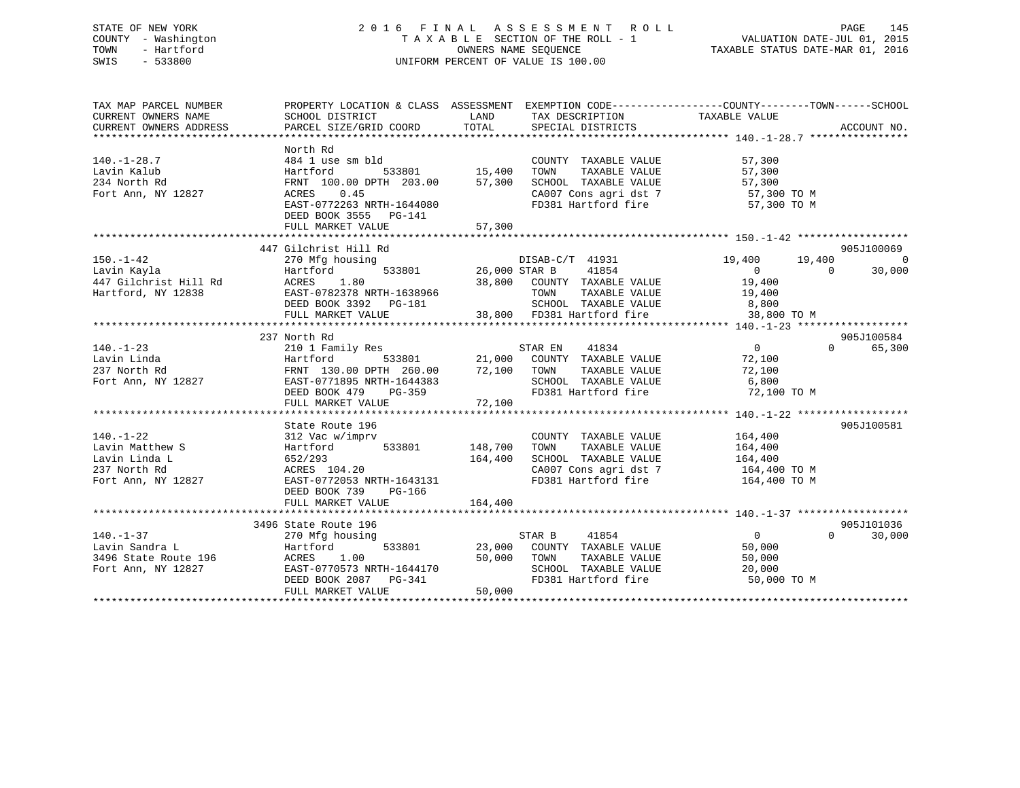# STATE OF NEW YORK 2 0 1 6 F I N A L A S S E S S M E N T R O L L PAGE 145 COUNTY - Washington T A X A B L E SECTION OF THE ROLL - 1 VALUATION DATE-JUL 01, 2015 TOWN - Hartford **TAXABLE STATUS DATE-MAR 01, 2016** OWNERS NAME SEQUENCE TAXABLE STATUS DATE-MAR 01, 2016 SWIS - 533800 UNIFORM PERCENT OF VALUE IS 100.00

| TAX MAP PARCEL NUMBER                                                  | PROPERTY LOCATION & CLASS ASSESSMENT EXEMPTION CODE---------------COUNTY-------TOWN-----SCHOOL                                                                                                                                                                                                                     |         |                                                                                                                                                                                                                                                                                                                                                              |                                    |                |                                  |
|------------------------------------------------------------------------|--------------------------------------------------------------------------------------------------------------------------------------------------------------------------------------------------------------------------------------------------------------------------------------------------------------------|---------|--------------------------------------------------------------------------------------------------------------------------------------------------------------------------------------------------------------------------------------------------------------------------------------------------------------------------------------------------------------|------------------------------------|----------------|----------------------------------|
| $140. - 1 - 28.7$<br>Lavin Kalub<br>234 North Rd<br>Fort Ann, NY 12827 | North Rd<br>484 1 use sm bld<br>Hot I use sur DIQ<br>Hartford 533801 15,400<br>FRNT 100.00 DPTH 203.00 57,300<br>ACRES 0.45<br>EAST-0772263 NRTH-1644080<br>NET-07022355 NRTH-1644080<br>DEED BOOK 3555 PG-141<br>FULL MARKET VALUE                                                                                | 57,300  | COUNTY TAXABLE VALUE<br>TOWN TAXABLE VALUE 57,300<br>SCHOOL TAXABLE VALUE 57,300<br>CA007 Cons_agri_dst 7 57,300 TO M<br>FD381 Hartford fire 57,300 TO M                                                                                                                                                                                                     | 57,300                             |                |                                  |
|                                                                        | 447 Gilchrist Hill Rd                                                                                                                                                                                                                                                                                              |         |                                                                                                                                                                                                                                                                                                                                                              |                                    |                | 905J100069                       |
|                                                                        |                                                                                                                                                                                                                                                                                                                    |         |                                                                                                                                                                                                                                                                                                                                                              | 19,400 19,400                      | $\overline{0}$ | $\overline{0}$<br>30,000         |
|                                                                        | 237 North Rd                                                                                                                                                                                                                                                                                                       |         |                                                                                                                                                                                                                                                                                                                                                              |                                    |                | 905J100584                       |
|                                                                        | 140.-1-23<br>Lavin Linda<br>237 North Rd FRNT 130.00 DPTH 260.00 72,100 TOWN<br>Fort Ann, NY 12827<br>Fort Ann, NY 12827<br>EAST-0771895 NRTH-1644383<br>DEED BOOK 479 PG-359<br>PD381 H                                                                                                                           |         | TOWN TAXABLE VALUE 72,100<br>SCHOOL TAXABLE VALUE 6,800<br>FD381 Hartford fire 72,100 TO M                                                                                                                                                                                                                                                                   |                                    |                | 0 65,300                         |
|                                                                        |                                                                                                                                                                                                                                                                                                                    |         |                                                                                                                                                                                                                                                                                                                                                              |                                    |                | 905J100581                       |
|                                                                        | State Route 196<br>$140.-1-22$<br>Lavin Matthew S<br>Hartford 533801 148,700<br>Lavin Linda L<br>164,400<br>237 North Rd<br>Fort Ann, NY 12827<br>Fort Ann, NY 12827<br>EAST-0772053 NRTH-1643131<br>DEED BOOK 739 PG-166                                                                                          |         | $\begin{tabular}{llllll} \multicolumn{2}{c}{\text{COUNTY}} & \text{TAXABLE VALUE} & & & 164,400 \\ \multicolumn{2}{c}{\text{TOWN}} & \text{TAXABLE VALUE} & & 164,400 \end{tabular}$<br>SCHOOL TAXABLE VALUE<br>SCHOOL TAXABLE VALUE 164,400 TO M<br>$\texttt{CA007}$ Cons agri dst 7 $\texttt{164,400}$ TO M<br>FD381 Hartford fire $\texttt{164,400}$ TO M |                                    |                |                                  |
|                                                                        | FULL MARKET VALUE                                                                                                                                                                                                                                                                                                  | 164,400 |                                                                                                                                                                                                                                                                                                                                                              |                                    |                |                                  |
|                                                                        | 3496 State Route 196<br>496 State Route 196<br>270 Mfg housing<br>3496 State Route 196<br>3496 State Route 196<br>3496 State Route 196<br>Fort Ann, NY 12827<br>3497 EAST-0770573 NRTH-1644170<br>DEED BOOK 2087 PG-341<br>50,000 TOWN TAXABLE VALUE<br>50,000 TOWN TAXABLE VALUE<br>50,000 TOWN TAXABLE VALUE<br> |         | SCHOOL TAXABLE VALUE<br>FD381 Hartford fire 50,000 TO M                                                                                                                                                                                                                                                                                                      | $\overline{0}$<br>50,000<br>50,000 |                | 905J101036<br>$\Omega$<br>30,000 |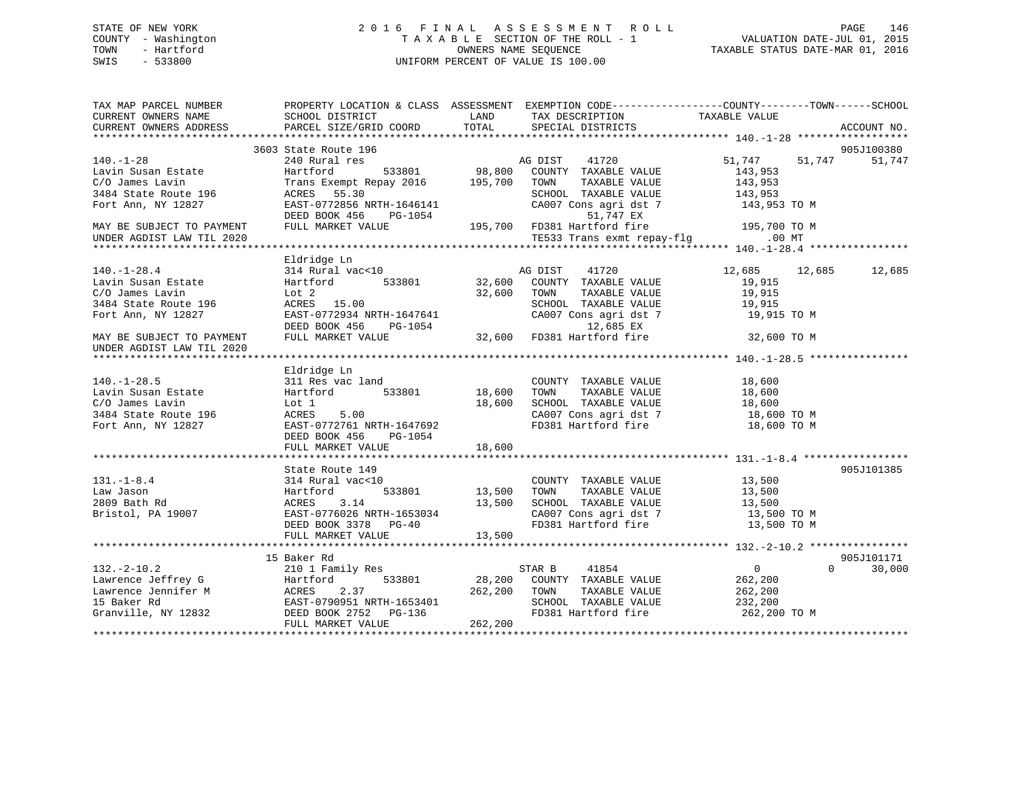# STATE OF NEW YORK 2 0 1 6 F I N A L A S S E S S M E N T R O L L PAGE 146 COUNTY - Washington T A X A B L E SECTION OF THE ROLL - 1 VALUATION DATE-JUL 01, 2015 TOWN - Hartford **TAXABLE STATUS DATE-MAR 01, 2016** OWNERS NAME SEQUENCE TAXABLE STATUS DATE-MAR 01, 2016 SWIS - 533800 UNIFORM PERCENT OF VALUE IS 100.00

| TAX MAP PARCEL NUMBER<br>CURRENT OWNERS NAME | PROPERTY LOCATION & CLASS ASSESSMENT<br>SCHOOL DISTRICT | LAND             | EXEMPTION CODE-----------------COUNTY-------TOWN------SCHOOL<br>TAX DESCRIPTION | TAXABLE VALUE              |             |
|----------------------------------------------|---------------------------------------------------------|------------------|---------------------------------------------------------------------------------|----------------------------|-------------|
| CURRENT OWNERS ADDRESS                       | PARCEL SIZE/GRID COORD                                  | TOTAL            | SPECIAL DISTRICTS                                                               |                            | ACCOUNT NO. |
|                                              |                                                         |                  |                                                                                 |                            |             |
|                                              | 3603 State Route 196                                    |                  |                                                                                 |                            | 905J100380  |
| $140. - 1 - 28$                              | 240 Rural res                                           | 533801 98,800    | 41720<br>AG DIST                                                                | 51,747 51,747              | 51,747      |
| Lavin Susan Estate<br>C/O James Lavin        | Hartford<br>Trans Exempt Repay 2016 195,700             |                  | COUNTY TAXABLE VALUE<br>TAXABLE VALUE<br>TOWN                                   | 143,953<br>143,953         |             |
| 3484 State Route 196                         | ACRES<br>55.30                                          |                  | SCHOOL TAXABLE VALUE                                                            | 143,953                    |             |
| Fort Ann, NY 12827                           | EAST-0772856 NRTH-1646141                               |                  | CA007 Cons agri dst 7                                                           | 143,953 TO M               |             |
|                                              | DEED BOOK 456<br>PG-1054                                |                  | 51,747 EX                                                                       |                            |             |
| MAY BE SUBJECT TO PAYMENT                    | FULL MARKET VALUE                                       |                  | 195,700 FD381 Hartford fire                                                     | 195,700 TO M               |             |
| UNDER AGDIST LAW TIL 2020                    |                                                         |                  | TE533 Trans exmt repay-flg                                                      | $.00$ MT                   |             |
|                                              |                                                         |                  |                                                                                 |                            |             |
|                                              | Eldridge Ln                                             |                  |                                                                                 |                            |             |
| $140. - 1 - 28.4$                            | 314 Rural vac<10                                        |                  | AG DIST<br>41720                                                                | 12,685 12,685              | 12,685      |
| Lavin Susan Estate                           | 533801<br>Hartford                                      | AC<br>32,600     | COUNTY TAXABLE VALUE                                                            | 19,915                     |             |
| C/O James Lavin                              | Lot 2                                                   | 32,600           | TOWN<br>TAXABLE VALUE                                                           | 19,915                     |             |
| 3484 State Route 196                         | ACRES 15.00                                             |                  | SCHOOL TAXABLE VALUE                                                            | 19,915                     |             |
| Fort Ann, NY 12827                           | EAST-0772934 NRTH-1647641                               |                  | CA007 Cons agri dst 7                                                           | 19,915 TO M                |             |
|                                              |                                                         |                  | 12,685 EX                                                                       |                            |             |
|                                              | DEED BOOK 456 PG-1054<br>FULL MARKET VALUE              |                  | 12,685 EX<br>32,600 FD381 Hartford fire                                         |                            |             |
| MAY BE SUBJECT TO PAYMENT                    |                                                         |                  |                                                                                 | 32,600 TO M                |             |
| UNDER AGDIST LAW TIL 2020                    |                                                         |                  |                                                                                 |                            |             |
|                                              | Eldridge Ln                                             |                  |                                                                                 |                            |             |
| $140. - 1 - 28.5$                            | 311 Res vac land                                        |                  | COUNTY TAXABLE VALUE                                                            | 18,600                     |             |
|                                              | 533801                                                  |                  | TOWN                                                                            |                            |             |
| Lavin Susan Estate                           | Hartford                                                | 18,600           | TAXABLE VALUE                                                                   | 18,600                     |             |
| C/O James Lavin                              | Lot 1<br>ACRES                                          | 18,600           | SCHOOL TAXABLE VALUE                                                            | 18,600                     |             |
| 3484 State Route 196                         | 5.00<br>EAST-0772761 NRTH-1647692                       |                  | CA007 Cons agri dst 7<br>FD381 Hartford fire                                    | 18,600 TO M                |             |
| Fort Ann, NY 12827                           |                                                         |                  |                                                                                 | 18,600 TO M                |             |
|                                              | DEED BOOK 456<br>PG-1054                                |                  |                                                                                 |                            |             |
|                                              | FULL MARKET VALUE                                       | 18,600           |                                                                                 |                            |             |
|                                              | State Route 149                                         |                  |                                                                                 |                            | 905J101385  |
| $131. - 1 - 8.4$                             | 314 Rural vac<10                                        |                  | COUNTY TAXABLE VALUE                                                            | 13,500                     |             |
| Law Jason                                    | Hartford<br>533801                                      |                  | TAXABLE VALUE<br>TOWN                                                           |                            |             |
| 2809 Bath Rd                                 | ACRES<br>3.14                                           | 13,500<br>13,500 | SCHOOL TAXABLE VALUE                                                            | 13,500<br>13,500           |             |
|                                              |                                                         |                  |                                                                                 |                            |             |
| Bristol, PA 19007                            | EAST-0776026 NRTH-1653034                               |                  | CA007 Cons agri dst 7<br>FD381 Hartford fire                                    | 13,500 TO M                |             |
|                                              | DEED BOOK 3378 PG-40                                    |                  |                                                                                 | 13,500 TO M                |             |
|                                              |                                                         |                  |                                                                                 |                            |             |
|                                              | 15 Baker Rd                                             |                  |                                                                                 |                            | 905J101171  |
| $132. - 2 - 10.2$                            |                                                         |                  | STAR B<br>41854                                                                 | $\overline{0}$<br>$\Omega$ |             |
| Lawrence Jeffrey G                           | 210 1 Family Res<br>533801                              | 28,200           |                                                                                 |                            | 30,000      |
| Lawrence Jennifer M                          | Hartford<br>ACRES<br>2.37                               | 262,200          | COUNTY TAXABLE VALUE<br>TOWN<br>TAXABLE VALUE                                   | 262,200<br>262,200         |             |
| 15 Baker Rd                                  |                                                         |                  | SCHOOL TAXABLE VALUE                                                            |                            |             |
| Granville, NY 12832                          | EAST-0790951 NRTH-1653401<br>DEED BOOK 2752 PG-136      |                  | FD381 Hartford fire                                                             | 232,200                    |             |
|                                              |                                                         |                  |                                                                                 | 262,200 TO M               |             |
|                                              | FULL MARKET VALUE                                       | 262, 200         |                                                                                 |                            |             |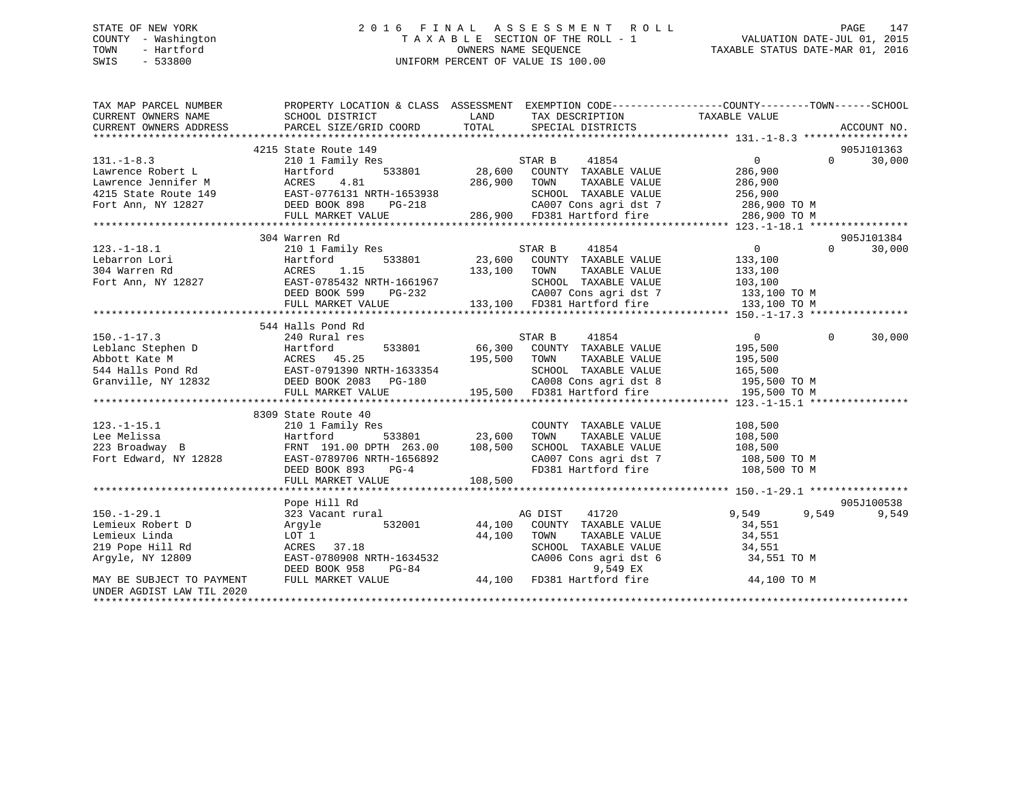# STATE OF NEW YORK 2 0 1 6 F I N A L A S S E S S M E N T R O L L PAGE 147 COUNTY - Washington T A X A B L E SECTION OF THE ROLL - 1 VALUATION DATE-JUL 01, 2015 TOWN - Hartford **TAXABLE STATUS DATE-MAR 01, 2016** OWNERS NAME SEQUENCE TAXABLE STATUS DATE-MAR 01, 2016 SWIS - 533800 UNIFORM PERCENT OF VALUE IS 100.00

| TAX MAP PARCEL NUMBER                                                                                                                                                                                                                                                                                                                                                                  | PROPERTY LOCATION & CLASS ASSESSMENT EXEMPTION CODE---------------COUNTY-------TOWN-----SCHOOL                                                                                                                                                         |                                                                                                                           |                |                   |             |
|----------------------------------------------------------------------------------------------------------------------------------------------------------------------------------------------------------------------------------------------------------------------------------------------------------------------------------------------------------------------------------------|--------------------------------------------------------------------------------------------------------------------------------------------------------------------------------------------------------------------------------------------------------|---------------------------------------------------------------------------------------------------------------------------|----------------|-------------------|-------------|
|                                                                                                                                                                                                                                                                                                                                                                                        |                                                                                                                                                                                                                                                        |                                                                                                                           |                |                   |             |
|                                                                                                                                                                                                                                                                                                                                                                                        | 4215 State Route 149                                                                                                                                                                                                                                   |                                                                                                                           |                |                   | 905J101363  |
| $131. -1 - 8.3$                                                                                                                                                                                                                                                                                                                                                                        | 210 1 Family Res                                                                                                                                                                                                                                       | 29 149<br>19 14854<br>533801 28,600 COUNTY TAXABLE VALUE 286,900<br>286,900 70WN TAXABLE VALUE 286,900<br>256,900 286,900 |                | $0 \qquad \qquad$ | 30,000      |
|                                                                                                                                                                                                                                                                                                                                                                                        |                                                                                                                                                                                                                                                        |                                                                                                                           |                |                   |             |
|                                                                                                                                                                                                                                                                                                                                                                                        |                                                                                                                                                                                                                                                        |                                                                                                                           |                |                   |             |
|                                                                                                                                                                                                                                                                                                                                                                                        |                                                                                                                                                                                                                                                        |                                                                                                                           |                |                   |             |
|                                                                                                                                                                                                                                                                                                                                                                                        |                                                                                                                                                                                                                                                        |                                                                                                                           |                |                   |             |
| 131.-1-8.3<br>Lawrence Robert L (1990)<br>28.600 COUNTY TAXABLE VALUE<br>28.600 COUNTY TAXABLE VALUE<br>28.600 COUNTY TAXABLE VALUE<br>28.600 COUNTY TAXABLE VALUE<br>28.600 COUNTY TAXABLE VALUE<br>28.600 COUNTY TAXABLE VALUE<br>28.6,900 T                                                                                                                                         |                                                                                                                                                                                                                                                        |                                                                                                                           |                |                   |             |
|                                                                                                                                                                                                                                                                                                                                                                                        |                                                                                                                                                                                                                                                        |                                                                                                                           |                |                   |             |
|                                                                                                                                                                                                                                                                                                                                                                                        | 304 Warren Rd                                                                                                                                                                                                                                          |                                                                                                                           |                |                   | 905J101384  |
| $\begin{tabular}{ccccc} 123.-1-18.1 & 304 \text{ Warren Rd} & 2101 \text{ Family Res} & 533801 & 23,600 \text{ COUNTY} & TAXABLE VALUE & 133,100 & 0 & 30,000 \\ & 304 \text{ Warren Rd} & 533801 & 23,600 \text{ COUNTY} & TAXABLE VALUE & 133,100 \\ & 304 \text{ Warren Rd} & 5327-0785432 \text{ NRTH}-1661967 & 133,100 & 5000 \\ & 304 \text{ Warren Rd} & 204 \text{ NRTH}-166$ |                                                                                                                                                                                                                                                        |                                                                                                                           |                |                   |             |
|                                                                                                                                                                                                                                                                                                                                                                                        |                                                                                                                                                                                                                                                        |                                                                                                                           |                |                   |             |
|                                                                                                                                                                                                                                                                                                                                                                                        |                                                                                                                                                                                                                                                        |                                                                                                                           |                |                   |             |
|                                                                                                                                                                                                                                                                                                                                                                                        |                                                                                                                                                                                                                                                        |                                                                                                                           |                |                   |             |
|                                                                                                                                                                                                                                                                                                                                                                                        |                                                                                                                                                                                                                                                        |                                                                                                                           |                |                   |             |
|                                                                                                                                                                                                                                                                                                                                                                                        |                                                                                                                                                                                                                                                        |                                                                                                                           |                |                   |             |
|                                                                                                                                                                                                                                                                                                                                                                                        |                                                                                                                                                                                                                                                        |                                                                                                                           |                |                   |             |
|                                                                                                                                                                                                                                                                                                                                                                                        | 544 Halls Pond Rd                                                                                                                                                                                                                                      |                                                                                                                           |                |                   |             |
| $150. - 1 - 17.3$                                                                                                                                                                                                                                                                                                                                                                      | 240 Rural res                                                                                                                                                                                                                                          | STAR B 41854                                                                                                              | $\overline{0}$ | $\Omega$          | 30,000      |
|                                                                                                                                                                                                                                                                                                                                                                                        |                                                                                                                                                                                                                                                        |                                                                                                                           |                |                   |             |
| 150.-1-17.3 230.1 66,300 COUNTY TAXABLE VALUE<br>Leblanc Stephen D Hartford 1533801 66,300 COUNTY TAXABLE VALUE<br>ADbott Kate M ACRES 45.25 195,500 TOWN TAXABLE VALUE 195,500<br>454 Halls Pond Rd EAST-0791390 NRTH-1633354 SCHOO                                                                                                                                                   |                                                                                                                                                                                                                                                        |                                                                                                                           |                |                   |             |
|                                                                                                                                                                                                                                                                                                                                                                                        |                                                                                                                                                                                                                                                        |                                                                                                                           |                |                   |             |
|                                                                                                                                                                                                                                                                                                                                                                                        |                                                                                                                                                                                                                                                        |                                                                                                                           |                |                   |             |
|                                                                                                                                                                                                                                                                                                                                                                                        |                                                                                                                                                                                                                                                        |                                                                                                                           |                |                   |             |
|                                                                                                                                                                                                                                                                                                                                                                                        |                                                                                                                                                                                                                                                        |                                                                                                                           |                |                   |             |
|                                                                                                                                                                                                                                                                                                                                                                                        | 8309 State Route 40                                                                                                                                                                                                                                    |                                                                                                                           |                |                   |             |
| $123.-1-15.1$                                                                                                                                                                                                                                                                                                                                                                          | 210 1 Family Res                                                                                                                                                                                                                                       | COUNTY TAXABLE VALUE 108,500                                                                                              |                |                   |             |
|                                                                                                                                                                                                                                                                                                                                                                                        |                                                                                                                                                                                                                                                        |                                                                                                                           |                |                   |             |
|                                                                                                                                                                                                                                                                                                                                                                                        |                                                                                                                                                                                                                                                        |                                                                                                                           |                |                   |             |
|                                                                                                                                                                                                                                                                                                                                                                                        |                                                                                                                                                                                                                                                        |                                                                                                                           |                |                   |             |
|                                                                                                                                                                                                                                                                                                                                                                                        |                                                                                                                                                                                                                                                        |                                                                                                                           |                |                   |             |
|                                                                                                                                                                                                                                                                                                                                                                                        |                                                                                                                                                                                                                                                        |                                                                                                                           |                |                   |             |
| 123.-1-15.1<br>Lee Melissa Hartford Birling Handle VALUE 108,500<br>233 Broadway B<br>FRNT 191.00 DPTH 263.00 108,500 SCHOOL TAXABLE VALUE 108,500<br>Fort Edward, NY 12828 EAST-0789706 NRTH-1656892 CA007 Cons agri dst 7 108,500 TO                                                                                                                                                 |                                                                                                                                                                                                                                                        |                                                                                                                           |                |                   |             |
|                                                                                                                                                                                                                                                                                                                                                                                        | Pope Hill Rd                                                                                                                                                                                                                                           |                                                                                                                           |                |                   | 905J100538  |
| $150. - 1 - 29.1$                                                                                                                                                                                                                                                                                                                                                                      | $\begin{tabular}{lllllllllllll} \textbf{323 Vacant rural} & \textbf{AG DIST} & \textbf{41720} & \textbf{9,549} \\ \textbf{Argyle} & \textbf{532001} & \textbf{44,100} & \textbf{COUNTY TAXABLE VALUE} & \textbf{34,551} \end{tabular}$                 |                                                                                                                           | 9,549          |                   | 9,549 9,549 |
| Lemieux Robert D                                                                                                                                                                                                                                                                                                                                                                       |                                                                                                                                                                                                                                                        |                                                                                                                           |                |                   |             |
| Lemieux Linda                                                                                                                                                                                                                                                                                                                                                                          |                                                                                                                                                                                                                                                        |                                                                                                                           |                |                   |             |
| 219 Pope Hill Rd                                                                                                                                                                                                                                                                                                                                                                       |                                                                                                                                                                                                                                                        |                                                                                                                           |                |                   |             |
| Argyle, NY 12809                                                                                                                                                                                                                                                                                                                                                                       |                                                                                                                                                                                                                                                        |                                                                                                                           |                |                   |             |
|                                                                                                                                                                                                                                                                                                                                                                                        |                                                                                                                                                                                                                                                        |                                                                                                                           |                |                   |             |
| MAY BE SUBJECT TO PAYMENT                                                                                                                                                                                                                                                                                                                                                              | LOT 1<br>ACRES 37.18<br>ACRES 37.18<br>EAST-0780908 NRTH-1634532<br>DEED BOOK 958 PG-84<br>FULL MARKET VALUE<br>PULL MARKET VALUE<br>PULL MARKET VALUE<br>ACRES 37.18<br>CA006 Cons agri dst 6<br>9,549 EX<br>PULL MARKET VALUE<br>44,100 FD381 Hartfo |                                                                                                                           |                |                   |             |
| UNDER AGDIST LAW TIL 2020                                                                                                                                                                                                                                                                                                                                                              |                                                                                                                                                                                                                                                        |                                                                                                                           |                |                   |             |
|                                                                                                                                                                                                                                                                                                                                                                                        |                                                                                                                                                                                                                                                        |                                                                                                                           |                |                   |             |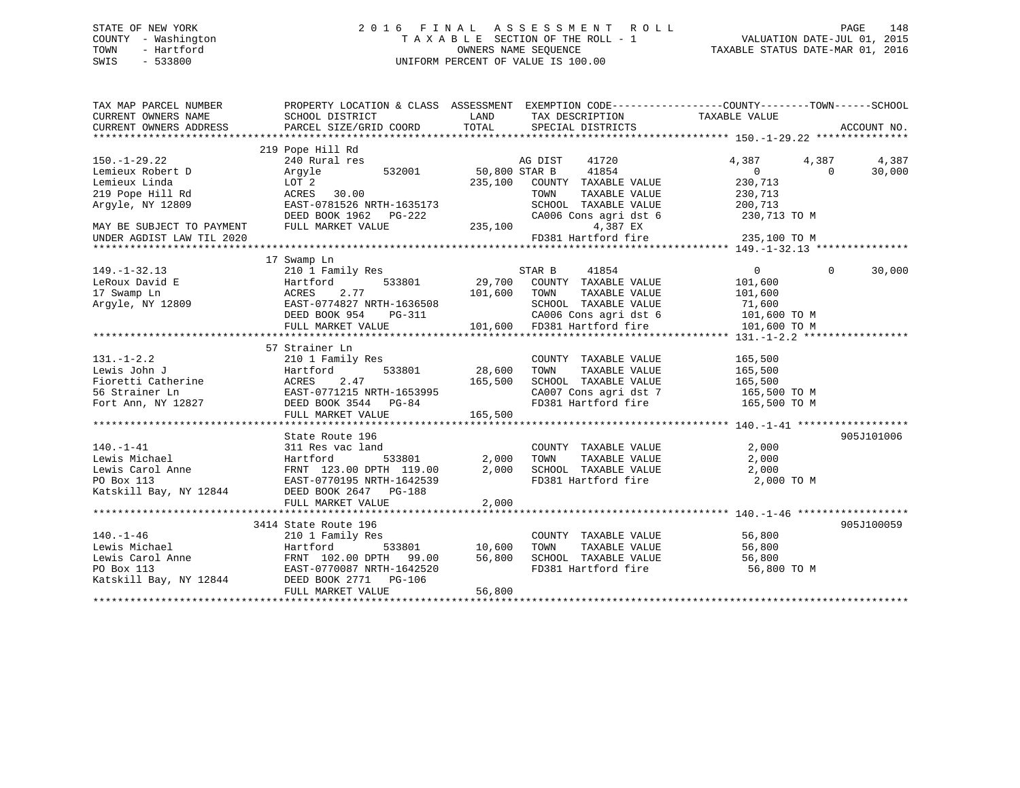# STATE OF NEW YORK 2 0 1 6 F I N A L A S S E S S M E N T R O L L PAGE 148 COUNTY - Washington T A X A B L E SECTION OF THE ROLL - 1 VALUATION DATE-JUL 01, 2015 TOWN - Hartford **TAXABLE STATUS DATE-MAR 01, 2016** OWNERS NAME SEQUENCE TAXABLE STATUS DATE-MAR 01, 2016 SWIS - 533800 UNIFORM PERCENT OF VALUE IS 100.00

| TAX MAP PARCEL NUMBER<br>CURRENT OWNERS NAME | PROPERTY LOCATION & CLASS ASSESSMENT EXEMPTION CODE---------------COUNTY-------TOWN-----SCHOOL                                                                                                          |                              |                                                                        |                               |            |
|----------------------------------------------|---------------------------------------------------------------------------------------------------------------------------------------------------------------------------------------------------------|------------------------------|------------------------------------------------------------------------|-------------------------------|------------|
|                                              | 219 Pope Hill Rd                                                                                                                                                                                        |                              |                                                                        |                               |            |
| $150. - 1 - 29.22$                           | 240 Rural res                                                                                                                                                                                           |                              | AG DIST 41720                                                          | 4,387<br>4,387                | 4,387      |
| Lemieux Robert D                             | 532001 50,800 STAR B<br>Arqyle                                                                                                                                                                          |                              | 41854                                                                  | $\overline{0}$<br>$\Omega$    | 30,000     |
| Lemieux Linda                                | LOT 2                                                                                                                                                                                                   |                              | 235,100 COUNTY TAXABLE VALUE                                           | 230,713                       |            |
| 219 Pope Hill Rd                             | ACRES 30.00                                                                                                                                                                                             |                              | TOWN<br>TAXABLE VALUE                                                  | 230,713                       |            |
| Argyle, NY 12809                             |                                                                                                                                                                                                         |                              | SCHOOL TAXABLE VALUE                                                   | 200,713                       |            |
|                                              |                                                                                                                                                                                                         |                              | CA006 Cons agri dst 6                                                  | 230,713 TO M                  |            |
| MAY BE SUBJECT TO PAYMENT                    | DEED BOOK 1962 PG-222<br>FIILL MARKET 1962 PG-222<br>FULL MARKET VALUE                                                                                                                                  | 235,100                      | 4,387 EX                                                               |                               |            |
| UNDER AGDIST LAW TIL 2020                    |                                                                                                                                                                                                         |                              | FD381 Hartford fire                                                    | 235,100 TO M                  |            |
|                                              |                                                                                                                                                                                                         |                              |                                                                        |                               |            |
|                                              | 17 Swamp Ln                                                                                                                                                                                             |                              |                                                                        |                               |            |
| $149. - 1 - 32.13$                           | 210 1 Family Res                                                                                                                                                                                        |                              | STAR B<br>41854                                                        | $0 \qquad \qquad$<br>$\Omega$ | 30,000     |
| LeRoux David E                               | 210 1 Fam.<br>Hartford<br>ACRES 2<br>9<br>BAST-07748                                                                                                                                                    |                              | 533801 29,700 COUNTY TAXABLE VALUE                                     | 101,600                       |            |
| 17 Swamp Ln<br>Argyle, NY 12809              | 2.77                                                                                                                                                                                                    | 101,600 TOWN                 | TAXABLE VALUE                                                          | 101,600                       |            |
|                                              | EAST-0774827 NRTH-1636508                                                                                                                                                                               |                              | SCHOOL TAXABLE VALUE                                                   | 71,600                        |            |
|                                              | DEED BOOK 954                                                                                                                                                                                           | H-1636508<br>PG-311          | CA006 Cons agri dst 6 101,600 TO M                                     |                               |            |
|                                              | FULL MARKET VALUE                                                                                                                                                                                       |                              | 101,600 FD381 Hartford fire                                            | 101,600 TO M                  |            |
|                                              |                                                                                                                                                                                                         |                              |                                                                        |                               |            |
|                                              | 57 Strainer Ln                                                                                                                                                                                          |                              |                                                                        |                               |            |
| $131. - 1 - 2.2$                             | 210 1 Family Res                                                                                                                                                                                        |                              | COUNTY TAXABLE VALUE                                                   | 165,500                       |            |
|                                              |                                                                                                                                                                                                         | 533801 28,600                | TAXABLE VALUE<br>TOWN                                                  | 165,500                       |            |
|                                              |                                                                                                                                                                                                         |                              | SCHOOL TAXABLE VALUE                                                   | 165,500                       |            |
|                                              |                                                                                                                                                                                                         |                              |                                                                        |                               |            |
|                                              | 131.-1-2.2<br>Lewis John J<br>Eioretti Catherine Hartford 533801 28,600<br>Fioretti Catherine ACRES 2.47 165,500<br>56 Strainer Ln EAST-0771215 NRTH-1653995<br>Fort Ann, NY 12827 DEED BOOK 3544 PG-84 |                              | CA007 Cons agri dst 7 165,500 TO M<br>FD381 Hartford fire 165,500 TO M |                               |            |
|                                              | FULL MARKET VALUE 165,500                                                                                                                                                                               |                              |                                                                        |                               |            |
|                                              |                                                                                                                                                                                                         |                              |                                                                        |                               |            |
|                                              | State Route 196                                                                                                                                                                                         |                              |                                                                        |                               | 905J101006 |
| $140. - 1 - 41$                              | 311 Res vac land                                                                                                                                                                                        |                              |                                                                        | 2,000                         |            |
| 311 Res v<br>Hartford<br>Lewis Michael       |                                                                                                                                                                                                         | d COUNT<br>533801 2,000 TOWN | COUNTY TAXABLE VALUE<br>TOWN TAXABLE VALUE                             | 2,000                         |            |
|                                              |                                                                                                                                                                                                         | 2,000                        | SCHOOL TAXABLE VALUE 2,000                                             |                               |            |
|                                              | Lewis Carol Anne<br>FRNT 123.00 DPTH 119.00<br>PO Box 113<br>EAST-0770195 NRTH-1642539                                                                                                                  |                              | FD381 Hartford fire                                                    | 2,000 TO M                    |            |
| Katskill Bay, NY 12844                       | DEED BOOK 2647 PG-188                                                                                                                                                                                   |                              |                                                                        |                               |            |
|                                              | FULL MARKET VALUE                                                                                                                                                                                       | 2,000                        |                                                                        |                               |            |
|                                              |                                                                                                                                                                                                         |                              |                                                                        |                               |            |
|                                              | 3414 State Route 196                                                                                                                                                                                    |                              |                                                                        |                               | 905J100059 |
| $140. - 1 - 46$                              | 210 1 Family Res                                                                                                                                                                                        |                              | COUNTY TAXABLE VALUE                                                   |                               |            |
| L40.-1-40<br>Lewis Michael                   | Hartford                                                                                                                                                                                                | 533801 10,600                | TAXABLE VALUE<br>TOWN                                                  | $56,800$<br>56.900            |            |
| Lewis Carol Anne                             |                                                                                                                                                                                                         | 56,800                       |                                                                        |                               |            |
| PO Box 113                                   |                                                                                                                                                                                                         |                              | SCHOOL TAXABLE VALUE 56,800<br>FD381 Hartford fire                     | 56,800 TO M                   |            |
| Katskill Bay, NY 12844 DEED BOOK 2771 PG-106 |                                                                                                                                                                                                         |                              |                                                                        |                               |            |
|                                              | FULL MARKET VALUE                                                                                                                                                                                       | 56,800                       |                                                                        |                               |            |
|                                              |                                                                                                                                                                                                         |                              |                                                                        |                               |            |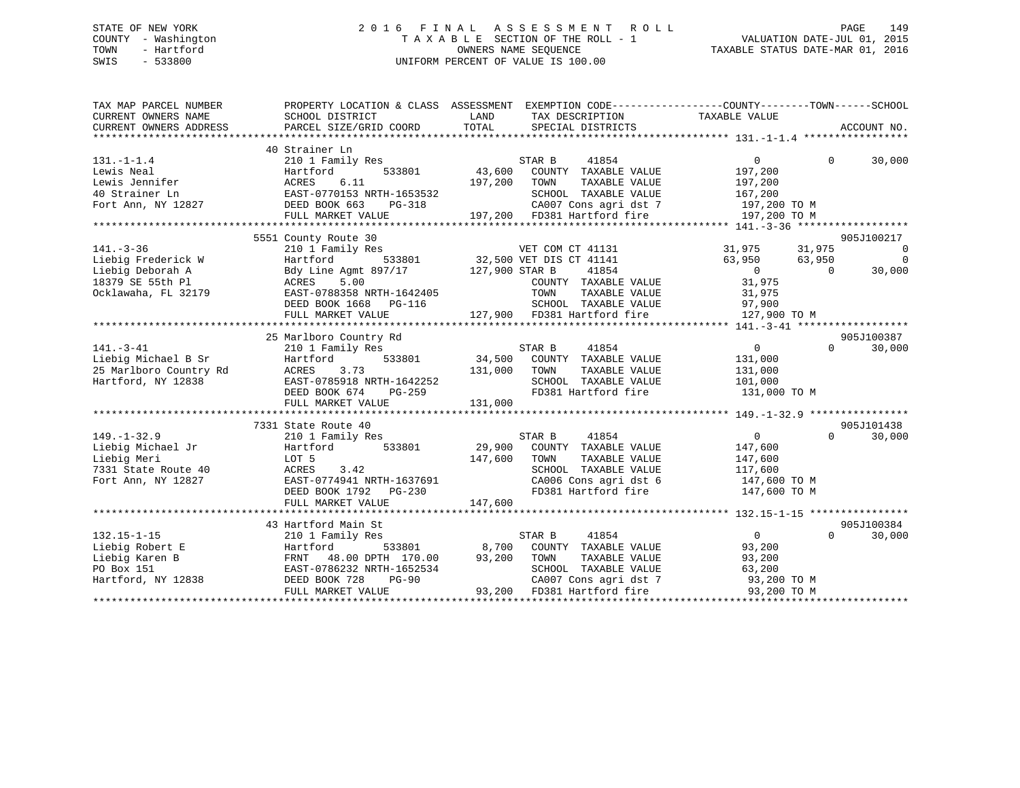# STATE OF NEW YORK 2 0 1 6 F I N A L A S S E S S M E N T R O L L PAGE 149 COUNTY - Washington T A X A B L E SECTION OF THE ROLL - 1 VALUATION DATE-JUL 01, 2015 TOWN - Hartford **TAXABLE STATUS DATE-MAR 01, 2016** OWNERS NAME SEQUENCE TAXABLE STATUS DATE-MAR 01, 2016 SWIS - 533800 UNIFORM PERCENT OF VALUE IS 100.00

| TAX MAP PARCEL NUMBER  | PROPERTY LOCATION & CLASS ASSESSMENT EXEMPTION CODE---------------COUNTY-------TOWN------SCHOOL                                     |             |                             |                |                    |
|------------------------|-------------------------------------------------------------------------------------------------------------------------------------|-------------|-----------------------------|----------------|--------------------|
|                        |                                                                                                                                     |             |                             |                |                    |
|                        |                                                                                                                                     |             |                             |                |                    |
|                        | 40 Strainer Ln                                                                                                                      |             |                             |                |                    |
| $131. - 1 - 1.4$       | 210 1 Family Res                                                                                                                    |             | STAR B<br>41854             | $\overline{0}$ | $\Omega$<br>30,000 |
| Lewis Neal             | 533801<br>Hartford                                                                                                                  | 43,600      | COUNTY TAXABLE VALUE        | 197,200        |                    |
| Lewis Jennifer         | ACRES<br>6.11                                                                                                                       | 197,200     | TOWN<br>TAXABLE VALUE       | 197,200        |                    |
| 40 Strainer Ln         | EAST-0770153 NRTH-1653532<br>7.7 DEED BOOK 663 PG-318                                                                               |             | SCHOOL TAXABLE VALUE        | 167,200        |                    |
| Fort Ann, NY 12827     |                                                                                                                                     |             | CA007 Cons agri dst 7       | 197,200 TO M   |                    |
|                        | FULL MARKET VALUE                                                                                                                   |             | 197,200 FD381 Hartford fire | 197,200 TO M   |                    |
|                        |                                                                                                                                     |             |                             |                |                    |
|                        | 5551 County Route 30                                                                                                                |             |                             |                | 905J100217         |
| $141. - 3 - 36$        | $210$ 1 Family Res<br>Hartford 533801 32,500 VET DIS CT 41141 31,975 31,975 31,975<br>Bdy Line Agmt 897/17 127,900 STAR B 41854 0 0 |             |                             |                | $\overline{0}$     |
| Liebig Frederick W     |                                                                                                                                     |             |                             |                | $\overline{0}$     |
| Liebig Deborah A       |                                                                                                                                     |             |                             |                | 30,000             |
| 18379 SE 55th Pl       | ACRES<br>5.00                                                                                                                       |             | COUNTY TAXABLE VALUE        | 31,975         |                    |
| Ocklawaha, FL 32179    | EAST-0788358 NRTH-1642405                                                                                                           |             | TOWN<br>TAXABLE VALUE       | 31,975         |                    |
|                        | DEED BOOK 1668 PG-116                                                                                                               |             | SCHOOL TAXABLE VALUE 97,900 |                |                    |
|                        | FULL MARKET VALUE                                                                                                                   |             | 127,900 FD381 Hartford fire | 127,900 TO M   |                    |
|                        |                                                                                                                                     |             |                             |                |                    |
|                        | 25 Marlboro Country Rd                                                                                                              |             |                             |                | 905J100387         |
| $141. - 3 - 41$        | 210 1 Family Res                                                                                                                    |             | STAR B<br>41854             | $\overline{0}$ | $\Omega$<br>30,000 |
| Liebig Michael B Sr    | 533801<br>Hartford                                                                                                                  |             | 34,500 COUNTY TAXABLE VALUE | 131,000        |                    |
| 25 Marlboro Country Rd | 131,000<br>ACRES<br>3.73<br>ACRES 3.73<br>EAST-0785918 NRTH-1642252<br>CALL DG-259                                                  |             | TOWN<br>TAXABLE VALUE       | 131,000        |                    |
| Hartford, NY 12838     |                                                                                                                                     |             | SCHOOL TAXABLE VALUE        | 101,000        |                    |
|                        |                                                                                                                                     |             | FD381 Hartford fire         | 131,000 TO M   |                    |
|                        | FULL MARKET VALUE                                                                                                                   | 131,000     |                             |                |                    |
|                        |                                                                                                                                     |             |                             |                |                    |
|                        | 7331 State Route 40                                                                                                                 |             |                             |                | 905J101438         |
| $149. - 1 - 32.9$      | 210 1 Family Res                                                                                                                    | S<br>29,900 | STAR B<br>41854             | $\overline{0}$ | $\Omega$<br>30,000 |
| Liebig Michael Jr      | 533801<br>Hartford                                                                                                                  |             | COUNTY TAXABLE VALUE        | 147,600        |                    |
| Liebig Meri            | LOT 5                                                                                                                               | 147,600     | TAXABLE VALUE<br>TOWN       | 147,600        |                    |
| 7331 State Route 40    |                                                                                                                                     |             | SCHOOL TAXABLE VALUE        | 117,600        |                    |
| Fort Ann, NY 12827     | ACRES 3.42<br>EAST-0774941 NRTH-1637691                                                                                             |             |                             |                |                    |
|                        | DEED BOOK 1792 PG-230                                                                                                               |             | FD381 Hartford fire         | 147,600 TO M   |                    |
|                        | FULL MARKET VALUE                                                                                                                   | 147,600     |                             |                |                    |
|                        |                                                                                                                                     |             |                             |                |                    |
|                        | 43 Hartford Main St                                                                                                                 |             |                             |                | 905J100384         |
| $132.15 - 1 - 15$      | 210 1 Family Res                                                                                                                    |             | STAR B<br>41854             | $\overline{0}$ | $\Omega$<br>30,000 |
| Liebig Robert E        | 533801 8,700<br>Hartford                                                                                                            |             | COUNTY TAXABLE VALUE        | 93,200         |                    |
| Liebig Karen B         | FRNT 48.00 DPTH 170.00 93,200 TOWN                                                                                                  |             | TAXABLE VALUE               | 93,200         |                    |
| PO Box 151             | EAST-0786232 NRTH-1652534                                                                                                           |             | SCHOOL TAXABLE VALUE        | 63,200         |                    |
| Hartford, NY 12838     | DEED BOOK 728<br><b>PG-90</b>                                                                                                       |             | CA007 Cons agri dst 7       | 93,200 TO M    |                    |
|                        | FULL MARKET VALUE                                                                                                                   |             | 93,200 FD381 Hartford fire  | 93,200 TO M    |                    |
|                        |                                                                                                                                     |             |                             |                |                    |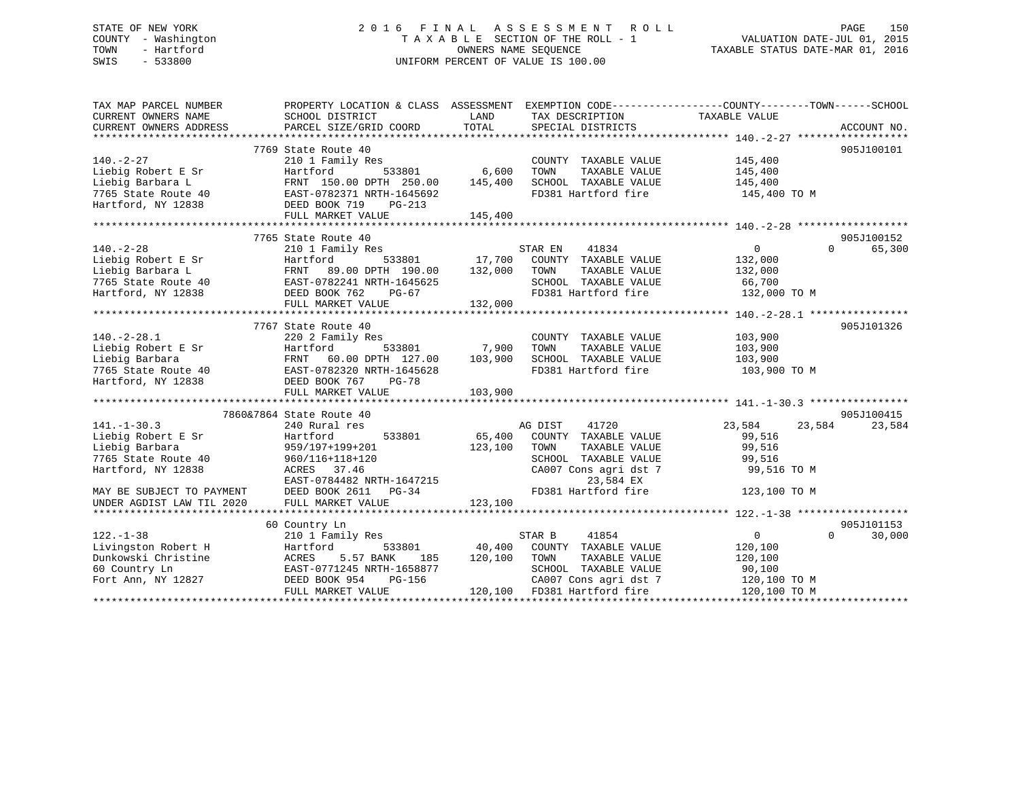# STATE OF NEW YORK 2 0 1 6 F I N A L A S S E S S M E N T R O L L PAGE 150 COUNTY - Washington T A X A B L E SECTION OF THE ROLL - 1 VALUATION DATE-JUL 01, 2015 TOWN - Hartford **TAXABLE STATUS DATE-MAR 01, 2016** OWNERS NAME SEQUENCE TAXABLE STATUS DATE-MAR 01, 2016 SWIS - 533800 UNIFORM PERCENT OF VALUE IS 100.00

| TAX MAP PARCEL NUMBER                                  | PROPERTY LOCATION & CLASS ASSESSMENT EXEMPTION CODE---------------COUNTY-------TOWN------SCHOOL                                                                                                                                                                                                                                                                                                                                |                   |                                                               |                       |                    |
|--------------------------------------------------------|--------------------------------------------------------------------------------------------------------------------------------------------------------------------------------------------------------------------------------------------------------------------------------------------------------------------------------------------------------------------------------------------------------------------------------|-------------------|---------------------------------------------------------------|-----------------------|--------------------|
| CURRENT OWNERS NAME                                    | SCHOOL DISTRICT                                                                                                                                                                                                                                                                                                                                                                                                                | LAND              | TAX DESCRIPTION                                               | TAXABLE VALUE         |                    |
| CURRENT OWNERS ADDRESS                                 | PARCEL SIZE/GRID COORD                                                                                                                                                                                                                                                                                                                                                                                                         | TOTAL             | SPECIAL DISTRICTS                                             |                       | ACCOUNT NO.        |
|                                                        | 7769 State Route 40                                                                                                                                                                                                                                                                                                                                                                                                            |                   |                                                               |                       | 905J100101         |
| $140. -2 - 27$                                         | 210 1 Family Res                                                                                                                                                                                                                                                                                                                                                                                                               | 6,600             | COUNTY TAXABLE VALUE                                          |                       |                    |
| Liebig Robert E Sr                                     | 533801<br>Hartford                                                                                                                                                                                                                                                                                                                                                                                                             |                   | TAXABLE VALUE<br>TOWN                                         | 145,400<br>145,400    |                    |
|                                                        |                                                                                                                                                                                                                                                                                                                                                                                                                                |                   | SCHOOL TAXABLE VALUE 145,400                                  |                       |                    |
|                                                        |                                                                                                                                                                                                                                                                                                                                                                                                                                |                   | FD381 Hartford fire                                           | 145,400 TO M          |                    |
|                                                        |                                                                                                                                                                                                                                                                                                                                                                                                                                |                   |                                                               |                       |                    |
|                                                        | Liebig Barbara L<br>The FRNT 150.00 DPTH 250.00 145,400<br>7765 State Route 40 EAST-0782371 NRTH-1645692<br>Hartford, NY 12838 DEED BOOK 719 PG-213<br>FULL MARKET VALUE 145,400<br>FULL MARKET VALUE                                                                                                                                                                                                                          |                   |                                                               |                       |                    |
|                                                        |                                                                                                                                                                                                                                                                                                                                                                                                                                | 145,400           |                                                               |                       |                    |
|                                                        | 7765 State Route 40                                                                                                                                                                                                                                                                                                                                                                                                            |                   |                                                               |                       | 905J100152         |
| $140. - 2 - 28$                                        |                                                                                                                                                                                                                                                                                                                                                                                                                                |                   |                                                               | $\overline{0}$        | $\Omega$<br>65,300 |
|                                                        |                                                                                                                                                                                                                                                                                                                                                                                                                                |                   |                                                               | 132,000               |                    |
|                                                        |                                                                                                                                                                                                                                                                                                                                                                                                                                |                   |                                                               | TAXABLE VALUE 132,000 |                    |
|                                                        |                                                                                                                                                                                                                                                                                                                                                                                                                                |                   |                                                               |                       |                    |
|                                                        | $\begin{tabular}{lllllllllllllllllllll} \textbf{140.-2-28} & \textbf{2101 Family Res} & \textbf{51AK EM} \\ \textbf{Liebig Robert E Sr} & \textbf{Hartford} & \textbf{533801} & \textbf{17,700} & \textbf{COUNTY} \\ \textbf{Liebig Barbara L} & \textbf{FRNT} & \textbf{89.00 DPTH} & \textbf{190.00} & \textbf{132,000} & \textbf{TOMN} \\ \textbf{7765 State Route 40} & \textbf{EAST-0782241 NRTH-1645625} & \textbf{SCHO$ |                   |                                                               |                       |                    |
|                                                        | FULL MARKET VALUE                                                                                                                                                                                                                                                                                                                                                                                                              | 132,000           |                                                               |                       |                    |
|                                                        |                                                                                                                                                                                                                                                                                                                                                                                                                                |                   |                                                               |                       |                    |
|                                                        | 7767 State Route 40                                                                                                                                                                                                                                                                                                                                                                                                            |                   |                                                               |                       | 905J101326         |
| $140.-2-28.1$                                          | 220 2 Family Res                                                                                                                                                                                                                                                                                                                                                                                                               |                   | COUNTY TAXABLE VALUE                                          | 103,900               |                    |
|                                                        |                                                                                                                                                                                                                                                                                                                                                                                                                                | 533801 7,900 TOWN | TAXABLE VALUE                                                 | 103,900               |                    |
|                                                        |                                                                                                                                                                                                                                                                                                                                                                                                                                |                   | SCHOOL TAXABLE VALUE                                          | 103,900               |                    |
|                                                        |                                                                                                                                                                                                                                                                                                                                                                                                                                |                   | FD381 Hartford fire 103,900 TO M                              |                       |                    |
|                                                        |                                                                                                                                                                                                                                                                                                                                                                                                                                |                   |                                                               |                       |                    |
|                                                        | 140.-2-28.1<br>Liebig Robert E Sr<br>Liebig Barbara ERNT 60.00 DPTH 127.00 103,900<br>The TRIS TO EXECT-0782320 NRTH-1645628<br>The Text Control NY 12838<br>The Magnetic Control CED BOOK 767 PG-78<br>The Magnetic CED BOOK 767 PG-78<br>                                                                                                                                                                                    |                   |                                                               |                       |                    |
|                                                        |                                                                                                                                                                                                                                                                                                                                                                                                                                |                   |                                                               |                       |                    |
|                                                        | 7860&7864 State Route 40                                                                                                                                                                                                                                                                                                                                                                                                       |                   |                                                               |                       | 905J100415         |
| $141. - 1 - 30.3$                                      | 240 Rural res                                                                                                                                                                                                                                                                                                                                                                                                                  |                   | AG DIST<br>41720                                              | 23,584<br>23,584      | 23,584             |
| Liebig Robert E Sr<br>Liebig Barbara                   | 533801                                                                                                                                                                                                                                                                                                                                                                                                                         |                   | 65,400 COUNTY TAXABLE VALUE                                   | 99,516                |                    |
|                                                        |                                                                                                                                                                                                                                                                                                                                                                                                                                | 123,100           | TOWN<br>TAXABLE VALUE                                         | 99,516                |                    |
| 7765 State Route 40                                    | 960/116+118+120                                                                                                                                                                                                                                                                                                                                                                                                                |                   | SCHOOL TAXABLE VALUE 99,516                                   |                       |                    |
| Hartford, NY 12838                                     | ACRES 37.46                                                                                                                                                                                                                                                                                                                                                                                                                    |                   | CA007 Cons agri dst 7                                         | 99,516 TO M           |                    |
|                                                        | EAST-0784482 NRTH-1647215                                                                                                                                                                                                                                                                                                                                                                                                      |                   | 23,584 EX                                                     |                       |                    |
|                                                        | DEED BOOK 2611 PG-34                                                                                                                                                                                                                                                                                                                                                                                                           |                   | FD381 Hartford fire 123,100 TO M                              |                       |                    |
| MAY BE SUBJECT TO PAYMENT<br>UNDER AGDIST LAW TIL 2020 | FULL MARKET VALUE                                                                                                                                                                                                                                                                                                                                                                                                              | 123,100           |                                                               |                       |                    |
|                                                        |                                                                                                                                                                                                                                                                                                                                                                                                                                |                   |                                                               |                       |                    |
|                                                        | 60 Country Ln                                                                                                                                                                                                                                                                                                                                                                                                                  |                   |                                                               |                       | 905J101153         |
| $122. - 1 - 38$                                        | 210 1 Family Res                                                                                                                                                                                                                                                                                                                                                                                                               |                   | 41854<br>STAR B                                               | $\overline{0}$        | $\Omega$<br>30,000 |
| Livingston Robert H                                    | Hartford                                                                                                                                                                                                                                                                                                                                                                                                                       |                   | 533801 40,400 COUNTY TAXABLE VALUE                            | 120,100               |                    |
| Dunkowski Christine                                    | ACRES 5.57 BANK                                                                                                                                                                                                                                                                                                                                                                                                                | 185 120,100 TOWN  |                                                               | 120,100               |                    |
| 60 Country Ln                                          | EAST-0771245 NRTH-1658877                                                                                                                                                                                                                                                                                                                                                                                                      |                   | TOWN       TAXABLE  VALUE<br>SCHOOL    TAXABLE  VALUE         | 90,100                |                    |
| Fort Ann, NY 12827                                     | DEED BOOK 954                                                                                                                                                                                                                                                                                                                                                                                                                  |                   | CA007 Cons agri dst 7 120,100 TO M                            |                       |                    |
|                                                        | FULL MARKET VALUE                                                                                                                                                                                                                                                                                                                                                                                                              |                   | PG-156 CA007 Cons agri dst 7<br>E 120,100 FD381 Hartford fire | 120,100 TO M          |                    |
|                                                        |                                                                                                                                                                                                                                                                                                                                                                                                                                |                   |                                                               |                       |                    |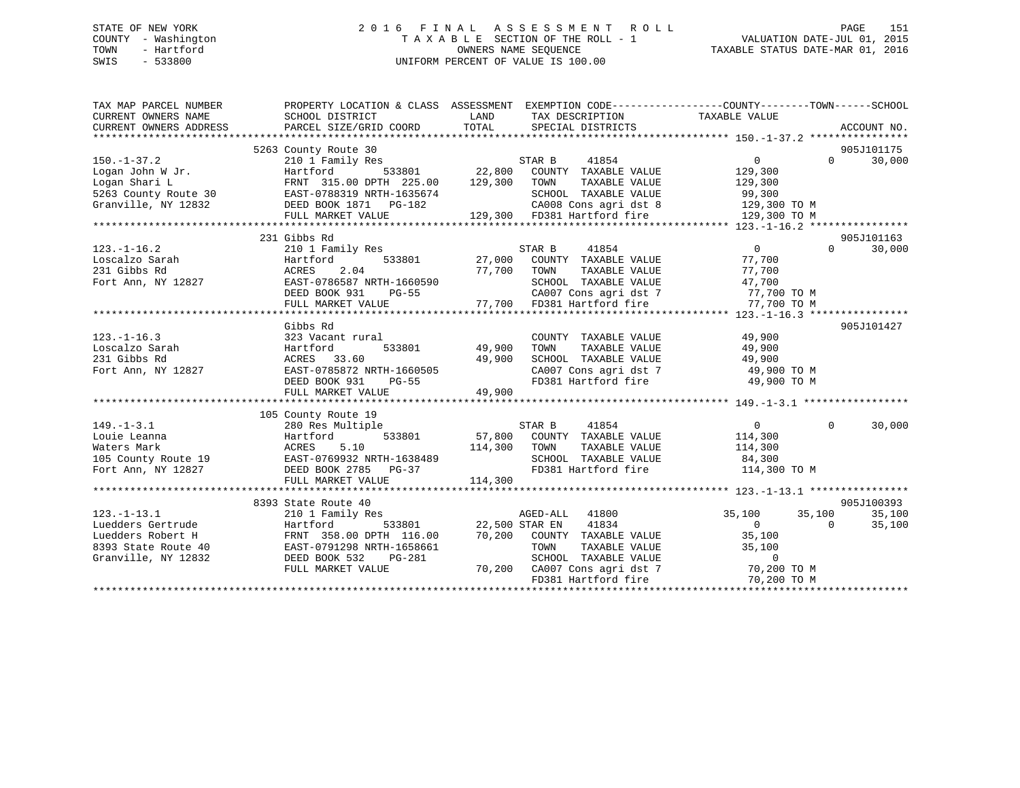# STATE OF NEW YORK 2 0 1 6 F I N A L A S S E S S M E N T R O L L PAGE 151 COUNTY - Washington T A X A B L E SECTION OF THE ROLL - 1 VALUATION DATE-JUL 01, 2015 TOWN - Hartford **TAXABLE STATUS DATE-MAR 01, 2016** OWNERS NAME SEQUENCE TAXABLE STATUS DATE-MAR 01, 2016 SWIS - 533800 UNIFORM PERCENT OF VALUE IS 100.00

| TAX MAP PARCEL NUMBER                                                                 | PROPERTY LOCATION & CLASS ASSESSMENT EXEMPTION CODE---------------COUNTY-------TOWN-----SCHOOL                                                                                                                                         |                                                       |                                                                              |                    |                   |            |
|---------------------------------------------------------------------------------------|----------------------------------------------------------------------------------------------------------------------------------------------------------------------------------------------------------------------------------------|-------------------------------------------------------|------------------------------------------------------------------------------|--------------------|-------------------|------------|
| CURRENT OWNERS NAME                                                                   | SCHOOL DISTRICT                                                                                                                                                                                                                        | <b>EXAMPLE TO A LAND THE EXAMPLE THE SET OF STATE</b> | TAX DESCRIPTION                                                              | TAXABLE VALUE      |                   |            |
|                                                                                       |                                                                                                                                                                                                                                        |                                                       |                                                                              |                    |                   |            |
|                                                                                       |                                                                                                                                                                                                                                        |                                                       |                                                                              |                    |                   |            |
|                                                                                       | 5263 County Route 30                                                                                                                                                                                                                   |                                                       |                                                                              |                    |                   | 905J101175 |
| $150. - 1 - 37.2$                                                                     | 210 1 Family Res                                                                                                                                                                                                                       |                                                       | STAR B<br>41854                                                              | $\overline{0}$     | $0 \qquad \qquad$ | 30,000     |
| $\begin{array}{ll}\n\text{Logan John W Jr.} \\ \text{Longan John W Jr.}\n\end{array}$ | Hartford 533801 22,800 COUNTY TAXABLE VALUE<br>FRNT 315.00 DPTH 225.00 129,300 TOWN TAXABLE VALUE                                                                                                                                      |                                                       |                                                                              | 129,300<br>129,300 |                   |            |
|                                                                                       |                                                                                                                                                                                                                                        |                                                       |                                                                              |                    |                   |            |
|                                                                                       |                                                                                                                                                                                                                                        |                                                       |                                                                              |                    |                   |            |
|                                                                                       |                                                                                                                                                                                                                                        |                                                       |                                                                              |                    |                   |            |
|                                                                                       | Logan Shari L<br>5263 County Route 30 EAST-0788319 NRTH-1635674 SCHOOL TAXABLE VALUE<br>Granville, NY 12832 DEED BOOK 1871 PG-182 CA008 Cons agri dst 8 129,300 TO M<br>FULL MARKET VALUE 129,300 FD381 Hartford fire 129,300 TO M<br> |                                                       |                                                                              |                    |                   |            |
|                                                                                       | 231 Gibbs Rd                                                                                                                                                                                                                           |                                                       |                                                                              |                    |                   | 905J101163 |
| $123. - 1 - 16.2$                                                                     | 210 1 Family Res                                                                                                                                                                                                                       |                                                       | STAR B 41854                                                                 | $\overline{0}$     | $\Omega$          | 30,000     |
| Loscalzo Sarah                                                                        | Hartford                                                                                                                                                                                                                               |                                                       | 533801 27,000 COUNTY TAXABLE VALUE                                           | 77,700             |                   |            |
|                                                                                       |                                                                                                                                                                                                                                        |                                                       |                                                                              | 77,700             |                   |            |
|                                                                                       |                                                                                                                                                                                                                                        |                                                       | TOWN       TAXABLE  VALUE<br>SCHOOL    TAXABLE  VALUE                        | 47,700             |                   |            |
|                                                                                       | 231 Gibbs Rd<br>Fort Ann, NY 12827 EAST-0786587 NRTH-1660590 SCHOOL<br>DEED BOOK 931 PG-55 CA007 CC                                                                                                                                    |                                                       | CA007 Cons agri dst 7 77,700 TO M                                            |                    |                   |            |
|                                                                                       | FULL MARKET VALUE 77,700 FD381 Hartford fire                                                                                                                                                                                           |                                                       |                                                                              | 77,700 TO M        |                   |            |
|                                                                                       |                                                                                                                                                                                                                                        |                                                       |                                                                              |                    |                   |            |
|                                                                                       | Gibbs Rd                                                                                                                                                                                                                               |                                                       |                                                                              |                    |                   | 905J101427 |
| $123. - 1 - 16.3$                                                                     | 323 Vacant rural                                                                                                                                                                                                                       |                                                       | COUNTY TAXABLE VALUE                                                         | 49,900             |                   |            |
| Loscalzo Sarah                                                                        | Hartford                                                                                                                                                                                                                               | l<br>533801                   49,900                  | TOWN                                                                         | 49,900             |                   |            |
| 231 Gibbs Rd                                                                          | ACRES 33.60                                                                                                                                                                                                                            | 49,900                                                | VALUE کلیست<br>TAXABLE VALUE<br>TAXABLE VALUE<br>SCHOOL TAXABLE VALUE 49,900 |                    |                   |            |
| Fort Ann, NY 12827                                                                    | EAST-0785872 NRTH-1660505<br>DEED BOOK 931 PG-55                                                                                                                                                                                       |                                                       |                                                                              | 49,900 TO M        |                   |            |
|                                                                                       |                                                                                                                                                                                                                                        |                                                       | CA007 Cons agri dst 7<br>FD381 Hartford fire                                 | 49,900 TO M        |                   |            |
|                                                                                       | FULL MARKET VALUE                                                                                                                                                                                                                      | 49,900                                                |                                                                              |                    |                   |            |
|                                                                                       |                                                                                                                                                                                                                                        |                                                       |                                                                              |                    |                   |            |
|                                                                                       | 105 County Route 19                                                                                                                                                                                                                    |                                                       |                                                                              |                    |                   |            |
| $149. - 1 - 3.1$                                                                      | 280 Res Multiple                                                                                                                                                                                                                       |                                                       | STAR B<br>41854                                                              | $\overline{0}$     | $\Omega$          | 30,000     |
|                                                                                       |                                                                                                                                                                                                                                        |                                                       | 533801 57,800 COUNTY TAXABLE VALUE                                           | 114,300            |                   |            |
|                                                                                       |                                                                                                                                                                                                                                        | 114,300 TOWN                                          | TAXABLE VALUE                                                                | 114,300            |                   |            |
|                                                                                       |                                                                                                                                                                                                                                        |                                                       | SCHOOL TAXABLE VALUE 84,300                                                  |                    |                   |            |
|                                                                                       | Fort Ann, NY 12827 DEED BOOK 2785 PG-37                                                                                                                                                                                                |                                                       | FD381 Hartford fire 114,300 TO M                                             |                    |                   |            |
|                                                                                       | FULL MARKET VALUE                                                                                                                                                                                                                      | 114,300                                               |                                                                              |                    |                   |            |
|                                                                                       |                                                                                                                                                                                                                                        |                                                       |                                                                              |                    |                   |            |
|                                                                                       | 8393 State Route 40                                                                                                                                                                                                                    |                                                       |                                                                              |                    |                   | 905J100393 |
| $123. - 1 - 13.1$                                                                     | 210 1 Family Res                                                                                                                                                                                                                       |                                                       | AGED-ALL 41800                                                               | 35,100 35,100      |                   | 35,100     |
| Luedders Gertrude                                                                     | Hartford                                                                                                                                                                                                                               | 533801 22,500 STAR EN                                 | 41834                                                                        | $\overline{0}$ 0   |                   | 35,100     |
|                                                                                       |                                                                                                                                                                                                                                        |                                                       |                                                                              | 35,100             |                   |            |
|                                                                                       | Luedders Robert H FRNT 358.00 DPTH 116.00 70,200 COUNTY TAXABLE VALUE 35,100<br>8393 State Route 40 EAST-0791298 NRTH-1658661 TOWN TAXABLE VALUE 35,100<br>Granville, NY 12832 DEED BOOK 532 PG-281 SCHOOL TAXABLE VALUE 0             |                                                       |                                                                              |                    |                   |            |
|                                                                                       |                                                                                                                                                                                                                                        |                                                       |                                                                              |                    |                   |            |
|                                                                                       | FULL MARKET VALUE                                                                                                                                                                                                                      |                                                       | 70,200 CA007 Cons agri dst 7 (200 TO M FD381 Hartford fire 1990) 70,200 TO M |                    |                   |            |
|                                                                                       |                                                                                                                                                                                                                                        |                                                       |                                                                              |                    |                   |            |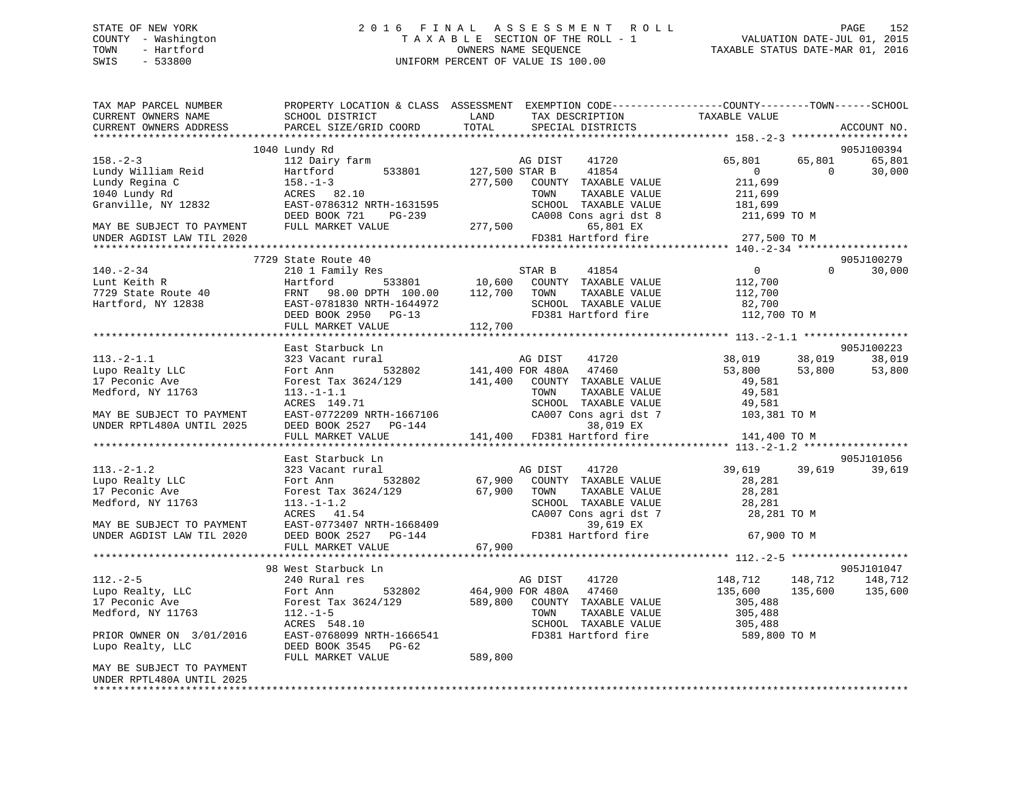# STATE OF NEW YORK 2 0 1 6 F I N A L A S S E S S M E N T R O L L PAGE 152 COUNTY - Washington T A X A B L E SECTION OF THE ROLL - 1 VALUATION DATE-JUL 01, 2015 TOWN - Hartford **TAXABLE STATUS DATE-MAR 01, 2016** OWNERS NAME SEQUENCE TAXABLE STATUS DATE-MAR 01, 2016 SWIS - 533800 UNIFORM PERCENT OF VALUE IS 100.00

| TAX MAP PARCEL NUMBER<br>CURRENT OWNERS NAME                                                                                                                                                                      | PROPERTY LOCATION & CLASS ASSESSMENT EXEMPTION CODE---------------COUNTY-------TOWN------SCHOOL<br>SCHOOL DISTRICT        | LAND    | TAX DESCRIPTION                                        | TAXABLE VALUE                    |                            |
|-------------------------------------------------------------------------------------------------------------------------------------------------------------------------------------------------------------------|---------------------------------------------------------------------------------------------------------------------------|---------|--------------------------------------------------------|----------------------------------|----------------------------|
| CURRENT OWNERS ADDRESS                                                                                                                                                                                            | PARCEL SIZE/GRID COORD                                                                                                    | TOTAL   | SPECIAL DISTRICTS                                      |                                  | ACCOUNT NO.                |
|                                                                                                                                                                                                                   | 1040 Lundy Rd                                                                                                             |         |                                                        |                                  | 905J100394                 |
| $158. - 2 - 3$                                                                                                                                                                                                    | 112 Dairy farm                                                                                                            |         | AG DIST<br>41720                                       | 65,801                           | 65,801<br>65,801           |
| Hartford<br>158.-1-3<br>ACRES 8:<br>EAST-0786<br>ERST-0786<br>Lundy William Reid                                                                                                                                  | 533801<br>Hartford                                                                                                        |         | 127,500 STAR B 41854                                   | $\overline{0}$                   | $\overline{0}$<br>30,000   |
| Lundy Regina C                                                                                                                                                                                                    |                                                                                                                           |         | 277,500 COUNTY TAXABLE VALUE                           | 211,699                          |                            |
| 1040 Lundy Rd                                                                                                                                                                                                     | $158.-1-3$<br>ACRES 82.10                                                                                                 |         | TOWN<br>TAXABLE VALUE                                  | 211,699                          |                            |
| Granville, NY 12832                                                                                                                                                                                               | EAST-0786312 NRTH-1631595                                                                                                 |         | SCHOOL TAXABLE VALUE                                   | 181,699                          |                            |
|                                                                                                                                                                                                                   | DEED BOOK 721 PG-239                                                                                                      |         | CA008 Cons agri dst 8                                  | 211,699 TO M                     |                            |
| MAY BE SUBJECT TO PAYMENT FULL MARKET VALUE                                                                                                                                                                       |                                                                                                                           | 277,500 | 65,801 EX                                              |                                  |                            |
| UNDER AGDIST LAW TIL 2020                                                                                                                                                                                         |                                                                                                                           |         | FD381 Hartford fire                                    | 277,500 TO M                     |                            |
|                                                                                                                                                                                                                   |                                                                                                                           |         |                                                        |                                  |                            |
|                                                                                                                                                                                                                   | 7729 State Route 40                                                                                                       |         |                                                        |                                  | 905J100279                 |
| $140. - 2 - 34$                                                                                                                                                                                                   | 210 1 Family Res                                                                                                          |         | STAR B                                                 | $\overline{0}$                   | $\Omega$<br>30,000         |
| FIAR B 41854<br>10,600 COUNTY TAXABLE VALUE<br>7729 State Route 40 FRNT 98.00 DPTH 100.00 112,700 TOWN TAXABLE VALUE<br>Hartford, NY 12838 EAST-0781830 NRTH-1644972 SCHOOL TAXABLE VALUE<br>DEED BOOK 2950 PC-13 |                                                                                                                           |         |                                                        | 112,700<br>112,700               |                            |
|                                                                                                                                                                                                                   |                                                                                                                           |         | TAXABLE VALUE                                          |                                  |                            |
|                                                                                                                                                                                                                   | EAST-0781830 NRTH-1644972<br>DEED BOOK 2950 PG-13 FULL MARKET VALUE 112,700                                               |         | SCHOOL TAXABLE VALUE                                   | 82,700                           |                            |
|                                                                                                                                                                                                                   |                                                                                                                           |         |                                                        | FD381 Hartford fire 112,700 TO M |                            |
|                                                                                                                                                                                                                   |                                                                                                                           |         |                                                        |                                  |                            |
|                                                                                                                                                                                                                   |                                                                                                                           |         |                                                        |                                  |                            |
|                                                                                                                                                                                                                   | East Starbuck Ln                                                                                                          |         |                                                        |                                  | 905J100223                 |
| $113.-2-1.1$                                                                                                                                                                                                      | 323 Vacant rural<br>Fort Ann 532802                                                                                       |         | AG DIST 41720                                          | 38,019<br>53,800 53,800          | 38,019<br>38,019<br>53,800 |
| Lupo Realty LLC<br>17 Peconic Ave                                                                                                                                                                                 | Forest Tax 3624/129                                                                                                       |         | 141,400 FOR 480A 47460<br>141,400 COUNTY TAXABLE VALUE | 49,581                           |                            |
| Medford, NY 11763                                                                                                                                                                                                 | $113.-1-1.1$                                                                                                              |         | TAXABLE VALUE<br>TOWN                                  | 49,581                           |                            |
|                                                                                                                                                                                                                   |                                                                                                                           |         | SCHOOL TAXABLE VALUE                                   |                                  |                            |
| MAY BE SUBJECT TO PAYMENT                                                                                                                                                                                         | ACRES 149.71<br>EAST-0772209 NRTH-1667106                                                                                 |         | CA007 Cons agri dst 7                                  | 49,581<br>103,381 TO M           |                            |
| UNDER RPTL480A UNTIL 2025                                                                                                                                                                                         | DEED BOOK 2527 PG-144                                                                                                     |         | 38,019 EX                                              |                                  |                            |
|                                                                                                                                                                                                                   | FULL MARKET VALUE                                                                                                         |         | 141,400 FD381 Hartford fire                            | 141,400 TO M                     |                            |
|                                                                                                                                                                                                                   |                                                                                                                           |         |                                                        |                                  |                            |
|                                                                                                                                                                                                                   | East Starbuck Ln                                                                                                          |         |                                                        |                                  | 905J101056                 |
| $113.-2-1.2$                                                                                                                                                                                                      | 323 Vacant rural                                                                                                          |         | AG DIST 41720                                          | 39,619 39,619                    | 39,619                     |
| Lupo Realty LLC                                                                                                                                                                                                   | Fort Ann 532802                                                                                                           |         | 67,900 COUNTY TAXABLE VALUE                            | 28,281                           |                            |
| 17 Peconic Ave                                                                                                                                                                                                    | Forest Tax 3624/129 67,900 TOWN                                                                                           |         | TAXABLE VALUE                                          | 28,281                           |                            |
| Medford, NY 11763                                                                                                                                                                                                 | $113. - 1 - 1.2$<br>$113.-1-1.2$<br>ACRES $41.54$                                                                         |         | SCHOOL TAXABLE VALUE                                   | 28,281                           |                            |
|                                                                                                                                                                                                                   |                                                                                                                           |         | CA007 Cons agri dst 7                                  | 28,281 TO M                      |                            |
| MAY BE SUBJECT TO PAYMENT                                                                                                                                                                                         | 113.-1-1.2<br>ACRES 41.54<br>EAST-0773407 NRTH-1668409 39,619 EX<br>PRIN DOOK 2527 PG-144 FD381 Hartford fire             |         |                                                        |                                  |                            |
| UNDER AGDIST LAW TIL 2020                                                                                                                                                                                         |                                                                                                                           |         |                                                        | 67,900 TO M                      |                            |
|                                                                                                                                                                                                                   | FULL MARKET VALUE                                                                                                         | 67,900  |                                                        |                                  |                            |
|                                                                                                                                                                                                                   |                                                                                                                           |         |                                                        |                                  |                            |
|                                                                                                                                                                                                                   | 98 West Starbuck Ln                                                                                                       |         |                                                        |                                  | 905J101047                 |
| $112. - 2 - 5$                                                                                                                                                                                                    | 240 Rural res                                                                                                             |         | AG DIST 41720                                          | 148,712 148,712                  | 148,712                    |
| Lupo Realty, LLC<br>17 Peconic Ave                                                                                                                                                                                |                                                                                                                           |         |                                                        | 135,600<br>135,600<br>305,488    | 135,600                    |
| Medford, NY 11763                                                                                                                                                                                                 | Fort Ann 532802 464,900 FOR 480A 47460<br>Forest Tax 3624/129 589,800 COUNTY TAXABLE VALUE<br>112.-1-5 TOWN TAXABLE VALUE |         | TAXABLE VALUE                                          | 305,488                          |                            |
|                                                                                                                                                                                                                   | ACRES 548.10                                                                                                              |         | SCHOOL TAXABLE VALUE                                   | 305,488                          |                            |
| PRIOR OWNER ON 3/01/2016                                                                                                                                                                                          |                                                                                                                           |         |                                                        | FD381 Hartford fire 589,800 TO M |                            |
| Lupo Realty, LLC                                                                                                                                                                                                  | EAST-0768099 NRTH-1666541<br>DEED BOOK 3545 PG-62<br>DEED BOOK 3545 PG-62                                                 |         |                                                        |                                  |                            |
|                                                                                                                                                                                                                   | FULL MARKET VALUE                                                                                                         | 589,800 |                                                        |                                  |                            |
| MAY BE SUBJECT TO PAYMENT                                                                                                                                                                                         |                                                                                                                           |         |                                                        |                                  |                            |
| UNDER RPTL480A UNTIL 2025                                                                                                                                                                                         |                                                                                                                           |         |                                                        |                                  |                            |
|                                                                                                                                                                                                                   |                                                                                                                           |         |                                                        |                                  |                            |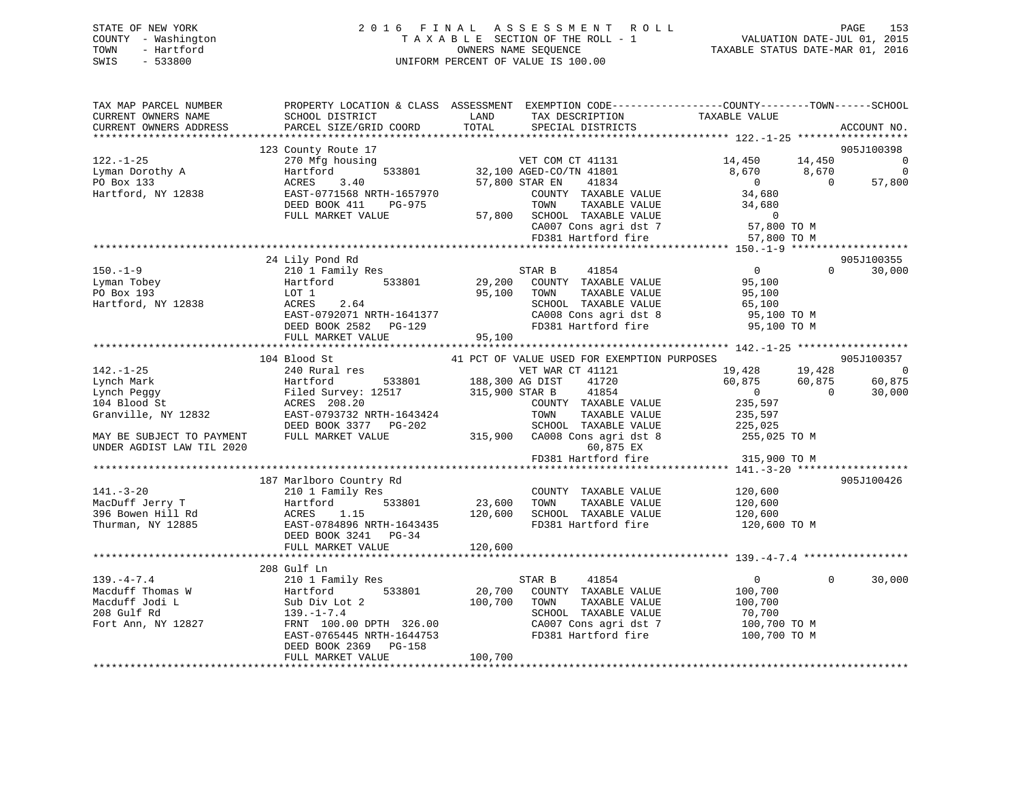# STATE OF NEW YORK 2 0 1 6 F I N A L A S S E S S M E N T R O L L PAGE 153 COUNTY - Washington T A X A B L E SECTION OF THE ROLL - 1 VALUATION DATE-JUL 01, 2015 TOWN - Hartford **TAXABLE STATUS DATE-MAR 01, 2016** OWNERS NAME SEQUENCE TAXABLE STATUS DATE-MAR 01, 2016 SWIS - 533800 UNIFORM PERCENT OF VALUE IS 100.00

| TAX MAP PARCEL NUMBER<br>CURRENT OWNERS NAME<br>CURRENT OWNERS ADDRESS                                                                                                                                 | SCHOOL DISTRICT<br>PARCEL SIZE/GRID COORD                                                                                                                                                                                                                                                                                                       | LAND<br>TAX DESCRIPTION<br>TOTAL<br>SPECIAL DISTRICTS                                                                                                                                                                                                                                                                                                                                                       | PROPERTY LOCATION & CLASS ASSESSMENT EXEMPTION CODE----------------COUNTY-------TOWN-----SCHOOL<br>TAXABLE VALUE<br>ACCOUNT NO.                                                                                                                           |
|--------------------------------------------------------------------------------------------------------------------------------------------------------------------------------------------------------|-------------------------------------------------------------------------------------------------------------------------------------------------------------------------------------------------------------------------------------------------------------------------------------------------------------------------------------------------|-------------------------------------------------------------------------------------------------------------------------------------------------------------------------------------------------------------------------------------------------------------------------------------------------------------------------------------------------------------------------------------------------------------|-----------------------------------------------------------------------------------------------------------------------------------------------------------------------------------------------------------------------------------------------------------|
|                                                                                                                                                                                                        |                                                                                                                                                                                                                                                                                                                                                 |                                                                                                                                                                                                                                                                                                                                                                                                             |                                                                                                                                                                                                                                                           |
| $122. - 1 - 25$<br>Lyman Dorothy A<br>PO Box 133<br>Hartford, NY 12838                                                                                                                                 | 123 County Route 17<br>270 Mfg housing<br>533801<br>Hartford<br>ACRES<br>3.40<br>EAST-0771568 NRTH-1657970<br>DEED BOOK 411<br>PG-975<br>FULL MARKET VALUE                                                                                                                                                                                      | VET COM CT 41131<br>VET COM CT 41131<br>32,100 AGED-CO/TN 41801<br>57,800 STAR EN<br>41834<br>COUNTY TAXABLE VALUE<br>TOWN<br>TAXABLE VALUE<br>57,800 SCHOOL TAXABLE VALUE<br>CA007 Cons agri dst 7                                                                                                                                                                                                         | 905J100398<br>14,450<br>14,450<br>$\overline{0}$<br>8,670<br>$\overline{0}$<br>8,670<br>57,800<br>$\overline{0}$<br>$\overline{0}$<br>34,680<br>34,680<br>$\overline{0}$<br>57,800 TO M                                                                   |
|                                                                                                                                                                                                        |                                                                                                                                                                                                                                                                                                                                                 | FD381 Hartford fire                                                                                                                                                                                                                                                                                                                                                                                         | 57,800 TO M                                                                                                                                                                                                                                               |
|                                                                                                                                                                                                        |                                                                                                                                                                                                                                                                                                                                                 |                                                                                                                                                                                                                                                                                                                                                                                                             |                                                                                                                                                                                                                                                           |
| $150. - 1 - 9$<br>Lyman Tobey<br>PO Box 193<br>Hartford, NY 12838                                                                                                                                      | 24 Lily Pond Rd<br>210 1 Family Res<br>Hartford 533801<br>LOT 1<br>ACRES<br>2.64<br>DEED BOOK 2582 PG-129<br>FULL MARKET VALUE                                                                                                                                                                                                                  | 41854<br>STAR B<br>29,200 COUNTY TAXABLE VALUE<br>95,100<br>TAXABLE VALUE<br>TOWN<br>SCHOOL TAXABLE VALUE<br>CA008 Cons agri dst 8<br>FD381 Hartford fire<br>95,100                                                                                                                                                                                                                                         | 905J100355<br>$\overline{0}$<br>30,000<br>$\Omega$<br>95,100<br>95,100<br>65,100<br>95,100 TO M<br>95,100 TO M                                                                                                                                            |
|                                                                                                                                                                                                        |                                                                                                                                                                                                                                                                                                                                                 |                                                                                                                                                                                                                                                                                                                                                                                                             |                                                                                                                                                                                                                                                           |
| $142. - 1 - 25$<br>Lynch Mark<br>Lynch Peggy<br>104 Blood St<br>MAY BE SUBJECT TO PAYMENT<br>UNDER AGDIST LAW TIL 2020<br>$141. - 3 - 20$<br>MacDuff Jerry T<br>396 Bowen Hill Rd<br>Thurman, NY 12885 | 104 Blood St<br>240 Rural res<br>Hartford<br>Filed Survey: 12517<br>ACRES 208.20<br>Granville, NY 12832 EAST-0793732 NRTH-1643424<br>DEED BOOK 3377 PG-202<br>FULL MARKET VALUE<br>187 Marlboro Country Rd<br>210 1 Family Res<br>Hartford<br>533801<br>ACRES<br>1.15<br>EAST-0784896 NRTH-1643435<br>DEED BOOK 3241 PG-34<br>FULL MARKET VALUE | 41 PCT OF VALUE USED FOR EXEMPTION PURPOSES<br>VET WAR CT 41121<br>533801 188,300 AG DIST<br>41720<br>315,900 STAR B<br>41854<br>COUNTY TAXABLE VALUE<br>TOWN<br>TAXABLE VALUE<br>SCHOOL TAXABLE VALUE<br>315,900 CA008 Cons agri dst 8<br>60,875 EX<br>FD381 Hartford fire<br>COUNTY TAXABLE VALUE<br>23,600<br>TOWN<br>TAXABLE VALUE<br>120,600<br>SCHOOL TAXABLE VALUE<br>FD381 Hartford fire<br>120,600 | 905J100357<br>19,428 19,428<br>$\overline{0}$<br>60,875<br>60,875<br>60,875<br>$\overline{0}$<br>$\overline{0}$<br>30,000<br>235,597<br>235,597<br>225,025<br>255,025 TO M<br>315,900 TO M<br>905J100426<br>120,600<br>120,600<br>120,600<br>120,600 TO M |
| $139. - 4 - 7.4$<br>Macduff Thomas W<br>Macduff Jodi L<br>208 Gulf Rd<br>Fort Ann, NY 12827                                                                                                            | 208 Gulf Ln<br>210 1 Family Res<br>533801<br>Hartford<br>Sub Div Lot 2<br>$139. - 1 - 7.4$<br>FRNT 100.00 DPTH 326.00<br>EAST-0765445 NRTH-1644753<br>DEED BOOK 2369 PG-158<br>FULL MARKET VALUE                                                                                                                                                | STAR B<br>41854<br>20,700<br>COUNTY TAXABLE VALUE<br>100,700<br>TOWN<br>TAXABLE VALUE<br>SCHOOL TAXABLE VALUE<br>CA007 Cons agri dst 7<br>FD381 Hartford fire<br>100,700                                                                                                                                                                                                                                    | 30,000<br>$\overline{0}$<br>$\Omega$<br>100,700<br>100,700<br>70,700<br>100,700 TO M<br>100,700 TO M                                                                                                                                                      |
|                                                                                                                                                                                                        |                                                                                                                                                                                                                                                                                                                                                 |                                                                                                                                                                                                                                                                                                                                                                                                             |                                                                                                                                                                                                                                                           |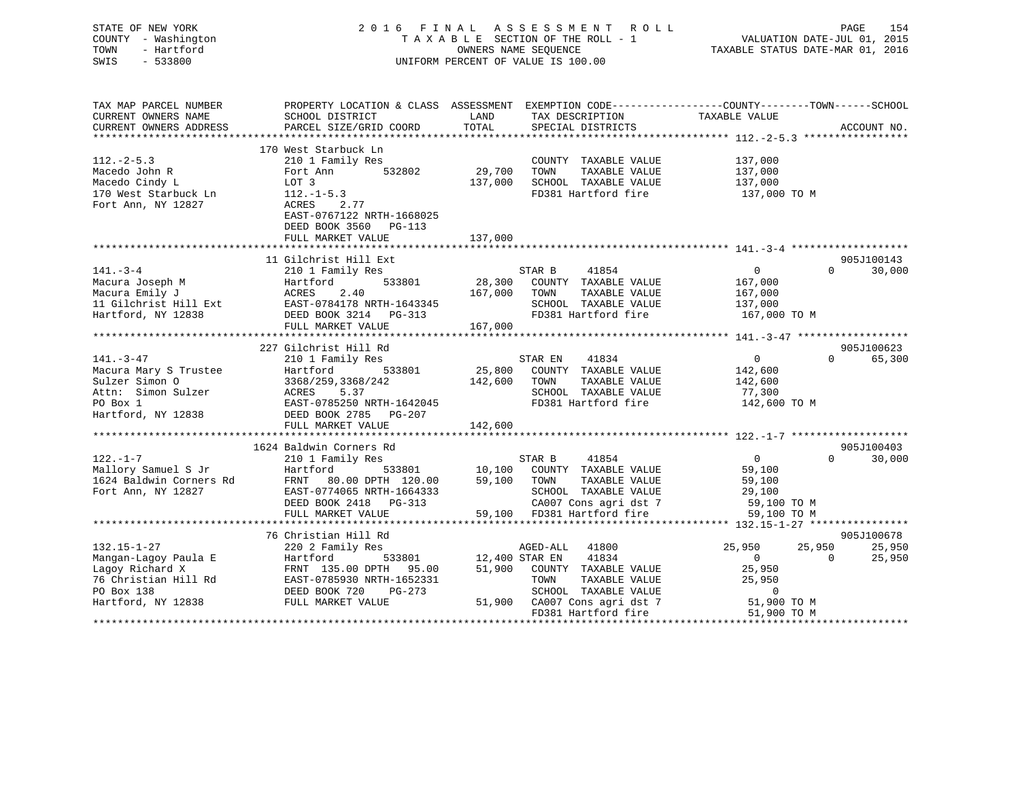STATE OF NEW YORK 2 0 1 6 F I N A L A S S E S S M E N T R O L L PAGE 154 COUNTY - Washington T A X A B L E SECTION OF THE ROLL - 1 VALUATION DATE-JUL 01, 2015 TOWN - Hartford **TAXABLE STATUS DATE-MAR 01, 2016** OWNERS NAME SEQUENCE TAXABLE STATUS DATE-MAR 01, 2016 SWIS - 533800 UNIFORM PERCENT OF VALUE IS 100.00

| TAX MAP PARCEL NUMBER                                                                                                                                                                       | PROPERTY LOCATION & CLASS ASSESSMENT EXEMPTION CODE---------------COUNTY-------TOWN-----SCHOOL                                                                                                                                       |               |                                                                    |                                  |                    |
|---------------------------------------------------------------------------------------------------------------------------------------------------------------------------------------------|--------------------------------------------------------------------------------------------------------------------------------------------------------------------------------------------------------------------------------------|---------------|--------------------------------------------------------------------|----------------------------------|--------------------|
| CURRENT OWNERS NAME<br>CURRENT OWNERS ADDRESS                                                                                                                                               | SCHOOL DISTRICT<br>PARCEL SIZE/GRID COORD                                                                                                                                                                                            | LAND<br>TOTAL | TAX DESCRIPTION<br>SPECIAL DISTRICTS                               | TAXABLE VALUE                    | ACCOUNT NO.        |
|                                                                                                                                                                                             |                                                                                                                                                                                                                                      |               |                                                                    |                                  |                    |
|                                                                                                                                                                                             | 170 West Starbuck Ln                                                                                                                                                                                                                 |               |                                                                    |                                  |                    |
| $112.-2-5.3$                                                                                                                                                                                | 210 1 Family Res                                                                                                                                                                                                                     |               | COUNTY TAXABLE VALUE                                               | 137,000                          |                    |
| Macedo John R                                                                                                                                                                               | Fort Ann 532802                                                                                                                                                                                                                      | 29,700        | TOWN<br>TAXABLE VALUE                                              | 137,000                          |                    |
| Macedo Cindy L                                                                                                                                                                              | LOT 3                                                                                                                                                                                                                                | 137,000       | SCHOOL TAXABLE VALUE 137,000                                       |                                  |                    |
| 170 West Starbuck Ln                                                                                                                                                                        | $112. - 1 - 5.3$                                                                                                                                                                                                                     |               | FD381 Hartford fire 137,000 TO M                                   |                                  |                    |
| Fort Ann, NY 12827                                                                                                                                                                          | ACRES<br>2.77                                                                                                                                                                                                                        |               |                                                                    |                                  |                    |
|                                                                                                                                                                                             | EAST-0767122 NRTH-1668025                                                                                                                                                                                                            |               |                                                                    |                                  |                    |
|                                                                                                                                                                                             | DEED BOOK 3560 PG-113                                                                                                                                                                                                                |               |                                                                    |                                  |                    |
|                                                                                                                                                                                             | FULL MARKET VALUE                                                                                                                                                                                                                    | 137,000       |                                                                    |                                  |                    |
|                                                                                                                                                                                             |                                                                                                                                                                                                                                      |               |                                                                    |                                  |                    |
|                                                                                                                                                                                             | 11 Gilchrist Hill Ext                                                                                                                                                                                                                |               |                                                                    |                                  | 905J100143         |
| $141. - 3 - 4$                                                                                                                                                                              | 210 1 Family Res                                                                                                                                                                                                                     |               | STAR B<br>41854                                                    | $\overline{0}$                   | 30,000<br>$\Omega$ |
| 141.-3-4<br>Macura Joseph M<br>Macura Emily J<br>1 Gilchrist Hill Ext<br>Hartford, NY 12838<br>2.40<br>Hartford, NY 12838<br>2.40<br>EED BOOK 3214<br>PG-313                                |                                                                                                                                                                                                                                      |               | 28,300 COUNTY TAXABLE VALUE                                        | 167,000                          |                    |
|                                                                                                                                                                                             |                                                                                                                                                                                                                                      | 167,000 TOWN  | TAXABLE VALUE                                                      | 167,000                          |                    |
|                                                                                                                                                                                             |                                                                                                                                                                                                                                      |               | SCHOOL TAXABLE VALUE                                               | 137,000                          |                    |
|                                                                                                                                                                                             |                                                                                                                                                                                                                                      |               | FD381 Hartford fire                                                | 167,000 TO M                     |                    |
|                                                                                                                                                                                             | FULL MARKET VALUE                                                                                                                                                                                                                    | 167,000       |                                                                    |                                  |                    |
|                                                                                                                                                                                             | 227 Gilchrist Hill Rd                                                                                                                                                                                                                |               |                                                                    |                                  | 905J100623         |
| $141. - 3 - 47$                                                                                                                                                                             | 210 1 Family Res                                                                                                                                                                                                                     |               | STAR EN 41834                                                      | $\overline{0}$                   | 65,300<br>$\Omega$ |
| Macura Mary S Trustee                                                                                                                                                                       | Hartford 533801                                                                                                                                                                                                                      |               | 25,800 COUNTY TAXABLE VALUE                                        | 142,600                          |                    |
| Sulzer Simon O                                                                                                                                                                              | 3368/259,3368/242                                                                                                                                                                                                                    | 142,600 TOWN  | TAXABLE VALUE                                                      | 142,600                          |                    |
|                                                                                                                                                                                             |                                                                                                                                                                                                                                      |               | SCHOOL TAXABLE VALUE 77,300                                        |                                  |                    |
|                                                                                                                                                                                             | EAST-0785250 NRTH-1642045                                                                                                                                                                                                            |               | FD381 Hartford fire                                                | 142,600 TO M                     |                    |
| Particle Simon 9<br>PO Box 1<br>Hartford, NY 12838<br>Hartford, NY 12838<br>DEED BOOK 2785<br>Hartford, NY 12838                                                                            | DEED BOOK 2785 PG-207                                                                                                                                                                                                                |               |                                                                    |                                  |                    |
|                                                                                                                                                                                             | FULL MARKET VALUE                                                                                                                                                                                                                    | 142,600       |                                                                    |                                  |                    |
|                                                                                                                                                                                             |                                                                                                                                                                                                                                      |               |                                                                    |                                  |                    |
|                                                                                                                                                                                             | 1624 Baldwin Corners Rd                                                                                                                                                                                                              |               |                                                                    |                                  | 905J100403         |
| $122. - 1 - 7$                                                                                                                                                                              | 210 1 Family Res                                                                                                                                                                                                                     |               | STAR B 41854                                                       | $\overline{0}$                   | $\Omega$<br>30,000 |
| Rd<br>Mallory Samuel S Jr                                                                                                                                                                   | Hartford                                                                                                                                                                                                                             |               | 533801 10,100 COUNTY TAXABLE VALUE                                 | 59,100                           |                    |
| 1624 Baldwin Corners Rd                                                                                                                                                                     |                                                                                                                                                                                                                                      |               |                                                                    |                                  |                    |
| Fort Ann, NY 12827                                                                                                                                                                          |                                                                                                                                                                                                                                      |               |                                                                    |                                  |                    |
|                                                                                                                                                                                             |                                                                                                                                                                                                                                      |               |                                                                    |                                  |                    |
|                                                                                                                                                                                             | 1991) 624 Baldwin Corners Rd FRNT 80.00 DPTH 120.00 59,100 TOWN TAXABLE VALUE<br>1991) 624 Baldwin Corners Rd FRNT 80.00 DPTH 120.00 59,100 TOWN TAXABLE VALUE<br>1991) DEED BOOK 2418 PG-313 CA007 Cons agri dst 7 59,100 TO M<br>F |               |                                                                    |                                  |                    |
|                                                                                                                                                                                             |                                                                                                                                                                                                                                      |               |                                                                    |                                  |                    |
|                                                                                                                                                                                             | 76 Christian Hill Rd                                                                                                                                                                                                                 |               |                                                                    |                                  | 905J100678         |
| $132.15 - 1 - 27$                                                                                                                                                                           | 220 2 Family Res                                                                                                                                                                                                                     |               | AGED-ALL 41800                                                     | 25,950<br>25,950                 | 25,950             |
|                                                                                                                                                                                             |                                                                                                                                                                                                                                      |               | 533801 12,400 STAR EN 41834<br>195.00 51,900 COUNTY TAXABLE 0      | $\bigcirc$<br>$\Omega$<br>25,950 | 25,950             |
|                                                                                                                                                                                             |                                                                                                                                                                                                                                      | 51,900        | COUNTY TAXABLE VALUE                                               | 25,950                           |                    |
| Mangan-Lagoy Paula E<br>Lagoy Richard X FRNT 135.00 DPTH 95.00<br>76 Christian Hill Rd EAST-0785930 NRTH-1652331<br>PO Box 138 DEED BOOK 720 PG-273<br>Hartford, NY 12838 FULL MARKET VALUE |                                                                                                                                                                                                                                      |               | TOWN<br>TAXABLE VALUE                                              |                                  |                    |
|                                                                                                                                                                                             |                                                                                                                                                                                                                                      |               | SCHOOL TAXABLE VALUE 0<br>51,900 CA007 Cons agri dst 7 51,900 TO M |                                  |                    |
|                                                                                                                                                                                             |                                                                                                                                                                                                                                      |               | FD381 Hartford fire                                                | 51,900 TO M                      |                    |
|                                                                                                                                                                                             |                                                                                                                                                                                                                                      |               |                                                                    |                                  |                    |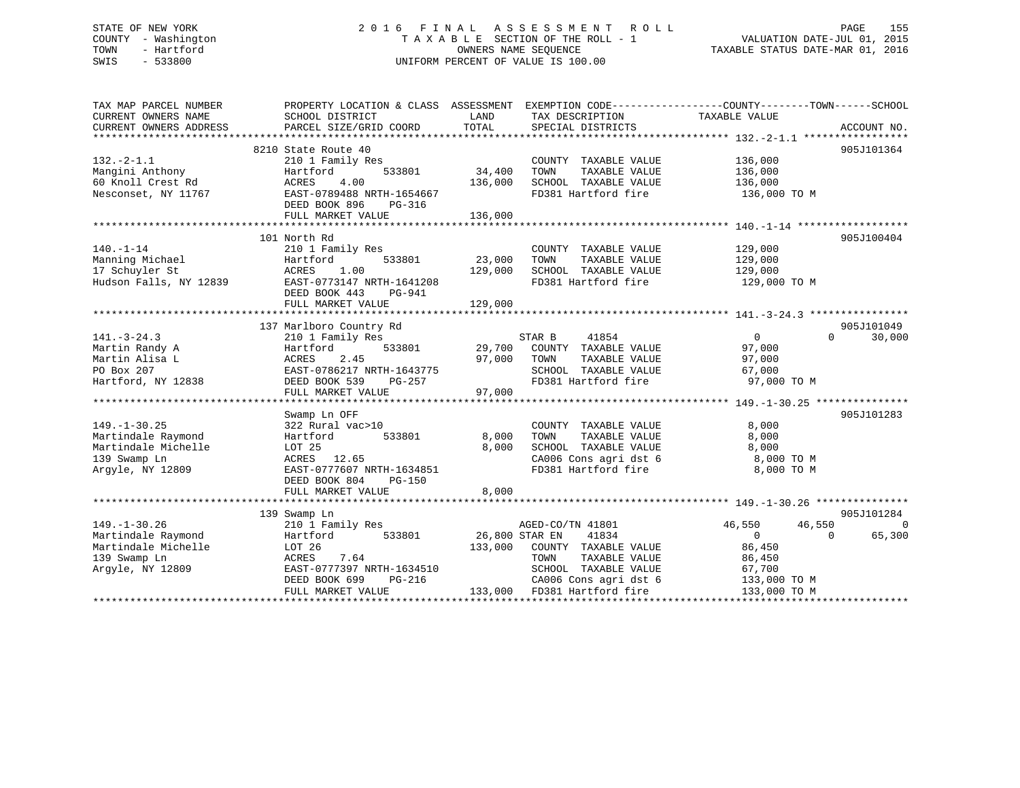# STATE OF NEW YORK 2 0 1 6 F I N A L A S S E S S M E N T R O L L PAGE 155 COUNTY - Washington T A X A B L E SECTION OF THE ROLL - 1 VALUATION DATE-JUL 01, 2015 TOWN - Hartford **TAXABLE STATUS DATE-MAR 01, 2016** OWNERS NAME SEQUENCE TAXABLE STATUS DATE-MAR 01, 2016 SWIS - 533800 UNIFORM PERCENT OF VALUE IS 100.00

| TAX MAP PARCEL NUMBER<br>CURRENT OWNERS NAME<br>CURRENT OWNERS ADDRESS                              | PROPERTY LOCATION & CLASS ASSESSMENT EXEMPTION CODE---------------COUNTY-------TOWN-----SCHOOL<br>SCHOOL DISTRICT<br>PARCEL SIZE/GRID COORD                     | LAND<br>TOTAL                | TAX DESCRIPTION<br>SPECIAL DISTRICTS                                                                                                                       | TAXABLE VALUE                                                                                    | ACCOUNT NO.                      |
|-----------------------------------------------------------------------------------------------------|-----------------------------------------------------------------------------------------------------------------------------------------------------------------|------------------------------|------------------------------------------------------------------------------------------------------------------------------------------------------------|--------------------------------------------------------------------------------------------------|----------------------------------|
| $132. - 2 - 1.1$<br>Mangini Anthony<br>60 Knoll Crest Rd<br>Nesconset, NY 11767                     | 8210 State Route 40<br>210 1 Family Res<br>533801<br>Hartford<br>4.00<br>ACRES<br>EAST-0789488 NRTH-1654667<br>DEED BOOK 896<br>PG-316                          | 34,400<br>136,000            | COUNTY TAXABLE VALUE<br>TAXABLE VALUE<br>TOWN<br>SCHOOL TAXABLE VALUE<br>FD381 Hartford fire                                                               | 136,000<br>136,000<br>136,000<br>136,000 TO M                                                    | 905J101364                       |
|                                                                                                     | FULL MARKET VALUE                                                                                                                                               | 136,000                      |                                                                                                                                                            |                                                                                                  |                                  |
| $140. - 1 - 14$<br>Manning Michael<br>17 Schuyler St<br>Hudson Falls, NY 12839                      | 101 North Rd<br>210 1 Family Res<br>533801<br>Hartford<br>1.00<br>ACRES<br>EAST-0773147 NRTH-1641208<br>DEED BOOK 443<br>PG-941<br>FULL MARKET VALUE            | 23,000<br>129,000<br>129,000 | COUNTY TAXABLE VALUE<br>TOWN<br>TAXABLE VALUE<br>SCHOOL TAXABLE VALUE<br>FD381 Hartford fire                                                               | 129,000<br>129,000<br>129,000<br>129,000 TO M                                                    | 905J100404                       |
| $141. - 3 - 24.3$<br>Martin Randy A<br>Martin Alisa L<br>PO Box 207<br>Hartford, NY 12838           | 137 Marlboro Country Rd<br>210 1 Family Res<br>533801<br>Hartford<br>2.45<br>ACRES<br>EAST-0786217 NRTH-1643775<br>DEED BOOK 539<br>PG-257<br>FULL MARKET VALUE | 29,700<br>97,000<br>97,000   | STAR B<br>41854<br>COUNTY TAXABLE VALUE<br>TOWN<br>TAXABLE VALUE<br>SCHOOL TAXABLE VALUE<br>FD381 Hartford fire                                            | $\Omega$<br>97,000<br>97,000<br>67,000<br>97,000 TO M                                            | 905J101049<br>$\Omega$<br>30,000 |
|                                                                                                     |                                                                                                                                                                 |                              |                                                                                                                                                            |                                                                                                  | 905J101283                       |
| $149. - 1 - 30.25$<br>Martindale Raymond<br>Martindale Michelle<br>139 Swamp Ln<br>Argyle, NY 12809 | Swamp Ln OFF<br>322 Rural vac>10<br>533801<br>Hartford<br>LOT 25<br>ACRES 12.65<br>EAST-0777607 NRTH-1634851<br>DEED BOOK 804<br>PG-150                         | 8,000<br>8,000               | COUNTY TAXABLE VALUE<br>TOWN<br>TAXABLE VALUE<br>SCHOOL TAXABLE VALUE<br>CA006 Cons agri dst 6<br>FD381 Hartford fire                                      | 8,000<br>8,000<br>8,000<br>8,000 TO M<br>8,000 TO M                                              |                                  |
|                                                                                                     | FULL MARKET VALUE                                                                                                                                               | 8,000                        |                                                                                                                                                            |                                                                                                  |                                  |
|                                                                                                     | 139 Swamp Ln                                                                                                                                                    |                              |                                                                                                                                                            |                                                                                                  | 905J101284                       |
| $149. - 1 - 30.26$<br>Martindale Raymond<br>Martindale Michelle<br>139 Swamp Ln<br>Arqyle, NY 12809 | 210 1 Family Res<br>533801<br>Hartford<br>LOT 26<br>7.64<br>ACRES<br>EAST-0777397 NRTH-1634510<br>PG-216<br>DEED BOOK 699<br>FULL MARKET VALUE                  | 26,800 STAR EN<br>133,000    | AGED-CO/TN 41801<br>41834<br>COUNTY TAXABLE VALUE<br>TOWN<br>TAXABLE VALUE<br>SCHOOL TAXABLE VALUE<br>CA006 Cons agri dst 6<br>133,000 FD381 Hartford fire | 46,550<br>46,550<br>$\overline{0}$<br>86,450<br>86,450<br>67,700<br>133,000 TO M<br>133,000 TO M | $\Omega$<br>65,300<br>$\Omega$   |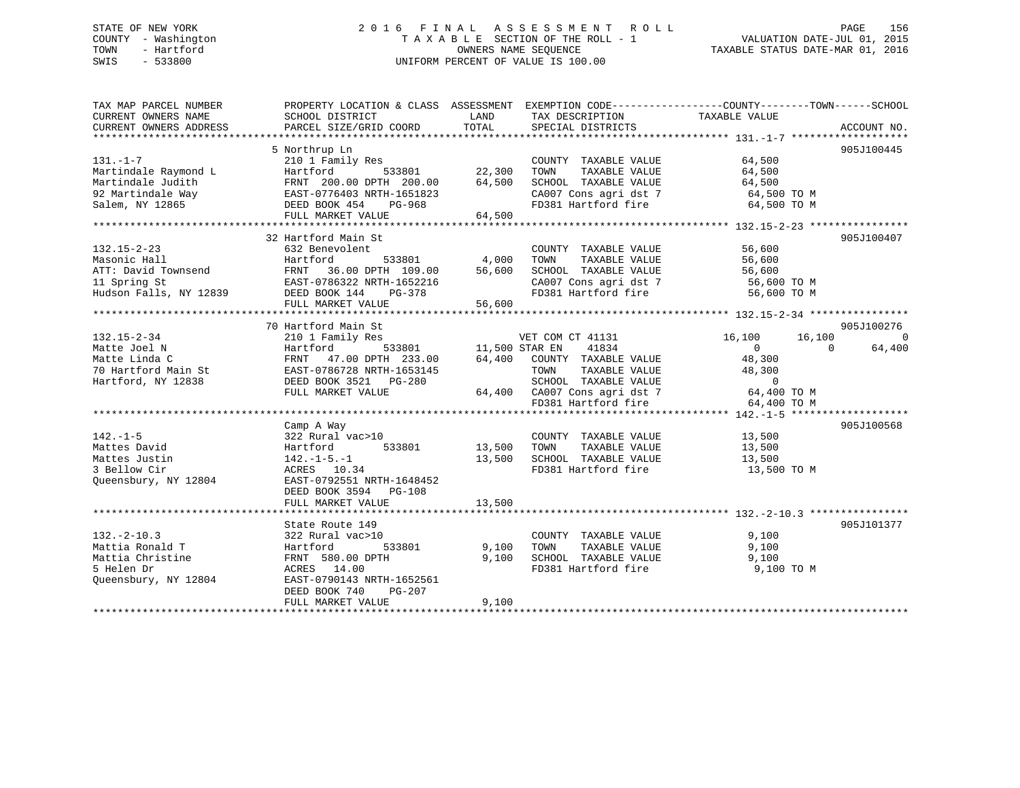# STATE OF NEW YORK 2 0 1 6 F I N A L A S S E S S M E N T R O L L PAGE 156 COUNTY - Washington T A X A B L E SECTION OF THE ROLL - 1 VALUATION DATE-JUL 01, 2015 TOWN - Hartford **TAXABLE STATUS DATE-MAR 01, 2016** OWNERS NAME SEQUENCE TAXABLE STATUS DATE-MAR 01, 2016 SWIS - 533800 UNIFORM PERCENT OF VALUE IS 100.00

| TAX MAP PARCEL NUMBER<br>CURRENT OWNERS NAME<br>CURRENT OWNERS ADDRESS                                                                                                                                                                                       | PROPERTY LOCATION & CLASS ASSESSMENT EXEMPTION CODE---------------COUNTY-------TOWN-----SCHOOL<br>SCHOOL DISTRICT<br>PARCEL SIZE/GRID COORD | LAND<br>TOTAL         | TAX DESCRIPTION<br>SPECIAL DISTRICTS                                 | TAXABLE VALUE    | ACCOUNT NO.        |
|--------------------------------------------------------------------------------------------------------------------------------------------------------------------------------------------------------------------------------------------------------------|---------------------------------------------------------------------------------------------------------------------------------------------|-----------------------|----------------------------------------------------------------------|------------------|--------------------|
|                                                                                                                                                                                                                                                              |                                                                                                                                             |                       |                                                                      |                  |                    |
|                                                                                                                                                                                                                                                              | 5 Northrup Ln                                                                                                                               |                       |                                                                      |                  | 905J100445         |
| $131. -1 - 7$                                                                                                                                                                                                                                                | 210 1 Family Res                                                                                                                            |                       | COUNTY TAXABLE VALUE                                                 | 64,500           |                    |
| Martindale Raymond L                                                                                                                                                                                                                                         | Hartford<br>533801                                                                                                                          | 22,300                | TAXABLE VALUE<br>TOWN                                                | 64,500           |                    |
| Martindale Judith                                                                                                                                                                                                                                            | FRNT 200.00 DPTH 200.00                                                                                                                     | 64,500                | SCHOOL TAXABLE VALUE                                                 | 64,500           |                    |
| 92 Martindale Way                                                                                                                                                                                                                                            | EAST-0776403 NRTH-1651823                                                                                                                   |                       |                                                                      |                  |                    |
| Salem, NY 12865                                                                                                                                                                                                                                              | DEED BOOK 454 PG-968                                                                                                                        |                       | CA007 Cons agri dst 7 64,500 TO M<br>FD381 Hartford fire 64,500 TO M |                  |                    |
|                                                                                                                                                                                                                                                              | FULL MARKET VALUE                                                                                                                           | 64,500                |                                                                      |                  |                    |
|                                                                                                                                                                                                                                                              |                                                                                                                                             |                       |                                                                      |                  |                    |
|                                                                                                                                                                                                                                                              | 32 Hartford Main St                                                                                                                         |                       |                                                                      |                  | 905J100407         |
| 132.15-2-23                                                                                                                                                                                                                                                  | 632 Benevolent                                                                                                                              |                       | COUNTY TAXABLE VALUE                                                 | 56,600           |                    |
| Masonic Hall                                                                                                                                                                                                                                                 | Hartford<br>533801                                                                                                                          | 4,000                 | TAXABLE VALUE<br>TOWN                                                | 56,600           |                    |
| ATT: David Townsend<br>11 Spring St<br>11 Spring St<br>12 Spring St<br>27 Spring St<br>27 Spring St<br>27 Spring St<br>27 Spring St<br>27 Spring St<br>27 Spring St<br>27 Spring St<br>27 Spring St<br>27 Spring St<br>27 Spring St<br>27 Spring St<br>27 Sp |                                                                                                                                             | 56,600                | SCHOOL TAXABLE VALUE                                                 | 56,600           |                    |
|                                                                                                                                                                                                                                                              |                                                                                                                                             |                       | SCHOOL TAXABLE VALUE 56,600<br>CA007 Cons agri dst 7 56,600 TO M     |                  |                    |
| Hudson Falls, NY 12839                                                                                                                                                                                                                                       | DEED BOOK 144<br>PG-378                                                                                                                     |                       | FD381 Hartford fire                                                  | 56,600 TO M      |                    |
|                                                                                                                                                                                                                                                              | FULL MARKET VALUE                                                                                                                           | 56,600                |                                                                      |                  |                    |
|                                                                                                                                                                                                                                                              |                                                                                                                                             |                       |                                                                      |                  |                    |
|                                                                                                                                                                                                                                                              | 70 Hartford Main St                                                                                                                         |                       |                                                                      |                  | 905J100276         |
| 132.15-2-34                                                                                                                                                                                                                                                  | 210 1 Family Res                                                                                                                            |                       | VET COM CT 41131                                                     | 16,100<br>16,100 | $\Omega$           |
| Matte Joel N                                                                                                                                                                                                                                                 | Hartford                                                                                                                                    | 533801 11,500 STAR EN | 41834                                                                | $\Omega$         | 64,400<br>$\Omega$ |
| Matte Linda C                                                                                                                                                                                                                                                | FRNT 47.00 DPTH 233.00                                                                                                                      |                       | 64,400 COUNTY TAXABLE VALUE                                          | 48,300           |                    |
| Matte Linda C<br>70 Hartford Main St                                                                                                                                                                                                                         | EAST-0786728 NRTH-1653145                                                                                                                   |                       | TOWN<br>TAXABLE VALUE                                                | 48,300           |                    |
| Hartford, NY 12838                                                                                                                                                                                                                                           | DEED BOOK 3521 PG-280                                                                                                                       |                       |                                                                      | $\overline{0}$   |                    |
|                                                                                                                                                                                                                                                              | FULL MARKET VALUE                                                                                                                           |                       | SCHOOL TAXABLE VALUE<br>64,400 CA007 Cons agri dst 7                 | 64,400 TO M      |                    |
|                                                                                                                                                                                                                                                              |                                                                                                                                             |                       | FD381 Hartford fire                                                  | 64,400 TO M      |                    |
|                                                                                                                                                                                                                                                              |                                                                                                                                             |                       |                                                                      |                  |                    |
|                                                                                                                                                                                                                                                              |                                                                                                                                             |                       |                                                                      |                  |                    |
|                                                                                                                                                                                                                                                              | Camp A Way                                                                                                                                  |                       |                                                                      |                  | 905J100568         |
| $142. - 1 - 5$                                                                                                                                                                                                                                               | 322 Rural vac>10                                                                                                                            |                       | COUNTY TAXABLE VALUE                                                 | 13,500           |                    |
| Mattes David                                                                                                                                                                                                                                                 | Hartford<br>533801                                                                                                                          | 13,500 TOWN           | TAXABLE VALUE                                                        | 13,500           |                    |
| Mattes Justin                                                                                                                                                                                                                                                | $142. - 1 - 5. - 1$                                                                                                                         | 13,500                | SCHOOL TAXABLE VALUE                                                 | 13,500           |                    |
| 3 Bellow Cir                                                                                                                                                                                                                                                 | ACRES 10.34                                                                                                                                 |                       | FD381 Hartford fire                                                  | 13,500 TO M      |                    |
| Queensbury, NY 12804                                                                                                                                                                                                                                         | EAST-0792551 NRTH-1648452                                                                                                                   |                       |                                                                      |                  |                    |
|                                                                                                                                                                                                                                                              | DEED BOOK 3594 PG-108                                                                                                                       |                       |                                                                      |                  |                    |
|                                                                                                                                                                                                                                                              |                                                                                                                                             |                       |                                                                      |                  |                    |
|                                                                                                                                                                                                                                                              |                                                                                                                                             |                       |                                                                      |                  |                    |
|                                                                                                                                                                                                                                                              | State Route 149                                                                                                                             |                       |                                                                      |                  | 905J101377         |
| $132. - 2 - 10.3$                                                                                                                                                                                                                                            | 322 Rural vac>10                                                                                                                            |                       | COUNTY TAXABLE VALUE                                                 | 9,100            |                    |
| Mattia Ronald T                                                                                                                                                                                                                                              | 533801<br>Hartford                                                                                                                          | 9,100                 | TOWN<br>TAXABLE VALUE                                                | 9,100            |                    |
| Mattia Christine                                                                                                                                                                                                                                             | FRNT 580.00 DPTH                                                                                                                            | 9,100                 | SCHOOL TAXABLE VALUE                                                 | 9,100            |                    |
| 5 Helen Dr                                                                                                                                                                                                                                                   | ACRES 14.00                                                                                                                                 |                       | FD381 Hartford fire                                                  | 9,100 TO M       |                    |
| Queensbury, NY 12804                                                                                                                                                                                                                                         | EAST-0790143 NRTH-1652561                                                                                                                   |                       |                                                                      |                  |                    |
|                                                                                                                                                                                                                                                              | DEED BOOK 740<br>$PG-207$                                                                                                                   |                       |                                                                      |                  |                    |
|                                                                                                                                                                                                                                                              | FULL MARKET VALUE                                                                                                                           | 9,100                 |                                                                      |                  |                    |
|                                                                                                                                                                                                                                                              |                                                                                                                                             |                       |                                                                      |                  |                    |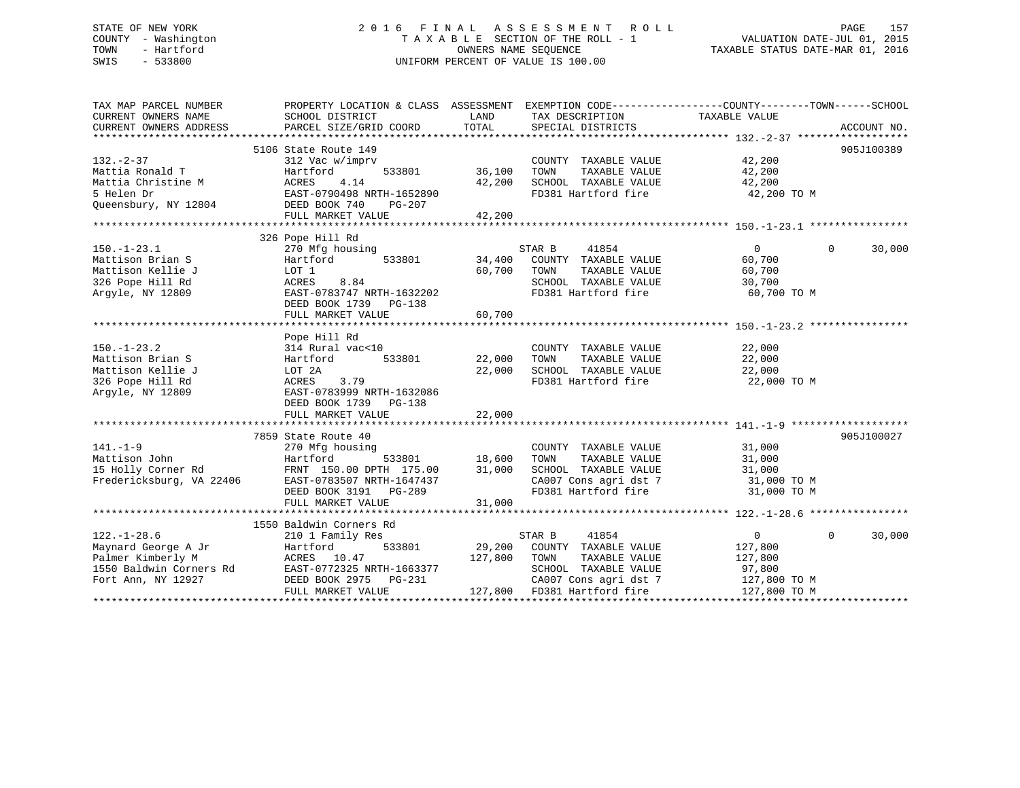# STATE OF NEW YORK 2 0 1 6 F I N A L A S S E S S M E N T R O L L PAGE 157 COUNTY - Washington T A X A B L E SECTION OF THE ROLL - 1 VALUATION DATE-JUL 01, 2015 TOWN - Hartford **TAXABLE STATUS DATE-MAR 01, 2016** OWNERS NAME SEQUENCE TAXABLE STATUS DATE-MAR 01, 2016 SWIS - 533800 UNIFORM PERCENT OF VALUE IS 100.00

| TAX MAP PARCEL NUMBER                               | PROPERTY LOCATION & CLASS ASSESSMENT EXEMPTION CODE--------------COUNTY-------TOWN-----SCHOOL |               |                                             |                                |            |
|-----------------------------------------------------|-----------------------------------------------------------------------------------------------|---------------|---------------------------------------------|--------------------------------|------------|
| CURRENT OWNERS NAME                                 | SCHOOL DISTRICT                                                                               | LAND          | TAX DESCRIPTION                             | TAXABLE VALUE                  |            |
| CURRENT OWNERS ADDRESS<br>************************* |                                                                                               |               |                                             |                                |            |
|                                                     | 5106 State Route 149                                                                          |               |                                             |                                | 905J100389 |
| $132 - 2 - 37$                                      | 312 Vac w/imprv                                                                               |               | COUNTY TAXABLE VALUE                        | 42,200                         |            |
| Mattia Ronald T                                     | 533801<br>Hartford                                                                            | 36,100        | TOWN<br>TAXABLE VALUE                       | 42,200                         |            |
| Mattia Christine M                                  | 4.14<br>ACRES                                                                                 | 42,200        |                                             |                                |            |
| 5 Helen Dr                                          | EAST-0790498 NRTH-1652890                                                                     |               | SCHOOL TAXABLE VALUE<br>FD381 Hartford fire |                                |            |
| Queensbury, NY 12804                                | DEED BOOK 740<br>PG-207                                                                       |               |                                             | 42,200<br>42,200 TO M          |            |
|                                                     | FULL MARKET VALUE                                                                             | 42,200        |                                             |                                |            |
|                                                     |                                                                                               |               |                                             |                                |            |
|                                                     | 326 Pope Hill Rd                                                                              |               |                                             |                                |            |
| $150. - 1 - 23.1$                                   | 270 Mfg housing                                                                               |               | STAR B<br>41854                             | $\overline{0}$<br>$\mathbf{0}$ | 30,000     |
| Mattison Brian S                                    | 533801<br>Hartford                                                                            | 34,400        | COUNTY TAXABLE VALUE                        | 60,700                         |            |
| Mattison Kellie J                                   | LOT 1                                                                                         | 60,700        | TOWN<br>TAXABLE VALUE                       | 60,700                         |            |
| 326 Pope Hill Rd                                    | 8.84<br>ACRES                                                                                 |               | SCHOOL TAXABLE VALUE                        | 30,700                         |            |
| Argyle, NY 12809                                    | EAST-0783747 NRTH-1632202                                                                     |               | FD381 Hartford fire                         | 60,700 TO M                    |            |
|                                                     | DEED BOOK 1739 PG-138                                                                         |               |                                             |                                |            |
|                                                     | FULL MARKET VALUE                                                                             | 60,700        |                                             |                                |            |
|                                                     |                                                                                               |               |                                             |                                |            |
|                                                     | Pope Hill Rd                                                                                  |               |                                             |                                |            |
| $150. - 1 - 23.2$                                   | 314 Rural vac<10                                                                              |               | COUNTY TAXABLE VALUE                        | 22,000                         |            |
| Mattison Brian S                                    | 533801<br>Hartford                                                                            | 22,000        | TOWN<br>TAXABLE VALUE                       | 22,000                         |            |
| Mattison Kellie J                                   | LOT 2A                                                                                        | 22,000        | SCHOOL TAXABLE VALUE                        | 22,000                         |            |
| 326 Pope Hill Rd                                    | 3.79<br>ACRES                                                                                 |               | FD381 Hartford fire                         | 22,000 TO M                    |            |
| Argyle, NY 12809                                    | EAST-0783999 NRTH-1632086                                                                     |               |                                             |                                |            |
|                                                     | DEED BOOK 1739 PG-138                                                                         |               |                                             |                                |            |
|                                                     |                                                                                               |               |                                             |                                |            |
|                                                     |                                                                                               |               |                                             |                                |            |
|                                                     | 7859 State Route 40                                                                           |               |                                             |                                | 905J100027 |
| $141. - 1 - 9$                                      | 270 Mfg housing                                                                               |               | COUNTY TAXABLE VALUE                        | 31,000                         |            |
| Mattison John                                       | Hartford                                                                                      | 533801 18,600 | TAXABLE VALUE<br>TOWN                       | 31,000                         |            |
| 15 Holly Corner Rd                                  | FRNT 150.00 DPTH 175.00                                                                       | 31,000        | SCHOOL TAXABLE VALUE                        | 31,000                         |            |
|                                                     | Fredericksburg, VA 22406 EAST-0783507 NRTH-1647437                                            |               | CA007 Cons agri dst 7 31,000 TO M           |                                |            |
|                                                     | DEED BOOK 3191 PG-289                                                                         |               | FD381 Hartford fire                         | 31,000 TO M                    |            |
|                                                     | FULL MARKET VALUE                                                                             | 31,000        |                                             |                                |            |
|                                                     |                                                                                               |               |                                             |                                |            |
|                                                     | 1550 Baldwin Corners Rd                                                                       |               |                                             |                                |            |
| $122. - 1 - 28.6$                                   | 210 1 Family Res                                                                              |               | STAR B<br>41854                             | $\overline{0}$<br>$\Omega$     | 30,000     |
| Maynard George A Jr                                 | 533801<br>Hartford                                                                            |               | 29,200 COUNTY TAXABLE VALUE                 | 127,800                        |            |
| Palmer Kimberly M                                   | ACRES 10.47                                                                                   | 127,800       | TOWN<br>TAXABLE VALUE                       | 127,800                        |            |
| 1550 Baldwin Corners Rd                             | EAST-0772325 NRTH-1663377                                                                     |               | SCHOOL TAXABLE VALUE                        | 97,800                         |            |
| Fort Ann, NY 12927                                  | DEED BOOK 2975 PG-231                                                                         |               | CA007 Cons agri dst 7                       | 127,800 TO M                   |            |
|                                                     | FULL MARKET VALUE                                                                             |               | 127,800 FD381 Hartford fire                 | 127,800 TO M                   |            |
|                                                     |                                                                                               |               |                                             |                                |            |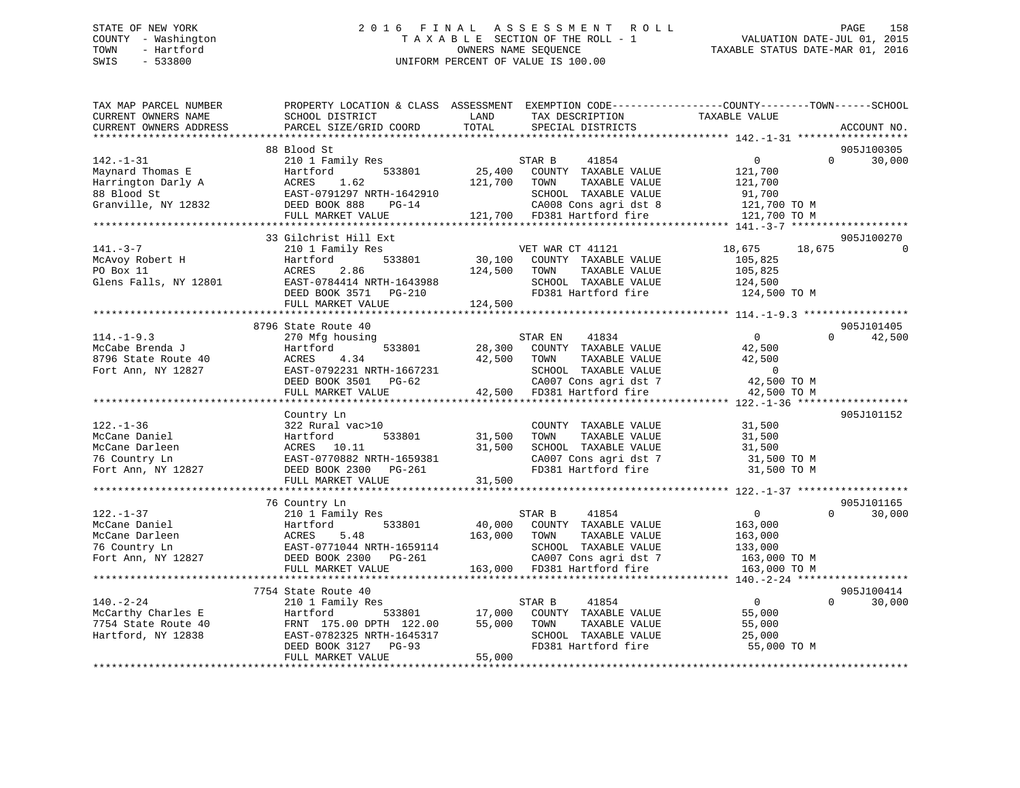# STATE OF NEW YORK 2 0 1 6 F I N A L A S S E S S M E N T R O L L PAGE 158 COUNTY - Washington T A X A B L E SECTION OF THE ROLL - 1 VALUATION DATE-JUL 01, 2015 TOWN - Hartford **TAXABLE STATUS DATE-MAR 01, 2016** OWNERS NAME SEQUENCE TAXABLE STATUS DATE-MAR 01, 2016 SWIS - 533800 UNIFORM PERCENT OF VALUE IS 100.00

| TAX MAP PARCEL NUMBER<br>CURRENT OWNERS NAME<br>CURRENT OWNERS ADDRESS                          | PROPERTY LOCATION & CLASS ASSESSMENT EXEMPTION CODE----------------COUNTY-------TOWN-----SCHOOL<br>SCHOOL DISTRICT<br>PARCEL SIZE/GRID COORD                | LAND<br>TOTAL                | TAX DESCRIPTION<br>SPECIAL DISTRICTS                                                                                                             | TAXABLE VALUE                                                                  | ACCOUNT NO.                      |
|-------------------------------------------------------------------------------------------------|-------------------------------------------------------------------------------------------------------------------------------------------------------------|------------------------------|--------------------------------------------------------------------------------------------------------------------------------------------------|--------------------------------------------------------------------------------|----------------------------------|
|                                                                                                 |                                                                                                                                                             |                              |                                                                                                                                                  |                                                                                |                                  |
| $142. - 1 - 31$<br>Maynard Thomas E<br>Harrington Darly A<br>88 Blood St<br>Granville, NY 12832 | 88 Blood St<br>210 1 Family Res<br>533801<br>Hartford<br>ACRES<br>1.62<br>EAST-0791297 NRTH-1642910<br>DEED BOOK 888<br>$PG-14$<br>FULL MARKET VALUE        | 25,400<br>121,700            | STAR B<br>41854<br>COUNTY TAXABLE VALUE<br>TAXABLE VALUE<br>TOWN<br>SCHOOL TAXABLE VALUE<br>CA008 Cons agri dst 8<br>121,700 FD381 Hartford fire | $\overline{0}$<br>121,700<br>121,700<br>91,700<br>121,700 TO M<br>121,700 TO M | 905J100305<br>$\Omega$<br>30,000 |
|                                                                                                 |                                                                                                                                                             |                              |                                                                                                                                                  |                                                                                |                                  |
| $141. - 3 - 7$<br>McAvoy Robert H<br>PO Box 11<br>Glens Falls, NY 12801                         | 33 Gilchrist Hill Ext<br>210 1 Family Res<br>Hartford<br>533801<br>ACRES<br>2.86<br>EAST-0784414 NRTH-1643988<br>DEED BOOK 3571 PG-210<br>FULL MARKET VALUE | 30,100<br>124,500<br>124,500 | VET WAR CT 41121<br>COUNTY TAXABLE VALUE<br>TOWN<br>TAXABLE VALUE<br>SCHOOL TAXABLE VALUE<br>FD381 Hartford fire                                 | 18,675<br>18,675<br>105,825<br>105,825<br>124,500<br>124,500 TO M              | 905J100270<br>$\Omega$           |
|                                                                                                 | 8796 State Route 40                                                                                                                                         |                              |                                                                                                                                                  |                                                                                | 905J101405                       |
| $114. - 1 - 9.3$<br>McCabe Brenda J<br>8796 State Route 40<br>Fort Ann, NY 12827                | 270 Mfg housing<br>533801<br>Hartford<br>ACRES<br>4.34<br>EAST-0792231 NRTH-1667231<br>DEED BOOK 3501 PG-62<br>FULL MARKET VALUE                            | 28,300<br>42,500             | 41834<br>STAR EN<br>COUNTY TAXABLE VALUE<br>TOWN<br>TAXABLE VALUE<br>SCHOOL TAXABLE VALUE<br>CA007 Cons agri dst 7<br>42,500 FD381 Hartford fire | $\Omega$<br>42,500<br>42,500<br>$\overline{0}$<br>42,500 TO M<br>42,500 TO M   | $\Omega$<br>42,500               |
|                                                                                                 |                                                                                                                                                             |                              |                                                                                                                                                  |                                                                                |                                  |
| $122. - 1 - 36$<br>McCane Daniel<br>McCane Darleen<br>76 Country Ln<br>Fort Ann, NY 12827       | Country Ln<br>322 Rural vac>10<br>533801<br>Hartford<br>ACRES 10.11<br>EAST-0770882 NRTH-1659381<br>DEED BOOK 2300 PG-261<br>FULL MARKET VALUE              | 31,500<br>31,500<br>31,500   | COUNTY TAXABLE VALUE<br>TOWN<br>TAXABLE VALUE<br>SCHOOL TAXABLE VALUE<br>CA007 Cons agri dst 7<br>FD381 Hartford fire                            | 31,500<br>31,500<br>31,500<br>31,500 TO M<br>31,500 TO M                       | 905J101152                       |
|                                                                                                 |                                                                                                                                                             |                              |                                                                                                                                                  |                                                                                |                                  |
| $122. - 1 - 37$<br>McCane Daniel<br>McCane Darleen<br>76 Country Ln<br>Fort Ann, NY 12827       | 76 Country Ln<br>210 1 Family Res<br>Hartford<br>533801<br>ACRES<br>5.48<br>EAST-0771044 NRTH-1659114<br>DEED BOOK 2300 PG-261                              | 163,000                      | 41854<br>STAR B<br>40,000 COUNTY TAXABLE VALUE<br>TOWN<br>TAXABLE VALUE<br>SCHOOL TAXABLE VALUE<br>CA007 Cons agri dst 7                         | $\overline{0}$<br>163,000<br>163,000<br>133,000<br>163,000 TO M                | 905J101165<br>30,000<br>$\Omega$ |
|                                                                                                 | FULL MARKET VALUE                                                                                                                                           |                              | 163,000 FD381 Hartford fire                                                                                                                      | 163,000 TO M                                                                   |                                  |
| $140. - 2 - 24$<br>McCarthy Charles E<br>7754 State Route 40<br>Hartford, NY 12838              | 7754 State Route 40<br>210 1 Family Res<br>533801<br>Hartford<br>FRNT 175.00 DPTH 122.00<br>EAST-0782325 NRTH-1645317                                       | 17,000<br>55,000             | 41854<br>STAR B<br>COUNTY TAXABLE VALUE<br>TAXABLE VALUE<br>TOWN<br>SCHOOL TAXABLE VALUE                                                         | $\overline{0}$<br>55,000<br>55,000<br>25,000                                   | 905J100414<br>$\Omega$<br>30,000 |
|                                                                                                 | DEED BOOK 3127<br>$PG-93$<br>FULL MARKET VALUE                                                                                                              | 55,000                       | FD381 Hartford fire                                                                                                                              | 55,000 TO M                                                                    |                                  |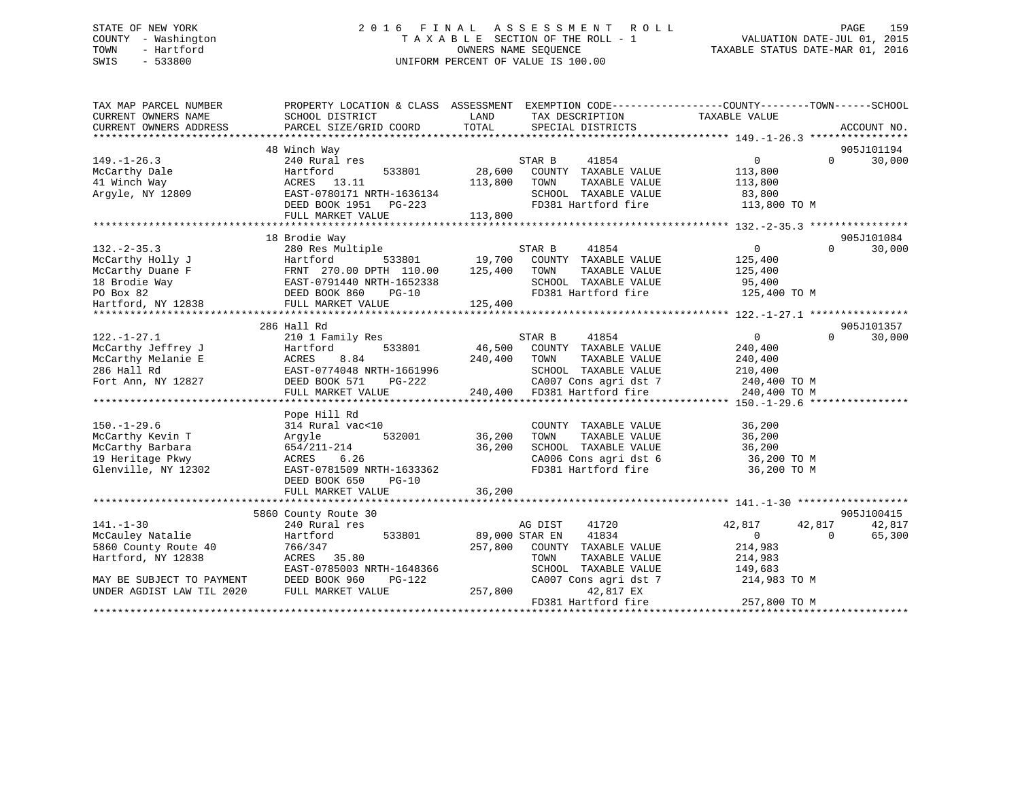# STATE OF NEW YORK 2 0 1 6 F I N A L A S S E S S M E N T R O L L PAGE 159 COUNTY - Washington T A X A B L E SECTION OF THE ROLL - 1 VALUATION DATE-JUL 01, 2015 TOWN - Hartford **TAXABLE STATUS DATE-MAR 01, 2016** OWNERS NAME SEQUENCE TAXABLE STATUS DATE-MAR 01, 2016 SWIS - 533800 UNIFORM PERCENT OF VALUE IS 100.00

| TAX MAP PARCEL NUMBER<br>CURRENT OWNERS NAME | PROPERTY LOCATION & CLASS ASSESSMENT<br>SCHOOL DISTRICT | LAND    | EXEMPTION CODE-----------------COUNTY-------TOWN------SCHOOL<br>TAX DESCRIPTION | TAXABLE VALUE  |          |             |
|----------------------------------------------|---------------------------------------------------------|---------|---------------------------------------------------------------------------------|----------------|----------|-------------|
| CURRENT OWNERS ADDRESS                       | PARCEL SIZE/GRID COORD                                  | TOTAL   | SPECIAL DISTRICTS                                                               |                |          | ACCOUNT NO. |
|                                              |                                                         |         |                                                                                 |                |          |             |
|                                              | 48 Winch Way                                            |         |                                                                                 |                |          | 905J101194  |
| $149. - 1 - 26.3$                            | 240 Rural res                                           |         | 41854<br>STAR B                                                                 | 0              | $\Omega$ | 30,000      |
| McCarthy Dale                                | 533801<br>Hartford                                      | 28,600  | COUNTY TAXABLE VALUE                                                            | 113,800        |          |             |
| 41 Winch Way                                 | ACRES 13.11                                             | 113,800 | TOWN<br>TAXABLE VALUE                                                           | 113,800        |          |             |
| Arqyle, NY 12809                             | EAST-0780171 NRTH-1636134                               |         | SCHOOL TAXABLE VALUE                                                            | 83,800         |          |             |
|                                              | DEED BOOK 1951 PG-223                                   |         | FD381 Hartford fire                                                             | 113,800 TO M   |          |             |
|                                              | FULL MARKET VALUE                                       | 113,800 |                                                                                 |                |          |             |
|                                              |                                                         |         |                                                                                 |                |          |             |
|                                              | 18 Brodie Way                                           |         |                                                                                 |                |          | 905J101084  |
| $132 - 2 - 35.3$                             | 280 Res Multiple                                        |         | STAR B<br>41854                                                                 | $\Omega$       | $\Omega$ | 30,000      |
| McCarthy Holly J                             | Hartford<br>533801                                      | 19,700  | COUNTY TAXABLE VALUE                                                            | 125,400        |          |             |
| McCarthy Duane F                             |                                                         | 125,400 | TAXABLE VALUE<br>TOWN                                                           | 125,400        |          |             |
| 18 Brodie Way                                | FRNT 270.00 DPTH 110.00<br>EAST-0791440 NRTH-1652338    |         | SCHOOL TAXABLE VALUE                                                            | 95,400         |          |             |
| PO Box 82                                    | DEED BOOK 860<br>$PG-10$                                |         | FD381 Hartford fire                                                             | 125,400 TO M   |          |             |
| Hartford, NY 12838                           | FULL MARKET VALUE                                       | 125,400 |                                                                                 |                |          |             |
|                                              |                                                         |         |                                                                                 |                |          |             |
|                                              | 286 Hall Rd                                             |         |                                                                                 |                |          | 905J101357  |
| $122. - 1 - 27.1$                            | 210 1 Family Res                                        |         | STAR B<br>41854                                                                 | $\overline{0}$ | $\Omega$ | 30,000      |
| McCarthy Jeffrey J                           | 533801<br>Hartford                                      | 46,500  | COUNTY TAXABLE VALUE                                                            | 240,400        |          |             |
| McCarthy Melanie E                           | 8.84<br>ACRES                                           | 240,400 | TAXABLE VALUE<br>TOWN                                                           | 240,400        |          |             |
| 286 Hall Rd                                  | EAST-0774048 NRTH-1661996                               |         | SCHOOL TAXABLE VALUE                                                            | 210,400        |          |             |
| Fort Ann, NY 12827                           | DEED BOOK 571<br>PG-222                                 |         | CA007 Cons agri dst 7                                                           | 240,400 TO M   |          |             |
|                                              | FULL MARKET VALUE                                       |         | 240,400 FD381 Hartford fire                                                     | 240,400 TO M   |          |             |
|                                              |                                                         |         |                                                                                 |                |          |             |
|                                              | Pope Hill Rd                                            |         |                                                                                 |                |          |             |
| $150. - 1 - 29.6$                            | 314 Rural vac<10                                        |         | COUNTY TAXABLE VALUE                                                            | 36,200         |          |             |
| McCarthy Kevin T                             | 532001<br>Argyle                                        | 36,200  | TAXABLE VALUE<br>TOWN                                                           | 36,200         |          |             |
| McCarthy Barbara                             | 654/211-214                                             | 36,200  | SCHOOL TAXABLE VALUE                                                            | 36,200         |          |             |
| 19 Heritage Pkwy                             | 6.26<br>ACRES                                           |         | CA006 Cons agri dst 6                                                           | 36,200 TO M    |          |             |
| Glenville, NY 12302                          | EAST-0781509 NRTH-1633362                               |         | FD381 Hartford fire                                                             | 36,200 TO M    |          |             |
|                                              | DEED BOOK 650<br>$PG-10$                                |         |                                                                                 |                |          |             |
|                                              | FULL MARKET VALUE                                       | 36,200  |                                                                                 |                |          |             |
|                                              |                                                         |         |                                                                                 |                |          |             |
|                                              | 5860 County Route 30                                    |         |                                                                                 |                |          | 905J100415  |
| $141. - 1 - 30$                              | 240 Rural res                                           |         | AG DIST<br>41720                                                                | 42,817         | 42,817   | 42,817      |
| McCauley Natalie                             | 533801<br>Hartford                                      |         | 89,000 STAR EN<br>41834                                                         | $\Omega$       | $\Omega$ | 65,300      |
| 5860 County Route 40                         | 766/347                                                 | 257,800 | COUNTY TAXABLE VALUE                                                            | 214,983        |          |             |
| Hartford, NY 12838                           | ACRES 35.80                                             |         | TAXABLE VALUE<br>TOWN                                                           | 214,983        |          |             |
|                                              | EAST-0785003 NRTH-1648366                               |         | SCHOOL TAXABLE VALUE                                                            | 149,683        |          |             |
| MAY BE SUBJECT TO PAYMENT                    | DEED BOOK 960<br>PG-122                                 |         | CA007 Cons agri dst 7                                                           | 214,983 TO M   |          |             |
| UNDER AGDIST LAW TIL 2020                    | FULL MARKET VALUE                                       | 257,800 | 42,817 EX                                                                       |                |          |             |
|                                              |                                                         |         | FD381 Hartford fire                                                             | 257,800 TO M   |          |             |
|                                              |                                                         |         |                                                                                 |                |          |             |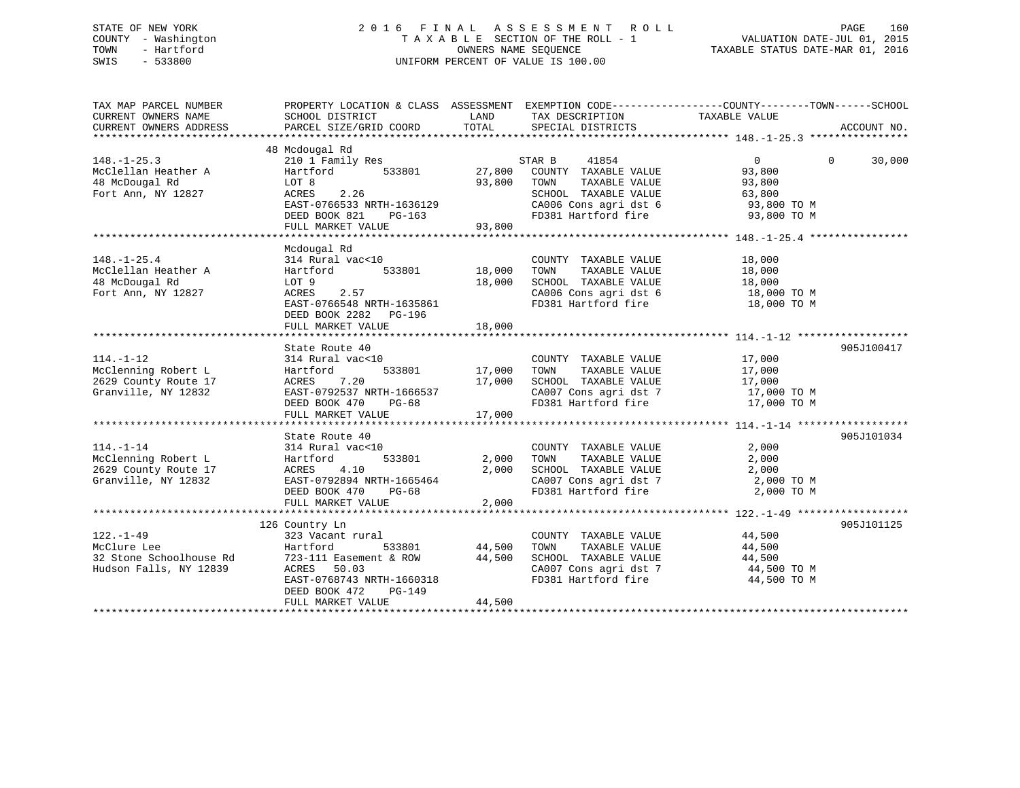# STATE OF NEW YORK 2 0 1 6 F I N A L A S S E S S M E N T R O L L PAGE 160 COUNTY - Washington T A X A B L E SECTION OF THE ROLL - 1 VALUATION DATE-JUL 01, 2015 TOWN - Hartford **TAXABLE STATUS DATE-MAR 01, 2016** OWNERS NAME SEQUENCE TAXABLE STATUS DATE-MAR 01, 2016 SWIS - 533800 UNIFORM PERCENT OF VALUE IS 100.00

| TAX MAP PARCEL NUMBER<br>CURRENT OWNERS NAME<br>CURRENT OWNERS ADDRESS                | SCHOOL DISTRICT<br>PARCEL SIZE/GRID COORD                                                                                                                                      | LAND<br>TOTAL                     | TAX DESCRIPTION TAXABLE VALUE<br>SPECIAL DISTRICTS                                                                                                               | PROPERTY LOCATION & CLASS ASSESSMENT EXEMPTION CODE----------------COUNTY-------TOWN------SCHOOL | ACCOUNT NO. |
|---------------------------------------------------------------------------------------|--------------------------------------------------------------------------------------------------------------------------------------------------------------------------------|-----------------------------------|------------------------------------------------------------------------------------------------------------------------------------------------------------------|--------------------------------------------------------------------------------------------------|-------------|
| $148. - 1 - 25.3$<br>McClellan Heather A<br>48 McDougal Rd<br>Fort Ann, NY 12827      | 48 Mcdougal Rd<br>210 1 Family Res<br>Hartford<br>533801<br>LOT 8<br>ACRES<br>2.26<br>EAST-0766533 NRTH-1636129<br>DEED BOOK 821<br>PG-163<br>FULL MARKET VALUE                | 27,800<br>93,800<br>93,800        | STAR B<br>41854<br>COUNTY TAXABLE VALUE<br>TAXABLE VALUE<br>TOWN<br>SCHOOL TAXABLE VALUE<br>CA006 Cons agri dst 6 93,800 TO M<br>FD381 Hartford fire 93,800 TO M | $\overline{0}$<br>$\Omega$<br>93,800<br>93,800<br>63,800                                         | 30,000      |
| $148. - 1 - 25.4$<br>McClellan Heather A<br>48 McDougal Rd<br>Fort Ann, NY 12827      | Mcdougal Rd<br>314 Rural vac<10<br>533801<br>Hartford<br>LOT 9<br>ACRES<br>2.57<br>EAST-0766548 NRTH-1635861<br>DEED BOOK 2282 PG-196<br>FULL MARKET VALUE                     | 18,000<br>18,000<br>18,000        | COUNTY TAXABLE VALUE<br>TAXABLE VALUE<br>TOWN<br>SCHOOL TAXABLE VALUE<br>CA006 Cons agri dst 6 18,000 TO M<br>FD381 Hartford fire                                | 18,000<br>18,000<br>18,000<br>18,000 TO M                                                        |             |
| $114. - 1 - 12$<br>McClenning Robert L<br>2629 County Route 17<br>Granville, NY 12832 | State Route 40<br>314 Rural vac<10<br>Hartford<br>ACRES<br>7.20<br>EAST-0792537 NRTH-1666537<br>DEED BOOK 470<br>PG-68<br>FULL MARKET VALUE                                    | 533801 17,000<br>17,000<br>17,000 | COUNTY TAXABLE VALUE<br>TAXABLE VALUE<br>TOWN<br>SCHOOL TAXABLE VALUE<br>SCHOOL TAXABLE VALUE 17,000<br>CA007 Cons agri dst 7 17,000 TO M<br>FD381 Hartford fire | 17,000<br>17,000<br>17,000<br>17,000 TO M                                                        | 905J100417  |
| $114. - 1 - 14$<br>McClenning Robert L<br>2629 County Route 17<br>Granville, NY 12832 | State Route 40<br>314 Rural vac<10<br>533801<br>Hartford<br>4.10<br>ACRES<br>EAST-0792894 NRTH-1665464<br>DEED BOOK 470<br>PG-68<br>FULL MARKET VALUE                          | 2,000<br>2,000<br>2,000           | COUNTY TAXABLE VALUE<br>TOWN<br>TAXABLE VALUE<br>SCHOOL TAXABLE VALUE<br>CA007 Cons agri dst 7 2,000 TO M<br>FD381 Hartford fire                                 | 2,000<br>2,000<br>2,000<br>2,000 TO M                                                            | 905J101034  |
| $122. - 1 - 49$<br>McClure Lee<br>32 Stone Schoolhouse Rd<br>Hudson Falls, NY 12839   | 126 Country Ln<br>323 Vacant rural<br>Hartford<br>533801<br>723-111 Easement & ROW<br>ACRES 50.03<br>EAST-0768743 NRTH-1660318<br>DEED BOOK 472<br>PG-149<br>FULL MARKET VALUE | 44,500<br>44,500<br>44,500        | COUNTY TAXABLE VALUE<br>TOWN<br>TAXABLE VALUE<br>SCHOOL TAXABLE VALUE<br>CA007 Cons agri dst 7<br>FD381 Hartford fire                                            | 44,500<br>44,500<br>44,500<br>44,500 TO M<br>44,500 TO M                                         | 905J101125  |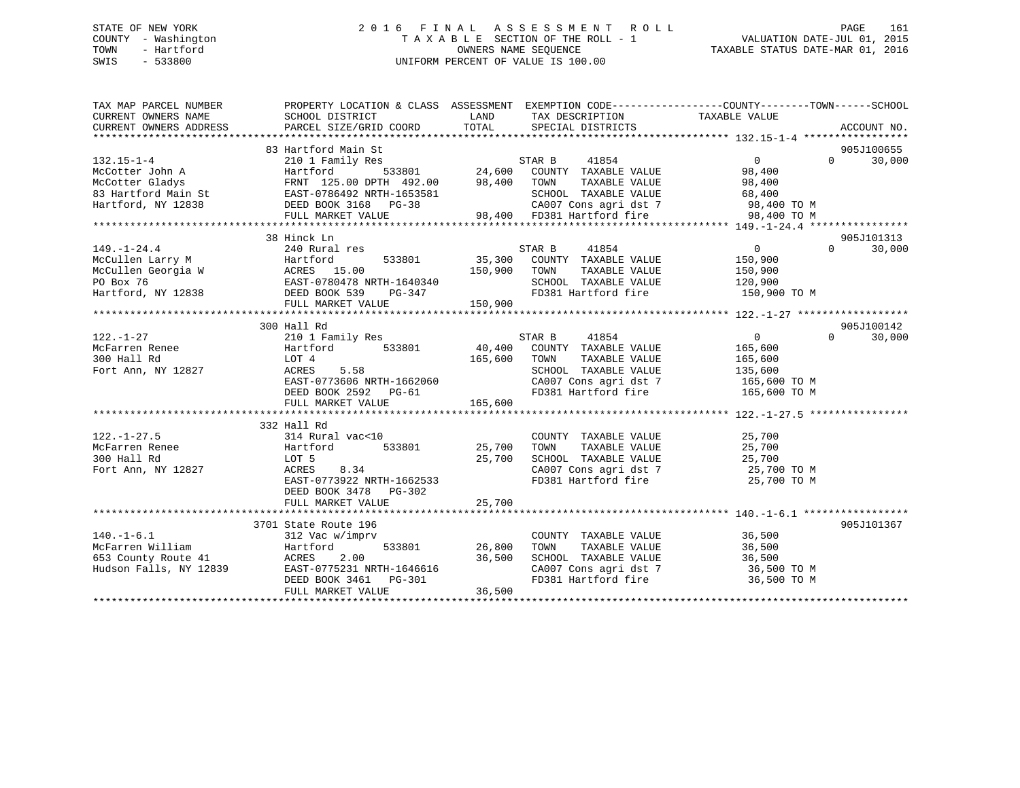# STATE OF NEW YORK 2 0 1 6 F I N A L A S S E S S M E N T R O L L PAGE 161 COUNTY - Washington T A X A B L E SECTION OF THE ROLL - 1 VALUATION DATE-JUL 01, 2015 TOWN - Hartford **TAXABLE STATUS DATE-MAR 01, 2016** OWNERS NAME SEQUENCE TAXABLE STATUS DATE-MAR 01, 2016 SWIS - 533800 UNIFORM PERCENT OF VALUE IS 100.00

| TAX MAP PARCEL NUMBER<br>CURRENT OWNERS NAME<br>CURRENT OWNERS ADDRESS                                                                                                                                                         | PROPERTY LOCATION & CLASS ASSESSMENT EXEMPTION CODE---------------COUNTY-------TOWN-----SCHOOL<br>SCHOOL DISTRICT<br>PARCEL SIZE/GRID COORD | LAND<br>TOTAL | TAX DESCRIPTION<br>SPECIAL DISTRICTS         | TAXABLE VALUE      | ACCOUNT NO.        |
|--------------------------------------------------------------------------------------------------------------------------------------------------------------------------------------------------------------------------------|---------------------------------------------------------------------------------------------------------------------------------------------|---------------|----------------------------------------------|--------------------|--------------------|
|                                                                                                                                                                                                                                |                                                                                                                                             |               |                                              |                    |                    |
|                                                                                                                                                                                                                                | 83 Hartford Main St                                                                                                                         |               |                                              |                    | 905J100655         |
| $132.15 - 1 - 4$                                                                                                                                                                                                               | 210 1 Family Res                                                                                                                            |               | STAR B<br>41854                              | $\overline{0}$     | 30,000<br>$\Omega$ |
| McCotter John A                                                                                                                                                                                                                |                                                                                                                                             |               |                                              | 98,400             |                    |
|                                                                                                                                                                                                                                |                                                                                                                                             |               |                                              | 98,400             |                    |
|                                                                                                                                                                                                                                |                                                                                                                                             |               |                                              | 68,400             |                    |
|                                                                                                                                                                                                                                |                                                                                                                                             |               |                                              | 98,400 TO M        |                    |
| McCotter John A (McCotter Gladys FRNT 125.00 DPTH 492.00 98,400 TOWN TAXABLE VALUE NOCOtter Gladys FRNT 125.00 DPTH 492.00 98,400 TOWN TAXABLE VALUE STATE OF A (MARKET VALUE DEED BOOK 3168 PG-38 (MARKET VALUE PULL MARKET V |                                                                                                                                             |               |                                              | 98,400 TO M        |                    |
|                                                                                                                                                                                                                                |                                                                                                                                             |               |                                              |                    |                    |
|                                                                                                                                                                                                                                | 38 Hinck Ln                                                                                                                                 |               |                                              |                    | 905J101313         |
| $149. - 1 - 24.4$                                                                                                                                                                                                              | 240 Rural res                                                                                                                               |               | 41854<br>STAR B                              | $\overline{0}$     | $\Omega$<br>30,000 |
| McCullen Larry M<br>McCullen Georgia W<br>PO Box 76<br>Hartford, NY 12838<br>Hartford, NY 12838<br>PEED BOOK 539<br>PG-347<br>PULLENCIAN PEED BOOK 539<br>PG-347<br>PULLENCIAN PEED BOOK 539<br>PG-347                         |                                                                                                                                             |               | 35,300 COUNTY TAXABLE VALUE                  | 150,900            |                    |
|                                                                                                                                                                                                                                |                                                                                                                                             | 150,900 TOWN  | TAXABLE VALUE                                | 150,900            |                    |
|                                                                                                                                                                                                                                |                                                                                                                                             |               | SCHOOL TAXABLE VALUE 120,900                 |                    |                    |
|                                                                                                                                                                                                                                |                                                                                                                                             | 150,900       | FD381 Hartford fire 150,900 TO M             |                    |                    |
|                                                                                                                                                                                                                                | FULL MARKET VALUE                                                                                                                           |               |                                              |                    |                    |
|                                                                                                                                                                                                                                |                                                                                                                                             |               |                                              |                    |                    |
|                                                                                                                                                                                                                                | 300 Hall Rd                                                                                                                                 |               |                                              |                    | 905J100142         |
| $122. - 1 - 27$                                                                                                                                                                                                                | 210 1 Family Res                                                                                                                            |               | 41854<br>STAR B                              | $\Omega$           | 30,000<br>$\Omega$ |
| McFarren Renee Martford                                                                                                                                                                                                        | 533801 40,400                                                                                                                               |               | COUNTY TAXABLE VALUE                         | 165,600            |                    |
| 300 Hall Rd                                                                                                                                                                                                                    | LOT 4                                                                                                                                       | 165,600       | TAXABLE VALUE<br>TOWN                        | 165,600<br>135,600 |                    |
| Fort Ann, NY 12827                                                                                                                                                                                                             | 5.58<br>ACRES                                                                                                                               |               | SCHOOL TAXABLE VALUE                         |                    |                    |
|                                                                                                                                                                                                                                | EAST-0773606 NRTH-1662060                                                                                                                   |               | CA007 Cons agri dst 7 165,600 TO M           |                    |                    |
|                                                                                                                                                                                                                                | DEED BOOK 2592 PG-61                                                                                                                        |               | FD381 Hartford fire                          | 165,600 TO M       |                    |
|                                                                                                                                                                                                                                | FULL MARKET VALUE                                                                                                                           | 165,600       |                                              |                    |                    |
|                                                                                                                                                                                                                                | 332 Hall Rd                                                                                                                                 |               |                                              |                    |                    |
| $122. - 1 - 27.5$                                                                                                                                                                                                              | 314 Rural vac<10                                                                                                                            |               |                                              |                    |                    |
| 122.-1-2<br>McFarren Renee                                                                                                                                                                                                     | 533801<br>Hartford                                                                                                                          |               | COUNTY TAXABLE VALUE 25,700<br>25,700 TOWN   |                    |                    |
|                                                                                                                                                                                                                                | LOT 5                                                                                                                                       | 25,700        |                                              |                    |                    |
| Fort Ann, NY 12827                                                                                                                                                                                                             | 8.34<br>ACRES                                                                                                                               |               | CA007 Cons agri dst 7 25,700 TO M            |                    |                    |
|                                                                                                                                                                                                                                | EAST-0773922 NRTH-1662533                                                                                                                   |               | FD381 Hartford fire                          | 25,700 TO M        |                    |
|                                                                                                                                                                                                                                | DEED BOOK 3478 PG-302                                                                                                                       |               |                                              |                    |                    |
|                                                                                                                                                                                                                                | FULL MARKET VALUE                                                                                                                           | 25,700        |                                              |                    |                    |
|                                                                                                                                                                                                                                |                                                                                                                                             |               |                                              |                    |                    |
|                                                                                                                                                                                                                                | 3701 State Route 196                                                                                                                        |               |                                              |                    | 905J101367         |
| $140. - 1 - 6.1$                                                                                                                                                                                                               | 312 Vac w/imprv                                                                                                                             |               | COUNTY TAXABLE VALUE                         | 36,500             |                    |
| McFarren William                                                                                                                                                                                                               | 533801<br>Hartford                                                                                                                          | 26,800        | TAXABLE VALUE<br>TOWN                        | 36,500             |                    |
| 653 County Route 41                                                                                                                                                                                                            | ACRES<br>2.00                                                                                                                               | 36,500        | SCHOOL TAXABLE VALUE                         | 36,500             |                    |
| Hudson Falls, NY 12839                                                                                                                                                                                                         | EAST-0775231 NRTH-1646616                                                                                                                   |               | CA007 Cons agri dst 7<br>En281 Hartford fire | 36,500 TO M        |                    |
|                                                                                                                                                                                                                                | DEED BOOK 3461 PG-301                                                                                                                       |               | FD381 Hartford fire                          | 36,500 TO M        |                    |
|                                                                                                                                                                                                                                | FULL MARKET VALUE                                                                                                                           | 36,500        |                                              |                    |                    |
|                                                                                                                                                                                                                                |                                                                                                                                             |               |                                              |                    |                    |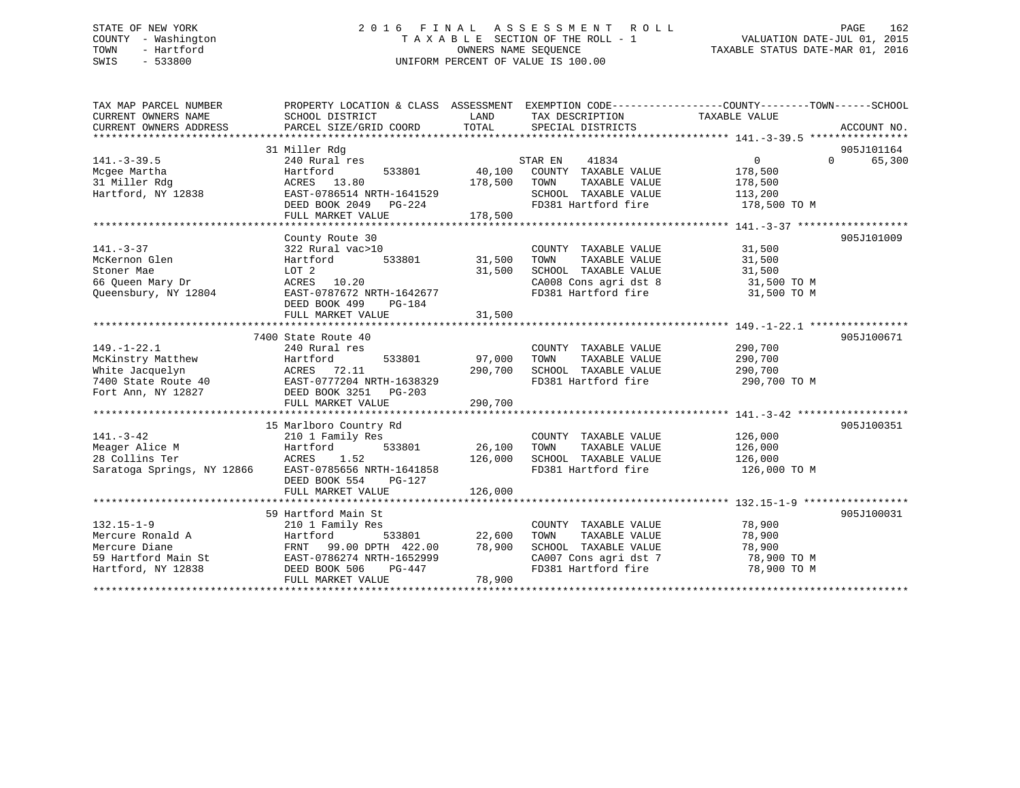# STATE OF NEW YORK 2 0 1 6 F I N A L A S S E S S M E N T R O L L PAGE 162 COUNTY - Washington T A X A B L E SECTION OF THE ROLL - 1 VALUATION DATE-JUL 01, 2015 TOWN - Hartford **TAXABLE STATUS DATE-MAR 01, 2016** OWNERS NAME SEQUENCE TAXABLE STATUS DATE-MAR 01, 2016 SWIS - 533800 UNIFORM PERCENT OF VALUE IS 100.00

| TAX MAP PARCEL NUMBER<br>CURRENT OWNERS NAME<br>CURRENT OWNERS ADDRESS                                                                                                      | PROPERTY LOCATION & CLASS ASSESSMENT EXEMPTION CODE----------------COUNTY-------TOWN-----SCHOOL<br>SCHOOL DISTRICT<br>PARCEL SIZE/GRID COORD  | LAND<br>TOTAL                       | TAX DESCRIPTION TAXABLE VALUE<br>SPECIAL DISTRICTS                                                                                |                                                          | ACCOUNT NO.                      |
|-----------------------------------------------------------------------------------------------------------------------------------------------------------------------------|-----------------------------------------------------------------------------------------------------------------------------------------------|-------------------------------------|-----------------------------------------------------------------------------------------------------------------------------------|----------------------------------------------------------|----------------------------------|
| $141. - 3 - 39.5$                                                                                                                                                           | 31 Miller Rdg<br>240 Rural res                                                                                                                |                                     | 41834<br>STAR EN                                                                                                                  | $\Omega$                                                 | 905J101164<br>$\Omega$<br>65,300 |
| Mcgee Martha<br>31 Miller Rdg<br>Hartford, NY 12838                                                                                                                         | 533801 40,100<br>Hartford<br>ACRES 13.80<br>EAST-0786514 NRTH-1641529<br>DEED BOOK 2049<br>PG-224                                             | 178,500                             | COUNTY TAXABLE VALUE<br>TAXABLE VALUE<br>TOWN<br>SCHOOL TAXABLE VALUE<br>FD381 Hartford fire 178,500 TO M                         | 178,500<br>178,500<br>113,200                            |                                  |
|                                                                                                                                                                             | FULL MARKET VALUE                                                                                                                             | 178,500                             |                                                                                                                                   |                                                          |                                  |
| $141. - 3 - 37$<br>McKernon Glen<br>Stoner Mae<br>66 Queen Mary Dr<br>Queensbury, NY 12804                                                                                  | County Route 30<br>322 Rural vac>10<br>533801<br>Hartford<br>LOT 2<br>ACRES 10.20<br>EAST-0787672 NRTH-1642677<br>DEED BOOK 499<br>PG-184     | 31,500<br>31,500                    | COUNTY TAXABLE VALUE<br>TOWN<br>TAXABLE VALUE<br>SCHOOL TAXABLE VALUE<br>CA008 Cons agri dst 8<br>CA008 Cons agri dst 8           | 31,500<br>31,500<br>31,500<br>31,500 TO M<br>31,500 TO M | 905J101009                       |
|                                                                                                                                                                             | FULL MARKET VALUE                                                                                                                             | 31,500                              |                                                                                                                                   |                                                          |                                  |
| $149. - 1 - 22.1$<br>McKinstry Matthew<br>White Jacquelyn<br>7400 State Route 40<br>Fort Ann, NY 12827<br>Fort Ann, NY 12827<br>DEED BOOK 3251 PG-203<br>Fort Ann, NY 12827 | 7400 State Route 40<br>240 Rural res<br>Hartford<br>FULL MARKET VALUE                                                                         | 533801 97,000<br>290,700<br>290,700 | COUNTY TAXABLE VALUE<br>TAXABLE VALUE<br>TOWN<br>SCHOOL TAXABLE VALUE<br>FD381 Hartford fire                                      | 290,700<br>290,700<br>290,700<br>290,700 TO M            | 905J100671                       |
| $141. - 3 - 42$<br>Meager Alice M<br>Hartfo<br>ACRES<br>28 Collins Ter<br>Saratoga Springs, NY 12866 EAST-0785656 NRTH-1641858                                              | 15 Marlboro Country Rd<br>210 1 Family Res<br>Hartford<br>533801<br>1.52<br>DEED BOOK 554<br>PG-127<br>FULL MARKET VALUE                      | 26,100<br>126,000<br>126,000        | COUNTY TAXABLE VALUE<br>TAXABLE VALUE<br>TOWN<br>SCHOOL TAXABLE VALUE 126,000<br>FD381 Hartford fire                              | 126,000<br>126,000<br>126,000 TO M                       | 905J100351                       |
|                                                                                                                                                                             | 59 Hartford Main St                                                                                                                           |                                     |                                                                                                                                   |                                                          | 905J100031                       |
| $132.15 - 1 - 9$<br>Mercure Ronald A<br>Mercure Diane<br>59 Hartford Main St<br>Hartford, NY 12838                                                                          | 210 1 Family Res<br>Hartford<br>533801<br>FRNT 99.00 DPTH 422.00<br>EAST-0786274 NRTH-1652999<br>DEED BOOK 506<br>PG-447<br>FULL MARKET VALUE | 22,600<br>78,900<br>78,900          | COUNTY TAXABLE VALUE<br>TOWN<br>TAXABLE VALUE<br>SCHOOL TAXABLE VALUE<br>CA007 Cons agri dst 7 78,900 TO M<br>FD381 Hartford fire | 78,900<br>78,900<br>78,900<br>78,900 TO M                |                                  |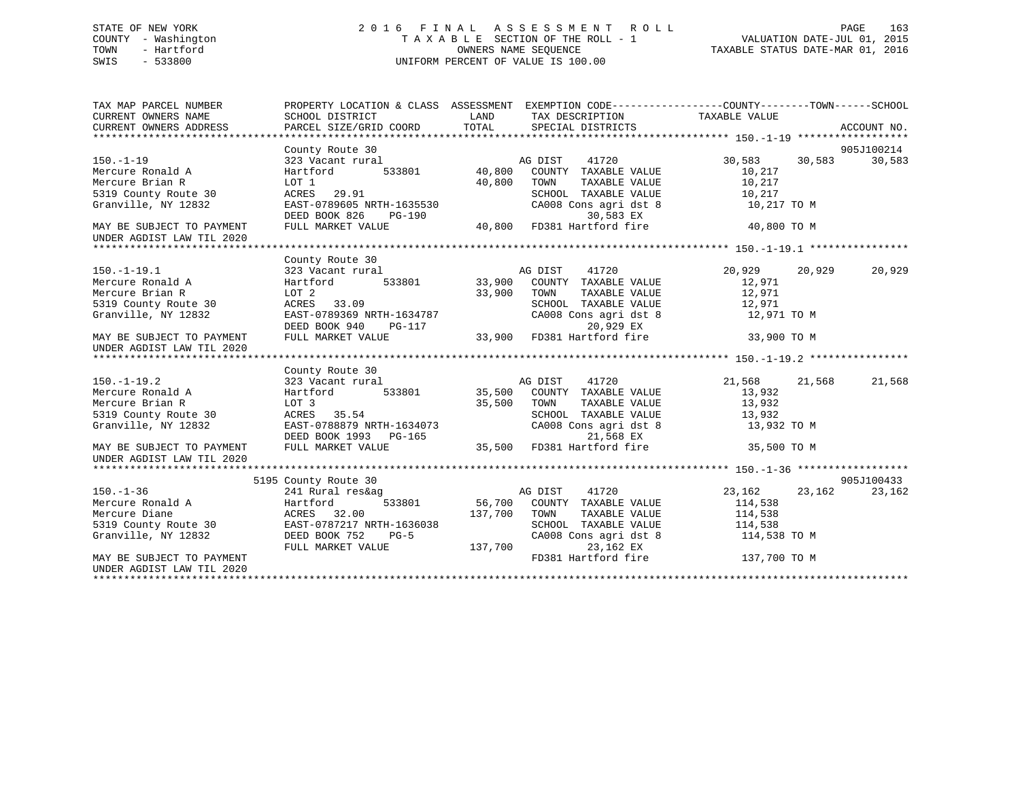# STATE OF NEW YORK 2 0 1 6 F I N A L A S S E S S M E N T R O L L PAGE 163 COUNTY - Washington T A X A B L E SECTION OF THE ROLL - 1 VALUATION DATE-JUL 01, 2015 TOWN - Hartford **TAXABLE STATUS DATE-MAR 01, 2016** OWNERS NAME SEQUENCE TAXABLE STATUS DATE-MAR 01, 2016 SWIS - 533800 UNIFORM PERCENT OF VALUE IS 100.00

| TAX MAP PARCEL NUMBER<br>CURRENT OWNERS NAME<br>CURRENT OWNERS ADDRESS | PROPERTY LOCATION & CLASS ASSESSMENT EXEMPTION CODE---------------COUNTY-------TOWN-----SCHOOL<br>SCHOOL DISTRICT<br>PARCEL SIZE/GRID COORD | LAND<br>TOTAL | TAX DESCRIPTION TAXABLE VALUE<br>SPECIAL DISTRICTS |                 |        | ACCOUNT NO. |
|------------------------------------------------------------------------|---------------------------------------------------------------------------------------------------------------------------------------------|---------------|----------------------------------------------------|-----------------|--------|-------------|
|                                                                        |                                                                                                                                             |               |                                                    |                 |        |             |
|                                                                        | County Route 30                                                                                                                             |               |                                                    |                 |        | 905J100214  |
| $150. - 1 - 19$                                                        | 323 Vacant rural                                                                                                                            |               | AG DIST<br>41720                                   | 30,583          | 30,583 | 30,583      |
| Mercure Ronald A                                                       | 533801<br>Hartford                                                                                                                          | 40,800        | COUNTY TAXABLE VALUE                               | 10,217          |        |             |
| Mercure Brian R                                                        | LOT 1                                                                                                                                       | 40,800        | TAXABLE VALUE<br>TOWN                              | 10,217          |        |             |
| 5319 County Route 30                                                   | ACRES 29.91                                                                                                                                 |               | SCHOOL TAXABLE VALUE                               | 10,217          |        |             |
| Granville, NY 12832                                                    | EAST-0789605 NRTH-1635530<br>DEED BOOK 826<br>PG-190                                                                                        |               | CA008 Cons agri dst 8<br>30,583 EX                 | 10,217 TO M     |        |             |
| MAY BE SUBJECT TO PAYMENT                                              | FULL MARKET VALUE                                                                                                                           | 40,800        | FD381 Hartford fire                                | 40,800 TO M     |        |             |
| UNDER AGDIST LAW TIL 2020                                              |                                                                                                                                             |               |                                                    |                 |        |             |
|                                                                        |                                                                                                                                             |               |                                                    |                 |        |             |
|                                                                        | County Route 30                                                                                                                             |               |                                                    |                 |        |             |
| $150.-1-19.1$                                                          | 323 Vacant rural                                                                                                                            |               | 41720<br>AG DIST                                   | 20,929 20,929   |        | 20,929      |
| Mercure Ronald A                                                       | 533801<br>Hartford                                                                                                                          | 33,900        | COUNTY TAXABLE VALUE                               | 12,971          |        |             |
| Mercure Brian R                                                        | LOT 2                                                                                                                                       | 33,900        | TOWN<br>TAXABLE VALUE                              | 12,971          |        |             |
| 5319 County Route 30                                                   | ACRES 33.09                                                                                                                                 |               | SCHOOL TAXABLE VALUE                               | 12,971          |        |             |
| Granville, NY 12832                                                    | EAST-0789369 NRTH-1634787                                                                                                                   |               | CA008 Cons agri dst 8                              | 12,971 TO M     |        |             |
|                                                                        | DEED BOOK 940<br><b>PG-117</b>                                                                                                              |               | 20,929 EX                                          |                 |        |             |
| MAY BE SUBJECT TO PAYMENT<br>UNDER AGDIST LAW TIL 2020                 | FULL MARKET VALUE                                                                                                                           | $17$ 33,900   | FD381 Hartford fire                                | 33,900 TO M     |        |             |
|                                                                        |                                                                                                                                             |               |                                                    |                 |        |             |
|                                                                        | County Route 30                                                                                                                             |               |                                                    |                 |        |             |
| $150.-1-19.2$                                                          | 323 Vacant rural                                                                                                                            |               | AG DIST<br>41720                                   | 21,568          | 21,568 | 21,568      |
| Mercure Ronald A                                                       | 533801<br>Hartford                                                                                                                          |               | 35,500 COUNTY TAXABLE VALUE                        | 13,932          |        |             |
| Mercure Brian R                                                        | LOT 3                                                                                                                                       | 35,500        | TOWN<br>TAXABLE VALUE                              | 13,932          |        |             |
| 5319 County Route 30                                                   | ACRES 35.54                                                                                                                                 |               | SCHOOL TAXABLE VALUE                               | 13,932          |        |             |
| Granville, NY 12832                                                    | EAST-0788879 NRTH-1634073<br>DEED BOOK 1993 PG-165                                                                                          |               | CA008 Cons agri dst 8<br>21,568 EX                 | 13,932 TO M     |        |             |
| MAY BE SUBJECT TO PAYMENT<br>UNDER AGDIST LAW TIL 2020                 | FULL MARKET VALUE                                                                                                                           | 35,500        | FD381 Hartford fire                                | 35,500 TO M     |        |             |
|                                                                        |                                                                                                                                             |               |                                                    |                 |        |             |
|                                                                        | 5195 County Route 30                                                                                                                        |               |                                                    |                 |        | 905J100433  |
| $150. - 1 - 36$                                                        | 241 Rural res&ag                                                                                                                            |               | AG DIST<br>41720                                   | 23, 162 23, 162 |        | 23,162      |
| Mercure Ronald A                                                       | Hartford<br>533801                                                                                                                          |               | 56,700 COUNTY TAXABLE VALUE                        | 114,538         |        |             |
| Mercure Diane                                                          | ACRES 32.00                                                                                                                                 | 137,700       | TOWN<br>TAXABLE VALUE                              | 114,538         |        |             |
| 5319 County Route 30                                                   | EAST-0787217 NRTH-1636038                                                                                                                   |               | SCHOOL TAXABLE VALUE                               | 114,538         |        |             |
| Granville, NY 12832                                                    | DEED BOOK 752<br>$PG-5$                                                                                                                     |               | CA008 Cons agri dst 8                              | 114,538 TO M    |        |             |
|                                                                        | FULL MARKET VALUE                                                                                                                           | 137,700       | 23,162 EX                                          |                 |        |             |
| MAY BE SUBJECT TO PAYMENT<br>UNDER AGDIST LAW TIL 2020                 |                                                                                                                                             |               | FD381 Hartford fire                                | 137,700 TO M    |        |             |
|                                                                        |                                                                                                                                             |               |                                                    |                 |        |             |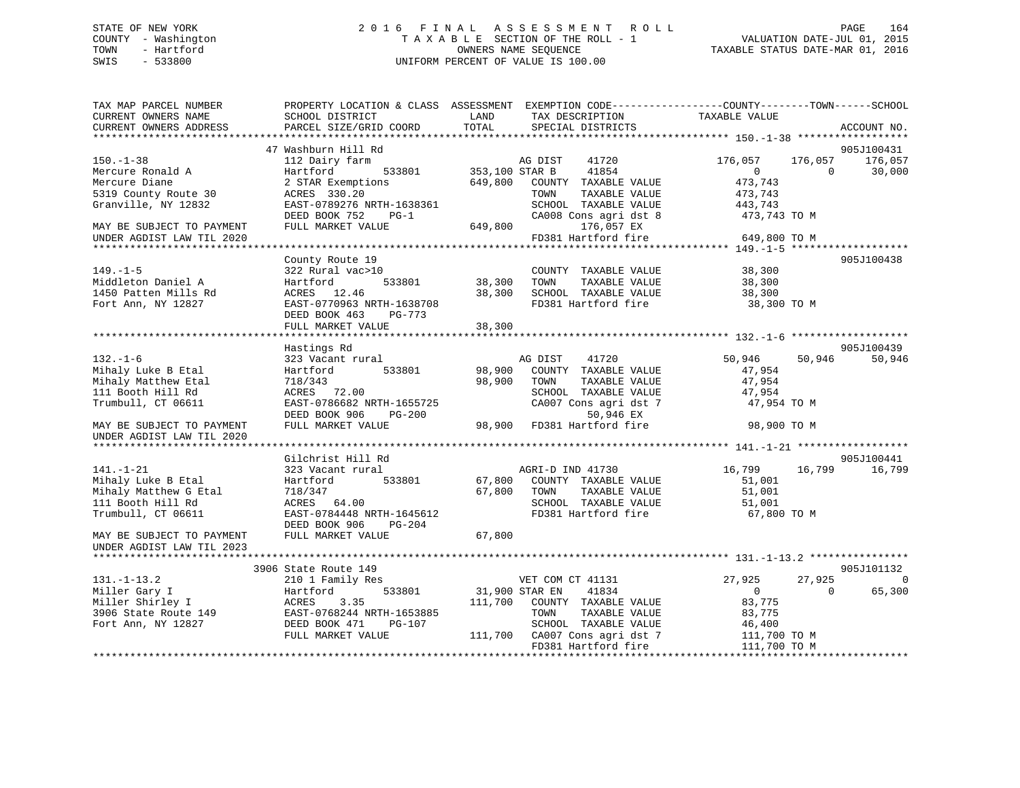# STATE OF NEW YORK 2 0 1 6 F I N A L A S S E S S M E N T R O L L PAGE 164 COUNTY - Washington T A X A B L E SECTION OF THE ROLL - 1 VALUATION DATE-JUL 01, 2015 TOWN - Hartford **TAXABLE STATUS DATE-MAR 01, 2016** OWNERS NAME SEQUENCE TAXABLE STATUS DATE-MAR 01, 2016 SWIS - 533800 UNIFORM PERCENT OF VALUE IS 100.00

| TAX MAP PARCEL NUMBER<br>CURRENT OWNERS NAME<br>CURRENT OWNERS ADDRESS                                    | SCHOOL DISTRICT<br>PARCEL SIZE/GRID COORD                                                                                                                    | PROPERTY LOCATION & CLASS ASSESSMENT EXEMPTION CODE----------------COUNTY-------TOWN------SCHOOL<br>LAND<br>TAX DESCRIPTION<br>TOTAL<br>SPECIAL DISTRICTS                               | TAXABLE VALUE<br>ACCOUNT NO.                                                                                                                     |
|-----------------------------------------------------------------------------------------------------------|--------------------------------------------------------------------------------------------------------------------------------------------------------------|-----------------------------------------------------------------------------------------------------------------------------------------------------------------------------------------|--------------------------------------------------------------------------------------------------------------------------------------------------|
|                                                                                                           |                                                                                                                                                              |                                                                                                                                                                                         |                                                                                                                                                  |
| $150. - 1 - 38$<br>Mercure Ronald A<br>Mercure Diane<br>5319 County Route 30<br>Granville, NY 12832       | 47 Washburn Hill Rd<br>112 Dairy farm<br>533801<br>Hartford<br>2 STAR Exemptions<br>ACRES 330.20<br>EAST-0789276 NRTH-1638361                                | AG DIST<br>41720<br>353,100 STAR B<br>41854<br>649,800<br>COUNTY TAXABLE VALUE<br>TOWN<br>TAXABLE VALUE<br>SCHOOL TAXABLE VALUE                                                         | 905J100431<br>176,057<br>176,057<br>176,057<br>$\Omega$<br>$\Omega$<br>30,000<br>473,743<br>473,743<br>443,743                                   |
| MAY BE SUBJECT TO PAYMENT<br>UNDER AGDIST LAW TIL 2020                                                    | DEED BOOK 752<br>$PG-1$<br>FULL MARKET VALUE                                                                                                                 | CA008 Cons agri dst 8<br>649,800<br>176,057 EX<br>FD381 Hartford fire                                                                                                                   | 473,743 TO M<br>649,800 TO M                                                                                                                     |
|                                                                                                           |                                                                                                                                                              |                                                                                                                                                                                         |                                                                                                                                                  |
| $149. - 1 - 5$<br>Middleton Daniel A<br>1450 Patten Mills Rd<br>Fort Ann, NY 12827                        | County Route 19<br>322 Rural vac>10<br>Hartford<br>533801<br>ACRES 12.46<br>EAST-0770963 NRTH-1638708<br>DEED BOOK 463 PG-773                                | COUNTY TAXABLE VALUE<br>38,300<br>TOWN<br>TAXABLE VALUE<br>38,300<br>SCHOOL TAXABLE VALUE<br>FD381 Hartford fire                                                                        | 905J100438<br>38,300<br>38,300<br>38,300<br>38,300 TO M                                                                                          |
|                                                                                                           | FULL MARKET VALUE                                                                                                                                            | 38,300                                                                                                                                                                                  |                                                                                                                                                  |
| $132. - 1 - 6$                                                                                            | Hastings Rd                                                                                                                                                  | AG DIST<br>41720                                                                                                                                                                        | 905J100439<br>50,946<br>50,946<br>50,946                                                                                                         |
| Mihaly Luke B Etal<br>Mihaly Matthew Etal<br>111 Booth Hill Rd<br>Trumbull, CT 06611                      | 323 Vacant rural<br>533801<br>Hartford<br>718/343<br>ACRES 72.00<br>EAST-0786682 NRTH-1655725<br>DEED BOOK 906<br>$PG-200$                                   | 98,900<br>COUNTY TAXABLE VALUE<br>98,900<br>TAXABLE VALUE<br>TOWN<br>SCHOOL TAXABLE VALUE<br>CA007 Cons agri dst 7<br>50,946 EX                                                         | 47,954<br>47,954<br>47,954<br>47,954 TO M                                                                                                        |
| MAY BE SUBJECT TO PAYMENT<br>UNDER AGDIST LAW TIL 2020                                                    | FULL MARKET VALUE                                                                                                                                            | 98,900 FD381 Hartford fire                                                                                                                                                              | 98,900 TO M                                                                                                                                      |
|                                                                                                           | Gilchrist Hill Rd                                                                                                                                            |                                                                                                                                                                                         | 905J100441                                                                                                                                       |
| $141. - 1 - 21$<br>Mihaly Luke B Etal<br>Mihaly Matthew G Etal<br>111 Booth Hill Rd<br>Trumbull, CT 06611 | 323 Vacant rural<br>Hartford<br>533801<br>718/347<br>ACRES 64.00<br>EAST-0784448 NRTH-1645612<br>DEED BOOK 906 PG-204                                        | AGRI-D IND 41730<br>67,800<br>COUNTY TAXABLE VALUE<br>67,800<br>TOWN<br>TAXABLE VALUE<br>SCHOOL TAXABLE VALUE<br>FD381 Hartford fire                                                    | 16,799<br>16,799<br>16,799<br>51,001<br>51,001<br>51,001<br>67,800 TO M                                                                          |
| MAY BE SUBJECT TO PAYMENT<br>UNDER AGDIST LAW TIL 2023                                                    | FULL MARKET VALUE                                                                                                                                            | 67,800                                                                                                                                                                                  |                                                                                                                                                  |
|                                                                                                           |                                                                                                                                                              |                                                                                                                                                                                         |                                                                                                                                                  |
| $131.-1-13.2$<br>Miller Gary I<br>Miller Shirley I<br>3906 State Route 149<br>Fort Ann, NY 12827          | 3906 State Route 149<br>210 1 Family Res<br>Hartford<br>533801<br>ACRES<br>3.35<br>EAST-0768244 NRTH-1653885<br>DEED BOOK 471<br>PG-107<br>FULL MARKET VALUE | VET COM CT 41131<br>31,900 STAR EN<br>41834<br>111,700<br>COUNTY TAXABLE VALUE<br>TAXABLE VALUE<br>TOWN<br>SCHOOL TAXABLE VALUE<br>111,700 CA007 Cons agri dst 7<br>FD381 Hartford fire | 905J101132<br>27,925<br>27,925<br>$\Omega$<br>$\overline{0}$<br>$\Omega$<br>65,300<br>83,775<br>83,775<br>46,400<br>111,700 TO M<br>111,700 TO M |
|                                                                                                           |                                                                                                                                                              | *****************************                                                                                                                                                           |                                                                                                                                                  |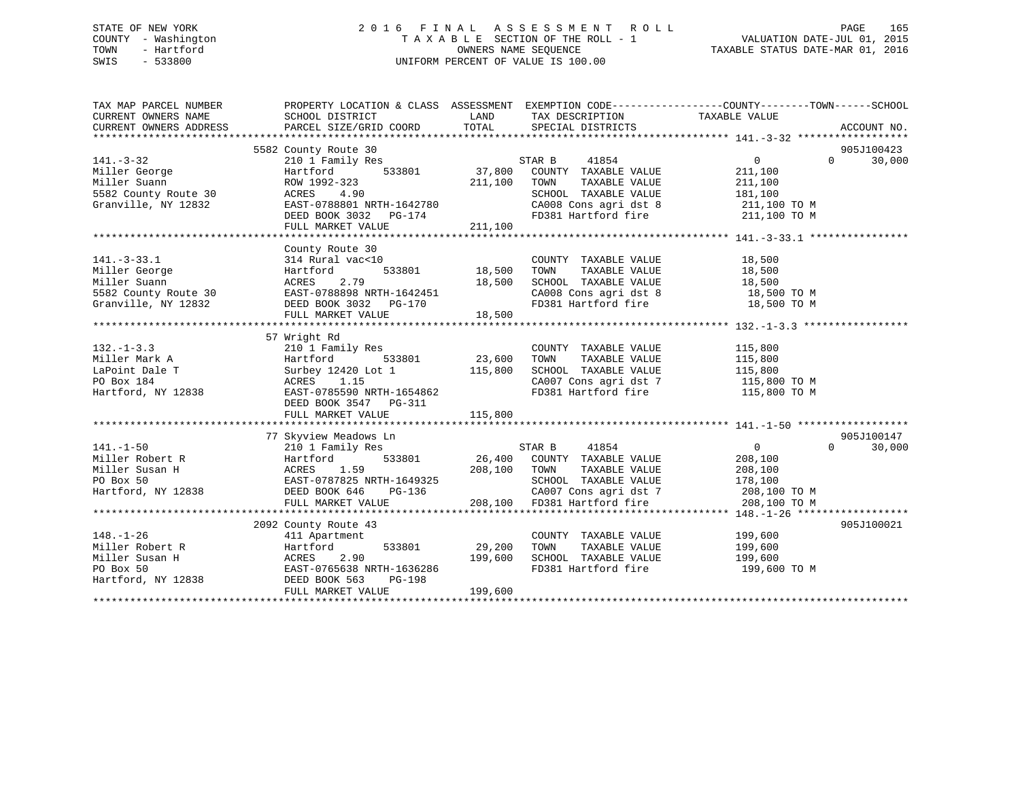# STATE OF NEW YORK 2 0 1 6 F I N A L A S S E S S M E N T R O L L PAGE 165 COUNTY - Washington T A X A B L E SECTION OF THE ROLL - 1 VALUATION DATE-JUL 01, 2015 TOWN - Hartford **TAXABLE STATUS DATE-MAR 01, 2016** OWNERS NAME SEQUENCE TAXABLE STATUS DATE-MAR 01, 2016 SWIS - 533800 UNIFORM PERCENT OF VALUE IS 100.00

| TAX MAP PARCEL NUMBER                                                                                                                                                                                                                                     | PROPERTY LOCATION & CLASS ASSESSMENT EXEMPTION CODE----------------COUNTY-------TOWN------SCHOOL |                     |                                                                                                                                                                                                                                                                                                                                                                                                                                                        |                                                                                                         |                    |
|-----------------------------------------------------------------------------------------------------------------------------------------------------------------------------------------------------------------------------------------------------------|--------------------------------------------------------------------------------------------------|---------------------|--------------------------------------------------------------------------------------------------------------------------------------------------------------------------------------------------------------------------------------------------------------------------------------------------------------------------------------------------------------------------------------------------------------------------------------------------------|---------------------------------------------------------------------------------------------------------|--------------------|
|                                                                                                                                                                                                                                                           |                                                                                                  |                     |                                                                                                                                                                                                                                                                                                                                                                                                                                                        |                                                                                                         |                    |
|                                                                                                                                                                                                                                                           | 5582 County Route 30                                                                             |                     |                                                                                                                                                                                                                                                                                                                                                                                                                                                        |                                                                                                         | 905J100423         |
| $141. - 3 - 32$                                                                                                                                                                                                                                           | 210 1 Family Res                                                                                 |                     | STAR B<br>41854                                                                                                                                                                                                                                                                                                                                                                                                                                        | $0 \qquad \qquad$                                                                                       | $\Omega$<br>30,000 |
| Miller George<br>Miller Suann                                                                                                                                                                                                                             | 533801<br>Hartford                                                                               | 37,800              | COUNTY TAXABLE VALUE                                                                                                                                                                                                                                                                                                                                                                                                                                   | 211,100                                                                                                 |                    |
|                                                                                                                                                                                                                                                           | ROW 1992-323                                                                                     | 211,100             | TOWN<br>TAXABLE VALUE                                                                                                                                                                                                                                                                                                                                                                                                                                  | 211,100                                                                                                 |                    |
|                                                                                                                                                                                                                                                           | 4.90<br>ACRES                                                                                    |                     | SCHOOL TAXABLE VALUE                                                                                                                                                                                                                                                                                                                                                                                                                                   | 181,100                                                                                                 |                    |
| <br>5582 County Route 30<br>Granville, NY 12832                                                                                                                                                                                                           | $\texttt{EAST-0788801} \text{ NRTH-1642780}$                                                     |                     |                                                                                                                                                                                                                                                                                                                                                                                                                                                        |                                                                                                         |                    |
|                                                                                                                                                                                                                                                           | DEED BOOK 3032 PG-174                                                                            |                     |                                                                                                                                                                                                                                                                                                                                                                                                                                                        | CA008 Cons agri dst 8 211,100 TO M<br>FD381 Hartford fire 211,100 TO M                                  |                    |
|                                                                                                                                                                                                                                                           |                                                                                                  |                     |                                                                                                                                                                                                                                                                                                                                                                                                                                                        |                                                                                                         |                    |
|                                                                                                                                                                                                                                                           |                                                                                                  |                     |                                                                                                                                                                                                                                                                                                                                                                                                                                                        |                                                                                                         |                    |
|                                                                                                                                                                                                                                                           | County Route 30                                                                                  |                     |                                                                                                                                                                                                                                                                                                                                                                                                                                                        |                                                                                                         |                    |
|                                                                                                                                                                                                                                                           |                                                                                                  |                     |                                                                                                                                                                                                                                                                                                                                                                                                                                                        |                                                                                                         |                    |
|                                                                                                                                                                                                                                                           |                                                                                                  |                     | COUNTY TAXABLE VALUE 18,500<br>TOWN TAXABLE VALUE 18,500                                                                                                                                                                                                                                                                                                                                                                                               |                                                                                                         |                    |
|                                                                                                                                                                                                                                                           |                                                                                                  |                     |                                                                                                                                                                                                                                                                                                                                                                                                                                                        |                                                                                                         |                    |
|                                                                                                                                                                                                                                                           |                                                                                                  |                     |                                                                                                                                                                                                                                                                                                                                                                                                                                                        |                                                                                                         |                    |
| 141.-3-33.1<br>141.-3-33.1<br>18,500<br>18,500<br>18,500<br>18,500<br>18,500<br>18,500<br>5582 County Route 30<br>Granville, NY 12832<br>18,500<br>18,500<br>EAST-0788898 NRTH-1642451<br>DEED BOOK 3032<br>PG-170<br>19,500<br>FULL MARKET VALUE         |                                                                                                  |                     | SCHOOL TAXABLE VALUE<br>CAOOS Cons agri dst 8 18,500<br>FD381 Hartford fire 18,500 TO M<br>FD381 Hartford fire 18,500 TO M                                                                                                                                                                                                                                                                                                                             |                                                                                                         |                    |
|                                                                                                                                                                                                                                                           |                                                                                                  |                     |                                                                                                                                                                                                                                                                                                                                                                                                                                                        |                                                                                                         |                    |
|                                                                                                                                                                                                                                                           |                                                                                                  |                     |                                                                                                                                                                                                                                                                                                                                                                                                                                                        |                                                                                                         |                    |
|                                                                                                                                                                                                                                                           | 57 Wright Rd                                                                                     |                     |                                                                                                                                                                                                                                                                                                                                                                                                                                                        |                                                                                                         |                    |
| $132. - 1 - 3.3$                                                                                                                                                                                                                                          | 210 1 Family Res                                                                                 |                     |                                                                                                                                                                                                                                                                                                                                                                                                                                                        |                                                                                                         |                    |
|                                                                                                                                                                                                                                                           |                                                                                                  | 23,600              |                                                                                                                                                                                                                                                                                                                                                                                                                                                        |                                                                                                         |                    |
|                                                                                                                                                                                                                                                           |                                                                                                  |                     | COUNTY TAXABLE VALUE 115,800<br>TOWN TAXABLE VALUE 115,800<br>SCHOOL TAXABLE VALUE 115,800                                                                                                                                                                                                                                                                                                                                                             |                                                                                                         |                    |
|                                                                                                                                                                                                                                                           |                                                                                                  |                     |                                                                                                                                                                                                                                                                                                                                                                                                                                                        |                                                                                                         |                    |
| 132.-1-3.3<br>Miller Mark A<br>LaPoint Dale T<br>Po Box 184<br>Hartford, NY 12838<br>Hartford, NY 12838<br>Po Box 184<br>Hartford, NY 12838<br>Po Box 184<br>EAST-0785590<br>NRTH-1654862                                                                 |                                                                                                  |                     | FD381 Hartford fire                                                                                                                                                                                                                                                                                                                                                                                                                                    | $\texttt{CA007}$ Cons agri dst 7 $\texttt{115,800}$ TO M<br>FD381 Hartford fire $\texttt{115,800}$ TO M |                    |
|                                                                                                                                                                                                                                                           | DEED BOOK 3547 PG-311                                                                            |                     |                                                                                                                                                                                                                                                                                                                                                                                                                                                        |                                                                                                         |                    |
|                                                                                                                                                                                                                                                           |                                                                                                  |                     |                                                                                                                                                                                                                                                                                                                                                                                                                                                        |                                                                                                         |                    |
|                                                                                                                                                                                                                                                           |                                                                                                  |                     |                                                                                                                                                                                                                                                                                                                                                                                                                                                        |                                                                                                         |                    |
|                                                                                                                                                                                                                                                           | 77 Skyview Meadows Ln                                                                            |                     |                                                                                                                                                                                                                                                                                                                                                                                                                                                        |                                                                                                         | 905J100147         |
| $141. - 1 - 50$                                                                                                                                                                                                                                           | 210 1 Family Res                                                                                 |                     | STAR B 41854                                                                                                                                                                                                                                                                                                                                                                                                                                           | $\overline{0}$                                                                                          | 30,000<br>$\Omega$ |
|                                                                                                                                                                                                                                                           |                                                                                                  |                     | 533801 26,400 COUNTY TAXABLE VALUE                                                                                                                                                                                                                                                                                                                                                                                                                     | 208,100                                                                                                 |                    |
|                                                                                                                                                                                                                                                           |                                                                                                  | 208,100 TOWN        | TAXABLE VALUE                                                                                                                                                                                                                                                                                                                                                                                                                                          | $208,100$<br>$178,100$                                                                                  |                    |
|                                                                                                                                                                                                                                                           |                                                                                                  |                     | SCHOOL TAXABLE VALUE                                                                                                                                                                                                                                                                                                                                                                                                                                   |                                                                                                         |                    |
|                                                                                                                                                                                                                                                           |                                                                                                  | H-1649325<br>PG-136 | 208,100 TON CA007 Cons agri dst 7 208,100 TO M 208,100 FD381 Hartford fire 208,100 TO M                                                                                                                                                                                                                                                                                                                                                                |                                                                                                         |                    |
|                                                                                                                                                                                                                                                           | FULL MARKET VALUE                                                                                |                     |                                                                                                                                                                                                                                                                                                                                                                                                                                                        |                                                                                                         |                    |
|                                                                                                                                                                                                                                                           |                                                                                                  |                     |                                                                                                                                                                                                                                                                                                                                                                                                                                                        |                                                                                                         |                    |
|                                                                                                                                                                                                                                                           | 2092 County Route 43                                                                             |                     |                                                                                                                                                                                                                                                                                                                                                                                                                                                        |                                                                                                         | 905J100021         |
| $148. - 1 - 26$                                                                                                                                                                                                                                           | 411 Apartment                                                                                    |                     |                                                                                                                                                                                                                                                                                                                                                                                                                                                        |                                                                                                         |                    |
|                                                                                                                                                                                                                                                           |                                                                                                  |                     | $\begin{tabular}{lllllll} \multicolumn{2}{l}{{\small \texttt{COUNTY}}} & \multicolumn{2}{l}{\small \texttt{TAXABLE}} & \multicolumn{2}{l}{\small \texttt{VALUE}} & \multicolumn{2}{l}{\small \texttt{199,600}} \\ \multicolumn{2}{l}{\small \texttt{r}^{\small \texttt{CUMN}}} & \multicolumn{2}{l}{\small \texttt{TAXABLE}} & \multicolumn{2}{l}{\small \texttt{VALUE}} & \multicolumn{2}{l}{\small \texttt{199,600}} \end{tabular}$<br>TAXABLE VALUE |                                                                                                         |                    |
|                                                                                                                                                                                                                                                           |                                                                                                  |                     | SCHOOL TAXABLE VALUE 199,600                                                                                                                                                                                                                                                                                                                                                                                                                           |                                                                                                         |                    |
|                                                                                                                                                                                                                                                           |                                                                                                  |                     | FD381 Hartford fire                                                                                                                                                                                                                                                                                                                                                                                                                                    | 199,600 TO M                                                                                            |                    |
| Fig. -1-20<br>Miller Robert R<br>Miller Susan H<br>PO Box 50<br>Hartford, NY 12838<br>Hartford, NY 12838<br>PO BOX 563<br>DEED BOOK 563<br>PO BOX 50<br>DEED BOOK 563<br>PO PO BOX 50<br>PO BOX 50<br>Hartford, NY 12838<br>DEED BOOK 563<br>PO PO PO BOX |                                                                                                  |                     |                                                                                                                                                                                                                                                                                                                                                                                                                                                        |                                                                                                         |                    |
|                                                                                                                                                                                                                                                           | FULL MARKET VALUE                                                                                | 199,600             |                                                                                                                                                                                                                                                                                                                                                                                                                                                        |                                                                                                         |                    |
|                                                                                                                                                                                                                                                           |                                                                                                  |                     |                                                                                                                                                                                                                                                                                                                                                                                                                                                        |                                                                                                         |                    |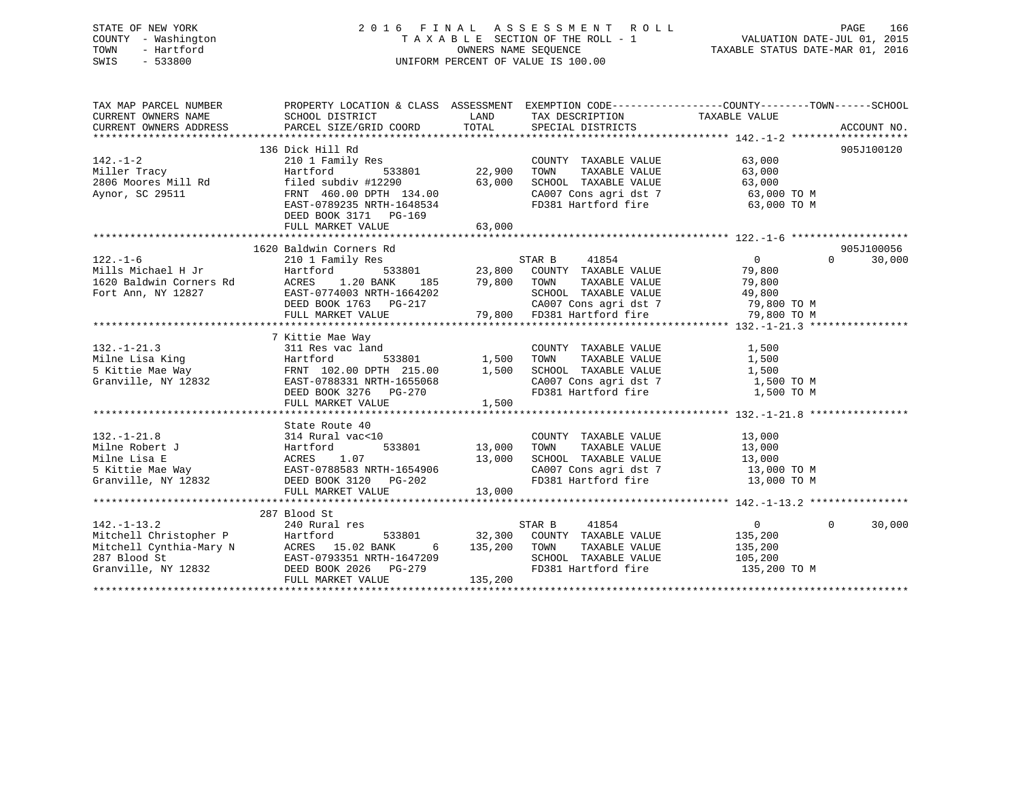# STATE OF NEW YORK 2 0 1 6 F I N A L A S S E S S M E N T R O L L PAGE 166 COUNTY - Washington T A X A B L E SECTION OF THE ROLL - 1 VALUATION DATE-JUL 01, 2015 TOWN - Hartford **TAXABLE STATUS DATE-MAR 01, 2016** OWNERS NAME SEQUENCE TAXABLE STATUS DATE-MAR 01, 2016 SWIS - 533800 UNIFORM PERCENT OF VALUE IS 100.00

| TAX MAP PARCEL NUMBER | PROPERTY LOCATION & CLASS ASSESSMENT EXEMPTION CODE---------------COUNTY-------TOWN-----SCHOOL                                                                                                                                                                                |                                    |                                                                      |                |                    |
|-----------------------|-------------------------------------------------------------------------------------------------------------------------------------------------------------------------------------------------------------------------------------------------------------------------------|------------------------------------|----------------------------------------------------------------------|----------------|--------------------|
|                       |                                                                                                                                                                                                                                                                               |                                    |                                                                      |                |                    |
|                       | 136 Dick Hill Rd                                                                                                                                                                                                                                                              |                                    |                                                                      |                | 905J100120         |
|                       |                                                                                                                                                                                                                                                                               |                                    | COUNTY TAXABLE VALUE                                                 | 63,000         |                    |
|                       |                                                                                                                                                                                                                                                                               |                                    | TOWN TAXABLE VALUE<br>SCHOOL TAXABLE VALUE                           | 63,000         |                    |
|                       |                                                                                                                                                                                                                                                                               |                                    |                                                                      | 63,000         |                    |
|                       |                                                                                                                                                                                                                                                                               |                                    | CA007 Cons agri dst 7 63,000 TO M                                    |                |                    |
|                       | 142.-1-2<br>Miller Tracy<br>Miller Tracy<br>22,900<br>2806 Moores Mill Rd<br>Aynor, SC 29511<br>290<br>Aynor, SC 29511<br>290<br>23,000<br>23,000<br>23,000<br>23,000<br>23,000<br>23,000<br>23,000<br>23,000<br>23,000<br>23,000<br>23,000<br>23,000<br>23,000<br>25,000<br> |                                    | FD381 Hartford fire 63,000 TO M                                      |                |                    |
|                       | FULL MARKET VALUE                                                                                                                                                                                                                                                             | 63,000                             |                                                                      |                |                    |
|                       |                                                                                                                                                                                                                                                                               |                                    |                                                                      |                |                    |
|                       | 1620 Baldwin Corners Rd                                                                                                                                                                                                                                                       |                                    |                                                                      |                | 905J100056         |
|                       |                                                                                                                                                                                                                                                                               |                                    |                                                                      |                |                    |
|                       |                                                                                                                                                                                                                                                                               |                                    |                                                                      |                |                    |
|                       |                                                                                                                                                                                                                                                                               |                                    |                                                                      |                |                    |
|                       |                                                                                                                                                                                                                                                                               |                                    |                                                                      |                |                    |
|                       |                                                                                                                                                                                                                                                                               |                                    |                                                                      |                |                    |
|                       |                                                                                                                                                                                                                                                                               |                                    |                                                                      |                |                    |
|                       |                                                                                                                                                                                                                                                                               |                                    |                                                                      |                |                    |
|                       | 7 Kittie Mae Way                                                                                                                                                                                                                                                              | $\frac{1}{533801}$ $\frac{1}{500}$ |                                                                      |                |                    |
|                       |                                                                                                                                                                                                                                                                               |                                    | COUNTY TAXABLE VALUE<br>TOWN     TAXABLE VALUE                       | 1,500          |                    |
|                       |                                                                                                                                                                                                                                                                               |                                    |                                                                      | 1,500          |                    |
|                       |                                                                                                                                                                                                                                                                               |                                    | SCHOOL TAXABLE VALUE 1,500<br>CA007 Cons agri dst 7 1,500 TO M       |                |                    |
|                       |                                                                                                                                                                                                                                                                               |                                    |                                                                      |                |                    |
|                       | 132.-1-21.3<br>Milne Lisa King<br>5 Kittie Mae Way<br>5 Kittie Mae Way<br>6 Granville, NY 12832<br>7 Granville, NY 12832<br>8 DEED BOOK 3276<br>8 DEED BOOK 3276<br>8 PG-270                                                                                                  |                                    | FD381 Hartford fire 1,500 TO M                                       |                |                    |
|                       | FULL MARKET VALUE                                                                                                                                                                                                                                                             | 1,500                              |                                                                      |                |                    |
|                       |                                                                                                                                                                                                                                                                               |                                    |                                                                      |                |                    |
|                       |                                                                                                                                                                                                                                                                               |                                    |                                                                      |                |                    |
|                       |                                                                                                                                                                                                                                                                               |                                    |                                                                      |                |                    |
|                       |                                                                                                                                                                                                                                                                               |                                    | TOWN                                                                 |                |                    |
|                       | 132.-1-21.8<br>Milne Robert J<br>Milne Robert J<br>Milne Lisa E<br>5 Kittie Mae Way<br>Granville, NY 12832<br>13,000<br>13,000<br>5 Kittie Mae Way<br>Granville, NY 12832<br>TULL MARKET VALUE<br>FULL MARKET VALUE                                                           |                                    | SCHOOL TAXABLE VALUE 13,000                                          |                |                    |
|                       |                                                                                                                                                                                                                                                                               |                                    | CA007 Cons agri dst 7 13,000 TO M<br>FD381 Hartford fire 13,000 TO M |                |                    |
|                       |                                                                                                                                                                                                                                                                               |                                    |                                                                      |                |                    |
|                       |                                                                                                                                                                                                                                                                               |                                    |                                                                      |                |                    |
|                       |                                                                                                                                                                                                                                                                               |                                    |                                                                      |                |                    |
|                       | 287 Blood St                                                                                                                                                                                                                                                                  |                                    |                                                                      |                |                    |
| $142. - 1 - 13.2$     | 240 Rural res                                                                                                                                                                                                                                                                 |                                    | STAR B<br>41854                                                      | $\overline{0}$ | $\Omega$<br>30,000 |
|                       |                                                                                                                                                                                                                                                                               |                                    |                                                                      |                |                    |
|                       |                                                                                                                                                                                                                                                                               |                                    |                                                                      |                |                    |
|                       |                                                                                                                                                                                                                                                                               |                                    |                                                                      |                |                    |
|                       |                                                                                                                                                                                                                                                                               |                                    | FD381 Hartford fire 135,200 TO M                                     |                |                    |
|                       |                                                                                                                                                                                                                                                                               |                                    |                                                                      |                |                    |
|                       |                                                                                                                                                                                                                                                                               |                                    |                                                                      |                |                    |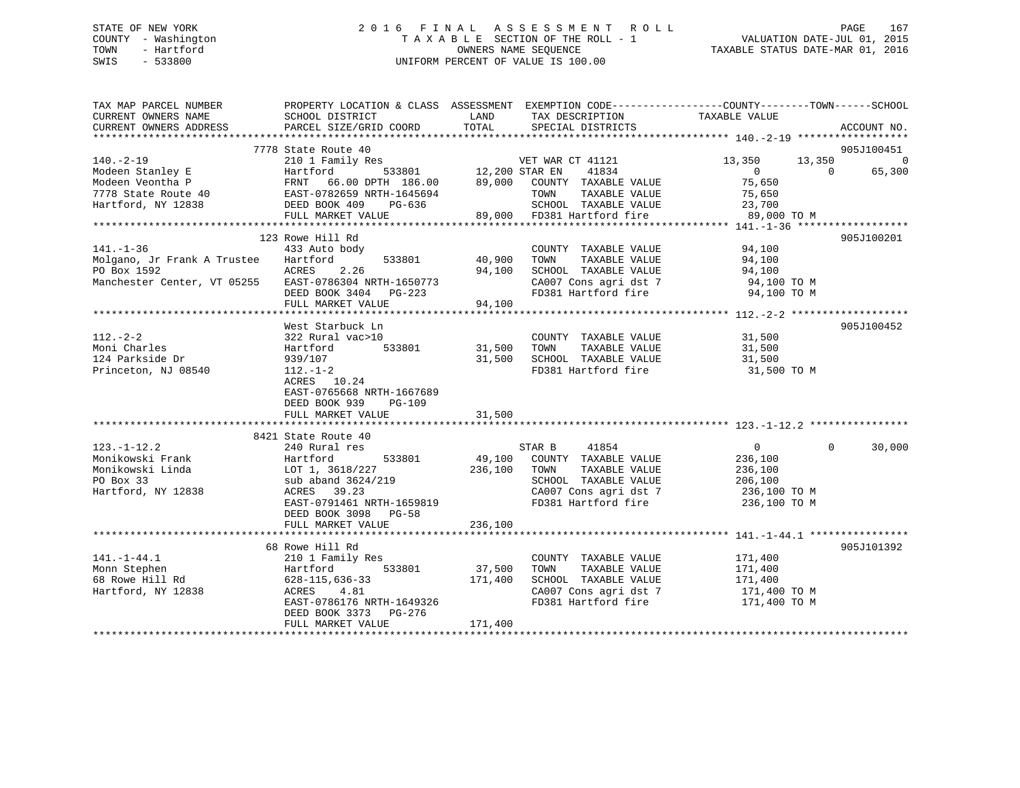# STATE OF NEW YORK 2 0 1 6 F I N A L A S S E S S M E N T R O L L PAGE 167 COUNTY - Washington T A X A B L E SECTION OF THE ROLL - 1 VALUATION DATE-JUL 01, 2015 TOWN - Hartford **TAXABLE STATUS DATE-MAR 01, 2016** OWNERS NAME SEQUENCE TAXABLE STATUS DATE-MAR 01, 2016 SWIS - 533800 UNIFORM PERCENT OF VALUE IS 100.00

| TAX MAP PARCEL NUMBER<br>CURRENT OWNERS NAME<br>CURRENT OWNERS ADDRESS                                                                                                                                                                     | PROPERTY LOCATION & CLASS ASSESSMENT EXEMPTION CODE----------------COUNTY-------TOWN------SCHOOL<br>SCHOOL DISTRICT<br>PARCEL SIZE/GRID COORD | LAND<br>TOTAL                    | TAX DESCRIPTION<br>SPECIAL DISTRICTS                               | TAXABLE VALUE                      | ACCOUNT NO.                                    |
|--------------------------------------------------------------------------------------------------------------------------------------------------------------------------------------------------------------------------------------------|-----------------------------------------------------------------------------------------------------------------------------------------------|----------------------------------|--------------------------------------------------------------------|------------------------------------|------------------------------------------------|
|                                                                                                                                                                                                                                            |                                                                                                                                               |                                  |                                                                    |                                    |                                                |
|                                                                                                                                                                                                                                            | 7778 State Route 40                                                                                                                           |                                  |                                                                    |                                    | 905J100451                                     |
| $140. -2 - 19$                                                                                                                                                                                                                             | 210 1 Family Res                                                                                                                              | VET WAR<br>533801 12,200 STAR EN | VET WAR CT 41121                                                   | 13,350<br>$\overline{0}$           | $\overline{0}$<br>13,350<br>65,300<br>$\Omega$ |
| Modeen Stanley E<br>Modeen Veontha P<br>Modeen Veontha P<br>TRNT 66.00 DPTH 186.00 89,000 COUNTY TAXABLE VALUE<br>TRNT 66.00 DPTH 186.00 89,000 COUNTY TAXABLE VALUE<br>TOWN TAXABLE VALUE<br>Hartford, NY 12838 DEED BOOK 409 PM SCHOOL T |                                                                                                                                               |                                  |                                                                    | 75,650                             |                                                |
|                                                                                                                                                                                                                                            |                                                                                                                                               |                                  | TAXABLE VALUE                                                      | 75,650                             |                                                |
|                                                                                                                                                                                                                                            |                                                                                                                                               |                                  | SCHOOL TAXABLE VALUE                                               | 23,700                             |                                                |
|                                                                                                                                                                                                                                            | FULL MARKET VALUE                                                                                                                             | 89.007                           | SCHOOL   TAXABLE VALUE<br>89,000    FD381 Hartford fire            | 89,000 TO M                        |                                                |
|                                                                                                                                                                                                                                            |                                                                                                                                               |                                  |                                                                    |                                    |                                                |
|                                                                                                                                                                                                                                            | 123 Rowe Hill Rd                                                                                                                              |                                  |                                                                    |                                    | 905J100201                                     |
| $141. - 1 - 36$                                                                                                                                                                                                                            | 433 Auto body                                                                                                                                 |                                  | COUNTY TAXABLE VALUE                                               | 94,100<br>94.100                   |                                                |
| Molgano, Jr Frank A Trustee                                                                                                                                                                                                                | Hartford<br>533801                                                                                                                            | 40,900                           | TAXABLE VALUE<br>TOWN                                              | 94,100                             |                                                |
| PO Box 1592                                                                                                                                                                                                                                | ACRES 2.26                                                                                                                                    | 94,100                           | SCHOOL TAXABLE VALUE                                               | 94,100                             |                                                |
| Manchester Center, VT 05255                                                                                                                                                                                                                | EAST-0786304 NRTH-1650773                                                                                                                     |                                  | CA007 Cons agri dst 7                                              | 94,100 TO M                        |                                                |
|                                                                                                                                                                                                                                            | DEED BOOK 3404 PG-223                                                                                                                         | 94,100                           |                                                                    | FD381 Hartford fire 94,100 TO M    |                                                |
|                                                                                                                                                                                                                                            | FULL MARKET VALUE                                                                                                                             |                                  |                                                                    |                                    |                                                |
|                                                                                                                                                                                                                                            |                                                                                                                                               |                                  |                                                                    |                                    |                                                |
|                                                                                                                                                                                                                                            | West Starbuck Ln                                                                                                                              |                                  |                                                                    |                                    | 905J100452                                     |
| $112. - 2 - 2$                                                                                                                                                                                                                             | 322 Rural vac>10                                                                                                                              |                                  | COUNTY TAXABLE VALUE                                               | 31,500                             |                                                |
| Moni Charles                                                                                                                                                                                                                               | Hartford<br>533801                                                                                                                            | 31,500 TOWN                      | TAXABLE VALUE                                                      | 31,500                             |                                                |
| 124 Parkside Dr                                                                                                                                                                                                                            | 939/107                                                                                                                                       |                                  | 31,500 SCHOOL TAXABLE VALUE                                        | 31,500                             |                                                |
| Princeton, NJ 08540                                                                                                                                                                                                                        | $112.-1-2$<br>ACRES 10.24<br>EAST-0765668 NRTH-1667689<br>DEED BOOK 939<br><b>PG-109</b><br>FULL MARKET VALUE                                 | 31,500                           | FD381 Hartford fire                                                | 31,500 TO M                        |                                                |
|                                                                                                                                                                                                                                            |                                                                                                                                               |                                  |                                                                    |                                    |                                                |
|                                                                                                                                                                                                                                            | 8421 State Route 40                                                                                                                           |                                  |                                                                    |                                    |                                                |
| $123. - 1 - 12.2$                                                                                                                                                                                                                          | 240 Rural res                                                                                                                                 |                                  | STAR B 41854                                                       | $\overline{0}$                     | $\Omega$<br>30,000                             |
| Monikowski Frank                                                                                                                                                                                                                           | 533801<br>Hartford                                                                                                                            |                                  | 49,100 COUNTY TAXABLE VALUE                                        | 236,100                            |                                                |
| Monikowski Linda                                                                                                                                                                                                                           | LOT 1, 3618/227                                                                                                                               | 236,100 TOWN                     | TAXABLE VALUE                                                      | 236,100                            |                                                |
| PO Box 33                                                                                                                                                                                                                                  | sub aband 3624/219                                                                                                                            |                                  | SCHOOL TAXABLE VALUE 206,100<br>CA007 Cons agri dst 7 236,100 TO M |                                    |                                                |
| Hartford, NY 12838                                                                                                                                                                                                                         | ACRES 39.23                                                                                                                                   |                                  |                                                                    |                                    |                                                |
|                                                                                                                                                                                                                                            | EAST-0791461 NRTH-1659819                                                                                                                     |                                  | FD381 Hartford fire                                                | 236,100 TO M                       |                                                |
|                                                                                                                                                                                                                                            | DEED BOOK 3098 PG-58                                                                                                                          |                                  |                                                                    |                                    |                                                |
|                                                                                                                                                                                                                                            | FULL MARKET VALUE                                                                                                                             | 236,100                          |                                                                    |                                    |                                                |
|                                                                                                                                                                                                                                            | 68 Rowe Hill Rd                                                                                                                               |                                  |                                                                    |                                    | 905J101392                                     |
| $141. - 1 - 44.1$                                                                                                                                                                                                                          | 210 1 Family Res                                                                                                                              |                                  | COUNTY TAXABLE VALUE                                               | 171,400                            |                                                |
| Monn Stephen                                                                                                                                                                                                                               | 533801<br>Hartford                                                                                                                            | 37,500                           | TOWN<br>TAXABLE VALUE                                              | 171,400                            |                                                |
| 68 Rowe Hill Rd                                                                                                                                                                                                                            | 628-115,636-33                                                                                                                                | 171,400                          | SCHOOL TAXABLE VALUE                                               | 171,400                            |                                                |
| Hartford, NY 12838                                                                                                                                                                                                                         | ACRES<br>4.81                                                                                                                                 |                                  |                                                                    | CA007 Cons agri dst 7 171,400 TO M |                                                |
|                                                                                                                                                                                                                                            | EAST-0786176 NRTH-1649326                                                                                                                     |                                  | FD381 Hartford fire                                                | 171,400 TO M                       |                                                |
|                                                                                                                                                                                                                                            | DEED BOOK 3373 PG-276                                                                                                                         |                                  |                                                                    |                                    |                                                |
|                                                                                                                                                                                                                                            | FULL MARKET VALUE                                                                                                                             | 171,400                          |                                                                    |                                    |                                                |
|                                                                                                                                                                                                                                            |                                                                                                                                               |                                  |                                                                    |                                    |                                                |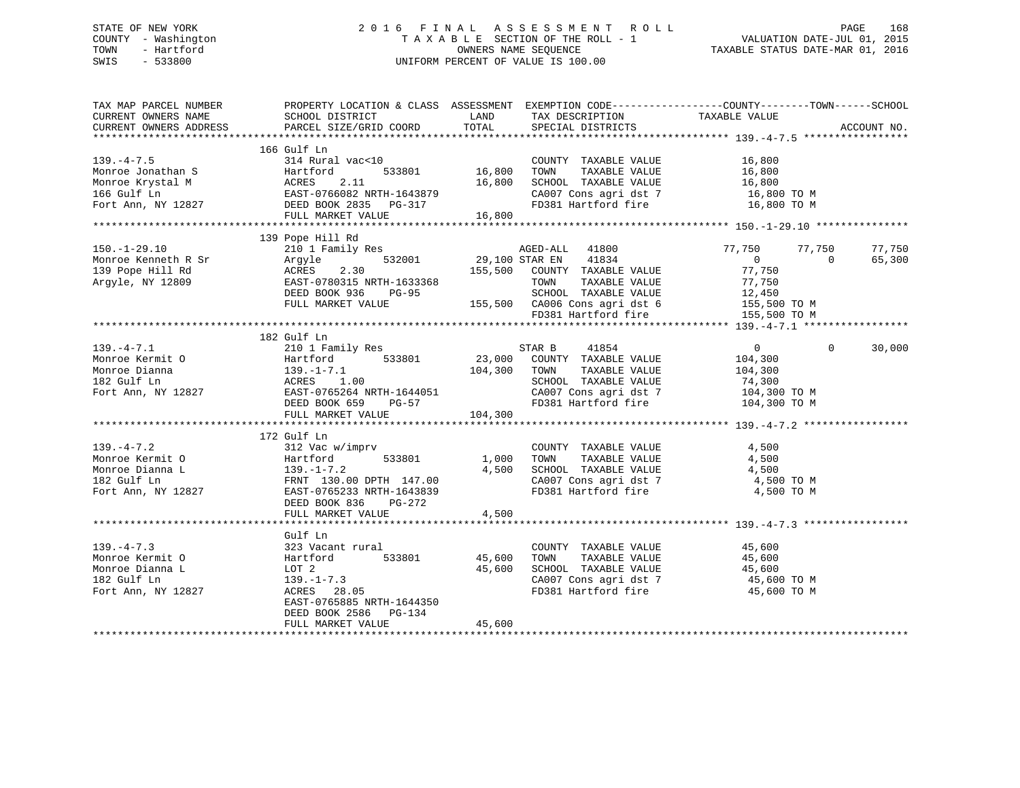# STATE OF NEW YORK 2 0 1 6 F I N A L A S S E S S M E N T R O L L PAGE 168 COUNTY - Washington T A X A B L E SECTION OF THE ROLL - 1 VALUATION DATE-JUL 01, 2015 TOWN - Hartford **TAXABLE STATUS DATE-MAR 01, 2016** OWNERS NAME SEQUENCE TAXABLE STATUS DATE-MAR 01, 2016 SWIS - 533800 UNIFORM PERCENT OF VALUE IS 100.00

| TAX MAP PARCEL NUMBER<br>CURRENT OWNERS NAME<br>CURRENT OWNERS ADDRESS                                                                                                                                                                                                            | PROPERTY LOCATION & CLASS ASSESSMENT<br>SCHOOL DISTRICT<br>PARCEL SIZE/GRID COORD                                                                                        | LAND<br>TOTAL                     | TAX DESCRIPTION<br>SPECIAL DISTRICTS                                                                                                                             | EXEMPTION CODE-----------------COUNTY-------TOWN------SCHOOL<br>TAXABLE VALUE                                 | ACCOUNT NO.                  |
|-----------------------------------------------------------------------------------------------------------------------------------------------------------------------------------------------------------------------------------------------------------------------------------|--------------------------------------------------------------------------------------------------------------------------------------------------------------------------|-----------------------------------|------------------------------------------------------------------------------------------------------------------------------------------------------------------|---------------------------------------------------------------------------------------------------------------|------------------------------|
| $139. -4 - 7.5$<br>Monroe Jonathan S<br>Monroe Krystal M<br>166 Gulf Ln<br>166 Gulf Ln<br>167 Gulf Ln<br>167 Gulf Ln<br>168 Gulf Ln<br>168 Gulf Ln<br>168 Gulf Ln<br>168 Gulf Ln<br>168 Gulf Ln<br>168 Gulf Ln<br>168 Gulf Ln<br>168 Gulf Ln<br>168 Gulf Ln<br>168 Gulf Ln<br>168 | 166 Gulf Ln<br>314 Rural vac<10<br>DEED BOOK 2835 PG-317<br>FULL MARKET VALUE                                                                                            | 533801 16,800<br>16,800<br>16,800 | COUNTY TAXABLE VALUE<br>TOWN<br>TAXABLE VALUE<br>SCHOOL TAXABLE VALUE<br>FD381 Hartford fire                                                                     | 16,800<br>16,800<br>16,800<br>CA007 Cons agri dst 7 16,800 TO M<br>16,800 TO M                                |                              |
| $150. - 1 - 29.10$<br>Monroe Kenneth R Sr<br>139 Pope Hill Rd<br>Argyle, NY 12809                                                                                                                                                                                                 | 139 Pope Hill Rd<br>210 1 Family Res<br>532001<br>Arqyle<br>ACRES<br>2.30<br>EAST-0780315 NRTH-1633368<br>DEED BOOK 936<br>PG-95<br>FULL MARKET VALUE                    | 29,100 STAR EN                    | AGED-ALL 41800<br>41834<br>155,500 COUNTY TAXABLE VALUE<br>TOWN<br>TAXABLE VALUE<br>SCHOOL TAXABLE VALUE<br>155,500 CA006 Cons agri dst 6<br>FD381 Hartford fire | 77,750<br>77,750<br>$\Omega$<br>77,750<br>77,750<br>12,450<br>155,500 TO M<br>155,500 TO M                    | 77,750<br>65,300<br>$\Omega$ |
| $139. -4 - 7.1$<br>Monroe Kermit O<br>Monroe Dianna<br>182 Gulf Ln<br>Fort Ann, NY 12827                                                                                                                                                                                          | 182 Gulf Ln<br>210 1 Family Res<br>Hartford<br>1.00<br>EAST-0765264 NRTH-1644051<br>DEED BOOK 659<br>PG-57<br>FULL MARKET VALUE                                          | 104,300 TOWN<br>104,300           | 41854<br>STAR B<br>533801 23,000 COUNTY TAXABLE VALUE<br>TAXABLE VALUE<br>SCHOOL TAXABLE VALUE 74,300<br>CA007 Cons agri dst 7<br>FD381 Hartford fire            | $\overline{0}$<br>104,300<br>104,300<br>104,300 TO M<br>104,300 TO M                                          | $\Omega$<br>30,000           |
| $139. -4 - 7.2$<br>Monroe Kermit O<br>Monroe Dianna L<br>182 Gulf Ln<br>Fort Ann, NY 12827                                                                                                                                                                                        | 172 Gulf Ln<br>312 Vac w/imprv<br>139.-1-7.2<br>FRNT 130.00 DPTH 147.00<br>EAST-0765233 NRTH-1643839<br>PERD BOOK 836 PG-272                                             | 1,000<br>4,500<br>4,500           | COUNTY TAXABLE VALUE<br>TOWN TAXABLE VALUE<br>SCHOOL TAXABLE VALUE<br>CA007 Cons agri dst 7<br>FD381 Hartford fire                                               | 4,500<br>4,500<br>4,500<br>4,500 TO M<br>4,500 TO M                                                           |                              |
| $139. -4 - 7.3$<br>Monroe Kermit O<br>Monroe Dianna L<br>182 Gulf Ln<br>Fort Ann, NY 12827                                                                                                                                                                                        | Gulf Ln<br>323 Vacant rural<br>Hartford<br>533801<br>LOT 2<br>$139. - 1 - 7.3$<br>ACRES 28.05<br>EAST-0765885 NRTH-1644350<br>DEED BOOK 2586 PG-134<br>FULL MARKET VALUE | 45,600<br>45,600<br>45,600        | COUNTY TAXABLE VALUE 45,600<br>TOWN<br>TAXABLE VALUE                                                                                                             | 45,600<br>SCHOOL TAXABLE VALUE 45,600<br>CA007 Cons agri dst 7 45,600 TO M<br>FD381 Hartford fire 45,600 TO M |                              |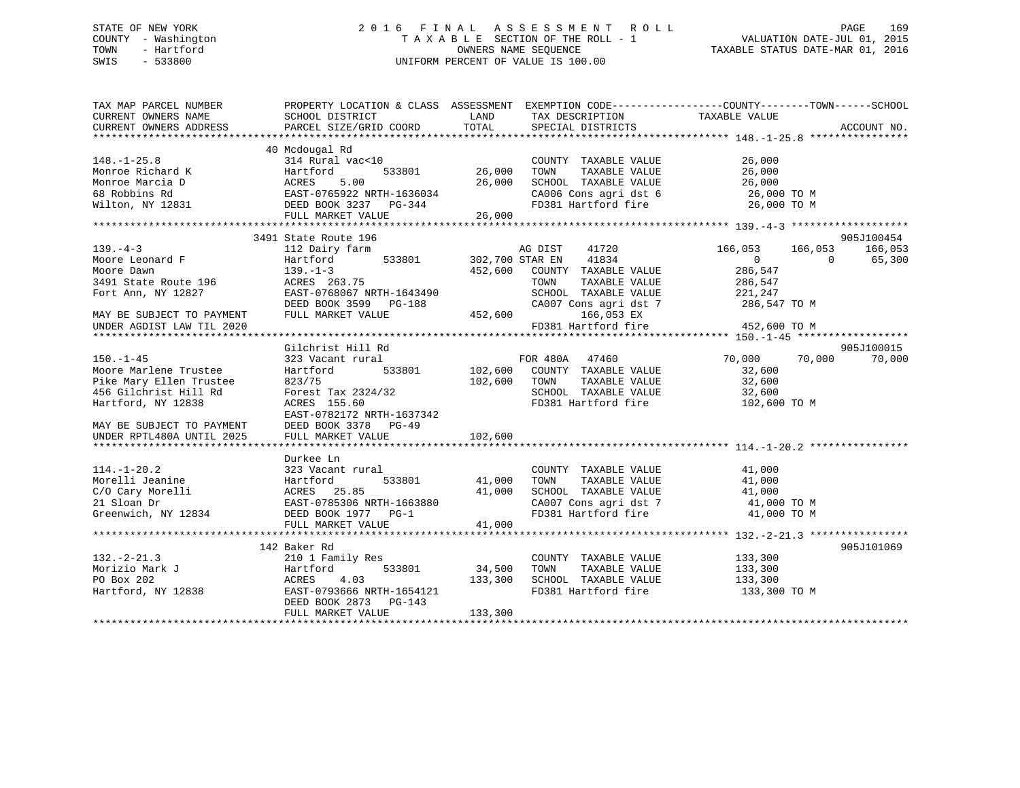# STATE OF NEW YORK 2 0 1 6 F I N A L A S S E S S M E N T R O L L PAGE 169 COUNTY - Washington T A X A B L E SECTION OF THE ROLL - 1 VALUATION DATE-JUL 01, 2015 TOWN - Hartford **TAXABLE STATUS DATE-MAR 01, 2016** OWNERS NAME SEQUENCE TAXABLE STATUS DATE-MAR 01, 2016 SWIS - 533800 UNIFORM PERCENT OF VALUE IS 100.00

| 40 Mcdougal Rd<br>314 Rural vac<10<br>$148. - 1 - 25.8$<br>COUNTY TAXABLE VALUE<br>$\frac{26}{36}$ ,000<br>533801<br>Monroe Richard K<br>Monroe Marcia D<br>Monroe Marcia D<br>68 Robbins Rd<br>Wilton, NY 12831<br>Wilton, NY 12831<br>DEED BOOK 3237 PG-344<br>TOWN<br>TAXABLE VALUE<br>SCHOOL TAXABLE VALUE<br>26,000<br>26,000 TO M<br>200 TO M<br>CA006 Cons agri dst 6<br>FD381 Hartford fire 26,000 TO M<br>3491 State Route 196<br>905J100454<br>166,053<br>$139. -4 - 3$<br>112 Dairy farm<br>AG DIST<br>41720<br>166,053<br>166,053<br>533801 302,700 STAR EN 41834<br>Moore Leonard F<br>Moore Dawn<br>Hartford<br>$\Omega$<br>$\Omega$<br>65,300<br>286,547<br>$139. - 1 - 3$<br>452,600<br>COUNTY TAXABLE VALUE<br>Moore Dawn<br>3491 State Route 196<br>ACRES 263.75<br>TOWN<br>TAXABLE VALUE<br>286,547<br>EAST-0768067 NRTH-1643490<br>SCHOOL TAXABLE VALUE<br>Fort Ann, NY 12827<br>221,247<br>CA007 Cons agri dst 7 286,547 TO M<br>DEED BOOK 3599 PG-188 CA00<br>FULL MARKET VALUE 452,600 PULL MARKET VALUE<br>166,053 EX<br>MAY BE SUBJECT TO PAYMENT<br>FD381 Hartford fire 452,600 TO M<br>UNDER AGDIST LAW TIL 2020<br>905J100015<br>Gilchrist Hill Rd<br>$150. - 1 - 45$<br>323 Vacant rural<br>70,000<br>70,000<br>70,000<br>Moore Marlene Trustee<br>Hartford<br>533801<br>32,600<br>Pike Mary Ellen Trustee<br>823/75<br>TAXABLE VALUE<br>32,600<br>456 Gilchrist Hill Rd<br>Forest Tax 2324/32<br>SCHOOL TAXABLE VALUE<br>FD381 Hartford fire<br>32,600<br>ACRES 155.60<br>102,600 TO M<br>EAST-0782172 NRTH-1637342<br>DEED BOOK 3378 PG-49<br>MAY BE SUBJECT TO PAYMENT<br>102,600<br>UNDER RPTL480A UNTIL 2025<br>FULL MARKET VALUE<br>Durkee Ln<br>$114. - 1 - 20.2$<br>323 Vacant rural<br>COUNTY TAXABLE VALUE 41,000<br>TOWN<br>TAXABLE VALUE<br>41,000<br>SCHOOL TAXABLE VALUE 41,000<br>CA007 Cons agri dst 7 41,000 TO M<br>Greenwich, NY 12834<br>FD381 Hartford fire 41,000 TO M<br>41,000<br>FULL MARKET VALUE<br>905J101069<br>142 Baker Rd<br>$132 - 2 - 21.3$<br>210 1 Family Res<br>133,300<br>COUNTY TAXABLE VALUE<br>Morizio Mark J<br>533801 34,500<br>TOWN<br>TAXABLE VALUE<br>133,300<br>Hartford<br>SCHOOL TAXABLE VALUE 133,300<br>PO Box 202<br>4.03<br>133,300<br>ACRES<br>FD381 Hartford fire<br>Hartford, NY 12838<br>EAST-0793666 NRTH-1654121<br>133,300 TO M<br>DEED BOOK 2873 PG-143<br>FULL MARKET VALUE<br>133,300 | TAX MAP PARCEL NUMBER | PROPERTY LOCATION & CLASS ASSESSMENT EXEMPTION CODE----------------COUNTY-------TOWN------SCHOOL |  |  |
|-----------------------------------------------------------------------------------------------------------------------------------------------------------------------------------------------------------------------------------------------------------------------------------------------------------------------------------------------------------------------------------------------------------------------------------------------------------------------------------------------------------------------------------------------------------------------------------------------------------------------------------------------------------------------------------------------------------------------------------------------------------------------------------------------------------------------------------------------------------------------------------------------------------------------------------------------------------------------------------------------------------------------------------------------------------------------------------------------------------------------------------------------------------------------------------------------------------------------------------------------------------------------------------------------------------------------------------------------------------------------------------------------------------------------------------------------------------------------------------------------------------------------------------------------------------------------------------------------------------------------------------------------------------------------------------------------------------------------------------------------------------------------------------------------------------------------------------------------------------------------------------------------------------------------------------------------------------------------------------------------------------------------------------------------------------------------------------------------------------------------------------------------------------------------------------------------------------------------------------------------------------------------------------------------------------------------------------------------------------------------------------|-----------------------|--------------------------------------------------------------------------------------------------|--|--|
|                                                                                                                                                                                                                                                                                                                                                                                                                                                                                                                                                                                                                                                                                                                                                                                                                                                                                                                                                                                                                                                                                                                                                                                                                                                                                                                                                                                                                                                                                                                                                                                                                                                                                                                                                                                                                                                                                                                                                                                                                                                                                                                                                                                                                                                                                                                                                                                   |                       |                                                                                                  |  |  |
|                                                                                                                                                                                                                                                                                                                                                                                                                                                                                                                                                                                                                                                                                                                                                                                                                                                                                                                                                                                                                                                                                                                                                                                                                                                                                                                                                                                                                                                                                                                                                                                                                                                                                                                                                                                                                                                                                                                                                                                                                                                                                                                                                                                                                                                                                                                                                                                   |                       |                                                                                                  |  |  |
|                                                                                                                                                                                                                                                                                                                                                                                                                                                                                                                                                                                                                                                                                                                                                                                                                                                                                                                                                                                                                                                                                                                                                                                                                                                                                                                                                                                                                                                                                                                                                                                                                                                                                                                                                                                                                                                                                                                                                                                                                                                                                                                                                                                                                                                                                                                                                                                   |                       |                                                                                                  |  |  |
|                                                                                                                                                                                                                                                                                                                                                                                                                                                                                                                                                                                                                                                                                                                                                                                                                                                                                                                                                                                                                                                                                                                                                                                                                                                                                                                                                                                                                                                                                                                                                                                                                                                                                                                                                                                                                                                                                                                                                                                                                                                                                                                                                                                                                                                                                                                                                                                   |                       |                                                                                                  |  |  |
|                                                                                                                                                                                                                                                                                                                                                                                                                                                                                                                                                                                                                                                                                                                                                                                                                                                                                                                                                                                                                                                                                                                                                                                                                                                                                                                                                                                                                                                                                                                                                                                                                                                                                                                                                                                                                                                                                                                                                                                                                                                                                                                                                                                                                                                                                                                                                                                   |                       |                                                                                                  |  |  |
|                                                                                                                                                                                                                                                                                                                                                                                                                                                                                                                                                                                                                                                                                                                                                                                                                                                                                                                                                                                                                                                                                                                                                                                                                                                                                                                                                                                                                                                                                                                                                                                                                                                                                                                                                                                                                                                                                                                                                                                                                                                                                                                                                                                                                                                                                                                                                                                   |                       |                                                                                                  |  |  |
|                                                                                                                                                                                                                                                                                                                                                                                                                                                                                                                                                                                                                                                                                                                                                                                                                                                                                                                                                                                                                                                                                                                                                                                                                                                                                                                                                                                                                                                                                                                                                                                                                                                                                                                                                                                                                                                                                                                                                                                                                                                                                                                                                                                                                                                                                                                                                                                   |                       |                                                                                                  |  |  |
|                                                                                                                                                                                                                                                                                                                                                                                                                                                                                                                                                                                                                                                                                                                                                                                                                                                                                                                                                                                                                                                                                                                                                                                                                                                                                                                                                                                                                                                                                                                                                                                                                                                                                                                                                                                                                                                                                                                                                                                                                                                                                                                                                                                                                                                                                                                                                                                   |                       |                                                                                                  |  |  |
|                                                                                                                                                                                                                                                                                                                                                                                                                                                                                                                                                                                                                                                                                                                                                                                                                                                                                                                                                                                                                                                                                                                                                                                                                                                                                                                                                                                                                                                                                                                                                                                                                                                                                                                                                                                                                                                                                                                                                                                                                                                                                                                                                                                                                                                                                                                                                                                   |                       |                                                                                                  |  |  |
|                                                                                                                                                                                                                                                                                                                                                                                                                                                                                                                                                                                                                                                                                                                                                                                                                                                                                                                                                                                                                                                                                                                                                                                                                                                                                                                                                                                                                                                                                                                                                                                                                                                                                                                                                                                                                                                                                                                                                                                                                                                                                                                                                                                                                                                                                                                                                                                   |                       |                                                                                                  |  |  |
|                                                                                                                                                                                                                                                                                                                                                                                                                                                                                                                                                                                                                                                                                                                                                                                                                                                                                                                                                                                                                                                                                                                                                                                                                                                                                                                                                                                                                                                                                                                                                                                                                                                                                                                                                                                                                                                                                                                                                                                                                                                                                                                                                                                                                                                                                                                                                                                   |                       |                                                                                                  |  |  |
|                                                                                                                                                                                                                                                                                                                                                                                                                                                                                                                                                                                                                                                                                                                                                                                                                                                                                                                                                                                                                                                                                                                                                                                                                                                                                                                                                                                                                                                                                                                                                                                                                                                                                                                                                                                                                                                                                                                                                                                                                                                                                                                                                                                                                                                                                                                                                                                   |                       |                                                                                                  |  |  |
|                                                                                                                                                                                                                                                                                                                                                                                                                                                                                                                                                                                                                                                                                                                                                                                                                                                                                                                                                                                                                                                                                                                                                                                                                                                                                                                                                                                                                                                                                                                                                                                                                                                                                                                                                                                                                                                                                                                                                                                                                                                                                                                                                                                                                                                                                                                                                                                   |                       |                                                                                                  |  |  |
|                                                                                                                                                                                                                                                                                                                                                                                                                                                                                                                                                                                                                                                                                                                                                                                                                                                                                                                                                                                                                                                                                                                                                                                                                                                                                                                                                                                                                                                                                                                                                                                                                                                                                                                                                                                                                                                                                                                                                                                                                                                                                                                                                                                                                                                                                                                                                                                   |                       |                                                                                                  |  |  |
|                                                                                                                                                                                                                                                                                                                                                                                                                                                                                                                                                                                                                                                                                                                                                                                                                                                                                                                                                                                                                                                                                                                                                                                                                                                                                                                                                                                                                                                                                                                                                                                                                                                                                                                                                                                                                                                                                                                                                                                                                                                                                                                                                                                                                                                                                                                                                                                   |                       |                                                                                                  |  |  |
|                                                                                                                                                                                                                                                                                                                                                                                                                                                                                                                                                                                                                                                                                                                                                                                                                                                                                                                                                                                                                                                                                                                                                                                                                                                                                                                                                                                                                                                                                                                                                                                                                                                                                                                                                                                                                                                                                                                                                                                                                                                                                                                                                                                                                                                                                                                                                                                   |                       |                                                                                                  |  |  |
|                                                                                                                                                                                                                                                                                                                                                                                                                                                                                                                                                                                                                                                                                                                                                                                                                                                                                                                                                                                                                                                                                                                                                                                                                                                                                                                                                                                                                                                                                                                                                                                                                                                                                                                                                                                                                                                                                                                                                                                                                                                                                                                                                                                                                                                                                                                                                                                   |                       |                                                                                                  |  |  |
|                                                                                                                                                                                                                                                                                                                                                                                                                                                                                                                                                                                                                                                                                                                                                                                                                                                                                                                                                                                                                                                                                                                                                                                                                                                                                                                                                                                                                                                                                                                                                                                                                                                                                                                                                                                                                                                                                                                                                                                                                                                                                                                                                                                                                                                                                                                                                                                   |                       |                                                                                                  |  |  |
|                                                                                                                                                                                                                                                                                                                                                                                                                                                                                                                                                                                                                                                                                                                                                                                                                                                                                                                                                                                                                                                                                                                                                                                                                                                                                                                                                                                                                                                                                                                                                                                                                                                                                                                                                                                                                                                                                                                                                                                                                                                                                                                                                                                                                                                                                                                                                                                   |                       |                                                                                                  |  |  |
|                                                                                                                                                                                                                                                                                                                                                                                                                                                                                                                                                                                                                                                                                                                                                                                                                                                                                                                                                                                                                                                                                                                                                                                                                                                                                                                                                                                                                                                                                                                                                                                                                                                                                                                                                                                                                                                                                                                                                                                                                                                                                                                                                                                                                                                                                                                                                                                   |                       |                                                                                                  |  |  |
|                                                                                                                                                                                                                                                                                                                                                                                                                                                                                                                                                                                                                                                                                                                                                                                                                                                                                                                                                                                                                                                                                                                                                                                                                                                                                                                                                                                                                                                                                                                                                                                                                                                                                                                                                                                                                                                                                                                                                                                                                                                                                                                                                                                                                                                                                                                                                                                   |                       |                                                                                                  |  |  |
|                                                                                                                                                                                                                                                                                                                                                                                                                                                                                                                                                                                                                                                                                                                                                                                                                                                                                                                                                                                                                                                                                                                                                                                                                                                                                                                                                                                                                                                                                                                                                                                                                                                                                                                                                                                                                                                                                                                                                                                                                                                                                                                                                                                                                                                                                                                                                                                   |                       |                                                                                                  |  |  |
|                                                                                                                                                                                                                                                                                                                                                                                                                                                                                                                                                                                                                                                                                                                                                                                                                                                                                                                                                                                                                                                                                                                                                                                                                                                                                                                                                                                                                                                                                                                                                                                                                                                                                                                                                                                                                                                                                                                                                                                                                                                                                                                                                                                                                                                                                                                                                                                   |                       |                                                                                                  |  |  |
|                                                                                                                                                                                                                                                                                                                                                                                                                                                                                                                                                                                                                                                                                                                                                                                                                                                                                                                                                                                                                                                                                                                                                                                                                                                                                                                                                                                                                                                                                                                                                                                                                                                                                                                                                                                                                                                                                                                                                                                                                                                                                                                                                                                                                                                                                                                                                                                   |                       |                                                                                                  |  |  |
|                                                                                                                                                                                                                                                                                                                                                                                                                                                                                                                                                                                                                                                                                                                                                                                                                                                                                                                                                                                                                                                                                                                                                                                                                                                                                                                                                                                                                                                                                                                                                                                                                                                                                                                                                                                                                                                                                                                                                                                                                                                                                                                                                                                                                                                                                                                                                                                   |                       |                                                                                                  |  |  |
|                                                                                                                                                                                                                                                                                                                                                                                                                                                                                                                                                                                                                                                                                                                                                                                                                                                                                                                                                                                                                                                                                                                                                                                                                                                                                                                                                                                                                                                                                                                                                                                                                                                                                                                                                                                                                                                                                                                                                                                                                                                                                                                                                                                                                                                                                                                                                                                   |                       |                                                                                                  |  |  |
|                                                                                                                                                                                                                                                                                                                                                                                                                                                                                                                                                                                                                                                                                                                                                                                                                                                                                                                                                                                                                                                                                                                                                                                                                                                                                                                                                                                                                                                                                                                                                                                                                                                                                                                                                                                                                                                                                                                                                                                                                                                                                                                                                                                                                                                                                                                                                                                   |                       |                                                                                                  |  |  |
|                                                                                                                                                                                                                                                                                                                                                                                                                                                                                                                                                                                                                                                                                                                                                                                                                                                                                                                                                                                                                                                                                                                                                                                                                                                                                                                                                                                                                                                                                                                                                                                                                                                                                                                                                                                                                                                                                                                                                                                                                                                                                                                                                                                                                                                                                                                                                                                   | Hartford, NY 12838    |                                                                                                  |  |  |
|                                                                                                                                                                                                                                                                                                                                                                                                                                                                                                                                                                                                                                                                                                                                                                                                                                                                                                                                                                                                                                                                                                                                                                                                                                                                                                                                                                                                                                                                                                                                                                                                                                                                                                                                                                                                                                                                                                                                                                                                                                                                                                                                                                                                                                                                                                                                                                                   |                       |                                                                                                  |  |  |
|                                                                                                                                                                                                                                                                                                                                                                                                                                                                                                                                                                                                                                                                                                                                                                                                                                                                                                                                                                                                                                                                                                                                                                                                                                                                                                                                                                                                                                                                                                                                                                                                                                                                                                                                                                                                                                                                                                                                                                                                                                                                                                                                                                                                                                                                                                                                                                                   |                       |                                                                                                  |  |  |
|                                                                                                                                                                                                                                                                                                                                                                                                                                                                                                                                                                                                                                                                                                                                                                                                                                                                                                                                                                                                                                                                                                                                                                                                                                                                                                                                                                                                                                                                                                                                                                                                                                                                                                                                                                                                                                                                                                                                                                                                                                                                                                                                                                                                                                                                                                                                                                                   |                       |                                                                                                  |  |  |
|                                                                                                                                                                                                                                                                                                                                                                                                                                                                                                                                                                                                                                                                                                                                                                                                                                                                                                                                                                                                                                                                                                                                                                                                                                                                                                                                                                                                                                                                                                                                                                                                                                                                                                                                                                                                                                                                                                                                                                                                                                                                                                                                                                                                                                                                                                                                                                                   |                       |                                                                                                  |  |  |
|                                                                                                                                                                                                                                                                                                                                                                                                                                                                                                                                                                                                                                                                                                                                                                                                                                                                                                                                                                                                                                                                                                                                                                                                                                                                                                                                                                                                                                                                                                                                                                                                                                                                                                                                                                                                                                                                                                                                                                                                                                                                                                                                                                                                                                                                                                                                                                                   |                       |                                                                                                  |  |  |
|                                                                                                                                                                                                                                                                                                                                                                                                                                                                                                                                                                                                                                                                                                                                                                                                                                                                                                                                                                                                                                                                                                                                                                                                                                                                                                                                                                                                                                                                                                                                                                                                                                                                                                                                                                                                                                                                                                                                                                                                                                                                                                                                                                                                                                                                                                                                                                                   |                       |                                                                                                  |  |  |
|                                                                                                                                                                                                                                                                                                                                                                                                                                                                                                                                                                                                                                                                                                                                                                                                                                                                                                                                                                                                                                                                                                                                                                                                                                                                                                                                                                                                                                                                                                                                                                                                                                                                                                                                                                                                                                                                                                                                                                                                                                                                                                                                                                                                                                                                                                                                                                                   |                       |                                                                                                  |  |  |
|                                                                                                                                                                                                                                                                                                                                                                                                                                                                                                                                                                                                                                                                                                                                                                                                                                                                                                                                                                                                                                                                                                                                                                                                                                                                                                                                                                                                                                                                                                                                                                                                                                                                                                                                                                                                                                                                                                                                                                                                                                                                                                                                                                                                                                                                                                                                                                                   |                       |                                                                                                  |  |  |
|                                                                                                                                                                                                                                                                                                                                                                                                                                                                                                                                                                                                                                                                                                                                                                                                                                                                                                                                                                                                                                                                                                                                                                                                                                                                                                                                                                                                                                                                                                                                                                                                                                                                                                                                                                                                                                                                                                                                                                                                                                                                                                                                                                                                                                                                                                                                                                                   |                       |                                                                                                  |  |  |
|                                                                                                                                                                                                                                                                                                                                                                                                                                                                                                                                                                                                                                                                                                                                                                                                                                                                                                                                                                                                                                                                                                                                                                                                                                                                                                                                                                                                                                                                                                                                                                                                                                                                                                                                                                                                                                                                                                                                                                                                                                                                                                                                                                                                                                                                                                                                                                                   |                       |                                                                                                  |  |  |
|                                                                                                                                                                                                                                                                                                                                                                                                                                                                                                                                                                                                                                                                                                                                                                                                                                                                                                                                                                                                                                                                                                                                                                                                                                                                                                                                                                                                                                                                                                                                                                                                                                                                                                                                                                                                                                                                                                                                                                                                                                                                                                                                                                                                                                                                                                                                                                                   |                       |                                                                                                  |  |  |
|                                                                                                                                                                                                                                                                                                                                                                                                                                                                                                                                                                                                                                                                                                                                                                                                                                                                                                                                                                                                                                                                                                                                                                                                                                                                                                                                                                                                                                                                                                                                                                                                                                                                                                                                                                                                                                                                                                                                                                                                                                                                                                                                                                                                                                                                                                                                                                                   |                       |                                                                                                  |  |  |
|                                                                                                                                                                                                                                                                                                                                                                                                                                                                                                                                                                                                                                                                                                                                                                                                                                                                                                                                                                                                                                                                                                                                                                                                                                                                                                                                                                                                                                                                                                                                                                                                                                                                                                                                                                                                                                                                                                                                                                                                                                                                                                                                                                                                                                                                                                                                                                                   |                       |                                                                                                  |  |  |
|                                                                                                                                                                                                                                                                                                                                                                                                                                                                                                                                                                                                                                                                                                                                                                                                                                                                                                                                                                                                                                                                                                                                                                                                                                                                                                                                                                                                                                                                                                                                                                                                                                                                                                                                                                                                                                                                                                                                                                                                                                                                                                                                                                                                                                                                                                                                                                                   |                       |                                                                                                  |  |  |
|                                                                                                                                                                                                                                                                                                                                                                                                                                                                                                                                                                                                                                                                                                                                                                                                                                                                                                                                                                                                                                                                                                                                                                                                                                                                                                                                                                                                                                                                                                                                                                                                                                                                                                                                                                                                                                                                                                                                                                                                                                                                                                                                                                                                                                                                                                                                                                                   |                       |                                                                                                  |  |  |
|                                                                                                                                                                                                                                                                                                                                                                                                                                                                                                                                                                                                                                                                                                                                                                                                                                                                                                                                                                                                                                                                                                                                                                                                                                                                                                                                                                                                                                                                                                                                                                                                                                                                                                                                                                                                                                                                                                                                                                                                                                                                                                                                                                                                                                                                                                                                                                                   |                       |                                                                                                  |  |  |
|                                                                                                                                                                                                                                                                                                                                                                                                                                                                                                                                                                                                                                                                                                                                                                                                                                                                                                                                                                                                                                                                                                                                                                                                                                                                                                                                                                                                                                                                                                                                                                                                                                                                                                                                                                                                                                                                                                                                                                                                                                                                                                                                                                                                                                                                                                                                                                                   |                       |                                                                                                  |  |  |
|                                                                                                                                                                                                                                                                                                                                                                                                                                                                                                                                                                                                                                                                                                                                                                                                                                                                                                                                                                                                                                                                                                                                                                                                                                                                                                                                                                                                                                                                                                                                                                                                                                                                                                                                                                                                                                                                                                                                                                                                                                                                                                                                                                                                                                                                                                                                                                                   |                       |                                                                                                  |  |  |
|                                                                                                                                                                                                                                                                                                                                                                                                                                                                                                                                                                                                                                                                                                                                                                                                                                                                                                                                                                                                                                                                                                                                                                                                                                                                                                                                                                                                                                                                                                                                                                                                                                                                                                                                                                                                                                                                                                                                                                                                                                                                                                                                                                                                                                                                                                                                                                                   |                       |                                                                                                  |  |  |
|                                                                                                                                                                                                                                                                                                                                                                                                                                                                                                                                                                                                                                                                                                                                                                                                                                                                                                                                                                                                                                                                                                                                                                                                                                                                                                                                                                                                                                                                                                                                                                                                                                                                                                                                                                                                                                                                                                                                                                                                                                                                                                                                                                                                                                                                                                                                                                                   |                       |                                                                                                  |  |  |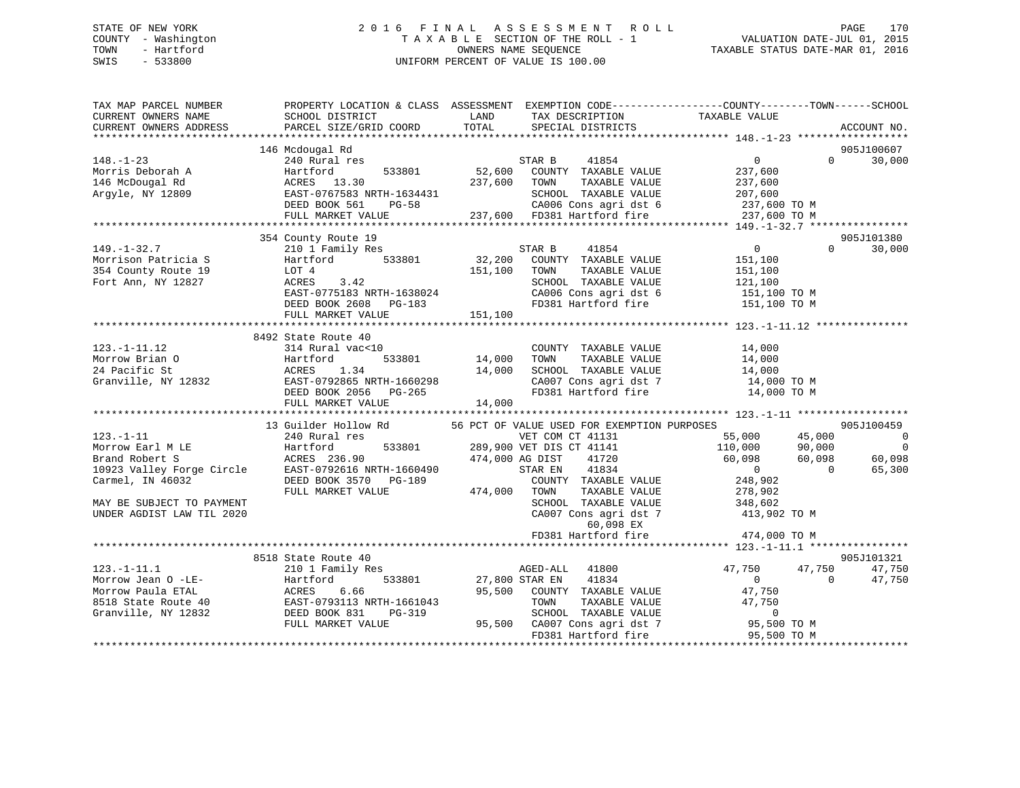# STATE OF NEW YORK 2 0 1 6 F I N A L A S S E S S M E N T R O L L PAGE 170 COUNTY - Washington T A X A B L E SECTION OF THE ROLL - 1 VALUATION DATE-JUL 01, 2015 TOWN - Hartford **TAXABLE STATUS DATE-MAR 01, 2016** OWNERS NAME SEQUENCE TAXABLE STATUS DATE-MAR 01, 2016 SWIS - 533800 UNIFORM PERCENT OF VALUE IS 100.00

| TAX MAP PARCEL NUMBER<br>CURRENT OWNERS NAME<br>CURRENT OWNERS ADDRESS                                     | PROPERTY LOCATION & CLASS ASSESSMENT EXEMPTION CODE----------------COUNTY-------TOWN------SCHOOL<br>SCHOOL DISTRICT<br>PARCEL SIZE/GRID COORD               | LAND<br>TOTAL              | TAX DESCRIPTION<br>SPECIAL DISTRICTS                                                                                                                                                                                       | TAXABLE VALUE                                                                                                  | ACCOUNT NO.                                                 |                                            |
|------------------------------------------------------------------------------------------------------------|-------------------------------------------------------------------------------------------------------------------------------------------------------------|----------------------------|----------------------------------------------------------------------------------------------------------------------------------------------------------------------------------------------------------------------------|----------------------------------------------------------------------------------------------------------------|-------------------------------------------------------------|--------------------------------------------|
|                                                                                                            |                                                                                                                                                             |                            |                                                                                                                                                                                                                            |                                                                                                                |                                                             |                                            |
| $148. - 1 - 23$<br>Morris Deborah A<br>146 McDougal Rd<br>Argyle, NY 12809                                 | 146 Mcdougal Rd<br>240 Rural res<br>533801<br>Hartford<br>ACRES 13.30<br>EAST-0767583 NRTH-1634431                                                          | 237,600 TOWN               | STAR B<br>41854<br>52,600 COUNTY TAXABLE VALUE<br>TAXABLE VALUE<br>SCHOOL TAXABLE VALUE                                                                                                                                    | $\overline{0}$<br>237,600<br>237,600<br>207,600                                                                | 905J100607<br>$\Omega$<br>30,000                            |                                            |
|                                                                                                            | DEED BOOK 561<br>PG-58                                                                                                                                      |                            | CA006 Cons agri dst 6                                                                                                                                                                                                      | 237,600 TO M                                                                                                   |                                                             |                                            |
|                                                                                                            | FULL MARKET VALUE                                                                                                                                           |                            | 237,600 FD381 Hartford fire                                                                                                                                                                                                | 237,600 TO M                                                                                                   |                                                             |                                            |
|                                                                                                            | 354 County Route 19                                                                                                                                         |                            |                                                                                                                                                                                                                            |                                                                                                                | 905J101380                                                  |                                            |
| $149. - 1 - 32.7$<br>Morrison Patricia S<br>354 County Route 19<br>Fort Ann, NY 12827                      | 210 1 Family Res<br>Hartford 533801<br>LOT 4<br>ACRES 3.42<br>EAST-0775183 NRTH-1638024<br>DEED BOOK 2608 PG-183                                            | 151,100                    | 41854<br>STAR B<br>32,200 COUNTY TAXABLE VALUE<br>TAXABLE VALUE<br>TOWN<br>SCHOOL TAXABLE VALUE<br>CA006 Cons agri dst 6<br>FD381 Hartford fire                                                                            | $\overline{0}$<br>151,100<br>151,100<br>121,100<br>151,100 TO M<br>151,100 TO M                                | $\Omega$<br>30,000                                          |                                            |
|                                                                                                            | FULL MARKET VALUE                                                                                                                                           | 151,100                    |                                                                                                                                                                                                                            |                                                                                                                |                                                             |                                            |
| $123. - 1 - 11.12$<br>Morrow Brian O<br>24 Pacific St<br>Granville, NY 12832                               | 8492 State Route 40<br>314 Rural vac<10<br>533801<br>Hartford<br>ACRES<br>1.34<br>EAST-0792865 NRTH-1660298<br>DEED BOOK 2056 PG-265<br>FULL MARKET VALUE   | 14,000<br>14,000<br>14,000 | COUNTY TAXABLE VALUE<br>TAXABLE VALUE<br>TOWN<br>SCHOOL TAXABLE VALUE<br>FD381 Hartford fire                                                                                                                               | 14,000<br>14,000<br>SCHOOL TAXABLE VALUE 14,000<br>CA007 Cons agri dst 7 14,000 TO M<br>14,000 TO M            |                                                             |                                            |
|                                                                                                            | 13 Guilder Hollow Rd                                                                                                                                        |                            | 56 PCT OF VALUE USED FOR EXEMPTION PURPOSES                                                                                                                                                                                |                                                                                                                | 905J100459                                                  |                                            |
| $123. - 1 - 11$<br>Carmel, IN 46032<br>MAY BE SUBJECT TO PAYMENT<br>UNDER AGDIST LAW TIL 2020              | 240 Rural res<br>DEED BOOK 3570 PG-189<br>FULL MARKET VALUE                                                                                                 | 474,000 TOWN               | VET COM CT 41131<br>289,900 VET DIS CT 41141<br>474,000 AG DIST<br>41720<br>41834<br>STAR EN<br>COUNTY TAXABLE VALUE<br>TAXABLE VALUE<br>SCHOOL TAXABLE VALUE<br>CA007 Cons agri dst 7<br>60,098 EX<br>FD381 Hartford fire | 55,000<br>110,000<br>60,098<br>$\overline{0}$<br>248,902<br>278,902<br>348,602<br>413,902 TO M<br>474,000 TO M | 45,000<br>90,000<br>60,098<br>60,098<br>$\bigcap$<br>65,300 | $\overline{\phantom{0}}$<br>$\overline{0}$ |
|                                                                                                            |                                                                                                                                                             |                            |                                                                                                                                                                                                                            |                                                                                                                |                                                             |                                            |
| $123. - 1 - 11.1$<br>Morrow Jean O -LE-<br>Morrow Paula ETAL<br>8518 State Route 40<br>Granville, NY 12832 | 8518 State Route 40<br>210 1 Family Res<br>533801<br>Hartford<br>6.66<br>ACRES<br>EAST-0793113 NRTH-1661043<br>DEED BOOK 831<br>PG-319<br>FULL MARKET VALUE |                            | AGED-ALL<br>41800<br>27,800 STAR EN<br>41834<br>95,500 COUNTY TAXABLE VALUE<br>TOWN<br>TAXABLE VALUE<br>SCHOOL TAXABLE VALUE<br>95,500 CA007 Cons agri dst 7<br>FD381 Hartford fire                                        | 47,750<br>$\overline{0}$<br>47,750<br>47,750<br>$\overline{0}$<br>95,500 TO M<br>95,500 TO M                   | 905J101321<br>47,750<br>47,750<br>$\Omega$<br>47,750        |                                            |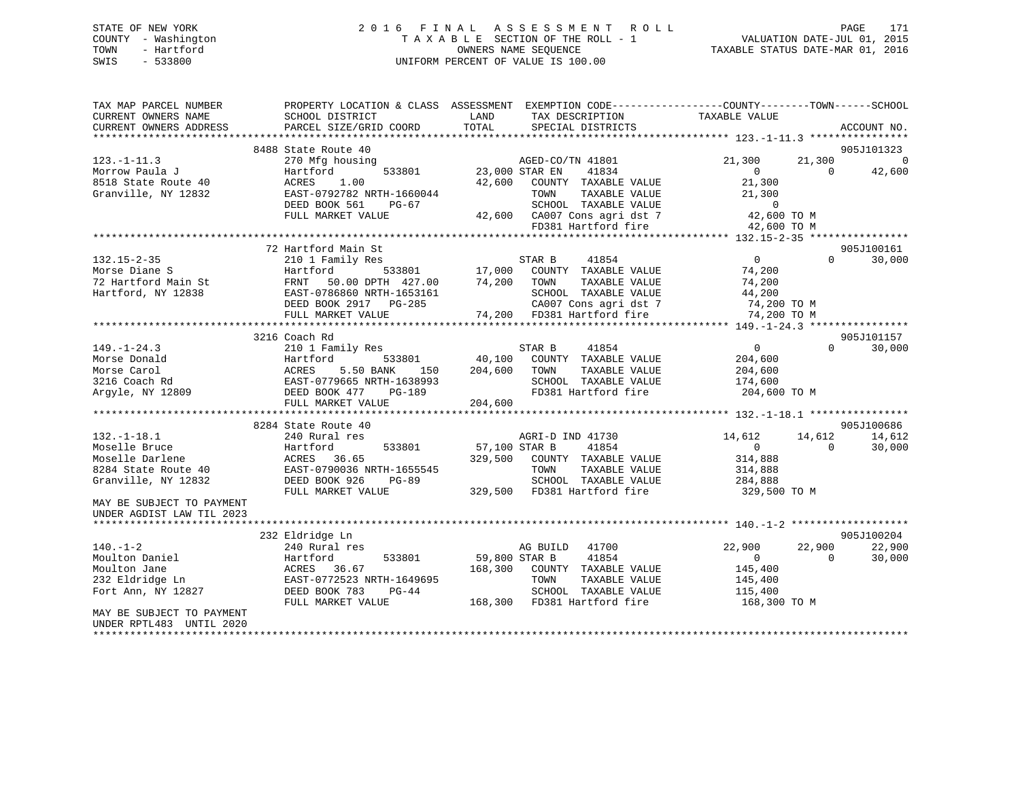# STATE OF NEW YORK 2 0 1 6 F I N A L A S S E S S M E N T R O L L PAGE 171 COUNTY - Washington T A X A B L E SECTION OF THE ROLL - 1 VALUATION DATE-JUL 01, 2015 TOWN - Hartford OWNERS NAME SEQUENCE TAXABLE STATUS DATE-MAR 01, 2016 SWIS - 533800 UNIFORM PERCENT OF VALUE IS 100.00

| TAX MAP PARCEL NUMBER<br>CURRENT OWNERS NAME<br>CURRENT OWNERS ADDRESS | PROPERTY LOCATION & CLASS ASSESSMENT<br>SCHOOL DISTRICT<br>PARCEL SIZE/GRID COORD | LAND<br>TAX DESCRIPTION<br>TOTAL<br>SPECIAL DISTRICTS                                                                           | EXEMPTION CODE----------------COUNTY-------TOWN------SCHOOL<br>TAXABLE VALUE<br>ACCOUNT NO. |
|------------------------------------------------------------------------|-----------------------------------------------------------------------------------|---------------------------------------------------------------------------------------------------------------------------------|---------------------------------------------------------------------------------------------|
|                                                                        |                                                                                   |                                                                                                                                 |                                                                                             |
| $123. - 1 - 11.3$                                                      | 8488 State Route 40<br>270 Mfg housing                                            | AGED-CO/TN 41801                                                                                                                | 905J101323<br>$\overline{0}$<br>21,300<br>21,300                                            |
| Morrow Paula J<br>8518 State Route 40<br>Granville, NY 12832           | Hartford<br>533801<br>ACRES<br>1.00<br>EAST-0792782 NRTH-1660044                  | 41834<br>23,000 STAR EN<br>42,600 COUNTY TAXABLE VALUE<br>TAXABLE VALUE<br>TOWN                                                 | $\overline{0}$<br>$\Omega$<br>42,600<br>21,300<br>21,300                                    |
|                                                                        | DEED BOOK 561<br>PG-67                                                            | SCHOOL TAXABLE VALUE                                                                                                            | $\overline{0}$                                                                              |
|                                                                        | FULL MARKET VALUE                                                                 | 42,600 CA007 Cons agri dst 7                                                                                                    | 42,600 TO M                                                                                 |
|                                                                        |                                                                                   | FD381 Hartford fire                                                                                                             | 42,600 TO M                                                                                 |
|                                                                        |                                                                                   |                                                                                                                                 |                                                                                             |
|                                                                        | 72 Hartford Main St                                                               |                                                                                                                                 | 905J100161                                                                                  |
| $132.15 - 2 - 35$                                                      | 210 1 Family Res                                                                  | STAR B<br>41854                                                                                                                 | $\overline{0}$<br>$\Omega$<br>30,000                                                        |
| Morse Diane S                                                          | Hartford                                                                          | ${\tt 533801} {\qquad \qquad 17,000} {\qquad \qquad } {\tt COUNTY} {\qquad \qquad } {\tt TAXABLE} {\qquad \qquad } {\tt VALUE}$ | 74,200                                                                                      |
| 72 Hartford Main St                                                    | FRNT 50.00 DPTH 427.00                                                            | 74,200 TOWN<br>TAXABLE VALUE                                                                                                    | 74,200                                                                                      |
| Hartford, NY 12838                                                     | EAST-0786860 NRTH-1653161                                                         | SCHOOL TAXABLE VALUE                                                                                                            | 44,200                                                                                      |
|                                                                        | DEED BOOK 2917 PG-285                                                             | CA007 Cons agri dst 7                                                                                                           | 74,200 TO M                                                                                 |
|                                                                        | FULL MARKET VALUE                                                                 | 74,200 FD381 Hartford fire                                                                                                      | 74,200 TO M                                                                                 |
|                                                                        |                                                                                   |                                                                                                                                 |                                                                                             |
|                                                                        | 3216 Coach Rd                                                                     |                                                                                                                                 | 905J101157                                                                                  |
| $149. - 1 - 24.3$                                                      | 210 1 Family Res                                                                  | STAR B<br>41854                                                                                                                 | $\Omega$<br>30,000<br>$\overline{0}$                                                        |
| Morse Donald                                                           | Hartford<br>533801                                                                | 40,100<br>COUNTY TAXABLE VALUE                                                                                                  | 204,600                                                                                     |
| Morse Carol                                                            | 5.50 BANK<br>ACRES<br>150                                                         | 204,600<br>TAXABLE VALUE<br>TOWN                                                                                                | 204,600                                                                                     |
| 3216 Coach Rd                                                          | EAST-0779665 NRTH-1638993                                                         | SCHOOL TAXABLE VALUE                                                                                                            | 174,600                                                                                     |
| Argyle, NY 12809                                                       | DEED BOOK 477<br>PG-189<br>FULL MARKET VALUE                                      | FD381 Hartford fire<br>204,600                                                                                                  | 204,600 TO M                                                                                |
|                                                                        |                                                                                   |                                                                                                                                 |                                                                                             |
|                                                                        | 8284 State Route 40                                                               |                                                                                                                                 | 905J100686                                                                                  |
| $132. - 1 - 18.1$                                                      | 240 Rural res                                                                     | AGRI-D IND 41730                                                                                                                | 14,612<br>14,612<br>14,612                                                                  |
| Moselle Bruce                                                          | Hartford<br>533801                                                                | 57,100 STAR B<br>41854                                                                                                          | $\mathbf{0}$<br>30,000<br>$\Omega$                                                          |
| Moselle Darlene                                                        | 36.65<br>ACRES                                                                    | 329,500<br>COUNTY TAXABLE VALUE                                                                                                 | 314,888                                                                                     |
| 8284 State Route 40                                                    | EAST-0790036 NRTH-1655545                                                         | TOWN<br>TAXABLE VALUE                                                                                                           | 314,888                                                                                     |
| Granville, NY 12832                                                    | DEED BOOK 926<br>PG-89                                                            | SCHOOL TAXABLE VALUE                                                                                                            | 284,888                                                                                     |
|                                                                        | FULL MARKET VALUE                                                                 | 329,500 FD381 Hartford fire                                                                                                     | 329,500 TO M                                                                                |
| MAY BE SUBJECT TO PAYMENT                                              |                                                                                   |                                                                                                                                 |                                                                                             |
| UNDER AGDIST LAW TIL 2023                                              |                                                                                   |                                                                                                                                 |                                                                                             |
|                                                                        |                                                                                   |                                                                                                                                 |                                                                                             |
| $140. - 1 - 2$                                                         | 232 Eldridge Ln                                                                   | 41700                                                                                                                           | 905J100204                                                                                  |
|                                                                        | 240 Rural res                                                                     | AG BUILD                                                                                                                        | 22,900<br>22,900<br>22,900                                                                  |
| Moulton Daniel                                                         | 533801<br>Hartford                                                                | 59,800 STAR B<br>41854                                                                                                          | $\overline{0}$<br>$\Omega$<br>30,000                                                        |
| Moulton Jane                                                           | ACRES<br>36.67                                                                    | 168,300<br>COUNTY TAXABLE VALUE                                                                                                 | 145,400                                                                                     |
| 232 Eldridge Ln                                                        | EAST-0772523 NRTH-1649695                                                         | TAXABLE VALUE<br>TOWN                                                                                                           | 145,400                                                                                     |
| Fort Ann, NY 12827                                                     | DEED BOOK 783<br>$PG-44$                                                          | SCHOOL TAXABLE VALUE<br>168,300 FD381 Hartford fire                                                                             | 115,400                                                                                     |
| MAY BE SUBJECT TO PAYMENT                                              | FULL MARKET VALUE                                                                 |                                                                                                                                 | 168,300 TO M                                                                                |
| UNDER RPTL483 UNTIL 2020                                               |                                                                                   |                                                                                                                                 |                                                                                             |
|                                                                        |                                                                                   |                                                                                                                                 |                                                                                             |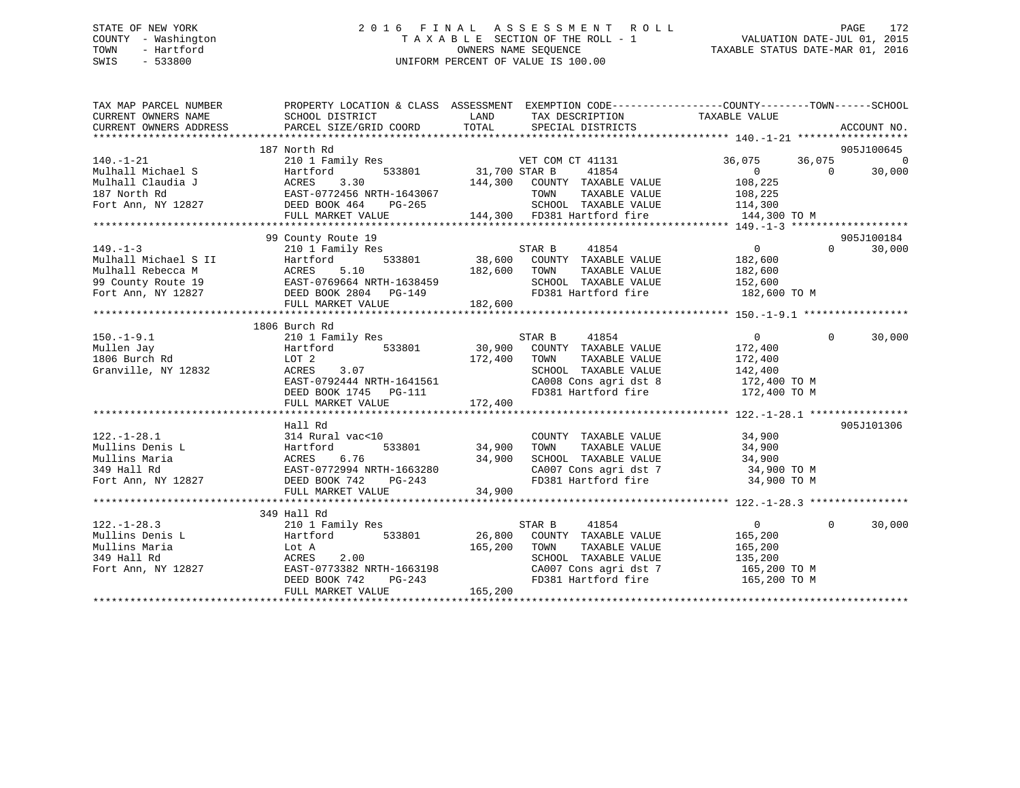# STATE OF NEW YORK 2 0 1 6 F I N A L A S S E S S M E N T R O L L PAGE 172 COUNTY - Washington T A X A B L E SECTION OF THE ROLL - 1 VALUATION DATE-JUL 01, 2015 TOWN - Hartford **TAXABLE STATUS DATE-MAR 01, 2016** OWNERS NAME SEQUENCE TAXABLE STATUS DATE-MAR 01, 2016 SWIS - 533800 UNIFORM PERCENT OF VALUE IS 100.00

| TAX MAP PARCEL NUMBER                                                                                                                                                                                                                  | PROPERTY LOCATION & CLASS ASSESSMENT EXEMPTION CODE-----------------COUNTY-------TOWN------SCHOOL |         |  |          |            |
|----------------------------------------------------------------------------------------------------------------------------------------------------------------------------------------------------------------------------------------|---------------------------------------------------------------------------------------------------|---------|--|----------|------------|
|                                                                                                                                                                                                                                        |                                                                                                   |         |  |          |            |
|                                                                                                                                                                                                                                        | 187 North Rd                                                                                      |         |  |          | 905J100645 |
|                                                                                                                                                                                                                                        |                                                                                                   |         |  |          | $\Omega$   |
|                                                                                                                                                                                                                                        |                                                                                                   |         |  |          | 30,000     |
|                                                                                                                                                                                                                                        |                                                                                                   |         |  |          |            |
|                                                                                                                                                                                                                                        |                                                                                                   |         |  |          |            |
|                                                                                                                                                                                                                                        |                                                                                                   |         |  |          |            |
|                                                                                                                                                                                                                                        |                                                                                                   |         |  |          |            |
|                                                                                                                                                                                                                                        |                                                                                                   |         |  |          |            |
|                                                                                                                                                                                                                                        | 99 County Route 19                                                                                |         |  |          | 905J100184 |
|                                                                                                                                                                                                                                        |                                                                                                   |         |  |          |            |
|                                                                                                                                                                                                                                        |                                                                                                   |         |  |          |            |
|                                                                                                                                                                                                                                        |                                                                                                   |         |  |          |            |
|                                                                                                                                                                                                                                        |                                                                                                   |         |  |          |            |
|                                                                                                                                                                                                                                        |                                                                                                   |         |  |          |            |
|                                                                                                                                                                                                                                        |                                                                                                   |         |  |          |            |
|                                                                                                                                                                                                                                        |                                                                                                   |         |  |          |            |
|                                                                                                                                                                                                                                        | 1806 Burch Rd                                                                                     |         |  |          |            |
|                                                                                                                                                                                                                                        |                                                                                                   |         |  | $\Omega$ | 30,000     |
|                                                                                                                                                                                                                                        |                                                                                                   |         |  |          |            |
|                                                                                                                                                                                                                                        |                                                                                                   |         |  |          |            |
|                                                                                                                                                                                                                                        |                                                                                                   |         |  |          |            |
| 1806 Burch Rd 2010 Family Res STAR B 41854 0<br>Mullen Jay Hartford 533801 30,900 COUNTY TAXABLE VALUE 172,400<br>1806 Burch Rd LOT 2<br>Granville, NY 12832 ACRES 3.07 SCHOOL TAXABLE VALUE 172,400<br>EAST-0792444 NRTH-1641561 CA00 |                                                                                                   |         |  |          |            |
|                                                                                                                                                                                                                                        |                                                                                                   |         |  |          |            |
|                                                                                                                                                                                                                                        | FULL MARKET VALUE                                                                                 | 172,400 |  |          |            |
|                                                                                                                                                                                                                                        |                                                                                                   |         |  |          |            |
|                                                                                                                                                                                                                                        | Hall Rd                                                                                           |         |  |          | 905J101306 |
|                                                                                                                                                                                                                                        |                                                                                                   |         |  |          |            |
|                                                                                                                                                                                                                                        |                                                                                                   |         |  |          |            |
|                                                                                                                                                                                                                                        |                                                                                                   |         |  |          |            |
|                                                                                                                                                                                                                                        |                                                                                                   |         |  |          |            |
|                                                                                                                                                                                                                                        |                                                                                                   |         |  |          |            |
|                                                                                                                                                                                                                                        |                                                                                                   |         |  |          |            |
|                                                                                                                                                                                                                                        |                                                                                                   |         |  |          |            |
|                                                                                                                                                                                                                                        | 349 Hall Rd                                                                                       |         |  |          |            |
|                                                                                                                                                                                                                                        |                                                                                                   |         |  | $\Omega$ | 30,000     |
|                                                                                                                                                                                                                                        |                                                                                                   |         |  |          |            |
|                                                                                                                                                                                                                                        |                                                                                                   |         |  |          |            |
|                                                                                                                                                                                                                                        |                                                                                                   |         |  |          |            |
|                                                                                                                                                                                                                                        |                                                                                                   |         |  |          |            |
| 349 Hall As and the Mullins Denis L and 2011 Family Res STAR B 41854 0<br>Mullins Denis L Hartford 533801 26,800 COUNTY TAXABLE VALUE 165,200<br>349 Hall Rd ACRES 2.00<br>Fort Ann, NY 12827 EAST-0773382 NRTH-1663198 CA007 Cons a   |                                                                                                   |         |  |          |            |
|                                                                                                                                                                                                                                        | FULL MARKET VALUE                                                                                 | 165,200 |  |          |            |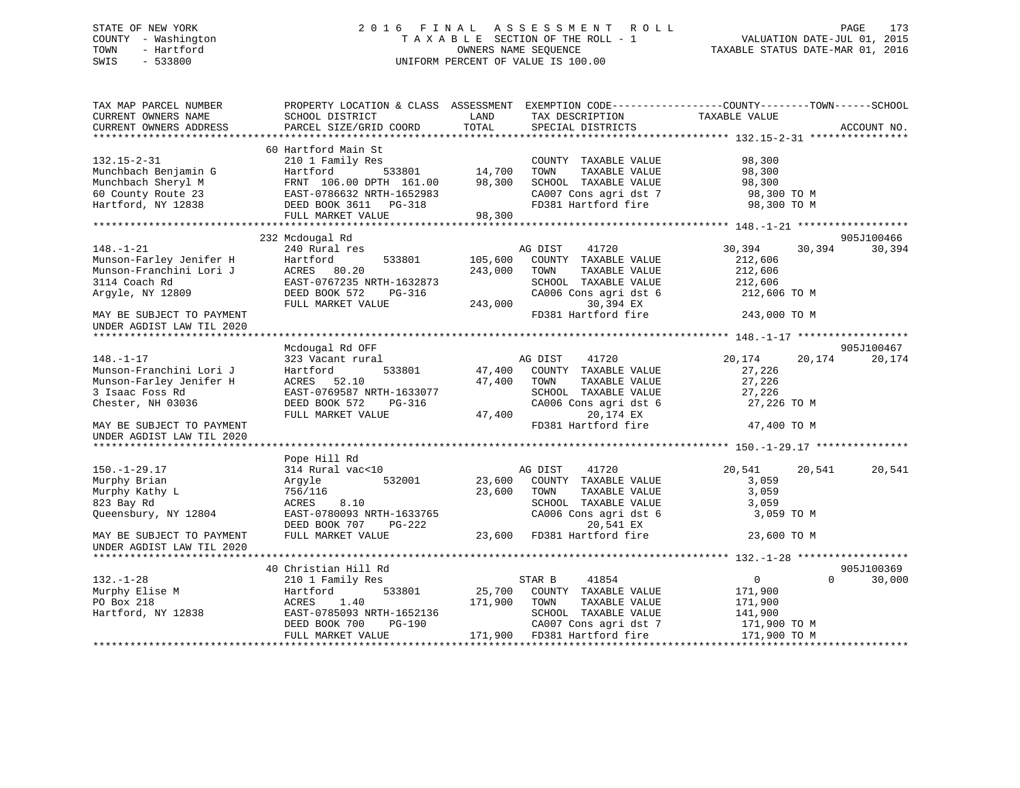# STATE OF NEW YORK 2 0 1 6 F I N A L A S S E S S M E N T R O L L PAGE 173 COUNTY - Washington T A X A B L E SECTION OF THE ROLL - 1 VALUATION DATE-JUL 01, 2015 TOWN - Hartford **TAXABLE STATUS DATE-MAR 01, 2016** OWNERS NAME SEQUENCE TAXABLE STATUS DATE-MAR 01, 2016 SWIS - 533800 UNIFORM PERCENT OF VALUE IS 100.00

| TAX MAP PARCEL NUMBER<br>CURRENT OWNERS NAME<br>CURRENT OWNERS ADDRESS                                                                  | PROPERTY LOCATION & CLASS ASSESSMENT EXEMPTION CODE----------------COUNTY-------TOWN------SCHOOL<br>SCHOOL DISTRICT<br>PARCEL SIZE/GRID COORD                       | LAND<br>TOTAL                 | TAX DESCRIPTION<br>SPECIAL DISTRICTS                                                                                                                                 | TAXABLE VALUE                                                                               | ACCOUNT NO.          |
|-----------------------------------------------------------------------------------------------------------------------------------------|---------------------------------------------------------------------------------------------------------------------------------------------------------------------|-------------------------------|----------------------------------------------------------------------------------------------------------------------------------------------------------------------|---------------------------------------------------------------------------------------------|----------------------|
| $132.15 - 2 - 31$<br>Munchbach Benjamin G<br>Munchbach Sheryl M<br>60 County Route 23<br>Hartford, NY 12838                             | 60 Hartford Main St<br>210 1 Family Res<br>533801<br>Hartford<br>FRNT 106.00 DPTH 161.00<br>EAST-0786632 NRTH-1652983<br>DEED BOOK 3611 PG-318<br>FULL MARKET VALUE | 14,700<br>98,300<br>98,300    | COUNTY TAXABLE VALUE<br>TOWN<br>TAXABLE VALUE<br>SCHOOL TAXABLE VALUE<br>CA007 Cons agri dst 7<br>FD381 Hartford fire                                                | 98,300<br>98,300<br>98,300<br>98,300 TO M<br>98,300 TO M                                    |                      |
|                                                                                                                                         |                                                                                                                                                                     |                               |                                                                                                                                                                      |                                                                                             |                      |
| $148. - 1 - 21$<br>Munson-Farley Jenifer H<br>Munson-Franchini Lori J<br>3114 Coach Rd<br>Argyle, NY 12809<br>MAY BE SUBJECT TO PAYMENT | 232 Mcdougal Rd<br>240 Rural res<br>533801<br>Hartford<br>ACRES 80.20<br>EAST-0767235 NRTH-1632873<br>DEED BOOK 572<br>PG-316<br>FULL MARKET VALUE                  | 105,600<br>243,000<br>243,000 | AG DIST<br>41720<br>COUNTY TAXABLE VALUE<br>TOWN<br>TAXABLE VALUE<br>SCHOOL TAXABLE VALUE<br>CA006 Cons agri dst 6<br>30,394 EX<br>FD381 Hartford fire               | 30,394<br>30,394<br>212,606<br>212,606<br>212,606<br>212,606 TO M<br>243,000 TO M           | 905J100466<br>30,394 |
| UNDER AGDIST LAW TIL 2020                                                                                                               |                                                                                                                                                                     |                               |                                                                                                                                                                      |                                                                                             |                      |
|                                                                                                                                         |                                                                                                                                                                     |                               |                                                                                                                                                                      |                                                                                             |                      |
|                                                                                                                                         | Mcdougal Rd OFF                                                                                                                                                     |                               |                                                                                                                                                                      |                                                                                             | 905J100467           |
| $148. - 1 - 17$<br>Munson-Franchini Lori J<br>Munson-Farley Jenifer H<br>3 Isaac Foss Rd<br>Chester, NH 03036                           | 323 Vacant rural<br>Hartford<br>533801<br>ACRES 52.10<br>EAST-0769587 NRTH-1633077<br>DEED BOOK 572<br>PG-316                                                       | 47,400<br>47,400              | AG DIST<br>41720<br>COUNTY TAXABLE VALUE<br>TOWN<br>TAXABLE VALUE<br>SCHOOL TAXABLE VALUE<br>CA006 Cons agri dst 6                                                   | 20,174<br>20,174<br>27,226<br>27,226<br>27,226<br>27,226 TO M                               | 20,174               |
| MAY BE SUBJECT TO PAYMENT<br>UNDER AGDIST LAW TIL 2020                                                                                  | FULL MARKET VALUE                                                                                                                                                   | 47,400                        | 20,174 EX<br>FD381 Hartford fire                                                                                                                                     | 47,400 TO M                                                                                 |                      |
|                                                                                                                                         |                                                                                                                                                                     |                               |                                                                                                                                                                      |                                                                                             |                      |
|                                                                                                                                         | Pope Hill Rd                                                                                                                                                        |                               |                                                                                                                                                                      |                                                                                             |                      |
| $150. - 1 - 29.17$<br>Murphy Brian<br>Murphy Kathy L<br>823 Bay Rd<br>Queensbury, NY 12804<br>MAY BE SUBJECT TO PAYMENT                 | 314 Rural vac<10<br>532001<br>Arqyle<br>756/116<br>8.10<br>ACRES<br>EAST-0780093 NRTH-1633765<br>DEED BOOK 707<br>PG-222<br>FULL MARKET VALUE                       | 23,600                        | AG DIST<br>41720<br>23,600 COUNTY TAXABLE VALUE<br>TAXABLE VALUE<br>TOWN<br>SCHOOL TAXABLE VALUE<br>CA006 Cons agri dst 6<br>20,541 EX<br>23,600 FD381 Hartford fire | 20,541<br>20,541<br>3,059<br>3,059<br>3,059<br>3,059 TO M<br>23,600 TO M                    | 20,541               |
| UNDER AGDIST LAW TIL 2020                                                                                                               |                                                                                                                                                                     |                               |                                                                                                                                                                      |                                                                                             |                      |
|                                                                                                                                         | 40 Christian Hill Rd                                                                                                                                                |                               |                                                                                                                                                                      |                                                                                             | 905J100369           |
| $132. - 1 - 28$<br>Murphy Elise M<br>PO Box 218<br>Hartford, NY 12838                                                                   | 210 1 Family Res<br>533801<br>Hartford<br>ACRES<br>1.40<br>EAST-0785093 NRTH-1652136<br>DEED BOOK 700<br>PG-190<br>FULL MARKET VALUE                                | 25,700<br>171,900             | 41854<br>STAR B<br>COUNTY TAXABLE VALUE<br>TAXABLE VALUE<br>TOWN<br>SCHOOL TAXABLE VALUE<br>CA007 Cons agri dst 7<br>171,900 FD381 Hartford fire                     | $\overline{0}$<br>$\Omega$<br>171,900<br>171,900<br>141,900<br>171,900 TO M<br>171,900 TO M | 30,000               |
|                                                                                                                                         |                                                                                                                                                                     |                               |                                                                                                                                                                      |                                                                                             |                      |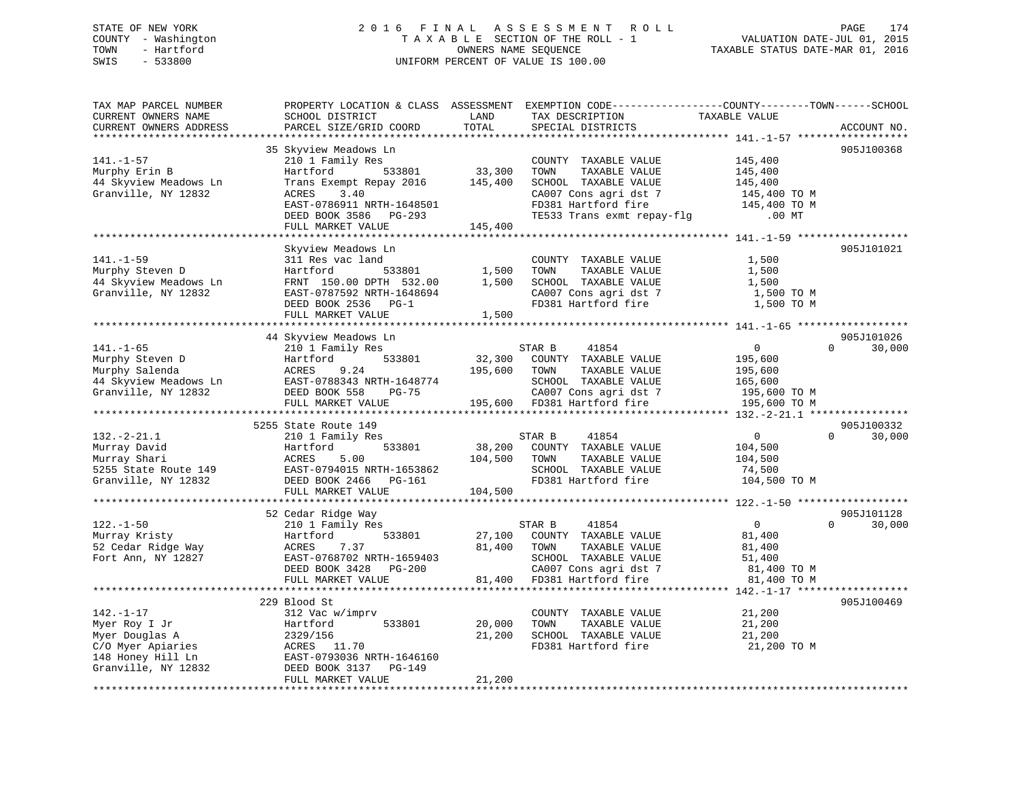# STATE OF NEW YORK 2 0 1 6 F I N A L A S S E S S M E N T R O L L PAGE 174 COUNTY - Washington T A X A B L E SECTION OF THE ROLL - 1 VALUATION DATE-JUL 01, 2015 TOWN - Hartford **TAXABLE STATUS DATE-MAR 01, 2016** OWNERS NAME SEQUENCE TAXABLE STATUS DATE-MAR 01, 2016 SWIS - 533800 UNIFORM PERCENT OF VALUE IS 100.00

| TAX MAP PARCEL NUMBER<br>CURRENT OWNERS NAME    | PROPERTY LOCATION & CLASS ASSESSMENT EXEMPTION CODE---------------COUNTY-------TOWN-----SCHOOL<br>SCHOOL DISTRICT | LAND    | TAX DESCRIPTION                                      | TAXABLE VALUE  |                    |
|-------------------------------------------------|-------------------------------------------------------------------------------------------------------------------|---------|------------------------------------------------------|----------------|--------------------|
| CURRENT OWNERS ADDRESS                          | PARCEL SIZE/GRID COORD                                                                                            | TOTAL   | SPECIAL DISTRICTS                                    |                | ACCOUNT NO.        |
|                                                 |                                                                                                                   |         |                                                      |                |                    |
|                                                 | 35 Skyview Meadows Ln                                                                                             |         |                                                      |                | 905J100368         |
| $141. - 1 - 57$                                 | 210 1 Family Res                                                                                                  |         | COUNTY TAXABLE VALUE                                 | 145,400        |                    |
| Murphy Erin B                                   | 533801<br>Hartford                                                                                                | 33,300  | TOWN<br>TAXABLE VALUE                                | 145,400        |                    |
| 44 Skyview Meadows Ln                           | Trans Exempt Repay 2016                                                                                           | 145,400 | SCHOOL TAXABLE VALUE                                 | 145,400        |                    |
| Granville, NY 12832                             | 3.40<br>ACRES                                                                                                     |         | CA007 Cons agri dst 7                                | 145,400 TO M   |                    |
|                                                 | EAST-0786911 NRTH-1648501                                                                                         |         | FD381 Hartford fire                                  | 145,400 TO M   |                    |
|                                                 | DEED BOOK 3586 PG-293                                                                                             |         | TE533 Trans exmt repay-flg                           | $.00$ MT       |                    |
|                                                 | FULL MARKET VALUE                                                                                                 | 145,400 |                                                      |                |                    |
|                                                 |                                                                                                                   |         |                                                      |                |                    |
|                                                 | Skyview Meadows Ln                                                                                                |         |                                                      |                | 905J101021         |
| $141. - 1 - 59$                                 | 311 Res vac land                                                                                                  |         | COUNTY TAXABLE VALUE                                 | 1,500          |                    |
| Murphy Steven D                                 | 533801<br>Hartford                                                                                                | 1,500   | TOWN<br>TAXABLE VALUE                                | 1,500          |                    |
| 44 Skyview Meadows Ln                           | FRNT 150.00 DPTH 532.00                                                                                           | 1,500   | SCHOOL TAXABLE VALUE                                 | 1,500          |                    |
| Granville, NY 12832                             | EAST-0787592 NRTH-1648694                                                                                         |         | CA007 Cons agri dst 7                                | 1,500 TO M     |                    |
|                                                 | DEED BOOK 2536 PG-1                                                                                               |         | FD381 Hartford fire                                  | 1,500 TO M     |                    |
|                                                 | FULL MARKET VALUE                                                                                                 | 1,500   |                                                      |                |                    |
|                                                 |                                                                                                                   |         |                                                      |                |                    |
|                                                 | 44 Skyview Meadows Ln                                                                                             |         |                                                      |                | 905J101026         |
| $141. - 1 - 65$                                 | 210 1 Family Res                                                                                                  |         | STAR B<br>41854                                      | $\overline{0}$ | 30,000<br>$\Omega$ |
| Murphy Steven D                                 | 533801<br>Hartford                                                                                                | 32,300  | COUNTY TAXABLE VALUE                                 | 195,600        |                    |
| Murphy Salenda                                  | ACRES<br>9.24                                                                                                     | 195,600 | TOWN<br>TAXABLE VALUE                                | 195,600        |                    |
| Murphy Barbon<br>44 Skyview Meadows Ln<br>10832 | EAST-0788343 NRTH-1648774                                                                                         |         | SCHOOL TAXABLE VALUE                                 | 165,600        |                    |
| Granville, NY 12832                             | DEED BOOK 558<br>$PG-75$                                                                                          |         |                                                      | 195,600 TO M   |                    |
|                                                 | FULL MARKET VALUE                                                                                                 |         | CA007 Cons agri dst 7<br>195,600 FD381 Hartford fire | 195,600 TO M   |                    |
|                                                 |                                                                                                                   |         |                                                      |                |                    |
|                                                 | 5255 State Route 149                                                                                              |         |                                                      |                | 905J100332         |
| $132. - 2 - 21.1$                               | 210 1 Family Res                                                                                                  |         | STAR B<br>41854                                      | $\overline{0}$ | $\Omega$<br>30,000 |
| Murray David                                    | 533801<br>Hartford                                                                                                | 38,200  | COUNTY TAXABLE VALUE                                 | 104,500        |                    |
| Murray Shari                                    | ACRES<br>5.00                                                                                                     | 104,500 | TOWN<br>TAXABLE VALUE                                | 104,500        |                    |
| 5255 State Route 149                            | EAST-0794015 NRTH-1653862                                                                                         |         | SCHOOL TAXABLE VALUE                                 | 74,500         |                    |
| Granville, NY 12832                             | DEED BOOK 2466 PG-161                                                                                             |         | FD381 Hartford fire                                  | 104,500 TO M   |                    |
|                                                 | FULL MARKET VALUE                                                                                                 | 104,500 |                                                      |                |                    |
|                                                 |                                                                                                                   |         |                                                      |                |                    |
|                                                 | 52 Cedar Ridge Way                                                                                                |         |                                                      |                | 905J101128         |
| $122. - 1 - 50$                                 | 210 1 Family Res                                                                                                  |         | 41854<br>STAR B                                      | $\overline{0}$ | $\Omega$<br>30,000 |
| Murray Kristy                                   | Hartford<br>533801                                                                                                | 27,100  | COUNTY TAXABLE VALUE                                 | 81,400         |                    |
| 52 Cedar Ridge Way                              | 7.37<br>ACRES                                                                                                     | 81,400  | TOWN<br>TAXABLE VALUE                                | 81,400         |                    |
| Fort Ann, NY 12827                              | EAST-0768702 NRTH-1659403                                                                                         |         | SCHOOL TAXABLE VALUE                                 | 51,400         |                    |
|                                                 | DEED BOOK 3428 PG-200                                                                                             |         | CA007 Cons agri dst 7                                | 81,400 TO M    |                    |
|                                                 | FULL MARKET VALUE                                                                                                 | 81,400  | 81,400 FD381 Hartford fire                           | 81,400 TO M    |                    |
|                                                 |                                                                                                                   |         |                                                      |                |                    |
|                                                 | 229 Blood St                                                                                                      |         |                                                      |                | 905J100469         |
| $142. - 1 - 17$                                 | 312 Vac w/imprv                                                                                                   |         | COUNTY TAXABLE VALUE                                 | 21,200         |                    |
| Myer Roy I Jr                                   | Hartford<br>533801                                                                                                | 20,000  | TOWN<br>TAXABLE VALUE                                | 21,200         |                    |
| Myer Douglas A                                  | 2329/156                                                                                                          | 21,200  | SCHOOL TAXABLE VALUE                                 | 21,200         |                    |
|                                                 |                                                                                                                   |         | FD381 Hartford fire                                  | 21,200 TO M    |                    |
|                                                 |                                                                                                                   |         |                                                      |                |                    |
| Granville, NY 12832                             | DEED BOOK 3137 PG-149                                                                                             |         |                                                      |                |                    |
|                                                 | FULL MARKET VALUE                                                                                                 | 21,200  |                                                      |                |                    |
|                                                 |                                                                                                                   |         |                                                      |                |                    |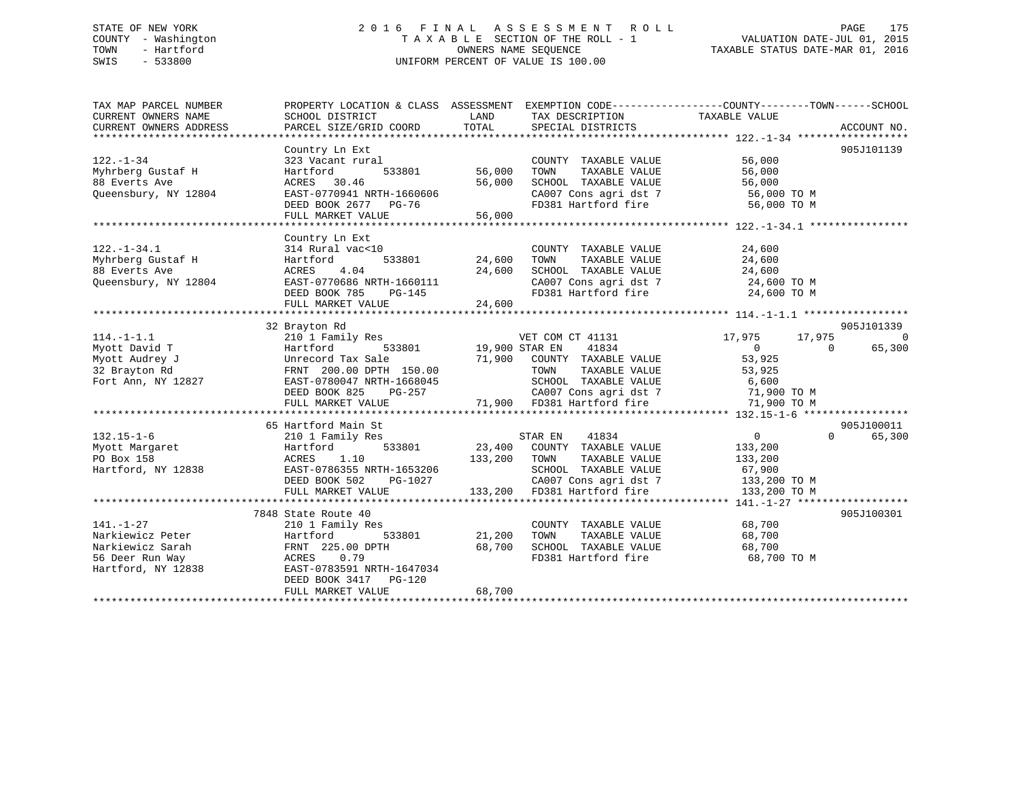# STATE OF NEW YORK 2 0 1 6 F I N A L A S S E S S M E N T R O L L PAGE 175 COUNTY - Washington T A X A B L E SECTION OF THE ROLL - 1 VALUATION DATE-JUL 01, 2015 TOWN - Hartford **TAXABLE STATUS DATE-MAR 01, 2016** OWNERS NAME SEQUENCE TAXABLE STATUS DATE-MAR 01, 2016 SWIS - 533800 UNIFORM PERCENT OF VALUE IS 100.00

| TAX MAP PARCEL NUMBER<br>CURRENT OWNERS NAME | PROPERTY LOCATION & CLASS ASSESSMENT EXEMPTION CODE----------------COUNTY-------TOWN-----SCHOOL<br>SCHOOL DISTRICT | LAND           | TAX DESCRIPTION            | TAXABLE VALUE    |                    |
|----------------------------------------------|--------------------------------------------------------------------------------------------------------------------|----------------|----------------------------|------------------|--------------------|
| CURRENT OWNERS ADDRESS                       | PARCEL SIZE/GRID COORD                                                                                             | TOTAL          | SPECIAL DISTRICTS          |                  | ACCOUNT NO.        |
|                                              |                                                                                                                    |                |                            |                  |                    |
|                                              | Country Ln Ext                                                                                                     |                |                            |                  | 905J101139         |
| $122. - 1 - 34$                              | 323 Vacant rural                                                                                                   |                | COUNTY TAXABLE VALUE       | 56,000           |                    |
| Myhrberg Gustaf H                            | Hartford<br>533801                                                                                                 | 56,000         | TOWN<br>TAXABLE VALUE      | 56,000           |                    |
| 88 Everts Ave                                | ACRES 30.46                                                                                                        | 56,000         | SCHOOL TAXABLE VALUE       | 56,000           |                    |
| Queensbury, NY 12804                         | EAST-0770941 NRTH-1660606                                                                                          |                | CA007 Cons agri dst 7      | 56,000 TO M      |                    |
|                                              | DEED BOOK 2677 PG-76                                                                                               |                | FD381 Hartford fire        | 56,000 TO M      |                    |
|                                              | FULL MARKET VALUE                                                                                                  | 56,000         |                            |                  |                    |
|                                              |                                                                                                                    |                |                            |                  |                    |
|                                              | Country Ln Ext                                                                                                     |                |                            |                  |                    |
| $122. - 1 - 34.1$                            | 314 Rural vac<10                                                                                                   |                | COUNTY TAXABLE VALUE       | 24,600           |                    |
| Myhrberg Gustaf H                            | Hartford<br>533801                                                                                                 | 24,600         | TAXABLE VALUE<br>TOWN      | 24,600           |                    |
| 88 Everts Ave                                | 4.04<br>ACRES                                                                                                      | 24,600         | SCHOOL TAXABLE VALUE       | 24,600           |                    |
| Queensbury, NY 12804                         | EAST-0770686 NRTH-1660111                                                                                          |                | CA007 Cons agri dst 7      | 24,600 TO M      |                    |
|                                              | DEED BOOK 785<br>PG-145                                                                                            |                | FD381 Hartford fire        | 24,600 TO M      |                    |
|                                              | FULL MARKET VALUE                                                                                                  | 24,600         |                            |                  |                    |
|                                              |                                                                                                                    |                |                            |                  |                    |
|                                              | 32 Brayton Rd                                                                                                      |                |                            |                  | 905J101339         |
| $114. - 1 - 1.1$                             | 210 1 Family Res                                                                                                   |                | VET COM CT 41131           | 17,975<br>17,975 | $\Omega$           |
| Myott David T                                | Hartford<br>533801                                                                                                 | 19,900 STAR EN | 41834                      | $\Omega$         | 65,300<br>$\Omega$ |
| Myott Audrey J                               | Unrecord Tax Sale                                                                                                  | 71,900         | COUNTY TAXABLE VALUE       | 53,925           |                    |
| 32 Brayton Rd                                | FRNT 200.00 DPTH 150.00                                                                                            |                | TOWN<br>TAXABLE VALUE      | 53,925           |                    |
| Fort Ann, NY 12827                           | EAST-0780047 NRTH-1668045                                                                                          |                | SCHOOL TAXABLE VALUE       | 6,600            |                    |
|                                              | DEED BOOK 825<br>PG-257                                                                                            |                | CA007 Cons agri dst 7      | 71,900 TO M      |                    |
|                                              | FULL MARKET VALUE                                                                                                  |                | 71,900 FD381 Hartford fire | 71,900 TO M      |                    |
|                                              |                                                                                                                    |                |                            |                  |                    |
|                                              | 65 Hartford Main St                                                                                                |                |                            |                  | 905J100011         |
| $132.15 - 1 - 6$                             | 210 1 Family Res                                                                                                   |                | STAR EN<br>41834           | $\overline{0}$   | $\Omega$<br>65,300 |
| Myott Margaret                               | 533801<br>Hartford                                                                                                 | 23,400         | COUNTY TAXABLE VALUE       | 133,200          |                    |
| PO Box 158                                   | 1.10<br>ACRES                                                                                                      | 133,200        | TAXABLE VALUE<br>TOWN      | 133,200          |                    |
| Hartford, NY 12838                           | EAST-0786355 NRTH-1653206                                                                                          |                | SCHOOL TAXABLE VALUE       | 67,900           |                    |
|                                              | DEED BOOK 502<br>PG-1027                                                                                           |                | CA007 Cons agri dst 7      | 133,200 TO M     |                    |
|                                              | FULL MARKET VALUE                                                                                                  | 133,200        | FD381 Hartford fire        | 133,200 TO M     |                    |
|                                              |                                                                                                                    |                |                            |                  |                    |
|                                              | 7848 State Route 40                                                                                                |                |                            |                  | 905J100301         |
| $141. - 1 - 27$                              | 210 1 Family Res                                                                                                   |                | COUNTY TAXABLE VALUE       | 68,700           |                    |
| Narkiewicz Peter                             | Hartford<br>533801                                                                                                 | 21,200         | TOWN<br>TAXABLE VALUE      | 68,700           |                    |
| Narkiewicz Sarah                             | FRNT 225.00 DPTH                                                                                                   | 68,700         | SCHOOL TAXABLE VALUE       | 68,700           |                    |
| 56 Deer Run Way                              | ACRES<br>0.79                                                                                                      |                | FD381 Hartford fire        | 68,700 TO M      |                    |
| Hartford, NY 12838                           | EAST-0783591 NRTH-1647034                                                                                          |                |                            |                  |                    |
|                                              | DEED BOOK 3417 PG-120                                                                                              |                |                            |                  |                    |
|                                              | FULL MARKET VALUE                                                                                                  | 68,700         |                            |                  |                    |
|                                              |                                                                                                                    |                |                            |                  |                    |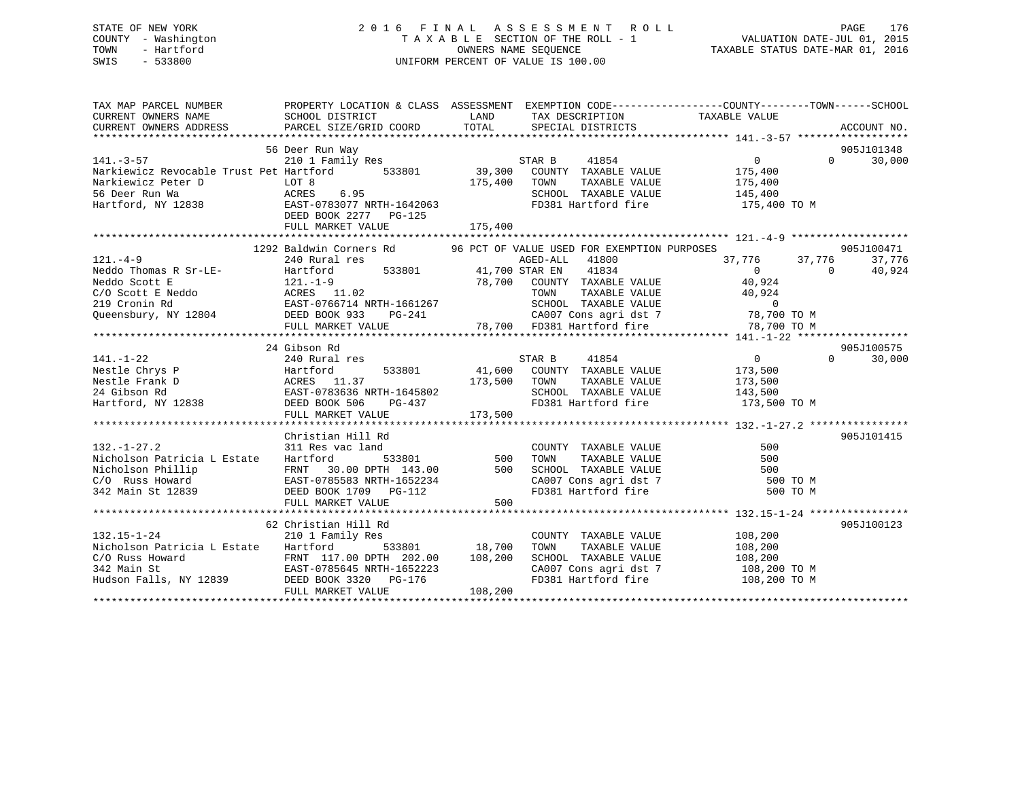# STATE OF NEW YORK 2 0 1 6 F I N A L A S S E S S M E N T R O L L PAGE 176 COUNTY - Washington T A X A B L E SECTION OF THE ROLL - 1 VALUATION DATE-JUL 01, 2015 TOWN - Hartford **TAXABLE STATUS DATE-MAR 01, 2016** OWNERS NAME SEQUENCE TAXABLE STATUS DATE-MAR 01, 2016 SWIS - 533800 UNIFORM PERCENT OF VALUE IS 100.00

| 905J101348<br>56 Deer Run Way<br>30 200 210 141.-3-57<br>210 1 Family Res<br>Narkiewicz Revocable Trust Pet Hartford 533801 39,300 COUNTY TAXABLE VALUE 175,400<br>Narkiewicz Peter D LOT 8 175 100 175,400 70WN TAXABLE VALUE 175,400<br>$\overline{0}$<br>30,000<br>Narkiewicz Peter D<br>Markiewicz Peter D<br>Hartford, NY 12838<br>Hartford, NY 12838<br>Hartford, NY 12838<br>Hartford, NY 12838<br>DEED BOOK 2277<br>PG-125<br>Hartford FD381 Hartford fire<br>DEED BOOK 2277<br>PG-125<br>SCHOOL TAXABLE VALUE 145,400<br>175,400 TO M<br>905J100471<br>$[121. -4-9$ 1292 Baldwin Corners Rd<br>210 Rural res<br>Neddo Thomas R Sr-LE-<br>210 Rural res<br>210 Rural 121.-1-9<br>2192 Baldwin Corners Rd<br>213 C/O Scott E Meddo Scott E<br>211.-1-9<br>219 C/O Scott E Meddo Scott E<br>219 Cronin Rd<br><br>905J100575<br>24 Gibson Rd<br>$\begin{array}{ccc} & & & & \text{if } & \text{if } & \text{if } & \text{if } & \text{if } & \text{if } & \text{if } & \text{if } & \text{if } & \text{if } & \text{if } & \text{if } & \text{if } & \text{if } & \text{if } & \text{if } & \text{if } & \text{if } & \text{if } & \text{if } & \text{if } & \text{if } & \text{if } & \text{if } & \text{if } & \text{if } & \text{if } & \text{if } & \text{if } & \text{if } & \text{if } & \text{if } & \text{if } & \text{if } & \text{if }$<br>41854<br>30,000<br>$141. - 1 - 22$<br>141.-1-22<br>Nestle Chrys P (Aural 1es 33801 41,600 COUNTY TAXABLE VALUE 173,500<br>Nestle Frank D (EAST-0783636 NRTH-1645802 5CHOOL TAXABLE VALUE 173,500<br>Hartford, NY 12838 DEED BOOK 506 PG-437 FD381 Hartford fire 173,500 TO<br>Christian Hill Rd<br>905J101415<br>Christian Hill Rd<br>Nicholson Patricia L Estate Hartford 533801 500 TOWN TAXABLE VALUE<br>Nicholson Phillip FRNT 30.00 DPTH 143.00 500 SCHOOL TAXABLE VALUE<br>C/O Russ Howard EAST-0785583 NRTH-1652234 CA007 Cons agri dst 7 500<br>500<br>FULL MARKET VALUE<br>62 Christian Hill Rd<br>905J100123<br>$\begin{tabular}{lllllllllll} \multicolumn{2}{c}{\textbf{COUNTY}} & \textbf{TAXABLE VALUE} & & & 108,200 \\ \multicolumn{2}{c}{\textbf{TOWN}} & \textbf{TAXABLE VALUE} & & 108,200 \end{tabular}$<br>132.15-1-24<br>210 1 Family Res<br>533801 18,700 TOWN<br>Nicholson Patricia L Estate Hartford<br>SCHOOL TAXABLE VALUE 108,200<br>CA007 Cons agri dst 7 108,200 TO M<br>CA007 Cons agri dst 7 108,200 TO M<br>FD381 Hartford fire 108,200 TO M<br>108,200<br>FULL MARKET VALUE | PROPERTY LOCATION & CLASS ASSESSMENT EXEMPTION CODE----------------COUNTY-------TOWN------SCHOOL |  |  |
|------------------------------------------------------------------------------------------------------------------------------------------------------------------------------------------------------------------------------------------------------------------------------------------------------------------------------------------------------------------------------------------------------------------------------------------------------------------------------------------------------------------------------------------------------------------------------------------------------------------------------------------------------------------------------------------------------------------------------------------------------------------------------------------------------------------------------------------------------------------------------------------------------------------------------------------------------------------------------------------------------------------------------------------------------------------------------------------------------------------------------------------------------------------------------------------------------------------------------------------------------------------------------------------------------------------------------------------------------------------------------------------------------------------------------------------------------------------------------------------------------------------------------------------------------------------------------------------------------------------------------------------------------------------------------------------------------------------------------------------------------------------------------------------------------------------------------------------------------------------------------------------------------------------------------------------------------------------------------------------------------------------------------------------------------------------------------------------------------------------------------------------------------------------------------------------------------------------------------------------------------------------------------------------------------------------------------------------------------------------------------------------------------------------------------------------------------------------------|--------------------------------------------------------------------------------------------------|--|--|
|                                                                                                                                                                                                                                                                                                                                                                                                                                                                                                                                                                                                                                                                                                                                                                                                                                                                                                                                                                                                                                                                                                                                                                                                                                                                                                                                                                                                                                                                                                                                                                                                                                                                                                                                                                                                                                                                                                                                                                                                                                                                                                                                                                                                                                                                                                                                                                                                                                                                        |                                                                                                  |  |  |
|                                                                                                                                                                                                                                                                                                                                                                                                                                                                                                                                                                                                                                                                                                                                                                                                                                                                                                                                                                                                                                                                                                                                                                                                                                                                                                                                                                                                                                                                                                                                                                                                                                                                                                                                                                                                                                                                                                                                                                                                                                                                                                                                                                                                                                                                                                                                                                                                                                                                        |                                                                                                  |  |  |
|                                                                                                                                                                                                                                                                                                                                                                                                                                                                                                                                                                                                                                                                                                                                                                                                                                                                                                                                                                                                                                                                                                                                                                                                                                                                                                                                                                                                                                                                                                                                                                                                                                                                                                                                                                                                                                                                                                                                                                                                                                                                                                                                                                                                                                                                                                                                                                                                                                                                        |                                                                                                  |  |  |
|                                                                                                                                                                                                                                                                                                                                                                                                                                                                                                                                                                                                                                                                                                                                                                                                                                                                                                                                                                                                                                                                                                                                                                                                                                                                                                                                                                                                                                                                                                                                                                                                                                                                                                                                                                                                                                                                                                                                                                                                                                                                                                                                                                                                                                                                                                                                                                                                                                                                        |                                                                                                  |  |  |
|                                                                                                                                                                                                                                                                                                                                                                                                                                                                                                                                                                                                                                                                                                                                                                                                                                                                                                                                                                                                                                                                                                                                                                                                                                                                                                                                                                                                                                                                                                                                                                                                                                                                                                                                                                                                                                                                                                                                                                                                                                                                                                                                                                                                                                                                                                                                                                                                                                                                        |                                                                                                  |  |  |
|                                                                                                                                                                                                                                                                                                                                                                                                                                                                                                                                                                                                                                                                                                                                                                                                                                                                                                                                                                                                                                                                                                                                                                                                                                                                                                                                                                                                                                                                                                                                                                                                                                                                                                                                                                                                                                                                                                                                                                                                                                                                                                                                                                                                                                                                                                                                                                                                                                                                        |                                                                                                  |  |  |
|                                                                                                                                                                                                                                                                                                                                                                                                                                                                                                                                                                                                                                                                                                                                                                                                                                                                                                                                                                                                                                                                                                                                                                                                                                                                                                                                                                                                                                                                                                                                                                                                                                                                                                                                                                                                                                                                                                                                                                                                                                                                                                                                                                                                                                                                                                                                                                                                                                                                        |                                                                                                  |  |  |
|                                                                                                                                                                                                                                                                                                                                                                                                                                                                                                                                                                                                                                                                                                                                                                                                                                                                                                                                                                                                                                                                                                                                                                                                                                                                                                                                                                                                                                                                                                                                                                                                                                                                                                                                                                                                                                                                                                                                                                                                                                                                                                                                                                                                                                                                                                                                                                                                                                                                        |                                                                                                  |  |  |
|                                                                                                                                                                                                                                                                                                                                                                                                                                                                                                                                                                                                                                                                                                                                                                                                                                                                                                                                                                                                                                                                                                                                                                                                                                                                                                                                                                                                                                                                                                                                                                                                                                                                                                                                                                                                                                                                                                                                                                                                                                                                                                                                                                                                                                                                                                                                                                                                                                                                        |                                                                                                  |  |  |
|                                                                                                                                                                                                                                                                                                                                                                                                                                                                                                                                                                                                                                                                                                                                                                                                                                                                                                                                                                                                                                                                                                                                                                                                                                                                                                                                                                                                                                                                                                                                                                                                                                                                                                                                                                                                                                                                                                                                                                                                                                                                                                                                                                                                                                                                                                                                                                                                                                                                        |                                                                                                  |  |  |
|                                                                                                                                                                                                                                                                                                                                                                                                                                                                                                                                                                                                                                                                                                                                                                                                                                                                                                                                                                                                                                                                                                                                                                                                                                                                                                                                                                                                                                                                                                                                                                                                                                                                                                                                                                                                                                                                                                                                                                                                                                                                                                                                                                                                                                                                                                                                                                                                                                                                        |                                                                                                  |  |  |
|                                                                                                                                                                                                                                                                                                                                                                                                                                                                                                                                                                                                                                                                                                                                                                                                                                                                                                                                                                                                                                                                                                                                                                                                                                                                                                                                                                                                                                                                                                                                                                                                                                                                                                                                                                                                                                                                                                                                                                                                                                                                                                                                                                                                                                                                                                                                                                                                                                                                        |                                                                                                  |  |  |
|                                                                                                                                                                                                                                                                                                                                                                                                                                                                                                                                                                                                                                                                                                                                                                                                                                                                                                                                                                                                                                                                                                                                                                                                                                                                                                                                                                                                                                                                                                                                                                                                                                                                                                                                                                                                                                                                                                                                                                                                                                                                                                                                                                                                                                                                                                                                                                                                                                                                        |                                                                                                  |  |  |
|                                                                                                                                                                                                                                                                                                                                                                                                                                                                                                                                                                                                                                                                                                                                                                                                                                                                                                                                                                                                                                                                                                                                                                                                                                                                                                                                                                                                                                                                                                                                                                                                                                                                                                                                                                                                                                                                                                                                                                                                                                                                                                                                                                                                                                                                                                                                                                                                                                                                        |                                                                                                  |  |  |
|                                                                                                                                                                                                                                                                                                                                                                                                                                                                                                                                                                                                                                                                                                                                                                                                                                                                                                                                                                                                                                                                                                                                                                                                                                                                                                                                                                                                                                                                                                                                                                                                                                                                                                                                                                                                                                                                                                                                                                                                                                                                                                                                                                                                                                                                                                                                                                                                                                                                        |                                                                                                  |  |  |
|                                                                                                                                                                                                                                                                                                                                                                                                                                                                                                                                                                                                                                                                                                                                                                                                                                                                                                                                                                                                                                                                                                                                                                                                                                                                                                                                                                                                                                                                                                                                                                                                                                                                                                                                                                                                                                                                                                                                                                                                                                                                                                                                                                                                                                                                                                                                                                                                                                                                        |                                                                                                  |  |  |
|                                                                                                                                                                                                                                                                                                                                                                                                                                                                                                                                                                                                                                                                                                                                                                                                                                                                                                                                                                                                                                                                                                                                                                                                                                                                                                                                                                                                                                                                                                                                                                                                                                                                                                                                                                                                                                                                                                                                                                                                                                                                                                                                                                                                                                                                                                                                                                                                                                                                        |                                                                                                  |  |  |
|                                                                                                                                                                                                                                                                                                                                                                                                                                                                                                                                                                                                                                                                                                                                                                                                                                                                                                                                                                                                                                                                                                                                                                                                                                                                                                                                                                                                                                                                                                                                                                                                                                                                                                                                                                                                                                                                                                                                                                                                                                                                                                                                                                                                                                                                                                                                                                                                                                                                        |                                                                                                  |  |  |
|                                                                                                                                                                                                                                                                                                                                                                                                                                                                                                                                                                                                                                                                                                                                                                                                                                                                                                                                                                                                                                                                                                                                                                                                                                                                                                                                                                                                                                                                                                                                                                                                                                                                                                                                                                                                                                                                                                                                                                                                                                                                                                                                                                                                                                                                                                                                                                                                                                                                        |                                                                                                  |  |  |
|                                                                                                                                                                                                                                                                                                                                                                                                                                                                                                                                                                                                                                                                                                                                                                                                                                                                                                                                                                                                                                                                                                                                                                                                                                                                                                                                                                                                                                                                                                                                                                                                                                                                                                                                                                                                                                                                                                                                                                                                                                                                                                                                                                                                                                                                                                                                                                                                                                                                        |                                                                                                  |  |  |
|                                                                                                                                                                                                                                                                                                                                                                                                                                                                                                                                                                                                                                                                                                                                                                                                                                                                                                                                                                                                                                                                                                                                                                                                                                                                                                                                                                                                                                                                                                                                                                                                                                                                                                                                                                                                                                                                                                                                                                                                                                                                                                                                                                                                                                                                                                                                                                                                                                                                        |                                                                                                  |  |  |
|                                                                                                                                                                                                                                                                                                                                                                                                                                                                                                                                                                                                                                                                                                                                                                                                                                                                                                                                                                                                                                                                                                                                                                                                                                                                                                                                                                                                                                                                                                                                                                                                                                                                                                                                                                                                                                                                                                                                                                                                                                                                                                                                                                                                                                                                                                                                                                                                                                                                        |                                                                                                  |  |  |
|                                                                                                                                                                                                                                                                                                                                                                                                                                                                                                                                                                                                                                                                                                                                                                                                                                                                                                                                                                                                                                                                                                                                                                                                                                                                                                                                                                                                                                                                                                                                                                                                                                                                                                                                                                                                                                                                                                                                                                                                                                                                                                                                                                                                                                                                                                                                                                                                                                                                        |                                                                                                  |  |  |
|                                                                                                                                                                                                                                                                                                                                                                                                                                                                                                                                                                                                                                                                                                                                                                                                                                                                                                                                                                                                                                                                                                                                                                                                                                                                                                                                                                                                                                                                                                                                                                                                                                                                                                                                                                                                                                                                                                                                                                                                                                                                                                                                                                                                                                                                                                                                                                                                                                                                        |                                                                                                  |  |  |
|                                                                                                                                                                                                                                                                                                                                                                                                                                                                                                                                                                                                                                                                                                                                                                                                                                                                                                                                                                                                                                                                                                                                                                                                                                                                                                                                                                                                                                                                                                                                                                                                                                                                                                                                                                                                                                                                                                                                                                                                                                                                                                                                                                                                                                                                                                                                                                                                                                                                        |                                                                                                  |  |  |
|                                                                                                                                                                                                                                                                                                                                                                                                                                                                                                                                                                                                                                                                                                                                                                                                                                                                                                                                                                                                                                                                                                                                                                                                                                                                                                                                                                                                                                                                                                                                                                                                                                                                                                                                                                                                                                                                                                                                                                                                                                                                                                                                                                                                                                                                                                                                                                                                                                                                        |                                                                                                  |  |  |
|                                                                                                                                                                                                                                                                                                                                                                                                                                                                                                                                                                                                                                                                                                                                                                                                                                                                                                                                                                                                                                                                                                                                                                                                                                                                                                                                                                                                                                                                                                                                                                                                                                                                                                                                                                                                                                                                                                                                                                                                                                                                                                                                                                                                                                                                                                                                                                                                                                                                        |                                                                                                  |  |  |
|                                                                                                                                                                                                                                                                                                                                                                                                                                                                                                                                                                                                                                                                                                                                                                                                                                                                                                                                                                                                                                                                                                                                                                                                                                                                                                                                                                                                                                                                                                                                                                                                                                                                                                                                                                                                                                                                                                                                                                                                                                                                                                                                                                                                                                                                                                                                                                                                                                                                        |                                                                                                  |  |  |
|                                                                                                                                                                                                                                                                                                                                                                                                                                                                                                                                                                                                                                                                                                                                                                                                                                                                                                                                                                                                                                                                                                                                                                                                                                                                                                                                                                                                                                                                                                                                                                                                                                                                                                                                                                                                                                                                                                                                                                                                                                                                                                                                                                                                                                                                                                                                                                                                                                                                        |                                                                                                  |  |  |
|                                                                                                                                                                                                                                                                                                                                                                                                                                                                                                                                                                                                                                                                                                                                                                                                                                                                                                                                                                                                                                                                                                                                                                                                                                                                                                                                                                                                                                                                                                                                                                                                                                                                                                                                                                                                                                                                                                                                                                                                                                                                                                                                                                                                                                                                                                                                                                                                                                                                        |                                                                                                  |  |  |
|                                                                                                                                                                                                                                                                                                                                                                                                                                                                                                                                                                                                                                                                                                                                                                                                                                                                                                                                                                                                                                                                                                                                                                                                                                                                                                                                                                                                                                                                                                                                                                                                                                                                                                                                                                                                                                                                                                                                                                                                                                                                                                                                                                                                                                                                                                                                                                                                                                                                        |                                                                                                  |  |  |
|                                                                                                                                                                                                                                                                                                                                                                                                                                                                                                                                                                                                                                                                                                                                                                                                                                                                                                                                                                                                                                                                                                                                                                                                                                                                                                                                                                                                                                                                                                                                                                                                                                                                                                                                                                                                                                                                                                                                                                                                                                                                                                                                                                                                                                                                                                                                                                                                                                                                        |                                                                                                  |  |  |
|                                                                                                                                                                                                                                                                                                                                                                                                                                                                                                                                                                                                                                                                                                                                                                                                                                                                                                                                                                                                                                                                                                                                                                                                                                                                                                                                                                                                                                                                                                                                                                                                                                                                                                                                                                                                                                                                                                                                                                                                                                                                                                                                                                                                                                                                                                                                                                                                                                                                        |                                                                                                  |  |  |
|                                                                                                                                                                                                                                                                                                                                                                                                                                                                                                                                                                                                                                                                                                                                                                                                                                                                                                                                                                                                                                                                                                                                                                                                                                                                                                                                                                                                                                                                                                                                                                                                                                                                                                                                                                                                                                                                                                                                                                                                                                                                                                                                                                                                                                                                                                                                                                                                                                                                        |                                                                                                  |  |  |
|                                                                                                                                                                                                                                                                                                                                                                                                                                                                                                                                                                                                                                                                                                                                                                                                                                                                                                                                                                                                                                                                                                                                                                                                                                                                                                                                                                                                                                                                                                                                                                                                                                                                                                                                                                                                                                                                                                                                                                                                                                                                                                                                                                                                                                                                                                                                                                                                                                                                        |                                                                                                  |  |  |
|                                                                                                                                                                                                                                                                                                                                                                                                                                                                                                                                                                                                                                                                                                                                                                                                                                                                                                                                                                                                                                                                                                                                                                                                                                                                                                                                                                                                                                                                                                                                                                                                                                                                                                                                                                                                                                                                                                                                                                                                                                                                                                                                                                                                                                                                                                                                                                                                                                                                        |                                                                                                  |  |  |
|                                                                                                                                                                                                                                                                                                                                                                                                                                                                                                                                                                                                                                                                                                                                                                                                                                                                                                                                                                                                                                                                                                                                                                                                                                                                                                                                                                                                                                                                                                                                                                                                                                                                                                                                                                                                                                                                                                                                                                                                                                                                                                                                                                                                                                                                                                                                                                                                                                                                        |                                                                                                  |  |  |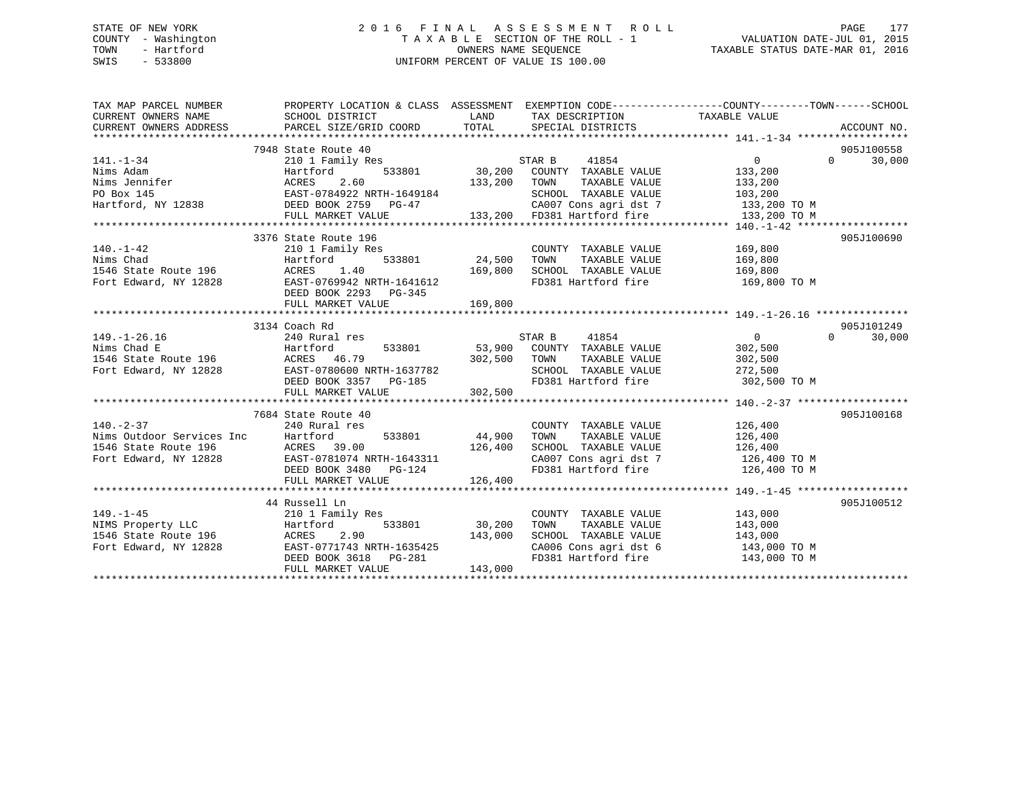# STATE OF NEW YORK 2 0 1 6 F I N A L A S S E S S M E N T R O L L PAGE 177 COUNTY - Washington T A X A B L E SECTION OF THE ROLL - 1 VALUATION DATE-JUL 01, 2015 TOWN - Hartford **TAXABLE STATUS DATE-MAR 01, 2016** OWNERS NAME SEQUENCE TAXABLE STATUS DATE-MAR 01, 2016 SWIS - 533800 UNIFORM PERCENT OF VALUE IS 100.00

| TAX MAP PARCEL NUMBER<br>CURRENT OWNERS NAME<br>CURRENT OWNERS ADDRESS                                                                                                                                                                                                                                                   | PROPERTY LOCATION & CLASS ASSESSMENT EXEMPTION CODE---------------COUNTY-------TOWN------SCHOOL<br>SCHOOL DISTRICT<br>PARCEL SIZE/GRID COORD | LAND<br>TOTAL  | TAX DESCRIPTION TAXABLE VALUE<br>SPECIAL DISTRICTS                                               |                | ACCOUNT NO.                      |
|--------------------------------------------------------------------------------------------------------------------------------------------------------------------------------------------------------------------------------------------------------------------------------------------------------------------------|----------------------------------------------------------------------------------------------------------------------------------------------|----------------|--------------------------------------------------------------------------------------------------|----------------|----------------------------------|
|                                                                                                                                                                                                                                                                                                                          |                                                                                                                                              |                |                                                                                                  |                |                                  |
| $141. - 1 - 34$                                                                                                                                                                                                                                                                                                          | 7948 State Route 40<br>210 1 Family Res                                                                                                      |                | STAR B<br>41854                                                                                  | $\Omega$       | 905J100558<br>30,000<br>$\Omega$ |
|                                                                                                                                                                                                                                                                                                                          |                                                                                                                                              |                | 533801 30,200 COUNTY TAXABLE VALUE 133,200                                                       |                |                                  |
| 11.17 Research 133,200<br>Nims Jennifer (133,200)<br>Nims Jennifer (133,200)<br>PO Box 145<br>Hartford, NY 12838<br>Hartford, NY 12838<br>DEED BOOK 2759 PG-47                                                                                                                                                           |                                                                                                                                              |                | TOWN<br>TAXABLE VALUE                                                                            | 133,200        |                                  |
|                                                                                                                                                                                                                                                                                                                          |                                                                                                                                              |                | SCHOOL TAXABLE VALUE                                                                             | 103,200        |                                  |
|                                                                                                                                                                                                                                                                                                                          |                                                                                                                                              |                | CA007 Cons agri dst 7 133,200 TO M                                                               |                |                                  |
|                                                                                                                                                                                                                                                                                                                          | FULL MARKET VALUE                                                                                                                            |                | 133,200 FD381 Hartford fire                                                                      | 133,200 TO M   |                                  |
|                                                                                                                                                                                                                                                                                                                          |                                                                                                                                              |                |                                                                                                  |                |                                  |
|                                                                                                                                                                                                                                                                                                                          | 3376 State Route 196                                                                                                                         |                |                                                                                                  |                | 905J100690                       |
| $140. - 1 - 42$                                                                                                                                                                                                                                                                                                          | 210 1 Family Res                                                                                                                             |                | COUNTY TAXABLE VALUE                                                                             | 169,800        |                                  |
| Nims Chad<br>Nims Chad<br>1546 State Route 196                                                                                                                                                                                                                                                                           | $533801$ $24,500$<br>$169,800$<br>Hartford                                                                                                   |                | TAXABLE VALUE<br>TOWN                                                                            | 169,800        |                                  |
|                                                                                                                                                                                                                                                                                                                          | ACRES 1.40                                                                                                                                   |                | SCHOOL TAXABLE VALUE                                                                             | 169,800        |                                  |
| Fort Edward, NY 12828                                                                                                                                                                                                                                                                                                    | EAST-0769942 NRTH-1641612                                                                                                                    |                | FD381 Hartford fire 169,800 TO M                                                                 |                |                                  |
|                                                                                                                                                                                                                                                                                                                          | DEED BOOK 2293 PG-345                                                                                                                        |                |                                                                                                  |                |                                  |
|                                                                                                                                                                                                                                                                                                                          | FULL MARKET VALUE                                                                                                                            | 169,800        |                                                                                                  |                |                                  |
|                                                                                                                                                                                                                                                                                                                          |                                                                                                                                              |                |                                                                                                  |                |                                  |
|                                                                                                                                                                                                                                                                                                                          | 3134 Coach Rd                                                                                                                                |                |                                                                                                  |                | 905J101249                       |
| $149. - 1 - 26.16$                                                                                                                                                                                                                                                                                                       | 240 Rural res                                                                                                                                |                | STAR B<br>41854                                                                                  | $\overline{0}$ | $\Omega$<br>30,000               |
|                                                                                                                                                                                                                                                                                                                          |                                                                                                                                              |                | 533801 53,900 COUNTY TAXABLE VALUE                                                               | 302,500        |                                  |
|                                                                                                                                                                                                                                                                                                                          |                                                                                                                                              |                | TAXABLE VALUE                                                                                    | 302,500        |                                  |
|                                                                                                                                                                                                                                                                                                                          |                                                                                                                                              |                | SCHOOL TAXABLE VALUE 272,500<br>FD381 Hartford fire 302,500 TO M                                 |                |                                  |
| 149.-1-20.10<br>Nims Chad E<br>1546 State Route 196 MCRES 46.79 302,500 TOWN<br>Fort Edward, NY 12828 EAST-0780600 NRTH-1637782 SCHOO<br>FD381 PERST PG-185 FD381                                                                                                                                                        | EAST-0780600 NRTH-1637782<br>DEED BOOK 3357 PG-185                                                                                           |                |                                                                                                  |                |                                  |
|                                                                                                                                                                                                                                                                                                                          | FULL MARKET VALUE                                                                                                                            | 302,500        |                                                                                                  |                |                                  |
|                                                                                                                                                                                                                                                                                                                          |                                                                                                                                              |                |                                                                                                  |                |                                  |
|                                                                                                                                                                                                                                                                                                                          | 7684 State Route 40                                                                                                                          |                |                                                                                                  |                | 905J100168                       |
|                                                                                                                                                                                                                                                                                                                          |                                                                                                                                              |                | COUNTY TAXABLE VALUE                                                                             | 126,400        |                                  |
|                                                                                                                                                                                                                                                                                                                          |                                                                                                                                              | 44,900         |                                                                                                  |                |                                  |
| $\begin{tabular}{lllllllllllllllllllll} \textbf{140.-2-37} & \textbf{240 Rural res} \\ \textbf{Nims Outdoor Services Inc} & \textbf{Hartford} & \textbf{533801} \\ \textbf{1546 State Route 196} & \textbf{ACRES} & \textbf{39.00} \\ \textbf{Fort Edward, NY 12828} & \textbf{EAST-0781074 NRTH-1643311} \end{tabular}$ |                                                                                                                                              | 126,400        | TOWN TAXABLE VALUE 126,400<br>SCHOOL TAXABLE VALUE 126,400<br>CA007 Cons agri dst 7 126,400 TO M |                |                                  |
|                                                                                                                                                                                                                                                                                                                          | AURES 39.00 126,400<br>EAST-0781074 NRTH-1643311<br>DEED BOOK 3480 PG-124                                                                    |                |                                                                                                  |                |                                  |
|                                                                                                                                                                                                                                                                                                                          |                                                                                                                                              |                | FD381 Hartford fire 126,400 TO M                                                                 |                |                                  |
|                                                                                                                                                                                                                                                                                                                          | FULL MARKET VALUE                                                                                                                            | 126,400        |                                                                                                  |                |                                  |
|                                                                                                                                                                                                                                                                                                                          |                                                                                                                                              |                |                                                                                                  |                |                                  |
|                                                                                                                                                                                                                                                                                                                          | 44 Russell Ln                                                                                                                                |                |                                                                                                  |                | 905J100512                       |
| $149. - 1 - 45$                                                                                                                                                                                                                                                                                                          | 210 1 Family Res                                                                                                                             |                | COUNTY TAXABLE VALUE                                                                             | 143,000        |                                  |
| 149.-1-45<br>NIMS Property LLC<br>1546 State Route 196 ACRES<br>Fort Edward, NY 12828 EAST-07717<br>12828 EAST-07717                                                                                                                                                                                                     |                                                                                                                                              | 533801 30,200  | TOWN<br>TAXABLE VALUE                                                                            | 143,000        |                                  |
|                                                                                                                                                                                                                                                                                                                          | 2.90                                                                                                                                         | 143,000        | SCHOOL TAXABLE VALUE                                                                             | 143,000        |                                  |
|                                                                                                                                                                                                                                                                                                                          | EAST-0771743 NRTH-1635425                                                                                                                    |                |                                                                                                  |                |                                  |
|                                                                                                                                                                                                                                                                                                                          | DEED BOOK 3618 PG-281                                                                                                                        | $\overline{a}$ | CA006 Cons agri dst 6 143,000 TO M<br>FD381 Hartford fire 143,000 TO M                           |                |                                  |
|                                                                                                                                                                                                                                                                                                                          | FULL MARKET VALUE                                                                                                                            | 143,000        |                                                                                                  |                |                                  |
|                                                                                                                                                                                                                                                                                                                          |                                                                                                                                              |                |                                                                                                  |                |                                  |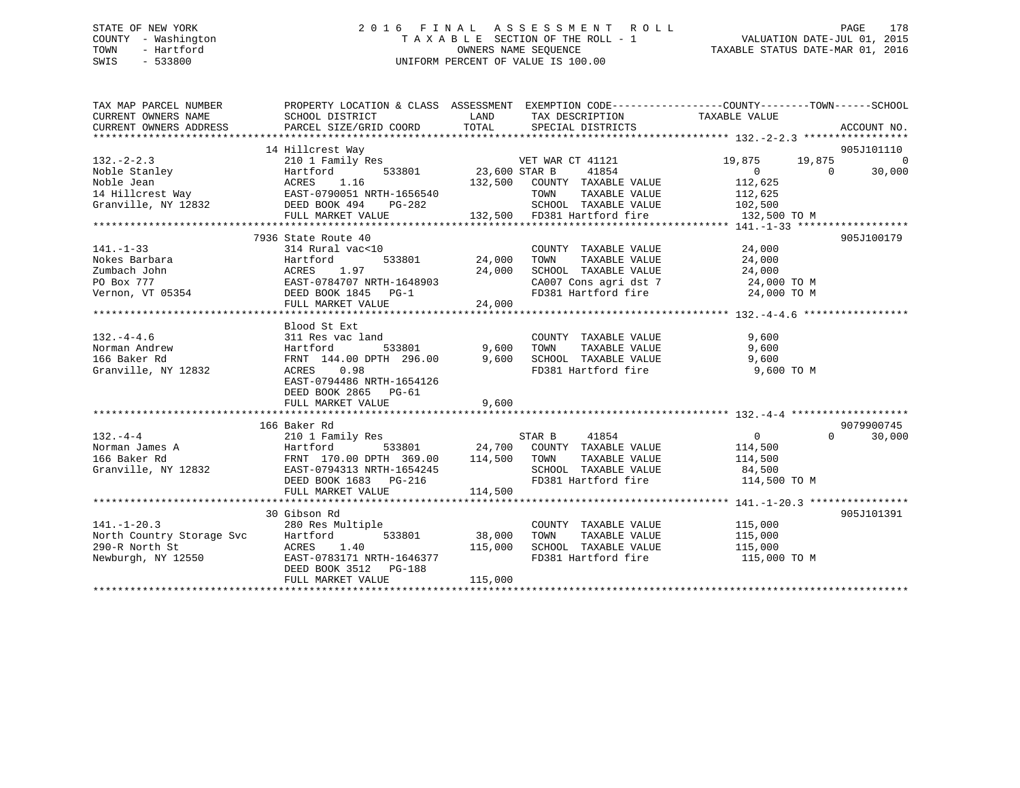# STATE OF NEW YORK 2 0 1 6 F I N A L A S S E S S M E N T R O L L PAGE 178 COUNTY - Washington T A X A B L E SECTION OF THE ROLL - 1 VALUATION DATE-JUL 01, 2015 TOWN - Hartford **TAXABLE STATUS DATE-MAR 01, 2016** OWNERS NAME SEQUENCE TAXABLE STATUS DATE-MAR 01, 2016 SWIS - 533800 UNIFORM PERCENT OF VALUE IS 100.00

| TAX MAP PARCEL NUMBER<br>CURRENT OWNERS NAME<br>CURRENT OWNERS ADDRESS                                                                                                                                                                                           | PROPERTY LOCATION & CLASS ASSESSMENT EXEMPTION CODE-----------------COUNTY-------TOWN------SCHOOL<br>SCHOOL DISTRICT<br>PARCEL SIZE/GRID COORD TOTAL SPECIAL DISTRICTS |                               | LAND TAX DESCRIPTION                                                                                                                                            | TAXABLE VALUE                                     | ACCOUNT NO.         |
|------------------------------------------------------------------------------------------------------------------------------------------------------------------------------------------------------------------------------------------------------------------|------------------------------------------------------------------------------------------------------------------------------------------------------------------------|-------------------------------|-----------------------------------------------------------------------------------------------------------------------------------------------------------------|---------------------------------------------------|---------------------|
|                                                                                                                                                                                                                                                                  |                                                                                                                                                                        |                               |                                                                                                                                                                 |                                                   |                     |
|                                                                                                                                                                                                                                                                  | 14 Hillcrest Way                                                                                                                                                       |                               |                                                                                                                                                                 |                                                   | 905J101110          |
| $132 - 2 - 2.3$                                                                                                                                                                                                                                                  | 210 1 Family Res                                                                                                                                                       |                               | VET WAR CT 41121                                                                                                                                                | 19,875 19,875                                     | $\overline{0}$      |
|                                                                                                                                                                                                                                                                  | 533801 23,600 STAR B                                                                                                                                                   |                               | 41854                                                                                                                                                           | $\begin{smallmatrix}&&0\112,625\end{smallmatrix}$ | $\bigcap$<br>30,000 |
|                                                                                                                                                                                                                                                                  |                                                                                                                                                                        |                               | 132,500 COUNTY TAXABLE VALUE                                                                                                                                    |                                                   |                     |
|                                                                                                                                                                                                                                                                  |                                                                                                                                                                        |                               | TOWN                                                                                                                                                            | TAXABLE VALUE 112,625                             |                     |
| Noble Stanley<br>Noble Jean<br>14 Hillcrest Way<br>Granville, NY 12832<br>The CRES 1.16<br>CRES 1.16<br>CRES 1.16<br>CRES 1.16<br>CRES 1.16<br>CRES 1.16<br>CRES 1.16<br>CRES 1.16<br>CRES 1.16<br>CRES 1.16<br>CRES 1.16<br>CRES 1.16<br>CRES 1.16<br>CRES 1.16 |                                                                                                                                                                        |                               | SCHOOL TAXABLE VALUE 102,500                                                                                                                                    |                                                   |                     |
|                                                                                                                                                                                                                                                                  | FULL MARKET VALUE                                                                                                                                                      |                               | -282 SCHOOL TAXABLE VALUE<br>132,500 FD381 Hartford fire                                                                                                        | 132,500 TO M                                      |                     |
|                                                                                                                                                                                                                                                                  |                                                                                                                                                                        |                               |                                                                                                                                                                 |                                                   |                     |
|                                                                                                                                                                                                                                                                  | 7936 State Route 40                                                                                                                                                    |                               |                                                                                                                                                                 |                                                   | 905J100179          |
| $141. - 1 - 33$                                                                                                                                                                                                                                                  | 314 Rural vac<10                                                                                                                                                       |                               | COUNTY TAXABLE VALUE 24,000                                                                                                                                     |                                                   |                     |
|                                                                                                                                                                                                                                                                  |                                                                                                                                                                        |                               | TAXABLE VALUE                                                                                                                                                   | 24,000                                            |                     |
|                                                                                                                                                                                                                                                                  |                                                                                                                                                                        |                               |                                                                                                                                                                 |                                                   |                     |
|                                                                                                                                                                                                                                                                  |                                                                                                                                                                        |                               |                                                                                                                                                                 |                                                   |                     |
| Nokes Barbara<br>Nokes Barbara<br>24,000<br>24,000<br>24,000<br>24,000<br>24,000<br>24,000<br>24,000<br>24,000<br>24,000<br>24,000<br>24,000<br>24,000<br>24,000<br>24,000<br>24,000<br>24,000<br>24,000<br>24,000                                               |                                                                                                                                                                        |                               | SCHOOL TAXABLE VALUE $24,000$<br>CA007 Cons agri dst 7 $24,000$ TO M<br>FD381 Hartford fire $24,000$ TO M                                                       |                                                   |                     |
|                                                                                                                                                                                                                                                                  | FULL MARKET VALUE 24,000                                                                                                                                               |                               |                                                                                                                                                                 |                                                   |                     |
|                                                                                                                                                                                                                                                                  |                                                                                                                                                                        |                               |                                                                                                                                                                 |                                                   |                     |
|                                                                                                                                                                                                                                                                  | Blood St Ext                                                                                                                                                           |                               |                                                                                                                                                                 |                                                   |                     |
| $132. - 4 - 4.6$                                                                                                                                                                                                                                                 | 311 Res vac land                                                                                                                                                       |                               |                                                                                                                                                                 | 9,600                                             |                     |
|                                                                                                                                                                                                                                                                  |                                                                                                                                                                        | d COUNTY<br>533801 9,600 TOWN | COUNTY TAXABLE VALUE<br>TOWN      TAXABLE  VALUE                                                                                                                |                                                   |                     |
|                                                                                                                                                                                                                                                                  |                                                                                                                                                                        |                               |                                                                                                                                                                 |                                                   |                     |
|                                                                                                                                                                                                                                                                  |                                                                                                                                                                        |                               | FD381 Hartford fire 9,600 TO M                                                                                                                                  |                                                   |                     |
|                                                                                                                                                                                                                                                                  | EAST-0794486 NRTH-1654126                                                                                                                                              |                               |                                                                                                                                                                 |                                                   |                     |
|                                                                                                                                                                                                                                                                  | DEED BOOK 2865 PG-61                                                                                                                                                   |                               |                                                                                                                                                                 |                                                   |                     |
|                                                                                                                                                                                                                                                                  | FULL MARKET VALUE                                                                                                                                                      | 9,600                         |                                                                                                                                                                 |                                                   |                     |
|                                                                                                                                                                                                                                                                  |                                                                                                                                                                        |                               |                                                                                                                                                                 |                                                   |                     |
|                                                                                                                                                                                                                                                                  | 166 Baker Rd                                                                                                                                                           |                               |                                                                                                                                                                 |                                                   | 9079900745          |
|                                                                                                                                                                                                                                                                  |                                                                                                                                                                        |                               |                                                                                                                                                                 | $\overline{0}$                                    | 30,000<br>$\Omega$  |
|                                                                                                                                                                                                                                                                  |                                                                                                                                                                        |                               |                                                                                                                                                                 | 114,500                                           |                     |
|                                                                                                                                                                                                                                                                  |                                                                                                                                                                        |                               |                                                                                                                                                                 | TAXABLE VALUE 114,500                             |                     |
|                                                                                                                                                                                                                                                                  |                                                                                                                                                                        |                               |                                                                                                                                                                 |                                                   |                     |
|                                                                                                                                                                                                                                                                  |                                                                                                                                                                        |                               |                                                                                                                                                                 |                                                   |                     |
|                                                                                                                                                                                                                                                                  |                                                                                                                                                                        |                               |                                                                                                                                                                 |                                                   |                     |
| 132.-4-4<br>Norman James A<br>166 Baker Rd<br>Granville, NY 12832<br>12832<br>12832<br>114,500 TOWN<br>EEED BOOK 1683 PG-216<br>114,500 FD381 H<br>114,500 FD381 H<br>114,500 FD381 H<br>114,500 FD381 H<br>114,500 FD381 H<br>114,500 FD381 H<br>114,500        |                                                                                                                                                                        |                               |                                                                                                                                                                 |                                                   |                     |
|                                                                                                                                                                                                                                                                  | 30 Gibson Rd                                                                                                                                                           |                               |                                                                                                                                                                 |                                                   | 905J101391          |
|                                                                                                                                                                                                                                                                  |                                                                                                                                                                        |                               | COUNTY TAXABLE VALUE 115,000                                                                                                                                    |                                                   |                     |
| $141. - 1 - 20.3$                                                                                                                                                                                                                                                | 280 Res Multiple                                                                                                                                                       |                               |                                                                                                                                                                 |                                                   |                     |
|                                                                                                                                                                                                                                                                  |                                                                                                                                                                        |                               | $38,000 \qquad \text{TOWN} \qquad \text{TAXABLE VALUE} \qquad \qquad 115,000 \\ 115,000 \qquad \text{SCHOOL} \qquad \text{TAXABLE VALUE} \qquad \qquad 115,000$ |                                                   |                     |
| North Country Storage Svc Hartford 533801<br>290-R North St ACRES 1.40<br>Newburgh, NY 12550 EAST-0783171 NRTH-1646377                                                                                                                                           |                                                                                                                                                                        |                               | FD381 Hartford fire 115,000 TO M                                                                                                                                |                                                   |                     |
|                                                                                                                                                                                                                                                                  | DEED BOOK 3512 PG-188                                                                                                                                                  |                               |                                                                                                                                                                 |                                                   |                     |
|                                                                                                                                                                                                                                                                  | FULL MARKET VALUE                                                                                                                                                      | 115,000                       |                                                                                                                                                                 |                                                   |                     |
|                                                                                                                                                                                                                                                                  |                                                                                                                                                                        |                               |                                                                                                                                                                 |                                                   |                     |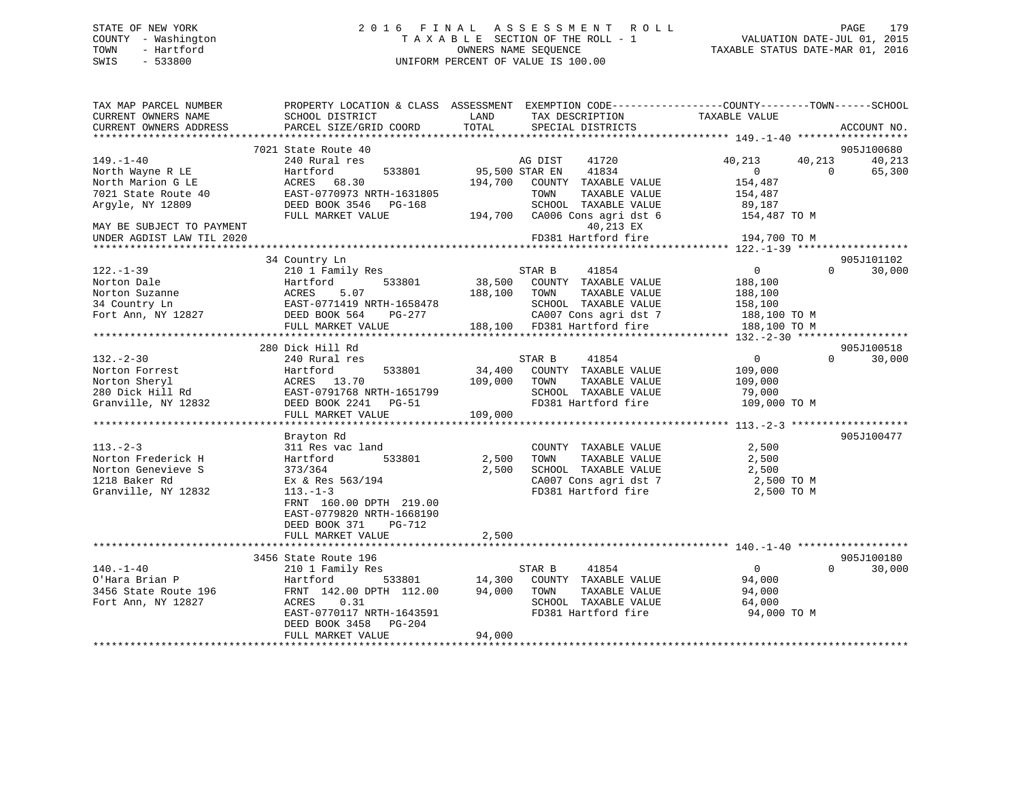# STATE OF NEW YORK 2 0 1 6 F I N A L A S S E S S M E N T R O L L PAGE 179 COUNTY - Washington T A X A B L E SECTION OF THE ROLL - 1 VALUATION DATE-JUL 01, 2015 TOWN - Hartford **TAXABLE STATUS DATE-MAR 01, 2016** OWNERS NAME SEQUENCE TAXABLE STATUS DATE-MAR 01, 2016 SWIS - 533800 UNIFORM PERCENT OF VALUE IS 100.00

| TAX MAP PARCEL NUMBER                         | PROPERTY LOCATION & CLASS ASSESSMENT EXEMPTION CODE----------------COUNTY-------TOWN-----SCHOOL | LAND           |                                      |                                                                   |          |             |
|-----------------------------------------------|-------------------------------------------------------------------------------------------------|----------------|--------------------------------------|-------------------------------------------------------------------|----------|-------------|
| CURRENT OWNERS NAME<br>CURRENT OWNERS ADDRESS | SCHOOL DISTRICT<br>PARCEL SIZE/GRID COORD                                                       | TOTAL          | TAX DESCRIPTION<br>SPECIAL DISTRICTS | TAXABLE VALUE                                                     |          | ACCOUNT NO. |
| *************************                     |                                                                                                 |                |                                      |                                                                   |          |             |
|                                               | 7021 State Route 40                                                                             |                |                                      |                                                                   |          | 905J100680  |
| $149. - 1 - 40$                               | 240 Rural res                                                                                   |                | 41720<br>AG DIST                     | 40,213                                                            | 40,213   | 40,213      |
| North Wayne R LE                              | Hartford<br>533801                                                                              | 95,500 STAR EN | 41834                                | $\overline{0}$                                                    | $\Omega$ | 65,300      |
| North Marion G LE                             | ACRES<br>68.30                                                                                  | 194,700        | COUNTY TAXABLE VALUE                 | 154,487                                                           |          |             |
| 7021 State Route 40                           | EAST-0770973 NRTH-1631805                                                                       |                | TAXABLE VALUE<br>TOWN                | 154,487                                                           |          |             |
| Argyle, NY 12809                              | DEED BOOK 3546<br>PG-168                                                                        |                | SCHOOL TAXABLE VALUE                 | 89,187                                                            |          |             |
|                                               | FULL MARKET VALUE                                                                               |                | 194,700 CA006 Cons agri dst 6        | 154,487 TO M                                                      |          |             |
| MAY BE SUBJECT TO PAYMENT                     |                                                                                                 |                | 40,213 EX                            |                                                                   |          |             |
| UNDER AGDIST LAW TIL 2020                     |                                                                                                 |                | FD381 Hartford fire                  | 194,700 TO M<br>******************* 122.-1-39 ******************* |          |             |
|                                               | 34 Country Ln                                                                                   |                |                                      |                                                                   |          | 905J101102  |
| $122. - 1 - 39$                               | 210 1 Family Res                                                                                |                | STAR B<br>41854                      | $\overline{0}$                                                    | $\Omega$ | 30,000      |
| Norton Dale                                   | Hartford<br>533801                                                                              | 38,500         | COUNTY TAXABLE VALUE                 | 188,100                                                           |          |             |
| Norton Suzanne                                | ACRES<br>5.07                                                                                   | 188,100        | TOWN<br>TAXABLE VALUE                | 188,100                                                           |          |             |
| 34 Country Ln                                 | EAST-0771419 NRTH-1658478                                                                       |                | SCHOOL TAXABLE VALUE                 | 158,100                                                           |          |             |
| Fort Ann, NY 12827                            | PG-277                                                                                          |                | CA007 Cons agri dst 7                |                                                                   |          |             |
|                                               | DEED BOOK 564<br>FULL MARKET VALUE                                                              |                | 188,100 FD381 Hartford fire          | 188,100 TO M<br>188,100 TO M                                      |          |             |
|                                               |                                                                                                 |                |                                      |                                                                   |          |             |
|                                               | 280 Dick Hill Rd                                                                                |                |                                      |                                                                   |          | 905J100518  |
| $132 - 2 - 30$                                | 240 Rural res                                                                                   |                | 41854<br>STAR B                      | $\overline{0}$                                                    | $\Omega$ | 30,000      |
| Norton Forrest                                | Hartford<br>533801                                                                              | 34,400         | COUNTY TAXABLE VALUE                 | 109,000                                                           |          |             |
| Norton Sheryl                                 | ACRES 13.70                                                                                     | 109,000        | TAXABLE VALUE<br>TOWN                | 109,000                                                           |          |             |
| 280 Dick Hill Rd                              | EAST-0791768 NRTH-1651799                                                                       |                | SCHOOL TAXABLE VALUE                 | 79,000                                                            |          |             |
| Granville, NY 12832                           | DEED BOOK 2241 PG-51                                                                            |                | FD381 Hartford fire                  | 109,000 TO M                                                      |          |             |
|                                               | FULL MARKET VALUE                                                                               | 109,000        |                                      |                                                                   |          |             |
|                                               |                                                                                                 |                |                                      |                                                                   |          |             |
|                                               | Brayton Rd                                                                                      |                |                                      |                                                                   |          | 905J100477  |
| $113. - 2 - 3$                                | 311 Res vac land                                                                                |                | COUNTY TAXABLE VALUE                 | 2,500                                                             |          |             |
| Norton Frederick H                            | 533801<br>Hartford                                                                              | 2,500          | TAXABLE VALUE<br>TOWN                | 2,500                                                             |          |             |
| Norton Genevieve S                            | 373/364                                                                                         | 2,500          | SCHOOL TAXABLE VALUE                 | 2,500                                                             |          |             |
| 1218 Baker Rd                                 | Ex & Res 563/194                                                                                |                | CA007 Cons agri dst 7                | 2,500 TO M                                                        |          |             |
| Granville, NY 12832                           | $113. - 1 - 3$                                                                                  |                | FD381 Hartford fire                  | 2,500 TO M                                                        |          |             |
|                                               | FRNT 160.00 DPTH 219.00                                                                         |                |                                      |                                                                   |          |             |
|                                               | EAST-0779820 NRTH-1668190                                                                       |                |                                      |                                                                   |          |             |
|                                               | DEED BOOK 371<br>PG-712                                                                         |                |                                      |                                                                   |          |             |
|                                               | FULL MARKET VALUE                                                                               | 2,500          |                                      |                                                                   |          |             |
|                                               |                                                                                                 |                |                                      |                                                                   |          |             |
|                                               | 3456 State Route 196                                                                            |                |                                      |                                                                   |          | 905J100180  |
| $140. - 1 - 40$                               | 210 1 Family Res                                                                                |                | STAR B<br>41854                      | $\overline{0}$                                                    | $\Omega$ | 30,000      |
| O'Hara Brian P                                | Hartford<br>533801                                                                              | 14,300         | COUNTY TAXABLE VALUE                 | 94,000                                                            |          |             |
| 3456 State Route 196                          | FRNT 142.00 DPTH 112.00                                                                         | 94,000         | TOWN<br>TAXABLE VALUE                | 94,000                                                            |          |             |
| Fort Ann, NY 12827                            | 0.31<br>ACRES                                                                                   |                | SCHOOL TAXABLE VALUE                 | 64,000                                                            |          |             |
|                                               | EAST-0770117 NRTH-1643591                                                                       |                | FD381 Hartford fire                  | 94,000 TO M                                                       |          |             |
|                                               | DEED BOOK 3458<br>PG-204                                                                        |                |                                      |                                                                   |          |             |
|                                               | FULL MARKET VALUE                                                                               | 94,000         |                                      |                                                                   |          |             |
|                                               |                                                                                                 |                |                                      |                                                                   |          |             |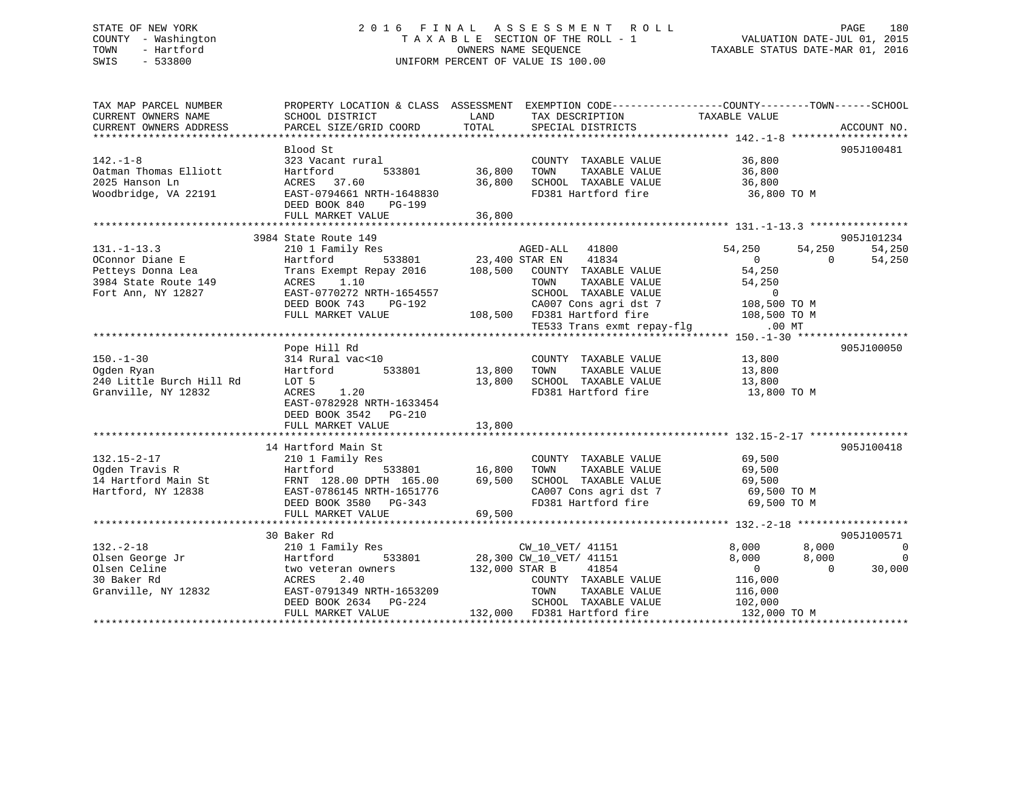# STATE OF NEW YORK 2 0 1 6 F I N A L A S S E S S M E N T R O L L PAGE 180 COUNTY - Washington T A X A B L E SECTION OF THE ROLL - 1 VALUATION DATE-JUL 01, 2015 TOWN - Hartford **TAXABLE STATUS DATE-MAR 01, 2016** OWNERS NAME SEQUENCE TAXABLE STATUS DATE-MAR 01, 2016 SWIS - 533800 UNIFORM PERCENT OF VALUE IS 100.00

| TAX MAP PARCEL NUMBER<br>CURRENT OWNERS NAME | SCHOOL DISTRICT           | LAND                             | PROPERTY LOCATION & CLASS ASSESSMENT EXEMPTION CODE---------------COUNTY-------TOWN------SCHOOL<br>TAX DESCRIPTION | TAXABLE VALUE              |                |
|----------------------------------------------|---------------------------|----------------------------------|--------------------------------------------------------------------------------------------------------------------|----------------------------|----------------|
| CURRENT OWNERS ADDRESS                       | PARCEL SIZE/GRID COORD    | TOTAL                            | SPECIAL DISTRICTS                                                                                                  |                            | ACCOUNT NO.    |
|                                              | Blood St                  |                                  |                                                                                                                    |                            | 905J100481     |
| $142. - 1 - 8$                               | 323 Vacant rural          |                                  | COUNTY TAXABLE VALUE                                                                                               | 36,800                     |                |
| Oatman Thomas Elliott                        | Hartford<br>533801        | 36,800                           | TOWN<br>TAXABLE VALUE                                                                                              | 36,800                     |                |
| 2025 Hanson Ln                               | ACRES 37.60               | 36,800                           | SCHOOL TAXABLE VALUE                                                                                               | 36,800                     |                |
| Woodbridge, VA 22191                         | EAST-0794661 NRTH-1648830 |                                  | FD381 Hartford fire                                                                                                | 36,800 TO M                |                |
|                                              | DEED BOOK 840<br>PG-199   |                                  |                                                                                                                    |                            |                |
|                                              | FULL MARKET VALUE         | 36,800                           |                                                                                                                    |                            |                |
|                                              |                           |                                  |                                                                                                                    |                            |                |
|                                              | 3984 State Route 149      |                                  |                                                                                                                    |                            | 905J101234     |
| $131. - 1 - 13.3$                            | 210 1 Family Res          |                                  | AGED-ALL<br>41800                                                                                                  | 54,250<br>54,250           | 54,250         |
| OConnor Diane E                              | Hartford<br>533801        |                                  | 41834                                                                                                              | $\Omega$<br>$\Omega$       | 54,250         |
| Petteys Donna Lea                            | Trans Exempt Repay 2016   | 23,400 STAR EN<br>108,500 COUNTY | COUNTY TAXABLE VALUE                                                                                               | 54,250                     |                |
| 3984 State Route 149                         | ACRES<br>1.10             |                                  | TOWN<br>TAXABLE VALUE                                                                                              | 54,250                     |                |
| Fort Ann, NY 12827                           | EAST-0770272 NRTH-1654557 |                                  | SCHOOL TAXABLE VALUE                                                                                               | $\overline{0}$             |                |
|                                              | DEED BOOK 743<br>PG-192   |                                  | CA007 Cons agri dst 7                                                                                              | 108,500 TO M               |                |
|                                              | FULL MARKET VALUE         |                                  | 108,500 FD381 Hartford fire                                                                                        | 108,500 TO M               |                |
|                                              |                           |                                  | TE533 Trans exmt repay-flg                                                                                         | $.00$ MT                   |                |
|                                              |                           |                                  |                                                                                                                    |                            |                |
|                                              | Pope Hill Rd              |                                  |                                                                                                                    |                            | 905J100050     |
| $150. - 1 - 30$                              | 314 Rural vac<10          |                                  | COUNTY TAXABLE VALUE                                                                                               | $\frac{13,800}{12}$        |                |
| Oqden Ryan                                   | 533801<br>Hartford        | 13,800                           | TAXABLE VALUE<br>TOWN                                                                                              |                            |                |
| 240 Little Burch Hill Rd                     | LOT 5                     | 13,800                           | SCHOOL TAXABLE VALUE                                                                                               | 13,800                     |                |
| Granville, NY 12832                          | 1.20<br>ACRES             |                                  | FD381 Hartford fire                                                                                                | 13,800 TO M                |                |
|                                              | EAST-0782928 NRTH-1633454 |                                  |                                                                                                                    |                            |                |
|                                              | DEED BOOK 3542 PG-210     |                                  |                                                                                                                    |                            |                |
|                                              | FULL MARKET VALUE         | 13,800                           |                                                                                                                    |                            |                |
|                                              |                           |                                  |                                                                                                                    |                            |                |
|                                              | 14 Hartford Main St       |                                  |                                                                                                                    |                            | 905J100418     |
| $132.15 - 2 - 17$                            | 210 1 Family Res          |                                  | COUNTY TAXABLE VALUE                                                                                               | 69,500                     |                |
| Ogden Travis R                               | Hartford<br>533801        | 16,800                           | TAXABLE VALUE<br>TOWN                                                                                              | 69,500                     |                |
| 14 Hartford Main St                          | FRNT 128.00 DPTH 165.00   | 69,500                           | SCHOOL TAXABLE VALUE                                                                                               | 69,500                     |                |
| Hartford, NY 12838                           | EAST-0786145 NRTH-1651776 |                                  | CA007 Cons agri dst 7<br>CA007 Cons agri dst 7                                                                     | 69,500 TO M                |                |
|                                              | DEED BOOK 3580 PG-343     |                                  |                                                                                                                    | 69,500 TO M                |                |
|                                              | FULL MARKET VALUE         | 69,500                           |                                                                                                                    |                            |                |
|                                              |                           |                                  |                                                                                                                    |                            |                |
|                                              | 30 Baker Rd               |                                  |                                                                                                                    |                            | 905J100571     |
| $132. - 2 - 18$                              | 210 1 Family Res          |                                  | CW_10_VET/ 41151                                                                                                   | 8,000<br>8,000             | $\overline{0}$ |
| Olsen George Jr                              | 533801<br>Hartford        |                                  | 28,300 CW_10_VET/ 41151                                                                                            | 8,000<br>8,000             |                |
| Olsen Celine                                 | two veteran owners        | 132,000 STAR B                   | 41854                                                                                                              | $\overline{0}$<br>$\Omega$ | 30,000         |
| 30 Baker Rd                                  | 2.40<br>ACRES             |                                  | COUNTY TAXABLE VALUE                                                                                               | 116,000                    |                |
| Granville, NY 12832                          | EAST-0791349 NRTH-1653209 |                                  | TOWN<br>TAXABLE VALUE                                                                                              | 116,000                    |                |
|                                              | DEED BOOK 2634 PG-224     |                                  | SCHOOL TAXABLE VALUE                                                                                               | 102,000                    |                |
|                                              | FULL MARKET VALUE         |                                  | 132,000 FD381 Hartford fire                                                                                        | 132,000 TO M               |                |
|                                              |                           |                                  |                                                                                                                    |                            |                |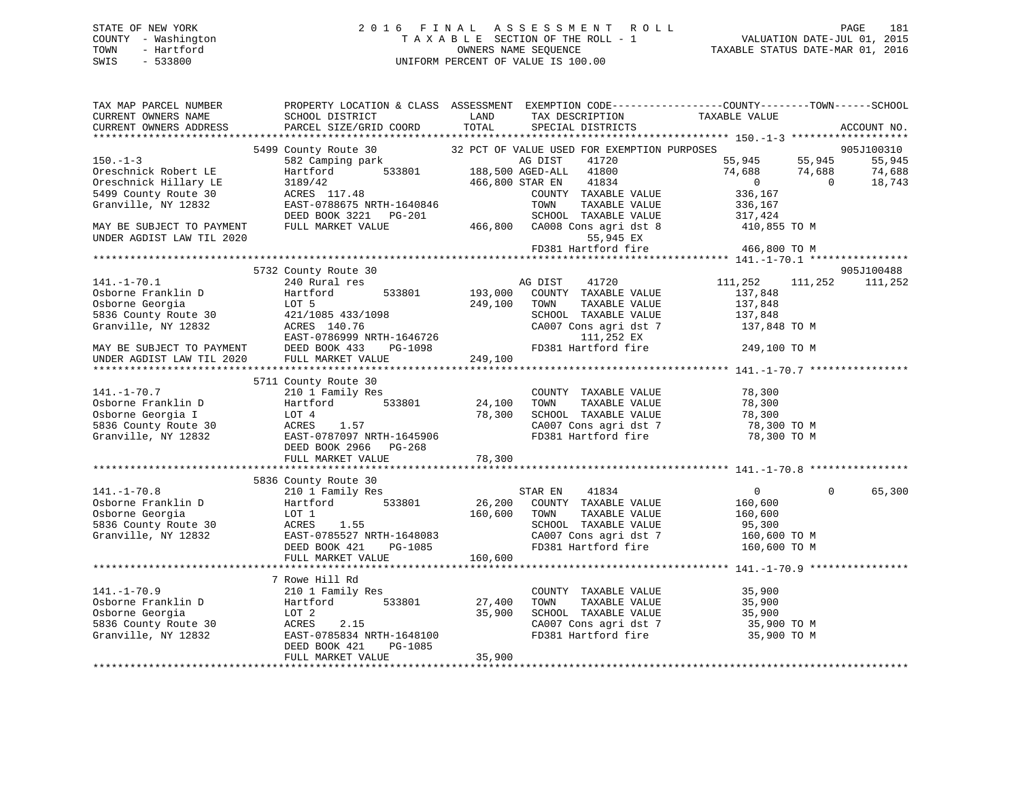## STATE OF NEW YORK 2 0 1 6 F I N A L A S S E S S M E N T R O L L PAGE 181 COUNTY - Washington T A X A B L E SECTION OF THE ROLL - 1 VALUATION DATE-JUL 01, 2015 TOWN - Hartford **TAXABLE STATUS DATE-MAR 01, 2016** OWNERS NAME SEQUENCE TAXABLE STATUS DATE-MAR 01, 2016 SWIS - 533800 UNIFORM PERCENT OF VALUE IS 100.00

| TAX MAP PARCEL NUMBER                                                                                                                                                                                                                                            | PROPERTY LOCATION & CLASS ASSESSMENT EXEMPTION CODE----------------COUNTY-------TOWN------SCHOOL                                                                                                                               |              |                                                                  |                                                          |          |             |
|------------------------------------------------------------------------------------------------------------------------------------------------------------------------------------------------------------------------------------------------------------------|--------------------------------------------------------------------------------------------------------------------------------------------------------------------------------------------------------------------------------|--------------|------------------------------------------------------------------|----------------------------------------------------------|----------|-------------|
| CURRENT OWNERS NAME                                                                                                                                                                                                                                              | SCHOOL DISTRICT                                                                                                                                                                                                                | LAND         | TAX DESCRIPTION                                                  | TAXABLE VALUE                                            |          |             |
| CURRENT OWNERS ADDRESS                                                                                                                                                                                                                                           | PARCEL SIZE/GRID COORD                                                                                                                                                                                                         | TOTAL        | SPECIAL DISTRICTS                                                |                                                          |          | ACCOUNT NO. |
|                                                                                                                                                                                                                                                                  |                                                                                                                                                                                                                                |              |                                                                  |                                                          |          |             |
|                                                                                                                                                                                                                                                                  | 5499 County Route 30 32 PCT OF VALUE USED FOR EXEMPTION PURPOSES                                                                                                                                                               |              |                                                                  |                                                          |          | 905J100310  |
| $150. - 1 - 3$                                                                                                                                                                                                                                                   | 188,500 AG DIST 41720<br>Hartford 533801 188,500 AGED-ALL 41800<br>188,500 AGED-ALL 41800                                                                                                                                      |              | 41720                                                            | 55,945 55,945 55,945<br>74,688 74,688 74,688<br>0 18,743 |          |             |
| Oreschnick Robert LE                                                                                                                                                                                                                                             |                                                                                                                                                                                                                                |              |                                                                  |                                                          |          |             |
| Oreschnick Hillary LE                                                                                                                                                                                                                                            | 3189/42<br>ACRES 117.48                                                                                                                                                                                                        |              | 466,800 STAR EN 41834                                            |                                                          |          |             |
| 5499 County Route 30                                                                                                                                                                                                                                             | ACRES 117.48<br>EAST-0788675 NRTH-1640846                                                                                                                                                                                      |              | COUNTY TAXABLE VALUE                                             | 336,167                                                  |          |             |
| Granville, NY 12832                                                                                                                                                                                                                                              |                                                                                                                                                                                                                                |              | TOWN<br>TAXABLE VALUE                                            | 336,167                                                  |          |             |
| MAY BE SUBJECT TO PAYMENT                                                                                                                                                                                                                                        | DEED BOOK 3221 PG-201 SCHOOL TAXABLE VALUE<br>FULL MARKET VALUE 466,800 CA008 Cons agri dst 8                                                                                                                                  |              | SCHOOL TAXABLE VALUE 317,424                                     | 410,855 TO M                                             |          |             |
| UNDER AGDIST LAW TIL 2020                                                                                                                                                                                                                                        |                                                                                                                                                                                                                                |              | 55,945 EX                                                        |                                                          |          |             |
|                                                                                                                                                                                                                                                                  |                                                                                                                                                                                                                                |              | $FD381$ Hartford fire $466,800$ TO M                             |                                                          |          |             |
|                                                                                                                                                                                                                                                                  |                                                                                                                                                                                                                                |              |                                                                  |                                                          |          |             |
|                                                                                                                                                                                                                                                                  | 5732 County Route 30                                                                                                                                                                                                           |              |                                                                  |                                                          |          | 905J100488  |
| 141.-1-70.1<br>Osborne Franklin D                                                                                                                                                                                                                                | 240 Rural res                                                                                                                                                                                                                  |              | AG DIST 41720                                                    | 111,252                                                  | 111,252  | 111,252     |
|                                                                                                                                                                                                                                                                  | Hartford                                                                                                                                                                                                                       |              | 533801 193,000 COUNTY TAXABLE VALUE                              | 137,848                                                  |          |             |
|                                                                                                                                                                                                                                                                  | LOT 5                                                                                                                                                                                                                          | 249,100 TOWN | TAXABLE VALUE                                                    | 137,848                                                  |          |             |
|                                                                                                                                                                                                                                                                  |                                                                                                                                                                                                                                |              | SCHOOL TAXABLE VALUE                                             |                                                          |          |             |
|                                                                                                                                                                                                                                                                  |                                                                                                                                                                                                                                |              | $CAO07$ Cons agri dst 7                                          | 137,848<br>137,848 TO M                                  |          |             |
| 5836 County Route 30<br>Granville, NY 12832<br>EAST-0786999 NRTH-1646726                                                                                                                                                                                         |                                                                                                                                                                                                                                |              |                                                                  |                                                          |          |             |
| MAY BE SUBJECT TO PAYMENT                                                                                                                                                                                                                                        | EAU CAU CONS AGE THAT ASSESS THAT A CAUSE ON THE CAUSE OF THE CAUSE OF THE CAUSE OF THE CAUSE OF THE CAUSE OF THE CAUSE OF THE CAUSE OF THE CAUSE OF THE CAUSE OF THE CAUSE OF THE CAUSE OF THE CAUSE OF THE CAUSE OF THE CAUS |              |                                                                  |                                                          |          |             |
| UNDER AGDIST LAW TIL 2020                                                                                                                                                                                                                                        | FULL MARKET VALUE                                                                                                                                                                                                              | 249,100      |                                                                  |                                                          |          |             |
|                                                                                                                                                                                                                                                                  |                                                                                                                                                                                                                                |              |                                                                  |                                                          |          |             |
|                                                                                                                                                                                                                                                                  | 5711 County Route 30                                                                                                                                                                                                           |              |                                                                  |                                                          |          |             |
| $141. - 1 - 70.7$                                                                                                                                                                                                                                                | 210 1 Family Res<br>Hartford 533801                                                                                                                                                                                            | 24,100       | COUNTY TAXABLE VALUE 78,300                                      |                                                          |          |             |
|                                                                                                                                                                                                                                                                  |                                                                                                                                                                                                                                |              | TOWN<br>TAXABLE VALUE                                            | 78,300                                                   |          |             |
|                                                                                                                                                                                                                                                                  |                                                                                                                                                                                                                                |              | SCHOOL TAXABLE VALUE 78,300<br>CA007 Cons agri dst 7 78,300 TO M |                                                          |          |             |
|                                                                                                                                                                                                                                                                  |                                                                                                                                                                                                                                |              |                                                                  |                                                          |          |             |
| 141.-1-70.7 210 1 Family Res<br>0sborne Franklin D Hartford 533801 24,100<br>0sborne Georgia I LOT 4 78,300<br>5836 County Route 30 ACRES 1.57<br>Granville, NY 12832 EAST-0787097 NRTH-1645906                                                                  |                                                                                                                                                                                                                                |              | FD381 Hartford fire 78,300 TO M                                  |                                                          |          |             |
|                                                                                                                                                                                                                                                                  | DEED BOOK 2966 PG-268                                                                                                                                                                                                          |              |                                                                  |                                                          |          |             |
|                                                                                                                                                                                                                                                                  | FULL MARKET VALUE                                                                                                                                                                                                              | 78,300       |                                                                  |                                                          |          |             |
|                                                                                                                                                                                                                                                                  |                                                                                                                                                                                                                                |              |                                                                  |                                                          |          |             |
|                                                                                                                                                                                                                                                                  | 5836 County Route 30                                                                                                                                                                                                           |              |                                                                  |                                                          |          |             |
| $141. - 1 - 70.8$                                                                                                                                                                                                                                                | 210 1 Family Res                                                                                                                                                                                                               |              | STAR EN<br>41834                                                 | $0 \qquad \qquad$                                        | $\Omega$ | 65,300      |
|                                                                                                                                                                                                                                                                  |                                                                                                                                                                                                                                |              | 26,200 COUNTY TAXABLE VALUE                                      | 160,600                                                  |          |             |
|                                                                                                                                                                                                                                                                  |                                                                                                                                                                                                                                | 160,600 TOWN | TAXABLE VALUE                                                    | 160,600<br>95,300                                        |          |             |
|                                                                                                                                                                                                                                                                  |                                                                                                                                                                                                                                |              | SCHOOL TAXABLE VALUE                                             |                                                          |          |             |
|                                                                                                                                                                                                                                                                  |                                                                                                                                                                                                                                |              | CA007 Cons agri dst 7<br>FD381 Hartford fire                     | 160,600 TO M                                             |          |             |
| 141.-1-70.8 210 1 Family Res<br>0sborne Franklin D<br>0sborne Georgia LOT 1<br>5336 County Route 30 ACRES 1.55<br>Granville, NY 12832 EAST-0785527 NRTH-1648083<br>DEED BOOK 421 PG-1085                                                                         |                                                                                                                                                                                                                                | $PG-1085$    |                                                                  | 160,600 TO M                                             |          |             |
|                                                                                                                                                                                                                                                                  | FULL MARKET VALUE                                                                                                                                                                                                              | 160,600      |                                                                  |                                                          |          |             |
|                                                                                                                                                                                                                                                                  |                                                                                                                                                                                                                                |              |                                                                  |                                                          |          |             |
|                                                                                                                                                                                                                                                                  | 7 Rowe Hill Rd                                                                                                                                                                                                                 |              |                                                                  |                                                          |          |             |
|                                                                                                                                                                                                                                                                  | 210 1 Family Res                                                                                                                                                                                                               | 27,400       | COUNTY TAXABLE VALUE                                             | 35,900<br>35,900                                         |          |             |
|                                                                                                                                                                                                                                                                  | 533801                                                                                                                                                                                                                         |              | TOWN<br>TAXABLE VALUE                                            |                                                          |          |             |
|                                                                                                                                                                                                                                                                  |                                                                                                                                                                                                                                | 35,900       | SCHOOL TAXABLE VALUE 35,900<br>CA007 Cons agri dst 7 35,900 TO M |                                                          |          |             |
|                                                                                                                                                                                                                                                                  |                                                                                                                                                                                                                                |              |                                                                  |                                                          |          |             |
|                                                                                                                                                                                                                                                                  | ACRES 2.15<br>EAST-0785834 NRTH-1648100                                                                                                                                                                                        |              | FD381 Hartford fire                                              | 35,900 TO M                                              |          |             |
| 141.-1-70.9<br>Osborne Franklin D<br>Osborne Georgia<br>5836 County Route 30<br>Granville, NY 12832<br>The EAST-0785834 NR7<br>DEED BOOK 421<br>CHATES<br>COLOGER 2.15<br>CHATES<br>CHATES<br>CHATES<br>CHATES<br>CHATES<br>CHATES<br>CHATES<br>CHATES<br>CHATES | PG-1085                                                                                                                                                                                                                        |              |                                                                  |                                                          |          |             |
|                                                                                                                                                                                                                                                                  | FULL MARKET VALUE                                                                                                                                                                                                              | 35,900       |                                                                  |                                                          |          |             |
|                                                                                                                                                                                                                                                                  |                                                                                                                                                                                                                                |              |                                                                  |                                                          |          |             |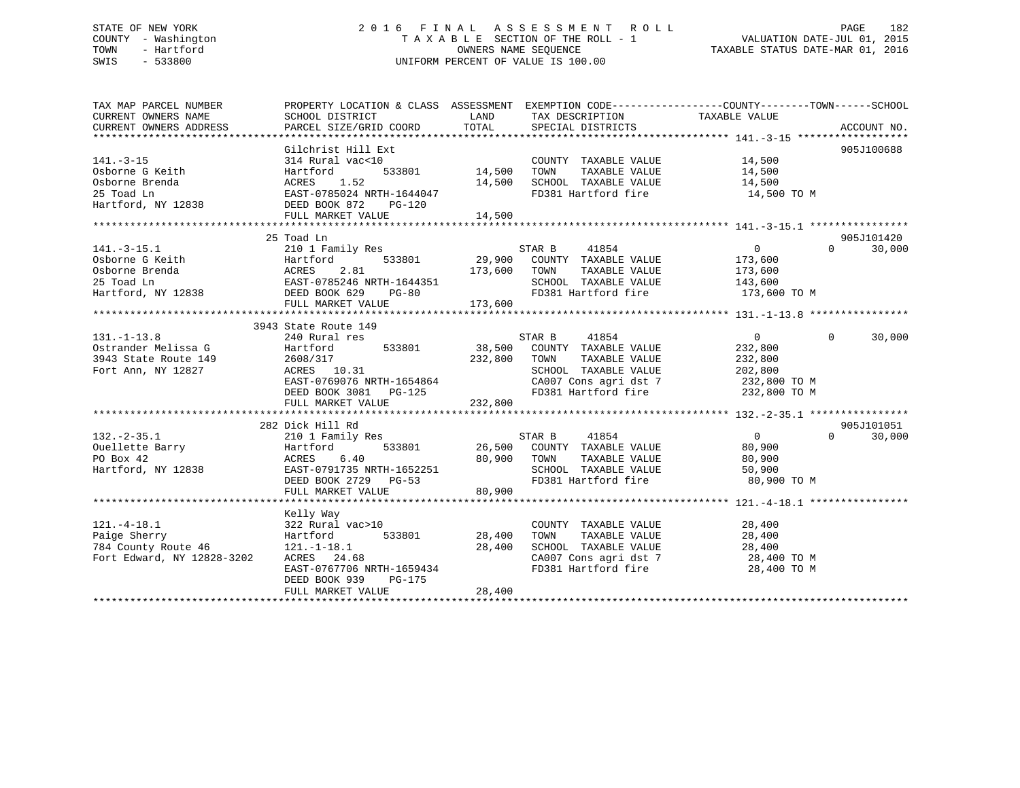## STATE OF NEW YORK 2 0 1 6 F I N A L A S S E S S M E N T R O L L PAGE 182 COUNTY - Washington T A X A B L E SECTION OF THE ROLL - 1 VALUATION DATE-JUL 01, 2015 TOWN - Hartford **TAXABLE STATUS DATE-MAR 01, 2016** OWNERS NAME SEQUENCE TAXABLE STATUS DATE-MAR 01, 2016 SWIS - 533800 UNIFORM PERCENT OF VALUE IS 100.00

| TAX MAP PARCEL NUMBER                                                                                                                                                                                                                | PROPERTY LOCATION & CLASS ASSESSMENT EXEMPTION CODE---------------COUNTY-------TOWN-----SCHOOL |                    |                                                                                                                                                                                                                                                |                |                    |
|--------------------------------------------------------------------------------------------------------------------------------------------------------------------------------------------------------------------------------------|------------------------------------------------------------------------------------------------|--------------------|------------------------------------------------------------------------------------------------------------------------------------------------------------------------------------------------------------------------------------------------|----------------|--------------------|
| CURRENT OWNERS NAME                                                                                                                                                                                                                  | SCHOOL DISTRICT                                                                                | LAND               | TAX DESCRIPTION                                                                                                                                                                                                                                | TAXABLE VALUE  |                    |
| CURRENT OWNERS ADDRESS                                                                                                                                                                                                               | PARCEL SIZE/GRID COORD                                                                         | TOTAL              | SPECIAL DISTRICTS                                                                                                                                                                                                                              |                | ACCOUNT NO.        |
|                                                                                                                                                                                                                                      |                                                                                                |                    |                                                                                                                                                                                                                                                |                |                    |
|                                                                                                                                                                                                                                      | Gilchrist Hill Ext                                                                             |                    |                                                                                                                                                                                                                                                |                | 905J100688         |
| $141. - 3 - 15$                                                                                                                                                                                                                      | 314 Rural vac<10                                                                               |                    | $\begin{tabular}{lllllllll} \multicolumn{2}{c}{\textbf{COUNTY}} & \textbf{TAXABLE} & \textbf{VALUE} & & 14,500 \\ \multicolumn{2}{c}{\textbf{TAYABLE: VALUE}} & & & 14,500 \\ \multicolumn{2}{c}{\textbf{TAYABLE: VALUE}} & & & \end{tabular}$ |                |                    |
| Osborne G Keith                                                                                                                                                                                                                      | Hartford                                                                                       | 533801 14,500 TOWN | TAXABLE VALUE                                                                                                                                                                                                                                  |                |                    |
| Osborne Brenda                                                                                                                                                                                                                       |                                                                                                |                    | 14,500 SCHOOL TAXABLE VALUE 14,500                                                                                                                                                                                                             |                |                    |
| 25 Toad Ln                                                                                                                                                                                                                           |                                                                                                |                    | FD381 Hartford fire                                                                                                                                                                                                                            | 14,500 TO M    |                    |
| Hartford, NY 12838 DEED BOOK 872 PG-120                                                                                                                                                                                              | ACRES 1.52<br>EAST-0785024 NRTH-1644047<br>EAST-079 PG-120                                     |                    |                                                                                                                                                                                                                                                |                |                    |
|                                                                                                                                                                                                                                      |                                                                                                |                    |                                                                                                                                                                                                                                                |                |                    |
|                                                                                                                                                                                                                                      |                                                                                                |                    |                                                                                                                                                                                                                                                |                |                    |
|                                                                                                                                                                                                                                      | 25 Toad Ln                                                                                     |                    |                                                                                                                                                                                                                                                |                | 905J101420         |
|                                                                                                                                                                                                                                      |                                                                                                |                    | $\begin{array}{ccccccccc} \texttt{533801} & & & & \texttt{STAR B} & & & \texttt{41854} & & & & & 0 \\ \texttt{533801} & & & & \texttt{29,900} & & \texttt{COUNTY} & & \texttt{TAXABLE VALUE} & & & & \texttt{173,600} \end{array}$             | $\overline{0}$ | $\Omega$<br>30,000 |
|                                                                                                                                                                                                                                      |                                                                                                |                    |                                                                                                                                                                                                                                                |                |                    |
|                                                                                                                                                                                                                                      |                                                                                                | 173,600 TOWN       | TAXABLE VALUE 173,600                                                                                                                                                                                                                          |                |                    |
|                                                                                                                                                                                                                                      |                                                                                                |                    | SCHOOL TAXABLE VALUE                                                                                                                                                                                                                           | 143,600        |                    |
| 141.-3-15.1<br>Osborne G Keith<br>Osborne Brenda<br>25 Toad Ln<br>26 Toad Ln<br>25 Toad Ln<br>26 Toad Ln<br>26 Toad Ln<br>26 Toad Ln<br>26 Toad Ln<br>26 Toad Ln<br>26 Toad Ln<br>26 Toad Ln<br>26 Toad Ln<br>26 DEED BOOK 629 PG-80 |                                                                                                | $PG-80$            | FD381 Hartford fire 173,600 TO M                                                                                                                                                                                                               |                |                    |
|                                                                                                                                                                                                                                      | FULL MARKET VALUE                                                                              | 173,600            |                                                                                                                                                                                                                                                |                |                    |
|                                                                                                                                                                                                                                      |                                                                                                |                    |                                                                                                                                                                                                                                                |                |                    |
|                                                                                                                                                                                                                                      | 3943 State Route 149                                                                           |                    |                                                                                                                                                                                                                                                |                |                    |
| $131. - 1 - 13.8$                                                                                                                                                                                                                    | 240 Rural res                                                                                  |                    | STAR B 41854                                                                                                                                                                                                                                   | $\overline{0}$ | $\Omega$<br>30,000 |
| Ostrander Melissa G                                                                                                                                                                                                                  | Hartford 533801 38,500 COUNTY TAXABLE VALUE                                                    |                    |                                                                                                                                                                                                                                                | 232,800        |                    |
| 3943 State Route 149                                                                                                                                                                                                                 | 2608/317<br>ACRES 10.31                                                                        | 232,800 TOWN       | TAXABLE VALUE 232,800                                                                                                                                                                                                                          |                |                    |
| Fort Ann, NY 12827                                                                                                                                                                                                                   |                                                                                                |                    |                                                                                                                                                                                                                                                |                |                    |
|                                                                                                                                                                                                                                      | EAST-0769076 NRTH-1654864                                                                      |                    | SCHOOL TAXABLE VALUE 202,800<br>CA007 Cons agri dst 7 232,800 TO M                                                                                                                                                                             |                |                    |
|                                                                                                                                                                                                                                      |                                                                                                |                    |                                                                                                                                                                                                                                                |                |                    |
|                                                                                                                                                                                                                                      |                                                                                                |                    |                                                                                                                                                                                                                                                |                |                    |
|                                                                                                                                                                                                                                      |                                                                                                |                    |                                                                                                                                                                                                                                                |                |                    |
|                                                                                                                                                                                                                                      | 282 Dick Hill Rd                                                                               |                    |                                                                                                                                                                                                                                                |                | 905J101051         |
| $132. - 2 - 35.1$                                                                                                                                                                                                                    | 210 1 Family Res                                                                               |                    | STAR B 41854                                                                                                                                                                                                                                   | $\overline{0}$ | 30,000<br>$\Omega$ |
|                                                                                                                                                                                                                                      |                                                                                                |                    | 533801 26,500 COUNTY TAXABLE VALUE 80,900                                                                                                                                                                                                      |                |                    |
|                                                                                                                                                                                                                                      |                                                                                                | 80,900 TOWN        | TAXABLE VALUE                                                                                                                                                                                                                                  | 80,900         |                    |
| Powellette Barry<br>Po Box 42<br>Hartford, NY 12838<br>Hartford, NY 12838<br>EAST-0791735 NRTH-1652251                                                                                                                               |                                                                                                |                    | SCHOOL TAXABLE VALUE                                                                                                                                                                                                                           | 50,900         |                    |
|                                                                                                                                                                                                                                      | DEED BOOK 2729 PG-53                                                                           |                    | FD381 Hartford fire 30,900 TO M                                                                                                                                                                                                                |                |                    |
|                                                                                                                                                                                                                                      | FULL MARKET VALUE                                                                              | 80,900             |                                                                                                                                                                                                                                                |                |                    |
|                                                                                                                                                                                                                                      |                                                                                                |                    |                                                                                                                                                                                                                                                |                |                    |
|                                                                                                                                                                                                                                      | Kelly Way                                                                                      |                    |                                                                                                                                                                                                                                                |                |                    |
|                                                                                                                                                                                                                                      |                                                                                                |                    | COUNTY TAXABLE VALUE 28,400                                                                                                                                                                                                                    |                |                    |
|                                                                                                                                                                                                                                      |                                                                                                | 533801 28,400      | TAXABLE VALUE 28,400<br>TOWN                                                                                                                                                                                                                   |                |                    |
| 121.-4-18.1<br>Paige Sherry<br>784 County Route 46<br>784 County Route 46<br>Fort Edward, NY 12828-3202<br>202 ACRES 24.68                                                                                                           |                                                                                                | 28,400             |                                                                                                                                                                                                                                                |                |                    |
|                                                                                                                                                                                                                                      |                                                                                                |                    | SCHOOL TAXABLE VALUE 28,400<br>CA007 Cons agri dst 7 28,400 TO M                                                                                                                                                                               |                |                    |
|                                                                                                                                                                                                                                      | EAST-0767706 NRTH-1659434                                                                      |                    | FD381 Hartford fire 28,400 TO M                                                                                                                                                                                                                |                |                    |
|                                                                                                                                                                                                                                      | DEED BOOK 939<br>PG-175                                                                        |                    |                                                                                                                                                                                                                                                |                |                    |
|                                                                                                                                                                                                                                      |                                                                                                |                    |                                                                                                                                                                                                                                                |                |                    |
|                                                                                                                                                                                                                                      |                                                                                                |                    |                                                                                                                                                                                                                                                |                |                    |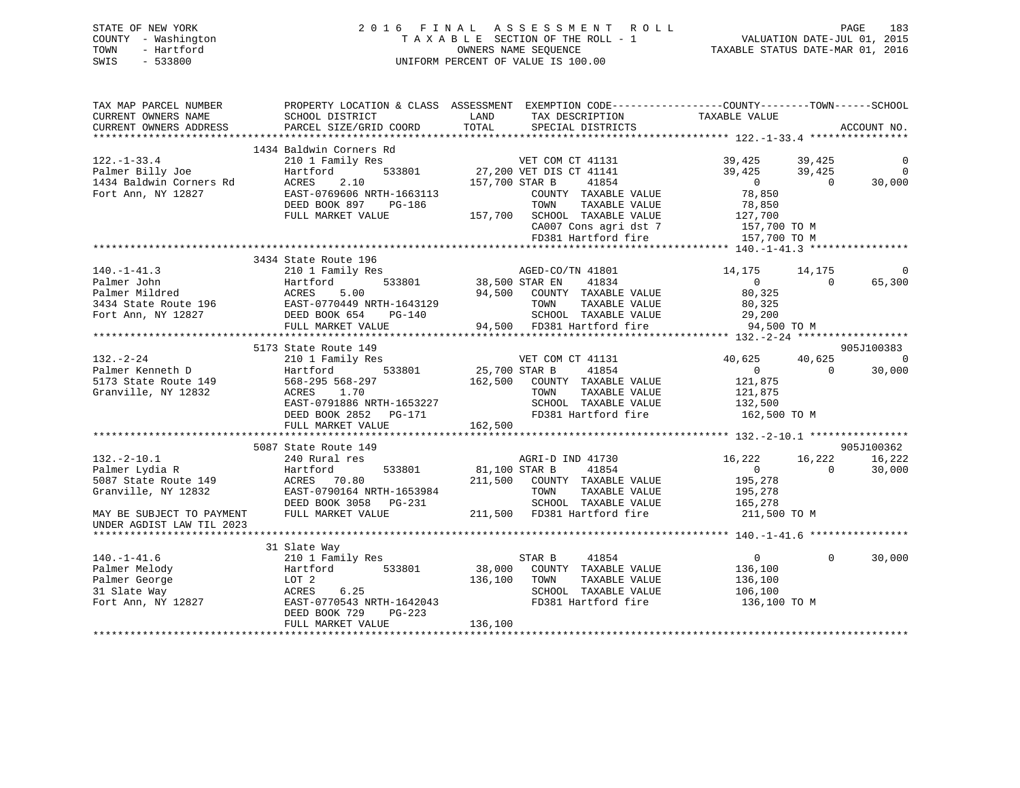## STATE OF NEW YORK 2 0 1 6 F I N A L A S S E S S M E N T R O L L PAGE 183 COUNTY - Washington T A X A B L E SECTION OF THE ROLL - 1 VALUATION DATE-JUL 01, 2015 TOWN - Hartford **TAXABLE STATUS DATE-MAR 01, 2016** OWNERS NAME SEQUENCE TAXABLE STATUS DATE-MAR 01, 2016 SWIS - 533800 UNIFORM PERCENT OF VALUE IS 100.00

| TAX MAP PARCEL NUMBER<br>CURRENT OWNERS NAME                                     | SCHOOL DISTRICT                                    | PROPERTY LOCATION & CLASS ASSESSMENT EXEMPTION CODE---------------COUNTY-------TOWN------SCHOOL<br>LAND<br>TAX DESCRIPTION | TAXABLE VALUE                              |                |
|----------------------------------------------------------------------------------|----------------------------------------------------|----------------------------------------------------------------------------------------------------------------------------|--------------------------------------------|----------------|
| CURRENT OWNERS ADDRESS                                                           | PARCEL SIZE/GRID COORD                             | TOTAL<br>SPECIAL DISTRICTS                                                                                                 |                                            | ACCOUNT NO.    |
|                                                                                  | 1434 Baldwin Corners Rd                            |                                                                                                                            |                                            |                |
|                                                                                  | 210 1 Family Res                                   | RG<br>FOR CHE TO THE VET COM CT 41131<br>F33801 27,200 VET DIS CT 41141                                                    | 39,425 39,425                              | $\overline{0}$ |
|                                                                                  | Hartford                                           |                                                                                                                            | 39,425<br>39,425                           | $\overline{0}$ |
|                                                                                  | ACRES<br>2.10                                      | 157,700 STAR B<br>41854                                                                                                    | $\overline{0}$<br>$\Omega$                 | 30,000         |
| 122.-1-33.4<br>Palmer Billy Joe<br>1434 Baldwin Corners Rd<br>Fort Ann, NY 12827 | EAST-0769606 NRTH-1663113                          | COUNTY TAXABLE VALUE                                                                                                       | 78,850                                     |                |
|                                                                                  | DEED BOOK 897 PG-186                               | TOWN<br>TAXABLE VALUE                                                                                                      | 78,850                                     |                |
|                                                                                  | FULL MARKET VALUE                                  | 157,700 SCHOOL TAXABLE VALUE                                                                                               | 127,700                                    |                |
|                                                                                  |                                                    | CA007 Cons agri dst 7                                                                                                      | 157,700 TO M                               |                |
|                                                                                  |                                                    | FD381 Hartford fire                                                                                                        | 157,700 TO M                               |                |
|                                                                                  |                                                    |                                                                                                                            |                                            |                |
|                                                                                  | 3434 State Route 196                               |                                                                                                                            |                                            |                |
| $140. - 1 - 41.3$                                                                | 210 1 Family Res                                   | AGED-CO/TN 41801<br>38,500 STAR EN 41834                                                                                   | 14,175<br>14,175                           |                |
| Palmer John                                                                      | ,<br>533801                                        |                                                                                                                            | $\overline{0}$<br>$\overline{0}$           | 65,300         |
|                                                                                  |                                                    | 94,500 COUNTY TAXABLE VALUE                                                                                                | 80,325                                     |                |
|                                                                                  |                                                    | TAXABLE VALUE<br>TOWN                                                                                                      | 80,325                                     |                |
| Fort Ann, NY 12827                                                               | DEED BOOK 654<br>PG-140                            | SCHOOL TAXABLE VALUE                                                                                                       | 29,200                                     |                |
|                                                                                  | FULL MARKET VALUE                                  | 94,500 FD381 Hartford fire                                                                                                 | 94,500 TO M                                |                |
|                                                                                  |                                                    |                                                                                                                            |                                            |                |
|                                                                                  | 5173 State Route 149                               |                                                                                                                            |                                            | 905J100383     |
| $132 - 2 - 24$<br>132.-2-24<br>Palmer Kenneth D<br>5173 State Route 149          | 210 1 Family Res                                   | VET COM CT 41131<br>33801 25,700 STAR B 41854                                                                              | 40,625<br>40,625                           | 0              |
|                                                                                  | Hartford 533801                                    |                                                                                                                            | $\Omega$<br>$\overline{0}$                 | 30,000         |
|                                                                                  | 568-295 568-297                                    | 162,500 COUNTY TAXABLE VALUE                                                                                               | 121,875                                    |                |
| Granville, NY 12832                                                              | ACRES 1.70                                         | TAXABLE VALUE<br>TOWN                                                                                                      | 121,875                                    |                |
|                                                                                  | EAST-0791886 NRTH-1653227                          | SCHOOL TAXABLE VALUE                                                                                                       | 132,500                                    |                |
|                                                                                  | DEED BOOK 2852 PG-171                              | FD381 Hartford fire                                                                                                        | 162,500 TO M                               |                |
|                                                                                  | FULL MARKET VALUE                                  | 162,500                                                                                                                    |                                            |                |
|                                                                                  |                                                    |                                                                                                                            |                                            |                |
| $132. - 2 - 10.1$                                                                | 5087 State Route 149                               |                                                                                                                            | 16,222                                     | 905J100362     |
|                                                                                  | 240 Rural res                                      | AGRI-D IND 41730<br>81,100 STAR B                                                                                          | 16,222<br>$\overline{0}$<br>$\overline{0}$ | 16,222         |
| Palmer Lydia R                                                                   | 533801<br>Hartford                                 | 41854                                                                                                                      |                                            | 30,000         |
| 5087 State Route 149                                                             | ACRES 70.80                                        | 211,500 COUNTY TAXABLE VALUE                                                                                               | 195,278                                    |                |
| Granville, NY 12832                                                              | EAST-0790164 NRTH-1653984<br>DEED BOOK 3058 PG-231 | TOWN<br>TAXABLE VALUE<br>SCHOOL TAXABLE VALUE                                                                              | 195,278                                    |                |
| MAY BE SUBJECT TO PAYMENT                                                        | FULL MARKET VALUE                                  | 211,500 FD381 Hartford fire                                                                                                | 165,278<br>211,500 TO M                    |                |
| UNDER AGDIST LAW TIL 2023                                                        |                                                    |                                                                                                                            |                                            |                |
|                                                                                  |                                                    |                                                                                                                            |                                            |                |
|                                                                                  | 31 Slate Way                                       |                                                                                                                            |                                            |                |
| $140. - 1 - 41.6$                                                                | 210 1 Family Res                                   | STAR B<br>41854                                                                                                            | $\overline{0}$<br>$\Omega$                 | 30,000         |
| Palmer Melody                                                                    | 533801<br>Hartford                                 | 38,000 COUNTY TAXABLE VALUE                                                                                                | 136,100                                    |                |
| Palmer George                                                                    | LOT 2                                              | 136,100<br>TOWN<br>TAXABLE VALUE                                                                                           | 136,100                                    |                |
| 31 Slate Way                                                                     | 6.25<br>ACRES                                      | SCHOOL TAXABLE VALUE                                                                                                       | 106,100                                    |                |
| Fort Ann, NY 12827                                                               | EAST-0770543 NRTH-1642043                          | FD381 Hartford fire                                                                                                        | 136,100 TO M                               |                |
|                                                                                  | PG-223<br>DEED BOOK 729                            |                                                                                                                            |                                            |                |
|                                                                                  | FULL MARKET VALUE                                  | 136,100                                                                                                                    |                                            |                |
|                                                                                  |                                                    |                                                                                                                            |                                            |                |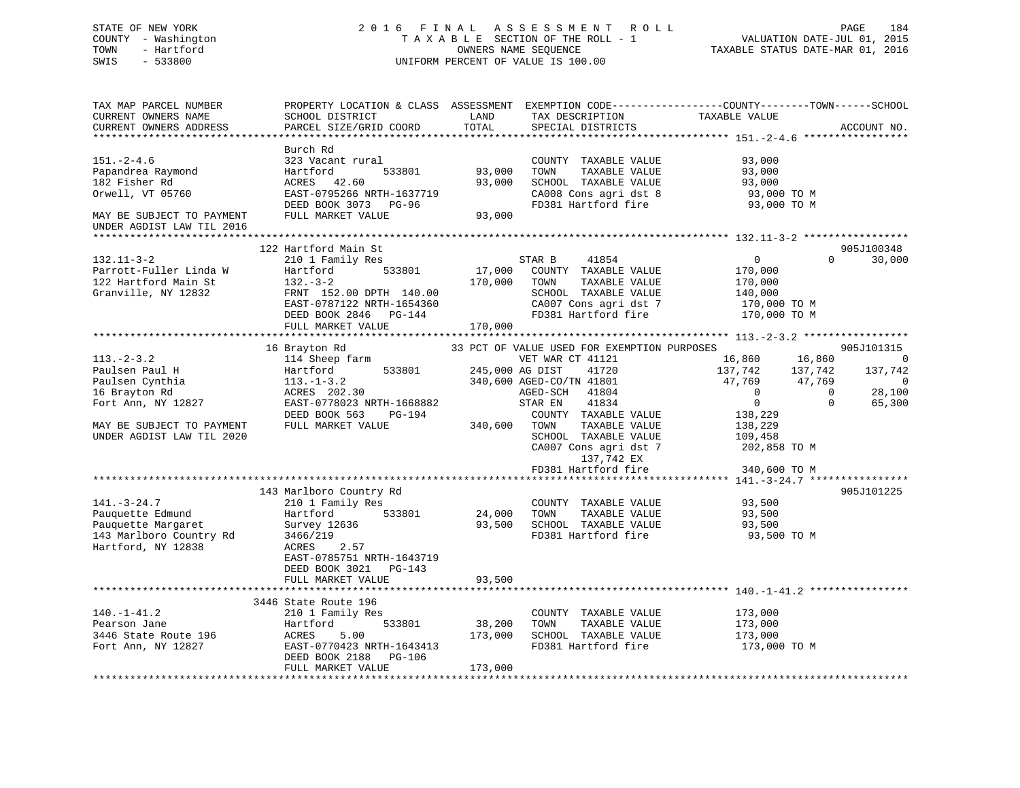## STATE OF NEW YORK 2 0 1 6 F I N A L A S S E S S M E N T R O L L PAGE 184 COUNTY - Washington T A X A B L E SECTION OF THE ROLL - 1 VALUATION DATE-JUL 01, 2015 TOWN - Hartford **TAXABLE STATUS DATE-MAR 01, 2016** OWNERS NAME SEQUENCE TAXABLE STATUS DATE-MAR 01, 2016 SWIS - 533800 UNIFORM PERCENT OF VALUE IS 100.00

| TAX MAP PARCEL NUMBER<br>CURRENT OWNERS NAME | PROPERTY LOCATION & CLASS ASSESSMENT EXEMPTION CODE----------------COUNTY-------TOWN------SCHOOL<br>SCHOOL DISTRICT | LAND            | TAX DESCRIPTION                             | TAXABLE VALUE      |                          |
|----------------------------------------------|---------------------------------------------------------------------------------------------------------------------|-----------------|---------------------------------------------|--------------------|--------------------------|
| CURRENT OWNERS ADDRESS                       | PARCEL SIZE/GRID COORD                                                                                              | TOTAL           | SPECIAL DISTRICTS                           |                    | ACCOUNT NO.              |
|                                              |                                                                                                                     |                 |                                             |                    |                          |
|                                              | Burch Rd                                                                                                            |                 |                                             |                    |                          |
| $151. - 2 - 4.6$                             | 323 Vacant rural                                                                                                    |                 | COUNTY TAXABLE VALUE                        | 93,000             |                          |
| Papandrea Raymond                            | Hartford<br>533801                                                                                                  | 93,000          | TOWN<br>TAXABLE VALUE                       | 93,000             |                          |
| 182 Fisher Rd                                | ACRES<br>42.60                                                                                                      | 93,000          | SCHOOL TAXABLE VALUE                        | 93,000             |                          |
| Orwell, VT 05760                             | EAST-0795266 NRTH-1637719                                                                                           |                 | CA008 Cons agri dst 8                       | 93,000 TO M        |                          |
|                                              | DEED BOOK 3073 PG-96                                                                                                |                 | FD381 Hartford fire                         | 93,000 TO M        |                          |
| MAY BE SUBJECT TO PAYMENT                    | FULL MARKET VALUE                                                                                                   | 93,000          |                                             |                    |                          |
| UNDER AGDIST LAW TIL 2016<br>************    |                                                                                                                     |                 |                                             |                    |                          |
|                                              | 122 Hartford Main St                                                                                                |                 |                                             |                    | 905J100348               |
| $132.11 - 3 - 2$                             | 210 1 Family Res                                                                                                    |                 | STAR B<br>41854                             | $\overline{0}$     | $\Omega$<br>30,000       |
| Parrott-Fuller Linda W                       | 533801<br>Hartford                                                                                                  | 17,000          | COUNTY TAXABLE VALUE                        | 170,000            |                          |
| 122 Hartford Main St                         | $132 - 3 - 2$                                                                                                       | 170,000         | TOWN<br>TAXABLE VALUE                       | 170,000            |                          |
| Granville, NY 12832                          | FRNT 152.00 DPTH 140.00                                                                                             |                 | SCHOOL TAXABLE VALUE                        | 140,000            |                          |
|                                              | EAST-0787122 NRTH-1654360                                                                                           |                 | CA007 Cons agri dst 7                       | 170,000 TO M       |                          |
|                                              | DEED BOOK 2846 PG-144                                                                                               |                 | FD381 Hartford fire                         | 170,000 TO M       |                          |
|                                              | FULL MARKET VALUE                                                                                                   | 170,000         |                                             |                    |                          |
|                                              |                                                                                                                     |                 |                                             |                    |                          |
|                                              | 16 Brayton Rd                                                                                                       |                 | 33 PCT OF VALUE USED FOR EXEMPTION PURPOSES |                    | 905J101315               |
| $113. - 2 - 3.2$                             | 114 Sheep farm                                                                                                      |                 | VET WAR CT 41121                            | 16,860<br>16,860   | $\overline{0}$           |
| Paulsen Paul H                               | Hartford<br>533801                                                                                                  | 245,000 AG DIST | 41720                                       | 137,742<br>137,742 | 137,742                  |
| Paulsen Cynthia                              | $113. - 1 - 3.2$                                                                                                    |                 | 340,600 AGED-CO/TN 41801                    | 47,769<br>47,769   | $\overline{0}$           |
| 16 Brayton Rd                                | ACRES 202.30                                                                                                        |                 | AGED-SCH 41804                              | $\overline{0}$     | 28,100<br>$\overline{0}$ |
| Fort Ann, NY 12827                           | EAST-0778023 NRTH-1668882                                                                                           |                 | 41834<br>STAR EN                            | $\overline{0}$     | $\Omega$<br>65,300       |
|                                              | DEED BOOK 563<br>PG-194                                                                                             |                 | COUNTY TAXABLE VALUE                        | 138,229            |                          |
| MAY BE SUBJECT TO PAYMENT                    | FULL MARKET VALUE                                                                                                   | 340,600         | TAXABLE VALUE<br>TOWN                       | 138,229            |                          |
| UNDER AGDIST LAW TIL 2020                    |                                                                                                                     |                 | SCHOOL TAXABLE VALUE                        | 109,458            |                          |
|                                              |                                                                                                                     |                 | CA007 Cons agri dst 7                       | 202,858 TO M       |                          |
|                                              |                                                                                                                     |                 | 137,742 EX                                  |                    |                          |
|                                              |                                                                                                                     |                 | FD381 Hartford fire                         | 340,600 TO M       |                          |
|                                              |                                                                                                                     |                 |                                             |                    |                          |
|                                              | 143 Marlboro Country Rd                                                                                             |                 |                                             |                    | 905J101225               |
| $141. - 3 - 24.7$                            | 210 1 Family Res                                                                                                    |                 | COUNTY TAXABLE VALUE                        | 93,500             |                          |
| Pauquette Edmund                             | Hartford<br>533801                                                                                                  | 24,000          | TOWN<br>TAXABLE VALUE                       | 93,500             |                          |
| Pauquette Margaret                           | Survey 12636                                                                                                        | 93,500          | SCHOOL TAXABLE VALUE                        | 93,500             |                          |
| 143 Marlboro Country Rd                      | 3466/219                                                                                                            |                 | FD381 Hartford fire                         | 93,500 TO M        |                          |
| Hartford, NY 12838                           | 2.57<br>ACRES                                                                                                       |                 |                                             |                    |                          |
|                                              | EAST-0785751 NRTH-1643719                                                                                           |                 |                                             |                    |                          |
|                                              | DEED BOOK 3021 PG-143                                                                                               |                 |                                             |                    |                          |
|                                              | FULL MARKET VALUE                                                                                                   | 93,500          |                                             |                    |                          |
|                                              |                                                                                                                     |                 |                                             |                    |                          |
|                                              | 3446 State Route 196                                                                                                |                 |                                             |                    |                          |
| $140. - 1 - 41.2$                            | 210 1 Family Res                                                                                                    |                 | COUNTY TAXABLE VALUE                        | 173,000            |                          |
| Pearson Jane                                 | 533801<br>Hartford                                                                                                  | 38,200          | TOWN<br>TAXABLE VALUE                       | 173,000            |                          |
| 3446 State Route 196                         | 5.00<br>ACRES                                                                                                       | 173,000         | SCHOOL TAXABLE VALUE                        | 173,000            |                          |
| Fort Ann, NY 12827                           | EAST-0770423 NRTH-1643413                                                                                           |                 | FD381 Hartford fire                         | 173,000 TO M       |                          |
|                                              | DEED BOOK 2188<br>PG-106                                                                                            |                 |                                             |                    |                          |
|                                              | FULL MARKET VALUE                                                                                                   | 173,000         |                                             |                    |                          |
|                                              |                                                                                                                     |                 |                                             |                    |                          |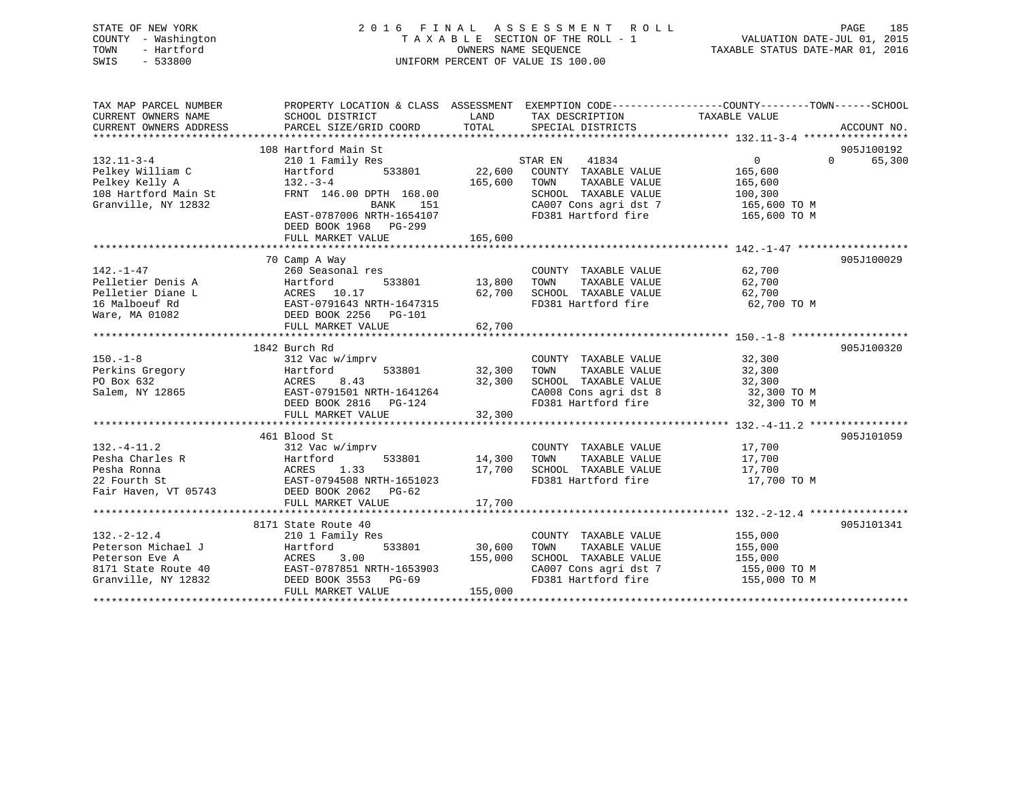## STATE OF NEW YORK 2 0 1 6 F I N A L A S S E S S M E N T R O L L PAGE 185 COUNTY - Washington T A X A B L E SECTION OF THE ROLL - 1 VALUATION DATE-JUL 01, 2015 TOWN - Hartford **TAXABLE STATUS DATE-MAR 01, 2016** OWNERS NAME SEQUENCE TAXABLE STATUS DATE-MAR 01, 2016 SWIS - 533800 UNIFORM PERCENT OF VALUE IS 100.00

| TAX MAP PARCEL NUMBER<br>CURRENT OWNERS NAME | PROPERTY LOCATION & CLASS ASSESSMENT EXEMPTION CODE---------------COUNTY-------TOWN-----SCHOOL<br>SCHOOL DISTRICT | LAND    | TAX DESCRIPTION       | TAXABLE VALUE |                                  |
|----------------------------------------------|-------------------------------------------------------------------------------------------------------------------|---------|-----------------------|---------------|----------------------------------|
| CURRENT OWNERS ADDRESS                       | PARCEL SIZE/GRID COORD                                                                                            | TOTAL   | SPECIAL DISTRICTS     |               | ACCOUNT NO.                      |
|                                              |                                                                                                                   |         |                       |               |                                  |
| $132.11 - 3 - 4$                             | 108 Hartford Main St                                                                                              |         | STAR EN<br>41834      | $\Omega$      | 905J100192<br>$\Omega$<br>65,300 |
| Pelkey William C                             | 210 1 Family Res<br>Hartford<br>533801                                                                            | 22,600  | COUNTY TAXABLE VALUE  | 165,600       |                                  |
| Pelkey Kelly A                               | $132 - 3 - 4$                                                                                                     | 165,600 | TOWN<br>TAXABLE VALUE | 165,600       |                                  |
| 108 Hartford Main St                         | FRNT 146.00 DPTH 168.00                                                                                           |         | SCHOOL TAXABLE VALUE  | 100,300       |                                  |
| Granville, NY 12832                          | BANK<br>151                                                                                                       |         | CA007 Cons agri dst 7 | 165,600 TO M  |                                  |
|                                              | EAST-0787006 NRTH-1654107                                                                                         |         | FD381 Hartford fire   | 165,600 TO M  |                                  |
|                                              | DEED BOOK 1968 PG-299                                                                                             |         |                       |               |                                  |
|                                              | FULL MARKET VALUE                                                                                                 | 165,600 |                       |               |                                  |
|                                              |                                                                                                                   |         |                       |               |                                  |
|                                              | 70 Camp A Way                                                                                                     |         |                       |               | 905J100029                       |
| $142. - 1 - 47$                              | 260 Seasonal res                                                                                                  |         | COUNTY TAXABLE VALUE  | 62,700        |                                  |
| Pelletier Denis A                            | Hartford<br>533801                                                                                                | 13,800  | TAXABLE VALUE<br>TOWN | 62,700        |                                  |
| Pelletier Diane L                            | ACRES 10.17                                                                                                       | 62,700  | SCHOOL TAXABLE VALUE  | 62,700        |                                  |
| 16 Malboeuf Rd                               | EAST-0791643 NRTH-1647315                                                                                         |         | FD381 Hartford fire   | 62,700 TO M   |                                  |
| Ware, MA 01082                               | DEED BOOK 2256<br>PG-101                                                                                          |         |                       |               |                                  |
|                                              | FULL MARKET VALUE                                                                                                 | 62,700  |                       |               |                                  |
|                                              |                                                                                                                   |         |                       |               |                                  |
|                                              | 1842 Burch Rd                                                                                                     |         |                       |               | 905J100320                       |
| $150. - 1 - 8$                               | 312 Vac w/imprv                                                                                                   |         | COUNTY TAXABLE VALUE  | 32,300        |                                  |
| Perkins Gregory                              | Hartford<br>533801                                                                                                | 32,300  | TOWN<br>TAXABLE VALUE | 32,300        |                                  |
| PO Box 632                                   | 8.43<br>ACRES                                                                                                     | 32,300  | SCHOOL TAXABLE VALUE  | 32,300        |                                  |
| Salem, NY 12865                              | EAST-0791501 NRTH-1641264                                                                                         |         | CA008 Cons agri dst 8 | 32,300 TO M   |                                  |
|                                              | DEED BOOK 2816<br>PG-124                                                                                          |         | FD381 Hartford fire   | 32,300 TO M   |                                  |
|                                              | FULL MARKET VALUE                                                                                                 | 32,300  |                       |               |                                  |
|                                              |                                                                                                                   |         |                       |               |                                  |
|                                              | 461 Blood St                                                                                                      |         |                       |               | 905J101059                       |
| $132. -4 - 11.2$                             | 312 Vac w/imprv                                                                                                   |         | COUNTY TAXABLE VALUE  | 17,700        |                                  |
| Pesha Charles R                              | Hartford<br>533801                                                                                                | 14,300  | TOWN<br>TAXABLE VALUE | 17,700        |                                  |
| Pesha Ronna                                  | ACRES<br>1.33                                                                                                     | 17,700  | SCHOOL TAXABLE VALUE  | 17,700        |                                  |
| 22 Fourth St                                 | EAST-0794508 NRTH-1651023                                                                                         |         | FD381 Hartford fire   | 17,700 TO M   |                                  |
| Fair Haven, VT 05743                         | DEED BOOK 2062 PG-62                                                                                              |         |                       |               |                                  |
|                                              | FULL MARKET VALUE                                                                                                 | 17,700  |                       |               |                                  |
|                                              |                                                                                                                   |         |                       |               |                                  |
|                                              | 8171 State Route 40                                                                                               |         |                       |               | 905J101341                       |
| $132. - 2 - 12.4$                            | 210 1 Family Res                                                                                                  |         | COUNTY TAXABLE VALUE  | 155,000       |                                  |
| Peterson Michael J                           | 533801<br>Hartford                                                                                                | 30,600  | TAXABLE VALUE<br>TOWN | 155,000       |                                  |
| Peterson Eve A                               | 3.00<br>ACRES                                                                                                     | 155,000 | SCHOOL TAXABLE VALUE  | 155,000       |                                  |
| 8171 State Route 40                          | EAST-0787851 NRTH-1653903                                                                                         |         | CA007 Cons agri dst 7 | 155,000 TO M  |                                  |
| Granville, NY 12832                          | DEED BOOK 3553 PG-69                                                                                              |         | FD381 Hartford fire   | 155,000 TO M  |                                  |
|                                              | FULL MARKET VALUE                                                                                                 | 155,000 |                       |               |                                  |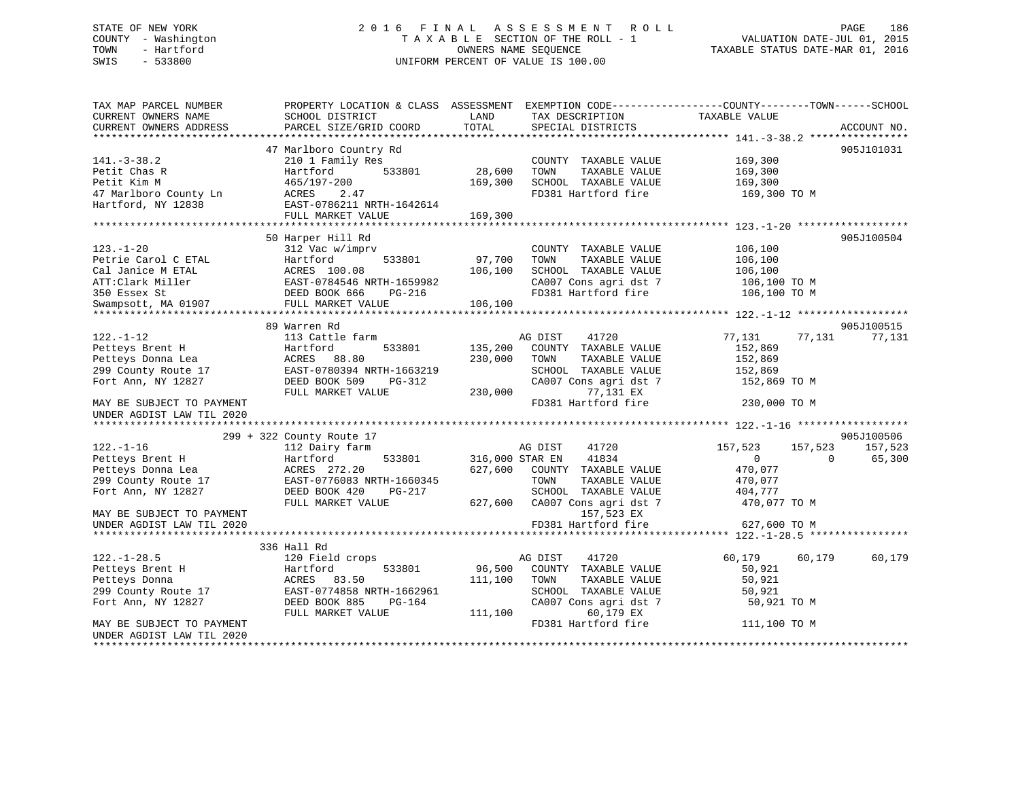## STATE OF NEW YORK 2 0 1 6 F I N A L A S S E S S M E N T R O L L PAGE 186 COUNTY - Washington T A X A B L E SECTION OF THE ROLL - 1 VALUATION DATE-JUL 01, 2015 TOWN - Hartford **TAXABLE STATUS DATE-MAR 01, 2016** OWNERS NAME SEQUENCE TAXABLE STATUS DATE-MAR 01, 2016 SWIS - 533800 UNIFORM PERCENT OF VALUE IS 100.00

| TAX MAP PARCEL NUMBER<br>CURRENT OWNERS NAME           | PROPERTY LOCATION & CLASS ASSESSMENT<br>SCHOOL DISTRICT | LAND            | TAX DESCRIPTION                  | EXEMPTION CODE-----------------COUNTY-------TOWN------SCHOOL<br>TAXABLE VALUE |             |
|--------------------------------------------------------|---------------------------------------------------------|-----------------|----------------------------------|-------------------------------------------------------------------------------|-------------|
| CURRENT OWNERS ADDRESS                                 | PARCEL SIZE/GRID COORD                                  | TOTAL           | SPECIAL DISTRICTS                |                                                                               | ACCOUNT NO. |
|                                                        |                                                         |                 |                                  |                                                                               | 905J101031  |
| $141. - 3 - 38.2$                                      | 47 Marlboro Country Rd<br>210 1 Family Res              |                 | COUNTY TAXABLE VALUE             | 169,300                                                                       |             |
| Petit Chas R                                           | 533801<br>Hartford                                      | 28,600          | TAXABLE VALUE<br>TOWN            | 169,300                                                                       |             |
| Petit Kim M                                            | 465/197-200                                             | 169,300         | SCHOOL TAXABLE VALUE             | 169,300                                                                       |             |
| 47 Marlboro County Ln                                  | ACRES<br>2.47                                           |                 | FD381 Hartford fire              | 169,300 то м                                                                  |             |
| Hartford, NY 12838                                     | EAST-0786211 NRTH-1642614                               |                 |                                  |                                                                               |             |
|                                                        | FULL MARKET VALUE                                       | 169,300         |                                  |                                                                               |             |
|                                                        |                                                         |                 |                                  |                                                                               |             |
|                                                        | 50 Harper Hill Rd                                       |                 |                                  |                                                                               | 905J100504  |
| $123. - 1 - 20$                                        | 312 Vac w/imprv                                         |                 | COUNTY TAXABLE VALUE             | 106,100                                                                       |             |
| Petrie Carol C ETAL                                    | 533801<br>Hartford                                      | 97,700          | TOWN<br>TAXABLE VALUE            | 106,100                                                                       |             |
| Cal Janice M ETAL                                      | ACRES 100.08                                            | 106,100         | SCHOOL TAXABLE VALUE             | 106,100                                                                       |             |
| ATT:Clark Miller                                       | EAST-0784546 NRTH-1659982                               |                 | CA007 Cons agri dst 7            | 106,100 TO M                                                                  |             |
| 350 Essex St                                           | DEED BOOK 666<br><b>PG-216</b>                          |                 | FD381 Hartford fire              | 106,100 TO M                                                                  |             |
| Swampsott, MA 01907                                    | FULL MARKET VALUE                                       | 106,100         |                                  |                                                                               |             |
|                                                        |                                                         |                 |                                  |                                                                               |             |
|                                                        | 89 Warren Rd                                            |                 |                                  |                                                                               | 905J100515  |
| $122. - 1 - 12$                                        | 113 Cattle farm                                         |                 | 41720<br>AG DIST                 | 77,131<br>77,131                                                              | 77,131      |
| Petteys Brent H                                        | 533801<br>Hartford                                      | 135,200         | COUNTY TAXABLE VALUE             | 152,869                                                                       |             |
| Petteys Donna Lea                                      | 88.80<br>ACRES                                          | 230,000         | TOWN<br>TAXABLE VALUE            | 152,869                                                                       |             |
| 299 County Route 17                                    | EAST-0780394 NRTH-1663219                               |                 | SCHOOL TAXABLE VALUE             | 152,869                                                                       |             |
| Fort Ann, NY 12827                                     | DEED BOOK 509<br>PG-312                                 |                 | CA007 Cons agri dst 7            | 152,869 TO M                                                                  |             |
|                                                        | FULL MARKET VALUE                                       | 230,000         | 77,131 EX                        |                                                                               |             |
| MAY BE SUBJECT TO PAYMENT<br>UNDER AGDIST LAW TIL 2020 |                                                         |                 | FD381 Hartford fire              | 230,000 TO M                                                                  |             |
| **********************                                 |                                                         |                 |                                  |                                                                               |             |
|                                                        | 299 + 322 County Route 17                               |                 |                                  |                                                                               | 905J100506  |
| $122. - 1 - 16$                                        | 112 Dairy farm                                          |                 | AG DIST<br>41720                 | 157,523<br>157,523                                                            | 157,523     |
| Petteys Brent H                                        | 533801<br>Hartford                                      | 316,000 STAR EN | 41834                            | $\mathbf{0}$<br>$\Omega$                                                      | 65,300      |
| Petteys Donna Lea                                      | ACRES 272.20                                            | 627,600         | COUNTY TAXABLE VALUE             | 470,077                                                                       |             |
| 299 County Route 17                                    | EAST-0776083 NRTH-1660345                               |                 | TOWN<br>TAXABLE VALUE            | 470,077                                                                       |             |
| Fort Ann, NY 12827                                     | DEED BOOK 420<br>PG-217                                 |                 | SCHOOL TAXABLE VALUE             | 404,777                                                                       |             |
|                                                        | FULL MARKET VALUE                                       | 627,600         | CA007 Cons agri dst 7            | 470,077 TO M                                                                  |             |
| MAY BE SUBJECT TO PAYMENT                              |                                                         |                 | 157,523 EX                       |                                                                               |             |
| UNDER AGDIST LAW TIL 2020                              |                                                         |                 | FD381 Hartford fire              | 627,600 TO M                                                                  |             |
|                                                        |                                                         |                 |                                  |                                                                               |             |
|                                                        | 336 Hall Rd                                             |                 |                                  |                                                                               |             |
| $122. - 1 - 28.5$                                      | 120 Field crops                                         |                 | 41720<br>AG DIST                 | 60,179<br>60,179                                                              | 60,179      |
| Petteys Brent H                                        | Hartford<br>533801                                      | 96,500          | COUNTY TAXABLE VALUE             | 50,921                                                                        |             |
| Petteys Donna                                          | ACRES 83.50                                             | 111,100         | TOWN<br>TAXABLE VALUE            | 50,921                                                                        |             |
| 299 County Route 17                                    | EAST-0774858 NRTH-1662961                               |                 | SCHOOL TAXABLE VALUE             | 50,921                                                                        |             |
| Fort Ann, NY 12827                                     | DEED BOOK 885<br><b>PG-164</b>                          |                 | CA007 Cons agri dst 7            | 50,921 TO M                                                                   |             |
|                                                        | FULL MARKET VALUE                                       | 111,100         | 60,179 EX<br>FD381 Hartford fire |                                                                               |             |
| MAY BE SUBJECT TO PAYMENT<br>UNDER AGDIST LAW TIL 2020 |                                                         |                 |                                  | 111,100 TO M                                                                  |             |
|                                                        |                                                         |                 |                                  |                                                                               |             |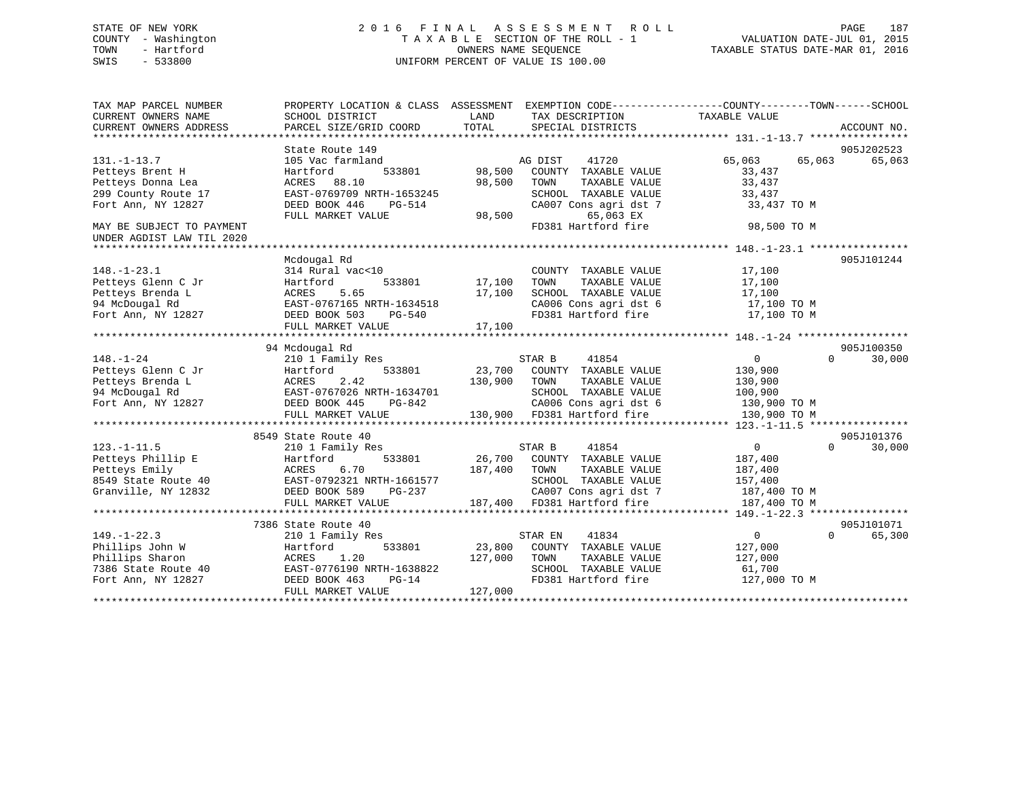## STATE OF NEW YORK 2 0 1 6 F I N A L A S S E S S M E N T R O L L PAGE 187 COUNTY - Washington T A X A B L E SECTION OF THE ROLL - 1 VALUATION DATE-JUL 01, 2015 TOWN - Hartford **TAXABLE STATUS DATE-MAR 01, 2016** OWNERS NAME SEQUENCE TAXABLE STATUS DATE-MAR 01, 2016 SWIS - 533800 UNIFORM PERCENT OF VALUE IS 100.00

| TAX MAP PARCEL NUMBER     | PROPERTY LOCATION & CLASS ASSESSMENT |              | EXEMPTION CODE-----------------COUNTY--------TOWN------SCHOOL                  |                  |                    |
|---------------------------|--------------------------------------|--------------|--------------------------------------------------------------------------------|------------------|--------------------|
| CURRENT OWNERS NAME       | SCHOOL DISTRICT                      | LAND         | TAX DESCRIPTION                                                                | TAXABLE VALUE    |                    |
| CURRENT OWNERS ADDRESS    | PARCEL SIZE/GRID COORD               | TOTAL        | SPECIAL DISTRICTS                                                              |                  | ACCOUNT NO.        |
|                           |                                      |              |                                                                                |                  |                    |
|                           | State Route 149                      |              |                                                                                |                  | 905J202523         |
| $131. - 1 - 13.7$         | 105 Vac farmland                     |              | AG DIST<br>41720                                                               | 65,063<br>65,063 | 65,063             |
| Petteys Brent H           | 533801<br>Hartford                   | 98,500       | COUNTY TAXABLE VALUE                                                           | 33,437           |                    |
| Petteys Donna Lea         | ACRES<br>88.10                       | 98,500       | TOWN<br>TAXABLE VALUE                                                          | 33,437           |                    |
| 299 County Route 17       | EAST-0769709 NRTH-1653245            |              | SCHOOL TAXABLE VALUE<br>CA007 Cons agri dst 7                                  | 33,437           |                    |
| Fort Ann, NY 12827        | DEED BOOK 446<br>PG-514              |              |                                                                                | 33,437 TO M      |                    |
|                           | FULL MARKET VALUE                    | 98,500       | 65,063 EX                                                                      |                  |                    |
| MAY BE SUBJECT TO PAYMENT |                                      |              | FD381 Hartford fire                                                            | 98,500 TO M      |                    |
| UNDER AGDIST LAW TIL 2020 |                                      |              |                                                                                |                  |                    |
|                           |                                      |              |                                                                                |                  |                    |
|                           | Mcdougal Rd                          |              |                                                                                |                  | 905J101244         |
| $148. - 1 - 23.1$         | 314 Rural vac<10                     |              | COUNTY TAXABLE VALUE                                                           | 17,100           |                    |
| Petteys Glenn C Jr        | Hartford<br>533801                   | 17,100       | TAXABLE VALUE<br>TOWN                                                          | 17,100           |                    |
| Petteys Brenda L          | 5.65<br>ACRES                        | 17,100       | SCHOOL TAXABLE VALUE                                                           | 17,100           |                    |
| 94 McDougal Rd            | EAST-0767165 NRTH-1634518            |              | CA006 Cons agri dst 6                                                          | 17,100 TO M      |                    |
| Fort Ann, NY 12827        | DEED BOOK 503<br>PG-540              |              | FD381 Hartford fire                                                            | 17,100 TO M      |                    |
|                           | FULL MARKET VALUE                    | 17,100       |                                                                                |                  |                    |
|                           |                                      |              |                                                                                |                  |                    |
|                           | 94 Mcdougal Rd                       |              |                                                                                |                  | 905J100350         |
| $148. - 1 - 24$           | 210 1 Family Res                     |              | STAR B<br>41854                                                                | $\overline{0}$   | $\Omega$<br>30,000 |
| Petteys Glenn C Jr        | 533801<br>Hartford                   |              | 23,700 COUNTY TAXABLE VALUE                                                    | 130,900          |                    |
| Petteys Brenda L          | 2.42<br>ACRES                        | 130,900 TOWN | TAXABLE VALUE                                                                  | 130,900          |                    |
| 94 McDougal Rd            | EAST-0767026 NRTH-1634701            |              | SCHOOL TAXABLE VALUE 100,900                                                   |                  |                    |
| Fort Ann, NY 12827        | DEED BOOK 445<br>PG-842              |              | CA006 Cons agri dst 6 130,900 TO M<br>130,900 FD381 Hartford fire 130,900 TO M |                  |                    |
|                           | FULL MARKET VALUE                    |              |                                                                                |                  |                    |
|                           |                                      |              |                                                                                |                  |                    |
|                           | 8549 State Route 40                  |              |                                                                                |                  | 905J101376         |
| $123. - 1 - 11.5$         | 210 1 Family Res                     |              | 41854<br>STAR B                                                                | $\overline{0}$   | 30,000<br>$\Omega$ |
| Petteys Phillip E         | 533801<br>Hartford                   |              | 26,700 COUNTY TAXABLE VALUE                                                    | 187,400          |                    |
| Petteys Emily             | ACRES<br>6.70                        | 187,400      | TAXABLE VALUE<br>TOWN                                                          | 187,400          |                    |
| 8549 State Route 40       | EAST-0792321 NRTH-1661577            |              | SCHOOL TAXABLE VALUE                                                           | 157,400          |                    |
| Granville, NY 12832       | DEED BOOK 589<br>PG-237              |              | CA007 Cons agri dst 7                                                          | 187,400 TO M     |                    |
|                           | FULL MARKET VALUE                    |              | 187,400 FD381 Hartford fire                                                    | 187,400 TO M     |                    |
|                           |                                      |              |                                                                                |                  |                    |
|                           | 7386 State Route 40                  |              |                                                                                |                  | 905J101071         |
| $149. - 1 - 22.3$         | 210 1 Family Res                     |              | 41834<br>STAR EN                                                               | $\overline{0}$   | $\Omega$<br>65,300 |
| Phillips John W           | 533801<br>Hartford                   |              | 23,800 COUNTY TAXABLE VALUE                                                    | 127,000          |                    |
| Phillips Sharon           | ACRES 1.20                           |              | 127,000 TOWN                                                                   | 127,000          |                    |
| 7386 State Route 40       | EAST-0776190 NRTH-1638822            |              | SCHOOL TAXABLE VALUE<br>FD381 Unwifer Taxabur                                  | 61,700           |                    |
| Fort Ann, NY 12827        | DEED BOOK 463<br>$PG-14$             |              | FD381 Hartford fire                                                            | 127,000 TO M     |                    |
|                           | FULL MARKET VALUE                    | 127,000      |                                                                                |                  |                    |
|                           |                                      |              |                                                                                |                  |                    |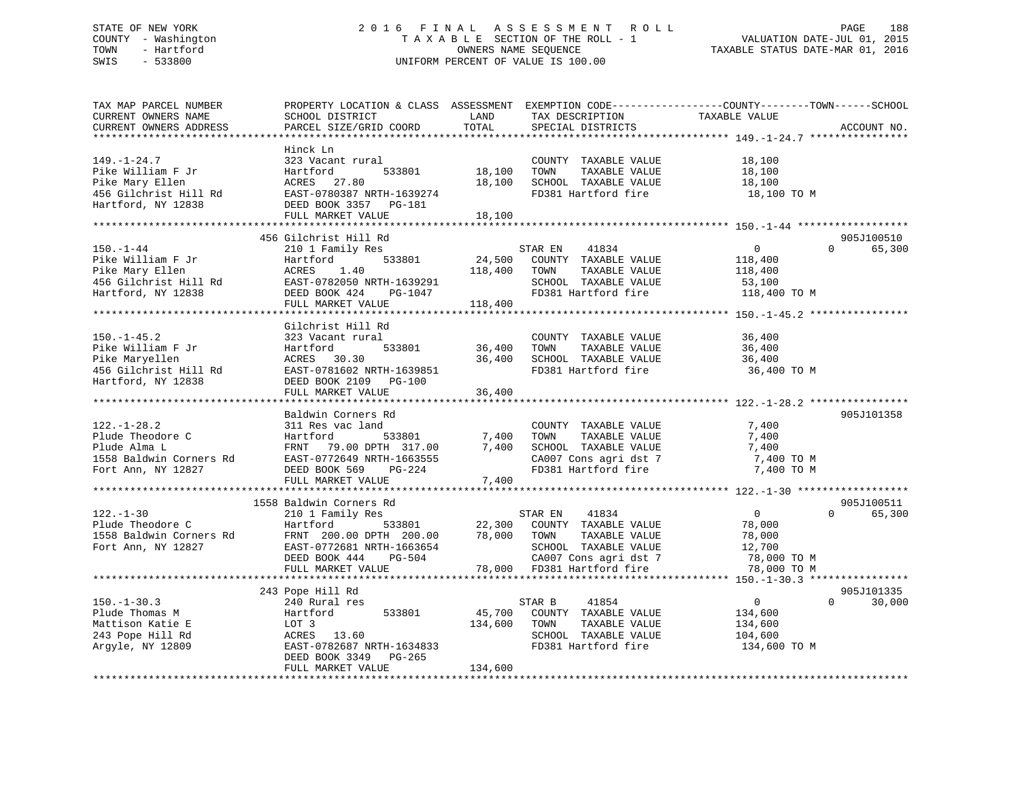## STATE OF NEW YORK 2 0 1 6 F I N A L A S S E S S M E N T R O L L PAGE 188 COUNTY - Washington T A X A B L E SECTION OF THE ROLL - 1 VALUATION DATE-JUL 01, 2015 TOWN - Hartford **TAXABLE STATUS DATE-MAR 01, 2016** OWNERS NAME SEQUENCE TAXABLE STATUS DATE-MAR 01, 2016 SWIS - 533800 UNIFORM PERCENT OF VALUE IS 100.00

| TAX MAP PARCEL NUMBER<br>CURRENT OWNERS NAME<br>CURRENT OWNERS ADDRESS<br>**********************         | SCHOOL DISTRICT<br>PARCEL SIZE/GRID COORD                                                                                                                                             | LAND<br>TOTAL                | TAX DESCRIPTION<br>SPECIAL DISTRICTS                                                                                                            | PROPERTY LOCATION & CLASS ASSESSMENT EXEMPTION CODE---------------COUNTY-------TOWN------SCHOOL<br>TAXABLE VALUE<br>ACCOUNT NO. |
|----------------------------------------------------------------------------------------------------------|---------------------------------------------------------------------------------------------------------------------------------------------------------------------------------------|------------------------------|-------------------------------------------------------------------------------------------------------------------------------------------------|---------------------------------------------------------------------------------------------------------------------------------|
| $149. - 1 - 24.7$<br>Pike William F Jr<br>Pike Mary Ellen<br>456 Gilchrist Hill Rd<br>Hartford, NY 12838 | Hinck Ln<br>323 Vacant rural<br>Hartford<br>533801<br>ACRES 27.80<br>EAST-0780387 NRTH-1639274<br>DEED BOOK 3357 PG-181<br>FULL MARKET VALUE                                          | 18,100<br>18,100<br>18,100   | COUNTY TAXABLE VALUE<br>TAXABLE VALUE<br>TOWN<br>SCHOOL TAXABLE VALUE<br>FD381 Hartford fire                                                    | 18,100<br>18,100<br>18,100<br>18,100 TO M                                                                                       |
| $150. - 1 - 44$<br>Pike William F Jr<br>Pike Mary Ellen<br>456 Gilchrist Hill Rd<br>Hartford, NY 12838   | 456 Gilchrist Hill Rd<br>210 1 Family Res<br>533801<br>Hartford<br>ACRES<br>1.40<br>EAST-0782050 NRTH-1639291<br>DEED BOOK 424<br>PG-1047<br>FULL MARKET VALUE                        | 24,500<br>118,400<br>118,400 | STAR EN<br>41834<br>COUNTY TAXABLE VALUE<br>TOWN<br>TAXABLE VALUE<br>SCHOOL TAXABLE VALUE<br>FD381 Hartford fire                                | 905J100510<br>$\overline{0}$<br>$\Omega$<br>65,300<br>118,400<br>118,400<br>53,100<br>118,400 TO M                              |
| $150. - 1 - 45.2$<br>Pike William F Jr<br>Pike Maryellen<br>456 Gilchrist Hill Rd<br>Hartford, NY 12838  | Gilchrist Hill Rd<br>323 Vacant rural<br>533801<br>Hartford<br>30.30<br>ACRES<br>EAST-0781602 NRTH-1639851<br>DEED BOOK 2109 PG-100<br>FULL MARKET VALUE                              | 36,400<br>36,400<br>36,400   | COUNTY TAXABLE VALUE<br>TOWN<br>TAXABLE VALUE<br>SCHOOL TAXABLE VALUE<br>FD381 Hartford fire                                                    | 36,400<br>36,400<br>36,400<br>36,400 TO M                                                                                       |
| $122. - 1 - 28.2$<br>Plude Theodore C<br>Plude Alma L<br>1558 Baldwin Corners Rd<br>Fort Ann, NY 12827   | Baldwin Corners Rd<br>311 Res vac land<br>533801<br>Hartford<br>FRNT<br>79.00 DPTH 317.00<br>EAST-0772649 NRTH-1663555<br>DEED BOOK 569<br>PG-224<br>FULL MARKET VALUE                | 7,400<br>7,400<br>7,400      | COUNTY TAXABLE VALUE<br>TOWN<br>TAXABLE VALUE<br>SCHOOL TAXABLE VALUE<br>CA007 Cons agri dst 7<br>FD381 Hartford fire                           | 905J101358<br>7,400<br>7,400<br>7,400<br>7,400 TO M<br>7,400 TO M                                                               |
| $122. - 1 - 30$<br>Plude Theodore C<br>1558 Baldwin Corners Rd<br>Fort Ann, NY 12827                     | 1558 Baldwin Corners Rd<br>210 1 Family Res<br>Hartford<br>533801<br>FRNT 200.00 DPTH 200.00 78,000 TOWN<br>EAST-0772681 NRTH-1663654<br>DEED BOOK 444<br>PG-504<br>FULL MARKET VALUE |                              | STAR EN<br>41834<br>22,300 COUNTY TAXABLE VALUE<br>TAXABLE VALUE<br>SCHOOL TAXABLE VALUE<br>CA007 Cons agri dst 7<br>78,000 FD381 Hartford fire | 905J100511<br>$\overline{0}$<br>$\Omega$<br>65,300<br>78,000<br>78,000<br>12,700<br>78,000 TO M<br>78,000 TO M                  |
| $150. - 1 - 30.3$<br>Plude Thomas M<br>Mattison Katie E<br>243 Pope Hill Rd<br>Argyle, NY 12809          | 243 Pope Hill Rd<br>240 Rural res<br>533801<br>Hartford<br>LOT 3<br>ACRES 13.60<br>EAST-0782687 NRTH-1634833<br>DEED BOOK 3349 PG-265<br>FULL MARKET VALUE                            | 45,700<br>134,600<br>134,600 | STAR B<br>41854<br>COUNTY TAXABLE VALUE<br>TOWN<br>TAXABLE VALUE<br>SCHOOL TAXABLE VALUE<br>FD381 Hartford fire                                 | 905J101335<br>$\overline{0}$<br>$\Omega$<br>30,000<br>134,600<br>134,600<br>104,600<br>134,600 TO M                             |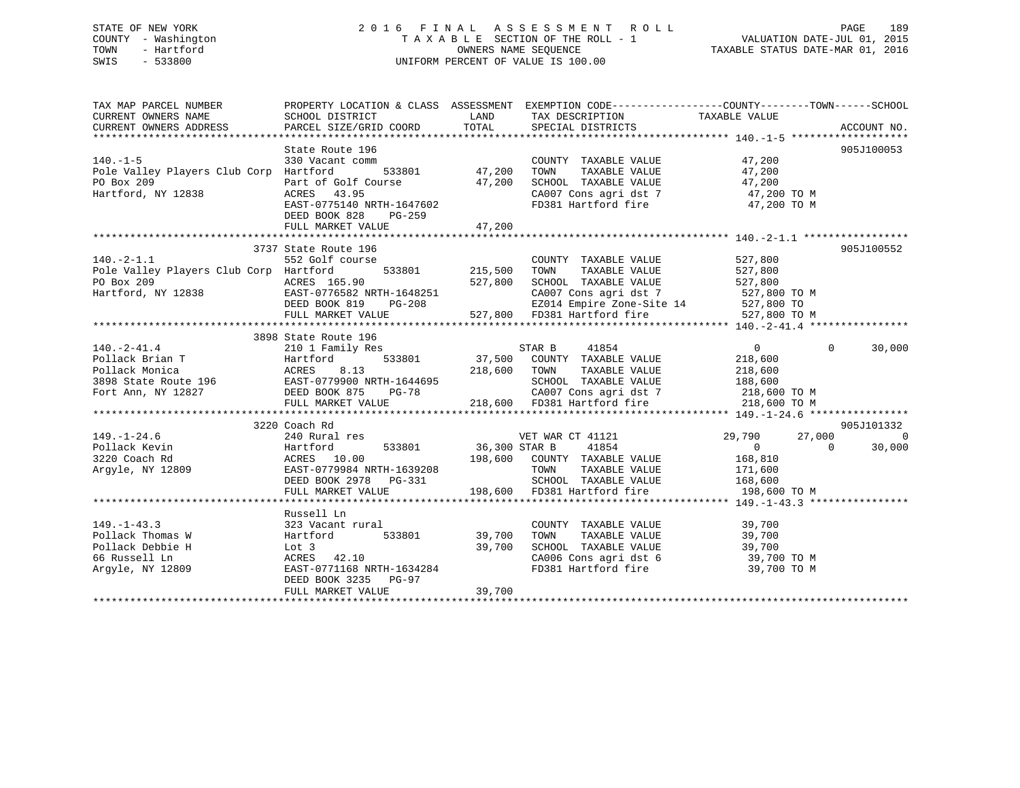## STATE OF NEW YORK 2 0 1 6 F I N A L A S S E S S M E N T R O L L PAGE 189 COUNTY - Washington T A X A B L E SECTION OF THE ROLL - 1 VALUATION DATE-JUL 01, 2015 TOWN - Hartford **TAXABLE STATUS DATE-MAR 01, 2016** OWNERS NAME SEQUENCE TAXABLE STATUS DATE-MAR 01, 2016 SWIS - 533800 UNIFORM PERCENT OF VALUE IS 100.00

| TAXABLE VALUE<br>CURRENT OWNERS NAME<br>SCHOOL DISTRICT<br>LAND<br>TAX DESCRIPTION<br>CURRENT OWNERS ADDRESS<br>TOTAL<br>PARCEL SIZE/GRID COORD<br>SPECIAL DISTRICTS                                                                                                 | ACCOUNT NO.        |
|----------------------------------------------------------------------------------------------------------------------------------------------------------------------------------------------------------------------------------------------------------------------|--------------------|
|                                                                                                                                                                                                                                                                      |                    |
| State Route 196                                                                                                                                                                                                                                                      | 905J100053         |
| $140. -1 - 5$<br>47,200<br>330 Vacant comm<br>COUNTY TAXABLE VALUE                                                                                                                                                                                                   |                    |
| Pole Valley Players Club Corp Hartford<br>47,200                                                                                                                                                                                                                     |                    |
| TOWN       TAXABLE  VALUE<br>SCHOOL    TAXABLE  VALUE<br>Part of Golf Course<br>PO Box 209<br>47,200                                                                                                                                                                 |                    |
| Hartford, NY 12838<br>CA007 Cons agri dst 7 47,200 TO M                                                                                                                                                                                                              |                    |
| FD381 Hartford fire<br>47,200 TO M                                                                                                                                                                                                                                   |                    |
| EAST-0775140 NRTH-1647602<br>DEED BOOK 828<br>PG-259                                                                                                                                                                                                                 |                    |
| 47,200<br>FULL MARKET VALUE                                                                                                                                                                                                                                          |                    |
|                                                                                                                                                                                                                                                                      |                    |
| 3737 State Route 196                                                                                                                                                                                                                                                 | 905J100552         |
| $140. -2 - 1.1$<br>552 Golf course<br>527,800<br>COUNTY TAXABLE VALUE                                                                                                                                                                                                |                    |
| 527,800<br>Pole Valley Players Club Corp Hartford<br>TAXABLE VALUE                                                                                                                                                                                                   |                    |
| 527,800<br>SCHOOL TAXABLE VALUE                                                                                                                                                                                                                                      |                    |
| PO Box 209<br>Hartford, NY 12838 EAST-0776582 NRTH-1648251<br>DEED BOOK 819 PG-208<br>527,800<br>527,800 ТО М                                                                                                                                                        |                    |
| CA007 Cons agri dst 7 527,800 TO<br>EZ014 Empire Zone-Site 14 527,800 TO<br>H-1648251<br>PG-208                                                                                                                                                                      |                    |
| 527,800 FD381 Hartford fire 527,800 TO M<br>FULL MARKET VALUE                                                                                                                                                                                                        |                    |
|                                                                                                                                                                                                                                                                      |                    |
| 3898 State Route 196                                                                                                                                                                                                                                                 |                    |
| $140. - 2 - 41.4$<br>$\overline{0}$                                                                                                                                                                                                                                  | $\Omega$<br>30,000 |
|                                                                                                                                                                                                                                                                      |                    |
|                                                                                                                                                                                                                                                                      |                    |
| Follack Brian T<br>Pollack Monica<br>Pollack Monica<br>218,600<br>218,600<br>218,600<br>218,600<br>218,600<br>218,600<br>Fort Ann, NY 12827<br>DEED BOOK 875<br>DEED BOOK 875<br>219,600<br>218,600<br>218,600<br>218,600<br>218,600<br>218,600<br>218,600<br>218,60 |                    |
| CA007 Cons agri dst 7 218,600 TO M                                                                                                                                                                                                                                   |                    |
| FULL MARKET VALUE 218,600 FD381 Hartford fire<br>218,600 TO M                                                                                                                                                                                                        |                    |
|                                                                                                                                                                                                                                                                      |                    |
| 3220 Coach Rd                                                                                                                                                                                                                                                        | 905J101332         |
| $149. - 1 - 24.6$<br>VET WAR CT 41121<br>CTAD R 41854<br>29,790<br>27,000<br>$\begin{tabular}{lllll} \bf res & & \tt VET\ \tt WAR\ CT \\ & 533801 & 36,300\ \tt STR\ B \\ \end{tabular}$                                                                             | $\overline{0}$     |
| $\overline{0}$<br>$\overline{0}$<br>Pollack Kevin                                                                                                                                                                                                                    | 30,000             |
| 198,600 COUNTY TAXABLE VALUE 168,810<br>3220 Coach Rd                                                                                                                                                                                                                |                    |
| TAXABLE VALUE<br>Argyle, NY 12809<br>TOWN<br>171,600<br>$8 - 1$                                                                                                                                                                                                      |                    |
| 240 August 10.00<br>Hartford 533801<br>ACRES 10.00<br>EAST-0779984 NRTH-1639208<br>PERD ROOK 2978 PG-331<br>SCHOOL TAXABLE VALUE 168,600                                                                                                                             |                    |
| 198,600 FD381 Hartford fire<br>FULL MARKET VALUE<br>198,600 TO M                                                                                                                                                                                                     |                    |
|                                                                                                                                                                                                                                                                      |                    |
| Russell Ln                                                                                                                                                                                                                                                           |                    |
| $149. - 1 - 43.3$<br>323 Vacant rural<br>COUNTY TAXABLE VALUE<br>39,700                                                                                                                                                                                              |                    |
| 39,700<br>533801 39,700<br>Pollack Thomas W<br>TOWN<br>TAXABLE VALUE<br>Hartford                                                                                                                                                                                     |                    |
| 39,700<br>39,700 TO M<br>Lot 3<br>ACRES<br>39,700<br>Pollack Debbie H<br>SCHOOL TAXABLE VALUE<br>42.10                                                                                                                                                               |                    |
| 66 Russell Ln<br>ACRES 42.10<br>CA006 Cons agri dst 6<br>FD381 Hartford fire<br>EAST-0771168 NRTH-1634284                                                                                                                                                            |                    |
| 39,700 TO M<br>Argyle, NY 12809                                                                                                                                                                                                                                      |                    |
| DEED BOOK 3235 PG-97<br>39,700                                                                                                                                                                                                                                       |                    |
| FULL MARKET VALUE                                                                                                                                                                                                                                                    |                    |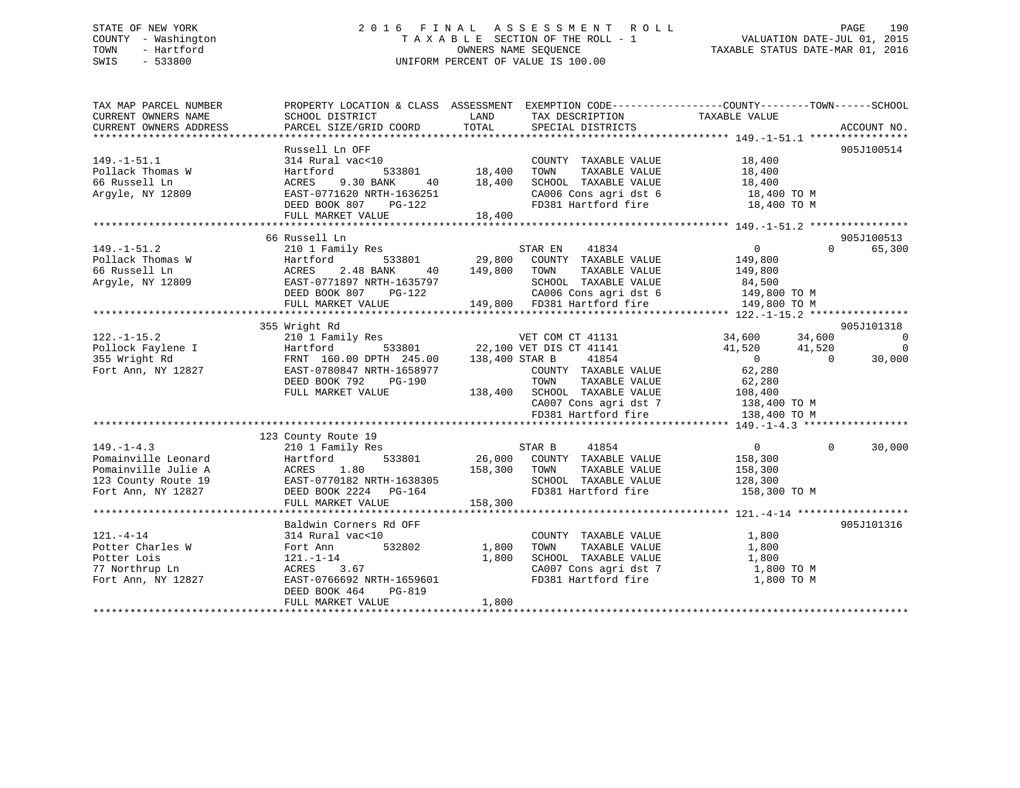## STATE OF NEW YORK 2 0 1 6 F I N A L A S S E S S M E N T R O L L PAGE 190 COUNTY - Washington T A X A B L E SECTION OF THE ROLL - 1 VALUATION DATE-JUL 01, 2015 TOWN - Hartford **TAXABLE STATUS DATE-MAR 01, 2016** OWNERS NAME SEQUENCE TAXABLE STATUS DATE-MAR 01, 2016 SWIS - 533800 UNIFORM PERCENT OF VALUE IS 100.00

| TAX MAP PARCEL NUMBER<br>CURRENT OWNERS NAME<br>CURRENT OWNERS ADDRESS                                      | PROPERTY LOCATION & CLASS ASSESSMENT EXEMPTION CODE---------------COUNTY-------TOWN------SCHOOL<br>SCHOOL DISTRICT<br>PARCEL SIZE/GRID COORD                                      | LAND<br>TOTAL                                 | TAX DESCRIPTION TAXABLE VALUE<br>SPECIAL DISTRICTS                                                                                                                                                                                                                                                               |                                                                                            |          | ACCOUNT NO.                                |
|-------------------------------------------------------------------------------------------------------------|-----------------------------------------------------------------------------------------------------------------------------------------------------------------------------------|-----------------------------------------------|------------------------------------------------------------------------------------------------------------------------------------------------------------------------------------------------------------------------------------------------------------------------------------------------------------------|--------------------------------------------------------------------------------------------|----------|--------------------------------------------|
| $149. - 1 - 51.1$<br>Pollack Thomas W<br>66 Russell Ln<br>Argyle, NY 12809                                  | Russell Ln OFF<br>314 Rural vac<10<br>Hartford<br>9.30 BANK<br>ACRES<br>EAST-0771620 NRTH-1636251<br>DEED BOOK 807 PG-122<br>FULL MARKET VALUE                                    | )<br>533801 18,400<br>ANK 40 18,400<br>18,400 | COUNTY TAXABLE VALUE<br>TAXABLE VALUE<br>TOWN<br>SCHOOL TAXABLE VALUE<br>$\begin{array}{lll} \texttt{CA006} \texttt{ Cons} & \texttt{aspti} & \texttt{dst} & \texttt{6} & \texttt{18,400} & \texttt{TO M} \\ \texttt{FD381} & \texttt{Hartford} & \texttt{fire} & & \texttt{18,400} & \texttt{TO M} \end{array}$ | 18,400<br>18,400<br>18,400                                                                 |          | 905J100514                                 |
|                                                                                                             |                                                                                                                                                                                   |                                               |                                                                                                                                                                                                                                                                                                                  |                                                                                            |          |                                            |
| 1991 - 1992<br>Pollack Thomas W 12809<br>Argyle, NY 12809<br>EAST-07718                                     | 66 Russell Ln<br>210 1 Family Res<br>533801<br>2.48 BANK<br>40<br>EAST-0771897 NRTH-1635797<br>DEED BOOK 807<br>PG-122<br>FULL MARKET VALUE                                       | 149,800 TOWN                                  | STAR EN 41834<br>29,800 COUNTY TAXABLE VALUE<br>TAXABLE VALUE<br>SCHOOL TAXABLE VALUE<br>149,800 FD381 Hartford fire                                                                                                                                                                                             | $\overline{0}$<br>149,800<br>149,800<br>84,500<br>149,800 TO M                             | $\Omega$ | 905J100513<br>65,300                       |
|                                                                                                             | 355 Wright Rd                                                                                                                                                                     |                                               |                                                                                                                                                                                                                                                                                                                  |                                                                                            |          | 905J101318                                 |
| $122. - 1 - 15.2$<br>Pollock Faylene I<br>355 Wright Rd<br>Fort Ann, NY 12827                               | 210 1 Family Res<br>Hartford<br>FRNT 160.00 DPTH 245.00 138,400 STAR B<br>EAST-0780847 NRTH-1658977<br>DEED BOOK 792<br>PG-190<br>FULL MARKET VALUE                               |                                               | VET COM CT 41131 34,600 34,600<br>533801 22,100 VET DIS CT 41141<br>41854<br>COUNTY TAXABLE VALUE<br>TAXABLE VALUE<br>TOWN<br>138,400 SCHOOL TAXABLE VALUE<br>CA007 Cons agri dst 7 138,400 TO M                                                                                                                 | $41,520$ $41,520$<br>$\begin{array}{c}0\\62.280\end{array}$<br>62,280<br>62,280<br>108,400 | $\Omega$ | $\overline{0}$<br>$\overline{0}$<br>30,000 |
|                                                                                                             |                                                                                                                                                                                   |                                               | FD381 Hartford fire                                                                                                                                                                                                                                                                                              | 138,400 TO M                                                                               |          |                                            |
|                                                                                                             | 123 County Route 19                                                                                                                                                               |                                               |                                                                                                                                                                                                                                                                                                                  |                                                                                            |          |                                            |
| $149. - 1 - 4.3$<br>Pomainville Leonard<br>Pomainville Julie A<br>123 County Route 19<br>Fort Ann, NY 12827 | 210 1 Family Res<br>Hartford<br>ACRES 1.80 158,300 TOWN<br>EAST-0770182 NRTH-1638305 SCHOOI<br>DEED BOOK 2224 PG-164 FD381<br>FULL MARKET VALUE                                   | STAR B<br>158,300                             | 41854<br>533801 26,000 COUNTY TAXABLE VALUE<br>TAXABLE VALUE<br>SCHOOL TAXABLE VALUE 196,300<br>SCHOOL TAXABLE VALUE 128,300<br>FD381 Hartford fire 158,300 TO M                                                                                                                                                 | $\overline{0}$<br>158,300<br>158,300                                                       | $\Omega$ | 30,000                                     |
|                                                                                                             |                                                                                                                                                                                   |                                               |                                                                                                                                                                                                                                                                                                                  |                                                                                            |          |                                            |
| $121. - 4 - 14$<br>Potter Charles W<br>Potter Lois<br>77 Northrup Ln<br>Fort Ann, NY 12827                  | Baldwin Corners Rd OFF<br>314 Rural vac<10<br>532802<br>Fort Ann<br>$121. - 1 - 14$<br>ACRES<br>3.67<br>EAST-0766692 NRTH-1659601<br>PG-819<br>DEED BOOK 464<br>FULL MARKET VALUE | 1,800<br>1,800<br>1,800                       | COUNTY TAXABLE VALUE<br>TOWN<br>TAXABLE VALUE<br>SCHOOL TAXABLE VALUE<br>CA007 Cons agri dst 7 1,800 TO M<br>FD381 Hartford fire                                                                                                                                                                                 | 1,800<br>1,800<br>1,800<br>1,800 TO M                                                      |          | 905J101316                                 |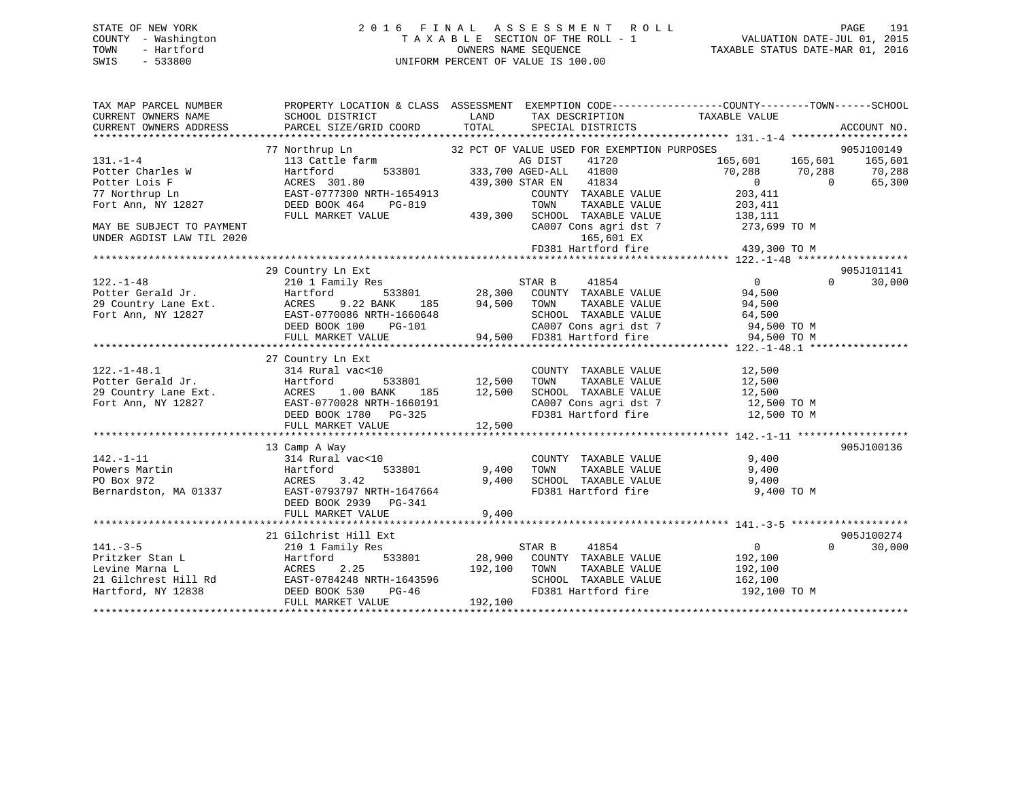## STATE OF NEW YORK 2 0 1 6 F I N A L A S S E S S M E N T R O L L PAGE 191 COUNTY - Washington T A X A B L E SECTION OF THE ROLL - 1 VALUATION DATE-JUL 01, 2015 TOWN - Hartford **TAXABLE STATUS DATE-MAR 01, 2016** OWNERS NAME SEQUENCE TAXABLE STATUS DATE-MAR 01, 2016 SWIS - 533800 UNIFORM PERCENT OF VALUE IS 100.00

| TAX MAP PARCEL NUMBER     | PROPERTY LOCATION & CLASS ASSESSMENT EXEMPTION CODE----------------COUNTY-------TOWN------SCHOOL                                                                                                                                                         |                                            |                                                                            |                         |          |                     |
|---------------------------|----------------------------------------------------------------------------------------------------------------------------------------------------------------------------------------------------------------------------------------------------------|--------------------------------------------|----------------------------------------------------------------------------|-------------------------|----------|---------------------|
| CURRENT OWNERS NAME       | SCHOOL DISTRICT                                                                                                                                                                                                                                          | <b>EXAMPLE THE STATE OF STATE OF STATE</b> | TAX DESCRIPTION                                                            | TAXABLE VALUE           |          |                     |
| CURRENT OWNERS ADDRESS    | PARCEL SIZE/GRID COORD                                                                                                                                                                                                                                   | TOTAL                                      | SPECIAL DISTRICTS                                                          |                         |          | ACCOUNT NO.         |
|                           |                                                                                                                                                                                                                                                          |                                            |                                                                            |                         |          |                     |
|                           | 77 Northrup Ln<br>Northrup Ln<br>113 Cattle farm                                                                                                                                                                                                         |                                            | 32 PCT OF VALUE USED FOR EXEMPTION PURPOSES                                |                         |          | 905J100149          |
| $131. - 1 - 4$            |                                                                                                                                                                                                                                                          |                                            | AG DIST<br>41720                                                           | 165,601 165,601 165,601 |          |                     |
| Potter Charles W          | Hartford                                                                                                                                                                                                                                                 |                                            | 533801 333,700 AGED-ALL 41800                                              | 70,288 70,288           |          | $70, 288$<br>65,300 |
| Potter Lois F             |                                                                                                                                                                                                                                                          |                                            |                                                                            | $\overline{0}$          | $\sim$ 0 | 65,300              |
| 77 Northrup Ln            |                                                                                                                                                                                                                                                          |                                            | COUNTY TAXABLE VALUE                                                       | 203,411                 |          |                     |
| Fort Ann, NY 12827        | PG-819<br>DEED BOOK 464                                                                                                                                                                                                                                  |                                            | TOWN                                                                       | TAXABLE VALUE 203,411   |          |                     |
|                           | FULL MARKET VALUE                                                                                                                                                                                                                                        |                                            | 439,300 SCHOOL TAXABLE VALUE                                               | 138,111                 |          |                     |
| MAY BE SUBJECT TO PAYMENT |                                                                                                                                                                                                                                                          |                                            | CA007 Cons agri dst 7 273,699 TO M                                         |                         |          |                     |
| UNDER AGDIST LAW TIL 2020 |                                                                                                                                                                                                                                                          |                                            | 165,601 EX                                                                 |                         |          |                     |
|                           |                                                                                                                                                                                                                                                          |                                            | 165,601 EX<br>FD381 Hartford fire 439,300 TO M                             |                         |          |                     |
|                           |                                                                                                                                                                                                                                                          |                                            |                                                                            |                         |          |                     |
|                           | 29 Country Ln Ext                                                                                                                                                                                                                                        |                                            |                                                                            |                         |          | 905J101141          |
| $122. - 1 - 48$           | 210 1 Family Res                                                                                                                                                                                                                                         |                                            | STAR B<br>41854                                                            | $\overline{0}$          | $\Omega$ | 30,000              |
|                           |                                                                                                                                                                                                                                                          |                                            |                                                                            |                         |          |                     |
|                           |                                                                                                                                                                                                                                                          |                                            |                                                                            |                         |          |                     |
|                           |                                                                                                                                                                                                                                                          |                                            |                                                                            |                         |          |                     |
|                           | 2.1 - 1 - 1 - 2.1 - 1 - 2.1 - 2.1 - 2.1 - 2.1 - 2.1 - 2.1 - 2.1 - 2.1 - 2.1 - 2.1 - 2.1 - 2.1 - 2.1 - 2.1 - 2.<br>29 COUNTY Lane Ext.<br>29 COUNTY Lane Ext.<br>29 COUNTY Lane Ext.<br>29 COUNTY LANE VALUE<br>29 COUNTY LANE VALUE<br>29                |                                            |                                                                            |                         |          |                     |
|                           |                                                                                                                                                                                                                                                          |                                            |                                                                            |                         |          |                     |
|                           |                                                                                                                                                                                                                                                          |                                            |                                                                            |                         |          |                     |
|                           | 27 Country Ln Ext                                                                                                                                                                                                                                        |                                            |                                                                            |                         |          |                     |
|                           |                                                                                                                                                                                                                                                          |                                            | COUNTY TAXABLE VALUE                                                       | 12,500                  |          |                     |
|                           |                                                                                                                                                                                                                                                          |                                            | TAXABLE VALUE                                                              | 12,500                  |          |                     |
|                           |                                                                                                                                                                                                                                                          |                                            | SCHOOL TAXABLE VALUE 12,500                                                |                         |          |                     |
|                           |                                                                                                                                                                                                                                                          |                                            | $CA007$ Cons agri dst 7 $12,500$ TO M<br>FD381 Hartford fire $12,500$ TO M |                         |          |                     |
|                           |                                                                                                                                                                                                                                                          |                                            |                                                                            |                         |          |                     |
|                           | 122.-1-48.1<br>Potter Gerald Jr. Hartford 533801 12,500<br>29 Country Lane Ext. ACRES 1.00 BANK 185 12,500<br>Fort Ann, NY 12827<br>BEED BOOK 1780 PG-325<br>POOK 1780 PG-325                                                                            |                                            |                                                                            |                         |          |                     |
|                           |                                                                                                                                                                                                                                                          |                                            |                                                                            |                         |          |                     |
|                           | 13 Camp A Way                                                                                                                                                                                                                                            |                                            |                                                                            |                         |          | 905J100136          |
| $142. - 1 - 11$           | $314 \text{ Rural vac} < 10$ $314 \text{Rural vac} < 10$ $533801 \text{ } 9,400$ TOWN                                                                                                                                                                    |                                            | COUNTY TAXABLE VALUE<br>TOWN      TAXABLE VALUE                            | 9,400                   |          |                     |
|                           |                                                                                                                                                                                                                                                          |                                            |                                                                            | 9,400                   |          |                     |
|                           |                                                                                                                                                                                                                                                          | 9,400                                      | SCHOOL TAXABLE VALUE 9,400                                                 |                         |          |                     |
|                           | 142.-1-11<br>Powers Martin 11 314 Rural vac<10<br>PO Box 972<br>Bernardston, MA 01337<br>EAST-0793797 NRTH-1647664<br>EAST-0793797 NRTH-1647664                                                                                                          |                                            | FD381 Hartford fire                                                        | 9,400 TO M              |          |                     |
|                           | DEED BOOK 2939<br>PG-341                                                                                                                                                                                                                                 |                                            |                                                                            |                         |          |                     |
|                           | FULL MARKET VALUE                                                                                                                                                                                                                                        | 9,400                                      |                                                                            |                         |          |                     |
|                           |                                                                                                                                                                                                                                                          |                                            |                                                                            |                         |          |                     |
|                           | 21 Gilchrist Hill Ext                                                                                                                                                                                                                                    | STAR B                                     |                                                                            |                         |          | 905J100274          |
| $141. - 3 - 5$            | 210 1 Family Res                                                                                                                                                                                                                                         |                                            | 41854                                                                      | $\overline{0}$          |          | 30,000<br>$\Omega$  |
|                           |                                                                                                                                                                                                                                                          |                                            | 533801 28,900 COUNTY TAXABLE VALUE 192,100                                 |                         |          |                     |
|                           |                                                                                                                                                                                                                                                          |                                            | TOWN TAXABLE VALUE 192,100<br>SCHOOL TAXABLE VALUE 162,100                 |                         |          |                     |
|                           |                                                                                                                                                                                                                                                          |                                            |                                                                            |                         |          |                     |
|                           | Pritzker Stan L<br>Pritzker Stan L<br>Levine Marna L<br>28,900 COUNTY<br>Levine Marna L<br>21 Gilchrest Hill Rd<br>28,900 COUNTY<br>21 Gilchrest Hill Rd<br>28,900 COUNTY<br>21 Gilchrest Hill Rd<br>28,900 COUNTY<br>21 Gilchrest Hill Rd<br>28,25<br>2 |                                            | FD381 Hartford fire 192,100 TO M                                           |                         |          |                     |
|                           | FULL MARKET VALUE                                                                                                                                                                                                                                        | 192,100                                    |                                                                            |                         |          |                     |
|                           |                                                                                                                                                                                                                                                          |                                            |                                                                            |                         |          |                     |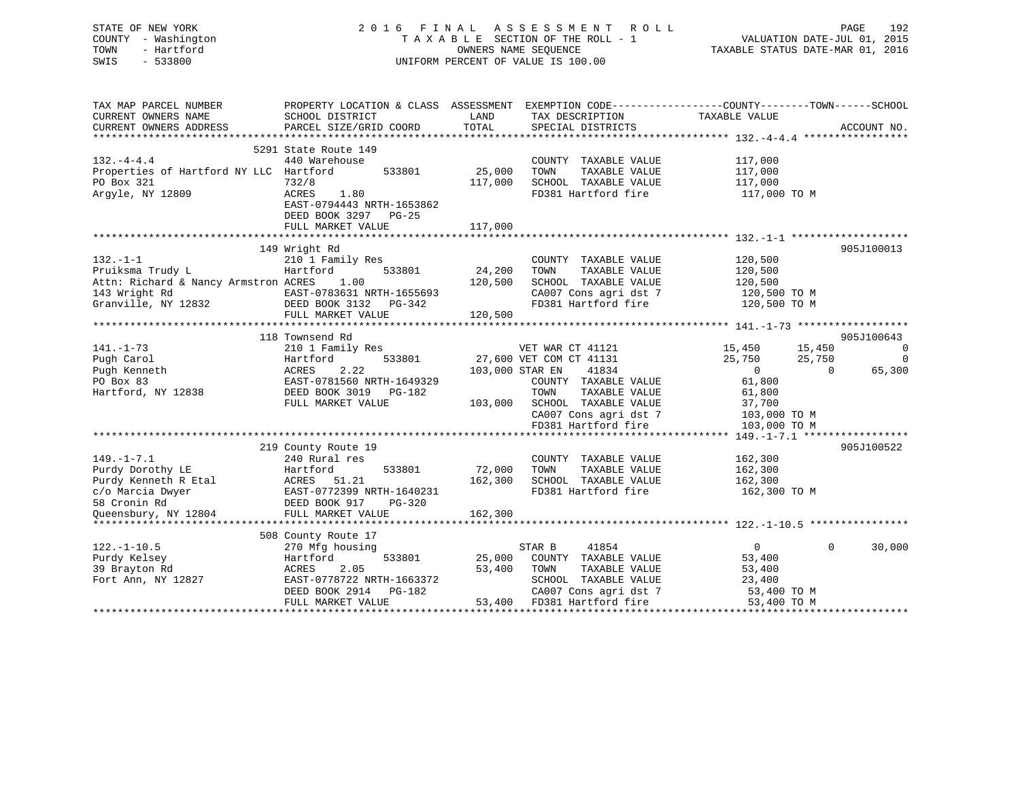| STATE OF NEW YORK<br>COUNTY - Washington<br>- Hartford<br>TOWN<br>$-533800$<br>SWIS |                                                                                                   |                 | 2016 FINAL ASSESSMENT ROLL<br>TAXABLE SECTION OF THE ROLL - 1<br>OWNERS NAME SEQUENCE<br>UNIFORM PERCENT OF VALUE IS 100.00 | PAGE 192<br>VALUATION DATE-JUL 01, 2015<br>TAXABLE STATUS DATE VILLE |                |
|-------------------------------------------------------------------------------------|---------------------------------------------------------------------------------------------------|-----------------|-----------------------------------------------------------------------------------------------------------------------------|----------------------------------------------------------------------|----------------|
| TAX MAP PARCEL NUMBER                                                               | PROPERTY LOCATION & CLASS ASSESSMENT EXEMPTION CODE----------------COUNTY--------TOWN------SCHOOL |                 |                                                                                                                             |                                                                      |                |
| CURRENT OWNERS NAME<br>CURRENT OWNERS ADDRESS                                       | SCHOOL DISTRICT<br>PARCEL SIZE/GRID COORD                                                         | LAND<br>TOTAL   | TAX DESCRIPTION<br>SPECIAL DISTRICTS                                                                                        | TAXABLE VALUE                                                        | ACCOUNT NO.    |
|                                                                                     |                                                                                                   |                 |                                                                                                                             |                                                                      |                |
|                                                                                     | 5291 State Route 149                                                                              |                 |                                                                                                                             |                                                                      |                |
| $132 - 4 - 4.4$                                                                     | 440 Warehouse                                                                                     |                 | COUNTY TAXABLE VALUE                                                                                                        | 117,000                                                              |                |
| Properties of Hartford NY LLC Hartford                                              | 533801                                                                                            | 25,000          | TAXABLE VALUE<br>TOWN                                                                                                       | 117,000                                                              |                |
| PO Box 321                                                                          | 732/8                                                                                             | 117,000         | SCHOOL TAXABLE VALUE                                                                                                        | 117,000                                                              |                |
| Argyle, NY 12809                                                                    | ACRES<br>1.80<br>EAST-0794443 NRTH-1653862                                                        |                 | FD381 Hartford fire                                                                                                         | 117,000 TO M                                                         |                |
|                                                                                     | DEED BOOK 3297 PG-25                                                                              |                 |                                                                                                                             |                                                                      |                |
|                                                                                     | FULL MARKET VALUE                                                                                 | 117,000         |                                                                                                                             |                                                                      |                |
|                                                                                     |                                                                                                   |                 |                                                                                                                             |                                                                      |                |
|                                                                                     | 149 Wright Rd                                                                                     |                 |                                                                                                                             |                                                                      | 905J100013     |
| $132. - 1 - 1$                                                                      | 210 1 Family Res                                                                                  |                 | COUNTY TAXABLE VALUE                                                                                                        | 120,500                                                              |                |
| Pruiksma Trudy L                                                                    | Hartford<br>533801                                                                                | 24,200          | TOWN<br>TAXABLE VALUE                                                                                                       | 120,500                                                              |                |
| Attn: Richard & Nancy Armstron ACRES                                                | 1.00                                                                                              | 120,500         | SCHOOL TAXABLE VALUE                                                                                                        | 120,500                                                              |                |
|                                                                                     |                                                                                                   |                 | CA007 Cons agri dst 7<br>FD381 Hartford fire                                                                                | 120,500 TO M<br>120,500 TO M                                         |                |
|                                                                                     | FULL MARKET VALUE                                                                                 | 120,500         |                                                                                                                             |                                                                      |                |
|                                                                                     |                                                                                                   |                 |                                                                                                                             |                                                                      |                |
|                                                                                     | 118 Townsend Rd                                                                                   |                 |                                                                                                                             |                                                                      | 905J100643     |
| $141. - 1 - 73$                                                                     | 210 1 Family Res                                                                                  |                 | VET WAR CT 41121                                                                                                            | 15,450<br>15,450                                                     | $\overline{0}$ |
| Pugh Carol                                                                          | 533801<br>Hartford                                                                                |                 | 27,600 VET COM CT 41131                                                                                                     | 25,750<br>25,750                                                     | $\overline{0}$ |
| Pugh Kenneth                                                                        | 2.22<br>ACRES                                                                                     | 103,000 STAR EN | 41834                                                                                                                       | $\overline{0}$<br>$\Omega$                                           | 65,300         |
| PO Box 83                                                                           | EAST-0781560 NRTH-1649329                                                                         |                 | COUNTY TAXABLE VALUE                                                                                                        | 61,800                                                               |                |
| Hartford, NY 12838                                                                  | DEED BOOK 3019 PG-182<br>FULL MARKET VALUE                                                        |                 | TAXABLE VALUE<br>TOWN<br>103,000 SCHOOL TAXABLE VALUE                                                                       | 61,800<br>37,700                                                     |                |
|                                                                                     |                                                                                                   |                 | CA007 Cons agri dst 7                                                                                                       | 103,000 TO M                                                         |                |
|                                                                                     |                                                                                                   |                 | FD381 Hartford fire                                                                                                         | 103,000 TO M                                                         |                |
|                                                                                     |                                                                                                   |                 |                                                                                                                             |                                                                      |                |
|                                                                                     | 219 County Route 19                                                                               |                 |                                                                                                                             |                                                                      | 905J100522     |
| $149. - 1 - 7.1$                                                                    | 240 Rural res                                                                                     |                 | COUNTY TAXABLE VALUE                                                                                                        | 162,300                                                              |                |
| Purdy Dorothy LE                                                                    | 533801<br>Hartford                                                                                | 72,000          | TAXABLE VALUE<br>TOWN                                                                                                       | 162,300                                                              |                |
| Purdy Kenneth R Etal                                                                | ACRES 51.21                                                                                       | 162,300         | SCHOOL TAXABLE VALUE                                                                                                        | 162,300                                                              |                |
| c/o Marcia Dwyer<br>58 Cronin Rd<br>58 Cronin Rd                                    | EAST-0772399 NRTH-1640231<br>PG-320                                                               |                 | FD381 Hartford fire                                                                                                         | 162,300 TO M                                                         |                |
| Queensbury, NY 12804                                                                | DEED BOOK 917<br>FULL MARKET VALUE                                                                | 162,300         |                                                                                                                             |                                                                      |                |
|                                                                                     |                                                                                                   |                 |                                                                                                                             |                                                                      |                |
|                                                                                     | 508 County Route 17                                                                               |                 |                                                                                                                             |                                                                      |                |
| $122. - 1 - 10.5$                                                                   | 270 Mfg housing                                                                                   |                 | 41854<br>STAR B                                                                                                             | $\overline{0}$<br>$\Omega$                                           | 30,000         |
| Purdy Kelsey                                                                        | Hartford<br>533801                                                                                | 25,000          | COUNTY TAXABLE VALUE                                                                                                        | 53,400                                                               |                |
| 39 Brayton Rd                                                                       | ACRES<br>2.05                                                                                     | 53,400          | TOWN<br>TAXABLE VALUE                                                                                                       | 53,400                                                               |                |
| Fort Ann, NY 12827                                                                  | EAST-0778722 NRTH-1663372                                                                         |                 | SCHOOL TAXABLE VALUE                                                                                                        | 23,400                                                               |                |
|                                                                                     | DEED BOOK 2914 PG-182                                                                             |                 | CA007 Cons agri dst 7                                                                                                       | 53,400 TO M                                                          |                |
|                                                                                     | FULL MARKET VALUE                                                                                 |                 | 53,400 FD381 Hartford fire                                                                                                  | 53,400 TO M                                                          |                |

\*\*\*\*\*\*\*\*\*\*\*\*\*\*\*\*\*\*\*\*\*\*\*\*\*\*\*\*\*\*\*\*\*\*\*\*\*\*\*\*\*\*\*\*\*\*\*\*\*\*\*\*\*\*\*\*\*\*\*\*\*\*\*\*\*\*\*\*\*\*\*\*\*\*\*\*\*\*\*\*\*\*\*\*\*\*\*\*\*\*\*\*\*\*\*\*\*\*\*\*\*\*\*\*\*\*\*\*\*\*\*\*\*\*\*\*\*\*\*\*\*\*\*\*\*\*\*\*\*\*\*\*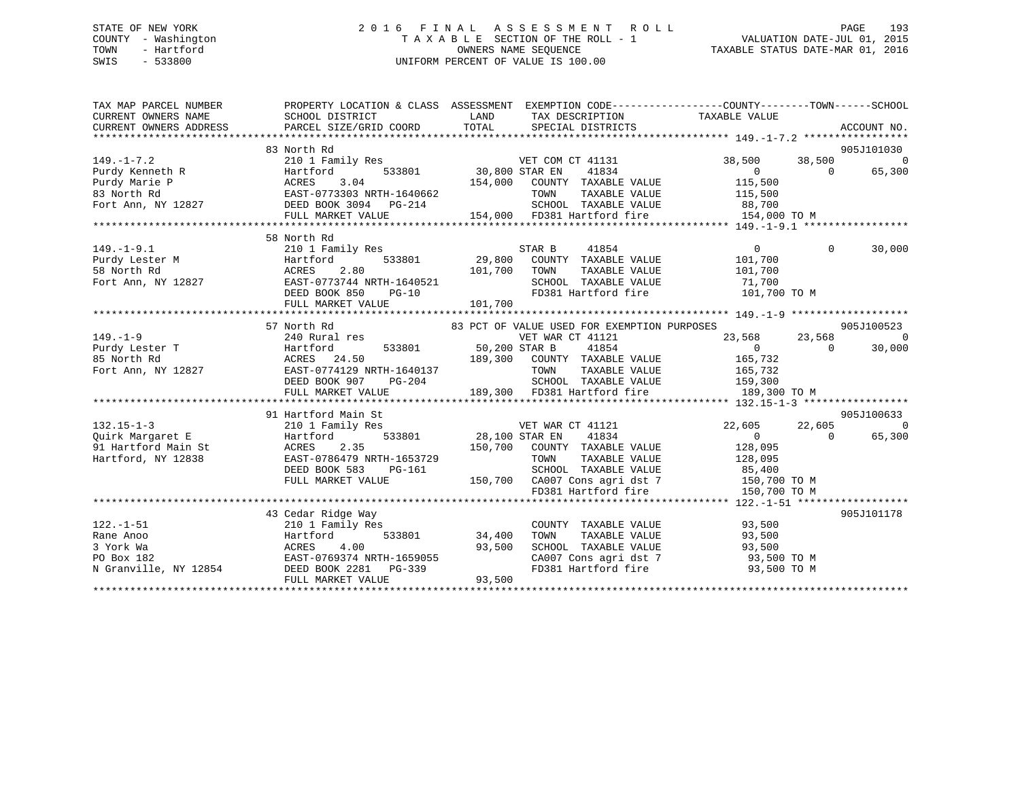## STATE OF NEW YORK 2 0 1 6 F I N A L A S S E S S M E N T R O L L PAGE 193 COUNTY - Washington T A X A B L E SECTION OF THE ROLL - 1 VALUATION DATE-JUL 01, 2015 TOWN - Hartford **TAXABLE STATUS DATE-MAR 01, 2016** OWNERS NAME SEQUENCE TAXABLE STATUS DATE-MAR 01, 2016 SWIS - 533800 UNIFORM PERCENT OF VALUE IS 100.00

| TAX MAP PARCEL NUMBER                                                                                                                                                                                                                                                          | PROPERTY LOCATION & CLASS ASSESSMENT EXEMPTION CODE---------------COUNTY-------TOWN------SCHOOL                                                      |                                    |                                                                  |                                                                                                                                            |            |                |
|--------------------------------------------------------------------------------------------------------------------------------------------------------------------------------------------------------------------------------------------------------------------------------|------------------------------------------------------------------------------------------------------------------------------------------------------|------------------------------------|------------------------------------------------------------------|--------------------------------------------------------------------------------------------------------------------------------------------|------------|----------------|
|                                                                                                                                                                                                                                                                                | 83 North Rd                                                                                                                                          |                                    |                                                                  |                                                                                                                                            |            | 905J101030     |
| $149. - 1 - 7.2$                                                                                                                                                                                                                                                               | 210 1 Family Res                                                                                                                                     |                                    | VET COM CT 41131                                                 | 38,500 38,500                                                                                                                              |            | $\overline{0}$ |
| 149.-1-7.2<br>Purdy Kenneth R<br>Purdy Marie P<br>83 North Rd<br>83 North Rd<br>Fort Ann, NY 12827<br>Purdy Marie P<br>EAST-0773303 NRTH-1640662<br>Fort Ann, NY 12827<br>PURDY NEED BOOK 3094<br>PE-214<br>PURDY VALUE<br>PURDY NATHE-1640662<br>PURDY                        |                                                                                                                                                      | $\overline{533801}$ 30,800 STAR EN |                                                                  |                                                                                                                                            | $\bigcirc$ | 65,300         |
|                                                                                                                                                                                                                                                                                |                                                                                                                                                      |                                    | 154,000 COUNTY TAXABLE VALUE                                     |                                                                                                                                            |            |                |
|                                                                                                                                                                                                                                                                                |                                                                                                                                                      |                                    | TOWN                                                             | $\begin{tabular}{lllllllll} \bf 41834 & 0 \\ \hline \texttt{TAXABLE VALUE} & 115,500 \\ \texttt{TAXABLE VALUE} & 115,500 \\ \end{tabular}$ |            |                |
|                                                                                                                                                                                                                                                                                |                                                                                                                                                      |                                    | SCHOOL TAXABLE VALUE 88,700                                      |                                                                                                                                            |            |                |
|                                                                                                                                                                                                                                                                                | FULL MARKET VALUE                                                                                                                                    |                                    | 154,000 FD381 Hartford fire                                      | 154,000 TO M                                                                                                                               |            |                |
|                                                                                                                                                                                                                                                                                |                                                                                                                                                      |                                    |                                                                  |                                                                                                                                            |            |                |
|                                                                                                                                                                                                                                                                                | 58 North Rd                                                                                                                                          |                                    |                                                                  |                                                                                                                                            |            |                |
|                                                                                                                                                                                                                                                                                |                                                                                                                                                      |                                    |                                                                  | $0 \qquad \qquad$                                                                                                                          | $\Omega$   | 30,000         |
|                                                                                                                                                                                                                                                                                |                                                                                                                                                      |                                    |                                                                  | 101,700                                                                                                                                    |            |                |
|                                                                                                                                                                                                                                                                                |                                                                                                                                                      |                                    |                                                                  | TAXABLE VALUE 101,700                                                                                                                      |            |                |
|                                                                                                                                                                                                                                                                                |                                                                                                                                                      |                                    |                                                                  |                                                                                                                                            |            |                |
|                                                                                                                                                                                                                                                                                |                                                                                                                                                      |                                    | SCHOOL TAXABLE VALUE 71,700<br>FD381 Hartford fire 101,700 TO M  |                                                                                                                                            |            |                |
|                                                                                                                                                                                                                                                                                |                                                                                                                                                      |                                    |                                                                  |                                                                                                                                            |            |                |
| 149.-1-9.1 210 1 Family ACL<br>Purdy Lester M Hartford 533801 29,800 CODA1.<br>58 North Rd ACRES 2.80 101,700 TOWN EAST-0773744 NRTH-1640521 SCHOO!<br>DEED BOOK 850 PG-10 FD381 20, 201,700 PD381                                                                             |                                                                                                                                                      |                                    |                                                                  |                                                                                                                                            |            |                |
|                                                                                                                                                                                                                                                                                | 57 North Rd                                                                                                                                          |                                    | 83 PCT OF VALUE USED FOR EXEMPTION PURPOSES                      |                                                                                                                                            |            | 905J100523     |
|                                                                                                                                                                                                                                                                                |                                                                                                                                                      |                                    |                                                                  |                                                                                                                                            |            |                |
|                                                                                                                                                                                                                                                                                |                                                                                                                                                      |                                    |                                                                  |                                                                                                                                            |            |                |
|                                                                                                                                                                                                                                                                                |                                                                                                                                                      |                                    |                                                                  |                                                                                                                                            |            |                |
|                                                                                                                                                                                                                                                                                |                                                                                                                                                      |                                    |                                                                  |                                                                                                                                            |            |                |
|                                                                                                                                                                                                                                                                                |                                                                                                                                                      |                                    |                                                                  |                                                                                                                                            |            |                |
|                                                                                                                                                                                                                                                                                |                                                                                                                                                      |                                    |                                                                  |                                                                                                                                            |            |                |
| 149.-1-9<br>Purdy Lester T<br>240 Rural res<br>Purdy Lester T<br>240 Rural res<br>240 Rural res<br>240 Rural res<br>240 Rural res<br>240 Rural res<br>240 Rural res<br>24.50<br>26 Martford 533801<br>26 Martford 533801<br>26 Martford 1121<br>26 Martfor                     |                                                                                                                                                      |                                    |                                                                  |                                                                                                                                            |            |                |
|                                                                                                                                                                                                                                                                                | 91 Hartford Main St                                                                                                                                  |                                    |                                                                  |                                                                                                                                            |            | 905J100633     |
| $132.15 - 1 - 3$                                                                                                                                                                                                                                                               | 210 1 Family Res                                                                                                                                     |                                    | VET WAR CT 41121                                                 | 22,605 22,605 0                                                                                                                            |            |                |
|                                                                                                                                                                                                                                                                                |                                                                                                                                                      | 533801 28,100 STAR EN              | 41834                                                            | $\begin{array}{ccc} & & & 0 & \quad & \quad & 0 \end{array}$                                                                               |            | 65,300         |
|                                                                                                                                                                                                                                                                                |                                                                                                                                                      |                                    | 150,700 COUNTY TAXABLE VALUE                                     |                                                                                                                                            |            |                |
|                                                                                                                                                                                                                                                                                | EAST-0786479 NRTH-1653729                                                                                                                            |                                    | TAXABLE VALUE<br>TOWN                                            | 128,095<br>128,095                                                                                                                         |            |                |
|                                                                                                                                                                                                                                                                                |                                                                                                                                                      |                                    |                                                                  |                                                                                                                                            |            |                |
|                                                                                                                                                                                                                                                                                |                                                                                                                                                      |                                    |                                                                  |                                                                                                                                            |            |                |
|                                                                                                                                                                                                                                                                                | DEED BOOK 583 PG-161 SCHOOL TAXABLE VALUE 85,400<br>FULL MARKET VALUE 150,700 CA007 Cons agri dst 7 150,700 TO M<br>FD381 Hartford fire 150,700 TO M |                                    |                                                                  |                                                                                                                                            |            |                |
|                                                                                                                                                                                                                                                                                |                                                                                                                                                      |                                    |                                                                  |                                                                                                                                            |            |                |
|                                                                                                                                                                                                                                                                                | 43 Cedar Ridge Way                                                                                                                                   |                                    |                                                                  |                                                                                                                                            |            | 905J101178     |
|                                                                                                                                                                                                                                                                                |                                                                                                                                                      |                                    |                                                                  |                                                                                                                                            |            |                |
| $122. - 1 - 51$                                                                                                                                                                                                                                                                | 210 1 Family Res                                                                                                                                     |                                    | COUNTY TAXABLE VALUE 93,500                                      |                                                                                                                                            |            |                |
|                                                                                                                                                                                                                                                                                |                                                                                                                                                      |                                    | TOWN<br>TAXABLE VALUE                                            | 93,500                                                                                                                                     |            |                |
|                                                                                                                                                                                                                                                                                |                                                                                                                                                      |                                    | SCHOOL TAXABLE VALUE 93,500<br>CA007 Cons agri dst 7 93,500 TO M |                                                                                                                                            |            |                |
|                                                                                                                                                                                                                                                                                |                                                                                                                                                      |                                    | FD381 Hartford fire 93,500 TO M                                  |                                                                                                                                            |            |                |
| Pane Anoo<br>24,400<br>24,400<br>3 York Wa<br>253 York Wa<br>254<br>26 BAST-0769374 NRTH-1659055<br>27,500<br>27,500<br>27,500<br>27,500<br>27,500<br>27,500<br>27,500<br>27,500<br>27,500<br>27,500<br>27,500<br>27,500<br>27,500<br>27,500<br>27,500<br>27,500<br>27,500<br> |                                                                                                                                                      | 93,500                             |                                                                  |                                                                                                                                            |            |                |
|                                                                                                                                                                                                                                                                                | FULL MARKET VALUE                                                                                                                                    |                                    |                                                                  |                                                                                                                                            |            |                |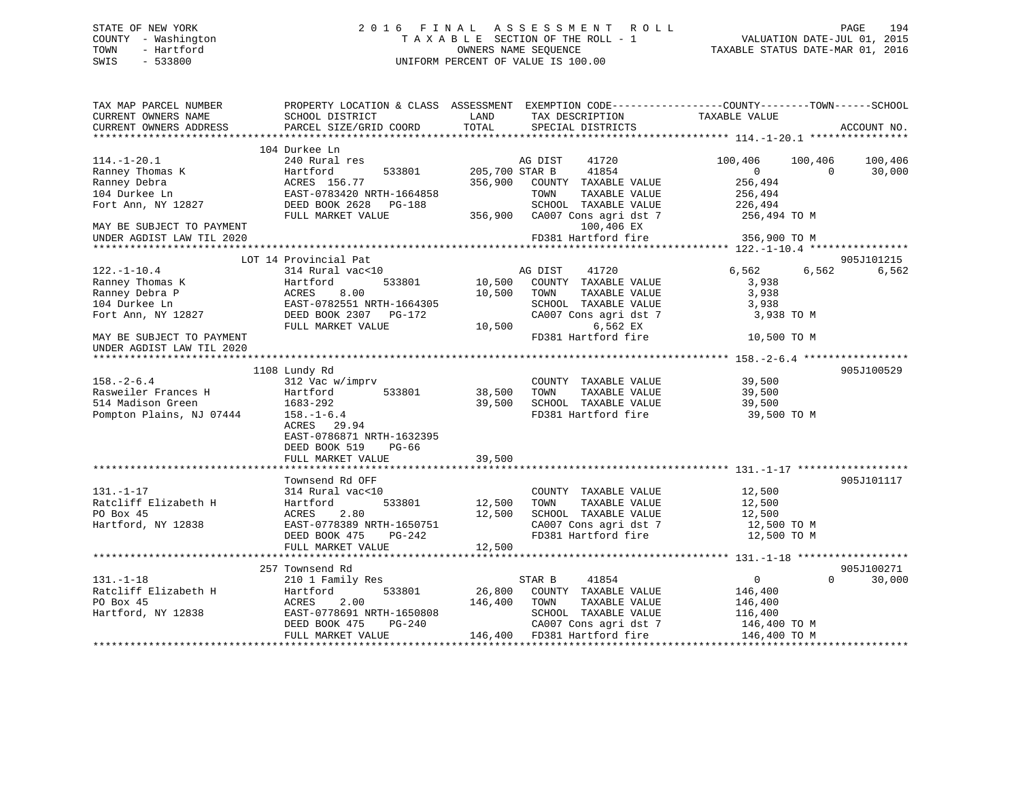## STATE OF NEW YORK 2 0 1 6 F I N A L A S S E S S M E N T R O L L PAGE 194 COUNTY - Washington T A X A B L E SECTION OF THE ROLL - 1 VALUATION DATE-JUL 01, 2015 TOWN - Hartford **TAXABLE STATUS DATE-MAR 01, 2016** OWNERS NAME SEQUENCE TAXABLE STATUS DATE-MAR 01, 2016 SWIS - 533800 UNIFORM PERCENT OF VALUE IS 100.00

| TOTAL<br>PARCEL SIZE/GRID COORD<br>SPECIAL DISTRICTS<br>CURRENT OWNERS ADDRESS                 | ACCOUNT NO. |
|------------------------------------------------------------------------------------------------|-------------|
|                                                                                                |             |
| 104 Durkee Ln                                                                                  |             |
| $114. - 1 - 20.1$<br>41720<br>240 Rural res<br>AG DIST<br>100,406<br>100,406                   | 100,406     |
| Ranney Thomas K<br>205,700 STAR B<br>41854<br>Hartford<br>533801<br>$\overline{0}$<br>$\Omega$ | 30,000      |
| Ranney Debra<br>ACRES 156.77<br>356,900<br>256,494<br>COUNTY TAXABLE VALUE                     |             |
| 104 Durkee Ln<br>EAST-0783420 NRTH-1664858<br>TAXABLE VALUE<br>256,494<br>TOWN                 |             |
| DEED BOOK 2628<br>SCHOOL TAXABLE VALUE<br>Fort Ann, NY 12827<br>PG-188<br>226,494              |             |
| FULL MARKET VALUE<br>CA007 Cons agri dst 7<br>356,900<br>256,494 TO M                          |             |
| 100,406 EX<br>MAY BE SUBJECT TO PAYMENT                                                        |             |
| FD381 Hartford fire<br>356,900 TO M<br>UNDER AGDIST LAW TIL 2020                               |             |
|                                                                                                |             |
| LOT 14 Provincial Pat                                                                          | 905J101215  |
| $122. - 1 - 10.4$<br>314 Rural vac<10<br>41720<br>6,562<br>6,562<br>AG DIST                    | 6,562       |
| Ranney Thomas K<br>533801<br>10,500<br>COUNTY TAXABLE VALUE<br>Hartford<br>3,938               |             |
| Ranney Debra P<br>8.00<br>3,938<br>ACRES<br>10,500<br>TOWN<br>TAXABLE VALUE                    |             |
| 104 Durkee Ln<br>EAST-0782551 NRTH-1664305<br>SCHOOL TAXABLE VALUE<br>3,938                    |             |
| CA007 Cons agri dst 7<br>Fort Ann, NY 12827<br>DEED BOOK 2307 PG-172<br>3,938 TO M             |             |
| 6,562 EX<br>FULL MARKET VALUE<br>10,500                                                        |             |
| FD381 Hartford fire<br>MAY BE SUBJECT TO PAYMENT<br>10,500 TO M                                |             |
| UNDER AGDIST LAW TIL 2020                                                                      |             |
|                                                                                                |             |
| 1108 Lundy Rd                                                                                  | 905J100529  |
| $158. - 2 - 6.4$<br>312 Vac w/imprv<br>39,500<br>COUNTY TAXABLE VALUE                          |             |
| Rasweiler Frances H<br>533801<br>38,500<br>TAXABLE VALUE<br>Hartford<br>TOWN<br>39,500         |             |
| 514 Madison Green<br>39,500<br>SCHOOL TAXABLE VALUE<br>1683-292<br>39,500                      |             |
| Pompton Plains, NJ 07444<br>FD381 Hartford fire<br>$158. - 1 - 6.4$<br>39,500 TO M             |             |
| ACRES 29.94                                                                                    |             |
| EAST-0786871 NRTH-1632395                                                                      |             |
| DEED BOOK 519<br>PG-66                                                                         |             |
| 39,500<br>FULL MARKET VALUE                                                                    |             |
|                                                                                                |             |
| Townsend Rd OFF                                                                                | 905J101117  |
| $131. - 1 - 17$<br>314 Rural vac<10<br>COUNTY TAXABLE VALUE<br>12,500                          |             |
| Ratcliff Elizabeth H<br>533801<br>12,500<br>TAXABLE VALUE<br>12,500<br>Hartford<br>TOWN        |             |
| PO Box 45<br>2.80<br>12,500<br>SCHOOL TAXABLE VALUE<br>ACRES<br>12,500                         |             |
| Hartford, NY 12838<br>EAST-0778389 NRTH-1650751<br>CA007 Cons agri dst 7<br>12,500 TO M        |             |
| FD381 Hartford fire<br>12,500 TO M<br>DEED BOOK 475<br>PG-242                                  |             |
| FULL MARKET VALUE<br>12,500                                                                    |             |
|                                                                                                |             |
| 257 Townsend Rd                                                                                | 905J100271  |
| $131. - 1 - 18$<br>210 1 Family Res<br>41854<br>0<br>$\Omega$<br>STAR B                        | 30,000      |
| Ratcliff Elizabeth H<br>26,800<br>533801<br>COUNTY TAXABLE VALUE<br>Hartford<br>146,400        |             |
| 2.00<br>PO Box 45<br>ACRES<br>146,400<br>TAXABLE VALUE<br>TOWN<br>146,400                      |             |
| EAST-0778691 NRTH-1650808<br>SCHOOL TAXABLE VALUE<br>Hartford, NY 12838<br>116,400             |             |
| CA007 Cons agri dst 7<br>DEED BOOK 475<br>$PG-240$<br>146,400 TO M                             |             |
| 146,400 FD381 Hartford fire<br>FULL MARKET VALUE<br>146,400 TO M                               |             |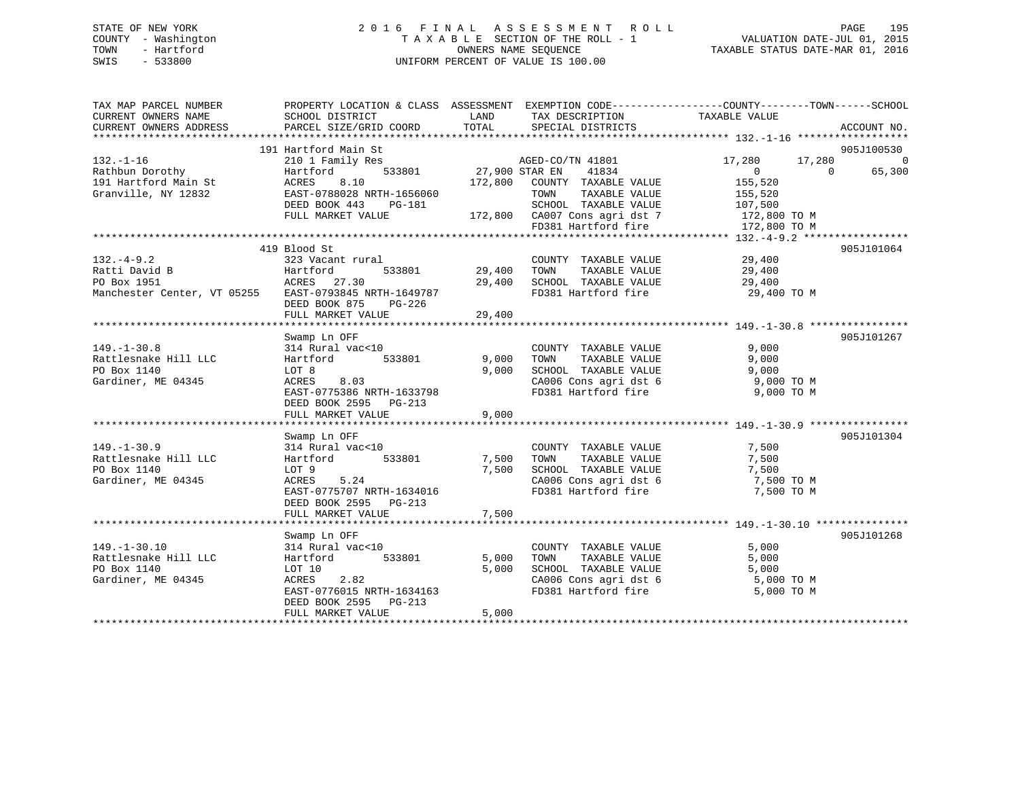## STATE OF NEW YORK 2 0 1 6 F I N A L A S S E S S M E N T R O L L PAGE 195 COUNTY - Washington T A X A B L E SECTION OF THE ROLL - 1 VALUATION DATE-JUL 01, 2015 TOWN - Hartford **TAXABLE STATUS DATE-MAR 01, 2016** OWNERS NAME SEQUENCE TAXABLE STATUS DATE-MAR 01, 2016 SWIS - 533800 UNIFORM PERCENT OF VALUE IS 100.00

| TAX MAP PARCEL NUMBER<br>CURRENT OWNERS NAME<br>CURRENT OWNERS ADDRESS | PROPERTY LOCATION & CLASS ASSESSMENT EXEMPTION CODE---------------COUNTY-------TOWN-----SCHOOL<br>SCHOOL DISTRICT<br>PARCEL SIZE/GRID COORD | LAND<br>TOTAL  | TAX DESCRIPTION<br>SPECIAL DISTRICTS                                  | TAXABLE VALUE                                  | ACCOUNT NO.        |
|------------------------------------------------------------------------|---------------------------------------------------------------------------------------------------------------------------------------------|----------------|-----------------------------------------------------------------------|------------------------------------------------|--------------------|
|                                                                        | 191 Hartford Main St                                                                                                                        |                |                                                                       |                                                | 905J100530         |
| $132. - 1 - 16$<br>Rathbun Dorothy                                     | 210 1 Family Res<br>533801<br>Hartford                                                                                                      | 27,900 STAR EN | AGED-CO/TN 41801<br>41834                                             | 17,280<br>17,280<br>$\overline{0}$<br>$\Omega$ | $\Omega$<br>65,300 |
| 191 Hartford Main St<br>Granville, NY 12832                            | ACRES<br>8.10<br>EAST-0788028 NRTH-1656060<br>DEED BOOK 443<br>PG-181                                                                       | 172,800        | COUNTY TAXABLE VALUE<br>TOWN<br>TAXABLE VALUE<br>SCHOOL TAXABLE VALUE | 155,520<br>155,520<br>107,500                  |                    |
|                                                                        | FULL MARKET VALUE                                                                                                                           |                | 172,800 CA007 Cons agri dst 7<br>FD381 Hartford fire                  | 172,800 TO M<br>172,800 TO M                   |                    |
|                                                                        |                                                                                                                                             |                |                                                                       |                                                |                    |
|                                                                        | 419 Blood St                                                                                                                                |                |                                                                       |                                                | 905J101064         |
| $132. -4 - 9.2$                                                        | 323 Vacant rural                                                                                                                            | 29,400         | COUNTY TAXABLE VALUE<br>TAXABLE VALUE                                 | 29,400                                         |                    |
| Ratti David B<br>PO Box 1951                                           | Hartford<br>533801<br>ACRES 27.30                                                                                                           | 29,400         | TOWN<br>SCHOOL TAXABLE VALUE                                          | 29,400<br>29,400                               |                    |
| Manchester Center, VT 05255                                            | EAST-0793845 NRTH-1649787<br>DEED BOOK 875<br>PG-226                                                                                        |                | FD381 Hartford fire                                                   | 29,400 TO M                                    |                    |
|                                                                        | FULL MARKET VALUE                                                                                                                           | 29,400         |                                                                       |                                                |                    |
|                                                                        |                                                                                                                                             |                |                                                                       |                                                |                    |
|                                                                        | Swamp Ln OFF                                                                                                                                |                |                                                                       |                                                | 905J101267         |
| $149. - 1 - 30.8$                                                      | 314 Rural vac<10                                                                                                                            |                | COUNTY TAXABLE VALUE                                                  | 9,000                                          |                    |
| Rattlesnake Hill LLC                                                   | 533801<br>Hartford                                                                                                                          | 9,000          | TOWN<br>TAXABLE VALUE                                                 | 9,000                                          |                    |
| PO Box 1140                                                            | LOT 8                                                                                                                                       | 9,000          | SCHOOL TAXABLE VALUE                                                  | 9,000                                          |                    |
| Gardiner, ME 04345                                                     | ACRES<br>8.03                                                                                                                               |                | CA006 Cons agri dst 6                                                 | 9,000 TO M                                     |                    |
|                                                                        | EAST-0775386 NRTH-1633798<br>DEED BOOK 2595 PG-213<br>FULL MARKET VALUE                                                                     | 9,000          | FD381 Hartford fire                                                   | 9,000 TO M                                     |                    |
|                                                                        |                                                                                                                                             |                |                                                                       |                                                |                    |
|                                                                        | Swamp Ln OFF                                                                                                                                |                |                                                                       |                                                | 905J101304         |
| $149. - 1 - 30.9$                                                      | 314 Rural vac<10                                                                                                                            |                | COUNTY TAXABLE VALUE                                                  | 7,500                                          |                    |
| Rattlesnake Hill LLC                                                   | 533801<br>Hartford                                                                                                                          | 7,500          | TAXABLE VALUE<br>TOWN                                                 | 7,500                                          |                    |
| PO Box 1140                                                            | LOT 9                                                                                                                                       | 7,500          | SCHOOL TAXABLE VALUE                                                  | 7,500                                          |                    |
| Gardiner, ME 04345                                                     | ACRES<br>5.24                                                                                                                               |                | CA006 Cons agri dst 6                                                 | 7,500 TO M                                     |                    |
|                                                                        | EAST-0775707 NRTH-1634016<br>DEED BOOK 2595 PG-213                                                                                          |                | FD381 Hartford fire                                                   | 7,500 TO M                                     |                    |
|                                                                        | FULL MARKET VALUE                                                                                                                           | 7,500          |                                                                       |                                                |                    |
|                                                                        |                                                                                                                                             |                |                                                                       |                                                |                    |
|                                                                        | Swamp Ln OFF                                                                                                                                |                |                                                                       |                                                | 905J101268         |
| $149. - 1 - 30.10$<br>Rattlesnake Hill LLC                             | 314 Rural vac<10<br>533801                                                                                                                  | 5,000          | COUNTY TAXABLE VALUE<br>TAXABLE VALUE<br>TOWN                         | 5,000<br>5,000                                 |                    |
| PO Box 1140                                                            | Hartford                                                                                                                                    | 5,000          | SCHOOL TAXABLE VALUE                                                  | 5,000                                          |                    |
| Gardiner, ME 04345                                                     | LOT 10<br>ACRES<br>2.82                                                                                                                     |                | CA006 Cons agri dst 6                                                 | 5,000 TO M                                     |                    |
|                                                                        | EAST-0776015 NRTH-1634163                                                                                                                   |                | FD381 Hartford fire                                                   | 5,000 TO M                                     |                    |
|                                                                        | DEED BOOK 2595 PG-213                                                                                                                       |                |                                                                       |                                                |                    |
|                                                                        | FULL MARKET VALUE                                                                                                                           | 5,000          |                                                                       |                                                |                    |
|                                                                        |                                                                                                                                             |                |                                                                       |                                                |                    |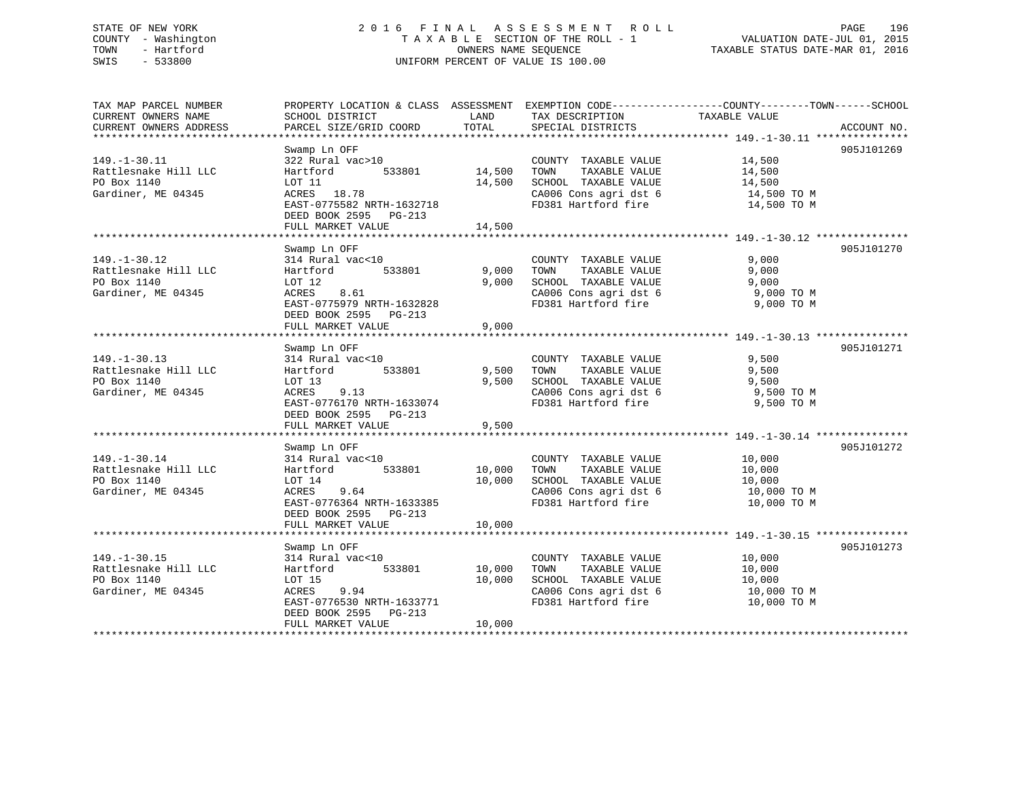## STATE OF NEW YORK 2 0 1 6 F I N A L A S S E S S M E N T R O L L PAGE 196 COUNTY - Washington T A X A B L E SECTION OF THE ROLL - 1 VALUATION DATE-JUL 01, 2015 TOWN - Hartford **TAXABLE STATUS DATE-MAR 01, 2016** OWNERS NAME SEQUENCE TAXABLE STATUS DATE-MAR 01, 2016 SWIS - 533800 UNIFORM PERCENT OF VALUE IS 100.00

| TAX MAP PARCEL NUMBER  |                           |        |                       | PROPERTY LOCATION & CLASS ASSESSMENT EXEMPTION CODE----------------COUNTY-------TOWN------SCHOOL |  |
|------------------------|---------------------------|--------|-----------------------|--------------------------------------------------------------------------------------------------|--|
| CURRENT OWNERS NAME    | SCHOOL DISTRICT           | LAND   | TAX DESCRIPTION       | TAXABLE VALUE                                                                                    |  |
| CURRENT OWNERS ADDRESS | PARCEL SIZE/GRID COORD    | TOTAL  | SPECIAL DISTRICTS     | ACCOUNT NO.                                                                                      |  |
|                        |                           |        |                       |                                                                                                  |  |
|                        | Swamp Ln OFF              |        |                       | 905J101269                                                                                       |  |
| $149. - 1 - 30.11$     | 322 Rural vac>10          |        | COUNTY TAXABLE VALUE  | 14,500                                                                                           |  |
| Rattlesnake Hill LLC   | 533801<br>Hartford        | 14,500 | TOWN<br>TAXABLE VALUE | 14,500                                                                                           |  |
| PO Box 1140            | LOT 11                    | 14,500 | SCHOOL TAXABLE VALUE  | 14,500                                                                                           |  |
| Gardiner, ME 04345     | ACRES 18.78               |        | CA006 Cons agri dst 6 | 14,500 TO M                                                                                      |  |
|                        | EAST-0775582 NRTH-1632718 |        | FD381 Hartford fire   | 14,500 TO M                                                                                      |  |
|                        | DEED BOOK 2595 PG-213     |        |                       |                                                                                                  |  |
|                        | FULL MARKET VALUE         | 14,500 |                       |                                                                                                  |  |
|                        |                           |        |                       |                                                                                                  |  |
|                        | Swamp Ln OFF              |        |                       | 905J101270                                                                                       |  |
| $149. - 1 - 30.12$     | 314 Rural vac<10          |        | COUNTY TAXABLE VALUE  | 9,000                                                                                            |  |
| Rattlesnake Hill LLC   | 533801<br>Hartford        | 9,000  | TOWN<br>TAXABLE VALUE | 9,000                                                                                            |  |
| PO Box 1140            | LOT 12                    | 9,000  | SCHOOL TAXABLE VALUE  | 9,000                                                                                            |  |
| Gardiner, ME 04345     | 8.61<br>ACRES             |        | CA006 Cons agri dst 6 | 9,000 TO M                                                                                       |  |
|                        | EAST-0775979 NRTH-1632828 |        | FD381 Hartford fire   | 9,000 TO M                                                                                       |  |
|                        | DEED BOOK 2595 PG-213     |        |                       |                                                                                                  |  |
|                        | FULL MARKET VALUE         | 9,000  |                       |                                                                                                  |  |
|                        |                           |        |                       |                                                                                                  |  |
|                        | Swamp Ln OFF              |        |                       | 905J101271                                                                                       |  |
| $149. - 1 - 30.13$     | 314 Rural vac<10          |        | COUNTY TAXABLE VALUE  | 9,500                                                                                            |  |
| Rattlesnake Hill LLC   | 533801<br>Hartford        | 9,500  | TOWN<br>TAXABLE VALUE | 9,500                                                                                            |  |
| PO Box 1140            | LOT 13                    | 9,500  | SCHOOL TAXABLE VALUE  | 9,500                                                                                            |  |
| Gardiner, ME 04345     | ACRES<br>9.13             |        | CA006 Cons agri dst 6 | 9,500 TO M                                                                                       |  |
|                        | EAST-0776170 NRTH-1633074 |        | FD381 Hartford fire   | 9,500 TO M                                                                                       |  |
|                        | DEED BOOK 2595 PG-213     |        |                       |                                                                                                  |  |
|                        | FULL MARKET VALUE         | 9,500  |                       |                                                                                                  |  |
|                        |                           |        |                       |                                                                                                  |  |
|                        | Swamp Ln OFF              |        |                       | 905J101272                                                                                       |  |
| $149. - 1 - 30.14$     | 314 Rural vac<10          |        | COUNTY TAXABLE VALUE  | 10,000                                                                                           |  |
| Rattlesnake Hill LLC   | 533801<br>Hartford        | 10,000 | TAXABLE VALUE<br>TOWN | 10,000                                                                                           |  |
| PO Box 1140            | LOT 14                    | 10,000 | SCHOOL TAXABLE VALUE  | 10,000                                                                                           |  |
| Gardiner, ME 04345     | ACRES<br>9.64             |        | CA006 Cons agri dst 6 | 10,000 TO M                                                                                      |  |
|                        | EAST-0776364 NRTH-1633385 |        | FD381 Hartford fire   | 10,000 TO M                                                                                      |  |
|                        | DEED BOOK 2595 PG-213     |        |                       |                                                                                                  |  |
|                        | FULL MARKET VALUE         | 10,000 |                       |                                                                                                  |  |
|                        |                           |        |                       |                                                                                                  |  |
|                        | Swamp Ln OFF              |        |                       | 905J101273                                                                                       |  |
| $149. - 1 - 30.15$     | 314 Rural vac<10          |        | COUNTY TAXABLE VALUE  | 10,000                                                                                           |  |
| Rattlesnake Hill LLC   | 533801<br>Hartford        | 10,000 | TAXABLE VALUE<br>TOWN | 10,000                                                                                           |  |
| PO Box 1140            | LOT 15                    | 10,000 | SCHOOL TAXABLE VALUE  | 10,000                                                                                           |  |
| Gardiner, ME 04345     | ACRES<br>9.94             |        | CA006 Cons agri dst 6 | 10,000 TO M                                                                                      |  |
|                        | EAST-0776530 NRTH-1633771 |        | FD381 Hartford fire   | 10,000 TO M                                                                                      |  |
|                        | DEED BOOK 2595 PG-213     |        |                       |                                                                                                  |  |
|                        | FULL MARKET VALUE         | 10,000 |                       |                                                                                                  |  |
|                        |                           |        |                       |                                                                                                  |  |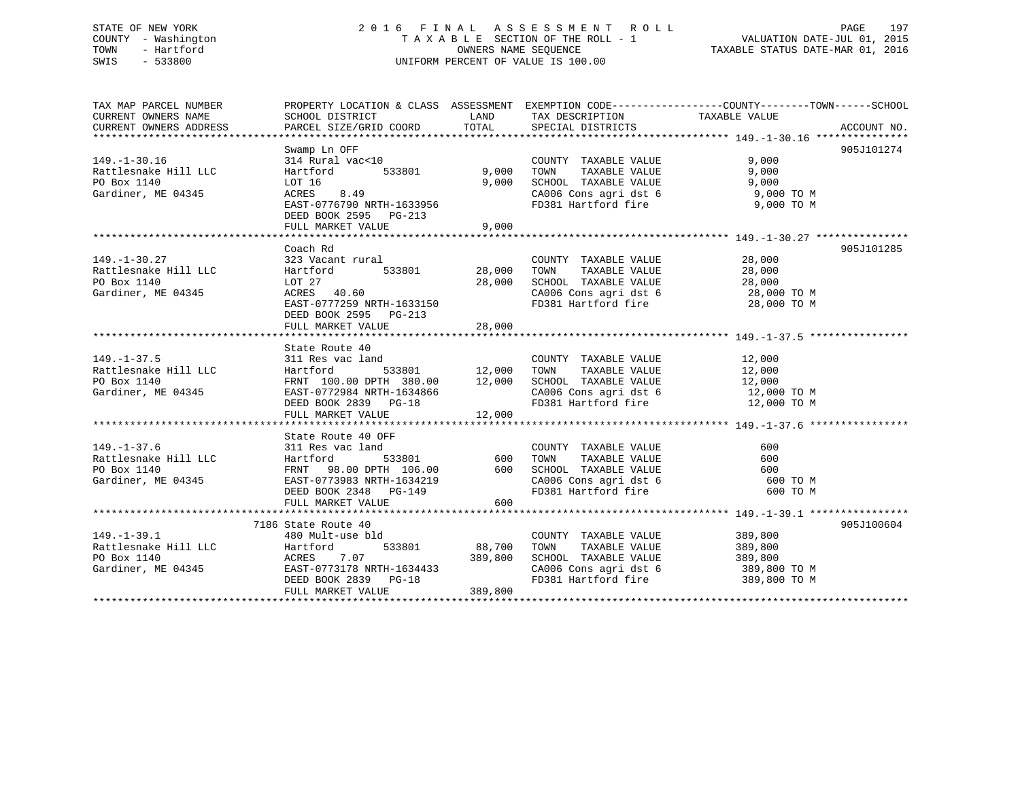## STATE OF NEW YORK 2 0 1 6 F I N A L A S S E S S M E N T R O L L PAGE 197 COUNTY - Washington T A X A B L E SECTION OF THE ROLL - 1 VALUATION DATE-JUL 01, 2015 TOWN - Hartford **TAXABLE STATUS DATE-MAR 01, 2016** OWNERS NAME SEQUENCE TAXABLE STATUS DATE-MAR 01, 2016 SWIS - 533800 UNIFORM PERCENT OF VALUE IS 100.00

| TAX MAP PARCEL NUMBER<br>CURRENT OWNERS NAME | PROPERTY LOCATION & CLASS ASSESSMENT EXEMPTION CODE---------------COUNTY-------TOWN-----SCHOOL<br>SCHOOL DISTRICT                                                             |               | LAND TAX DESCRIPTION                                                                                   | TAXABLE VALUE         |             |
|----------------------------------------------|-------------------------------------------------------------------------------------------------------------------------------------------------------------------------------|---------------|--------------------------------------------------------------------------------------------------------|-----------------------|-------------|
| CURRENT OWNERS ADDRESS                       | PARCEL SIZE/GRID COORD TOTAL SPECIAL DISTRICTS                                                                                                                                |               |                                                                                                        |                       | ACCOUNT NO. |
|                                              |                                                                                                                                                                               |               |                                                                                                        |                       |             |
|                                              | Swamp Ln OFF                                                                                                                                                                  |               |                                                                                                        |                       | 905J101274  |
| $149. - 1 - 30.16$                           | 314 Rural vac<10                                                                                                                                                              |               | COUNTY TAXABLE VALUE                                                                                   | 9,000                 |             |
| Rattlesnake Hill LLC                         | 533801 9,000<br>Hartford                                                                                                                                                      |               | TAXABLE VALUE<br>TOWN                                                                                  | 9,000                 |             |
| PO Box 1140                                  | LOT 16<br>ACRES 8.49                                                                                                                                                          | 9,000         | SCHOOL TAXABLE VALUE                                                                                   | 9,000                 |             |
| Gardiner, ME 04345                           |                                                                                                                                                                               |               | CA006 Cons agri dst 6 9,000 TO M                                                                       |                       |             |
|                                              | EAST-0776790 NRTH-1633956                                                                                                                                                     |               | FD381 Hartford fire                                                                                    | 9,000 TO M            |             |
|                                              | DEED BOOK 2595 PG-213                                                                                                                                                         |               |                                                                                                        |                       |             |
|                                              | FULL MARKET VALUE                                                                                                                                                             | 9,000         |                                                                                                        |                       |             |
|                                              |                                                                                                                                                                               |               |                                                                                                        |                       |             |
|                                              | Coach Rd                                                                                                                                                                      |               |                                                                                                        |                       | 905J101285  |
| $149. - 1 - 30.27$<br>Rattlesnake Hill LLC   |                                                                                                                                                                               |               |                                                                                                        | 28,000                |             |
|                                              |                                                                                                                                                                               |               |                                                                                                        | 28,000                |             |
| PO Box 1140                                  | LOT 27                                                                                                                                                                        | 28,000        | SCHOOL TAXABLE VALUE 28,000<br>CA006 Cons agri dst 6 28,000 TO M                                       |                       |             |
| Gardiner, ME 04345                           | ACRES 40.60                                                                                                                                                                   |               | CA006 Cons agri dst 6<br>FD381 Hartford fire                                                           |                       |             |
|                                              | EAST-0777259 NRTH-1633150                                                                                                                                                     |               |                                                                                                        | 28,000 TO M           |             |
|                                              | DEED BOOK 2595 PG-213                                                                                                                                                         |               |                                                                                                        |                       |             |
|                                              | FULL MARKET VALUE                                                                                                                                                             | 28,000        |                                                                                                        |                       |             |
|                                              | State Route 40                                                                                                                                                                |               |                                                                                                        |                       |             |
| $149. - 1 - 37.5$                            | 311 Res vac land                                                                                                                                                              |               | COUNTY TAXABLE VALUE 12,000                                                                            |                       |             |
| Rattlesnake Hill LLC                         |                                                                                                                                                                               | 533801 12,000 |                                                                                                        |                       |             |
| PO Box 1140                                  | Hartford 533801 12,000 TOWN TAXABLE VALUE 12,000<br>FRNT 100.00 DPTH 380.00 12,000 SCHOOL TAXABLE VALUE 12,000<br>EAST-0772984 NRTH-1634866 CA006 Cons agri dst 6 12,000 TO M |               |                                                                                                        |                       |             |
| Gardiner, ME 04345                           |                                                                                                                                                                               |               |                                                                                                        |                       |             |
|                                              | DEED BOOK 2839 PG-18                                                                                                                                                          |               | FD381 Hartford fire 12,000 TO M                                                                        |                       |             |
|                                              | FULL MARKET VALUE                                                                                                                                                             | 12,000        |                                                                                                        |                       |             |
|                                              |                                                                                                                                                                               |               |                                                                                                        |                       |             |
|                                              | State Route 40 OFF                                                                                                                                                            |               |                                                                                                        |                       |             |
| $149. - 1 - 37.6$                            | 311 Res vac land                                                                                                                                                              |               |                                                                                                        | 600                   |             |
| Rattlesnake Hill LLC                         | 533801<br>Hartford                                                                                                                                                            | $600$         | COUNTY TAXABLE VALUE<br>TOWN TAXABLE VALUE<br>TOWN                                                     | 600                   |             |
| PO Box 1140                                  |                                                                                                                                                                               |               |                                                                                                        |                       |             |
| Gardiner, ME 04345                           | FRNT 98.00 DPTH 106.00 600 SCHOOL TAXABLE VALUE<br>EAST-0773983 NRTH-1634219 CA006 Cons agri dst 6<br>DEED BOOK 2348 PG-149 FD381 Hartford fire                               |               | SCHOOL TAXABLE VALUE 600<br>CA006 Cons agri dst 6 600 TO M                                             |                       |             |
|                                              |                                                                                                                                                                               |               | FD381 Hartford fire                                                                                    | 600 TO M              |             |
|                                              | FULL MARKET VALUE                                                                                                                                                             | 600           |                                                                                                        |                       |             |
|                                              |                                                                                                                                                                               |               |                                                                                                        |                       |             |
|                                              | 7186 State Route 40                                                                                                                                                           |               |                                                                                                        |                       | 905J100604  |
| $149. - 1 - 39.1$                            | 480 Mult-use bld                                                                                                                                                              |               | COUNTY TAXABLE VALUE 389,800                                                                           |                       |             |
| Rattlesnake Hill LLC                         | Hartford                                                                                                                                                                      | 533801 88,700 | TOWN                                                                                                   | TAXABLE VALUE 389,800 |             |
| PO Box 1140                                  |                                                                                                                                                                               |               |                                                                                                        |                       |             |
| Gardiner, ME 04345                           |                                                                                                                                                                               |               |                                                                                                        |                       |             |
|                                              | ACRES 7.07 389,800<br>EAST-0773178 NRTH-1634433<br>DEED BOOK 2839 PG-18                                                                                                       |               | SCHOOL TAXABLE VALUE 389,800<br>CA006 Cons agri dst 6 389,800 TO M<br>FD381 Hartford fire 389,800 TO M |                       |             |
|                                              | FULL MARKET VALUE                                                                                                                                                             | 389,800       |                                                                                                        |                       |             |
|                                              |                                                                                                                                                                               |               |                                                                                                        |                       |             |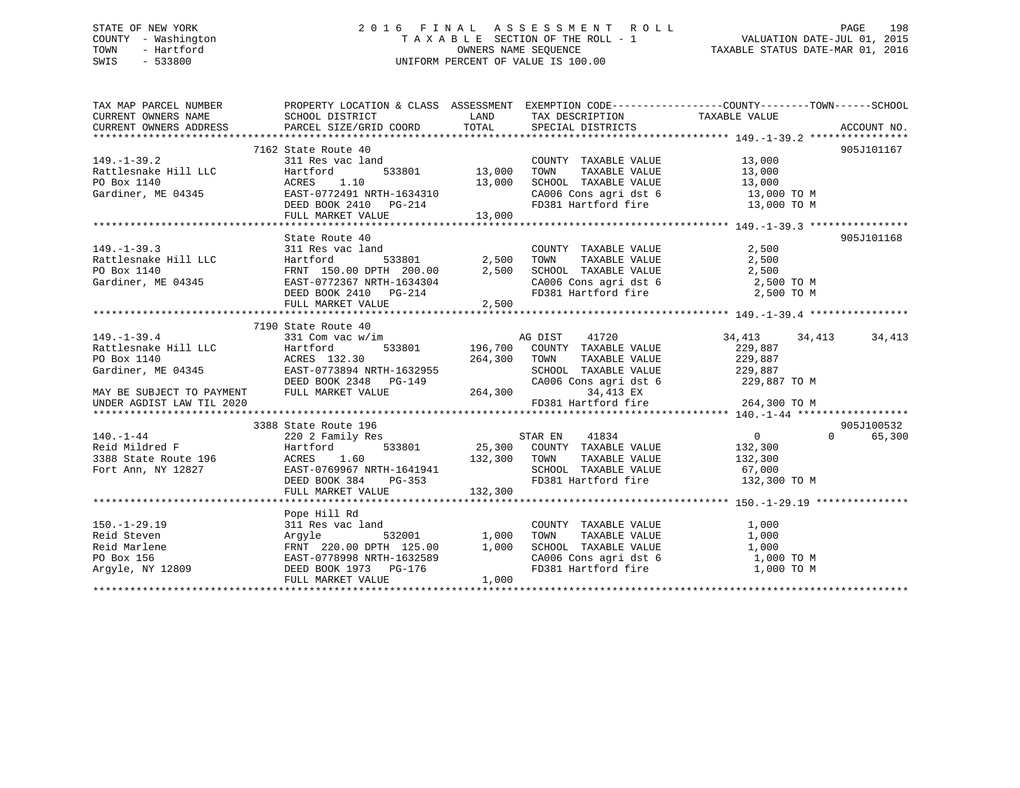## STATE OF NEW YORK 2 0 1 6 F I N A L A S S E S S M E N T R O L L PAGE 198 COUNTY - Washington T A X A B L E SECTION OF THE ROLL - 1 VALUATION DATE-JUL 01, 2015 TOWN - Hartford **TAXABLE STATUS DATE-MAR 01, 2016** OWNERS NAME SEQUENCE TAXABLE STATUS DATE-MAR 01, 2016 SWIS - 533800 UNIFORM PERCENT OF VALUE IS 100.00

| TAX MAP PARCEL NUMBER                                                                                                                                                                                                                                              | PROPERTY LOCATION & CLASS ASSESSMENT EXEMPTION CODE---------------COUNTY-------TOWN-----SCHOOL                                                                                                          |         |                                                                                                                                  |               |                        |
|--------------------------------------------------------------------------------------------------------------------------------------------------------------------------------------------------------------------------------------------------------------------|---------------------------------------------------------------------------------------------------------------------------------------------------------------------------------------------------------|---------|----------------------------------------------------------------------------------------------------------------------------------|---------------|------------------------|
|                                                                                                                                                                                                                                                                    |                                                                                                                                                                                                         |         |                                                                                                                                  |               |                        |
|                                                                                                                                                                                                                                                                    | 7162 State Route 40                                                                                                                                                                                     |         |                                                                                                                                  |               | 905J101167             |
| $149. - 1 - 39.2$                                                                                                                                                                                                                                                  | $\begin{array}{cc}\n \text{land} \\  \text{533801} \\  \text{10}\n \end{array}$                                                                                                                         |         | COUNTY TAXABLE VALUE 13,000                                                                                                      |               |                        |
|                                                                                                                                                                                                                                                                    |                                                                                                                                                                                                         |         |                                                                                                                                  |               |                        |
|                                                                                                                                                                                                                                                                    |                                                                                                                                                                                                         |         |                                                                                                                                  |               |                        |
|                                                                                                                                                                                                                                                                    |                                                                                                                                                                                                         |         |                                                                                                                                  |               |                        |
|                                                                                                                                                                                                                                                                    |                                                                                                                                                                                                         |         | TOWN TAXABLE VALUE 13,000<br>SCHOOL TAXABLE VALUE 13,000<br>CA006 Cons agri dst 6 13,000 TO M<br>FD381 Hartford fire 13,000 TO M |               |                        |
| 149.-1-39.2<br>Rattlesnake Hill LLC Hartford 533801 13,000<br>PO Box 1140 13,000<br>Gardiner, ME 04345 EAST-0772491 NRTH-1634310<br>DEED BOOK 2410 PG-214<br>FIILL MARKET VALUE 13,000                                                                             |                                                                                                                                                                                                         |         |                                                                                                                                  |               |                        |
|                                                                                                                                                                                                                                                                    |                                                                                                                                                                                                         |         |                                                                                                                                  |               |                        |
|                                                                                                                                                                                                                                                                    | State Route 40                                                                                                                                                                                          |         |                                                                                                                                  |               | 905J101168             |
|                                                                                                                                                                                                                                                                    |                                                                                                                                                                                                         |         |                                                                                                                                  |               |                        |
|                                                                                                                                                                                                                                                                    |                                                                                                                                                                                                         |         |                                                                                                                                  |               |                        |
|                                                                                                                                                                                                                                                                    |                                                                                                                                                                                                         |         |                                                                                                                                  |               |                        |
|                                                                                                                                                                                                                                                                    |                                                                                                                                                                                                         |         |                                                                                                                                  |               |                        |
| 149.-1-39.3<br>Rattlesnake Hill LLC<br>Rattlesnake Hill LLC<br>PO Box 1140<br>Gardiner, ME 04345<br>Cardiner, ME 04345<br>DEED BOOK 2410<br>DEED BOOK 2410<br>PG-214<br>PG-214<br>PG-214<br>PG-214<br>PG-214<br>PG-214<br>PG-214<br>PG-214<br>PG-214<br>PG-214<br> |                                                                                                                                                                                                         |         |                                                                                                                                  |               |                        |
|                                                                                                                                                                                                                                                                    | FULL MARKET VALUE                                                                                                                                                                                       | 2,500   |                                                                                                                                  |               |                        |
|                                                                                                                                                                                                                                                                    |                                                                                                                                                                                                         |         |                                                                                                                                  |               |                        |
|                                                                                                                                                                                                                                                                    | 7190 State Route 40                                                                                                                                                                                     |         |                                                                                                                                  |               |                        |
| 149.-1-39.4<br>Rattlesnake Hill LLC<br>PO Box 1140<br>Gardiner, ME 04345<br>Rattlesnake Hill LLC<br>ACRES 132.30<br>EAST-0773894 M<br>REED 700K 2348                                                                                                               | 331 Com vac w/im                                                                                                                                                                                        |         | M AG DIST 41720<br>533801 196,700 COUNTY TAXABLE VALUE<br>41720                                                                  | 34,413 34,413 | 34,413                 |
|                                                                                                                                                                                                                                                                    |                                                                                                                                                                                                         |         |                                                                                                                                  | 229,887       |                        |
|                                                                                                                                                                                                                                                                    |                                                                                                                                                                                                         |         |                                                                                                                                  |               |                        |
|                                                                                                                                                                                                                                                                    |                                                                                                                                                                                                         |         |                                                                                                                                  |               |                        |
|                                                                                                                                                                                                                                                                    |                                                                                                                                                                                                         |         |                                                                                                                                  | 229,887 TO M  |                        |
| MAY BE SUBJECT TO PAYMENT                                                                                                                                                                                                                                          | ACRES 132.30 264,300 TOWN TAXABLE VALUE 229,887<br>EAST-0773894 NRTH-1632955 SCHOOL TAXABLE VALUE 229,887<br>DEED BOOK 2348 PG-149 CA006 Cons agri dst 6 229,887<br>FULL MARKET VALUE 264,300 34,413 EX |         |                                                                                                                                  |               |                        |
| UNDER AGDIST LAW TIL 2020                                                                                                                                                                                                                                          |                                                                                                                                                                                                         |         | FD381 Hartford fire                                                                                                              | 264,300 TO M  |                        |
|                                                                                                                                                                                                                                                                    |                                                                                                                                                                                                         |         |                                                                                                                                  |               |                        |
| 3388 State Route 19<br>140.-1-44 220 2 Family Re<br>Reid Mildred F Hartford<br>3388 State Route 196 ACRES 1.60                                                                                                                                                     | 3388 State Route 196                                                                                                                                                                                    |         |                                                                                                                                  |               | 905J100532<br>$\Omega$ |
|                                                                                                                                                                                                                                                                    | 220 2 Family Res                                                                                                                                                                                        |         |                                                                                                                                  |               | 65,300                 |
|                                                                                                                                                                                                                                                                    |                                                                                                                                                                                                         |         |                                                                                                                                  |               |                        |
|                                                                                                                                                                                                                                                                    |                                                                                                                                                                                                         |         |                                                                                                                                  |               |                        |
| 3388 State Route 196<br>Fort Ann, NY 12827 EAST-0769967 NRTH-1641941<br>EAST-0769967 NRTH-1641941                                                                                                                                                                  |                                                                                                                                                                                                         |         | SCHOOL TAXABLE VALUE 67,000                                                                                                      |               |                        |
|                                                                                                                                                                                                                                                                    | DEED BOOK 384 PG-353<br>FULL MARKET VALUE                                                                                                                                                               | 132,300 | FD381 Hartford fire                                                                                                              | 132,300 TO M  |                        |
|                                                                                                                                                                                                                                                                    |                                                                                                                                                                                                         |         |                                                                                                                                  |               |                        |
|                                                                                                                                                                                                                                                                    | Pope Hill Rd                                                                                                                                                                                            |         |                                                                                                                                  |               |                        |
|                                                                                                                                                                                                                                                                    |                                                                                                                                                                                                         |         |                                                                                                                                  |               |                        |
|                                                                                                                                                                                                                                                                    |                                                                                                                                                                                                         |         |                                                                                                                                  |               |                        |
|                                                                                                                                                                                                                                                                    |                                                                                                                                                                                                         |         |                                                                                                                                  |               |                        |
|                                                                                                                                                                                                                                                                    |                                                                                                                                                                                                         |         |                                                                                                                                  |               |                        |
|                                                                                                                                                                                                                                                                    |                                                                                                                                                                                                         |         |                                                                                                                                  |               |                        |
|                                                                                                                                                                                                                                                                    | FULL MARKET VALUE                                                                                                                                                                                       | 1,000   |                                                                                                                                  |               |                        |
|                                                                                                                                                                                                                                                                    |                                                                                                                                                                                                         |         |                                                                                                                                  |               |                        |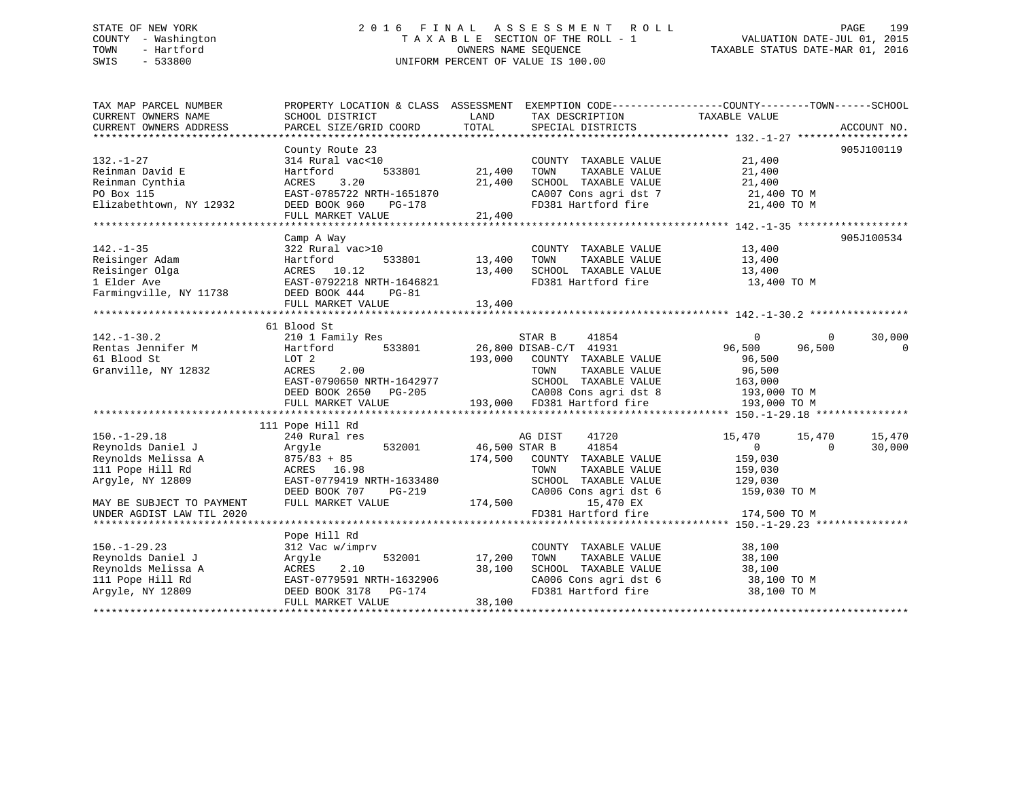## STATE OF NEW YORK 2 0 1 6 F I N A L A S S E S S M E N T R O L L PAGE 199 COUNTY - Washington T A X A B L E SECTION OF THE ROLL - 1 VALUATION DATE-JUL 01, 2015 TOWN - Hartford **TAXABLE STATUS DATE-MAR 01, 2016** OWNERS NAME SEQUENCE TAXABLE STATUS DATE-MAR 01, 2016 SWIS - 533800 UNIFORM PERCENT OF VALUE IS 100.00

| TAX MAP PARCEL NUMBER     | PROPERTY LOCATION & CLASS ASSESSMENT EXEMPTION CODE----------------COUNTY-------TOWN------SCHOOL                                                                      |               |                                                                                                                                                                                                                                               |                            |                |
|---------------------------|-----------------------------------------------------------------------------------------------------------------------------------------------------------------------|---------------|-----------------------------------------------------------------------------------------------------------------------------------------------------------------------------------------------------------------------------------------------|----------------------------|----------------|
| CURRENT OWNERS NAME       | SCHOOL DISTRICT                                                                                                                                                       | LAND          | TAX DESCRIPTION                                                                                                                                                                                                                               | TAXABLE VALUE              |                |
| CURRENT OWNERS ADDRESS    | PARCEL SIZE/GRID COORD                                                                                                                                                | TOTAL         | SPECIAL DISTRICTS                                                                                                                                                                                                                             |                            | ACCOUNT NO.    |
|                           |                                                                                                                                                                       |               |                                                                                                                                                                                                                                               |                            |                |
|                           | County Route 23                                                                                                                                                       |               |                                                                                                                                                                                                                                               |                            | 905J100119     |
| $132. - 1 - 27$           | 314 Rural vac<10                                                                                                                                                      |               | COUNTY TAXABLE VALUE                                                                                                                                                                                                                          | 21,400                     |                |
| Reinman David E           | 533801<br>Hartford                                                                                                                                                    | 21,400        | TOWN<br>TAXABLE VALUE                                                                                                                                                                                                                         | 21,400                     |                |
| Reinman Cynthia           | 3.20<br>ACRES                                                                                                                                                         | 21,400        | $\begin{tabular}{lllllllllll} \texttt{SCHOOL} & \texttt{TAXABLE} & \texttt{VALUE} & & \texttt{21,400} \\ \texttt{CA007} & \texttt{Cons}\ \texttt{agri}\ \texttt{dst}\ \texttt{7} & & \texttt{21,400} \ \texttt{TO}\ \texttt{M} \end{tabular}$ |                            |                |
| PO Box 115                | EAST-0785722 NRTH-1651870                                                                                                                                             |               |                                                                                                                                                                                                                                               |                            |                |
| Elizabethtown, NY 12932   | DEED BOOK 960<br>PG-178                                                                                                                                               |               | FD381 Hartford fire 21,400 TO M                                                                                                                                                                                                               |                            |                |
|                           | FULL MARKET VALUE                                                                                                                                                     | 21,400        |                                                                                                                                                                                                                                               |                            |                |
|                           |                                                                                                                                                                       |               |                                                                                                                                                                                                                                               |                            |                |
|                           | Camp A Way                                                                                                                                                            |               |                                                                                                                                                                                                                                               |                            | 905J100534     |
| $142. - 1 - 35$           | 322 Rural vac>10                                                                                                                                                      |               | COUNTY TAXABLE VALUE                                                                                                                                                                                                                          | 13,400                     |                |
|                           |                                                                                                                                                                       | 533801 13,400 | TOWN                                                                                                                                                                                                                                          | TAXABLE VALUE 13,400       |                |
|                           |                                                                                                                                                                       | 13,400        | SCHOOL TAXABLE VALUE                                                                                                                                                                                                                          | 13,400                     |                |
|                           |                                                                                                                                                                       |               | FD381 Hartford fire 13,400 TO M                                                                                                                                                                                                               |                            |                |
|                           | Reisinger Adam<br>Reisinger Olga (1994)<br>Reisinger Olga (1994)<br>Reisinger Olga (1994)<br>EAST-0792218 NRTH-1646821<br>Farmingville, NY 11738 (DEED BOOK 444 PG-81 |               |                                                                                                                                                                                                                                               |                            |                |
|                           | FULL MARKET VALUE                                                                                                                                                     | 13,400        |                                                                                                                                                                                                                                               |                            |                |
|                           |                                                                                                                                                                       |               |                                                                                                                                                                                                                                               |                            |                |
|                           | 61 Blood St                                                                                                                                                           |               |                                                                                                                                                                                                                                               |                            |                |
| $142. - 1 - 30.2$         | 210 1 Family Res                                                                                                                                                      |               | STAR B<br>41854                                                                                                                                                                                                                               | $\overline{0}$<br>$\sim$ 0 | 30,000         |
| Rentas Jennifer M         | Hartford                                                                                                                                                              |               | 533801 26,800 DISAB-C/T 41931                                                                                                                                                                                                                 | 96,500<br>96,500           | $\overline{0}$ |
| 61 Blood St               | LOT 2                                                                                                                                                                 |               | 193,000 COUNTY TAXABLE VALUE                                                                                                                                                                                                                  | 96,500                     |                |
| Granville, NY 12832       | 2.00<br>ACRES                                                                                                                                                         |               | TOWN<br>TAXABLE VALUE                                                                                                                                                                                                                         | 96,500                     |                |
|                           | EAST-0790650 NRTH-1642977<br>EAST-0790650 NRTH-1642977<br>DEED BOOK 2650 PG-205                                                                                       |               | SCHOOL TAXABLE VALUE 163,000<br>CA008 Cons agri dst 8 193,000 TO M                                                                                                                                                                            |                            |                |
|                           |                                                                                                                                                                       |               |                                                                                                                                                                                                                                               |                            |                |
|                           | FULL MARKET VALUE                                                                                                                                                     |               | 193,000 FD381 Hartford fire 193,000 TO M                                                                                                                                                                                                      |                            |                |
|                           |                                                                                                                                                                       |               |                                                                                                                                                                                                                                               |                            |                |
|                           | 111 Pope Hill Rd                                                                                                                                                      |               |                                                                                                                                                                                                                                               |                            |                |
| $150. - 1 - 29.18$        | 240 Rural res                                                                                                                                                         |               | 41720<br>AG DIST                                                                                                                                                                                                                              | 15,470<br>15,470           | 15,470         |
| Reynolds Daniel J         | 532001 46,500 STAR B<br>Argyle                                                                                                                                        |               | 41854                                                                                                                                                                                                                                         | $\Omega$<br>$\Omega$       | 30,000         |
| Reynolds Melissa A        | $875/83 + 85$                                                                                                                                                         |               | 174,500 COUNTY TAXABLE VALUE                                                                                                                                                                                                                  | 159,030                    |                |
| 111 Pope Hill Rd          | ACRES 16.98                                                                                                                                                           |               | TOWN<br>TAXABLE VALUE                                                                                                                                                                                                                         | 159,030                    |                |
| Argyle, NY 12809          | EAST-0779419 NRTH-1633480                                                                                                                                             |               | SCHOOL TAXABLE VALUE                                                                                                                                                                                                                          | 129,030                    |                |
|                           | DEED BOOK 707<br>PG-219                                                                                                                                               |               | CA006 Cons agri dst 6                                                                                                                                                                                                                         | 159,030 TO M               |                |
| MAY BE SUBJECT TO PAYMENT | FULL MARKET VALUE                                                                                                                                                     | 174,500       | 15,470 EX                                                                                                                                                                                                                                     |                            |                |
| UNDER AGDIST LAW TIL 2020 |                                                                                                                                                                       |               | FD381 Hartford fire                                                                                                                                                                                                                           | 174,500 TO M               |                |
|                           |                                                                                                                                                                       |               |                                                                                                                                                                                                                                               |                            |                |
|                           | Pope Hill Rd                                                                                                                                                          |               |                                                                                                                                                                                                                                               |                            |                |
| $150. - 1 - 29.23$        | 312 Vac w/imprv                                                                                                                                                       |               | COUNTY TAXABLE VALUE                                                                                                                                                                                                                          | 38,100                     |                |
| Reynolds Daniel J         | 532001<br>Argyle                                                                                                                                                      | 17,200        | TAXABLE VALUE<br>TOWN                                                                                                                                                                                                                         | 38,100                     |                |
| Reynolds Melissa A        |                                                                                                                                                                       | 38,100        | SCHOOL TAXABLE VALUE                                                                                                                                                                                                                          | 38,100                     |                |
| 111 Pope Hill Rd          |                                                                                                                                                                       |               | CA006 Cons agri dst 6<br>FD381 Hartford fire                                                                                                                                                                                                  | 38,100 TO M                |                |
| Arqyle, NY 12809          | ACRES 2.10<br>EAST-0779591 NRTH-1632906<br>DEED BOOK 3178 PG-174<br>- ******** VALUE                                                                                  |               |                                                                                                                                                                                                                                               | 38,100 TO M                |                |
|                           |                                                                                                                                                                       | 38,100        |                                                                                                                                                                                                                                               |                            |                |
|                           |                                                                                                                                                                       |               |                                                                                                                                                                                                                                               |                            |                |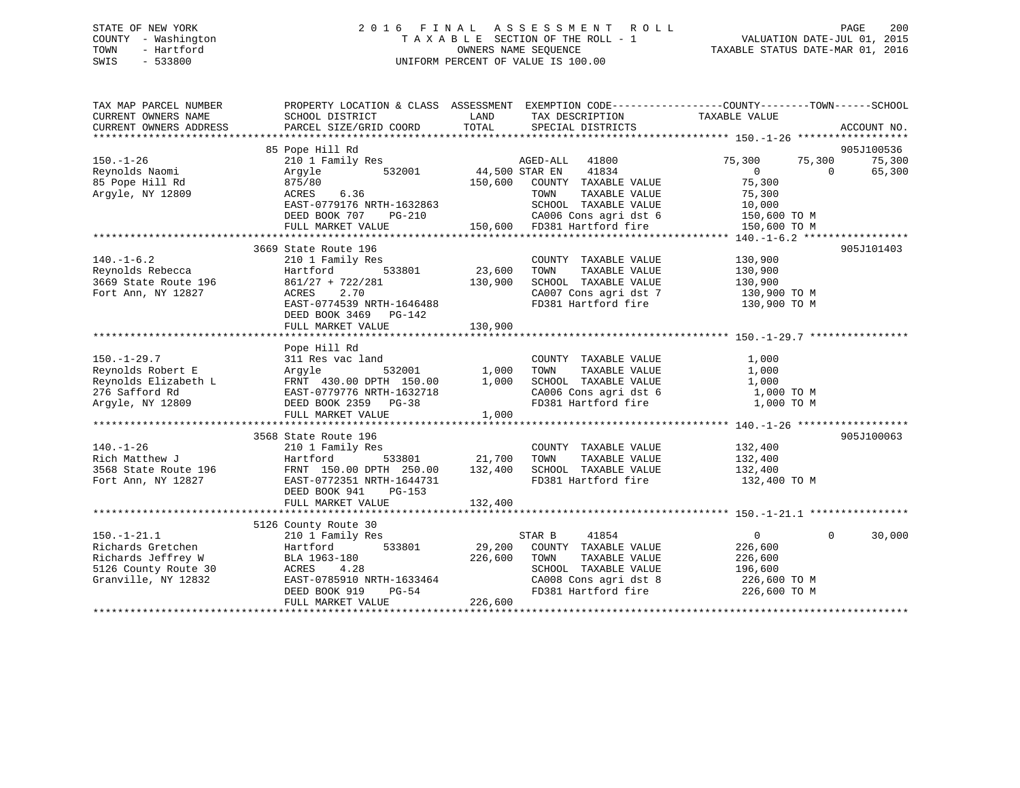## STATE OF NEW YORK 2 0 1 6 F I N A L A S S E S S M E N T R O L L PAGE 200 COUNTY - Washington T A X A B L E SECTION OF THE ROLL - 1 VALUATION DATE-JUL 01, 2015 TOWN - Hartford OWNERS NAME SEQUENCE TAXABLE STATUS DATE-MAR 01, 2016 SWIS - 533800 UNIFORM PERCENT OF VALUE IS 100.00

| TAX MAP PARCEL NUMBER<br>CURRENT OWNERS NAME                                             | SCHOOL DISTRICT                                                       | LAND              | TAX DESCRIPTION TAXABLE VALUE                                                        | PROPERTY LOCATION & CLASS ASSESSMENT EXEMPTION CODE---------------COUNTY-------TOWN------SCHOOL |             |
|------------------------------------------------------------------------------------------|-----------------------------------------------------------------------|-------------------|--------------------------------------------------------------------------------------|-------------------------------------------------------------------------------------------------|-------------|
| CURRENT OWNERS ADDRESS                                                                   | PARCEL SIZE/GRID COORD                                                | TOTAL             | SPECIAL DISTRICTS                                                                    |                                                                                                 | ACCOUNT NO. |
|                                                                                          | 85 Pope Hill Rd                                                       |                   |                                                                                      |                                                                                                 | 905J100536  |
| $150. - 1 - 26$                                                                          | 210 1 Family Res                                                      |                   | 41800<br>AGED-ALL                                                                    | 75,300<br>75,300                                                                                | 75,300      |
| Reynolds Naomi                                                                           | Argyle<br>532001                                                      | 44,500 STAR EN    | 41834                                                                                | $\Omega$<br>$\Omega$                                                                            | 65,300      |
| 85 Pope Hill Rd                                                                          | 875/80                                                                | 150,600           | COUNTY TAXABLE VALUE                                                                 | 75,300                                                                                          |             |
| Argyle, NY 12809                                                                         | 6.36<br>ACRES                                                         |                   | TOWN<br>TAXABLE VALUE                                                                | 75,300                                                                                          |             |
|                                                                                          | EAST-0779176 NRTH-1632863                                             |                   | SCHOOL TAXABLE VALUE                                                                 | 10,000                                                                                          |             |
|                                                                                          | DEED BOOK 707<br>PG-210                                               |                   | G-210 CA006 Cons agri dst 6 150,600 TO M<br>150,600 FD381 Hartford fire 150,600 TO M |                                                                                                 |             |
|                                                                                          | FULL MARKET VALUE                                                     |                   |                                                                                      |                                                                                                 |             |
|                                                                                          | 3669 State Route 196                                                  |                   |                                                                                      |                                                                                                 | 905J101403  |
| $140. - 1 - 6.2$                                                                         | 210 1 Family Res                                                      |                   | COUNTY TAXABLE VALUE                                                                 | 130,900                                                                                         |             |
| Reynolds Rebecca                                                                         | 533801<br>Hartford                                                    | 23,600            | TAXABLE VALUE<br>TOWN                                                                | 130,900                                                                                         |             |
| 3669 State Route 196                                                                     | $861/27 + 722/281$                                                    | 130,900           | SCHOOL TAXABLE VALUE                                                                 | 130,900                                                                                         |             |
| Fort Ann, NY 12827                                                                       | 2.70<br>ACRES                                                         |                   |                                                                                      | CA007 Cons agri dst 7 130,900 TO M                                                              |             |
|                                                                                          | EAST-0774539 NRTH-1646488                                             |                   | FD381 Hartford fire                                                                  | 130,900 TO M                                                                                    |             |
|                                                                                          | DEED BOOK 3469 PG-142                                                 |                   |                                                                                      |                                                                                                 |             |
|                                                                                          | FULL MARKET VALUE                                                     | 130,900           |                                                                                      |                                                                                                 |             |
|                                                                                          |                                                                       |                   |                                                                                      |                                                                                                 |             |
|                                                                                          | Pope Hill Rd                                                          |                   |                                                                                      |                                                                                                 |             |
| $150. - 1 - 29.7$                                                                        | 311 Res vac land                                                      |                   | COUNTY TAXABLE VALUE                                                                 | 1,000                                                                                           |             |
| Reynolds Robert E Argyle                                                                 |                                                                       | -<br>532001 1,000 | TOWN<br>TAXABLE VALUE                                                                | 1,000                                                                                           |             |
| Reynolds Elizabeth L FRNT 430.00 DPTH 150.00<br>276 Safford Rd EAST-0779776 NRTH-1632718 |                                                                       | 1,000             | SCHOOL TAXABLE VALUE                                                                 | 1,000                                                                                           |             |
|                                                                                          |                                                                       |                   | CA006 Cons agri dst 6                                                                | 1,000 TO M                                                                                      |             |
| Arqyle, NY 12809                                                                         | DEED BOOK 2359 PG-38                                                  |                   | FD381 Hartford fire                                                                  | 1,000 TO M                                                                                      |             |
|                                                                                          | FULL MARKET VALUE                                                     | 1,000             |                                                                                      |                                                                                                 |             |
|                                                                                          |                                                                       |                   |                                                                                      |                                                                                                 |             |
|                                                                                          | 3568 State Route 196                                                  |                   |                                                                                      |                                                                                                 | 905J100063  |
| $140. - 1 - 26$                                                                          | 210 1 Family Res                                                      |                   | COUNTY TAXABLE VALUE                                                                 | 132,400                                                                                         |             |
| Rich Matthew J                                                                           | Hartford                                                              | 533801 21,700     | TOWN<br>TAXABLE VALUE                                                                | 132,400                                                                                         |             |
| 3568 State Route 196                                                                     | FRNT 150.00 DPTH 250.00 132,400                                       |                   | SCHOOL TAXABLE VALUE                                                                 | 132,400                                                                                         |             |
| Fort Ann, NY 12827                                                                       | FRNT 150.00 LL 11<br>EAST-0772351 NRTH-1644731<br>CHEROLET 041 DG-153 |                   | FD381 Hartford fire                                                                  | 132,400 TO M                                                                                    |             |
|                                                                                          | DEED BOOK 941<br>PG-153                                               |                   |                                                                                      |                                                                                                 |             |
|                                                                                          | FULL MARKET VALUE                                                     | 132,400           |                                                                                      |                                                                                                 |             |
|                                                                                          | 5126 County Route 30                                                  |                   |                                                                                      |                                                                                                 |             |
| $150. - 1 - 21.1$                                                                        | 210 1 Family Res                                                      |                   | 41854<br>STAR B                                                                      | $\overline{0}$<br>$\Omega$                                                                      | 30,000      |
| Richards Gretchen                                                                        | 533801<br>Hartford                                                    | 29,200            | COUNTY TAXABLE VALUE                                                                 | 226,600                                                                                         |             |
| Richards Jeffrey W                                                                       | BLA 1963-180                                                          | 226,600           | TOWN<br>TAXABLE VALUE                                                                | 226,600                                                                                         |             |
| 5126 County Route 30 ACRES                                                               | 4.28                                                                  |                   | SCHOOL TAXABLE VALUE                                                                 | 196,600                                                                                         |             |
| Granville, NY 12832                                                                      | EAST-0785910 NRTH-1633464                                             |                   |                                                                                      |                                                                                                 |             |
|                                                                                          | PG-54<br>DEED BOOK 919                                                |                   | CA008 Cons agri dst 8<br>FD381 Hartford fire                                         | 226,600 ТО М<br>226,600 ТО М                                                                    |             |
|                                                                                          | FULL MARKET VALUE                                                     | 226,600           |                                                                                      |                                                                                                 |             |
|                                                                                          |                                                                       |                   |                                                                                      |                                                                                                 |             |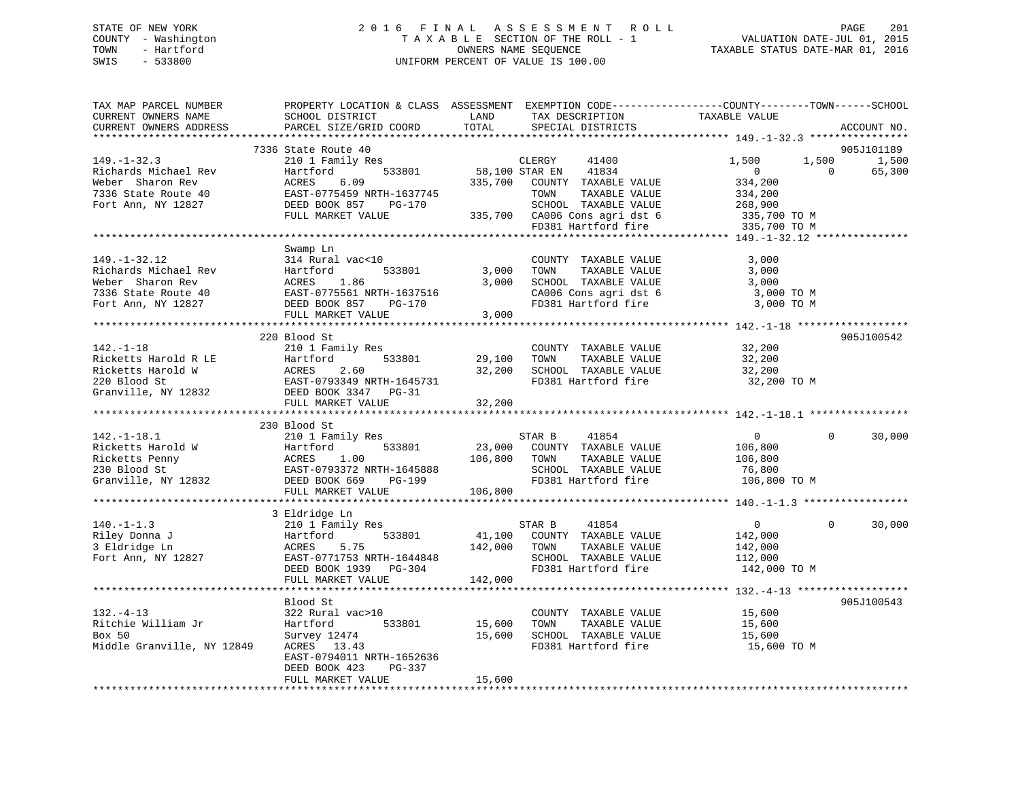## STATE OF NEW YORK 2 0 1 6 F I N A L A S S E S S M E N T R O L L PAGE 201 COUNTY - Washington T A X A B L E SECTION OF THE ROLL - 1 VALUATION DATE-JUL 01, 2015 TOWN - Hartford **TAXABLE STATUS DATE-MAR 01, 2016** OWNERS NAME SEQUENCE TAXABLE STATUS DATE-MAR 01, 2016 SWIS - 533800 UNIFORM PERCENT OF VALUE IS 100.00

| TAX MAP PARCEL NUMBER<br>CURRENT OWNERS NAME<br>CURRENT OWNERS ADDRESS                                                                     | PROPERTY LOCATION & CLASS ASSESSMENT EXEMPTION CODE---------------COUNTY-------TOWN-----SCHOOL<br>SCHOOL DISTRICT<br>PARCEL SIZE/GRID COORD              | LAND<br>TOTAL                | TAX DESCRIPTION<br>SPECIAL DISTRICTS                                                                                                                      | TAXABLE VALUE                                                                                     | ACCOUNT NO.                               |
|--------------------------------------------------------------------------------------------------------------------------------------------|----------------------------------------------------------------------------------------------------------------------------------------------------------|------------------------------|-----------------------------------------------------------------------------------------------------------------------------------------------------------|---------------------------------------------------------------------------------------------------|-------------------------------------------|
|                                                                                                                                            |                                                                                                                                                          |                              |                                                                                                                                                           |                                                                                                   |                                           |
| $149. - 1 - 32.3$<br>Richards Michael Rev<br>Weber Sharon Rev<br>7336 State Route 40<br>Fort Ann, NY 12827                                 | 7336 State Route 40<br>210 1 Family Res<br>533801<br>Hartford<br>6.09<br>ACRES<br>EAST-0775459 NRTH-1637745<br>DEED BOOK 857 PG-170<br>FULL MARKET VALUE | 58,100 STAR EN<br>335,700    | CLERGY<br>41400<br>41834<br>COUNTY TAXABLE VALUE<br>TOWN<br>TAXABLE VALUE<br>SCHOOL TAXABLE VALUE<br>335,700 CA006 Cons agri dst 6<br>FD381 Hartford fire | 1,500<br>1,500<br>$\overline{0}$<br>334,200<br>334,200<br>268,900<br>335,700 TO M<br>335,700 TO M | 905J101189<br>1,500<br>$\Omega$<br>65,300 |
|                                                                                                                                            |                                                                                                                                                          |                              |                                                                                                                                                           |                                                                                                   |                                           |
| $149. - 1 - 32.12$<br>Richards Michael Rev<br>Weber Sharon Rev<br>7336 State Route 40<br>Fort Ann, NY 12827                                | Swamp Ln<br>314 Rural vac<10<br>Hartford 533801<br>ACRES 1.86<br>EAST-0775561 NRTH-1637516<br>DEED BOOK 857<br>PG-170<br>FULL MARKET VALUE               | 3,000<br>3,000<br>3,000      | COUNTY TAXABLE VALUE<br>TOWN<br>TAXABLE VALUE<br>SCHOOL TAXABLE VALUE<br>CA006 Cons agri dst 6<br>FD381 Hartford fire                                     | 3,000<br>3,000<br>3,000<br>3,000 TO M<br>3,000 TO M                                               |                                           |
|                                                                                                                                            | 220 Blood St                                                                                                                                             |                              |                                                                                                                                                           |                                                                                                   | 905J100542                                |
| $142. - 1 - 18$<br>Ricketts Harold R LE<br>Ricketts Harold W<br>220 Blood St<br>Granville, NY 12832 DEED BOOK 3347 PG-31                   | 210 1 Family Res<br>Hartford 533801<br>ACRES 2.60<br>EAST-0793349 NRTH-1645731                                                                           | 29,100<br>32,200             | COUNTY TAXABLE VALUE<br>TAXABLE VALUE<br>TOWN<br>SCHOOL TAXABLE VALUE<br>FD381 Hartford fire                                                              | 32,200<br>32,200<br>32,200<br>32,200 TO M                                                         |                                           |
|                                                                                                                                            | FULL MARKET VALUE                                                                                                                                        | 32,200                       |                                                                                                                                                           |                                                                                                   |                                           |
|                                                                                                                                            | 230 Blood St                                                                                                                                             |                              |                                                                                                                                                           |                                                                                                   |                                           |
| $142. - 1 - 18.1$<br>Ricketts Harold W<br>Hartfo<br>ACRES<br>EAST-0<br>Ricketts Penny<br>230 Blood St<br>Granville, NY 12832 DEED BOOK 669 | 210 1 Family Res<br>533801<br>Hartford<br>1.00<br>EAST-0793372 NRTH-1645888<br>PG-199<br>FULL MARKET VALUE                                               | 23,000<br>106,800<br>106,800 | STAR B<br>41854<br>COUNTY TAXABLE VALUE<br>TOWN<br>TAXABLE VALUE<br>SCHOOL TAXABLE VALUE<br>FD381 Hartford fire                                           | $\overline{0}$<br>106,800<br>106,800<br>76,800<br>106,800 TO M                                    | 30,000<br>$\Omega$                        |
|                                                                                                                                            |                                                                                                                                                          |                              |                                                                                                                                                           |                                                                                                   |                                           |
| $140. - 1 - 1.3$<br>Riley Donna J<br>3 Eldridge Ln<br>Fort Ann, NY 12827                                                                   | 3 Eldridge Ln<br>210 1 Family Res<br>Hartford<br>533801<br>5.75<br>ACRES<br>EAST-0771753 NRTH-1644848<br>DEED BOOK 1939 PG-304<br>FULL MARKET VALUE      | 41,100<br>142,000<br>142,000 | STAR B<br>41854<br>COUNTY TAXABLE VALUE<br>TOWN<br>TAXABLE VALUE<br>SCHOOL TAXABLE VALUE<br>FD381 Hartford fire                                           | $\overline{0}$<br>142,000<br>142,000<br>112,000<br>142,000 TO M                                   | $\Omega$<br>30,000                        |
|                                                                                                                                            |                                                                                                                                                          |                              |                                                                                                                                                           |                                                                                                   |                                           |
| $132. -4 - 13$<br>Ritchie William Jr<br>Box 50<br>Middle Granville, NY 12849                                                               | Blood St<br>322 Rural vac>10<br>Hartford<br>533801<br>Survey 12474<br>ACRES 13.43<br>EAST-0794011 NRTH-1652636<br>DEED BOOK 423<br>PG-337                | 15,600<br>15,600             | COUNTY TAXABLE VALUE<br>TOWN<br>TAXABLE VALUE<br>SCHOOL TAXABLE VALUE<br>FD381 Hartford fire                                                              | 15,600<br>15,600<br>15,600<br>15,600 TO M                                                         | 905J100543                                |
|                                                                                                                                            | FULL MARKET VALUE                                                                                                                                        | 15,600                       |                                                                                                                                                           |                                                                                                   |                                           |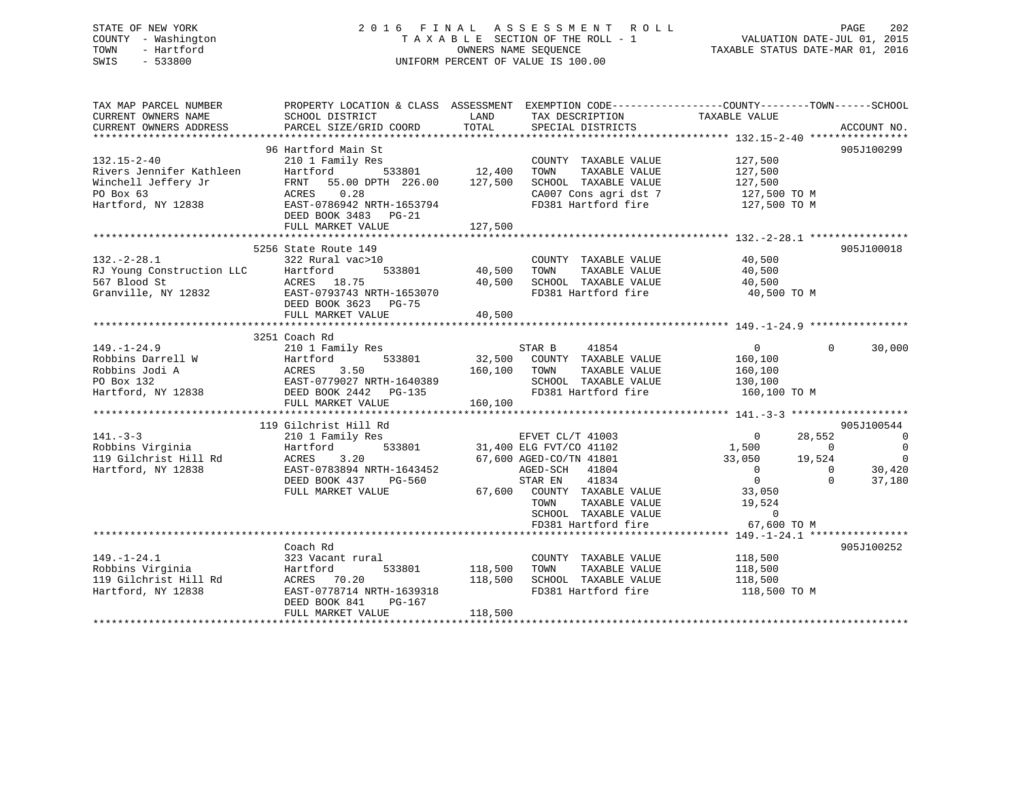## STATE OF NEW YORK 2 0 1 6 F I N A L A S S E S S M E N T R O L L PAGE 202 COUNTY - Washington T A X A B L E SECTION OF THE ROLL - 1 VALUATION DATE-JUL 01, 2015 TOWN - Hartford **TAXABLE STATUS DATE-MAR 01, 2016** OWNERS NAME SEQUENCE TAXABLE STATUS DATE-MAR 01, 2016 SWIS - 533800 UNIFORM PERCENT OF VALUE IS 100.00

| TAX MAP PARCEL NUMBER<br>CURRENT OWNERS NAME                                                      | PROPERTY LOCATION & CLASS ASSESSMENT EXEMPTION CODE-----------------COUNTY--------TOWN------SCHOOL<br>SCHOOL DISTRICT                                                                             | LAND                          | TAX DESCRIPTION                                                                                                                                                                                                         | TAXABLE VALUE                                                                                                             |                                                  |                                                                                                |
|---------------------------------------------------------------------------------------------------|---------------------------------------------------------------------------------------------------------------------------------------------------------------------------------------------------|-------------------------------|-------------------------------------------------------------------------------------------------------------------------------------------------------------------------------------------------------------------------|---------------------------------------------------------------------------------------------------------------------------|--------------------------------------------------|------------------------------------------------------------------------------------------------|
| CURRENT OWNERS ADDRESS                                                                            | PARCEL SIZE/GRID COORD                                                                                                                                                                            | TOTAL                         | SPECIAL DISTRICTS                                                                                                                                                                                                       |                                                                                                                           |                                                  | ACCOUNT NO.                                                                                    |
| 132.15-2-40<br>Rivers Jennifer Kathleen<br>Winchell Jeffery Jr<br>PO Box 63<br>Hartford, NY 12838 | 96 Hartford Main St<br>210 1 Family Res<br>Hartford 533801 12,400<br>FRNT 55.00 DPTH 226.00 127,500<br>ACRES<br>0.28<br>EAST-0786942 NRTH-1653794<br>DEED BOOK 3483<br>PG-21<br>FULL MARKET VALUE | 127,500                       | COUNTY TAXABLE VALUE<br>TOWN<br>TAXABLE VALUE<br>SCHOOL TAXABLE VALUE<br>CA007 Cons agri dst 7 127,500 TO M<br>FD381 Hartford fire                                                                                      | 127,500<br>127,500<br>127,500<br>127,500 TO M                                                                             |                                                  | 905J100299                                                                                     |
| $132. - 2 - 28.1$<br>RJ Young Construction LLC<br>567 Blood St                                    | 5256 State Route 149<br>322 Rural vac>10<br>533801<br>Hartford<br>ACRES 18.75<br>Granville, NY 12832 EAST-0793743 NRTH-1653070<br>DEED BOOK 3623 PG-75<br>FULL MARKET VALUE                       | 40,500<br>40,500              | COUNTY TAXABLE VALUE 40,500<br>TOWN<br>TAXABLE VALUE<br>40,500 SCHOOL TAXABLE VALUE<br>FD381 Hartford fire 40,500 TO M                                                                                                  | 40,500<br>40,500                                                                                                          |                                                  | 905J100018                                                                                     |
| $149. - 1 - 24.9$                                                                                 | 3251 Coach Rd<br>210 1 Family Res<br>FULL MARKET VALUE                                                                                                                                            | 160, 100                      | STAR B<br>41854<br>32,500 COUNTY TAXABLE VALUE<br>160,100 TOWN<br>TAXABLE VALUE<br>SCHOOL TAXABLE VALUE<br>FD381 Hartford fire 160,100 TO M                                                                             | $\overline{0}$<br>160,100<br>160,100<br>130,100                                                                           | $\Omega$                                         | 30,000                                                                                         |
| $141. - 3 - 3$<br>Robbins Virginia<br>119 Gilchrist Hill Rd<br>Hartford, NY 12838                 | 119 Gilchrist Hill Rd<br>210 1 Family Res<br>Hartford<br>ACRES<br>3.20<br>EAST-0783894 NRTH-1643452<br>DEED BOOK 437<br>PG-560<br>FULL MARKET VALUE                                               |                               | EFVET CL/T 41003<br>533801 31,400 ELG FVT/CO 41102<br>67,600 AGED-CO/TN 41801<br>AGED-SCH 41804<br>STAR EN 41834<br>67,600 COUNTY TAXABLE VALUE<br>TOWN<br>TAXABLE VALUE<br>SCHOOL TAXABLE VALUE<br>FD381 Hartford fire | $\overline{0}$<br>1,500<br>$33,050$ $19,524$<br>$\overline{0}$<br>$\Omega$<br>33,050<br>19,524<br>$\Omega$<br>67,600 TO M | 28,552<br>$\overline{0}$<br>$\Omega$<br>$\Omega$ | 905J100544<br>$\overline{\phantom{0}}$<br>$\overline{0}$<br>$\overline{0}$<br>30,420<br>37,180 |
| $149. - 1 - 24.1$<br>Robbins Virginia<br>119 Gilchrist Hill Rd<br>Hartford, NY 12838              | Coach Rd<br>323 Vacant rural<br>533801<br>Hartford<br>ACRES 70.20<br>EAST-0778714 NRTH-1639318<br>DEED BOOK 841<br>$PG-167$<br>FULL MARKET VALUE                                                  | 118,500<br>118,500<br>118,500 | COUNTY TAXABLE VALUE 118,500<br>TAXABLE VALUE<br>TOWN<br>SCHOOL TAXABLE VALUE<br>FD381 Hartford fire                                                                                                                    | 118,500<br>118,500<br>118,500 TO M                                                                                        |                                                  | 905J100252                                                                                     |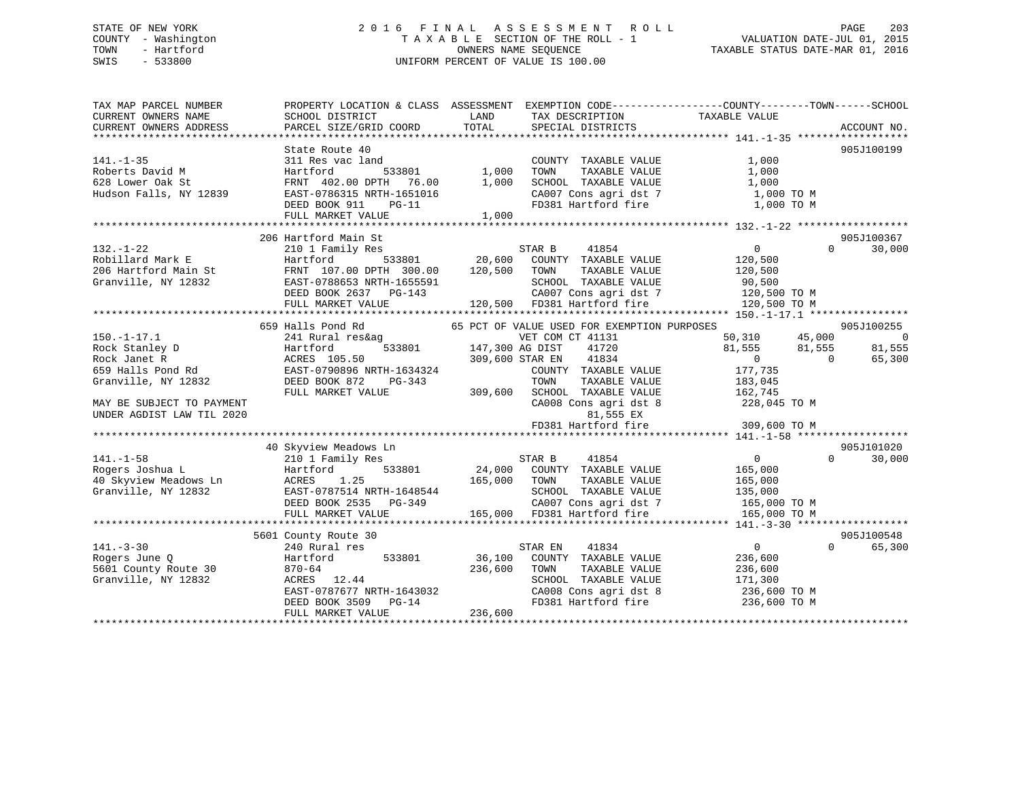## STATE OF NEW YORK 2 0 1 6 F I N A L A S S E S S M E N T R O L L PAGE 203 COUNTY - Washington T A X A B L E SECTION OF THE ROLL - 1 VALUATION DATE-JUL 01, 2015 TOWN - Hartford **TAXABLE STATUS DATE-MAR 01, 2016** OWNERS NAME SEQUENCE TAXABLE STATUS DATE-MAR 01, 2016 SWIS - 533800 UNIFORM PERCENT OF VALUE IS 100.00

| TAX MAP PARCEL NUMBER<br>CURRENT OWNERS NAME<br>CURRENT OWNERS ADDRESS                                                                                    | SCHOOL DISTRICT<br>PARCEL SIZE/GRID COORD                                                                                                                          | LAND<br>TAX DESCRIPTION<br>TOTAL<br>SPECIAL DISTRICTS                                                                                                                                                                                                                                     | PROPERTY LOCATION & CLASS ASSESSMENT EXEMPTION CODE---------------COUNTY-------TOWN-----SCHOOL<br>TAXABLE VALUE<br>ACCOUNT NO.                                                          |
|-----------------------------------------------------------------------------------------------------------------------------------------------------------|--------------------------------------------------------------------------------------------------------------------------------------------------------------------|-------------------------------------------------------------------------------------------------------------------------------------------------------------------------------------------------------------------------------------------------------------------------------------------|-----------------------------------------------------------------------------------------------------------------------------------------------------------------------------------------|
| $141. - 1 - 35$<br>Roberts David M<br>628 Lower Oak St<br>Hudson Falls, NY 12839                                                                          | State Route 40<br>311 Res vac land<br>Hartford<br>FRNT 402.00 DPTH 76.00 1,000<br>EAST-0786315 NRTH-1651016<br>DEED BOOK 911<br>$PG-11$<br>FULL MARKET VALUE       | COUNTY TAXABLE VALUE<br>533801 1,000<br>TOWN<br>TAXABLE VALUE<br>CA007 Cons agri dst 7<br>CA007 Cons agri dst 7<br>1,000                                                                                                                                                                  | 905J100199<br>1,000<br>1,000<br>1,000<br>1,000 TO M<br>FD381 Hartford fire 1,000 TO M                                                                                                   |
| $132. - 1 - 22$<br>Robillard Mark E<br>206 Hartford Main St<br>Granville, NY 12832                                                                        | 206 Hartford Main St<br>210 1 Family Res<br>Hartford<br>FRNT 107.00 DPTH 300.00<br>EAST-0788653 NRTH-1655591<br>DEED BOOK 2637 PG-143<br>FULL MARKET VALUE         | STAR B<br>41854<br>533801 20,600 COUNTY TAXABLE VALUE<br>120,500 TOWN<br>TAXABLE VALUE<br>120,500 FD381 Hartford fire                                                                                                                                                                     | 905J100367<br>$\overline{0}$<br>$\Omega$<br>30,000<br>120,500<br>120,500<br>SCHOOL TAXABLE VALUE 90,500<br>CA007 Cons agri dst 7 120,500 TO M<br>120,500 TO M                           |
| $150. - 1 - 17.1$<br>Rock Stanley D<br>Rock Janet R<br>659 Halls Pond Rd<br>Granville, NY 12832<br>MAY BE SUBJECT TO PAYMENT<br>UNDER AGDIST LAW TIL 2020 | 659 Halls Pond Rd<br>241 Rural res&ag<br>Hartford<br>ACRES 105.50<br>EAST-0790896 NRTH-1634324<br>DEED BOOK 872<br>PG-343<br>FULL MARKET VALUE                     | 65 PCT OF VALUE USED FOR EXEMPTION PURPOSES<br>VET COM CT 41131<br>$\overline{533801}$ 147,300 AG DIST<br>41720<br>41834<br>309,600 STAR EN<br>COUNTY TAXABLE VALUE<br>TOWN<br>TAXABLE VALUE<br>309,600 SCHOOL TAXABLE VALUE<br>CA008 Cons agri dst 8<br>81,555 EX<br>FD381 Hartford fire | 905J100255<br>50,310 45,000<br>$\overline{0}$<br>81,555 81,555<br>81,555<br>$\overline{0}$<br>$\overline{0}$<br>65,300<br>177,735<br>183,045<br>162,745<br>228,045 TO M<br>309,600 TO M |
| $141. - 1 - 58$<br>Rogers Joshua L<br>40 Skyview Meadows Ln<br>Granville, NY 12832                                                                        | 40 Skyview Meadows Ln<br>210 1 Family Res<br>533801<br>Hartford<br>ACRES 1.25                                                                                      | STAR B 41854<br>24,000 COUNTY TAXABLE VALUE<br>165,000 TOWN<br>TAXABLE VALUE<br>EAST-0787514 NRTH-1648544<br>DEED BOOK 2535 PG-349 (2007 Cons agri dst 7<br>FULL MARKET VALUE 165,000 FD381 Hartford fire                                                                                 | 905J101020<br>$\overline{0}$<br>$\Omega$<br>30,000<br>165,000<br>$135,000$<br>$135,000$<br>CA007 Cons agri dst 7 165,000 TO M<br>FD381 Hartford fire 165,000 TO M                       |
| $141. - 3 - 30$<br>Rogers June Q<br>5601 County Route 30<br>Granville, NY 12832                                                                           | 5601 County Route 30<br>240 Rural res<br>533801<br>Hartford<br>$870 - 64$<br>ACRES 12.44<br>EAST-0787677 NRTH-1643032<br>DEED BOOK 3509 PG-14<br>FULL MARKET VALUE | STAR EN<br>41834<br>36,100<br>COUNTY TAXABLE VALUE<br>236,600<br>TOWN<br>TAXABLE VALUE<br>SCHOOL TAXABLE VALUE<br>236,600                                                                                                                                                                 | 905J100548<br>$\overline{0}$<br>$\Omega$<br>65,300<br>236,600<br>236,600<br>171,300<br>CA008 Cons agri dst 8 236,600 TO M<br>FD381 Hartford fire 236,600 TO M                           |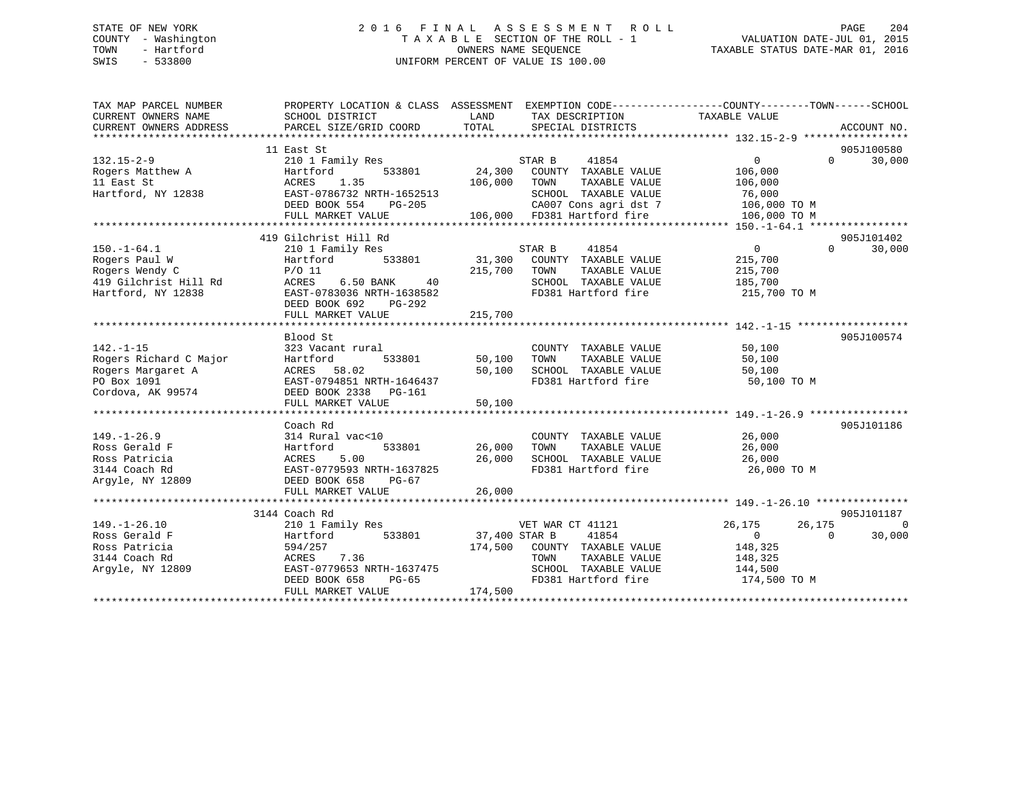## STATE OF NEW YORK 2 0 1 6 F I N A L A S S E S S M E N T R O L L PAGE 204 COUNTY - Washington T A X A B L E SECTION OF THE ROLL - 1 VALUATION DATE-JUL 01, 2015 TOWN - Hartford **TAXABLE STATUS DATE-MAR 01, 2016** OWNERS NAME SEQUENCE TAXABLE STATUS DATE-MAR 01, 2016 SWIS - 533800 UNIFORM PERCENT OF VALUE IS 100.00

| TAX MAP PARCEL NUMBER<br>CURRENT OWNERS NAME<br>CURRENT OWNERS ADDRESS | PROPERTY LOCATION & CLASS ASSESSMENT EXEMPTION CODE---------------COUNTY-------TOWN-----SCHOOL<br>SCHOOL DISTRICT<br>PARCEL SIZE/GRID COORD | LAND<br>TOTAL | TAX DESCRIPTION TAXABLE VALUE<br>SPECIAL DISTRICTS   |                  | ACCOUNT NO.                 |
|------------------------------------------------------------------------|---------------------------------------------------------------------------------------------------------------------------------------------|---------------|------------------------------------------------------|------------------|-----------------------------|
|                                                                        |                                                                                                                                             |               |                                                      |                  |                             |
|                                                                        | 11 East St                                                                                                                                  |               |                                                      |                  | 905J100580                  |
| $132.15 - 2 - 9$                                                       | 210 1 Family Res                                                                                                                            |               | STAR B<br>41854                                      | $\overline{0}$   | 30,000<br>$0 \qquad \qquad$ |
| Rogers Matthew A                                                       | Hartford<br>533801                                                                                                                          | 24,300        | COUNTY TAXABLE VALUE                                 | 106,000          |                             |
| 11 East St                                                             | ACRES<br>1.35                                                                                                                               | 106,000       | TAXABLE VALUE<br>TOWN                                | 106,000          |                             |
| Hartford, NY 12838                                                     | EAST-0786732 NRTH-1652513                                                                                                                   |               | SCHOOL TAXABLE VALUE                                 | 76,000           |                             |
|                                                                        | DEED BOOK 554<br>PG-205                                                                                                                     |               |                                                      | 106,000 TO M     |                             |
|                                                                        | FULL MARKET VALUE                                                                                                                           |               | CA007 Cons agri dst 7<br>106,000 FD381 Hartford fire | 106,000 TO M     |                             |
|                                                                        |                                                                                                                                             |               |                                                      |                  |                             |
|                                                                        | 419 Gilchrist Hill Rd                                                                                                                       |               |                                                      |                  | 905J101402                  |
| $150. - 1 - 64.1$                                                      | 210 1 Family Res                                                                                                                            |               | STAR B<br>41854                                      | $\overline{0}$   | $\Omega$<br>30,000          |
| Rogers Paul W                                                          | 533801<br>Hartford                                                                                                                          |               | 31,300 COUNTY TAXABLE VALUE                          | 215,700          |                             |
| Rogers Wendy C                                                         | $P/O$ 11                                                                                                                                    | 215,700 TOWN  | TAXABLE VALUE                                        | 215,700          |                             |
| 419 Gilchrist Hill Rd                                                  | ACRES<br>6.50 BANK<br>40                                                                                                                    |               | SCHOOL TAXABLE VALUE                                 | 185,700          |                             |
| Hartford, NY 12838                                                     | EAST-0783036 NRTH-1638582                                                                                                                   |               | FD381 Hartford fire                                  | 215,700 TO M     |                             |
|                                                                        | DEED BOOK 692 PG-292                                                                                                                        |               |                                                      |                  |                             |
|                                                                        | FULL MARKET VALUE                                                                                                                           | 215,700       |                                                      |                  |                             |
|                                                                        |                                                                                                                                             |               |                                                      |                  |                             |
|                                                                        | Blood St                                                                                                                                    |               |                                                      |                  | 905J100574                  |
| $142. - 1 - 15$                                                        | 323 Vacant rural                                                                                                                            |               | COUNTY TAXABLE VALUE                                 | 50,100           |                             |
| Rogers Richard C Major                                                 | Hartford<br>533801                                                                                                                          | 50,100        | TAXABLE VALUE<br>TOWN                                | 50,100           |                             |
| Rogers Margaret A                                                      | ACRES 58.02                                                                                                                                 | 50,100        | SCHOOL TAXABLE VALUE                                 | 50,100           |                             |
| PO Box 1091                                                            | EAST-0794851 NRTH-1646437                                                                                                                   |               | FD381 Hartford fire                                  | 50,100 TO M      |                             |
| Cordova, AK 99574                                                      | DEED BOOK 2338 PG-161                                                                                                                       |               |                                                      |                  |                             |
|                                                                        | FULL MARKET VALUE                                                                                                                           | 50,100        |                                                      |                  |                             |
|                                                                        |                                                                                                                                             |               |                                                      |                  |                             |
|                                                                        | Coach Rd                                                                                                                                    |               |                                                      |                  | 905J101186                  |
| $149. - 1 - 26.9$                                                      | 314 Rural vac<10                                                                                                                            |               | COUNTY TAXABLE VALUE                                 | 26,000           |                             |
| Ross Gerald F                                                          | 533801<br>Hartford                                                                                                                          | 26,000        | TAXABLE VALUE<br>TOWN                                | 26,000           |                             |
| Ross Patricia                                                          | 5.00<br>ACRES                                                                                                                               | 26,000        | SCHOOL TAXABLE VALUE                                 | 26,000           |                             |
| 3144 Coach Rd                                                          | EAST-0779593 NRTH-1637825                                                                                                                   |               | FD381 Hartford fire                                  | 26,000 TO M      |                             |
| Argyle, NY 12809                                                       | DEED BOOK 658<br>PG-67                                                                                                                      |               |                                                      |                  |                             |
|                                                                        | FULL MARKET VALUE                                                                                                                           | 26,000        |                                                      |                  |                             |
|                                                                        |                                                                                                                                             |               |                                                      |                  |                             |
|                                                                        | 3144 Coach Rd                                                                                                                               |               |                                                      |                  | 905J101187                  |
| $149. - 1 - 26.10$                                                     | 210 1 Family Res                                                                                                                            |               | VET WAR CT 41121                                     | 26,175<br>26,175 | $\Omega$                    |
| Ross Gerald F                                                          | Hartford<br>533801                                                                                                                          | 37,400 STAR B | 41854                                                | $\Omega$         | 30,000<br>$\Omega$          |
| Ross Patricia                                                          | 594/257                                                                                                                                     | 174,500       | COUNTY TAXABLE VALUE                                 | 148,325          |                             |
| 3144 Coach Rd                                                          | ACRES 7.36                                                                                                                                  |               | TAXABLE VALUE<br>TOWN                                | 148,325          |                             |
| Arqyle, NY 12809                                                       | EAST-0779653 NRTH-1637475                                                                                                                   |               | SCHOOL TAXABLE VALUE                                 | 144,500          |                             |
|                                                                        | DEED BOOK 658<br>PG-65                                                                                                                      |               | FD381 Hartford fire                                  | 174,500 TO M     |                             |
|                                                                        | FULL MARKET VALUE                                                                                                                           | 174,500       |                                                      |                  |                             |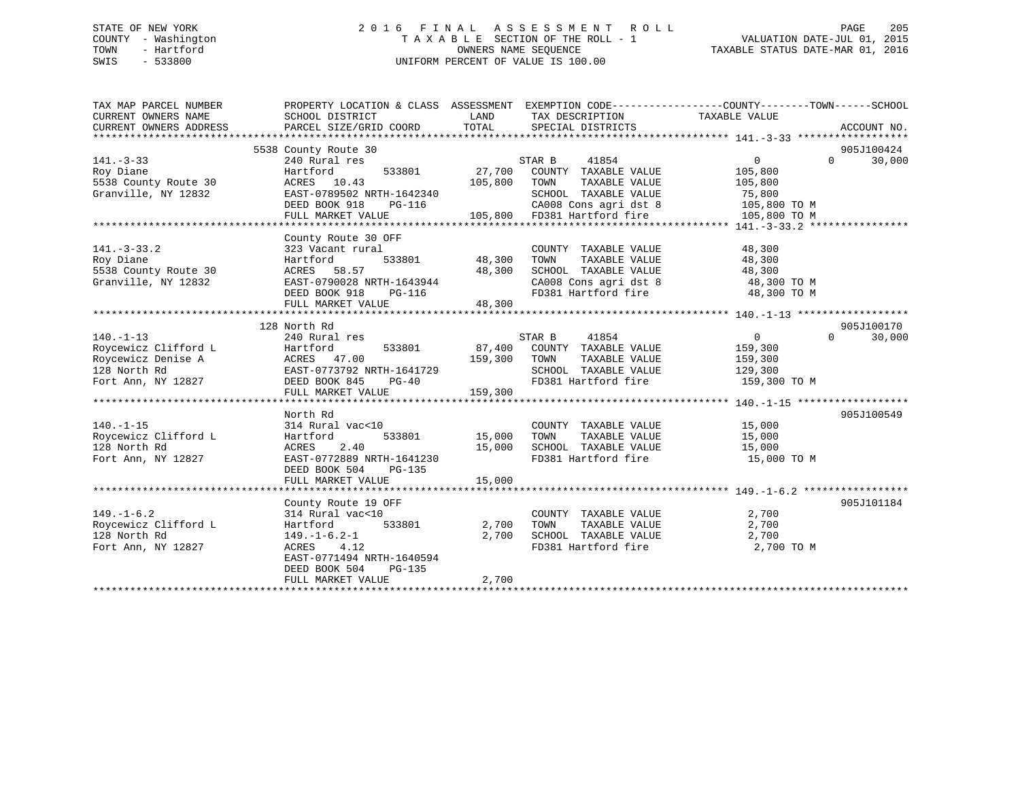## STATE OF NEW YORK 2 0 1 6 F I N A L A S S E S S M E N T R O L L PAGE 205 COUNTY - Washington T A X A B L E SECTION OF THE ROLL - 1 VALUATION DATE-JUL 01, 2015 TOWN - Hartford **TAXABLE STATUS DATE-MAR 01, 2016** OWNERS NAME SEQUENCE TAXABLE STATUS DATE-MAR 01, 2016 SWIS - 533800 UNIFORM PERCENT OF VALUE IS 100.00

| TAX MAP PARCEL NUMBER<br>CURRENT OWNERS NAME<br>CURRENT OWNERS ADDRESS | PROPERTY LOCATION & CLASS ASSESSMENT EXEMPTION CODE----------------COUNTY-------TOWN-----SCHOOL<br>SCHOOL DISTRICT<br>PARCEL SIZE/GRID COORD | LAND<br>TOTAL | TAX DESCRIPTION TAXABLE VALUE<br>SPECIAL DISTRICTS |                | ACCOUNT NO.        |
|------------------------------------------------------------------------|----------------------------------------------------------------------------------------------------------------------------------------------|---------------|----------------------------------------------------|----------------|--------------------|
|                                                                        | 5538 County Route 30                                                                                                                         |               |                                                    |                | 905J100424         |
| $141. - 3 - 33$                                                        | 240 Rural res                                                                                                                                |               | STAR B<br>41854                                    | $\Omega$       | $\Omega$<br>30,000 |
| Roy Diane                                                              | Hartford                                                                                                                                     | 533801 27,700 | COUNTY TAXABLE VALUE                               | 105,800        |                    |
| 5538 County Route 30                                                   | ACRES 10.43                                                                                                                                  | 105,800       | TOWN<br>TAXABLE VALUE                              | 105,800        |                    |
| Granville, NY 12832                                                    | EAST-0789502 NRTH-1642340                                                                                                                    |               | SCHOOL TAXABLE VALUE                               | 75,800         |                    |
|                                                                        | DEED BOOK 918<br>PG-116                                                                                                                      |               | CA008 Cons agri dst 8                              | 105,800 TO M   |                    |
|                                                                        | FULL MARKET VALUE                                                                                                                            |               | 105,800 FD381 Hartford fire                        | 105,800 TO M   |                    |
|                                                                        |                                                                                                                                              |               |                                                    |                |                    |
|                                                                        | County Route 30 OFF                                                                                                                          |               |                                                    |                |                    |
| $141. - 3 - 33.2$                                                      | 323 Vacant rural                                                                                                                             |               | COUNTY TAXABLE VALUE                               | 48,300         |                    |
| Roy Diane                                                              | Hartford                                                                                                                                     | 533801 48,300 | TAXABLE VALUE<br>TOWN                              | 48,300         |                    |
| 5538 County Route 30                                                   | ACRES 58.57                                                                                                                                  | 48,300        | SCHOOL TAXABLE VALUE                               | 48,300         |                    |
| Granville, NY 12832                                                    | EAST-0790028 NRTH-1643944                                                                                                                    |               |                                                    | 48,300 TO M    |                    |
|                                                                        | $PG-116$<br>DEED BOOK 918                                                                                                                    |               | CA008 Cons agri dst 8<br>FD381 Hartford fire       | 48,300 TO M    |                    |
|                                                                        | FULL MARKET VALUE                                                                                                                            | 48,300        |                                                    |                |                    |
|                                                                        |                                                                                                                                              |               |                                                    |                |                    |
|                                                                        | 128 North Rd                                                                                                                                 |               |                                                    |                | 905J100170         |
| $140. -1 - 13$                                                         | 240 Rural res                                                                                                                                |               | STAR B<br>41854                                    | $\overline{0}$ | $\Omega$<br>30,000 |
| Roycewicz Clifford L                                                   | Hartford<br>533801                                                                                                                           |               | 87,400 COUNTY TAXABLE VALUE                        | 159,300        |                    |
| Roycewicz Denise A                                                     | ACRES 47.00                                                                                                                                  | 159,300 TOWN  | TAXABLE VALUE                                      | 159,300        |                    |
| 128 North Rd                                                           | EAST-0773792 NRTH-1641729                                                                                                                    |               | SCHOOL TAXABLE VALUE                               | 129,300        |                    |
| Fort Ann, NY 12827                                                     | DEED BOOK 845<br>$PG-40$                                                                                                                     |               | FD381 Hartford fire                                | 159,300 TO M   |                    |
|                                                                        | FULL MARKET VALUE                                                                                                                            | 159,300       |                                                    |                |                    |
|                                                                        |                                                                                                                                              |               |                                                    |                |                    |
|                                                                        | North Rd                                                                                                                                     |               |                                                    |                | 905J100549         |
| $140. - 1 - 15$                                                        | 314 Rural vac<10                                                                                                                             |               | COUNTY TAXABLE VALUE                               | 15,000         |                    |
| Roycewicz Clifford L                                                   | Hartford                                                                                                                                     | 533801 15,000 | TOWN<br>TAXABLE VALUE                              | 15,000         |                    |
| 128 North Rd                                                           | 2.40<br>ACRES                                                                                                                                | 15,000        | SCHOOL TAXABLE VALUE                               | 15,000         |                    |
| Fort Ann, NY 12827                                                     | EAST-0772889 NRTH-1641230                                                                                                                    |               | FD381 Hartford fire<br>FD381 Hartford fire         | 15,000 TO M    |                    |
|                                                                        | DEED BOOK 504<br>PG-135                                                                                                                      |               |                                                    |                |                    |
|                                                                        | FULL MARKET VALUE                                                                                                                            | 15,000        |                                                    |                |                    |
|                                                                        |                                                                                                                                              |               |                                                    |                |                    |
|                                                                        | County Route 19 OFF                                                                                                                          |               |                                                    |                | 905J101184         |
| $149. - 1 - 6.2$                                                       | 314 Rural vac<10                                                                                                                             |               | COUNTY TAXABLE VALUE                               | 2,700          |                    |
| Roycewicz Clifford L                                                   | 533801<br>Hartford                                                                                                                           | 2,700         | TAXABLE VALUE<br>TOWN                              | 2,700          |                    |
| 128 North Rd                                                           | $149. - 1 - 6.2 - 1$                                                                                                                         | 2,700         | SCHOOL TAXABLE VALUE                               | 2,700          |                    |
| Fort Ann, NY 12827                                                     | ACRES 4.12                                                                                                                                   |               | FD381 Hartford fire                                | 2,700 TO M     |                    |
|                                                                        | EAST-0771494 NRTH-1640594                                                                                                                    |               |                                                    |                |                    |
|                                                                        | DEED BOOK 504<br>PG-135                                                                                                                      |               |                                                    |                |                    |
|                                                                        | FULL MARKET VALUE                                                                                                                            | 2,700         |                                                    |                |                    |
|                                                                        |                                                                                                                                              |               |                                                    |                |                    |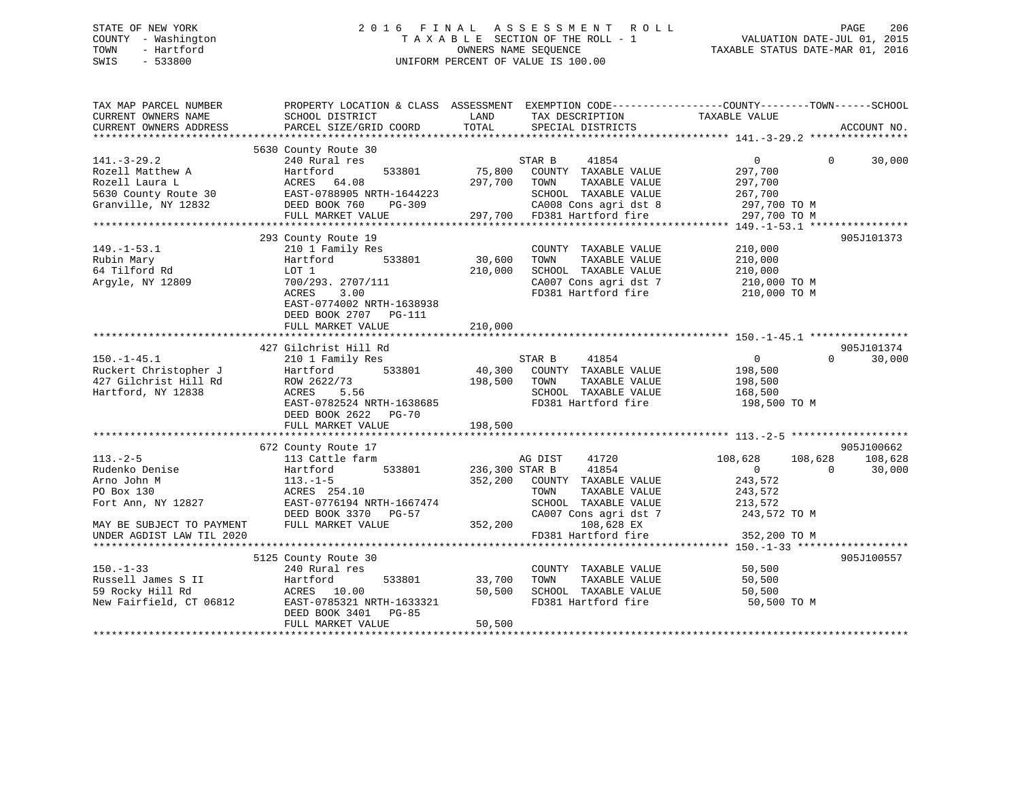## STATE OF NEW YORK 2 0 1 6 F I N A L A S S E S S M E N T R O L L PAGE 206 COUNTY - Washington T A X A B L E SECTION OF THE ROLL - 1 VALUATION DATE-JUL 01, 2015 TOWN - Hartford **TAXABLE STATUS DATE-MAR 01, 2016** OWNERS NAME SEQUENCE TAXABLE STATUS DATE-MAR 01, 2016 SWIS - 533800 UNIFORM PERCENT OF VALUE IS 100.00

| TAX MAP PARCEL NUMBER<br>CURRENT OWNERS NAME<br>CURRENT OWNERS ADDRESS                                   | SCHOOL DISTRICT<br>PARCEL SIZE/GRID COORD                                                                                                                                               | LAND<br>TOTAL                | TAX DESCRIPTION<br>SPECIAL DISTRICTS                                                                                                | PROPERTY LOCATION & CLASS ASSESSMENT EXEMPTION CODE----------------COUNTY-------TOWN-----SCHOOL<br>TAXABLE VALUE<br>ACCOUNT NO. |                   |
|----------------------------------------------------------------------------------------------------------|-----------------------------------------------------------------------------------------------------------------------------------------------------------------------------------------|------------------------------|-------------------------------------------------------------------------------------------------------------------------------------|---------------------------------------------------------------------------------------------------------------------------------|-------------------|
|                                                                                                          | 5630 County Route 30                                                                                                                                                                    |                              |                                                                                                                                     |                                                                                                                                 |                   |
| $141. - 3 - 29.2$<br>Rozell Matthew A<br>Rozell Laura L                                                  | 240 Rural res<br>533801<br>Hartford<br>ACRES 64.08<br>5630 County Route 30 EAST-0788905 NRTH-1644223                                                                                    | 75,800<br>297,700 TOWN       | 41854<br>STAR B<br>COUNTY TAXABLE VALUE<br>TAXABLE VALUE<br>SCHOOL TAXABLE VALUE                                                    | $\overline{0}$<br>$\Omega$<br>297,700<br>297,700<br>267,700                                                                     | 30,000            |
| Granville, NY 12832                                                                                      | DEED BOOK 760<br>PG-309                                                                                                                                                                 |                              | CA008 Cons agri dst 8<br>297,700 FD381 Hartford fire                                                                                | 297,700 TO M                                                                                                                    |                   |
|                                                                                                          | FULL MARKET VALUE                                                                                                                                                                       |                              |                                                                                                                                     | 297,700 TO M                                                                                                                    |                   |
|                                                                                                          |                                                                                                                                                                                         |                              |                                                                                                                                     |                                                                                                                                 |                   |
| $149. - 1 - 53.1$<br>Rubin Mary<br>64 Tilford Rd<br>Argyle, NY 12809                                     | 293 County Route 19<br>210 1 Family Res<br>533801<br>Hartford<br>LOT 1<br>700/293. 2707/111<br>ACRES<br>3.00<br>EAST-0774002 NRTH-1638938<br>DEED BOOK 2707 PG-111<br>FULL MARKET VALUE | 30,600<br>210,000<br>210,000 | COUNTY TAXABLE VALUE<br>TOWN<br>TAXABLE VALUE<br>SCHOOL TAXABLE VALUE<br>CA007 Cons agri dst 7<br>FD381 Hartford fire 210,000 TO M  | 905J101373<br>210,000<br>210,000<br>210,000<br>210,000 TO M                                                                     |                   |
|                                                                                                          |                                                                                                                                                                                         |                              |                                                                                                                                     |                                                                                                                                 |                   |
|                                                                                                          | 427 Gilchrist Hill Rd                                                                                                                                                                   |                              |                                                                                                                                     | 905J101374                                                                                                                      |                   |
| $150. - 1 - 45.1$<br>Ruckert Christopher J<br>427 Gilchrist Hill Rd<br>Hartford, NY 12838                | 210 1 Family Res<br>Hartford 533801<br>ROW 2622/73<br>ACRES<br>5.56<br>EAST-0782524 NRTH-1638685<br>DEED BOOK 2622 PG-70                                                                | 198,500                      | STAR B<br>41854<br>40,300 COUNTY TAXABLE VALUE<br>TAXABLE VALUE<br>TOWN<br>SCHOOL TAXABLE VALUE<br>FD381 Hartford fire              | $\overline{0}$<br>$\Omega$<br>198,500<br>198,500<br>168,500<br>198,500 TO M                                                     | 30,000            |
|                                                                                                          | FULL MARKET VALUE                                                                                                                                                                       | 198,500                      |                                                                                                                                     |                                                                                                                                 |                   |
|                                                                                                          |                                                                                                                                                                                         |                              |                                                                                                                                     |                                                                                                                                 |                   |
| $113. - 2 - 5$<br>Rudenko Denise<br>Arno John M<br>PO Box 130<br>Fort Ann, NY 12827                      | 672 County Route 17<br>113 Cattle farm<br>533801<br>Hartford<br>$113. - 1 - 5$<br>ACRES 254.10<br>EAST-0776194 NRTH-1667474<br>DEED BOOK 3370 PG-57                                     | 236,300 STAR B               | 41720<br>AG DIST<br>41854<br>352,200 COUNTY TAXABLE VALUE<br>TAXABLE VALUE<br>TOWN<br>SCHOOL TAXABLE VALUE<br>CA007 Cons agri dst 7 | 905J100662<br>108,628<br>108,628<br>$\overline{0}$<br>$\overline{0}$<br>243,572<br>243,572<br>213,572<br>243,572 TO M           | 108,628<br>30,000 |
| MAY BE SUBJECT TO PAYMENT                                                                                | FULL MARKET VALUE                                                                                                                                                                       | 352,200                      | 108,628 EX                                                                                                                          |                                                                                                                                 |                   |
| UNDER AGDIST LAW TIL 2020                                                                                |                                                                                                                                                                                         |                              | FD381 Hartford fire                                                                                                                 | 352,200 TO M                                                                                                                    |                   |
|                                                                                                          |                                                                                                                                                                                         |                              |                                                                                                                                     |                                                                                                                                 |                   |
| $150. - 1 - 33$<br>Russell James S II<br>59 Booky Hill Rd<br>59 Rocky Hill Rd<br>New Fairfield, CT 06812 | 5125 County Route 30<br>240 Rural res<br>Hartford<br>533801<br>ACRES 10.00<br>EAST-0785321 NRTH-1633321<br>DEED BOOK 3401 PG-85<br>FULL MARKET VALUE                                    | 33,700<br>50,500<br>50,500   | COUNTY TAXABLE VALUE<br>TAXABLE VALUE<br>TOWN<br>SCHOOL TAXABLE VALUE<br>FD381 Hartford fire                                        | 905J100557<br>50,500<br>50,500<br>50,500<br>50,500 TO M                                                                         |                   |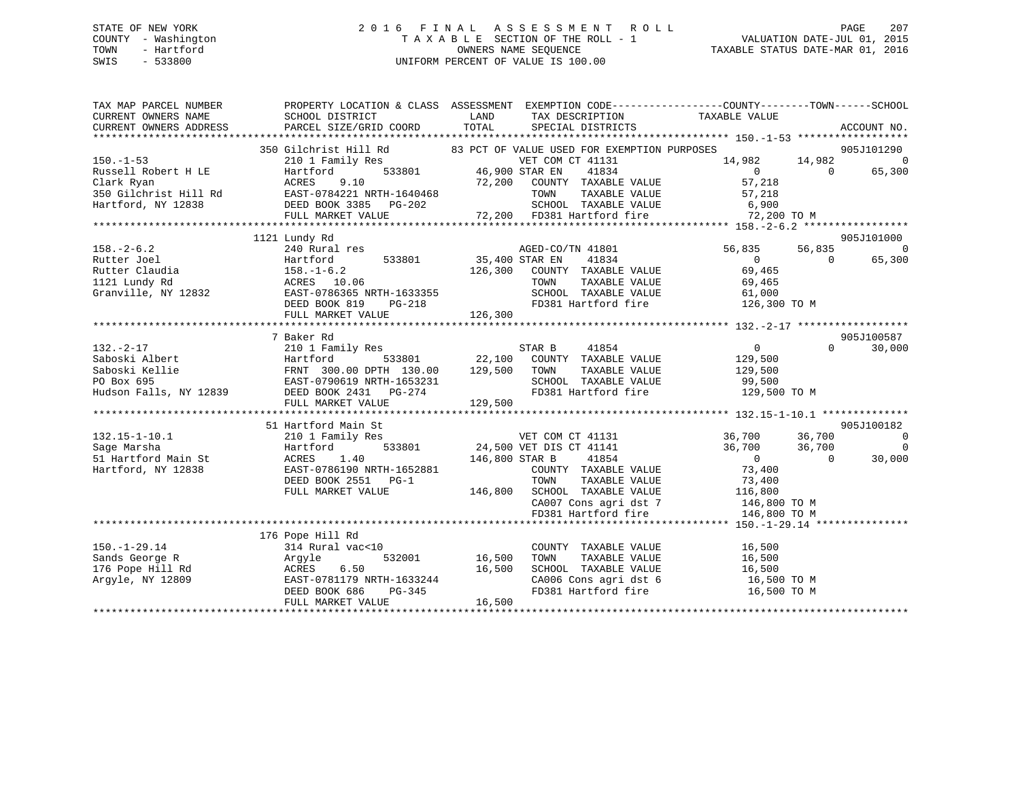## STATE OF NEW YORK 2 0 1 6 F I N A L A S S E S S M E N T R O L L PAGE 207 COUNTY - Washington T A X A B L E SECTION OF THE ROLL - 1 VALUATION DATE-JUL 01, 2015 TOWN - Hartford OWNERS NAME SEQUENCE TAXABLE STATUS DATE-MAR 01, 2016 SWIS - 533800 UNIFORM PERCENT OF VALUE IS 100.00

| TAX MAP PARCEL NUMBER                                                                      | PROPERTY LOCATION & CLASS ASSESSMENT EXEMPTION CODE---------------COUNTY-------TOWN-----SCHOOL                                                                                                                                 |                                                                                                                                                   |                                                                         |                                                 |     |     |     |     |     |     |     |     |     |     |     |     |     |     |     |     |     |     |     |     |  |  |  |
|--------------------------------------------------------------------------------------------|--------------------------------------------------------------------------------------------------------------------------------------------------------------------------------------------------------------------------------|---------------------------------------------------------------------------------------------------------------------------------------------------|-------------------------------------------------------------------------|-------------------------------------------------|-----|-----|-----|-----|-----|-----|-----|-----|-----|-----|-----|-----|-----|-----|-----|-----|-----|-----|-----|-----|--|--|--|
| CURRENT OWNERS NAME                                                                        | SCHOOL DISTRICT                                                                                                                                                                                                                | <b>LAND</b><br>TAX DESCRIPTION                                                                                                                    | TAXABLE VALUE                                                           |                                                 |     |     |     |     |     |     |     |     |     |     |     |     |     |     |     |     |     |     |     |     |  |  |  |
| CURRENT OWNERS ADDRESS                                                                     | PARCEL SIZE/GRID COORD                                                                                                                                                                                                         | TOTAL                                                                                                                                             | SPECIAL DISTRICTS                                                       | ACCOUNT NO.                                     |     |     |     |     |     |     |     |     |     |     |     |     |     |     |     |     |     |     |     |     |  |  |  |
|                                                                                            |                                                                                                                                                                                                                                |                                                                                                                                                   |                                                                         |                                                 |     |     |     |     |     |     |     |     |     |     |     |     |     |     |     |     |     |     |     |     |  |  |  |
|                                                                                            | 350 Gilchrist Hill Rd and B3 PCT OF VALUE USED FOR EXEMPTION PURPOSES<br>210 1 Family Res VET COM CT 41131 14<br>Hartford 533801 46,900 STAR EN 41834                                                                          |                                                                                                                                                   |                                                                         | 905J101290                                      |     |     |     |     |     |     |     |     |     |     |     |     |     |     |     |     |     |     |     |     |  |  |  |
| $150. - 1 - 53$                                                                            |                                                                                                                                                                                                                                |                                                                                                                                                   |                                                                         | $14,982$ $14,982$ 0<br>$\overline{\phantom{0}}$ |     |     |     |     |     |     |     |     |     |     |     |     |     |     |     |     |     |     |     |     |  |  |  |
|                                                                                            |                                                                                                                                                                                                                                |                                                                                                                                                   |                                                                         |                                                 |     |     |     |     |     |     |     |     |     |     |     |     |     |     |     |     |     |     |     |     |  |  |  |
|                                                                                            |                                                                                                                                                                                                                                |                                                                                                                                                   |                                                                         |                                                 |     |     |     |     |     |     |     |     |     |     |     |     |     |     |     |     |     |     |     |     |  |  |  |
|                                                                                            |                                                                                                                                                                                                                                |                                                                                                                                                   |                                                                         |                                                 |     |     |     |     |     |     |     |     |     |     |     |     |     |     |     |     |     |     |     |     |  |  |  |
|                                                                                            |                                                                                                                                                                                                                                |                                                                                                                                                   |                                                                         |                                                 |     |     |     |     |     |     |     |     |     |     |     |     |     |     |     |     |     |     |     |     |  |  |  |
|                                                                                            |                                                                                                                                                                                                                                |                                                                                                                                                   |                                                                         |                                                 |     |     |     |     |     |     |     |     |     |     |     |     |     |     |     |     |     |     |     |     |  |  |  |
|                                                                                            | $\n\n\n150.-1-53\n210\n140\n210\n210\n210\n210\n210\n210\n210\n210\n210\n210\n210\n210\n210\n210\n210\n210\n210\n210\n210\n210\$                                                                                               | 150.-1-53                                                                                                                                         | 210                                                                     | 140                                             | 210 | 210 | 210 | 210 | 210 | 210 | 210 | 210 | 210 | 210 | 210 | 210 | 210 | 210 | 210 | 210 | 210 | 210 | 210 | 210 |  |  |  |
| 150.-1-53                                                                                  | 210                                                                                                                                                                                                                            | 140                                                                                                                                               | 210                                                                     | 210                                             | 210 | 210 | 210 | 210 | 210 | 210 | 210 | 210 | 210 | 210 | 210 | 210 | 210 | 210 | 210 | 210 | 210 | 210 |     |     |  |  |  |
|                                                                                            | 1121 Lundy Rd                                                                                                                                                                                                                  |                                                                                                                                                   |                                                                         | 905J101000                                      |     |     |     |     |     |     |     |     |     |     |     |     |     |     |     |     |     |     |     |     |  |  |  |
|                                                                                            |                                                                                                                                                                                                                                | AGED-CO/TN 41801                                                                                                                                  | 56,835                                                                  | $\Omega$<br>56,835                              |     |     |     |     |     |     |     |     |     |     |     |     |     |     |     |     |     |     |     |     |  |  |  |
|                                                                                            | Hartford 533801 35,400 STAR EN                                                                                                                                                                                                 |                                                                                                                                                   | $\overline{0}$<br>41834                                                 | 65,300<br>$\overline{0}$                        |     |     |     |     |     |     |     |     |     |     |     |     |     |     |     |     |     |     |     |     |  |  |  |
|                                                                                            |                                                                                                                                                                                                                                | 126,300 COUNTY TAXABLE VALUE<br>TOWN TAXABLE VALUE                                                                                                | 69,465<br>69,465                                                        |                                                 |     |     |     |     |     |     |     |     |     |     |     |     |     |     |     |     |     |     |     |     |  |  |  |
|                                                                                            |                                                                                                                                                                                                                                |                                                                                                                                                   |                                                                         |                                                 |     |     |     |     |     |     |     |     |     |     |     |     |     |     |     |     |     |     |     |     |  |  |  |
|                                                                                            |                                                                                                                                                                                                                                |                                                                                                                                                   |                                                                         |                                                 |     |     |     |     |     |     |     |     |     |     |     |     |     |     |     |     |     |     |     |     |  |  |  |
|                                                                                            |                                                                                                                                                                                                                                |                                                                                                                                                   | FD381 Hartford fire                                                     |                                                 |     |     |     |     |     |     |     |     |     |     |     |     |     |     |     |     |     |     |     |     |  |  |  |
|                                                                                            | 158.-2-6.2<br>Rutter Joel Hartford 533801 33,100<br>Rutter Claudia 158.-1-6.2<br>121 Lundy Rd ACRES 10.06<br>Granville, NY 12832 EAST-0786365 NRTH-1633355<br>DEED BOOK 819 PG-218<br>126,300<br>126,300<br>126,300<br>126,300 |                                                                                                                                                   |                                                                         |                                                 |     |     |     |     |     |     |     |     |     |     |     |     |     |     |     |     |     |     |     |     |  |  |  |
|                                                                                            |                                                                                                                                                                                                                                |                                                                                                                                                   |                                                                         |                                                 |     |     |     |     |     |     |     |     |     |     |     |     |     |     |     |     |     |     |     |     |  |  |  |
|                                                                                            | 7 Baker Rd                                                                                                                                                                                                                     |                                                                                                                                                   |                                                                         | 905J100587                                      |     |     |     |     |     |     |     |     |     |     |     |     |     |     |     |     |     |     |     |     |  |  |  |
| $132. - 2 - 17$                                                                            |                                                                                                                                                                                                                                |                                                                                                                                                   | $\begin{array}{ccccc} & & & & 0 \\ & & & & 129\,,500 \end{array}$ VALUE | $\Omega$<br>30,000                              |     |     |     |     |     |     |     |     |     |     |     |     |     |     |     |     |     |     |     |     |  |  |  |
|                                                                                            |                                                                                                                                                                                                                                |                                                                                                                                                   |                                                                         |                                                 |     |     |     |     |     |     |     |     |     |     |     |     |     |     |     |     |     |     |     |     |  |  |  |
|                                                                                            |                                                                                                                                                                                                                                |                                                                                                                                                   |                                                                         |                                                 |     |     |     |     |     |     |     |     |     |     |     |     |     |     |     |     |     |     |     |     |  |  |  |
|                                                                                            |                                                                                                                                                                                                                                |                                                                                                                                                   |                                                                         |                                                 |     |     |     |     |     |     |     |     |     |     |     |     |     |     |     |     |     |     |     |     |  |  |  |
|                                                                                            |                                                                                                                                                                                                                                |                                                                                                                                                   |                                                                         |                                                 |     |     |     |     |     |     |     |     |     |     |     |     |     |     |     |     |     |     |     |     |  |  |  |
|                                                                                            | FULL MARKET VALUE                                                                                                                                                                                                              | 129,500                                                                                                                                           |                                                                         |                                                 |     |     |     |     |     |     |     |     |     |     |     |     |     |     |     |     |     |     |     |     |  |  |  |
|                                                                                            |                                                                                                                                                                                                                                |                                                                                                                                                   |                                                                         |                                                 |     |     |     |     |     |     |     |     |     |     |     |     |     |     |     |     |     |     |     |     |  |  |  |
|                                                                                            | 51 Hartford Main St                                                                                                                                                                                                            | Main St<br>1.40 333801 34,500 VET COM CT 41131<br>1.40 146,800 STAR B 41854<br>24,500 STAR B 41854<br>24,500 STAR B 41854<br>20UNTY TAXABLE VALUE |                                                                         | 905J100182                                      |     |     |     |     |     |     |     |     |     |     |     |     |     |     |     |     |     |     |     |     |  |  |  |
| An turch Mair<br>210 1 Family<br>51 Hartford Main St<br>Hartford, NY 12838<br>EAST-0786190 | 210 1 Family Res                                                                                                                                                                                                               |                                                                                                                                                   |                                                                         | $\overline{\phantom{0}}$                        |     |     |     |     |     |     |     |     |     |     |     |     |     |     |     |     |     |     |     |     |  |  |  |
|                                                                                            |                                                                                                                                                                                                                                |                                                                                                                                                   |                                                                         | $\overline{0}$                                  |     |     |     |     |     |     |     |     |     |     |     |     |     |     |     |     |     |     |     |     |  |  |  |
|                                                                                            |                                                                                                                                                                                                                                |                                                                                                                                                   | $\overline{0}$                                                          | 30,000<br>$\sim$ 0                              |     |     |     |     |     |     |     |     |     |     |     |     |     |     |     |     |     |     |     |     |  |  |  |
|                                                                                            | EAST-0786190 NRTH-1652881                                                                                                                                                                                                      | COUNTY TAXABLE VALUE<br>TOWN TAXABLE VALUE                                                                                                        | 73,400                                                                  |                                                 |     |     |     |     |     |     |     |     |     |     |     |     |     |     |     |     |     |     |     |     |  |  |  |
|                                                                                            | DEED BOOK 2551 PG-1                                                                                                                                                                                                            |                                                                                                                                                   | TAXABLE VALUE<br>73,400                                                 |                                                 |     |     |     |     |     |     |     |     |     |     |     |     |     |     |     |     |     |     |     |     |  |  |  |
|                                                                                            | FULL MARKET VALUE<br>FULL MARKET VALUE 146,800 SCHOOL TAXABLE VALUE 116,800 TO M<br>CA007 Cons agri dst 7 146,800 TO M<br>FD381 Hartford fire 146,800 TO M                                                                     |                                                                                                                                                   |                                                                         |                                                 |     |     |     |     |     |     |     |     |     |     |     |     |     |     |     |     |     |     |     |     |  |  |  |
|                                                                                            |                                                                                                                                                                                                                                |                                                                                                                                                   |                                                                         |                                                 |     |     |     |     |     |     |     |     |     |     |     |     |     |     |     |     |     |     |     |     |  |  |  |
|                                                                                            |                                                                                                                                                                                                                                |                                                                                                                                                   |                                                                         |                                                 |     |     |     |     |     |     |     |     |     |     |     |     |     |     |     |     |     |     |     |     |  |  |  |
|                                                                                            |                                                                                                                                                                                                                                |                                                                                                                                                   |                                                                         |                                                 |     |     |     |     |     |     |     |     |     |     |     |     |     |     |     |     |     |     |     |     |  |  |  |
|                                                                                            | 176 Pope Hill Rd                                                                                                                                                                                                               |                                                                                                                                                   |                                                                         |                                                 |     |     |     |     |     |     |     |     |     |     |     |     |     |     |     |     |     |     |     |     |  |  |  |
|                                                                                            |                                                                                                                                                                                                                                |                                                                                                                                                   |                                                                         |                                                 |     |     |     |     |     |     |     |     |     |     |     |     |     |     |     |     |     |     |     |     |  |  |  |
|                                                                                            | 532001 16,500                                                                                                                                                                                                                  | TOWN                                                                                                                                              | COUNTY TAXABLE VALUE 16,500<br>TOWN TAXABLE VALUE 16,500                |                                                 |     |     |     |     |     |     |     |     |     |     |     |     |     |     |     |     |     |     |     |     |  |  |  |
|                                                                                            |                                                                                                                                                                                                                                |                                                                                                                                                   | SCHOOL TAXABLE VALUE 16,500                                             |                                                 |     |     |     |     |     |     |     |     |     |     |     |     |     |     |     |     |     |     |     |     |  |  |  |
|                                                                                            |                                                                                                                                                                                                                                |                                                                                                                                                   |                                                                         |                                                 |     |     |     |     |     |     |     |     |     |     |     |     |     |     |     |     |     |     |     |     |  |  |  |
|                                                                                            |                                                                                                                                                                                                                                |                                                                                                                                                   | CA006 Cons agri dst 6 16,500 TO M<br>FD381 Hartford fire 16,500 TO M    |                                                 |     |     |     |     |     |     |     |     |     |     |     |     |     |     |     |     |     |     |     |     |  |  |  |
|                                                                                            | FULL MARKET VALUE                                                                                                                                                                                                              | 16,500                                                                                                                                            |                                                                         |                                                 |     |     |     |     |     |     |     |     |     |     |     |     |     |     |     |     |     |     |     |     |  |  |  |
|                                                                                            |                                                                                                                                                                                                                                |                                                                                                                                                   |                                                                         |                                                 |     |     |     |     |     |     |     |     |     |     |     |     |     |     |     |     |     |     |     |     |  |  |  |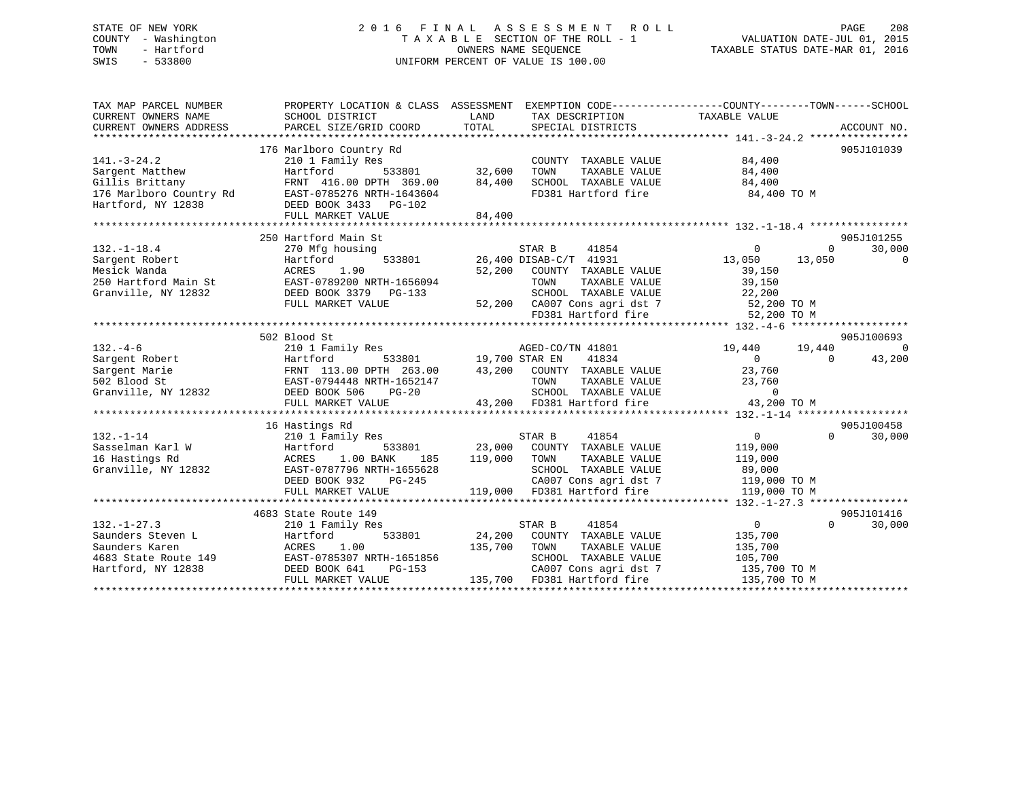## STATE OF NEW YORK 2 0 1 6 F I N A L A S S E S S M E N T R O L L PAGE 208 COUNTY - Washington T A X A B L E SECTION OF THE ROLL - 1 VALUATION DATE-JUL 01, 2015 TOWN - Hartford **TAXABLE STATUS DATE-MAR 01, 2016** OWNERS NAME SEQUENCE TAXABLE STATUS DATE-MAR 01, 2016 SWIS - 533800 UNIFORM PERCENT OF VALUE IS 100.00

| TAX MAP PARCEL NUMBER   | PROPERTY LOCATION & CLASS ASSESSMENT              |                                | EXEMPTION CODE----------------COUNTY-------TOWN------SCHOOL |                       |
|-------------------------|---------------------------------------------------|--------------------------------|-------------------------------------------------------------|-----------------------|
| CURRENT OWNERS NAME     | SCHOOL DISTRICT                                   | LAND<br>TAX DESCRIPTION        | TAXABLE VALUE                                               |                       |
| CURRENT OWNERS ADDRESS  | PARCEL SIZE/GRID COORD                            | TOTAL<br>SPECIAL DISTRICTS     |                                                             | ACCOUNT NO.           |
|                         |                                                   |                                |                                                             |                       |
|                         | 176 Marlboro Country Rd                           |                                |                                                             | 905J101039            |
| $141. - 3 - 24.2$       | 210 1 Family Res                                  | COUNTY TAXABLE VALUE           | 84,400                                                      |                       |
| Sargent Matthew         | Hartford<br>533801                                | 32,600<br>TOWN                 | TAXABLE VALUE<br>84,400                                     |                       |
| Gillis Brittany         | FRNT 416.00 DPTH 369.00                           | 84,400<br>SCHOOL TAXABLE VALUE | 84,400                                                      |                       |
| 176 Marlboro Country Rd | EAST-0785276 NRTH-1643604                         | FD381 Hartford fire            | 84,400 TO M                                                 |                       |
| Hartford, NY 12838      | DEED BOOK 3433 PG-102                             |                                |                                                             |                       |
|                         | FULL MARKET VALUE<br>*************************    | 84,400<br>*************        |                                                             |                       |
|                         |                                                   |                                |                                                             |                       |
|                         | 250 Hartford Main St                              |                                |                                                             | 905J101255            |
| $132. - 1 - 18.4$       | 270 Mfg housing                                   | 41854<br>STAR B                | $\overline{0}$                                              | 30,000<br>0           |
| Sargent Robert          | 533801<br>Hartford                                | 26,400 DISAB-C/T 41931         | 13,050                                                      | 13,050<br>$\mathbf 0$ |
| Mesick Wanda            | 1.90<br>ACRES                                     | 52,200<br>COUNTY TAXABLE VALUE | 39,150                                                      |                       |
| 250 Hartford Main St    | EAST-0789200 NRTH-1656094                         | TOWN                           | 39,150<br>TAXABLE VALUE                                     |                       |
| Granville, NY 12832     | DEED BOOK 3379 PG-133                             | SCHOOL TAXABLE VALUE           | 22,200                                                      |                       |
|                         | FULL MARKET VALUE                                 | 52,200 CA007 Cons agri dst 7   | 52,200 TO M                                                 |                       |
|                         |                                                   | FD381 Hartford fire            | 52,200 TO M                                                 |                       |
|                         |                                                   |                                |                                                             |                       |
|                         | 502 Blood St                                      |                                |                                                             | 905J100693            |
| $132. -4-6$             | 210 1 Family Res                                  | AGED-CO/TN 41801               | 19,440                                                      | 19,440<br>$\Omega$    |
| Sargent Robert          | Hartford<br>533801                                | 41834<br>19,700 STAR EN        | $\overline{0}$                                              | 43,200<br>$\Omega$    |
| Sargent Marie           | FRNT 113.00 DPTH 263.00                           | 43,200<br>COUNTY TAXABLE VALUE | 23,760                                                      |                       |
| 502 Blood St            | EAST-0794448 NRTH-1652147                         | TOWN                           | TAXABLE VALUE<br>23,760                                     |                       |
| Granville, NY 12832     | DEED BOOK 506<br>$PG-20$                          | SCHOOL TAXABLE VALUE           | $\overline{0}$                                              |                       |
|                         | FULL MARKET VALUE<br>**************************** | 43,200 FD381 Hartford fire     | 43,200 TO M                                                 |                       |
|                         | 16 Hastings Rd                                    |                                |                                                             | 905J100458            |
| $132. - 1 - 14$         | 210 1 Family Res                                  | 41854<br>STAR B                | $\overline{0}$                                              | 30,000<br>$\Omega$    |
| Sasselman Karl W        | Hartford<br>533801                                | 23,000<br>COUNTY TAXABLE VALUE | 119,000                                                     |                       |
| 16 Hastings Rd          | 1.00 BANK<br>ACRES<br>185                         | 119,000<br>TOWN                | TAXABLE VALUE<br>119,000                                    |                       |
| Granville, NY 12832     | EAST-0787796 NRTH-1655628                         | SCHOOL TAXABLE VALUE           | 89,000                                                      |                       |
|                         | DEED BOOK 932<br>$PG-245$                         | CA007 Cons agri dst 7          | 119,000 TO M                                                |                       |
|                         | FULL MARKET VALUE                                 | 119,000<br>FD381 Hartford fire | 119,000 TO M                                                |                       |
|                         |                                                   |                                |                                                             |                       |
|                         | 4683 State Route 149                              |                                |                                                             | 905J101416            |
| $132. - 1 - 27.3$       | 210 1 Family Res                                  | STAR B<br>41854                | $\overline{0}$                                              | $\Omega$<br>30,000    |
| Saunders Steven L       | Hartford<br>533801                                | 24,200<br>COUNTY TAXABLE VALUE | 135,700                                                     |                       |
| Saunders Karen          | ACRES<br>1.00                                     | 135,700<br>TOWN                | TAXABLE VALUE<br>135,700                                    |                       |
| 4683 State Route 149    | EAST-0785307 NRTH-1651856                         | SCHOOL TAXABLE VALUE           | 105,700                                                     |                       |
| Hartford, NY 12838      | DEED BOOK 641<br>PG-153                           | CA007 Cons agri dst 7          | 135,700 TO M                                                |                       |
|                         | FULL MARKET VALUE                                 | 135,700<br>FD381 Hartford fire | 135,700 TO M                                                |                       |
|                         |                                                   |                                |                                                             |                       |
|                         |                                                   |                                |                                                             |                       |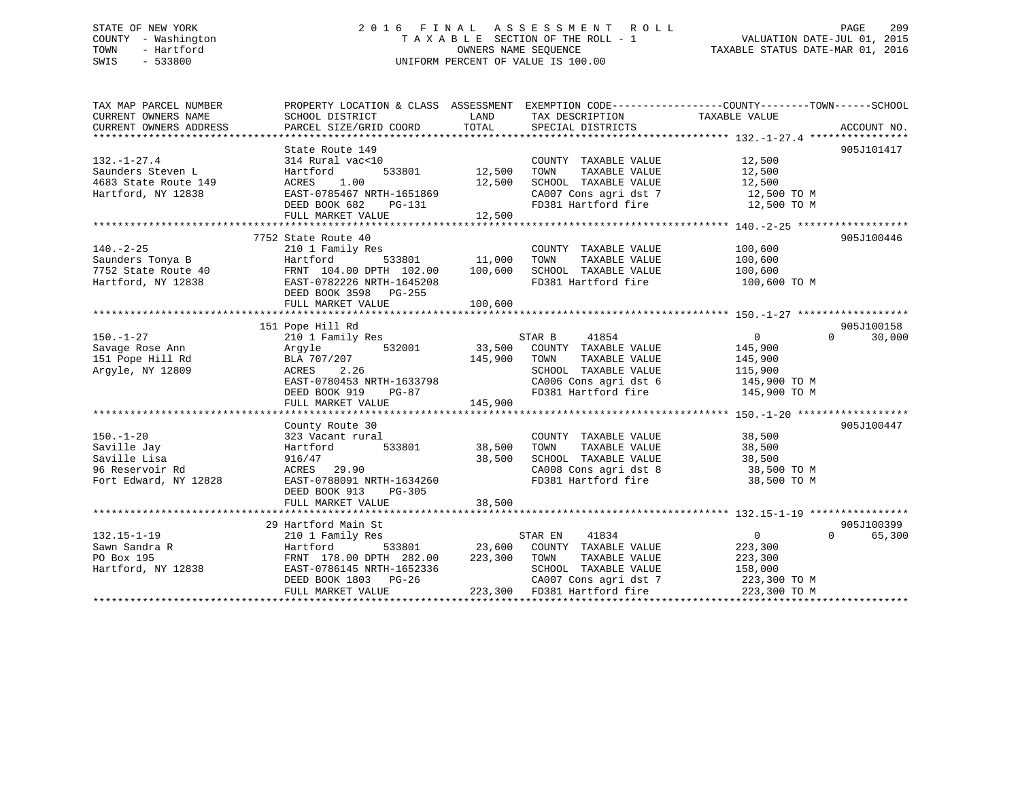# STATE OF NEW YORK 209 2016 FINAL ASSESSMENT ROLL PAGE 209 COUNTY - Washington  $\begin{array}{ccc}\n\text{T A X A B L E} & \text{SECTION OF THE ROLL - 1} \\
\text{T} & \text{MURR S EQUENCE}\n\end{array}$ SWIS - 533800 UNIFORM PERCENT OF VALUE IS 100.00

| TAX MAP PARCEL NUMBER                                            | PROPERTY LOCATION & CLASS ASSESSMENT EXEMPTION CODE----------------COUNTY-------TOWN------SCHOOL                                                                  |         |                                                                        |                |                             |
|------------------------------------------------------------------|-------------------------------------------------------------------------------------------------------------------------------------------------------------------|---------|------------------------------------------------------------------------|----------------|-----------------------------|
| CURRENT OWNERS NAME                                              | SCHOOL DISTRICT                                                                                                                                                   | LAND    | TAX DESCRIPTION                                                        | TAXABLE VALUE  |                             |
|                                                                  |                                                                                                                                                                   |         |                                                                        |                |                             |
|                                                                  |                                                                                                                                                                   |         |                                                                        |                |                             |
|                                                                  | State Route 149                                                                                                                                                   |         |                                                                        |                | 905J101417                  |
| $132. - 1 - 27.4$                                                | 314 Rural vac<10                                                                                                                                                  |         | COUNTY TAXABLE VALUE 12,500                                            |                |                             |
| Saunders Steven L                                                | 533801 12,500<br>Hartford                                                                                                                                         |         | TAXABLE VALUE<br>TOWN                                                  | 12,500         |                             |
|                                                                  | ACRES 1.00                                                                                                                                                        | 12,500  | SCHOOL TAXABLE VALUE 12,500                                            |                |                             |
| 4683 State Route 149<br>Hartford, NY 12838<br>Hartford, NY 12838 | EAST-0785467 NRTH-1651869                                                                                                                                         |         |                                                                        |                |                             |
|                                                                  | EAST-0785467 NRTH-1651869<br>DEED BOOK 682 PG-131                                                                                                                 |         | CA007 Cons agri dst 7 12,500 TO M<br>FD381 Hartford fire 12,500 TO M   |                |                             |
|                                                                  | FULL MARKET VALUE                                                                                                                                                 | 12,500  |                                                                        |                |                             |
|                                                                  |                                                                                                                                                                   |         |                                                                        |                |                             |
|                                                                  | 7752 State Route 40                                                                                                                                               |         |                                                                        |                | 905J100446                  |
| $140. -2 - 25$                                                   |                                                                                                                                                                   |         | COUNTY TAXABLE VALUE                                                   | 100,600        |                             |
|                                                                  | 210 1 Family Res<br>Hartford 533801 11,000                                                                                                                        |         | TOWN<br>TAXABLE VALUE                                                  | 100,600        |                             |
|                                                                  |                                                                                                                                                                   |         | SCHOOL TAXABLE VALUE 100,600                                           |                |                             |
|                                                                  | 140.-2-25<br>Saunders Tonya B<br>7752 State Route 40<br>Hartford, NY 12838<br>EAST-0782226 NRTH-1645208<br>EAST-0782226 NRTH-1645208<br>EAST-0782226 NRTH-1645208 |         | FD381 Hartford fire                                                    | 100,600 TO M   |                             |
|                                                                  | DEED BOOK 3598 PG-255                                                                                                                                             |         |                                                                        |                |                             |
|                                                                  | FULL MARKET VALUE                                                                                                                                                 | 100,600 |                                                                        |                |                             |
|                                                                  |                                                                                                                                                                   |         |                                                                        |                |                             |
|                                                                  | 151 Pope Hill Rd                                                                                                                                                  |         |                                                                        |                | 905J100158                  |
| $150. - 1 - 27$                                                  | 210 1 Family Res                                                                                                                                                  |         | STAR B<br>41854                                                        | $\overline{0}$ | $0 \qquad \qquad$<br>30,000 |
| 150.-1-4,<br>Savage Rose Ann<br>Paill Rd                         | 532001                                                                                                                                                            |         | 33,500 COUNTY TAXABLE VALUE                                            | 145,900        |                             |
|                                                                  | Argyle                                                                                                                                                            |         |                                                                        |                |                             |
|                                                                  | BLA 707/207                                                                                                                                                       | 145,900 | TOWN<br>TAXABLE VALUE                                                  | 145,900        |                             |
| Argyle, NY 12809                                                 | ACRES 2.26                                                                                                                                                        |         | SCHOOL TAXABLE VALUE 115,900                                           |                |                             |
|                                                                  | EAST-0780453 NRTH-1633798                                                                                                                                         |         | CA006 Cons agri dst 6 145,900 TO M<br>FD381 Hartford fire 145,900 TO M |                |                             |
|                                                                  | DEED BOOK 919 PG-87                                                                                                                                               |         |                                                                        |                |                             |
|                                                                  | FULL MARKET VALUE                                                                                                                                                 | 145,900 |                                                                        |                |                             |
|                                                                  |                                                                                                                                                                   |         |                                                                        |                |                             |
|                                                                  | County Route 30                                                                                                                                                   |         |                                                                        |                | 905J100447                  |
| $150. - 1 - 20$                                                  | 323 Vacant rural                                                                                                                                                  |         | COUNTY TAXABLE VALUE                                                   | 38,500         |                             |
| Saville Jay                                                      |                                                                                                                                                                   |         | TOWN TAXABLE VALUE                                                     | 38,500         |                             |
| Saville Lisa                                                     | 916/47                                                                                                                                                            | 38,500  | SCHOOL TAXABLE VALUE 38,500                                            |                |                             |
| 96 Reservoir Rd                                                  | ACRES 29.90<br>EAST-0788091 N                                                                                                                                     |         | CA008 Cons agri dst 8<br>FD381 Hartford fire                           | 38,500 TO M    |                             |
| Fort Edward, NY 12828                                            | EAST-0788091 NRTH-1634260                                                                                                                                         |         |                                                                        | 38,500 TO M    |                             |
|                                                                  | DEED BOOK 913<br>PG-305                                                                                                                                           |         |                                                                        |                |                             |
|                                                                  | FULL MARKET VALUE                                                                                                                                                 | 38,500  |                                                                        |                |                             |
|                                                                  |                                                                                                                                                                   |         |                                                                        |                |                             |
|                                                                  | 29 Hartford Main St                                                                                                                                               |         |                                                                        |                | 905J100399                  |
| $132.15 - 1 - 19$                                                | 210 1 Family Res                                                                                                                                                  |         | STAR EN 41834                                                          | $\overline{0}$ | $0 \qquad \qquad$<br>65,300 |
| Sawn Sandra R                                                    | Hartford                                                                                                                                                          |         | 533801 23,600 COUNTY TAXABLE VALUE                                     | 223,300        |                             |
| PO Box 195                                                       |                                                                                                                                                                   |         |                                                                        |                |                             |
| Hartford, NY 12838                                               | FRNT 178.00 DPTH 282.00 223,300 TOWN TAXABLE VALUE 223,300<br>EAST-0786145 NRTH-1652336 SCHOOL TAXABLE VALUE 158,000                                              |         |                                                                        |                |                             |
|                                                                  | DEED BOOK 1803 PG-26                                                                                                                                              |         | CA007 Cons agri dst 7 223,300 TO M                                     |                |                             |
|                                                                  | FULL MARKET VALUE                                                                                                                                                 |         | 223,300 FD381 Hartford fire                                            | 223,300 TO M   |                             |
|                                                                  |                                                                                                                                                                   |         |                                                                        |                |                             |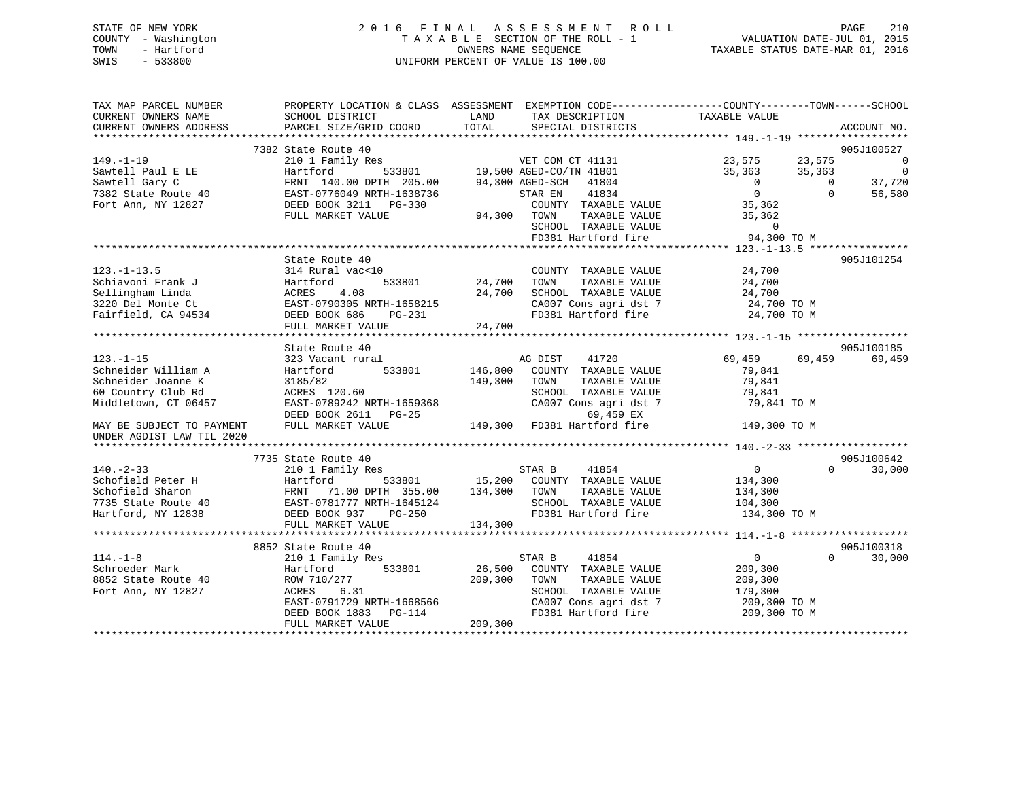## STATE OF NEW YORK 2 0 1 6 F I N A L A S S E S S M E N T R O L L PAGE 210 COUNTY - Washington T A X A B L E SECTION OF THE ROLL - 1 VALUATION DATE-JUL 01, 2015 TOWN - Hartford **TAXABLE STATUS DATE-MAR 01, 2016** OWNERS NAME SEQUENCE TAXABLE STATUS DATE-MAR 01, 2016 SWIS - 533800 UNIFORM PERCENT OF VALUE IS 100.00

| TAX MAP PARCEL NUMBER     |                                                                                                                                                                    |               | PROPERTY LOCATION & CLASS ASSESSMENT EXEMPTION CODE----------------COUNTY-------TOWN------SCHOOL |                  |                    |
|---------------------------|--------------------------------------------------------------------------------------------------------------------------------------------------------------------|---------------|--------------------------------------------------------------------------------------------------|------------------|--------------------|
| CURRENT OWNERS NAME       | SCHOOL DISTRICT                                                                                                                                                    | LAND          | TAX DESCRIPTION                                                                                  | TAXABLE VALUE    |                    |
| CURRENT OWNERS ADDRESS    | PARCEL SIZE/GRID COORD                                                                                                                                             | TOTAL         | SPECIAL DISTRICTS                                                                                |                  | ACCOUNT NO.        |
|                           |                                                                                                                                                                    |               |                                                                                                  |                  |                    |
|                           | 7382 State Route 40                                                                                                                                                |               |                                                                                                  |                  | 905J100527         |
| $149. - 1 - 19$           | 210 1 Family Res                                                                                                                                                   |               | VET COM CT 41131<br>533801 19,500 AGED-CO/TN 41801                                               | 23,575<br>23,575 | - 0                |
| Sawtell Paul E LE         |                                                                                                                                                                    |               |                                                                                                  | 35,363<br>35,363 | $\overline{0}$     |
| Sawtell Gary C            | FRNT 140.00 DPTH 205.00                                                                                                                                            |               | 94,300 AGED-SCH 41804                                                                            | $\overline{0}$   | 37,720<br>$\Omega$ |
| 7382 State Route 40       | Hartford 533801<br>FRNT 140.00 DPTH 205.00<br>40 EAST-0776049 NRTH-1638736<br>77 DEED BOOK 3211 PG-330                                                             |               | 41834<br>STAR EN                                                                                 | $\Omega$         | $\Omega$<br>56,580 |
| Fort Ann, NY 12827        |                                                                                                                                                                    |               | COUNTY TAXABLE VALUE                                                                             | 35,362           |                    |
|                           | FULL MARKET VALUE                                                                                                                                                  |               | 94,300 TOWN<br>TAXABLE VALUE                                                                     | 35,362           |                    |
|                           |                                                                                                                                                                    |               | SCHOOL TAXABLE VALUE                                                                             | $\Omega$         |                    |
|                           |                                                                                                                                                                    |               | FD381 Hartford fire                                                                              | 94,300 TO M      |                    |
|                           |                                                                                                                                                                    |               |                                                                                                  |                  |                    |
|                           | State Route 40                                                                                                                                                     |               |                                                                                                  |                  | 905J101254         |
| $123. - 1 - 13.5$         | 314 Rural vac<10                                                                                                                                                   |               | COUNTY TAXABLE VALUE                                                                             | 24,700           |                    |
|                           |                                                                                                                                                                    | 533801 24,700 | TAXABLE VALUE<br>TOWN                                                                            | 24,700           |                    |
|                           |                                                                                                                                                                    | 24,700        | SCHOOL TAXABLE VALUE                                                                             | 24,700           |                    |
|                           |                                                                                                                                                                    |               | CA007 Cons agri dst 7                                                                            | 24,700 TO M      |                    |
|                           | Schiavoni Frank J<br>Sellingham Linda<br>3220 Del Monte Ct<br>Fairfield, CA 94534<br>The Case DOOK 686<br>Fairfield, CA 94534<br>DEED BOOK 686<br>PG-231<br>PG-231 |               | FD381 Hartford fire                                                                              | 24,700 TO M      |                    |
|                           | FULL MARKET VALUE                                                                                                                                                  | 24,700        |                                                                                                  |                  |                    |
|                           |                                                                                                                                                                    |               |                                                                                                  |                  |                    |
|                           | State Route 40                                                                                                                                                     |               |                                                                                                  |                  | 905J100185         |
| $123. - 1 - 15$           | 323 Vacant rural                                                                                                                                                   |               | AG DIST<br>41720                                                                                 | 69,459           | 69,459<br>69,459   |
| Schneider William A       | 533801<br>Hartford                                                                                                                                                 | 146,800       | COUNTY TAXABLE VALUE                                                                             | 79,841           |                    |
| Schneider Joanne K        | 3185/82                                                                                                                                                            | 149,300       | TOWN<br>TAXABLE VALUE                                                                            | 79,841           |                    |
| 60 Country Club Rd        | $\text{ACRES}$ 120.60<br>ACRES 120.60                                                                                                                              |               | SCHOOL TAXABLE VALUE                                                                             | 79,841           |                    |
| Middletown, CT 06457      | EAST-0789242 NRTH-1659368                                                                                                                                          |               | CA007 Cons agri dst 7                                                                            | 79,841 TO M      |                    |
|                           |                                                                                                                                                                    |               |                                                                                                  |                  |                    |
| MAY BE SUBJECT TO PAYMENT |                                                                                                                                                                    |               |                                                                                                  | 149,300 TO M     |                    |
| UNDER AGDIST LAW TIL 2020 |                                                                                                                                                                    |               |                                                                                                  |                  |                    |
|                           |                                                                                                                                                                    |               |                                                                                                  |                  |                    |
|                           | 7735 State Route 40                                                                                                                                                |               |                                                                                                  |                  | 905J100642         |
| $140. - 2 - 33$           | 210 1 Family Res                                                                                                                                                   |               |                                                                                                  | $\overline{0}$   | $\Omega$<br>30,000 |
|                           |                                                                                                                                                                    |               |                                                                                                  | 134,300          |                    |
|                           | 71.00 DPTH 355.00 134,300 TOWN                                                                                                                                     |               | TAXABLE VALUE                                                                                    | 134,300          |                    |
|                           |                                                                                                                                                                    |               | SCHOOL TAXABLE VALUE                                                                             | 104,300          |                    |
|                           |                                                                                                                                                                    |               | FD381 Hartford fire                                                                              | 134,300 TO M     |                    |
|                           |                                                                                                                                                                    |               |                                                                                                  |                  |                    |
|                           |                                                                                                                                                                    |               |                                                                                                  |                  |                    |
|                           | 8852 State Route 40                                                                                                                                                |               |                                                                                                  |                  | 905J100318         |
| $114. - 1 - 8$            | 210 1 Family Res                                                                                                                                                   |               | 41854<br>STAR B                                                                                  | $\overline{0}$   | 30,000<br>$\Omega$ |
| Schroeder Mark            | 533801<br>Hartford                                                                                                                                                 |               | 26,500 COUNTY TAXABLE VALUE                                                                      | 209,300          |                    |
| 8852 State Route 40       | ROW 710/277                                                                                                                                                        | 209,300       | TOWN<br>TAXABLE VALUE                                                                            | 209,300          |                    |
| Fort Ann, NY 12827        | 6.31<br>ACRES                                                                                                                                                      |               | SCHOOL TAXABLE VALUE                                                                             | 179,300          |                    |
|                           | EAST-0791729 NRTH-1668566                                                                                                                                          |               | CA007 Cons agri dst 7<br>FD381 Hartford fire                                                     | 209,300 TO M     |                    |
|                           | DEED BOOK $1883$ PG- $114$                                                                                                                                         |               |                                                                                                  | 209,300 TO M     |                    |
|                           | FULL MARKET VALUE                                                                                                                                                  | 209,300       |                                                                                                  |                  |                    |
|                           |                                                                                                                                                                    |               |                                                                                                  |                  |                    |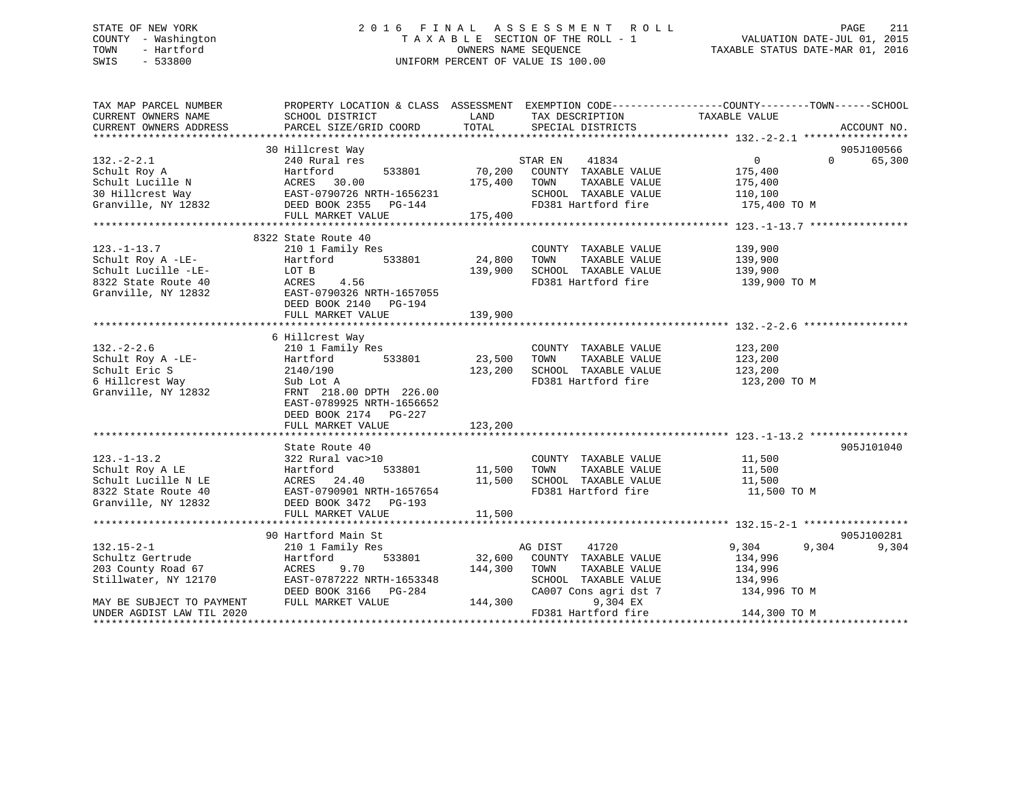## STATE OF NEW YORK 2 0 1 6 F I N A L A S S E S S M E N T R O L L PAGE 211 COUNTY - Washington T A X A B L E SECTION OF THE ROLL - 1 VALUATION DATE-JUL 01, 2015 TOWN - Hartford **TAXABLE STATUS DATE-MAR 01, 2016** OWNERS NAME SEQUENCE TAXABLE STATUS DATE-MAR 01, 2016 SWIS - 533800 UNIFORM PERCENT OF VALUE IS 100.00

| TAXABLE VALUE<br>CURRENT OWNERS NAME<br>SCHOOL DISTRICT<br>LAND<br>TAX DESCRIPTION<br>TOTAL<br>CURRENT OWNERS ADDRESS<br>PARCEL SIZE/GRID COORD<br>SPECIAL DISTRICTS<br>ACCOUNT NO.<br>30 Hillcrest Way<br>905J100566<br>$132 - 2 - 2.1$<br>$\overline{0}$<br>240 Rural res<br>STAR EN<br>41834<br>$\Omega$<br>70,200<br>533801<br>COUNTY TAXABLE VALUE<br>Schult Roy A<br>Hartford<br>175,400<br>ACRES 30.00<br>EAST-0790726 NRTH-1656231<br>Schult Lucille N<br>175,400<br>TOWN<br>TAXABLE VALUE<br>175,400<br>30 Hillcrest Way<br>SCHOOL TAXABLE VALUE<br>110,100<br>Granville, NY 12832 DEED BOOK 2355 PG-144<br>FD381 Hartford fire<br>175,400 TO M<br>FULL MARKET VALUE<br>175,400<br>8322 State Route 40<br>$123. - 1 - 13.7$<br>210 1 Family Res<br>COUNTY TAXABLE VALUE<br>139,900<br>Schult Roy A -LE-<br>533801<br>24,800<br>TAXABLE VALUE<br>139,900<br>Hartford<br>TOWN<br>SCHOOL TAXABLE VALUE<br>Schult Lucille -LE-<br>LOT B<br>139,900<br>139,900<br>FD381 Hartford fire<br>8322 State Route 40<br>ACRES<br>4.56<br>139,900 TO M<br>Granville, NY 12832<br>EAST-0790326 NRTH-1657055<br>DEED BOOK 2140 PG-194<br>139,900<br>FULL MARKET VALUE<br>6 Hillcrest Way<br>$132. - 2 - 2.6$<br>210 1 Family Res<br>123,200<br>COUNTY TAXABLE VALUE<br>Schult Roy A -LE-<br>533801<br>23,500<br>TAXABLE VALUE<br>123,200<br>Hartford<br>TOWN<br>Schult Eric S<br>123,200<br>SCHOOL TAXABLE VALUE<br>123,200<br>2140/190<br>FD381 Hartford fire<br>6 Hillcrest Way<br>123,200 TO M<br>Sub Lot A<br>Granville, NY 12832<br>FRNT 218.00 DPTH 226.00<br>EAST-0789925 NRTH-1656652<br>DEED BOOK 2174 PG-227<br>FULL MARKET VALUE<br>123,200<br>905J101040<br>State Route 40 | PROPERTY LOCATION & CLASS ASSESSMENT EXEMPTION CODE----------------COUNTY-------TOWN------SCHOOL |
|---------------------------------------------------------------------------------------------------------------------------------------------------------------------------------------------------------------------------------------------------------------------------------------------------------------------------------------------------------------------------------------------------------------------------------------------------------------------------------------------------------------------------------------------------------------------------------------------------------------------------------------------------------------------------------------------------------------------------------------------------------------------------------------------------------------------------------------------------------------------------------------------------------------------------------------------------------------------------------------------------------------------------------------------------------------------------------------------------------------------------------------------------------------------------------------------------------------------------------------------------------------------------------------------------------------------------------------------------------------------------------------------------------------------------------------------------------------------------------------------------------------------------------------------------------------------------------------------------------------------------------------------------------------------------------|--------------------------------------------------------------------------------------------------|
|                                                                                                                                                                                                                                                                                                                                                                                                                                                                                                                                                                                                                                                                                                                                                                                                                                                                                                                                                                                                                                                                                                                                                                                                                                                                                                                                                                                                                                                                                                                                                                                                                                                                                 |                                                                                                  |
|                                                                                                                                                                                                                                                                                                                                                                                                                                                                                                                                                                                                                                                                                                                                                                                                                                                                                                                                                                                                                                                                                                                                                                                                                                                                                                                                                                                                                                                                                                                                                                                                                                                                                 |                                                                                                  |
|                                                                                                                                                                                                                                                                                                                                                                                                                                                                                                                                                                                                                                                                                                                                                                                                                                                                                                                                                                                                                                                                                                                                                                                                                                                                                                                                                                                                                                                                                                                                                                                                                                                                                 |                                                                                                  |
|                                                                                                                                                                                                                                                                                                                                                                                                                                                                                                                                                                                                                                                                                                                                                                                                                                                                                                                                                                                                                                                                                                                                                                                                                                                                                                                                                                                                                                                                                                                                                                                                                                                                                 | 65,300                                                                                           |
|                                                                                                                                                                                                                                                                                                                                                                                                                                                                                                                                                                                                                                                                                                                                                                                                                                                                                                                                                                                                                                                                                                                                                                                                                                                                                                                                                                                                                                                                                                                                                                                                                                                                                 |                                                                                                  |
|                                                                                                                                                                                                                                                                                                                                                                                                                                                                                                                                                                                                                                                                                                                                                                                                                                                                                                                                                                                                                                                                                                                                                                                                                                                                                                                                                                                                                                                                                                                                                                                                                                                                                 |                                                                                                  |
|                                                                                                                                                                                                                                                                                                                                                                                                                                                                                                                                                                                                                                                                                                                                                                                                                                                                                                                                                                                                                                                                                                                                                                                                                                                                                                                                                                                                                                                                                                                                                                                                                                                                                 |                                                                                                  |
|                                                                                                                                                                                                                                                                                                                                                                                                                                                                                                                                                                                                                                                                                                                                                                                                                                                                                                                                                                                                                                                                                                                                                                                                                                                                                                                                                                                                                                                                                                                                                                                                                                                                                 |                                                                                                  |
|                                                                                                                                                                                                                                                                                                                                                                                                                                                                                                                                                                                                                                                                                                                                                                                                                                                                                                                                                                                                                                                                                                                                                                                                                                                                                                                                                                                                                                                                                                                                                                                                                                                                                 |                                                                                                  |
|                                                                                                                                                                                                                                                                                                                                                                                                                                                                                                                                                                                                                                                                                                                                                                                                                                                                                                                                                                                                                                                                                                                                                                                                                                                                                                                                                                                                                                                                                                                                                                                                                                                                                 |                                                                                                  |
|                                                                                                                                                                                                                                                                                                                                                                                                                                                                                                                                                                                                                                                                                                                                                                                                                                                                                                                                                                                                                                                                                                                                                                                                                                                                                                                                                                                                                                                                                                                                                                                                                                                                                 |                                                                                                  |
|                                                                                                                                                                                                                                                                                                                                                                                                                                                                                                                                                                                                                                                                                                                                                                                                                                                                                                                                                                                                                                                                                                                                                                                                                                                                                                                                                                                                                                                                                                                                                                                                                                                                                 |                                                                                                  |
|                                                                                                                                                                                                                                                                                                                                                                                                                                                                                                                                                                                                                                                                                                                                                                                                                                                                                                                                                                                                                                                                                                                                                                                                                                                                                                                                                                                                                                                                                                                                                                                                                                                                                 |                                                                                                  |
|                                                                                                                                                                                                                                                                                                                                                                                                                                                                                                                                                                                                                                                                                                                                                                                                                                                                                                                                                                                                                                                                                                                                                                                                                                                                                                                                                                                                                                                                                                                                                                                                                                                                                 |                                                                                                  |
|                                                                                                                                                                                                                                                                                                                                                                                                                                                                                                                                                                                                                                                                                                                                                                                                                                                                                                                                                                                                                                                                                                                                                                                                                                                                                                                                                                                                                                                                                                                                                                                                                                                                                 |                                                                                                  |
|                                                                                                                                                                                                                                                                                                                                                                                                                                                                                                                                                                                                                                                                                                                                                                                                                                                                                                                                                                                                                                                                                                                                                                                                                                                                                                                                                                                                                                                                                                                                                                                                                                                                                 |                                                                                                  |
|                                                                                                                                                                                                                                                                                                                                                                                                                                                                                                                                                                                                                                                                                                                                                                                                                                                                                                                                                                                                                                                                                                                                                                                                                                                                                                                                                                                                                                                                                                                                                                                                                                                                                 |                                                                                                  |
|                                                                                                                                                                                                                                                                                                                                                                                                                                                                                                                                                                                                                                                                                                                                                                                                                                                                                                                                                                                                                                                                                                                                                                                                                                                                                                                                                                                                                                                                                                                                                                                                                                                                                 |                                                                                                  |
|                                                                                                                                                                                                                                                                                                                                                                                                                                                                                                                                                                                                                                                                                                                                                                                                                                                                                                                                                                                                                                                                                                                                                                                                                                                                                                                                                                                                                                                                                                                                                                                                                                                                                 |                                                                                                  |
|                                                                                                                                                                                                                                                                                                                                                                                                                                                                                                                                                                                                                                                                                                                                                                                                                                                                                                                                                                                                                                                                                                                                                                                                                                                                                                                                                                                                                                                                                                                                                                                                                                                                                 |                                                                                                  |
|                                                                                                                                                                                                                                                                                                                                                                                                                                                                                                                                                                                                                                                                                                                                                                                                                                                                                                                                                                                                                                                                                                                                                                                                                                                                                                                                                                                                                                                                                                                                                                                                                                                                                 |                                                                                                  |
|                                                                                                                                                                                                                                                                                                                                                                                                                                                                                                                                                                                                                                                                                                                                                                                                                                                                                                                                                                                                                                                                                                                                                                                                                                                                                                                                                                                                                                                                                                                                                                                                                                                                                 |                                                                                                  |
|                                                                                                                                                                                                                                                                                                                                                                                                                                                                                                                                                                                                                                                                                                                                                                                                                                                                                                                                                                                                                                                                                                                                                                                                                                                                                                                                                                                                                                                                                                                                                                                                                                                                                 |                                                                                                  |
|                                                                                                                                                                                                                                                                                                                                                                                                                                                                                                                                                                                                                                                                                                                                                                                                                                                                                                                                                                                                                                                                                                                                                                                                                                                                                                                                                                                                                                                                                                                                                                                                                                                                                 |                                                                                                  |
|                                                                                                                                                                                                                                                                                                                                                                                                                                                                                                                                                                                                                                                                                                                                                                                                                                                                                                                                                                                                                                                                                                                                                                                                                                                                                                                                                                                                                                                                                                                                                                                                                                                                                 |                                                                                                  |
|                                                                                                                                                                                                                                                                                                                                                                                                                                                                                                                                                                                                                                                                                                                                                                                                                                                                                                                                                                                                                                                                                                                                                                                                                                                                                                                                                                                                                                                                                                                                                                                                                                                                                 |                                                                                                  |
|                                                                                                                                                                                                                                                                                                                                                                                                                                                                                                                                                                                                                                                                                                                                                                                                                                                                                                                                                                                                                                                                                                                                                                                                                                                                                                                                                                                                                                                                                                                                                                                                                                                                                 |                                                                                                  |
|                                                                                                                                                                                                                                                                                                                                                                                                                                                                                                                                                                                                                                                                                                                                                                                                                                                                                                                                                                                                                                                                                                                                                                                                                                                                                                                                                                                                                                                                                                                                                                                                                                                                                 |                                                                                                  |
|                                                                                                                                                                                                                                                                                                                                                                                                                                                                                                                                                                                                                                                                                                                                                                                                                                                                                                                                                                                                                                                                                                                                                                                                                                                                                                                                                                                                                                                                                                                                                                                                                                                                                 |                                                                                                  |
|                                                                                                                                                                                                                                                                                                                                                                                                                                                                                                                                                                                                                                                                                                                                                                                                                                                                                                                                                                                                                                                                                                                                                                                                                                                                                                                                                                                                                                                                                                                                                                                                                                                                                 |                                                                                                  |
|                                                                                                                                                                                                                                                                                                                                                                                                                                                                                                                                                                                                                                                                                                                                                                                                                                                                                                                                                                                                                                                                                                                                                                                                                                                                                                                                                                                                                                                                                                                                                                                                                                                                                 |                                                                                                  |
| $123. - 1 - 13.2$<br>COUNTY TAXABLE VALUE<br>11,500<br>322 Rural vac>10                                                                                                                                                                                                                                                                                                                                                                                                                                                                                                                                                                                                                                                                                                                                                                                                                                                                                                                                                                                                                                                                                                                                                                                                                                                                                                                                                                                                                                                                                                                                                                                                         |                                                                                                  |
| Schult Roy A LE<br>TAXABLE VALUE<br>11,500<br>Hartford<br>533801<br>11,500<br>TOWN                                                                                                                                                                                                                                                                                                                                                                                                                                                                                                                                                                                                                                                                                                                                                                                                                                                                                                                                                                                                                                                                                                                                                                                                                                                                                                                                                                                                                                                                                                                                                                                              |                                                                                                  |
| Schult Lucille N LE<br>ACRES 24.40<br>11,500<br>SCHOOL TAXABLE VALUE<br>11,500                                                                                                                                                                                                                                                                                                                                                                                                                                                                                                                                                                                                                                                                                                                                                                                                                                                                                                                                                                                                                                                                                                                                                                                                                                                                                                                                                                                                                                                                                                                                                                                                  |                                                                                                  |
| 8322 State Route 40<br>EAST-0790901 NRTH-1657654<br>FD381 Hartford fire<br>11,500 TO M                                                                                                                                                                                                                                                                                                                                                                                                                                                                                                                                                                                                                                                                                                                                                                                                                                                                                                                                                                                                                                                                                                                                                                                                                                                                                                                                                                                                                                                                                                                                                                                          |                                                                                                  |
| Granville, NY 12832<br>DEED BOOK 3472 PG-193                                                                                                                                                                                                                                                                                                                                                                                                                                                                                                                                                                                                                                                                                                                                                                                                                                                                                                                                                                                                                                                                                                                                                                                                                                                                                                                                                                                                                                                                                                                                                                                                                                    |                                                                                                  |
| FULL MARKET VALUE<br>11,500                                                                                                                                                                                                                                                                                                                                                                                                                                                                                                                                                                                                                                                                                                                                                                                                                                                                                                                                                                                                                                                                                                                                                                                                                                                                                                                                                                                                                                                                                                                                                                                                                                                     |                                                                                                  |
|                                                                                                                                                                                                                                                                                                                                                                                                                                                                                                                                                                                                                                                                                                                                                                                                                                                                                                                                                                                                                                                                                                                                                                                                                                                                                                                                                                                                                                                                                                                                                                                                                                                                                 |                                                                                                  |
| 905J100281<br>90 Hartford Main St                                                                                                                                                                                                                                                                                                                                                                                                                                                                                                                                                                                                                                                                                                                                                                                                                                                                                                                                                                                                                                                                                                                                                                                                                                                                                                                                                                                                                                                                                                                                                                                                                                               |                                                                                                  |
| $132.15 - 2 - 1$<br>41720<br>9,304<br>9,304<br>210 1 Family Res<br>AG DIST                                                                                                                                                                                                                                                                                                                                                                                                                                                                                                                                                                                                                                                                                                                                                                                                                                                                                                                                                                                                                                                                                                                                                                                                                                                                                                                                                                                                                                                                                                                                                                                                      | 9,304                                                                                            |
| Schultz Gertrude<br>533801<br>32,600<br>COUNTY TAXABLE VALUE<br>134,996                                                                                                                                                                                                                                                                                                                                                                                                                                                                                                                                                                                                                                                                                                                                                                                                                                                                                                                                                                                                                                                                                                                                                                                                                                                                                                                                                                                                                                                                                                                                                                                                         |                                                                                                  |
| Hartford                                                                                                                                                                                                                                                                                                                                                                                                                                                                                                                                                                                                                                                                                                                                                                                                                                                                                                                                                                                                                                                                                                                                                                                                                                                                                                                                                                                                                                                                                                                                                                                                                                                                        |                                                                                                  |
| 203 County Road 67<br>9.70<br>134,996<br>ACRES<br>144,300<br>TOWN<br>TAXABLE VALUE                                                                                                                                                                                                                                                                                                                                                                                                                                                                                                                                                                                                                                                                                                                                                                                                                                                                                                                                                                                                                                                                                                                                                                                                                                                                                                                                                                                                                                                                                                                                                                                              |                                                                                                  |
| Stillwater, NY 12170<br>SCHOOL TAXABLE VALUE<br>EAST-0787222 NRTH-1653348<br>134,996                                                                                                                                                                                                                                                                                                                                                                                                                                                                                                                                                                                                                                                                                                                                                                                                                                                                                                                                                                                                                                                                                                                                                                                                                                                                                                                                                                                                                                                                                                                                                                                            |                                                                                                  |
| CA007 Cons agri dst 7<br>134,996 TO M<br>DEED BOOK 3166 PG-284                                                                                                                                                                                                                                                                                                                                                                                                                                                                                                                                                                                                                                                                                                                                                                                                                                                                                                                                                                                                                                                                                                                                                                                                                                                                                                                                                                                                                                                                                                                                                                                                                  |                                                                                                  |
| FULL MARKET VALUE<br>144,300<br>9,304 EX<br>MAY BE SUBJECT TO PAYMENT                                                                                                                                                                                                                                                                                                                                                                                                                                                                                                                                                                                                                                                                                                                                                                                                                                                                                                                                                                                                                                                                                                                                                                                                                                                                                                                                                                                                                                                                                                                                                                                                           |                                                                                                  |
| FD381 Hartford fire<br>144,300 TO M<br>UNDER AGDIST LAW TIL 2020                                                                                                                                                                                                                                                                                                                                                                                                                                                                                                                                                                                                                                                                                                                                                                                                                                                                                                                                                                                                                                                                                                                                                                                                                                                                                                                                                                                                                                                                                                                                                                                                                |                                                                                                  |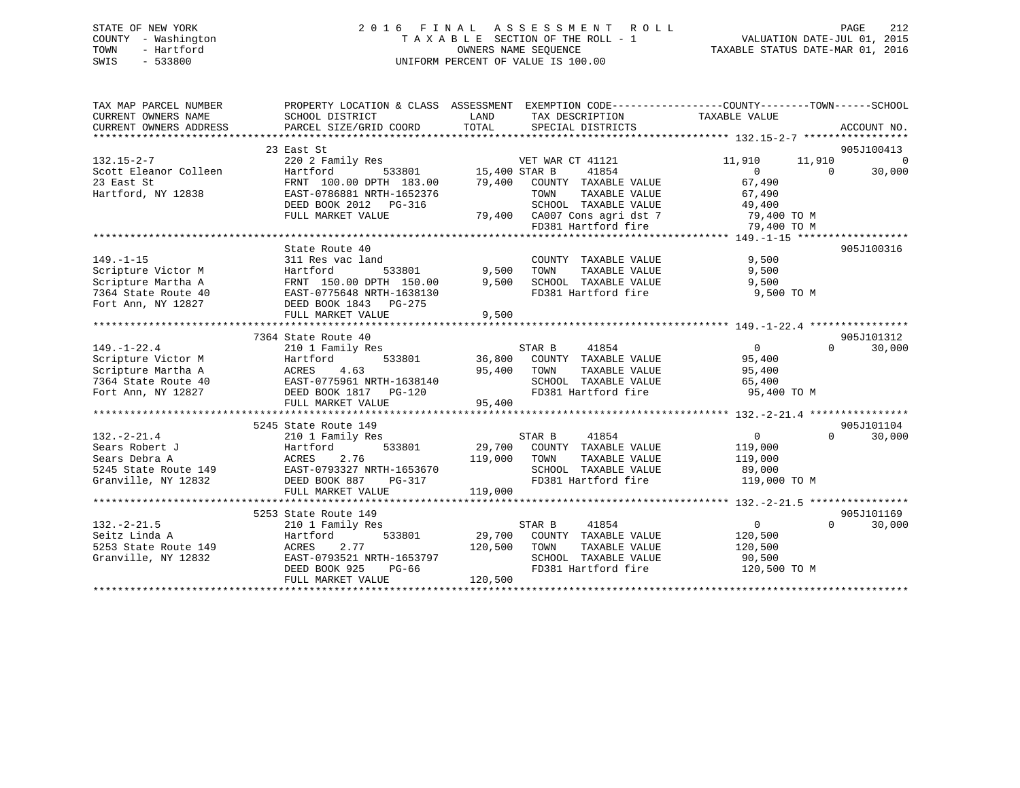## STATE OF NEW YORK 2 0 1 6 F I N A L A S S E S S M E N T R O L L PAGE 212 COUNTY - Washington T A X A B L E SECTION OF THE ROLL - 1 VALUATION DATE-JUL 01, 2015 TOWN - Hartford **TAXABLE STATUS DATE-MAR 01, 2016** OWNERS NAME SEQUENCE TAXABLE STATUS DATE-MAR 01, 2016 SWIS - 533800 UNIFORM PERCENT OF VALUE IS 100.00

| TAX MAP PARCEL NUMBER<br>CURRENT OWNERS NAME<br>CURRENT OWNERS ADDRESS | SCHOOL DISTRICT<br>PARCEL SIZE/GRID COORD            | PROPERTY LOCATION & CLASS ASSESSMENT EXEMPTION CODE---------------COUNTY-------TOWN------SCHOOL<br>LAND<br>TAX DESCRIPTION<br>TOTAL<br>SPECIAL DISTRICTS | TAXABLE VALUE<br>ACCOUNT NO.         |
|------------------------------------------------------------------------|------------------------------------------------------|----------------------------------------------------------------------------------------------------------------------------------------------------------|--------------------------------------|
|                                                                        |                                                      |                                                                                                                                                          |                                      |
|                                                                        | 23 East St                                           |                                                                                                                                                          | 905J100413                           |
| $132.15 - 2 - 7$                                                       | 220 2 Family Res                                     | VET WAR CT 41121                                                                                                                                         | $\overline{0}$<br>11,910<br>11,910   |
| Scott Eleanor Colleen                                                  | Hartford                                             | 533801 15,400 STAR B<br>DPTH 183.00 79,400 COUNT<br>41854                                                                                                | $\overline{0}$<br>30,000<br>$\Omega$ |
| 23 East St                                                             | FRNT 100.00 DPTH 183.00                              | COUNTY TAXABLE VALUE                                                                                                                                     | 67,490                               |
| Hartford, NY 12838                                                     | EAST-0786881 NRTH-1652376                            | TAXABLE VALUE<br>TOWN                                                                                                                                    | 67,490                               |
|                                                                        | DEED BOOK 2012    PG-316                             | SCHOOL TAXABLE VALUE                                                                                                                                     | 49,400                               |
|                                                                        | FULL MARKET VALUE                                    | 79,400 CA007 Cons agri dst 7                                                                                                                             | 79,400 TO M                          |
|                                                                        |                                                      | FD381 Hartford fire                                                                                                                                      | 79,400 TO M                          |
|                                                                        |                                                      |                                                                                                                                                          |                                      |
|                                                                        | State Route 40                                       |                                                                                                                                                          | 905J100316                           |
| $149. - 1 - 15$                                                        | 311 Res vac land                                     | COUNTY TAXABLE VALUE                                                                                                                                     | 9,500                                |
| Scripture Victor M                                                     | Hartford<br>533801                                   | 9,500<br>TOWN<br>TAXABLE VALUE                                                                                                                           | 9,500                                |
| Scripture Martha A                                                     | FRNT 150.00 DPTH 150.00                              | 9,500<br>SCHOOL TAXABLE VALUE                                                                                                                            | 9,500                                |
| 7364 State Route 40                                                    | FRNT 150.00 DPIH 150.00<br>EAST-0775648 NRTH-1638130 | FD381 Hartford fire 9,500 TO M                                                                                                                           |                                      |
| Fort Ann, NY 12827                                                     | DEED BOOK 1843 PG-275                                |                                                                                                                                                          |                                      |
|                                                                        | FULL MARKET VALUE                                    | 9,500                                                                                                                                                    |                                      |
|                                                                        |                                                      |                                                                                                                                                          |                                      |
|                                                                        | 7364 State Route 40                                  |                                                                                                                                                          | 905J101312                           |
| $149. - 1 - 22.4$                                                      |                                                      |                                                                                                                                                          | $\Omega$                             |
|                                                                        | 210 1 Family Res                                     | STAR B<br>41854<br>533801 36,800 COUNTY TAXABLE VALUE                                                                                                    | 30,000<br>$\overline{0}$             |
| Scripture Victor M                                                     | Hartford                                             |                                                                                                                                                          | 95,400                               |
| Scripture Martha A                                                     | ACRES 4.05<br>EAST-0775961 NRTH-1638140              | 95,400<br>TOWN<br>TAXABLE VALUE                                                                                                                          | 95,400                               |
| 7364 State Route 40                                                    |                                                      | SCHOOL TAXABLE VALUE                                                                                                                                     | 65,400                               |
| Fort Ann, NY 12827                                                     | DEED BOOK 1817    PG-120                             | FD381 Hartford fire                                                                                                                                      | 95,400 TO M                          |
|                                                                        | FULL MARKET VALUE                                    | 95,400                                                                                                                                                   |                                      |
|                                                                        |                                                      |                                                                                                                                                          |                                      |
|                                                                        | 5245 State Route 149                                 |                                                                                                                                                          | 905J101104                           |
| $132. - 2 - 21.4$                                                      | 210 1 Family Res                                     | STAR B<br>41854                                                                                                                                          | 30,000<br>0<br>$\Omega$              |
| Sears Robert J                                                         | Hartford<br>533801                                   | 29,700 COUNTY TAXABLE VALUE                                                                                                                              | 119,000                              |
| Sears Debra A                                                          | ACRES<br>2.76                                        | 119,000<br>TOWN<br>TAXABLE VALUE                                                                                                                         | 119,000                              |
| 5245 State Route 149                                                   | EAST-0793327 NRTH-1653670                            | SCHOOL TAXABLE VALUE                                                                                                                                     | 89,000                               |
| Granville, NY 12832                                                    | DEED BOOK 887<br>PG-317                              | FD381 Hartford fire                                                                                                                                      | 119,000 TO M                         |
|                                                                        | FULL MARKET VALUE                                    | 119,000                                                                                                                                                  |                                      |
|                                                                        |                                                      |                                                                                                                                                          |                                      |
|                                                                        | 5253 State Route 149                                 |                                                                                                                                                          | 905J101169                           |
| $132. - 2 - 21.5$                                                      | 210 1 Family Res                                     | STAR B<br>41854                                                                                                                                          | $\overline{0}$<br>$\Omega$<br>30,000 |
| Seitz Linda A                                                          | 533801<br>Hartford                                   | 29,700 COUNTY TAXABLE VALUE                                                                                                                              | 120,500                              |
| 5253 State Route 149                                                   | 2.77<br>ACRES                                        | 120,500<br>TAXABLE VALUE<br>TOWN                                                                                                                         | 120,500                              |
| Granville, NY 12832                                                    | EAST-0793521 NRTH-1653797                            | SCHOOL TAXABLE VALUE                                                                                                                                     | 90,500                               |
|                                                                        |                                                      |                                                                                                                                                          |                                      |
|                                                                        | DEED BOOK 925<br>PG-66                               | FD381 Hartford fire                                                                                                                                      | 120,500 TO M                         |
|                                                                        | FULL MARKET VALUE                                    | 120,500                                                                                                                                                  |                                      |
|                                                                        |                                                      |                                                                                                                                                          |                                      |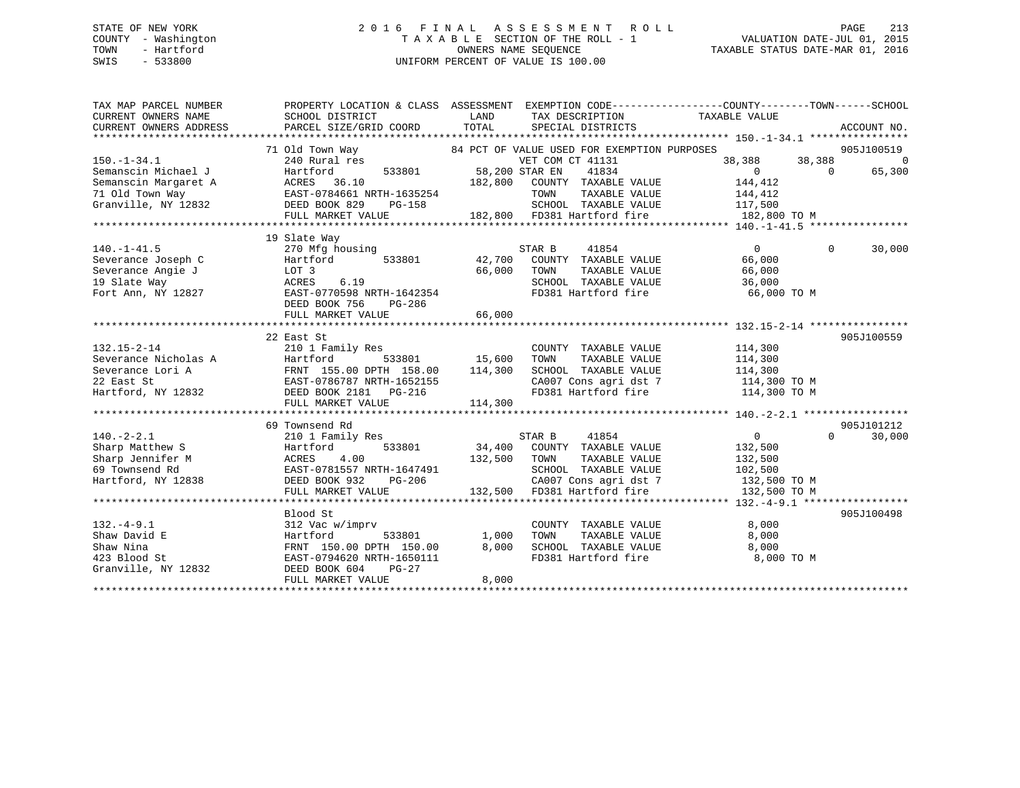## STATE OF NEW YORK 2 0 1 6 F I N A L A S S E S S M E N T R O L L PAGE 213 COUNTY - Washington T A X A B L E SECTION OF THE ROLL - 1 VALUATION DATE-JUL 01, 2015 TOWN - Hartford **TAXABLE STATUS DATE-MAR 01, 2016** OWNERS NAME SEQUENCE TAXABLE STATUS DATE-MAR 01, 2016 SWIS - 533800 UNIFORM PERCENT OF VALUE IS 100.00

| TAX MAP PARCEL NUMBER  | PROPERTY LOCATION & CLASS ASSESSMENT EXEMPTION CODE---------------COUNTY-------TOWN-----SCHOOL                                                                                                                                                                                                                                                                                                   |              |                                                     |                                                |                          |
|------------------------|--------------------------------------------------------------------------------------------------------------------------------------------------------------------------------------------------------------------------------------------------------------------------------------------------------------------------------------------------------------------------------------------------|--------------|-----------------------------------------------------|------------------------------------------------|--------------------------|
| CURRENT OWNERS NAME    | SCHOOL DISTRICT                                                                                                                                                                                                                                                                                                                                                                                  | <b>LAND</b>  | TAX DESCRIPTION TAXABLE VALUE                       |                                                |                          |
| CURRENT OWNERS ADDRESS | PARCEL SIZE/GRID COORD                                                                                                                                                                                                                                                                                                                                                                           | TOTAL        | SPECIAL DISTRICTS                                   |                                                | ACCOUNT NO.              |
|                        |                                                                                                                                                                                                                                                                                                                                                                                                  |              |                                                     |                                                |                          |
|                        |                                                                                                                                                                                                                                                                                                                                                                                                  |              |                                                     |                                                | 905J100519               |
|                        |                                                                                                                                                                                                                                                                                                                                                                                                  |              |                                                     | 38,388 38,388<br>0 0                           | $\overline{\phantom{0}}$ |
|                        |                                                                                                                                                                                                                                                                                                                                                                                                  |              |                                                     |                                                | 65,300                   |
|                        |                                                                                                                                                                                                                                                                                                                                                                                                  |              |                                                     |                                                |                          |
|                        |                                                                                                                                                                                                                                                                                                                                                                                                  |              |                                                     |                                                |                          |
|                        |                                                                                                                                                                                                                                                                                                                                                                                                  |              |                                                     |                                                |                          |
|                        |                                                                                                                                                                                                                                                                                                                                                                                                  |              | 182,800 FD381 Hartford fire 182,800 TO M            |                                                |                          |
|                        |                                                                                                                                                                                                                                                                                                                                                                                                  |              |                                                     |                                                |                          |
|                        | 19 Slate Way                                                                                                                                                                                                                                                                                                                                                                                     |              |                                                     |                                                |                          |
| $140. - 1 - 41.5$      | 270 Mfg housing<br>Hartford 533801 42,700 COUNTY TAXABLE VALUE<br>LOT 3 66,000 TOWN TAXABLE VALUE                                                                                                                                                                                                                                                                                                |              |                                                     | $\sim$ 0                                       | $\Omega$<br>30,000       |
|                        |                                                                                                                                                                                                                                                                                                                                                                                                  |              |                                                     | 66,000                                         |                          |
|                        |                                                                                                                                                                                                                                                                                                                                                                                                  | 66,000 TOWN  |                                                     | 66,000                                         |                          |
|                        |                                                                                                                                                                                                                                                                                                                                                                                                  |              | SCHOOL TAXABLE VALUE 36,000                         |                                                |                          |
|                        | $\begin{array}{lllllll} 140. -1 - 41.5 \\ \text{Severage Joseph C} & \text{Hartford} & 533801 & 42,700 \\ \text{Severage Angle J} & \text{LOT 3} & 66,000 \\ 19 \text{ State Way} & \text{ACRES} & 6.19 \\ \text{Fort Ann, NY 12827} & \text{EAST-0770598 NRTH-1642354} \\ \text{DCP 3} & \text{EAST-0770598 NRTH-1642354} \\ \text{DCP 4} & \text{DCP 5} & \text{DCP 6} & \text{DCP 6} \\ \end$ |              | FD381 Hartford fire 66,000 TO M                     |                                                |                          |
|                        | DEED BOOK 756<br>PG-286                                                                                                                                                                                                                                                                                                                                                                          |              |                                                     |                                                |                          |
|                        | FULL MARKET VALUE                                                                                                                                                                                                                                                                                                                                                                                | 66,000       |                                                     |                                                |                          |
|                        |                                                                                                                                                                                                                                                                                                                                                                                                  |              |                                                     |                                                |                          |
|                        | 22 East St                                                                                                                                                                                                                                                                                                                                                                                       |              |                                                     |                                                | 905J100559               |
| $132.15 - 2 - 14$      | 210 1 Family Res                                                                                                                                                                                                                                                                                                                                                                                 |              | COUNTY TAXABLE VALUE 114,300                        |                                                |                          |
|                        |                                                                                                                                                                                                                                                                                                                                                                                                  |              | TOWN                                                |                                                |                          |
|                        | Severance Nicholas A<br>Severance Lori A<br>Severance Lori A<br>Severance Lori A<br>Severance Lori A<br>FRNT 155.00 DPTH 158.00<br>22 East St<br>EAST-0786787 NRTH-1652155<br>DEED BOOK 2181<br>PG-216                                                                                                                                                                                           |              | SCHOOL TAXABLE VALUE                                | TAXABLE VALUE 114,300<br>TAXABLE VALUE 114,300 |                          |
|                        |                                                                                                                                                                                                                                                                                                                                                                                                  |              | CA007 Cons agri dst 7 114,300 TO M                  |                                                |                          |
|                        |                                                                                                                                                                                                                                                                                                                                                                                                  |              | FD381 Hartford fire 114,300 TO M                    |                                                |                          |
|                        | FULL MARKET VALUE                                                                                                                                                                                                                                                                                                                                                                                | 114,300      |                                                     |                                                |                          |
|                        |                                                                                                                                                                                                                                                                                                                                                                                                  |              |                                                     |                                                |                          |
|                        | 69 Townsend Rd                                                                                                                                                                                                                                                                                                                                                                                   |              |                                                     |                                                | 905J101212               |
| $140. -2 - 2.1$        | 210 1 Family Res                                                                                                                                                                                                                                                                                                                                                                                 |              | STAR B 41854                                        | $\overline{0}$                                 | $\Omega$<br>30,000       |
|                        |                                                                                                                                                                                                                                                                                                                                                                                                  |              |                                                     |                                                |                          |
|                        |                                                                                                                                                                                                                                                                                                                                                                                                  |              |                                                     |                                                |                          |
|                        |                                                                                                                                                                                                                                                                                                                                                                                                  |              |                                                     |                                                |                          |
|                        |                                                                                                                                                                                                                                                                                                                                                                                                  |              |                                                     |                                                |                          |
|                        | 1407-21.1 1408<br>Sharp Matthew S<br>Sharp Jennifer M<br>EAST-0781557 NRTH-1647491<br>Hartford, NY 12838<br>DEED BOOK 932 PG-206<br>FULL MARKET VALUE<br>THE MATE SARE SALUE SCHOOL TAXABLE VALUE<br>132,500 TO M<br>FULL MARKET VALUE<br>THE MARK                                                                                                                                               |              |                                                     |                                                |                          |
|                        |                                                                                                                                                                                                                                                                                                                                                                                                  |              |                                                     |                                                |                          |
|                        |                                                                                                                                                                                                                                                                                                                                                                                                  |              |                                                     |                                                | 905J100498               |
|                        | Blood St                                                                                                                                                                                                                                                                                                                                                                                         |              |                                                     |                                                |                          |
| $132. -4 - 9.1$        | 312 Vac w/imprv                                                                                                                                                                                                                                                                                                                                                                                  | 533801 1,000 | COUNTY TAXABLE VALUE                                | 8,000                                          |                          |
| Shaw David E           | Hartford                                                                                                                                                                                                                                                                                                                                                                                         | 8,000        | TAXABLE VALUE<br>TOWN<br>SCHOOL TAXABLE VALUE 8,000 | 8,000                                          |                          |
| Shaw Nina              | FRNT 150.00 DPTH 150.00                                                                                                                                                                                                                                                                                                                                                                          |              |                                                     |                                                |                          |
| 423 Blood St           | EAST-0794620 NRTH-1650111                                                                                                                                                                                                                                                                                                                                                                        |              | FD381 Hartford fire 8,000 TO M                      |                                                |                          |
| Granville, NY 12832    | DEED BOOK 604<br>PG-27                                                                                                                                                                                                                                                                                                                                                                           |              |                                                     |                                                |                          |
|                        | FULL MARKET VALUE                                                                                                                                                                                                                                                                                                                                                                                | 8,000        |                                                     |                                                |                          |
|                        |                                                                                                                                                                                                                                                                                                                                                                                                  |              |                                                     |                                                |                          |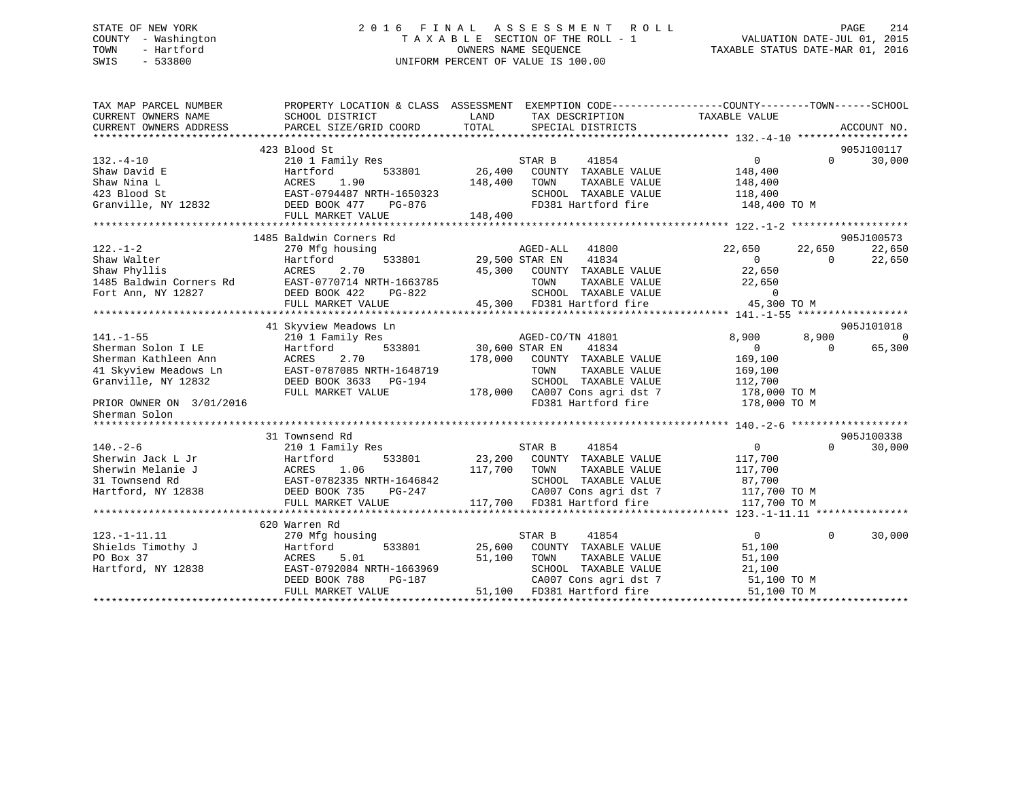## STATE OF NEW YORK 2 0 1 6 F I N A L A S S E S S M E N T R O L L PAGE 214 COUNTY - Washington T A X A B L E SECTION OF THE ROLL - 1 VALUATION DATE-JUL 01, 2015 TOWN - Hartford **TAXABLE STATUS DATE-MAR 01, 2016** OWNERS NAME SEQUENCE TAXABLE STATUS DATE-MAR 01, 2016 SWIS - 533800 UNIFORM PERCENT OF VALUE IS 100.00

| TAX MAP PARCEL NUMBER<br>CURRENT OWNERS NAME<br>CURRENT OWNERS ADDRESS | PROPERTY LOCATION & CLASS ASSESSMENT<br>SCHOOL DISTRICT<br>PARCEL SIZE/GRID COORD | LAND<br>TOTAL  | EXEMPTION CODE-----------------COUNTY-------TOWN------SCHOOL<br>TAX DESCRIPTION<br>SPECIAL DISTRICTS | TAXABLE VALUE  |          | ACCOUNT NO. |
|------------------------------------------------------------------------|-----------------------------------------------------------------------------------|----------------|------------------------------------------------------------------------------------------------------|----------------|----------|-------------|
|                                                                        |                                                                                   |                |                                                                                                      |                |          |             |
|                                                                        | 423 Blood St                                                                      |                |                                                                                                      |                |          | 905J100117  |
| $132. - 4 - 10$                                                        | 210 1 Family Res                                                                  |                | STAR B<br>41854                                                                                      | $\mathbf 0$    | $\Omega$ | 30,000      |
| Shaw David E                                                           | 533801<br>Hartford                                                                | 26,400         | COUNTY TAXABLE VALUE                                                                                 | 148,400        |          |             |
| Shaw Nina L                                                            | 1.90<br>ACRES                                                                     | 148,400        | TOWN<br>TAXABLE VALUE                                                                                | 148,400        |          |             |
| 423 Blood St                                                           | EAST-0794487 NRTH-1650323                                                         |                | SCHOOL TAXABLE VALUE                                                                                 | 118,400        |          |             |
| Granville, NY 12832                                                    | DEED BOOK 477<br>PG-876                                                           |                | FD381 Hartford fire                                                                                  | 148,400 TO M   |          |             |
|                                                                        | FULL MARKET VALUE                                                                 | 148,400        |                                                                                                      |                |          |             |
|                                                                        |                                                                                   |                |                                                                                                      |                |          |             |
|                                                                        | 1485 Baldwin Corners Rd                                                           |                |                                                                                                      |                |          | 905J100573  |
| $122. - 1 - 2$                                                         | 270 Mfg housing                                                                   |                | 41800<br>AGED-ALL                                                                                    | 22,650         | 22,650   | 22,650      |
| Shaw Walter                                                            | 533801<br>Hartford                                                                | 29,500 STAR EN | 41834                                                                                                | $\Omega$       | $\Omega$ | 22,650      |
| Shaw Phyllis                                                           | 2.70<br>ACRES                                                                     |                | 45,300 COUNTY TAXABLE VALUE                                                                          | 22,650         |          |             |
| 1485 Baldwin Corners Rd                                                | EAST-0770714 NRTH-1663785                                                         |                | TAXABLE VALUE<br>TOWN                                                                                | 22,650         |          |             |
| Fort Ann, NY 12827                                                     | DEED BOOK 422<br>PG-822                                                           |                | SCHOOL TAXABLE VALUE                                                                                 | $\Omega$       |          |             |
|                                                                        | FULL MARKET VALUE                                                                 |                | 45,300 FD381 Hartford fire                                                                           | 45,300 TO M    |          |             |
|                                                                        |                                                                                   |                |                                                                                                      |                |          |             |
|                                                                        | 41 Skyview Meadows Ln                                                             |                |                                                                                                      |                |          | 905J101018  |
| $141. - 1 - 55$                                                        | 210 1 Family Res                                                                  |                | AGED-CO/TN 41801                                                                                     | 8,900          | 8,900    | $\Omega$    |
| Sherman Solon I LE                                                     | 533801<br>Hartford                                                                | 30,600 STAR EN | 41834                                                                                                | $\overline{0}$ | $\Omega$ | 65,300      |
| Sherman Kathleen Ann                                                   | ACRES<br>2.70                                                                     | 178,000        | COUNTY TAXABLE VALUE                                                                                 | 169,100        |          |             |
| 41 Skyview Meadows Ln                                                  | EAST-0787085 NRTH-1648719                                                         |                | TOWN<br>TAXABLE VALUE                                                                                | 169,100        |          |             |
| Granville, NY 12832                                                    | DEED BOOK 3633 PG-194                                                             |                | SCHOOL TAXABLE VALUE                                                                                 | 112,700        |          |             |
|                                                                        | FULL MARKET VALUE                                                                 |                | 178,000 CA007 Cons agri dst 7                                                                        | 178,000 TO M   |          |             |
| PRIOR OWNER ON 3/01/2016                                               |                                                                                   |                | FD381 Hartford fire                                                                                  | 178,000 TO M   |          |             |
| Sherman Solon                                                          |                                                                                   |                |                                                                                                      |                |          |             |
|                                                                        |                                                                                   |                |                                                                                                      |                |          |             |
|                                                                        | 31 Townsend Rd                                                                    |                |                                                                                                      |                |          | 905J100338  |
| $140. - 2 - 6$                                                         | 210 1 Family Res                                                                  |                | STAR B<br>41854                                                                                      | $\overline{0}$ | $\Omega$ | 30,000      |
| Sherwin Jack L Jr                                                      | Hartford<br>533801                                                                | 23,200         | COUNTY TAXABLE VALUE                                                                                 | 117,700        |          |             |
| Sherwin Melanie J                                                      | 1.06<br>ACRES                                                                     | 117,700        | TOWN<br>TAXABLE VALUE                                                                                | 117,700        |          |             |
| 31 Townsend Rd                                                         | EAST-0782335 NRTH-1646842                                                         |                | SCHOOL TAXABLE VALUE                                                                                 | 87,700         |          |             |
| Hartford, NY 12838                                                     | DEED BOOK 735<br>PG-247                                                           |                | CA007 Cons agri dst 7                                                                                | 117,700 TO M   |          |             |
|                                                                        | FULL MARKET VALUE                                                                 |                | 117,700 FD381 Hartford fire                                                                          | 117,700 TO M   |          |             |
|                                                                        |                                                                                   |                |                                                                                                      |                |          |             |
|                                                                        | 620 Warren Rd                                                                     |                |                                                                                                      |                |          |             |
| $123. -1 - 11.11$                                                      | 270 Mfg housing                                                                   |                | 41854<br>STAR B                                                                                      | $\overline{0}$ | $\Omega$ | 30,000      |
| Shields Timothy J                                                      | Hartford<br>533801                                                                | 25,600         | COUNTY TAXABLE VALUE                                                                                 | 51,100         |          |             |
| PO Box 37                                                              | 5.01<br>ACRES                                                                     | 51,100         | TAXABLE VALUE<br>TOWN                                                                                | 51,100         |          |             |
| Hartford, NY 12838                                                     | EAST-0792084 NRTH-1663969                                                         |                | SCHOOL TAXABLE VALUE                                                                                 | 21,100         |          |             |
|                                                                        | DEED BOOK 788<br>PG-187                                                           |                | CA007 Cons agri dst 7                                                                                | 51,100 TO M    |          |             |
|                                                                        | FULL MARKET VALUE                                                                 | 51,100         | FD381 Hartford fire                                                                                  | 51,100 TO M    |          |             |
|                                                                        |                                                                                   |                |                                                                                                      |                |          |             |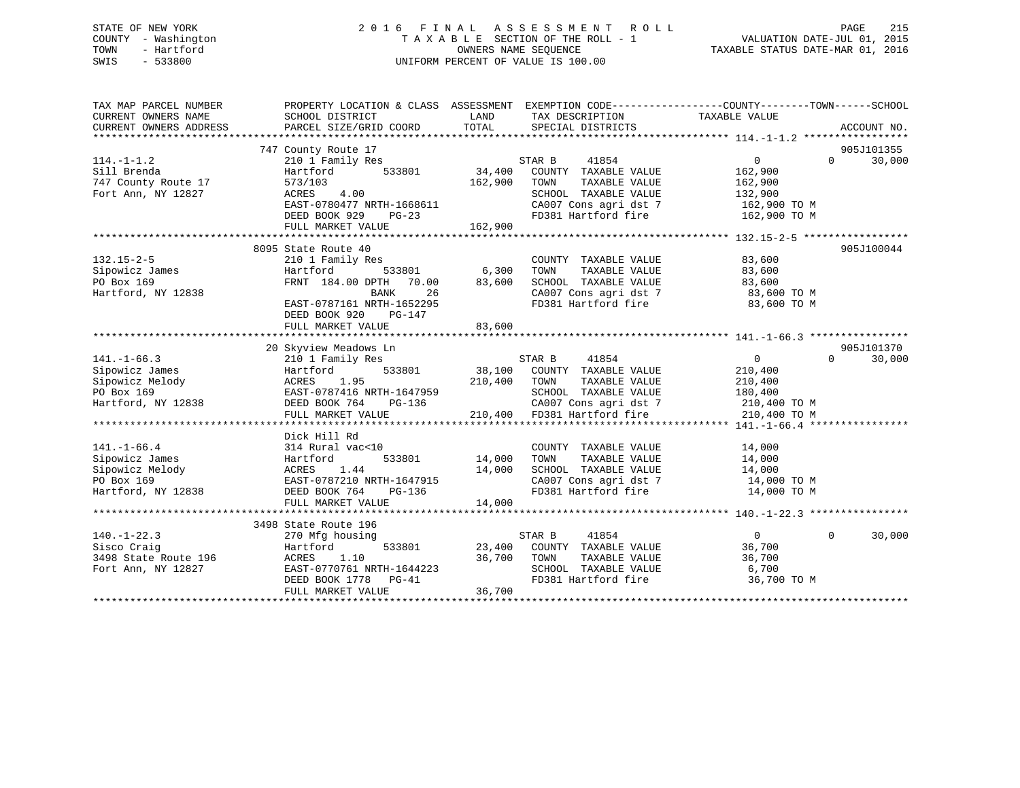## STATE OF NEW YORK 2 0 1 6 F I N A L A S S E S S M E N T R O L L PAGE 215 COUNTY - Washington T A X A B L E SECTION OF THE ROLL - 1 VALUATION DATE-JUL 01, 2015 TOWN - Hartford **TAXABLE STATUS DATE-MAR 01, 2016** OWNERS NAME SEQUENCE TAXABLE STATUS DATE-MAR 01, 2016 SWIS - 533800 UNIFORM PERCENT OF VALUE IS 100.00

| TAX MAP PARCEL NUMBER<br>CURRENT OWNERS NAME<br>CURRENT OWNERS ADDRESS | PROPERTY LOCATION & CLASS ASSESSMENT EXEMPTION CODE---------------COUNTY-------TOWN-----SCHOOL<br>SCHOOL DISTRICT<br>PARCEL SIZE/GRID COORD                                                  | LAND<br>TOTAL | TAX DESCRIPTION TAXABLE VALUE<br>SPECIAL DISTRICTS                                                                 |                            | ACCOUNT NO.        |
|------------------------------------------------------------------------|----------------------------------------------------------------------------------------------------------------------------------------------------------------------------------------------|---------------|--------------------------------------------------------------------------------------------------------------------|----------------------------|--------------------|
|                                                                        |                                                                                                                                                                                              |               |                                                                                                                    |                            |                    |
|                                                                        | 747 County Route 17                                                                                                                                                                          |               |                                                                                                                    |                            | 905J101355         |
| $114. - 1 - 1.2$                                                       | 210 1 Family Res                                                                                                                                                                             |               | STAR B<br>41854                                                                                                    | $0 \qquad \qquad$          | $\Omega$<br>30,000 |
| Sill Brenda                                                            | Hartford<br>533801                                                                                                                                                                           | 34,400        | ----- -<br>COUNTY TAXABLE VALUE<br>TOWN TAXABLE VALUE                                                              | 162,900                    |                    |
| 747 County Route 17                                                    | 573/103                                                                                                                                                                                      | 162,900       | TOWN<br>TAXABLE VALUE                                                                                              | 162,900                    |                    |
| Fort Ann, NY 12827                                                     | 4.00<br>ACRES                                                                                                                                                                                |               | SCHOOL TAXABLE VALUE 132,900                                                                                       |                            |                    |
|                                                                        | EAST-0780477 NRTH-1668611                                                                                                                                                                    |               |                                                                                                                    |                            |                    |
|                                                                        | DEED BOOK 929 PG-23                                                                                                                                                                          |               | CA007 Cons agri dst 7 162,900 TO M<br>FD381 Hartford fire 162,900 TO M                                             |                            |                    |
|                                                                        |                                                                                                                                                                                              |               |                                                                                                                    |                            |                    |
|                                                                        |                                                                                                                                                                                              |               |                                                                                                                    |                            |                    |
|                                                                        | 8095 State Route 40                                                                                                                                                                          |               |                                                                                                                    |                            | 905J100044         |
| $132.15 - 2 - 5$                                                       | 210 1 Family Res                                                                                                                                                                             |               | COUNTY TAXABLE VALUE                                                                                               | 83,600                     |                    |
| Sipowicz James                                                         | Hartford                                                                                                                                                                                     |               | TAXABLE VALUE<br>TAXABLE VALUE<br>TOWN                                                                             | 83,600                     |                    |
| PO Box 169                                                             | FRNT 184.00 DPTH 70.00                                                                                                                                                                       | 83,600        |                                                                                                                    |                            |                    |
| Hartford, NY 12838                                                     | 26<br>BANK                                                                                                                                                                                   |               | SCHOOL TAXABLE VALUE 83,600<br>CA007 Cons aqri dst 7 (83,600 TO M)<br>CA007 Cons agri dst 7<br>FD381 Hartford fire |                            |                    |
|                                                                        | EAST-0787161 NRTH-1652295                                                                                                                                                                    |               |                                                                                                                    | 83,600 TO M                |                    |
|                                                                        | DEED BOOK 920<br>PG-147                                                                                                                                                                      |               |                                                                                                                    |                            |                    |
|                                                                        | FULL MARKET VALUE                                                                                                                                                                            | 83,600        |                                                                                                                    |                            |                    |
|                                                                        |                                                                                                                                                                                              |               |                                                                                                                    |                            |                    |
|                                                                        | 20 Skyview Meadows Ln                                                                                                                                                                        |               |                                                                                                                    |                            | 905J101370         |
| $141. - 1 - 66.3$                                                      | 210 1 Family Res                                                                                                                                                                             |               | STAR B 41854                                                                                                       | $\overline{0}$<br>$\Omega$ | 30,000             |
| Sipowicz James                                                         | Hartford                                                                                                                                                                                     |               | 533801 38,100 COUNTY TAXABLE VALUE                                                                                 | 210,400                    |                    |
| Sipowicz Melody                                                        |                                                                                                                                                                                              |               |                                                                                                                    |                            |                    |
| PO Box 169                                                             |                                                                                                                                                                                              |               |                                                                                                                    |                            |                    |
| Hartford, NY 12838                                                     |                                                                                                                                                                                              |               | CA007 Cons agri dst 7 210,400 TO M                                                                                 |                            |                    |
|                                                                        | ACRES 1.95 210,400 TOWN TAXABLE VALUE<br>EAST-0787416 NRTH-1647959 SCHOOL TAXABLE VALUE<br>DEED BOOK 764 PG-136 210,400 FD381 Hartford fire<br>FULL MARKET VALUE 210,400 FD381 Hartford fire |               |                                                                                                                    | 210,400 TO M               |                    |
|                                                                        |                                                                                                                                                                                              |               |                                                                                                                    |                            |                    |
|                                                                        | Dick Hill Rd                                                                                                                                                                                 |               |                                                                                                                    |                            |                    |
| $141. - 1 - 66.4$                                                      | 314 Rural vac<10                                                                                                                                                                             |               | COUNTY TAXABLE VALUE                                                                                               | 14,000                     |                    |
| Sipowicz James                                                         | Hartford                                                                                                                                                                                     | 533801 14,000 | TAXABLE VALUE 14,000<br>TOWN                                                                                       |                            |                    |
| Sipowicz Melody                                                        |                                                                                                                                                                                              | 14,000        | SCHOOL TAXABLE VALUE 14,000<br>CA007 Cons agri dst 7 14,000 TO M                                                   |                            |                    |
| PO Box 169                                                             |                                                                                                                                                                                              |               |                                                                                                                    |                            |                    |
| Hartford, NY 12838                                                     |                                                                                                                                                                                              | $PG-136$      | FD381 Hartford fire 14,000 TO M                                                                                    |                            |                    |
|                                                                        | FULL MARKET VALUE                                                                                                                                                                            | 14,000        |                                                                                                                    |                            |                    |
|                                                                        |                                                                                                                                                                                              |               |                                                                                                                    |                            |                    |
|                                                                        | 3498 State Route 196                                                                                                                                                                         |               |                                                                                                                    |                            |                    |
| $140. - 1 - 22.3$                                                      | 270 Mfg housing                                                                                                                                                                              |               | STAR B<br>41854                                                                                                    | $\Omega$<br>$\Omega$       | 30,000             |
| Sisco Craig                                                            | Hartford                                                                                                                                                                                     |               | 533801 23,400 COUNTY TAXABLE VALUE                                                                                 | 36,700                     |                    |
|                                                                        |                                                                                                                                                                                              |               | TOWN TAXABLE VALUE 36,700<br>SCHOOL TAXABLE VALUE 6,700                                                            |                            |                    |
| 3498 State Route 196<br>Fort Ann, NY 12827                             |                                                                                                                                                                                              |               |                                                                                                                    |                            |                    |
|                                                                        | 1.10<br>EAST-0770761 NRTH-1644223<br>DEED BOOK 1778 PG-41<br>FULL MARKET VALUE                                                                                                               |               | FD381 Hartford fire                                                                                                | 36,700 TO M                |                    |
|                                                                        |                                                                                                                                                                                              |               |                                                                                                                    |                            |                    |
|                                                                        |                                                                                                                                                                                              |               |                                                                                                                    |                            |                    |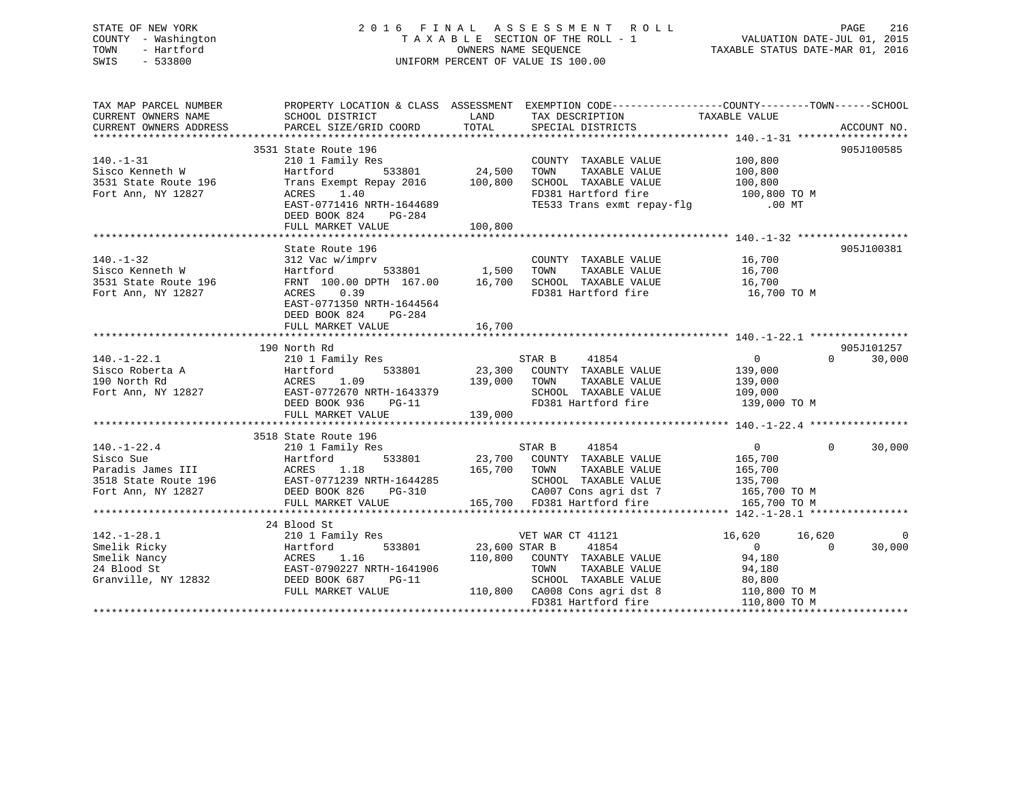## STATE OF NEW YORK 2 0 1 6 F I N A L A S S E S S M E N T R O L L PAGE 216 COUNTY - Washington T A X A B L E SECTION OF THE ROLL - 1 VALUATION DATE-JUL 01, 2015 TOWN - Hartford OWNERS NAME SEQUENCE TAXABLE STATUS DATE-MAR 01, 2016 SWIS - 533800 UNIFORM PERCENT OF VALUE IS 100.00

TAX MAP PARCEL NUMBER PROPERTY LOCATION & CLASS ASSESSMENT EXEMPTION CODE------------------COUNTY--------TOWN------SCHOOL CURRENT OWNERS NAME SCHOOL DISTRICT THE LAND TAX DESCRIPTION TAXABLE VALUE CURRENT OWNERS ADDRESS PARCEL SIZE/GRID COORD TOTAL SPECIAL DISTRICTS ACCOUNT NO. \*\*\*\*\*\*\*\*\*\*\*\*\*\*\*\*\*\*\*\*\*\*\*\*\*\*\*\*\*\*\*\*\*\*\*\*\*\*\*\*\*\*\*\*\*\*\*\*\*\*\*\*\*\*\*\*\*\*\*\*\*\*\*\*\*\*\*\*\*\*\*\*\*\*\*\*\*\*\*\*\*\*\*\*\*\*\*\*\*\*\*\*\*\*\*\*\*\*\*\*\*\*\* 140.-1-31 \*\*\*\*\*\*\*\*\*\*\*\*\*\*\*\*\*\* 3531 State Route 196 905J100585140.-1-31 210 1 Family Res COUNTY TAXABLE VALUE 100,800 Sisco Kenneth W Hartford 533801 24,500 TOWN TAXABLE VALUE 100,800 3531 State Route 196 Trans Exempt Repay 2016 100,800 SCHOOL TAXABLE VALUE 100,800 Fort Ann, NY 12827 ACRES 1.40 FD381 Hartford fire 100,800 TO M EAST-0771416 NRTH-1644689 TE533 Trans exmt repay-flg .00 MT DEED BOOK 824 PG-284 FULL MARKET VALUE 100,800 \*\*\*\*\*\*\*\*\*\*\*\*\*\*\*\*\*\*\*\*\*\*\*\*\*\*\*\*\*\*\*\*\*\*\*\*\*\*\*\*\*\*\*\*\*\*\*\*\*\*\*\*\*\*\*\*\*\*\*\*\*\*\*\*\*\*\*\*\*\*\*\*\*\*\*\*\*\*\*\*\*\*\*\*\*\*\*\*\*\*\*\*\*\*\*\*\*\*\*\*\*\*\* 140.-1-32 \*\*\*\*\*\*\*\*\*\*\*\*\*\*\*\*\*\*State Route 196 905J100381 140.-1-32 312 Vac w/imprv COUNTY TAXABLE VALUE 16,700 Sisco Kenneth W Hartford 533801 1,500 TOWN TAXABLE VALUE 16,700 3531 State Route 196 FRNT 100.00 DPTH 167.00 16,700 SCHOOL TAXABLE VALUE 16,700 Fort Ann, NY 12827 ACRES 0.39 FD381 Hartford fire 16,700 TO M EAST-0771350 NRTH-1644564 DEED BOOK 824 PG-284 FULL MARKET VALUE 16,700 \*\*\*\*\*\*\*\*\*\*\*\*\*\*\*\*\*\*\*\*\*\*\*\*\*\*\*\*\*\*\*\*\*\*\*\*\*\*\*\*\*\*\*\*\*\*\*\*\*\*\*\*\*\*\*\*\*\*\*\*\*\*\*\*\*\*\*\*\*\*\*\*\*\*\*\*\*\*\*\*\*\*\*\*\*\*\*\*\*\*\*\*\*\*\*\*\*\*\*\*\*\*\* 140.-1-22.1 \*\*\*\*\*\*\*\*\*\*\*\*\*\*\*\* 190 North Rd 905J101257140.-1-22.1 210 1 Family Res STAR B 41854 0 0 30,000 Sisco Roberta A Hartford 533801 23,300 COUNTY TAXABLE VALUE 139,000 190 North Rd ACRES 1.09 139,000 TOWN TAXABLE VALUE 139,000 Fort Ann, NY 12827 EAST-0772670 NRTH-1643379 SCHOOL TAXABLE VALUE 109,000 DEED BOOK 936 PG-11 FD381 Hartford fire 139,000 TO M DEED BOOK 936 PG-11<br>FULL MARKET VALUE 139,000 \*\*\*\*\*\*\*\*\*\*\*\*\*\*\*\*\*\*\*\*\*\*\*\*\*\*\*\*\*\*\*\*\*\*\*\*\*\*\*\*\*\*\*\*\*\*\*\*\*\*\*\*\*\*\*\*\*\*\*\*\*\*\*\*\*\*\*\*\*\*\*\*\*\*\*\*\*\*\*\*\*\*\*\*\*\*\*\*\*\*\*\*\*\*\*\*\*\*\*\*\*\*\* 140.-1-22.4 \*\*\*\*\*\*\*\*\*\*\*\*\*\*\*\* 3518 State Route 196210 1 Family Res 140.-1-22.4 210 1 Family Res STAR B 41854 0 0 30,000 Sisco Sue Hartford 533801 23,700 COUNTY TAXABLE VALUE 165,700 Paradis James III ACRES 1.18 165,700 TOWN TAXABLE VALUE 165,700 3518 State Route 196 EAST-0771239 NRTH-1644285 SCHOOL TAXABLE VALUE 135,700 Fort Ann, NY 12827 DEED BOOK 826 PG-310 CA007 Cons agri dst 7 165,700 TO M FULL MARKET VALUE 165,700 FD381 Hartford fire 165,700 TO M \*\*\*\*\*\*\*\*\*\*\*\*\*\*\*\*\*\*\*\*\*\*\*\*\*\*\*\*\*\*\*\*\*\*\*\*\*\*\*\*\*\*\*\*\*\*\*\*\*\*\*\*\*\*\*\*\*\*\*\*\*\*\*\*\*\*\*\*\*\*\*\*\*\*\*\*\*\*\*\*\*\*\*\*\*\*\*\*\*\*\*\*\*\*\*\*\*\*\*\*\*\*\* 142.-1-28.1 \*\*\*\*\*\*\*\*\*\*\*\*\*\*\*\* 24 Blood St142.-1-28.1 210 1 Family Res VET WAR CT 41121 16,620 16,620 0 Smelik Ricky Hartford 533801 23,600 STAR B 41854 0 0 30,000 Smelik Nancy ACRES 1.16 110,800 COUNTY TAXABLE VALUE 94,180 24 Blood St EAST-0790227 NRTH-1641906 TOWN TAXABLE VALUE 94,180 Granville, NY 12832 DEED BOOK 687 PG-11 SCHOOL TAXABLE VALUE 80,800 FULL MARKET VALUE 110,800 CA008 Cons agri dst 8 110,800 TO M FD381 Hartford fire 110,800 TO M \*\*\*\*\*\*\*\*\*\*\*\*\*\*\*\*\*\*\*\*\*\*\*\*\*\*\*\*\*\*\*\*\*\*\*\*\*\*\*\*\*\*\*\*\*\*\*\*\*\*\*\*\*\*\*\*\*\*\*\*\*\*\*\*\*\*\*\*\*\*\*\*\*\*\*\*\*\*\*\*\*\*\*\*\*\*\*\*\*\*\*\*\*\*\*\*\*\*\*\*\*\*\*\*\*\*\*\*\*\*\*\*\*\*\*\*\*\*\*\*\*\*\*\*\*\*\*\*\*\*\*\*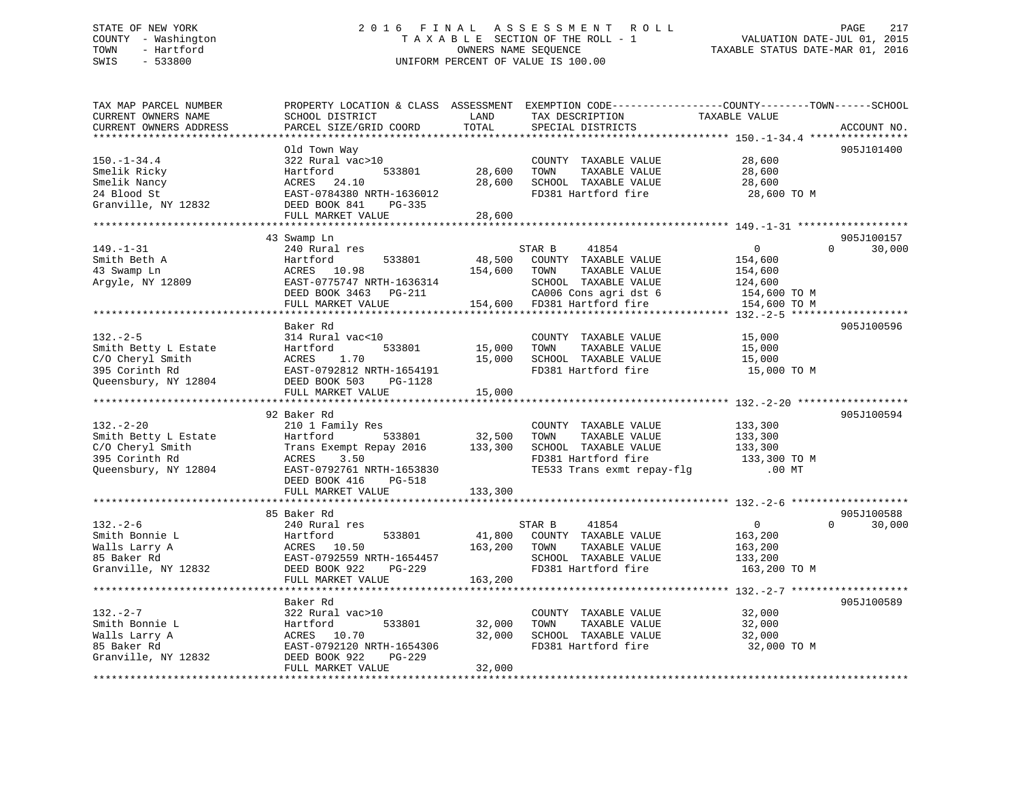## STATE OF NEW YORK 2 0 1 6 F I N A L A S S E S S M E N T R O L L PAGE 217 COUNTY - Washington T A X A B L E SECTION OF THE ROLL - 1 VALUATION DATE-JUL 01, 2015 TOWN - Hartford **TAXABLE STATUS DATE-MAR 01, 2016** OWNERS NAME SEQUENCE TAXABLE STATUS DATE-MAR 01, 2016 SWIS - 533800 UNIFORM PERCENT OF VALUE IS 100.00

| TAX MAP PARCEL NUMBER<br>CURRENT OWNERS NAME<br>CURRENT OWNERS ADDRESS                               | PROPERTY LOCATION & CLASS ASSESSMENT<br>SCHOOL DISTRICT<br>PARCEL SIZE/GRID COORD                                                                                       | LAND<br>TOTAL                | EXEMPTION CODE-----------------COUNTY-------TOWN------SCHOOL<br>TAX DESCRIPTION<br>SPECIAL DISTRICTS                                     | TAXABLE VALUE                                                      | ACCOUNT NO.                           |
|------------------------------------------------------------------------------------------------------|-------------------------------------------------------------------------------------------------------------------------------------------------------------------------|------------------------------|------------------------------------------------------------------------------------------------------------------------------------------|--------------------------------------------------------------------|---------------------------------------|
| *******************                                                                                  |                                                                                                                                                                         |                              |                                                                                                                                          |                                                                    |                                       |
| $150. - 1 - 34.4$<br>Smelik Ricky<br>Smelik Nancy<br>24 Blood St<br>Granville, NY 12832              | Old Town Way<br>322 Rural vac>10<br>533801<br>Hartford<br>ACRES<br>24.10<br>EAST-0784380 NRTH-1636012<br>DEED BOOK 841<br>PG-335<br>FULL MARKET VALUE                   | 28,600<br>28,600<br>28,600   | COUNTY TAXABLE VALUE<br>TAXABLE VALUE<br>TOWN<br>SCHOOL TAXABLE VALUE<br>FD381 Hartford fire                                             | 28,600<br>28,600<br>28,600<br>28,600 TO M                          | 905J101400                            |
|                                                                                                      |                                                                                                                                                                         |                              |                                                                                                                                          |                                                                    |                                       |
| $149. - 1 - 31$<br>Smith Beth A<br>43 Swamp Ln<br>Argyle, NY 12809                                   | 43 Swamp Ln<br>240 Rural res<br>Hartford<br>533801<br>ACRES<br>10.98<br>EAST-0775747 NRTH-1636314<br>DEED BOOK 3463<br>PG-211<br>FULL MARKET VALUE                      | 48,500<br>154,600<br>154,600 | STAR B<br>41854<br>COUNTY TAXABLE VALUE<br>TOWN<br>TAXABLE VALUE<br>SCHOOL TAXABLE VALUE<br>CA006 Cons agri dst 6<br>FD381 Hartford fire | 0<br>154,600<br>154,600<br>124,600<br>154,600 TO M<br>154,600 TO M | 905J100157<br>$\Omega$<br>30,000      |
|                                                                                                      | ***********************************<br>Baker Rd                                                                                                                         |                              |                                                                                                                                          |                                                                    | * * * * * * * * * * * *<br>905J100596 |
| $132 - 2 - 5$<br>Smith Betty L Estate<br>C/O Cheryl Smith<br>395 Corinth Rd<br>Queensbury, NY 12804  | 314 Rural vac<10<br>Hartford<br>533801<br>1.70<br>ACRES<br>EAST-0792812 NRTH-1654191<br>DEED BOOK 503<br><b>PG-1128</b><br>FULL MARKET VALUE<br>*********************** | 15,000<br>15,000<br>15,000   | COUNTY TAXABLE VALUE<br>TOWN<br>TAXABLE VALUE<br>SCHOOL TAXABLE VALUE<br>FD381 Hartford fire                                             | 15,000<br>15,000<br>15,000<br>15,000 TO M                          |                                       |
|                                                                                                      | 92 Baker Rd                                                                                                                                                             | ***********                  |                                                                                                                                          | ******************************* 132.-2-20 ******                   | 905J100594                            |
| $132 - 2 - 20$<br>Smith Betty L Estate<br>C/O Cheryl Smith<br>395 Corinth Rd<br>Queensbury, NY 12804 | 210 1 Family Res<br>Hartford<br>533801<br>Trans Exempt Repay 2016<br>ACRES<br>3.50<br>EAST-0792761 NRTH-1653830<br>DEED BOOK 416<br><b>PG-518</b><br>FULL MARKET VALUE  | 32,500<br>133,300<br>133,300 | COUNTY TAXABLE VALUE<br>TOWN<br>TAXABLE VALUE<br>SCHOOL TAXABLE VALUE<br>FD381 Hartford fire<br>TE533 Trans exmt repay-flg               | 133,300<br>133,300<br>133,300<br>133,300 TO M<br>$.00$ MT          |                                       |
|                                                                                                      |                                                                                                                                                                         |                              |                                                                                                                                          |                                                                    |                                       |
| $132. - 2 - 6$<br>Smith Bonnie L<br>Walls Larry A<br>85 Baker Rd<br>Granville, NY 12832              | 85 Baker Rd<br>240 Rural res<br>Hartford<br>533801<br>10.50<br>ACRES<br>EAST-0792559 NRTH-1654457<br>DEED BOOK 922<br>PG-229                                            | 41,800<br>163,200            | STAR B<br>41854<br>COUNTY TAXABLE VALUE<br>TOWN<br>TAXABLE VALUE<br>SCHOOL TAXABLE VALUE<br>FD381 Hartford fire                          | $\overline{0}$<br>163,200<br>163,200<br>133,200<br>163,200 TO M    | 905J100588<br>30,000<br>$\Omega$      |
|                                                                                                      | FULL MARKET VALUE<br>****************************                                                                                                                       | 163,200                      |                                                                                                                                          |                                                                    |                                       |
| $132 - 2 - 7$<br>Smith Bonnie L<br>Walls Larry A<br>85 Baker Rd<br>Granville, NY 12832               | Baker Rd<br>322 Rural vac>10<br>Hartford<br>533801<br>10.70<br>ACRES<br>EAST-0792120 NRTH-1654306<br>DEED BOOK 922<br>PG-229<br>FULL MARKET VALUE                       | 32,000<br>32,000<br>32,000   | COUNTY TAXABLE VALUE<br>TOWN<br>TAXABLE VALUE<br>SCHOOL TAXABLE VALUE<br>FD381 Hartford fire                                             | 32,000<br>32,000<br>32,000<br>32,000 TO M                          | 905J100589                            |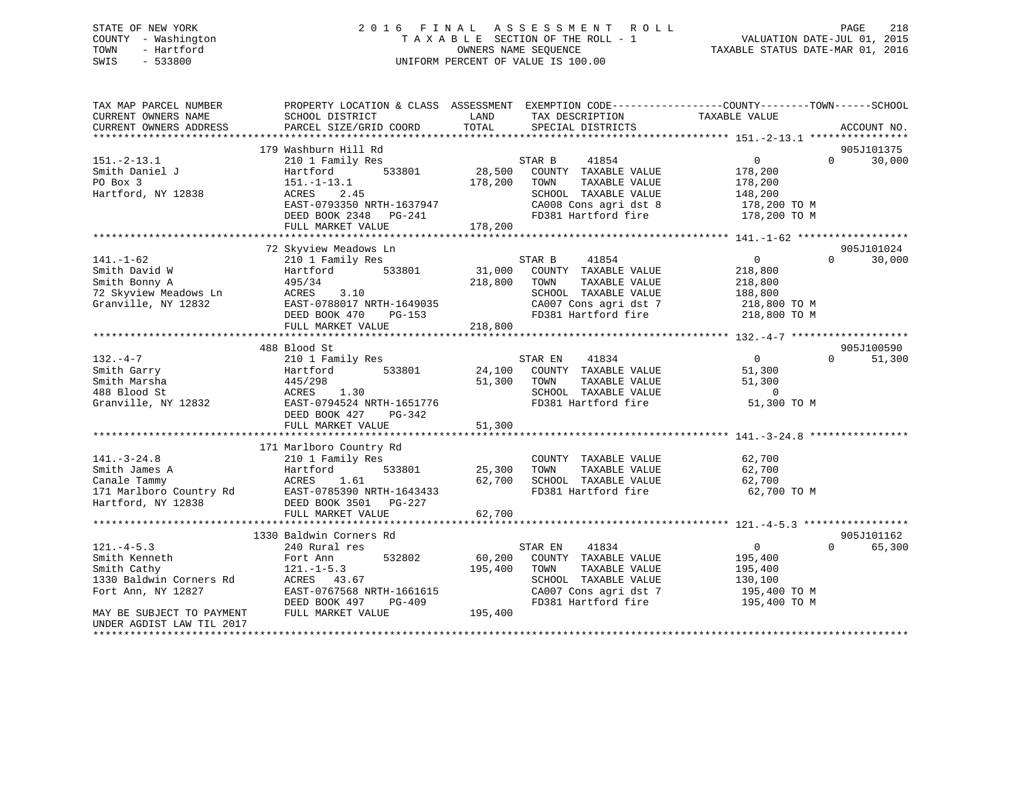## STATE OF NEW YORK 2 0 1 6 F I N A L A S S E S S M E N T R O L L PAGE 218 COUNTY - Washington T A X A B L E SECTION OF THE ROLL - 1 VALUATION DATE-JUL 01, 2015 TOWN - Hartford **TAXABLE STATUS DATE-MAR 01, 2016** OWNERS NAME SEQUENCE TAXABLE STATUS DATE-MAR 01, 2016 SWIS - 533800 UNIFORM PERCENT OF VALUE IS 100.00

| TAX MAP PARCEL NUMBER<br>CURRENT OWNERS NAME<br>CURRENT OWNERS ADDRESS | PROPERTY LOCATION & CLASS ASSESSMENT EXEMPTION CODE----------------COUNTY-------TOWN-----SCHOOL<br>SCHOOL DISTRICT<br>PARCEL SIZE/GRID COORD | LAND<br>TOTAL | TAX DESCRIPTION<br>SPECIAL DISTRICTS | TAXABLE VALUE  | ACCOUNT NO.                      |
|------------------------------------------------------------------------|----------------------------------------------------------------------------------------------------------------------------------------------|---------------|--------------------------------------|----------------|----------------------------------|
|                                                                        | 179 Washburn Hill Rd                                                                                                                         |               |                                      |                | 905J101375                       |
| $151. - 2 - 13.1$                                                      | 210 1 Family Res                                                                                                                             |               | STAR B<br>41854                      | $\Omega$       | $\Omega$<br>30,000               |
| Smith Daniel J                                                         | 533801<br>Hartford                                                                                                                           | 28,500        | COUNTY TAXABLE VALUE                 | 178,200        |                                  |
| PO Box 3                                                               | $151.-1-13.1$                                                                                                                                | 178,200       | TAXABLE VALUE<br>TOWN                | 178,200        |                                  |
| Hartford, NY 12838                                                     | ACRES<br>2.45                                                                                                                                |               | SCHOOL TAXABLE VALUE                 | 148,200        |                                  |
|                                                                        | EAST-0793350 NRTH-1637947                                                                                                                    |               | CA008 Cons agri dst 8                | 178,200 TO M   |                                  |
|                                                                        | DEED BOOK 2348 PG-241                                                                                                                        |               | FD381 Hartford fire                  | 178,200 TO M   |                                  |
|                                                                        | FULL MARKET VALUE                                                                                                                            | 178,200       |                                      |                |                                  |
|                                                                        |                                                                                                                                              |               |                                      |                |                                  |
|                                                                        | 72 Skyview Meadows Ln                                                                                                                        |               |                                      |                | 905J101024                       |
| $141. - 1 - 62$                                                        | 210 1 Family Res                                                                                                                             |               | 41854<br>STAR B                      | $\overline{0}$ | $\Omega$<br>30,000               |
| Smith David W                                                          | 533801<br>Hartford                                                                                                                           |               | 31,000 COUNTY TAXABLE VALUE          | 218,800        |                                  |
| Smith Bonny A                                                          | 495/34                                                                                                                                       | 218,800       | TOWN<br>TAXABLE VALUE                | 218,800        |                                  |
| 72 Skyview Meadows Ln                                                  | 3.10<br>ACRES                                                                                                                                |               | SCHOOL TAXABLE VALUE                 | 188,800        |                                  |
| Granville, NY 12832                                                    | EAST-0788017 NRTH-1649035                                                                                                                    |               | CA007 Cons agri dst 7                | 218,800 TO M   |                                  |
|                                                                        | DEED BOOK 470<br>PG-153                                                                                                                      |               | FD381 Hartford fire                  | 218,800 TO M   |                                  |
|                                                                        | FULL MARKET VALUE                                                                                                                            | 218,800       |                                      |                |                                  |
|                                                                        | 488 Blood St                                                                                                                                 |               |                                      |                | 905J100590                       |
| $132 - 4 - 7$                                                          | 210 1 Family Res                                                                                                                             |               | STAR EN<br>41834                     | $\overline{0}$ | $\Omega$<br>51,300               |
| Smith Garry                                                            | Hartford 533801                                                                                                                              |               | 24,100 COUNTY TAXABLE VALUE          | 51,300         |                                  |
| Smith Marsha                                                           | 445/298                                                                                                                                      | 51,300        | TOWN<br>TAXABLE VALUE                | 51,300         |                                  |
| 488 Blood St                                                           | ACRES 1.30                                                                                                                                   |               | SCHOOL TAXABLE VALUE                 | $\overline{0}$ |                                  |
| Granville, NY 12832                                                    | EAST-0794524 NRTH-1651776                                                                                                                    |               | FD381 Hartford fire                  | 51,300 TO M    |                                  |
|                                                                        | DEED BOOK 427<br>PG-342                                                                                                                      |               |                                      |                |                                  |
|                                                                        | FULL MARKET VALUE                                                                                                                            | 51,300        |                                      |                |                                  |
|                                                                        |                                                                                                                                              |               |                                      |                |                                  |
|                                                                        | 171 Marlboro Country Rd                                                                                                                      |               |                                      |                |                                  |
| $141. - 3 - 24.8$                                                      | 210 1 Family Res                                                                                                                             |               | COUNTY TAXABLE VALUE                 | 62,700         |                                  |
| Smith James A                                                          | 533801<br>Hartford                                                                                                                           | 25,300        | TOWN<br>TAXABLE VALUE                | 62,700         |                                  |
| Canale Tammy                                                           | ACRES<br>1.61                                                                                                                                | 62,700        | SCHOOL TAXABLE VALUE                 | 62,700         |                                  |
|                                                                        | EAST-0785390 NRTH-1643433                                                                                                                    |               | FD381 Hartford fire                  | 62,700 TO M    |                                  |
| 171 Marlboro Country Rd<br>Hartford, NY 12838                          | DEED BOOK 3501 PG-227                                                                                                                        |               |                                      |                |                                  |
|                                                                        | FULL MARKET VALUE                                                                                                                            | 62,700        |                                      |                |                                  |
|                                                                        |                                                                                                                                              |               |                                      |                |                                  |
| $121. - 4 - 5.3$                                                       | 1330 Baldwin Corners Rd<br>240 Rural res                                                                                                     |               | STAR EN<br>41834                     | $\overline{0}$ | 905J101162<br>$\Omega$<br>65,300 |
| Smith Kenneth                                                          | 532802                                                                                                                                       | 60,200        | COUNTY TAXABLE VALUE                 | 195,400        |                                  |
| Smith Cathy                                                            | Fort Ann<br>$121. - 1 - 5.3$                                                                                                                 | 195,400       | TAXABLE VALUE<br>TOWN                | 195,400        |                                  |
| 1330 Baldwin Corners Rd                                                | ACRES 43.67                                                                                                                                  |               | SCHOOL TAXABLE VALUE                 | 130,100        |                                  |
| Fort Ann, NY 12827                                                     | EAST-0767568 NRTH-1661615                                                                                                                    |               | CA007 Cons agri dst 7                | 195,400 TO M   |                                  |
|                                                                        | DEED BOOK 497<br>PG-409                                                                                                                      |               | FD381 Hartford fire                  | 195,400 TO M   |                                  |
| MAY BE SUBJECT TO PAYMENT                                              | FULL MARKET VALUE                                                                                                                            | 195,400       |                                      |                |                                  |
| UNDER AGDIST LAW TIL 2017                                              |                                                                                                                                              |               |                                      |                |                                  |
|                                                                        |                                                                                                                                              |               |                                      |                |                                  |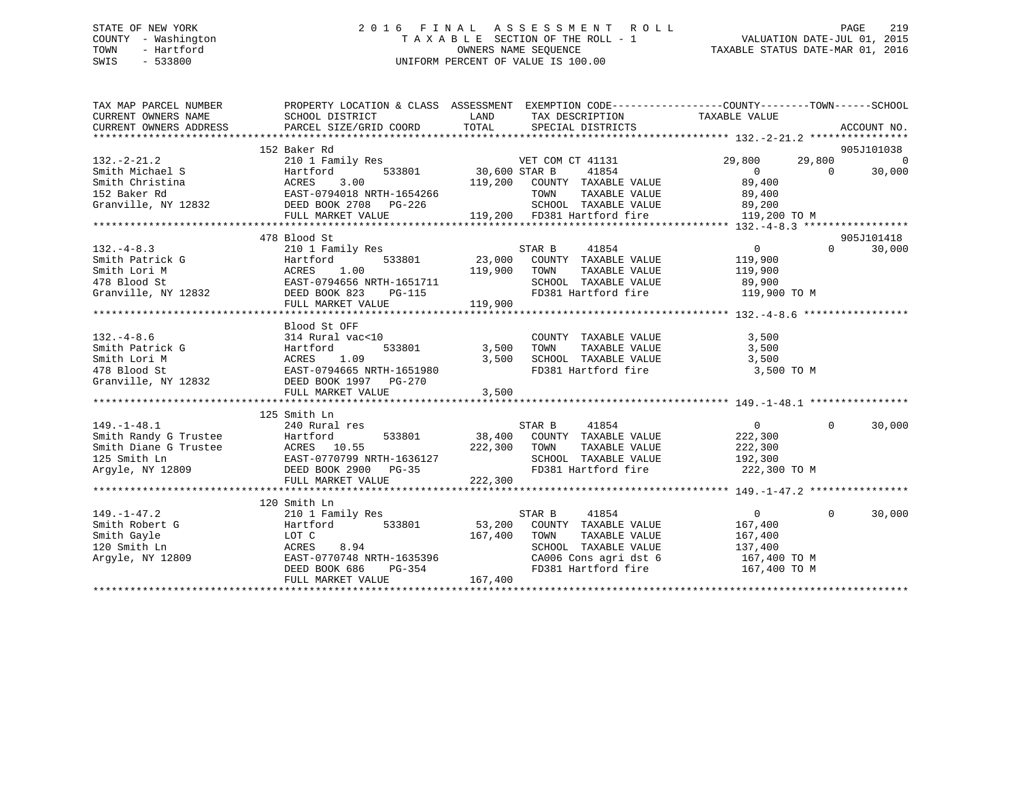## STATE OF NEW YORK 2 0 1 6 F I N A L A S S E S S M E N T R O L L PAGE 219 COUNTY - Washington T A X A B L E SECTION OF THE ROLL - 1 VALUATION DATE-JUL 01, 2015 TOWN - Hartford **TAXABLE STATUS DATE-MAR 01, 2016** OWNERS NAME SEQUENCE TAXABLE STATUS DATE-MAR 01, 2016 SWIS - 533800 UNIFORM PERCENT OF VALUE IS 100.00

| TAX MAP PARCEL NUMBER                                                                                                                                                               | PROPERTY LOCATION & CLASS ASSESSMENT EXEMPTION CODE---------------COUNTY-------TOWN-----SCHOOL                                 |                                 |                                                            |                                |                |            |
|-------------------------------------------------------------------------------------------------------------------------------------------------------------------------------------|--------------------------------------------------------------------------------------------------------------------------------|---------------------------------|------------------------------------------------------------|--------------------------------|----------------|------------|
| CURRENT OWNERS NAME                                                                                                                                                                 | SCHOOL DISTRICT                                                                                                                | <b>Example 12</b> LAND          | TAX DESCRIPTION                                            | TAXABLE VALUE                  |                |            |
|                                                                                                                                                                                     |                                                                                                                                |                                 |                                                            |                                |                |            |
|                                                                                                                                                                                     |                                                                                                                                |                                 |                                                            |                                |                |            |
|                                                                                                                                                                                     | 152 Baker Rd                                                                                                                   |                                 |                                                            |                                |                | 905J101038 |
| $132 - 2 - 21.2$                                                                                                                                                                    | 210 1 Family Res                                                                                                               |                                 | VET COM CT 41131                                           | 29,800                         | 29,800         | $\Omega$   |
| Smith Michael S                                                                                                                                                                     |                                                                                                                                | 533801 30,600 STAR B<br>119,200 | 41854<br>COUNTY TAXABLE VALUE                              | $\overline{0}$<br>89,400       | $\overline{0}$ | 30,000     |
| Smith Michael S<br>Smith Christina (SMCRES 3.00<br>152 Baker Rd (STAN)<br>EAST-0794018 NRTH-1654266<br>Granville, NY 12832 (STAN)<br>DEED BOOK 2708 PG-226<br>DEED BOOK 2708 PG-226 |                                                                                                                                |                                 | TOWN                                                       |                                |                |            |
|                                                                                                                                                                                     |                                                                                                                                |                                 |                                                            | TAXABLE VALUE 89,400<br>89,200 |                |            |
|                                                                                                                                                                                     | FULL MARKET VALUE                                                                                                              |                                 | SCHOOL TAXABLE VALUE<br>119,200 FD381 Hartford fire        | 119,200 TO M                   |                |            |
|                                                                                                                                                                                     | ***********************************                                                                                            |                                 |                                                            |                                |                |            |
|                                                                                                                                                                                     | 478 Blood St                                                                                                                   |                                 |                                                            |                                |                | 905J101418 |
| $132 - 4 - 8.3$                                                                                                                                                                     | 210 1 Family Res STAR B 41854                                                                                                  |                                 |                                                            | $\overline{0}$                 | $\Omega$       | 30,000     |
| Smith Patrick G                                                                                                                                                                     | Hartford                                                                                                                       |                                 | 533801 23,000 COUNTY TAXABLE VALUE                         | 119,900                        |                |            |
| Smith Lori M                                                                                                                                                                        |                                                                                                                                |                                 |                                                            |                                |                |            |
| 478 Blood St                                                                                                                                                                        |                                                                                                                                |                                 | TOWN TAXABLE VALUE 119,900<br>SCHOOL TAXABLE VALUE 89,900  |                                |                |            |
| Granville, NY 12832                                                                                                                                                                 |                                                                                                                                |                                 | FD381 Hartford fire 119,900 TO M                           |                                |                |            |
|                                                                                                                                                                                     | ACRES 1.00 119,900 TOWN<br>EAST-0794656 NRTH-1651711 19,900 TOWN<br>DEED BOOK 823 PG-115 FD381 Hz<br>FULL MARKET VALUE 119,900 |                                 |                                                            |                                |                |            |
|                                                                                                                                                                                     |                                                                                                                                |                                 |                                                            |                                |                |            |
|                                                                                                                                                                                     | Blood St OFF                                                                                                                   |                                 |                                                            |                                |                |            |
|                                                                                                                                                                                     |                                                                                                                                |                                 |                                                            | 3,500                          |                |            |
|                                                                                                                                                                                     |                                                                                                                                |                                 | COUNTY TAXABLE VALUE<br>TOWN     TAXABLE VALUE             | 3,500                          |                |            |
|                                                                                                                                                                                     |                                                                                                                                |                                 | 3,500 SCHOOL TAXABLE VALUE 3,500                           |                                |                |            |
|                                                                                                                                                                                     | EAST-0794665 NRTH-1651980                                                                                                      |                                 | FD381 Hartford fire                                        | 3,500 TO M                     |                |            |
|                                                                                                                                                                                     |                                                                                                                                |                                 |                                                            |                                |                |            |
|                                                                                                                                                                                     | FULL MARKET VALUE                                                                                                              | 3,500                           |                                                            |                                |                |            |
|                                                                                                                                                                                     |                                                                                                                                |                                 |                                                            |                                |                |            |
|                                                                                                                                                                                     | 125 Smith Ln                                                                                                                   |                                 |                                                            |                                |                |            |
| $149. - 1 - 48.1$                                                                                                                                                                   | 240 Rural res                                                                                                                  |                                 | STAR B<br>41854                                            | $\overline{0}$                 | $\Omega$       | 30,000     |
|                                                                                                                                                                                     |                                                                                                                                |                                 | 38,400 COUNTY TAXABLE VALUE                                | 222,300                        |                |            |
|                                                                                                                                                                                     |                                                                                                                                | 222,300 TOWN                    | TAXABLE VALUE                                              | 222,300                        |                |            |
| Smith Randy G Trustee Hartford 533801 38,400<br>Smith Diane G Trustee ACRES 10.55 222,300<br>125 Smith Ln EAST-0770799 NRTH-1636127<br>Argyle, NY 12809 DEED BOOK 2900 PG-35        |                                                                                                                                |                                 | SCHOOL TAXABLE VALUE 192,300                               |                                |                |            |
|                                                                                                                                                                                     | FULL MARKET VALUE                                                                                                              |                                 | FD381 Hartford fire                                        | 222,300 TO M                   |                |            |
|                                                                                                                                                                                     |                                                                                                                                | 222,300                         |                                                            |                                |                |            |
|                                                                                                                                                                                     | 120 Smith Ln                                                                                                                   |                                 |                                                            |                                |                |            |
| $149. - 1 - 47.2$                                                                                                                                                                   | 210 1 Family Res                                                                                                               |                                 | 41854<br>STAR B                                            | $\overline{0}$                 | $\Omega$       | 30,000     |
| Smith Robert G                                                                                                                                                                      | Hartford                                                                                                                       |                                 | 533801 53,200 COUNTY TAXABLE VALUE                         | 167,400                        |                |            |
|                                                                                                                                                                                     | LOT C                                                                                                                          | 167,400 TOWN                    |                                                            |                                |                |            |
| Smith Gayle<br>120 Smith Ln<br>Argyle, NY 12809                                                                                                                                     | 8.94<br>ACRES                                                                                                                  |                                 | TOWN TAXABLE VALUE 167,400<br>SCHOOL TAXABLE VALUE 137,400 |                                |                |            |
|                                                                                                                                                                                     |                                                                                                                                |                                 | CA006 Cons agri dst 6 167,400 TO M                         |                                |                |            |
|                                                                                                                                                                                     | EAST-0770748 NRTH-1635396<br>DEED BOOK 686 PG-354                                                                              |                                 | FD381 Hartford fire                                        | 167,400 TO M                   |                |            |
|                                                                                                                                                                                     | FULL MARKET VALUE                                                                                                              | 167,400                         |                                                            |                                |                |            |
|                                                                                                                                                                                     |                                                                                                                                |                                 |                                                            |                                |                |            |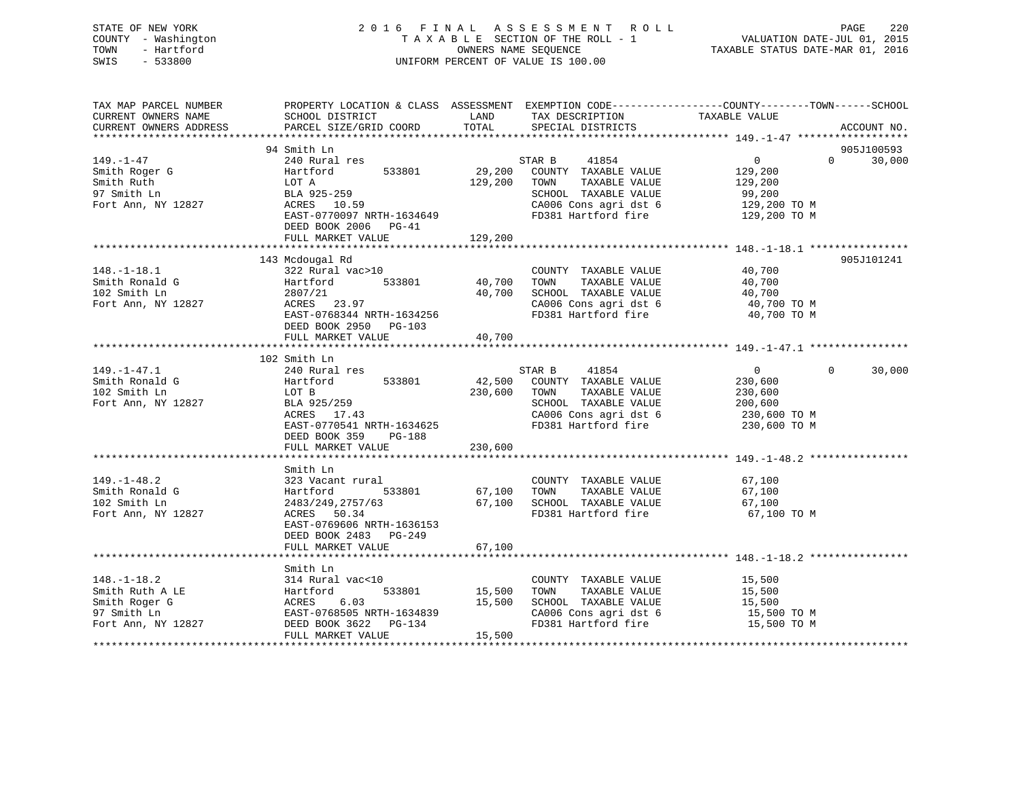| STATE OF NEW YORK<br>- Washington<br>COUNTY<br>TOWN<br>- Hartford<br>SWIS<br>$-533800$          | 2016 FINAL ASSESSMENT ROLL<br>T A X A B L E SECTION OF THE ROLL - 1 WALUATION DATE-JUL 01, 2015<br>OWNERS NAME SEOUENCE<br>UNIFORM PERCENT OF VALUE IS 100.00                                   |                         |                                                                                                                              | TAXABLE STATUS DATE-MAR 01, 2016                         | 220<br>PAGE                 |
|-------------------------------------------------------------------------------------------------|-------------------------------------------------------------------------------------------------------------------------------------------------------------------------------------------------|-------------------------|------------------------------------------------------------------------------------------------------------------------------|----------------------------------------------------------|-----------------------------|
| TAX MAP PARCEL NUMBER                                                                           | PROPERTY LOCATION & CLASS ASSESSMENT EXEMPTION CODE----------------COUNTY-------TOWN------SCHOOL                                                                                                |                         | LAND TAX DESCRIPTION TAXABLE VALUE<br>SPECIAL DISTRICTS                                                                      |                                                          | ACCOUNT NO.                 |
|                                                                                                 |                                                                                                                                                                                                 |                         |                                                                                                                              |                                                          |                             |
|                                                                                                 | 94 Smith Ln                                                                                                                                                                                     |                         |                                                                                                                              |                                                          | 905J100593<br>$\Omega$      |
| $149. - 1 - 47$<br>Smith Roger G<br>Smith Ruth<br>97 Smith Ln<br>Fort Ann, NY 12827 ACRES 10.59 | 240 Rural res<br>Hartford 533801 29,200 COUNTY TAXABLE VALUE<br>LOT A<br>BLA 925-259<br>EAST-0770097 NRTH-1634649 FD381 Hartford fire 129,200 TO M<br>DEED BOOK 2006 PG-41<br>FULL MARKET VALUE | 129,200 TOWN<br>129,200 | 41854<br>STAR B<br>TAXABLE VALUE<br>SCHOOL TAXABLE VALUE 99,200<br>CA006 Cons agri dst 6 129,200 TO M                        | $0 \qquad \qquad$<br>129,200<br>129,200                  | 30,000                      |
|                                                                                                 |                                                                                                                                                                                                 |                         |                                                                                                                              |                                                          |                             |
| $148. - 1 - 18.1$<br>Smith Ronald G<br>102 Smith Ln<br>Fort Ann, NY 12827                       | 143 Mcdougal Rd<br>322 Rural vac>10<br>533801 40,700<br>Hartford<br>2807/21<br>ACRES 23.97<br>EAST-0768344 NRTH-1634256<br>DEED BOOK 2950<br>$PG-103$                                           |                         | COUNTY TAXABLE VALUE<br>TOWN<br>TAXABLE VALUE<br>40,700 SCHOOL TAXABLE VALUE<br>CA006 Cons agri dst 6<br>FD381 Hartford fire | 40,700<br>40,700<br>40,700<br>40,700 TO M<br>40,700 TO M | 905J101241                  |
|                                                                                                 | FULL MARKET VALUE                                                                                                                                                                               | 40,700                  |                                                                                                                              |                                                          |                             |
|                                                                                                 | 102 Smith Ln                                                                                                                                                                                    |                         |                                                                                                                              |                                                          |                             |
| $149. - 1 - 47.1$<br>Smith Ronald G<br>102 Smith Ln                                             | 240 Rural res<br>Hartford<br>533801<br>LOT B                                                                                                                                                    | 230,600 TOWN            | 41854<br>STAR B<br>42,500 COUNTY TAXABLE VALUE<br>TAXABLE VALUE                                                              | $\Omega$<br>230,600<br>230,600                           | $0 \qquad \qquad$<br>30,000 |
|                                                                                                 |                                                                                                                                                                                                 |                         |                                                                                                                              |                                                          |                             |

| Fort Ann, NY 12827 | BLA 925/259                | SCHOOL TAXABLE VALUE               | 200,600     |  |
|--------------------|----------------------------|------------------------------------|-------------|--|
|                    | ACRES 17.43                | CA006 Cons agri dst 6 230,600 TO M |             |  |
|                    | EAST-0770541 NRTH-1634625  |                                    |             |  |
|                    | DEED BOOK 359 PG-188       |                                    |             |  |
|                    | FULL MARKET VALUE 230,600  |                                    |             |  |
|                    |                            |                                    |             |  |
|                    | Smith Ln                   |                                    |             |  |
| $149. - 1 - 48.2$  | 323 Vacant rural           | COUNTY<br>TAXABLE VALUE            | 67,100      |  |
| Smith Ronald G     | Hartford 533801 67,100     | TOWN<br>TAXABLE VALUE              | 67,100      |  |
| 102 Smith Ln       | $2483/249, 2757/63$ 67,100 | SCHOOL TAXABLE VALUE               | 67,100      |  |
| Fort Ann, NY 12827 | ACRES 50.34                | FD381 Hartford fire 67,100 TO M    |             |  |
|                    | EAST-0769606 NRTH-1636153  |                                    |             |  |
|                    | DEED BOOK 2483 PG-249      |                                    |             |  |
|                    | FULL MARKET VALUE 67,100   |                                    |             |  |
|                    |                            |                                    |             |  |
|                    | Smith Ln                   |                                    |             |  |
| $148. - 1 - 18.2$  | 314 Rural vac<10           | COUNTY TAXABLE VALUE               | 15,500      |  |
| Smith Ruth A LE    | Hartford 533801 15,500     | TOWN TAXABLE VALUE                 | 15,500      |  |
| Smith Roger G      | ACRES 6.03 15,500          | SCHOOL TAXABLE VALUE               | 15,500      |  |
| 97 Smith Ln        | EAST-0768505 NRTH-1634839  | CA006 Cons agri dst 6 15,500 TO M  |             |  |
| Fort Ann, NY 12827 | DEED BOOK 3622 PG-134      | FD381 Hartford fire                | 15,500 TO M |  |
|                    | FULL MARKET VALUE 15,500   |                                    |             |  |
|                    |                            |                                    |             |  |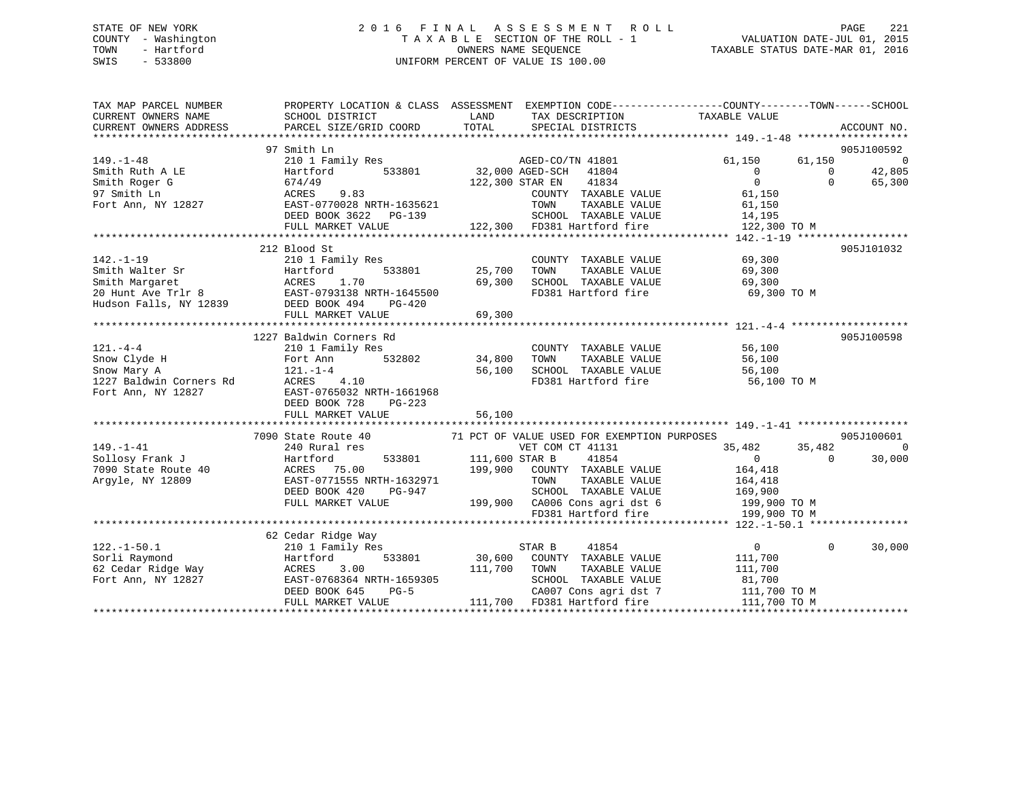## STATE OF NEW YORK 2 0 1 6 F I N A L A S S E S S M E N T R O L L PAGE 221 COUNTY - Washington T A X A B L E SECTION OF THE ROLL - 1 VALUATION DATE-JUL 01, 2015 TOWN - Hartford **TAXABLE STATUS DATE-MAR 01, 2016** OWNERS NAME SEQUENCE TAXABLE STATUS DATE-MAR 01, 2016 SWIS - 533800 UNIFORM PERCENT OF VALUE IS 100.00

| TAX MAP PARCEL NUMBER<br>CURRENT OWNERS NAME<br>CURRENT OWNERS ADDRESS | PROPERTY LOCATION & CLASS ASSESSMENT EXEMPTION CODE----------------COUNTY-------TOWN------SCHOOL<br>SCHOOL DISTRICT<br>PARCEL SIZE/GRID COORD                            | LAND<br>TOTAL  | TAX DESCRIPTION TAXABLE VALUE<br>SERCIAL DISTRICTS<br>SPECIAL DISTRICTS                                        |                  | ACCOUNT NO.           |
|------------------------------------------------------------------------|--------------------------------------------------------------------------------------------------------------------------------------------------------------------------|----------------|----------------------------------------------------------------------------------------------------------------|------------------|-----------------------|
|                                                                        | 97 Smith Ln                                                                                                                                                              |                |                                                                                                                |                  | 905J100592            |
| $149. - 1 - 48$                                                        | 210 1 Family Res                                                                                                                                                         |                | AGED-CO/TN 41801                                                                                               | 61,150<br>61,150 | $\overline{0}$        |
| Smith Ruth A LE                                                        | Hartford                                                                                                                                                                 |                | 533801 32,000 AGED-SCH 41804                                                                                   | $\overline{0}$   | 42,805<br>$\mathbf 0$ |
| Smith Roger G                                                          | 674/49                                                                                                                                                                   |                | 122,300 STAR EN<br>41834                                                                                       | $\overline{0}$   | $\Omega$<br>65,300    |
|                                                                        |                                                                                                                                                                          |                | COUNTY TAXABLE VALUE                                                                                           | 61,150           |                       |
|                                                                        |                                                                                                                                                                          |                | TAXABLE VALUE<br>TOWN                                                                                          | 61,150           |                       |
|                                                                        |                                                                                                                                                                          |                |                                                                                                                |                  |                       |
|                                                                        |                                                                                                                                                                          |                |                                                                                                                |                  |                       |
|                                                                        |                                                                                                                                                                          |                |                                                                                                                |                  |                       |
|                                                                        | 212 Blood St                                                                                                                                                             |                |                                                                                                                |                  | 905J101032            |
| $142. - 1 - 19$                                                        | 210 1 Family Res                                                                                                                                                         |                | COUNTY TAXABLE VALUE                                                                                           | 69,300           |                       |
|                                                                        |                                                                                                                                                                          | 533801 25,700  | TOWN<br>TAXABLE VALUE                                                                                          | 69,300           |                       |
|                                                                        | Framith Walter Sr<br>Smith Walter Sr<br>20 Hunt Ave Trlr 8<br>Hudson Falls, NY 12839<br>EED BOOK 494<br>PEED BOOK 494<br>PEED BOOK 494<br>PEED BOOK 494<br>PEED BOOK 494 | 69,300         | SCHOOL TAXABLE VALUE                                                                                           | 69,300           |                       |
|                                                                        |                                                                                                                                                                          |                | FD381 Hartford fire                                                                                            | 69,300 TO M      |                       |
|                                                                        |                                                                                                                                                                          |                |                                                                                                                |                  |                       |
|                                                                        | FULL MARKET VALUE                                                                                                                                                        | 69,300         |                                                                                                                |                  |                       |
|                                                                        |                                                                                                                                                                          |                |                                                                                                                |                  |                       |
|                                                                        | 1227 Baldwin Corners Rd                                                                                                                                                  |                |                                                                                                                |                  | 905J100598            |
| $121. - 4 - 4$                                                         | 210 1 Family Res                                                                                                                                                         |                | COUNTY TAXABLE VALUE 56,100                                                                                    |                  |                       |
| Snow Clyde H                                                           | 532802<br>Fort Ann                                                                                                                                                       | 34,800         | TOWN<br>TAXABLE VALUE                                                                                          | 56,100           |                       |
| Snow Mary A                                                            | $121. - 1 - 4$                                                                                                                                                           | 56,100         | SCHOOL TAXABLE VALUE 56,100                                                                                    |                  |                       |
| 1227 Baldwin Corners Rd                                                | ACRES 4.10<br>EAST-0765032 NRTH-1661968                                                                                                                                  |                | FD381 Hartford fire                                                                                            | 56,100 TO M      |                       |
| Fort Ann, NY 12827                                                     |                                                                                                                                                                          |                |                                                                                                                |                  |                       |
|                                                                        | DEED BOOK 728<br>PG-223                                                                                                                                                  |                |                                                                                                                |                  |                       |
|                                                                        | FULL MARKET VALUE                                                                                                                                                        | 56,100         |                                                                                                                |                  |                       |
|                                                                        |                                                                                                                                                                          |                |                                                                                                                |                  |                       |
|                                                                        | 7090 State Route 40                                                                                                                                                      |                | 71 PCT OF VALUE USED FOR EXEMPTION PURPOSES                                                                    |                  | 905J100601            |
| $149. - 1 - 41$                                                        | 240 Rural res                                                                                                                                                            |                | VET COM CT 41131                                                                                               | 35,482<br>35,482 | $\bigcirc$            |
| Sollosy Frank J                                                        | Hartford<br>40 MCRES 75.00<br>533801                                                                                                                                     | 111,600 STAR B | 41854                                                                                                          | $\sim$ 0         | 30,000<br>$\Omega$    |
| 7090 State Route 40                                                    |                                                                                                                                                                          |                | 199,900 COUNTY TAXABLE VALUE                                                                                   | 164,418          |                       |
| Argyle, NY 12809                                                       | EAST-0771555 NRTH-1632971                                                                                                                                                |                | TOWN<br>TAXABLE VALUE                                                                                          | 164,418          |                       |
|                                                                        | DEED BOOK 420<br>PG-947                                                                                                                                                  |                |                                                                                                                |                  |                       |
|                                                                        | FULL MARKET VALUE                                                                                                                                                        |                |                                                                                                                |                  |                       |
|                                                                        |                                                                                                                                                                          |                | SCHOOL TAXABLE VALUE 169,900<br>199,900 CA006 Cons agri dst 6 199,900 TO M<br>FD381 Hartford fire 199,900 TO M |                  |                       |
|                                                                        |                                                                                                                                                                          |                |                                                                                                                |                  |                       |
| $122. - 1 - 50.1$                                                      | 62 Cedar Ridge Way                                                                                                                                                       |                | STAR B<br>41854                                                                                                | $\overline{0}$   | $\Omega$<br>30,000    |
| Sorli Raymond                                                          | 210 1 Family Res<br>Hartford<br>533801                                                                                                                                   | 30,600         | COUNTY TAXABLE VALUE                                                                                           | 111,700          |                       |
|                                                                        |                                                                                                                                                                          | 111,700        | TOWN<br>TAXABLE VALUE                                                                                          | 111,700          |                       |
|                                                                        |                                                                                                                                                                          |                | SCHOOL TAXABLE VALUE                                                                                           | 81,700           |                       |
|                                                                        | DEED BOOK 645<br>$PG-5$                                                                                                                                                  |                | CA007 Cons agri dst 7                                                                                          | 111,700 TO M     |                       |
|                                                                        | FULL MARKET VALUE                                                                                                                                                        |                | 111,700 FD381 Hartford fire                                                                                    | 111,700 TO M     |                       |
|                                                                        |                                                                                                                                                                          |                |                                                                                                                |                  |                       |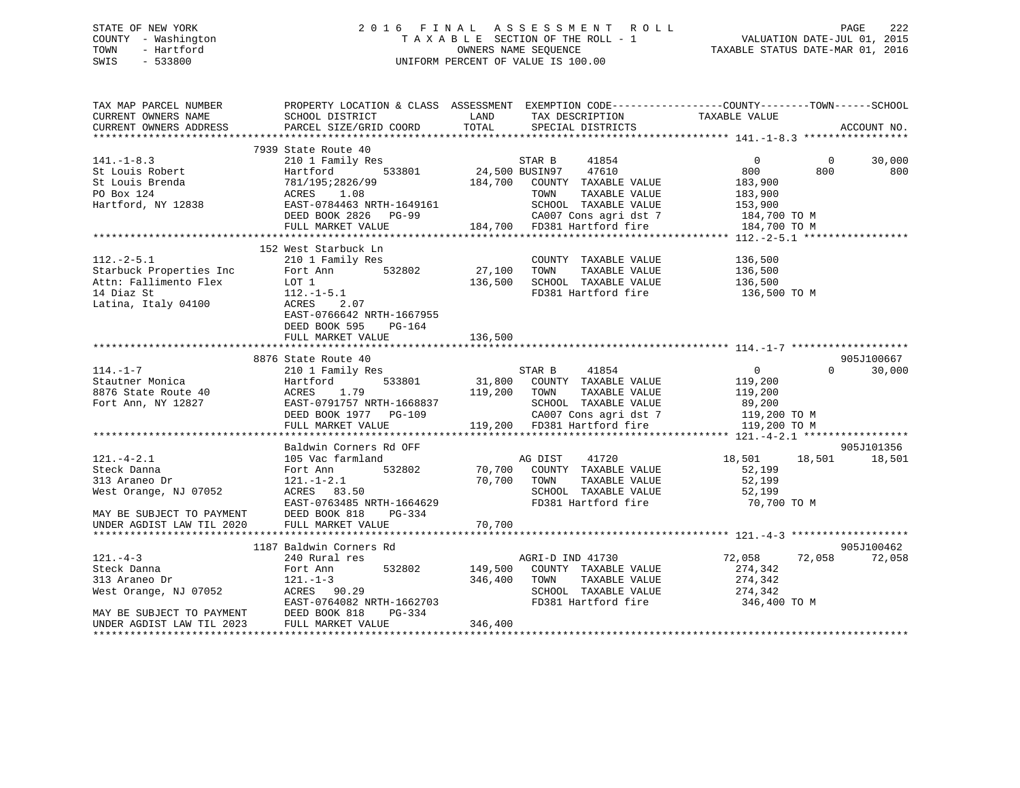## STATE OF NEW YORK 2 0 1 6 F I N A L A S S E S S M E N T R O L L PAGE 222 COUNTY - Washington T A X A B L E SECTION OF THE ROLL - 1 VALUATION DATE-JUL 01, 2015 TOWN - Hartford **TAXABLE STATUS DATE-MAR 01, 2016** OWNERS NAME SEQUENCE TAXABLE STATUS DATE-MAR 01, 2016 SWIS - 533800 UNIFORM PERCENT OF VALUE IS 100.00

| TAX MAP PARCEL NUMBER<br>CURRENT OWNERS NAME<br>CURRENT OWNERS ADDRESS                                               | SCHOOL DISTRICT<br>PARCEL SIZE/GRID COORD                                                                                        | LAND<br>TOTAL         | TAX DESCRIPTION<br>SPECIAL DISTRICTS                                                                                                                    | PROPERTY LOCATION & CLASS ASSESSMENT EXEMPTION CODE----------------COUNTY-------TOWN-----SCHOOL<br>TAXABLE VALUE | ACCOUNT NO.        |
|----------------------------------------------------------------------------------------------------------------------|----------------------------------------------------------------------------------------------------------------------------------|-----------------------|---------------------------------------------------------------------------------------------------------------------------------------------------------|------------------------------------------------------------------------------------------------------------------|--------------------|
|                                                                                                                      |                                                                                                                                  |                       |                                                                                                                                                         |                                                                                                                  |                    |
| $141. - 1 - 8.3$                                                                                                     | 7939 State Route 40<br>210 1 Family Res                                                                                          |                       | STAR B<br>41854                                                                                                                                         | $\overline{0}$<br>$\overline{0}$                                                                                 | 30,000             |
| St Louis Robert<br>St Louis Brenda<br>PO Box 124                                                                     | 533801<br>Hartford<br>781/195;2826/99<br>ACRES 1.08                                                                              |                       | 24,500 BUSIN97<br>47610<br>184,700 COUNTY TAXABLE VALUE<br>TOWN<br>TAXABLE VALUE                                                                        | 800<br>800<br>183,900<br>183,900                                                                                 | 800                |
| Hartford, NY 12838                                                                                                   | EAST-0784463 NRTH-1649161<br>DEED BOOK 2826<br>PG-99<br>FULL MARKET VALUE                                                        |                       | SCHOOL TAXABLE VALUE<br>CA007 Cons agri dst 7 184,700 TO M<br>184,700 FD381 Hartford fire                                                               | 153,900<br>184,700 TO M                                                                                          |                    |
|                                                                                                                      | 152 West Starbuck Ln                                                                                                             |                       |                                                                                                                                                         |                                                                                                                  |                    |
| $112.-2-5.1$<br>Starbuck Properties Inc Fort P<br>Attn: Fallimento Flex LOT 1<br>14 Diaz St<br>Latina, Italy 04100   | 210 1 Family Res<br>Fort Ann 532802<br>$112.-1-5.1$<br>-<br>ACRES<br>2.07<br>EAST-0766642 NRTH-1667955                           | 27,100<br>136,500     | COUNTY TAXABLE VALUE 136,500<br>TOWN TAXABLE VALUE<br>SCHOOL TAXABLE VALUE<br>FD381 Hartford fire                                                       | 136,500<br>136,500<br>136,500 TO M                                                                               |                    |
|                                                                                                                      | DEED BOOK 595<br>PG-164<br>FULL MARKET VALUE                                                                                     | 136,500               |                                                                                                                                                         |                                                                                                                  |                    |
|                                                                                                                      |                                                                                                                                  |                       |                                                                                                                                                         |                                                                                                                  |                    |
|                                                                                                                      | 8876 State Route 40                                                                                                              |                       |                                                                                                                                                         |                                                                                                                  | 905J100667         |
| $114. - 1 - 7$<br>Stautner Monica<br>8876 State Route 40                                                             | 210 1 Family Res<br>533801<br>Hartford<br>1.79<br>ACRES<br>Fort Ann, NY 12827 EAST-0791757 NRTH-1668837<br>DEED BOOK 1977 PG-109 | 119,200 TOWN          | 41854<br>STAR B<br>31,800 COUNTY TAXABLE VALUE 119,200<br>TAXABLE VALUE<br>SCHOOL TAXABLE VALUE<br>CA007 Cons agri dst 7<br>119,200 FD381 Hartford fire | $\overline{0}$<br>119,200<br>89,200<br>119,200 TO M                                                              | $\Omega$<br>30,000 |
|                                                                                                                      | FULL MARKET VALUE                                                                                                                |                       |                                                                                                                                                         | 119,200 TO M                                                                                                     |                    |
|                                                                                                                      | Baldwin Corners Rd OFF                                                                                                           |                       |                                                                                                                                                         |                                                                                                                  | 905J101356         |
| $121. - 4 - 2.1$<br>Steck Danna<br>313 Araneo Dr<br>West Orange, NJ 07052<br>MAY BE SUBJECT TO PAYMENT DEED BOOK 818 | 105 Vac farmland<br>532802<br>Fort Ann<br>$121. - 1 - 2.1$<br>ACRES 83.50<br>EAST-0763485 NRTH-1664629<br>PG-334                 | 70,700<br>70,700 TOWN | AG DIST 41720<br>COUNTY TAXABLE VALUE<br>TAXABLE VALUE<br>SCHOOL TAXABLE VALUE<br>FD381 Hartford fire                                                   | 18,501 18,501 18,501<br>52,199<br>52,199<br>52,199<br>70,700 TO M                                                |                    |
| UNDER AGDIST LAW TIL 2020                                                                                            | FULL MARKET VALUE                                                                                                                | 70,700                |                                                                                                                                                         |                                                                                                                  |                    |
|                                                                                                                      | 1187 Baldwin Corners Rd                                                                                                          |                       |                                                                                                                                                         |                                                                                                                  | 905J100462         |
| $121. -4-3$<br>Steck Danna<br>313 Araneo Dr<br>West Orange, NJ 07052                                                 | 240 Rural res<br>Fort Ann 532802<br>$121. - 1 - 3$<br>ACRES 90.29<br>EAST-0764082 NRTH-1662703                                   | 149,500<br>346,400    | AGRI-D IND 41730<br>COUNTY TAXABLE VALUE<br>TOWN<br>TAXABLE VALUE<br>SCHOOL TAXABLE VALUE<br>FD381 Hartford fire                                        | 72,058<br>72,058<br>274,342<br>274,342<br>274,342<br>346,400 TO M                                                | 72,058             |
| MAY BE SUBJECT TO PAYMENT DEED BOOK 818<br>UNDER AGDIST LAW TIL 2023                                                 | PG-334<br>FULL MARKET VALUE                                                                                                      | 346,400               |                                                                                                                                                         |                                                                                                                  |                    |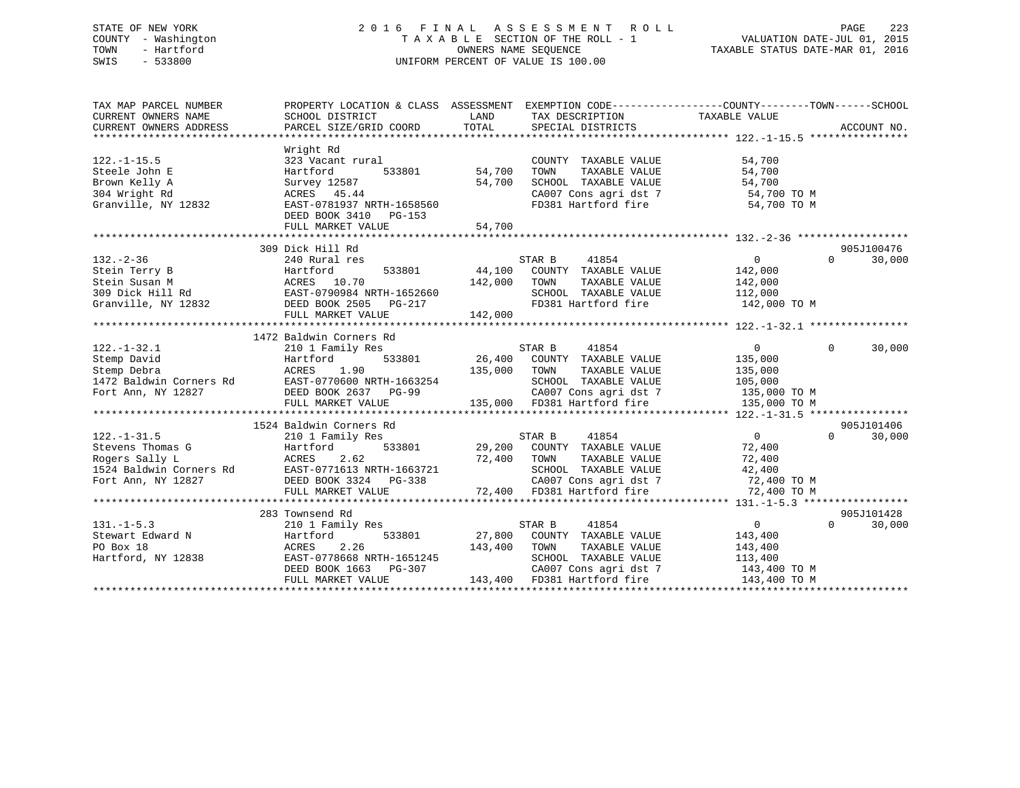## STATE OF NEW YORK 2 0 1 6 F I N A L A S S E S S M E N T R O L L PAGE 223 COUNTY - Washington T A X A B L E SECTION OF THE ROLL - 1 VALUATION DATE-JUL 01, 2015 TOWN - Hartford **TAXABLE STATUS DATE-MAR 01, 2016** OWNERS NAME SEQUENCE TAXABLE STATUS DATE-MAR 01, 2016 SWIS - 533800 UNIFORM PERCENT OF VALUE IS 100.00

| TAX MAP PARCEL NUMBER                                                                            | PROPERTY LOCATION & CLASS ASSESSMENT                                                                                                                                                                                                                                                                                                                              |                                                                                                                                                                                    | EXEMPTION CODE-----------------COUNTY-------TOWN------SCHOOL                                                                         |
|--------------------------------------------------------------------------------------------------|-------------------------------------------------------------------------------------------------------------------------------------------------------------------------------------------------------------------------------------------------------------------------------------------------------------------------------------------------------------------|------------------------------------------------------------------------------------------------------------------------------------------------------------------------------------|--------------------------------------------------------------------------------------------------------------------------------------|
| $122. - 1 - 15.5$<br>Steele John E<br>Brown Kelly A<br>304 Wright Rd<br>Granville, NY 12832      | Wright Rd<br>323 Vacant rural<br>Hartford<br>Survey 12587<br>ACRES 45.44<br>EAST-0781937 NRTH-1658560<br>DEED BOOK 3410 PG-153<br>FULL MARKET VALUE                                                                                                                                                                                                               | COUNTY TAXABLE VALUE<br>533801 54,700<br>TAXABLE VALUE<br>TOWN<br>54,700<br>SCHOOL TAXABLE VALUE<br>CA007 Cons agri dst 7 54,700 TO M<br>FD381 Hartford fire 54,700 TO M<br>54,700 | 54,700<br>54,700<br>54,700                                                                                                           |
|                                                                                                  | 309 Dick Hill Rd                                                                                                                                                                                                                                                                                                                                                  | STAR B<br>41854<br>44,100 COUNTY TAXABLE VALUE<br>TOWN<br>TAXABLE VALUE<br>SCHOOL TAXABLE VALUE 112,000<br>FD381 Hartford fire 142,000 TO M                                        | 905J100476<br>$\overline{0}$<br>$\Omega$<br>30,000<br>142,000<br>142,000                                                             |
|                                                                                                  |                                                                                                                                                                                                                                                                                                                                                                   |                                                                                                                                                                                    |                                                                                                                                      |
| $122. - 1 - 32.1$<br>Stemp David<br>Stemp Debra<br>1472 Baldwin Corners Rd<br>Fort Ann, NY 12827 | 1472 Baldwin Corners Rd<br>210 1 Family Res<br>533801<br>Hartford<br>1.90<br>ACRES<br>ACRES 1.90<br>EAST-0770600 NRTH-1663254<br>EAST-0770600 NRTH-1663254<br>DEED BOOK 2637 PG-99<br>FULL MARKET VALUE                                                                                                                                                           | STAR B<br>41854<br>26,400<br>COUNTY TAXABLE VALUE<br>135,000<br>TOWN<br>TAXABLE VALUE<br>SCHOOL TAXABLE VALUE<br>CA007 Cons agri dst 7<br>135,000 FD381 Hartford fire              | $\overline{0}$<br>$\Omega$<br>30,000<br>135,000<br>135,000<br>105,000<br>135,000 TO M<br>135,000 TO M                                |
|                                                                                                  | $\begin{tabular}{lllllllllllll} 22.-1-31.5 & \mbox{\sc 21.1\rm{--}} & \mbox{\sc 22.1\rm{--}} & \mbox{\sc 23.1\rm{--}} \\ \mbox{\sc 31.1\rm{--}} & \mbox{\sc 31.1\rm{--}} & \mbox{\sc 31.1\rm{--}} & \mbox{\sc 31.1\rm{--}} & \mbox{\sc 31.1\rm{--}} \\ \mbox{\sc 31.1\rm{--}} & \mbox{\sc 31.1\rm{--}} & \mbox{\sc 31.1\rm{--}} & \mbox{\sc 31.1\rm{--}} & \mbox$ | 41854<br>STAR B<br>533801 29,200 COUNTY TAXABLE VALUE<br>72,400 TOWN<br>TAXABLE VALUE<br>SCHOOL TAXABLE VALUE<br>72,400 FD381 Hartford fire                                        | 905J101406<br>$\overline{0}$<br>$\Omega$<br>30,000<br>72,400<br>72,400<br>42,400<br>CA007 Cons agri dst 7 72,400 TO M<br>72,400 TO M |
| $131. -1 - 5.3$<br>Stewart Edward N<br>PO Box 18<br>Hartford, NY 12838                           | 210 1 Family Res<br>Hartford<br>533801<br>ACRES<br>2.26<br>EAST-0778668 NRTH-1651245<br>DEED BOOK 1663 PG-307<br>FULL MARKET VALUE                                                                                                                                                                                                                                | 41854<br>STAR B<br>27,800 COUNTY TAXABLE VALUE<br>143,400<br>TOWN<br>TAXABLE VALUE<br>SCHOOL TAXABLE VALUE<br>CA007 Cons agri dst 7<br>143,400 FD381 Hartford fire                 | 905J101428<br>$\overline{0}$<br>$\Omega$<br>30,000<br>143,400<br>143,400<br>113,400<br>143,400 TO M<br>143,400 TO M                  |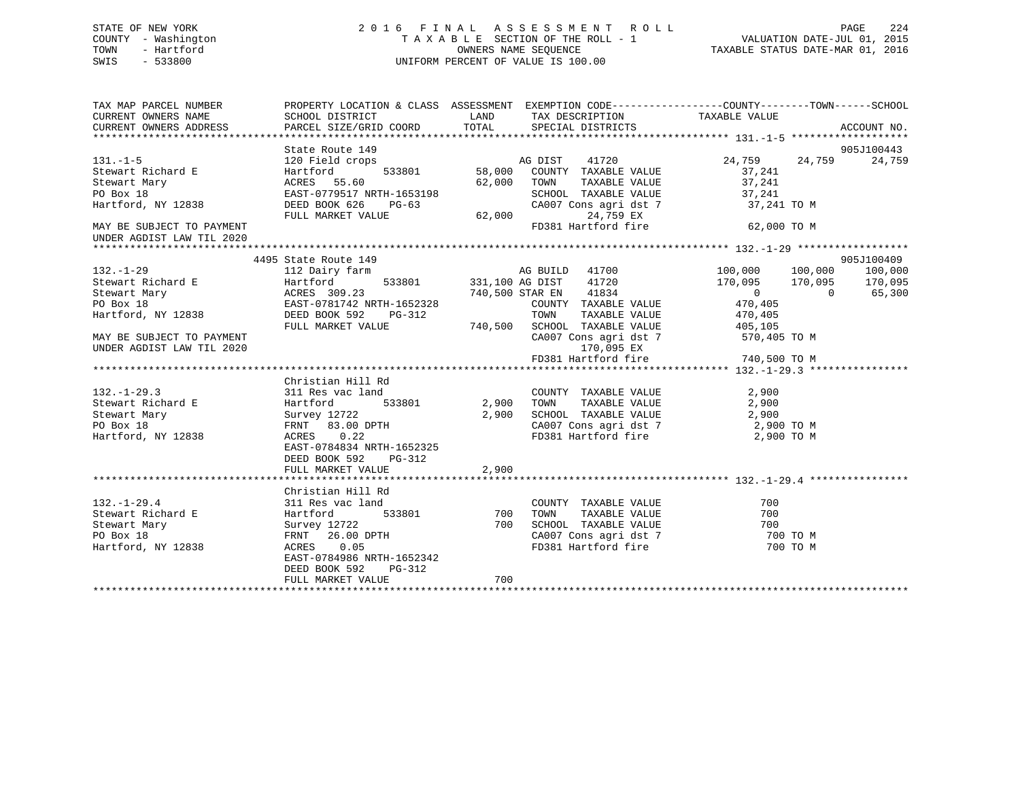## STATE OF NEW YORK 2 0 1 6 F I N A L A S S E S S M E N T R O L L PAGE 224 COUNTY - Washington T A X A B L E SECTION OF THE ROLL - 1 VALUATION DATE-JUL 01, 2015 TOWN - Hartford **TAXABLE STATUS DATE-MAR 01, 2016** OWNERS NAME SEQUENCE TAXABLE STATUS DATE-MAR 01, 2016 SWIS - 533800 UNIFORM PERCENT OF VALUE IS 100.00

| TAX MAP PARCEL NUMBER                                                                                                                                                                                                                                 | PROPERTY LOCATION & CLASS ASSESSMENT EXEMPTION CODE-----------------COUNTY-------TOWN------SCHOOL                                                                                                                                                                                                      |       |                                    |                                                                  |             |
|-------------------------------------------------------------------------------------------------------------------------------------------------------------------------------------------------------------------------------------------------------|--------------------------------------------------------------------------------------------------------------------------------------------------------------------------------------------------------------------------------------------------------------------------------------------------------|-------|------------------------------------|------------------------------------------------------------------|-------------|
| CURRENT OWNERS NAME SCHOOL DISTRICT                                                                                                                                                                                                                   |                                                                                                                                                                                                                                                                                                        |       | LAND TAX DESCRIPTION TAXABLE VALUE |                                                                  |             |
| CURRENT OWNERS ADDRESS                                                                                                                                                                                                                                | PARCEL SIZE/GRID COORD TOTAL SPECIAL DISTRICTS                                                                                                                                                                                                                                                         |       |                                    |                                                                  | ACCOUNT NO. |
|                                                                                                                                                                                                                                                       |                                                                                                                                                                                                                                                                                                        |       |                                    |                                                                  |             |
|                                                                                                                                                                                                                                                       | 37,241<br>2838 Field Crops<br>24,759<br>24,759<br>24,759<br>24,759<br>24,759<br>24,759<br>24,759<br>24,759<br>24,759<br>24,759<br>24,759<br>24,759<br>24,759<br>24,759<br>24,759<br>24,759<br>24,759<br>24,759<br>24,759<br>24,241<br>27,241<br>27,241<br>EAST-0779517 NRTH-16                         |       |                                    |                                                                  | 905J100443  |
| $131. -1 - 5$                                                                                                                                                                                                                                         |                                                                                                                                                                                                                                                                                                        |       |                                    | $24,759$ $24,759$ $24,759$ $24,759$                              |             |
| Stewart Richard E                                                                                                                                                                                                                                     |                                                                                                                                                                                                                                                                                                        |       |                                    |                                                                  |             |
| Stewart Mary                                                                                                                                                                                                                                          |                                                                                                                                                                                                                                                                                                        |       |                                    |                                                                  |             |
| PO Box 18                                                                                                                                                                                                                                             |                                                                                                                                                                                                                                                                                                        |       |                                    | SCHOOL TAXABLE VALUE 37,241<br>CA007 Cons agri dst 7 37,241 TO M |             |
| Hartford, NY 12838                                                                                                                                                                                                                                    |                                                                                                                                                                                                                                                                                                        |       |                                    |                                                                  |             |
|                                                                                                                                                                                                                                                       |                                                                                                                                                                                                                                                                                                        |       |                                    |                                                                  |             |
| MAY BE SUBJECT TO PAYMENT                                                                                                                                                                                                                             |                                                                                                                                                                                                                                                                                                        |       |                                    | FD381 Hartford fire 62,000 TO M                                  |             |
| UNDER AGDIST LAW TIL 2020                                                                                                                                                                                                                             |                                                                                                                                                                                                                                                                                                        |       |                                    |                                                                  |             |
|                                                                                                                                                                                                                                                       |                                                                                                                                                                                                                                                                                                        |       |                                    |                                                                  |             |
|                                                                                                                                                                                                                                                       | 4495 State Route 149                                                                                                                                                                                                                                                                                   |       |                                    |                                                                  | 905J100409  |
| $132. - 1 - 29$                                                                                                                                                                                                                                       | 112 Dairy farm                                                                                                                                                                                                                                                                                         |       | AG BUILD 41700                     | 100,000 100,000 100,000                                          |             |
|                                                                                                                                                                                                                                                       |                                                                                                                                                                                                                                                                                                        |       |                                    |                                                                  |             |
|                                                                                                                                                                                                                                                       |                                                                                                                                                                                                                                                                                                        |       |                                    |                                                                  |             |
| 132.-1-29<br>Stewart Richard E<br>Stewart Mary ACRES 309.23<br>FO Box 18<br>Hartford, NY 12838<br>Hartford, NY 12838<br>STEED BOOK 592<br>PULL MARKET VALUE<br>FULL MARKET VALUE<br>FULL MARKET VALUE<br>FULL MARKET VALUE<br>FULL MARKET VALUE<br>TA |                                                                                                                                                                                                                                                                                                        |       |                                    |                                                                  |             |
|                                                                                                                                                                                                                                                       |                                                                                                                                                                                                                                                                                                        |       |                                    |                                                                  |             |
|                                                                                                                                                                                                                                                       |                                                                                                                                                                                                                                                                                                        |       |                                    |                                                                  |             |
| MAY BE SUBJECT TO PAYMENT                                                                                                                                                                                                                             |                                                                                                                                                                                                                                                                                                        |       |                                    | CA007 Cons agri dst 7 570,405 TO M                               |             |
| UNDER AGDIST LAW TIL 2020                                                                                                                                                                                                                             |                                                                                                                                                                                                                                                                                                        |       | 170,095 EX                         |                                                                  |             |
|                                                                                                                                                                                                                                                       |                                                                                                                                                                                                                                                                                                        |       |                                    | FD381 Hartford fire 740,500 TO M                                 |             |
|                                                                                                                                                                                                                                                       |                                                                                                                                                                                                                                                                                                        |       |                                    |                                                                  |             |
|                                                                                                                                                                                                                                                       | Christian Hill Rd                                                                                                                                                                                                                                                                                      |       |                                    |                                                                  |             |
| $132. - 1 - 29.3$                                                                                                                                                                                                                                     | 311 Res vac land                                                                                                                                                                                                                                                                                       |       | COUNTY TAXABLE VALUE 2,900         |                                                                  |             |
|                                                                                                                                                                                                                                                       |                                                                                                                                                                                                                                                                                                        |       |                                    |                                                                  |             |
|                                                                                                                                                                                                                                                       |                                                                                                                                                                                                                                                                                                        |       |                                    |                                                                  |             |
|                                                                                                                                                                                                                                                       |                                                                                                                                                                                                                                                                                                        |       |                                    | CA007 Cons agri dst 7 2,900 TO M                                 |             |
| Hartford, NY 12838                                                                                                                                                                                                                                    | FRNT 83.00 DPTH 2,90<br>ACRES 0.22<br>FAST-0704001                                                                                                                                                                                                                                                     |       |                                    | FD381 Hartford fire 2,900 TO M                                   |             |
|                                                                                                                                                                                                                                                       | EAST-0784834 NRTH-1652325                                                                                                                                                                                                                                                                              |       |                                    |                                                                  |             |
|                                                                                                                                                                                                                                                       | DEED BOOK 592<br>PG-312                                                                                                                                                                                                                                                                                |       |                                    |                                                                  |             |
|                                                                                                                                                                                                                                                       | FULL MARKET VALUE                                                                                                                                                                                                                                                                                      | 2,900 |                                    |                                                                  |             |
|                                                                                                                                                                                                                                                       |                                                                                                                                                                                                                                                                                                        |       |                                    |                                                                  |             |
|                                                                                                                                                                                                                                                       | Christian Hill Rd                                                                                                                                                                                                                                                                                      |       |                                    |                                                                  |             |
| $132. - 1 - 29.4$                                                                                                                                                                                                                                     |                                                                                                                                                                                                                                                                                                        |       |                                    | 700                                                              |             |
|                                                                                                                                                                                                                                                       |                                                                                                                                                                                                                                                                                                        |       | TAXABLE VALUE                      | 700                                                              |             |
| 132.-1-22<br>Stewart Richard E<br>Circunt Mary                                                                                                                                                                                                        | 311 Res vac land<br>Hartford 533801 700 TOWN TAXABLE VALUE<br>Survey 12722 700 SCHOOL TAXABLE VALUE<br>FRNT 26.00 DPTH CA007 Cons agri dst 7<br>ACRES 0.05<br>FRNT 26.00 DPTH CA007 Cons agri dst 7<br>FD381 Hartford fire<br>311 Res vac 1a<br>Hartford<br>Survey 12722<br>FRNT 26.00 I<br>ACRES 0.05 |       |                                    | 700                                                              |             |
| PO Box 18                                                                                                                                                                                                                                             |                                                                                                                                                                                                                                                                                                        |       |                                    | CA007 Cons agri dst 7 700 TO M                                   |             |
| Hartford, NY 12838                                                                                                                                                                                                                                    |                                                                                                                                                                                                                                                                                                        |       | FD381 Hartford fire                | 700 TO M                                                         |             |
|                                                                                                                                                                                                                                                       | EAST-0784986 NRTH-1652342                                                                                                                                                                                                                                                                              |       |                                    |                                                                  |             |
|                                                                                                                                                                                                                                                       | DEED BOOK 592<br>PG-312                                                                                                                                                                                                                                                                                |       |                                    |                                                                  |             |
|                                                                                                                                                                                                                                                       | FULL MARKET VALUE                                                                                                                                                                                                                                                                                      | 700   |                                    |                                                                  |             |
|                                                                                                                                                                                                                                                       |                                                                                                                                                                                                                                                                                                        |       |                                    |                                                                  |             |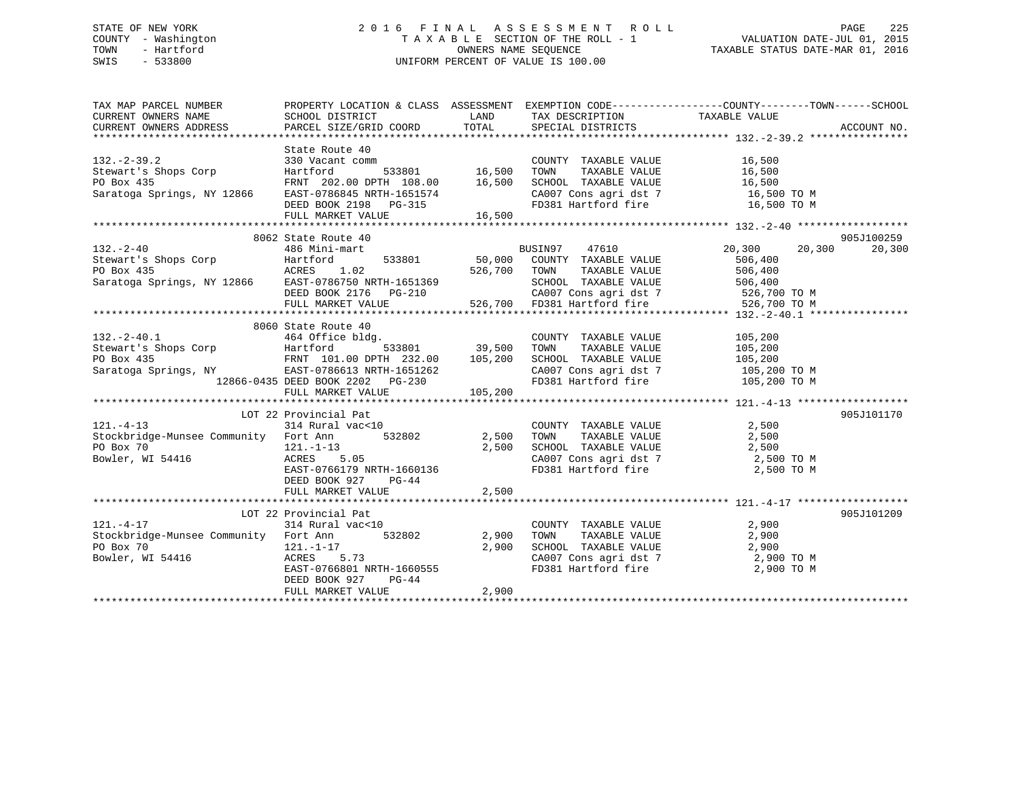## STATE OF NEW YORK 2 0 1 6 F I N A L A S S E S S M E N T R O L L PAGE 225 COUNTY - Washington T A X A B L E SECTION OF THE ROLL - 1 VALUATION DATE-JUL 01, 2015 TOWN - Hartford **TAXABLE STATUS DATE-MAR 01, 2016** OWNERS NAME SEQUENCE TAXABLE STATUS DATE-MAR 01, 2016 SWIS - 533800 UNIFORM PERCENT OF VALUE IS 100.00

| TAX MAP PARCEL NUMBER                                                                                                                                                                                                                                    | PROPERTY LOCATION & CLASS ASSESSMENT EXEMPTION CODE-----------------COUNTY-------TOWN------SCHOOL |       |                                                                                                                                                                                                                                                                                   |               |            |
|----------------------------------------------------------------------------------------------------------------------------------------------------------------------------------------------------------------------------------------------------------|---------------------------------------------------------------------------------------------------|-------|-----------------------------------------------------------------------------------------------------------------------------------------------------------------------------------------------------------------------------------------------------------------------------------|---------------|------------|
|                                                                                                                                                                                                                                                          |                                                                                                   |       |                                                                                                                                                                                                                                                                                   |               |            |
|                                                                                                                                                                                                                                                          |                                                                                                   |       |                                                                                                                                                                                                                                                                                   |               |            |
|                                                                                                                                                                                                                                                          |                                                                                                   |       |                                                                                                                                                                                                                                                                                   |               |            |
| 330 Vacant comm<br>State Route 40<br>Stewart's Shops Corp<br>PO Box 435<br>Saratoga Springs, NY 12866<br>EAST-0786845 NRTH-1651574<br>DEED BOOK 2198<br>PO BOX 2198<br>PO BOX 2198<br>PO BOX 2198<br>PO BOX 2198<br>PO BOX 2198<br>PO BOX 2198<br>PO BOX | State Route 40                                                                                    |       |                                                                                                                                                                                                                                                                                   |               |            |
|                                                                                                                                                                                                                                                          |                                                                                                   |       |                                                                                                                                                                                                                                                                                   |               |            |
|                                                                                                                                                                                                                                                          |                                                                                                   |       |                                                                                                                                                                                                                                                                                   |               |            |
|                                                                                                                                                                                                                                                          |                                                                                                   |       |                                                                                                                                                                                                                                                                                   |               |            |
|                                                                                                                                                                                                                                                          |                                                                                                   |       | CA007 Cons agri dst 7 16,500 TO M<br>FD381 Hartford fire 16,500 TO M                                                                                                                                                                                                              |               |            |
|                                                                                                                                                                                                                                                          |                                                                                                   |       |                                                                                                                                                                                                                                                                                   |               |            |
|                                                                                                                                                                                                                                                          |                                                                                                   |       |                                                                                                                                                                                                                                                                                   |               |            |
|                                                                                                                                                                                                                                                          |                                                                                                   |       |                                                                                                                                                                                                                                                                                   |               |            |
|                                                                                                                                                                                                                                                          | 8062 State Route 40                                                                               |       |                                                                                                                                                                                                                                                                                   |               | 905J100259 |
|                                                                                                                                                                                                                                                          |                                                                                                   |       |                                                                                                                                                                                                                                                                                   | 20,300 20,300 | 20,300     |
|                                                                                                                                                                                                                                                          |                                                                                                   |       |                                                                                                                                                                                                                                                                                   |               |            |
|                                                                                                                                                                                                                                                          |                                                                                                   |       |                                                                                                                                                                                                                                                                                   |               |            |
|                                                                                                                                                                                                                                                          |                                                                                                   |       |                                                                                                                                                                                                                                                                                   |               |            |
|                                                                                                                                                                                                                                                          |                                                                                                   |       |                                                                                                                                                                                                                                                                                   |               |            |
|                                                                                                                                                                                                                                                          |                                                                                                   |       |                                                                                                                                                                                                                                                                                   |               |            |
|                                                                                                                                                                                                                                                          |                                                                                                   |       |                                                                                                                                                                                                                                                                                   |               |            |
|                                                                                                                                                                                                                                                          | 8060 State Route 40                                                                               |       |                                                                                                                                                                                                                                                                                   |               |            |
|                                                                                                                                                                                                                                                          |                                                                                                   |       |                                                                                                                                                                                                                                                                                   |               |            |
|                                                                                                                                                                                                                                                          |                                                                                                   |       |                                                                                                                                                                                                                                                                                   |               |            |
| 32.-2-40.1 00000 3date Route 40<br>Stewart's Shops Corp<br>PO Box 435<br>Stewart's Shops Corp<br>EXST-0786613 NRTH-1651262<br>200 EAST-0786613 NRTH-1651262<br>200 CA007 Cons agri dst 7 105,200 TOM CANABLE VALUE<br>200 CA007 Cons agri ds             |                                                                                                   |       |                                                                                                                                                                                                                                                                                   |               |            |
|                                                                                                                                                                                                                                                          |                                                                                                   |       |                                                                                                                                                                                                                                                                                   |               |            |
|                                                                                                                                                                                                                                                          |                                                                                                   |       |                                                                                                                                                                                                                                                                                   |               |            |
|                                                                                                                                                                                                                                                          | FULL MARKET VALUE 105,200                                                                         |       |                                                                                                                                                                                                                                                                                   |               |            |
|                                                                                                                                                                                                                                                          |                                                                                                   |       |                                                                                                                                                                                                                                                                                   |               |            |
|                                                                                                                                                                                                                                                          | LOT 22 Provincial Pat                                                                             |       |                                                                                                                                                                                                                                                                                   |               | 905J101170 |
| $121. - 4 - 13$                                                                                                                                                                                                                                          | 314 Rural vac<10                                                                                  |       | COUNTY TAXABLE VALUE 2,500                                                                                                                                                                                                                                                        |               |            |
|                                                                                                                                                                                                                                                          |                                                                                                   |       |                                                                                                                                                                                                                                                                                   |               |            |
|                                                                                                                                                                                                                                                          |                                                                                                   |       |                                                                                                                                                                                                                                                                                   |               |            |
| 2,500 TOWN TAXABLE VALUE 2,500<br>PO Box 70 121.-1-13 2,500 2,500 SCHOOL TAXABLE VALUE 2,500<br>Bowler, WI 54416 ACRES 5.05<br>EAST-0766179 NRTH-1660136 FD381 Hartford fire 2,500 TOWN 2,500 CA007 Cons agri dst 7 2,500 TOWN                           |                                                                                                   |       |                                                                                                                                                                                                                                                                                   |               |            |
|                                                                                                                                                                                                                                                          |                                                                                                   |       |                                                                                                                                                                                                                                                                                   |               |            |
|                                                                                                                                                                                                                                                          | DEED BOOK 927<br>PG-44                                                                            |       |                                                                                                                                                                                                                                                                                   |               |            |
|                                                                                                                                                                                                                                                          | FULL MARKET VALUE                                                                                 | 2,500 |                                                                                                                                                                                                                                                                                   |               |            |
|                                                                                                                                                                                                                                                          |                                                                                                   |       |                                                                                                                                                                                                                                                                                   |               |            |
|                                                                                                                                                                                                                                                          | Provincial Pat<br>314 Rural vac<10<br>LOT 22 Provincial Pat                                       |       |                                                                                                                                                                                                                                                                                   |               | 905J101209 |
| $121. - 4 - 17$                                                                                                                                                                                                                                          |                                                                                                   |       |                                                                                                                                                                                                                                                                                   |               |            |
| Stockbridge-Munsee Community Fort Ann 532802 2,900 TOWN                                                                                                                                                                                                  |                                                                                                   |       | $\begin{tabular}{lllllllllll} \multicolumn{2}{c}{\text{COUNTY}} & \text{TAXABLE VALUE} & & & & 2,900 \\ \multicolumn{2}{c}{2,900} & \text{TOWN} & \text{TAXABLE VALUE} & & & 2,900 \\ \multicolumn{2}{c}{2,900} & \text{SCHOOL} & \text{TAXABLE VALUE} & & & 2,900 \end{tabular}$ |               |            |
| PO Box 70<br>Bowler, WI 54416<br>Bowler, WI 54416<br>Bowler, WI 54416<br>Bowler, WI 54416<br>Bowler, WI 54416<br>Bowler, WI 54416                                                                                                                        |                                                                                                   |       |                                                                                                                                                                                                                                                                                   |               |            |
|                                                                                                                                                                                                                                                          |                                                                                                   |       | CA007 Cons agri dst 7 and 2,900 TO M<br>FD381 Hartford fire 2,900 TO M                                                                                                                                                                                                            |               |            |
|                                                                                                                                                                                                                                                          |                                                                                                   |       |                                                                                                                                                                                                                                                                                   |               |            |
|                                                                                                                                                                                                                                                          | $PG-44$<br>DEED BOOK 927                                                                          |       |                                                                                                                                                                                                                                                                                   |               |            |
|                                                                                                                                                                                                                                                          | FULL MARKET VALUE                                                                                 | 2,900 |                                                                                                                                                                                                                                                                                   |               |            |
|                                                                                                                                                                                                                                                          |                                                                                                   |       |                                                                                                                                                                                                                                                                                   |               |            |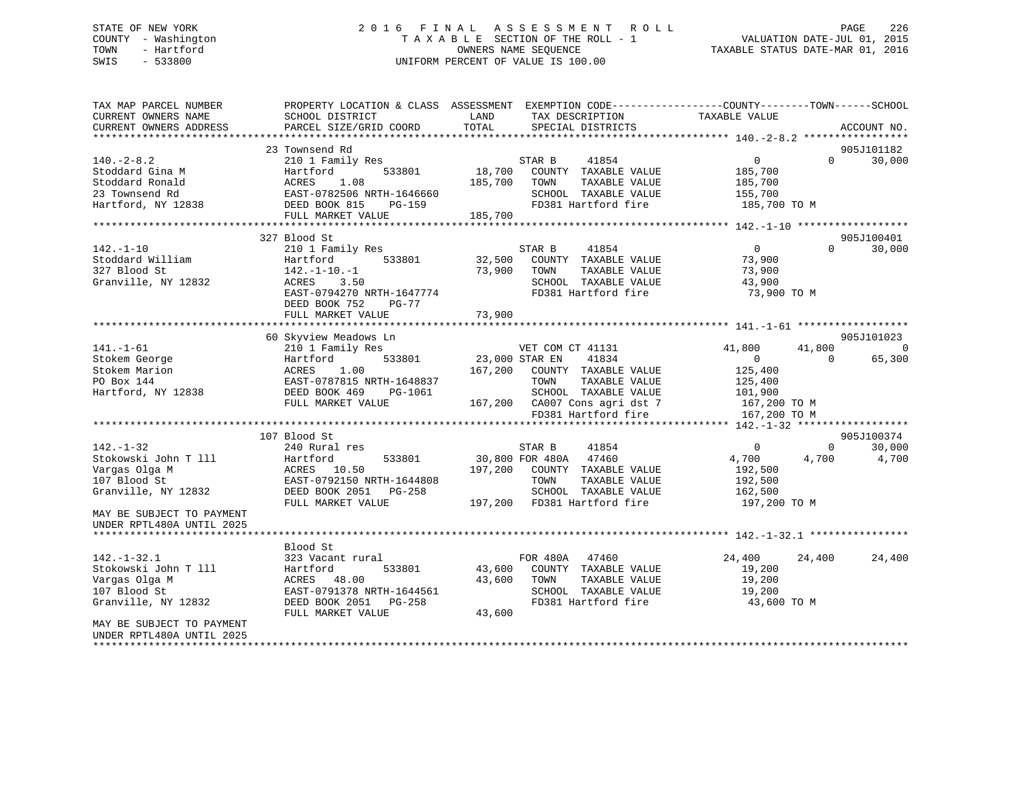## STATE OF NEW YORK 2 0 1 6 F I N A L A S S E S S M E N T R O L L PAGE 226 COUNTY - Washington T A X A B L E SECTION OF THE ROLL - 1 VALUATION DATE-JUL 01, 2015 TOWN - Hartford **TAXABLE STATUS DATE-MAR 01, 2016** OWNERS NAME SEQUENCE TAXABLE STATUS DATE-MAR 01, 2016 SWIS - 533800 UNIFORM PERCENT OF VALUE IS 100.00

| TAX MAP PARCEL NUMBER<br>CURRENT OWNERS NAME<br>CURRENT OWNERS ADDRESS | PROPERTY LOCATION & CLASS ASSESSMENT<br>SCHOOL DISTRICT<br>PARCEL SIZE/GRID COORD | LAND<br>TOTAL     | EXEMPTION CODE-----------------COUNTY-------TOWN------SCHOOL<br>TAX DESCRIPTION<br>SPECIAL DISTRICTS | TAXABLE VALUE      |          | ACCOUNT NO. |
|------------------------------------------------------------------------|-----------------------------------------------------------------------------------|-------------------|------------------------------------------------------------------------------------------------------|--------------------|----------|-------------|
| **********************                                                 |                                                                                   |                   |                                                                                                      |                    |          |             |
|                                                                        | 23 Townsend Rd                                                                    |                   |                                                                                                      |                    |          | 905J101182  |
| $140. -2 - 8.2$                                                        | 210 1 Family Res                                                                  |                   | 41854<br>STAR B                                                                                      | $\overline{0}$     | $\Omega$ | 30,000      |
| Stoddard Gina M<br>Stoddard Ronald                                     | 533801<br>Hartford<br>1.08<br>ACRES                                               | 18,700<br>185,700 | COUNTY TAXABLE VALUE<br>TOWN<br>TAXABLE VALUE                                                        | 185,700<br>185,700 |          |             |
| 23 Townsend Rd                                                         | EAST-0782506 NRTH-1646660                                                         |                   | SCHOOL TAXABLE VALUE                                                                                 | 155,700            |          |             |
| Hartford, NY 12838                                                     | DEED BOOK 815<br>PG-159                                                           |                   | FD381 Hartford fire                                                                                  | 185,700 TO M       |          |             |
|                                                                        | FULL MARKET VALUE                                                                 | 185,700           |                                                                                                      |                    |          |             |
|                                                                        |                                                                                   |                   |                                                                                                      |                    |          |             |
|                                                                        | 327 Blood St                                                                      |                   |                                                                                                      |                    |          | 905J100401  |
| $142. - 1 - 10$                                                        | 210 1 Family Res                                                                  |                   | STAR B<br>41854                                                                                      | $\overline{0}$     | $\Omega$ | 30,000      |
| Stoddard William                                                       | 533801<br>Hartford                                                                | 32,500            | COUNTY TAXABLE VALUE                                                                                 | 73,900             |          |             |
| 327 Blood St                                                           | $142. - 1 - 10. - 1$                                                              | 73,900            | TOWN<br>TAXABLE VALUE                                                                                | 73,900             |          |             |
| Granville, NY 12832                                                    | ACRES<br>3.50                                                                     |                   | SCHOOL TAXABLE VALUE                                                                                 | 43,900             |          |             |
|                                                                        | EAST-0794270 NRTH-1647774                                                         |                   | FD381 Hartford fire                                                                                  | 73,900 TO M        |          |             |
|                                                                        | DEED BOOK 752<br>PG-77                                                            |                   |                                                                                                      |                    |          |             |
|                                                                        | FULL MARKET VALUE                                                                 | 73,900            |                                                                                                      |                    |          |             |
|                                                                        |                                                                                   |                   |                                                                                                      |                    |          |             |
|                                                                        | 60 Skyview Meadows Ln                                                             |                   |                                                                                                      |                    |          | 905J101023  |
| $141. - 1 - 61$                                                        | 210 1 Family Res                                                                  |                   | VET COM CT 41131                                                                                     | 41,800             | 41,800   | $\Omega$    |
| Stokem George                                                          | Hartford<br>533801                                                                |                   | 23,000 STAR EN<br>41834                                                                              | $\Omega$           | $\Omega$ | 65,300      |
| Stokem Marion                                                          | 1.00<br>ACRES                                                                     | 167,200           | COUNTY TAXABLE VALUE                                                                                 | 125,400            |          |             |
| PO Box 144                                                             | EAST-0787815 NRTH-1648837                                                         |                   | TAXABLE VALUE<br>TOWN                                                                                | 125,400            |          |             |
| Hartford, NY 12838                                                     | DEED BOOK 469<br>PG-1061                                                          |                   | SCHOOL TAXABLE VALUE                                                                                 | 101,900            |          |             |
|                                                                        | FULL MARKET VALUE                                                                 | 167,200           | CA007 Cons agri dst 7<br>FD381 Hartford fire                                                         | 167,200 TO M       |          |             |
|                                                                        |                                                                                   |                   |                                                                                                      | 167,200 TO M       |          |             |
|                                                                        | 107 Blood St                                                                      |                   |                                                                                                      |                    |          | 905J100374  |
| $142. - 1 - 32$                                                        | 240 Rural res                                                                     |                   | STAR B<br>41854                                                                                      | $\Omega$           | $\Omega$ | 30,000      |
| Stokowski John T 111                                                   | 533801<br>Hartford                                                                |                   | 30,800 FOR 480A<br>47460                                                                             | 4,700              | 4,700    | 4,700       |
| Vargas Olga M                                                          | ACRES<br>10.50                                                                    | 197,200           | COUNTY TAXABLE VALUE                                                                                 | 192,500            |          |             |
| 107 Blood St                                                           | EAST-0792150 NRTH-1644808                                                         |                   | TOWN<br>TAXABLE VALUE                                                                                | 192,500            |          |             |
| Granville, NY 12832                                                    | DEED BOOK 2051<br>$PG-258$                                                        |                   | SCHOOL TAXABLE VALUE                                                                                 | 162,500            |          |             |
|                                                                        | FULL MARKET VALUE                                                                 | 197,200           | FD381 Hartford fire                                                                                  | 197,200 TO M       |          |             |
| MAY BE SUBJECT TO PAYMENT                                              |                                                                                   |                   |                                                                                                      |                    |          |             |
| UNDER RPTL480A UNTIL 2025                                              |                                                                                   |                   |                                                                                                      |                    |          |             |
|                                                                        |                                                                                   |                   |                                                                                                      |                    |          |             |
|                                                                        | Blood St                                                                          |                   |                                                                                                      |                    |          |             |
| $142. - 1 - 32.1$                                                      | 323 Vacant rural                                                                  |                   | FOR 480A<br>47460                                                                                    | 24,400             | 24,400   | 24,400      |
| Stokowski John T 111                                                   | 533801<br>Hartford                                                                | 43,600            | COUNTY TAXABLE VALUE                                                                                 | 19,200             |          |             |
| Vargas Olga M                                                          | 48.00<br>ACRES                                                                    | 43,600            | TAXABLE VALUE<br>TOWN                                                                                | 19,200             |          |             |
| 107 Blood St                                                           | EAST-0791378 NRTH-1644561                                                         |                   | SCHOOL TAXABLE VALUE                                                                                 | 19,200             |          |             |
| Granville, NY 12832                                                    | DEED BOOK 2051<br>$PG-258$                                                        |                   | FD381 Hartford fire                                                                                  | 43,600 TO M        |          |             |
| MAY BE SUBJECT TO PAYMENT                                              | FULL MARKET VALUE                                                                 | 43,600            |                                                                                                      |                    |          |             |
| UNDER RPTL480A UNTIL 2025                                              |                                                                                   |                   |                                                                                                      |                    |          |             |
|                                                                        |                                                                                   |                   |                                                                                                      |                    |          |             |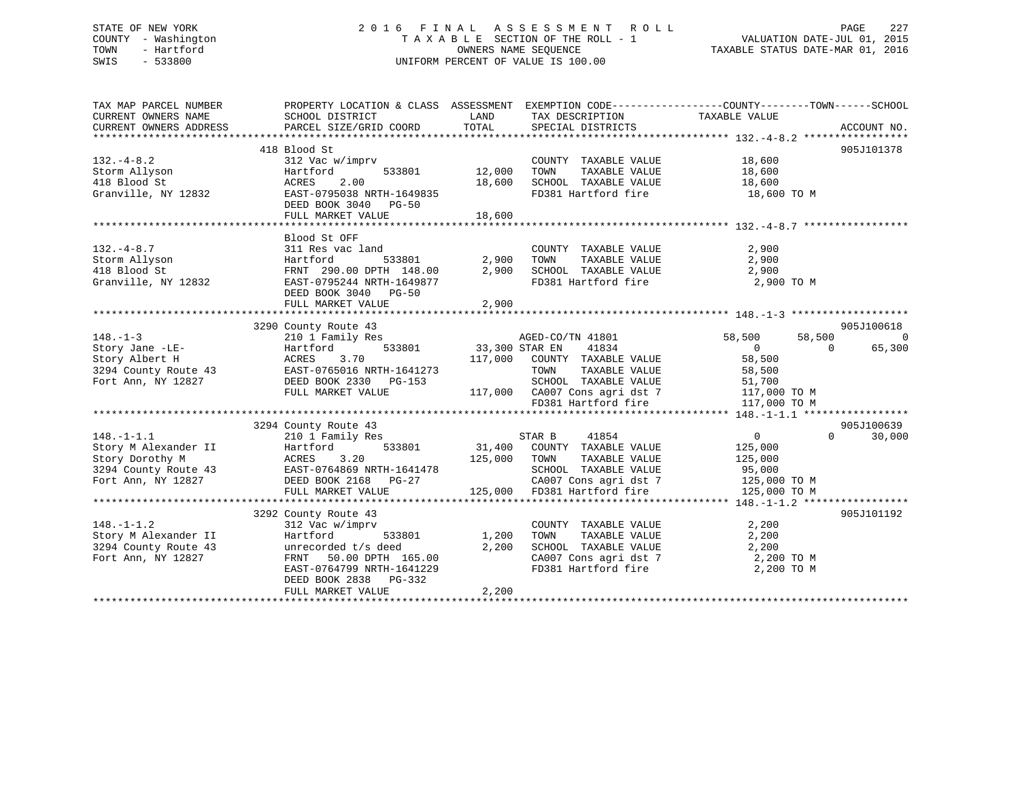## STATE OF NEW YORK 2 0 1 6 F I N A L A S S E S S M E N T R O L L PAGE 227 COUNTY - Washington T A X A B L E SECTION OF THE ROLL - 1 VALUATION DATE-JUL 01, 2015 TOWN - Hartford **TAXABLE STATUS DATE-MAR 01, 2016** OWNERS NAME SEQUENCE TAXABLE STATUS DATE-MAR 01, 2016 SWIS - 533800 UNIFORM PERCENT OF VALUE IS 100.00

| TAX MAP PARCEL NUMBER<br>CURRENT OWNERS NAME<br>CURRENT OWNERS ADDRESS | PROPERTY LOCATION & CLASS ASSESSMENT EXEMPTION CODE----------------COUNTY-------TOWN-----SCHOOL<br>SCHOOL DISTRICT<br>PARCEL SIZE/GRID COORD | LAND<br>TOTAL         | TAX DESCRIPTION<br>SPECIAL DISTRICTS                                           | TAXABLE VALUE                | ACCOUNT NO. |
|------------------------------------------------------------------------|----------------------------------------------------------------------------------------------------------------------------------------------|-----------------------|--------------------------------------------------------------------------------|------------------------------|-------------|
|                                                                        |                                                                                                                                              |                       |                                                                                |                              |             |
|                                                                        | 418 Blood St                                                                                                                                 |                       |                                                                                |                              | 905J101378  |
| $132 - 4 - 8.2$                                                        | 312 Vac w/imprv                                                                                                                              |                       | COUNTY TAXABLE VALUE                                                           | 18,600                       |             |
| Storm Allyson                                                          | Hartford<br>533801                                                                                                                           | 12,000                | TAXABLE VALUE<br>TOWN                                                          | 18,600<br>18,600             |             |
| 418 Blood St                                                           | ACRES<br>2.00                                                                                                                                | 18,600                | SCHOOL TAXABLE VALUE                                                           |                              |             |
| Granville, NY 12832                                                    | EAST-0795038 NRTH-1649835                                                                                                                    |                       | FD381 Hartford fire 18,600 TO M                                                |                              |             |
|                                                                        | DEED BOOK 3040 PG-50                                                                                                                         |                       |                                                                                |                              |             |
|                                                                        | FULL MARKET VALUE                                                                                                                            | 18,600                |                                                                                |                              |             |
|                                                                        |                                                                                                                                              |                       |                                                                                |                              |             |
|                                                                        | Blood St OFF                                                                                                                                 |                       |                                                                                |                              |             |
| $132. -4 - 8.7$                                                        | 311 Res vac land                                                                                                                             |                       | COUNTY TAXABLE VALUE                                                           | 2,900                        |             |
| Storm Allyson                                                          | Hartford 533801 2,900<br>FRNT 290.00 DPTH 148.00 2,900<br>EAST-0795244 NRTH-1649877                                                          |                       | TOWN<br>TAXABLE VALUE<br>TOWN       TAXABLE  VALUE<br>SCHOOL    TAXABLE  VALUE | 2,900                        |             |
| 418 Blood St                                                           |                                                                                                                                              |                       |                                                                                | 2,900                        |             |
| Granville, NY 12832                                                    |                                                                                                                                              |                       | FD381 Hartford fire 2,900 TO M                                                 |                              |             |
|                                                                        | DEED BOOK 3040 PG-50                                                                                                                         |                       |                                                                                |                              |             |
|                                                                        | FULL MARKET VALUE                                                                                                                            | 2,900                 |                                                                                |                              |             |
|                                                                        |                                                                                                                                              |                       |                                                                                |                              |             |
|                                                                        | 3290 County Route 43                                                                                                                         |                       |                                                                                |                              | 905J100618  |
| $148. - 1 - 3$                                                         | 210 1 Family Res                                                                                                                             |                       | AGED-CO/TN 41801                                                               | 58,500<br>58,500             | $\Omega$    |
| Story Jane -LE-                                                        | Hartford                                                                                                                                     | 533801 33,300 STAR EN | 41834                                                                          | $\overline{0}$<br>$\bigcirc$ | 65,300      |
| Story Albert H<br>3294 County Route 43                                 | ACRES<br>3.70                                                                                                                                |                       | 117,000 COUNTY TAXABLE VALUE<br>TOWN                                           | 58,500<br>58,500             |             |
| Fort Ann, NY 12827                                                     | EAST-0765016 NRTH-1641273<br>DEED BOOK 2330 PG-153                                                                                           |                       | TAXABLE VALUE                                                                  |                              |             |
|                                                                        | FULL MARKET VALUE                                                                                                                            |                       | SCHOOL TAXABLE VALUE<br>117,000 CA007 Cons agri dst 7                          | 51,700<br>117,000 TO M       |             |
|                                                                        |                                                                                                                                              |                       | FD381 Hartford fire                                                            | 117,000 TO M                 |             |
|                                                                        |                                                                                                                                              |                       |                                                                                |                              |             |
|                                                                        | 3294 County Route 43                                                                                                                         |                       |                                                                                |                              | 905J100639  |
| $148. - 1 - 1.1$                                                       | 210 1 Family Res                                                                                                                             |                       |                                                                                | $\overline{0}$<br>$\Omega$   | 30,000      |
| Story M Alexander II                                                   | Hartford<br>533801                                                                                                                           |                       | STAR B 41854<br>31,400 COUNTY TAXABLE VALUE                                    | 125,000                      |             |
| Story Dorothy M                                                        | 3.20<br>ACRES                                                                                                                                | 125,000 TOWN          | TAXABLE VALUE                                                                  | 125,000                      |             |
|                                                                        | EAST-0764869 NRTH-1641478                                                                                                                    |                       | SCHOOL TAXABLE VALUE                                                           | 95,000                       |             |
| 3294 County Route 43<br>Fort Ann, NY 12827<br>Fort Ann, NY 12827       | DEED BOOK 2168 PG-27                                                                                                                         |                       | CA007 Cons agri dst 7                                                          | 125,000 TO M                 |             |
|                                                                        | FULL MARKET VALUE                                                                                                                            |                       | 125,000 FD381 Hartford fire                                                    | 125,000 TO M                 |             |
|                                                                        |                                                                                                                                              |                       |                                                                                |                              |             |
|                                                                        | 3292 County Route 43                                                                                                                         |                       |                                                                                |                              | 905J101192  |
| $148. - 1 - 1.2$                                                       | 312 Vac w/imprv                                                                                                                              |                       | COUNTY TAXABLE VALUE                                                           | 2,200                        |             |
| Story M Alexander II                                                   | 533801<br>Hartford                                                                                                                           | 1,200                 | TAXABLE VALUE<br>TOWN                                                          | 2,200                        |             |
| 3294 County Route 43                                                   | unrecorded t/s deed                                                                                                                          | 2,200                 | SCHOOL TAXABLE VALUE                                                           | 2,200                        |             |
| Fort Ann, NY 12827                                                     | FRNT 50.00 DPTH 165.00                                                                                                                       |                       | CA007 Cons agri dst 7                                                          | 2,200 TO M                   |             |
|                                                                        | EAST-0764799 NRTH-1641229                                                                                                                    |                       | FD381 Hartford fire                                                            | 2,200 TO M                   |             |
|                                                                        | DEED BOOK 2838<br>PG-332                                                                                                                     |                       |                                                                                |                              |             |
|                                                                        | FULL MARKET VALUE                                                                                                                            | 2,200                 |                                                                                |                              |             |
|                                                                        |                                                                                                                                              |                       |                                                                                |                              |             |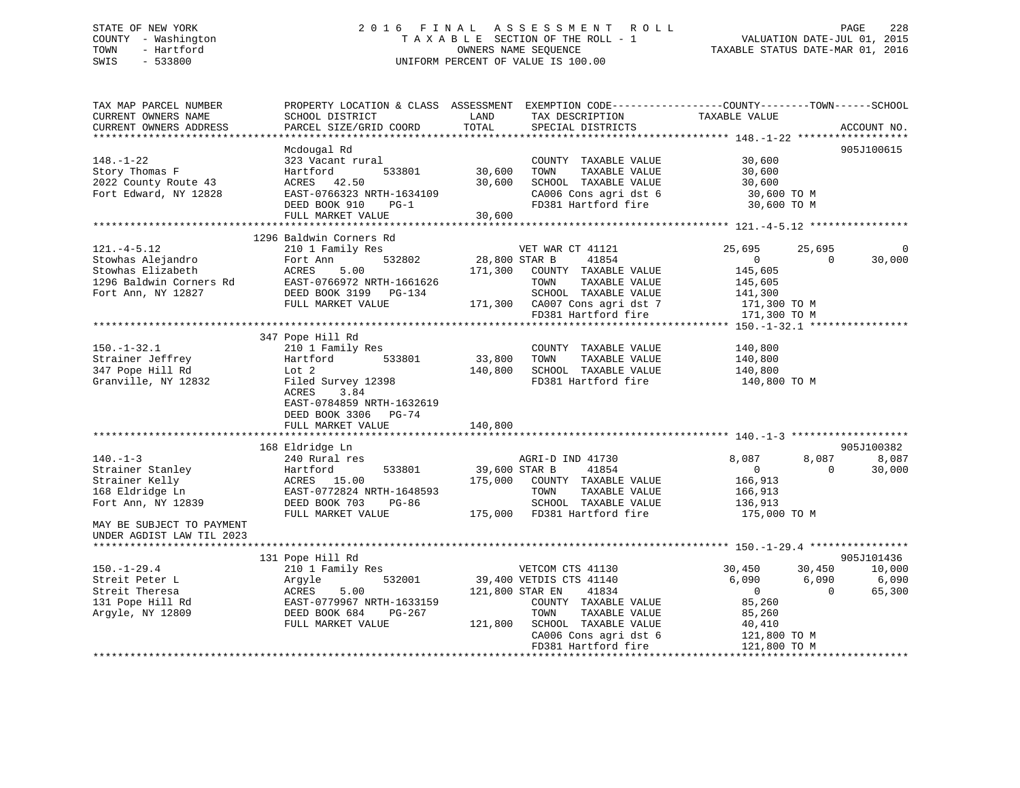## STATE OF NEW YORK 2 0 1 6 F I N A L A S S E S S M E N T R O L L PAGE 228 COUNTY - Washington T A X A B L E SECTION OF THE ROLL - 1 VALUATION DATE-JUL 01, 2015 TOWN - Hartford OWNERS NAME SEQUENCE TAXABLE STATUS DATE-MAR 01, 2016 SWIS - 533800 UNIFORM PERCENT OF VALUE IS 100.00

TAX MAP PARCEL NUMBER PROPERTY LOCATION & CLASS ASSESSMENT EXEMPTION CODE------------------COUNTY--------TOWN------SCHOOL CURRENT OWNERS NAME SCHOOL DISTRICT LAND TAX DESCRIPTION TAXABLE VALUE CURRENT OWNERS ADDRESS PARCEL SIZE/GRID COORD TOTAL SPECIAL DISTRICTS ACCOUNT NO. \*\*\*\*\*\*\*\*\*\*\*\*\*\*\*\*\*\*\*\*\*\*\*\*\*\*\*\*\*\*\*\*\*\*\*\*\*\*\*\*\*\*\*\*\*\*\*\*\*\*\*\*\*\*\*\*\*\*\*\*\*\*\*\*\*\*\*\*\*\*\*\*\*\*\*\*\*\*\*\*\*\*\*\*\*\*\*\*\*\*\*\*\*\*\*\*\*\*\*\*\*\*\* 148.-1-22 \*\*\*\*\*\*\*\*\*\*\*\*\*\*\*\*\*\* Mcdougal Rd 905J100615 148.-1-22 323 Vacant rural COUNTY TAXABLE VALUE 30,600 Story Thomas F Hartford 533801 30,600 TOWN TAXABLE VALUE 30,600 2022 County Route 43 ACRES 42.50 30,600 SCHOOL TAXABLE VALUE 30,600 Fort Edward, NY 12828 EAST-0766323 NRTH-1634109 CA006 Cons agri dst 6 30,600 TO M DEED BOOK 910 PG-1 FD381 Hartford fire 30,600 TO M FULL MARKET VALUE 30,600 \*\*\*\*\*\*\*\*\*\*\*\*\*\*\*\*\*\*\*\*\*\*\*\*\*\*\*\*\*\*\*\*\*\*\*\*\*\*\*\*\*\*\*\*\*\*\*\*\*\*\*\*\*\*\*\*\*\*\*\*\*\*\*\*\*\*\*\*\*\*\*\*\*\*\*\*\*\*\*\*\*\*\*\*\*\*\*\*\*\*\*\*\*\*\*\*\*\*\*\*\*\*\* 121.-4-5.12 \*\*\*\*\*\*\*\*\*\*\*\*\*\*\*\* 1296 Baldwin Corners Rd121.-4-5.12 210 1 Family Res VET WAR CT 41121 25,695 25,695 25,695 0 Stowhas Alejandro Fort Ann 532802 28,800 STAR B 41854 0 0 30,000 Stowhas Elizabeth ACRES 5.00 171,300 COUNTY TAXABLE VALUE 145,605 1296 Baldwin Corners Rd EAST-0766972 NRTH-1661626 TOWN TAXABLE VALUE 145,605 Fort Ann, NY 12827 DEED BOOK 3199 PG-134 SCHOOL TAXABLE VALUE 141,300 FULL MARKET VALUE 171,300 CA007 Cons agri dst 7 171,300 TO M FD381 Hartford fire 171,300 TO M \*\*\*\*\*\*\*\*\*\*\*\*\*\*\*\*\*\*\*\*\*\*\*\*\*\*\*\*\*\*\*\*\*\*\*\*\*\*\*\*\*\*\*\*\*\*\*\*\*\*\*\*\*\*\*\*\*\*\*\*\*\*\*\*\*\*\*\*\*\*\*\*\*\*\*\*\*\*\*\*\*\*\*\*\*\*\*\*\*\*\*\*\*\*\*\*\*\*\*\*\*\*\* 150.-1-32.1 \*\*\*\*\*\*\*\*\*\*\*\*\*\*\*\* 347 Pope Hill Rd 150.-1-32.1 210 1 Family Res COUNTY TAXABLE VALUE 140,800 Strainer Jeffrey Hartford 533801 33,800 TOWN TAXABLE VALUE 140,800 347 Pope Hill Rd Lot 2 140,800 SCHOOL TAXABLE VALUE 140,800 Granville, NY 12832 Filed Survey 12398 FD381 Hartford fire 140,800 TO M ACRES 3.84 EAST-0784859 NRTH-1632619 DEED BOOK 3306 PG-74 FULL MARKET VALUE 140,800 \*\*\*\*\*\*\*\*\*\*\*\*\*\*\*\*\*\*\*\*\*\*\*\*\*\*\*\*\*\*\*\*\*\*\*\*\*\*\*\*\*\*\*\*\*\*\*\*\*\*\*\*\*\*\*\*\*\*\*\*\*\*\*\*\*\*\*\*\*\*\*\*\*\*\*\*\*\*\*\*\*\*\*\*\*\*\*\*\*\*\*\*\*\*\*\*\*\*\*\*\*\*\* 140.-1-3 \*\*\*\*\*\*\*\*\*\*\*\*\*\*\*\*\*\*\* 168 Eldridge Ln 905J100382 140.-1-3 240 Rural res AGRI-D IND 41730 8,087 8,087 8,087 Strainer Stanley Hartford 533801 39,600 STAR B 41854 0 0 30,000 Strainer Kelly ACRES 15.00 175,000 COUNTY TAXABLE VALUE 166,913 168 Eldridge Ln EAST-0772824 NRTH-1648593 TOWN TAXABLE VALUE 166,913 Fort Ann, NY 12839 DEED BOOK 703 PG-86 SCHOOL TAXABLE VALUE 136,913 FULL MARKET VALUE 175,000 FD381 Hartford fire 175,000 TO M MAY BE SUBJECT TO PAYMENTUNDER AGDIST LAW TIL 2023 \*\*\*\*\*\*\*\*\*\*\*\*\*\*\*\*\*\*\*\*\*\*\*\*\*\*\*\*\*\*\*\*\*\*\*\*\*\*\*\*\*\*\*\*\*\*\*\*\*\*\*\*\*\*\*\*\*\*\*\*\*\*\*\*\*\*\*\*\*\*\*\*\*\*\*\*\*\*\*\*\*\*\*\*\*\*\*\*\*\*\*\*\*\*\*\*\*\*\*\*\*\*\* 150.-1-29.4 \*\*\*\*\*\*\*\*\*\*\*\*\*\*\*\*905J101436 131 Pope Hill Rd 905J101436 150.-1-29.4 210 1 Family Res VETCOM CTS 41130 30,450 30,450 10,000 Streit Peter L Argyle 532001 39,400 VETDIS CTS 41140 6,090 6,090 6,090 Streit Theresa ACRES 5.00 121,800 STAR EN 41834 0 0 65,300 131 Pope Hill Rd EAST-0779967 NRTH-1633159 COUNTY TAXABLE VALUE 85,260 Argyle, NY 12809 DEED BOOK 684 PG-267 TOWN TAXABLE VALUE 85,260 FULL MARKET VALUE 121,800 SCHOOL TAXABLE VALUE 40,410 CA006 Cons agri dst 6 121,800 TO M FD381 Hartford fire 121,800 TO M \*\*\*\*\*\*\*\*\*\*\*\*\*\*\*\*\*\*\*\*\*\*\*\*\*\*\*\*\*\*\*\*\*\*\*\*\*\*\*\*\*\*\*\*\*\*\*\*\*\*\*\*\*\*\*\*\*\*\*\*\*\*\*\*\*\*\*\*\*\*\*\*\*\*\*\*\*\*\*\*\*\*\*\*\*\*\*\*\*\*\*\*\*\*\*\*\*\*\*\*\*\*\*\*\*\*\*\*\*\*\*\*\*\*\*\*\*\*\*\*\*\*\*\*\*\*\*\*\*\*\*\*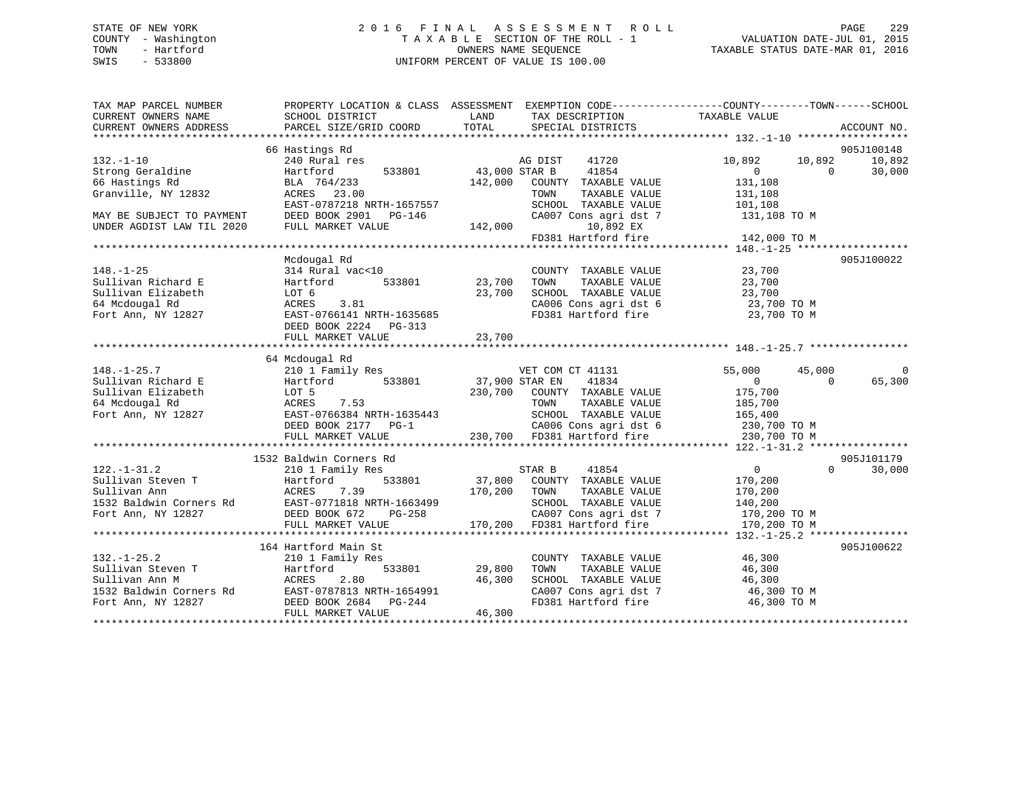## STATE OF NEW YORK 2 0 1 6 F I N A L A S S E S S M E N T R O L L PAGE 229 COUNTY - Washington T A X A B L E SECTION OF THE ROLL - 1 VALUATION DATE-JUL 01, 2015 TOWN - Hartford **TAXABLE STATUS DATE-MAR 01, 2016** OWNERS NAME SEQUENCE TAXABLE STATUS DATE-MAR 01, 2016 SWIS - 533800 UNIFORM PERCENT OF VALUE IS 100.00

| TAX MAP PARCEL NUMBER<br>CURRENT OWNERS NAME | SCHOOL DISTRICT                                        | LAND<br>TAX DESCRIPTION                                                                                            | PROPERTY LOCATION & CLASS ASSESSMENT EXEMPTION CODE-----------------COUNTY--------TOWN------SCHOOL<br>TAXABLE VALUE |
|----------------------------------------------|--------------------------------------------------------|--------------------------------------------------------------------------------------------------------------------|---------------------------------------------------------------------------------------------------------------------|
| CURRENT OWNERS ADDRESS                       | PARCEL SIZE/GRID COORD                                 | TOTAL<br>SPECIAL DISTRICTS                                                                                         | ACCOUNT NO.                                                                                                         |
|                                              |                                                        |                                                                                                                    |                                                                                                                     |
|                                              | 66 Hastings Rd                                         |                                                                                                                    | 905J100148                                                                                                          |
| $132. - 1 - 10$                              | 240 Rural res                                          | AG DIST<br>41720                                                                                                   | 10,892<br>10,892<br>10,892                                                                                          |
| Strong Geraldine                             | 533801<br>Hartford                                     | 43,000 STAR B<br>41854                                                                                             | 30,000<br>$\overline{0}$<br>$\Omega$                                                                                |
| 66 Hastings Rd                               | BLA 764/233                                            | 142,000<br>COUNTY TAXABLE VALUE                                                                                    | 131,108                                                                                                             |
| Granville, NY 12832                          | ACRES 23.00                                            | TOWN<br>TAXABLE VALUE                                                                                              | 131,108                                                                                                             |
|                                              | EAST-0787218 NRTH-1657557                              | SCHOOL TAXABLE VALUE                                                                                               | 101,108                                                                                                             |
| MAY BE SUBJECT TO PAYMENT                    | DEED BOOK 2901<br>PG-146                               | CA007 Cons agri dst 7                                                                                              | 131,108 TO M                                                                                                        |
| UNDER AGDIST LAW TIL 2020                    | FULL MARKET VALUE                                      | 142,000<br>10,892 EX                                                                                               |                                                                                                                     |
|                                              |                                                        | FD381 Hartford fire                                                                                                | 142,000 TO M                                                                                                        |
|                                              |                                                        |                                                                                                                    |                                                                                                                     |
|                                              | Mcdougal Rd                                            |                                                                                                                    | 905J100022                                                                                                          |
| $148. - 1 - 25$                              | 314 Rural vac<10                                       | COUNTY TAXABLE VALUE                                                                                               | 23,700                                                                                                              |
| Sullivan Richard E                           | 533801<br>Hartford                                     | 23,700<br>TOWN<br>TAXABLE VALUE                                                                                    | 23,700                                                                                                              |
| Sullivan Elizabeth                           | LOT 6                                                  | 23,700<br>SCHOOL TAXABLE VALUE                                                                                     | 23,700                                                                                                              |
| 64 Mcdougal Rd                               | 3.81<br>ACRES                                          | SCHOOL TAXABLE VALUE<br>CA006 Cons agri dst 6                                                                      | 23,700 TO M                                                                                                         |
| Fort Ann, NY 12827                           | EAST-0766141 NRTH-1635685                              | FD381 Hartford fire                                                                                                | 23,700 TO M                                                                                                         |
|                                              | DEED BOOK 2224 PG-313                                  |                                                                                                                    |                                                                                                                     |
|                                              | FULL MARKET VALUE                                      | 23,700                                                                                                             |                                                                                                                     |
|                                              |                                                        |                                                                                                                    |                                                                                                                     |
|                                              | 64 Mcdougal Rd                                         |                                                                                                                    |                                                                                                                     |
| $148. - 1 - 25.7$                            | 210 1 Family Res                                       | VET COM CT 41131                                                                                                   | 55,000<br>45,000<br>0                                                                                               |
| Sullivan Richard E                           | 533801<br>Hartford                                     | 37,900 STAR EN<br>41834                                                                                            | 65,300<br>$\overline{0}$<br>$\Omega$                                                                                |
| Sullivan Elizabeth                           | LOT 5                                                  | 230,700 COUNTY TAXABLE VALUE                                                                                       | 175,700                                                                                                             |
| 64 Mcdougal Rd                               | 7.53<br>ACRES                                          | TOWN<br>TAXABLE VALUE                                                                                              | 185,700                                                                                                             |
| Fort Ann, NY 12827                           | EAST-0766384 NRTH-1635443                              | SCHOOL TAXABLE VALUE                                                                                               | 165,400                                                                                                             |
|                                              | DEED BOOK 2177 PG-1                                    |                                                                                                                    |                                                                                                                     |
|                                              | FULL MARKET VALUE                                      | 143 SCHOOL TAXABLE VALUE 165,400<br>CA006 Cons agri dst 6 230,700 TO M<br>230,700 FD381 Hartford fire 230,700 TO M |                                                                                                                     |
|                                              |                                                        |                                                                                                                    |                                                                                                                     |
|                                              | 1532 Baldwin Corners Rd                                |                                                                                                                    | 905J101179                                                                                                          |
| $122. - 1 - 31.2$                            | 210 1 Family Res                                       | 41854<br>STAR B                                                                                                    | $\sim$ 0<br>$\Omega$<br>30,000                                                                                      |
| Sullivan Steven T                            | 533801<br>Hartford                                     | 37,800 COUNTY TAXABLE VALUE                                                                                        | 170,200                                                                                                             |
| Sullivan Ann                                 | ACRES 7.39                                             | 170,200 TOWN<br>TAXABLE VALUE                                                                                      | 170,200                                                                                                             |
| 1532 Baldwin Corners Rd                      | ACRES<br>EAST-0771818 NRTH-1663499<br>Carl Carl DG-258 | SCHOOL TAXABLE VALUE                                                                                               | 140,200                                                                                                             |
| Fort Ann, NY 12827                           | DEED BOOK 672<br>PG-258                                | CA007 Cons agri dst 7                                                                                              | 170,200 TO M                                                                                                        |
|                                              | FULL MARKET VALUE                                      | CA007 Cons agri dst 7<br>170,200 FD381 Hartford fire                                                               | 170,200 TO M                                                                                                        |
|                                              |                                                        |                                                                                                                    |                                                                                                                     |
|                                              | 164 Hartford Main St                                   |                                                                                                                    | 905J100622                                                                                                          |
| $132. - 1 - 25.2$                            | 210 1 Family Res                                       | COUNTY TAXABLE VALUE                                                                                               | 46,300                                                                                                              |
| Sullivan Steven T                            | Hartford<br>533801                                     | 29,800<br>TOWN<br>TAXABLE VALUE                                                                                    | 46,300                                                                                                              |
| Sullivan Ann M                               | 2.80<br>ACRES                                          | 46,300<br>SCHOOL TAXABLE VALUE                                                                                     | 46,300                                                                                                              |
| 1532 Baldwin Corners Rd                      | EAST-0787813 NRTH-1654991                              | CA007 Cons agri dst 7                                                                                              | 46,300 TO M                                                                                                         |
| Fort Ann, NY 12827                           | DEED BOOK 2684 PG-244                                  | FD381 Hartford fire                                                                                                | 46,300 TO M                                                                                                         |
|                                              |                                                        | 46,300                                                                                                             |                                                                                                                     |
|                                              | FULL MARKET VALUE                                      |                                                                                                                    |                                                                                                                     |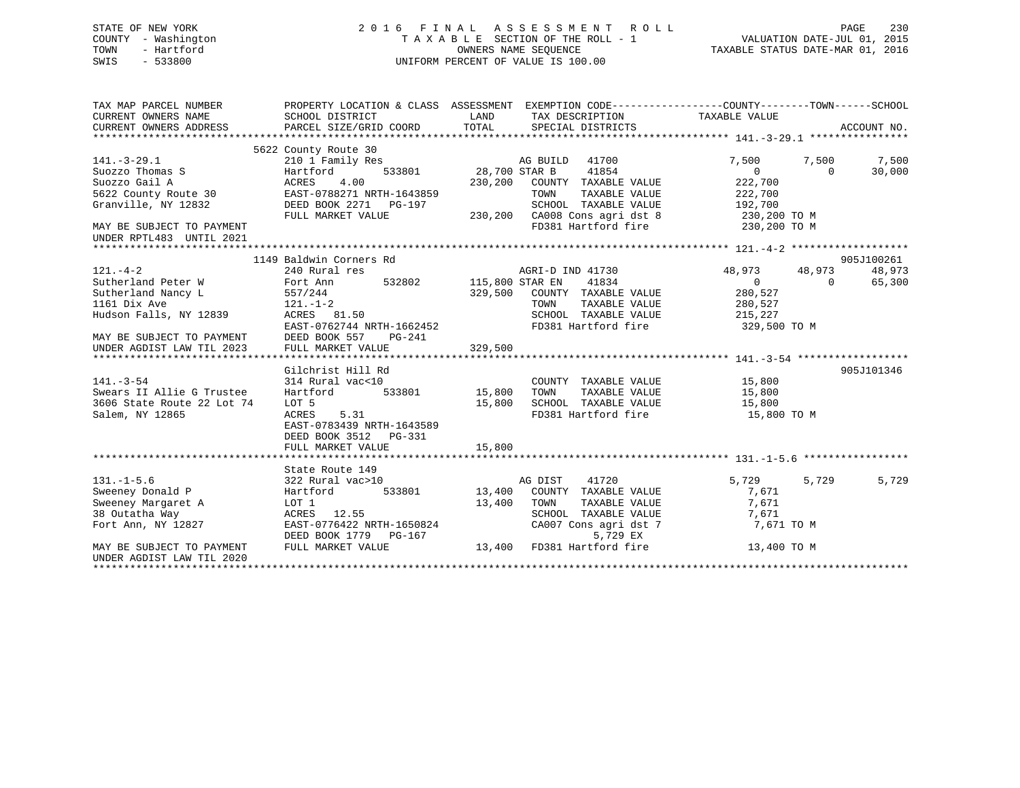## STATE OF NEW YORK 2 0 1 6 F I N A L A S S E S S M E N T R O L L PAGE 230 COUNTY - Washington T A X A B L E SECTION OF THE ROLL - 1 VALUATION DATE-JUL 01, 2015 TOWN - Hartford OWNERS NAME SEQUENCE TAXABLE STATUS DATE-MAR 01, 2016 SWIS - 533800 UNIFORM PERCENT OF VALUE IS 100.00UNIFORM PERCENT OF VALUE IS 100.00

| TAX MAP PARCEL NUMBER<br>CURRENT OWNERS NAME<br>CURRENT OWNERS ADDRESS                                                                                                                                                                                                        | SCHOOL DISTRICT<br>PARCEL SIZE/GRID COORD                                                                                                                                                                                                                                          | PROPERTY LOCATION & CLASS ASSESSMENT EXEMPTION CODE---------------COUNTY-------TOWN-----SCHOOL<br>LAND<br>TAX DESCRIPTION<br>TOTAL<br>SPECIAL DISTRICTS                                                                                                                                                   | TAXABLE VALUE                                                                                                                 | ACCOUNT NO.                                  |
|-------------------------------------------------------------------------------------------------------------------------------------------------------------------------------------------------------------------------------------------------------------------------------|------------------------------------------------------------------------------------------------------------------------------------------------------------------------------------------------------------------------------------------------------------------------------------|-----------------------------------------------------------------------------------------------------------------------------------------------------------------------------------------------------------------------------------------------------------------------------------------------------------|-------------------------------------------------------------------------------------------------------------------------------|----------------------------------------------|
| $141. - 3 - 29.1$<br>Suozzo Thomas S<br>Suozzo Gail A<br>5622 County Route 30<br>Granville, NY 12832<br>MAY BE SUBJECT TO PAYMENT<br>UNDER RPTL483 UNTIL 2021                                                                                                                 | 5622 County Route 30<br>210 1 Family Res<br>533801<br>Hartford<br>ACRES<br>4.00<br>EAST-0788271 NRTH-1643859<br>DEED BOOK 2271 PG-197<br>FULL MARKET VALUE                                                                                                                         | AG BUILD 41700<br>28,700 STAR B<br>41854<br>230,200 COUNTY TAXABLE VALUE<br>TOWN<br>TAXABLE VALUE<br>SCHOOL TAXABLE VALUE<br>230,200 CA008 Cons agri dst 8 230,200 TO M<br>FD381 Hartford fire 230,200 TO M                                                                                               | 7,500<br>7,500<br>$\Omega$<br>$\Omega$<br>222,700<br>222,700<br>192,700                                                       | 7,500<br>30,000                              |
|                                                                                                                                                                                                                                                                               |                                                                                                                                                                                                                                                                                    |                                                                                                                                                                                                                                                                                                           |                                                                                                                               |                                              |
| $121. - 4 - 2$<br>Sutherland Peter W<br>Sutherland Nancy L<br>1161 Dix Ave<br>Hudson Falls, NY 12839<br>MAY BE SUBJECT TO PAYMENT DEED BOOK 557<br>UNDER AGDIST LAW TIL 2023<br>$141. - 3 - 54$<br>Swears II Allie G Trustee<br>3606 State Route 22 Lot 74<br>Salem, NY 12865 | 1149 Baldwin Corners Rd<br>240 Rural res<br>Fort Ann<br>557/244<br>$121. - 1 - 2$<br>ACRES 81.50<br>EAST-0762744 NRTH-1662452<br>PG-241<br>FULL MARKET VALUE<br>Gilchrist Hill Rd<br>314 Rural vac<10<br>533801<br>Hartford<br>LOT 5<br>ACRES<br>5.31<br>EAST-0783439 NRTH-1643589 | AGRI-D IND 41730<br>532802 115,800 STAR EN<br>41834<br>329,500<br>COUNTY TAXABLE VALUE<br>TAXABLE VALUE<br>TOWN<br>SCHOOL TAXABLE VALUE<br>FD381 Hartford fire<br>329,500<br>COUNTY TAXABLE VALUE<br>TAXABLE VALUE<br>15,800<br>TOWN<br>SCHOOL TAXABLE VALUE<br>15,800<br>FD381 Hartford fire 15,800 TO M | 48,973<br>48,973<br>$\overline{0}$<br>$\Omega$<br>280,527<br>280,527<br>215,227<br>329,500 TO M<br>15,800<br>15,800<br>15,800 | 905J100261<br>48,973<br>65,300<br>905J101346 |
|                                                                                                                                                                                                                                                                               | DEED BOOK 3512 PG-331<br>FULL MARKET VALUE                                                                                                                                                                                                                                         | 15,800                                                                                                                                                                                                                                                                                                    |                                                                                                                               |                                              |
|                                                                                                                                                                                                                                                                               |                                                                                                                                                                                                                                                                                    |                                                                                                                                                                                                                                                                                                           |                                                                                                                               |                                              |
| $131. - 1 - 5.6$<br>Sweeney Donald P<br>Sweeney Margaret A<br>38 Outatha Way<br>Fort Ann, NY 12827                                                                                                                                                                            | State Route 149<br>322 Rural vac>10<br>533801<br>Hartford<br>LOT 1<br>ACRES 12.55<br>EAST-0776422 NRTH-1650824<br>DEED BOOK 1779<br>$PG-167$                                                                                                                                       | AG DIST<br>41720<br>13,400 COUNTY TAXABLE VALUE<br>13,400<br>TOWN<br>TAXABLE VALUE<br>SCHOOL TAXABLE VALUE<br>CA007 Cons agri dst 7<br>5,729 EX                                                                                                                                                           | 5,729<br>5,729<br>7,671<br>7,671<br>7,671<br>7,671 TO M                                                                       | 5,729                                        |
| MAY BE SUBJECT TO PAYMENT<br>UNDER AGDIST LAW TIL 2020                                                                                                                                                                                                                        | FULL MARKET VALUE                                                                                                                                                                                                                                                                  | 13,400 FD381 Hartford fire                                                                                                                                                                                                                                                                                | 13,400 TO M                                                                                                                   |                                              |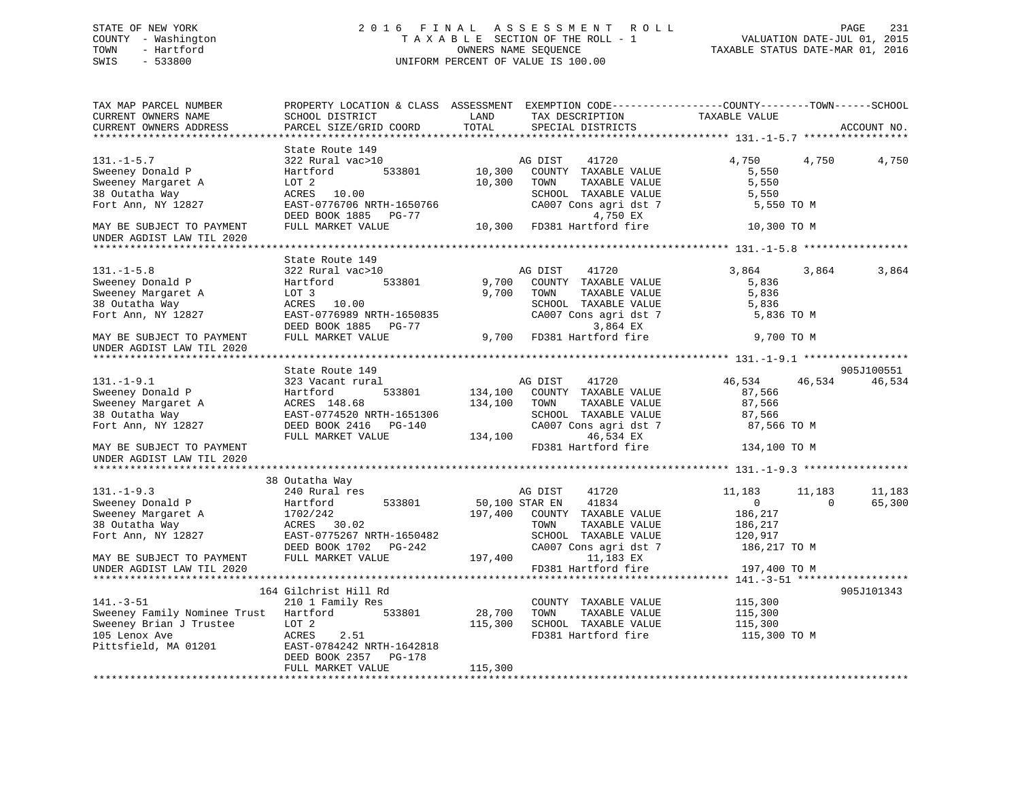## STATE OF NEW YORK 2 0 1 6 F I N A L A S S E S S M E N T R O L L PAGE 231 COUNTY - Washington T A X A B L E SECTION OF THE ROLL - 1 VALUATION DATE-JUL 01, 2015 TOWN - Hartford **TAXABLE STATUS DATE-MAR 01, 2016** OWNERS NAME SEQUENCE TAXABLE STATUS DATE-MAR 01, 2016 SWIS - 533800 UNIFORM PERCENT OF VALUE IS 100.00

| TAX MAP PARCEL NUMBER<br>CURRENT OWNERS NAME<br>CURRENT OWNERS ADDRESS                                                                                       | PROPERTY LOCATION & CLASS ASSESSMENT EXEMPTION CODE---------------COUNTY-------TOWN-----SCHOOL<br>SCHOOL DISTRICT<br>PARCEL SIZE/GRID COORD                 | LAND<br>TOTAL           | TAX DESCRIPTION<br>SPECIAL DISTRICTS                                                                                                                                    | TAXABLE VALUE                                                           |                    | ACCOUNT NO.          |
|--------------------------------------------------------------------------------------------------------------------------------------------------------------|-------------------------------------------------------------------------------------------------------------------------------------------------------------|-------------------------|-------------------------------------------------------------------------------------------------------------------------------------------------------------------------|-------------------------------------------------------------------------|--------------------|----------------------|
|                                                                                                                                                              |                                                                                                                                                             |                         |                                                                                                                                                                         |                                                                         |                    |                      |
| $131. - 1 - 5.7$<br>Sweeney Donald P<br>Sweeney Margaret A<br>38 Outatha Way<br>Fort Ann, NY 12827<br>MAY BE SUBJECT TO PAYMENT                              | State Route 149<br>322 Rural vac>10<br>533801<br>Hartford<br>LOT 2<br>ACRES 10.00<br>EAST-0776706 NRTH-1650766<br>DEED BOOK 1885 PG-77<br>FULL MARKET VALUE | 10,300<br>10,300        | AG DIST<br>41720<br>COUNTY TAXABLE VALUE<br>TAXABLE VALUE<br>TOWN<br>SCHOOL TAXABLE VALUE<br>CA007 Cons agri dst 7<br>4,750 EX<br>10,300 FD381 Hartford fire            | 4,750<br>5,550<br>5,550<br>5,550<br>5,550 TO M<br>10,300 TO M           | 4,750              | 4,750                |
| UNDER AGDIST LAW TIL 2020                                                                                                                                    |                                                                                                                                                             |                         |                                                                                                                                                                         |                                                                         |                    |                      |
| $131. - 1 - 5.8$<br>Sweeney Donald P<br>Sweeney Margaret A<br>38 Outatha Way<br>Fort Ann, NY 12827<br>MAY BE SUBJECT TO PAYMENT<br>UNDER AGDIST LAW TIL 2020 | State Route 149<br>322 Rural vac>10<br>533801<br>Hartford<br>LOT 3<br>ACRES 10.00<br>EAST-0776989 NRTH-1650835<br>DEED BOOK 1885 PG-77<br>FULL MARKET VALUE |                         | 41720<br>AG DIST<br>9,700 COUNTY TAXABLE VALUE<br>9,700 TOWN<br>TAXABLE VALUE<br>SCHOOL TAXABLE VALUE<br>CA007 Cons agri dst 7<br>3,864 EX<br>9,700 FD381 Hartford fire | 3,864<br>5,836<br>5,836<br>5,836<br>5,836 TO M<br>9,700 TO M            | 3,864              | 3,864                |
|                                                                                                                                                              |                                                                                                                                                             |                         |                                                                                                                                                                         |                                                                         |                    |                      |
| $131. - 1 - 9.1$<br>Sweeney Donald P<br>Sweeney Margaret A<br>38 Outatha Way<br>Fort Ann, NY 12827<br>MAY BE SUBJECT TO PAYMENT<br>UNDER AGDIST LAW TIL 2020 | State Route 149<br>323 Vacant rural<br>533801<br>Hartford<br>ACRES 148.68<br>EAST-0774520 NRTH-1651306<br>DEED BOOK 2416 PG-140<br>FULL MARKET VALUE        | 134,100 TOWN<br>134,100 | AG DIST 41720<br>134,100 COUNTY TAXABLE VALUE<br>TAXABLE VALUE<br>SCHOOL TAXABLE VALUE<br>CA007 Cons agri dst 7<br>46,534 EX<br>FD381 Hartford fire                     | 46,534<br>87,566<br>87,566<br>87,566<br>87,566 ТО М<br>134,100 TO M     | 46,534             | 905J100551<br>46,534 |
|                                                                                                                                                              | 38 Outatha Way                                                                                                                                              |                         |                                                                                                                                                                         |                                                                         |                    |                      |
| $131 - 1 - 9.3$<br>Sweeney Donald P<br>Sweeney Margaret A<br>38 Outatha Way<br>Fort Ann, NY 12827                                                            | 240 Rural res<br>533801<br>Hartford<br>1702/242<br>$\text{ACRES}$ 30.02<br>EAST-0775267 NRTH-1650482<br>DEED BOOK 1702 PG-242                               | 50,100 STAR EN          | 41720<br>AG DIST<br>41834<br>197,400 COUNTY TAXABLE VALUE<br>TAXABLE VALUE<br>TOWN<br>SCHOOL TAXABLE VALUE<br>CA007 Cons agri dst 7                                     | 11,183<br>$\mathbf{0}$<br>186,217<br>186,217<br>120,917<br>186,217 TO M | 11,183<br>$\Omega$ | 11,183<br>65,300     |
| MAY BE SUBJECT TO PAYMENT<br>UNDER AGDIST LAW TIL 2020                                                                                                       | FULL MARKET VALUE                                                                                                                                           | 197,400                 | 11,183 EX<br>FD381 Hartford fire                                                                                                                                        | 197,400 TO M                                                            |                    |                      |
|                                                                                                                                                              | 164 Gilchrist Hill Rd                                                                                                                                       |                         |                                                                                                                                                                         |                                                                         |                    | 905J101343           |
| $141. - 3 - 51$<br>Sweeney Family Nominee Trust Hartford<br>Sweeney Brian J Trustee<br>105 Lenox Ave<br>Pittsfield, MA 01201                                 | 210 1 Family Res<br>533801<br>LOT 2<br>ACRES<br>2.51<br>EAST-0784242 NRTH-1642818<br>DEED BOOK 2357 PG-178                                                  | 28,700 TOWN             | COUNTY TAXABLE VALUE<br>TAXABLE VALUE<br>115,300 SCHOOL TAXABLE VALUE<br>FD381 Hartford fire                                                                            | 115,300<br>115,300<br>115,300<br>115,300 TO M                           |                    |                      |
|                                                                                                                                                              | FULL MARKET VALUE                                                                                                                                           | 115,300                 |                                                                                                                                                                         |                                                                         |                    |                      |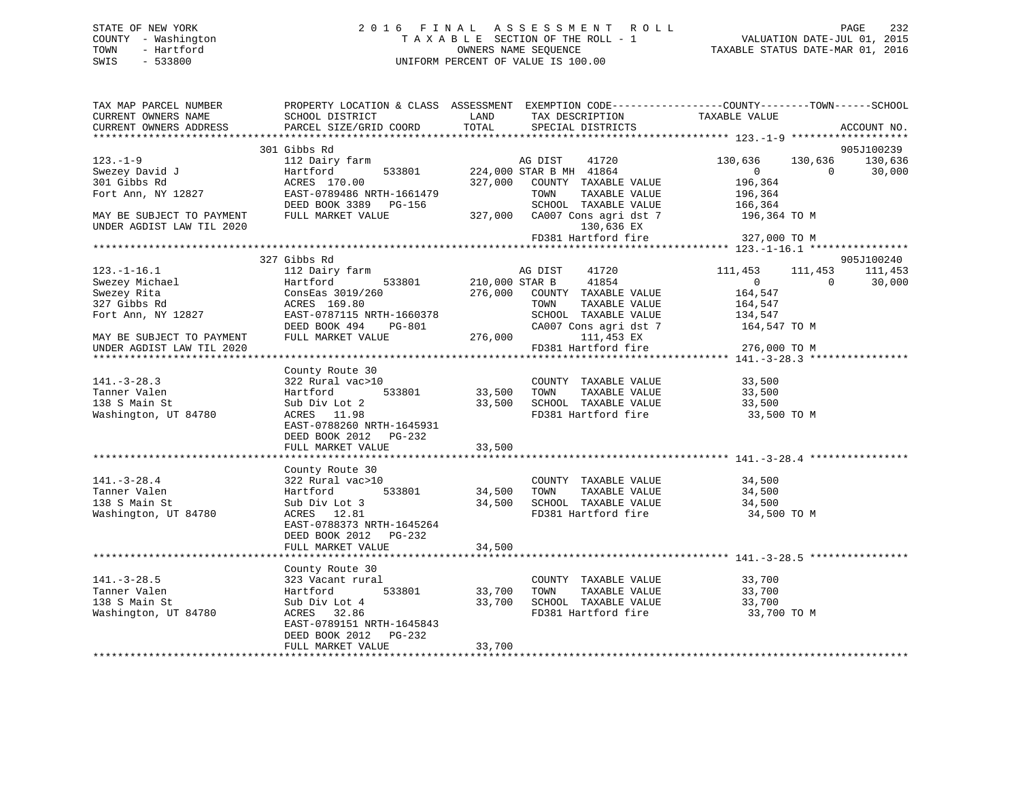## STATE OF NEW YORK 2 0 1 6 F I N A L A S S E S S M E N T R O L L PAGE 232 COUNTY - Washington T A X A B L E SECTION OF THE ROLL - 1 VALUATION DATE-JUL 01, 2015 TOWN - Hartford **TAXABLE STATUS DATE-MAR 01, 2016** OWNERS NAME SEQUENCE TAXABLE STATUS DATE-MAR 01, 2016 SWIS - 533800 UNIFORM PERCENT OF VALUE IS 100.00

| TAX MAP PARCEL NUMBER                 | PROPERTY LOCATION & CLASS ASSESSMENT EXEMPTION CODE----------------COUNTY-------TOWN------SCHOOL |               |                                                                    |                    |            |             |
|---------------------------------------|--------------------------------------------------------------------------------------------------|---------------|--------------------------------------------------------------------|--------------------|------------|-------------|
| CURRENT OWNERS NAME                   | SCHOOL DISTRICT                                                                                  | LAND<br>TOTAL | TAX DESCRIPTION                                                    | TAXABLE VALUE      |            | ACCOUNT NO. |
| CURRENT OWNERS ADDRESS                | PARCEL SIZE/GRID COORD                                                                           |               | SPECIAL DISTRICTS                                                  |                    |            |             |
|                                       | 301 Gibbs Rd                                                                                     |               |                                                                    |                    |            | 905J100239  |
| $123. - 1 - 9$                        | 112 Dairy farm                                                                                   |               | 41720<br>AG DIST                                                   | 130,636            | 130,636    | 130,636     |
| Swezey David J                        | arm<br>533801<br>Hartford                                                                        |               | 224,000 STAR B MH 41864                                            | $\overline{0}$     | $\bigcirc$ | 30,000      |
| 301 Gibbs Rd                          | ACRES 170.00                                                                                     |               | 327,000 COUNTY TAXABLE VALUE                                       |                    |            |             |
| Fort Ann, NY 12827                    | EAST-0789486 NRTH-1661479                                                                        |               | TOWN<br>TAXABLE VALUE                                              | 196,364<br>196,364 |            |             |
|                                       | DEED BOOK 3389 PG-156                                                                            |               | SCHOOL TAXABLE VALUE 166,364<br>CA007 Cons agri dst 7 196,364 TO M |                    |            |             |
| MAY BE SUBJECT TO PAYMENT             | FULL MARKET VALUE                                                                                |               | 327,000 CA007 Cons agri dst 7                                      |                    |            |             |
| UNDER AGDIST LAW TIL 2020             |                                                                                                  |               | 130,636 EX                                                         |                    |            |             |
|                                       |                                                                                                  |               | $FD381$ Hartford fire 327,000 TO M                                 |                    |            |             |
|                                       |                                                                                                  |               |                                                                    |                    |            |             |
|                                       | 327 Gibbs Rd                                                                                     |               |                                                                    |                    |            | 905J100240  |
| $123. - 1 - 16.1$                     | 112 Dairy farm                                                                                   |               | AG DIST<br>41720                                                   | 111,453            | 111,453    | 111,453     |
| Swezey Michael                        | 533801 210,000 STAR B<br>Hartford                                                                |               | 41854                                                              | $\overline{0}$     | $\Omega$   | 30,000      |
| Swezey Rita                           | ConsEas 3019/260                                                                                 |               | 276,000 COUNTY TAXABLE VALUE                                       | 164,547            |            |             |
| 327 Gibbs Rd                          | ACRES 169.80                                                                                     |               | TOWN<br>TAXABLE VALUE                                              | 164,547            |            |             |
| Fort Ann, NY 12827                    | EAST-0787115 NRTH-1660378                                                                        |               | SCHOOL TAXABLE VALUE                                               | 134,547            |            |             |
|                                       | DEED BOOK 494<br>PG-801                                                                          |               | CA007 Cons agri dst 7 164,547 TO M                                 |                    |            |             |
| MAY BE SUBJECT TO PAYMENT             | FULL MARKET VALUE                                                                                |               | 276,000 111,453 EX                                                 |                    |            |             |
| UNDER AGDIST LAW TIL 2020             |                                                                                                  |               | FD381 Hartford fire                                                | 276,000 TO M       |            |             |
|                                       |                                                                                                  |               |                                                                    |                    |            |             |
|                                       | County Route 30                                                                                  |               |                                                                    |                    |            |             |
| $141. - 3 - 28.3$                     | 322 Rural vac>10<br>533801                                                                       |               | COUNTY TAXABLE VALUE                                               | 33,500             |            |             |
| Tanner Valen                          | Hartford                                                                                         | 33,500 TOWN   | TAXABLE VALUE                                                      | 33,500             |            |             |
| 138 S Main St<br>Washington, UT 84780 | Sub Div Lot 2<br>ACRES 11.98                                                                     |               | 33,500 SCHOOL TAXABLE VALUE<br>FD381 Hartford fire                 | 33,500             |            |             |
|                                       | EAST-0788260 NRTH-1645931                                                                        |               |                                                                    | 33,500 TO M        |            |             |
|                                       | DEED BOOK 2012 PG-232                                                                            |               |                                                                    |                    |            |             |
|                                       | FULL MARKET VALUE                                                                                | 33,500        |                                                                    |                    |            |             |
|                                       |                                                                                                  |               |                                                                    |                    |            |             |
|                                       | County Route 30                                                                                  |               |                                                                    |                    |            |             |
| $141.-3-28.4$                         | 322 Rural vac>10                                                                                 |               | COUNTY TAXABLE VALUE                                               | 34,500             |            |             |
| Tanner Valen                          | 533801<br>Hartford                                                                               |               | 34,500 TOWN<br>TAXABLE VALUE                                       | 34,500             |            |             |
| 138 S Main St                         | Sub Div Lot 3                                                                                    |               |                                                                    | 34,500             |            |             |
| Washington, UT 84780                  | ACRES 12.81                                                                                      |               | 34,500 SCHOOL TAXABLE VALUE<br>FD381 Hartford fire                 | 34,500 TO M        |            |             |
|                                       | EAST-0788373 NRTH-1645264                                                                        |               |                                                                    |                    |            |             |
|                                       | DEED BOOK 2012 PG-232                                                                            |               |                                                                    |                    |            |             |
|                                       | FULL MARKET VALUE                                                                                | 34,500        |                                                                    |                    |            |             |
|                                       |                                                                                                  |               | *********************************** 141.-3-28.5 ***********        |                    |            |             |
|                                       | County Route 30                                                                                  |               |                                                                    |                    |            |             |
| $141. - 3 - 28.5$                     | 323 Vacant rural                                                                                 |               | COUNTY TAXABLE VALUE 33,700<br>TOWN TAXABLE VALUE 33 700           |                    |            |             |
| Tanner Valen                          | Hartford 533801                                                                                  | 33,700        | TOWN<br>TAXABLE VALUE                                              | 33,700             |            |             |
| 138 S Main St                         | Sub Div Lot 4                                                                                    | 33,700        | SCHOOL TAXABLE VALUE 33,700                                        |                    |            |             |
| Washington, UT 84780                  | ACRES 32.86                                                                                      |               | FD381 Hartford fire                                                | 33,700 TO M        |            |             |
|                                       | EAST-0789151 NRTH-1645843                                                                        |               |                                                                    |                    |            |             |
|                                       | DEED BOOK 2012 PG-232                                                                            |               |                                                                    |                    |            |             |
|                                       | FULL MARKET VALUE                                                                                | 33,700        |                                                                    |                    |            |             |
|                                       |                                                                                                  |               |                                                                    |                    |            |             |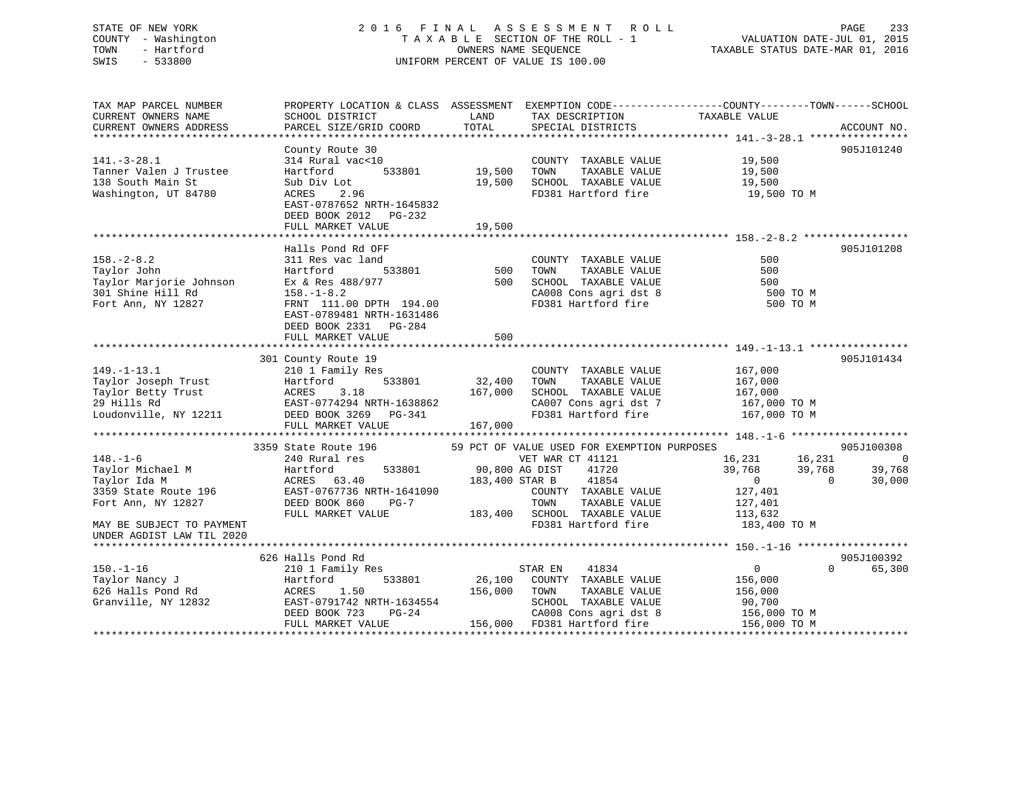## STATE OF NEW YORK 2 0 1 6 F I N A L A S S E S S M E N T R O L L PAGE 233 COUNTY - Washington T A X A B L E SECTION OF THE ROLL - 1 VALUATION DATE-JUL 01, 2015 TOWN - Hartford **TAXABLE STATUS DATE-MAR 01, 2016** OWNERS NAME SEQUENCE TAXABLE STATUS DATE-MAR 01, 2016 SWIS - 533800 UNIFORM PERCENT OF VALUE IS 100.00

| TAXABLE VALUE<br>SCHOOL DISTRICT<br>LAND<br>TAX DESCRIPTION<br>TOTAL<br>PARCEL SIZE/GRID COORD<br>SPECIAL DISTRICTS<br>ACCOUNT NO.<br>905J101240<br>County Route 30<br>COUNTY TAXABLE VALUE 19,500<br>$141.-3-28.1$<br>314 Rural vac<10<br>533801<br>19,500<br>Tanner Valen J Trustee<br>TOWN<br>TAXABLE VALUE<br>19,500<br>19,500<br>Hartford<br>138 South Main St<br>19,500<br>SCHOOL TAXABLE VALUE<br>Sub Div Lot<br>FD381 Hartford fire 19,500 TO M<br>Washington, UT 84780<br>ACRES<br>2.96<br>EAST-0787652 NRTH-1645832<br>DEED BOOK 2012<br>PG-232<br>FULL MARKET VALUE<br>19,500<br>905J101208<br>Halls Pond Rd OFF<br>500<br>$158. - 2 - 8.2$<br>311 Res vac land<br>COUNTY TAXABLE VALUE<br>500<br>500<br>Taylor John<br>533801<br>TOWN<br>TAXABLE VALUE<br>500<br>Hartford<br>Taylor Marjorie Johnson Ex & Res 488/977<br>SCHOOL TAXABLE VALUE<br>500<br>301 Shine Hill Rd<br>CA008 Cons agri dst 8<br>FD381 Hartford fire<br>$158. - 1 - 8.2$<br>500 TO M<br>Fort Ann, NY 12827<br>FRNT 111.00 DPTH 194.00<br>500 TO M<br>EAST-0789481 NRTH-1631486<br>DEED BOOK 2331 PG-284<br>FULL MARKET VALUE<br>500<br>301 County Route 19<br>905J101434<br>$149. - 1 - 13.1$<br>167,000<br>210 1 Family Res<br>COUNTY TAXABLE VALUE<br>Taylor Joseph Trust<br>Taylor Joseph Trust<br>Taylor Betty Trust<br>29 Hills Rd<br>Loudonville, NY 12211<br>DEED BOOK 3269 PG-341<br>533801 32,400<br>TAXABLE VALUE<br>TOWN<br>167,000<br>167,000<br>SCHOOL TAXABLE VALUE<br>167,000<br>CA007 Cons agri dst 7 167,000 TO M<br>FD381 Hartford fire<br>167,000 TO M<br>167,000<br>FULL MARKET VALUE<br>59 PCT OF VALUE USED FOR EXEMPTION PURPOSES<br>905J100308<br>3359 State Route 196<br>$148. - 1 - 6$<br>$16,231$ $16,231$ 0<br>39,768 39,768 39,768<br>0 0 30,000<br>240 Rural res<br>VET WAR CT 41121<br>533801 90,800 AG DIST 41720<br>Hartford 533801<br>ACRES 63.40<br>EAST-0767736 NRTH-1641090<br>Taylor Michael M<br>183,400 STAR B 41854<br>Taylor Ida M<br>127,401<br>3359 State Route 196<br>COUNTY TAXABLE VALUE<br>DEED BOOK 860<br>Fort Ann, NY 12827<br>$PG-7$<br>TAXABLE VALUE<br>127,401<br>113,632<br>FULL MARKET VALUE<br>FD381 Hartford fire 183,400 TO M<br>MAY BE SUBJECT TO PAYMENT<br>UNDER AGDIST LAW TIL 2020<br>626 Halls Pond Rd<br>905J100392<br>150.-1-16<br>Taylor Nancy J<br>626 Halls Pond Rd 1626 Halls Pond Rd 1626 Halls Pond Rd 1626 Halls Pond Rd 1627<br>$\overline{0}$<br>$\Omega$<br>41834<br>65,300<br>210 1 Family Res<br>STAR EN<br>533801<br>26,100 COUNTY TAXABLE VALUE<br>156,000<br>156,000<br>TOWN<br>TAXABLE VALUE<br>156,000<br>EAST-0791742 NRTH-1634554<br>Granville, NY 12832<br>SCHOOL TAXABLE VALUE<br>90,700<br>$PG-24$<br>?<br>$156,000$ TO M<br>DEED BOOK 723<br>CA008 Cons agri dst 8 | TAX MAP PARCEL NUMBER  | PROPERTY LOCATION & CLASS ASSESSMENT EXEMPTION CODE----------------COUNTY-------TOWN------SCHOOL |  |  |
|-----------------------------------------------------------------------------------------------------------------------------------------------------------------------------------------------------------------------------------------------------------------------------------------------------------------------------------------------------------------------------------------------------------------------------------------------------------------------------------------------------------------------------------------------------------------------------------------------------------------------------------------------------------------------------------------------------------------------------------------------------------------------------------------------------------------------------------------------------------------------------------------------------------------------------------------------------------------------------------------------------------------------------------------------------------------------------------------------------------------------------------------------------------------------------------------------------------------------------------------------------------------------------------------------------------------------------------------------------------------------------------------------------------------------------------------------------------------------------------------------------------------------------------------------------------------------------------------------------------------------------------------------------------------------------------------------------------------------------------------------------------------------------------------------------------------------------------------------------------------------------------------------------------------------------------------------------------------------------------------------------------------------------------------------------------------------------------------------------------------------------------------------------------------------------------------------------------------------------------------------------------------------------------------------------------------------------------------------------------------------------------------------------------------------------------------------------------------------------------------------------------------------------------------------------------------------------------------------------------------------------------------------------------------------------------------------------------------------------------------------|------------------------|--------------------------------------------------------------------------------------------------|--|--|
|                                                                                                                                                                                                                                                                                                                                                                                                                                                                                                                                                                                                                                                                                                                                                                                                                                                                                                                                                                                                                                                                                                                                                                                                                                                                                                                                                                                                                                                                                                                                                                                                                                                                                                                                                                                                                                                                                                                                                                                                                                                                                                                                                                                                                                                                                                                                                                                                                                                                                                                                                                                                                                                                                                                                               | CURRENT OWNERS NAME    |                                                                                                  |  |  |
|                                                                                                                                                                                                                                                                                                                                                                                                                                                                                                                                                                                                                                                                                                                                                                                                                                                                                                                                                                                                                                                                                                                                                                                                                                                                                                                                                                                                                                                                                                                                                                                                                                                                                                                                                                                                                                                                                                                                                                                                                                                                                                                                                                                                                                                                                                                                                                                                                                                                                                                                                                                                                                                                                                                                               | CURRENT OWNERS ADDRESS |                                                                                                  |  |  |
|                                                                                                                                                                                                                                                                                                                                                                                                                                                                                                                                                                                                                                                                                                                                                                                                                                                                                                                                                                                                                                                                                                                                                                                                                                                                                                                                                                                                                                                                                                                                                                                                                                                                                                                                                                                                                                                                                                                                                                                                                                                                                                                                                                                                                                                                                                                                                                                                                                                                                                                                                                                                                                                                                                                                               |                        |                                                                                                  |  |  |
|                                                                                                                                                                                                                                                                                                                                                                                                                                                                                                                                                                                                                                                                                                                                                                                                                                                                                                                                                                                                                                                                                                                                                                                                                                                                                                                                                                                                                                                                                                                                                                                                                                                                                                                                                                                                                                                                                                                                                                                                                                                                                                                                                                                                                                                                                                                                                                                                                                                                                                                                                                                                                                                                                                                                               |                        |                                                                                                  |  |  |
|                                                                                                                                                                                                                                                                                                                                                                                                                                                                                                                                                                                                                                                                                                                                                                                                                                                                                                                                                                                                                                                                                                                                                                                                                                                                                                                                                                                                                                                                                                                                                                                                                                                                                                                                                                                                                                                                                                                                                                                                                                                                                                                                                                                                                                                                                                                                                                                                                                                                                                                                                                                                                                                                                                                                               |                        |                                                                                                  |  |  |
|                                                                                                                                                                                                                                                                                                                                                                                                                                                                                                                                                                                                                                                                                                                                                                                                                                                                                                                                                                                                                                                                                                                                                                                                                                                                                                                                                                                                                                                                                                                                                                                                                                                                                                                                                                                                                                                                                                                                                                                                                                                                                                                                                                                                                                                                                                                                                                                                                                                                                                                                                                                                                                                                                                                                               |                        |                                                                                                  |  |  |
|                                                                                                                                                                                                                                                                                                                                                                                                                                                                                                                                                                                                                                                                                                                                                                                                                                                                                                                                                                                                                                                                                                                                                                                                                                                                                                                                                                                                                                                                                                                                                                                                                                                                                                                                                                                                                                                                                                                                                                                                                                                                                                                                                                                                                                                                                                                                                                                                                                                                                                                                                                                                                                                                                                                                               |                        |                                                                                                  |  |  |
|                                                                                                                                                                                                                                                                                                                                                                                                                                                                                                                                                                                                                                                                                                                                                                                                                                                                                                                                                                                                                                                                                                                                                                                                                                                                                                                                                                                                                                                                                                                                                                                                                                                                                                                                                                                                                                                                                                                                                                                                                                                                                                                                                                                                                                                                                                                                                                                                                                                                                                                                                                                                                                                                                                                                               |                        |                                                                                                  |  |  |
|                                                                                                                                                                                                                                                                                                                                                                                                                                                                                                                                                                                                                                                                                                                                                                                                                                                                                                                                                                                                                                                                                                                                                                                                                                                                                                                                                                                                                                                                                                                                                                                                                                                                                                                                                                                                                                                                                                                                                                                                                                                                                                                                                                                                                                                                                                                                                                                                                                                                                                                                                                                                                                                                                                                                               |                        |                                                                                                  |  |  |
|                                                                                                                                                                                                                                                                                                                                                                                                                                                                                                                                                                                                                                                                                                                                                                                                                                                                                                                                                                                                                                                                                                                                                                                                                                                                                                                                                                                                                                                                                                                                                                                                                                                                                                                                                                                                                                                                                                                                                                                                                                                                                                                                                                                                                                                                                                                                                                                                                                                                                                                                                                                                                                                                                                                                               |                        |                                                                                                  |  |  |
|                                                                                                                                                                                                                                                                                                                                                                                                                                                                                                                                                                                                                                                                                                                                                                                                                                                                                                                                                                                                                                                                                                                                                                                                                                                                                                                                                                                                                                                                                                                                                                                                                                                                                                                                                                                                                                                                                                                                                                                                                                                                                                                                                                                                                                                                                                                                                                                                                                                                                                                                                                                                                                                                                                                                               |                        |                                                                                                  |  |  |
|                                                                                                                                                                                                                                                                                                                                                                                                                                                                                                                                                                                                                                                                                                                                                                                                                                                                                                                                                                                                                                                                                                                                                                                                                                                                                                                                                                                                                                                                                                                                                                                                                                                                                                                                                                                                                                                                                                                                                                                                                                                                                                                                                                                                                                                                                                                                                                                                                                                                                                                                                                                                                                                                                                                                               |                        |                                                                                                  |  |  |
|                                                                                                                                                                                                                                                                                                                                                                                                                                                                                                                                                                                                                                                                                                                                                                                                                                                                                                                                                                                                                                                                                                                                                                                                                                                                                                                                                                                                                                                                                                                                                                                                                                                                                                                                                                                                                                                                                                                                                                                                                                                                                                                                                                                                                                                                                                                                                                                                                                                                                                                                                                                                                                                                                                                                               |                        |                                                                                                  |  |  |
|                                                                                                                                                                                                                                                                                                                                                                                                                                                                                                                                                                                                                                                                                                                                                                                                                                                                                                                                                                                                                                                                                                                                                                                                                                                                                                                                                                                                                                                                                                                                                                                                                                                                                                                                                                                                                                                                                                                                                                                                                                                                                                                                                                                                                                                                                                                                                                                                                                                                                                                                                                                                                                                                                                                                               |                        |                                                                                                  |  |  |
|                                                                                                                                                                                                                                                                                                                                                                                                                                                                                                                                                                                                                                                                                                                                                                                                                                                                                                                                                                                                                                                                                                                                                                                                                                                                                                                                                                                                                                                                                                                                                                                                                                                                                                                                                                                                                                                                                                                                                                                                                                                                                                                                                                                                                                                                                                                                                                                                                                                                                                                                                                                                                                                                                                                                               |                        |                                                                                                  |  |  |
|                                                                                                                                                                                                                                                                                                                                                                                                                                                                                                                                                                                                                                                                                                                                                                                                                                                                                                                                                                                                                                                                                                                                                                                                                                                                                                                                                                                                                                                                                                                                                                                                                                                                                                                                                                                                                                                                                                                                                                                                                                                                                                                                                                                                                                                                                                                                                                                                                                                                                                                                                                                                                                                                                                                                               |                        |                                                                                                  |  |  |
|                                                                                                                                                                                                                                                                                                                                                                                                                                                                                                                                                                                                                                                                                                                                                                                                                                                                                                                                                                                                                                                                                                                                                                                                                                                                                                                                                                                                                                                                                                                                                                                                                                                                                                                                                                                                                                                                                                                                                                                                                                                                                                                                                                                                                                                                                                                                                                                                                                                                                                                                                                                                                                                                                                                                               |                        |                                                                                                  |  |  |
|                                                                                                                                                                                                                                                                                                                                                                                                                                                                                                                                                                                                                                                                                                                                                                                                                                                                                                                                                                                                                                                                                                                                                                                                                                                                                                                                                                                                                                                                                                                                                                                                                                                                                                                                                                                                                                                                                                                                                                                                                                                                                                                                                                                                                                                                                                                                                                                                                                                                                                                                                                                                                                                                                                                                               |                        |                                                                                                  |  |  |
|                                                                                                                                                                                                                                                                                                                                                                                                                                                                                                                                                                                                                                                                                                                                                                                                                                                                                                                                                                                                                                                                                                                                                                                                                                                                                                                                                                                                                                                                                                                                                                                                                                                                                                                                                                                                                                                                                                                                                                                                                                                                                                                                                                                                                                                                                                                                                                                                                                                                                                                                                                                                                                                                                                                                               |                        |                                                                                                  |  |  |
|                                                                                                                                                                                                                                                                                                                                                                                                                                                                                                                                                                                                                                                                                                                                                                                                                                                                                                                                                                                                                                                                                                                                                                                                                                                                                                                                                                                                                                                                                                                                                                                                                                                                                                                                                                                                                                                                                                                                                                                                                                                                                                                                                                                                                                                                                                                                                                                                                                                                                                                                                                                                                                                                                                                                               |                        |                                                                                                  |  |  |
|                                                                                                                                                                                                                                                                                                                                                                                                                                                                                                                                                                                                                                                                                                                                                                                                                                                                                                                                                                                                                                                                                                                                                                                                                                                                                                                                                                                                                                                                                                                                                                                                                                                                                                                                                                                                                                                                                                                                                                                                                                                                                                                                                                                                                                                                                                                                                                                                                                                                                                                                                                                                                                                                                                                                               |                        |                                                                                                  |  |  |
|                                                                                                                                                                                                                                                                                                                                                                                                                                                                                                                                                                                                                                                                                                                                                                                                                                                                                                                                                                                                                                                                                                                                                                                                                                                                                                                                                                                                                                                                                                                                                                                                                                                                                                                                                                                                                                                                                                                                                                                                                                                                                                                                                                                                                                                                                                                                                                                                                                                                                                                                                                                                                                                                                                                                               |                        |                                                                                                  |  |  |
|                                                                                                                                                                                                                                                                                                                                                                                                                                                                                                                                                                                                                                                                                                                                                                                                                                                                                                                                                                                                                                                                                                                                                                                                                                                                                                                                                                                                                                                                                                                                                                                                                                                                                                                                                                                                                                                                                                                                                                                                                                                                                                                                                                                                                                                                                                                                                                                                                                                                                                                                                                                                                                                                                                                                               |                        |                                                                                                  |  |  |
|                                                                                                                                                                                                                                                                                                                                                                                                                                                                                                                                                                                                                                                                                                                                                                                                                                                                                                                                                                                                                                                                                                                                                                                                                                                                                                                                                                                                                                                                                                                                                                                                                                                                                                                                                                                                                                                                                                                                                                                                                                                                                                                                                                                                                                                                                                                                                                                                                                                                                                                                                                                                                                                                                                                                               |                        |                                                                                                  |  |  |
|                                                                                                                                                                                                                                                                                                                                                                                                                                                                                                                                                                                                                                                                                                                                                                                                                                                                                                                                                                                                                                                                                                                                                                                                                                                                                                                                                                                                                                                                                                                                                                                                                                                                                                                                                                                                                                                                                                                                                                                                                                                                                                                                                                                                                                                                                                                                                                                                                                                                                                                                                                                                                                                                                                                                               |                        |                                                                                                  |  |  |
|                                                                                                                                                                                                                                                                                                                                                                                                                                                                                                                                                                                                                                                                                                                                                                                                                                                                                                                                                                                                                                                                                                                                                                                                                                                                                                                                                                                                                                                                                                                                                                                                                                                                                                                                                                                                                                                                                                                                                                                                                                                                                                                                                                                                                                                                                                                                                                                                                                                                                                                                                                                                                                                                                                                                               |                        |                                                                                                  |  |  |
|                                                                                                                                                                                                                                                                                                                                                                                                                                                                                                                                                                                                                                                                                                                                                                                                                                                                                                                                                                                                                                                                                                                                                                                                                                                                                                                                                                                                                                                                                                                                                                                                                                                                                                                                                                                                                                                                                                                                                                                                                                                                                                                                                                                                                                                                                                                                                                                                                                                                                                                                                                                                                                                                                                                                               |                        |                                                                                                  |  |  |
|                                                                                                                                                                                                                                                                                                                                                                                                                                                                                                                                                                                                                                                                                                                                                                                                                                                                                                                                                                                                                                                                                                                                                                                                                                                                                                                                                                                                                                                                                                                                                                                                                                                                                                                                                                                                                                                                                                                                                                                                                                                                                                                                                                                                                                                                                                                                                                                                                                                                                                                                                                                                                                                                                                                                               |                        |                                                                                                  |  |  |
|                                                                                                                                                                                                                                                                                                                                                                                                                                                                                                                                                                                                                                                                                                                                                                                                                                                                                                                                                                                                                                                                                                                                                                                                                                                                                                                                                                                                                                                                                                                                                                                                                                                                                                                                                                                                                                                                                                                                                                                                                                                                                                                                                                                                                                                                                                                                                                                                                                                                                                                                                                                                                                                                                                                                               |                        |                                                                                                  |  |  |
|                                                                                                                                                                                                                                                                                                                                                                                                                                                                                                                                                                                                                                                                                                                                                                                                                                                                                                                                                                                                                                                                                                                                                                                                                                                                                                                                                                                                                                                                                                                                                                                                                                                                                                                                                                                                                                                                                                                                                                                                                                                                                                                                                                                                                                                                                                                                                                                                                                                                                                                                                                                                                                                                                                                                               |                        |                                                                                                  |  |  |
|                                                                                                                                                                                                                                                                                                                                                                                                                                                                                                                                                                                                                                                                                                                                                                                                                                                                                                                                                                                                                                                                                                                                                                                                                                                                                                                                                                                                                                                                                                                                                                                                                                                                                                                                                                                                                                                                                                                                                                                                                                                                                                                                                                                                                                                                                                                                                                                                                                                                                                                                                                                                                                                                                                                                               |                        |                                                                                                  |  |  |
|                                                                                                                                                                                                                                                                                                                                                                                                                                                                                                                                                                                                                                                                                                                                                                                                                                                                                                                                                                                                                                                                                                                                                                                                                                                                                                                                                                                                                                                                                                                                                                                                                                                                                                                                                                                                                                                                                                                                                                                                                                                                                                                                                                                                                                                                                                                                                                                                                                                                                                                                                                                                                                                                                                                                               |                        |                                                                                                  |  |  |
|                                                                                                                                                                                                                                                                                                                                                                                                                                                                                                                                                                                                                                                                                                                                                                                                                                                                                                                                                                                                                                                                                                                                                                                                                                                                                                                                                                                                                                                                                                                                                                                                                                                                                                                                                                                                                                                                                                                                                                                                                                                                                                                                                                                                                                                                                                                                                                                                                                                                                                                                                                                                                                                                                                                                               |                        |                                                                                                  |  |  |
|                                                                                                                                                                                                                                                                                                                                                                                                                                                                                                                                                                                                                                                                                                                                                                                                                                                                                                                                                                                                                                                                                                                                                                                                                                                                                                                                                                                                                                                                                                                                                                                                                                                                                                                                                                                                                                                                                                                                                                                                                                                                                                                                                                                                                                                                                                                                                                                                                                                                                                                                                                                                                                                                                                                                               |                        |                                                                                                  |  |  |
|                                                                                                                                                                                                                                                                                                                                                                                                                                                                                                                                                                                                                                                                                                                                                                                                                                                                                                                                                                                                                                                                                                                                                                                                                                                                                                                                                                                                                                                                                                                                                                                                                                                                                                                                                                                                                                                                                                                                                                                                                                                                                                                                                                                                                                                                                                                                                                                                                                                                                                                                                                                                                                                                                                                                               |                        |                                                                                                  |  |  |
|                                                                                                                                                                                                                                                                                                                                                                                                                                                                                                                                                                                                                                                                                                                                                                                                                                                                                                                                                                                                                                                                                                                                                                                                                                                                                                                                                                                                                                                                                                                                                                                                                                                                                                                                                                                                                                                                                                                                                                                                                                                                                                                                                                                                                                                                                                                                                                                                                                                                                                                                                                                                                                                                                                                                               |                        |                                                                                                  |  |  |
|                                                                                                                                                                                                                                                                                                                                                                                                                                                                                                                                                                                                                                                                                                                                                                                                                                                                                                                                                                                                                                                                                                                                                                                                                                                                                                                                                                                                                                                                                                                                                                                                                                                                                                                                                                                                                                                                                                                                                                                                                                                                                                                                                                                                                                                                                                                                                                                                                                                                                                                                                                                                                                                                                                                                               |                        |                                                                                                  |  |  |
|                                                                                                                                                                                                                                                                                                                                                                                                                                                                                                                                                                                                                                                                                                                                                                                                                                                                                                                                                                                                                                                                                                                                                                                                                                                                                                                                                                                                                                                                                                                                                                                                                                                                                                                                                                                                                                                                                                                                                                                                                                                                                                                                                                                                                                                                                                                                                                                                                                                                                                                                                                                                                                                                                                                                               |                        |                                                                                                  |  |  |
|                                                                                                                                                                                                                                                                                                                                                                                                                                                                                                                                                                                                                                                                                                                                                                                                                                                                                                                                                                                                                                                                                                                                                                                                                                                                                                                                                                                                                                                                                                                                                                                                                                                                                                                                                                                                                                                                                                                                                                                                                                                                                                                                                                                                                                                                                                                                                                                                                                                                                                                                                                                                                                                                                                                                               |                        |                                                                                                  |  |  |
|                                                                                                                                                                                                                                                                                                                                                                                                                                                                                                                                                                                                                                                                                                                                                                                                                                                                                                                                                                                                                                                                                                                                                                                                                                                                                                                                                                                                                                                                                                                                                                                                                                                                                                                                                                                                                                                                                                                                                                                                                                                                                                                                                                                                                                                                                                                                                                                                                                                                                                                                                                                                                                                                                                                                               |                        |                                                                                                  |  |  |
|                                                                                                                                                                                                                                                                                                                                                                                                                                                                                                                                                                                                                                                                                                                                                                                                                                                                                                                                                                                                                                                                                                                                                                                                                                                                                                                                                                                                                                                                                                                                                                                                                                                                                                                                                                                                                                                                                                                                                                                                                                                                                                                                                                                                                                                                                                                                                                                                                                                                                                                                                                                                                                                                                                                                               |                        |                                                                                                  |  |  |
|                                                                                                                                                                                                                                                                                                                                                                                                                                                                                                                                                                                                                                                                                                                                                                                                                                                                                                                                                                                                                                                                                                                                                                                                                                                                                                                                                                                                                                                                                                                                                                                                                                                                                                                                                                                                                                                                                                                                                                                                                                                                                                                                                                                                                                                                                                                                                                                                                                                                                                                                                                                                                                                                                                                                               |                        |                                                                                                  |  |  |
|                                                                                                                                                                                                                                                                                                                                                                                                                                                                                                                                                                                                                                                                                                                                                                                                                                                                                                                                                                                                                                                                                                                                                                                                                                                                                                                                                                                                                                                                                                                                                                                                                                                                                                                                                                                                                                                                                                                                                                                                                                                                                                                                                                                                                                                                                                                                                                                                                                                                                                                                                                                                                                                                                                                                               |                        |                                                                                                  |  |  |
|                                                                                                                                                                                                                                                                                                                                                                                                                                                                                                                                                                                                                                                                                                                                                                                                                                                                                                                                                                                                                                                                                                                                                                                                                                                                                                                                                                                                                                                                                                                                                                                                                                                                                                                                                                                                                                                                                                                                                                                                                                                                                                                                                                                                                                                                                                                                                                                                                                                                                                                                                                                                                                                                                                                                               |                        |                                                                                                  |  |  |
|                                                                                                                                                                                                                                                                                                                                                                                                                                                                                                                                                                                                                                                                                                                                                                                                                                                                                                                                                                                                                                                                                                                                                                                                                                                                                                                                                                                                                                                                                                                                                                                                                                                                                                                                                                                                                                                                                                                                                                                                                                                                                                                                                                                                                                                                                                                                                                                                                                                                                                                                                                                                                                                                                                                                               |                        |                                                                                                  |  |  |
|                                                                                                                                                                                                                                                                                                                                                                                                                                                                                                                                                                                                                                                                                                                                                                                                                                                                                                                                                                                                                                                                                                                                                                                                                                                                                                                                                                                                                                                                                                                                                                                                                                                                                                                                                                                                                                                                                                                                                                                                                                                                                                                                                                                                                                                                                                                                                                                                                                                                                                                                                                                                                                                                                                                                               |                        |                                                                                                  |  |  |
| 156,000 FD381 Hartford fire<br>156,000 TO M<br>FULL MARKET VALUE                                                                                                                                                                                                                                                                                                                                                                                                                                                                                                                                                                                                                                                                                                                                                                                                                                                                                                                                                                                                                                                                                                                                                                                                                                                                                                                                                                                                                                                                                                                                                                                                                                                                                                                                                                                                                                                                                                                                                                                                                                                                                                                                                                                                                                                                                                                                                                                                                                                                                                                                                                                                                                                                              |                        |                                                                                                  |  |  |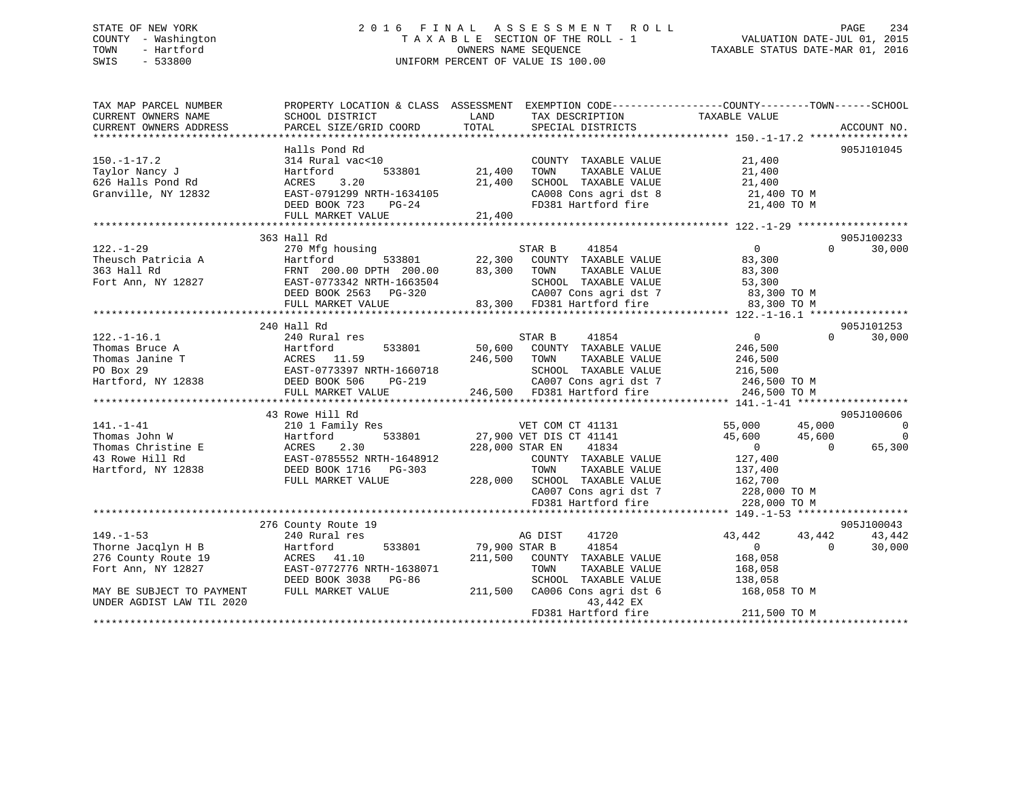## STATE OF NEW YORK 2 0 1 6 F I N A L A S S E S S M E N T R O L L PAGE 234 COUNTY - Washington T A X A B L E SECTION OF THE ROLL - 1 VALUATION DATE-JUL 01, 2015 TOWN - Hartford **TAXABLE STATUS DATE-MAR 01, 2016** OWNERS NAME SEQUENCE TAXABLE STATUS DATE-MAR 01, 2016 SWIS - 533800 UNIFORM PERCENT OF VALUE IS 100.00

| TAX MAP PARCEL NUMBER<br>CURRENT OWNERS NAME | SCHOOL DISTRICT                                                                                    | LAND<br>TAX DESCRIPTION                        | PROPERTY LOCATION & CLASS ASSESSMENT EXEMPTION CODE----------------COUNTY-------TOWN------SCHOOL<br>TAXABLE VALUE |
|----------------------------------------------|----------------------------------------------------------------------------------------------------|------------------------------------------------|-------------------------------------------------------------------------------------------------------------------|
| CURRENT OWNERS ADDRESS                       | PARCEL SIZE/GRID COORD                                                                             | TOTAL<br>SPECIAL DISTRICTS                     | ACCOUNT NO.                                                                                                       |
|                                              | Halls Pond Rd                                                                                      |                                                | 905J101045                                                                                                        |
| $150. - 1 - 17.2$                            | 314 Rural vac<10                                                                                   | COUNTY TAXABLE VALUE                           | 21,400                                                                                                            |
| Taylor Nancy J                               | 533801<br>Hartford                                                                                 | 21,400<br>TAXABLE VALUE<br>TOWN                | 21,400                                                                                                            |
| 626 Halls Pond Rd                            | 3.20<br>ACRES                                                                                      | SCHOOL TAXABLE VALUE<br>21,400                 | 21,400                                                                                                            |
| Granville, NY 12832                          | EAST-0791299 NRTH-1634105                                                                          | SCHOOL TAXABLE VALUE<br>CA008 Cons agri dst 8  | 21,400 TO M                                                                                                       |
|                                              | DEED BOOK 723<br>$PG-24$                                                                           | FD381 Hartford fire 21,400 TO M                |                                                                                                                   |
|                                              | FULL MARKET VALUE                                                                                  | 21,400                                         |                                                                                                                   |
|                                              |                                                                                                    |                                                |                                                                                                                   |
|                                              | 363 Hall Rd                                                                                        |                                                | 905J100233                                                                                                        |
| $122. - 1 - 29$                              | 270 Mfg housing                                                                                    | STAR B<br>41854                                | $\overline{0}$<br>30,000<br>$0 \qquad \qquad$                                                                     |
| Theusch Patricia A                           | $\begin{array}{cccc} 533801 & 22,300 \\ 0 & \text{DPTH} & 200.00 & 83,300 \end{array}$<br>Hartford | ---<br>COUNTY TAXABLE VALUE                    | 83,300                                                                                                            |
| 363 Hall Rd                                  | FRNT 200.00 DPTH 200.00                                                                            | 83,300<br>TAXABLE VALUE<br>TOWN                | 83,300                                                                                                            |
| Fort Ann, NY 12827                           | EAST-0773342 NRTH-1663504                                                                          | SCHOOL TAXABLE VALUE                           | 53,300                                                                                                            |
|                                              | EAS1-0773342 NRTH-1663504<br>DEED BOOK 2563 PG-320                                                 | CA007 Cons agri dst 7                          | 83,300 TO M                                                                                                       |
|                                              | FULL MARKET VALUE                                                                                  | 83,300 FD381 Hartford fire                     | 83,300 TO M                                                                                                       |
|                                              |                                                                                                    |                                                |                                                                                                                   |
|                                              | 240 Hall Rd                                                                                        |                                                | 905J101253                                                                                                        |
| $122. - 1 - 16.1$                            | 240 Rural res                                                                                      | STAR B<br>41854                                | 30,000<br>$\overline{0}$<br>$\Omega$                                                                              |
| Thomas Bruce A                               | 533801<br>Hartford                                                                                 | 50,600<br>COUNTY TAXABLE VALUE                 | 246,500                                                                                                           |
| Thomas Janine T                              | ACRES 11.59<br>EAST-0773397 NRTH-1660718                                                           | 246,500<br>TOWN<br>TAXABLE VALUE               | 246,500                                                                                                           |
| PO Box 29                                    |                                                                                                    | SCHOOL TAXABLE VALUE                           | 216,500                                                                                                           |
| Hartford, NY 12838 DEED BOOK 506             | PG-219                                                                                             | CA007 Cons agri dst 7                          | 246,500 TO M                                                                                                      |
|                                              | FULL MARKET VALUE                                                                                  | 246,500 FD381 Hartford fire                    | 246,500 TO M                                                                                                      |
|                                              |                                                                                                    |                                                |                                                                                                                   |
|                                              | 43 Rowe Hill Rd                                                                                    |                                                | 905J100606                                                                                                        |
| $141. - 1 - 41$                              | 210 1 Family Res                                                                                   | VET COM CT 41131                               | 55,000 45,000<br>$\sim$ 0                                                                                         |
| Thomas John W                                | 533801<br>Hartford 533801<br>E ACRES 2.30<br>EAST-0785552 NRTH-1648912<br>8 DEED BOOK 1716 PG-303  | 27,900 VET DIS CT 41141                        | 45,600<br>$\overline{0}$<br>45,600                                                                                |
| Thomas Christine E                           |                                                                                                    | 228,000 STAR EN<br>41834                       | $\overline{0}$<br>$\overline{0}$<br>65,300                                                                        |
| 43 Rowe Hill Rd                              |                                                                                                    | COUNTY TAXABLE VALUE                           | 127,400                                                                                                           |
| Hartford, NY 12838                           | DEED BOOK 1716 PG-303                                                                              | TAXABLE VALUE<br>TOWN                          | 137,400                                                                                                           |
|                                              | FULL MARKET VALUE                                                                                  | 228,000 SCHOOL TAXABLE VALUE                   | 162,700                                                                                                           |
|                                              |                                                                                                    | CA007 Cons agri dst 7<br>CA007 Cons agri dst 7 | 228,000 TO M                                                                                                      |
|                                              |                                                                                                    | FD381 Hartford fire                            | 228,000 TO M                                                                                                      |
|                                              |                                                                                                    |                                                |                                                                                                                   |
|                                              | 276 County Route 19                                                                                |                                                | 905J100043                                                                                                        |
| $149. - 1 - 53$                              | 240 Rural res                                                                                      | AG DIST<br>41720                               | 43,442<br>43,442<br>43,442                                                                                        |
| Thorne Jacqlyn H B                           | 533801<br>Hartford                                                                                 | 79,900 STAR B<br>41854                         | $\overline{0}$<br>$\overline{0}$<br>30,000                                                                        |
| 276 County Route 19                          | ACRES 41.10                                                                                        | 211,500<br>COUNTY TAXABLE VALUE                | 168,058                                                                                                           |
| Fort Ann, NY 12827                           | EAST-0772776 NRTH-1638071                                                                          | TAXABLE VALUE<br>TOWN                          | 168,058                                                                                                           |
|                                              | DEED BOOK 3038<br>PG-86                                                                            | SCHOOL TAXABLE VALUE                           | 138,058                                                                                                           |
| MAY BE SUBJECT TO PAYMENT                    | FULL MARKET VALUE                                                                                  | 211,500<br>CA006 Cons agri dst 6               | 168,058 TO M                                                                                                      |
| UNDER AGDIST LAW TIL 2020                    |                                                                                                    | 43,442 EX                                      |                                                                                                                   |
|                                              |                                                                                                    | FD381 Hartford fire                            | 211,500 TO M                                                                                                      |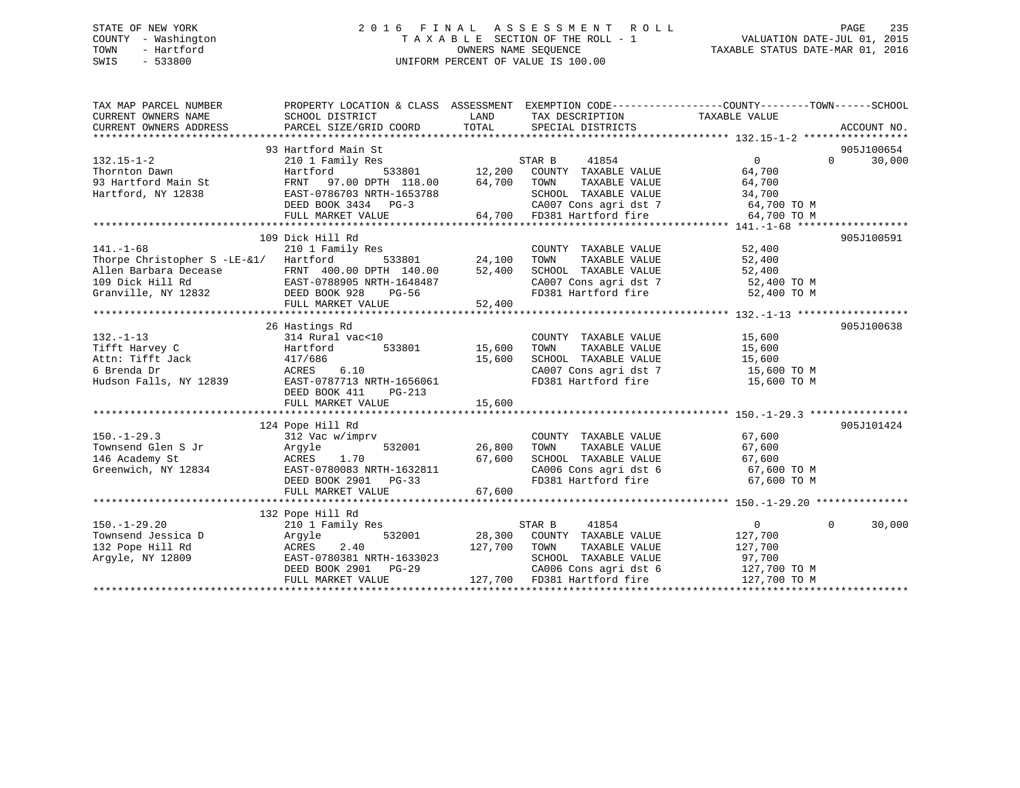## STATE OF NEW YORK 2 0 1 6 F I N A L A S S E S S M E N T R O L L PAGE 235 COUNTY - Washington T A X A B L E SECTION OF THE ROLL - 1 VALUATION DATE-JUL 01, 2015 TOWN - Hartford **TAXABLE STATUS DATE-MAR 01, 2016** OWNERS NAME SEQUENCE TAXABLE STATUS DATE-MAR 01, 2016 SWIS - 533800 UNIFORM PERCENT OF VALUE IS 100.00

| TAX MAP PARCEL NUMBER<br>CURRENT OWNERS NAME<br>CURRENT OWNERS ADDRESS                                                                        | PROPERTY LOCATION & CLASS ASSESSMENT EXEMPTION CODE---------------COUNTY-------TOWN------SCHOOL<br>SCHOOL DISTRICT<br>PARCEL SIZE/GRID COORD | TOTAL         | LAND TAX DESCRIPTION<br>SPECIAL DISTRICTS                                                                                                                        | TAXABLE VALUE  | ACCOUNT NO.        |
|-----------------------------------------------------------------------------------------------------------------------------------------------|----------------------------------------------------------------------------------------------------------------------------------------------|---------------|------------------------------------------------------------------------------------------------------------------------------------------------------------------|----------------|--------------------|
|                                                                                                                                               |                                                                                                                                              |               |                                                                                                                                                                  |                |                    |
|                                                                                                                                               | 93 Hartford Main St                                                                                                                          |               |                                                                                                                                                                  |                | 905J100654         |
| $132.15 - 1 - 2$                                                                                                                              | 210 1 Family Res                                                                                                                             |               | STAR B<br>41854                                                                                                                                                  | $\overline{0}$ | $\Omega$<br>30,000 |
| Thornton Dawn                                                                                                                                 | Hartford                                                                                                                                     |               | $533801 \qquad 12,200 \qquad \text{COUNTY} \quad \text{TAXABLE VALUE}$<br>$\text{DFH} \quad 118.00 \qquad 64,700 \qquad \text{TOWN} \qquad \text{TAXABLE VALUE}$ | 64,700         |                    |
| 93 Hartford Main St                                                                                                                           | FRNT 97.00 DPTH 118.00                                                                                                                       |               |                                                                                                                                                                  | 64,700         |                    |
| Hartford, NY 12838                                                                                                                            | EAST-0786703 NRTH-1653788                                                                                                                    |               | SCHOOL TAXABLE VALUE                                                                                                                                             | 34,700         |                    |
|                                                                                                                                               | DEED BOOK 3434 PG-3                                                                                                                          |               |                                                                                                                                                                  |                |                    |
|                                                                                                                                               | FULL MARKET VALUE                                                                                                                            | 64,700        | CA007 Cons agri dst 7 64,700 TO M<br>64,700 FD381 Hartford fire 64,700 TO M                                                                                      |                |                    |
|                                                                                                                                               |                                                                                                                                              |               |                                                                                                                                                                  |                |                    |
|                                                                                                                                               | 109 Dick Hill Rd                                                                                                                             |               |                                                                                                                                                                  |                | 905J100591         |
| $141. - 1 - 68$                                                                                                                               | 210 1 Family Res                                                                                                                             |               | COUNTY TAXABLE VALUE                                                                                                                                             | 52,400         |                    |
| Thorpe Christopher S -LE-&1/ Hartford                                                                                                         |                                                                                                                                              | 533801 24,100 | TOWN<br>TAXABLE VALUE                                                                                                                                            | 52,400         |                    |
|                                                                                                                                               |                                                                                                                                              |               |                                                                                                                                                                  | 52,400         |                    |
|                                                                                                                                               |                                                                                                                                              |               |                                                                                                                                                                  | 52,400 TO M    |                    |
| Allen Barbara Decease FRNT 400.00 DPTH 140.00 52,400<br>109 Dick Hill Rd EAST-0788905 NRTH-1648487<br>Granville, NY 12832 DEED BOOK 928 PG-56 |                                                                                                                                              |               | SCHOOL TAXABLE VALUE<br>CA007 Cons agri dst 7<br>FD381 Hartford fire                                                                                             | 52,400 TO M    |                    |
|                                                                                                                                               | FULL MARKET VALUE                                                                                                                            | 52,400        |                                                                                                                                                                  |                |                    |
|                                                                                                                                               |                                                                                                                                              |               |                                                                                                                                                                  |                |                    |
|                                                                                                                                               | 26 Hastings Rd                                                                                                                               |               |                                                                                                                                                                  |                | 905J100638         |
| $132. - 1 - 13$                                                                                                                               | $314$ Rural vac<10 $\qquad \qquad$ COUNTY<br>Hartford 533801 $15,600$ TOWN                                                                   |               | COUNTY TAXABLE VALUE                                                                                                                                             | 15,600         |                    |
| Tifft Harvey C                                                                                                                                |                                                                                                                                              |               | TAXABLE VALUE                                                                                                                                                    | 15,600         |                    |
| 417/686<br>Attn: Tifft Jack                                                                                                                   |                                                                                                                                              | 15,600        | SCHOOL TAXABLE VALUE                                                                                                                                             | 15,600         |                    |
|                                                                                                                                               | 6.10<br>ACRES                                                                                                                                |               | CA007 Cons agri dst 7 $15,600$ TO M                                                                                                                              |                |                    |
| 6 Brenda Dr<br>Hudson Falls, NY 12839                                                                                                         | EAST-0787713 NRTH-1656061                                                                                                                    |               | FD381 Hartford fire                                                                                                                                              | 15,600 TO M    |                    |
|                                                                                                                                               | DEED BOOK 411<br>PG-213                                                                                                                      |               |                                                                                                                                                                  |                |                    |
|                                                                                                                                               | FULL MARKET VALUE                                                                                                                            | 15,600        |                                                                                                                                                                  |                |                    |
|                                                                                                                                               |                                                                                                                                              |               |                                                                                                                                                                  |                |                    |
|                                                                                                                                               | 124 Pope Hill Rd                                                                                                                             |               |                                                                                                                                                                  | 67,600         | 905J101424         |
| $150. - 1 - 29.3$                                                                                                                             | 312 Vac w/imprv                                                                                                                              |               | COUNTY TAXABLE VALUE                                                                                                                                             |                |                    |
| Townsend Glen S Jr                                                                                                                            | Arqyle                                                                                                                                       | 532001 26,800 | TAXABLE VALUE<br>TOWN                                                                                                                                            |                |                    |
| 146 Academy St                                                                                                                                | ACRES 1.70                                                                                                                                   | 67,600        | SCHOOL TAXABLE VALUE                                                                                                                                             | 67,600         |                    |
| Greenwich, NY 12834                                                                                                                           | EAST-0780083 NRTH-1632811                                                                                                                    |               | CA006 Cons agri dst 6 67,600 TO M                                                                                                                                |                |                    |
|                                                                                                                                               | DEED BOOK 2901 PG-33                                                                                                                         |               | FD381 Hartford fire                                                                                                                                              | 67,600 TO M    |                    |
|                                                                                                                                               | FULL MARKET VALUE                                                                                                                            | 67,600        |                                                                                                                                                                  |                |                    |
|                                                                                                                                               |                                                                                                                                              |               |                                                                                                                                                                  |                |                    |
|                                                                                                                                               | 132 Pope Hill Rd                                                                                                                             |               |                                                                                                                                                                  |                |                    |
| $150. - 1 - 29.20$                                                                                                                            | 210 1 Family Res                                                                                                                             |               | STAR B<br>41854                                                                                                                                                  | $\overline{0}$ | $\Omega$<br>30,000 |
| Townsend Jessica D                                                                                                                            | 532001<br>Arqyle                                                                                                                             |               | 28,300 COUNTY TAXABLE VALUE                                                                                                                                      | 127,700        |                    |
| 132 Pope Hill Rd                                                                                                                              | 2.40<br>ACRES                                                                                                                                | 127,700 TOWN  | TAXABLE VALUE                                                                                                                                                    | 127,700        |                    |
| Argyle, NY 12809                                                                                                                              | EAST-0780381 NRTH-1633023                                                                                                                    |               | SCHOOL TAXABLE VALUE                                                                                                                                             | 97,700         |                    |
|                                                                                                                                               | DEED BOOK 2901 PG-29                                                                                                                         |               | CA006 Cons agri dst 6                                                                                                                                            | 127,700 TO M   |                    |
|                                                                                                                                               | FULL MARKET VALUE                                                                                                                            |               | $127,700$ FD381 Hartford fire                                                                                                                                    | 127,700 TO M   |                    |
|                                                                                                                                               |                                                                                                                                              |               |                                                                                                                                                                  |                |                    |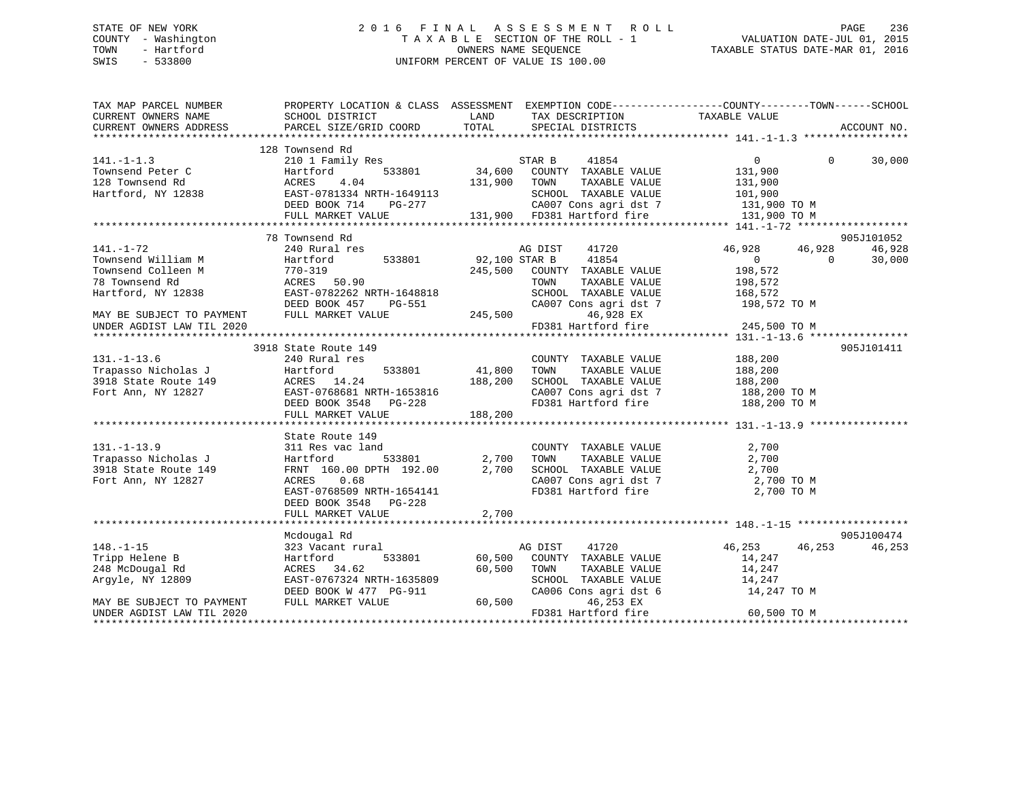## STATE OF NEW YORK 2 0 1 6 F I N A L A S S E S S M E N T R O L L PAGE 236 COUNTY - Washington T A X A B L E SECTION OF THE ROLL - 1 VALUATION DATE-JUL 01, 2015 TOWN - Hartford OWNERS NAME SEQUENCE TAXABLE STATUS DATE-MAR 01, 2016 SWIS - 533800 UNIFORM PERCENT OF VALUE IS 100.00

| TAXABLE VALUE<br>CURRENT OWNERS NAME<br>SCHOOL DISTRICT<br>LAND<br>TAX DESCRIPTION<br>CURRENT OWNERS ADDRESS<br>PARCEL SIZE/GRID COORD<br>TOTAL<br>SPECIAL DISTRICTS<br>ACCOUNT NO.<br>128 Townsend Rd<br>210 1 Family Res<br>41854<br>$\overline{0}$<br>$\Omega$<br>30,000<br>STAR B<br>533801 34,600 COUNTY TAXABLE VALUE<br>Townsend Peter C<br>Hartford<br>131,900<br>ACRES<br>4.04<br>131,900 TOWN<br>TAXABLE VALUE<br>131,900<br>$RATford$ , NY 12838 (ACAST-0781334 NRTH-1649113 (AND TAXABLE VALUE 101,900<br>BEED BOOK 714 PG-277 (AND CARAGE VALUE 131,900 TO M<br>FULL MARKET VALUE 131,900 FD381 Hartford fire 131,900 TO M<br>FULL MARKET VALUE 131,900 FD381 Har<br>78 Townsend Rd<br>905J101052<br>41720<br>46,928 46,928<br>46,928<br>240 Rural res<br>AG DIST<br>92,100 STAR B<br>533801<br>41854<br>$\overline{0}$<br>Hartford<br>$\Omega$<br>30,000<br>HAILLOID<br>770–319<br>ACRES !<br>EAST-078:<br>245,500<br>Townsend Colleen M<br>COUNTY TAXABLE VALUE<br>198,572<br>78 Townsend Rd<br>ACRES 50.90<br>TOWN       TAXABLE  VALUE<br>SCHOOL    TAXABLE  VALUE<br>198,572<br>168,572<br>EAST-0782262 NRTH-1648818<br>Hartford, NY 12838<br>CA007 Cons agri dst 7 198,572 TO M<br>$G-551$ CA007 C<br>245,500<br>DEED BOOK 457<br>PG-551<br>MAY BE SUBJECT TO PAYMENT<br>FULL MARKET VALUE<br>46,928 EX<br>FD381 Hartford fire 245,500 TO M<br>UNDER AGDIST LAW TIL 2020<br>905J101411<br>3918 State Route 149<br>$131. - 1 - 13.6$<br>188,200<br>188,200<br>240 Rural res<br>COUNTY TAXABLE VALUE<br>Trapasso Nicholas J<br>533801 41,800<br>Hartford<br>TAXABLE VALUE<br>TOWN<br>ACRES 14.24 188,200<br>EAST-0768681 NRTH-1653816 188,200<br>DEED BOOK 3548 PG-228<br>3918 State Route 149<br>SCHOOL TAXABLE VALUE<br>188,200<br>Fort Ann, NY 12827<br>CA007 Cons agri dst 7<br>188,200 TO M<br>FD381 Hartford fire 188,200 TO M<br>FULL MARKET VALUE<br>188,200<br>State Route 149<br>2,700<br>311 Res vac land<br>COUNTY TAXABLE VALUE<br>533801 2,700<br>131.-1-13.9<br>Trapasso Nicholas J<br>Decesion 140<br>TAXABLE VALUE<br>2,700<br>Hartford<br>TOWN<br>3918 State Route 149<br>FRNT 160.00 DPTH 192.00<br>2,700<br>SCHOOL TAXABLE VALUE<br>2,700<br>CA007 Cons agri dst 7 2,700 TO M<br>Fort Ann, NY 12827<br>0.68<br>ACRES<br>FD381 Hartford fire<br>EAST-0768509 NRTH-1654141<br>2,700 TO M<br>DEED BOOK 3548 PG-228<br>2,700<br>FULL MARKET VALUE<br>905J100474<br>Mcdougal Rd<br>$148. - 1 - 15$<br>41720<br>46,253 46,253<br>46,253<br>323 Vacant rural<br>AG DIST<br>533801<br>60,500<br>COUNTY TAXABLE VALUE<br>Tripp Helene B<br>Hartford<br>14,247<br>ACRES 34.62<br>60,500<br>14,247<br>248 McDougal Rd<br>TOWN<br>TAXABLE VALUE<br>14,247<br>EAST-0767324 NRTH-1635809<br>SCHOOL TAXABLE VALUE<br>Argyle, NY 12809<br>$-911$ 60,500<br>CA006 Cons agri dst 6<br>DEED BOOK W 477 PG-911<br>14,247 TO M<br>FULL MARKET VALUE<br>46,253 EX<br>FD381 Hartford fire<br>60,500 TO M | TAX MAP PARCEL NUMBER     |  | PROPERTY LOCATION & CLASS ASSESSMENT EXEMPTION CODE----------------COUNTY-------TOWN------SCHOOL |  |
|------------------------------------------------------------------------------------------------------------------------------------------------------------------------------------------------------------------------------------------------------------------------------------------------------------------------------------------------------------------------------------------------------------------------------------------------------------------------------------------------------------------------------------------------------------------------------------------------------------------------------------------------------------------------------------------------------------------------------------------------------------------------------------------------------------------------------------------------------------------------------------------------------------------------------------------------------------------------------------------------------------------------------------------------------------------------------------------------------------------------------------------------------------------------------------------------------------------------------------------------------------------------------------------------------------------------------------------------------------------------------------------------------------------------------------------------------------------------------------------------------------------------------------------------------------------------------------------------------------------------------------------------------------------------------------------------------------------------------------------------------------------------------------------------------------------------------------------------------------------------------------------------------------------------------------------------------------------------------------------------------------------------------------------------------------------------------------------------------------------------------------------------------------------------------------------------------------------------------------------------------------------------------------------------------------------------------------------------------------------------------------------------------------------------------------------------------------------------------------------------------------------------------------------------------------------------------------------------------------------------------------------------------------------------------------------------------------------------------------------------------------------------------------------------------------------------------------------------------------------------------------------------------------------------|---------------------------|--|--------------------------------------------------------------------------------------------------|--|
|                                                                                                                                                                                                                                                                                                                                                                                                                                                                                                                                                                                                                                                                                                                                                                                                                                                                                                                                                                                                                                                                                                                                                                                                                                                                                                                                                                                                                                                                                                                                                                                                                                                                                                                                                                                                                                                                                                                                                                                                                                                                                                                                                                                                                                                                                                                                                                                                                                                                                                                                                                                                                                                                                                                                                                                                                                                                                                                        |                           |  |                                                                                                  |  |
|                                                                                                                                                                                                                                                                                                                                                                                                                                                                                                                                                                                                                                                                                                                                                                                                                                                                                                                                                                                                                                                                                                                                                                                                                                                                                                                                                                                                                                                                                                                                                                                                                                                                                                                                                                                                                                                                                                                                                                                                                                                                                                                                                                                                                                                                                                                                                                                                                                                                                                                                                                                                                                                                                                                                                                                                                                                                                                                        |                           |  |                                                                                                  |  |
|                                                                                                                                                                                                                                                                                                                                                                                                                                                                                                                                                                                                                                                                                                                                                                                                                                                                                                                                                                                                                                                                                                                                                                                                                                                                                                                                                                                                                                                                                                                                                                                                                                                                                                                                                                                                                                                                                                                                                                                                                                                                                                                                                                                                                                                                                                                                                                                                                                                                                                                                                                                                                                                                                                                                                                                                                                                                                                                        |                           |  |                                                                                                  |  |
|                                                                                                                                                                                                                                                                                                                                                                                                                                                                                                                                                                                                                                                                                                                                                                                                                                                                                                                                                                                                                                                                                                                                                                                                                                                                                                                                                                                                                                                                                                                                                                                                                                                                                                                                                                                                                                                                                                                                                                                                                                                                                                                                                                                                                                                                                                                                                                                                                                                                                                                                                                                                                                                                                                                                                                                                                                                                                                                        | $141. - 1 - 1.3$          |  |                                                                                                  |  |
|                                                                                                                                                                                                                                                                                                                                                                                                                                                                                                                                                                                                                                                                                                                                                                                                                                                                                                                                                                                                                                                                                                                                                                                                                                                                                                                                                                                                                                                                                                                                                                                                                                                                                                                                                                                                                                                                                                                                                                                                                                                                                                                                                                                                                                                                                                                                                                                                                                                                                                                                                                                                                                                                                                                                                                                                                                                                                                                        |                           |  |                                                                                                  |  |
|                                                                                                                                                                                                                                                                                                                                                                                                                                                                                                                                                                                                                                                                                                                                                                                                                                                                                                                                                                                                                                                                                                                                                                                                                                                                                                                                                                                                                                                                                                                                                                                                                                                                                                                                                                                                                                                                                                                                                                                                                                                                                                                                                                                                                                                                                                                                                                                                                                                                                                                                                                                                                                                                                                                                                                                                                                                                                                                        | 128 Townsend Rd           |  |                                                                                                  |  |
|                                                                                                                                                                                                                                                                                                                                                                                                                                                                                                                                                                                                                                                                                                                                                                                                                                                                                                                                                                                                                                                                                                                                                                                                                                                                                                                                                                                                                                                                                                                                                                                                                                                                                                                                                                                                                                                                                                                                                                                                                                                                                                                                                                                                                                                                                                                                                                                                                                                                                                                                                                                                                                                                                                                                                                                                                                                                                                                        |                           |  |                                                                                                  |  |
|                                                                                                                                                                                                                                                                                                                                                                                                                                                                                                                                                                                                                                                                                                                                                                                                                                                                                                                                                                                                                                                                                                                                                                                                                                                                                                                                                                                                                                                                                                                                                                                                                                                                                                                                                                                                                                                                                                                                                                                                                                                                                                                                                                                                                                                                                                                                                                                                                                                                                                                                                                                                                                                                                                                                                                                                                                                                                                                        |                           |  |                                                                                                  |  |
|                                                                                                                                                                                                                                                                                                                                                                                                                                                                                                                                                                                                                                                                                                                                                                                                                                                                                                                                                                                                                                                                                                                                                                                                                                                                                                                                                                                                                                                                                                                                                                                                                                                                                                                                                                                                                                                                                                                                                                                                                                                                                                                                                                                                                                                                                                                                                                                                                                                                                                                                                                                                                                                                                                                                                                                                                                                                                                                        |                           |  |                                                                                                  |  |
|                                                                                                                                                                                                                                                                                                                                                                                                                                                                                                                                                                                                                                                                                                                                                                                                                                                                                                                                                                                                                                                                                                                                                                                                                                                                                                                                                                                                                                                                                                                                                                                                                                                                                                                                                                                                                                                                                                                                                                                                                                                                                                                                                                                                                                                                                                                                                                                                                                                                                                                                                                                                                                                                                                                                                                                                                                                                                                                        |                           |  |                                                                                                  |  |
|                                                                                                                                                                                                                                                                                                                                                                                                                                                                                                                                                                                                                                                                                                                                                                                                                                                                                                                                                                                                                                                                                                                                                                                                                                                                                                                                                                                                                                                                                                                                                                                                                                                                                                                                                                                                                                                                                                                                                                                                                                                                                                                                                                                                                                                                                                                                                                                                                                                                                                                                                                                                                                                                                                                                                                                                                                                                                                                        |                           |  |                                                                                                  |  |
|                                                                                                                                                                                                                                                                                                                                                                                                                                                                                                                                                                                                                                                                                                                                                                                                                                                                                                                                                                                                                                                                                                                                                                                                                                                                                                                                                                                                                                                                                                                                                                                                                                                                                                                                                                                                                                                                                                                                                                                                                                                                                                                                                                                                                                                                                                                                                                                                                                                                                                                                                                                                                                                                                                                                                                                                                                                                                                                        | $141. - 1 - 72$           |  |                                                                                                  |  |
|                                                                                                                                                                                                                                                                                                                                                                                                                                                                                                                                                                                                                                                                                                                                                                                                                                                                                                                                                                                                                                                                                                                                                                                                                                                                                                                                                                                                                                                                                                                                                                                                                                                                                                                                                                                                                                                                                                                                                                                                                                                                                                                                                                                                                                                                                                                                                                                                                                                                                                                                                                                                                                                                                                                                                                                                                                                                                                                        | Townsend William M        |  |                                                                                                  |  |
|                                                                                                                                                                                                                                                                                                                                                                                                                                                                                                                                                                                                                                                                                                                                                                                                                                                                                                                                                                                                                                                                                                                                                                                                                                                                                                                                                                                                                                                                                                                                                                                                                                                                                                                                                                                                                                                                                                                                                                                                                                                                                                                                                                                                                                                                                                                                                                                                                                                                                                                                                                                                                                                                                                                                                                                                                                                                                                                        |                           |  |                                                                                                  |  |
|                                                                                                                                                                                                                                                                                                                                                                                                                                                                                                                                                                                                                                                                                                                                                                                                                                                                                                                                                                                                                                                                                                                                                                                                                                                                                                                                                                                                                                                                                                                                                                                                                                                                                                                                                                                                                                                                                                                                                                                                                                                                                                                                                                                                                                                                                                                                                                                                                                                                                                                                                                                                                                                                                                                                                                                                                                                                                                                        |                           |  |                                                                                                  |  |
|                                                                                                                                                                                                                                                                                                                                                                                                                                                                                                                                                                                                                                                                                                                                                                                                                                                                                                                                                                                                                                                                                                                                                                                                                                                                                                                                                                                                                                                                                                                                                                                                                                                                                                                                                                                                                                                                                                                                                                                                                                                                                                                                                                                                                                                                                                                                                                                                                                                                                                                                                                                                                                                                                                                                                                                                                                                                                                                        |                           |  |                                                                                                  |  |
|                                                                                                                                                                                                                                                                                                                                                                                                                                                                                                                                                                                                                                                                                                                                                                                                                                                                                                                                                                                                                                                                                                                                                                                                                                                                                                                                                                                                                                                                                                                                                                                                                                                                                                                                                                                                                                                                                                                                                                                                                                                                                                                                                                                                                                                                                                                                                                                                                                                                                                                                                                                                                                                                                                                                                                                                                                                                                                                        |                           |  |                                                                                                  |  |
|                                                                                                                                                                                                                                                                                                                                                                                                                                                                                                                                                                                                                                                                                                                                                                                                                                                                                                                                                                                                                                                                                                                                                                                                                                                                                                                                                                                                                                                                                                                                                                                                                                                                                                                                                                                                                                                                                                                                                                                                                                                                                                                                                                                                                                                                                                                                                                                                                                                                                                                                                                                                                                                                                                                                                                                                                                                                                                                        |                           |  |                                                                                                  |  |
|                                                                                                                                                                                                                                                                                                                                                                                                                                                                                                                                                                                                                                                                                                                                                                                                                                                                                                                                                                                                                                                                                                                                                                                                                                                                                                                                                                                                                                                                                                                                                                                                                                                                                                                                                                                                                                                                                                                                                                                                                                                                                                                                                                                                                                                                                                                                                                                                                                                                                                                                                                                                                                                                                                                                                                                                                                                                                                                        |                           |  |                                                                                                  |  |
|                                                                                                                                                                                                                                                                                                                                                                                                                                                                                                                                                                                                                                                                                                                                                                                                                                                                                                                                                                                                                                                                                                                                                                                                                                                                                                                                                                                                                                                                                                                                                                                                                                                                                                                                                                                                                                                                                                                                                                                                                                                                                                                                                                                                                                                                                                                                                                                                                                                                                                                                                                                                                                                                                                                                                                                                                                                                                                                        |                           |  |                                                                                                  |  |
|                                                                                                                                                                                                                                                                                                                                                                                                                                                                                                                                                                                                                                                                                                                                                                                                                                                                                                                                                                                                                                                                                                                                                                                                                                                                                                                                                                                                                                                                                                                                                                                                                                                                                                                                                                                                                                                                                                                                                                                                                                                                                                                                                                                                                                                                                                                                                                                                                                                                                                                                                                                                                                                                                                                                                                                                                                                                                                                        |                           |  |                                                                                                  |  |
|                                                                                                                                                                                                                                                                                                                                                                                                                                                                                                                                                                                                                                                                                                                                                                                                                                                                                                                                                                                                                                                                                                                                                                                                                                                                                                                                                                                                                                                                                                                                                                                                                                                                                                                                                                                                                                                                                                                                                                                                                                                                                                                                                                                                                                                                                                                                                                                                                                                                                                                                                                                                                                                                                                                                                                                                                                                                                                                        |                           |  |                                                                                                  |  |
|                                                                                                                                                                                                                                                                                                                                                                                                                                                                                                                                                                                                                                                                                                                                                                                                                                                                                                                                                                                                                                                                                                                                                                                                                                                                                                                                                                                                                                                                                                                                                                                                                                                                                                                                                                                                                                                                                                                                                                                                                                                                                                                                                                                                                                                                                                                                                                                                                                                                                                                                                                                                                                                                                                                                                                                                                                                                                                                        |                           |  |                                                                                                  |  |
|                                                                                                                                                                                                                                                                                                                                                                                                                                                                                                                                                                                                                                                                                                                                                                                                                                                                                                                                                                                                                                                                                                                                                                                                                                                                                                                                                                                                                                                                                                                                                                                                                                                                                                                                                                                                                                                                                                                                                                                                                                                                                                                                                                                                                                                                                                                                                                                                                                                                                                                                                                                                                                                                                                                                                                                                                                                                                                                        |                           |  |                                                                                                  |  |
|                                                                                                                                                                                                                                                                                                                                                                                                                                                                                                                                                                                                                                                                                                                                                                                                                                                                                                                                                                                                                                                                                                                                                                                                                                                                                                                                                                                                                                                                                                                                                                                                                                                                                                                                                                                                                                                                                                                                                                                                                                                                                                                                                                                                                                                                                                                                                                                                                                                                                                                                                                                                                                                                                                                                                                                                                                                                                                                        |                           |  |                                                                                                  |  |
|                                                                                                                                                                                                                                                                                                                                                                                                                                                                                                                                                                                                                                                                                                                                                                                                                                                                                                                                                                                                                                                                                                                                                                                                                                                                                                                                                                                                                                                                                                                                                                                                                                                                                                                                                                                                                                                                                                                                                                                                                                                                                                                                                                                                                                                                                                                                                                                                                                                                                                                                                                                                                                                                                                                                                                                                                                                                                                                        |                           |  |                                                                                                  |  |
|                                                                                                                                                                                                                                                                                                                                                                                                                                                                                                                                                                                                                                                                                                                                                                                                                                                                                                                                                                                                                                                                                                                                                                                                                                                                                                                                                                                                                                                                                                                                                                                                                                                                                                                                                                                                                                                                                                                                                                                                                                                                                                                                                                                                                                                                                                                                                                                                                                                                                                                                                                                                                                                                                                                                                                                                                                                                                                                        |                           |  |                                                                                                  |  |
|                                                                                                                                                                                                                                                                                                                                                                                                                                                                                                                                                                                                                                                                                                                                                                                                                                                                                                                                                                                                                                                                                                                                                                                                                                                                                                                                                                                                                                                                                                                                                                                                                                                                                                                                                                                                                                                                                                                                                                                                                                                                                                                                                                                                                                                                                                                                                                                                                                                                                                                                                                                                                                                                                                                                                                                                                                                                                                                        |                           |  |                                                                                                  |  |
|                                                                                                                                                                                                                                                                                                                                                                                                                                                                                                                                                                                                                                                                                                                                                                                                                                                                                                                                                                                                                                                                                                                                                                                                                                                                                                                                                                                                                                                                                                                                                                                                                                                                                                                                                                                                                                                                                                                                                                                                                                                                                                                                                                                                                                                                                                                                                                                                                                                                                                                                                                                                                                                                                                                                                                                                                                                                                                                        |                           |  |                                                                                                  |  |
|                                                                                                                                                                                                                                                                                                                                                                                                                                                                                                                                                                                                                                                                                                                                                                                                                                                                                                                                                                                                                                                                                                                                                                                                                                                                                                                                                                                                                                                                                                                                                                                                                                                                                                                                                                                                                                                                                                                                                                                                                                                                                                                                                                                                                                                                                                                                                                                                                                                                                                                                                                                                                                                                                                                                                                                                                                                                                                                        |                           |  |                                                                                                  |  |
|                                                                                                                                                                                                                                                                                                                                                                                                                                                                                                                                                                                                                                                                                                                                                                                                                                                                                                                                                                                                                                                                                                                                                                                                                                                                                                                                                                                                                                                                                                                                                                                                                                                                                                                                                                                                                                                                                                                                                                                                                                                                                                                                                                                                                                                                                                                                                                                                                                                                                                                                                                                                                                                                                                                                                                                                                                                                                                                        |                           |  |                                                                                                  |  |
|                                                                                                                                                                                                                                                                                                                                                                                                                                                                                                                                                                                                                                                                                                                                                                                                                                                                                                                                                                                                                                                                                                                                                                                                                                                                                                                                                                                                                                                                                                                                                                                                                                                                                                                                                                                                                                                                                                                                                                                                                                                                                                                                                                                                                                                                                                                                                                                                                                                                                                                                                                                                                                                                                                                                                                                                                                                                                                                        |                           |  |                                                                                                  |  |
|                                                                                                                                                                                                                                                                                                                                                                                                                                                                                                                                                                                                                                                                                                                                                                                                                                                                                                                                                                                                                                                                                                                                                                                                                                                                                                                                                                                                                                                                                                                                                                                                                                                                                                                                                                                                                                                                                                                                                                                                                                                                                                                                                                                                                                                                                                                                                                                                                                                                                                                                                                                                                                                                                                                                                                                                                                                                                                                        |                           |  |                                                                                                  |  |
|                                                                                                                                                                                                                                                                                                                                                                                                                                                                                                                                                                                                                                                                                                                                                                                                                                                                                                                                                                                                                                                                                                                                                                                                                                                                                                                                                                                                                                                                                                                                                                                                                                                                                                                                                                                                                                                                                                                                                                                                                                                                                                                                                                                                                                                                                                                                                                                                                                                                                                                                                                                                                                                                                                                                                                                                                                                                                                                        |                           |  |                                                                                                  |  |
|                                                                                                                                                                                                                                                                                                                                                                                                                                                                                                                                                                                                                                                                                                                                                                                                                                                                                                                                                                                                                                                                                                                                                                                                                                                                                                                                                                                                                                                                                                                                                                                                                                                                                                                                                                                                                                                                                                                                                                                                                                                                                                                                                                                                                                                                                                                                                                                                                                                                                                                                                                                                                                                                                                                                                                                                                                                                                                                        |                           |  |                                                                                                  |  |
|                                                                                                                                                                                                                                                                                                                                                                                                                                                                                                                                                                                                                                                                                                                                                                                                                                                                                                                                                                                                                                                                                                                                                                                                                                                                                                                                                                                                                                                                                                                                                                                                                                                                                                                                                                                                                                                                                                                                                                                                                                                                                                                                                                                                                                                                                                                                                                                                                                                                                                                                                                                                                                                                                                                                                                                                                                                                                                                        |                           |  |                                                                                                  |  |
|                                                                                                                                                                                                                                                                                                                                                                                                                                                                                                                                                                                                                                                                                                                                                                                                                                                                                                                                                                                                                                                                                                                                                                                                                                                                                                                                                                                                                                                                                                                                                                                                                                                                                                                                                                                                                                                                                                                                                                                                                                                                                                                                                                                                                                                                                                                                                                                                                                                                                                                                                                                                                                                                                                                                                                                                                                                                                                                        |                           |  |                                                                                                  |  |
|                                                                                                                                                                                                                                                                                                                                                                                                                                                                                                                                                                                                                                                                                                                                                                                                                                                                                                                                                                                                                                                                                                                                                                                                                                                                                                                                                                                                                                                                                                                                                                                                                                                                                                                                                                                                                                                                                                                                                                                                                                                                                                                                                                                                                                                                                                                                                                                                                                                                                                                                                                                                                                                                                                                                                                                                                                                                                                                        |                           |  |                                                                                                  |  |
|                                                                                                                                                                                                                                                                                                                                                                                                                                                                                                                                                                                                                                                                                                                                                                                                                                                                                                                                                                                                                                                                                                                                                                                                                                                                                                                                                                                                                                                                                                                                                                                                                                                                                                                                                                                                                                                                                                                                                                                                                                                                                                                                                                                                                                                                                                                                                                                                                                                                                                                                                                                                                                                                                                                                                                                                                                                                                                                        |                           |  |                                                                                                  |  |
|                                                                                                                                                                                                                                                                                                                                                                                                                                                                                                                                                                                                                                                                                                                                                                                                                                                                                                                                                                                                                                                                                                                                                                                                                                                                                                                                                                                                                                                                                                                                                                                                                                                                                                                                                                                                                                                                                                                                                                                                                                                                                                                                                                                                                                                                                                                                                                                                                                                                                                                                                                                                                                                                                                                                                                                                                                                                                                                        |                           |  |                                                                                                  |  |
|                                                                                                                                                                                                                                                                                                                                                                                                                                                                                                                                                                                                                                                                                                                                                                                                                                                                                                                                                                                                                                                                                                                                                                                                                                                                                                                                                                                                                                                                                                                                                                                                                                                                                                                                                                                                                                                                                                                                                                                                                                                                                                                                                                                                                                                                                                                                                                                                                                                                                                                                                                                                                                                                                                                                                                                                                                                                                                                        |                           |  |                                                                                                  |  |
|                                                                                                                                                                                                                                                                                                                                                                                                                                                                                                                                                                                                                                                                                                                                                                                                                                                                                                                                                                                                                                                                                                                                                                                                                                                                                                                                                                                                                                                                                                                                                                                                                                                                                                                                                                                                                                                                                                                                                                                                                                                                                                                                                                                                                                                                                                                                                                                                                                                                                                                                                                                                                                                                                                                                                                                                                                                                                                                        |                           |  |                                                                                                  |  |
|                                                                                                                                                                                                                                                                                                                                                                                                                                                                                                                                                                                                                                                                                                                                                                                                                                                                                                                                                                                                                                                                                                                                                                                                                                                                                                                                                                                                                                                                                                                                                                                                                                                                                                                                                                                                                                                                                                                                                                                                                                                                                                                                                                                                                                                                                                                                                                                                                                                                                                                                                                                                                                                                                                                                                                                                                                                                                                                        |                           |  |                                                                                                  |  |
|                                                                                                                                                                                                                                                                                                                                                                                                                                                                                                                                                                                                                                                                                                                                                                                                                                                                                                                                                                                                                                                                                                                                                                                                                                                                                                                                                                                                                                                                                                                                                                                                                                                                                                                                                                                                                                                                                                                                                                                                                                                                                                                                                                                                                                                                                                                                                                                                                                                                                                                                                                                                                                                                                                                                                                                                                                                                                                                        |                           |  |                                                                                                  |  |
|                                                                                                                                                                                                                                                                                                                                                                                                                                                                                                                                                                                                                                                                                                                                                                                                                                                                                                                                                                                                                                                                                                                                                                                                                                                                                                                                                                                                                                                                                                                                                                                                                                                                                                                                                                                                                                                                                                                                                                                                                                                                                                                                                                                                                                                                                                                                                                                                                                                                                                                                                                                                                                                                                                                                                                                                                                                                                                                        | MAY BE SUBJECT TO PAYMENT |  |                                                                                                  |  |
|                                                                                                                                                                                                                                                                                                                                                                                                                                                                                                                                                                                                                                                                                                                                                                                                                                                                                                                                                                                                                                                                                                                                                                                                                                                                                                                                                                                                                                                                                                                                                                                                                                                                                                                                                                                                                                                                                                                                                                                                                                                                                                                                                                                                                                                                                                                                                                                                                                                                                                                                                                                                                                                                                                                                                                                                                                                                                                                        | UNDER AGDIST LAW TIL 2020 |  |                                                                                                  |  |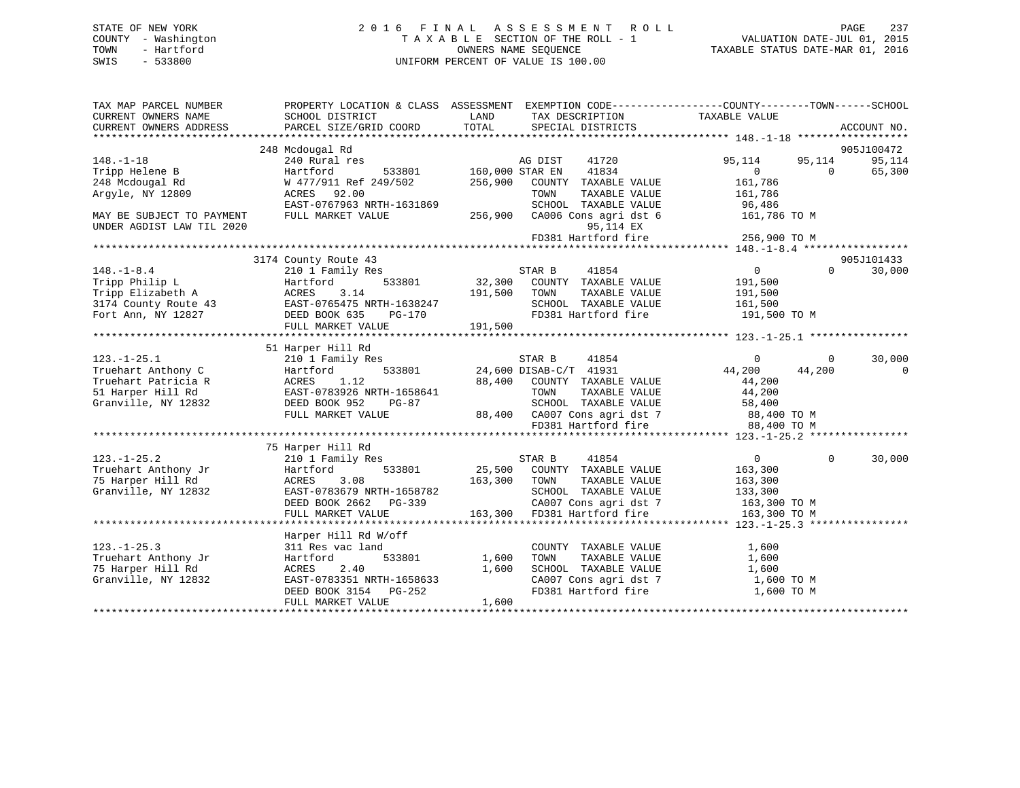## STATE OF NEW YORK 2 0 1 6 F I N A L A S S E S S M E N T R O L L PAGE 237 COUNTY - Washington T A X A B L E SECTION OF THE ROLL - 1 VALUATION DATE-JUL 01, 2015 TOWN - Hartford **TAXABLE STATUS DATE-MAR 01, 2016** OWNERS NAME SEQUENCE TAXABLE STATUS DATE-MAR 01, 2016 SWIS - 533800 UNIFORM PERCENT OF VALUE IS 100.00

| TAX MAP PARCEL NUMBER<br>CURRENT OWNERS NAME           | SCHOOL DISTRICT                  | LAND            | TAX DESCRIPTION                                     | PROPERTY LOCATION & CLASS ASSESSMENT EXEMPTION CODE---------------COUNTY-------TOWN------SCHOOL<br>TAXABLE VALUE |                      |
|--------------------------------------------------------|----------------------------------|-----------------|-----------------------------------------------------|------------------------------------------------------------------------------------------------------------------|----------------------|
| CURRENT OWNERS ADDRESS                                 | PARCEL SIZE/GRID COORD           | TOTAL           | SPECIAL DISTRICTS                                   |                                                                                                                  | ACCOUNT NO.          |
|                                                        |                                  |                 |                                                     |                                                                                                                  |                      |
| $148. - 1 - 18$                                        | 248 Mcdougal Rd<br>240 Rural res |                 | 41720                                               | 95,114<br>95,114                                                                                                 | 905J100472<br>95,114 |
| Tripp Helene B                                         | Hartford<br>533801               | 160,000 STAR EN | AG DIST<br>41834                                    | $\overline{0}$<br>$\Omega$                                                                                       | 65,300               |
| 248 Mcdougal Rd                                        | W 477/911 Ref 249/502            | 256,900         | COUNTY TAXABLE VALUE                                | 161,786                                                                                                          |                      |
| Arqyle, NY 12809                                       | ACRES 92.00                      |                 | TOWN<br>TAXABLE VALUE                               | 161,786                                                                                                          |                      |
|                                                        | EAST-0767963 NRTH-1631869        |                 | SCHOOL TAXABLE VALUE                                | 96,486                                                                                                           |                      |
|                                                        |                                  |                 |                                                     |                                                                                                                  |                      |
| MAY BE SUBJECT TO PAYMENT<br>UNDER AGDIST LAW TIL 2020 | FULL MARKET VALUE                | 256,900         | CA006 Cons agri dst 6<br>95,114 EX                  | 161,786 TO M                                                                                                     |                      |
|                                                        |                                  |                 | FD381 Hartford fire                                 | 256,900 TO M                                                                                                     |                      |
|                                                        |                                  |                 |                                                     |                                                                                                                  |                      |
|                                                        | 3174 County Route 43             |                 |                                                     |                                                                                                                  | 905J101433           |
| $148. - 1 - 8.4$                                       | 210 1 Family Res                 |                 | STAR B<br>41854                                     | $0 \qquad \qquad$<br>$\Omega$                                                                                    | 30,000               |
| Tripp Philip L                                         | 533801<br>Hartford               | 32,300          | COUNTY TAXABLE VALUE                                | 191,500                                                                                                          |                      |
| Tripp Elizabeth A                                      | ACRES<br>3.14                    | 191,500         | TAXABLE VALUE<br>TOWN                               | 191,500                                                                                                          |                      |
| 3174 County Route 43                                   | EAST-0765475 NRTH-1638247        |                 | SCHOOL TAXABLE VALUE                                | 161,500                                                                                                          |                      |
|                                                        | EAST-0765475 N<br>DEED BOOK 635  |                 | FD381 Hartford fire                                 |                                                                                                                  |                      |
| Fort Ann, NY 12827                                     | PG-170<br>FULL MARKET VALUE      |                 |                                                     | 191,500 TO M                                                                                                     |                      |
|                                                        |                                  | 191,500         |                                                     |                                                                                                                  |                      |
|                                                        | 51 Harper Hill Rd                |                 |                                                     |                                                                                                                  |                      |
| $123. - 1 - 25.1$                                      | 210 1 Family Res                 |                 | STAR B<br>41854                                     | $\Omega$<br>$\Omega$                                                                                             | 30,000               |
| Truehart Anthony C                                     | Hartford<br>533801               |                 | 24,600 DISAB-C/T 41931                              | 44,200<br>44,200                                                                                                 | $\overline{0}$       |
| Truehart Patricia R                                    | ACRES<br>1.12                    | 88,400          | COUNTY TAXABLE VALUE                                | 44,200                                                                                                           |                      |
| 51 Harper Hill Rd                                      | EAST-0783926 NRTH-1658641        |                 | TOWN<br>TAXABLE VALUE                               | 44,200                                                                                                           |                      |
| Granville, NY 12832                                    | DEED BOOK 952<br>$PG-87$         |                 | SCHOOL TAXABLE VALUE                                | 58,400                                                                                                           |                      |
|                                                        | FULL MARKET VALUE                |                 |                                                     |                                                                                                                  |                      |
|                                                        |                                  |                 | 88,400 CA007 Cons agri dst 7<br>FD381 Hartford fire | 88,400 TO M<br>88,400 TO M                                                                                       |                      |
|                                                        |                                  |                 |                                                     |                                                                                                                  |                      |
|                                                        | 75 Harper Hill Rd                |                 |                                                     |                                                                                                                  |                      |
| $123. - 1 - 25.2$                                      | 210 1 Family Res                 |                 | 41854<br>STAR B                                     | 0<br>$\Omega$                                                                                                    | 30,000               |
| Truehart Anthony Jr                                    | 533801<br>Hartford               |                 | 25,500 COUNTY TAXABLE VALUE                         | 163,300                                                                                                          |                      |
| 75 Harper Hill Rd                                      | 3.08<br>ACRES                    | 163,300         | TAXABLE VALUE<br>TOWN                               |                                                                                                                  |                      |
| Granville, NY 12832                                    | EAST-0783679 NRTH-1658782        |                 | SCHOOL TAXABLE VALUE                                | 163,300<br>133,300                                                                                               |                      |
|                                                        | DEED BOOK 2662 PG-339            |                 | CA007 Cons agri dst 7                               | $163,300$ TO M                                                                                                   |                      |
|                                                        | FULL MARKET VALUE                | 163,300         | FD381 Hartford fire                                 | 163,300 TO M                                                                                                     |                      |
|                                                        |                                  |                 |                                                     |                                                                                                                  |                      |
|                                                        | Harper Hill Rd W/off             |                 |                                                     |                                                                                                                  |                      |
| $123. - 1 - 25.3$                                      | 311 Res vac land                 |                 | COUNTY TAXABLE VALUE                                | 1,600                                                                                                            |                      |
| Truehart Anthony Jr                                    | 533801<br>Hartford               | 1,600           | TAXABLE VALUE<br>TOWN                               | 1,600                                                                                                            |                      |
| 75 Harper Hill Rd                                      | ACRES<br>2.40                    | 1,600           | SCHOOL TAXABLE VALUE                                | 1,600                                                                                                            |                      |
| Granville, NY 12832                                    | EAST-0783351 NRTH-1658633        |                 | CA007 Cons agri dst 7                               | 1,600 TO M                                                                                                       |                      |
|                                                        | DEED BOOK 3154 PG-252            |                 | FD381 Hartford fire                                 | 1,600 TO M                                                                                                       |                      |
|                                                        | FULL MARKET VALUE                | 1,600           |                                                     |                                                                                                                  |                      |
|                                                        |                                  |                 |                                                     |                                                                                                                  |                      |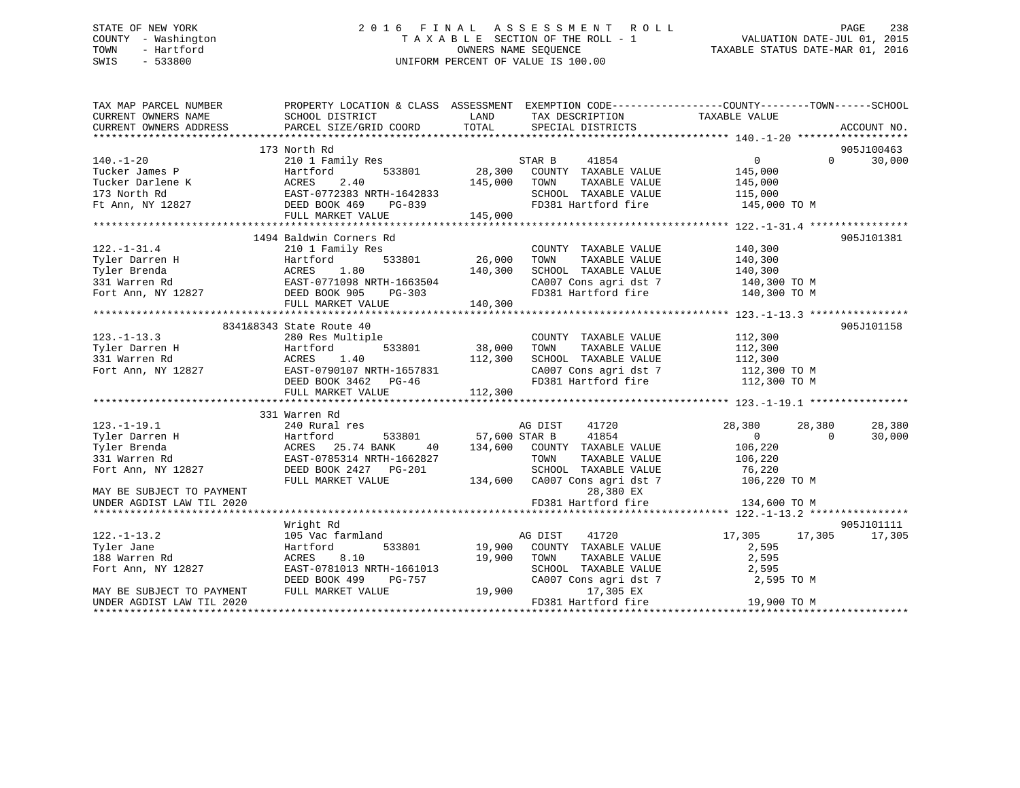## STATE OF NEW YORK 2 0 1 6 F I N A L A S S E S S M E N T R O L L PAGE 238 COUNTY - Washington T A X A B L E SECTION OF THE ROLL - 1 VALUATION DATE-JUL 01, 2015 TOWN - Hartford **TAXABLE STATUS DATE-MAR 01, 2016** OWNERS NAME SEQUENCE TAXABLE STATUS DATE-MAR 01, 2016 SWIS - 533800 UNIFORM PERCENT OF VALUE IS 100.00

| TAX MAP PARCEL NUMBER                                                                                                                    | PROPERTY LOCATION & CLASS ASSESSMENT EXEMPTION CODE----------------COUNTY-------TOWN------SCHOOL |               |                                    |                    |                    |
|------------------------------------------------------------------------------------------------------------------------------------------|--------------------------------------------------------------------------------------------------|---------------|------------------------------------|--------------------|--------------------|
| CURRENT OWNERS NAME                                                                                                                      | SCHOOL DISTRICT                                                                                  | LAND          | TAX DESCRIPTION                    | TAXABLE VALUE      |                    |
| CURRENT OWNERS ADDRESS                                                                                                                   | PARCEL SIZE/GRID COORD                                                                           | TOTAL         | SPECIAL DISTRICTS                  |                    | ACCOUNT NO.        |
|                                                                                                                                          |                                                                                                  |               |                                    |                    |                    |
|                                                                                                                                          | 173 North Rd                                                                                     |               |                                    |                    | 905J100463         |
| $140. - 1 - 20$                                                                                                                          | 210 1 Family Res                                                                                 |               | STAR B<br>41854                    | $0 \qquad \qquad$  | $\Omega$<br>30,000 |
| Tucker James P                                                                                                                           | Hartford<br>533801                                                                               | 28,300        | COUNTY TAXABLE VALUE               | 145,000            |                    |
|                                                                                                                                          |                                                                                                  | 145,000       | TOWN<br>TAXABLE VALUE              | 145,000            |                    |
|                                                                                                                                          |                                                                                                  |               | SCHOOL TAXABLE VALUE               | 115,000            |                    |
| Tucker Darlene K<br>Tucker Darlene K<br>173 North Rd<br>Ft Ann, NY 12827<br>Ft Ann, NY 12827<br>CEED BOOK 469<br>DEED BOOK 469<br>PG-839 |                                                                                                  | $PG-839$      | FD381 Hartford fire 145,000 TO M   |                    |                    |
|                                                                                                                                          | FULL MARKET VALUE                                                                                | 145,000       |                                    |                    |                    |
|                                                                                                                                          |                                                                                                  |               |                                    |                    |                    |
|                                                                                                                                          | 1494 Baldwin Corners Rd                                                                          |               |                                    |                    | 905J101381         |
| $122. - 1 - 31.4$                                                                                                                        | 210 1 Family Res                                                                                 |               | COUNTY TAXABLE VALUE               | 140,300            |                    |
| Tyler Darren H                                                                                                                           |                                                                                                  | 533801 26,000 | TOWN<br>TAXABLE VALUE              | 140,300            |                    |
| Tyler Brenda                                                                                                                             | Hartford 533801<br>ACRES 1.80<br>EAST-0771098 NRTH-1663504                                       | 140,300       | SCHOOL TAXABLE VALUE               | 140,300            |                    |
| 331 Warren Rd                                                                                                                            |                                                                                                  |               | CA007 Cons agri dst 7 140,300 TO M |                    |                    |
| Fort Ann, NY 12827 DEED BOOK 905                                                                                                         | PG-303                                                                                           |               | FD381 Hartford fire 140,300 TO M   |                    |                    |
|                                                                                                                                          | FULL MARKET VALUE                                                                                | 140,300       |                                    |                    |                    |
|                                                                                                                                          |                                                                                                  |               |                                    |                    |                    |
|                                                                                                                                          | 8341&8343 State Route 40                                                                         |               |                                    |                    | 905J101158         |
| $123. - 1 - 13.3$                                                                                                                        | 280 Res Multiple                                                                                 |               | COUNTY TAXABLE VALUE 112,300       |                    |                    |
| Tyler Darren H                                                                                                                           | 533801                                                                                           | 38,000        | TOWN<br>TAXABLE VALUE              |                    |                    |
| Hartford<br>ACRES<br>331 Warren Rd                                                                                                       | 1.40                                                                                             | 112,300       | SCHOOL TAXABLE VALUE               | 112,300<br>112,300 |                    |
| Fort Ann, NY 12827 EAST-0790107 NRTH-1657831                                                                                             |                                                                                                  |               | CA007 Cons agri dst 7 112,300 TO M |                    |                    |
|                                                                                                                                          | DEED BOOK 3462 PG-46                                                                             |               | FD381 Hartford fire                | 112,300 TO M       |                    |
|                                                                                                                                          | FULL MARKET VALUE                                                                                | 112,300       |                                    |                    |                    |
|                                                                                                                                          |                                                                                                  |               |                                    |                    |                    |
|                                                                                                                                          | 331 Warren Rd                                                                                    |               |                                    |                    |                    |
| $123. - 1 - 19.1$                                                                                                                        | 240 Rural res                                                                                    |               | 41720<br>AG DIST                   | 28,380             | 28,380<br>28,380   |
| Tyler Darren H                                                                                                                           | Hartford<br>533801                                                                               | 57,600 STAR B | 41854                              | $\Omega$           | 30,000<br>$\Omega$ |
| Tyler Brenda                                                                                                                             | 133 Hartford<br>ACRES 25.74 BANK<br>EAST-0785314 NRTH-1<br>40                                    | 134,600       | COUNTY TAXABLE VALUE               | 106,220            |                    |
| 331 Warren Rd                                                                                                                            | EAST-0785314 NRTH-1662827                                                                        |               | TOWN<br>TAXABLE VALUE              | 106,220            |                    |
| Fort Ann, NY 12827                                                                                                                       | DEED BOOK 2427    PG-201                                                                         |               | SCHOOL TAXABLE VALUE               | 76,220             |                    |
|                                                                                                                                          | FULL MARKET VALUE                                                                                |               | 134,600 CA007 Cons agri dst 7      | 106,220 TO M       |                    |
|                                                                                                                                          |                                                                                                  |               |                                    |                    |                    |
| MAY BE SUBJECT TO PAYMENT                                                                                                                |                                                                                                  |               | 28,380 EX<br>FD381 Hartford fire   | 134,600 TO M       |                    |
| UNDER AGDIST LAW TIL 2020                                                                                                                |                                                                                                  |               |                                    |                    |                    |
|                                                                                                                                          |                                                                                                  |               |                                    |                    |                    |
|                                                                                                                                          | Wright Rd                                                                                        |               |                                    |                    | 905J101111         |
| $122. - 1 - 13.2$                                                                                                                        | 105 Vac farmland                                                                                 |               | AG DIST<br>41720                   | 17,305             | 17,305<br>17,305   |
| Tyler Jane                                                                                                                               | 533801<br>Hartford                                                                               | 19,900        | COUNTY TAXABLE VALUE               | 2,595              |                    |
| 188 Warren Rd                                                                                                                            | 8.10<br>ACRES                                                                                    | 19,900        | TOWN<br>TAXABLE VALUE              | 2,595              |                    |
| Fort Ann, NY 12827                                                                                                                       | EAST-0781013 NRTH-1661013                                                                        |               | SCHOOL TAXABLE VALUE               | 2,595              |                    |
|                                                                                                                                          | DEED BOOK 499<br>PG-757                                                                          |               | CA007 Cons agri dst 7              | 2,595 TO M         |                    |
| MAY BE SUBJECT TO PAYMENT                                                                                                                | FULL MARKET VALUE                                                                                | 19,900        | 17,305 EX                          |                    |                    |
| UNDER AGDIST LAW TIL 2020                                                                                                                |                                                                                                  |               | FD381 Hartford fire                | 19,900 TO M        |                    |
| **********************                                                                                                                   |                                                                                                  |               |                                    |                    |                    |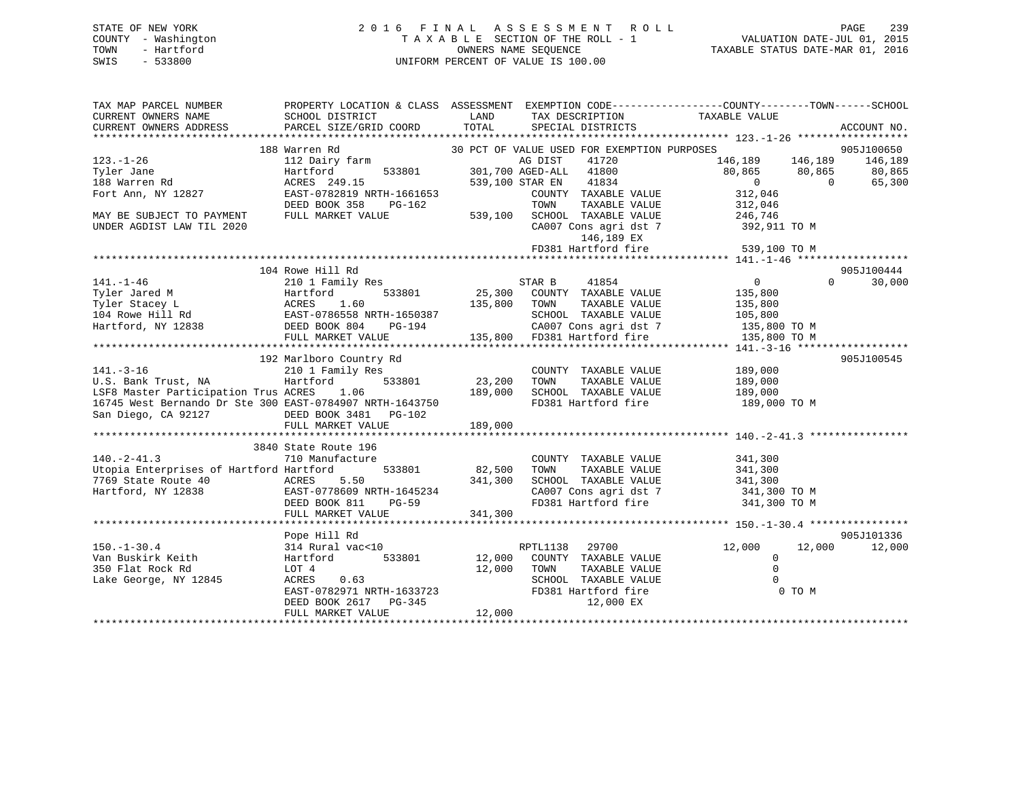## STATE OF NEW YORK 2 0 1 6 F I N A L A S S E S S M E N T R O L L PAGE 239 COUNTY - Washington T A X A B L E SECTION OF THE ROLL - 1 VALUATION DATE-JUL 01, 2015 TOWN - Hartford **TAXABLE STATUS DATE-MAR 01, 2016** OWNERS NAME SEQUENCE TAXABLE STATUS DATE-MAR 01, 2016 SWIS - 533800 UNIFORM PERCENT OF VALUE IS 100.00

| TAX MAP PARCEL NUMBER<br>CURRENT OWNERS NAME<br>CURRENT OWNERS ADDRESS                                                                                                 | SCHOOL DISTRICT<br>PARCEL SIZE/GRID COORD                                                                                                                   | LAND<br>TOTAL                | TAX DESCRIPTION<br>SPECIAL DISTRICTS                                                                                                                                                                                                                            | PROPERTY LOCATION & CLASS ASSESSMENT EXEMPTION CODE---------------COUNTY-------TOWN-----SCHOOL<br>TAXABLE VALUE                    | ACCOUNT NO.                               |
|------------------------------------------------------------------------------------------------------------------------------------------------------------------------|-------------------------------------------------------------------------------------------------------------------------------------------------------------|------------------------------|-----------------------------------------------------------------------------------------------------------------------------------------------------------------------------------------------------------------------------------------------------------------|------------------------------------------------------------------------------------------------------------------------------------|-------------------------------------------|
| $123. - 1 - 26$<br>Tyler Jane<br>188 Warren Rd<br>Fort Ann, NY 12827<br>MAY BE SUBJECT TO PAYMENT<br>UNDER AGDIST LAW TIL 2020                                         | 188 Warren Rd<br>112 Dairy farm<br>533801<br>Hartford<br>ACRES 249.15<br>EAST-0782819 NRTH-1661653<br>DEED BOOK 358<br>PG-162<br>FULL MARKET VALUE          | 539,100                      | 30 PCT OF VALUE USED FOR EXEMPTION PURPOSES<br>AG DIST<br>41720<br>301,700 AGED-ALL<br>41800<br>539,100 STAR EN<br>41834<br>COUNTY TAXABLE VALUE<br>TOWN<br>TAXABLE VALUE<br>SCHOOL TAXABLE VALUE<br>CA007 Cons agri dst 7<br>146,189 EX<br>FD381 Hartford fire | 146,189 146,189<br>80,865<br>80,865<br>$\overline{0}$<br>$\Omega$<br>312,046<br>312,046<br>246,746<br>392,911 TO M<br>539,100 TO M | 905J100650<br>146,189<br>80,865<br>65,300 |
| $141. - 1 - 46$<br>Tyler Jared M<br>Tyler Stacey L<br>104 Rowe Hill Rd<br>Hartford, NY 12838 DEED BOOK 804                                                             | 104 Rowe Hill Rd<br>210 1 Family Res<br>Hartford 533801<br>Acres 1.60<br>EAST-0786558 NRTH-1650387<br>PG-194<br>FULL MARKET VALUE                           | 25,300<br>135,800            | STAR B<br>41854<br>COUNTY TAXABLE VALUE<br>TAXABLE VALUE<br>TOWN<br>SCHOOL TAXABLE VALUE<br>CA007 Cons agri dst 7<br>135,800 FD381 Hartford fire                                                                                                                | $\overline{0}$<br>$\Omega$<br>135,800<br>135,800<br>105,800<br>135,800 TO M<br>135,800 TO M                                        | 905J100444<br>30,000                      |
| $141. - 3 - 16$<br>U.S. Bank Trust, NA<br>LSF8 Master Participation Trus ACRES 1.06<br>16745 West Bernando Dr Ste 300 EAST-0784907 NRTH-1643750<br>San Diego, CA 92127 | 192 Marlboro Country Rd<br>210 1 Family Res<br>Hartford<br>533801<br>DEED BOOK 3481 PG-102<br>FULL MARKET VALUE                                             | 23,200<br>189,000<br>189,000 | COUNTY TAXABLE VALUE<br>TAXABLE VALUE<br>TOWN<br>SCHOOL TAXABLE VALUE                                                                                                                                                                                           | 189,000<br>189,000<br>189,000<br>FD381 Hartford fire 189,000 TO M                                                                  | 905J100545                                |
| $140. - 2 - 41.3$<br>Utopia Enterprises of Hartford Hartford<br>7769 State Route 40<br>Hartford, NY 12838                                                              | 3840 State Route 196<br>710 Manufacture<br>533801<br>AGLICICI ACRES 5.50<br>EAST-0778609 NRTH-1645234<br>FAST-0778609 NRTH-1645234<br>FULL MARKET VALUE     | 82,500<br>341,300<br>341,300 | COUNTY TAXABLE VALUE<br>TOWN<br>TAXABLE VALUE                                                                                                                                                                                                                   | 341,300<br>341,300<br>SCHOOL TAXABLE VALUE 341,300<br>CA007 Cons agri dst 7 341,300 TO M<br>FD381 Hartford fire 341,300 TO M       |                                           |
| $150. - 1 - 30.4$<br>Van Buskirk Keith<br>350 Flat Rock Rd<br>Lake George, NY 12845                                                                                    | Pope Hill Rd<br>314 Rural vac<10<br>533801<br>Hartford<br>LOT 4<br>ACRES<br>0.63<br>EAST-0782971 NRTH-1633723<br>DEED BOOK 2617 PG-345<br>FULL MARKET VALUE | 12,000<br>12,000<br>12,000   | RPTL1138<br>29700<br>COUNTY TAXABLE VALUE<br>TOWN<br>TAXABLE VALUE<br>SCHOOL TAXABLE VALUE<br>FD381 Hartford fire<br>12,000 EX                                                                                                                                  | 12,000<br>12,000<br>0<br>$\Omega$<br>$\Omega$<br>0 TO M                                                                            | 905J101336<br>12,000                      |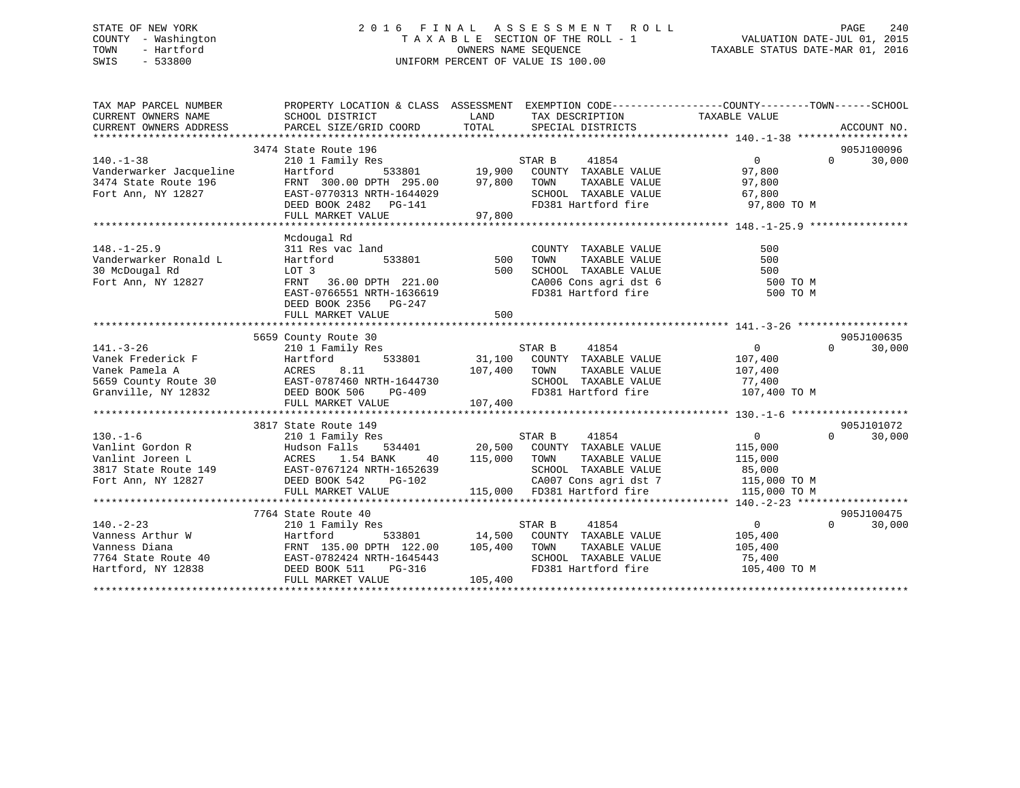## STATE OF NEW YORK 2 0 1 6 F I N A L A S S E S S M E N T R O L L PAGE 240 COUNTY - Washington T A X A B L E SECTION OF THE ROLL - 1 VALUATION DATE-JUL 01, 2015 TOWN - Hartford **TAXABLE STATUS DATE-MAR 01, 2016** OWNERS NAME SEQUENCE TAXABLE STATUS DATE-MAR 01, 2016 SWIS - 533800 UNIFORM PERCENT OF VALUE IS 100.00

| 3474 State Route 196<br>905J100096<br>$140. - 1 - 38$<br>$\overline{0}$<br>$\Omega$<br>30,000<br>210 1 Family Res<br>STAR B<br>41854<br>533801 19,900<br>Vanderwarker Jacqueline<br>Hartford<br>COUNTY TAXABLE VALUE<br>97,800<br>3474 State Route 196<br>FRNT 300.00 DPTH 295.00<br>97,800<br>TAXABLE VALUE<br>97,800<br>TOWN<br>SCHOOL TAXABLE VALUE<br>Fort Ann, NY 12827<br>EAST-0770313 NRTH-1644029<br>67,800<br>FD381 Hartford fire<br>97,800 TO M<br>DEED BOOK 2482    PG-141<br>FULL MARKET VALUE<br>97,800<br>Mcdougal Rd<br>311 Res vac land<br>COUNTY TAXABLE VALUE<br>500<br>533801<br>500<br>500<br>Hartford<br>TOWN<br>TAXABLE VALUE<br>30 McDougal Rd<br>500<br>SCHOOL TAXABLE VALUE<br>500<br>LOT 3<br>Fort Ann, NY 12827<br>36.00 DPTH 221.00<br>CA006 Cons agri dst 6<br>FRNT<br>500 TO M<br>EAST-0766551 NRTH-1636619<br>FD381 Hartford fire<br>500 TO M<br>DEED BOOK 2356 PG-247<br>500<br>FULL MARKET VALUE<br>5659 County Route 30<br>905J100635<br>$\overline{0}$<br>30,000<br>$141. - 3 - 26$<br>210 1 Family Res<br>STAR B<br>41854<br>$\Omega$<br>533801 31,100<br>Vanek Frederick F<br>Hartford<br>COUNTY TAXABLE VALUE<br>107,400<br>Vanek Pamela A<br>ACRES<br>8.11<br>107,400<br>TOWN<br>TAXABLE VALUE<br>107,400<br>5659 County Route 30<br>EAST-0787460 NRTH-1644730<br>SCHOOL TAXABLE VALUE<br>77,400<br>FD381 Hartford fire<br>Granville, NY 12832<br>DEED BOOK 506<br>$PG-409$<br>107,400 TO M<br>107,400<br>FULL MARKET VALUE<br>3817 State Route 149<br>905J101072<br>41854<br>STAR B<br>$0 \qquad \qquad$<br>$\Omega$<br>30,000<br>210 1 Family Res<br>20,500 COUNTY TAXABLE VALUE<br>Hudson Falls<br>534401<br>115,000<br>115,000<br>TOWN<br>TAXABLE VALUE<br>ACRES<br>1.54 BANK<br>40<br>115,000<br>EAST-0767124 NRTH-1652639<br>SCHOOL TAXABLE VALUE<br>85,000<br>EAST-0767124 N<br>DEED BOOK 542<br>CA007 Cons agri dst 7<br>Fort Ann, NY 12827<br>PG-102<br>115,000 TO M<br>115,000 FD381 Hartford fire<br>FULL MARKET VALUE<br>115,000 TO M<br>7764 State Route 40<br>905J100475<br>$140. - 2 - 23$<br>41854<br>$\Omega$<br>30,000<br>210 1 Family Res<br>STAR B<br>$\overline{0}$<br>Hartford 533801 14,500<br>FRNT 135.00 DPTH 122.00 105,400<br>Vanness Arthur W<br>COUNTY TAXABLE VALUE<br>105,400<br>Vanness Diana<br>TAXABLE VALUE<br>TOWN<br>105,400<br>EAST-0782424 NRTH-1645443<br>SCHOOL TAXABLE VALUE<br>7764 State Route 40<br>75,400<br>$10-$ .<br>FD381 Hartford fire<br>Hartford, NY 12838<br>DEED BOOK 511<br>105,400 TO M<br>PG-316<br>105,400<br>FULL MARKET VALUE | TAX MAP PARCEL NUMBER<br>CURRENT OWNERS NAME<br>CURRENT OWNERS ADDRESS | PROPERTY LOCATION & CLASS ASSESSMENT EXEMPTION CODE----------------COUNTY-------TOWN------SCHOOL<br>SCHOOL DISTRICT<br>PARCEL SIZE/GRID COORD | LAND<br>TOTAL | TAX DESCRIPTION<br>SPECIAL DISTRICTS | TAXABLE VALUE | ACCOUNT NO. |
|-----------------------------------------------------------------------------------------------------------------------------------------------------------------------------------------------------------------------------------------------------------------------------------------------------------------------------------------------------------------------------------------------------------------------------------------------------------------------------------------------------------------------------------------------------------------------------------------------------------------------------------------------------------------------------------------------------------------------------------------------------------------------------------------------------------------------------------------------------------------------------------------------------------------------------------------------------------------------------------------------------------------------------------------------------------------------------------------------------------------------------------------------------------------------------------------------------------------------------------------------------------------------------------------------------------------------------------------------------------------------------------------------------------------------------------------------------------------------------------------------------------------------------------------------------------------------------------------------------------------------------------------------------------------------------------------------------------------------------------------------------------------------------------------------------------------------------------------------------------------------------------------------------------------------------------------------------------------------------------------------------------------------------------------------------------------------------------------------------------------------------------------------------------------------------------------------------------------------------------------------------------------------------------------------------------------------------------------------------------------------------------------------------------------------------------------------------------------------------------------------------------------------------------|------------------------------------------------------------------------|-----------------------------------------------------------------------------------------------------------------------------------------------|---------------|--------------------------------------|---------------|-------------|
|                                                                                                                                                                                                                                                                                                                                                                                                                                                                                                                                                                                                                                                                                                                                                                                                                                                                                                                                                                                                                                                                                                                                                                                                                                                                                                                                                                                                                                                                                                                                                                                                                                                                                                                                                                                                                                                                                                                                                                                                                                                                                                                                                                                                                                                                                                                                                                                                                                                                                                                                   |                                                                        |                                                                                                                                               |               |                                      |               |             |
|                                                                                                                                                                                                                                                                                                                                                                                                                                                                                                                                                                                                                                                                                                                                                                                                                                                                                                                                                                                                                                                                                                                                                                                                                                                                                                                                                                                                                                                                                                                                                                                                                                                                                                                                                                                                                                                                                                                                                                                                                                                                                                                                                                                                                                                                                                                                                                                                                                                                                                                                   |                                                                        |                                                                                                                                               |               |                                      |               |             |
|                                                                                                                                                                                                                                                                                                                                                                                                                                                                                                                                                                                                                                                                                                                                                                                                                                                                                                                                                                                                                                                                                                                                                                                                                                                                                                                                                                                                                                                                                                                                                                                                                                                                                                                                                                                                                                                                                                                                                                                                                                                                                                                                                                                                                                                                                                                                                                                                                                                                                                                                   |                                                                        |                                                                                                                                               |               |                                      |               |             |
|                                                                                                                                                                                                                                                                                                                                                                                                                                                                                                                                                                                                                                                                                                                                                                                                                                                                                                                                                                                                                                                                                                                                                                                                                                                                                                                                                                                                                                                                                                                                                                                                                                                                                                                                                                                                                                                                                                                                                                                                                                                                                                                                                                                                                                                                                                                                                                                                                                                                                                                                   |                                                                        |                                                                                                                                               |               |                                      |               |             |
|                                                                                                                                                                                                                                                                                                                                                                                                                                                                                                                                                                                                                                                                                                                                                                                                                                                                                                                                                                                                                                                                                                                                                                                                                                                                                                                                                                                                                                                                                                                                                                                                                                                                                                                                                                                                                                                                                                                                                                                                                                                                                                                                                                                                                                                                                                                                                                                                                                                                                                                                   |                                                                        |                                                                                                                                               |               |                                      |               |             |
|                                                                                                                                                                                                                                                                                                                                                                                                                                                                                                                                                                                                                                                                                                                                                                                                                                                                                                                                                                                                                                                                                                                                                                                                                                                                                                                                                                                                                                                                                                                                                                                                                                                                                                                                                                                                                                                                                                                                                                                                                                                                                                                                                                                                                                                                                                                                                                                                                                                                                                                                   |                                                                        |                                                                                                                                               |               |                                      |               |             |
|                                                                                                                                                                                                                                                                                                                                                                                                                                                                                                                                                                                                                                                                                                                                                                                                                                                                                                                                                                                                                                                                                                                                                                                                                                                                                                                                                                                                                                                                                                                                                                                                                                                                                                                                                                                                                                                                                                                                                                                                                                                                                                                                                                                                                                                                                                                                                                                                                                                                                                                                   |                                                                        |                                                                                                                                               |               |                                      |               |             |
|                                                                                                                                                                                                                                                                                                                                                                                                                                                                                                                                                                                                                                                                                                                                                                                                                                                                                                                                                                                                                                                                                                                                                                                                                                                                                                                                                                                                                                                                                                                                                                                                                                                                                                                                                                                                                                                                                                                                                                                                                                                                                                                                                                                                                                                                                                                                                                                                                                                                                                                                   |                                                                        |                                                                                                                                               |               |                                      |               |             |
|                                                                                                                                                                                                                                                                                                                                                                                                                                                                                                                                                                                                                                                                                                                                                                                                                                                                                                                                                                                                                                                                                                                                                                                                                                                                                                                                                                                                                                                                                                                                                                                                                                                                                                                                                                                                                                                                                                                                                                                                                                                                                                                                                                                                                                                                                                                                                                                                                                                                                                                                   |                                                                        |                                                                                                                                               |               |                                      |               |             |
|                                                                                                                                                                                                                                                                                                                                                                                                                                                                                                                                                                                                                                                                                                                                                                                                                                                                                                                                                                                                                                                                                                                                                                                                                                                                                                                                                                                                                                                                                                                                                                                                                                                                                                                                                                                                                                                                                                                                                                                                                                                                                                                                                                                                                                                                                                                                                                                                                                                                                                                                   |                                                                        |                                                                                                                                               |               |                                      |               |             |
|                                                                                                                                                                                                                                                                                                                                                                                                                                                                                                                                                                                                                                                                                                                                                                                                                                                                                                                                                                                                                                                                                                                                                                                                                                                                                                                                                                                                                                                                                                                                                                                                                                                                                                                                                                                                                                                                                                                                                                                                                                                                                                                                                                                                                                                                                                                                                                                                                                                                                                                                   | $148. - 1 - 25.9$                                                      |                                                                                                                                               |               |                                      |               |             |
|                                                                                                                                                                                                                                                                                                                                                                                                                                                                                                                                                                                                                                                                                                                                                                                                                                                                                                                                                                                                                                                                                                                                                                                                                                                                                                                                                                                                                                                                                                                                                                                                                                                                                                                                                                                                                                                                                                                                                                                                                                                                                                                                                                                                                                                                                                                                                                                                                                                                                                                                   | Vanderwarker Ronald L                                                  |                                                                                                                                               |               |                                      |               |             |
|                                                                                                                                                                                                                                                                                                                                                                                                                                                                                                                                                                                                                                                                                                                                                                                                                                                                                                                                                                                                                                                                                                                                                                                                                                                                                                                                                                                                                                                                                                                                                                                                                                                                                                                                                                                                                                                                                                                                                                                                                                                                                                                                                                                                                                                                                                                                                                                                                                                                                                                                   |                                                                        |                                                                                                                                               |               |                                      |               |             |
|                                                                                                                                                                                                                                                                                                                                                                                                                                                                                                                                                                                                                                                                                                                                                                                                                                                                                                                                                                                                                                                                                                                                                                                                                                                                                                                                                                                                                                                                                                                                                                                                                                                                                                                                                                                                                                                                                                                                                                                                                                                                                                                                                                                                                                                                                                                                                                                                                                                                                                                                   |                                                                        |                                                                                                                                               |               |                                      |               |             |
|                                                                                                                                                                                                                                                                                                                                                                                                                                                                                                                                                                                                                                                                                                                                                                                                                                                                                                                                                                                                                                                                                                                                                                                                                                                                                                                                                                                                                                                                                                                                                                                                                                                                                                                                                                                                                                                                                                                                                                                                                                                                                                                                                                                                                                                                                                                                                                                                                                                                                                                                   |                                                                        |                                                                                                                                               |               |                                      |               |             |
|                                                                                                                                                                                                                                                                                                                                                                                                                                                                                                                                                                                                                                                                                                                                                                                                                                                                                                                                                                                                                                                                                                                                                                                                                                                                                                                                                                                                                                                                                                                                                                                                                                                                                                                                                                                                                                                                                                                                                                                                                                                                                                                                                                                                                                                                                                                                                                                                                                                                                                                                   |                                                                        |                                                                                                                                               |               |                                      |               |             |
|                                                                                                                                                                                                                                                                                                                                                                                                                                                                                                                                                                                                                                                                                                                                                                                                                                                                                                                                                                                                                                                                                                                                                                                                                                                                                                                                                                                                                                                                                                                                                                                                                                                                                                                                                                                                                                                                                                                                                                                                                                                                                                                                                                                                                                                                                                                                                                                                                                                                                                                                   |                                                                        |                                                                                                                                               |               |                                      |               |             |
|                                                                                                                                                                                                                                                                                                                                                                                                                                                                                                                                                                                                                                                                                                                                                                                                                                                                                                                                                                                                                                                                                                                                                                                                                                                                                                                                                                                                                                                                                                                                                                                                                                                                                                                                                                                                                                                                                                                                                                                                                                                                                                                                                                                                                                                                                                                                                                                                                                                                                                                                   |                                                                        |                                                                                                                                               |               |                                      |               |             |
|                                                                                                                                                                                                                                                                                                                                                                                                                                                                                                                                                                                                                                                                                                                                                                                                                                                                                                                                                                                                                                                                                                                                                                                                                                                                                                                                                                                                                                                                                                                                                                                                                                                                                                                                                                                                                                                                                                                                                                                                                                                                                                                                                                                                                                                                                                                                                                                                                                                                                                                                   |                                                                        |                                                                                                                                               |               |                                      |               |             |
|                                                                                                                                                                                                                                                                                                                                                                                                                                                                                                                                                                                                                                                                                                                                                                                                                                                                                                                                                                                                                                                                                                                                                                                                                                                                                                                                                                                                                                                                                                                                                                                                                                                                                                                                                                                                                                                                                                                                                                                                                                                                                                                                                                                                                                                                                                                                                                                                                                                                                                                                   |                                                                        |                                                                                                                                               |               |                                      |               |             |
|                                                                                                                                                                                                                                                                                                                                                                                                                                                                                                                                                                                                                                                                                                                                                                                                                                                                                                                                                                                                                                                                                                                                                                                                                                                                                                                                                                                                                                                                                                                                                                                                                                                                                                                                                                                                                                                                                                                                                                                                                                                                                                                                                                                                                                                                                                                                                                                                                                                                                                                                   |                                                                        |                                                                                                                                               |               |                                      |               |             |
|                                                                                                                                                                                                                                                                                                                                                                                                                                                                                                                                                                                                                                                                                                                                                                                                                                                                                                                                                                                                                                                                                                                                                                                                                                                                                                                                                                                                                                                                                                                                                                                                                                                                                                                                                                                                                                                                                                                                                                                                                                                                                                                                                                                                                                                                                                                                                                                                                                                                                                                                   |                                                                        |                                                                                                                                               |               |                                      |               |             |
|                                                                                                                                                                                                                                                                                                                                                                                                                                                                                                                                                                                                                                                                                                                                                                                                                                                                                                                                                                                                                                                                                                                                                                                                                                                                                                                                                                                                                                                                                                                                                                                                                                                                                                                                                                                                                                                                                                                                                                                                                                                                                                                                                                                                                                                                                                                                                                                                                                                                                                                                   |                                                                        |                                                                                                                                               |               |                                      |               |             |
|                                                                                                                                                                                                                                                                                                                                                                                                                                                                                                                                                                                                                                                                                                                                                                                                                                                                                                                                                                                                                                                                                                                                                                                                                                                                                                                                                                                                                                                                                                                                                                                                                                                                                                                                                                                                                                                                                                                                                                                                                                                                                                                                                                                                                                                                                                                                                                                                                                                                                                                                   |                                                                        |                                                                                                                                               |               |                                      |               |             |
|                                                                                                                                                                                                                                                                                                                                                                                                                                                                                                                                                                                                                                                                                                                                                                                                                                                                                                                                                                                                                                                                                                                                                                                                                                                                                                                                                                                                                                                                                                                                                                                                                                                                                                                                                                                                                                                                                                                                                                                                                                                                                                                                                                                                                                                                                                                                                                                                                                                                                                                                   |                                                                        |                                                                                                                                               |               |                                      |               |             |
|                                                                                                                                                                                                                                                                                                                                                                                                                                                                                                                                                                                                                                                                                                                                                                                                                                                                                                                                                                                                                                                                                                                                                                                                                                                                                                                                                                                                                                                                                                                                                                                                                                                                                                                                                                                                                                                                                                                                                                                                                                                                                                                                                                                                                                                                                                                                                                                                                                                                                                                                   |                                                                        |                                                                                                                                               |               |                                      |               |             |
|                                                                                                                                                                                                                                                                                                                                                                                                                                                                                                                                                                                                                                                                                                                                                                                                                                                                                                                                                                                                                                                                                                                                                                                                                                                                                                                                                                                                                                                                                                                                                                                                                                                                                                                                                                                                                                                                                                                                                                                                                                                                                                                                                                                                                                                                                                                                                                                                                                                                                                                                   |                                                                        |                                                                                                                                               |               |                                      |               |             |
|                                                                                                                                                                                                                                                                                                                                                                                                                                                                                                                                                                                                                                                                                                                                                                                                                                                                                                                                                                                                                                                                                                                                                                                                                                                                                                                                                                                                                                                                                                                                                                                                                                                                                                                                                                                                                                                                                                                                                                                                                                                                                                                                                                                                                                                                                                                                                                                                                                                                                                                                   |                                                                        |                                                                                                                                               |               |                                      |               |             |
|                                                                                                                                                                                                                                                                                                                                                                                                                                                                                                                                                                                                                                                                                                                                                                                                                                                                                                                                                                                                                                                                                                                                                                                                                                                                                                                                                                                                                                                                                                                                                                                                                                                                                                                                                                                                                                                                                                                                                                                                                                                                                                                                                                                                                                                                                                                                                                                                                                                                                                                                   | $130. - 1 - 6$                                                         |                                                                                                                                               |               |                                      |               |             |
|                                                                                                                                                                                                                                                                                                                                                                                                                                                                                                                                                                                                                                                                                                                                                                                                                                                                                                                                                                                                                                                                                                                                                                                                                                                                                                                                                                                                                                                                                                                                                                                                                                                                                                                                                                                                                                                                                                                                                                                                                                                                                                                                                                                                                                                                                                                                                                                                                                                                                                                                   | Vanlint Gordon R                                                       |                                                                                                                                               |               |                                      |               |             |
|                                                                                                                                                                                                                                                                                                                                                                                                                                                                                                                                                                                                                                                                                                                                                                                                                                                                                                                                                                                                                                                                                                                                                                                                                                                                                                                                                                                                                                                                                                                                                                                                                                                                                                                                                                                                                                                                                                                                                                                                                                                                                                                                                                                                                                                                                                                                                                                                                                                                                                                                   | Vanlint Joreen L                                                       |                                                                                                                                               |               |                                      |               |             |
|                                                                                                                                                                                                                                                                                                                                                                                                                                                                                                                                                                                                                                                                                                                                                                                                                                                                                                                                                                                                                                                                                                                                                                                                                                                                                                                                                                                                                                                                                                                                                                                                                                                                                                                                                                                                                                                                                                                                                                                                                                                                                                                                                                                                                                                                                                                                                                                                                                                                                                                                   | 3817 State Route 149                                                   |                                                                                                                                               |               |                                      |               |             |
|                                                                                                                                                                                                                                                                                                                                                                                                                                                                                                                                                                                                                                                                                                                                                                                                                                                                                                                                                                                                                                                                                                                                                                                                                                                                                                                                                                                                                                                                                                                                                                                                                                                                                                                                                                                                                                                                                                                                                                                                                                                                                                                                                                                                                                                                                                                                                                                                                                                                                                                                   |                                                                        |                                                                                                                                               |               |                                      |               |             |
|                                                                                                                                                                                                                                                                                                                                                                                                                                                                                                                                                                                                                                                                                                                                                                                                                                                                                                                                                                                                                                                                                                                                                                                                                                                                                                                                                                                                                                                                                                                                                                                                                                                                                                                                                                                                                                                                                                                                                                                                                                                                                                                                                                                                                                                                                                                                                                                                                                                                                                                                   |                                                                        |                                                                                                                                               |               |                                      |               |             |
|                                                                                                                                                                                                                                                                                                                                                                                                                                                                                                                                                                                                                                                                                                                                                                                                                                                                                                                                                                                                                                                                                                                                                                                                                                                                                                                                                                                                                                                                                                                                                                                                                                                                                                                                                                                                                                                                                                                                                                                                                                                                                                                                                                                                                                                                                                                                                                                                                                                                                                                                   |                                                                        |                                                                                                                                               |               |                                      |               |             |
|                                                                                                                                                                                                                                                                                                                                                                                                                                                                                                                                                                                                                                                                                                                                                                                                                                                                                                                                                                                                                                                                                                                                                                                                                                                                                                                                                                                                                                                                                                                                                                                                                                                                                                                                                                                                                                                                                                                                                                                                                                                                                                                                                                                                                                                                                                                                                                                                                                                                                                                                   |                                                                        |                                                                                                                                               |               |                                      |               |             |
|                                                                                                                                                                                                                                                                                                                                                                                                                                                                                                                                                                                                                                                                                                                                                                                                                                                                                                                                                                                                                                                                                                                                                                                                                                                                                                                                                                                                                                                                                                                                                                                                                                                                                                                                                                                                                                                                                                                                                                                                                                                                                                                                                                                                                                                                                                                                                                                                                                                                                                                                   |                                                                        |                                                                                                                                               |               |                                      |               |             |
|                                                                                                                                                                                                                                                                                                                                                                                                                                                                                                                                                                                                                                                                                                                                                                                                                                                                                                                                                                                                                                                                                                                                                                                                                                                                                                                                                                                                                                                                                                                                                                                                                                                                                                                                                                                                                                                                                                                                                                                                                                                                                                                                                                                                                                                                                                                                                                                                                                                                                                                                   |                                                                        |                                                                                                                                               |               |                                      |               |             |
|                                                                                                                                                                                                                                                                                                                                                                                                                                                                                                                                                                                                                                                                                                                                                                                                                                                                                                                                                                                                                                                                                                                                                                                                                                                                                                                                                                                                                                                                                                                                                                                                                                                                                                                                                                                                                                                                                                                                                                                                                                                                                                                                                                                                                                                                                                                                                                                                                                                                                                                                   |                                                                        |                                                                                                                                               |               |                                      |               |             |
|                                                                                                                                                                                                                                                                                                                                                                                                                                                                                                                                                                                                                                                                                                                                                                                                                                                                                                                                                                                                                                                                                                                                                                                                                                                                                                                                                                                                                                                                                                                                                                                                                                                                                                                                                                                                                                                                                                                                                                                                                                                                                                                                                                                                                                                                                                                                                                                                                                                                                                                                   |                                                                        |                                                                                                                                               |               |                                      |               |             |
|                                                                                                                                                                                                                                                                                                                                                                                                                                                                                                                                                                                                                                                                                                                                                                                                                                                                                                                                                                                                                                                                                                                                                                                                                                                                                                                                                                                                                                                                                                                                                                                                                                                                                                                                                                                                                                                                                                                                                                                                                                                                                                                                                                                                                                                                                                                                                                                                                                                                                                                                   |                                                                        |                                                                                                                                               |               |                                      |               |             |
|                                                                                                                                                                                                                                                                                                                                                                                                                                                                                                                                                                                                                                                                                                                                                                                                                                                                                                                                                                                                                                                                                                                                                                                                                                                                                                                                                                                                                                                                                                                                                                                                                                                                                                                                                                                                                                                                                                                                                                                                                                                                                                                                                                                                                                                                                                                                                                                                                                                                                                                                   |                                                                        |                                                                                                                                               |               |                                      |               |             |
|                                                                                                                                                                                                                                                                                                                                                                                                                                                                                                                                                                                                                                                                                                                                                                                                                                                                                                                                                                                                                                                                                                                                                                                                                                                                                                                                                                                                                                                                                                                                                                                                                                                                                                                                                                                                                                                                                                                                                                                                                                                                                                                                                                                                                                                                                                                                                                                                                                                                                                                                   |                                                                        |                                                                                                                                               |               |                                      |               |             |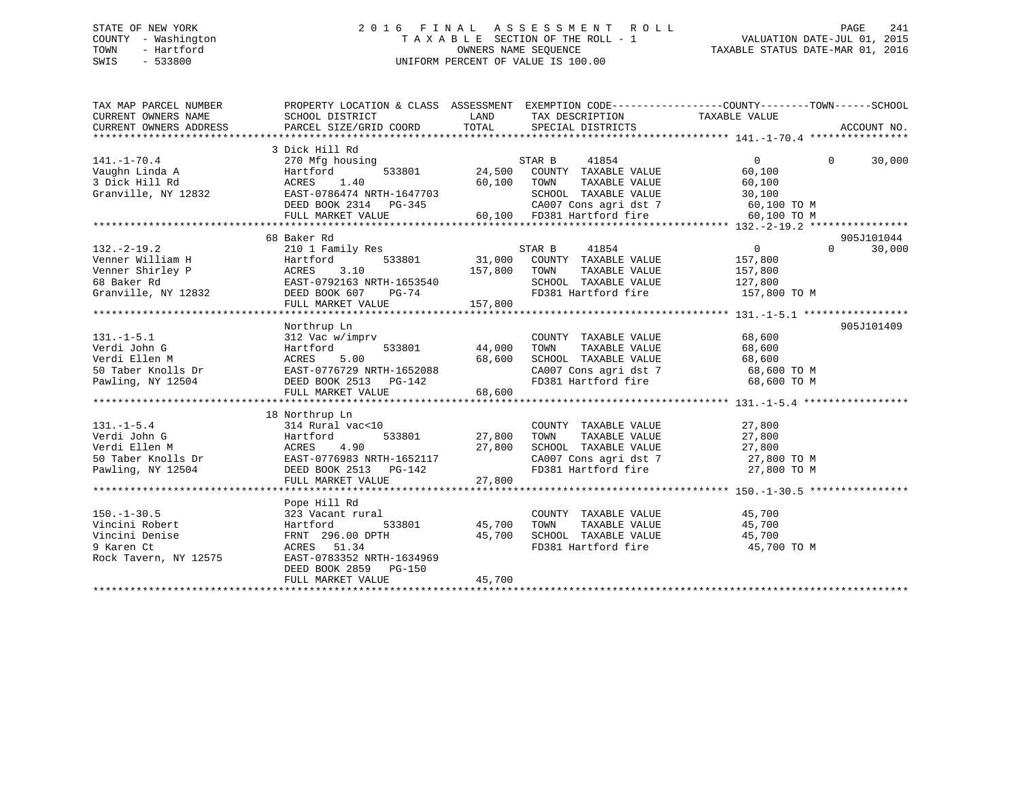## STATE OF NEW YORK 2 0 1 6 F I N A L A S S E S S M E N T R O L L PAGE 241 COUNTY - Washington T A X A B L E SECTION OF THE ROLL - 1 VALUATION DATE-JUL 01, 2015 TOWN - Hartford **TAXABLE STATUS DATE-MAR 01, 2016** OWNERS NAME SEQUENCE TAXABLE STATUS DATE-MAR 01, 2016 SWIS - 533800 UNIFORM PERCENT OF VALUE IS 100.00

| TAX MAP PARCEL NUMBER                                                                                                                                                                                                                                                                        | PROPERTY LOCATION & CLASS ASSESSMENT EXEMPTION CODE----------------COUNTY-------TOWN-----SCHOOL                                                                                                                                    |                                   |                                                                                                                                                                         |                                               |                                  |
|----------------------------------------------------------------------------------------------------------------------------------------------------------------------------------------------------------------------------------------------------------------------------------------------|------------------------------------------------------------------------------------------------------------------------------------------------------------------------------------------------------------------------------------|-----------------------------------|-------------------------------------------------------------------------------------------------------------------------------------------------------------------------|-----------------------------------------------|----------------------------------|
| $141. - 1 - 70.4$<br>Vaughn Linda A<br>3 Dick Hill Rd<br>3 Dick Hill Rd<br>6 Granville, NY 12832<br>EAST-0786474 NRTH-1647703                                                                                                                                                                | 3 Dick Hill Rd<br>270 Mfg housing<br>533801 24,500<br>EAST-0786474 NRTH-1647703 SCHOOL TAXABLE VALUE 30,100<br>DEED BOOK 2314 PG-345 (2007 Cons agri dst 7 60,100 TO M<br>FULL MARKET VALUE 60,100 FD381 Hartford fire 60,100 TO M | 60,100 TOWN                       | 41854<br>STAR B<br>COUNTY TAXABLE VALUE<br>TAXABLE VALUE<br>SCHOOL TAXABLE VALUE                                                                                        | $\Omega$<br>60,100<br>60,100                  | 30,000<br>$\Omega$               |
| $132. - 2 - 19.2$                                                                                                                                                                                                                                                                            | 68 Baker Rd<br>210 1 Family Res<br>157,800 TOWN<br>FULL MARKET VALUE                                                                                                                                                               | 157,800                           | STAR B<br>41854<br>533801 31,000 COUNTY TAXABLE VALUE<br>TOWN TAXABLE VALUE $157,800$<br>SCHOOL TAXABLE VALUE $127,800$<br>FD381 Hartford fire $157,800$ TO M           | $\overline{0}$<br>157,800                     | 905J101044<br>$\Omega$<br>30,000 |
| $131.-1-5.1$<br>131.-1-5.1<br>Verdi John G<br>Verdi Ellen M<br>144,000<br>144,000<br>144,000<br>144,000<br>144,000<br>144,000<br>144,000<br>144,000<br>144,000<br>144,000<br>144,000<br>144,000<br>144,000<br>144,000<br>144,000<br>144,000<br>144,000<br>144,000<br>168,600<br>168,600<br>1 | Northrup Ln<br>312 Vac w/imprv                                                                                                                                                                                                     | 533801 44,000                     | COUNTY TAXABLE VALUE 68,600<br>TOWN<br>TOWN TAXABLE VALUE 68,600<br>SCHOOL TAXABLE VALUE 68,600<br>CA007 Cons agri dst 7 68,600 TO M<br>FD381 Hartford fire 68,600 TO M |                                               | 905J101409                       |
| Pawling, NY 12504 DEED BOOK 2513 PG-142                                                                                                                                                                                                                                                      | 18 Northrup Ln<br>FULL MARKET VALUE                                                                                                                                                                                                | 533801 27,800<br>27,800<br>27,800 | COUNTY TAXABLE VALUE<br>TAXABLE VALUE<br>TOWN<br>SCHOOL TAXABLE VALUE 27,800<br>CA007 Cons agri dst 7 27,800 TO M<br>FD381 Hartford fire 27,800 TO M                    | 27,800<br>27,800                              |                                  |
| $150. - 1 - 30.5$<br>Vincini Robert<br>Vincini Denise<br>9 Karen Ct<br>Rock Tavern, NY 12575                                                                                                                                                                                                 | Pope Hill Rd<br>323 Vacant rural<br>Hartford<br>FRNT 296.00 DPTH<br>ACRES 51.34<br>EAST-0783352 NRTH-1634969<br>DEED BOOK 2859 PG-150<br>FULL MARKET VALUE                                                                         | 533801 45,700<br>45,700<br>45,700 | COUNTY TAXABLE VALUE<br>TOWN<br>SCHOOL TAXABLE VALUE 45,700<br>FD381 Hartford fire                                                                                      | 45,700<br>TAXABLE VALUE 45,700<br>45,700 TO M |                                  |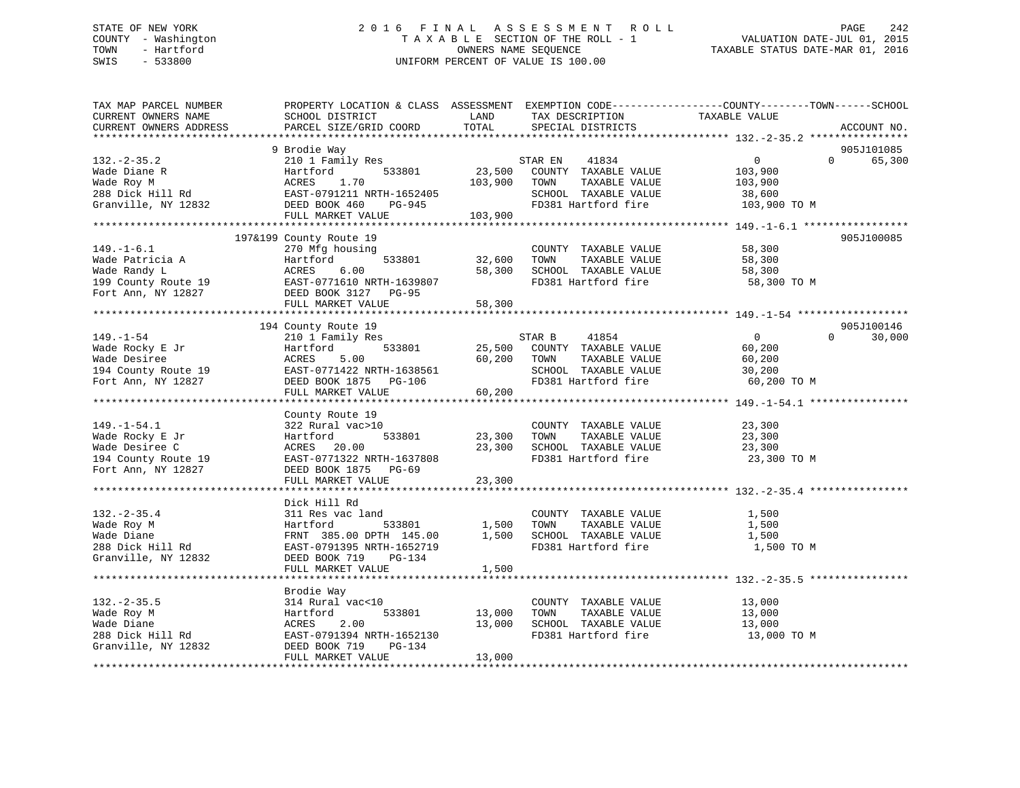## STATE OF NEW YORK 2 0 1 6 F I N A L A S S E S S M E N T R O L L PAGE 242 COUNTY - Washington T A X A B L E SECTION OF THE ROLL - 1 VALUATION DATE-JUL 01, 2015 TOWN - Hartford **TAXABLE STATUS DATE-MAR 01, 2016** OWNERS NAME SEQUENCE TAXABLE STATUS DATE-MAR 01, 2016 SWIS - 533800 UNIFORM PERCENT OF VALUE IS 100.00

| TAX MAP PARCEL NUMBER<br>CURRENT OWNERS NAME<br>CURRENT OWNERS ADDRESS | PROPERTY LOCATION & CLASS ASSESSMENT EXEMPTION CODE---------------COUNTY-------TOWN-----SCHOOL<br>SCHOOL DISTRICT<br>PARCEL SIZE/GRID COORD | LAND<br>TOTAL | TAX DESCRIPTION<br>SPECIAL DISTRICTS                                                             | TAXABLE VALUE                                              | ACCOUNT NO.          |
|------------------------------------------------------------------------|---------------------------------------------------------------------------------------------------------------------------------------------|---------------|--------------------------------------------------------------------------------------------------|------------------------------------------------------------|----------------------|
|                                                                        |                                                                                                                                             |               |                                                                                                  |                                                            |                      |
| $132 - 2 - 35.2$<br>Wade Diane R<br>Wade Roy M<br>288 Dick Hill Rd     | 9 Brodie Way<br>210 1 Family Res<br>Hartford<br>533801<br>ACRES 1.70<br>EAST-0791211 NRTH-1652405                                           | 103,900       | STAR EN<br>41834<br>23,500 COUNTY TAXABLE VALUE<br>TOWN<br>TAXABLE VALUE<br>SCHOOL TAXABLE VALUE | $\overline{0}$<br>$\Omega$<br>103,900<br>103,900<br>38,600 | 905J101085<br>65,300 |
| Granville, NY 12832 DEED BOOK 460                                      | PG-945                                                                                                                                      |               | FD381 Hartford fire                                                                              | 103,900 TO M                                               |                      |
|                                                                        | FULL MARKET VALUE                                                                                                                           | 103,900       |                                                                                                  |                                                            |                      |
|                                                                        | 197&199 County Route 19                                                                                                                     |               |                                                                                                  |                                                            | 905J100085           |
| $149. - 1 - 6.1$                                                       |                                                                                                                                             |               |                                                                                                  | 58,300                                                     |                      |
|                                                                        | 270 Mfg housing<br>533801<br>Hartford                                                                                                       | 32,600        | COUNTY TAXABLE VALUE<br>TAXABLE VALUE<br>TOWN                                                    |                                                            |                      |
| Wade Patricia A<br>Wade Randy L                                        | Hartfc<br>ACRES<br>6.00                                                                                                                     | 58,300        | SCHOOL TAXABLE VALUE                                                                             | 58,300                                                     |                      |
|                                                                        |                                                                                                                                             |               |                                                                                                  | 58,300                                                     |                      |
| 199 County Route 19<br>Fort Ann NY 12827<br>Fort Ann, NY 12827         | EAST-0771610 NRTH-1639807<br>DEED BOOK 3127 PG-95                                                                                           |               | FD381 Hartford fire                                                                              | 58,300 TO M                                                |                      |
|                                                                        | FULL MARKET VALUE                                                                                                                           | 58,300        |                                                                                                  |                                                            |                      |
|                                                                        |                                                                                                                                             |               |                                                                                                  |                                                            |                      |
|                                                                        | 194 County Route 19                                                                                                                         |               |                                                                                                  |                                                            | 905J100146           |
| $149. - 1 - 54$                                                        | 210 1 Family Res                                                                                                                            |               | STAR B<br>41854                                                                                  | $\overline{0}$<br>$\Omega$                                 | 30,000               |
| Wade Rocky E Jr                                                        | 533801                                                                                                                                      | 25,500        | COUNTY TAXABLE VALUE                                                                             | 60,200                                                     |                      |
|                                                                        |                                                                                                                                             | 60,200        | TOWN<br>TAXABLE VALUE                                                                            | 60,200                                                     |                      |
|                                                                        |                                                                                                                                             |               | SCHOOL TAXABLE VALUE                                                                             | 30,200                                                     |                      |
|                                                                        |                                                                                                                                             |               | FD381 Hartford fire                                                                              | 60,200 TO M                                                |                      |
|                                                                        | FULL MARKET VALUE                                                                                                                           | 60,200        |                                                                                                  |                                                            |                      |
|                                                                        |                                                                                                                                             |               |                                                                                                  |                                                            |                      |
|                                                                        | County Route 19                                                                                                                             |               |                                                                                                  |                                                            |                      |
| $149. - 1 - 54.1$                                                      | 322 Rural vac>10                                                                                                                            |               | COUNTY TAXABLE VALUE                                                                             | 23,300                                                     |                      |
| Wade Rocky E Jr                                                        | 533801<br>Hartford                                                                                                                          | 23,300 TOWN   | TAXABLE VALUE                                                                                    | 23,300                                                     |                      |
|                                                                        | ACRES 20.00                                                                                                                                 |               | 23,300 SCHOOL TAXABLE VALUE                                                                      | 23,300                                                     |                      |
| Wade Desiree C<br>194 County Route 19                                  | EAST-0771322 NRTH-1637808                                                                                                                   |               | FD381 Hartford fire                                                                              | 23,300 TO M                                                |                      |
| Fort Ann, NY 12827                                                     | DEED BOOK 1875 PG-69                                                                                                                        |               |                                                                                                  |                                                            |                      |
|                                                                        | FULL MARKET VALUE                                                                                                                           | 23,300        |                                                                                                  |                                                            |                      |
|                                                                        |                                                                                                                                             |               |                                                                                                  |                                                            |                      |
|                                                                        | Dick Hill Rd                                                                                                                                |               |                                                                                                  |                                                            |                      |
| $132 - 2 - 35.4$                                                       | 311 Res vac land                                                                                                                            |               | COUNTY TAXABLE VALUE                                                                             | 1,500                                                      |                      |
| Wade Roy M                                                             | Hartford<br>533801                                                                                                                          |               | 1,500 TOWN<br>TAXABLE VALUE                                                                      | 1,500                                                      |                      |
| Wade Diane                                                             | FRNT 385.00 DPTH 145.00                                                                                                                     |               | 1,500 SCHOOL TAXABLE VALUE                                                                       | 1,500                                                      |                      |
| 288 Dick Hill Rd                                                       | EAST-0791395 NRTH-1652719                                                                                                                   |               | FD381 Hartford fire                                                                              | 1,500 TO M                                                 |                      |
| Granville, NY 12832                                                    | DEED BOOK 719<br>PG-134                                                                                                                     |               |                                                                                                  |                                                            |                      |
|                                                                        | FULL MARKET VALUE                                                                                                                           | 1,500         |                                                                                                  |                                                            |                      |
|                                                                        |                                                                                                                                             |               |                                                                                                  |                                                            |                      |
|                                                                        | Brodie Way                                                                                                                                  |               |                                                                                                  |                                                            |                      |
| $132 - 2 - 35.5$                                                       | 314 Rural vac<10                                                                                                                            |               | COUNTY TAXABLE VALUE                                                                             | 13,000                                                     |                      |
| Wade Roy M                                                             | 533801<br>Hartford                                                                                                                          | 13,000        | TOWN<br>TAXABLE VALUE                                                                            | 13,000                                                     |                      |
| Wade Diane                                                             | 2.00<br>ACRES                                                                                                                               | 13,000        | SCHOOL TAXABLE VALUE                                                                             | 13,000                                                     |                      |
| 288 Dick Hill Rd                                                       | EAST-0791394 NRTH-1652130                                                                                                                   |               | FD381 Hartford fire                                                                              | 13,000 TO M                                                |                      |
| Granville, NY 12832                                                    | DEED BOOK 719<br>PG-134                                                                                                                     |               |                                                                                                  |                                                            |                      |
|                                                                        | FULL MARKET VALUE                                                                                                                           | 13,000        |                                                                                                  |                                                            |                      |
|                                                                        |                                                                                                                                             |               |                                                                                                  |                                                            |                      |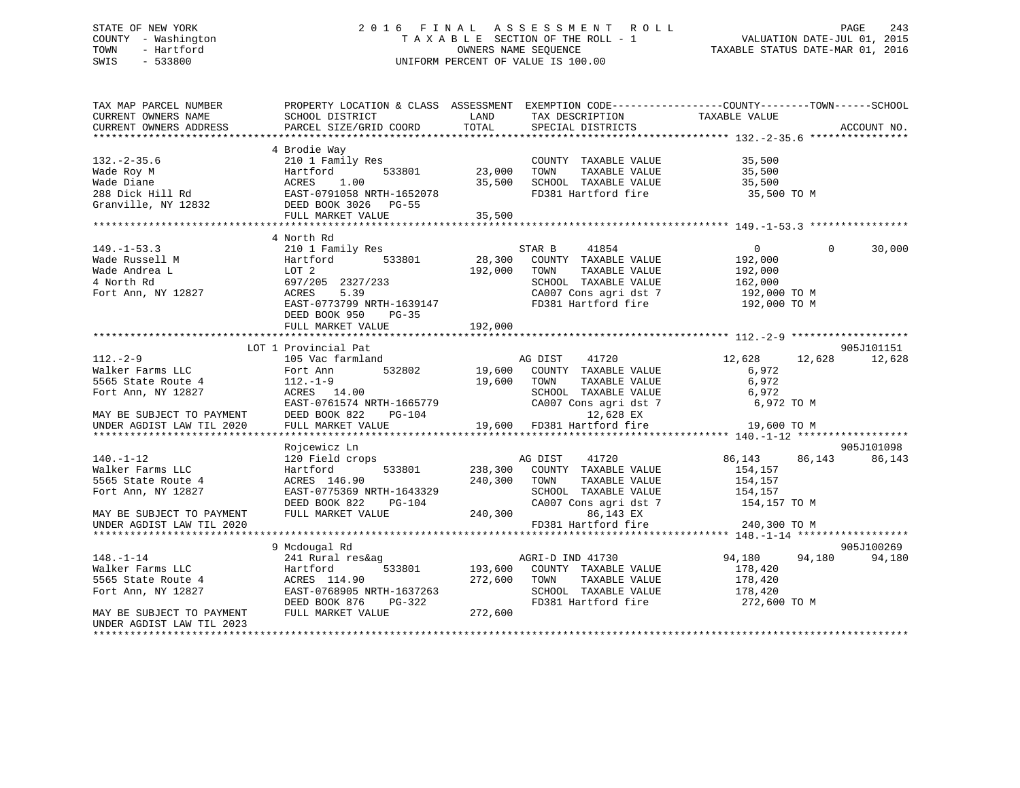## STATE OF NEW YORK 2 0 1 6 F I N A L A S S E S S M E N T R O L L PAGE 243 COUNTY - Washington T A X A B L E SECTION OF THE ROLL - 1 VALUATION DATE-JUL 01, 2015 TOWN - Hartford **TAXABLE STATUS DATE-MAR 01, 2016** OWNERS NAME SEQUENCE TAXABLE STATUS DATE-MAR 01, 2016 SWIS - 533800 UNIFORM PERCENT OF VALUE IS 100.00

| TAX MAP PARCEL NUMBER                                  | PROPERTY LOCATION & CLASS ASSESSMENT EXEMPTION CODE----------------COUNTY-------TOWN-----SCHOOL |         |                                                                                             |                |                    |
|--------------------------------------------------------|-------------------------------------------------------------------------------------------------|---------|---------------------------------------------------------------------------------------------|----------------|--------------------|
| CURRENT OWNERS NAME                                    | SCHOOL DISTRICT                                                                                 | LAND    | TAX DESCRIPTION                                                                             | TAXABLE VALUE  |                    |
| CURRENT OWNERS ADDRESS                                 | PARCEL SIZE/GRID COORD                                                                          | TOTAL   | SPECIAL DISTRICTS                                                                           |                | ACCOUNT NO.        |
|                                                        |                                                                                                 |         |                                                                                             |                |                    |
|                                                        | 4 Brodie Way                                                                                    |         |                                                                                             |                |                    |
| $132. - 2 - 35.6$                                      | 210 1 Family Res                                                                                |         | COUNTY TAXABLE VALUE                                                                        | 35,500         |                    |
| Wade Roy M                                             | 533801<br>Hartford                                                                              | 23,000  | TOWN<br>TAXABLE VALUE                                                                       | 35,500         |                    |
| Wade Diane                                             | 1.00<br>ACRES                                                                                   | 35,500  | SCHOOL TAXABLE VALUE                                                                        | 35,500         |                    |
| 288 Dick Hill Rd                                       | EAST-0791058 NRTH-1652078                                                                       |         | FD381 Hartford fire                                                                         | 35,500 TO M    |                    |
| Granville, NY 12832                                    | DEED BOOK 3026 PG-55                                                                            |         |                                                                                             |                |                    |
|                                                        | FULL MARKET VALUE                                                                               | 35,500  |                                                                                             |                |                    |
|                                                        | *****************************                                                                   |         |                                                                                             |                |                    |
|                                                        | 4 North Rd                                                                                      |         |                                                                                             |                |                    |
| $149. - 1 - 53.3$                                      | 210 1 Family Res                                                                                |         | 41854<br>STAR B                                                                             | $\overline{0}$ | $\Omega$<br>30,000 |
| Wade Russell M                                         | 533801<br>Hartford                                                                              | 28,300  | COUNTY TAXABLE VALUE                                                                        | 192,000        |                    |
| Wade Andrea L                                          | LOT 2                                                                                           | 192,000 | TOWN<br>TAXABLE VALUE                                                                       | 192,000        |                    |
| 4 North Rd                                             | 697/205 2327/233                                                                                |         | SCHOOL TAXABLE VALUE                                                                        | 162,000        |                    |
| Fort Ann, NY 12827                                     | 5.39<br>ACRES                                                                                   |         |                                                                                             | 192,000 TO M   |                    |
|                                                        | EAST-0773799 NRTH-1639147                                                                       |         | CA007 Cons agri dst 7<br>FD381 Hartford fire                                                | 192,000 TO M   |                    |
|                                                        | DEED BOOK 950<br>$PG-35$                                                                        |         |                                                                                             |                |                    |
|                                                        | FULL MARKET VALUE                                                                               | 192,000 |                                                                                             |                |                    |
|                                                        |                                                                                                 |         |                                                                                             |                |                    |
|                                                        | LOT 1 Provincial Pat                                                                            |         |                                                                                             |                | 905J101151         |
| $112. - 2 - 9$                                         | 105 Vac farmland                                                                                |         |                                                                                             | 12,628         | 12,628<br>12,628   |
| Walker Farms LLC                                       | 532802<br>Fort Ann                                                                              |         |                                                                                             | 6,972          |                    |
| 5565 State Route 4                                     | $112.-1-9$                                                                                      | 19,600  | AG DISI ATTE VALUE<br>19,600 COUNTY TAXABLE VALUE<br>TAXABLE VALUE<br>TOWN<br>TAXABLE VALUE | 6,972          |                    |
| Fort Ann, NY 12827                                     | ACRES 14.00                                                                                     |         | SCHOOL TAXABLE VALUE                                                                        | 6,972          |                    |
|                                                        | EAST-0761574 NRTH-1665779                                                                       |         | CA007 Cons agri dst 7                                                                       | 6,972 TO M     |                    |
|                                                        | DEED BOOK 822<br>PG-104                                                                         |         | 12,628 EX                                                                                   |                |                    |
| MAY BE SUBJECT TO PAYMENT<br>UNDER AGDIST LAW TIL 2020 | FULL MARKET VALUE                                                                               |         | 19,600 FD381 Hartford fire                                                                  | 19,600 TO M    |                    |
|                                                        |                                                                                                 |         |                                                                                             |                |                    |
|                                                        | Rojcewicz Ln                                                                                    |         |                                                                                             |                | 905J101098         |
| $140. - 1 - 12$                                        | 120 Field crops                                                                                 |         | AG DIST<br>41720                                                                            | 86,143         | 86,143<br>86,143   |
| Walker Farms LLC                                       | 533801<br>Hartford                                                                              | 238,300 | COUNTY TAXABLE VALUE                                                                        | 154,157        |                    |
| 5565 State Route 4                                     | ACRES 146.90                                                                                    | 240,300 | TAXABLE VALUE<br>TOWN                                                                       | 154,157        |                    |
| Fort Ann, NY 12827                                     | EAST-0775369 NRTH-1643329                                                                       |         | SCHOOL TAXABLE VALUE                                                                        | 154,157        |                    |
|                                                        | DEED BOOK 822<br>PG-104                                                                         |         | CA007 Cons agri dst 7                                                                       | 154,157 TO M   |                    |
| MAY BE SUBJECT TO PAYMENT                              | FULL MARKET VALUE                                                                               | 240,300 | 86,143 EX                                                                                   |                |                    |
|                                                        |                                                                                                 |         | FD381 Hartford fire                                                                         | 240,300 TO M   |                    |
| UNDER AGDIST LAW TIL 2020                              |                                                                                                 |         |                                                                                             |                |                    |
|                                                        | 9 Mcdougal Rd                                                                                   |         |                                                                                             |                | 905J100269         |
|                                                        |                                                                                                 |         |                                                                                             |                |                    |
| $148. - 1 - 14$                                        | 241 Rural res&ag                                                                                |         | AGRI-D IND 41730                                                                            | 94,180         | 94,180<br>94,180   |
| Walker Farms LLC                                       | Hartford                                                                                        |         | 533801 193,600 COUNTY TAXABLE VALUE                                                         | 178,420        |                    |
| 5565 State Route 4                                     | ACRES 114.90                                                                                    | 272,600 | TOWN<br>TAXABLE VALUE                                                                       | 178,420        |                    |
| Fort Ann, NY 12827                                     | EAST-0768905 NRTH-1637263                                                                       |         | SCHOOL TAXABLE VALUE                                                                        | 178,420        |                    |
|                                                        | DEED BOOK 876<br>PG-322                                                                         |         | FD381 Hartford fire                                                                         | 272,600 TO M   |                    |
| MAY BE SUBJECT TO PAYMENT                              | FULL MARKET VALUE                                                                               | 272,600 |                                                                                             |                |                    |
| UNDER AGDIST LAW TIL 2023                              |                                                                                                 |         |                                                                                             |                |                    |
|                                                        |                                                                                                 |         |                                                                                             |                |                    |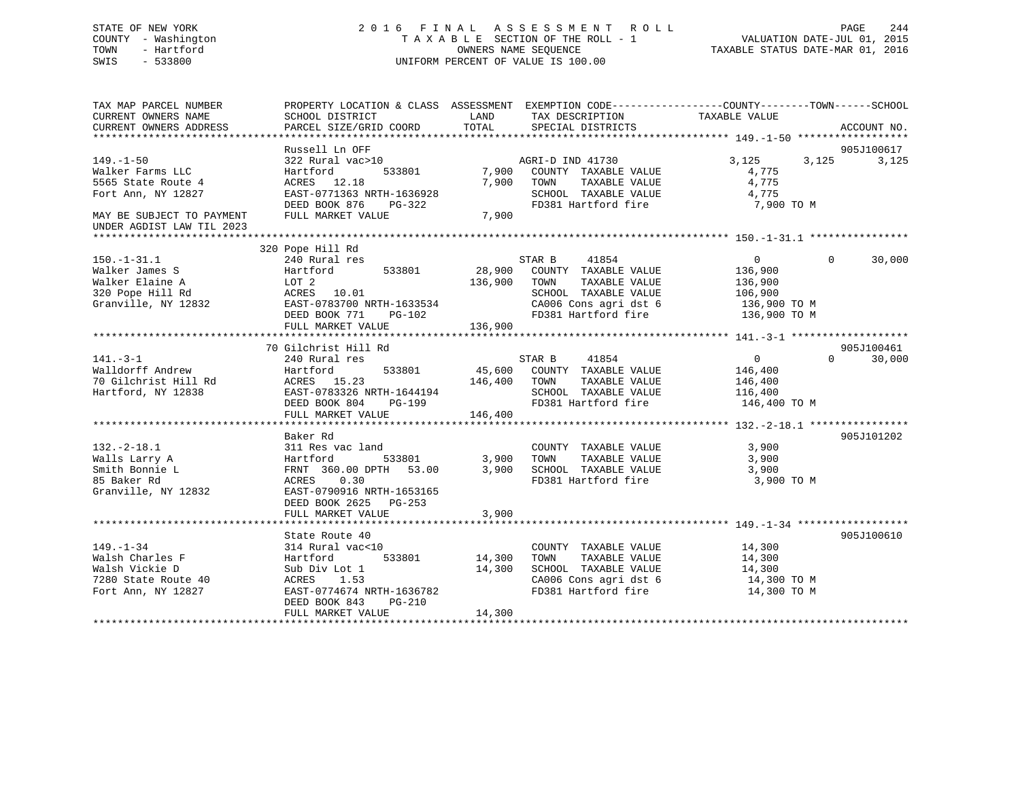## STATE OF NEW YORK 2 0 1 6 F I N A L A S S E S S M E N T R O L L PAGE 244 COUNTY - Washington T A X A B L E SECTION OF THE ROLL - 1 VALUATION DATE-JUL 01, 2015 TOWN - Hartford OWNERS NAME SEQUENCE TAXABLE STATUS DATE-MAR 01, 2016 SWIS - 533800 UNIFORM PERCENT OF VALUE IS 100.00

TAX MAP PARCEL NUMBER PROPERTY LOCATION & CLASS ASSESSMENT EXEMPTION CODE------------------COUNTY--------TOWN------SCHOOL CURRENT OWNERS NAME SCHOOL DISTRICT THE LAND TAX DESCRIPTION TAXABLE VALUE CURRENT OWNERS ADDRESS PARCEL SIZE/GRID COORD TOTAL SPECIAL DISTRICTS ACCOUNT NO. \*\*\*\*\*\*\*\*\*\*\*\*\*\*\*\*\*\*\*\*\*\*\*\*\*\*\*\*\*\*\*\*\*\*\*\*\*\*\*\*\*\*\*\*\*\*\*\*\*\*\*\*\*\*\*\*\*\*\*\*\*\*\*\*\*\*\*\*\*\*\*\*\*\*\*\*\*\*\*\*\*\*\*\*\*\*\*\*\*\*\*\*\*\*\*\*\*\*\*\*\*\*\* 149.-1-50 \*\*\*\*\*\*\*\*\*\*\*\*\*\*\*\*\*\* Russell Ln OFF 905J100617149.-1-50 322 Rural vac>10 AGRI-D IND 41730 3,125 3,125 3,125 Walker Farms LLC Hartford 533801 7,900 COUNTY TAXABLE VALUE 4,775 5565 State Route 4 ACRES 12.18 7,900 TOWN TAXABLE VALUE 4,775 Fort Ann, NY 12827 EAST-0771363 NRTH-1636928 SCHOOL TAXABLE VALUE 4,775 DEED BOOK 876 PG-322 FD381 Hartford fire 7,900 TO M MAY BE SUBJECT TO PAYMENT FULL MARKET VALUE 7,900 UNDER AGDIST LAW TIL 2023 \*\*\*\*\*\*\*\*\*\*\*\*\*\*\*\*\*\*\*\*\*\*\*\*\*\*\*\*\*\*\*\*\*\*\*\*\*\*\*\*\*\*\*\*\*\*\*\*\*\*\*\*\*\*\*\*\*\*\*\*\*\*\*\*\*\*\*\*\*\*\*\*\*\*\*\*\*\*\*\*\*\*\*\*\*\*\*\*\*\*\*\*\*\*\*\*\*\*\*\*\*\*\* 150.-1-31.1 \*\*\*\*\*\*\*\*\*\*\*\*\*\*\*\* 320 Pope Hill Rd 150.-1-31.1 240 Rural res STAR B 41854 0 0 30,000 Walker James S Hartford 533801 28,900 COUNTY TAXABLE VALUE 136,900 Walker Elaine A LOT 2<br>320 Pope Hill Rd ACRES 10.01 136,900 TOWN TAXABLE VALUE 136,900<br>Granville NY 12832 FACES 10.01 SCHOOL TAXABLE VALUE 106,900 320 Pope Hill Rd ACRES 10.01 SCHOOL TAXABLE VALUE 106,900 Granville, NY 12832 EAST-0783700 NRTH-1633534 CA006 Cons agri dst 6 136,900 TO M DEED BOOK 771 PG-102 FD381 Hartford fire 136,900 TO M EAST-0783700 NRIH-100000<br>DEED BOOK 771 PG-102<br>- \*\*\*\*\*\* 136,900 \*\*\*\*\*\*\*\*\*\*\*\*\*\*\*\*\*\*\*\*\*\*\*\*\*\*\*\*\*\*\*\*\*\*\*\*\*\*\*\*\*\*\*\*\*\*\*\*\*\*\*\*\*\*\*\*\*\*\*\*\*\*\*\*\*\*\*\*\*\*\*\*\*\*\*\*\*\*\*\*\*\*\*\*\*\*\*\*\*\*\*\*\*\*\*\*\*\*\*\*\*\*\* 141.-3-1 \*\*\*\*\*\*\*\*\*\*\*\*\*\*\*\*\*\*\* 70 Gilchrist Hill Rd 905J100461141.-3-1 240 Rural res STAR B 41854 0 0 30,000 Walldorff Andrew Hartford 533801 45,600 COUNTY TAXABLE VALUE 146,400 70 Gilchrist Hill Rd ACRES 15.23 146,400 TOWN TAXABLE VALUE 146,400 Hartford, NY 12838 EAST-0783326 NRTH-1644194 SCHOOL TAXABLE VALUE 116,400 DEED BOOK 804 PG-199 FD381 Hartford fire 146,400 TO M DEED BOOK 804 PG-199<br>FULL MARKET VALUE 146,400 \*\*\*\*\*\*\*\*\*\*\*\*\*\*\*\*\*\*\*\*\*\*\*\*\*\*\*\*\*\*\*\*\*\*\*\*\*\*\*\*\*\*\*\*\*\*\*\*\*\*\*\*\*\*\*\*\*\*\*\*\*\*\*\*\*\*\*\*\*\*\*\*\*\*\*\*\*\*\*\*\*\*\*\*\*\*\*\*\*\*\*\*\*\*\*\*\*\*\*\*\*\*\* 132.-2-18.1 \*\*\*\*\*\*\*\*\*\*\*\*\*\*\*\* Baker Rd 905J101202132.-2-18.1 311 Res vac land COUNTY TAXABLE VALUE 3,900 Walls Larry A Hartford 533801 3,900 TOWN TAXABLE VALUE 3,900 Smith Bonnie L FRNT 360.00 DPTH 53.00 3,900 SCHOOL TAXABLE VALUE 3,900 85 Baker Rd ACRES 0.30 FD381 Hartford fire 3,900 TO M Granville, NY 12832 EAST-0790916 NRTH-1653165 DEED BOOK 2625 PG-253FULL MARKET VALUE 3,900 \*\*\*\*\*\*\*\*\*\*\*\*\*\*\*\*\*\*\*\*\*\*\*\*\*\*\*\*\*\*\*\*\*\*\*\*\*\*\*\*\*\*\*\*\*\*\*\*\*\*\*\*\*\*\*\*\*\*\*\*\*\*\*\*\*\*\*\*\*\*\*\*\*\*\*\*\*\*\*\*\*\*\*\*\*\*\*\*\*\*\*\*\*\*\*\*\*\*\*\*\*\*\* 149.-1-34 \*\*\*\*\*\*\*\*\*\*\*\*\*\*\*\*\*\*State Route 40 905J100610 149.-1-34 314 Rural vac<10 COUNTY TAXABLE VALUE 14,300 Walsh Charles F Hartford 533801 14,300 TOWN TAXABLE VALUE 14,300 Walsh Vickie D Sub Div Lot 1 14,300 SCHOOL TAXABLE VALUE 14,300 7280 State Route 40 ACRES 1.53 CA006 Cons agri dst 6 14,300 TO M Fort Ann, NY 12827 EAST-0774674 NRTH-1636782 FD381 Hartford fire 14,300 TO M DEED BOOK 843 PG-210 FULL MARKET VALUE 14,300 \*\*\*\*\*\*\*\*\*\*\*\*\*\*\*\*\*\*\*\*\*\*\*\*\*\*\*\*\*\*\*\*\*\*\*\*\*\*\*\*\*\*\*\*\*\*\*\*\*\*\*\*\*\*\*\*\*\*\*\*\*\*\*\*\*\*\*\*\*\*\*\*\*\*\*\*\*\*\*\*\*\*\*\*\*\*\*\*\*\*\*\*\*\*\*\*\*\*\*\*\*\*\*\*\*\*\*\*\*\*\*\*\*\*\*\*\*\*\*\*\*\*\*\*\*\*\*\*\*\*\*\*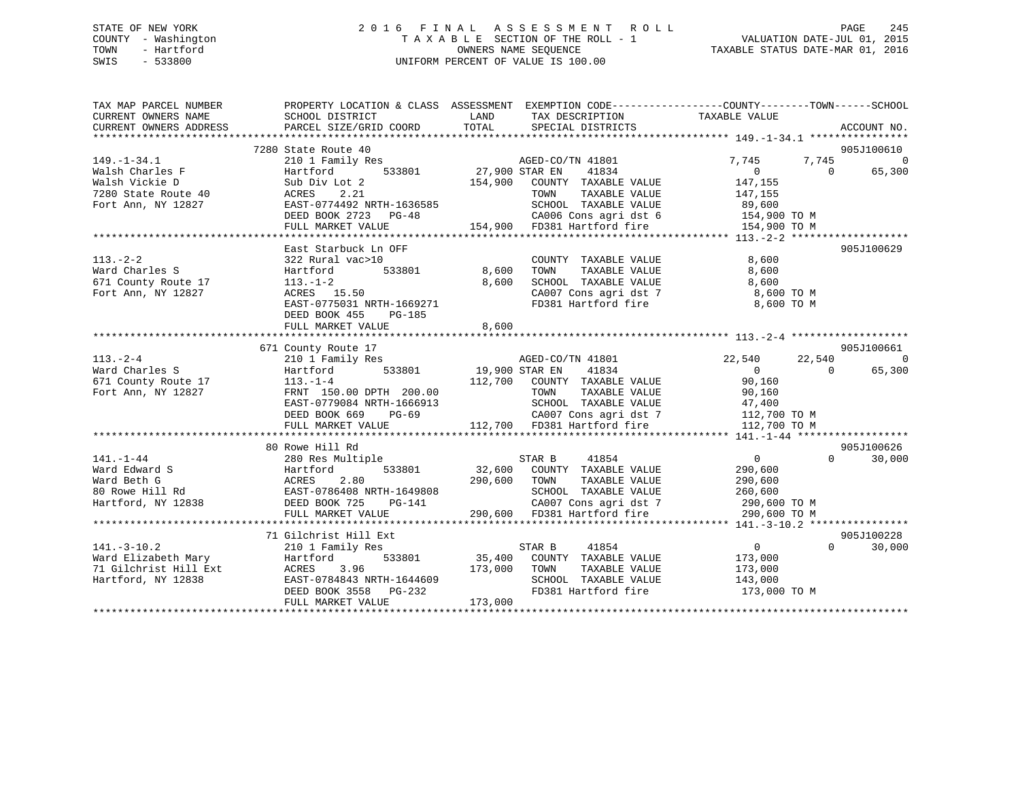## STATE OF NEW YORK 2 0 1 6 F I N A L A S S E S S M E N T R O L L PAGE 245 COUNTY - Washington T A X A B L E SECTION OF THE ROLL - 1 VALUATION DATE-JUL 01, 2015 TOWN - Hartford **TAXABLE STATUS DATE-MAR 01, 2016** OWNERS NAME SEQUENCE TAXABLE STATUS DATE-MAR 01, 2016 SWIS - 533800 UNIFORM PERCENT OF VALUE IS 100.00

| TAX MAP PARCEL NUMBER<br>CURRENT OWNERS NAME | SCHOOL DISTRICT                                                                                                                                                                                                                                      | LAND<br>TAX DESCRIPTION TAXABLE VALUE                               | PROPERTY LOCATION & CLASS ASSESSMENT EXEMPTION CODE---------------COUNTY-------TOWN-----SCHOOL |
|----------------------------------------------|------------------------------------------------------------------------------------------------------------------------------------------------------------------------------------------------------------------------------------------------------|---------------------------------------------------------------------|------------------------------------------------------------------------------------------------|
| CURRENT OWNERS ADDRESS                       | PARCEL SIZE/GRID COORD                                                                                                                                                                                                                               | TOTAL SPECIAL DISTRICTS                                             | ACCOUNT NO.                                                                                    |
|                                              | 7280 State Route 40                                                                                                                                                                                                                                  |                                                                     | 905J100610                                                                                     |
| $149. - 1 - 34.1$                            | 210 1 Family Res                                                                                                                                                                                                                                     |                                                                     | 7,745<br>7,745<br>0                                                                            |
| Walsh Charles F                              | Hartford                                                                                                                                                                                                                                             |                                                                     | 65,300<br>$\overline{0}$                                                                       |
| $\frac{1}{2}$ 40<br>Walsh Vickie D           | Sub Div Lot 2                                                                                                                                                                                                                                        |                                                                     |                                                                                                |
| 7280 State Route 40                          | ACRES 2.21                                                                                                                                                                                                                                           |                                                                     |                                                                                                |
| Fort Ann, NY 12827                           | EAST-0774492 NRTH-1636585                                                                                                                                                                                                                            |                                                                     |                                                                                                |
|                                              |                                                                                                                                                                                                                                                      |                                                                     |                                                                                                |
|                                              |                                                                                                                                                                                                                                                      |                                                                     |                                                                                                |
|                                              |                                                                                                                                                                                                                                                      |                                                                     |                                                                                                |
|                                              | East Starbuck Ln OFF                                                                                                                                                                                                                                 |                                                                     | 905J100629                                                                                     |
| $113. - 2 - 2$                               | 322 Rural vac>10                                                                                                                                                                                                                                     | COUNTY TAXABLE VALUE                                                | 8,600                                                                                          |
| Ward Charles S                               | Hartford                                                                                                                                                                                                                                             | 533801 8,600                                                        | 8,600                                                                                          |
| 671 County Route 17                          | $113.-1-2$                                                                                                                                                                                                                                           | TOWN         TAXABLE   VALUE<br>SCHOOL     TAXABLE   VALUE<br>8,600 | 8,600                                                                                          |
| Fort Ann, NY 12827                           | ACRES 15.50                                                                                                                                                                                                                                          |                                                                     | CA007 Cons agri dst 7 8,600 TO M                                                               |
|                                              |                                                                                                                                                                                                                                                      | FD381 Hartford fire                                                 | 8,600 TO M                                                                                     |
|                                              | EAST-0775031 NRTH-1669271<br>DEED BOOK 455 - 201105<br>DEED BOOK 455 PG-185                                                                                                                                                                          |                                                                     |                                                                                                |
|                                              | FULL MARKET VALUE                                                                                                                                                                                                                                    | 8,600                                                               |                                                                                                |
|                                              |                                                                                                                                                                                                                                                      |                                                                     |                                                                                                |
|                                              | 671 County Route 17                                                                                                                                                                                                                                  |                                                                     | 905J100661                                                                                     |
| $113. - 2 - 4$                               | 210 1 Family Res                                                                                                                                                                                                                                     | AGED-CO/TN 41801                                                    | 22,540<br>22,540<br>$\Omega$                                                                   |
| Ward Charles S                               | Hartford                                                                                                                                                                                                                                             | 533801 19,900 STAR EN<br>41834                                      | $\overline{0}$<br>65,300<br>$\overline{0}$                                                     |
|                                              | Ward Charles 5<br>671 County Route 17<br>113.-1-4<br>FRNT 150.00 DPTH 200.00<br>1266913                                                                                                                                                              |                                                                     |                                                                                                |
|                                              |                                                                                                                                                                                                                                                      | 112,700 COUNTY TAXABLE VALUE<br>TOWN TAXABLE VALUE                  | 90,160<br>90,160                                                                               |
|                                              | EAST-0779084 NRTH-1666913                                                                                                                                                                                                                            |                                                                     | SCHOOL TAXABLE VALUE 47,400<br>CA007 Cons agri dst 7 112,700 TO M                              |
|                                              | DEED BOOK 669 PG-69                                                                                                                                                                                                                                  |                                                                     |                                                                                                |
|                                              | FULL MARKET VALUE                                                                                                                                                                                                                                    |                                                                     | 112,700 TO M                                                                                   |
|                                              |                                                                                                                                                                                                                                                      |                                                                     |                                                                                                |
|                                              | 80 Rowe Hill Rd                                                                                                                                                                                                                                      |                                                                     | 905J100626                                                                                     |
|                                              |                                                                                                                                                                                                                                                      |                                                                     | $\overline{0}$<br>$\Omega$<br>30,000                                                           |
|                                              |                                                                                                                                                                                                                                                      | STAR B 41854<br>32,600 COUNTY TAXABLE VALUE                         | 290,600                                                                                        |
|                                              | 141.-1-44<br>Ward Edward S<br>Ward Beth G<br>16 Martford 533801<br>164 Martford, NY 12838<br>16 Martford, NY 12838<br>16 Martford, NY 12838<br>16 Martford, NY 12838<br>16 Martford, NY 12838<br>16 Martford, NY 12838<br>16 Martford, NY 12838<br>1 | 290,600 TOWN<br>TAXABLE VALUE                                       | 290,600                                                                                        |
|                                              |                                                                                                                                                                                                                                                      | SCHOOL TAXABLE VALUE                                                | 260,600                                                                                        |
|                                              |                                                                                                                                                                                                                                                      | H-1649808<br>PG-141                                                 |                                                                                                |
|                                              | FULL MARKET VALUE                                                                                                                                                                                                                                    | 290,600 FD381 Hartford fire 290,600 TO M                            |                                                                                                |
|                                              |                                                                                                                                                                                                                                                      |                                                                     |                                                                                                |
|                                              | 71 Gilchrist Hill Ext                                                                                                                                                                                                                                |                                                                     | 905J100228                                                                                     |
| $141. - 3 - 10.2$                            | 210 1 Family Res                                                                                                                                                                                                                                     | STAR B 41854                                                        | $\overline{0}$<br>$\Omega$<br>30,000                                                           |
| Ward Elizabeth Mary                          | Hartford                                                                                                                                                                                                                                             | 533801 35,400 COUNTY TAXABLE VALUE                                  | 173,000                                                                                        |
| 71 Gilchrist Hill Ext<br>Hartford, NY 12838  |                                                                                                                                                                                                                                                      | TAXABLE VALUE                                                       |                                                                                                |
| Hartford, NY 12838                           |                                                                                                                                                                                                                                                      | SCHOOL TAXABLE VALUE                                                | 173,000<br>143,000                                                                             |
|                                              | ACRES 3.96 173,000 TOWN<br>EAST-0784843 NRTH-1644609 SCHOOL<br>DEED BOOK 3558 PG-232 FD381 Hz                                                                                                                                                        |                                                                     | FD381 Hartford fire 173,000 TO M                                                               |
|                                              | FULL MARKET VALUE                                                                                                                                                                                                                                    | 173,000                                                             |                                                                                                |
|                                              |                                                                                                                                                                                                                                                      |                                                                     |                                                                                                |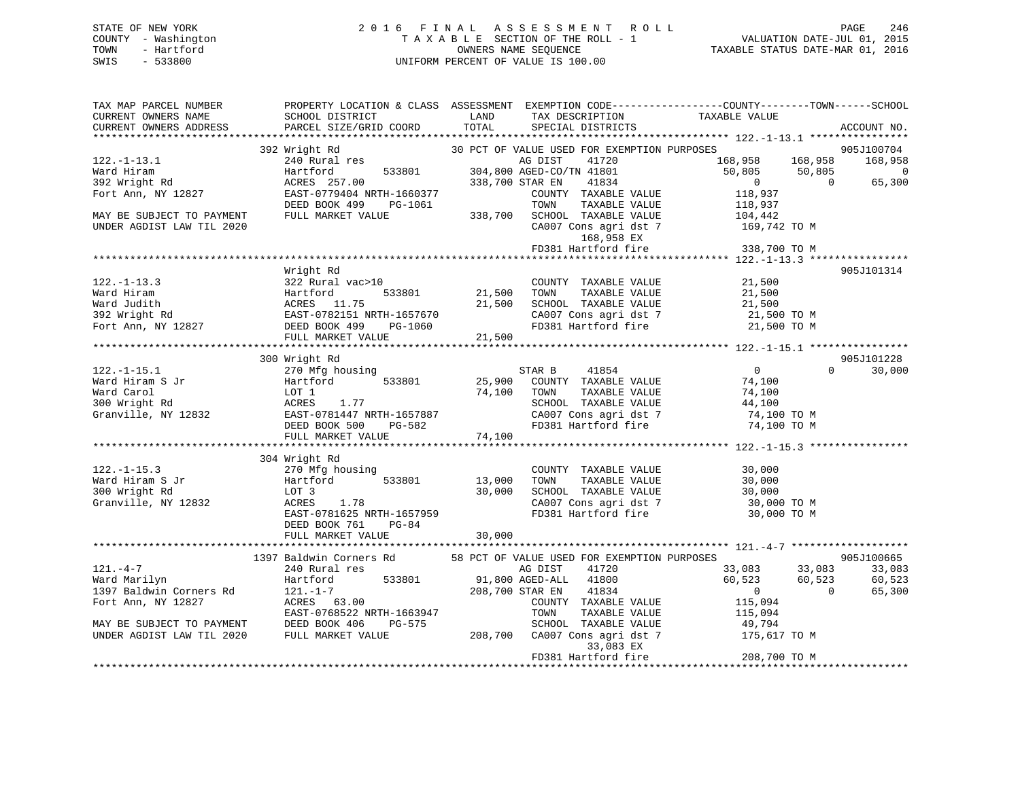## STATE OF NEW YORK 2 0 1 6 F I N A L A S S E S S M E N T R O L L PAGE 246 COUNTY - Washington T A X A B L E SECTION OF THE ROLL - 1 VALUATION DATE-JUL 01, 2015 TOWN - Hartford **TAXABLE STATUS DATE-MAR 01, 2016** OWNERS NAME SEQUENCE TAXABLE STATUS DATE-MAR 01, 2016 SWIS - 533800 UNIFORM PERCENT OF VALUE IS 100.00

| TAX MAP PARCEL NUMBER<br>CURRENT OWNERS NAME<br>CURRENT OWNERS ADDRESS                                                                           | SCHOOL DISTRICT<br><b>LAND</b><br>PARCEL SIZE/GRID COORD                                                                                                                                                                                                                                    | TOTAL                 | TAX DESCRIPTION TAXABLE VALUE<br>SPECIAL DISTRICTS                   | PROPERTY LOCATION & CLASS ASSESSMENT EXEMPTION CODE---------------COUNTY-------TOWN------SCHOOL | ACCOUNT NO.    |
|--------------------------------------------------------------------------------------------------------------------------------------------------|---------------------------------------------------------------------------------------------------------------------------------------------------------------------------------------------------------------------------------------------------------------------------------------------|-----------------------|----------------------------------------------------------------------|-------------------------------------------------------------------------------------------------|----------------|
| $122. - 1 - 13.1$                                                                                                                                | Wright Rd<br>240 Rural res<br>240 Rural res<br>240 Rural res<br>240 Rural res<br>240 Rural res<br>257.00<br>233801<br>238,700 STAR EN<br>248384<br>238,700 STAR EN<br>24834<br>392 Wright Rd                                                                                                |                       |                                                                      | 168,958 168,958 168,958                                                                         | 905J100704     |
| Ward Hiram                                                                                                                                       |                                                                                                                                                                                                                                                                                             |                       |                                                                      |                                                                                                 | $\overline{0}$ |
| waru niram<br>392 Wright Rd                                                                                                                      |                                                                                                                                                                                                                                                                                             |                       |                                                                      | $50,805$ $50,805$ 0                                                                             | 65,300         |
| Fort Ann, NY 12827                                                                                                                               | EAST-0779404 NRTH-1660377                                                                                                                                                                                                                                                                   |                       | COUNTY TAXABLE VALUE                                                 | 118,937                                                                                         |                |
|                                                                                                                                                  | DEED BOOK 499 PG-1061                                                                                                                                                                                                                                                                       |                       | TOWN                                                                 | TAXABLE VALUE 118,937                                                                           |                |
| MAY BE SUBJECT TO PAYMENT                                                                                                                        | FULL MARKET VALUE                                                                                                                                                                                                                                                                           |                       |                                                                      | 338,700 SCHOOL TAXABLE VALUE 104,442<br>CA007 Cons agri dst 7 169,742 TO M                      |                |
| UNDER AGDIST LAW TIL 2020                                                                                                                        |                                                                                                                                                                                                                                                                                             |                       |                                                                      |                                                                                                 |                |
|                                                                                                                                                  |                                                                                                                                                                                                                                                                                             |                       | 168,958 EX                                                           |                                                                                                 |                |
|                                                                                                                                                  |                                                                                                                                                                                                                                                                                             |                       | FD381 Hartford fire                                                  | 338,700 TO M                                                                                    |                |
|                                                                                                                                                  |                                                                                                                                                                                                                                                                                             |                       |                                                                      |                                                                                                 |                |
|                                                                                                                                                  | Wright Rd                                                                                                                                                                                                                                                                                   |                       |                                                                      |                                                                                                 | 905J101314     |
| $122. - 1 - 13.3$                                                                                                                                | 322 Rural vac>10                                                                                                                                                                                                                                                                            |                       | COUNTY TAXABLE VALUE 21,500                                          |                                                                                                 |                |
|                                                                                                                                                  |                                                                                                                                                                                                                                                                                             | COUNTY<br>21,500 TOWN | TAXABLE VALUE                                                        | 21,500                                                                                          |                |
| Ward Hiram Martford 533801<br>Ward Judith Martford 533801<br>392 Wright Rd EAST-0782151 NRTH-1657670<br>Fort Ann, NY 12827 DEED BOOK 499 PG-1060 |                                                                                                                                                                                                                                                                                             |                       |                                                                      | $21,500$ IOWIN IMMORE VALUE 21,500<br>21,500 SCHOOL TAXABLE VALUE 21,500 TO M                   |                |
|                                                                                                                                                  |                                                                                                                                                                                                                                                                                             |                       |                                                                      |                                                                                                 |                |
|                                                                                                                                                  |                                                                                                                                                                                                                                                                                             |                       |                                                                      | FD381 Hartford fire 21,500 TO M                                                                 |                |
|                                                                                                                                                  | FULL MARKET VALUE                                                                                                                                                                                                                                                                           | 21,500                |                                                                      |                                                                                                 |                |
|                                                                                                                                                  |                                                                                                                                                                                                                                                                                             |                       |                                                                      |                                                                                                 |                |
|                                                                                                                                                  | 300 Wright Rd                                                                                                                                                                                                                                                                               |                       |                                                                      |                                                                                                 | 905J101228     |
| $122. - 1 - 15.1$                                                                                                                                | 270 Mfg housing                                                                                                                                                                                                                                                                             |                       | STAR B 41854                                                         | $\overline{0}$<br>$\Omega$                                                                      | 30,000         |
| Ward Hiram S Jr                                                                                                                                  | $\frac{25.7}{100}$ That $\frac{1}{25}$ , $\frac{25.7}{100}$ $\frac{25.7}{100}$ $\frac{25.7}{100}$ $\frac{25.7}{100}$ $\frac{25.7}{100}$ $\frac{25.7}{100}$ $\frac{25.7}{100}$ $\frac{25.7}{100}$ $\frac{25.7}{100}$ $\frac{25.7}{100}$ $\frac{25.7}{100}$ $\frac{25.7}{100}$ $\frac{25.7}{$ |                       |                                                                      | 74,100                                                                                          |                |
| Ward Carol                                                                                                                                       | LOT 1                                                                                                                                                                                                                                                                                       |                       | 74,100 TOWN<br>TAXABLE VALUE                                         | 74,100                                                                                          |                |
|                                                                                                                                                  |                                                                                                                                                                                                                                                                                             |                       | SCHOOL TAXABLE VALUE                                                 |                                                                                                 |                |
|                                                                                                                                                  |                                                                                                                                                                                                                                                                                             |                       |                                                                      | 44,100 TO M<br>74,100 TO M                                                                      |                |
|                                                                                                                                                  |                                                                                                                                                                                                                                                                                             |                       |                                                                      | CA007 Cons agri dst 7 14,100 TO M<br>FD381 Hartford fire 194,100 TO M                           |                |
| Ward Carol<br>300 Wright Rd<br>Granville, NY 12832<br>EAST-0781447 NRTH-1657887<br>DEED BOOK 500 PG-582<br>FULL MARKET VALUE 74,100              |                                                                                                                                                                                                                                                                                             |                       |                                                                      |                                                                                                 |                |
|                                                                                                                                                  |                                                                                                                                                                                                                                                                                             |                       |                                                                      |                                                                                                 |                |
|                                                                                                                                                  | 304 Wright Rd                                                                                                                                                                                                                                                                               |                       |                                                                      |                                                                                                 |                |
| $122. - 1 - 15.3$                                                                                                                                | 270 Mfg housing                                                                                                                                                                                                                                                                             |                       | COUNTY TAXABLE VALUE                                                 | 30,000                                                                                          |                |
| Ward Hiram S Jr                                                                                                                                  | Hartford                                                                                                                                                                                                                                                                                    | 533801 13,000         | TOWN                                                                 | TAXABLE VALUE 30,000<br>TAXABLE VALUE 30,000                                                    |                |
| 300 Wright Rd                                                                                                                                    | LOT 3                                                                                                                                                                                                                                                                                       | 30,000                |                                                                      |                                                                                                 |                |
| Granville, NY 12832                                                                                                                              | ACRES 1.78                                                                                                                                                                                                                                                                                  |                       | SCHOOL TAXABLE VALUE<br>CA007 Cons agri dst 7<br>FD381 Hartford fire | 30,000 TO M                                                                                     |                |
|                                                                                                                                                  | $EAST-0781625$ NRTH-1657959                                                                                                                                                                                                                                                                 |                       |                                                                      | 30,000 TO M                                                                                     |                |
|                                                                                                                                                  | $PG-84$<br>DEED BOOK 761                                                                                                                                                                                                                                                                    |                       |                                                                      |                                                                                                 |                |
|                                                                                                                                                  |                                                                                                                                                                                                                                                                                             |                       |                                                                      |                                                                                                 |                |
|                                                                                                                                                  |                                                                                                                                                                                                                                                                                             |                       |                                                                      |                                                                                                 |                |
|                                                                                                                                                  | 1397 Baldwin Corners Rd 58 PCT OF VALUE USED FOR EXEMPTION PURPOSES                                                                                                                                                                                                                         |                       |                                                                      |                                                                                                 | 905J100665     |
| $121. -4 -7$                                                                                                                                     | 240 Rural res                                                                                                                                                                                                                                                                               |                       | AG DIST 41720                                                        | 33,083 33,083                                                                                   | 33,083         |
| Ward Marilyn                                                                                                                                     | 533801<br>Hartford                                                                                                                                                                                                                                                                          |                       | 91,800 AGED-ALL 41800<br>208,700 STAR EN 41834                       | 60,523 60,523                                                                                   | 60,523         |
| 1397 Baldwin Corners Rd                                                                                                                          | $121. - 1 - 7$<br>ACRES 63.00                                                                                                                                                                                                                                                               |                       | 208,700 STAR EN 41834                                                | $\sim$ 0<br>$\overline{0}$                                                                      | 65,300         |
| Fort Ann, NY 12827                                                                                                                               |                                                                                                                                                                                                                                                                                             |                       | COUNTY TAXABLE VALUE                                                 | 115,094<br>115,094                                                                              |                |
|                                                                                                                                                  | EAST-0768522 NRTH-1663947                                                                                                                                                                                                                                                                   |                       | TOWN<br>TAXABLE VALUE                                                |                                                                                                 |                |
| MAY BE SUBJECT TO PAYMENT                                                                                                                        | DEED BOOK 406<br>PG-575                                                                                                                                                                                                                                                                     |                       |                                                                      | $3-575$ SCHOOL TAXABLE VALUE $49,794$<br>208,700 CA007 Cons agri dst 7 175,617 TO M             |                |
| UNDER AGDIST LAW TIL 2020                                                                                                                        | FULL MARKET VALUE                                                                                                                                                                                                                                                                           |                       | 33,083 EX                                                            |                                                                                                 |                |
|                                                                                                                                                  |                                                                                                                                                                                                                                                                                             |                       | FD381 Hartford fire                                                  | 208,700 TO M                                                                                    |                |
|                                                                                                                                                  |                                                                                                                                                                                                                                                                                             |                       |                                                                      |                                                                                                 |                |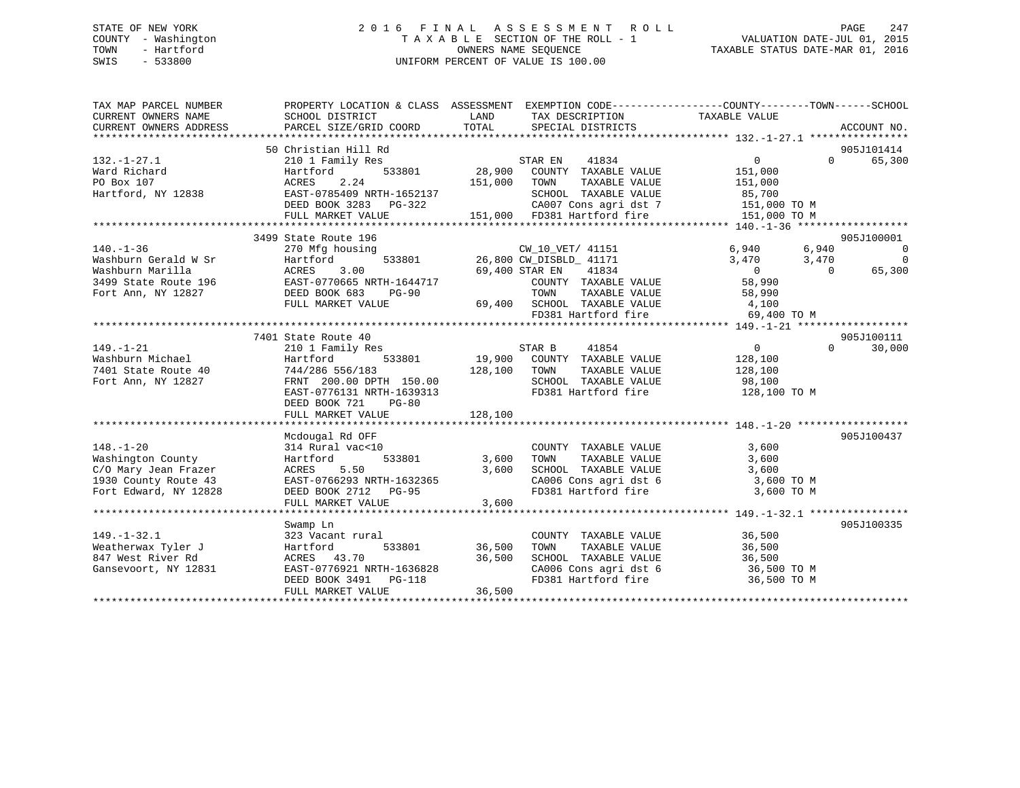## STATE OF NEW YORK 2 0 1 6 F I N A L A S S E S S M E N T R O L L PAGE 247 COUNTY - Washington T A X A B L E SECTION OF THE ROLL - 1 VALUATION DATE-JUL 01, 2015 TOWN - Hartford **TAXABLE STATUS DATE-MAR 01, 2016** OWNERS NAME SEQUENCE TAXABLE STATUS DATE-MAR 01, 2016 SWIS - 533800 UNIFORM PERCENT OF VALUE IS 100.00

| TAX MAP PARCEL NUMBER<br>CURRENT OWNERS NAME<br>CURRENT OWNERS ADDRESS                                                              | PROPERTY LOCATION & CLASS ASSESSMENT EXEMPTION CODE---------------COUNTY-------TOWN-----SCHOOL<br>SCHOOL DISTRICT<br>PARCEL SIZE/GRID COORD                                             | LAND<br>TOTAL              | TAX DESCRIPTION TAXABLE VALUE<br>SPECIAL DISTRICTS                                                                                                                                                    |                                                                                                | ACCOUNT NO.                                                |
|-------------------------------------------------------------------------------------------------------------------------------------|-----------------------------------------------------------------------------------------------------------------------------------------------------------------------------------------|----------------------------|-------------------------------------------------------------------------------------------------------------------------------------------------------------------------------------------------------|------------------------------------------------------------------------------------------------|------------------------------------------------------------|
| $132. - 1 - 27.1$<br>Ward Richard<br>PO Box 107<br>Hartford, NY 12838                                                               | 50 Christian Hill Rd<br>210 1 Family Res<br>533801<br>Hartford<br>2.24<br>ACRES<br>EAST-0785409 NRTH-1652137<br>DEED BOOK 3283 PG-322<br>FULL MARKET VALUE                              | 28,900<br>151,000          | STAR EN<br>41834<br>COUNTY TAXABLE VALUE<br>TOWN<br>TAXABLE VALUE<br>SCHOOL TAXABLE VALUE<br>CA007 Cons agri dst 7 151,000 TO M<br>FD381 Hartford fire 151.000 TO M<br>151,000 FD381 Hartford fire    | 0<br>151,000<br>151,000<br>85,700<br>151,000 TO M                                              | 905J101414<br>65,300<br>$\Omega$                           |
|                                                                                                                                     |                                                                                                                                                                                         |                            |                                                                                                                                                                                                       |                                                                                                |                                                            |
| $140. - 1 - 36$<br>Washburn Gerald W Sr<br>Washburn Marilla<br>3499 State Route 196 EAST-0770665 NRTH-1644717<br>Fort Ann, NY 12827 | 3499 State Route 196<br>270 Mfg housing<br>Hartford<br>ACRES<br>3.00<br>DEED BOOK 683<br><b>PG-90</b><br>FULL MARKET VALUE                                                              |                            | CW_10_VET/ 41151<br>533801 26,800 CW_DISBLD_ 41171<br>CW_10_VET/ 41151<br>69,400 STAR EN 41834<br>COUNTY TAXABLE VALUE<br>TOWN<br>TAXABLE VALUE<br>69,400 SCHOOL TAXABLE VALUE<br>FD381 Hartford fire | 6,940<br>6,940<br>3,470<br>3,470<br>$\overline{0}$<br>58,990<br>58,990<br>4,100<br>69,400 TO M | 905J100001<br>$\sim$ 0<br>$\sim$ 0<br>65,300<br>$\bigcirc$ |
|                                                                                                                                     |                                                                                                                                                                                         |                            |                                                                                                                                                                                                       |                                                                                                |                                                            |
| $149. - 1 - 21$<br>Washburn Michael<br>7401 State Route 40<br>Fort Ann, NY 12827                                                    | 7401 State Route 40<br>210 1 Family Res<br>Hartford<br>533801<br>744/286 556/183<br>FRNT 200.00 DPTH 150.00<br>EAST-0776131 NRTH-1639313<br>DEED BOOK 721<br>PG-80<br>FULL MARKET VALUE | 128,100<br>128,100         | STAR B<br>41854<br>19,900 COUNTY TAXABLE VALUE<br>TOWN<br>TAXABLE VALUE<br>SCHOOL TAXABLE VALUE<br>FD381 Hartford fire                                                                                | $\overline{0}$<br>128,100<br>128,100<br>98,100<br>128,100 TO M                                 | 905J100111<br>$\Omega$<br>30,000                           |
|                                                                                                                                     |                                                                                                                                                                                         |                            |                                                                                                                                                                                                       |                                                                                                |                                                            |
| $148. - 1 - 20$<br>Washington County<br>C/O Mary Jean Frazer<br>1930 County Route 43<br>Fort Edward, NY 12828                       | Mcdougal Rd OFF<br>314 Rural vac<10<br>533801<br>Hartford<br>5.50<br>ACRES<br>EAST-0766293 NRTH-1632365<br>DEED BOOK 2712 PG-95<br>FULL MARKET VALUE                                    | 3,600<br>3,600<br>3,600    | COUNTY TAXABLE VALUE<br>TOWN<br>TAXABLE VALUE<br>SCHOOL TAXABLE VALUE<br>CA006 Cons agri dst 6<br>FD381 Hartford fire                                                                                 | 3,600<br>3,600<br>3,600<br>3,600 TO M<br>3,600 TO M                                            | 905J100437                                                 |
|                                                                                                                                     |                                                                                                                                                                                         |                            |                                                                                                                                                                                                       |                                                                                                |                                                            |
| $149. - 1 - 32.1$<br>Weatherwax Tyler J<br>847 West River Rd<br>Gansevoort, NY 12831                                                | Swamp Ln<br>323 Vacant rural<br>533801<br>Hartford<br>ACRES 43.70<br>FULL MARKET VALUE                                                                                                  | 36,500<br>36,500<br>36,500 | COUNTY TAXABLE VALUE<br>TOWN<br>TAXABLE VALUE<br>SCHOOL TAXABLE VALUE<br>CA006 Cons agri dst 6<br>FD381 Hartford fire                                                                                 | 36,500<br>36,500<br>36,500<br>36,500 TO M<br>36,500 TO M                                       | 905J100335                                                 |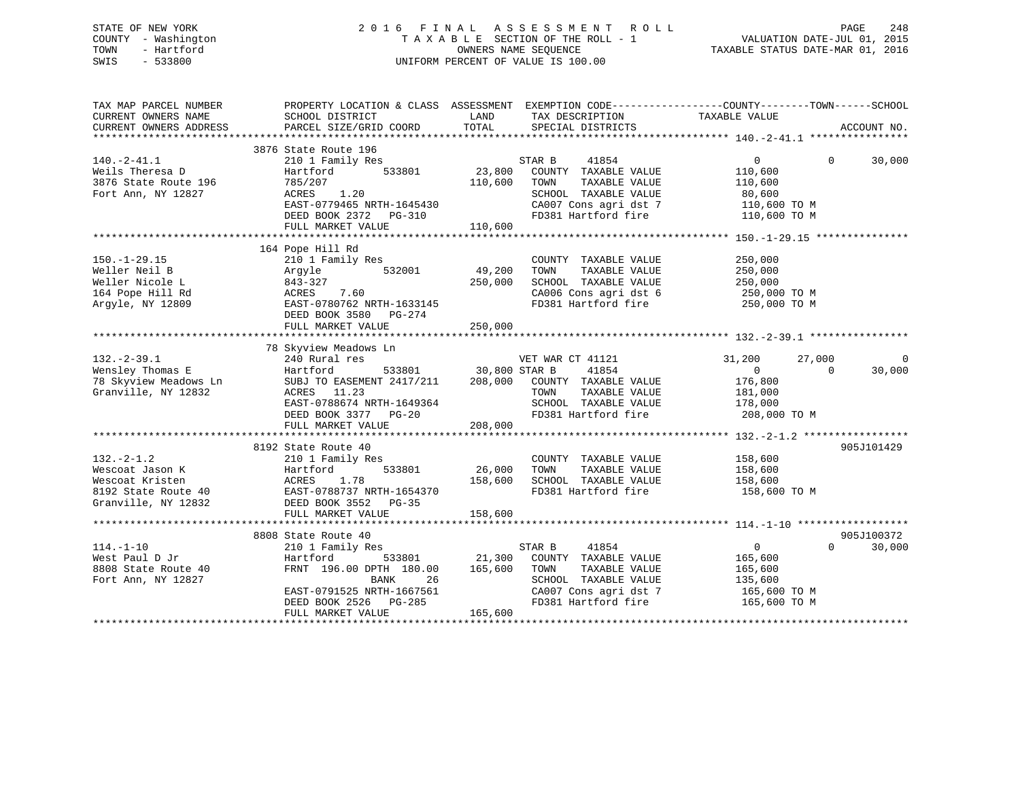## STATE OF NEW YORK 2 0 1 6 F I N A L A S S E S S M E N T R O L L PAGE 248 COUNTY - Washington T A X A B L E SECTION OF THE ROLL - 1 VALUATION DATE-JUL 01, 2015 TOWN - Hartford **TAXABLE STATUS DATE-MAR 01, 2016** OWNERS NAME SEQUENCE TAXABLE STATUS DATE-MAR 01, 2016 SWIS - 533800 UNIFORM PERCENT OF VALUE IS 100.00

| SCHOOL DISTRICT<br>PARCEL SIZE/GRID COORD                                                                                        | LAND<br>TOTAL                                                                                                                                                                                                                     | TAX DESCRIPTION<br>SPECIAL DISTRICTS                                                                                           |                                                                                                                                                                   | ACCOUNT NO.                                                                                                                                                                                            |
|----------------------------------------------------------------------------------------------------------------------------------|-----------------------------------------------------------------------------------------------------------------------------------------------------------------------------------------------------------------------------------|--------------------------------------------------------------------------------------------------------------------------------|-------------------------------------------------------------------------------------------------------------------------------------------------------------------|--------------------------------------------------------------------------------------------------------------------------------------------------------------------------------------------------------|
|                                                                                                                                  |                                                                                                                                                                                                                                   |                                                                                                                                |                                                                                                                                                                   |                                                                                                                                                                                                        |
| 210 1 Family Res                                                                                                                 |                                                                                                                                                                                                                                   | 41854                                                                                                                          | $\Omega$<br>$\Omega$                                                                                                                                              | 30,000                                                                                                                                                                                                 |
| 785/207<br>ACRES<br>1.20                                                                                                         | 110,600                                                                                                                                                                                                                           | TOWN<br>TAXABLE VALUE<br>SCHOOL TAXABLE VALUE                                                                                  | 110,600<br>80,600                                                                                                                                                 |                                                                                                                                                                                                        |
| DEED BOOK 2372 PG-310<br>FULL MARKET VALUE                                                                                       | 110,600                                                                                                                                                                                                                           | FD381 Hartford fire                                                                                                            | 110,600 TO M                                                                                                                                                      |                                                                                                                                                                                                        |
|                                                                                                                                  |                                                                                                                                                                                                                                   |                                                                                                                                |                                                                                                                                                                   |                                                                                                                                                                                                        |
| 210 1 Family Res<br>532001<br>Arqyle<br>843-327<br>ACRES<br>7.60<br>EAST-0780762 NRTH-1633145<br>DEED BOOK 3580 PG-274           | 49,200<br>250,000                                                                                                                                                                                                                 | COUNTY TAXABLE VALUE<br>TAXABLE VALUE<br>TOWN<br>SCHOOL TAXABLE VALUE<br>CA006 Cons agri dst 6<br>FD381 Hartford fire          | 250,000<br>250,000<br>250,000<br>250,000 TO M<br>250,000 TO M                                                                                                     |                                                                                                                                                                                                        |
|                                                                                                                                  |                                                                                                                                                                                                                                   |                                                                                                                                |                                                                                                                                                                   |                                                                                                                                                                                                        |
|                                                                                                                                  |                                                                                                                                                                                                                                   |                                                                                                                                |                                                                                                                                                                   |                                                                                                                                                                                                        |
| 240 Rural res<br>Hartford<br>ACRES 11.23<br>DEED BOOK 3377 PG-20                                                                 |                                                                                                                                                                                                                                   | 41854<br>TOWN<br>TAXABLE VALUE<br>FD381 Hartford fire                                                                          | 31,200<br>27,000<br>$\overline{0}$<br>$\Omega$<br>176,800<br>181,000<br>178,000                                                                                   | $\Omega$<br>30,000                                                                                                                                                                                     |
|                                                                                                                                  |                                                                                                                                                                                                                                   |                                                                                                                                |                                                                                                                                                                   |                                                                                                                                                                                                        |
| 210 1 Family Res<br>Hartford<br>533801<br>1.78<br>ACRES<br>EAST-0788737 NRTH-1654370<br>DEED BOOK 3552 PG-35                     | 158,600                                                                                                                                                                                                                           | COUNTY TAXABLE VALUE<br>TAXABLE VALUE<br>TOWN<br>SCHOOL TAXABLE VALUE<br>FD381 Hartford fire                                   | 158,600<br>158,600<br>158,600<br>158,600 TO M                                                                                                                     | 905J101429                                                                                                                                                                                             |
|                                                                                                                                  |                                                                                                                                                                                                                                   |                                                                                                                                |                                                                                                                                                                   |                                                                                                                                                                                                        |
|                                                                                                                                  |                                                                                                                                                                                                                                   |                                                                                                                                |                                                                                                                                                                   | 905J100372                                                                                                                                                                                             |
| 210 1 Family Res<br>Hartford<br>533801<br>FRNT 196.00 DPTH 180.00<br>BANK<br>26<br>DEED BOOK 2526<br>PG-285<br>FULL MARKET VALUE | 165,600<br>165,600                                                                                                                                                                                                                | 41854<br>COUNTY TAXABLE VALUE<br>TAXABLE VALUE<br>TOWN<br>SCHOOL TAXABLE VALUE<br>CA007 Cons agri dst 7<br>FD381 Hartford fire | $\Omega$<br>165,600<br>165,600<br>135,600<br>165,600 TO M<br>165,600 TO M                                                                                         | 30,000                                                                                                                                                                                                 |
|                                                                                                                                  | 3876 State Route 196<br>533801<br>Hartford<br>EAST-0779465 NRTH-1645430<br>164 Pope Hill Rd<br>FULL MARKET VALUE<br>78 Skyview Meadows Ln<br>FULL MARKET VALUE<br>8192 State Route 40<br>FULL MARKET VALUE<br>8808 State Route 40 | 23,800<br>250,000<br>SUBJ TO EASEMENT 2417/211<br>EAST-0788674 NRTH-1649364<br>208,000<br>158,600<br>EAST-0791525 NRTH-1667561 | STAR B<br>COUNTY TAXABLE VALUE<br>CA007 Cons agri dst 7<br>VET WAR CT 41121<br>533801 30,800 STAR B<br>208,000 COUNTY TAXABLE VALUE<br>26,000<br>STAR B<br>21,300 | PROPERTY LOCATION & CLASS ASSESSMENT EXEMPTION CODE----------------COUNTY-------TOWN------SCHOOL<br>TAXABLE VALUE<br>110,600<br>110,600 TO M<br>SCHOOL TAXABLE VALUE<br>208,000 TO M<br>$\overline{0}$ |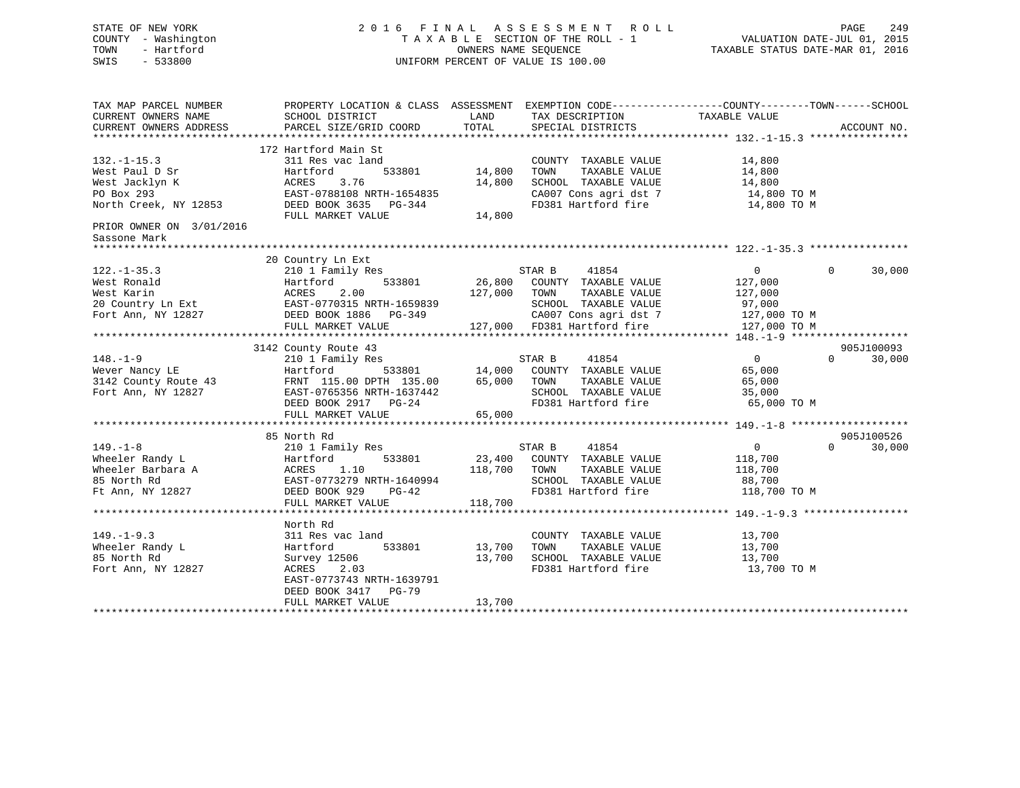# STATE OF NEW YORK 2 0 1 6 F I N A L A S S E S S M E N T R O L L PAGE 249 COUNTY - Washington T A X A B L E SECTION OF THE ROLL - 1 VALUATION DATE-JUL 01, 2015 TOWN - Hartford OWNERS NAME SEQUENCE TAXABLE STATUS DATE-MAR 01, 2016 SWIS - 533800 UNIFORM PERCENT OF VALUE IS 100.00

TAX MAP PARCEL NUMBER PROPERTY LOCATION & CLASS ASSESSMENT EXEMPTION CODE------------------COUNTY--------TOWN------SCHOOL CURRENT OWNERS NAME SCHOOL DISTRICT THE LAND TAX DESCRIPTION TAXABLE VALUE CURRENT OWNERS ADDRESS PARCEL SIZE/GRID COORD TOTAL SPECIAL DISTRICTS ACCOUNT NO. \*\*\*\*\*\*\*\*\*\*\*\*\*\*\*\*\*\*\*\*\*\*\*\*\*\*\*\*\*\*\*\*\*\*\*\*\*\*\*\*\*\*\*\*\*\*\*\*\*\*\*\*\*\*\*\*\*\*\*\*\*\*\*\*\*\*\*\*\*\*\*\*\*\*\*\*\*\*\*\*\*\*\*\*\*\*\*\*\*\*\*\*\*\*\*\*\*\*\*\*\*\*\* 132.-1-15.3 \*\*\*\*\*\*\*\*\*\*\*\*\*\*\*\* 172 Hartford Main St132.-1-15.3 311 Res vac land COUNTY TAXABLE VALUE 14,800 <code>West Paul D Sr</code> Hartford 533801 14,800 TOWN TAXABLE VALUE 14,800 West Jacklyn K ACRES 3.76 14,800 SCHOOL TAXABLE VALUE 14,800 PO Box 293 EAST-0788108 NRTH-1654835 CA007 Cons agri dst 7 14,800 TO M North Creek, NY 12853 DEED BOOK 3635 PG-344 FD381 Hartford fire 14,800 TO M FULL MARKET VALUE 14,800 PRIOR OWNER ON 3/01/2016 Sassone Mark \*\*\*\*\*\*\*\*\*\*\*\*\*\*\*\*\*\*\*\*\*\*\*\*\*\*\*\*\*\*\*\*\*\*\*\*\*\*\*\*\*\*\*\*\*\*\*\*\*\*\*\*\*\*\*\*\*\*\*\*\*\*\*\*\*\*\*\*\*\*\*\*\*\*\*\*\*\*\*\*\*\*\*\*\*\*\*\*\*\*\*\*\*\*\*\*\*\*\*\*\*\*\* 122.-1-35.3 \*\*\*\*\*\*\*\*\*\*\*\*\*\*\*\* 20 Country Ln Ext 122.-1-35.3 210 1 Family Res STAR B 41854 0 30,000 West Ronald Hartford 533801 26,800 COUNTY TAXABLE VALUE 127,000 West Karin ACRES 2.00 127,000 TOWN TAXABLE VALUE 127,000 20 Country Ln Ext EAST-0770315 NRTH-1659839 SCHOOL TAXABLE VALUE 97,000 Fort Ann, NY 12827 DEED BOOK 1886 PG-349 CA007 Cons agri dst 7 127,000 TO M FULL MARKET VALUE 127,000 FD381 Hartford fire 127,000 TO M \*\*\*\*\*\*\*\*\*\*\*\*\*\*\*\*\*\*\*\*\*\*\*\*\*\*\*\*\*\*\*\*\*\*\*\*\*\*\*\*\*\*\*\*\*\*\*\*\*\*\*\*\*\*\*\*\*\*\*\*\*\*\*\*\*\*\*\*\*\*\*\*\*\*\*\*\*\*\*\*\*\*\*\*\*\*\*\*\*\*\*\*\*\*\*\*\*\*\*\*\*\*\* 148.-1-9 \*\*\*\*\*\*\*\*\*\*\*\*\*\*\*\*\*\*\* 3142 County Route 43 905J100093 148.-1-9 210 1 Family Res STAR B 41854 0 0 30,000 Wever Nancy LE Hartford 533801 14,000 COUNTY TAXABLE VALUE 65,000 3142 County Route 43 FRNT 115.00 DPTH 135.00 65,000 TOWN TAXABLE VALUE 65,000 Fort Ann, NY 12827 EAST-0765356 NRTH-1637442 SCHOOL TAXABLE VALUE 35,000 DEED BOOK 2917 PG-24 FD381 Hartford fire 65,000 TO M DEED BOOK 2917 PG-24<br>FULL MARKET VALUE 65,000 \*\*\*\*\*\*\*\*\*\*\*\*\*\*\*\*\*\*\*\*\*\*\*\*\*\*\*\*\*\*\*\*\*\*\*\*\*\*\*\*\*\*\*\*\*\*\*\*\*\*\*\*\*\*\*\*\*\*\*\*\*\*\*\*\*\*\*\*\*\*\*\*\*\*\*\*\*\*\*\*\*\*\*\*\*\*\*\*\*\*\*\*\*\*\*\*\*\*\*\*\*\*\* 149.-1-8 \*\*\*\*\*\*\*\*\*\*\*\*\*\*\*\*\*\*\* 85 North Rd 905J100526 $0 \t 0 \t 30,000$ 149.-1-8 210 1 Family Res STAR B 41854 0 0 30,000 Wheeler Randy L Hartford 533801 23,400 COUNTY TAXABLE VALUE 118,700 Wheeler Barbara A ACRES 1.10 118,700 TOWN TAXABLE VALUE 118,700 85 North Rd EAST-0773279 NRTH-1640994 SCHOOL TAXABLE VALUE 88,700 Ft Ann, NY 12827 DEED BOOK 929 PG-42 FD381 Hartford fire 118,700 TO M FULL MARKET VALUE 118,700 \*\*\*\*\*\*\*\*\*\*\*\*\*\*\*\*\*\*\*\*\*\*\*\*\*\*\*\*\*\*\*\*\*\*\*\*\*\*\*\*\*\*\*\*\*\*\*\*\*\*\*\*\*\*\*\*\*\*\*\*\*\*\*\*\*\*\*\*\*\*\*\*\*\*\*\*\*\*\*\*\*\*\*\*\*\*\*\*\*\*\*\*\*\*\*\*\*\*\*\*\*\*\* 149.-1-9.3 \*\*\*\*\*\*\*\*\*\*\*\*\*\*\*\*\* North Rd311 Res vac land 149.-1-9.3 311 Res vac land COUNTY TAXABLE VALUE 13,700 Wheeler Randy L Hartford 533801 13,700 TOWN TAXABLE VALUE 13,700 85 North Rd Survey 12506 13,700 SCHOOL TAXABLE VALUE 13,700 Fort Ann, NY 12827 ACRES 2.03 FD381 Hartford fire 13,700 TO M EAST-0773743 NRTH-1639791 DEED BOOK 3417 PG-79 FULL MARKET VALUE 13,700 \*\*\*\*\*\*\*\*\*\*\*\*\*\*\*\*\*\*\*\*\*\*\*\*\*\*\*\*\*\*\*\*\*\*\*\*\*\*\*\*\*\*\*\*\*\*\*\*\*\*\*\*\*\*\*\*\*\*\*\*\*\*\*\*\*\*\*\*\*\*\*\*\*\*\*\*\*\*\*\*\*\*\*\*\*\*\*\*\*\*\*\*\*\*\*\*\*\*\*\*\*\*\*\*\*\*\*\*\*\*\*\*\*\*\*\*\*\*\*\*\*\*\*\*\*\*\*\*\*\*\*\*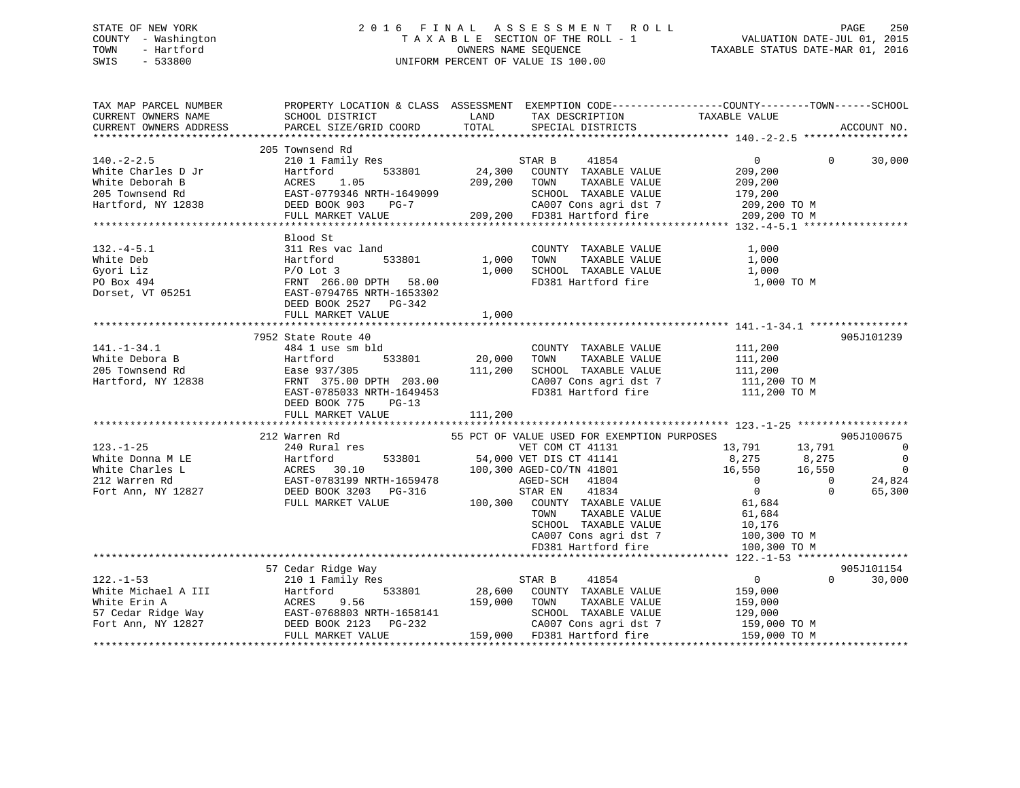## STATE OF NEW YORK 2 0 1 6 F I N A L A S S E S S M E N T R O L L PAGE 250 COUNTY - Washington T A X A B L E SECTION OF THE ROLL - 1 VALUATION DATE-JUL 01, 2015 TOWN - Hartford **TAXABLE STATUS DATE-MAR 01, 2016** OWNERS NAME SEQUENCE TAXABLE STATUS DATE-MAR 01, 2016 SWIS - 533800 UNIFORM PERCENT OF VALUE IS 100.00

| TAX MAP PARCEL NUMBER  | PROPERTY LOCATION & CLASS ASSESSMENT EXEMPTION CODE----------------COUNTY-------TOWN------SCHOOL |         |                                             |                         |                |                          |
|------------------------|--------------------------------------------------------------------------------------------------|---------|---------------------------------------------|-------------------------|----------------|--------------------------|
| CURRENT OWNERS NAME    | SCHOOL DISTRICT                                                                                  | LAND    | TAX DESCRIPTION                             | TAXABLE VALUE           |                |                          |
| CURRENT OWNERS ADDRESS | PARCEL SIZE/GRID COORD                                                                           | TOTAL   | SPECIAL DISTRICTS                           |                         |                | ACCOUNT NO.              |
|                        | 205 Townsend Rd                                                                                  |         |                                             |                         |                |                          |
| $140. - 2 - 2.5$       | 210 1 Family Res                                                                                 |         | STAR B<br>41854                             | $\overline{0}$          | $\Omega$       | 30,000                   |
| White Charles D Jr     | 533801<br>Hartford                                                                               |         | 24,300 COUNTY TAXABLE VALUE                 | 209,200                 |                |                          |
| White Deborah B        | 1.05<br>ACRES                                                                                    | 209,200 | TAXABLE VALUE<br>TOWN                       | 209,200                 |                |                          |
| 205 Townsend Rd        | EAST-0779346 NRTH-1649099                                                                        |         | SCHOOL TAXABLE VALUE                        | 179,200                 |                |                          |
| Hartford, NY 12838     | DEED BOOK 903<br>$PG-7$                                                                          |         | CA007 Cons agri dst 7                       | 209,200 TO M            |                |                          |
|                        | FULL MARKET VALUE                                                                                |         | 209,200 FD381 Hartford fire                 | 209,200 TO M            |                |                          |
|                        |                                                                                                  |         |                                             |                         |                |                          |
|                        | Blood St                                                                                         |         |                                             |                         |                |                          |
|                        |                                                                                                  |         |                                             |                         |                |                          |
| $132. -4 - 5.1$        | 311 Res vac land                                                                                 |         | COUNTY TAXABLE VALUE                        | 1,000                   |                |                          |
| White Deb              | 533801<br>Hartford                                                                               | 1,000   | TOWN<br>TAXABLE VALUE                       | 1,000                   |                |                          |
| Gyori Liz              | $P/O$ Lot 3                                                                                      | 1,000   | SCHOOL TAXABLE VALUE                        | 1,000                   |                |                          |
| PO Box 494             | FRNT 266.00 DPTH 58.00                                                                           |         | FD381 Hartford fire                         | 1,000 TO M              |                |                          |
| Dorset, VT 05251       | EAST-0794765 NRTH-1653302                                                                        |         |                                             |                         |                |                          |
|                        | DEED BOOK 2527 PG-342                                                                            |         |                                             |                         |                |                          |
|                        | FULL MARKET VALUE                                                                                | 1,000   |                                             |                         |                |                          |
|                        |                                                                                                  |         |                                             |                         |                |                          |
|                        | 7952 State Route 40                                                                              |         |                                             |                         |                | 905J101239               |
| $141. - 1 - 34.1$      | 484 1 use sm bld                                                                                 |         | COUNTY TAXABLE VALUE                        | 111,200                 |                |                          |
| White Debora B         | Hartford<br>533801                                                                               | 20,000  | TOWN<br>TAXABLE VALUE                       | 111,200                 |                |                          |
| 205 Townsend Rd        | Ease 937/305                                                                                     | 111,200 | SCHOOL TAXABLE VALUE                        | 111,200<br>111,200 TO M |                |                          |
| Hartford, NY 12838     | FRNT 375.00 DPTH 203.00                                                                          |         | CA007 Cons agri dst 7                       |                         |                |                          |
|                        | EAST-0785033 NRTH-1649453                                                                        |         | FD381 Hartford fire                         | 111,200 TO M            |                |                          |
|                        | DEED BOOK 775<br>$PG-13$                                                                         |         |                                             |                         |                |                          |
|                        | FULL MARKET VALUE                                                                                | 111,200 |                                             |                         |                |                          |
|                        |                                                                                                  |         |                                             |                         |                |                          |
|                        | 212 Warren Rd                                                                                    |         | 55 PCT OF VALUE USED FOR EXEMPTION PURPOSES |                         |                | 905J100675               |
| $123. - 1 - 25$        | 240 Rural res                                                                                    |         | VET COM CT 41131                            | 13,791                  | 13,791         | $\overline{\phantom{0}}$ |
| White Donna M LE       | 533801<br>Hartford                                                                               |         | 54,000 VET DIS CT 41141                     | 8,275                   | 8,275          | $\overline{0}$           |
| White Charles L        | Hartford 533801<br>ACRES 30.10<br>EAST-0783199 NRTH-1659478<br>DEED BOOK 3203 PG-316             |         | 100,300 AGED-CO/TN 41801                    | 16,550                  | 16,550         | $\overline{0}$           |
| 212 Warren Rd          |                                                                                                  |         | AGED-SCH<br>41804                           | $\overline{0}$          | $\overline{0}$ | 24,824                   |
| Fort Ann, NY 12827     | DEED BOOK 3203 PG-316                                                                            |         | STAR EN<br>41834                            | $\overline{0}$          | $\Omega$       | 65,300                   |
|                        | FULL MARKET VALUE                                                                                |         | 100,300 COUNTY TAXABLE VALUE                | 61,684                  |                |                          |
|                        |                                                                                                  |         | TAXABLE VALUE<br>TOWN                       | 61,684                  |                |                          |
|                        |                                                                                                  |         | SCHOOL TAXABLE VALUE                        | 10,176                  |                |                          |
|                        |                                                                                                  |         | CA007 Cons agri dst 7                       | 100,300 TO M            |                |                          |
|                        |                                                                                                  |         | FD381 Hartford fire                         | 100,300 TO M            |                |                          |
|                        |                                                                                                  |         |                                             |                         |                |                          |
|                        | 57 Cedar Ridge Way                                                                               |         |                                             |                         |                | 905J101154               |
| $122. - 1 - 53$        | 210 1 Family Res                                                                                 |         | 41854<br>STAR B                             | $\overline{0}$          | $\Omega$       | 30,000                   |
| White Michael A III    | 533801<br>Hartford                                                                               | 28,600  | COUNTY TAXABLE VALUE                        | 159,000                 |                |                          |
| White Erin A           | ACRES<br>9.56                                                                                    | 159,000 | TAXABLE VALUE<br>TOWN                       | 159,000                 |                |                          |
| 57 Cedar Ridge Way     | EAST-0768803 NRTH-1658141                                                                        |         | SCHOOL TAXABLE VALUE                        | 129,000                 |                |                          |
| Fort Ann, NY 12827     | DEED BOOK 2123 PG-232                                                                            |         | CA007 Cons agri dst 7                       | 159,000 TO M            |                |                          |
|                        | FULL MARKET VALUE                                                                                |         | 159,000 FD381 Hartford fire                 | 159,000 TO M            |                |                          |
|                        |                                                                                                  |         |                                             |                         |                |                          |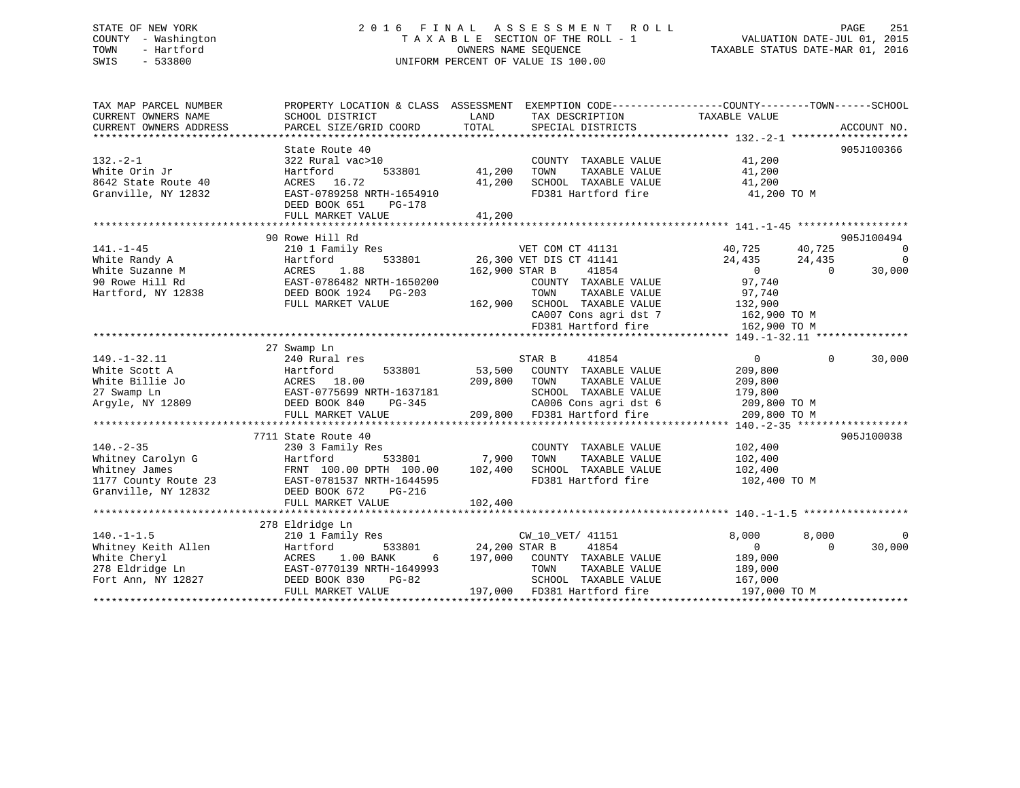## STATE OF NEW YORK 2 0 1 6 F I N A L A S S E S S M E N T R O L L PAGE 251 COUNTY - Washington T A X A B L E SECTION OF THE ROLL - 1 VALUATION DATE-JUL 01, 2015 TOWN - Hartford **TAXABLE STATUS DATE-MAR 01, 2016** OWNERS NAME SEQUENCE TAXABLE STATUS DATE-MAR 01, 2016 SWIS - 533800 UNIFORM PERCENT OF VALUE IS 100.00

| TAX MAP PARCEL NUMBER<br>CURRENT OWNERS NAME<br>CURRENT OWNERS ADDRESS                               | PROPERTY LOCATION & CLASS ASSESSMENT<br>SCHOOL DISTRICT<br>PARCEL SIZE/GRID COORD                                                                                     | LAND<br>TOTAL                       | EXEMPTION CODE----------------COUNTY-------TOWN------SCHOOL<br>TAX DESCRIPTION<br>SPECIAL DISTRICTS                                                                           | TAXABLE VALUE                                                                                     | ACCOUNT NO.                                                                          |
|------------------------------------------------------------------------------------------------------|-----------------------------------------------------------------------------------------------------------------------------------------------------------------------|-------------------------------------|-------------------------------------------------------------------------------------------------------------------------------------------------------------------------------|---------------------------------------------------------------------------------------------------|--------------------------------------------------------------------------------------|
| $132. - 2 - 1$<br>White Orin Jr<br>8642 State Route 40<br>Granville, NY 12832                        | State Route 40<br>322 Rural vac>10<br>533801<br>Hartford<br>ACRES 16.72<br>EAST-0789258 NRTH-1654910<br>DEED BOOK 651<br>PG-178<br>FULL MARKET VALUE                  | 41,200<br>41,200<br>41,200          | COUNTY TAXABLE VALUE<br>TOWN<br>TAXABLE VALUE<br>SCHOOL TAXABLE VALUE<br>FD381 Hartford fire                                                                                  | 41,200<br>41,200<br>41,200<br>41,200 TO M                                                         | 905J100366                                                                           |
|                                                                                                      | 90 Rowe Hill Rd                                                                                                                                                       |                                     |                                                                                                                                                                               |                                                                                                   | 905J100494                                                                           |
| $141. - 1 - 45$<br>White Randy A<br>White Suzanne M<br>90 Rowe Hill Rd<br>Hartford, NY 12838         | 210 1 Family Res<br>Hartford<br>533801<br>1.88<br>ACRES<br>EAST-0786482 NRTH-1650200<br>DEED BOOK 1924 PG-203<br>FULL MARKET VALUE                                    | 162,900 STAR B<br>162,900           | VET COM CT 41131<br>26,300 VET DIS CT 41141<br>41854<br>COUNTY TAXABLE VALUE<br>TOWN<br>TAXABLE VALUE<br>SCHOOL TAXABLE VALUE<br>CA007 Cons agri dst 7<br>FD381 Hartford fire | 40,725<br>24,435<br>$\overline{0}$<br>97,740<br>97,740<br>132,900<br>162,900 TO M<br>162,900 TO M | 40,725<br>$\overline{\phantom{0}}$<br>24,435<br>$\overline{0}$<br>30,000<br>$\Omega$ |
|                                                                                                      | 27 Swamp Ln                                                                                                                                                           |                                     |                                                                                                                                                                               |                                                                                                   |                                                                                      |
| $149. - 1 - 32.11$<br>White Scott A<br>White Billie Jo<br>27 Swamp Ln<br>Argyle, NY 12809            | 240 Rural res<br>Hartford<br>533801<br>ACRES 18.00<br>EAST-0775699 NRTH-1637181<br>DEED BOOK 840<br>PG-345<br>FULL MARKET VALUE                                       | 53,500<br>209,800                   | 41854<br>STAR B<br>COUNTY TAXABLE VALUE<br>TOWN<br>TAXABLE VALUE<br>SCHOOL TAXABLE VALUE<br>CA006 Cons agri dst 6<br>209,800 FD381 Hartford fire                              | $\overline{0}$<br>209,800<br>209,800<br>179,800<br>209,800 TO M<br>209,800 TO M                   | $\Omega$<br>30,000                                                                   |
|                                                                                                      |                                                                                                                                                                       |                                     |                                                                                                                                                                               |                                                                                                   |                                                                                      |
| $140. - 2 - 35$<br>Whitney Carolyn G<br>Whitney James<br>1177 County Route 23<br>Granville, NY 12832 | 7711 State Route 40<br>230 3 Family Res<br>533801<br>Hartford<br>FRNT 100.00 DPTH 100.00<br>EAST-0781537 NRTH-1644595<br>DEED BOOK 672<br>PG-216<br>FULL MARKET VALUE | 7,900<br>102,400<br>102,400         | COUNTY TAXABLE VALUE<br>TOWN<br>TAXABLE VALUE<br>SCHOOL TAXABLE VALUE<br>FD381 Hartford fire                                                                                  | 102,400<br>102,400<br>102,400<br>102,400 TO M                                                     | 905J100038                                                                           |
|                                                                                                      |                                                                                                                                                                       |                                     |                                                                                                                                                                               |                                                                                                   |                                                                                      |
| $140. - 1 - 1.5$<br>Whitney Keith Allen<br>White Cheryl<br>278 Eldridge Ln<br>Fort Ann, NY 12827     | 278 Eldridge Ln<br>210 1 Family Res<br>Hartford<br>533801<br>1.00 BANK<br>ACRES<br>6<br>EAST-0770139 NRTH-1649993<br>DEED BOOK 830<br>$PG-82$<br>FULL MARKET VALUE    | 24,200 STAR B<br>197,000<br>197,000 | CW_10_VET/ 41151<br>41854<br>COUNTY TAXABLE VALUE<br>TOWN<br>TAXABLE VALUE<br>SCHOOL TAXABLE VALUE<br>FD381 Hartford fire                                                     | 8,000<br>$\Omega$<br>189,000<br>189,000<br>167,000<br>197,000 TO M                                | 8,000<br>$\Omega$<br>30,000<br>$\Omega$                                              |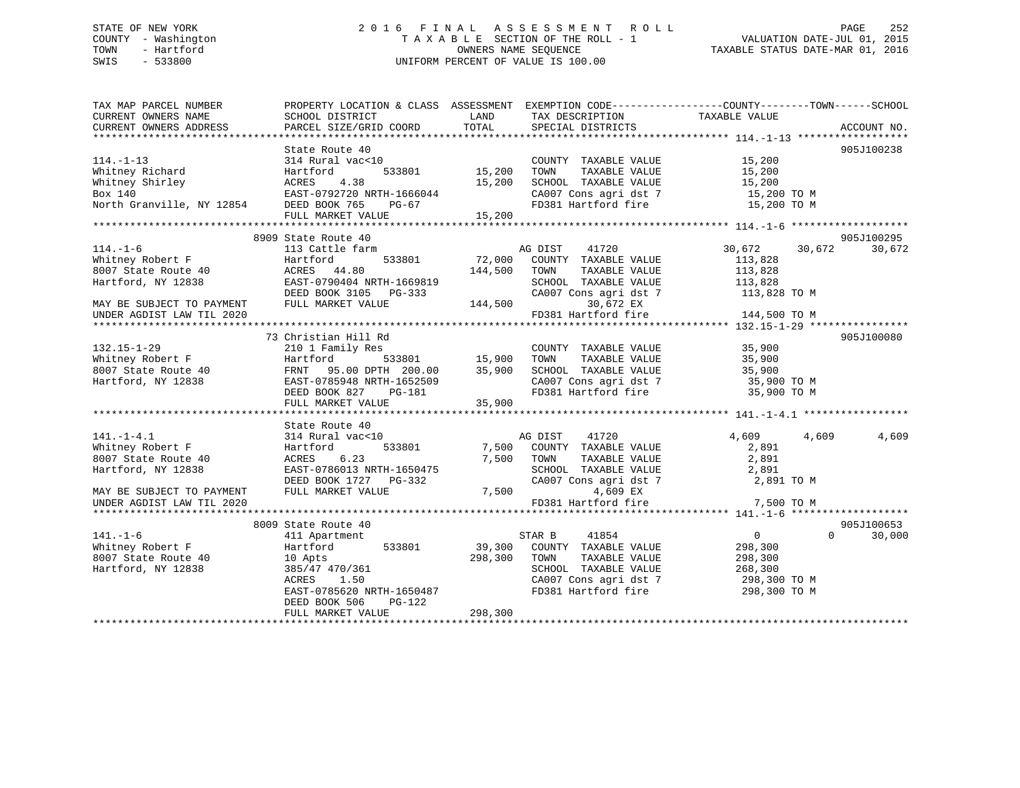## STATE OF NEW YORK 2 0 1 6 F I N A L A S S E S S M E N T R O L L PAGE 252 COUNTY - Washington T A X A B L E SECTION OF THE ROLL - 1 VALUATION DATE-JUL 01, 2015 TOWN - Hartford **TAXABLE STATUS DATE-MAR 01, 2016** OWNERS NAME SEQUENCE TAXABLE STATUS DATE-MAR 01, 2016 SWIS - 533800 UNIFORM PERCENT OF VALUE IS 100.00

| TAX MAP PARCEL NUMBER<br>CURRENT OWNERS NAME<br>CURRENT OWNERS ADDRESS                                                                      | PROPERTY LOCATION & CLASS ASSESSMENT EXEMPTION CODE----------------COUNTY-------TOWN------SCHOOL<br>SCHOOL DISTRICT<br>PARCEL SIZE/GRID COORD                                      | LAND<br>TOTAL                                                               | TAX DESCRIPTION<br>SPECIAL DISTRICTS                                                                                                                                                | TAXABLE VALUE                                                                     | ACCOUNT NO.          |
|---------------------------------------------------------------------------------------------------------------------------------------------|------------------------------------------------------------------------------------------------------------------------------------------------------------------------------------|-----------------------------------------------------------------------------|-------------------------------------------------------------------------------------------------------------------------------------------------------------------------------------|-----------------------------------------------------------------------------------|----------------------|
| $114. - 1 - 13$<br>Whitney Richard<br>Whitney Shirley<br>Box 140<br>North Granville, NY 12854 DEED BOOK 765                                 | State Route 40<br>314 Rural vac<10<br>Hartford<br>ACRES 4.38<br>EAST-0792720 NRTH-1666044<br>PG-67<br>FULL MARKET VALUE                                                            | 533801 15,200<br>15,200<br>15,200                                           | COUNTY TAXABLE VALUE 15,200<br>TAXABLE VALUE<br>TOWN<br>SCHOOL TAXABLE VALUE<br>SCHOOL TAXABLE VALUE 15,200<br>CA007 Cons agri dst 7 15,200 TO M<br>FD381 Hartford fire 15,200 TO M | 15,200<br>15,200                                                                  | 905J100238           |
| $114. - 1 - 6$<br>Whitney Robert F<br>8007 State Route 40<br>Hartford, NY 12838<br>MAY BE SUBJECT TO PAYMENT<br>UNDER AGDIST LAW TIL 2020   | 8909 State Route 40<br>113 Cattle farm<br>533801<br>Hartford<br>ACRES 44.80<br>EAST-0790404 NRTH-1669819<br>DEED BOOK 3105 PG-333<br>FULL MARKET VALUE                             | 144,500<br>144,500                                                          | AG DIST<br>41720<br>72,000 COUNTY TAXABLE VALUE<br>TOWN<br>TAXABLE VALUE<br>CA007 Cons agri dst 7<br>30,672 EX<br>30,672 EX<br>FD381 Hartford fire                                  | 30,672<br>30,672<br>113,828<br>113,828<br>113,828<br>113,828 TO M<br>144,500 TO M | 905J100295<br>30,672 |
| $132.15 - 1 - 29$<br>Whitney Robert F<br>$8007$ State Route 40<br>Hartford, NY 12838                                                        | 73 Christian Hill Rd<br>210 1 Family Res<br>Hartford<br>FRNT 95.00 DPTH 200.00<br>EAST-0785948 NRTH-1652509<br>DEED BOOK 827 PG-181<br>FULL MARKET VALUE                           | 533801                  15,900<br>TH     200.00            35,900<br>35,900 | COUNTY TAXABLE VALUE<br>TAXABLE VALUE<br>TOWN<br>SCHOOL TAXABLE VALUE<br>CA007 Cons agri dst 7<br>FD381 Hartford fire                                                               | 35,900<br>35,900<br>35,900<br>35,900 TO M<br>35,900 TO M                          | 905J100080           |
| $141. - 1 - 4.1$<br>Whitney Robert F<br>8007 State Route 40<br>Hartford, NY 12838<br>MAY BE SUBJECT TO PAYMENT<br>UNDER AGDIST LAW TIL 2020 | State Route 40<br>314 Rural vac<10<br>533801<br>Hartford<br>6.23<br>ACRES<br>EAST-0786013 NRTH-1650475<br>DEED BOOK 1727 PG-332<br>FULL MARKET VALUE                               |                                                                             | AG DIST 41720<br>7,500 COUNTY TAXABLE VALUE<br>7,500 TOWN<br>TAXABLE VALUE<br>SCHOOL TAXABLE VALUE<br>CA007 Cons agri dst 7<br>7,500<br>4,609 EX<br>FD381 Hartford fire             | 4,609<br>4,609<br>2,891<br>2,891<br>2,891<br>2,891 TO M<br>7,500 TO M             | 4,609                |
| $141. - 1 - 6$<br>Whitney Robert F<br>8007 State Route 40<br>Hartford, NY 12838                                                             | 8009 State Route 40<br>411 Apartment<br>533801<br>Hartford<br>10 Apts<br>385/47 470/361<br>ACRES 1.50<br>EAST-0785620 NRTH-1650487<br>PG-122<br>DEED BOOK 506<br>FULL MARKET VALUE | 298,300<br>298,300                                                          | 41854<br>STAR B<br>39,300 COUNTY TAXABLE VALUE<br>TAXABLE VALUE<br>TOWN<br>SCHOOL TAXABLE VALUE<br>CA007 Cons agri dst 7 298,300 TO M<br>FD381 Hartford fire                        | $\overline{0}$<br>$\Omega$<br>298,300<br>298,300<br>268,300<br>298,300 TO M       | 905J100653<br>30,000 |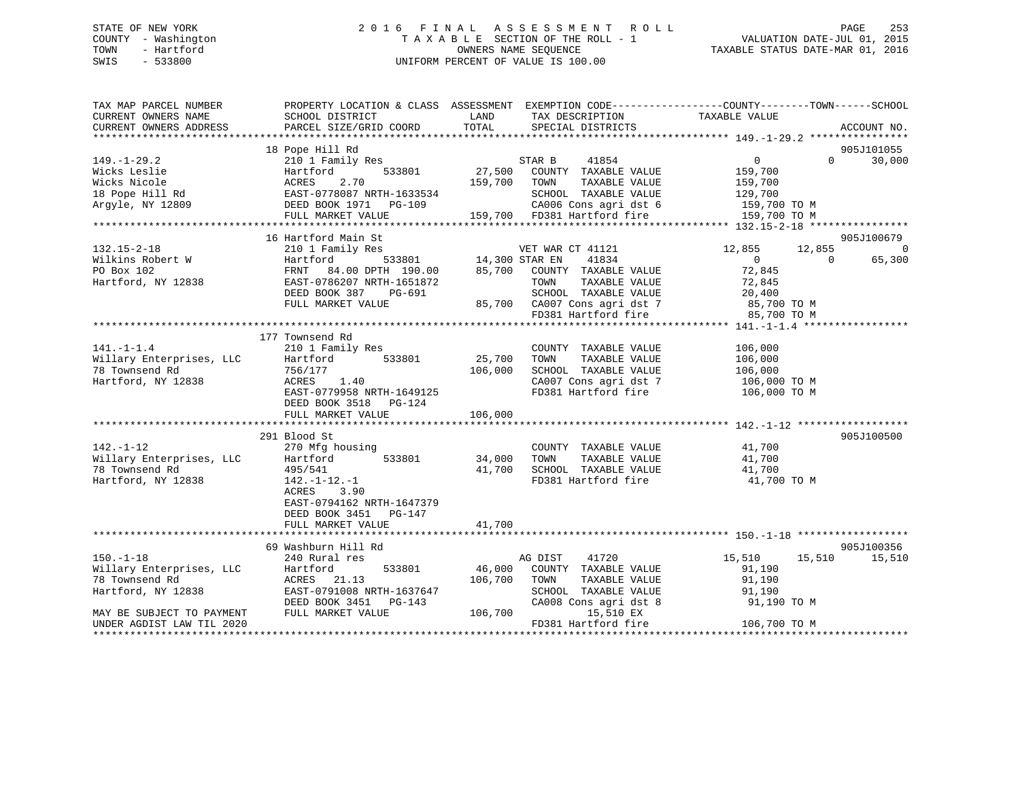# STATE OF NEW YORK 2 0 1 6 F I N A L A S S E S S M E N T R O L L PAGE 253 COUNTY - Washington T A X A B L E SECTION OF THE ROLL - 1 VALUATION DATE-JUL 01, 2015 TOWN - Hartford OWNERS NAME SEQUENCE TAXABLE STATUS DATE-MAR 01, 2016 SWIS - 533800 UNIFORM PERCENT OF VALUE IS 100.00

| TAX MAP PARCEL NUMBER<br>CURRENT OWNERS NAME<br>CURRENT OWNERS ADDRESS                   | PROPERTY LOCATION & CLASS ASSESSMENT<br>SCHOOL DISTRICT<br>PARCEL SIZE/GRID COORD                                                                                | LAND<br>TOTAL                      | TAX DESCRIPTION<br>SPECIAL DISTRICTS                                                                                                                                               | EXEMPTION CODE-----------------COUNTY-------TOWN------SCHOOL<br>TAXABLE VALUE                                          | ACCOUNT NO.          |
|------------------------------------------------------------------------------------------|------------------------------------------------------------------------------------------------------------------------------------------------------------------|------------------------------------|------------------------------------------------------------------------------------------------------------------------------------------------------------------------------------|------------------------------------------------------------------------------------------------------------------------|----------------------|
| $149. - 1 - 29.2$<br>Wicks Leslie<br>Wicks Nicole<br>18 Pope Hill Rd<br>Argyle, NY 12809 | 18 Pope Hill Rd<br>210 1 Family Res<br>Hartford<br>533801<br>ACRES<br>2.70<br>-------<br>EAST-0778087 NRTH-1633534<br>DEED BOOK 1971 PG-109<br>FULL MARKET VALUE | 27,500<br>159,700 TOWN             | 41854<br>STAR B<br>COUNTY TAXABLE VALUE<br>TAXABLE VALUE<br>SCHOOL TAXABLE VALUE<br>CA006 Cons agri dst 6                                                                          | $\Omega$<br>$\Omega$<br>159,700<br>159,700<br>129,700<br>159,700 TO M<br>159,700 TO M                                  | 905J101055<br>30,000 |
|                                                                                          | 16 Hartford Main St                                                                                                                                              |                                    |                                                                                                                                                                                    |                                                                                                                        | 905J100679           |
| $132.15 - 2 - 18$<br>Wilkins Robert W<br>PO Box 102<br>Hartford, NY 12838                | 210 1 Family Res<br>Hartford<br>FRNT<br>EAST-0786207 NRTH-1651872<br>DEED BOOK 387<br>PG-691<br>FULL MARKET VALUE                                                | $\frac{14,300 \text{ STAR EN}}{2}$ | VET WAR CT 41121<br>41834<br>84.00 DPTH 190.00 85,700 COUNTY TAXABLE VALUE<br>TOWN<br>TAXABLE VALUE<br>SCHOOL TAXABLE VALUE<br>85,700 CA007 Cons agri dst 7<br>FD381 Hartford fire | 12,855<br>12,855<br>$\overline{0}$<br>$\Omega$<br>72,845<br>72,845<br>20,400<br>85,700 TO M<br>200 TO M<br>85,700 TO M | $\Omega$<br>65,300   |
|                                                                                          | 177 Townsend Rd                                                                                                                                                  |                                    |                                                                                                                                                                                    |                                                                                                                        |                      |
| $141. - 1 - 1.4$<br>Willary Enterprises, LLC<br>78 Townsend Rd<br>Hartford, NY 12838     | 210 1 Family Res<br>533801<br>Hartford<br>756/177<br>ACRES<br>1.40<br>EAST-0779958 NRTH-1649125<br>DEED BOOK 3518 PG-124<br>FULL MARKET VALUE                    | 25,700<br>106,000<br>106,000       | COUNTY TAXABLE VALUE<br>TAXABLE VALUE<br>TOWN<br>SCHOOL TAXABLE VALUE<br>CA007 Cons agri dst 7<br>FD381 Hartford fire                                                              | 106,000<br>106,000<br>106,000<br>106,000 ТО М<br>106,000 ТО М                                                          |                      |
|                                                                                          | 291 Blood St                                                                                                                                                     |                                    |                                                                                                                                                                                    |                                                                                                                        | 905J100500           |
| $142. - 1 - 12$<br>Willary Enterprises, LLC<br>78 Townsend Rd<br>Hartford, NY 12838      | 270 Mfg housing<br>533801<br>Hartford<br>495/541<br>$142.-1-12.-1$<br>ACRES<br>3.90<br>EAST-0794162 NRTH-1647379<br>DEED BOOK 3451<br>PG-147                     | 34,000<br>41,700                   | COUNTY TAXABLE VALUE<br>TAXABLE VALUE<br>TOWN<br>SCHOOL TAXABLE VALUE<br>FD381 Hartford fire                                                                                       | 41,700<br>41,700<br>41,700<br>41,700 TO M                                                                              |                      |
|                                                                                          | FULL MARKET VALUE                                                                                                                                                | 41,700                             |                                                                                                                                                                                    |                                                                                                                        |                      |
|                                                                                          |                                                                                                                                                                  |                                    |                                                                                                                                                                                    |                                                                                                                        |                      |
| $150. - 1 - 18$                                                                          | 69 Washburn Hill Rd<br>240 Rural res                                                                                                                             |                                    | AG DIST<br>41720                                                                                                                                                                   | 15,510<br>15,510                                                                                                       | 905J100356<br>15,510 |
| Willary Enterprises, LLC<br>78 Townsend Rd<br>Hartford, NY 12838                         | 533801<br>Hartford<br>ACRES 21.13<br>EAST-0791008 NRTH-1637647<br>DEED BOOK 3451<br>PG-143                                                                       | 46,000<br>106,700                  | COUNTY TAXABLE VALUE<br>TOWN<br>TAXABLE VALUE<br>SCHOOL TAXABLE VALUE<br>CA008 Cons agri dst 8                                                                                     | 91,190<br>91,190<br>91,190<br>91,190 TO M                                                                              |                      |
| MAY BE SUBJECT TO PAYMENT<br>UNDER AGDIST LAW TIL 2020                                   | FULL MARKET VALUE                                                                                                                                                | 106,700                            | 15,510 EX<br>FD381 Hartford fire                                                                                                                                                   | 106,700 TO M                                                                                                           |                      |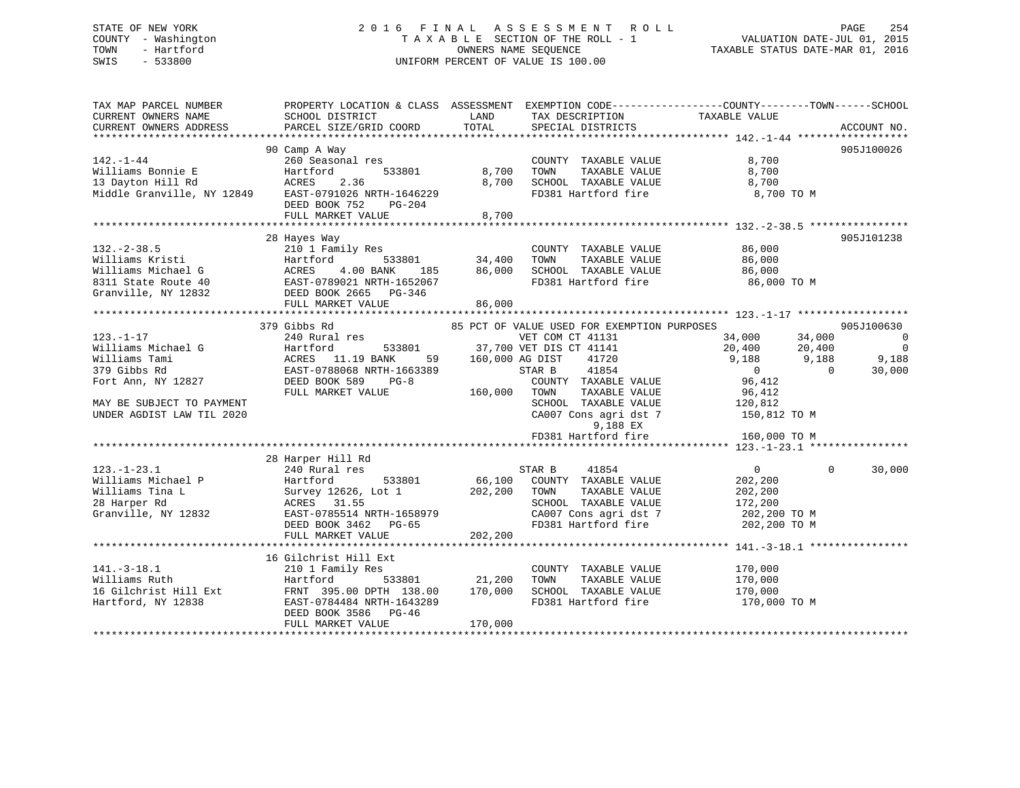### STATE OF NEW YORK 2 0 1 6 F I N A L A S S E S S M E N T R O L L PAGE 254COUNTY - Washington T A X A B L E SECTION OF THE ROLL - 1<br>TOWN - Hartford TOWN - And COUNTRING DATE-JUL 2015 OWNERS NAME SEQUENCE TAXABLE STATUS DATE-MAR 01, 2016 SWIS - 533800 UNIFORM PERCENT OF VALUE IS 100.00

| TAX MAP PARCEL NUMBER               | PROPERTY LOCATION & CLASS ASSESSMENT EXEMPTION CODE-----------------COUNTY-------TOWN------SCHOOL                                                                                                                                                        |                                                                                                 |                                                    |            |
|-------------------------------------|----------------------------------------------------------------------------------------------------------------------------------------------------------------------------------------------------------------------------------------------------------|-------------------------------------------------------------------------------------------------|----------------------------------------------------|------------|
| CURRENT OWNERS NAME SCHOOL DISTRICT |                                                                                                                                                                                                                                                          | LAND TAX DESCRIPTION TAXABLE VALUE                                                              |                                                    |            |
|                                     |                                                                                                                                                                                                                                                          |                                                                                                 |                                                    |            |
|                                     |                                                                                                                                                                                                                                                          |                                                                                                 |                                                    |            |
|                                     | 90 Camp A Way                                                                                                                                                                                                                                            |                                                                                                 |                                                    | 905J100026 |
|                                     | 90 Camp A Way<br>260 Seasonal res<br>Williams Bonnie E Hartford 533801 8,700 TOWN TAXABLE VALUE 8,700<br>13 Dayton Hill Rd ACRES 2.36 8,700 SCHOOL TAXABLE VALUE 8,700<br>Middle Granville, NY 12849 EAST-0791026 NRTH-1646229 FD381 H                   | COUNTY TAXABLE VALUE $8,700$<br>TOWN TAXABLE VALUE $8,700$                                      |                                                    |            |
|                                     |                                                                                                                                                                                                                                                          |                                                                                                 |                                                    |            |
|                                     |                                                                                                                                                                                                                                                          |                                                                                                 |                                                    |            |
|                                     |                                                                                                                                                                                                                                                          |                                                                                                 | 8,700 TO M                                         |            |
|                                     | DEED BOOK 752 PG-204                                                                                                                                                                                                                                     |                                                                                                 |                                                    |            |
|                                     | FULL MARKET VALUE 8,700                                                                                                                                                                                                                                  |                                                                                                 |                                                    |            |
|                                     |                                                                                                                                                                                                                                                          |                                                                                                 |                                                    |            |
|                                     | 28 Hayes Way                                                                                                                                                                                                                                             |                                                                                                 |                                                    | 905J101238 |
|                                     | 132.-2-38.5<br>Williams Kristi and Hamily Res<br>Williams Kristi (10 Found 183801 34,400 TOWN TAXABLE VALUE 86,000<br>Williams Michael G ACRES 4.00 BANK 185 86,000 SCHOOL TAXABLE VALUE 86,000<br>8311 State Route 40 EAST-0789021 NR                   |                                                                                                 |                                                    |            |
|                                     |                                                                                                                                                                                                                                                          |                                                                                                 |                                                    |            |
|                                     |                                                                                                                                                                                                                                                          |                                                                                                 |                                                    |            |
|                                     |                                                                                                                                                                                                                                                          |                                                                                                 |                                                    |            |
|                                     |                                                                                                                                                                                                                                                          |                                                                                                 |                                                    |            |
|                                     |                                                                                                                                                                                                                                                          |                                                                                                 |                                                    |            |
|                                     | FULL MARKET VALUE 86,000                                                                                                                                                                                                                                 |                                                                                                 |                                                    |            |
|                                     |                                                                                                                                                                                                                                                          |                                                                                                 |                                                    |            |
|                                     | 379 Gibbs Rd 379 Gibbs Rd 379 Gibbs Rd 379 Gibbs Rd 379 Gibbs Rd 23.-1-17 240 Rural res 33801 37,700 VET DIS CT 41131 37,700 VET DIS CT 41141 20,400 34,000 34,000 34,000 34,000 34,000 34,000 34,000 34,000 34,000 34,000 34,                           |                                                                                                 |                                                    |            |
|                                     |                                                                                                                                                                                                                                                          |                                                                                                 |                                                    |            |
|                                     |                                                                                                                                                                                                                                                          |                                                                                                 |                                                    |            |
|                                     |                                                                                                                                                                                                                                                          |                                                                                                 |                                                    |            |
|                                     |                                                                                                                                                                                                                                                          |                                                                                                 |                                                    |            |
|                                     |                                                                                                                                                                                                                                                          |                                                                                                 |                                                    |            |
|                                     |                                                                                                                                                                                                                                                          |                                                                                                 |                                                    |            |
| MAY BE SUBJECT TO PAYMENT           |                                                                                                                                                                                                                                                          |                                                                                                 |                                                    |            |
| UNDER AGDIST LAW TIL 2020           |                                                                                                                                                                                                                                                          | TOWN TAXABLE VALUE 96,412<br>SCHOOL TAXABLE VALUE 120,812<br>CA007 Cons agri dst 7 150,812 TO M |                                                    |            |
|                                     |                                                                                                                                                                                                                                                          | 9,188 EX<br>FD381 Hartford fire 160,000 TO M                                                    |                                                    |            |
|                                     |                                                                                                                                                                                                                                                          |                                                                                                 |                                                    |            |
|                                     |                                                                                                                                                                                                                                                          |                                                                                                 |                                                    |            |
|                                     | 28 Harper Hill Rd                                                                                                                                                                                                                                        |                                                                                                 |                                                    |            |
| $123. - 1 - 23.1$                   |                                                                                                                                                                                                                                                          | 41854                                                                                           | $\begin{array}{ccc} & & 0 & \quad & 0 \end{array}$ | 30,000     |
|                                     |                                                                                                                                                                                                                                                          |                                                                                                 |                                                    |            |
|                                     |                                                                                                                                                                                                                                                          |                                                                                                 |                                                    |            |
|                                     |                                                                                                                                                                                                                                                          |                                                                                                 |                                                    |            |
|                                     |                                                                                                                                                                                                                                                          |                                                                                                 |                                                    |            |
|                                     |                                                                                                                                                                                                                                                          |                                                                                                 |                                                    |            |
|                                     | Villiams Michael P<br>Williams Tina L<br>Milliams Tina L<br>202,200<br>28 Harper Rd<br>CRES 31.55<br>Granville, NY 12832<br>EAST-0785514 NRTH-1658979<br>EED BOOK 3462<br>PGED BOOK 3462<br>PGED BOOK 3462<br>PGED BOOK 3462<br>PGED BOOK 3462<br>PGED B |                                                                                                 |                                                    |            |
|                                     |                                                                                                                                                                                                                                                          |                                                                                                 |                                                    |            |
|                                     | 16 Gilchrist Hill Ext                                                                                                                                                                                                                                    |                                                                                                 |                                                    |            |
|                                     | 141.-3-18.1 210 1 Family Res                                                                                                                                                                                                                             | COUNTY TAXABLE VALUE 170,000                                                                    |                                                    |            |
|                                     |                                                                                                                                                                                                                                                          |                                                                                                 |                                                    |            |
|                                     |                                                                                                                                                                                                                                                          |                                                                                                 | 170,000<br>170,000                                 |            |
|                                     | EAST-0784484 NRTH-1643289                                                                                                                                                                                                                                |                                                                                                 |                                                    |            |
| Hartford, NY 12838                  |                                                                                                                                                                                                                                                          | FD381 Hartford fire                                                                             | 170,000 TO M                                       |            |

DEED BOOK 3586 PG-46

FULL MARKET VALUE 170,000

\*\*\*\*\*\*\*\*\*\*\*\*\*\*\*\*\*\*\*\*\*\*\*\*\*\*\*\*\*\*\*\*\*\*\*\*\*\*\*\*\*\*\*\*\*\*\*\*\*\*\*\*\*\*\*\*\*\*\*\*\*\*\*\*\*\*\*\*\*\*\*\*\*\*\*\*\*\*\*\*\*\*\*\*\*\*\*\*\*\*\*\*\*\*\*\*\*\*\*\*\*\*\*\*\*\*\*\*\*\*\*\*\*\*\*\*\*\*\*\*\*\*\*\*\*\*\*\*\*\*\*\*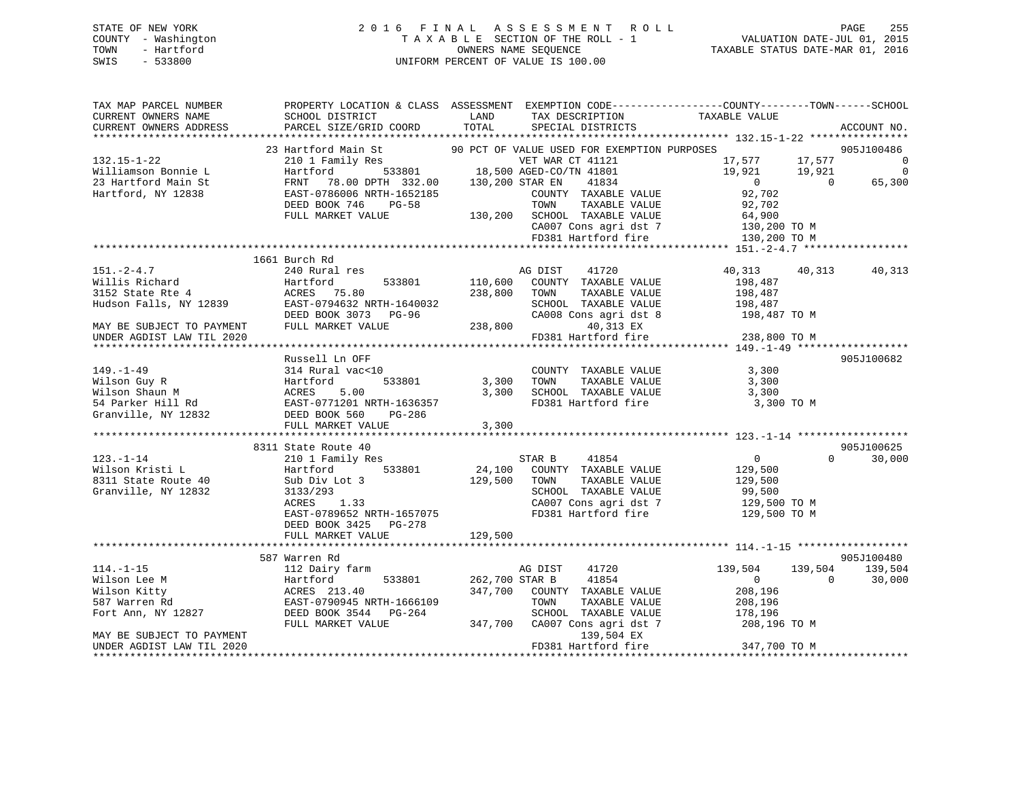# STATE OF NEW YORK 2 0 1 6 F I N A L A S S E S S M E N T R O L L PAGE 255 COUNTY - Washington T A X A B L E SECTION OF THE ROLL - 1 VALUATION DATE-JUL 01, 2015 TOWN - Hartford **TAXABLE STATUS DATE-MAR 01, 2016** OWNERS NAME SEQUENCE TAXABLE STATUS DATE-MAR 01, 2016 SWIS - 533800 UNIFORM PERCENT OF VALUE IS 100.00

| TAX MAP PARCEL NUMBER<br>CURRENT OWNERS NAME<br>CURRENT OWNERS ADDRESS                 | SCHOOL DISTRICT<br>PARCEL SIZE/GRID COORD                                                                                                                                                                                              | LAND<br>TAX DESCRIPTION<br>TOTAL<br>SPECIAL DISTRICTS                                                                                                                                                                   | PROPERTY LOCATION & CLASS ASSESSMENT EXEMPTION CODE---------------COUNTY-------TOWN------SCHOOL<br>TAXABLE VALUE<br>ACCOUNT NO. |
|----------------------------------------------------------------------------------------|----------------------------------------------------------------------------------------------------------------------------------------------------------------------------------------------------------------------------------------|-------------------------------------------------------------------------------------------------------------------------------------------------------------------------------------------------------------------------|---------------------------------------------------------------------------------------------------------------------------------|
|                                                                                        |                                                                                                                                                                                                                                        |                                                                                                                                                                                                                         |                                                                                                                                 |
| 132.15-1-22<br>Williamson Bonnie L                                                     |                                                                                                                                                                                                                                        | 23 Hartford Main St 30 PCT OF VALUE USED FOR EXEMPTION PURPOSES<br>210 1 Family Res VET WAR CT 41121 17,577 17,<br>Hartford 533801 18,500 AGED-CO/TN 41801 19,921 19,<br>FRNT 78.00 DPTH 332.00 130,200 STAR EN 41834 0 | 905J100486<br>$17,577$ $17,577$ 0<br>$\overline{\phantom{0}}$<br>$19,921$ $19,921$ 0                                            |
| 23 Hartford Main St<br>Hartford, NY 12838                                              | EAST-0786006 NRTH-1652185<br>DEED BOOK 746 PG-58                                                                                                                                                                                       | COUNTY TAXABLE VALUE<br>TOWN<br>TAXABLE VALUE                                                                                                                                                                           | 65,300<br>92,702<br>92,702                                                                                                      |
|                                                                                        | FULL MARKET VALUE                                                                                                                                                                                                                      | 130,200 SCHOOL TAXABLE VALUE                                                                                                                                                                                            | 64,900<br>CHOOL TAXABLE VALUE<br>CA007 Cons agri dst 7 130,200 TO M<br>ED201 Hartford fire 130,200 TO M                         |
|                                                                                        |                                                                                                                                                                                                                                        |                                                                                                                                                                                                                         |                                                                                                                                 |
|                                                                                        | 1661 Burch Rd<br>151.-2-4.7<br>Willis Richard Hartford 533801 110,000<br>3152 State Rte 4 ACRES 75.80<br>Hudson Falls, NY 12839 EAST-0794632 NRTH-1640032 SCHOOL<br>DEED BOOK 3073 PG-96 CA008 Co<br>THE MARKET VALUE 238,800 FD381 Hz | 41720<br>110,600 COUNTY TAXABLE VALUE<br>TAXABLE VALUE<br>SCHOOL TAXABLE VALUE                                                                                                                                          | 40,313<br>40,313<br>40,313<br>198,487<br>198,487<br>198,487                                                                     |
| UNDER AGDIST LAW TIL 2020                                                              |                                                                                                                                                                                                                                        | 40,313 EX<br>FD381 Hartford fire                                                                                                                                                                                        | CA008 Cons agri dst 8 198,487 TO M<br>238,800 TO M                                                                              |
|                                                                                        |                                                                                                                                                                                                                                        |                                                                                                                                                                                                                         |                                                                                                                                 |
|                                                                                        | Russell Ln OFF                                                                                                                                                                                                                         |                                                                                                                                                                                                                         | 905J100682                                                                                                                      |
| $149. - 1 - 49$                                                                        | 314 Rural vac<10<br>533801                                                                                                                                                                                                             | COUNTY TAXABLE VALUE 3,300<br>3,300 TOWN<br>TAXABLE VALUE<br>3,300 SCHOOL TAXABLE VALUE 3,300                                                                                                                           | 3,300                                                                                                                           |
|                                                                                        | Wilson Guy R<br>Wilson Shaun M<br>54 Parker Hill Rd<br>67 Granville, NY 12832<br>54 DEED BOOK 560 PG-286<br>FULL MARKET VALUE                                                                                                          | FD381 Hartford fire<br>3,300                                                                                                                                                                                            | 3,300 TO M                                                                                                                      |
|                                                                                        |                                                                                                                                                                                                                                        |                                                                                                                                                                                                                         |                                                                                                                                 |
| $123. - 1 - 14$                                                                        | 8311 State Route 40                                                                                                                                                                                                                    | 210 1 Family Res STAR B 41854<br>Hartford 533801 24,100 COUNTY TAXABLE VALUE                                                                                                                                            | 905J100625<br>$\overline{0}$<br>$\Omega$<br>30,000                                                                              |
| Wilson Kristi L<br>8311 State Route 40<br>Granville, NY 12832                          | Hartford<br>Sub Div Lot 3<br>3133/293<br>ACRES 1.33<br>EAST-0789652 NRTH-1657075<br>DEED BOOK 3425 PG-278                                                                                                                              | 129,500 TOWN<br>TAXABLE VALUE<br>SCHOOL TAXABLE VALUE<br>CA007 Cons agri dst 7<br>FD381 Hartford fire                                                                                                                   | 129,500<br>129,500<br>99,500<br>129,500 TO M<br>129,500 TO M                                                                    |
|                                                                                        | FULL MARKET VALUE                                                                                                                                                                                                                      | 129,500                                                                                                                                                                                                                 |                                                                                                                                 |
|                                                                                        | 587 Warren Rd                                                                                                                                                                                                                          |                                                                                                                                                                                                                         | 905J100480                                                                                                                      |
| $114. - 1 - 15$<br>Wilson Lee M<br>Wilson Kitty<br>587 Warren Rd<br>Fort Ann, NY 12827 | 112 Dairy farm<br>Hartford<br>533801<br>ACRES 213.40<br>EAST-0790945 NRTH-1666109<br>DEED BOOK 3544 PG-264                                                                                                                             | AG DIST<br>41720<br>41854<br>262,700 STAR B<br>347,700 COUNTY TAXABLE VALUE<br>TAXABLE VALUE<br>TOWN<br>SCHOOL TAXABLE VALUE                                                                                            | 139,504<br>139,504<br>139,504<br>$\overline{0}$<br>30,000<br>$\Omega$<br>208,196<br>208,196<br>178,196                          |
| MAY BE SUBJECT TO PAYMENT<br>UNDER AGDIST LAW TIL 2020                                 | FULL MARKET VALUE                                                                                                                                                                                                                      | 347,700 CA007 Cons agri dst 7<br>139,504 EX<br>FD381 Hartford fire                                                                                                                                                      | 208,196 TO M<br>347,700 TO M                                                                                                    |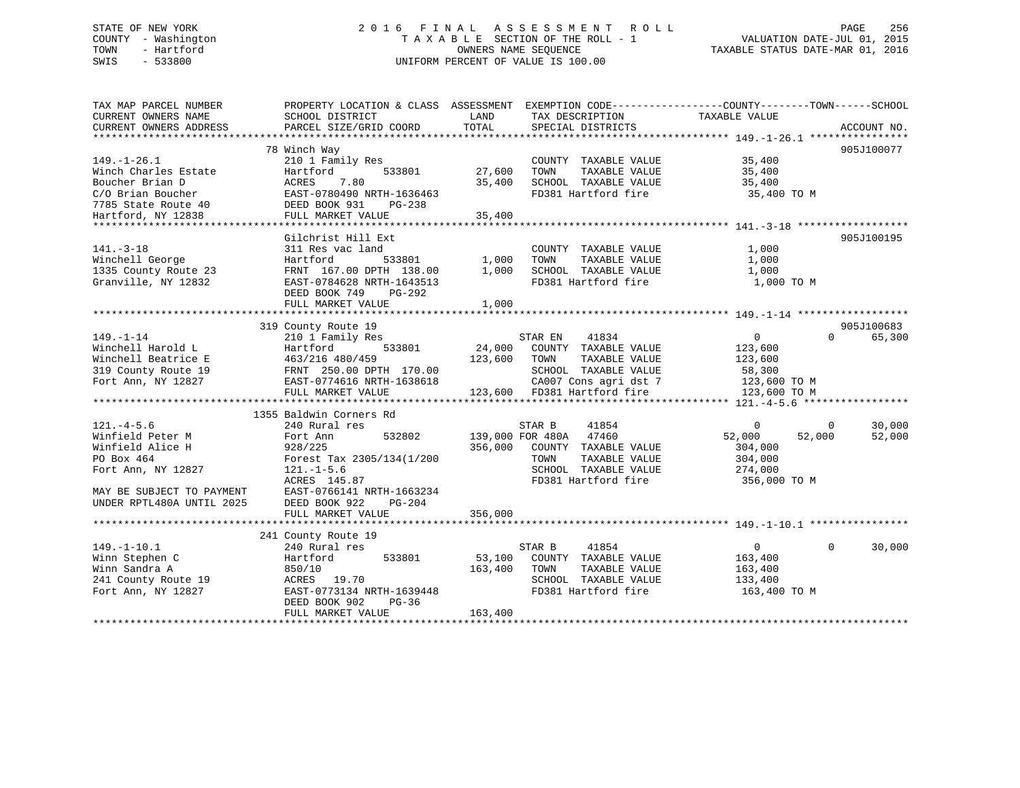# STATE OF NEW YORK 2 0 1 6 F I N A L A S S E S S M E N T R O L L PAGE 256 COUNTY - Washington T A X A B L E SECTION OF THE ROLL - 1 VALUATION DATE-JUL 01, 2015 TOWN - Hartford **TAXABLE STATUS DATE-MAR 01, 2016** OWNERS NAME SEQUENCE TAXABLE STATUS DATE-MAR 01, 2016 SWIS - 533800 UNIFORM PERCENT OF VALUE IS 100.00

| TAX MAP PARCEL NUMBER<br>CURRENT OWNERS NAME<br>CURRENT OWNERS ADDRESS                                                                                | PROPERTY LOCATION & CLASS ASSESSMENT<br>SCHOOL DISTRICT<br>PARCEL SIZE/GRID COORD                                                                                                                                       | LAND<br>TOTAL                | TAX DESCRIPTION<br>SPECIAL DISTRICTS                                                                                                                                       | EXEMPTION CODE-----------------COUNTY-------TOWN------SCHOOL<br>TAXABLE VALUE<br>ACCOUNT NO.                       |
|-------------------------------------------------------------------------------------------------------------------------------------------------------|-------------------------------------------------------------------------------------------------------------------------------------------------------------------------------------------------------------------------|------------------------------|----------------------------------------------------------------------------------------------------------------------------------------------------------------------------|--------------------------------------------------------------------------------------------------------------------|
| $149. - 1 - 26.1$<br>Winch Charles Estate<br>Boucher Brian D<br>C/O Brian Boucher<br>7785 State Route 40<br>Hartford, NY 12838                        | 78 Winch Way<br>210 1 Family Res<br>533801<br>Hartford<br>7.80<br>ACRES<br>EAST-0780490 NRTH-1636463<br>DEED BOOK 931<br>PG-238<br>FULL MARKET VALUE                                                                    | 27,600<br>35,400<br>35,400   | COUNTY TAXABLE VALUE<br>TAXABLE VALUE<br>TOWN<br>SCHOOL TAXABLE VALUE<br>FD381 Hartford fire                                                                               | 905J100077<br>35,400<br>35,400<br>35,400<br>35,400 TO M                                                            |
| $141. - 3 - 18$<br>Winchell George<br>1335 County Route 23<br>Granville, NY 12832                                                                     | Gilchrist Hill Ext<br>311 Res vac land<br>533801<br>Hartford<br>FRNT 167.00 DPTH 138.00<br>EAST-0784628 NRTH-1643513<br>DEED BOOK 749<br>PG-292<br>FULL MARKET VALUE                                                    | 1,000<br>1,000<br>1,000      | COUNTY TAXABLE VALUE<br>TAXABLE VALUE<br>TOWN<br>SCHOOL TAXABLE VALUE<br>FD381 Hartford fire                                                                               | 905J100195<br>1,000<br>1,000<br>1,000<br>1,000 TO M                                                                |
| $149. - 1 - 14$<br>Winchell Harold L<br>Winchell Beatrice E<br>319 County Route 19<br>Fort Ann, NY 12827                                              | 319 County Route 19<br>210 1 Family Res<br>533801<br>Hartford<br>463/216 480/459<br>FRNT 250.00 DPTH 170.00<br>EAST-0774616 NRTH-1638618<br>FULL MARKET VALUE                                                           | 24,000<br>123,600            | STAR EN<br>41834<br>COUNTY TAXABLE VALUE<br>TOWN<br>TAXABLE VALUE<br>SCHOOL TAXABLE VALUE<br>CA007 Cons agri dst 7<br>CA007 Cons agri dst 7<br>123,600 FD381 Hartford fire | 905J100683<br>$\overline{0}$<br>$\Omega$<br>65,300<br>123,600<br>123,600<br>58,300<br>123,600 TO M<br>123,600 TO M |
| $121. -4 - 5.6$<br>Winfield Peter M<br>Winfield Alice H<br>PO Box 464<br>Fort Ann, NY 12827<br>MAY BE SUBJECT TO PAYMENT<br>UNDER RPTL480A UNTIL 2025 | 1355 Baldwin Corners Rd<br>240 Rural res<br>532802<br>Fort Ann<br>928/225<br>Forest Tax 2305/134(1/200<br>$121. - 1 - 5.6$<br>ACRES 145.87<br>EAST-0766141 NRTH-1663234<br>DEED BOOK 922<br>PG-204<br>FULL MARKET VALUE | 356,000<br>356,000           | 41854<br>STAR B<br>139,000 FOR 480A 47460<br>COUNTY TAXABLE VALUE<br>TOWN<br>TAXABLE VALUE<br>SCHOOL TAXABLE VALUE<br>FD381 Hartford fire                                  | $\mathbf 0$<br>30,000<br>0<br>52,000<br>52,000<br>52,000<br>304,000<br>304,000<br>274,000<br>356,000 TO M          |
| $149. - 1 - 10.1$<br>Winn Stephen C<br>Winn Sandra A<br>241 County Route 19<br>Fort Ann, NY 12827                                                     | 241 County Route 19<br>240 Rural res<br>Hartford<br>533801<br>850/10<br>ACRES 19.70<br>EAST-0773134 NRTH-1639448<br>DEED BOOK 902<br>PG-36<br>FULL MARKET VALUE                                                         | 53,100<br>163,400<br>163,400 | 41854<br>STAR B<br>COUNTY TAXABLE VALUE<br>TAXABLE VALUE<br>TOWN<br>SCHOOL TAXABLE VALUE<br>FD381 Hartford fire                                                            | $\overline{0}$<br>30,000<br>$\Omega$<br>163,400<br>163,400<br>133,400<br>163,400 TO M                              |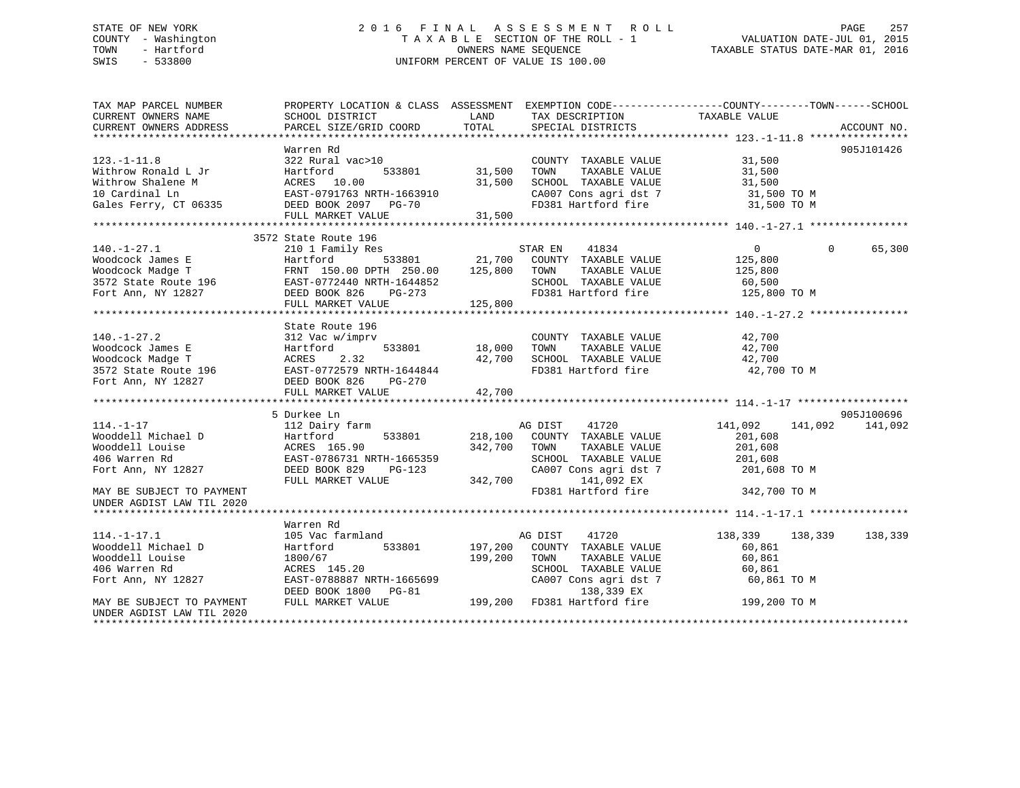# STATE OF NEW YORK 2 0 1 6 F I N A L A S S E S S M E N T R O L L PAGE 257 COUNTY - Washington T A X A B L E SECTION OF THE ROLL - 1 VALUATION DATE-JUL 01, 2015 TOWN - Hartford **TAXABLE STATUS DATE-MAR 01, 2016** OWNERS NAME SEQUENCE TAXABLE STATUS DATE-MAR 01, 2016 SWIS - 533800 UNIFORM PERCENT OF VALUE IS 100.00

| TAX MAP PARCEL NUMBER<br>CURRENT OWNERS NAME                                                                                                                                                                                                                                                                                                                                                                                        | PROPERTY LOCATION & CLASS ASSESSMENT EXEMPTION CODE----------------COUNTY-------TOWN------SCHOOL<br>SCHOOL DISTRICT                                          | LAND            | TAX DESCRIPTION                                                                                                                                                                                                                    | TAXABLE VALUE   |          |             |
|-------------------------------------------------------------------------------------------------------------------------------------------------------------------------------------------------------------------------------------------------------------------------------------------------------------------------------------------------------------------------------------------------------------------------------------|--------------------------------------------------------------------------------------------------------------------------------------------------------------|-----------------|------------------------------------------------------------------------------------------------------------------------------------------------------------------------------------------------------------------------------------|-----------------|----------|-------------|
| CURRENT OWNERS ADDRESS                                                                                                                                                                                                                                                                                                                                                                                                              | PARCEL SIZE/GRID COORD                                                                                                                                       | TOTAL           | SPECIAL DISTRICTS                                                                                                                                                                                                                  |                 |          | ACCOUNT NO. |
|                                                                                                                                                                                                                                                                                                                                                                                                                                     |                                                                                                                                                              |                 |                                                                                                                                                                                                                                    |                 |          |             |
|                                                                                                                                                                                                                                                                                                                                                                                                                                     | Warren Rd                                                                                                                                                    |                 |                                                                                                                                                                                                                                    |                 |          | 905J101426  |
| $123. - 1 - 11.8$                                                                                                                                                                                                                                                                                                                                                                                                                   | 322 Rural vac>10                                                                                                                                             |                 | COUNTY TAXABLE VALUE 31,500                                                                                                                                                                                                        |                 |          |             |
|                                                                                                                                                                                                                                                                                                                                                                                                                                     |                                                                                                                                                              | 533801 31,500   | TOWN<br>TAXABLE VALUE                                                                                                                                                                                                              | 31,500          |          |             |
|                                                                                                                                                                                                                                                                                                                                                                                                                                     |                                                                                                                                                              | 31,500          |                                                                                                                                                                                                                                    |                 |          |             |
|                                                                                                                                                                                                                                                                                                                                                                                                                                     |                                                                                                                                                              |                 | SCHOOL TAXABLE VALUE 31,500<br>CA007 Cons agri dst 7 31,500 TO M                                                                                                                                                                   |                 |          |             |
| Withrow Ronald L Jr<br>Withrow Shalene M<br>10 Cardinal Ln<br>33801<br>10 Cardinal Ln<br>533801<br>20 EAST-0791763 NRTH-1663910<br>533801<br>20 EAST-0791763 NRTH-1663910<br>533801<br>20 EAST-0791763 NRTH-1663910<br>DEED BOOK 2097<br>20 PG-70                                                                                                                                                                                   |                                                                                                                                                              |                 |                                                                                                                                                                                                                                    |                 |          |             |
|                                                                                                                                                                                                                                                                                                                                                                                                                                     |                                                                                                                                                              |                 |                                                                                                                                                                                                                                    |                 |          |             |
| $\begin{tabular}{lllllllllllll} \textsc{10} & \textsc{Cardinal} & \textsc{In} & \textsc{EAST}-0791763 \textit{ NRTH}-1663910 & \textsc{CA007} \textit{Cons} & \textsc{agit} & \textsc{dt7} & 31,500 \textit{ TO} \textit{M} \\ \textsc{Gales} & \textsc{Ferry, CT 06335} & \textsc{DEED B0OK 2097} & \textsc{PG-70} & \textsc{FD381} & \textsc{Hartford} & \textsc{fire} & 31,500 \textit{ TO} \textit{M} \\ & \textsc{F$           |                                                                                                                                                              |                 |                                                                                                                                                                                                                                    |                 |          |             |
|                                                                                                                                                                                                                                                                                                                                                                                                                                     | 3572 State Route 196                                                                                                                                         |                 |                                                                                                                                                                                                                                    |                 |          |             |
| 140.-1-27.1<br>Woodcock James E<br>Woodcock Madge T<br>210 1 Fax1E VALUE<br>Moodcock Madge T<br>3572 State Route 196<br>Fort Ann, NY 12827<br>21,700 COUNTY TAXABLE VALUE<br>21,700 COUNTY TAXABLE VALUE<br>21,700 COUNTY TAXABLE VALUE<br>21,700                                                                                                                                                                                   |                                                                                                                                                              |                 |                                                                                                                                                                                                                                    | $\overline{0}$  | $\Omega$ | 65,300      |
|                                                                                                                                                                                                                                                                                                                                                                                                                                     |                                                                                                                                                              |                 |                                                                                                                                                                                                                                    | 125,800         |          |             |
|                                                                                                                                                                                                                                                                                                                                                                                                                                     |                                                                                                                                                              |                 |                                                                                                                                                                                                                                    | 125,800         |          |             |
|                                                                                                                                                                                                                                                                                                                                                                                                                                     |                                                                                                                                                              |                 |                                                                                                                                                                                                                                    |                 |          |             |
|                                                                                                                                                                                                                                                                                                                                                                                                                                     |                                                                                                                                                              |                 | SCHOOL TAXABLE VALUE 60,500<br>FD381 Hartford fire 125,800 TO M                                                                                                                                                                    |                 |          |             |
|                                                                                                                                                                                                                                                                                                                                                                                                                                     | FULL MARKET VALUE                                                                                                                                            | 125,800         |                                                                                                                                                                                                                                    |                 |          |             |
|                                                                                                                                                                                                                                                                                                                                                                                                                                     |                                                                                                                                                              |                 |                                                                                                                                                                                                                                    |                 |          |             |
|                                                                                                                                                                                                                                                                                                                                                                                                                                     | State Route 196                                                                                                                                              |                 |                                                                                                                                                                                                                                    |                 |          |             |
|                                                                                                                                                                                                                                                                                                                                                                                                                                     |                                                                                                                                                              |                 |                                                                                                                                                                                                                                    |                 |          |             |
|                                                                                                                                                                                                                                                                                                                                                                                                                                     |                                                                                                                                                              | $533801$ 18,000 | $\begin{tabular}{lllllllll} \multicolumn{2}{c}{\textbf{COUNTY}} & \textbf{TAXABLE} & \textbf{VALUE} & \textbf{42,700} \\ \multicolumn{2}{c}{\textbf{TONN}} & \textbf{TAXABLE} & \textbf{VALUE} & \textbf{42,700} \\ \end{tabular}$ |                 |          |             |
|                                                                                                                                                                                                                                                                                                                                                                                                                                     |                                                                                                                                                              | 42,700          |                                                                                                                                                                                                                                    | 42,700          |          |             |
|                                                                                                                                                                                                                                                                                                                                                                                                                                     |                                                                                                                                                              |                 | SCHOOL TAXABLE VALUE<br>FD381 Hartford fire                                                                                                                                                                                        | 42,700 TO M     |          |             |
| $\begin{tabular}{lllllllllllll} $\texttt{140.-1-27.2}$ & $\texttt{312\text{ Vac w/imprv}}$ \\ \texttt{Woodcock James E} & \texttt{Hartford} & $\texttt{533801}$ \\ \texttt{Woodcock Madge T} & $\texttt{ACRES} & 2.32$ \\ \texttt{3572 State Route 196} & $\texttt{EAST-0772579 NRTH-1644844}$ \\ \texttt{Fort Ann, NY 12827} & $\texttt{DSED} & \texttt{DCS} & $\texttt{PG-270}$ \\ $\texttt{mrv: mrv: mrv: mrv: mrv: mrv: mrv: m$ |                                                                                                                                                              |                 |                                                                                                                                                                                                                                    |                 |          |             |
|                                                                                                                                                                                                                                                                                                                                                                                                                                     | FULL MARKET VALUE                                                                                                                                            | 42,700          |                                                                                                                                                                                                                                    |                 |          |             |
|                                                                                                                                                                                                                                                                                                                                                                                                                                     |                                                                                                                                                              |                 |                                                                                                                                                                                                                                    |                 |          |             |
|                                                                                                                                                                                                                                                                                                                                                                                                                                     | 5 Durkee Ln                                                                                                                                                  |                 |                                                                                                                                                                                                                                    |                 |          | 905J100696  |
| $114. - 1 - 17$                                                                                                                                                                                                                                                                                                                                                                                                                     | 112 Dairy farm                                                                                                                                               |                 | AG DIST 41720                                                                                                                                                                                                                      | 141,092         | 141,092  | 141,092     |
|                                                                                                                                                                                                                                                                                                                                                                                                                                     |                                                                                                                                                              |                 | 533801 218,100 COUNTY TAXABLE VALUE                                                                                                                                                                                                | 201,608         |          |             |
|                                                                                                                                                                                                                                                                                                                                                                                                                                     |                                                                                                                                                              | 342,700 TOWN    | TAXABLE VALUE                                                                                                                                                                                                                      | 201,608         |          |             |
|                                                                                                                                                                                                                                                                                                                                                                                                                                     |                                                                                                                                                              |                 | SCHOOL TAXABLE VALUE                                                                                                                                                                                                               | 201,608         |          |             |
|                                                                                                                                                                                                                                                                                                                                                                                                                                     | 2001-0700731 NKTH-1665359<br>DEED BOOK 829 PG-123                                                                                                            |                 | SCHOOL TAXABLE VALUE<br>CA007 Cons agri dst 7<br>141 092 FY                                                                                                                                                                        | 201,608 TO M    |          |             |
|                                                                                                                                                                                                                                                                                                                                                                                                                                     | FULL MARKET VALUE                                                                                                                                            |                 | 342,700 141,092 EX                                                                                                                                                                                                                 |                 |          |             |
| MAY BE SUBJECT TO PAYMENT                                                                                                                                                                                                                                                                                                                                                                                                           |                                                                                                                                                              |                 | FD381 Hartford fire                                                                                                                                                                                                                | 342,700 TO M    |          |             |
| UNDER AGDIST LAW TIL 2020                                                                                                                                                                                                                                                                                                                                                                                                           |                                                                                                                                                              |                 |                                                                                                                                                                                                                                    |                 |          |             |
|                                                                                                                                                                                                                                                                                                                                                                                                                                     |                                                                                                                                                              |                 |                                                                                                                                                                                                                                    |                 |          |             |
|                                                                                                                                                                                                                                                                                                                                                                                                                                     | Warren Rd                                                                                                                                                    |                 |                                                                                                                                                                                                                                    |                 |          |             |
| $114. - 1 - 17.1$                                                                                                                                                                                                                                                                                                                                                                                                                   |                                                                                                                                                              |                 |                                                                                                                                                                                                                                    | 138,339 138,339 |          | 138,339     |
| Wooddell Michael D                                                                                                                                                                                                                                                                                                                                                                                                                  |                                                                                                                                                              |                 | AG DIST 41720<br>197,200 COUNTY TAXABLE VALUE                                                                                                                                                                                      | 60,861          |          |             |
| Wooddell Louise                                                                                                                                                                                                                                                                                                                                                                                                                     | 1800/67                                                                                                                                                      | 199,200 TOWN    | TAXABLE VALUE                                                                                                                                                                                                                      | 60,861          |          |             |
| 406 Warren Rd                                                                                                                                                                                                                                                                                                                                                                                                                       | ACRES 145.20                                                                                                                                                 |                 | SCHOOL TAXABLE VALUE                                                                                                                                                                                                               | 60,861          |          |             |
| Fort Ann, NY 12827                                                                                                                                                                                                                                                                                                                                                                                                                  |                                                                                                                                                              |                 | SCHOOL TAXABLE VALUE<br>CA007 Cons agri dst 7                                                                                                                                                                                      |                 |          |             |
|                                                                                                                                                                                                                                                                                                                                                                                                                                     |                                                                                                                                                              |                 |                                                                                                                                                                                                                                    |                 |          |             |
| MAY BE SUBJECT TO PAYMENT                                                                                                                                                                                                                                                                                                                                                                                                           | EAST-0788887 NRTH-1665699 CA007 Cons agri dst 7 60,861 TO M<br>DEED BOOK 1800 PG-81 138,339 EX<br>FULL MARKET VALUE 199,200 FD381 Hartford fire 199,200 TO M |                 |                                                                                                                                                                                                                                    |                 |          |             |
| UNDER AGDIST LAW TIL 2020                                                                                                                                                                                                                                                                                                                                                                                                           |                                                                                                                                                              |                 |                                                                                                                                                                                                                                    |                 |          |             |
|                                                                                                                                                                                                                                                                                                                                                                                                                                     |                                                                                                                                                              |                 |                                                                                                                                                                                                                                    |                 |          |             |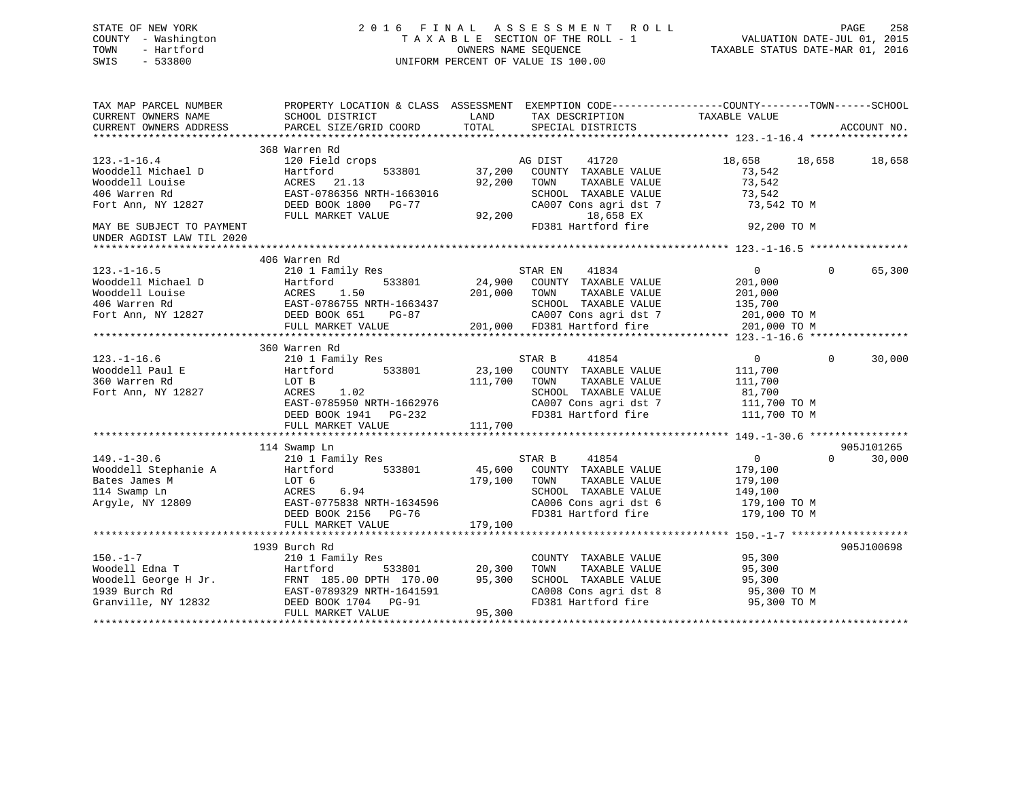# STATE OF NEW YORK 2 0 1 6 F I N A L A S S E S S M E N T R O L L PAGE 258 COUNTY - Washington T A X A B L E SECTION OF THE ROLL - 1 VALUATION DATE-JUL 01, 2015 TOWN - Hartford **TAXABLE STATUS DATE-MAR 01, 2016** OWNERS NAME SEQUENCE TAXABLE STATUS DATE-MAR 01, 2016 SWIS - 533800 UNIFORM PERCENT OF VALUE IS 100.00

| TAX MAP PARCEL NUMBER<br>CURRENT OWNERS NAME | SCHOOL DISTRICT                                                                                                         | PROPERTY LOCATION & CLASS ASSESSMENT EXEMPTION CODE----------------COUNTY-------TOWN------SCHOOL<br>LAND<br>TAX DESCRIPTION TAXABLE VALUE |                                      |
|----------------------------------------------|-------------------------------------------------------------------------------------------------------------------------|-------------------------------------------------------------------------------------------------------------------------------------------|--------------------------------------|
| CURRENT OWNERS ADDRESS                       | PARCEL SIZE/GRID COORD                                                                                                  | TOTAL<br>SPECIAL DISTRICTS                                                                                                                | ACCOUNT NO.                          |
|                                              |                                                                                                                         |                                                                                                                                           |                                      |
|                                              | 368 Warren Rd                                                                                                           |                                                                                                                                           |                                      |
| $123. - 1 - 16.4$                            | 120 Field crops                                                                                                         | AG DIST<br>41720                                                                                                                          | 18,658<br>18,658 18,658              |
| Wooddell Michael D                           | Hartford<br>533801                                                                                                      | 37,200<br>COUNTY TAXABLE VALUE                                                                                                            | 73,542                               |
| Wooddell Louise                              | ACRES 21.13                                                                                                             | 92,200<br>TAXABLE VALUE<br>TOWN                                                                                                           | 73,542                               |
| 406 Warren Rd                                | EAST-0786356 NRTH-1663016                                                                                               | SCHOOL TAXABLE VALUE                                                                                                                      | 73,542                               |
| Fort Ann, NY 12827                           | DEED BOOK 1800 PG-77                                                                                                    | CA007 Cons agri dst 7                                                                                                                     | 73,542 TO M                          |
|                                              | FULL MARKET VALUE                                                                                                       | 92,200<br>18,658 EX                                                                                                                       |                                      |
| MAY BE SUBJECT TO PAYMENT                    |                                                                                                                         | FD381 Hartford fire                                                                                                                       | 92,200 TO M                          |
| UNDER AGDIST LAW TIL 2020                    |                                                                                                                         |                                                                                                                                           |                                      |
|                                              |                                                                                                                         |                                                                                                                                           |                                      |
|                                              | 406 Warren Rd                                                                                                           |                                                                                                                                           |                                      |
| $123. - 1 - 16.5$                            | 210 1 Family Res                                                                                                        | STAR EN 41834                                                                                                                             | 65,300<br>$\overline{0}$<br>$\Omega$ |
| Wooddell Michael D                           | Hartford                                                                                                                | 533801 24,900 COUNTY TAXABLE VALUE                                                                                                        | 201,000                              |
|                                              |                                                                                                                         | 201,000 TOWN<br>TAXABLE VALUE                                                                                                             | 201,000                              |
|                                              |                                                                                                                         | SCHOOL TAXABLE VALUE                                                                                                                      | 135,700                              |
|                                              |                                                                                                                         |                                                                                                                                           |                                      |
|                                              |                                                                                                                         |                                                                                                                                           |                                      |
|                                              |                                                                                                                         |                                                                                                                                           |                                      |
|                                              |                                                                                                                         |                                                                                                                                           |                                      |
|                                              | 360 Warren Rd                                                                                                           |                                                                                                                                           |                                      |
| $123. - 1 - 16.6$                            | 210 1 Family Res                                                                                                        | STAR B<br>41854                                                                                                                           | $\Omega$<br>$\Omega$<br>30,000       |
| Wooddell Paul E                              | Hartford<br>533801                                                                                                      | 23,100<br>COUNTY TAXABLE VALUE                                                                                                            | 111,700                              |
| 360 Warren Rd                                | LOT B                                                                                                                   | 111,700<br>TOWN<br>TAXABLE VALUE                                                                                                          | 111,700                              |
| Fort Ann, NY 12827                           | ACRES<br>1.02                                                                                                           | SCHOOL TAXABLE VALUE                                                                                                                      | 81,700                               |
|                                              | EAST-0785950 NRTH-1662976                                                                                               | CA007 Cons agri dst 7 111,700 TO M                                                                                                        |                                      |
|                                              | DEED BOOK 1941 PG-232                                                                                                   | FD381 Hartford fire 111,700 TO M                                                                                                          |                                      |
|                                              |                                                                                                                         |                                                                                                                                           |                                      |
|                                              |                                                                                                                         |                                                                                                                                           |                                      |
|                                              | 114 Swamp Ln                                                                                                            |                                                                                                                                           | 905J101265                           |
| $149. - 1 - 30.6$                            | 210 1 Family Res                                                                                                        | 41854<br>STAR B                                                                                                                           | $\overline{0}$<br>$\Omega$<br>30,000 |
| Wooddell Stephanie A                         | Hartford 533801                                                                                                         | 45,600<br>COUNTY TAXABLE VALUE                                                                                                            | 179,100                              |
| Bates James M                                | LOT 6                                                                                                                   | 179,100<br>TOWN<br>TAXABLE VALUE                                                                                                          | 179,100                              |
|                                              | ACRES<br>6.94                                                                                                           | SCHOOL TAXABLE VALUE                                                                                                                      | 149,100                              |
| 114 Swamp Ln<br>Argyle, NY 12809             | EAST-0775838 NRTH-1634596                                                                                               | SCHOOL TAXABLE VALUE<br>CA006 Cons agri dst 6                                                                                             | 179,100 TO M                         |
|                                              | DEED BOOK 2156 PG-76                                                                                                    | FD381 Hartford fire                                                                                                                       | 179,100 TO M                         |
|                                              |                                                                                                                         |                                                                                                                                           |                                      |
|                                              |                                                                                                                         |                                                                                                                                           |                                      |
|                                              |                                                                                                                         |                                                                                                                                           |                                      |
|                                              | 1939 Burch Rd                                                                                                           |                                                                                                                                           | 905J100698                           |
| $150. - 1 - 7$                               | 210 1 Family Res                                                                                                        | COUNTY TAXABLE VALUE                                                                                                                      | 95,300                               |
|                                              | 533801                                                                                                                  | 20,300<br>TOWN<br>TAXABLE VALUE                                                                                                           | 95,300                               |
|                                              |                                                                                                                         | 95,300<br>SCHOOL TAXABLE VALUE                                                                                                            | 95,300                               |
|                                              |                                                                                                                         | CA008 Cons agri dst 8 95,300 TO M<br>FD381 Hartford fire 95,300 TO M                                                                      |                                      |
|                                              | 150.-1-7<br>Woodell Edna T<br>Woodell George H Jr.<br>1939 Burch Rd<br>Granville, NY 12832<br>2008 DEED BOOK 1704 PG-91 |                                                                                                                                           |                                      |
|                                              | FULL MARKET VALUE                                                                                                       | 95,300                                                                                                                                    |                                      |
|                                              |                                                                                                                         |                                                                                                                                           |                                      |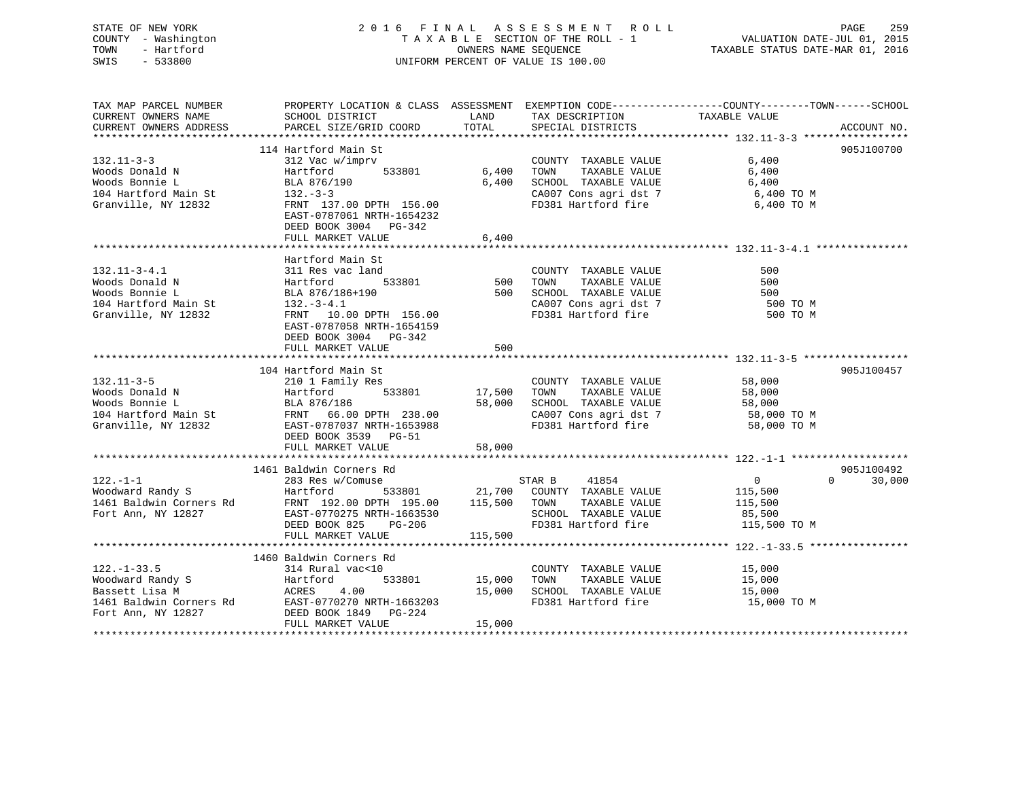| STATE OF NEW YORK   | 2016 FINAL ASSESSMENT ROLL         | 259<br>PAGE                      |
|---------------------|------------------------------------|----------------------------------|
| COUNTY - Washington | TAXABLE SECTION OF THE ROLL - 1    | VALUATION DATE-JUL 01, 2015      |
| - Hartford<br>TOWN  | OWNERS NAME SEOUENCE               | TAXABLE STATUS DATE-MAR 01, 2016 |
| $-533800$<br>SWIS   | UNIFORM PERCENT OF VALUE IS 100.00 |                                  |
|                     |                                    |                                  |

| TAX MAP PARCEL NUMBER<br>CURRENT OWNERS NAME<br>CURRENT OWNERS ADDRESS                                                      | PROPERTY LOCATION & CLASS ASSESSMENT EXEMPTION CODE----------------COUNTY-------TOWN------SCHOOL<br>SCHOOL DISTRICT<br>PARCEL SIZE/GRID COORD                                                          | LAND<br>TOTAL                     | TAX DESCRIPTION TAXABLE VALUE<br>SPECIAL DISTRICTS                                                                                          |                                                                                                                                                                                                                                                                                  | ACCOUNT NO.                      |
|-----------------------------------------------------------------------------------------------------------------------------|--------------------------------------------------------------------------------------------------------------------------------------------------------------------------------------------------------|-----------------------------------|---------------------------------------------------------------------------------------------------------------------------------------------|----------------------------------------------------------------------------------------------------------------------------------------------------------------------------------------------------------------------------------------------------------------------------------|----------------------------------|
| $132.11 - 3 - 3$<br>Woods Donald N<br>Woods Bonnie L<br>104 Hartford Main St<br>Granville, NY 12832                         | 114 Hartford Main St<br>312 Vac w/imprv<br>Hartford<br>533801<br>BLA 876/190<br>$132 - 3 - 3$<br>FRNT 137.00 DPTH 156.00<br>EAST-0787061 NRTH-1654232<br>DEED BOOK 3004 PG-342<br>FULL MARKET VALUE    | 6,400<br>6,400<br>6,400           | COUNTY TAXABLE VALUE<br>TOWN<br>TAXABLE VALUE<br>SCHOOL TAXABLE VALUE                                                                       | 6,400<br>6,400<br>6,400<br>$\begin{array}{lllllll} \texttt{CA007} & \texttt{Cons}\ \texttt{agri}\ \texttt{dst}\ \texttt{7} & \texttt{6,400}\ \texttt{TO}\ \texttt{M} & \texttt{FD381}\ \texttt{Hartford}\ \texttt{fire} & \texttt{6,400}\ \texttt{TO}\ \texttt{M} & \end{array}$ | 905J100700                       |
| $132.11 - 3 - 4.1$<br>Woods Donald N<br>Woods Bonnie L<br>104 Hartford Main St<br>Granville, NY 12832                       | Hartford Main St<br>311 Res vac land<br>533801<br>Hartford<br>BLA 876/186+190<br>$132. - 3 - 4.1$<br>FRNT 10.00 DPTH 156.00<br>EAST-0787058 NRTH-1654159<br>DEED BOOK 3004 PG-342<br>FULL MARKET VALUE | 500<br>500<br>500                 | COUNTY TAXABLE VALUE<br>TOWN<br>TAXABLE VALUE<br>LOWN LAAABLE VALUE<br>SCHOOL TAXABLE VALUE<br>CA007 Cons agri dst 7<br>FD381 Hartford fire | 500<br>500<br>500<br>500 TO M<br>500 TO M                                                                                                                                                                                                                                        |                                  |
| $132.11 - 3 - 5$<br>Woods Donald N<br>Granville, NY 12832                                                                   | 104 Hartford Main St<br>210 1 Family Res<br>Hartford<br>EAST-0787037 NRTH-1653988<br>DEED BOOK 3539 PG-51<br>FULL MARKET VALUE                                                                         | 533801 17,500<br>58,000<br>58,000 | COUNTY TAXABLE VALUE<br>TAXABLE VALUE<br>TOWN<br>SCHOOL TAXABLE VALUE<br>FD381 Hartford fire                                                | 58,000<br>58,000<br>58,000<br>CA007 Cons agri dst 7 58,000 TO M<br>58,000 TO M                                                                                                                                                                                                   | 905J100457                       |
| $122. - 1 - 1$<br>Fort Ann, NY 12827                                                                                        | 1461 Baldwin Corners Rd<br>283 Res w/Comuse<br>EAST-0770275 NRTH-1663530<br>DEED BOOK 825 PG-206<br>FULL MARKET VALUE                                                                                  | 115,500 TOWN<br>115,500           | 41854<br>STAR B<br>533801 21,700 COUNTY TAXABLE VALUE<br>TAXABLE VALUE<br>SCHOOL TAXABLE VALUE<br>FD381 Hartford fire                       | $\overline{0}$<br>115,500<br>115,500<br>85,500<br>115,500 TO M                                                                                                                                                                                                                   | 905J100492<br>$\Omega$<br>30,000 |
| $122. - 1 - 33.5$<br>Hartfo<br>ACRES<br>Woodward Randy S<br>Bassett Lisa M<br>1461 Baldwin Corners Rd<br>Fort Ann, NY 12827 | 1460 Baldwin Corners Rd<br>314 Rural vac<10<br>Hartford<br>4.00<br>EAST-0770270 NRTH-1663203<br>DEED BOOK 1849 PG-224<br>FULL MARKET VALUE                                                             | 533801 15,000<br>15,000<br>15,000 | COUNTY TAXABLE VALUE<br>TAXABLE VALUE<br>TOWN<br>SCHOOL TAXABLE VALUE<br>FD381 Hartford fire                                                | 15,000<br>15,000<br>15,000<br>15,000 TO M                                                                                                                                                                                                                                        |                                  |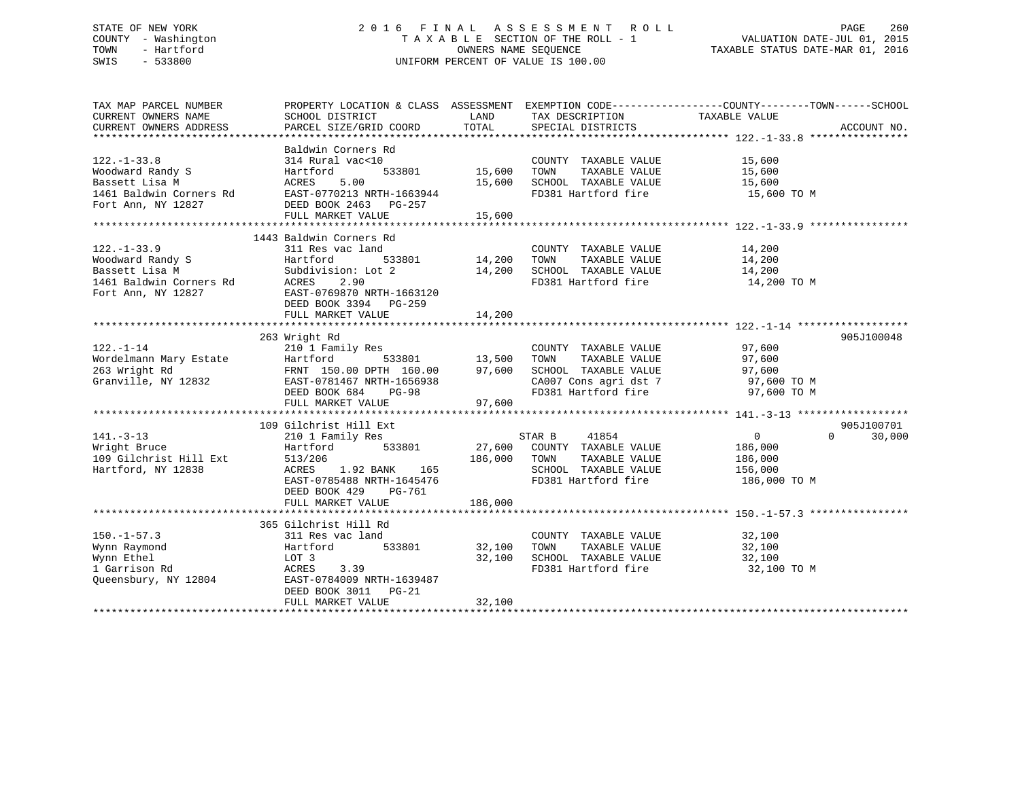# STATE OF NEW YORK 2 0 1 6 F I N A L A S S E S S M E N T R O L L PAGE 260 COUNTY - Washington T A X A B L E SECTION OF THE ROLL - 1 VALUATION DATE-JUL 01, 2015 TOWN - Hartford **TAXABLE STATUS DATE-MAR 01, 2016** OWNERS NAME SEQUENCE TAXABLE STATUS DATE-MAR 01, 2016 SWIS - 533800 UNIFORM PERCENT OF VALUE IS 100.00

| TAX MAP PARCEL NUMBER                               |                                                                                                                                                          |                    |                                                                                                                                                                                              | PROPERTY LOCATION & CLASS ASSESSMENT EXEMPTION CODE---------------COUNTY-------TOWN-----SCHOOL |             |
|-----------------------------------------------------|----------------------------------------------------------------------------------------------------------------------------------------------------------|--------------------|----------------------------------------------------------------------------------------------------------------------------------------------------------------------------------------------|------------------------------------------------------------------------------------------------|-------------|
| CURRENT OWNERS NAME                                 | SCHOOL DISTRICT                                                                                                                                          | LAND               | TAX DESCRIPTION                                                                                                                                                                              | TAXABLE VALUE                                                                                  |             |
| CURRENT OWNERS ADDRESS                              | PARCEL SIZE/GRID COORD                                                                                                                                   | TOTAL              | SPECIAL DISTRICTS                                                                                                                                                                            |                                                                                                | ACCOUNT NO. |
|                                                     |                                                                                                                                                          |                    |                                                                                                                                                                                              |                                                                                                |             |
|                                                     | Baldwin Corners Rd                                                                                                                                       |                    |                                                                                                                                                                                              |                                                                                                |             |
| $122. - 1 - 33.8$                                   | 314 Rural vac<10                                                                                                                                         |                    | COUNTY TAXABLE VALUE 15,600                                                                                                                                                                  |                                                                                                |             |
|                                                     |                                                                                                                                                          | 533801 15,600 TOWN |                                                                                                                                                                                              | TAXABLE VALUE 15,600                                                                           |             |
|                                                     |                                                                                                                                                          |                    |                                                                                                                                                                                              |                                                                                                |             |
|                                                     |                                                                                                                                                          |                    |                                                                                                                                                                                              | 15,600<br>15,600 TO M                                                                          |             |
|                                                     |                                                                                                                                                          |                    |                                                                                                                                                                                              |                                                                                                |             |
| Fort Ann, NY 12827                                  | DEED BOOK 2463 PG-257                                                                                                                                    |                    |                                                                                                                                                                                              |                                                                                                |             |
|                                                     |                                                                                                                                                          |                    |                                                                                                                                                                                              |                                                                                                |             |
|                                                     |                                                                                                                                                          |                    |                                                                                                                                                                                              |                                                                                                |             |
|                                                     | 1443 Baldwin Corners Rd                                                                                                                                  |                    |                                                                                                                                                                                              |                                                                                                |             |
| $122. - 1 - 33.9$                                   | 311 Res vac land                                                                                                                                         |                    | COUNTY TAXABLE VALUE 14,200                                                                                                                                                                  |                                                                                                |             |
| woodward Randy S<br>Bassett Lisa M                  | Hartford                                                                                                                                                 | 533801 14,200      | TOWN                                                                                                                                                                                         | TAXABLE VALUE 14,200                                                                           |             |
|                                                     | Subdivision: Lot 2                                                                                                                                       | 14,200             | SCHOOL TAXABLE VALUE                                                                                                                                                                         | 14,200                                                                                         |             |
| 1461 Baldwin Corners Rd ACRES 2.90                  |                                                                                                                                                          |                    | FD381 Hartford fire 14,200 TO M                                                                                                                                                              |                                                                                                |             |
| Fort Ann, NY 12827                                  | EAST-0769870 NRTH-1663120                                                                                                                                |                    |                                                                                                                                                                                              |                                                                                                |             |
|                                                     | DEED BOOK 3394 PG-259                                                                                                                                    |                    |                                                                                                                                                                                              |                                                                                                |             |
|                                                     | FULL MARKET VALUE                                                                                                                                        | 14,200             |                                                                                                                                                                                              |                                                                                                |             |
|                                                     |                                                                                                                                                          |                    |                                                                                                                                                                                              |                                                                                                |             |
|                                                     | 122.-1-14<br>Wordelmann Mary Estate 2001 Family Res<br>263 Wright Rd FRNT 150.00 DPTH 160.00 97,600<br>37,600 EAST-0781467 NRTH-1656938<br>DEED BOOK 684 |                    |                                                                                                                                                                                              |                                                                                                | 905J100048  |
|                                                     |                                                                                                                                                          |                    |                                                                                                                                                                                              |                                                                                                |             |
|                                                     |                                                                                                                                                          |                    | $\begin{tabular}{lllllllll} \multicolumn{2}{c}{\text{COUNTY}} & \text{TAXABLE VALUE} & & & & 97,600 \\ \multicolumn{2}{c}{\text{TOWN}} & \text{TAXABLE VALUE} & & & 97,600 \\ \end{tabular}$ |                                                                                                |             |
|                                                     |                                                                                                                                                          |                    | TOWN IAAADDE VALUE<br>SCHOOL TAXABLE VALUE 97,600<br>CAAAZ Cons agri dst 7 - 97,600 TO M                                                                                                     |                                                                                                |             |
|                                                     |                                                                                                                                                          |                    |                                                                                                                                                                                              |                                                                                                |             |
|                                                     |                                                                                                                                                          |                    | CA007 Cons agri dst 7 97,600 TO M<br>FD381 Hartford fire 97,600 TO M                                                                                                                         |                                                                                                |             |
|                                                     |                                                                                                                                                          |                    |                                                                                                                                                                                              |                                                                                                |             |
|                                                     | FULL MARKET VALUE                                                                                                                                        | 97,600             |                                                                                                                                                                                              |                                                                                                |             |
|                                                     |                                                                                                                                                          |                    |                                                                                                                                                                                              |                                                                                                |             |
|                                                     | 109 Gilchrist Hill Ext                                                                                                                                   |                    |                                                                                                                                                                                              |                                                                                                | 905J100701  |
| $141. - 3 - 13$                                     | 210 1 Family Res                                                                                                                                         |                    | STAR B 41854                                                                                                                                                                                 | $\overline{0}$<br>$\Omega$                                                                     | 30,000      |
| Wright Bruce                                        | Ero I Pan                                                                                                                                                |                    | 533801 27,600 COUNTY TAXABLE VALUE 186,000                                                                                                                                                   |                                                                                                |             |
| 109 Gilchrist Hill Ext                              | 513/206<br>ACRES 1.92 BANK 165<br>ACRES 1.92 BANK 165 SCHOOL                                                                                             |                    |                                                                                                                                                                                              | TAXABLE VALUE 186,000<br>TAXABLE VALUE 156,000                                                 |             |
| Hartford, NY 12838                                  |                                                                                                                                                          |                    | SCHOOL TAXABLE VALUE                                                                                                                                                                         |                                                                                                |             |
|                                                     | EAST-0785488 NRTH-1645476                                                                                                                                |                    | FD381 Hartford fire 186,000 TO M                                                                                                                                                             |                                                                                                |             |
|                                                     | DEED BOOK 429 PG-761                                                                                                                                     |                    |                                                                                                                                                                                              |                                                                                                |             |
|                                                     |                                                                                                                                                          |                    |                                                                                                                                                                                              |                                                                                                |             |
|                                                     |                                                                                                                                                          |                    |                                                                                                                                                                                              |                                                                                                |             |
|                                                     | 365 Gilchrist Hill Rd                                                                                                                                    |                    |                                                                                                                                                                                              |                                                                                                |             |
| $150.-1-57.3$                                       | 311 Res vac land                                                                                                                                         |                    | COUNTY TAXABLE VALUE 32,100                                                                                                                                                                  |                                                                                                |             |
| Wynn Raymond                                        | 533801<br>Hartford                                                                                                                                       | 32,100 TOWN        |                                                                                                                                                                                              |                                                                                                |             |
| Wynn Ethel                                          | LOT 3                                                                                                                                                    | 32,100             | TOWN      TAXABLE VALUE<br>SCHOOL   TAXABLE VALUE                                                                                                                                            | 32,100<br>32,100                                                                               |             |
| 1 Garrison Rd                                       |                                                                                                                                                          |                    | FD381 Hartford fire 32,100 TO M                                                                                                                                                              |                                                                                                |             |
| $\begin{array}{c}\n 2 & 2 \\  -2 & 3\n \end{array}$ | ACRES 3.39                                                                                                                                               |                    |                                                                                                                                                                                              |                                                                                                |             |
| Oueensbury, NY 12804                                | EAST-0784009 NRTH-1639487                                                                                                                                |                    |                                                                                                                                                                                              |                                                                                                |             |
|                                                     | DEED BOOK 3011 PG-21                                                                                                                                     |                    |                                                                                                                                                                                              |                                                                                                |             |
|                                                     | FULL MARKET VALUE                                                                                                                                        | 32,100             |                                                                                                                                                                                              |                                                                                                |             |
|                                                     |                                                                                                                                                          |                    |                                                                                                                                                                                              |                                                                                                |             |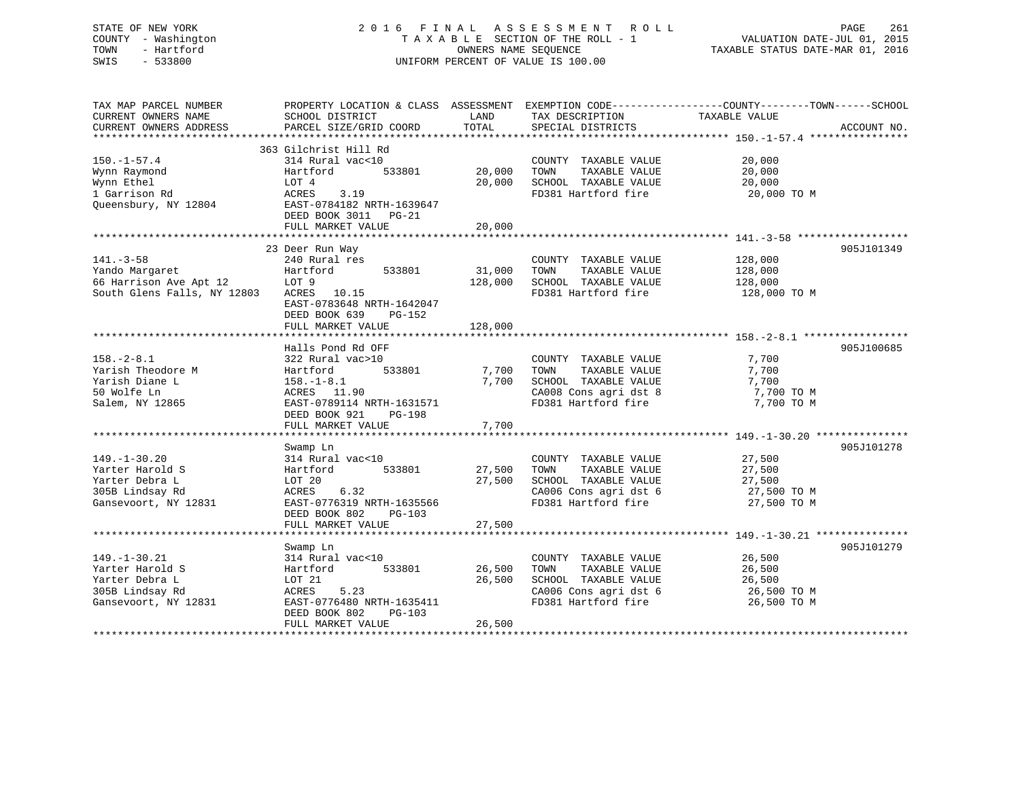# STATE OF NEW YORK 2 0 1 6 F I N A L A S S E S S M E N T R O L L PAGE 261 COUNTY - Washington T A X A B L E SECTION OF THE ROLL - 1 VALUATION DATE-JUL 01, 2015 TOWN - Hartford OWNERS NAME SEQUENCE TAXABLE STATUS DATE-MAR 01, 2016 SWIS - 533800 UNIFORM PERCENT OF VALUE IS 100.00

| TAX MAP PARCEL NUMBER       | PROPERTY LOCATION & CLASS ASSESSMENT EXEMPTION CODE----------------COUNTY-------TOWN-----SCHOOL |         |                       |               |             |
|-----------------------------|-------------------------------------------------------------------------------------------------|---------|-----------------------|---------------|-------------|
| CURRENT OWNERS NAME         | SCHOOL DISTRICT                                                                                 | LAND    | TAX DESCRIPTION       | TAXABLE VALUE |             |
| CURRENT OWNERS ADDRESS      | PARCEL SIZE/GRID COORD                                                                          | TOTAL   | SPECIAL DISTRICTS     |               | ACCOUNT NO. |
|                             |                                                                                                 |         |                       |               |             |
|                             | 363 Gilchrist Hill Rd                                                                           |         |                       |               |             |
| $150.-1-57.4$               | 314 Rural vac<10                                                                                |         | COUNTY TAXABLE VALUE  | 20,000        |             |
| Wynn Raymond                | Hartford<br>533801                                                                              | 20,000  | TAXABLE VALUE<br>TOWN | 20,000        |             |
| Wynn Ethel                  | LOT 4                                                                                           | 20,000  | SCHOOL TAXABLE VALUE  | 20,000        |             |
| 1 Garrison Rd               | ACRES 3.19                                                                                      |         | FD381 Hartford fire   | 20,000 TO M   |             |
| Queensbury, NY 12804        | EAST-0784182 NRTH-1639647                                                                       |         |                       |               |             |
|                             | DEED BOOK 3011 PG-21                                                                            |         |                       |               |             |
|                             | FULL MARKET VALUE                                                                               | 20,000  |                       |               |             |
|                             |                                                                                                 |         |                       |               |             |
|                             | 23 Deer Run Way                                                                                 |         |                       |               | 905J101349  |
| $141. - 3 - 58$             | 240 Rural res                                                                                   |         | COUNTY TAXABLE VALUE  | 128,000       |             |
| Yando Margaret              | Hartford<br>533801                                                                              | 31,000  | TOWN<br>TAXABLE VALUE | 128,000       |             |
| 66 Harrison Ave Apt 12      | LOT 9                                                                                           | 128,000 | SCHOOL TAXABLE VALUE  | 128,000       |             |
| South Glens Falls, NY 12803 | ACRES 10.15                                                                                     |         | FD381 Hartford fire   | 128,000 TO M  |             |
|                             | EAST-0783648 NRTH-1642047                                                                       |         |                       |               |             |
|                             | DEED BOOK 639<br>PG-152                                                                         |         |                       |               |             |
|                             | FULL MARKET VALUE                                                                               | 128,000 |                       |               |             |
|                             |                                                                                                 |         |                       |               |             |
|                             | Halls Pond Rd OFF                                                                               |         |                       |               | 905J100685  |
| $158. - 2 - 8.1$            | 322 Rural vac>10                                                                                |         | COUNTY TAXABLE VALUE  | 7,700         |             |
| Yarish Theodore M           | 533801<br>Hartford                                                                              | 7,700   | TAXABLE VALUE<br>TOWN | 7,700         |             |
| Yarish Diane L              | $158. - 1 - 8.1$                                                                                | 7,700   | SCHOOL TAXABLE VALUE  | 7,700         |             |
| 50 Wolfe Ln                 | ACRES 11.90                                                                                     |         | CA008 Cons agri dst 8 | 7,700 TO M    |             |
| Salem, NY 12865             | EAST-0789114 NRTH-1631571                                                                       |         | FD381 Hartford fire   | 7,700 TO M    |             |
|                             | DEED BOOK 921<br>PG-198                                                                         |         |                       |               |             |
|                             | FULL MARKET VALUE                                                                               | 7,700   |                       |               |             |
|                             |                                                                                                 |         |                       |               |             |
|                             | Swamp Ln                                                                                        |         |                       |               | 905J101278  |
| $149. - 1 - 30.20$          | 314 Rural vac<10                                                                                |         | COUNTY TAXABLE VALUE  | 27,500        |             |
| Yarter Harold S             | 533801<br>Hartford                                                                              | 27,500  | TAXABLE VALUE<br>TOWN | 27,500        |             |
| Yarter Debra L              | LOT 20                                                                                          | 27,500  | SCHOOL TAXABLE VALUE  | 27,500        |             |
| 305B Lindsay Rd             | 6.32<br>ACRES                                                                                   |         | CA006 Cons agri dst 6 | 27,500 TO M   |             |
| Gansevoort, NY 12831        | EAST-0776319 NRTH-1635566                                                                       |         | FD381 Hartford fire   | 27,500 TO M   |             |
|                             | DEED BOOK 802<br>PG-103                                                                         |         |                       |               |             |
|                             | FULL MARKET VALUE                                                                               | 27,500  |                       |               |             |
|                             |                                                                                                 |         |                       |               |             |
|                             | Swamp Ln                                                                                        |         |                       |               | 905J101279  |
| $149. - 1 - 30.21$          | 314 Rural vac<10                                                                                |         | COUNTY TAXABLE VALUE  | 26,500        |             |
| Yarter Harold S             | 533801<br>Hartford                                                                              | 26,500  | TAXABLE VALUE<br>TOWN | 26,500        |             |
| Yarter Debra L              | LOT 21                                                                                          | 26,500  | SCHOOL TAXABLE VALUE  | 26,500        |             |
| 305B Lindsay Rd             | ACRES<br>5.23                                                                                   |         | CA006 Cons agri dst 6 | 26,500 TO M   |             |
| Gansevoort, NY 12831        | EAST-0776480 NRTH-1635411                                                                       |         | FD381 Hartford fire   | 26,500 TO M   |             |
|                             | DEED BOOK 802<br>$PG-103$                                                                       |         |                       |               |             |
|                             | FULL MARKET VALUE                                                                               | 26,500  |                       |               |             |
|                             |                                                                                                 |         |                       |               |             |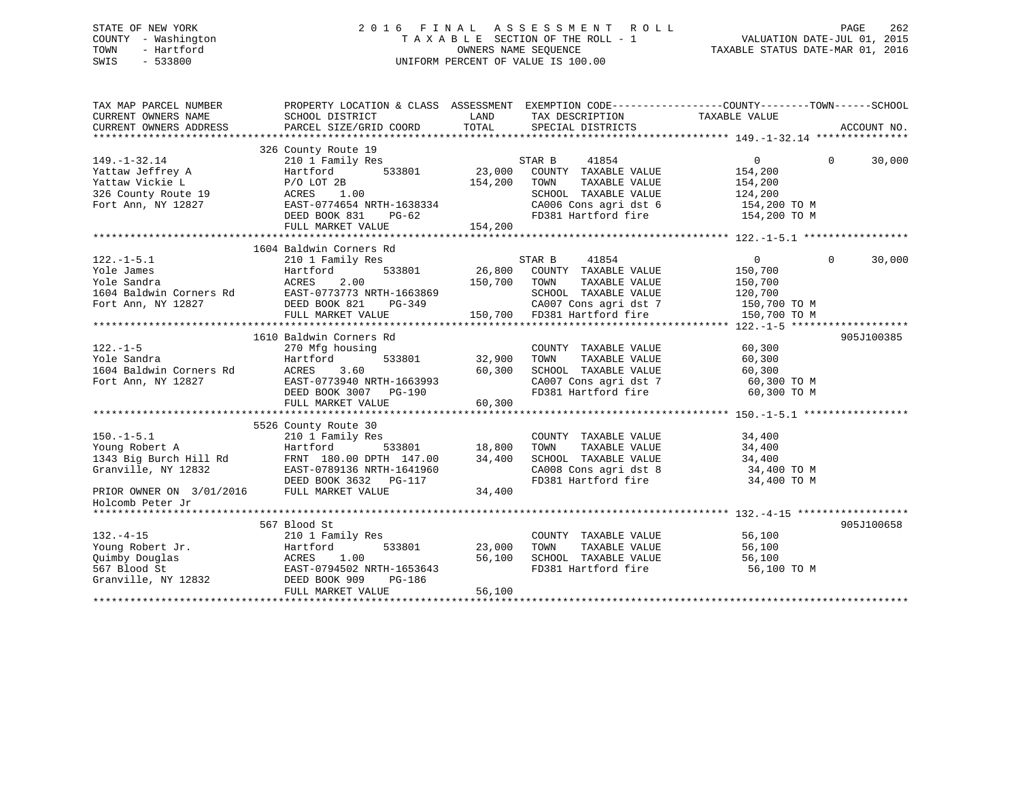# STATE OF NEW YORK 2 0 1 6 F I N A L A S S E S S M E N T R O L L PAGE 262 COUNTY - Washington T A X A B L E SECTION OF THE ROLL - 1 VALUATION DATE-JUL 01, 2015 TOWN - Hartford **TAXABLE STATUS DATE-MAR 01, 2016** OWNERS NAME SEQUENCE TAXABLE STATUS DATE-MAR 01, 2016 SWIS - 533800 UNIFORM PERCENT OF VALUE IS 100.00

| TAX MAP PARCEL NUMBER                                                                                                                                                                                                                              | PROPERTY LOCATION & CLASS ASSESSMENT EXEMPTION CODE---------------COUNTY-------TOWN------SCHOOL |                    |                                                                                                                                                                                                                                                                                                                                                                                                                                |                |                    |
|----------------------------------------------------------------------------------------------------------------------------------------------------------------------------------------------------------------------------------------------------|-------------------------------------------------------------------------------------------------|--------------------|--------------------------------------------------------------------------------------------------------------------------------------------------------------------------------------------------------------------------------------------------------------------------------------------------------------------------------------------------------------------------------------------------------------------------------|----------------|--------------------|
|                                                                                                                                                                                                                                                    |                                                                                                 |                    |                                                                                                                                                                                                                                                                                                                                                                                                                                |                |                    |
| $149. - 1 - 32.14$                                                                                                                                                                                                                                 | 326 County Route 19<br>210 1 Family Res                                                         |                    | STAR B<br>41854                                                                                                                                                                                                                                                                                                                                                                                                                | $\overline{0}$ | $\Omega$<br>30,000 |
|                                                                                                                                                                                                                                                    | 533801 23,000                                                                                   |                    | COUNTY TAXABLE VALUE                                                                                                                                                                                                                                                                                                                                                                                                           | 154,200        |                    |
|                                                                                                                                                                                                                                                    |                                                                                                 | 154,200            | TOWN<br>TAXABLE VALUE                                                                                                                                                                                                                                                                                                                                                                                                          | 154,200        |                    |
| Yattaw Jeffrey A Hartford<br>Yattaw Vickie L P/O LOT 2B<br>326 County Route 19 ACRES 1.00<br>Fort Ann, NY 12827 EAST-0774654 N                                                                                                                     |                                                                                                 |                    | SCHOOL TAXABLE VALUE                                                                                                                                                                                                                                                                                                                                                                                                           | 124,200        |                    |
|                                                                                                                                                                                                                                                    |                                                                                                 |                    | CA006 Cons agri dst 6 154,200 TO M<br>FD381 Hartford fire 154,200 TO M                                                                                                                                                                                                                                                                                                                                                         |                |                    |
|                                                                                                                                                                                                                                                    | EAST-0774654 NRTH-1638334<br>DEED BOOK 831 PG-62<br>FIILL MADFER WATER                          |                    |                                                                                                                                                                                                                                                                                                                                                                                                                                |                |                    |
|                                                                                                                                                                                                                                                    | FULL MARKET VALUE                                                                               | 154,200            |                                                                                                                                                                                                                                                                                                                                                                                                                                |                |                    |
|                                                                                                                                                                                                                                                    |                                                                                                 |                    |                                                                                                                                                                                                                                                                                                                                                                                                                                |                |                    |
|                                                                                                                                                                                                                                                    | 1604 Baldwin Corners Rd                                                                         |                    |                                                                                                                                                                                                                                                                                                                                                                                                                                |                |                    |
| $122.-1-5.1$                                                                                                                                                                                                                                       |                                                                                                 |                    |                                                                                                                                                                                                                                                                                                                                                                                                                                | $\Omega$       | 30,000             |
|                                                                                                                                                                                                                                                    |                                                                                                 |                    |                                                                                                                                                                                                                                                                                                                                                                                                                                |                |                    |
|                                                                                                                                                                                                                                                    |                                                                                                 |                    |                                                                                                                                                                                                                                                                                                                                                                                                                                |                |                    |
|                                                                                                                                                                                                                                                    |                                                                                                 |                    |                                                                                                                                                                                                                                                                                                                                                                                                                                |                |                    |
|                                                                                                                                                                                                                                                    |                                                                                                 |                    |                                                                                                                                                                                                                                                                                                                                                                                                                                |                |                    |
|                                                                                                                                                                                                                                                    |                                                                                                 |                    |                                                                                                                                                                                                                                                                                                                                                                                                                                |                |                    |
|                                                                                                                                                                                                                                                    |                                                                                                 |                    |                                                                                                                                                                                                                                                                                                                                                                                                                                |                |                    |
|                                                                                                                                                                                                                                                    | 1610 Baldwin Corners Rd                                                                         |                    |                                                                                                                                                                                                                                                                                                                                                                                                                                |                | 905J100385         |
|                                                                                                                                                                                                                                                    | 270 Mfg housing                                                                                 |                    | COUNTY TAXABLE VALUE<br>TOWN TAXABLE VALUE                                                                                                                                                                                                                                                                                                                                                                                     | 60,300         |                    |
|                                                                                                                                                                                                                                                    | Hartford                                                                                        |                    | TAXABLE VALUE                                                                                                                                                                                                                                                                                                                                                                                                                  | 60,300         |                    |
|                                                                                                                                                                                                                                                    |                                                                                                 |                    | SCHOOL TAXABLE VALUE                                                                                                                                                                                                                                                                                                                                                                                                           | 60,300         |                    |
| Fort Ann, NY 12827                                                                                                                                                                                                                                 |                                                                                                 |                    |                                                                                                                                                                                                                                                                                                                                                                                                                                |                |                    |
|                                                                                                                                                                                                                                                    | ACRES 3.60 50,300<br>EAST-0773940 NRTH-1663993 60,300<br>DEED BOOK 3007 PG-190                  |                    | CA007 Cons agri dst 7 60,300 TO M<br>FD381 Hartford fire 60,300 TO M                                                                                                                                                                                                                                                                                                                                                           |                |                    |
|                                                                                                                                                                                                                                                    | FULL MARKET VALUE                                                                               | 60,300             |                                                                                                                                                                                                                                                                                                                                                                                                                                |                |                    |
|                                                                                                                                                                                                                                                    |                                                                                                 |                    |                                                                                                                                                                                                                                                                                                                                                                                                                                |                |                    |
|                                                                                                                                                                                                                                                    | 5526 County Route 30                                                                            |                    |                                                                                                                                                                                                                                                                                                                                                                                                                                |                |                    |
|                                                                                                                                                                                                                                                    |                                                                                                 |                    |                                                                                                                                                                                                                                                                                                                                                                                                                                |                |                    |
|                                                                                                                                                                                                                                                    |                                                                                                 |                    |                                                                                                                                                                                                                                                                                                                                                                                                                                |                |                    |
|                                                                                                                                                                                                                                                    |                                                                                                 |                    | $\begin{tabular}{lllllllllll} \multicolumn{4}{c}{\textbf{COUNTY}} & \textbf{TAXABLE} & \textbf{VALUE} & \textbf{34,400} \\ \multicolumn{4}{c}{\textbf{TONN}} & \textbf{TAXABLE} & \textbf{VALUE} & \textbf{34,400} \\ \multicolumn{4}{c}{\textbf{SCHOOL}} & \textbf{TAXABLE} & \textbf{VALUE} & \textbf{34,400} \\ \multicolumn{4}{c}{\textbf{SCHOOL}} & \textbf{TAXABLE} & \textbf{VALUE} & \textbf{34,400} \\ \end{tabular}$ |                |                    |
|                                                                                                                                                                                                                                                    |                                                                                                 |                    |                                                                                                                                                                                                                                                                                                                                                                                                                                |                |                    |
| Granville, NY 12832 EAST-0789136 NRTH-1641960<br>DEED BOOK 3632 PG-117                                                                                                                                                                             |                                                                                                 |                    | $\begin{array}{llll}\n\text{CA008} & \text{Cons}\n\text{ a grid dist} & 8 & 34,400\n\text{ TO M} & \text{FD381} & \text{Hartford} & \text{fire} & 34,400\n\end{array} \text{TO M}$                                                                                                                                                                                                                                             |                |                    |
| PRIOR OWNER ON 3/01/2016 FULL MARKET VALUE                                                                                                                                                                                                         |                                                                                                 | 34,400             |                                                                                                                                                                                                                                                                                                                                                                                                                                |                |                    |
| Holcomb Peter Jr                                                                                                                                                                                                                                   |                                                                                                 |                    |                                                                                                                                                                                                                                                                                                                                                                                                                                |                |                    |
|                                                                                                                                                                                                                                                    |                                                                                                 |                    |                                                                                                                                                                                                                                                                                                                                                                                                                                |                |                    |
|                                                                                                                                                                                                                                                    | 567 Blood St                                                                                    |                    |                                                                                                                                                                                                                                                                                                                                                                                                                                |                | 905J100658         |
| $132. -4 - 15$                                                                                                                                                                                                                                     | 210 1 Family Res                                                                                |                    |                                                                                                                                                                                                                                                                                                                                                                                                                                | 56,100         |                    |
| 132.-4-15<br>Young Robert Jr.<br>Quimby Douglas<br>Quimby Douglas<br>56,100<br>567 Blood St<br>Granville, NY 12832<br>THE MENTER MATTER MATTER AGORS<br>THE MATTER MATTER MATTER AGORS<br>THE MATTER MATTER MATTER AGORS<br>THE MATTER MATTER MATT |                                                                                                 | 533801 23,000 TOWN | COUNTY TAXABLE VALUE<br>TOWN TAXABLE VALUE                                                                                                                                                                                                                                                                                                                                                                                     | 56,100         |                    |
|                                                                                                                                                                                                                                                    |                                                                                                 | 56,100             |                                                                                                                                                                                                                                                                                                                                                                                                                                |                |                    |
|                                                                                                                                                                                                                                                    |                                                                                                 |                    | SCHOOL TAXABLE VALUE 56,100<br>FD381 Hartford fire                                                                                                                                                                                                                                                                                                                                                                             | 56,100 TO M    |                    |
|                                                                                                                                                                                                                                                    |                                                                                                 |                    |                                                                                                                                                                                                                                                                                                                                                                                                                                |                |                    |
|                                                                                                                                                                                                                                                    | FULL MARKET VALUE                                                                               | 56,100             |                                                                                                                                                                                                                                                                                                                                                                                                                                |                |                    |
|                                                                                                                                                                                                                                                    |                                                                                                 |                    |                                                                                                                                                                                                                                                                                                                                                                                                                                |                |                    |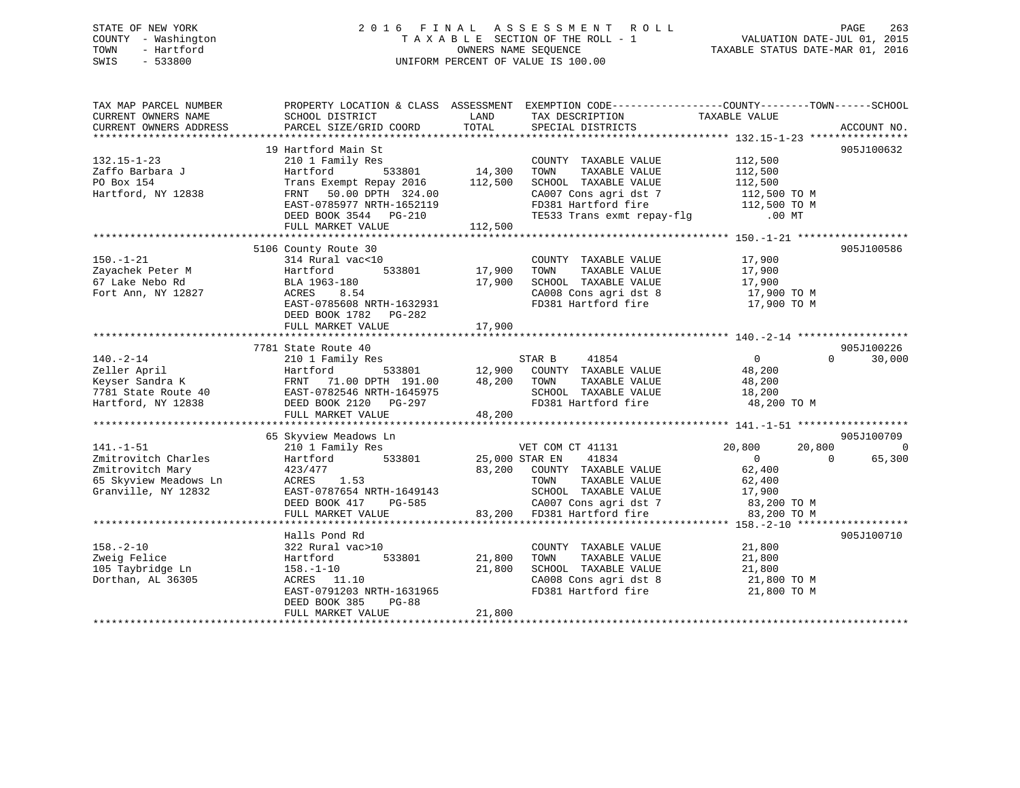# STATE OF NEW YORK 2 0 1 6 F I N A L A S S E S S M E N T R O L L PAGE 263 COUNTY - Washington T A X A B L E SECTION OF THE ROLL - 1 VALUATION DATE-JUL 01, 2015 TOWN - Hartford **TAXABLE STATUS DATE-MAR 01, 2016** OWNERS NAME SEQUENCE TAXABLE STATUS DATE-MAR 01, 2016 SWIS - 533800 UNIFORM PERCENT OF VALUE IS 100.00

| TAX MAP PARCEL NUMBER<br>CURRENT OWNERS NAME<br>CURRENT OWNERS ADDRESS                                                                                                                           | SCHOOL DISTRICT<br>PARCEL SIZE/GRID COORD                                                                                                                                                                                                               | LAND<br>TOTAL                     | PROPERTY LOCATION & CLASS ASSESSMENT EXEMPTION CODE---------------COUNTY-------TOWN-----SCHOOL<br>TAX DESCRIPTION<br>SPECIAL DISTRICTS                                       | TAXABLE VALUE                                                                               | ACCOUNT NO.                            |
|--------------------------------------------------------------------------------------------------------------------------------------------------------------------------------------------------|---------------------------------------------------------------------------------------------------------------------------------------------------------------------------------------------------------------------------------------------------------|-----------------------------------|------------------------------------------------------------------------------------------------------------------------------------------------------------------------------|---------------------------------------------------------------------------------------------|----------------------------------------|
| $132.15 - 1 - 23$<br>Zaffo Barbara J<br>PO Box 154<br>Hartford, NY 12838                                                                                                                         | 19 Hartford Main St<br>210 1 Family Res<br>Hartford<br>Trans Exempt Repay 2016 112,500<br>50.00 DPTH 324.00<br>FRNT<br>EAST-0785977 NRTH-1652119<br>DEED BOOK 3544 PG-210<br>FULL MARKET VALUE                                                          | -<br>533801 14,300<br>112,500     | COUNTY TAXABLE VALUE<br>TOWN<br>TAXABLE VALUE<br>SCHOOL TAXABLE VALUE<br>CA007 Cons agri dst 7<br>FD381 Hartford fire 112,500 TO M<br>TE533 Trans exmt repay-flg .00 MT      | 112,500<br>112,500<br>112,500<br>112,500 TO M                                               | 905J100632                             |
| $150. - 1 - 21$<br>Zayachek Peter M<br>67 Lake Nebo Rd<br>Fort Ann, NY 12827                                                                                                                     | 5106 County Route 30<br>314 Rural vac<10<br>Hartford<br>BLA 1963-180<br>ACRES<br>8.54<br>EAST-0785608 NRTH-1632931<br>DEED BOOK 1782 PG-282<br>FULL MARKET VALUE                                                                                        | 533801 17,900<br>17,900<br>17,900 | COUNTY TAXABLE VALUE<br>TAXABLE VALUE<br>TOWN<br>SCHOOL TAXABLE VALUE<br>SCHOOL TAXABLE VALUE 17,900<br>CA008 Cons agri dst 8 17,900 TO M<br>FD381 Hartford fire 17,900 TO M | 17,900<br>17,900<br>17,900                                                                  | 905J100586                             |
| $140. - 2 - 14$<br>Zeller April<br>Example 191.00 PTH 191.00<br>EXAST-0782546 NRTH-1645975<br>Hartford, NY 12838<br>EXAST-0782546 NRTH-1645975<br>DEED BOOK 2120 PG-297<br>DEED BOOK 2120 PG-297 | 7781 State Route 40<br>210 1 Family Res<br>Hartford<br>FRNT 71.00 DPTH 191.00 48,200 TOWN<br>FULL MARKET VALUE                                                                                                                                          | 48,200                            | TAXABLE VALUE<br>SCHOOL TAXABLE VALUE<br>FD381 Hartford fire 48,200 TO M                                                                                                     | $\overline{0}$<br>$\Omega$<br>48,200<br>48,200<br>18,200                                    | 905J100226<br>30,000                   |
| $141. - 1 - 51$<br>Zmitrovitch Charles<br>Zmitrovitch Mary<br>65 Skyview Meadows Ln<br>Granville, NY 12832                                                                                       | 65 Skyview Meadows Ln<br>210 1 Family Res<br>533801 25,000 STAR EN<br>Hartford<br>423/477<br>ACRES 1.53<br>EAST-0787654 NRTH-1649143 SCHOOL TAXABLE VALUE<br>DEED BOOK 417 PG-585 (2007 Cons agri dst 7<br>FULL MARKET VALUE 83,200 FD381 Hartford fire | 83,200                            | VET COM CT 41131<br>41834<br>COUNTY TAXABLE VALUE<br>TAAADDD<br>TAXABLE VALUE<br>TAADDD<br>CA007 Cons agri dst 7 83,200 TO M                                                 | 20,800<br>20,800<br>$\Omega$<br>$\overline{0}$<br>62,400<br>62,400<br>17,900<br>83,200 TO M | 905J100709<br>$\overline{0}$<br>65,300 |
| $158. - 2 - 10$<br>Zweig Felice<br>105 Taybridge Ln<br>Dorthan, AL 36305                                                                                                                         | Halls Pond Rd<br>322 Rural vac>10<br>Hartford<br>533801<br>$158. - 1 - 10$<br>ACRES 11.10<br>EAST-0791203 NRTH-1631965<br>DEED BOOK 385<br>PG-88<br>FULL MARKET VALUE                                                                                   | 21,800<br>21,800<br>21,800        | COUNTY TAXABLE VALUE<br>TOWN<br>TAXABLE VALUE<br>SCHOOL TAXABLE VALUE<br>CA008 Cons agri dst 8<br>FD381 Hartford fire                                                        | 21,800<br>21,800<br>21,800<br>21,800 TO M<br>21,800 TO M                                    | 905J100710                             |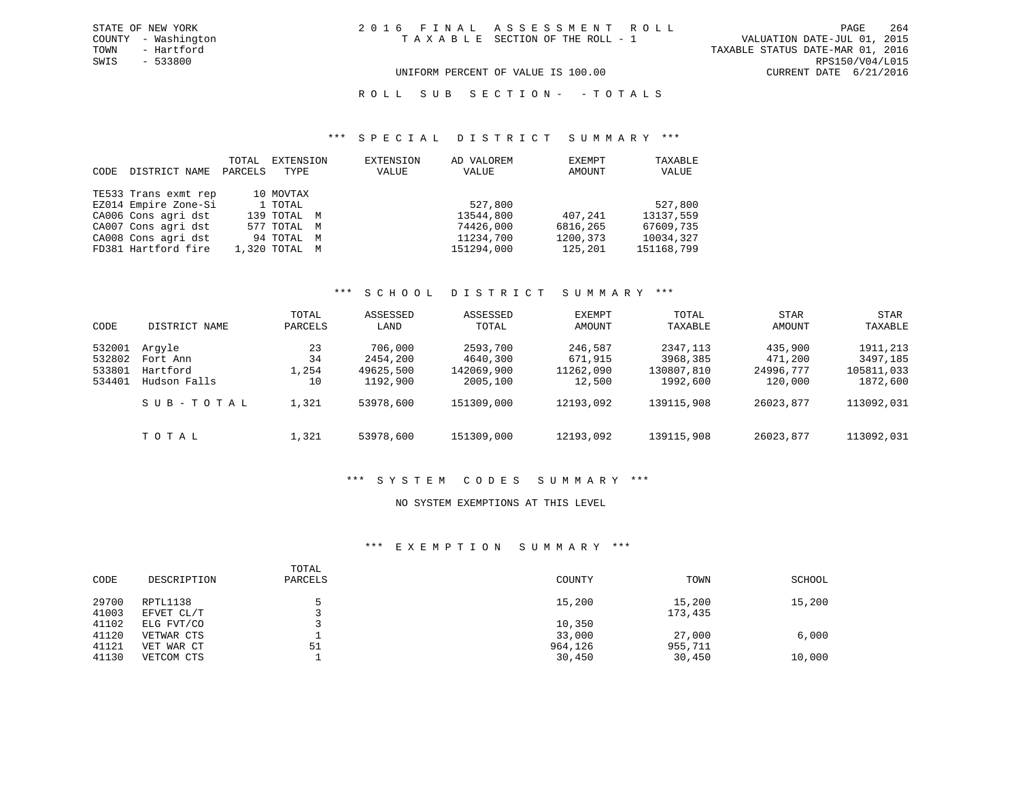TOWN - Hartford TAXABLE STATUS DATE-MAR 01, 2016 SWIS - 533800 RPS150/V04/L015 UNIFORM PERCENT OF VALUE IS 100.00 CURRENT DATE 6/21/2016

ROLL SUB SECTION - - TOTALS

#### \*\*\* S P E C I A L D I S T R I C T S U M M A R Y \*\*\*

| CODE | DISTRICT NAME        | TOTAL<br>PARCELS | EXTENSION<br>TYPE | EXTENSION<br>VALUE | AD VALOREM<br>VALUE | EXEMPT<br>AMOUNT | TAXABLE<br>VALUE |
|------|----------------------|------------------|-------------------|--------------------|---------------------|------------------|------------------|
|      | TE533 Trans exmt rep |                  | 10 MOVTAX         |                    |                     |                  |                  |
|      | EZ014 Empire Zone-Si |                  | 1 TOTAL           |                    | 527,800             |                  | 527,800          |
|      | CA006 Cons agri dst  |                  | 139 TOTAL M       |                    | 13544,800           | 407,241          | 13137,559        |
|      | CA007 Cons agri dst  |                  | 577 TOTAL M       |                    | 74426,000           | 6816,265         | 67609,735        |
|      | CA008 Cons agri dst  |                  | 94 TOTAL M        |                    | 11234,700           | 1200,373         | 10034,327        |
|      | FD381 Hartford fire  |                  | 1,320 TOTAL M     |                    | 151294,000          | 125,201          | 151168,799       |

## \*\*\* S C H O O L D I S T R I C T S U M M A R Y \*\*\*

| CODE                                 | DISTRICT NAME                                  | TOTAL<br>PARCELS        | ASSESSED<br>LAND                             | ASSESSED<br>TOTAL                              | EXEMPT<br>AMOUNT                          | TOTAL<br>TAXABLE                                | STAR<br>AMOUNT                             | STAR<br>TAXABLE                                |
|--------------------------------------|------------------------------------------------|-------------------------|----------------------------------------------|------------------------------------------------|-------------------------------------------|-------------------------------------------------|--------------------------------------------|------------------------------------------------|
| 532001<br>532802<br>533801<br>534401 | Arqyle<br>Fort Ann<br>Hartford<br>Hudson Falls | 23<br>34<br>1,254<br>10 | 706,000<br>2454,200<br>49625,500<br>1192,900 | 2593,700<br>4640,300<br>142069,900<br>2005,100 | 246,587<br>671,915<br>11262,090<br>12,500 | 2347, 113<br>3968,385<br>130807,810<br>1992,600 | 435,900<br>471,200<br>24996,777<br>120,000 | 1911,213<br>3497,185<br>105811,033<br>1872,600 |
|                                      | SUB-TOTAL                                      | 1,321                   | 53978,600                                    | 151309,000                                     | 12193,092                                 | 139115,908                                      | 26023,877                                  | 113092,031                                     |
|                                      | TOTAL                                          | 1,321                   | 53978,600                                    | 151309,000                                     | 12193,092                                 | 139115,908                                      | 26023,877                                  | 113092,031                                     |

#### \*\*\* S Y S T E M C O D E S S U M M A R Y \*\*\*

### NO SYSTEM EXEMPTIONS AT THIS LEVEL

## \*\*\* E X E M P T I O N S U M M A R Y \*\*\*

| CODE           | DESCRIPTION              | TOTAL<br>PARCELS | COUNTY            | TOWN              | SCHOOL |
|----------------|--------------------------|------------------|-------------------|-------------------|--------|
| 29700<br>41003 | RPTL1138<br>EFVET CL/T   |                  | 15,200            | 15,200<br>173,435 | 15,200 |
| 41102          | ELG FVT/CO               |                  | 10,350            |                   |        |
| 41120<br>41121 | VETWAR CTS<br>VET WAR CT | 51               | 33,000<br>964,126 | 27,000<br>955,711 | 6,000  |
| 41130          | VETCOM CTS               |                  | 30,450            | 30,450            | 10,000 |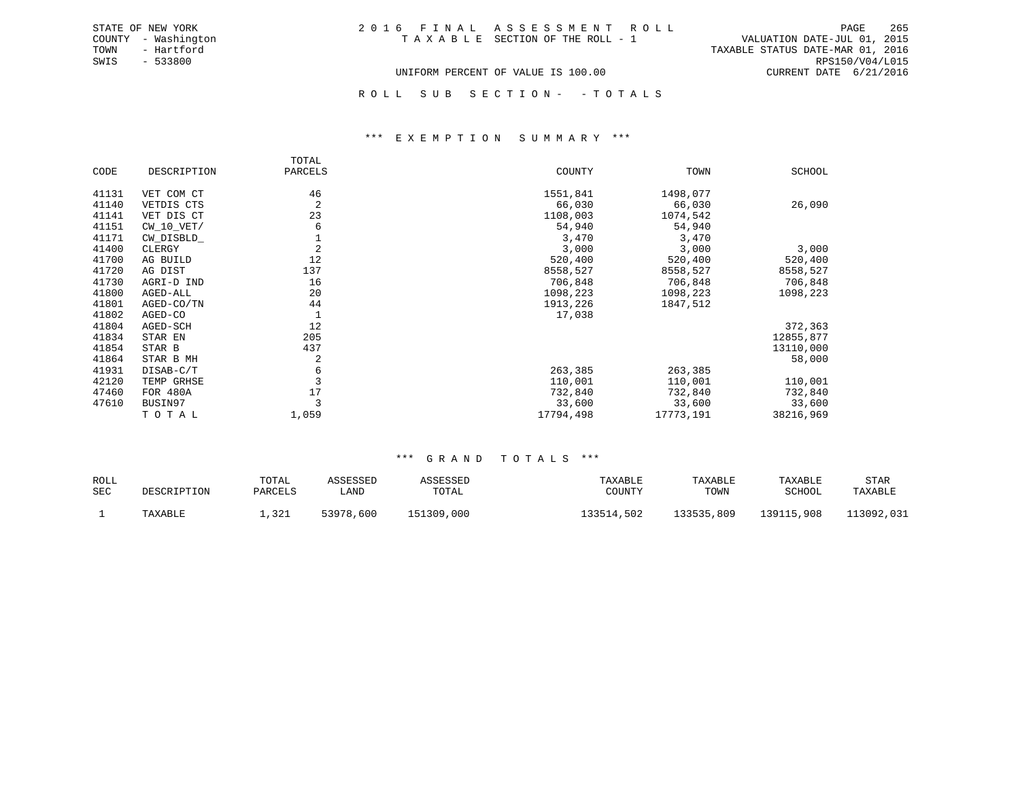|  | 2016 FINAL ASSESSMENT ROLL         |                                  | PAGE                        | -265 |
|--|------------------------------------|----------------------------------|-----------------------------|------|
|  | TAXABLE SECTION OF THE ROLL - 1    |                                  | VALUATION DATE-JUL 01, 2015 |      |
|  |                                    | TAXABLE STATUS DATE-MAR 01, 2016 |                             |      |
|  |                                    |                                  | RPS150/V04/L015             |      |
|  | UNIFORM PERCENT OF VALUE IS 100.00 |                                  | CURRENT DATE 6/21/2016      |      |

STATE OF NEW YORK COUNTY - Washington TOWN - Hartford SWIS - 533800

# ROLL SUB SECTION - - TOTALS

#### \*\*\* E X E M P T I O N S U M M A R Y \*\*\*

|       |              | TOTAL          |           |           |           |
|-------|--------------|----------------|-----------|-----------|-----------|
| CODE  | DESCRIPTION  | PARCELS        | COUNTY    | TOWN      | SCHOOL    |
| 41131 | VET COM CT   | 46             | 1551,841  | 1498,077  |           |
| 41140 | VETDIS CTS   | $\overline{2}$ | 66,030    | 66,030    | 26,090    |
| 41141 | VET DIS CT   | 23             | 1108,003  | 1074,542  |           |
| 41151 | $CW_10_VET/$ | 6              | 54,940    | 54,940    |           |
| 41171 | CW_DISBLD_   |                | 3,470     | 3,470     |           |
| 41400 | CLERGY       | 2              | 3,000     | 3,000     | 3,000     |
| 41700 | AG BUILD     | 12             | 520,400   | 520,400   | 520,400   |
| 41720 | AG DIST      | 137            | 8558,527  | 8558,527  | 8558,527  |
| 41730 | AGRI-D IND   | 16             | 706,848   | 706,848   | 706,848   |
| 41800 | AGED-ALL     | 20             | 1098,223  | 1098,223  | 1098,223  |
| 41801 | AGED-CO/TN   | 44             | 1913,226  | 1847,512  |           |
| 41802 | AGED-CO      |                | 17,038    |           |           |
| 41804 | AGED-SCH     | 12             |           |           | 372,363   |
| 41834 | STAR EN      | 205            |           |           | 12855,877 |
| 41854 | STAR B       | 437            |           |           | 13110,000 |
| 41864 | STAR B MH    | 2              |           |           | 58,000    |
| 41931 | DISAB-C/T    | 6              | 263,385   | 263,385   |           |
| 42120 | TEMP GRHSE   |                | 110,001   | 110,001   | 110,001   |
| 47460 | FOR 480A     | 17             | 732,840   | 732,840   | 732,840   |
| 47610 | BUSIN97      | 3              | 33,600    | 33,600    | 33,600    |
|       | TOTAL        | 1,059          | 17794,498 | 17773,191 | 38216,969 |

| ROLL       |             | TOTAL   | ASSESSED  | ASSESSED   | TAXABLE    | TAXABLE    | TAXABLE    | STAR       |
|------------|-------------|---------|-----------|------------|------------|------------|------------|------------|
| <b>SEC</b> | DESCRIPTION | PARCELS | LAND      | TOTAL      | COUNTY     | TOWN       | SCHOOL     | TAXABLE    |
|            | TAXABLE     | 1,321   | 53978,600 | 151309,000 | 133514,502 | 133535,809 | 139115,908 | 113092,031 |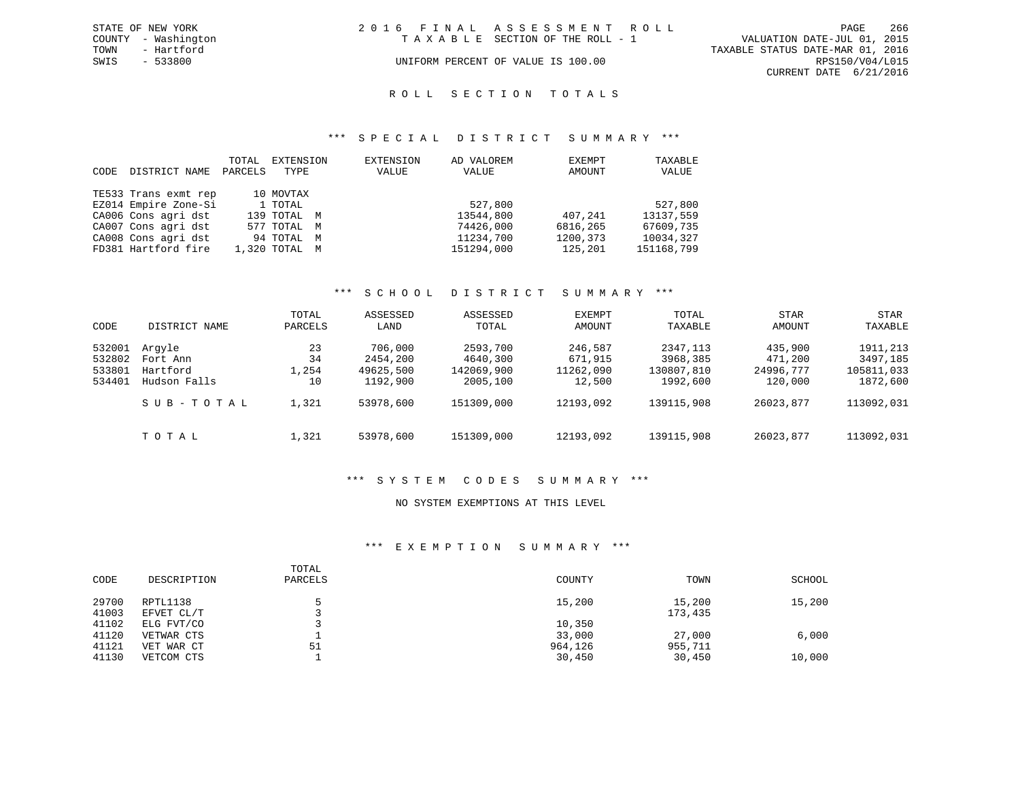|      | STATE OF NEW YORK   | 2016 FINAL ASSESSMENT ROLL |                                    |                                  |                        | PAGE | -266 |
|------|---------------------|----------------------------|------------------------------------|----------------------------------|------------------------|------|------|
|      | COUNTY - Washington |                            | TAXABLE SECTION OF THE ROLL - 1    | VALUATION DATE-JUL 01, 2015      |                        |      |      |
| TOWN | - Hartford          |                            |                                    | TAXABLE STATUS DATE-MAR 01, 2016 |                        |      |      |
| SWIS | - 533800            |                            | UNIFORM PERCENT OF VALUE IS 100.00 |                                  | RPS150/V04/L015        |      |      |
|      |                     |                            |                                    |                                  | CURRENT DATE 6/21/2016 |      |      |

# ROLL SECTION TOTALS

#### \*\*\* S P E C I A L D I S T R I C T S U M M A R Y \*\*\*

| CODE | DISTRICT NAME        | TOTAL<br>PARCELS | EXTENSION<br>TYPE | EXTENSION<br>VALUE | AD VALOREM<br>VALUE | EXEMPT<br>AMOUNT | TAXABLE<br>VALUE |
|------|----------------------|------------------|-------------------|--------------------|---------------------|------------------|------------------|
|      | TE533 Trans exmt rep |                  | 10 MOVTAX         |                    |                     |                  |                  |
|      | EZ014 Empire Zone-Si |                  | 1 TOTAL           |                    | 527,800             |                  | 527,800          |
|      | CA006 Cons agri dst  |                  | 139 TOTAL M       |                    | 13544,800           | 407,241          | 13137,559        |
|      | CA007 Cons agri dst  |                  | 577 TOTAL M       |                    | 74426,000           | 6816,265         | 67609,735        |
|      | CA008 Cons agri dst  |                  | 94 TOTAL M        |                    | 11234,700           | 1200,373         | 10034,327        |
|      | FD381 Hartford fire  |                  | 1,320 TOTAL M     |                    | 151294,000          | 125,201          | 151168,799       |

### \*\*\* S C H O O L D I S T R I C T S U M M A R Y \*\*\*

| CODE                                 | DISTRICT NAME                                  | TOTAL<br>PARCELS        | ASSESSED<br>LAND                             | ASSESSED<br>TOTAL                              | EXEMPT<br>AMOUNT                          | TOTAL<br>TAXABLE                                | STAR<br>AMOUNT                             | STAR<br>TAXABLE                                 |
|--------------------------------------|------------------------------------------------|-------------------------|----------------------------------------------|------------------------------------------------|-------------------------------------------|-------------------------------------------------|--------------------------------------------|-------------------------------------------------|
| 532001<br>532802<br>533801<br>534401 | Arqyle<br>Fort Ann<br>Hartford<br>Hudson Falls | 23<br>34<br>1,254<br>10 | 706,000<br>2454,200<br>49625,500<br>1192,900 | 2593,700<br>4640,300<br>142069,900<br>2005,100 | 246,587<br>671,915<br>11262,090<br>12,500 | 2347, 113<br>3968,385<br>130807,810<br>1992,600 | 435,900<br>471,200<br>24996,777<br>120,000 | 1911, 213<br>3497,185<br>105811,033<br>1872,600 |
|                                      | SUB-TOTAL                                      | 1,321                   | 53978,600                                    | 151309,000                                     | 12193,092                                 | 139115,908                                      | 26023,877                                  | 113092,031                                      |
|                                      | TOTAL                                          | 1,321                   | 53978,600                                    | 151309,000                                     | 12193,092                                 | 139115,908                                      | 26023,877                                  | 113092,031                                      |

#### \*\*\* S Y S T E M C O D E S S U M M A R Y \*\*\*

#### NO SYSTEM EXEMPTIONS AT THIS LEVEL

#### \*\*\* E X E M P T I O N S U M M A R Y \*\*\*

| CODE           | DESCRIPTION              | TOTAL<br>PARCELS | COUNTY            | TOWN              | SCHOOL |
|----------------|--------------------------|------------------|-------------------|-------------------|--------|
| 29700<br>41003 | RPTL1138<br>EFVET CL/T   |                  | 15,200            | 15,200<br>173,435 | 15,200 |
| 41102          | ELG FVT/CO               |                  | 10,350            |                   |        |
| 41120<br>41121 | VETWAR CTS<br>VET WAR CT | 51               | 33,000<br>964,126 | 27,000<br>955,711 | 6,000  |
| 41130          | VETCOM CTS               |                  | 30,450            | 30,450            | 10,000 |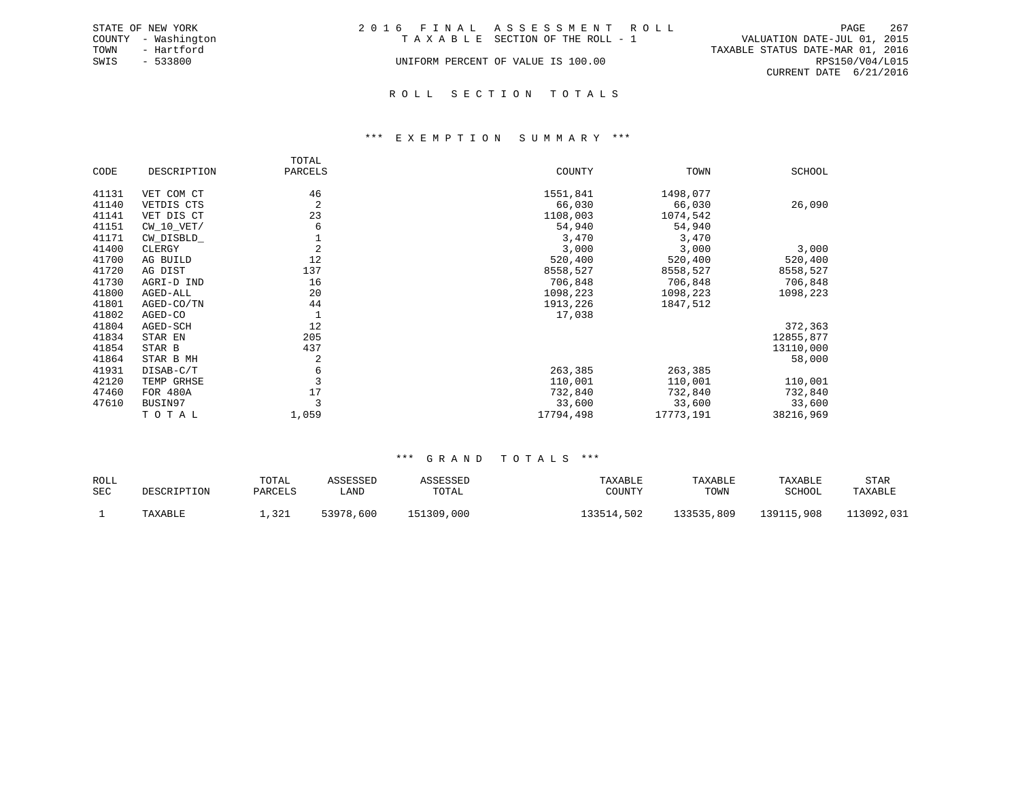|      | STATE OF NEW YORK   | 2016 FINAL ASSESSMENT ROLL         | PAGE                             | 267 |
|------|---------------------|------------------------------------|----------------------------------|-----|
|      | COUNTY - Washington | TAXABLE SECTION OF THE ROLL - 1    | VALUATION DATE-JUL 01, 2015      |     |
| TOWN | - Hartford          |                                    | TAXABLE STATUS DATE-MAR 01, 2016 |     |
| SWIS | - 533800            | UNIFORM PERCENT OF VALUE IS 100.00 | RPS150/V04/L015                  |     |
|      |                     |                                    | CURRENT DATE 6/21/2016           |     |

R O L L S E C T I O N T O T A L S

#### \*\*\* E X E M P T I O N S U M M A R Y \*\*\*

|       |              | TOTAL          |           |           |               |
|-------|--------------|----------------|-----------|-----------|---------------|
| CODE  | DESCRIPTION  | PARCELS        | COUNTY    | TOWN      | <b>SCHOOL</b> |
| 41131 | VET COM CT   | 46             | 1551,841  | 1498,077  |               |
| 41140 | VETDIS CTS   | 2              | 66,030    | 66,030    | 26,090        |
| 41141 | VET DIS CT   | 23             | 1108,003  | 1074,542  |               |
| 41151 | $CW_10_VET/$ | 6              | 54,940    | 54,940    |               |
| 41171 | CW DISBLD    |                | 3,470     | 3,470     |               |
| 41400 | CLERGY       | $\overline{2}$ | 3,000     | 3,000     | 3,000         |
| 41700 | AG BUILD     | 12             | 520,400   | 520,400   | 520,400       |
| 41720 | AG DIST      | 137            | 8558,527  | 8558,527  | 8558,527      |
| 41730 | AGRI-D IND   | 16             | 706,848   | 706,848   | 706,848       |
| 41800 | AGED-ALL     | 20             | 1098,223  | 1098,223  | 1098,223      |
| 41801 | AGED-CO/TN   | 44             | 1913,226  | 1847,512  |               |
| 41802 | AGED-CO      |                | 17,038    |           |               |
| 41804 | AGED-SCH     | 12             |           |           | 372,363       |
| 41834 | STAR EN      | 205            |           |           | 12855,877     |
| 41854 | STAR B       | 437            |           |           | 13110,000     |
| 41864 | STAR B MH    | 2              |           |           | 58,000        |
| 41931 | DISAB-C/T    | 6              | 263,385   | 263,385   |               |
| 42120 | TEMP GRHSE   |                | 110,001   | 110,001   | 110,001       |
| 47460 | FOR 480A     | 17             | 732,840   | 732,840   | 732,840       |
| 47610 | BUSIN97      |                | 33,600    | 33,600    | 33,600        |
|       | TOTAL        | 1,059          | 17794,498 | 17773,191 | 38216,969     |

| ROLL |             | TOTAL   | <i><b>\SSESSED</b></i> | ASSESSED   | TAXABLE    | TAXABLE    | TAXABLE    | STAR       |
|------|-------------|---------|------------------------|------------|------------|------------|------------|------------|
| SEC  | DESCRIPTION | PARCELS | LAND                   | TOTAL      | COUNTY     | TOWN       | SCHOOL     | TAXABLE    |
|      | TAXABLE     | 1,321   | 53978,600              | 151309,000 | 133514,502 | 133535,809 | 139115,908 | 113092,031 |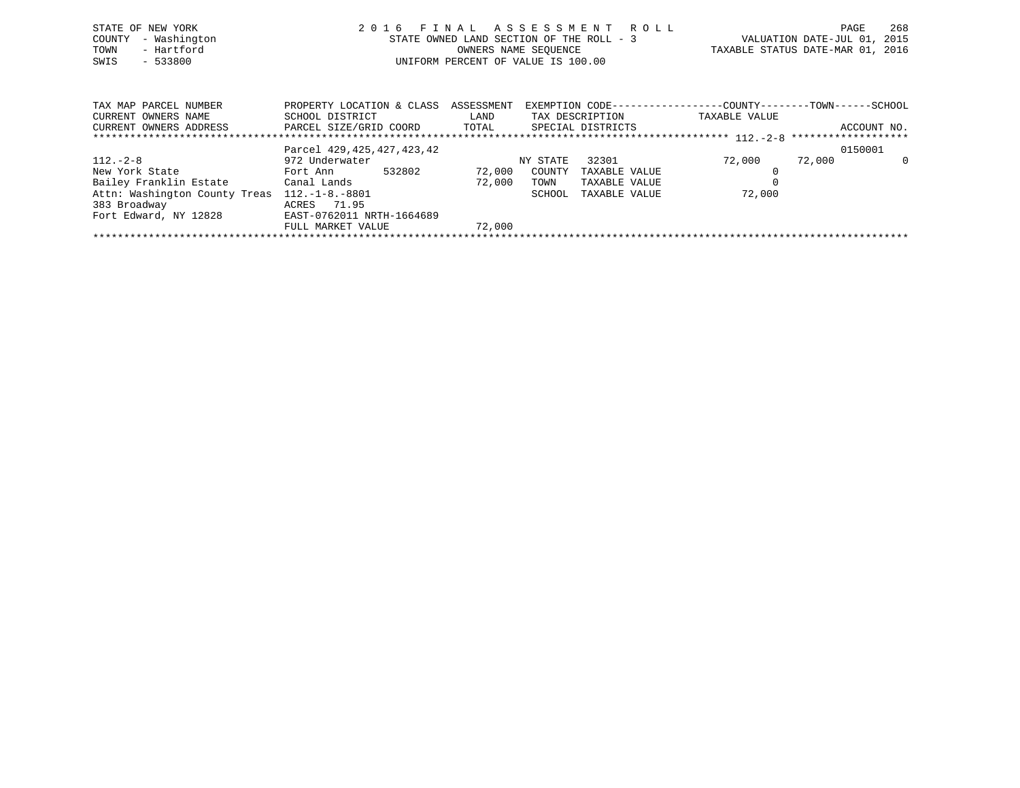| STATE OF NEW YORK<br>- Washington<br>COUNTY<br>- Hartford<br>TOWN<br>$-533800$<br>SWIS                                            | 2016 FINAL ASSESSMENT ROLL                                                                                | STATE OWNED LAND SECTION OF THE ROLL - 3<br>OWNERS NAME SEQUENCE<br>UNIFORM PERCENT OF VALUE IS 100.00 |                                      |                                                          | TAXABLE STATUS DATE-MAR 01, 2016                                              | PAGE<br>VALUATION DATE-JUL 01, 2015 | 268 |
|-----------------------------------------------------------------------------------------------------------------------------------|-----------------------------------------------------------------------------------------------------------|--------------------------------------------------------------------------------------------------------|--------------------------------------|----------------------------------------------------------|-------------------------------------------------------------------------------|-------------------------------------|-----|
| TAX MAP PARCEL NUMBER<br>CURRENT OWNERS NAME<br>CURRENT OWNERS ADDRESS                                                            | PROPERTY LOCATION & CLASS ASSESSMENT<br>SCHOOL DISTRICT<br>PARCEL SIZE/GRID COORD TOTAL SPECIAL DISTRICTS | LAND                                                                                                   |                                      | TAX DESCRIPTION                                          | EXEMPTION CODE-----------------COUNTY-------TOWN------SCHOOL<br>TAXABLE VALUE | ACCOUNT NO.                         |     |
| $112. - 2 - 8$<br>New York State<br>Bailey Franklin Estate            Canal Lands<br>Attn: Washington County Treas 112.-1-8.-8801 | Parcel 429, 425, 427, 423, 42<br>972 Underwater<br>532802<br>Fort Ann                                     | 72,000<br>72,000                                                                                       | NY STATE<br>COUNTY<br>TOWN<br>SCHOOL | 32301<br>TAXABLE VALUE<br>TAXABLE VALUE<br>TAXABLE VALUE | 72,000<br>72,000                                                              | 0150001<br>72,000                   | - 0 |

\*\*\*\*\*\*\*\*\*\*\*\*\*\*\*\*\*\*\*\*\*\*\*\*\*\*\*\*\*\*\*\*\*\*\*\*\*\*\*\*\*\*\*\*\*\*\*\*\*\*\*\*\*\*\*\*\*\*\*\*\*\*\*\*\*\*\*\*\*\*\*\*\*\*\*\*\*\*\*\*\*\*\*\*\*\*\*\*\*\*\*\*\*\*\*\*\*\*\*\*\*\*\*\*\*\*\*\*\*\*\*\*\*\*\*\*\*\*\*\*\*\*\*\*\*\*\*\*\*\*\*\*

383 Broadway ACRES 71.95

Fort Edward, NY 12828 EAST-0762011 NRTH-1664689

FULL MARKET VALUE 72,000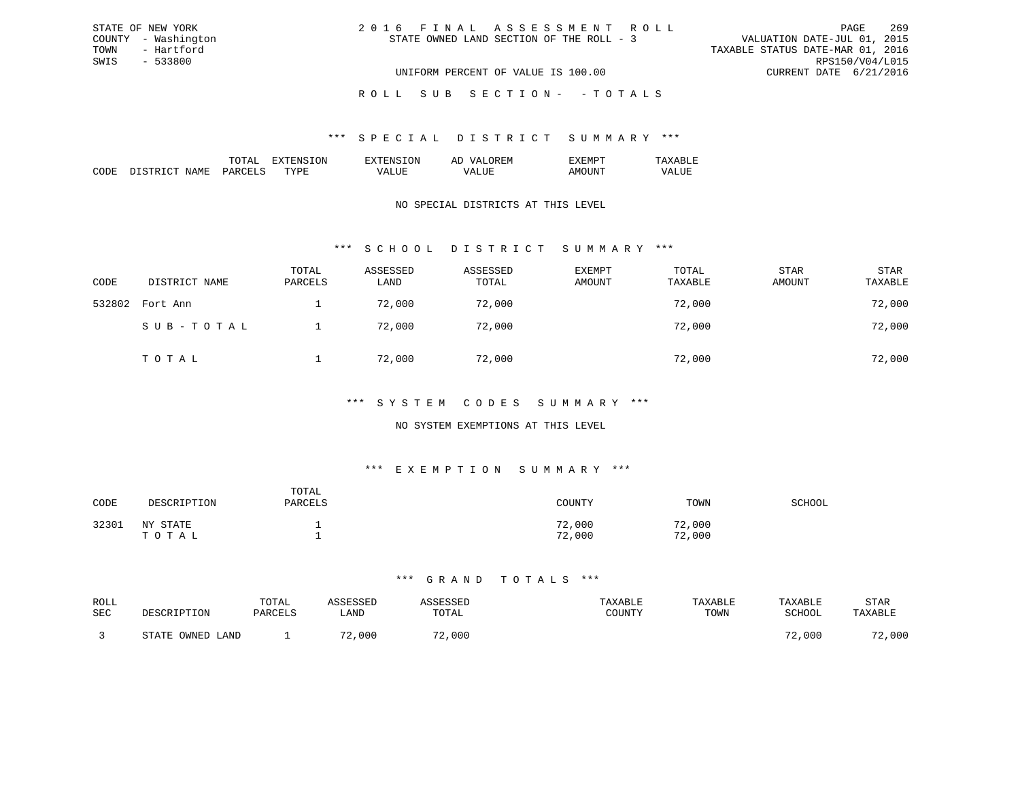| 2016 FINAL ASSESSMENT ROLL               | 269<br>PAGE                      |
|------------------------------------------|----------------------------------|
| STATE OWNED LAND SECTION OF THE ROLL - 3 | VALUATION DATE-JUL 01, 2015      |
|                                          | TAXABLE STATUS DATE-MAR 01, 2016 |
|                                          | RPS150/V04/L015                  |
| UNIFORM PERCENT OF VALUE IS 100.00       | CURRENT DATE 6/21/2016           |

ROLL SUB SECTION - - TOTALS

#### \*\*\* S P E C I A L D I S T R I C T S U M M A R Y \*\*\*

|                    |    | זור<br>вv. | $\cdots$<br>-- |  |
|--------------------|----|------------|----------------|--|
| חר<br>,,,,,,<br>ľМ | m. |            |                |  |

STATE OF NEW YORK COUNTY - Washington TOWN - Hartford SWIS - 533800

### NO SPECIAL DISTRICTS AT THIS LEVEL

### \*\*\* S C H O O L D I S T R I C T S U M M A R Y \*\*\*

| CODE   | DISTRICT NAME | TOTAL<br>PARCELS | ASSESSED<br>LAND | ASSESSED<br>TOTAL | <b>EXEMPT</b><br>AMOUNT | TOTAL<br>TAXABLE | <b>STAR</b><br>AMOUNT | STAR<br>TAXABLE |
|--------|---------------|------------------|------------------|-------------------|-------------------------|------------------|-----------------------|-----------------|
| 532802 | Fort Ann      |                  | 72,000           | 72,000            |                         | 72,000           |                       | 72,000          |
|        | SUB-TOTAL     |                  | 72,000           | 72,000            |                         | 72,000           |                       | 72,000          |
|        | TOTAL         |                  | 72,000           | 72,000            |                         | 72,000           |                       | 72,000          |

### \*\*\* S Y S T E M C O D E S S U M M A R Y \*\*\*

### NO SYSTEM EXEMPTIONS AT THIS LEVEL

### \*\*\* E X E M P T I O N S U M M A R Y \*\*\*

| CODE  | DESCRIPTION       | TOTAL<br>PARCELS | COUNTY           | TOWN             | SCHOOL |
|-------|-------------------|------------------|------------------|------------------|--------|
| 32301 | NY STATE<br>TOTAL |                  | 72,000<br>72,000 | 72,000<br>72,000 |        |

| ROLL |                      | TOTAL   |            |        | TAXABLE       | TAXABLE | TAXABLE | STAR    |
|------|----------------------|---------|------------|--------|---------------|---------|---------|---------|
| SEC  | DESCRIPTION          | PARCELS | LAND       | TOTAL  | <b>TOUNTY</b> | TOWN    | SCHOOL  | TAXABLE |
|      |                      |         |            |        |               |         |         |         |
|      | OWNED LAND<br>תימידי |         | ,000<br>70 | 72,000 |               |         | 72,000  | 72,000  |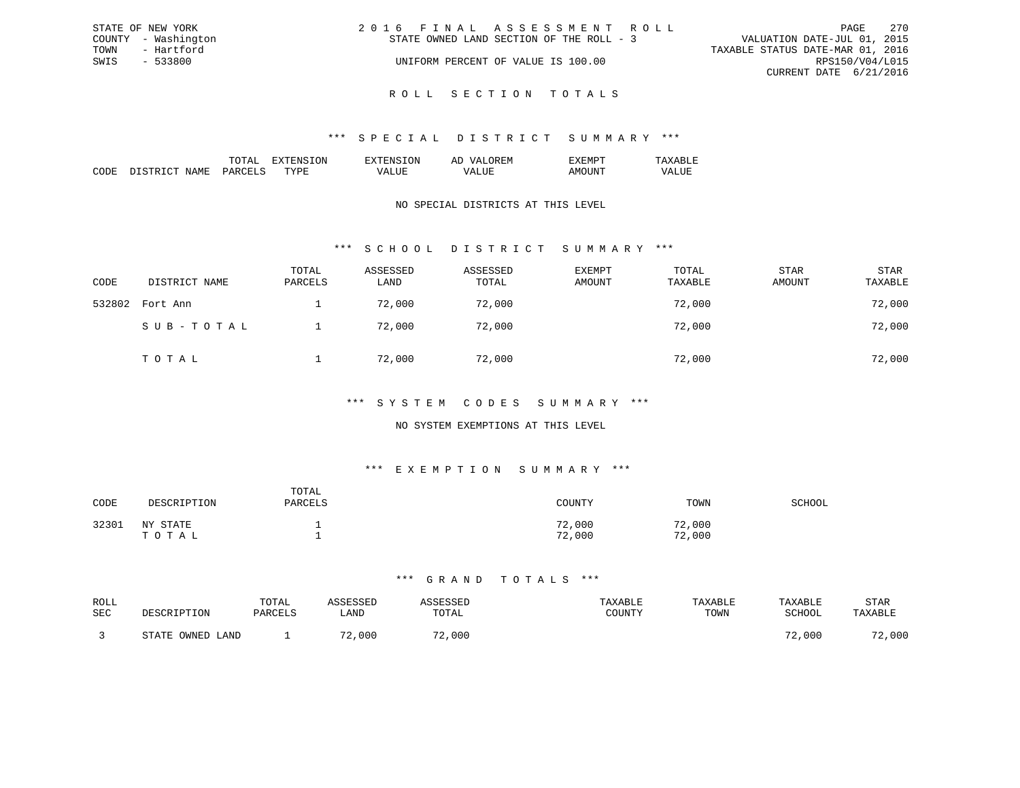| STATE OF NEW YORK   | 2016 FINAL ASSESSMENT ROLL               | - 270<br>PAGE                    |
|---------------------|------------------------------------------|----------------------------------|
| COUNTY - Washington | STATE OWNED LAND SECTION OF THE ROLL - 3 | VALUATION DATE-JUL 01, 2015      |
| TOWN<br>- Hartford  |                                          | TAXABLE STATUS DATE-MAR 01, 2016 |
| SWIS<br>- 533800    | UNIFORM PERCENT OF VALUE IS 100.00       | RPS150/V04/L015                  |
|                     |                                          | CURRENT DATE 6/21/2016           |
|                     |                                          |                                  |

R O L L S E C T I O N T O T A L S

#### \*\*\* S P E C I A L D I S T R I C T S U M M A R Y \*\*\*

|                                                                                                                              |                      | $\cdots$ | $\cdots$ | . IVI<br>-- |  |
|------------------------------------------------------------------------------------------------------------------------------|----------------------|----------|----------|-------------|--|
| ┓<br>IVI.<br>the contract of the contract of the contract of the contract of the contract of the contract of the contract of | $\sim$ $\sim$ $\sim$ | . пт     |          |             |  |

### NO SPECIAL DISTRICTS AT THIS LEVEL

## \*\*\* S C H O O L D I S T R I C T S U M M A R Y \*\*\*

| CODE   | DISTRICT NAME | TOTAL<br>PARCELS | ASSESSED<br>LAND | ASSESSED<br>TOTAL | EXEMPT<br>AMOUNT | TOTAL<br>TAXABLE | STAR<br>AMOUNT | <b>STAR</b><br>TAXABLE |
|--------|---------------|------------------|------------------|-------------------|------------------|------------------|----------------|------------------------|
| 532802 | Fort Ann      |                  | 72,000           | 72,000            |                  | 72,000           |                | 72,000                 |
|        | SUB-TOTAL     |                  | 72,000           | 72,000            |                  | 72,000           |                | 72,000                 |
|        | TOTAL         |                  | 72,000           | 72,000            |                  | 72,000           |                | 72,000                 |

#### \*\*\* S Y S T E M C O D E S S U M M A R Y \*\*\*

### NO SYSTEM EXEMPTIONS AT THIS LEVEL

### \*\*\* E X E M P T I O N S U M M A R Y \*\*\*

| CODE  | DESCRIPTION       | TOTAL<br>PARCELS | COUNTY           | TOWN             | SCHOOL |
|-------|-------------------|------------------|------------------|------------------|--------|
| 32301 | NY STATE<br>TOTAL |                  | 72,000<br>72,000 | 72,000<br>72,000 |        |

| ROLL |                  | TOTAL   | <i><b>\SSESSED</b></i> | ASSESSED    | TAXABLE | TAXABLE | TAXABLE       | STAR    |
|------|------------------|---------|------------------------|-------------|---------|---------|---------------|---------|
| SEC  | DESCRIPTION      | PARCELS | "JAND                  | TOTAL       | COUNTY  | TOWN    | <b>SCHOOL</b> | TAXABLE |
|      | STATE OWNED LAND |         | 72,000                 | 2,000<br>70 |         |         | 72,000        | 72,000  |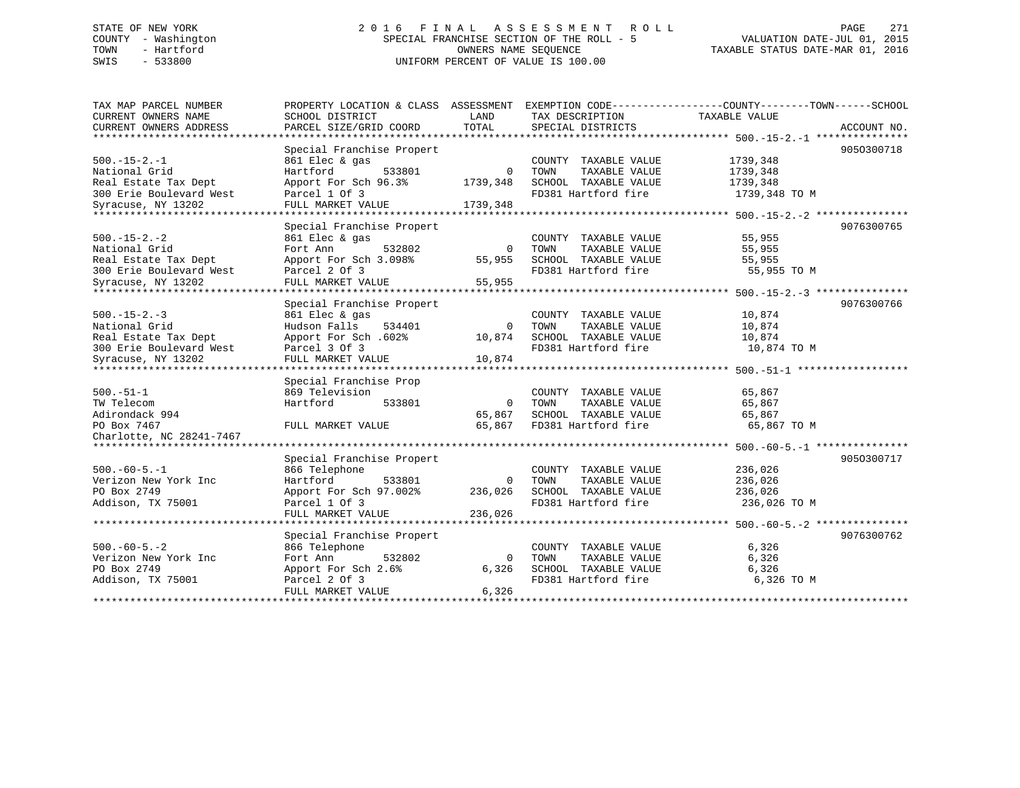# STATE OF NEW YORK 2 0 1 6 F I N A L A S S E S S M E N T R O L L PAGE 271 COUNTY - Washington SPECIAL FRANCHISE SECTION OF THE ROLL - 5 VALUATION DATE-JUL 01, 2015 TOWN - Hartford OWNERS NAME SEQUENCE TAXABLE STATUS DATE-MAR 01, 2016 SWIS - 533800 UNIFORM PERCENT OF VALUE IS 100.00

| CURRENT OWNERS NAME<br>SCHOOL DISTRICT<br>LAND<br>TAX DESCRIPTION<br>TAXABLE VALUE<br>TOTAL<br>CURRENT OWNERS ADDRESS<br>PARCEL SIZE/GRID COORD<br>SPECIAL DISTRICTS<br>ACCOUNT NO.<br>*************************<br>Special Franchise Propert<br>9050300718<br>$500. -15 - 2. -1$<br>1739,348<br>861 Elec & gas<br>COUNTY TAXABLE VALUE<br>National Grid<br>Hartford<br>TAXABLE VALUE<br>1739,348<br>533801<br>$\Omega$<br>TOWN<br>Real Estate Tax Dept<br>Apport For Sch 96.3%<br>1739,348<br>SCHOOL TAXABLE VALUE<br>1739,348<br>300 Erie Boulevard West<br>Parcel 1 Of 3<br>FD381 Hartford fire<br>1739,348 TO M<br>Syracuse, NY 13202<br>FULL MARKET VALUE<br>1739,348<br>*************************<br>9076300765<br>Special Franchise Propert<br>$500. -15 - 2. -2$<br>55,955<br>861 Elec & gas<br>COUNTY TAXABLE VALUE<br>National Grid<br>Fort Ann<br>532802<br>TOWN<br>TAXABLE VALUE<br>55,955<br>0<br>Real Estate Tax Dept<br>Apport For Sch 3.098%<br>55,955<br>SCHOOL TAXABLE VALUE<br>55,955<br>300 Erie Boulevard West<br>FD381 Hartford fire<br>Parcel 2 Of 3<br>55,955 TO M<br>55,955<br>Syracuse, NY 13202<br>FULL MARKET VALUE<br>******************<br>9076300766<br>Special Franchise Propert<br>$500 - 15 - 2 - 3$<br>861 Elec & gas<br>10,874<br>COUNTY TAXABLE VALUE<br>Hudson Falls<br>National Grid<br>534401<br>$\mathbf 0$<br>TOWN<br>TAXABLE VALUE<br>10,874<br>Real Estate Tax Dept<br>Apport For Sch. 602%<br>SCHOOL TAXABLE VALUE<br>10,874<br>10,874<br>300 Erie Boulevard West<br>FD381 Hartford fire<br>Parcel 3 Of 3<br>10,874 TO M<br>FULL MARKET VALUE<br>10,874<br>Syracuse, NY 13202<br>Special Franchise Prop<br>869 Television<br>65,867<br>COUNTY TAXABLE VALUE<br>Hartford<br>TOWN<br>TAXABLE VALUE<br>65,867<br>533801<br>$\Omega$<br>SCHOOL TAXABLE VALUE<br>65,867<br>65,867<br>65,867<br>FD381 Hartford fire<br>65,867 TO M<br>PO Box 7467<br>FULL MARKET VALUE<br>******************************<br>Special Franchise Propert<br>9050300717<br>$500. -60 - 5. -1$<br>866 Telephone<br>236,026<br>COUNTY TAXABLE VALUE<br>Hartford<br>533801<br>TAXABLE VALUE<br>236,026<br>0<br>TOWN<br>Apport For Sch 97.002%<br>236,026<br>SCHOOL TAXABLE VALUE<br>236,026<br>Addison, TX 75001<br>FD381 Hartford fire<br>Parcel 1 Of 3<br>236,026 TO M<br>236,026<br>FULL MARKET VALUE<br>***********************<br>Special Franchise Propert<br>9076300762<br>$500. -60 - 5. - 2$<br>6,326<br>866 Telephone<br>COUNTY TAXABLE VALUE<br>Verizon New York Inc<br>Fort Ann<br>532802<br>0<br>TOWN<br>TAXABLE VALUE<br>6,326<br>SCHOOL TAXABLE VALUE<br>6,326<br>6,326<br>Apport For Sch 2.6%<br>Addison, TX 75001<br>Parcel 2 Of 3<br>FD381 Hartford fire<br>6,326 TO M<br>FULL MARKET VALUE<br>6,326 | TAX MAP PARCEL NUMBER    | PROPERTY LOCATION & CLASS ASSESSMENT | EXEMPTION CODE----------------COUNTY-------TOWN------SCHOOL |  |
|----------------------------------------------------------------------------------------------------------------------------------------------------------------------------------------------------------------------------------------------------------------------------------------------------------------------------------------------------------------------------------------------------------------------------------------------------------------------------------------------------------------------------------------------------------------------------------------------------------------------------------------------------------------------------------------------------------------------------------------------------------------------------------------------------------------------------------------------------------------------------------------------------------------------------------------------------------------------------------------------------------------------------------------------------------------------------------------------------------------------------------------------------------------------------------------------------------------------------------------------------------------------------------------------------------------------------------------------------------------------------------------------------------------------------------------------------------------------------------------------------------------------------------------------------------------------------------------------------------------------------------------------------------------------------------------------------------------------------------------------------------------------------------------------------------------------------------------------------------------------------------------------------------------------------------------------------------------------------------------------------------------------------------------------------------------------------------------------------------------------------------------------------------------------------------------------------------------------------------------------------------------------------------------------------------------------------------------------------------------------------------------------------------------------------------------------------------------------------------------------------------------------------------------------------------------------------------------------------------------------------------------------------------------------------------------------------------------------------------------|--------------------------|--------------------------------------|-------------------------------------------------------------|--|
|                                                                                                                                                                                                                                                                                                                                                                                                                                                                                                                                                                                                                                                                                                                                                                                                                                                                                                                                                                                                                                                                                                                                                                                                                                                                                                                                                                                                                                                                                                                                                                                                                                                                                                                                                                                                                                                                                                                                                                                                                                                                                                                                                                                                                                                                                                                                                                                                                                                                                                                                                                                                                                                                                                                                        |                          |                                      |                                                             |  |
|                                                                                                                                                                                                                                                                                                                                                                                                                                                                                                                                                                                                                                                                                                                                                                                                                                                                                                                                                                                                                                                                                                                                                                                                                                                                                                                                                                                                                                                                                                                                                                                                                                                                                                                                                                                                                                                                                                                                                                                                                                                                                                                                                                                                                                                                                                                                                                                                                                                                                                                                                                                                                                                                                                                                        |                          |                                      |                                                             |  |
|                                                                                                                                                                                                                                                                                                                                                                                                                                                                                                                                                                                                                                                                                                                                                                                                                                                                                                                                                                                                                                                                                                                                                                                                                                                                                                                                                                                                                                                                                                                                                                                                                                                                                                                                                                                                                                                                                                                                                                                                                                                                                                                                                                                                                                                                                                                                                                                                                                                                                                                                                                                                                                                                                                                                        |                          |                                      |                                                             |  |
|                                                                                                                                                                                                                                                                                                                                                                                                                                                                                                                                                                                                                                                                                                                                                                                                                                                                                                                                                                                                                                                                                                                                                                                                                                                                                                                                                                                                                                                                                                                                                                                                                                                                                                                                                                                                                                                                                                                                                                                                                                                                                                                                                                                                                                                                                                                                                                                                                                                                                                                                                                                                                                                                                                                                        |                          |                                      |                                                             |  |
|                                                                                                                                                                                                                                                                                                                                                                                                                                                                                                                                                                                                                                                                                                                                                                                                                                                                                                                                                                                                                                                                                                                                                                                                                                                                                                                                                                                                                                                                                                                                                                                                                                                                                                                                                                                                                                                                                                                                                                                                                                                                                                                                                                                                                                                                                                                                                                                                                                                                                                                                                                                                                                                                                                                                        |                          |                                      |                                                             |  |
|                                                                                                                                                                                                                                                                                                                                                                                                                                                                                                                                                                                                                                                                                                                                                                                                                                                                                                                                                                                                                                                                                                                                                                                                                                                                                                                                                                                                                                                                                                                                                                                                                                                                                                                                                                                                                                                                                                                                                                                                                                                                                                                                                                                                                                                                                                                                                                                                                                                                                                                                                                                                                                                                                                                                        |                          |                                      |                                                             |  |
|                                                                                                                                                                                                                                                                                                                                                                                                                                                                                                                                                                                                                                                                                                                                                                                                                                                                                                                                                                                                                                                                                                                                                                                                                                                                                                                                                                                                                                                                                                                                                                                                                                                                                                                                                                                                                                                                                                                                                                                                                                                                                                                                                                                                                                                                                                                                                                                                                                                                                                                                                                                                                                                                                                                                        |                          |                                      |                                                             |  |
|                                                                                                                                                                                                                                                                                                                                                                                                                                                                                                                                                                                                                                                                                                                                                                                                                                                                                                                                                                                                                                                                                                                                                                                                                                                                                                                                                                                                                                                                                                                                                                                                                                                                                                                                                                                                                                                                                                                                                                                                                                                                                                                                                                                                                                                                                                                                                                                                                                                                                                                                                                                                                                                                                                                                        |                          |                                      |                                                             |  |
|                                                                                                                                                                                                                                                                                                                                                                                                                                                                                                                                                                                                                                                                                                                                                                                                                                                                                                                                                                                                                                                                                                                                                                                                                                                                                                                                                                                                                                                                                                                                                                                                                                                                                                                                                                                                                                                                                                                                                                                                                                                                                                                                                                                                                                                                                                                                                                                                                                                                                                                                                                                                                                                                                                                                        |                          |                                      |                                                             |  |
|                                                                                                                                                                                                                                                                                                                                                                                                                                                                                                                                                                                                                                                                                                                                                                                                                                                                                                                                                                                                                                                                                                                                                                                                                                                                                                                                                                                                                                                                                                                                                                                                                                                                                                                                                                                                                                                                                                                                                                                                                                                                                                                                                                                                                                                                                                                                                                                                                                                                                                                                                                                                                                                                                                                                        |                          |                                      |                                                             |  |
|                                                                                                                                                                                                                                                                                                                                                                                                                                                                                                                                                                                                                                                                                                                                                                                                                                                                                                                                                                                                                                                                                                                                                                                                                                                                                                                                                                                                                                                                                                                                                                                                                                                                                                                                                                                                                                                                                                                                                                                                                                                                                                                                                                                                                                                                                                                                                                                                                                                                                                                                                                                                                                                                                                                                        |                          |                                      |                                                             |  |
|                                                                                                                                                                                                                                                                                                                                                                                                                                                                                                                                                                                                                                                                                                                                                                                                                                                                                                                                                                                                                                                                                                                                                                                                                                                                                                                                                                                                                                                                                                                                                                                                                                                                                                                                                                                                                                                                                                                                                                                                                                                                                                                                                                                                                                                                                                                                                                                                                                                                                                                                                                                                                                                                                                                                        |                          |                                      |                                                             |  |
|                                                                                                                                                                                                                                                                                                                                                                                                                                                                                                                                                                                                                                                                                                                                                                                                                                                                                                                                                                                                                                                                                                                                                                                                                                                                                                                                                                                                                                                                                                                                                                                                                                                                                                                                                                                                                                                                                                                                                                                                                                                                                                                                                                                                                                                                                                                                                                                                                                                                                                                                                                                                                                                                                                                                        |                          |                                      |                                                             |  |
|                                                                                                                                                                                                                                                                                                                                                                                                                                                                                                                                                                                                                                                                                                                                                                                                                                                                                                                                                                                                                                                                                                                                                                                                                                                                                                                                                                                                                                                                                                                                                                                                                                                                                                                                                                                                                                                                                                                                                                                                                                                                                                                                                                                                                                                                                                                                                                                                                                                                                                                                                                                                                                                                                                                                        |                          |                                      |                                                             |  |
|                                                                                                                                                                                                                                                                                                                                                                                                                                                                                                                                                                                                                                                                                                                                                                                                                                                                                                                                                                                                                                                                                                                                                                                                                                                                                                                                                                                                                                                                                                                                                                                                                                                                                                                                                                                                                                                                                                                                                                                                                                                                                                                                                                                                                                                                                                                                                                                                                                                                                                                                                                                                                                                                                                                                        |                          |                                      |                                                             |  |
|                                                                                                                                                                                                                                                                                                                                                                                                                                                                                                                                                                                                                                                                                                                                                                                                                                                                                                                                                                                                                                                                                                                                                                                                                                                                                                                                                                                                                                                                                                                                                                                                                                                                                                                                                                                                                                                                                                                                                                                                                                                                                                                                                                                                                                                                                                                                                                                                                                                                                                                                                                                                                                                                                                                                        |                          |                                      |                                                             |  |
|                                                                                                                                                                                                                                                                                                                                                                                                                                                                                                                                                                                                                                                                                                                                                                                                                                                                                                                                                                                                                                                                                                                                                                                                                                                                                                                                                                                                                                                                                                                                                                                                                                                                                                                                                                                                                                                                                                                                                                                                                                                                                                                                                                                                                                                                                                                                                                                                                                                                                                                                                                                                                                                                                                                                        |                          |                                      |                                                             |  |
|                                                                                                                                                                                                                                                                                                                                                                                                                                                                                                                                                                                                                                                                                                                                                                                                                                                                                                                                                                                                                                                                                                                                                                                                                                                                                                                                                                                                                                                                                                                                                                                                                                                                                                                                                                                                                                                                                                                                                                                                                                                                                                                                                                                                                                                                                                                                                                                                                                                                                                                                                                                                                                                                                                                                        |                          |                                      |                                                             |  |
|                                                                                                                                                                                                                                                                                                                                                                                                                                                                                                                                                                                                                                                                                                                                                                                                                                                                                                                                                                                                                                                                                                                                                                                                                                                                                                                                                                                                                                                                                                                                                                                                                                                                                                                                                                                                                                                                                                                                                                                                                                                                                                                                                                                                                                                                                                                                                                                                                                                                                                                                                                                                                                                                                                                                        |                          |                                      |                                                             |  |
|                                                                                                                                                                                                                                                                                                                                                                                                                                                                                                                                                                                                                                                                                                                                                                                                                                                                                                                                                                                                                                                                                                                                                                                                                                                                                                                                                                                                                                                                                                                                                                                                                                                                                                                                                                                                                                                                                                                                                                                                                                                                                                                                                                                                                                                                                                                                                                                                                                                                                                                                                                                                                                                                                                                                        |                          |                                      |                                                             |  |
|                                                                                                                                                                                                                                                                                                                                                                                                                                                                                                                                                                                                                                                                                                                                                                                                                                                                                                                                                                                                                                                                                                                                                                                                                                                                                                                                                                                                                                                                                                                                                                                                                                                                                                                                                                                                                                                                                                                                                                                                                                                                                                                                                                                                                                                                                                                                                                                                                                                                                                                                                                                                                                                                                                                                        |                          |                                      |                                                             |  |
|                                                                                                                                                                                                                                                                                                                                                                                                                                                                                                                                                                                                                                                                                                                                                                                                                                                                                                                                                                                                                                                                                                                                                                                                                                                                                                                                                                                                                                                                                                                                                                                                                                                                                                                                                                                                                                                                                                                                                                                                                                                                                                                                                                                                                                                                                                                                                                                                                                                                                                                                                                                                                                                                                                                                        |                          |                                      |                                                             |  |
|                                                                                                                                                                                                                                                                                                                                                                                                                                                                                                                                                                                                                                                                                                                                                                                                                                                                                                                                                                                                                                                                                                                                                                                                                                                                                                                                                                                                                                                                                                                                                                                                                                                                                                                                                                                                                                                                                                                                                                                                                                                                                                                                                                                                                                                                                                                                                                                                                                                                                                                                                                                                                                                                                                                                        |                          |                                      |                                                             |  |
|                                                                                                                                                                                                                                                                                                                                                                                                                                                                                                                                                                                                                                                                                                                                                                                                                                                                                                                                                                                                                                                                                                                                                                                                                                                                                                                                                                                                                                                                                                                                                                                                                                                                                                                                                                                                                                                                                                                                                                                                                                                                                                                                                                                                                                                                                                                                                                                                                                                                                                                                                                                                                                                                                                                                        |                          |                                      |                                                             |  |
|                                                                                                                                                                                                                                                                                                                                                                                                                                                                                                                                                                                                                                                                                                                                                                                                                                                                                                                                                                                                                                                                                                                                                                                                                                                                                                                                                                                                                                                                                                                                                                                                                                                                                                                                                                                                                                                                                                                                                                                                                                                                                                                                                                                                                                                                                                                                                                                                                                                                                                                                                                                                                                                                                                                                        | $500.-51-1$              |                                      |                                                             |  |
|                                                                                                                                                                                                                                                                                                                                                                                                                                                                                                                                                                                                                                                                                                                                                                                                                                                                                                                                                                                                                                                                                                                                                                                                                                                                                                                                                                                                                                                                                                                                                                                                                                                                                                                                                                                                                                                                                                                                                                                                                                                                                                                                                                                                                                                                                                                                                                                                                                                                                                                                                                                                                                                                                                                                        | TW Telecom               |                                      |                                                             |  |
|                                                                                                                                                                                                                                                                                                                                                                                                                                                                                                                                                                                                                                                                                                                                                                                                                                                                                                                                                                                                                                                                                                                                                                                                                                                                                                                                                                                                                                                                                                                                                                                                                                                                                                                                                                                                                                                                                                                                                                                                                                                                                                                                                                                                                                                                                                                                                                                                                                                                                                                                                                                                                                                                                                                                        | Adirondack 994           |                                      |                                                             |  |
|                                                                                                                                                                                                                                                                                                                                                                                                                                                                                                                                                                                                                                                                                                                                                                                                                                                                                                                                                                                                                                                                                                                                                                                                                                                                                                                                                                                                                                                                                                                                                                                                                                                                                                                                                                                                                                                                                                                                                                                                                                                                                                                                                                                                                                                                                                                                                                                                                                                                                                                                                                                                                                                                                                                                        |                          |                                      |                                                             |  |
|                                                                                                                                                                                                                                                                                                                                                                                                                                                                                                                                                                                                                                                                                                                                                                                                                                                                                                                                                                                                                                                                                                                                                                                                                                                                                                                                                                                                                                                                                                                                                                                                                                                                                                                                                                                                                                                                                                                                                                                                                                                                                                                                                                                                                                                                                                                                                                                                                                                                                                                                                                                                                                                                                                                                        | Charlotte, NC 28241-7467 |                                      |                                                             |  |
|                                                                                                                                                                                                                                                                                                                                                                                                                                                                                                                                                                                                                                                                                                                                                                                                                                                                                                                                                                                                                                                                                                                                                                                                                                                                                                                                                                                                                                                                                                                                                                                                                                                                                                                                                                                                                                                                                                                                                                                                                                                                                                                                                                                                                                                                                                                                                                                                                                                                                                                                                                                                                                                                                                                                        |                          |                                      |                                                             |  |
|                                                                                                                                                                                                                                                                                                                                                                                                                                                                                                                                                                                                                                                                                                                                                                                                                                                                                                                                                                                                                                                                                                                                                                                                                                                                                                                                                                                                                                                                                                                                                                                                                                                                                                                                                                                                                                                                                                                                                                                                                                                                                                                                                                                                                                                                                                                                                                                                                                                                                                                                                                                                                                                                                                                                        |                          |                                      |                                                             |  |
|                                                                                                                                                                                                                                                                                                                                                                                                                                                                                                                                                                                                                                                                                                                                                                                                                                                                                                                                                                                                                                                                                                                                                                                                                                                                                                                                                                                                                                                                                                                                                                                                                                                                                                                                                                                                                                                                                                                                                                                                                                                                                                                                                                                                                                                                                                                                                                                                                                                                                                                                                                                                                                                                                                                                        |                          |                                      |                                                             |  |
|                                                                                                                                                                                                                                                                                                                                                                                                                                                                                                                                                                                                                                                                                                                                                                                                                                                                                                                                                                                                                                                                                                                                                                                                                                                                                                                                                                                                                                                                                                                                                                                                                                                                                                                                                                                                                                                                                                                                                                                                                                                                                                                                                                                                                                                                                                                                                                                                                                                                                                                                                                                                                                                                                                                                        | Verizon New York Inc     |                                      |                                                             |  |
|                                                                                                                                                                                                                                                                                                                                                                                                                                                                                                                                                                                                                                                                                                                                                                                                                                                                                                                                                                                                                                                                                                                                                                                                                                                                                                                                                                                                                                                                                                                                                                                                                                                                                                                                                                                                                                                                                                                                                                                                                                                                                                                                                                                                                                                                                                                                                                                                                                                                                                                                                                                                                                                                                                                                        | PO Box 2749              |                                      |                                                             |  |
|                                                                                                                                                                                                                                                                                                                                                                                                                                                                                                                                                                                                                                                                                                                                                                                                                                                                                                                                                                                                                                                                                                                                                                                                                                                                                                                                                                                                                                                                                                                                                                                                                                                                                                                                                                                                                                                                                                                                                                                                                                                                                                                                                                                                                                                                                                                                                                                                                                                                                                                                                                                                                                                                                                                                        |                          |                                      |                                                             |  |
|                                                                                                                                                                                                                                                                                                                                                                                                                                                                                                                                                                                                                                                                                                                                                                                                                                                                                                                                                                                                                                                                                                                                                                                                                                                                                                                                                                                                                                                                                                                                                                                                                                                                                                                                                                                                                                                                                                                                                                                                                                                                                                                                                                                                                                                                                                                                                                                                                                                                                                                                                                                                                                                                                                                                        |                          |                                      |                                                             |  |
|                                                                                                                                                                                                                                                                                                                                                                                                                                                                                                                                                                                                                                                                                                                                                                                                                                                                                                                                                                                                                                                                                                                                                                                                                                                                                                                                                                                                                                                                                                                                                                                                                                                                                                                                                                                                                                                                                                                                                                                                                                                                                                                                                                                                                                                                                                                                                                                                                                                                                                                                                                                                                                                                                                                                        |                          |                                      |                                                             |  |
|                                                                                                                                                                                                                                                                                                                                                                                                                                                                                                                                                                                                                                                                                                                                                                                                                                                                                                                                                                                                                                                                                                                                                                                                                                                                                                                                                                                                                                                                                                                                                                                                                                                                                                                                                                                                                                                                                                                                                                                                                                                                                                                                                                                                                                                                                                                                                                                                                                                                                                                                                                                                                                                                                                                                        |                          |                                      |                                                             |  |
|                                                                                                                                                                                                                                                                                                                                                                                                                                                                                                                                                                                                                                                                                                                                                                                                                                                                                                                                                                                                                                                                                                                                                                                                                                                                                                                                                                                                                                                                                                                                                                                                                                                                                                                                                                                                                                                                                                                                                                                                                                                                                                                                                                                                                                                                                                                                                                                                                                                                                                                                                                                                                                                                                                                                        |                          |                                      |                                                             |  |
|                                                                                                                                                                                                                                                                                                                                                                                                                                                                                                                                                                                                                                                                                                                                                                                                                                                                                                                                                                                                                                                                                                                                                                                                                                                                                                                                                                                                                                                                                                                                                                                                                                                                                                                                                                                                                                                                                                                                                                                                                                                                                                                                                                                                                                                                                                                                                                                                                                                                                                                                                                                                                                                                                                                                        |                          |                                      |                                                             |  |
|                                                                                                                                                                                                                                                                                                                                                                                                                                                                                                                                                                                                                                                                                                                                                                                                                                                                                                                                                                                                                                                                                                                                                                                                                                                                                                                                                                                                                                                                                                                                                                                                                                                                                                                                                                                                                                                                                                                                                                                                                                                                                                                                                                                                                                                                                                                                                                                                                                                                                                                                                                                                                                                                                                                                        | PO Box 2749              |                                      |                                                             |  |
|                                                                                                                                                                                                                                                                                                                                                                                                                                                                                                                                                                                                                                                                                                                                                                                                                                                                                                                                                                                                                                                                                                                                                                                                                                                                                                                                                                                                                                                                                                                                                                                                                                                                                                                                                                                                                                                                                                                                                                                                                                                                                                                                                                                                                                                                                                                                                                                                                                                                                                                                                                                                                                                                                                                                        |                          |                                      |                                                             |  |
|                                                                                                                                                                                                                                                                                                                                                                                                                                                                                                                                                                                                                                                                                                                                                                                                                                                                                                                                                                                                                                                                                                                                                                                                                                                                                                                                                                                                                                                                                                                                                                                                                                                                                                                                                                                                                                                                                                                                                                                                                                                                                                                                                                                                                                                                                                                                                                                                                                                                                                                                                                                                                                                                                                                                        |                          |                                      |                                                             |  |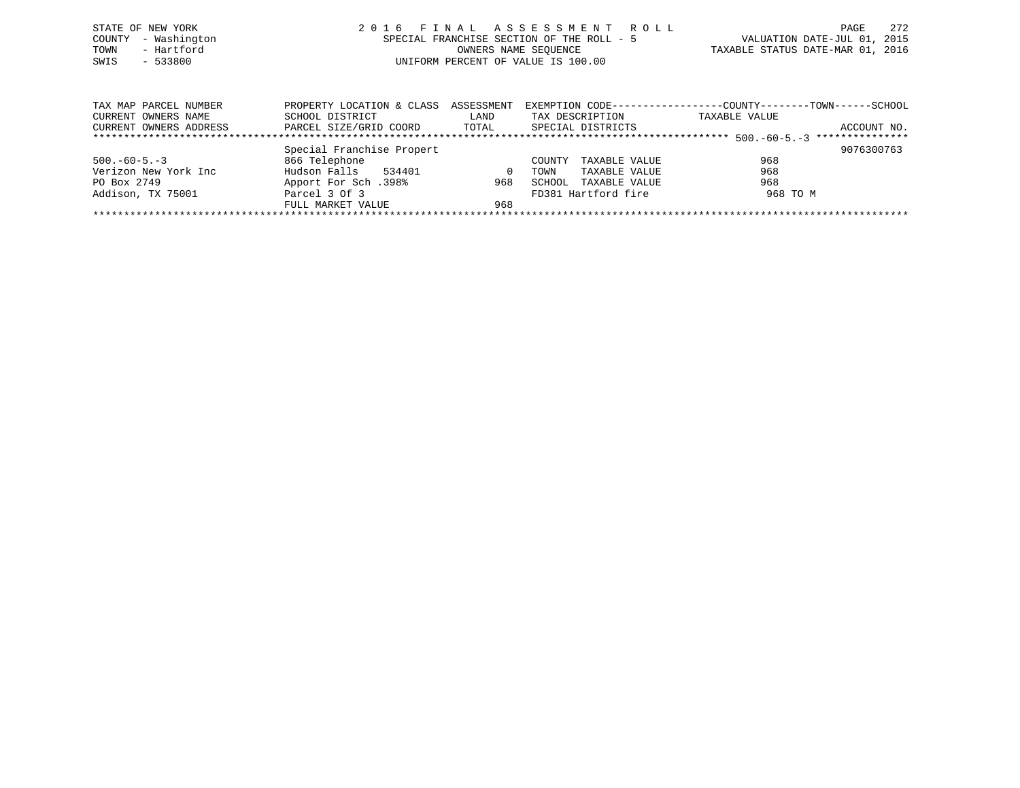| STATE OF NEW YORK   | 2016 FINAL ASSESSMENT ROLL                | 272<br>PAGE                      |
|---------------------|-------------------------------------------|----------------------------------|
| COUNTY - Washington | SPECIAL FRANCHISE SECTION OF THE ROLL - 5 | VALUATION DATE-JUL 01, 2015      |
| - Hartford<br>TOWN  | OWNERS NAME SEOUENCE                      | TAXABLE STATUS DATE-MAR 01, 2016 |
| $-533800$<br>SWIS   | UNIFORM PERCENT OF VALUE IS 100.00        |                                  |
|                     |                                           |                                  |
|                     |                                           |                                  |

| TAX MAP PARCEL NUMBER  | PROPERTY LOCATION & CLASS ASSESSMENT |          | EXEMPTION CODE----------------- | -COUNTY--------TOWN------SCHOOL |                 |
|------------------------|--------------------------------------|----------|---------------------------------|---------------------------------|-----------------|
| CURRENT OWNERS NAME    | SCHOOL DISTRICT                      | LAND     | TAX DESCRIPTION                 | TAXABLE VALUE                   |                 |
| CURRENT OWNERS ADDRESS | PARCEL SIZE/GRID COORD               | TOTAL    | SPECIAL DISTRICTS               |                                 | ACCOUNT NO.     |
|                        |                                      |          |                                 |                                 | *************** |
|                        | Special Franchise Propert            |          |                                 |                                 | 9076300763      |
| $500. -60 - 5. -3$     | 866 Telephone                        |          | TAXABLE VALUE<br>COUNTY         | 968                             |                 |
| Verizon New York Inc   | Hudson Falls<br>534401               | $\Omega$ | TAXABLE VALUE<br>TOWN           | 968                             |                 |
| PO Box 2749            | Apport For Sch.398%                  | 968      | TAXABLE VALUE<br>SCHOOL         | 968                             |                 |
| Addison, TX 75001      | Parcel 3 Of 3                        |          | FD381 Hartford fire             | 968 TO M                        |                 |
|                        | FULL MARKET VALUE                    | 968      |                                 |                                 |                 |
|                        |                                      |          |                                 |                                 |                 |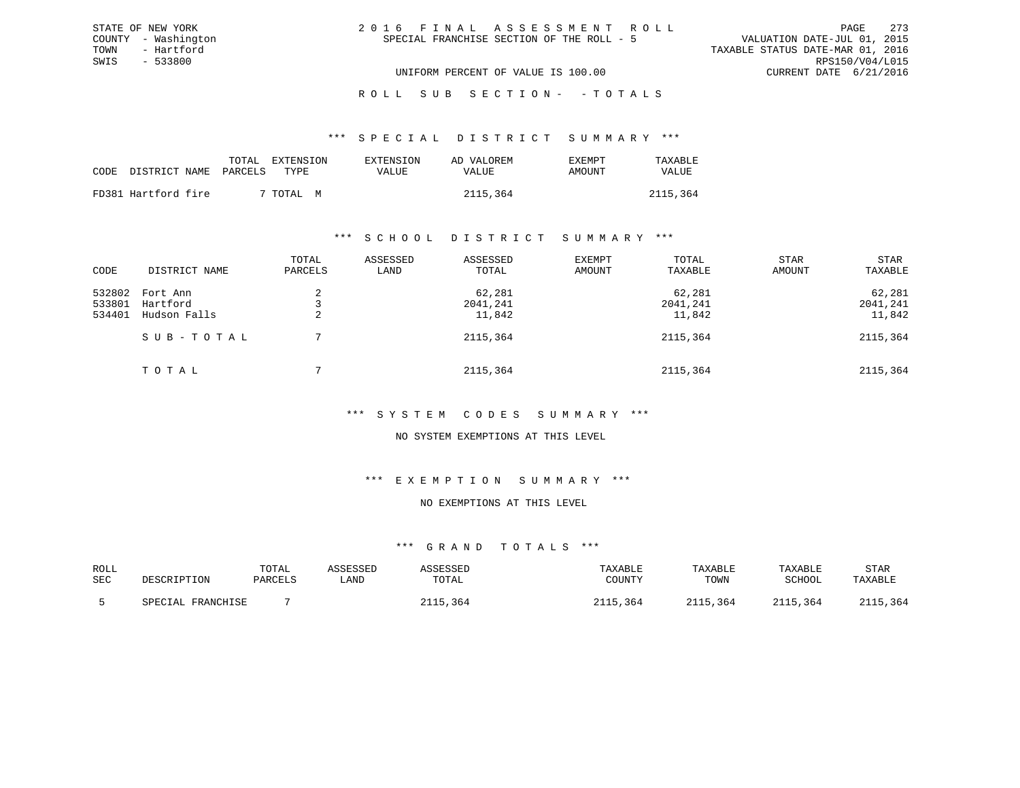| 2016 FINAL ASSESSMENT ROLL                |                                  | PAGE                        | 273 |
|-------------------------------------------|----------------------------------|-----------------------------|-----|
| SPECIAL FRANCHISE SECTION OF THE ROLL - 5 |                                  | VALUATION DATE-JUL 01, 2015 |     |
|                                           | TAXABLE STATUS DATE-MAR 01, 2016 |                             |     |
|                                           |                                  | RPS150/V04/L015             |     |
| UNIFORM PERCENT OF VALUE IS 100.00        |                                  | CURRENT DATE 6/21/2016      |     |

#### \*\*\* S P E C I A L D I S T R I C T S U M M A R Y \*\*\*

|                            | TOTAL | EXTENSION      | EXTENSION | AD VALOREM | <b>EXEMPT</b> | TAXABLE  |
|----------------------------|-------|----------------|-----------|------------|---------------|----------|
| CODE DISTRICT NAME PARCELS |       | TYPE.          | VALUE     | VALUE      | AMOUNT        | VALUE    |
| FD381 Hartford fire        |       | 7 TOTAL .<br>M |           | 2115,364   |               | 2115,364 |

STATE OF NEW YORK COUNTY - Washington TOWN - Hartford SWIS - 533800

#### \*\*\* S C H O O L D I S T R I C T S U M M A R Y \*\*\*

| CODE                       | DISTRICT NAME                        | TOTAL<br>PARCELS | ASSESSED<br>LAND | ASSESSED<br>TOTAL            | EXEMPT<br>AMOUNT | TOTAL<br>TAXABLE             | <b>STAR</b><br>AMOUNT | <b>STAR</b><br>TAXABLE       |
|----------------------------|--------------------------------------|------------------|------------------|------------------------------|------------------|------------------------------|-----------------------|------------------------------|
| 532802<br>533801<br>534401 | Fort Ann<br>Hartford<br>Hudson Falls |                  |                  | 62,281<br>2041,241<br>11,842 |                  | 62,281<br>2041,241<br>11,842 |                       | 62,281<br>2041,241<br>11,842 |
|                            | SUB-TOTAL                            |                  |                  | 2115,364                     |                  | 2115,364                     |                       | 2115,364                     |
|                            | TOTAL                                |                  |                  | 2115,364                     |                  | 2115,364                     |                       | 2115,364                     |

#### \*\*\* S Y S T E M C O D E S S U M M A R Y \*\*\*

#### NO SYSTEM EXEMPTIONS AT THIS LEVEL

#### \*\*\* E X E M P T I O N S U M M A R Y \*\*\*

### NO EXEMPTIONS AT THIS LEVEL

| ROLL |                   | TOTAL   | <b>\SSESSED</b> | ASSESSED | TAXABLE  | TAXABLE  | TAXABLE  | STAR     |
|------|-------------------|---------|-----------------|----------|----------|----------|----------|----------|
| SEC  | DESCRIPTION       | PARCELS | ∟AND            | TOTAL    | COUNTY   | TOWN     | SCHOOL   | TAXABLE  |
|      | SPECIAL FRANCHISE |         |                 | 2115,364 | 2115,364 | 2115,364 | 2115,364 | 2115,364 |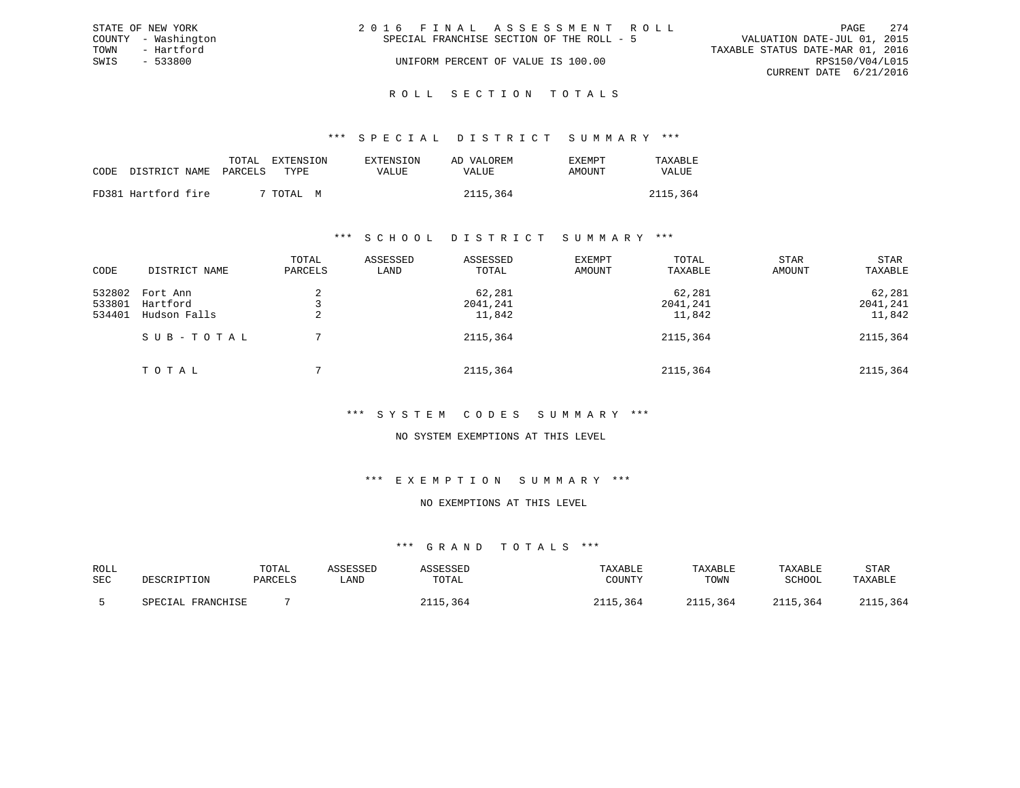|      | STATE OF NEW YORK   | 2016 FINAL ASSESSMENT ROLL                                               | PAGE            | 2.74 |
|------|---------------------|--------------------------------------------------------------------------|-----------------|------|
|      | COUNTY - Washington | VALUATION DATE-JUL 01, 2015<br>SPECIAL FRANCHISE SECTION OF THE ROLL - 5 |                 |      |
| TOWN | - Hartford          | TAXABLE STATUS DATE-MAR 01, 2016                                         |                 |      |
| SWIS | $-533800$           | UNIFORM PERCENT OF VALUE IS 100.00                                       | RPS150/V04/L015 |      |
|      |                     | CURRENT DATE 6/21/2016                                                   |                 |      |
|      |                     |                                                                          |                 |      |

# ROLL SECTION TOTALS

#### \*\*\* S P E C I A L D I S T R I C T S U M M A R Y \*\*\*

|      |                       | TOTAL<br>EXTENSION | EXTENSION | AD VALOREM | EXEMPT | TAXABLE      |
|------|-----------------------|--------------------|-----------|------------|--------|--------------|
| CODE | DISTRICT NAME PARCELS | TYPE.              | VALUE     | VALUE      | AMOUNT | <b>VALUE</b> |
|      | FD381 Hartford fire   | 7 TOTAL M          |           | 2115,364   |        | 2115,364     |

#### \*\*\* S C H O O L D I S T R I C T S U M M A R Y \*\*\*

| CODE                       | DISTRICT NAME                        | TOTAL<br>PARCELS | ASSESSED<br>LAND | ASSESSED<br>TOTAL            | EXEMPT<br>AMOUNT | TOTAL<br>TAXABLE             | <b>STAR</b><br>AMOUNT | STAR<br>TAXABLE              |
|----------------------------|--------------------------------------|------------------|------------------|------------------------------|------------------|------------------------------|-----------------------|------------------------------|
| 532802<br>533801<br>534401 | Fort Ann<br>Hartford<br>Hudson Falls | ∠<br>4           |                  | 62,281<br>2041,241<br>11,842 |                  | 62,281<br>2041,241<br>11,842 |                       | 62,281<br>2041,241<br>11,842 |
|                            | SUB-TOTAL                            |                  |                  | 2115,364                     |                  | 2115,364                     |                       | 2115,364                     |
|                            | TOTAL                                |                  |                  | 2115,364                     |                  | 2115,364                     |                       | 2115,364                     |

#### \*\*\* S Y S T E M C O D E S S U M M A R Y \*\*\*

#### NO SYSTEM EXEMPTIONS AT THIS LEVEL

#### \*\*\* E X E M P T I O N S U M M A R Y \*\*\*

### NO EXEMPTIONS AT THIS LEVEL

| ROLL<br>SEC | DESCRIPTION       | TOTAL<br>PARCELS | ASSESSED<br>∟AND | ASSESSED<br>TOTAL | TAXABLE<br>COUNTY    | TAXABLE<br>TOWN | TAXABLE<br>SCHOOL | <b>STAR</b><br>TAXABLE |
|-------------|-------------------|------------------|------------------|-------------------|----------------------|-----------------|-------------------|------------------------|
|             |                   |                  |                  |                   |                      |                 |                   |                        |
|             | SPECIAL FRANCHISE |                  |                  | .364              | .364<br><b>011 E</b> | 2115,364        | 2115,364          | 2115,364               |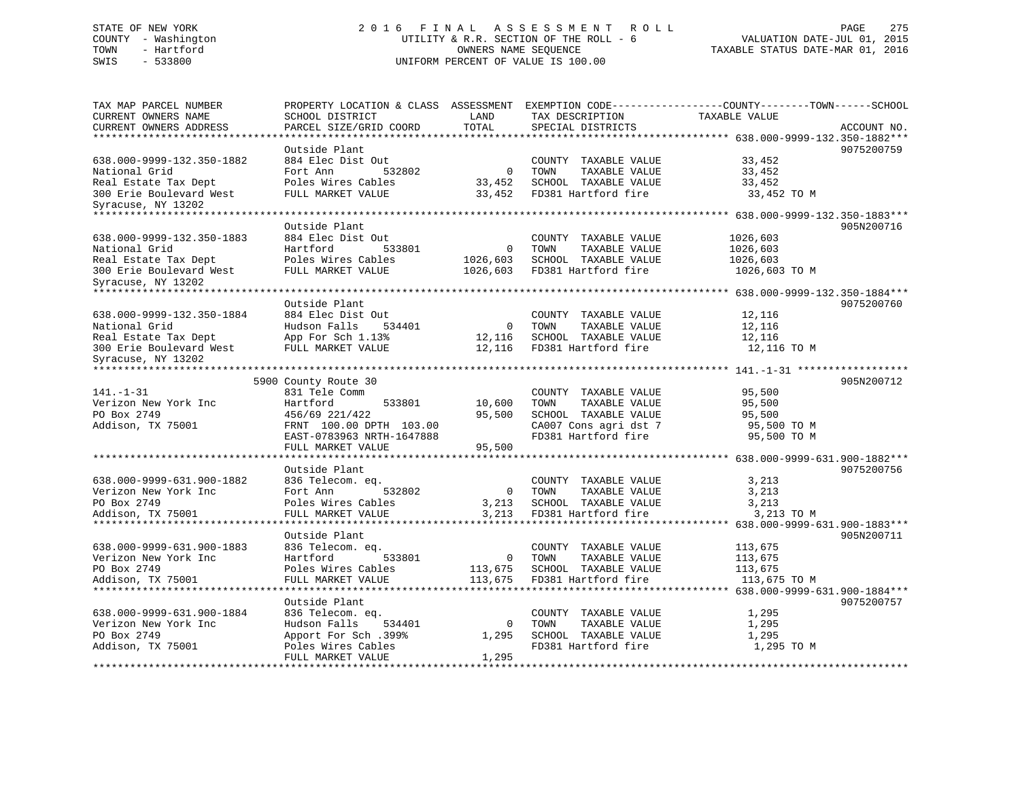# STATE OF NEW YORK 2 0 1 6 F I N A L A S S E S S M E N T R O L L PAGE 275 COUNTY - Washington UTILITY & R.R. SECTION OF THE ROLL - 6 VALUATION DATE-JUL 01, 2015 TOWN - Hartford OWNERS NAME SEQUENCE TAXABLE STATUS DATE-MAR 01, 2016 SWIS - 533800 UNIFORM PERCENT OF VALUE IS 100.00

| TAX MAP PARCEL NUMBER                                    | PROPERTY LOCATION & CLASS ASSESSMENT |                |                       | EXEMPTION CODE-----------------COUNTY-------TOWN------SCHOOL |             |
|----------------------------------------------------------|--------------------------------------|----------------|-----------------------|--------------------------------------------------------------|-------------|
| CURRENT OWNERS NAME                                      | SCHOOL DISTRICT                      | LAND           | TAX DESCRIPTION       | TAXABLE VALUE                                                |             |
| CURRENT OWNERS ADDRESS                                   | PARCEL SIZE/GRID COORD               | TOTAL          | SPECIAL DISTRICTS     |                                                              | ACCOUNT NO. |
| *******************                                      |                                      | ******         |                       |                                                              |             |
|                                                          | Outside Plant                        |                |                       |                                                              | 9075200759  |
| 638.000-9999-132.350-1882                                | 884 Elec Dist Out                    |                | COUNTY TAXABLE VALUE  | 33,452                                                       |             |
| National Grid                                            | Fort Ann<br>532802                   | $\Omega$       | TOWN<br>TAXABLE VALUE | 33,452                                                       |             |
| Real Estate Tax Dept                                     | Poles Wires Cables                   | 33,452         | SCHOOL TAXABLE VALUE  | 33,452                                                       |             |
| 300 Erie Boulevard West                                  | FULL MARKET VALUE                    | 33,452         | FD381 Hartford fire   | 33,452 TO M                                                  |             |
| Syracuse, NY 13202                                       |                                      |                |                       |                                                              |             |
| *****************************                            |                                      |                |                       |                                                              |             |
|                                                          | Outside Plant                        |                |                       |                                                              | 905N200716  |
| 638.000-9999-132.350-1883                                | 884 Elec Dist Out                    |                | COUNTY TAXABLE VALUE  | 1026,603                                                     |             |
| National Grid                                            | Hartford<br>533801                   | 0              | TOWN<br>TAXABLE VALUE | 1026,603                                                     |             |
| Real Estate Tax Dept                                     | Poles Wires Cables                   | 1026,603       | SCHOOL TAXABLE VALUE  | 1026,603                                                     |             |
| 300 Erie Boulevard West                                  | FULL MARKET VALUE                    | 1026,603       | FD381 Hartford fire   | 1026,603 TO M                                                |             |
| Syracuse, NY 13202<br>**************************         |                                      |                |                       |                                                              |             |
|                                                          | Outside Plant                        |                |                       |                                                              | 9075200760  |
| 638.000-9999-132.350-1884                                | 884 Elec Dist Out                    |                | COUNTY TAXABLE VALUE  | 12,116                                                       |             |
| National Grid                                            | Hudson Falls<br>534401               | $\overline{0}$ | TOWN<br>TAXABLE VALUE | 12,116                                                       |             |
| Real Estate Tax Dept                                     | App For Sch 1.13%                    | 12,116         | SCHOOL TAXABLE VALUE  | 12,116                                                       |             |
| 300 Erie Boulevard West                                  | FULL MARKET VALUE                    | 12,116         | FD381 Hartford fire   | 12,116 TO M                                                  |             |
| Syracuse, NY 13202                                       |                                      |                |                       |                                                              |             |
|                                                          |                                      |                |                       |                                                              |             |
|                                                          | 5900 County Route 30                 |                |                       |                                                              | 905N200712  |
| $141. - 1 - 31$                                          | 831 Tele Comm                        |                | COUNTY TAXABLE VALUE  | 95,500                                                       |             |
| Verizon New York Inc                                     | Hartford<br>533801                   | 10,600         | TOWN<br>TAXABLE VALUE | 95,500                                                       |             |
| PO Box 2749                                              | 456/69 221/422                       | 95,500         | SCHOOL TAXABLE VALUE  | 95,500                                                       |             |
| Addison, TX 75001                                        | FRNT 100.00 DPTH 103.00              |                | CA007 Cons agri dst 7 | 95,500 TO M                                                  |             |
|                                                          | EAST-0783963 NRTH-1647888            |                | FD381 Hartford fire   | 95,500 TO M                                                  |             |
|                                                          | FULL MARKET VALUE                    | 95,500         |                       |                                                              |             |
|                                                          |                                      |                |                       |                                                              |             |
|                                                          | Outside Plant                        |                |                       |                                                              | 9075200756  |
| 638.000-9999-631.900-1882                                | 836 Telecom. eq.                     |                | COUNTY TAXABLE VALUE  | 3,213                                                        |             |
| Verizon New York Inc                                     | Fort Ann<br>532802                   | $\mathbf{0}$   | TOWN<br>TAXABLE VALUE | 3,213                                                        |             |
| PO Box 2749                                              | Poles Wires Cables                   | 3,213          | SCHOOL TAXABLE VALUE  | 3,213                                                        |             |
| Addison, TX 75001                                        | FULL MARKET VALUE                    | 3,213          | FD381 Hartford fire   | 3,213 TO M                                                   |             |
|                                                          | *******************                  |                |                       | 638.000-9999-631.900-1883***                                 |             |
|                                                          | Outside Plant                        |                |                       |                                                              | 905N200711  |
| 638.000-9999-631.900-1883                                | 836 Telecom. eq.                     |                | COUNTY TAXABLE VALUE  | 113,675                                                      |             |
| Verizon New York Inc                                     | Hartford<br>533801                   | 0              | TOWN<br>TAXABLE VALUE | 113,675                                                      |             |
| PO Box 2749                                              | Poles Wires Cables                   | 113,675        | SCHOOL TAXABLE VALUE  | 113,675                                                      |             |
| Addison, TX 75001<br>* * * * * * * * * * * * * * * * * * | FULL MARKET VALUE                    | 113,675        | FD381 Hartford fire   | 113,675 TO M                                                 |             |
|                                                          | ******************************       |                |                       |                                                              |             |
|                                                          | Outside Plant                        |                |                       |                                                              | 9075200757  |
| 638.000-9999-631.900-1884                                | 836 Telecom. eq.                     |                | COUNTY TAXABLE VALUE  | 1,295                                                        |             |
| Verizon New York Inc                                     | Hudson Falls<br>534401               | $\mathbf 0$    | TOWN<br>TAXABLE VALUE | 1,295                                                        |             |
| PO Box 2749                                              | Apport For Sch .399%                 | 1,295          | SCHOOL TAXABLE VALUE  | 1,295                                                        |             |
| Addison, TX 75001                                        | Poles Wires Cables                   | 1,295          | FD381 Hartford fire   | 1,295 TO M                                                   |             |
|                                                          | FULL MARKET VALUE                    |                |                       |                                                              |             |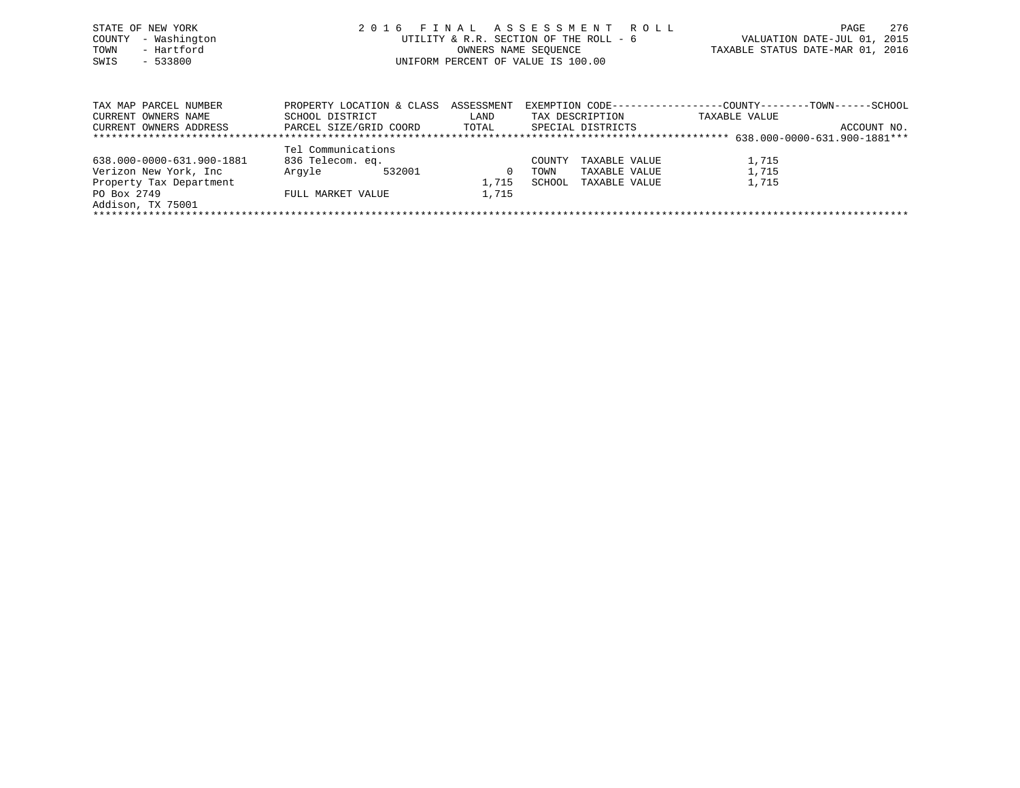|      | STATE OF NEW YORK   | 2016 FINAL ASSESSMENT ROLL             | 276<br>PAGE                      |
|------|---------------------|----------------------------------------|----------------------------------|
|      | COUNTY - Washington | UTILITY & R.R. SECTION OF THE ROLL - 6 | VALUATION DATE-JUL 01, 2015      |
| TOWN | - Hartford          | OWNERS NAME SEOUENCE                   | TAXABLE STATUS DATE-MAR 01, 2016 |
| SWIS | $-533800$           | UNIFORM PERCENT OF VALUE IS 100.00     |                                  |
|      |                     |                                        |                                  |
|      |                     |                                        |                                  |
|      |                     |                                        |                                  |

| TAX MAP PARCEL NUMBER<br>CURRENT OWNERS NAME | PROPERTY LOCATION & CLASS<br>SCHOOL DISTRICT | ASSESSMENT<br>LAND | EXEMPTION CODE-----------------COUNTY-------TOWN------SCHOOL<br>TAX DESCRIPTION | TAXABLE VALUE |             |  |  |
|----------------------------------------------|----------------------------------------------|--------------------|---------------------------------------------------------------------------------|---------------|-------------|--|--|
|                                              |                                              |                    |                                                                                 |               |             |  |  |
| CURRENT OWNERS ADDRESS                       | PARCEL SIZE/GRID COORD                       | TOTAL              | SPECIAL DISTRICTS                                                               |               | ACCOUNT NO. |  |  |
|                                              |                                              |                    |                                                                                 |               |             |  |  |
|                                              | Tel Communications                           |                    |                                                                                 |               |             |  |  |
| 638.000-0000-631.900-1881                    | 836 Telecom. eq.                             |                    | TAXABLE VALUE<br>COUNTY                                                         | 1,715         |             |  |  |
| Verizon New York, Inc                        | Arqvle<br>532001                             |                    | TAXABLE VALUE<br>TOWN                                                           | 1,715         |             |  |  |
| Property Tax Department                      |                                              | 1,715              | SCHOOL<br>TAXABLE VALUE                                                         | 1,715         |             |  |  |
| PO Box 2749                                  | FULL MARKET VALUE                            | 1,715              |                                                                                 |               |             |  |  |
| Addison, TX 75001                            |                                              |                    |                                                                                 |               |             |  |  |
|                                              |                                              |                    |                                                                                 |               |             |  |  |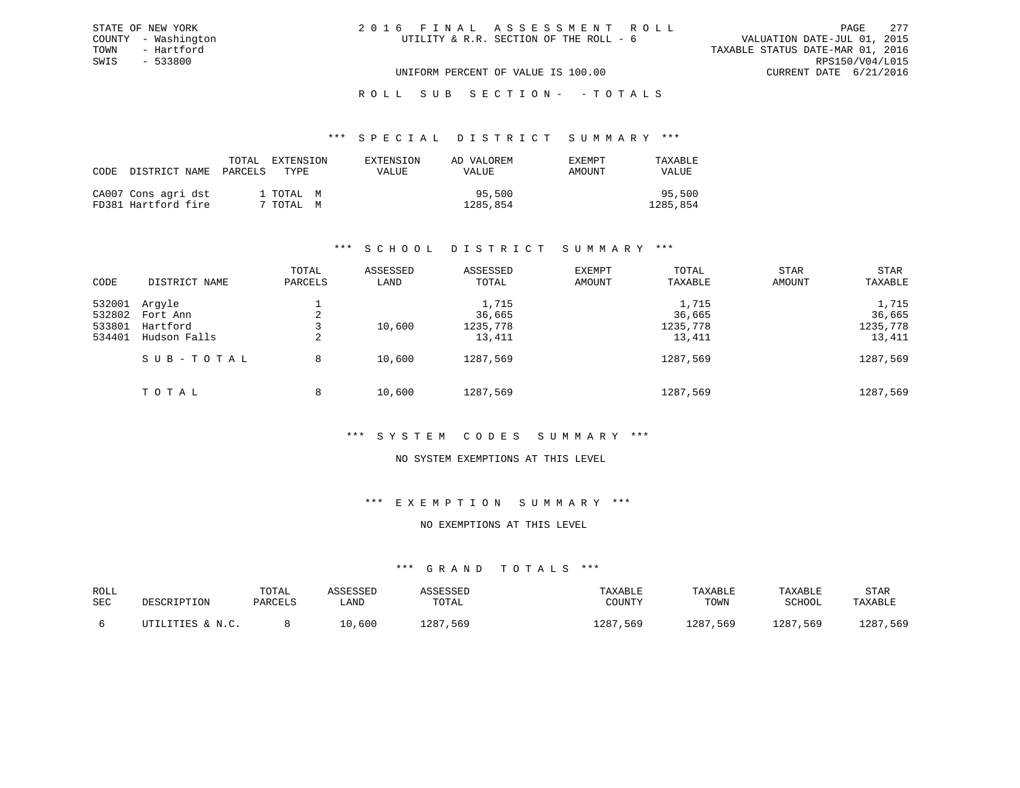### ROLL SUB SECTION - - TOTALS

#### \*\*\* S P E C I A L D I S T R I C T S U M M A R Y \*\*\*

| CODE DISTRICT NAME PARCELS                 | TOTAL                  | EXTENSION<br>TYPE | EXTENSION<br><b>VALUE</b> | AD VALOREM<br><b>VALUE</b> | EXEMPT<br>AMOUNT | TAXABLE<br><b>VALUE</b> |
|--------------------------------------------|------------------------|-------------------|---------------------------|----------------------------|------------------|-------------------------|
| CA007 Cons agri dst<br>FD381 Hartford fire | 1 TOTAL M<br>7 TOTAL M |                   |                           | 95,500<br>1285,854         |                  | 95,500<br>1285,854      |

#### \*\*\* S C H O O L D I S T R I C T S U M M A R Y \*\*\*

| CODE   | DISTRICT NAME | TOTAL<br>PARCELS | ASSESSED<br>LAND | ASSESSED<br>TOTAL | <b>EXEMPT</b><br>AMOUNT | TOTAL<br>TAXABLE | <b>STAR</b><br>AMOUNT | <b>STAR</b><br>TAXABLE |
|--------|---------------|------------------|------------------|-------------------|-------------------------|------------------|-----------------------|------------------------|
|        |               |                  |                  |                   |                         |                  |                       |                        |
| 532001 | Arqyle        |                  |                  | 1,715             |                         | 1,715            |                       | 1,715                  |
| 532802 | Fort Ann      | 2                |                  | 36,665            |                         | 36,665           |                       | 36,665                 |
| 533801 | Hartford      |                  | 10,600           | 1235,778          |                         | 1235,778         |                       | 1235,778               |
| 534401 | Hudson Falls  | 2                |                  | 13,411            |                         | 13,411           |                       | 13,411                 |
|        | SUB-TOTAL     | 8                | 10,600           | 1287,569          |                         | 1287,569         |                       | 1287,569               |
|        | TOTAL         | 8                | 10,600           | 1287,569          |                         | 1287,569         |                       | 1287,569               |

### \*\*\* S Y S T E M C O D E S S U M M A R Y \*\*\*

#### NO SYSTEM EXEMPTIONS AT THIS LEVEL

### \*\*\* E X E M P T I O N S U M M A R Y \*\*\*

### NO EXEMPTIONS AT THIS LEVEL

| ROLL<br>SEC | DESCRIPTION      | TOTAL<br>PARCELS | <b><i>ASSESSED</i></b><br>LAND | ASSESSED<br>TOTAL | TAXABLE<br>COUNTY | TAXABLE<br>TOWN | TAXABLE<br>SCHOOL | <b>STAR</b><br>TAXABLE |
|-------------|------------------|------------------|--------------------------------|-------------------|-------------------|-----------------|-------------------|------------------------|
|             | UTILITIES & N.C. |                  | 10,600                         | 1287,569          | 1287,569          | 1287,569        | 1287,569          | 1287,569               |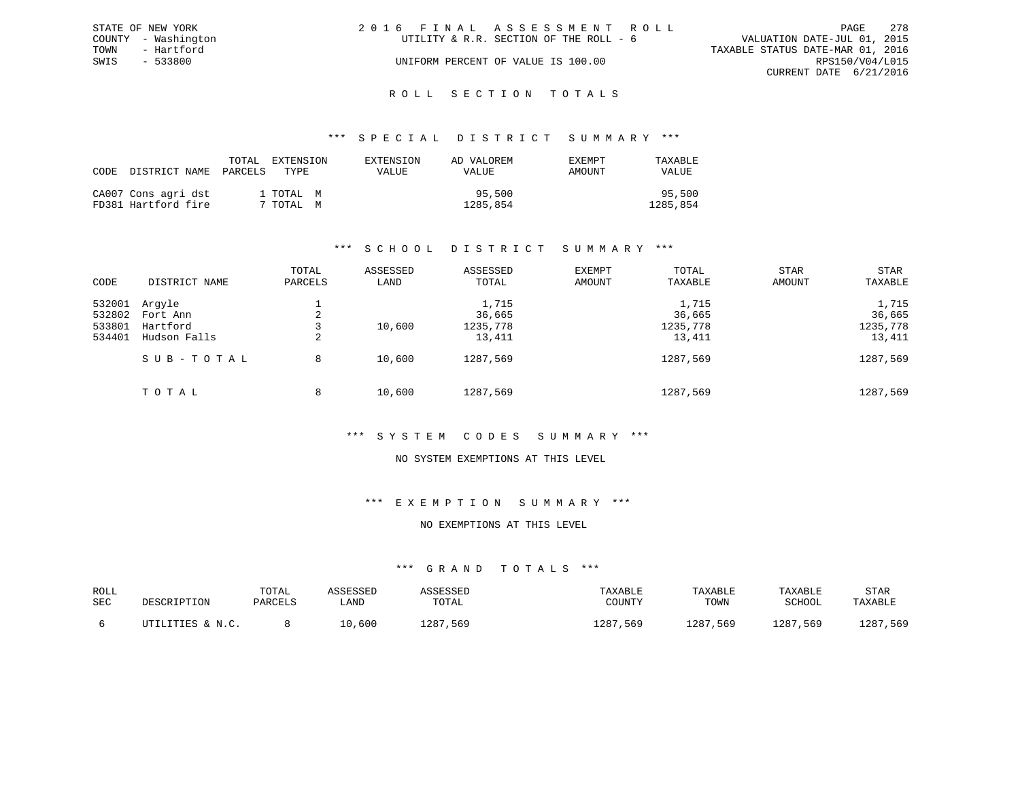|      | STATE OF NEW YORK   | 2016 FINAL ASSESSMENT ROLL             | PAGE                             | 2.78 |
|------|---------------------|----------------------------------------|----------------------------------|------|
|      | COUNTY - Washington | UTILITY & R.R. SECTION OF THE ROLL - 6 | VALUATION DATE-JUL 01, 2015      |      |
| TOWN | - Hartford          |                                        | TAXABLE STATUS DATE-MAR 01, 2016 |      |
| SWIS | $-533800$           | UNIFORM PERCENT OF VALUE IS 100.00     | RPS150/V04/L015                  |      |
|      |                     |                                        | CURRENT DATE 6/21/2016           |      |
|      |                     |                                        |                                  |      |

# ROLL SECTION TOTALS

#### \*\*\* S P E C I A L D I S T R I C T S U M M A R Y \*\*\*

| CODE | DISTRICT NAME                              | TOTAL<br>PARCELS<br>TYPE. | EXTENSION | EXTENSION<br>VALUE | AD VALOREM<br>VALUE | EXEMPT<br>AMOUNT | TAXABLE<br>VALUE   |
|------|--------------------------------------------|---------------------------|-----------|--------------------|---------------------|------------------|--------------------|
|      | CA007 Cons agri dst<br>FD381 Hartford fire | 1 TOTAL M<br>7 TOTAL M    |           |                    | 95,500<br>1285,854  |                  | 95,500<br>1285,854 |

### \*\*\* S C H O O L D I S T R I C T S U M M A R Y \*\*\*

| CODE   | DISTRICT NAME | TOTAL<br>PARCELS | ASSESSED<br>LAND | ASSESSED<br>TOTAL | <b>EXEMPT</b><br>AMOUNT | TOTAL<br>TAXABLE | <b>STAR</b><br>AMOUNT | <b>STAR</b><br>TAXABLE |
|--------|---------------|------------------|------------------|-------------------|-------------------------|------------------|-----------------------|------------------------|
|        |               |                  |                  |                   |                         |                  |                       |                        |
| 532001 | Arqyle        |                  |                  | 1,715             |                         | 1,715            |                       | 1,715                  |
| 532802 | Fort Ann      | 2                |                  | 36,665            |                         | 36,665           |                       | 36,665                 |
| 533801 | Hartford      |                  | 10,600           | 1235,778          |                         | 1235,778         |                       | 1235,778               |
| 534401 | Hudson Falls  | 2                |                  | 13,411            |                         | 13,411           |                       | 13,411                 |
|        | SUB-TOTAL     | 8                | 10,600           | 1287,569          |                         | 1287,569         |                       | 1287,569               |
|        | TOTAL         | 8                | 10,600           | 1287,569          |                         | 1287,569         |                       | 1287,569               |

#### \*\*\* S Y S T E M C O D E S S U M M A R Y \*\*\*

#### NO SYSTEM EXEMPTIONS AT THIS LEVEL

### \*\*\* E X E M P T I O N S U M M A R Y \*\*\*

### NO EXEMPTIONS AT THIS LEVEL

| ROLL<br>SEC | DESCRIPTION      | TOTAL<br>PARCELS | ASSESSED<br>LAND | ASSESSED<br>TOTAL | TAXABLE<br>COUNTY | TAXABLE<br>TOWN | TAXABLE<br>SCHOOL | STAR<br>TAXABLE |
|-------------|------------------|------------------|------------------|-------------------|-------------------|-----------------|-------------------|-----------------|
|             | UTILITIES & N.C. |                  | 10,600           | 1287,569          | 1287,569          | 1287,569        | 1287,569          | 1287,569        |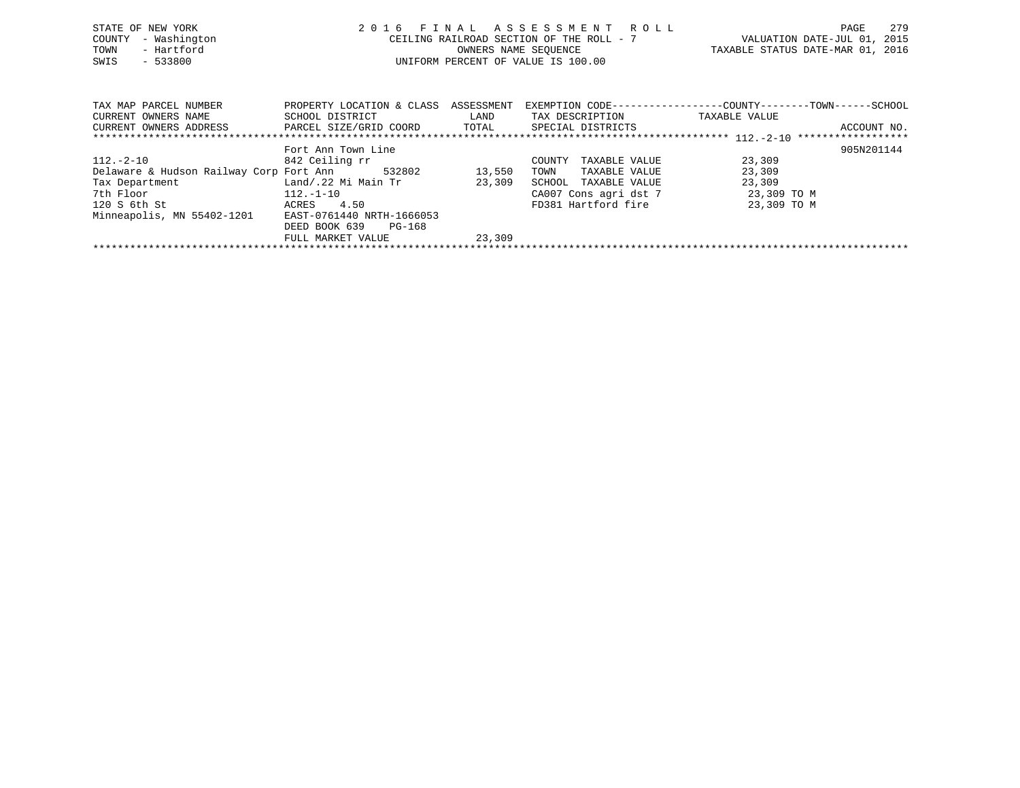| STATE OF NEW YORK<br>- Washington<br>COUNTY<br>- Hartford<br>TOWN<br>$-533800$<br>SWIS                                  | 2016                                                                                      |                  | FINAL ASSESSMENT ROLL<br>CEILING RAILROAD SECTION OF THE ROLL - 7<br>OWNERS NAME SEOUENCE<br>UNIFORM PERCENT OF VALUE IS 100.00 | VALUATION DATE-JUL 01, 2015<br>TAXABLE STATUS DATE-MAR 01, 2016               | 279<br>PAGE |
|-------------------------------------------------------------------------------------------------------------------------|-------------------------------------------------------------------------------------------|------------------|---------------------------------------------------------------------------------------------------------------------------------|-------------------------------------------------------------------------------|-------------|
| TAX MAP PARCEL NUMBER<br>CURRENT OWNERS NAME<br>CURRENT OWNERS ADDRESS             PARCEL SIZE/GRID COORD         TOTAL | PROPERTY LOCATION & CLASS ASSESSMENT<br>SCHOOL DISTRICT                                   | LAND             | TAX DESCRIPTION<br>SPECIAL DISTRICTS                                                                                            | EXEMPTION CODE-----------------COUNTY-------TOWN------SCHOOL<br>TAXABLE VALUE | ACCOUNT NO. |
| $112.-2-10$<br>Delaware & Hudson Railway Corp Fort Ann 532802<br>Tax Department<br>7th Floor<br>120 S 6th St            | Fort Ann Town Line<br>842 Ceiling rr<br>Land/.22 Mi Main Tr<br>112.-1-10<br>4.50<br>ACRES | 13,550<br>23,309 | TAXABLE VALUE<br>COUNTY<br>TOWN<br>TAXABLE VALUE<br>SCHOOL<br>TAXABLE VALUE<br>CA007 Cons agri dst 7<br>FD381 Hartford fire     | 23,309<br>23,309<br>23,309<br>23,309 TO M<br>23,309 TO M                      | 905N201144  |

FULL MARKET VALUE 23,309 \*\*\*\*\*\*\*\*\*\*\*\*\*\*\*\*\*\*\*\*\*\*\*\*\*\*\*\*\*\*\*\*\*\*\*\*\*\*\*\*\*\*\*\*\*\*\*\*\*\*\*\*\*\*\*\*\*\*\*\*\*\*\*\*\*\*\*\*\*\*\*\*\*\*\*\*\*\*\*\*\*\*\*\*\*\*\*\*\*\*\*\*\*\*\*\*\*\*\*\*\*\*\*\*\*\*\*\*\*\*\*\*\*\*\*\*\*\*\*\*\*\*\*\*\*\*\*\*\*\*\*\*

Minneapolis, MN 55402-1201 EAST-0761440 NRTH-1666053

DEED BOOK 639 PG-168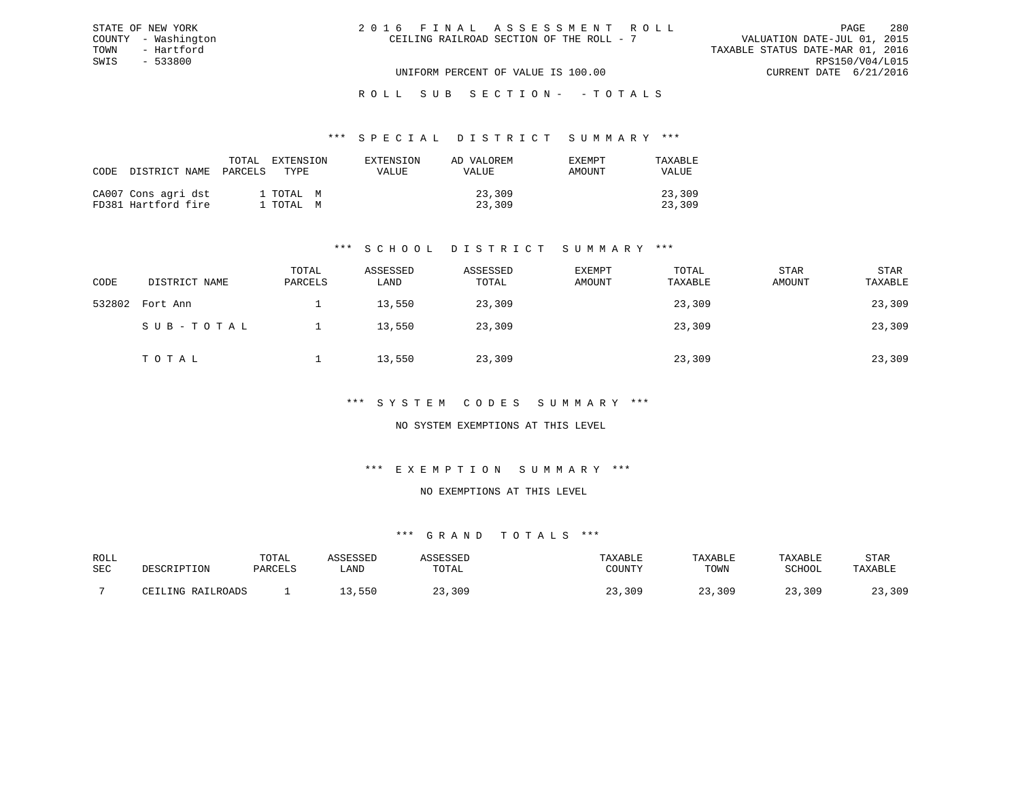| 2016 FINAL ASSESSMENT ROLL               |                                  | PAGE                        | 280 |
|------------------------------------------|----------------------------------|-----------------------------|-----|
| CEILING RAILROAD SECTION OF THE ROLL - 7 |                                  | VALUATION DATE-JUL 01, 2015 |     |
|                                          | TAXABLE STATUS DATE-MAR 01, 2016 |                             |     |
|                                          |                                  | RPS150/V04/L015             |     |
| UNIFORM PERCENT OF VALUE IS 100.00       |                                  | CURRENT DATE 6/21/2016      |     |

#### \*\*\* S P E C I A L D I S T R I C T S U M M A R Y \*\*\*

| CODE DISTRICT NAME                         | TOTAL<br>PARCELS | EXTENSION<br>TYPE.     | EXTENSION<br><b>VALUE</b> | AD VALOREM<br><b>VALUE</b> | EXEMPT<br>AMOUNT | TAXARLE<br>VALUE |
|--------------------------------------------|------------------|------------------------|---------------------------|----------------------------|------------------|------------------|
| CA007 Cons agri dst<br>FD381 Hartford fire |                  | 1 TOTAL M<br>1 TOTAL M |                           | 23,309<br>23,309           |                  | 23,309<br>23,309 |

STATE OF NEW YORK COUNTY - Washington TOWN - Hartford SWIS - 533800

### \*\*\* S C H O O L D I S T R I C T S U M M A R Y \*\*\*

| CODE   | DISTRICT NAME | TOTAL<br>PARCELS | ASSESSED<br>LAND | ASSESSED<br>TOTAL | <b>EXEMPT</b><br>AMOUNT | TOTAL<br>TAXABLE | <b>STAR</b><br>AMOUNT | STAR<br>TAXABLE |
|--------|---------------|------------------|------------------|-------------------|-------------------------|------------------|-----------------------|-----------------|
| 532802 | Fort Ann      |                  | 13,550           | 23,309            |                         | 23,309           |                       | 23,309          |
|        | SUB-TOTAL     |                  | 13,550           | 23,309            |                         | 23,309           |                       | 23,309          |
|        | TOTAL         |                  | 13,550           | 23,309            |                         | 23,309           |                       | 23,309          |

#### \*\*\* S Y S T E M C O D E S S U M M A R Y \*\*\*

### NO SYSTEM EXEMPTIONS AT THIS LEVEL

#### \*\*\* E X E M P T I O N S U M M A R Y \*\*\*

#### NO EXEMPTIONS AT THIS LEVEL

| ROLL |                   | TOTAL   | COPOCPT |       | TAXABLE | TAXABLE | TAXABLE | STAR    |
|------|-------------------|---------|---------|-------|---------|---------|---------|---------|
| SEC  | DESCRIPTION       | PARCELS | ∟AND    | TOTAL | COUNTY  | TOWN    | SCHOOL  | TAXABLE |
|      | CETIJNG RAILROADS |         | 550     | ,309  | ,309    | ,309    | 309     | ,309    |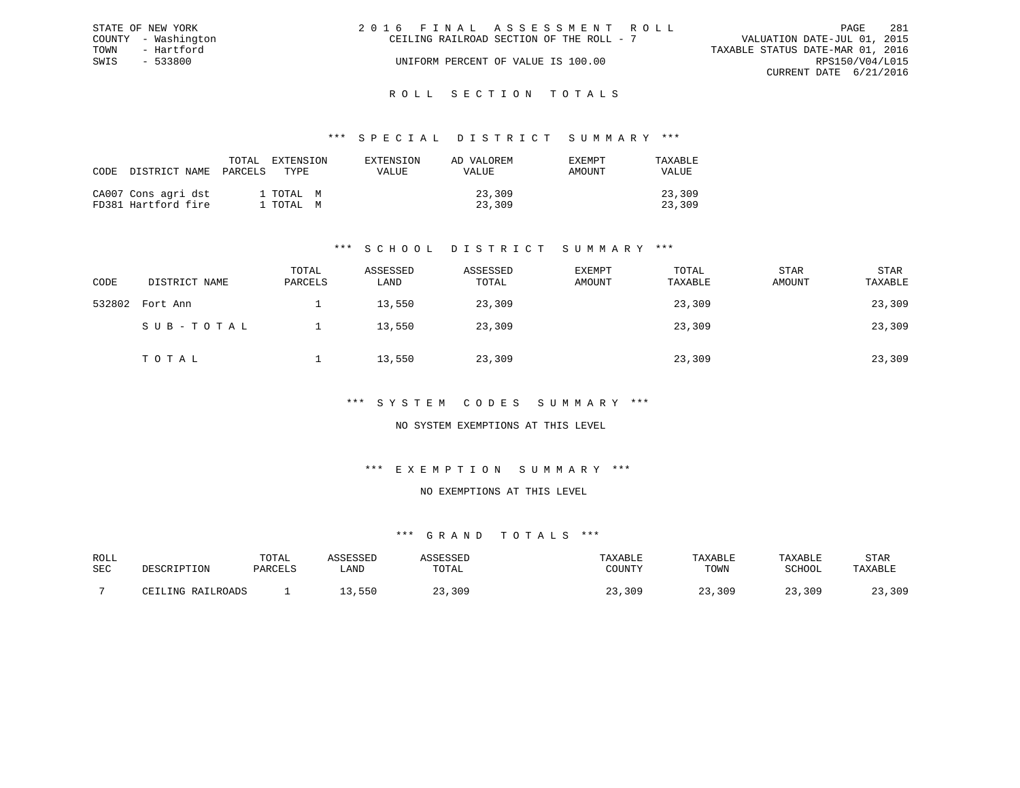| STATE OF NEW YORK   | 2016 FINAL ASSESSMENT ROLL               | 281<br>PAGE                      |
|---------------------|------------------------------------------|----------------------------------|
| COUNTY - Washington | CEILING RAILROAD SECTION OF THE ROLL - 7 | VALUATION DATE-JUL 01, 2015      |
| TOWN<br>- Hartford  |                                          | TAXABLE STATUS DATE-MAR 01, 2016 |
| SWIS<br>- 533800    | UNIFORM PERCENT OF VALUE IS 100.00       | RPS150/V04/L015                  |
|                     |                                          | CURRENT DATE 6/21/2016           |
|                     |                                          |                                  |

#### R O L L S E C T I O N T O T A L S

#### \*\*\* S P E C I A L D I S T R I C T S U M M A R Y \*\*\*

| CODE | DISTRICT NAME                              | TOTAL<br>PARCELS | EXTENSION<br>TYPE.     | EXTENSION<br>VALUE | AD VALOREM<br>VALUE | <b>EXEMPT</b><br>AMOUNT | TAXABLE<br><b>VALUE</b> |
|------|--------------------------------------------|------------------|------------------------|--------------------|---------------------|-------------------------|-------------------------|
|      | CA007 Cons agri dst<br>FD381 Hartford fire |                  | 1 TOTAL M<br>1 TOTAL M |                    | 23,309<br>23,309    |                         | 23,309<br>23,309        |

### \*\*\* S C H O O L D I S T R I C T S U M M A R Y \*\*\*

| CODE   | DISTRICT NAME | TOTAL<br>PARCELS | ASSESSED<br>LAND | ASSESSED<br>TOTAL | <b>EXEMPT</b><br>AMOUNT | TOTAL<br>TAXABLE | <b>STAR</b><br>AMOUNT | STAR<br>TAXABLE |
|--------|---------------|------------------|------------------|-------------------|-------------------------|------------------|-----------------------|-----------------|
| 532802 | Fort Ann      |                  | 13,550           | 23,309            |                         | 23,309           |                       | 23,309          |
|        | SUB-TOTAL     |                  | 13,550           | 23,309            |                         | 23,309           |                       | 23,309          |
|        | TOTAL         |                  | 13,550           | 23,309            |                         | 23,309           |                       | 23,309          |

#### \*\*\* S Y S T E M C O D E S S U M M A R Y \*\*\*

### NO SYSTEM EXEMPTIONS AT THIS LEVEL

## \*\*\* E X E M P T I O N S U M M A R Y \*\*\*

#### NO EXEMPTIONS AT THIS LEVEL

| ROLL |                   | TOTAL   | COPOCPT |       | TAXABLE | TAXABLE | TAXABLE | STAR    |
|------|-------------------|---------|---------|-------|---------|---------|---------|---------|
| SEC  | DESCRIPTION       | PARCELS | ∟AND    | TOTAL | COUNTY  | TOWN    | SCHOOL  | TAXABLE |
|      | CETIJNG RAILROADS |         | 550     | ,309  | ,309    | ,309    | 309     | ,309    |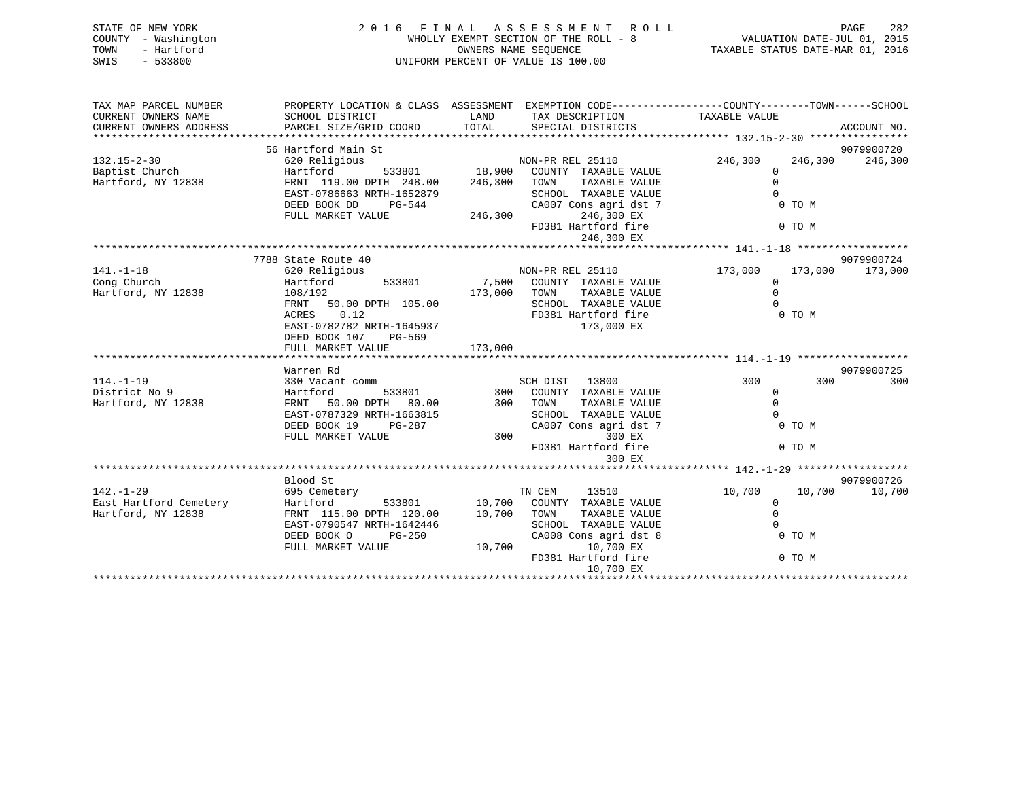| STATE OF NEW YORK<br>COUNTY - Washington<br>TOWN<br>- Hartford<br>$-533800$<br>SWIS | 2016 FINAL ASSESSMENT ROLL<br>WHOLLY EXEMPT SECTION OF THE ROLL - 8<br>UNIFORM PERCENT OF VALUE IS 100.00 | VALUATION DATE-JUL 01, 2015<br>TAXABLE STATUS DATE-MAR 01, 2016 |                                                                                                 | PAGE<br>282             |         |             |
|-------------------------------------------------------------------------------------|-----------------------------------------------------------------------------------------------------------|-----------------------------------------------------------------|-------------------------------------------------------------------------------------------------|-------------------------|---------|-------------|
| TAX MAP PARCEL NUMBER                                                               |                                                                                                           |                                                                 | PROPERTY LOCATION & CLASS ASSESSMENT EXEMPTION CODE----------------COUNTY-------TOWN-----SCHOOL |                         |         |             |
| CURRENT OWNERS NAME<br>CURRENT OWNERS ADDRESS                                       | SCHOOL DISTRICT<br>PARCEL SIZE/GRID COORD                                                                 | LAND<br>TOTAL                                                   | TAX DESCRIPTION TAXABLE VALUE<br>SPECIAL DISTRICTS                                              |                         |         | ACCOUNT NO. |
|                                                                                     | 56 Hartford Main St                                                                                       |                                                                 |                                                                                                 |                         |         | 9079900720  |
| $132.15 - 2 - 30$                                                                   | 620 Religious                                                                                             |                                                                 | NON-PR REL 25110                                                                                | 246,300                 | 246,300 | 246,300     |
| Baptist Church                                                                      | Hartford                                                                                                  | 533801 18,900                                                   | COUNTY TAXABLE VALUE                                                                            | $\mathbf{0}$            |         |             |
| Hartford, NY 12838                                                                  | FRNT 119.00 DPTH 248.00                                                                                   | 246,300                                                         | TAXABLE VALUE<br>TOWN                                                                           | $\Omega$<br>$\Omega$    |         |             |
|                                                                                     | EAST-0786663 NRTH-1652879<br>DEED BOOK DD<br>PG-544                                                       |                                                                 | SCHOOL TAXABLE VALUE<br>CA007 Cons agri dst 7                                                   |                         | 0 TO M  |             |
|                                                                                     | FULL MARKET VALUE                                                                                         | 246,300                                                         | 246,300 EX                                                                                      |                         |         |             |
|                                                                                     |                                                                                                           |                                                                 | FD381 Hartford fire<br>246,300 EX                                                               |                         | 0 TO M  |             |
|                                                                                     |                                                                                                           |                                                                 |                                                                                                 |                         |         |             |
|                                                                                     | 7788 State Route 40                                                                                       |                                                                 |                                                                                                 |                         |         | 9079900724  |
| $141. - 1 - 18$<br>Cong Church                                                      | 620 Religious<br>533801<br>Hartford                                                                       | 7,500                                                           | NON-PR REL 25110<br>COUNTY TAXABLE VALUE                                                        | 173,000<br>$\mathbf{0}$ | 173,000 | 173,000     |
| Hartford, NY 12838                                                                  | 108/192                                                                                                   | 173,000                                                         | TOWN<br>TAXABLE VALUE                                                                           | $\Omega$                |         |             |
|                                                                                     | FRNT<br>50.00 DPTH 105.00                                                                                 |                                                                 | SCHOOL TAXABLE VALUE                                                                            |                         |         |             |
|                                                                                     | 0.12<br>ACRES                                                                                             |                                                                 | FD381 Hartford fire                                                                             |                         | 0 TO M  |             |
|                                                                                     | EAST-0782782 NRTH-1645937                                                                                 |                                                                 | 173,000 EX                                                                                      |                         |         |             |
|                                                                                     | DEED BOOK 107<br>PG-569<br>FULL MARKET VALUE                                                              | 173,000                                                         |                                                                                                 |                         |         |             |
|                                                                                     |                                                                                                           |                                                                 |                                                                                                 |                         |         |             |
|                                                                                     | Warren Rd                                                                                                 |                                                                 |                                                                                                 |                         |         | 9079900725  |
| $114. - 1 - 19$                                                                     | 330 Vacant comm                                                                                           |                                                                 | SCH DIST 13800                                                                                  | 300                     | 300     | 300         |
| District No 9<br>Hartford, NY 12838                                                 | 533801<br>Hartford<br>FRNT 50.00 DPTH 80.00                                                               | 300                                                             | COUNTY TAXABLE VALUE<br>300 TOWN<br>TAXABLE VALUE                                               | $\Omega$<br>$\Omega$    |         |             |
|                                                                                     | EAST-0787329 NRTH-1663815                                                                                 |                                                                 | SCHOOL TAXABLE VALUE                                                                            | $\cap$                  |         |             |
|                                                                                     | DEED BOOK 19<br>PG-287                                                                                    |                                                                 | CA007 Cons agri dst 7                                                                           |                         | 0 TO M  |             |
|                                                                                     | FULL MARKET VALUE                                                                                         | 300                                                             | 300 EX                                                                                          |                         |         |             |
|                                                                                     |                                                                                                           |                                                                 | FD381 Hartford fire<br>300 EX                                                                   |                         | 0 TO M  |             |
|                                                                                     |                                                                                                           |                                                                 |                                                                                                 |                         |         |             |
|                                                                                     | Blood St                                                                                                  |                                                                 |                                                                                                 |                         |         | 9079900726  |
| $142. - 1 - 29$                                                                     | 695 Cemetery                                                                                              |                                                                 | TN CEM<br>13510                                                                                 | 10,700                  | 10,700  | 10,700      |
| East Hartford Cemetery<br>Hartford, NY 12838                                        | Hartford<br>533801<br>FRNT 115.00 DPTH 120.00                                                             | 10,700<br>10,700                                                | COUNTY TAXABLE VALUE<br>TAXABLE VALUE<br>TOWN                                                   | $\mathbf 0$<br>$\Omega$ |         |             |
|                                                                                     | EAST-0790547 NRTH-1642446                                                                                 |                                                                 | SCHOOL TAXABLE VALUE                                                                            |                         |         |             |
|                                                                                     | DEED BOOK O<br>$PG-250$                                                                                   |                                                                 | CA008 Cons agri dst 8                                                                           |                         | 0 TO M  |             |
|                                                                                     | FULL MARKET VALUE                                                                                         | 10,700                                                          | 10,700 EX                                                                                       |                         |         |             |

10,700 EX \*\*\*\*\*\*\*\*\*\*\*\*\*\*\*\*\*\*\*\*\*\*\*\*\*\*\*\*\*\*\*\*\*\*\*\*\*\*\*\*\*\*\*\*\*\*\*\*\*\*\*\*\*\*\*\*\*\*\*\*\*\*\*\*\*\*\*\*\*\*\*\*\*\*\*\*\*\*\*\*\*\*\*\*\*\*\*\*\*\*\*\*\*\*\*\*\*\*\*\*\*\*\*\*\*\*\*\*\*\*\*\*\*\*\*\*\*\*\*\*\*\*\*\*\*\*\*\*\*\*\*\*

FD381 Hartford fire 0 TO M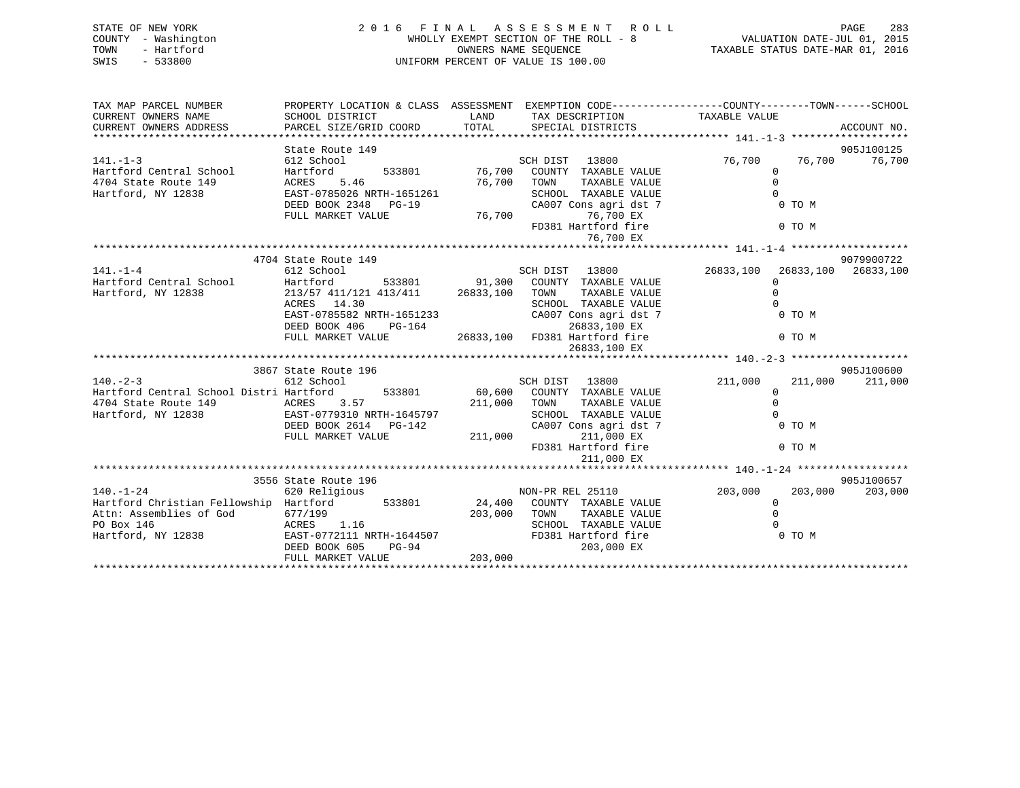| STATE OF NEW YORK<br>COUNTY - Washington<br>- Hartford<br>TOWN<br>SWIS<br>$-533800$ | 2016 FINAL ASSESSMENT ROLL<br>UNIFORM PERCENT OF VALUE IS 100.00 | 283<br>PAGE                                                                                                                                      |                               |
|-------------------------------------------------------------------------------------|------------------------------------------------------------------|--------------------------------------------------------------------------------------------------------------------------------------------------|-------------------------------|
| TAX MAP PARCEL NUMBER<br>CURRENT OWNERS NAME<br>CURRENT OWNERS ADDRESS              | SCHOOL DISTRICT<br><b>LAND</b><br>PARCEL SIZE/GRID COORD         | PROPERTY LOCATION & CLASS ASSESSMENT EXEMPTION CODE---------------COUNTY-------TOWN------SCHOOL<br>TAX DESCRIPTION<br>TOTAL<br>SPECIAL DISTRICTS | TAXABLE VALUE<br>ACCOUNT NO.  |
|                                                                                     | State Route 149                                                  |                                                                                                                                                  | 905J100125                    |
| $141. - 1 - 3$                                                                      | 612 School                                                       | SCH DIST 13800                                                                                                                                   | 76,700<br>76,700<br>76,700    |
| Hartford Central School                                                             | Hartford 533801 76,700                                           | COUNTY<br>TAXABLE VALUE                                                                                                                          | $\Omega$                      |
| 4704 State Route 149                                                                | ACRES<br>5.46                                                    | 76,700<br>TAXABLE VALUE<br>TOWN                                                                                                                  |                               |
|                                                                                     | Hartford, NY 12838 EAST-0785026 NRTH-1651261                     | SCHOOL TAXABLE VALUE                                                                                                                             |                               |
|                                                                                     | DEED BOOK 2348 PG-19                                             | CA007 Cons agri dst 7                                                                                                                            | 0 TO M                        |
|                                                                                     | FULL MARKET VALUE                                                | 76,700<br>76,700 EX                                                                                                                              |                               |
|                                                                                     |                                                                  | FD381 Hartford fire                                                                                                                              | 0 TO M                        |
|                                                                                     |                                                                  | 76,700 EX                                                                                                                                        |                               |
|                                                                                     |                                                                  |                                                                                                                                                  |                               |
|                                                                                     | 4704 State Route 149                                             |                                                                                                                                                  | 9079900722                    |
| $141. - 1 - 4$                                                                      | 612 School                                                       | SCH DIST 13800                                                                                                                                   | 26833,100 26833,100 26833,100 |
| Hartford Central School Hartford                                                    |                                                                  | 533801 91,300<br>COUNTY TAXABLE VALUE                                                                                                            | $\Omega$                      |
| Hartford, NY 12838                                                                  | 213/57 411/121 413/411 26833,100                                 | TOWN<br>TAXABLE VALUE                                                                                                                            | $\Omega$                      |
|                                                                                     | ACRES 14.30                                                      | TAXABLE VALUE<br>SCHOOL                                                                                                                          |                               |
|                                                                                     | EAST-0785582 NRTH-1651233                                        | CA007 Cons agri dst 7                                                                                                                            | 0 TO M                        |
|                                                                                     | DEED BOOK 406<br>PG-164                                          | 26833,100 EX                                                                                                                                     | 0 TO M                        |
|                                                                                     | FULL MARKET VALUE                                                | 26833,100 FD381 Hartford fire<br>26833,100 EX                                                                                                    |                               |
|                                                                                     |                                                                  |                                                                                                                                                  |                               |
|                                                                                     | 3867 State Route 196                                             |                                                                                                                                                  | 905J100600                    |
|                                                                                     |                                                                  |                                                                                                                                                  |                               |

|                                         |                           |                  |                  |                       | 1 T U . - 4 - J |         |            |
|-----------------------------------------|---------------------------|------------------|------------------|-----------------------|-----------------|---------|------------|
|                                         | 3867 State Route 196      |                  |                  |                       |                 |         | 905J100600 |
| $140. - 2 - 3$                          | 612 School                |                  | SCH DIST         | 13800                 | 211,000         | 211,000 | 211,000    |
| Hartford Central School Distri Hartford |                           | 533801<br>60,600 | COUNTY           | TAXABLE VALUE         |                 |         |            |
| 4704 State Route 149                    | ACRES 3.57                | 211,000          | TOWN             | TAXABLE VALUE         |                 |         |            |
| Hartford, NY 12838                      | EAST-0779310 NRTH-1645797 |                  | SCHOOL           | TAXABLE VALUE         |                 |         |            |
|                                         | DEED BOOK 2614 PG-142     |                  |                  | CA007 Cons agri dst 7 |                 | 0 TO M  |            |
|                                         | FULL MARKET VALUE         | 211,000          |                  | 211,000 EX            |                 |         |            |
|                                         |                           |                  |                  | FD381 Hartford fire   |                 | 0 TO M  |            |
|                                         |                           |                  |                  | 211,000 EX            |                 |         |            |
|                                         |                           |                  |                  |                       |                 |         |            |
|                                         | 3556 State Route 196      |                  |                  |                       |                 |         | 905J100657 |
| $140. - 1 - 24$                         | 620 Religious             |                  | NON-PR REL 25110 |                       | 203,000         | 203,000 | 203,000    |
| Hartford Christian Fellowship Hartford  |                           | 533801<br>24,400 | COUNTY           | TAXABLE VALUE         |                 |         |            |
| Attn: Assemblies of God                 | 677/199                   | 203,000          | TOWN             | TAXABLE VALUE         |                 |         |            |
| PO Box 146                              | ACRES 1.16                |                  | SCHOOL           | TAXABLE VALUE         |                 |         |            |
| Hartford, NY 12838                      | EAST-0772111 NRTH-1644507 |                  |                  | FD381 Hartford fire   |                 | 0 TO M  |            |
|                                         | DEED BOOK 605             | PG-94            |                  | 203,000 EX            |                 |         |            |
|                                         | FULL MARKET VALUE         | 203,000          |                  |                       |                 |         |            |
|                                         |                           |                  |                  |                       |                 |         |            |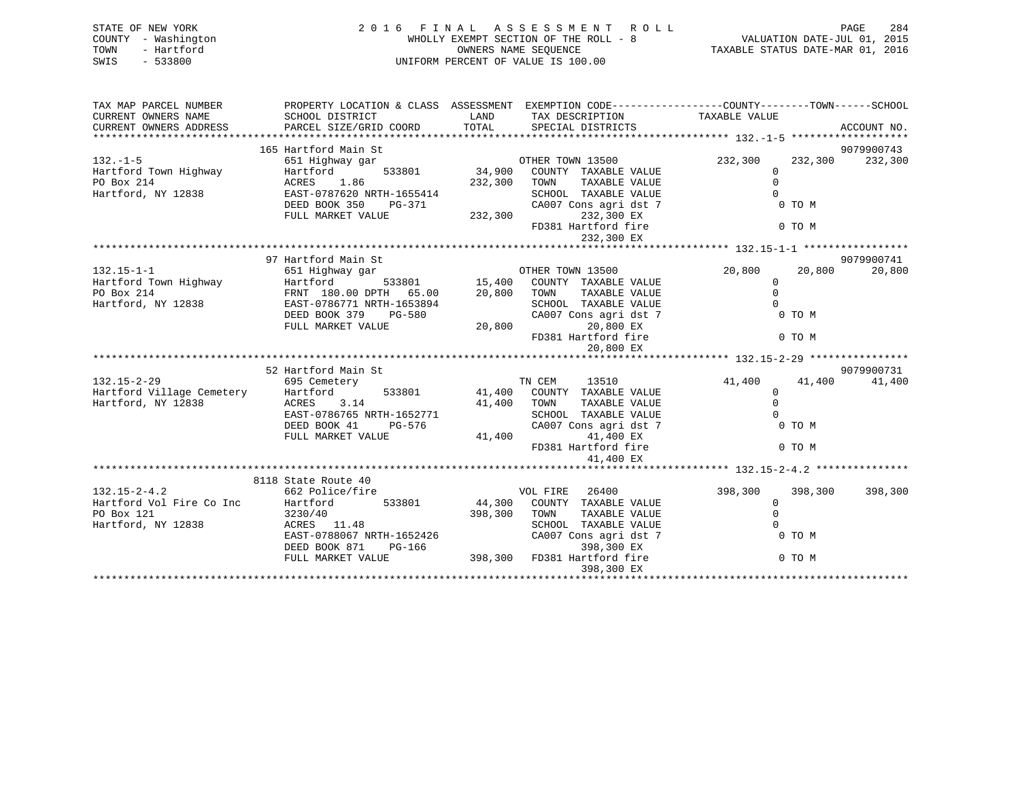| STATE OF NEW YORK<br>COUNTY - Washington<br>- Hartford<br>TOWN<br>SWIS<br>$-533800$ | 2016 FINAL ASSESSMENT ROLL<br>UNIFORM PERCENT OF VALUE IS 100.00                                                                                                                                                                                                                                            | FINAL ASSESSMENT ROLL<br>WHOLLY EXEMPT SECTION OF THE ROLL - 8<br>WALUATION DATE-JUL 01, 2015<br>WALUATION DATE-JUL 01, 2015<br>TAXABLE STATUS DATE-MAR 01, 2016 |                                                                                                                                                                                                     | PAGE                                          |                            |                               |
|-------------------------------------------------------------------------------------|-------------------------------------------------------------------------------------------------------------------------------------------------------------------------------------------------------------------------------------------------------------------------------------------------------------|------------------------------------------------------------------------------------------------------------------------------------------------------------------|-----------------------------------------------------------------------------------------------------------------------------------------------------------------------------------------------------|-----------------------------------------------|----------------------------|-------------------------------|
| TAX MAP PARCEL NUMBER<br>CURRENT OWNERS NAME<br>CURRENT OWNERS ADDRESS              | PROPERTY LOCATION & CLASS ASSESSMENT EXEMPTION CODE----------------COUNTY-------TOWN------SCHOOL<br>SCHOOL DISTRICT<br>CURRENT OWNERS ADDRESS FARCEL SIZE/GRID COORD TOTAL SPECIAL DISTRICTS (2000) ACCOUNT NO.<br>EURRENT OWNERS ADDRESS PARCEL SIZE/GRID COORD TOTAL SPECIAL DISTRICTS (2000) ACCOUNT NO. | LAND                                                                                                                                                             | TAX DESCRIPTION TAXABLE VALUE                                                                                                                                                                       |                                               |                            |                               |
| $132. - 1 - 5$<br>Hartford Town Highway<br>PO Box 214<br>Hartford, NY 12838         | 165 Hartford Main St<br>651 Highway gar<br>Hartford<br>1.86<br>ACRES<br>EAST-0787620 NRTH-1655414<br>DEED BOOK 350 PG-371<br>FULL MARKET VALUE                                                                                                                                                              | 232,300                                                                                                                                                          | OTHER TOWN 13500 232,300<br>533801 34,900 COUNTY TAXABLE VALUE<br>232,300 TOWN TAXABLE VALUE<br>SCHOOL TAXABLE VALUE<br>CA007 Cons agri dst 7<br>232,300 EX<br>FD381 Hartford fire                  | $\Omega$<br>$\Omega$<br>$\Omega$              | 0 TO M<br>0 TO M           | 9079900743<br>232,300 232,300 |
| $132.15 - 1 - 1$<br>Hartford Town Highway<br>PO Box 214<br>Hartford, NY 12838       | 97 Hartford Main St<br>651 Highway gar<br>Hartford<br>FRNT 180.00 DPTH 65.00<br>EAST-0786771 NRTH-1653894<br>DEED BOOK 379 PG-580<br>FULL MARKET VALUE                                                                                                                                                      | 20,800                                                                                                                                                           | 232,300 EX<br>OTHER TOWN 13500<br>533801 15,400 COUNTY TAXABLE VALUE<br>20,800 TOWN TAXABLE VALUE<br>SCHOOL TAXABLE VALUE<br>CA007 Cons agri dst 7<br>20,800 EX<br>FD381 Hartford fire<br>20,800 EX | 20,800<br>$\mathbf{0}$<br>$\Omega$            | 20,800<br>0 TO M<br>0 TO M | 9079900741<br>20,800          |
| $132.15 - 2 - 29$<br>Hartford Village Cemetery<br>Hartford, NY 12838                | 52 Hartford Main St<br>695 Cemetery<br>Hartford<br>ACRES<br>3.14<br>EAST-0786765 NRTH-1652771<br>PG-576<br>DEED BOOK 41<br>FULL MARKET VALUE                                                                                                                                                                | 41,400<br>41,400                                                                                                                                                 | TN CEM<br>13510<br>533801 41,400 COUNTY TAXABLE VALUE<br>TOWN<br>TAXABLE VALUE<br>SCHOOL TAXABLE VALUE<br>CA007 Cons agri dst 7<br>41,400 EX<br>FD381 Hartford fire<br>41,400 EX                    | 41,400<br>$\mathbf 0$<br>$\Omega$<br>$\Omega$ | 41,400<br>0 TO M<br>0 TO M | 9079900731<br>41,400          |
| $\sim$ $\sim$ $\sim$ $\sim$ $\sim$ $\sim$                                           | 8118 State Route 40<br>$\mathbf{r} \cdot \mathbf{r} = \mathbf{r} \cdot \mathbf{r}$                                                                                                                                                                                                                          |                                                                                                                                                                  |                                                                                                                                                                                                     | 200 200 200 200 200 200                       |                            |                               |

|                          | 8118 State Route 40                                  |                                              |                               |
|--------------------------|------------------------------------------------------|----------------------------------------------|-------------------------------|
| $132.15 - 2 - 4.2$       | 662 Police/fire                                      | 26400<br>VOL FIRE                            | 398,300<br>398,300<br>398,300 |
| Hartford Vol Fire Co Inc | Hartford<br>533801                                   | 44,300<br>COUNTY<br>TAXABLE VALUE            |                               |
| PO Box 121               | 3230/40                                              | 398,300<br>TAXABLE VALUE<br>TOWN             |                               |
| Hartford, NY 12838       | ACRES 11.48                                          | TAXABLE VALUE<br>SCHOOL                      |                               |
|                          | EAST-0788067 NRTH-1652426<br>DEED BOOK 871<br>PG-166 | CA007 Cons agri dst 7<br>398,300 EX          | 0 TO M                        |
|                          | FULL MARKET VALUE                                    | FD381 Hartford fire<br>398,300<br>398,300 EX | 0 TO M                        |
|                          |                                                      |                                              |                               |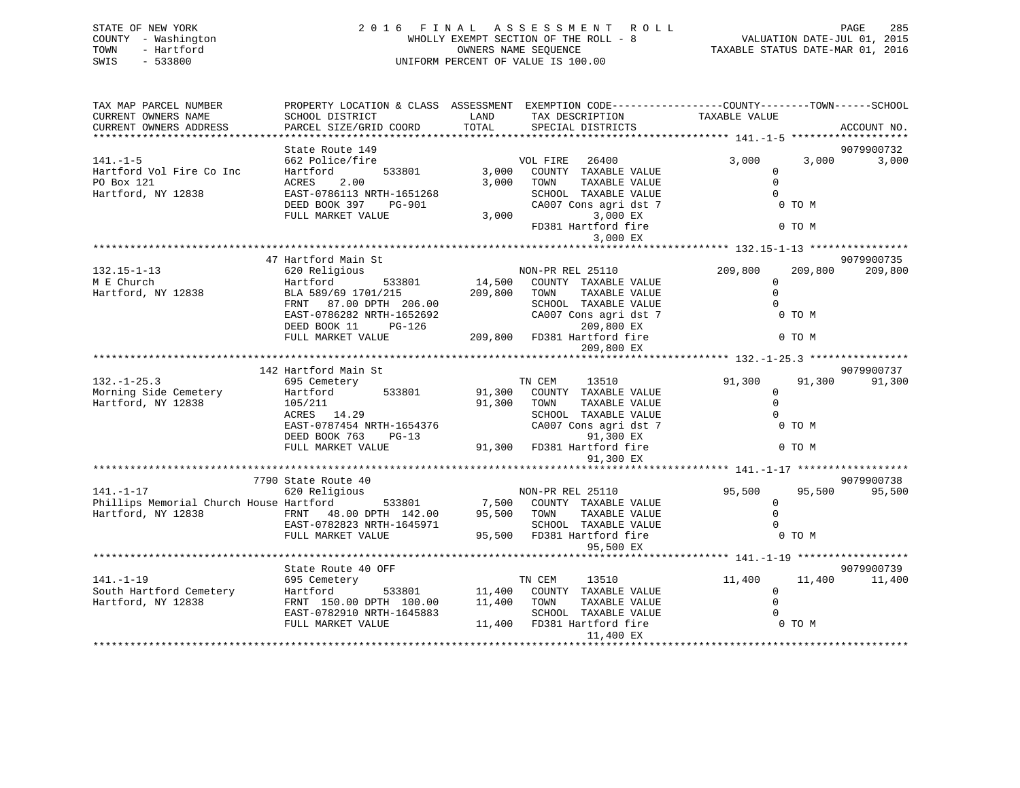| STATE OF NEW YORK<br>COUNTY - Washington<br>- Hartford<br>TOWN<br>SWIS<br>$-533800$ | 2016 FINAL ASSESSMENT<br>WHOLLY EXEMPT SECTION OF THE ROLL - 8<br>UNIFORM PERCENT OF VALUE IS 100.00 | VALUATION DATE-JUL 01, 2015<br>TAXABLE STATUS DATE-MAR 01, 2016 | PAGE<br>285                                                                                                                            |                                          |                       |
|-------------------------------------------------------------------------------------|------------------------------------------------------------------------------------------------------|-----------------------------------------------------------------|----------------------------------------------------------------------------------------------------------------------------------------|------------------------------------------|-----------------------|
| TAX MAP PARCEL NUMBER<br>CURRENT OWNERS NAME<br>CURRENT OWNERS ADDRESS              | SCHOOL DISTRICT<br>PARCEL SIZE/GRID COORD                                                            | LAND<br>TOTAL                                                   | PROPERTY LOCATION & CLASS ASSESSMENT EXEMPTION CODE---------------COUNTY-------TOWN-----SCHOOL<br>TAX DESCRIPTION<br>SPECIAL DISTRICTS | TAXABLE VALUE                            | ACCOUNT NO.           |
|                                                                                     |                                                                                                      |                                                                 |                                                                                                                                        |                                          |                       |
|                                                                                     | State Route 149                                                                                      |                                                                 |                                                                                                                                        |                                          | 9079900732            |
| $141. - 1 - 5$                                                                      | 662 Police/fire                                                                                      |                                                                 | VOL FIRE<br>26400                                                                                                                      | 3,000<br>3,000                           | 3,000                 |
| Hartford Vol Fire Co Inc                                                            | Hartford<br>533801                                                                                   |                                                                 | 3,000 COUNTY TAXABLE VALUE                                                                                                             | $\mathbf 0$                              |                       |
| PO Box 121                                                                          | 2.00<br><b>ACRES</b>                                                                                 |                                                                 | 3,000 TOWN<br>TAXABLE VALUE                                                                                                            | $\Omega$                                 |                       |
| Hartford, NY 12838                                                                  | EAST-0786113 NRTH-1651268                                                                            |                                                                 | SCHOOL TAXABLE VALUE                                                                                                                   | $\Omega$                                 |                       |
|                                                                                     | DEED BOOK 397<br>PG-901                                                                              |                                                                 | CA007 Cons agri dst 7                                                                                                                  | 0 TO M                                   |                       |
|                                                                                     | FULL MARKET VALUE                                                                                    | 3,000                                                           | 3,000 EX                                                                                                                               |                                          |                       |
|                                                                                     |                                                                                                      |                                                                 | FD381 Hartford fire                                                                                                                    | 0 TO M                                   |                       |
|                                                                                     |                                                                                                      |                                                                 | 3,000 EX                                                                                                                               |                                          |                       |
|                                                                                     |                                                                                                      |                                                                 |                                                                                                                                        |                                          |                       |
| $132.15 - 1 - 13$                                                                   | 47 Hartford Main St<br>620 Religious                                                                 |                                                                 | NON-PR REL 25110                                                                                                                       | 209,800<br>209,800                       | 9079900735<br>209,800 |
| M E Church                                                                          | Hartford                                                                                             |                                                                 | 14,500 COUNTY TAXABLE VALUE                                                                                                            | $\mathbf 0$                              |                       |
| Hartford, NY 12838                                                                  | 533801<br>BLA 589/69 1701/215                                                                        | 209,800 TOWN                                                    | TAXABLE VALUE                                                                                                                          | $\Omega$                                 |                       |
|                                                                                     | FRNT 87.00 DPTH 206.00                                                                               |                                                                 | SCHOOL TAXABLE VALUE                                                                                                                   | $\Omega$                                 |                       |
|                                                                                     | EAST-0786282 NRTH-1652692                                                                            |                                                                 | CA007 Cons agri dst 7                                                                                                                  | 0 TO M                                   |                       |
|                                                                                     | DEED BOOK 11<br>$PG-126$                                                                             |                                                                 | 209,800 EX                                                                                                                             |                                          |                       |
|                                                                                     | FULL MARKET VALUE                                                                                    |                                                                 | 209,800 FD381 Hartford fire                                                                                                            | 0 TO M                                   |                       |
|                                                                                     |                                                                                                      |                                                                 | 209,800 EX                                                                                                                             |                                          |                       |
|                                                                                     |                                                                                                      |                                                                 |                                                                                                                                        |                                          |                       |
|                                                                                     | 142 Hartford Main St                                                                                 |                                                                 |                                                                                                                                        |                                          | 9079900737            |
| $132. - 1 - 25.3$                                                                   | 695 Cemetery                                                                                         |                                                                 | TN CEM<br>13510                                                                                                                        | 91,300<br>91,300                         | 91,300                |
| Morning Side Cemetery                                                               | Hartford<br>533801                                                                                   | 91,300                                                          | COUNTY TAXABLE VALUE                                                                                                                   | 0                                        |                       |
| Hartford, NY 12838                                                                  | 105/211                                                                                              | 91,300                                                          | TOWN<br>TAXABLE VALUE                                                                                                                  | $\mathbf 0$                              |                       |
|                                                                                     | ACRES 14.29                                                                                          |                                                                 | SCHOOL TAXABLE VALUE                                                                                                                   | $\Omega$                                 |                       |
|                                                                                     | EAST-0787454 NRTH-1654376                                                                            |                                                                 | CA007 Cons agri dst 7                                                                                                                  | 0 TO M                                   |                       |
|                                                                                     | DEED BOOK 763<br>$PG-13$                                                                             |                                                                 | 91,300 EX                                                                                                                              |                                          |                       |
|                                                                                     | FULL MARKET VALUE                                                                                    |                                                                 | 91,300 FD381 Hartford fire                                                                                                             | 0 TO M                                   |                       |
|                                                                                     |                                                                                                      |                                                                 | 91,300 EX                                                                                                                              |                                          |                       |
|                                                                                     |                                                                                                      |                                                                 |                                                                                                                                        |                                          |                       |
|                                                                                     | 7790 State Route 40                                                                                  |                                                                 |                                                                                                                                        |                                          | 9079900738            |
| $141. - 1 - 17$                                                                     | 620 Religious                                                                                        |                                                                 | NON-PR REL 25110                                                                                                                       | 95,500<br>95,500                         | 95,500                |
| Phillips Memorial Church House Hartford                                             | 533801                                                                                               |                                                                 | 7,500 COUNTY TAXABLE VALUE                                                                                                             | $\mathbf{0}$                             |                       |
| Hartford, NY 12838                                                                  | FRNT 48.00 DPTH 142.00                                                                               | 95,500 TOWN                                                     | TAXABLE VALUE                                                                                                                          | $\Omega$                                 |                       |
|                                                                                     | EAST-0782823 NRTH-1645971                                                                            |                                                                 | SCHOOL TAXABLE VALUE                                                                                                                   |                                          |                       |
|                                                                                     | FULL MARKET VALUE                                                                                    |                                                                 | 95,500 FD381 Hartford fire                                                                                                             | 0 TO M                                   |                       |
|                                                                                     |                                                                                                      |                                                                 | 95,500 EX                                                                                                                              |                                          |                       |
|                                                                                     |                                                                                                      |                                                                 |                                                                                                                                        | ************ 141.-1-19 ***************** |                       |

|                         | State Route 40 OFF        |        |        |                     |                  | 9079900739 |
|-------------------------|---------------------------|--------|--------|---------------------|------------------|------------|
| $141. - 1 - 19$         | 695 Cemetery              |        | TN CEM | 13510               | 11,400<br>11,400 | 11,400     |
| South Hartford Cemetery | Hartford<br>533801        | 11,400 | COUNTY | TAXABLE VALUE       |                  |            |
| Hartford, NY 12838      | FRNT 150.00 DPTH 100.00   | 11,400 | TOWN   | TAXABLE VALUE       |                  |            |
|                         | EAST-0782910 NRTH-1645883 |        | SCHOOL | TAXABLE VALUE       |                  |            |
|                         | FULL MARKET VALUE         | 11,400 |        | FD381 Hartford fire | 0 TO M           |            |
|                         |                           |        |        | 11,400 EX           |                  |            |
|                         |                           |        |        |                     |                  |            |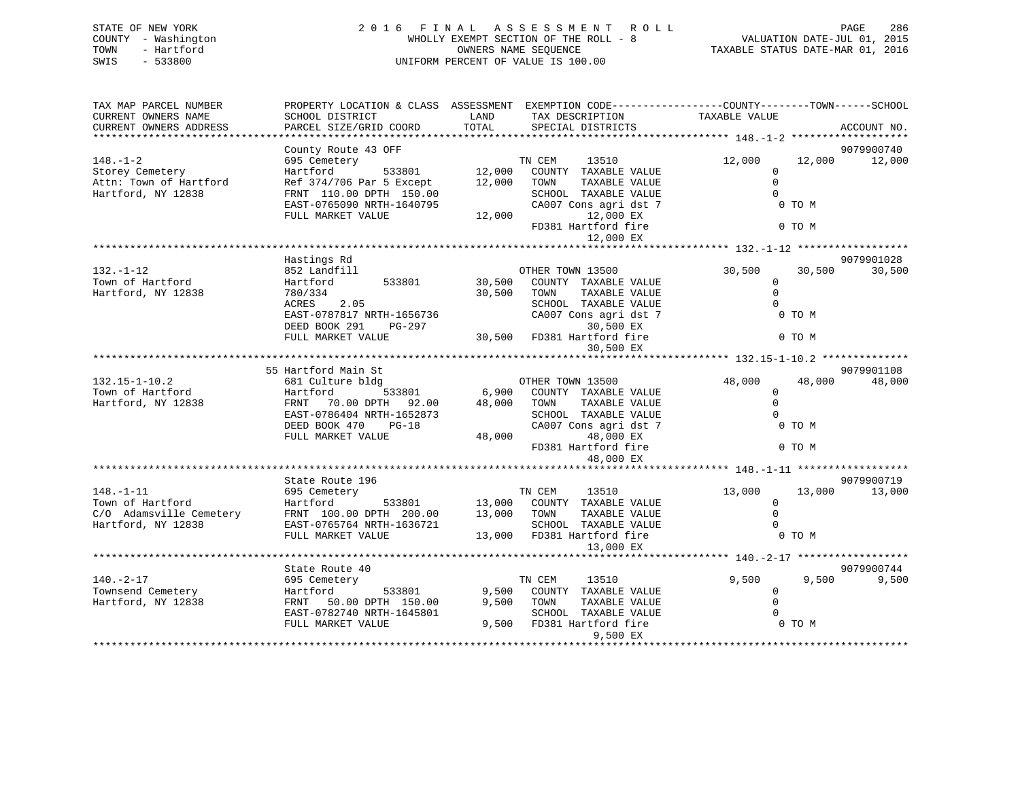|      | STATE OF NEW YORK   | 2016 FINAL ASSESSMENT ROLL            | -286<br>PAGE                     |
|------|---------------------|---------------------------------------|----------------------------------|
|      | COUNTY - Washington | WHOLLY EXEMPT SECTION OF THE ROLL - 8 | VALUATION DATE-JUL 01, 2015      |
| TOWN | - Hartford          | OWNERS NAME SEOUENCE                  | TAXABLE STATUS DATE-MAR 01, 2016 |
| SWIS | $-533800$           | UNIFORM PERCENT OF VALUE IS 100.00    |                                  |
|      |                     |                                       |                                  |
|      |                     |                                       |                                  |

| TAX MAP PARCEL NUMBER   | PROPERTY LOCATION & CLASS ASSESSMENT EXEMPTION CODE----------------COUNTY-------TOWN------SCHOOL |             |                                                                           |                |        |             |
|-------------------------|--------------------------------------------------------------------------------------------------|-------------|---------------------------------------------------------------------------|----------------|--------|-------------|
| CURRENT OWNERS NAME     | SCHOOL DISTRICT                                                                                  | LAND        | TAX DESCRIPTION                                                           | TAXABLE VALUE  |        |             |
| CURRENT OWNERS ADDRESS  | PARCEL SIZE/GRID COORD                                                                           | TOTAL       | SPECIAL DISTRICTS                                                         |                |        | ACCOUNT NO. |
|                         |                                                                                                  |             |                                                                           |                |        |             |
|                         | County Route 43 OFF                                                                              |             |                                                                           |                |        | 9079900740  |
| $148. - 1 - 2$          | 695 Cemetery                                                                                     |             | TN CEM<br>13510                                                           | 12,000         | 12,000 | 12,000      |
|                         |                                                                                                  |             |                                                                           |                |        |             |
| Storey Cemetery         | $533801$ 12,000<br>Hartford                                                                      |             | COUNTY TAXABLE VALUE                                                      | $\Omega$       |        |             |
| Attn: Town of Hartford  | Ref 374/706 Par 5 Except                                                                         | 12,000      | TAXABLE VALUE<br>TOWN                                                     | $\Omega$       |        |             |
| Hartford, NY 12838      | FRNT 110.00 DPTH 150.00                                                                          |             | SCHOOL TAXABLE VALUE                                                      | $\Omega$       |        |             |
|                         | EAST-0765090 NRTH-1640795                                                                        |             | CA007 Cons agri dst 7                                                     |                | 0 TO M |             |
|                         | FULL MARKET VALUE                                                                                | 12,000      | 12,000 EX                                                                 |                |        |             |
|                         |                                                                                                  |             | FD381 Hartford fire                                                       |                | 0 TO M |             |
|                         |                                                                                                  |             | 12,000 EX                                                                 |                |        |             |
|                         |                                                                                                  |             |                                                                           |                |        |             |
|                         | Hastings Rd                                                                                      |             |                                                                           |                |        | 9079901028  |
|                         |                                                                                                  |             |                                                                           |                |        | 30,500      |
| $132. - 1 - 12$         | 852 Landfill                                                                                     |             | OTHER TOWN 13500                                                          | 30,500         | 30,500 |             |
| Town of Hartford        | 533801<br>Hartford                                                                               | 30,500      | COUNTY TAXABLE VALUE                                                      | $\overline{0}$ |        |             |
| Hartford, NY 12838      | 780/334                                                                                          | 30,500 TOWN | TAXABLE VALUE                                                             | $\Omega$       |        |             |
|                         | ACRES<br>2.05                                                                                    |             | SCHOOL TAXABLE VALUE                                                      | $\Omega$       |        |             |
|                         | EAST-0787817 NRTH-1656736                                                                        |             | CA007 Cons agri dst 7                                                     |                | 0 TO M |             |
|                         | DEED BOOK 291<br>PG-297                                                                          |             | 30,500 EX                                                                 |                |        |             |
|                         | FULL MARKET VALUE                                                                                |             | 30,500 FD381 Hartford fire                                                |                | 0 TO M |             |
|                         |                                                                                                  |             | 30,500 EX                                                                 |                |        |             |
|                         |                                                                                                  |             |                                                                           |                |        |             |
|                         | 55 Hartford Main St                                                                              |             |                                                                           |                |        | 9079901108  |
| $132.15 - 1 - 10.2$     |                                                                                                  |             |                                                                           | 48,000         | 48,000 | 48,000      |
|                         | 681 Culture bldg                                                                                 |             | OTHER TOWN 13500<br>6,900 COUNTY TAXABLE VALUE                            |                |        |             |
| Town of Hartford        | Hartford<br>533801                                                                               |             |                                                                           | $\Omega$       |        |             |
| Hartford, NY 12838      | FRNT<br>70.00 DPTH 92.00                                                                         | 48,000 TOWN | TAXABLE VALUE                                                             | $\Omega$       |        |             |
|                         | EAST-0786404 NRTH-1652873                                                                        |             | SCHOOL TAXABLE VALUE                                                      | $\Omega$       |        |             |
|                         | DEED BOOK 470<br>$PG-18$                                                                         |             | CA007 Cons agri dst 7                                                     | 0 TO M         |        |             |
|                         | FULL MARKET VALUE                                                                                | 48,000      | 48,000 EX                                                                 |                |        |             |
|                         |                                                                                                  |             | FD381 Hartford fire                                                       | O TO M         |        |             |
|                         |                                                                                                  |             | 48,000 EX                                                                 |                |        |             |
|                         |                                                                                                  |             |                                                                           |                |        |             |
|                         | State Route 196                                                                                  |             |                                                                           |                |        | 9079900719  |
| $148. - 1 - 11$         | 695 Cemetery                                                                                     |             | TN CEM<br>13510                                                           | 13,000         | 13,000 | 13,000      |
| Town of Hartford        | Hartford                                                                                         |             |                                                                           | $\mathbf 0$    |        |             |
| C/O Adamsville Cemetery |                                                                                                  |             | 533801 13,000 COUNTY TAXABLE VALUE<br>TH 200.00 13,000 TOWN TAXABLE VALUE |                |        |             |
|                         | FRNT 100.00 DPTH 200.00                                                                          |             |                                                                           | $\Omega$       |        |             |
| Hartford, NY 12838      | EAST-0765764 NRTH-1636721                                                                        |             | SCHOOL TAXABLE VALUE                                                      | $\Omega$       |        |             |
|                         | FULL MARKET VALUE                                                                                |             | 13,000 FD381 Hartford fire                                                | $0$ TO M       |        |             |
|                         |                                                                                                  |             | 13,000 EX                                                                 |                |        |             |
|                         |                                                                                                  |             |                                                                           |                |        |             |
|                         | State Route 40                                                                                   |             |                                                                           |                |        | 9079900744  |
| $140. - 2 - 17$         | 695 Cemetery                                                                                     |             | 13510<br>TN CEM                                                           | 9,500          | 9,500  | 9,500       |
| Townsend Cemetery       | 533801<br>Hartford                                                                               | 9,500       | COUNTY TAXABLE VALUE                                                      | $\mathbf{0}$   |        |             |
| Hartford, NY 12838      | 50.00 DPTH 150.00<br>FRNT                                                                        | 9,500       | TOWN<br>TAXABLE VALUE                                                     | $\Omega$       |        |             |
|                         | EAST-0782740 NRTH-1645801                                                                        |             | SCHOOL TAXABLE VALUE                                                      | $\Omega$       |        |             |
|                         |                                                                                                  |             | 9,500 FD381 Hartford fire                                                 | 0 TO M         |        |             |
|                         | FULL MARKET VALUE                                                                                |             |                                                                           |                |        |             |
|                         |                                                                                                  |             | 9,500 EX                                                                  |                |        |             |
|                         |                                                                                                  |             |                                                                           |                |        |             |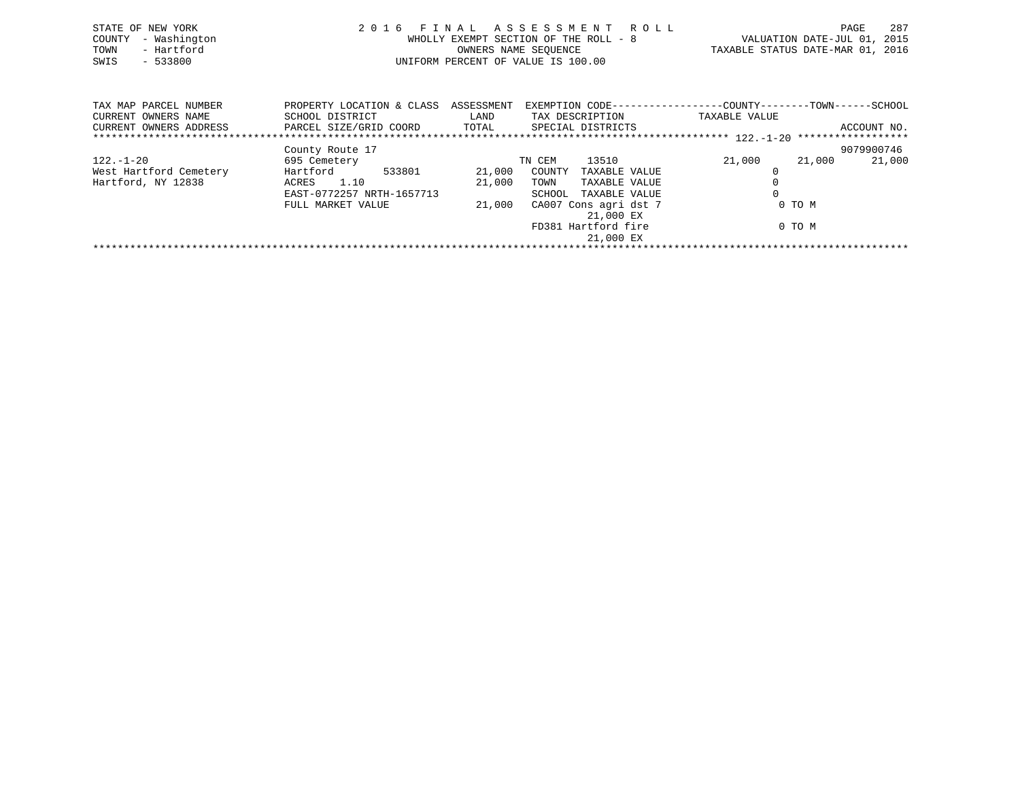| STATE OF NEW YORK<br>- Washington<br>COUNTY<br>- Hartford<br>TOWN<br>$-533800$<br>SWIS |                                                                                   |               | 2016 FINAL ASSESSMENT ROLL<br>WHOLLY EXEMPT SECTION OF THE ROLL - 8<br>OWNERS NAME SEQUENCE<br>UNIFORM PERCENT OF VALUE IS 100.00 | TAXABLE STATUS DATE-MAR 01, 2016 | PAGE<br>VALUATION DATE-JUL 01, 2015 | 287 |
|----------------------------------------------------------------------------------------|-----------------------------------------------------------------------------------|---------------|-----------------------------------------------------------------------------------------------------------------------------------|----------------------------------|-------------------------------------|-----|
| TAX MAP PARCEL NUMBER<br>CURRENT OWNERS NAME<br>CURRENT OWNERS ADDRESS                 | PROPERTY LOCATION & CLASS ASSESSMENT<br>SCHOOL DISTRICT<br>PARCEL SIZE/GRID COORD | LAND<br>TOTAL | EXEMPTION CODE-----------------COUNTY--------TOWN------SCHOOL<br>TAX DESCRIPTION<br>SPECIAL DISTRICTS                             | TAXABLE VALUE                    | ACCOUNT NO.                         |     |
|                                                                                        | County Route 17                                                                   |               |                                                                                                                                   |                                  | 9079900746                          |     |

122.-1-20 695 Cemetery TN CEM 13510 21,000 21,000 21,000

\*\*\*\*\*\*\*\*\*\*\*\*\*\*\*\*\*\*\*\*\*\*\*\*\*\*\*\*\*\*\*\*\*\*\*\*\*\*\*\*\*\*\*\*\*\*\*\*\*\*\*\*\*\*\*\*\*\*\*\*\*\*\*\*\*\*\*\*\*\*\*\*\*\*\*\*\*\*\*\*\*\*\*\*\*\*\*\*\*\*\*\*\*\*\*\*\*\*\*\*\*\*\*\*\*\*\*\*\*\*\*\*\*\*\*\*\*\*\*\*\*\*\*\*\*\*\*\*\*\*\*\*

 EAST-0772257 NRTH-1657713 SCHOOL TAXABLE VALUE 0FULL MARKET VALUE  $21,000$  CA007 Cons agri dst 7 0 TO M

21,000 EX

21,000 EX

FD381 Hartford fire 0 TO M

West Hartford Cemetery Hartford 533801 21,000 COUNTY TAXABLE VALUE 0

Hartford, NY 12838 ACRES 1.10 21,000 TOWN TAXABLE VALUE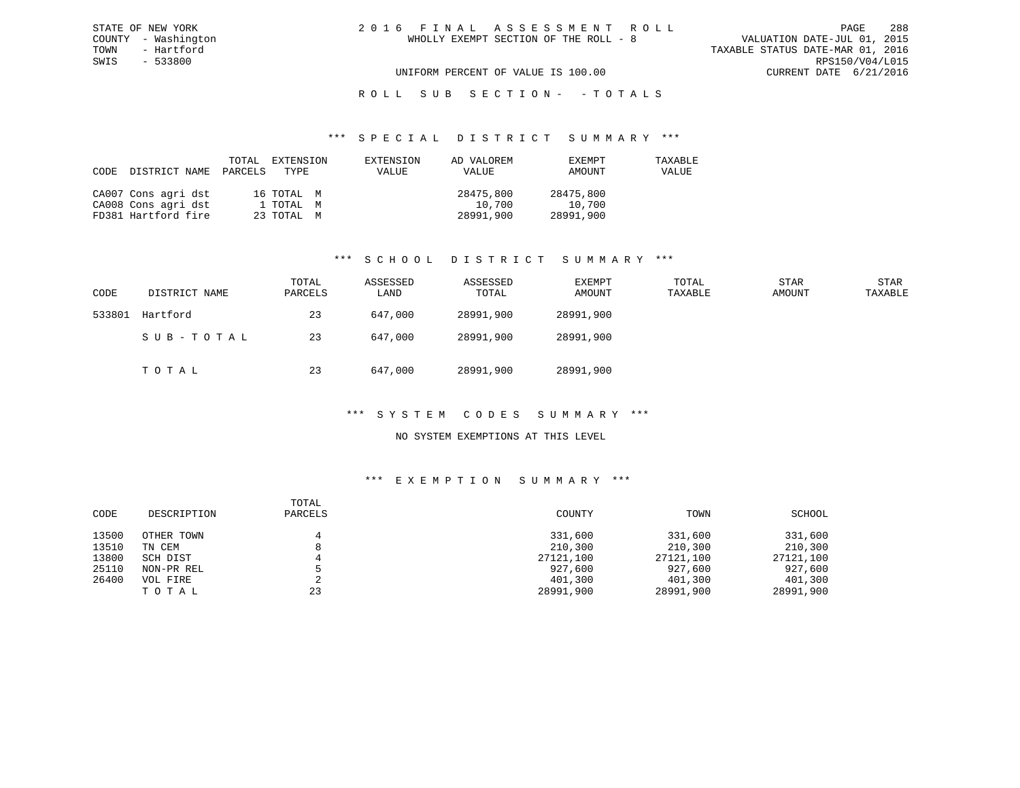## R O L L S U B S E C T I O N - - T O T A L S

#### \*\*\* S P E C I A L D I S T R I C T S U M M A R Y \*\*\*

| CODE | DISTRICT NAME       | PARCELS | TOTAL EXTENSION<br>TYPE | EXTENSION<br>VALUE | AD VALOREM<br>VALUE | EXEMPT<br>AMOUNT | TAXABLE<br>VALUE |
|------|---------------------|---------|-------------------------|--------------------|---------------------|------------------|------------------|
|      | CA007 Cons agri dst |         | 16 TOTAL M              |                    | 28475,800           | 28475,800        |                  |
|      | CA008 Cons agri dst |         | 1 TOTAL M               |                    | 10,700              | 10,700           |                  |
|      | FD381 Hartford fire |         | 23 TOTAL M              |                    | 28991,900           | 28991,900        |                  |

#### \*\*\* S C H O O L D I S T R I C T S U M M A R Y \*\*\*

| CODE   | DISTRICT NAME | TOTAL<br>PARCELS | ASSESSED<br>LAND | ASSESSED<br>TOTAL | EXEMPT<br>AMOUNT | TOTAL<br>TAXABLE | <b>STAR</b><br>AMOUNT | STAR<br>TAXABLE |
|--------|---------------|------------------|------------------|-------------------|------------------|------------------|-----------------------|-----------------|
| 533801 | Hartford      | 23               | 647,000          | 28991,900         | 28991,900        |                  |                       |                 |
|        | SUB-TOTAL     | 23               | 647,000          | 28991,900         | 28991,900        |                  |                       |                 |
|        | TOTAL         | 23               | 647,000          | 28991,900         | 28991,900        |                  |                       |                 |

### \*\*\* S Y S T E M C O D E S S U M M A R Y \*\*\*

### NO SYSTEM EXEMPTIONS AT THIS LEVEL

#### \*\*\* E X E M P T I O N S U M M A R Y \*\*\*

| CODE  | DESCRIPTION | TOTAL<br>PARCELS | COUNTY    | TOWN      | SCHOOL    |
|-------|-------------|------------------|-----------|-----------|-----------|
| 13500 | OTHER TOWN  |                  | 331,600   | 331,600   | 331,600   |
| 13510 | TN CEM      | 8                | 210,300   | 210,300   | 210,300   |
| 13800 | SCH DIST    |                  | 27121,100 | 27121,100 | 27121,100 |
| 25110 | NON-PR REL  |                  | 927,600   | 927,600   | 927,600   |
| 26400 | VOL FIRE    |                  | 401,300   | 401,300   | 401,300   |
|       | TOTAL       | 23               | 28991,900 | 28991,900 | 28991,900 |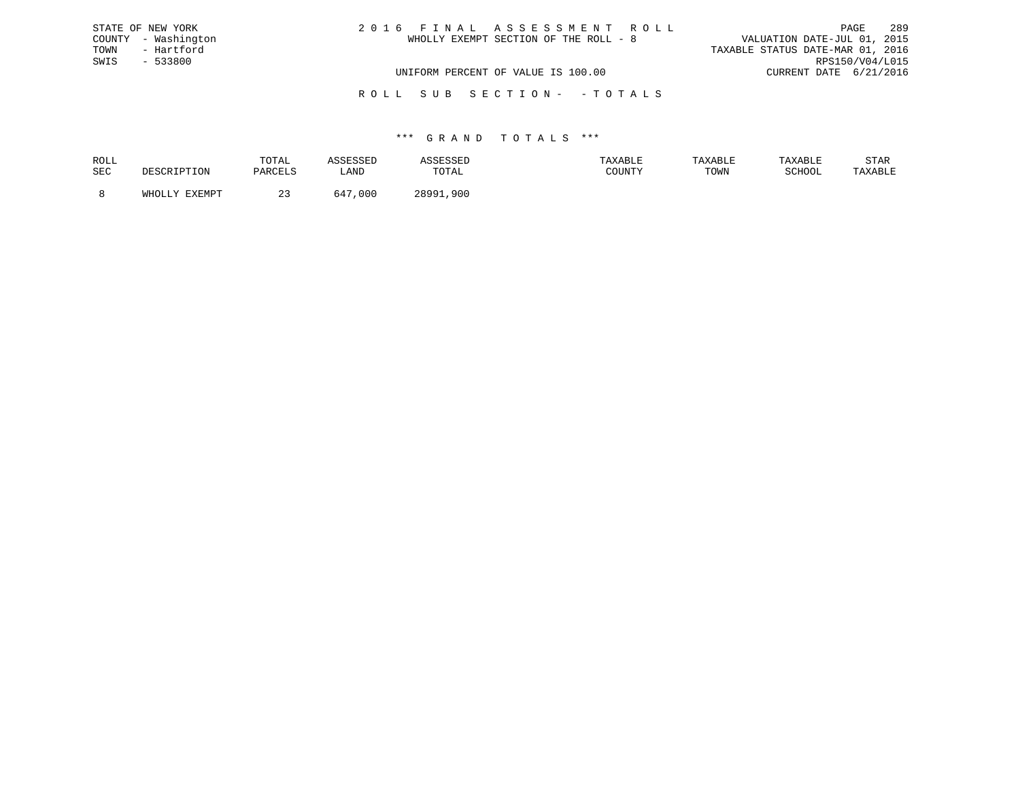| STATE OF NEW YORK   | 2016 FINAL ASSESSMENT ROLL            | 289<br>PAGE                      |
|---------------------|---------------------------------------|----------------------------------|
| COUNTY - Washington | WHOLLY EXEMPT SECTION OF THE ROLL - 8 | VALUATION DATE-JUL 01, 2015      |
| TOWN<br>- Hartford  |                                       | TAXABLE STATUS DATE-MAR 01, 2016 |
| SWIS<br>- 533800    |                                       | RPS150/V04/L015                  |
|                     | UNIFORM PERCENT OF VALUE IS 100.00    | CURRENT DATE 6/21/2016           |
|                     |                                       |                                  |

R O L L S U B S E C T I O N - - T O T A L S

## \*\*\* G R A N D T O T A L S \*\*\*

| ROLL       |               | TOTAL    |                    |                     |        | TAXABLE | TAXARI.F          | STAR    |
|------------|---------------|----------|--------------------|---------------------|--------|---------|-------------------|---------|
| <b>SEC</b> |               | DARCFI.S | LAND               | <b>TOTA1</b><br>◡∸▱ | COUNTY | TOWN    | $\alpha$ $\alpha$ | TAXABLE |
|            | <b>TVEMDT</b> |          | $64^\circ$<br>.000 | $20001$<br>.900     |        |         |                   |         |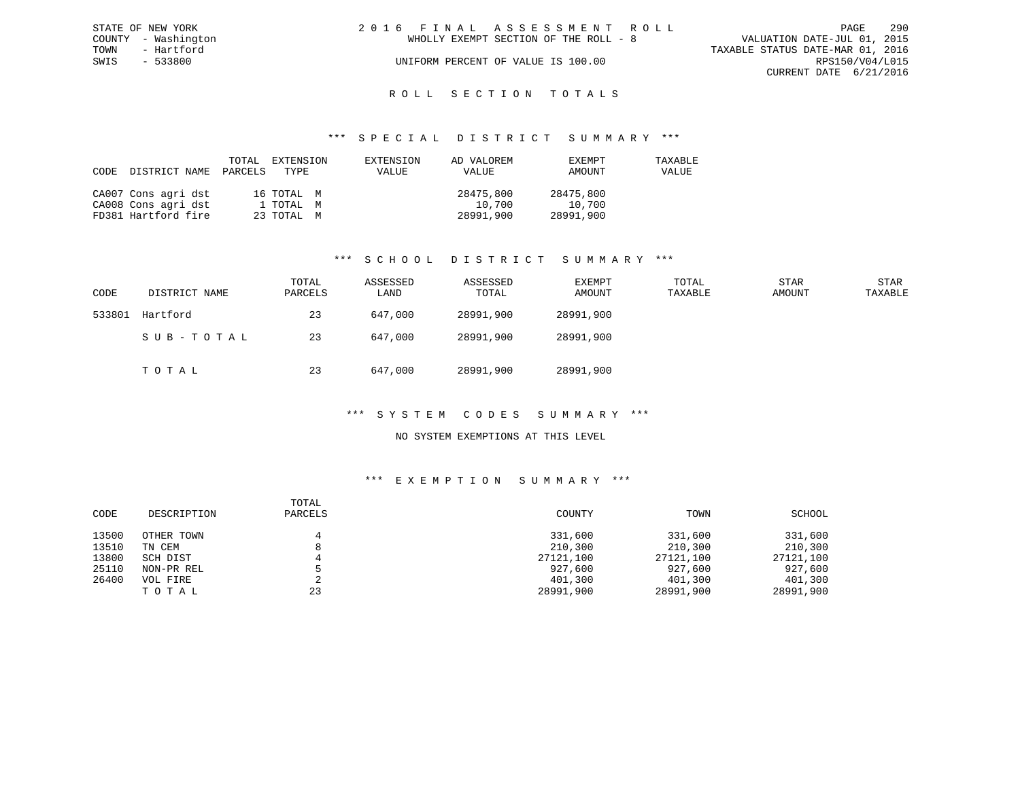| STATE OF NEW YORK   | 2016 FINAL ASSESSMENT ROLL            | - 290<br>PAGE                    |
|---------------------|---------------------------------------|----------------------------------|
| COUNTY - Washington | WHOLLY EXEMPT SECTION OF THE ROLL - 8 | VALUATION DATE-JUL 01, 2015      |
| TOWN<br>- Hartford  |                                       | TAXABLE STATUS DATE-MAR 01, 2016 |
| SWIS<br>- 533800    | UNIFORM PERCENT OF VALUE IS 100.00    | RPS150/V04/L015                  |
|                     |                                       | CURRENT DATE 6/21/2016           |
|                     |                                       |                                  |

## ROLL SECTION TOTALS

#### \*\*\* S P E C I A L D I S T R I C T S U M M A R Y \*\*\*

| CODE | DISTRICT NAME PARCELS | TOTAL | EXTENSION<br>TYPE | EXTENSION<br>VALUE | AD VALOREM<br>VALUE | EXEMPT<br>AMOUNT | TAXABLE<br>VALUE |
|------|-----------------------|-------|-------------------|--------------------|---------------------|------------------|------------------|
|      | CA007 Cons agri dst   |       | 16 TOTAL M        |                    | 28475,800           | 28475,800        |                  |
|      | CA008 Cons agri dst   |       | 1 TOTAL M         |                    | 10,700              | 10,700           |                  |
|      | FD381 Hartford fire   |       | 23 TOTAL M        |                    | 28991,900           | 28991,900        |                  |

## \*\*\* S C H O O L D I S T R I C T S U M M A R Y \*\*\*

| CODE   | DISTRICT NAME | TOTAL<br>PARCELS | ASSESSED<br>LAND | ASSESSED<br>TOTAL | EXEMPT<br>AMOUNT | TOTAL<br>TAXABLE | <b>STAR</b><br>AMOUNT | <b>STAR</b><br>TAXABLE |
|--------|---------------|------------------|------------------|-------------------|------------------|------------------|-----------------------|------------------------|
| 533801 | Hartford      | 23               | 647,000          | 28991,900         | 28991,900        |                  |                       |                        |
|        | SUB-TOTAL     | 23               | 647,000          | 28991,900         | 28991,900        |                  |                       |                        |
|        | тотаь         | 23               | 647,000          | 28991,900         | 28991,900        |                  |                       |                        |

#### \*\*\* S Y S T E M C O D E S S U M M A R Y \*\*\*

## NO SYSTEM EXEMPTIONS AT THIS LEVEL

| CODE  | DESCRIPTION | TOTAL<br>PARCELS | COUNTY    | TOWN      | SCHOOL    |
|-------|-------------|------------------|-----------|-----------|-----------|
| 13500 | OTHER TOWN  |                  | 331,600   | 331,600   | 331,600   |
| 13510 | TN CEM      | o                | 210,300   | 210,300   | 210,300   |
| 13800 | SCH DIST    |                  | 27121,100 | 27121,100 | 27121,100 |
| 25110 | NON-PR REL  |                  | 927,600   | 927,600   | 927,600   |
| 26400 | VOL FIRE    |                  | 401,300   | 401,300   | 401,300   |
|       | TOTAL       | 23               | 28991,900 | 28991,900 | 28991,900 |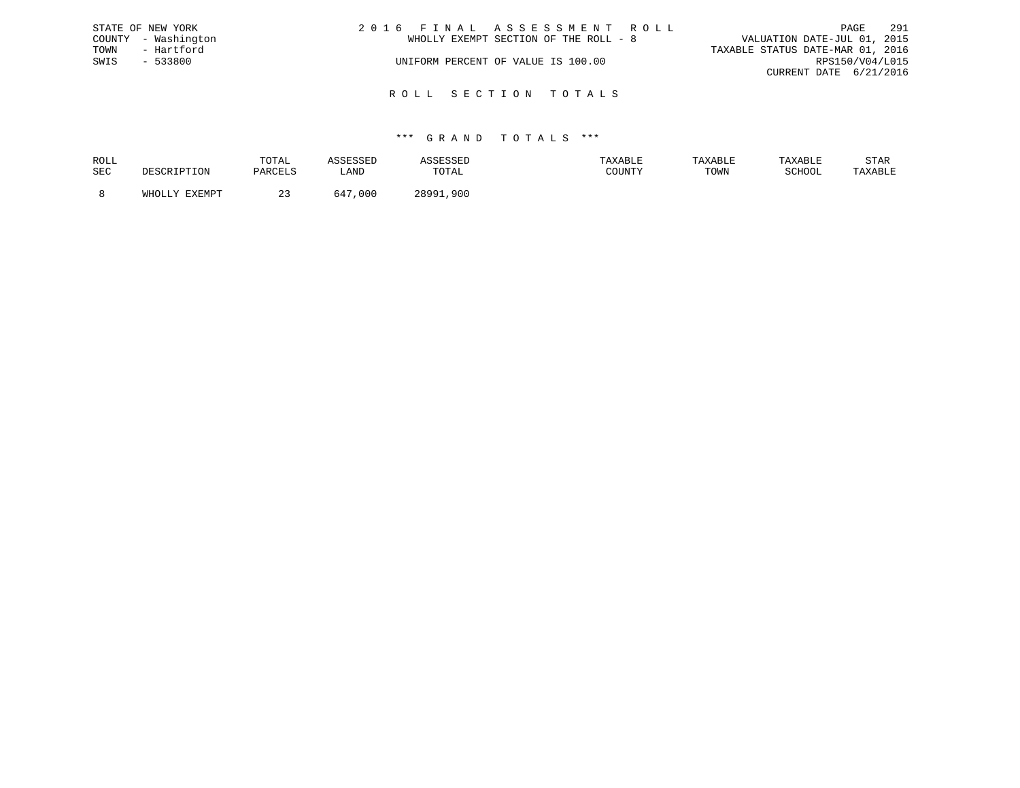|      | STATE OF NEW YORK   | 2016 FINAL ASSESSMENT ROLL            | 291<br>PAGE                      |
|------|---------------------|---------------------------------------|----------------------------------|
|      | COUNTY - Washington | WHOLLY EXEMPT SECTION OF THE ROLL - 8 | VALUATION DATE-JUL 01, 2015      |
| TOWN | - Hartford          |                                       | TAXABLE STATUS DATE-MAR 01, 2016 |
| SWIS | $-533800$           | UNIFORM PERCENT OF VALUE IS 100.00    | RPS150/V04/L015                  |
|      |                     |                                       | CURRENT DATE 6/21/2016           |
|      |                     |                                       |                                  |

R O L L S E C T I O N T O T A L S

## \*\*\* G R A N D T O T A L S \*\*\*

| SEC    | DARCFI.S | ≒AND        |              |                                         |      |        |         |
|--------|----------|-------------|--------------|-----------------------------------------|------|--------|---------|
|        |          |             | TOTAL        | $C$ $C$ $T$ $T$ $T$ $T$ $T$ $T$ $T$ $T$ | TOWN | SCHOOL | TAXABLE |
| FYFMDT |          | ,000<br>647 | 28991<br>900 |                                         |      |        |         |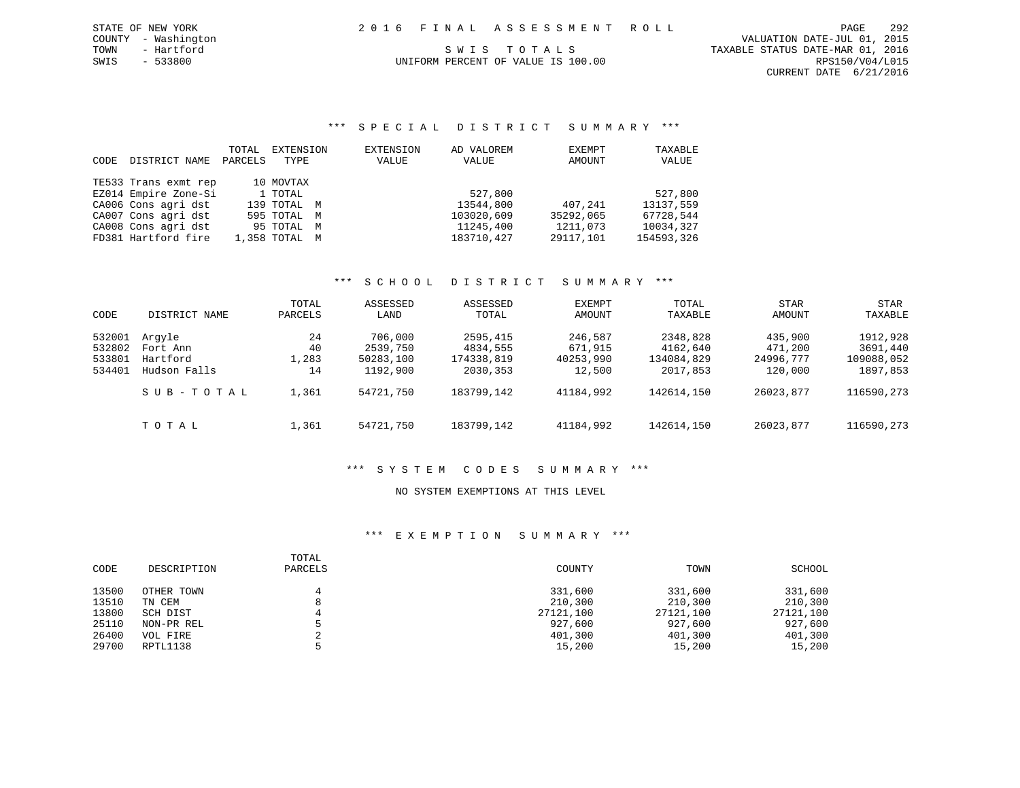# SWIS - 533800 UNIFORM PERCENT OF VALUE IS 100.00 RPS150/V04/L015

CURRENT DATE 6/21/2016

## \*\*\* S P E C I A L D I S T R I C T S U M M A R Y \*\*\*

| CODE | DISTRICT NAME        | TOTAL<br>PARCELS | EXTENSION<br>TYPE | EXTENSION<br>VALUE | AD VALOREM<br>VALUE | EXEMPT<br>AMOUNT | TAXABLE<br>VALUE |
|------|----------------------|------------------|-------------------|--------------------|---------------------|------------------|------------------|
|      | TE533 Trans exmt rep |                  | 10 MOVTAX         |                    |                     |                  |                  |
|      | EZ014 Empire Zone-Si |                  | 1 TOTAL           |                    | 527,800             |                  | 527,800          |
|      | CA006 Cons agri dst  |                  | 139 TOTAL M       |                    | 13544,800           | 407,241          | 13137,559        |
|      | CA007 Cons agri dst  |                  | 595 TOTAL M       |                    | 103020,609          | 35292,065        | 67728.544        |
|      | CA008 Cons agri dst  |                  | 95 TOTAL M        |                    | 11245,400           | 1211,073         | 10034,327        |
|      | FD381 Hartford fire  |                  | 1,358 TOTAL M     |                    | 183710,427          | 29117,101        | 154593,326       |

## \*\*\* S C H O O L D I S T R I C T S U M M A R Y \*\*\*

| CODE                                 | DISTRICT NAME                                  | TOTAL<br>PARCELS        | ASSESSED<br>LAND                             | ASSESSED<br>TOTAL                               | EXEMPT<br>AMOUNT                          | TOTAL<br>TAXABLE                               | STAR<br>AMOUNT                             | <b>STAR</b><br>TAXABLE                         |
|--------------------------------------|------------------------------------------------|-------------------------|----------------------------------------------|-------------------------------------------------|-------------------------------------------|------------------------------------------------|--------------------------------------------|------------------------------------------------|
| 532001<br>532802<br>533801<br>534401 | Arqyle<br>Fort Ann<br>Hartford<br>Hudson Falls | 24<br>40<br>1,283<br>14 | 706,000<br>2539,750<br>50283,100<br>1192,900 | 2595,415<br>4834,555<br>174338,819<br>2030, 353 | 246,587<br>671,915<br>40253,990<br>12,500 | 2348,828<br>4162,640<br>134084,829<br>2017,853 | 435,900<br>471,200<br>24996,777<br>120,000 | 1912,928<br>3691,440<br>109088,052<br>1897,853 |
|                                      | SUB-TOTAL                                      | 1,361                   | 54721,750                                    | 183799,142                                      | 41184,992                                 | 142614,150                                     | 26023,877                                  | 116590,273                                     |
|                                      | TOTAL                                          | 1,361                   | 54721,750                                    | 183799,142                                      | 41184,992                                 | 142614,150                                     | 26023,877                                  | 116590,273                                     |

## \*\*\* S Y S T E M C O D E S S U M M A R Y \*\*\*

## NO SYSTEM EXEMPTIONS AT THIS LEVEL

| CODE  | DESCRIPTION | TOTAL<br>PARCELS | COUNTY    | TOWN      | SCHOOL    |
|-------|-------------|------------------|-----------|-----------|-----------|
| 13500 | OTHER TOWN  |                  | 331,600   | 331,600   | 331,600   |
| 13510 | TN CEM      | $\circ$          | 210,300   | 210,300   | 210,300   |
| 13800 | SCH DIST    |                  | 27121,100 | 27121,100 | 27121,100 |
| 25110 | NON-PR REL  |                  | 927,600   | 927,600   | 927,600   |
| 26400 | VOL FIRE    |                  | 401,300   | 401,300   | 401,300   |
| 29700 | RPTL1138    |                  | 15,200    | 15,200    | 15,200    |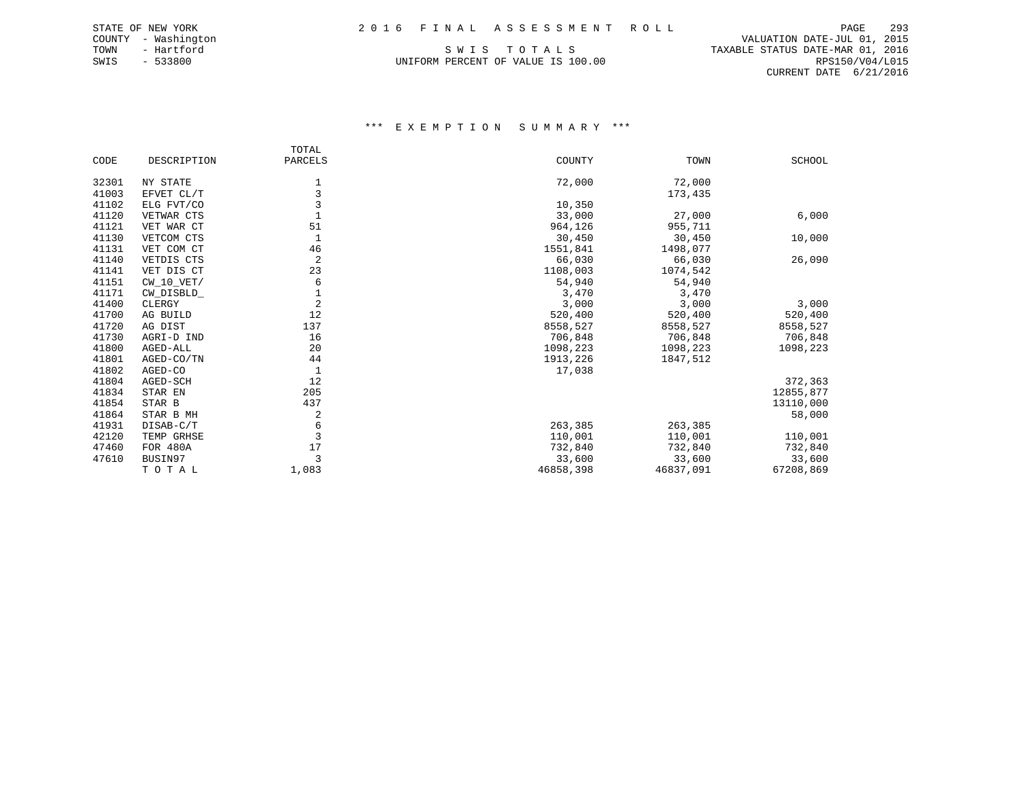TOWN - Hartford SWIS TO TALS THE STATUS DATE-MAR 01, 2016 SWIS - 533800 UNIFORM PERCENT OF VALUE IS 100.00 RPS150/V04/L015

 COUNTY - Washington VALUATION DATE-JUL 01, 2015 CURRENT DATE 6/21/2016

|       |              | TOTAL          |           |           |               |
|-------|--------------|----------------|-----------|-----------|---------------|
| CODE  | DESCRIPTION  | PARCELS        | COUNTY    | TOWN      | <b>SCHOOL</b> |
| 32301 | NY STATE     | $\mathbf 1$    | 72,000    | 72,000    |               |
| 41003 | EFVET CL/T   | 3              |           | 173,435   |               |
| 41102 | ELG FVT/CO   | 3              | 10,350    |           |               |
| 41120 | VETWAR CTS   |                | 33,000    | 27,000    | 6,000         |
| 41121 | VET WAR CT   | 51             | 964,126   | 955,711   |               |
| 41130 | VETCOM CTS   |                | 30,450    | 30,450    | 10,000        |
| 41131 | VET COM CT   | 46             | 1551,841  | 1498,077  |               |
| 41140 | VETDIS CTS   | $\overline{c}$ | 66,030    | 66,030    | 26,090        |
| 41141 | VET DIS CT   | 23             | 1108,003  | 1074,542  |               |
| 41151 | $CW_10_VET/$ | 6              | 54,940    | 54,940    |               |
| 41171 | CW_DISBLD_   | $\mathbf 1$    | 3,470     | 3,470     |               |
| 41400 | CLERGY       | $\overline{2}$ | 3,000     | 3,000     | 3,000         |
| 41700 | AG BUILD     | 12             | 520,400   | 520,400   | 520,400       |
| 41720 | AG DIST      | 137            | 8558,527  | 8558,527  | 8558,527      |
| 41730 | AGRI-D IND   | 16             | 706,848   | 706,848   | 706,848       |
| 41800 | AGED-ALL     | 20             | 1098,223  | 1098,223  | 1098,223      |
| 41801 | AGED-CO/TN   | 44             | 1913,226  | 1847,512  |               |
| 41802 | AGED-CO      | $\mathbf{1}$   | 17,038    |           |               |
| 41804 | AGED-SCH     | 12             |           |           | 372,363       |
| 41834 | STAR EN      | 205            |           |           | 12855,877     |
| 41854 | STAR B       | 437            |           |           | 13110,000     |
| 41864 | STAR B MH    | 2              |           |           | 58,000        |
| 41931 | DISAB-C/T    | 6              | 263,385   | 263,385   |               |
| 42120 | TEMP GRHSE   | 3              | 110,001   | 110,001   | 110,001       |
| 47460 | FOR 480A     | 17             | 732,840   | 732,840   | 732,840       |
| 47610 | BUSIN97      | 3              | 33,600    | 33,600    | 33,600        |
|       | TOTAL        | 1,083          | 46858,398 | 46837,091 | 67208,869     |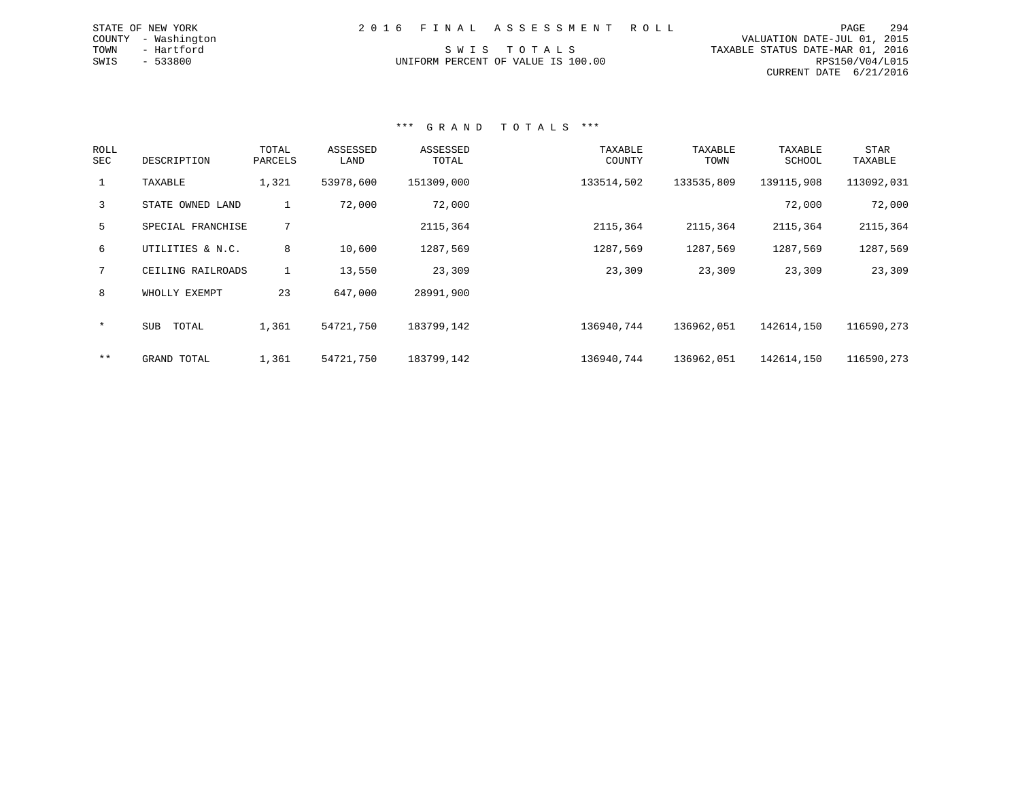| 2016 FINAL ASSESSMENT ROLL         | PAGE                             | 294 |
|------------------------------------|----------------------------------|-----|
|                                    | VALUATION DATE-JUL 01, 2015      |     |
| SWIS TOTALS                        | TAXABLE STATUS DATE-MAR 01, 2016 |     |
| UNIFORM PERCENT OF VALUE IS 100.00 | RPS150/V04/L015                  |     |
|                                    | CURRENT DATE 6/21/2016           |     |

\*\*\* G R A N D T O T A L S \*\*\*

STATE OF NEW YORK COUNTY - Washington TOWN - Hartford  $SWIS$  - 533800

| ROLL<br>SEC  | DESCRIPTION         | TOTAL<br>PARCELS | ASSESSED<br>LAND | ASSESSED<br>TOTAL | TAXABLE<br>COUNTY | TAXABLE<br>TOWN | TAXABLE<br><b>SCHOOL</b> | <b>STAR</b><br>TAXABLE |
|--------------|---------------------|------------------|------------------|-------------------|-------------------|-----------------|--------------------------|------------------------|
| $\mathbf{1}$ | TAXABLE             | 1,321            | 53978,600        | 151309,000        | 133514,502        | 133535,809      | 139115,908               | 113092,031             |
| 3            | STATE OWNED LAND    | Τ.               | 72,000           | 72,000            |                   |                 | 72,000                   | 72,000                 |
| 5            | SPECIAL FRANCHISE   | 7                |                  | 2115,364          | 2115,364          | 2115,364        | 2115,364                 | 2115,364               |
| 6            | UTILITIES & N.C.    | 8                | 10,600           | 1287,569          | 1287,569          | 1287,569        | 1287,569                 | 1287,569               |
| 7            | CEILING RAILROADS   | $\mathbf{1}$     | 13,550           | 23,309            | 23,309            | 23,309          | 23,309                   | 23,309                 |
| 8            | WHOLLY EXEMPT       | 23               | 647,000          | 28991,900         |                   |                 |                          |                        |
| $\star$      | TOTAL<br><b>SUB</b> | 1,361            | 54721,750        | 183799,142        | 136940,744        | 136962,051      | 142614,150               | 116590,273             |
| $***$        | GRAND TOTAL         | 1,361            | 54721,750        | 183799,142        | 136940,744        | 136962,051      | 142614,150               | 116590,273             |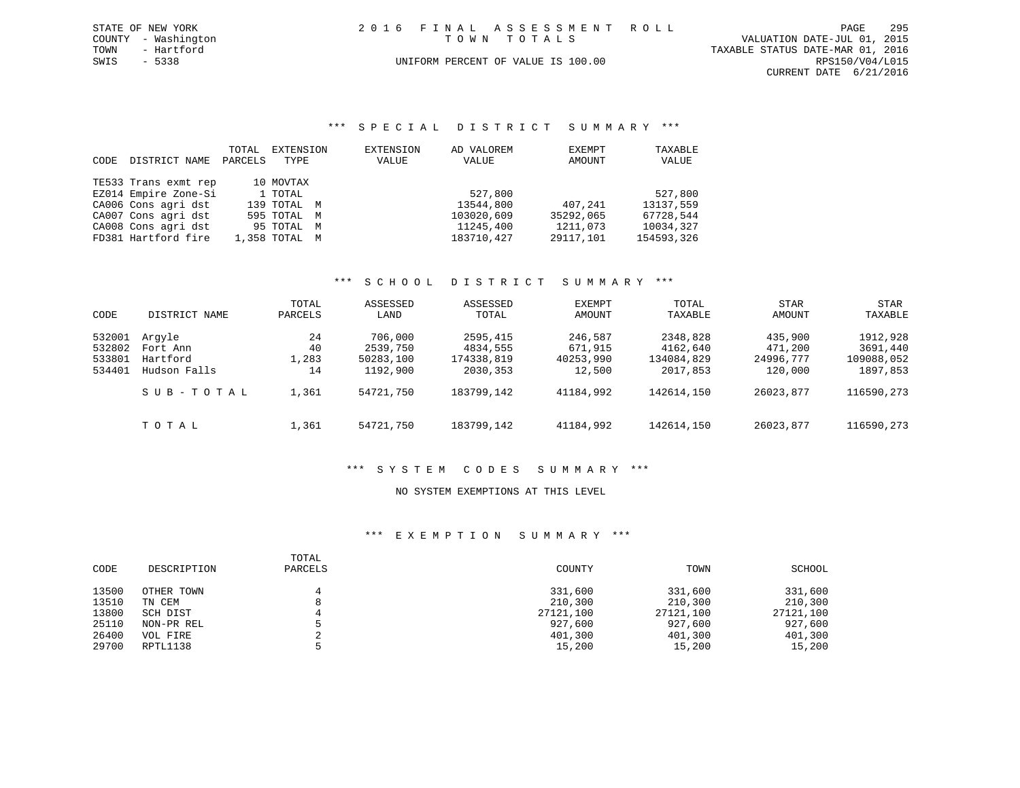|      | STATE OF NEW YORK   |  | 2016 FINAL ASSESSMENT ROLL         |                                  | PAGE            | 295 |
|------|---------------------|--|------------------------------------|----------------------------------|-----------------|-----|
|      | COUNTY - Washington |  | TOWN TOTALS                        | VALUATION DATE-JUL 01, 2015      |                 |     |
| TOWN | - Hartford          |  |                                    | TAXABLE STATUS DATE-MAR 01, 2016 |                 |     |
| SWIS | - 5338              |  | UNIFORM PERCENT OF VALUE IS 100.00 |                                  | RPS150/V04/L015 |     |
|      |                     |  |                                    | CURRENT DATE 6/21/2016           |                 |     |

## \*\*\* S P E C I A L D I S T R I C T S U M M A R Y \*\*\*

| CODE | DISTRICT NAME        | TOTAL<br>PARCELS | EXTENSION<br>TYPE | EXTENSION<br>VALUE | AD VALOREM<br>VALUE | EXEMPT<br>AMOUNT | TAXABLE<br>VALUE |
|------|----------------------|------------------|-------------------|--------------------|---------------------|------------------|------------------|
|      | TE533 Trans exmt rep |                  | 10 MOVTAX         |                    |                     |                  |                  |
|      | EZ014 Empire Zone-Si |                  | 1 TOTAL           |                    | 527,800             |                  | 527,800          |
|      | CA006 Cons agri dst  |                  | 139 TOTAL M       |                    | 13544,800           | 407,241          | 13137,559        |
|      | CA007 Cons agri dst  |                  | 595 TOTAL M       |                    | 103020,609          | 35292,065        | 67728.544        |
|      | CA008 Cons agri dst  |                  | 95 TOTAL M        |                    | 11245,400           | 1211,073         | 10034,327        |
|      | FD381 Hartford fire  |                  | 1,358 TOTAL M     |                    | 183710,427          | 29117,101        | 154593,326       |

## \*\*\* S C H O O L D I S T R I C T S U M M A R Y \*\*\*

| CODE             | DISTRICT NAME            | TOTAL<br>PARCELS | ASSESSED<br>LAND      | ASSESSED<br>TOTAL      | EXEMPT<br>AMOUNT    | TOTAL<br>TAXABLE       | STAR<br>AMOUNT       | STAR<br>TAXABLE        |
|------------------|--------------------------|------------------|-----------------------|------------------------|---------------------|------------------------|----------------------|------------------------|
| 532001           | Arqyle                   | 24               | 706,000               | 2595,415               | 246,587             | 2348,828               | 435,900              | 1912,928               |
| 532802           | Fort Ann                 | 40               | 2539,750              | 4834,555               | 671,915             | 4162,640               | 471,200              | 3691,440               |
| 533801<br>534401 | Hartford<br>Hudson Falls | 1,283<br>14      | 50283,100<br>1192,900 | 174338,819<br>2030,353 | 40253,990<br>12,500 | 134084,829<br>2017,853 | 24996,777<br>120,000 | 109088,052<br>1897,853 |
|                  | SUB-TOTAL                | 1,361            | 54721,750             | 183799,142             | 41184,992           | 142614,150             | 26023,877            | 116590,273             |
|                  | TOTAL                    | 1,361            | 54721,750             | 183799,142             | 41184,992           | 142614,150             | 26023,877            | 116590,273             |

## \*\*\* S Y S T E M C O D E S S U M M A R Y \*\*\*

#### NO SYSTEM EXEMPTIONS AT THIS LEVEL

| CODE  | DESCRIPTION | TOTAL<br>PARCELS | COUNTY    | TOWN      | SCHOOL    |
|-------|-------------|------------------|-----------|-----------|-----------|
| 13500 | OTHER TOWN  |                  | 331,600   | 331,600   | 331,600   |
| 13510 | TN CEM      | 8                | 210,300   | 210,300   | 210,300   |
| 13800 | SCH DIST    |                  | 27121,100 | 27121,100 | 27121,100 |
| 25110 | NON-PR REL  |                  | 927,600   | 927,600   | 927,600   |
| 26400 | VOL FIRE    |                  | 401,300   | 401,300   | 401,300   |
| 29700 | RPTL1138    |                  | 15,200    | 15,200    | 15,200    |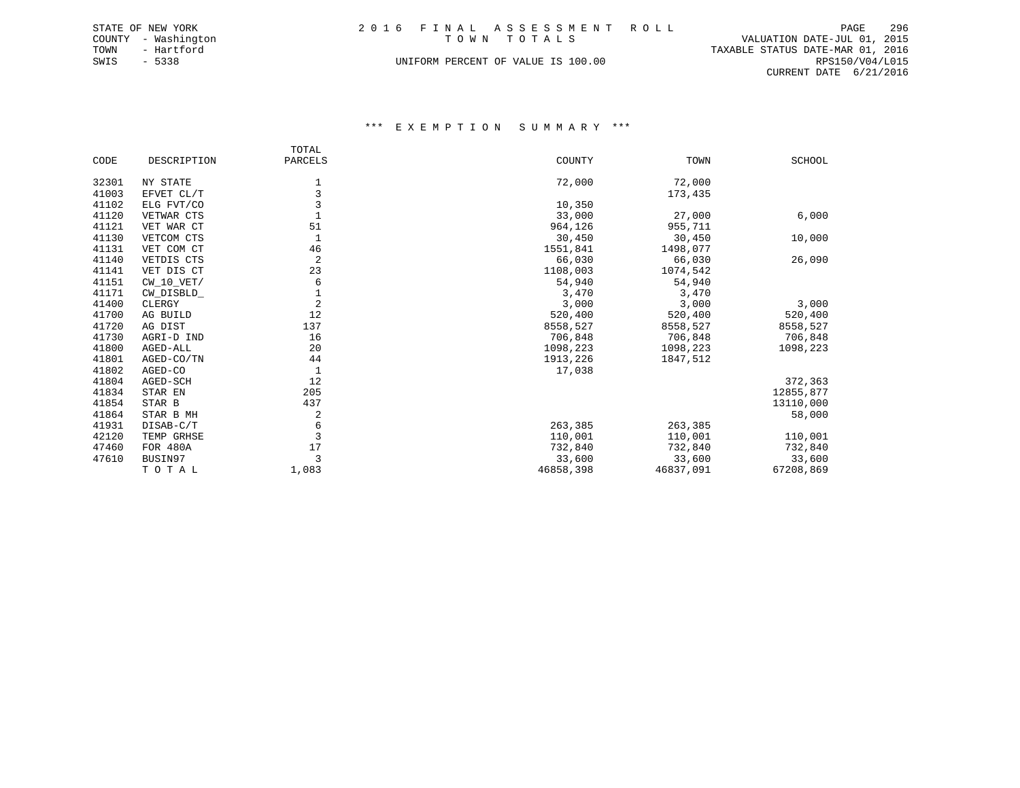| STATE OF NEW YORK   | 2016 FINAL ASSESSMENT ROLL         | 296<br>PAGE                      |
|---------------------|------------------------------------|----------------------------------|
| COUNTY - Washington | TOWN TOTALS                        | VALUATION DATE-JUL 01, 2015      |
| TOWN<br>- Hartford  |                                    | TAXABLE STATUS DATE-MAR 01, 2016 |
| SWIS<br>- 5338      | UNIFORM PERCENT OF VALUE IS 100.00 | RPS150/V04/L015                  |
|                     |                                    | CURRENT DATE 6/21/2016           |

|       |              | TOTAL          |           |           |               |
|-------|--------------|----------------|-----------|-----------|---------------|
| CODE  | DESCRIPTION  | PARCELS        | COUNTY    | TOWN      | <b>SCHOOL</b> |
| 32301 | NY STATE     |                | 72,000    | 72,000    |               |
| 41003 | EFVET CL/T   | 3              |           | 173,435   |               |
| 41102 | ELG FVT/CO   | 3              | 10,350    |           |               |
| 41120 | VETWAR CTS   |                | 33,000    | 27,000    | 6,000         |
| 41121 | VET WAR CT   | 51             | 964,126   | 955,711   |               |
| 41130 | VETCOM CTS   |                | 30,450    | 30,450    | 10,000        |
| 41131 | VET COM CT   | 46             | 1551,841  | 1498,077  |               |
| 41140 | VETDIS CTS   | 2              | 66,030    | 66,030    | 26,090        |
| 41141 | VET DIS CT   | 23             | 1108,003  | 1074,542  |               |
| 41151 | $CW_10_VET/$ | 6              | 54,940    | 54,940    |               |
| 41171 | CW DISBLD    | 1              | 3,470     | 3,470     |               |
| 41400 | CLERGY       | $\overline{2}$ | 3,000     | 3,000     | 3,000         |
| 41700 | AG BUILD     | 12             | 520,400   | 520,400   | 520,400       |
| 41720 | AG DIST      | 137            | 8558,527  | 8558,527  | 8558,527      |
| 41730 | AGRI-D IND   | 16             | 706,848   | 706,848   | 706,848       |
| 41800 | AGED-ALL     | 20             | 1098,223  | 1098,223  | 1098,223      |
| 41801 | AGED-CO/TN   | 44             | 1913,226  | 1847,512  |               |
| 41802 | AGED-CO      |                | 17,038    |           |               |
| 41804 | AGED-SCH     | 12             |           |           | 372,363       |
| 41834 | STAR EN      | 205            |           |           | 12855,877     |
| 41854 | STAR B       | 437            |           |           | 13110,000     |
| 41864 | STAR B MH    | 2              |           |           | 58,000        |
| 41931 | DISAB-C/T    | 6              | 263,385   | 263,385   |               |
| 42120 | TEMP GRHSE   | 3              | 110,001   | 110,001   | 110,001       |
| 47460 | FOR 480A     | 17             | 732,840   | 732,840   | 732,840       |
| 47610 | BUSIN97      |                | 33,600    | 33,600    | 33,600        |
|       | TOTAL        | 1,083          | 46858,398 | 46837,091 | 67208,869     |